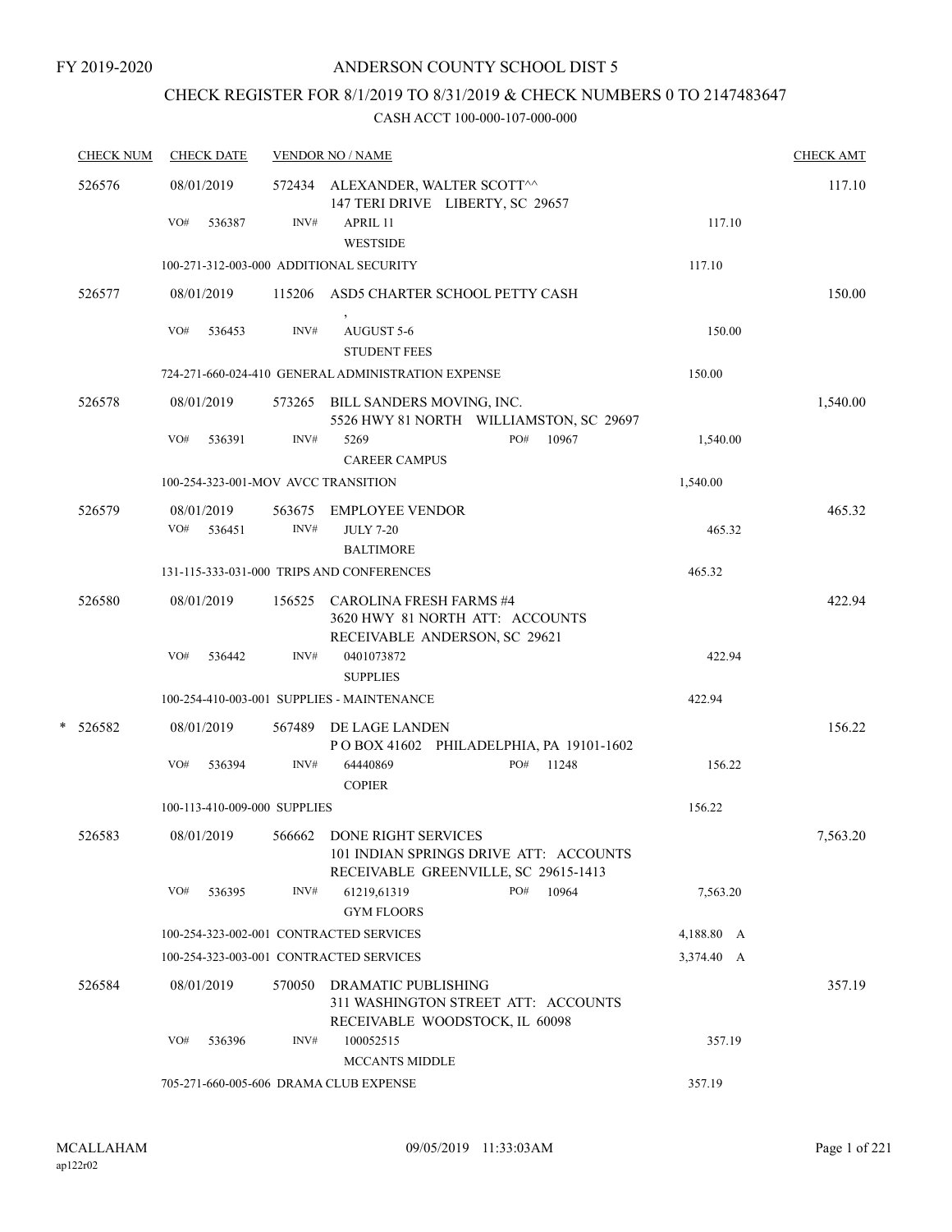# CHECK REGISTER FOR 8/1/2019 TO 8/31/2019 & CHECK NUMBERS 0 TO 2147483647

| <b>CHECK NUM</b> |        | <b>CHECK DATE</b> |                      |                              | <b>VENDOR NO / NAME</b>                                                                                      |     | <b>CHECK AMT</b> |            |          |
|------------------|--------|-------------------|----------------------|------------------------------|--------------------------------------------------------------------------------------------------------------|-----|------------------|------------|----------|
| 526576           |        |                   | 08/01/2019           |                              | 572434 ALEXANDER, WALTER SCOTT^^<br>147 TERI DRIVE LIBERTY, SC 29657                                         |     |                  |            | 117.10   |
|                  |        | VO#               | 536387               | INV#                         | APRIL 11<br><b>WESTSIDE</b>                                                                                  |     |                  | 117.10     |          |
|                  |        |                   |                      |                              | 100-271-312-003-000 ADDITIONAL SECURITY                                                                      |     |                  | 117.10     |          |
|                  | 526577 |                   | 08/01/2019           |                              | 115206 ASD5 CHARTER SCHOOL PETTY CASH                                                                        |     |                  |            | 150.00   |
|                  |        | VO#               | 536453               | INV#                         | AUGUST 5-6<br><b>STUDENT FEES</b>                                                                            |     |                  | 150.00     |          |
|                  |        |                   |                      |                              | 724-271-660-024-410 GENERAL ADMINISTRATION EXPENSE                                                           |     |                  | 150.00     |          |
|                  | 526578 |                   | 08/01/2019           |                              | 573265 BILL SANDERS MOVING, INC.<br>5526 HWY 81 NORTH WILLIAMSTON, SC 29697                                  |     |                  |            | 1,540.00 |
|                  |        | VO#               | 536391               | INV#                         | 5269<br><b>CAREER CAMPUS</b>                                                                                 | PO# | 10967            | 1,540.00   |          |
|                  |        |                   |                      |                              | 100-254-323-001-MOV AVCC TRANSITION                                                                          |     |                  | 1,540.00   |          |
|                  | 526579 | VO#               | 08/01/2019<br>536451 | 563675<br>INV#               | <b>EMPLOYEE VENDOR</b><br><b>JULY 7-20</b>                                                                   |     |                  | 465.32     | 465.32   |
|                  |        |                   |                      |                              | <b>BALTIMORE</b><br>131-115-333-031-000 TRIPS AND CONFERENCES                                                |     |                  | 465.32     |          |
|                  |        |                   |                      |                              |                                                                                                              |     |                  |            |          |
|                  | 526580 |                   | 08/01/2019           |                              | 156525 CAROLINA FRESH FARMS #4<br>3620 HWY 81 NORTH ATT: ACCOUNTS<br>RECEIVABLE ANDERSON, SC 29621           |     |                  |            | 422.94   |
|                  |        | VO#               | 536442               | INV#                         | 0401073872<br><b>SUPPLIES</b>                                                                                |     |                  | 422.94     |          |
|                  |        |                   |                      |                              | 100-254-410-003-001 SUPPLIES - MAINTENANCE                                                                   |     |                  | 422.94     |          |
| *                | 526582 |                   | 08/01/2019           |                              | 567489 DE LAGE LANDEN<br>POBOX 41602 PHILADELPHIA, PA 19101-1602                                             |     |                  |            | 156.22   |
|                  |        | VO#               | 536394               | INV#                         | 64440869<br><b>COPIER</b>                                                                                    | PO# | 11248            | 156.22     |          |
|                  |        |                   |                      | 100-113-410-009-000 SUPPLIES |                                                                                                              |     |                  | 156.22     |          |
|                  | 526583 |                   | 08/01/2019           |                              | 566662 DONE RIGHT SERVICES<br>101 INDIAN SPRINGS DRIVE ATT: ACCOUNTS<br>RECEIVABLE GREENVILLE, SC 29615-1413 |     |                  |            | 7,563.20 |
|                  |        | VO#               | 536395               | INV#                         | 61219,61319<br><b>GYM FLOORS</b>                                                                             | PO# | 10964            | 7,563.20   |          |
|                  |        |                   |                      |                              | 100-254-323-002-001 CONTRACTED SERVICES                                                                      |     |                  | 4,188.80 A |          |
|                  |        |                   |                      |                              | 100-254-323-003-001 CONTRACTED SERVICES                                                                      |     |                  | 3,374.40 A |          |
|                  | 526584 |                   | 08/01/2019           | 570050                       | DRAMATIC PUBLISHING<br>311 WASHINGTON STREET ATT: ACCOUNTS<br>RECEIVABLE WOODSTOCK, IL 60098                 |     |                  |            | 357.19   |
|                  |        | VO#               | 536396               | INV#                         | 100052515<br><b>MCCANTS MIDDLE</b>                                                                           |     |                  | 357.19     |          |
|                  |        |                   |                      |                              | 705-271-660-005-606 DRAMA CLUB EXPENSE                                                                       |     |                  | 357.19     |          |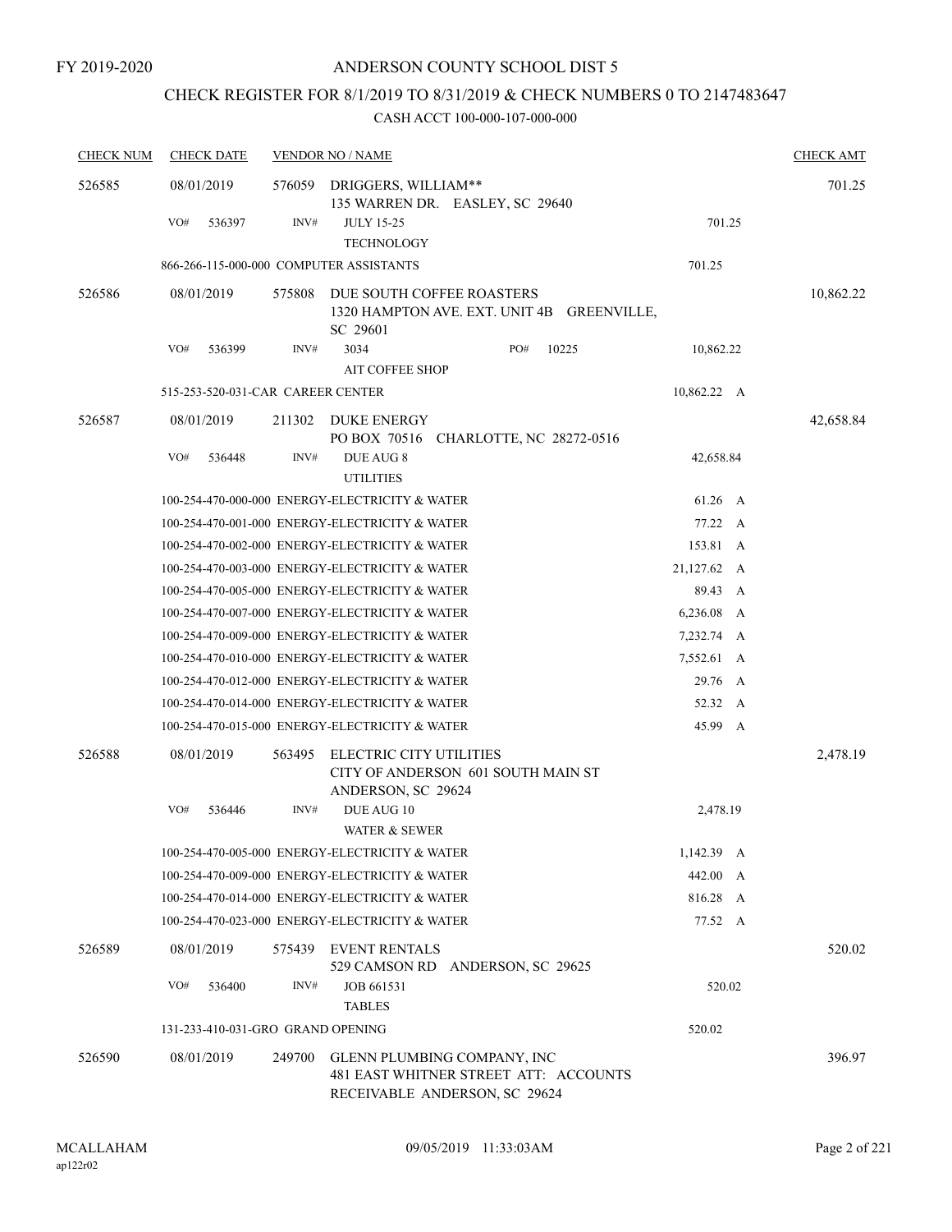### CHECK REGISTER FOR 8/1/2019 TO 8/31/2019 & CHECK NUMBERS 0 TO 2147483647

| <b>CHECK NUM</b> | <b>CHECK DATE</b>                       |        | <b>VENDOR NO / NAME</b>                                                                               |              | <b>CHECK AMT</b> |
|------------------|-----------------------------------------|--------|-------------------------------------------------------------------------------------------------------|--------------|------------------|
| 526585           | 08/01/2019                              | 576059 | DRIGGERS, WILLIAM**<br>135 WARREN DR. EASLEY, SC 29640                                                |              | 701.25           |
|                  | VO#<br>536397                           | INV#   | <b>JULY 15-25</b><br><b>TECHNOLOGY</b>                                                                | 701.25       |                  |
|                  | 866-266-115-000-000 COMPUTER ASSISTANTS |        |                                                                                                       | 701.25       |                  |
| 526586           | 08/01/2019                              | 575808 | DUE SOUTH COFFEE ROASTERS<br>1320 HAMPTON AVE. EXT. UNIT 4B GREENVILLE,<br>SC 29601                   |              | 10,862.22        |
|                  | VO#<br>536399                           | INV#   | 3034<br>PO#<br>10225<br><b>AIT COFFEE SHOP</b>                                                        | 10,862.22    |                  |
|                  | 515-253-520-031-CAR CAREER CENTER       |        |                                                                                                       | 10,862.22 A  |                  |
| 526587           | 08/01/2019                              | 211302 | DUKE ENERGY<br>PO BOX 70516 CHARLOTTE, NC 28272-0516                                                  |              | 42,658.84        |
|                  | VO#<br>536448                           | INV#   | DUE AUG 8<br><b>UTILITIES</b>                                                                         | 42,658.84    |                  |
|                  |                                         |        | 100-254-470-000-000 ENERGY-ELECTRICITY & WATER                                                        | 61.26 A      |                  |
|                  |                                         |        | 100-254-470-001-000 ENERGY-ELECTRICITY & WATER                                                        | 77.22 A      |                  |
|                  |                                         |        | 100-254-470-002-000 ENERGY-ELECTRICITY & WATER                                                        | 153.81 A     |                  |
|                  |                                         |        | 100-254-470-003-000 ENERGY-ELECTRICITY & WATER                                                        | 21,127.62 A  |                  |
|                  |                                         |        | 100-254-470-005-000 ENERGY-ELECTRICITY & WATER                                                        | 89.43 A      |                  |
|                  |                                         |        | 100-254-470-007-000 ENERGY-ELECTRICITY & WATER                                                        | $6,236.08$ A |                  |
|                  |                                         |        | 100-254-470-009-000 ENERGY-ELECTRICITY & WATER                                                        | 7,232.74 A   |                  |
|                  |                                         |        | 100-254-470-010-000 ENERGY-ELECTRICITY & WATER                                                        | 7,552.61 A   |                  |
|                  |                                         |        | 100-254-470-012-000 ENERGY-ELECTRICITY & WATER                                                        | 29.76 A      |                  |
|                  |                                         |        | 100-254-470-014-000 ENERGY-ELECTRICITY & WATER                                                        | 52.32 A      |                  |
|                  |                                         |        | 100-254-470-015-000 ENERGY-ELECTRICITY & WATER                                                        | 45.99 A      |                  |
| 526588           | 08/01/2019                              | 563495 | ELECTRIC CITY UTILITIES<br>CITY OF ANDERSON 601 SOUTH MAIN ST<br>ANDERSON, SC 29624                   |              | 2,478.19         |
|                  | VO#<br>536446                           | INV#   | DUE AUG 10<br><b>WATER &amp; SEWER</b>                                                                | 2,478.19     |                  |
|                  |                                         |        | 100-254-470-005-000 ENERGY-ELECTRICITY & WATER                                                        | 1,142.39 A   |                  |
|                  |                                         |        | 100-254-470-009-000 ENERGY-ELECTRICITY & WATER                                                        | 442.00 A     |                  |
|                  |                                         |        | 100-254-470-014-000 ENERGY-ELECTRICITY & WATER                                                        | 816.28 A     |                  |
|                  |                                         |        | 100-254-470-023-000 ENERGY-ELECTRICITY & WATER                                                        | 77.52 A      |                  |
| 526589           | 08/01/2019                              | 575439 | <b>EVENT RENTALS</b><br>529 CAMSON RD ANDERSON, SC 29625                                              |              | 520.02           |
|                  | VO#<br>536400                           | INV#   | JOB 661531<br><b>TABLES</b>                                                                           | 520.02       |                  |
|                  | 131-233-410-031-GRO GRAND OPENING       |        |                                                                                                       | 520.02       |                  |
| 526590           | 08/01/2019                              | 249700 | GLENN PLUMBING COMPANY, INC<br>481 EAST WHITNER STREET ATT: ACCOUNTS<br>RECEIVABLE ANDERSON, SC 29624 |              | 396.97           |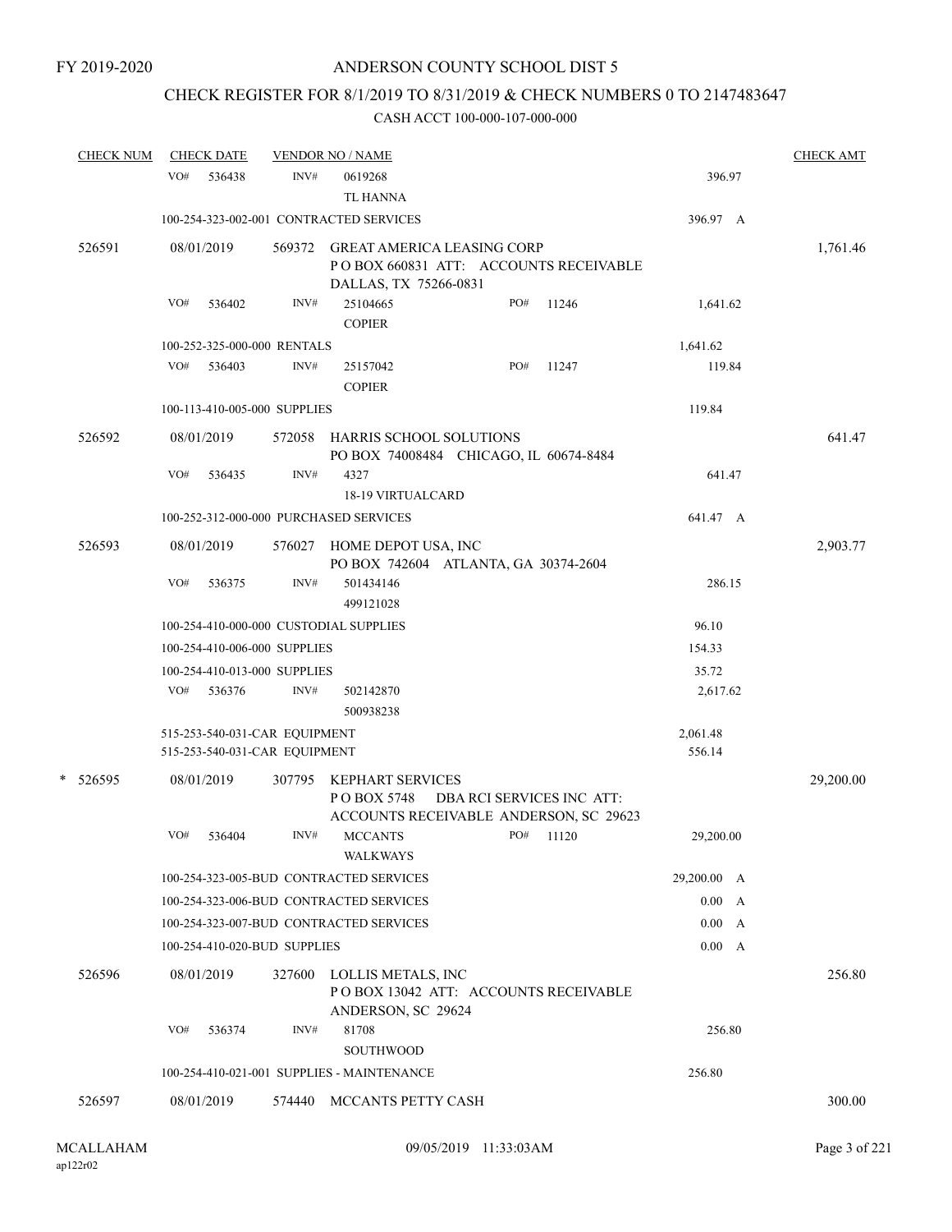# CHECK REGISTER FOR 8/1/2019 TO 8/31/2019 & CHECK NUMBERS 0 TO 2147483647

| <b>CHECK NUM</b> |     | <b>CHECK DATE</b>                                              | <b>VENDOR NO / NAME</b> |                                                                                                      |                           |       |                    | <b>CHECK AMT</b> |  |
|------------------|-----|----------------------------------------------------------------|-------------------------|------------------------------------------------------------------------------------------------------|---------------------------|-------|--------------------|------------------|--|
|                  | VO# | 536438                                                         | INV#                    | 0619268<br><b>TL HANNA</b>                                                                           |                           |       | 396.97             |                  |  |
|                  |     |                                                                |                         | 100-254-323-002-001 CONTRACTED SERVICES                                                              |                           |       | 396.97 A           |                  |  |
| 526591           |     | 08/01/2019                                                     | 569372                  | <b>GREAT AMERICA LEASING CORP</b><br>PO BOX 660831 ATT: ACCOUNTS RECEIVABLE<br>DALLAS, TX 75266-0831 |                           |       |                    | 1,761.46         |  |
|                  | VO# | 536402                                                         | INV#                    | 25104665<br><b>COPIER</b>                                                                            | PO#                       | 11246 | 1,641.62           |                  |  |
|                  |     | 100-252-325-000-000 RENTALS                                    |                         |                                                                                                      |                           |       | 1,641.62           |                  |  |
|                  | VO# | 536403                                                         | INV#                    | 25157042<br><b>COPIER</b>                                                                            | PO#                       | 11247 | 119.84             |                  |  |
|                  |     | 100-113-410-005-000 SUPPLIES                                   |                         |                                                                                                      |                           |       | 119.84             |                  |  |
| 526592           |     | 08/01/2019                                                     | 572058                  | HARRIS SCHOOL SOLUTIONS<br>PO BOX 74008484 CHICAGO, IL 60674-8484                                    |                           |       |                    | 641.47           |  |
|                  | VO# | 536435                                                         | INV#                    | 4327<br><b>18-19 VIRTUALCARD</b>                                                                     |                           |       | 641.47             |                  |  |
|                  |     |                                                                |                         | 100-252-312-000-000 PURCHASED SERVICES                                                               |                           |       | 641.47 A           |                  |  |
| 526593           |     | 08/01/2019                                                     | 576027                  | HOME DEPOT USA, INC<br>PO BOX 742604 ATLANTA, GA 30374-2604                                          |                           |       |                    | 2,903.77         |  |
|                  | VO# | 536375                                                         | INV#                    | 501434146<br>499121028                                                                               |                           |       | 286.15             |                  |  |
|                  |     |                                                                |                         | 100-254-410-000-000 CUSTODIAL SUPPLIES                                                               |                           |       | 96.10              |                  |  |
|                  |     | 100-254-410-006-000 SUPPLIES                                   |                         |                                                                                                      |                           |       | 154.33             |                  |  |
|                  |     | 100-254-410-013-000 SUPPLIES                                   |                         |                                                                                                      |                           |       | 35.72              |                  |  |
|                  | VO# | 536376                                                         | INV#                    | 502142870<br>500938238                                                                               |                           |       | 2,617.62           |                  |  |
|                  |     | 515-253-540-031-CAR EQUIPMENT<br>515-253-540-031-CAR EQUIPMENT |                         |                                                                                                      |                           |       | 2,061.48<br>556.14 |                  |  |
| * 526595         |     | 08/01/2019                                                     | 307795                  | <b>KEPHART SERVICES</b><br>PO BOX 5748<br>ACCOUNTS RECEIVABLE ANDERSON, SC 29623                     | DBA RCI SERVICES INC ATT: |       |                    | 29,200.00        |  |
|                  | VO# | 536404                                                         | INV#                    | <b>MCCANTS</b><br><b>WALKWAYS</b>                                                                    | PO#                       | 11120 | 29,200.00          |                  |  |
|                  |     |                                                                |                         | 100-254-323-005-BUD CONTRACTED SERVICES                                                              |                           |       | 29,200.00 A        |                  |  |
|                  |     |                                                                |                         | 100-254-323-006-BUD CONTRACTED SERVICES                                                              |                           |       | 0.00 A             |                  |  |
|                  |     |                                                                |                         | 100-254-323-007-BUD CONTRACTED SERVICES                                                              |                           |       | 0.00<br>A          |                  |  |
|                  |     | 100-254-410-020-BUD SUPPLIES                                   |                         |                                                                                                      |                           |       | 0.00 A             |                  |  |
| 526596           |     | 08/01/2019                                                     | 327600                  | LOLLIS METALS, INC<br>POBOX 13042 ATT: ACCOUNTS RECEIVABLE                                           |                           |       |                    | 256.80           |  |
|                  | VO# | 536374                                                         | INV#                    | ANDERSON, SC 29624<br>81708<br><b>SOUTHWOOD</b>                                                      |                           |       | 256.80             |                  |  |
|                  |     |                                                                |                         | 100-254-410-021-001 SUPPLIES - MAINTENANCE                                                           |                           |       | 256.80             |                  |  |
| 526597           |     | 08/01/2019                                                     | 574440                  | MCCANTS PETTY CASH                                                                                   |                           |       |                    | 300.00           |  |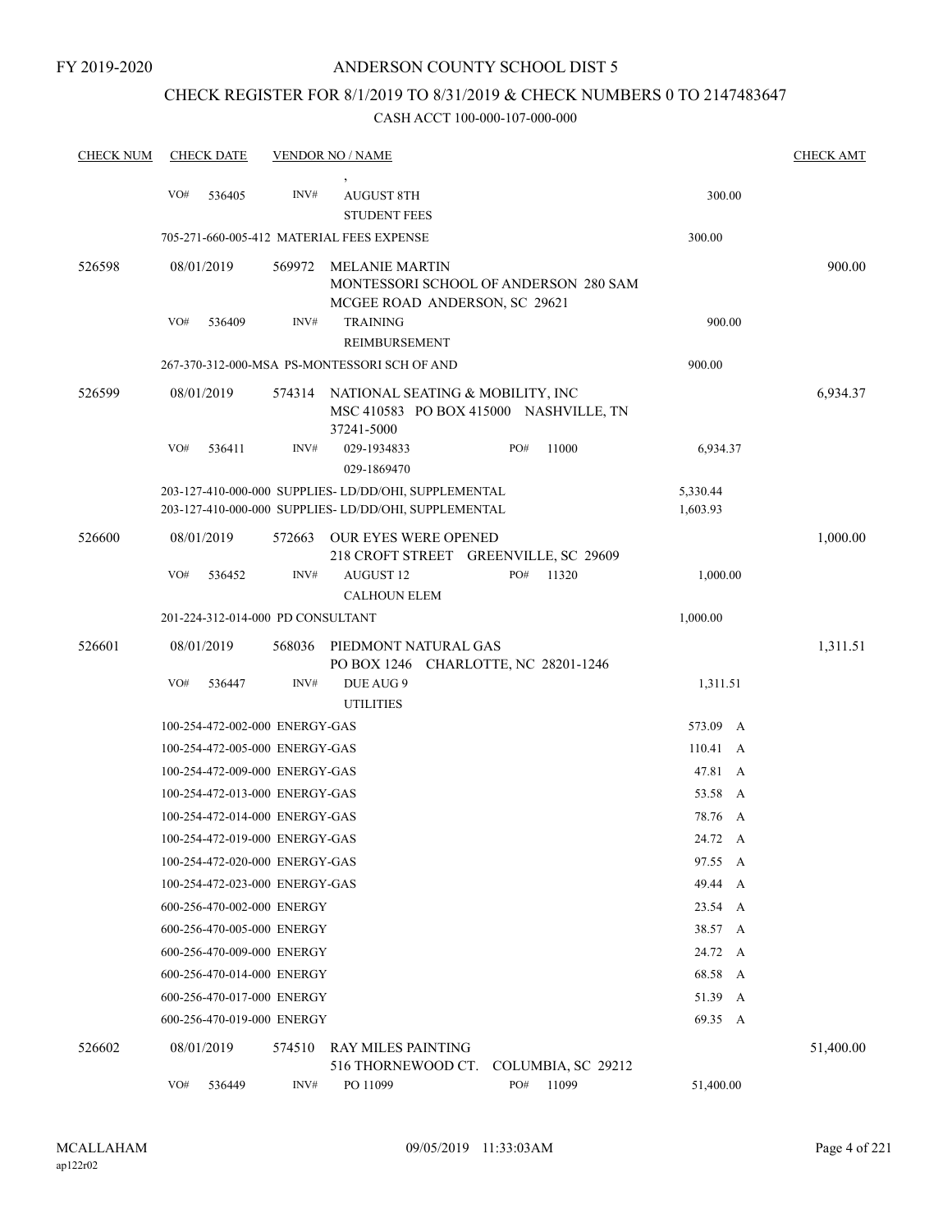# CHECK REGISTER FOR 8/1/2019 TO 8/31/2019 & CHECK NUMBERS 0 TO 2147483647

| <b>CHECK NUM</b> |     | <b>CHECK DATE</b>                 |        | <b>VENDOR NO / NAME</b>                                              |     |                                        |                  |   | <b>CHECK AMT</b> |
|------------------|-----|-----------------------------------|--------|----------------------------------------------------------------------|-----|----------------------------------------|------------------|---|------------------|
|                  |     |                                   |        |                                                                      |     |                                        |                  |   |                  |
|                  | VO# | 536405                            | INV#   | <b>AUGUST 8TH</b>                                                    |     |                                        | 300.00           |   |                  |
|                  |     |                                   |        | <b>STUDENT FEES</b>                                                  |     |                                        |                  |   |                  |
|                  |     |                                   |        | 705-271-660-005-412 MATERIAL FEES EXPENSE                            |     |                                        | 300.00           |   |                  |
| 526598           |     | 08/01/2019                        | 569972 | <b>MELANIE MARTIN</b>                                                |     |                                        | 900.00           |   |                  |
|                  |     |                                   |        |                                                                      |     | MONTESSORI SCHOOL OF ANDERSON 280 SAM  |                  |   |                  |
|                  | VO# | 536409                            | INV#   | MCGEE ROAD ANDERSON, SC 29621<br><b>TRAINING</b>                     |     |                                        | 900.00           |   |                  |
|                  |     |                                   |        | REIMBURSEMENT                                                        |     |                                        |                  |   |                  |
|                  |     |                                   |        | 267-370-312-000-MSA PS-MONTESSORI SCH OF AND                         |     |                                        | 900.00           |   |                  |
| 526599           |     | 08/01/2019                        | 574314 | NATIONAL SEATING & MOBILITY, INC                                     |     |                                        |                  |   | 6,934.37         |
|                  |     |                                   |        | 37241-5000                                                           |     | MSC 410583 PO BOX 415000 NASHVILLE, TN |                  |   |                  |
|                  | VO# | 536411                            | INV#   | 029-1934833<br>029-1869470                                           | PO# | 11000                                  | 6,934.37         |   |                  |
|                  |     |                                   |        | 203-127-410-000-000 SUPPLIES- LD/DD/OHI, SUPPLEMENTAL                |     |                                        | 5,330.44         |   |                  |
|                  |     |                                   |        | 203-127-410-000-000 SUPPLIES-LD/DD/OHI, SUPPLEMENTAL                 |     |                                        | 1,603.93         |   |                  |
| 526600           |     | 08/01/2019                        | 572663 | <b>OUR EYES WERE OPENED</b><br>218 CROFT STREET GREENVILLE, SC 29609 |     |                                        |                  |   | 1,000.00         |
|                  | VO# | 536452                            | INV#   | AUGUST 12                                                            | PO# | 11320                                  | 1,000.00         |   |                  |
|                  |     |                                   |        | <b>CALHOUN ELEM</b>                                                  |     |                                        |                  |   |                  |
|                  |     | 201-224-312-014-000 PD CONSULTANT |        |                                                                      |     |                                        | 1,000.00         |   |                  |
| 526601           |     | 08/01/2019                        | 568036 | PIEDMONT NATURAL GAS<br>PO BOX 1246 CHARLOTTE, NC 28201-1246         |     |                                        |                  |   | 1,311.51         |
|                  | VO# | 536447                            | INV#   | DUE AUG 9<br><b>UTILITIES</b>                                        |     |                                        | 1,311.51         |   |                  |
|                  |     | 100-254-472-002-000 ENERGY-GAS    |        |                                                                      |     |                                        | 573.09 A         |   |                  |
|                  |     | 100-254-472-005-000 ENERGY-GAS    |        |                                                                      |     |                                        | $110.41 \quad A$ |   |                  |
|                  |     | 100-254-472-009-000 ENERGY-GAS    |        |                                                                      |     |                                        | 47.81 A          |   |                  |
|                  |     | 100-254-472-013-000 ENERGY-GAS    |        |                                                                      |     |                                        | 53.58 A          |   |                  |
|                  |     | 100-254-472-014-000 ENERGY-GAS    |        |                                                                      |     |                                        | 78.76            | A |                  |
|                  |     | 100-254-472-019-000 ENERGY-GAS    |        |                                                                      |     |                                        | 24.72 A          |   |                  |
|                  |     | 100-254-472-020-000 ENERGY-GAS    |        |                                                                      |     |                                        | 97.55 A          |   |                  |
|                  |     | 100-254-472-023-000 ENERGY-GAS    |        |                                                                      |     |                                        | 49.44 A          |   |                  |
|                  |     | 600-256-470-002-000 ENERGY        |        |                                                                      |     |                                        | 23.54 A          |   |                  |
|                  |     | 600-256-470-005-000 ENERGY        |        |                                                                      |     |                                        | 38.57 A          |   |                  |
|                  |     | 600-256-470-009-000 ENERGY        |        |                                                                      |     |                                        | 24.72 A          |   |                  |
|                  |     | 600-256-470-014-000 ENERGY        |        |                                                                      |     |                                        | 68.58 A          |   |                  |
|                  |     | 600-256-470-017-000 ENERGY        |        |                                                                      |     |                                        | 51.39            | A |                  |
|                  |     | 600-256-470-019-000 ENERGY        |        |                                                                      |     |                                        | 69.35 A          |   |                  |
| 526602           |     | 08/01/2019                        | 574510 | <b>RAY MILES PAINTING</b><br>516 THORNEWOOD CT.                      |     | COLUMBIA, SC 29212                     |                  |   | 51,400.00        |
|                  | VO# | 536449                            | INV#   | PO 11099                                                             | PO# | 11099                                  | 51,400.00        |   |                  |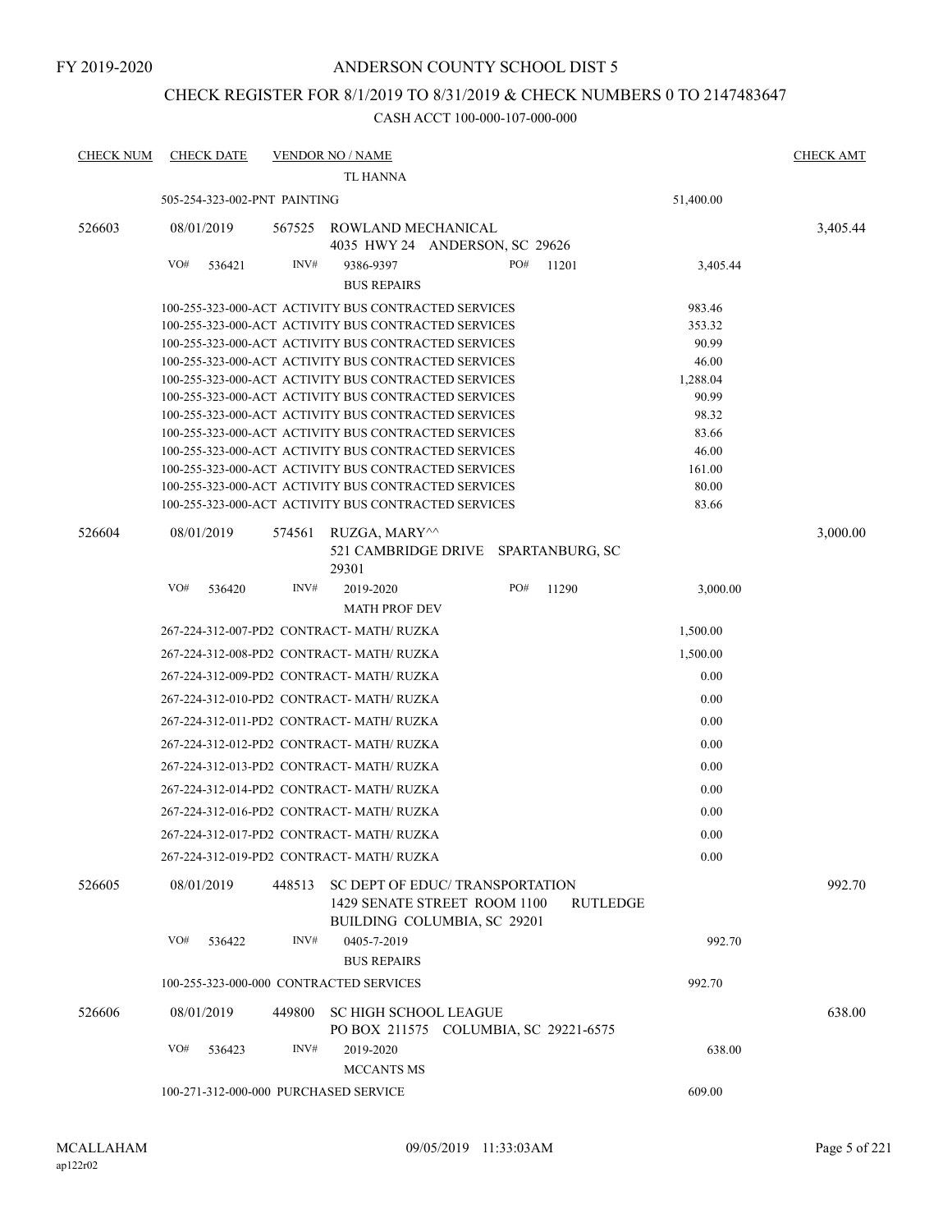FY 2019-2020

#### ANDERSON COUNTY SCHOOL DIST 5

### CHECK REGISTER FOR 8/1/2019 TO 8/31/2019 & CHECK NUMBERS 0 TO 2147483647

| <b>CHECK NUM</b> | <b>CHECK DATE</b>                       |        | <b>VENDOR NO / NAME</b>                                                                                      |        |                 |                 | <b>CHECK AMT</b> |
|------------------|-----------------------------------------|--------|--------------------------------------------------------------------------------------------------------------|--------|-----------------|-----------------|------------------|
|                  |                                         |        | <b>TL HANNA</b>                                                                                              |        |                 |                 |                  |
|                  | 505-254-323-002-PNT PAINTING            |        |                                                                                                              |        |                 | 51,400.00       |                  |
| 526603           | 08/01/2019                              | 567525 | ROWLAND MECHANICAL<br>4035 HWY 24 ANDERSON, SC 29626                                                         |        |                 |                 | 3,405.44         |
|                  | VO#<br>536421                           | INV#   | 9386-9397                                                                                                    | PO#    | 11201           | 3,405.44        |                  |
|                  |                                         |        | <b>BUS REPAIRS</b>                                                                                           |        |                 |                 |                  |
|                  |                                         |        | 100-255-323-000-ACT ACTIVITY BUS CONTRACTED SERVICES                                                         |        |                 | 983.46          |                  |
|                  |                                         |        | 100-255-323-000-ACT ACTIVITY BUS CONTRACTED SERVICES                                                         |        |                 | 353.32          |                  |
|                  |                                         |        | 100-255-323-000-ACT ACTIVITY BUS CONTRACTED SERVICES                                                         |        |                 | 90.99           |                  |
|                  |                                         |        | 100-255-323-000-ACT ACTIVITY BUS CONTRACTED SERVICES                                                         |        |                 | 46.00           |                  |
|                  |                                         |        | 100-255-323-000-ACT ACTIVITY BUS CONTRACTED SERVICES                                                         |        |                 | 1,288.04        |                  |
|                  |                                         |        | 100-255-323-000-ACT ACTIVITY BUS CONTRACTED SERVICES                                                         |        |                 | 90.99           |                  |
|                  |                                         |        | 100-255-323-000-ACT ACTIVITY BUS CONTRACTED SERVICES                                                         |        |                 | 98.32           |                  |
|                  |                                         |        | 100-255-323-000-ACT ACTIVITY BUS CONTRACTED SERVICES                                                         |        |                 | 83.66           |                  |
|                  |                                         |        | 100-255-323-000-ACT ACTIVITY BUS CONTRACTED SERVICES                                                         |        |                 | 46.00           |                  |
|                  |                                         |        | 100-255-323-000-ACT ACTIVITY BUS CONTRACTED SERVICES<br>100-255-323-000-ACT ACTIVITY BUS CONTRACTED SERVICES |        |                 | 161.00<br>80.00 |                  |
|                  |                                         |        | 100-255-323-000-ACT ACTIVITY BUS CONTRACTED SERVICES                                                         |        |                 | 83.66           |                  |
|                  |                                         |        |                                                                                                              |        |                 |                 |                  |
| 526604           | 08/01/2019                              | 574561 | RUZGA, MARY^^<br>521 CAMBRIDGE DRIVE SPARTANBURG, SC<br>29301                                                |        |                 |                 | 3,000.00         |
|                  | VO#<br>536420                           | INV#   | 2019-2020                                                                                                    | PO#    | 11290           | 3,000.00        |                  |
|                  |                                         |        | <b>MATH PROF DEV</b>                                                                                         |        |                 |                 |                  |
|                  |                                         |        |                                                                                                              |        |                 |                 |                  |
|                  |                                         |        | 267-224-312-007-PD2 CONTRACT- MATH/RUZKA                                                                     |        |                 | 1,500.00        |                  |
|                  |                                         |        | 267-224-312-008-PD2 CONTRACT-MATH/RUZKA                                                                      |        |                 | 1,500.00        |                  |
|                  |                                         |        | 267-224-312-009-PD2 CONTRACT-MATH/RUZKA                                                                      |        |                 | 0.00            |                  |
|                  |                                         |        | 267-224-312-010-PD2 CONTRACT-MATH/RUZKA                                                                      |        |                 | 0.00            |                  |
|                  |                                         |        | 267-224-312-011-PD2 CONTRACT- MATH/RUZKA                                                                     |        |                 | 0.00            |                  |
|                  |                                         |        | 267-224-312-012-PD2 CONTRACT- MATH/ RUZKA                                                                    |        |                 | 0.00            |                  |
|                  |                                         |        | 267-224-312-013-PD2 CONTRACT- MATH/ RUZKA                                                                    |        |                 | 0.00            |                  |
|                  |                                         |        | 267-224-312-014-PD2 CONTRACT-MATH/RUZKA                                                                      |        |                 | 0.00            |                  |
|                  |                                         |        | 267-224-312-016-PD2 CONTRACT- MATH/ RUZKA                                                                    |        |                 | 0.00            |                  |
|                  |                                         |        | 267-224-312-017-PD2 CONTRACT- MATH/RUZKA                                                                     |        |                 | 0.00            |                  |
|                  |                                         |        | 267-224-312-019-PD2 CONTRACT-MATH/RUZKA                                                                      |        |                 | 0.00            |                  |
| 526605           | 08/01/2019                              | 448513 | SC DEPT OF EDUC/TRANSPORTATION<br>1429 SENATE STREET ROOM 1100<br>BUILDING COLUMBIA, SC 29201                |        | <b>RUTLEDGE</b> |                 | 992.70           |
|                  | VO#<br>536422                           | INV#   | 0405-7-2019<br><b>BUS REPAIRS</b>                                                                            |        |                 | 992.70          |                  |
|                  | 100-255-323-000-000 CONTRACTED SERVICES |        |                                                                                                              |        |                 | 992.70          |                  |
|                  |                                         |        |                                                                                                              |        |                 |                 |                  |
| 526606           | 08/01/2019                              | 449800 | <b>SC HIGH SCHOOL LEAGUE</b><br>PO BOX 211575 COLUMBIA, SC 29221-6575                                        |        |                 |                 | 638.00           |
|                  | VO#<br>536423                           | INV#   | 2019-2020                                                                                                    |        |                 | 638.00          |                  |
|                  |                                         |        |                                                                                                              |        |                 |                 |                  |
|                  | 100-271-312-000-000 PURCHASED SERVICE   |        |                                                                                                              | 609.00 |                 |                 |                  |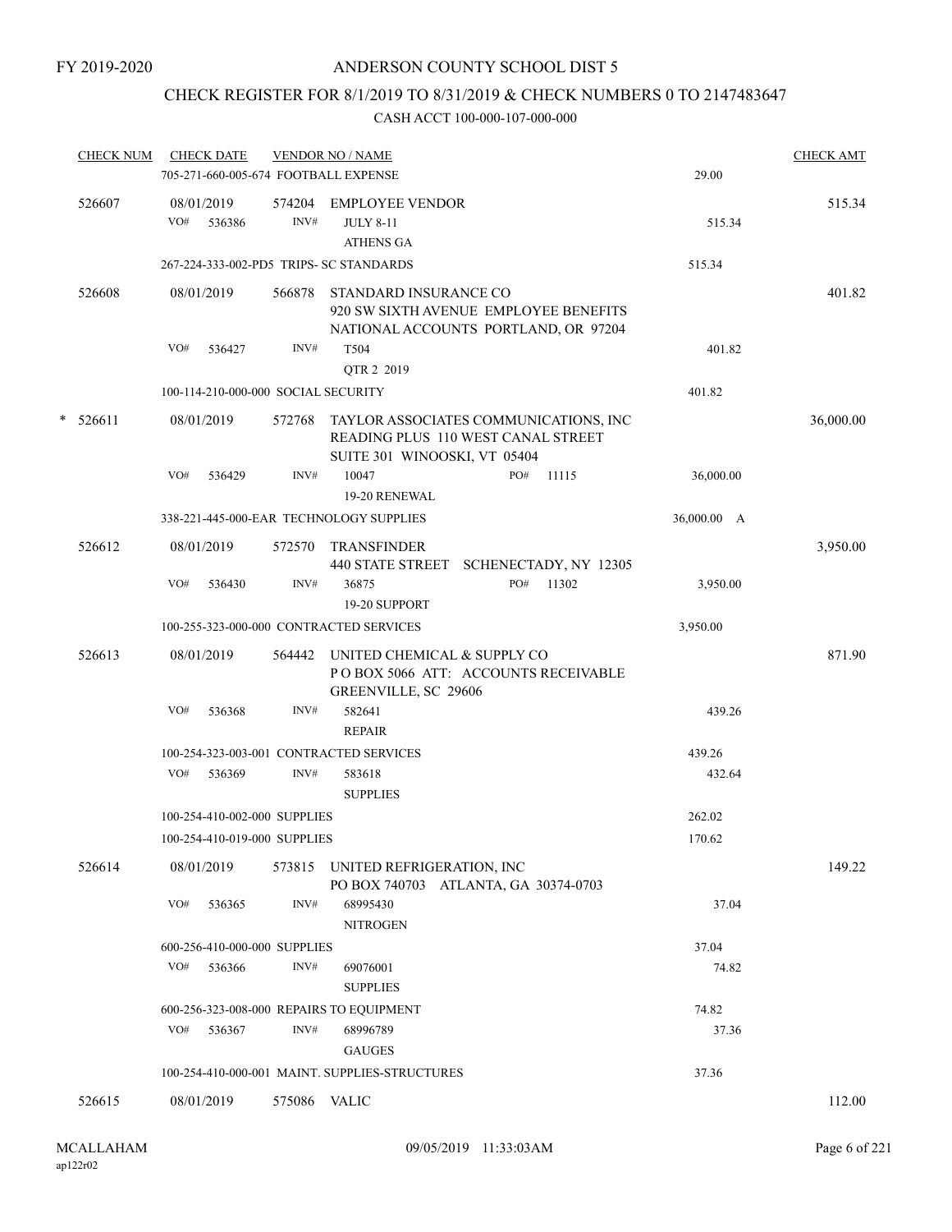## CHECK REGISTER FOR 8/1/2019 TO 8/31/2019 & CHECK NUMBERS 0 TO 2147483647

|   | <b>CHECK NUM</b> | <b>CHECK DATE</b><br>705-271-660-005-674 FOOTBALL EXPENSE |              | <b>VENDOR NO / NAME</b>                                                                                     |     |       | 29.00       | <b>CHECK AMT</b> |
|---|------------------|-----------------------------------------------------------|--------------|-------------------------------------------------------------------------------------------------------------|-----|-------|-------------|------------------|
|   | 526607           | 08/01/2019<br>VO#<br>536386                               | INV#         | 574204 EMPLOYEE VENDOR<br><b>JULY 8-11</b><br><b>ATHENS GA</b>                                              |     |       | 515.34      | 515.34           |
|   |                  | 267-224-333-002-PD5 TRIPS- SC STANDARDS                   |              |                                                                                                             |     |       | 515.34      |                  |
|   | 526608           | 08/01/2019                                                | 566878       | STANDARD INSURANCE CO<br>920 SW SIXTH AVENUE EMPLOYEE BENEFITS<br>NATIONAL ACCOUNTS PORTLAND, OR 97204      |     |       |             | 401.82           |
|   |                  | VO#<br>536427                                             | INV#         | T504<br>QTR 2 2019                                                                                          |     |       | 401.82      |                  |
|   |                  | 100-114-210-000-000 SOCIAL SECURITY                       |              |                                                                                                             |     |       | 401.82      |                  |
| * | 526611           | 08/01/2019                                                | 572768       | TAYLOR ASSOCIATES COMMUNICATIONS, INC<br>READING PLUS 110 WEST CANAL STREET<br>SUITE 301 WINOOSKI, VT 05404 |     |       |             | 36,000.00        |
|   |                  | VO#<br>536429                                             | INV#         | 10047                                                                                                       | PO# | 11115 | 36,000.00   |                  |
|   |                  |                                                           |              | 19-20 RENEWAL                                                                                               |     |       |             |                  |
|   |                  | 338-221-445-000-EAR TECHNOLOGY SUPPLIES                   |              |                                                                                                             |     |       | 36,000.00 A |                  |
|   | 526612           | 08/01/2019                                                | 572570       | <b>TRANSFINDER</b><br>440 STATE STREET SCHENECTADY, NY 12305                                                |     |       |             | 3,950.00         |
|   |                  | VO#<br>536430                                             | INV#         | 36875<br>19-20 SUPPORT                                                                                      | PO# | 11302 | 3,950.00    |                  |
|   |                  | 100-255-323-000-000 CONTRACTED SERVICES                   |              |                                                                                                             |     |       | 3,950.00    |                  |
|   | 526613           | 08/01/2019                                                | 564442       | UNITED CHEMICAL & SUPPLY CO<br>POBOX 5066 ATT: ACCOUNTS RECEIVABLE<br>GREENVILLE, SC 29606                  |     |       |             | 871.90           |
|   |                  | VO#<br>536368                                             | INV#         | 582641<br><b>REPAIR</b>                                                                                     |     |       | 439.26      |                  |
|   |                  | 100-254-323-003-001 CONTRACTED SERVICES                   |              |                                                                                                             |     |       | 439.26      |                  |
|   |                  | VO#<br>536369                                             | INV#         | 583618<br><b>SUPPLIES</b>                                                                                   |     |       | 432.64      |                  |
|   |                  | 100-254-410-002-000 SUPPLIES                              |              |                                                                                                             |     |       | 262.02      |                  |
|   |                  | 100-254-410-019-000 SUPPLIES                              |              |                                                                                                             |     |       | 170.62      |                  |
|   | 526614           | 08/01/2019                                                | 573815       | UNITED REFRIGERATION, INC<br>PO BOX 740703 ATLANTA, GA 30374-0703                                           |     |       |             | 149.22           |
|   |                  | VO#<br>536365                                             | INV#         | 68995430<br><b>NITROGEN</b>                                                                                 |     |       | 37.04       |                  |
|   |                  | 600-256-410-000-000 SUPPLIES                              |              |                                                                                                             |     |       | 37.04       |                  |
|   |                  | VO#<br>536366                                             | INV#         | 69076001<br><b>SUPPLIES</b>                                                                                 |     |       | 74.82       |                  |
|   |                  | 600-256-323-008-000 REPAIRS TO EQUIPMENT                  |              |                                                                                                             |     |       | 74.82       |                  |
|   |                  | VO#<br>536367                                             | INV#         | 68996789<br><b>GAUGES</b>                                                                                   |     |       | 37.36       |                  |
|   |                  |                                                           |              | 100-254-410-000-001 MAINT. SUPPLIES-STRUCTURES                                                              |     |       | 37.36       |                  |
|   | 526615           | 08/01/2019                                                | 575086 VALIC |                                                                                                             |     |       |             | 112.00           |
|   |                  |                                                           |              |                                                                                                             |     |       |             |                  |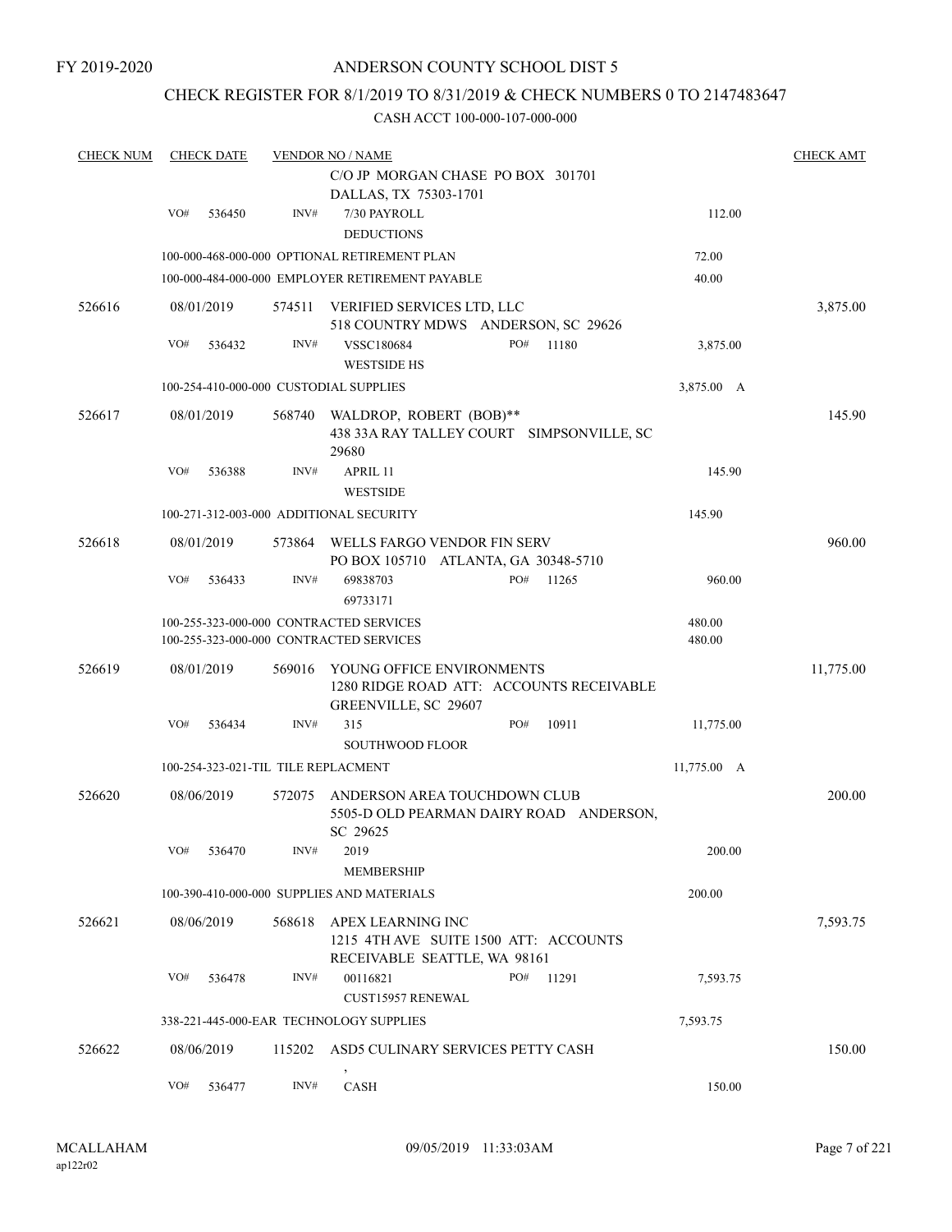### CHECK REGISTER FOR 8/1/2019 TO 8/31/2019 & CHECK NUMBERS 0 TO 2147483647

| <b>CHECK NUM</b> |     | <b>CHECK DATE</b> |        | <b>VENDOR NO / NAME</b>                         |                                           |                     | <b>CHECK AMT</b> |
|------------------|-----|-------------------|--------|-------------------------------------------------|-------------------------------------------|---------------------|------------------|
|                  |     |                   |        | C/O JP MORGAN CHASE PO BOX 301701               |                                           |                     |                  |
|                  |     |                   |        | DALLAS, TX 75303-1701                           |                                           |                     |                  |
|                  | VO# | 536450            | INV#   | 7/30 PAYROLL                                    |                                           | 112.00              |                  |
|                  |     |                   |        | <b>DEDUCTIONS</b>                               |                                           |                     |                  |
|                  |     |                   |        | 100-000-468-000-000 OPTIONAL RETIREMENT PLAN    |                                           | 72.00               |                  |
|                  |     |                   |        | 100-000-484-000-000 EMPLOYER RETIREMENT PAYABLE |                                           | 40.00               |                  |
|                  |     |                   |        |                                                 |                                           |                     |                  |
| 526616           |     | 08/01/2019        | 574511 | VERIFIED SERVICES LTD, LLC                      |                                           |                     | 3,875.00         |
|                  |     |                   |        | 518 COUNTRY MDWS ANDERSON, SC 29626             |                                           |                     |                  |
|                  | VO# | 536432            | INV#   | <b>VSSC180684</b>                               | PO#<br>11180                              | 3,875.00            |                  |
|                  |     |                   |        | <b>WESTSIDE HS</b>                              |                                           |                     |                  |
|                  |     |                   |        | 100-254-410-000-000 CUSTODIAL SUPPLIES          |                                           | 3,875.00 A          |                  |
| 526617           |     | 08/01/2019        | 568740 | WALDROP, ROBERT (BOB)**                         |                                           |                     | 145.90           |
|                  |     |                   |        |                                                 | 438 33A RAY TALLEY COURT SIMPSONVILLE, SC |                     |                  |
|                  |     |                   |        | 29680                                           |                                           |                     |                  |
|                  | VO# | 536388            | INV#   | APRIL 11                                        |                                           | 145.90              |                  |
|                  |     |                   |        | <b>WESTSIDE</b>                                 |                                           |                     |                  |
|                  |     |                   |        | 100-271-312-003-000 ADDITIONAL SECURITY         |                                           | 145.90              |                  |
|                  |     |                   |        |                                                 |                                           |                     |                  |
| 526618           |     | 08/01/2019        | 573864 | WELLS FARGO VENDOR FIN SERV                     |                                           |                     | 960.00           |
|                  |     |                   |        | PO BOX 105710 ATLANTA, GA 30348-5710            |                                           |                     |                  |
|                  | VO# | 536433            | INV#   | 69838703                                        | PO#<br>11265                              | 960.00              |                  |
|                  |     |                   |        | 69733171                                        |                                           |                     |                  |
|                  |     |                   |        | 100-255-323-000-000 CONTRACTED SERVICES         |                                           | 480.00              |                  |
|                  |     |                   |        | 100-255-323-000-000 CONTRACTED SERVICES         |                                           | 480.00              |                  |
| 526619           |     | 08/01/2019        | 569016 | YOUNG OFFICE ENVIRONMENTS                       |                                           |                     | 11,775.00        |
|                  |     |                   |        |                                                 | 1280 RIDGE ROAD ATT: ACCOUNTS RECEIVABLE  |                     |                  |
|                  |     |                   |        | GREENVILLE, SC 29607                            |                                           |                     |                  |
|                  | VO# | 536434            | INV#   | 315                                             | PO#<br>10911                              | 11,775.00           |                  |
|                  |     |                   |        | <b>SOUTHWOOD FLOOR</b>                          |                                           |                     |                  |
|                  |     |                   |        | 100-254-323-021-TIL TILE REPLACMENT             |                                           | $11,775.00 \quad A$ |                  |
|                  |     |                   |        |                                                 |                                           |                     |                  |
| 526620           |     | 08/06/2019        | 572075 | ANDERSON AREA TOUCHDOWN CLUB                    |                                           |                     | 200.00           |
|                  |     |                   |        |                                                 | 5505-D OLD PEARMAN DAIRY ROAD ANDERSON,   |                     |                  |
|                  |     |                   |        | SC 29625                                        |                                           |                     |                  |
|                  | VO# | 536470            | INV#   | 2019                                            |                                           | 200.00              |                  |
|                  |     |                   |        | <b>MEMBERSHIP</b>                               |                                           |                     |                  |
|                  |     |                   |        | 100-390-410-000-000 SUPPLIES AND MATERIALS      |                                           | 200.00              |                  |
| 526621           |     | 08/06/2019        | 568618 | APEX LEARNING INC                               |                                           |                     | 7,593.75         |
|                  |     |                   |        | 1215 4TH AVE SUITE 1500 ATT: ACCOUNTS           |                                           |                     |                  |
|                  |     |                   |        | RECEIVABLE SEATTLE, WA 98161                    |                                           |                     |                  |
|                  | VO# | 536478            | INV#   | 00116821                                        | PO#<br>11291                              | 7,593.75            |                  |
|                  |     |                   |        | <b>CUST15957 RENEWAL</b>                        |                                           |                     |                  |
|                  |     |                   |        | 338-221-445-000-EAR TECHNOLOGY SUPPLIES         |                                           | 7,593.75            |                  |
|                  |     |                   |        |                                                 |                                           |                     |                  |
| 526622           |     | 08/06/2019        | 115202 | ASD5 CULINARY SERVICES PETTY CASH               |                                           |                     | 150.00           |
|                  | VO# | 536477            | INV#   | CASH                                            |                                           | 150.00              |                  |
|                  |     |                   |        |                                                 |                                           |                     |                  |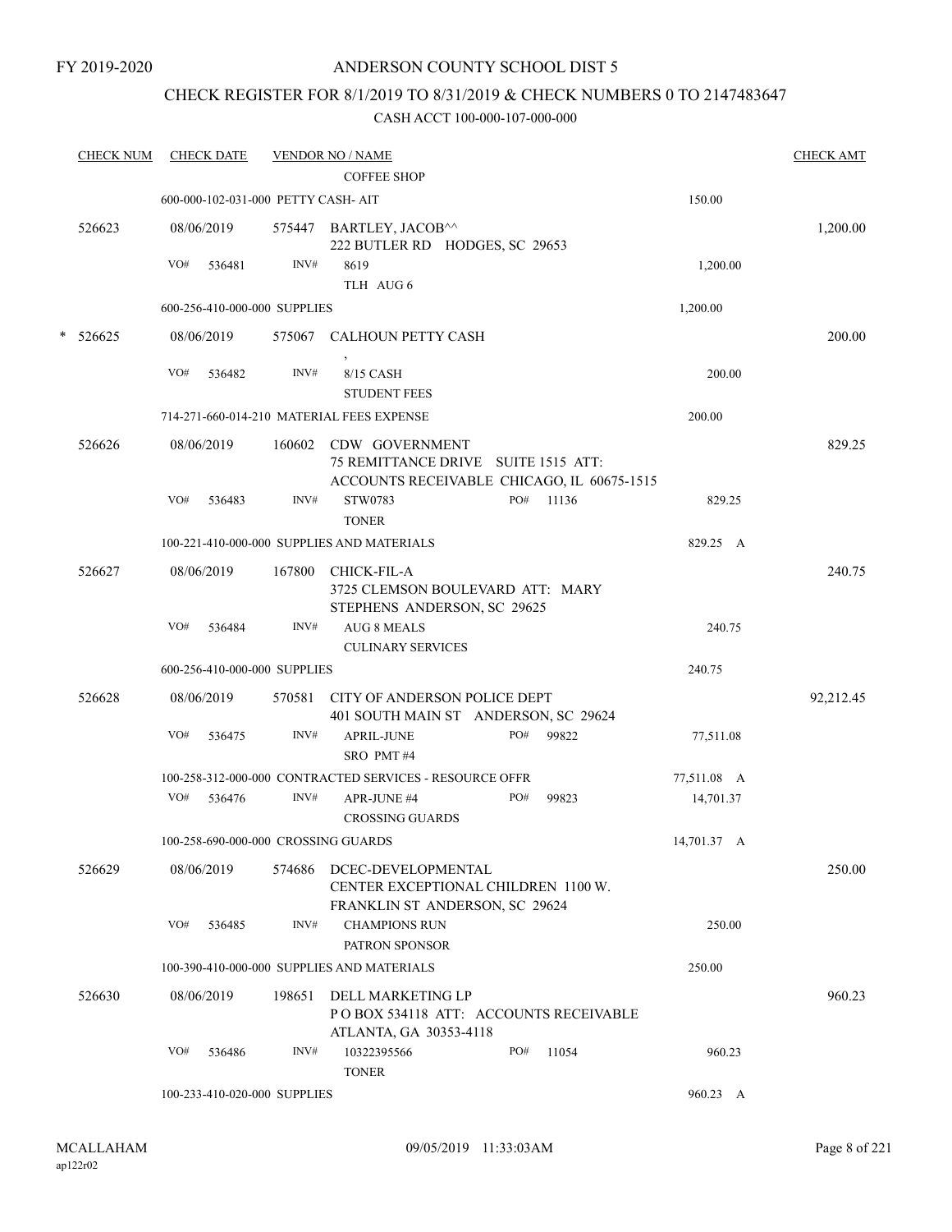### CHECK REGISTER FOR 8/1/2019 TO 8/31/2019 & CHECK NUMBERS 0 TO 2147483647

|   | <b>CHECK NUM</b> |     | <b>CHECK DATE</b> |                                     | <b>VENDOR NO / NAME</b>                                                                                    |     |       |             | <b>CHECK AMT</b> |
|---|------------------|-----|-------------------|-------------------------------------|------------------------------------------------------------------------------------------------------------|-----|-------|-------------|------------------|
|   |                  |     |                   |                                     | <b>COFFEE SHOP</b>                                                                                         |     |       |             |                  |
|   |                  |     |                   | 600-000-102-031-000 PETTY CASH- AIT |                                                                                                            |     |       | 150.00      |                  |
|   | 526623           |     | 08/06/2019        |                                     | 575447 BARTLEY, JACOB^^<br>222 BUTLER RD HODGES, SC 29653                                                  |     |       |             | 1,200.00         |
|   |                  | VO# | 536481            | INV#                                | 8619<br>TLH AUG 6                                                                                          |     |       | 1,200.00    |                  |
|   |                  |     |                   | 600-256-410-000-000 SUPPLIES        |                                                                                                            |     |       | 1,200.00    |                  |
| * | 526625           |     | 08/06/2019        | 575067                              | <b>CALHOUN PETTY CASH</b>                                                                                  |     |       |             | 200.00           |
|   |                  | VO# | 536482            | INV#                                | 8/15 CASH<br><b>STUDENT FEES</b>                                                                           |     |       | 200.00      |                  |
|   |                  |     |                   |                                     | 714-271-660-014-210 MATERIAL FEES EXPENSE                                                                  |     |       | 200.00      |                  |
|   | 526626           |     | 08/06/2019        |                                     | 160602 CDW GOVERNMENT<br>75 REMITTANCE DRIVE SUITE 1515 ATT:<br>ACCOUNTS RECEIVABLE CHICAGO, IL 60675-1515 |     |       |             | 829.25           |
|   |                  | VO# | 536483            | INV#                                | STW0783<br><b>TONER</b>                                                                                    | PO# | 11136 | 829.25      |                  |
|   |                  |     |                   |                                     | 100-221-410-000-000 SUPPLIES AND MATERIALS                                                                 |     |       | 829.25 A    |                  |
|   | 526627           |     | 08/06/2019        | 167800                              | CHICK-FIL-A<br>3725 CLEMSON BOULEVARD ATT: MARY<br>STEPHENS ANDERSON, SC 29625                             |     |       |             | 240.75           |
|   |                  | VO# | 536484            | INV#                                | <b>AUG 8 MEALS</b><br><b>CULINARY SERVICES</b>                                                             |     |       | 240.75      |                  |
|   |                  |     |                   | 600-256-410-000-000 SUPPLIES        |                                                                                                            |     |       | 240.75      |                  |
|   | 526628           |     | 08/06/2019        | 570581                              | CITY OF ANDERSON POLICE DEPT<br>401 SOUTH MAIN ST ANDERSON, SC 29624                                       |     |       |             | 92,212.45        |
|   |                  | VO# | 536475            | INV#                                | <b>APRIL-JUNE</b><br>SRO PMT#4                                                                             | PO# | 99822 | 77,511.08   |                  |
|   |                  |     |                   |                                     | 100-258-312-000-000 CONTRACTED SERVICES - RESOURCE OFFR                                                    |     |       | 77,511.08 A |                  |
|   |                  | VO# | 536476            | INV#                                | APR-JUNE #4<br><b>CROSSING GUARDS</b>                                                                      | PO# | 99823 | 14,701.37   |                  |
|   |                  |     |                   |                                     | 100-258-690-000-000 CROSSING GUARDS                                                                        |     |       | 14,701.37 A |                  |
|   | 526629           |     | 08/06/2019        | 574686                              | DCEC-DEVELOPMENTAL<br>CENTER EXCEPTIONAL CHILDREN 1100 W.<br>FRANKLIN ST ANDERSON, SC 29624                |     |       |             | 250.00           |
|   |                  | VO# | 536485            | INV#                                | <b>CHAMPIONS RUN</b><br>PATRON SPONSOR                                                                     |     |       | 250.00      |                  |
|   |                  |     |                   |                                     | 100-390-410-000-000 SUPPLIES AND MATERIALS                                                                 |     |       | 250.00      |                  |
|   | 526630           |     | 08/06/2019        | 198651                              | DELL MARKETING LP<br>PO BOX 534118 ATT: ACCOUNTS RECEIVABLE<br>ATLANTA, GA 30353-4118                      |     |       |             | 960.23           |
|   |                  | VO# | 536486            | INV#                                | 10322395566<br><b>TONER</b>                                                                                | PO# | 11054 | 960.23      |                  |
|   |                  |     |                   | 100-233-410-020-000 SUPPLIES        |                                                                                                            |     |       | 960.23 A    |                  |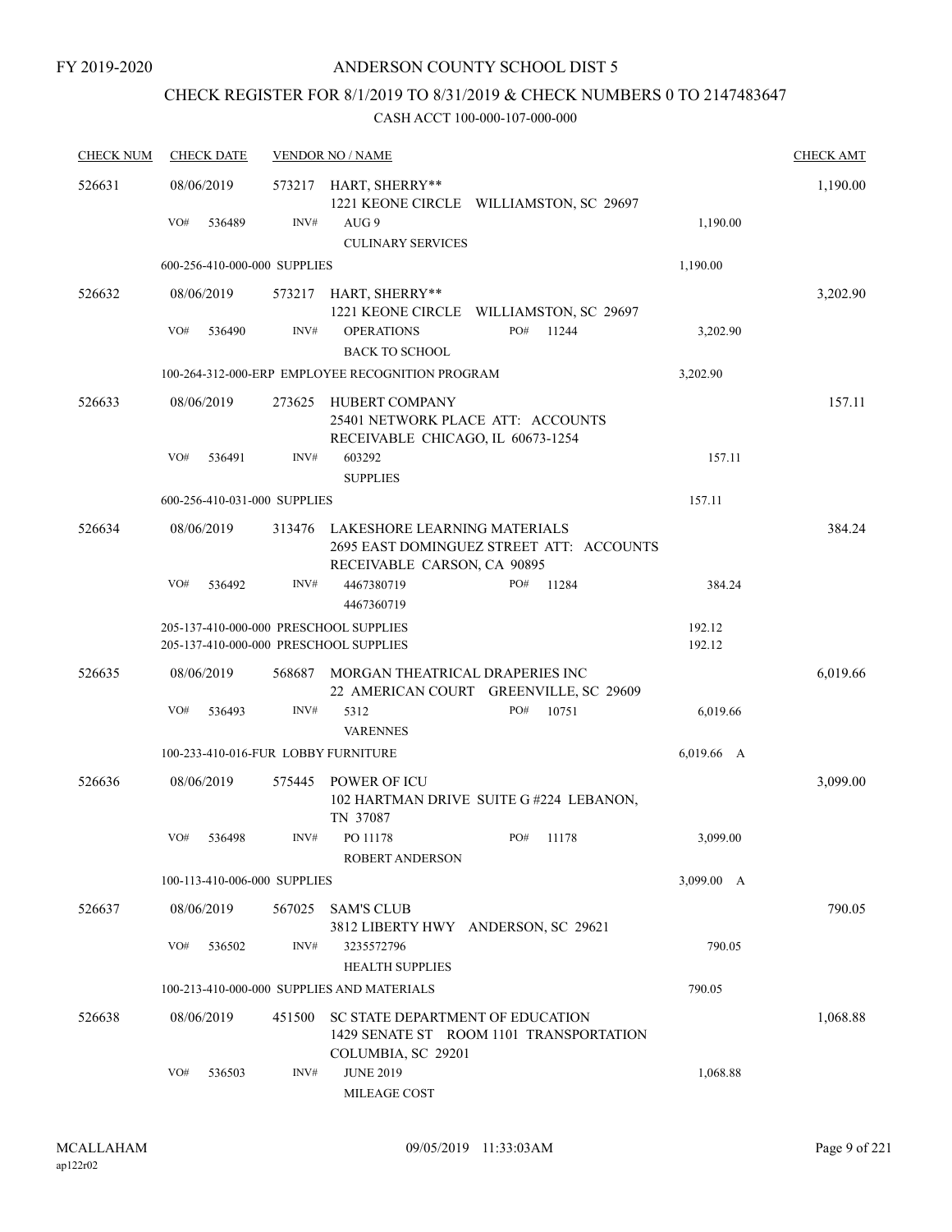# CHECK REGISTER FOR 8/1/2019 TO 8/31/2019 & CHECK NUMBERS 0 TO 2147483647

| <b>CHECK NUM</b> | <b>CHECK DATE</b>                                                                |        | <b>VENDOR NO / NAME</b>                                                                  |                                          |                  |          |  |  |  |
|------------------|----------------------------------------------------------------------------------|--------|------------------------------------------------------------------------------------------|------------------------------------------|------------------|----------|--|--|--|
| 526631           | 08/06/2019                                                                       | 573217 | HART, SHERRY**                                                                           | 1221 KEONE CIRCLE WILLIAMSTON, SC 29697  |                  | 1,190.00 |  |  |  |
|                  | VO#<br>536489                                                                    | INV#   | AUG 9<br><b>CULINARY SERVICES</b>                                                        |                                          | 1,190.00         |          |  |  |  |
|                  | 600-256-410-000-000 SUPPLIES                                                     |        |                                                                                          |                                          | 1,190.00         |          |  |  |  |
| 526632           | 08/06/2019                                                                       | 573217 | HART, SHERRY**                                                                           | 1221 KEONE CIRCLE WILLIAMSTON, SC 29697  |                  | 3,202.90 |  |  |  |
|                  | VO#<br>536490                                                                    | INV#   | <b>OPERATIONS</b><br><b>BACK TO SCHOOL</b>                                               | PO#<br>11244                             | 3,202.90         |          |  |  |  |
|                  |                                                                                  |        | 100-264-312-000-ERP EMPLOYEE RECOGNITION PROGRAM                                         |                                          | 3,202.90         |          |  |  |  |
| 526633           | 08/06/2019                                                                       | 273625 | HUBERT COMPANY<br>25401 NETWORK PLACE ATT: ACCOUNTS<br>RECEIVABLE CHICAGO, IL 60673-1254 |                                          |                  | 157.11   |  |  |  |
|                  | VO#<br>536491                                                                    | INV#   | 603292<br><b>SUPPLIES</b>                                                                |                                          | 157.11           |          |  |  |  |
|                  | 600-256-410-031-000 SUPPLIES                                                     |        |                                                                                          |                                          | 157.11           |          |  |  |  |
| 526634           | 08/06/2019                                                                       | 313476 | LAKESHORE LEARNING MATERIALS<br>RECEIVABLE CARSON, CA 90895                              | 2695 EAST DOMINGUEZ STREET ATT: ACCOUNTS |                  | 384.24   |  |  |  |
|                  | VO#<br>536492                                                                    | INV#   | 4467380719<br>4467360719                                                                 | PO#<br>11284                             | 384.24           |          |  |  |  |
|                  | 205-137-410-000-000 PRESCHOOL SUPPLIES<br>205-137-410-000-000 PRESCHOOL SUPPLIES |        |                                                                                          |                                          | 192.12<br>192.12 |          |  |  |  |
| 526635           | 08/06/2019                                                                       | 568687 | MORGAN THEATRICAL DRAPERIES INC                                                          | 22 AMERICAN COURT GREENVILLE, SC 29609   |                  | 6,019.66 |  |  |  |
|                  | VO#<br>536493                                                                    | INV#   | 5312<br><b>VARENNES</b>                                                                  | PO#<br>10751                             | 6,019.66         |          |  |  |  |
|                  | 100-233-410-016-FUR LOBBY FURNITURE                                              |        |                                                                                          |                                          | 6,019.66 A       |          |  |  |  |
| 526636           | 08/06/2019                                                                       | 575445 | POWER OF ICU<br>TN 37087                                                                 | 102 HARTMAN DRIVE SUITE G#224 LEBANON,   |                  | 3,099.00 |  |  |  |
|                  | VO#<br>536498                                                                    | INV#   | PO 11178<br><b>ROBERT ANDERSON</b>                                                       | PO#<br>11178                             | 3,099.00         |          |  |  |  |
|                  | 100-113-410-006-000 SUPPLIES                                                     |        |                                                                                          |                                          | 3,099.00 A       |          |  |  |  |
| 526637           | 08/06/2019                                                                       | 567025 | <b>SAM'S CLUB</b><br>3812 LIBERTY HWY ANDERSON, SC 29621                                 |                                          |                  | 790.05   |  |  |  |
|                  | VO#<br>536502                                                                    | INV#   | 3235572796<br><b>HEALTH SUPPLIES</b>                                                     |                                          | 790.05           |          |  |  |  |
|                  |                                                                                  |        | 100-213-410-000-000 SUPPLIES AND MATERIALS                                               |                                          | 790.05           |          |  |  |  |
| 526638           | 08/06/2019                                                                       | 451500 | SC STATE DEPARTMENT OF EDUCATION<br>COLUMBIA, SC 29201                                   | 1429 SENATE ST ROOM 1101 TRANSPORTATION  |                  | 1,068.88 |  |  |  |
|                  | VO#<br>536503                                                                    | INV#   | <b>JUNE 2019</b><br>MILEAGE COST                                                         |                                          | 1,068.88         |          |  |  |  |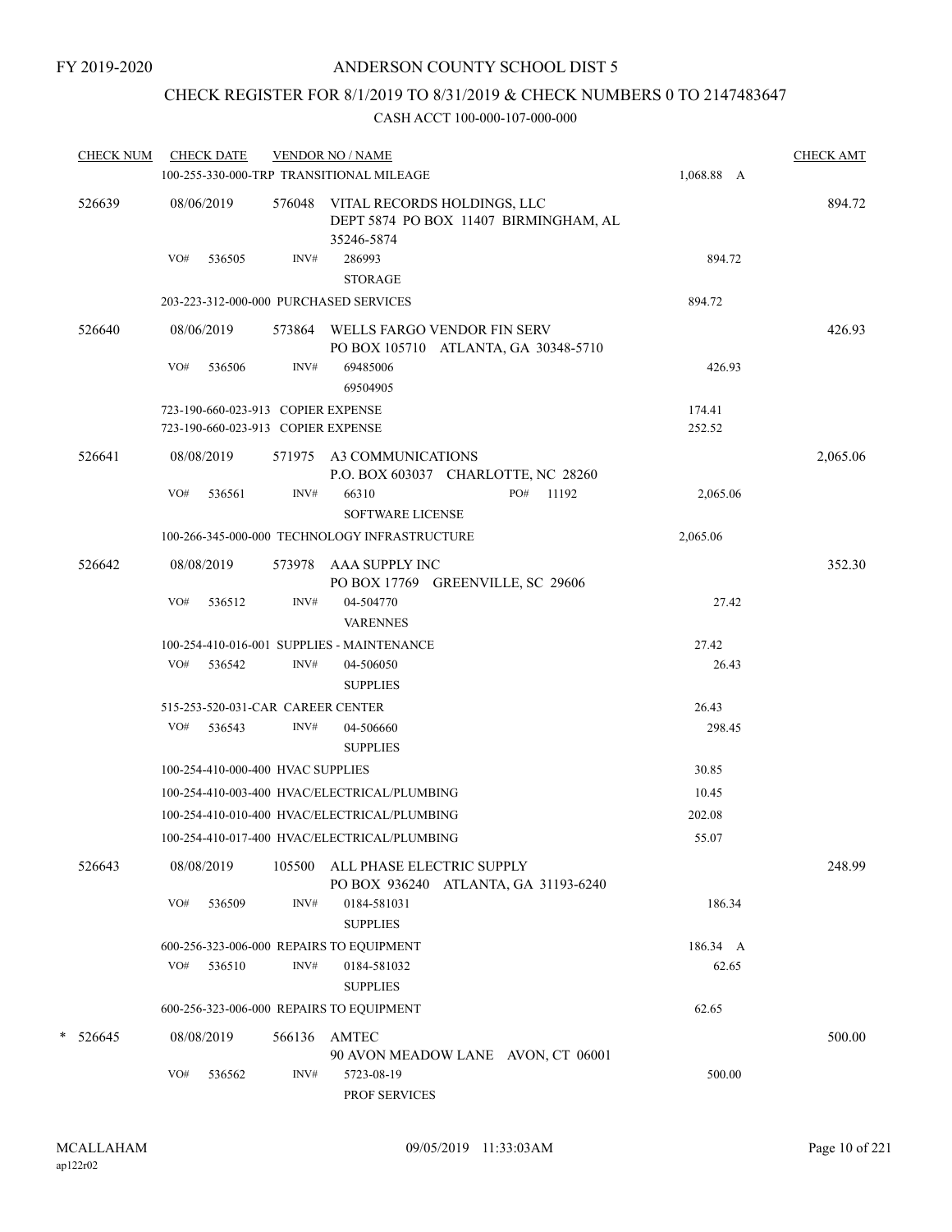# CHECK REGISTER FOR 8/1/2019 TO 8/31/2019 & CHECK NUMBERS 0 TO 2147483647

|        | CHECK NUM CHECK DATE |            |                                                                          |        | <b>VENDOR NO / NAME</b><br>100-255-330-000-TRP TRANSITIONAL MILEAGE                       | <b>CHECK AMT</b><br>1,068.88 A |          |  |
|--------|----------------------|------------|--------------------------------------------------------------------------|--------|-------------------------------------------------------------------------------------------|--------------------------------|----------|--|
| 526639 |                      | 08/06/2019 |                                                                          |        | 576048 VITAL RECORDS HOLDINGS, LLC<br>DEPT 5874 PO BOX 11407 BIRMINGHAM, AL<br>35246-5874 |                                | 894.72   |  |
|        |                      | VO#        | 536505                                                                   | INV#   | 286993<br><b>STORAGE</b>                                                                  | 894.72                         |          |  |
|        |                      |            |                                                                          |        | 203-223-312-000-000 PURCHASED SERVICES                                                    | 894.72                         |          |  |
|        | 526640               | 08/06/2019 |                                                                          |        | 573864 WELLS FARGO VENDOR FIN SERV<br>PO BOX 105710 ATLANTA, GA 30348-5710                |                                | 426.93   |  |
|        |                      | VO#        | 536506                                                                   | INV#   | 69485006<br>69504905                                                                      | 426.93                         |          |  |
|        |                      |            | 723-190-660-023-913 COPIER EXPENSE<br>723-190-660-023-913 COPIER EXPENSE |        |                                                                                           | 174.41<br>252.52               |          |  |
|        | 526641               | 08/08/2019 |                                                                          |        | 571975 A3 COMMUNICATIONS<br>P.O. BOX 603037 CHARLOTTE, NC 28260                           |                                | 2,065.06 |  |
|        |                      | VO#        | 536561                                                                   | INV#   | PO# 11192<br>66310<br><b>SOFTWARE LICENSE</b>                                             | 2,065.06                       |          |  |
|        |                      |            |                                                                          |        | 100-266-345-000-000 TECHNOLOGY INFRASTRUCTURE                                             | 2,065.06                       |          |  |
|        | 526642               | 08/08/2019 |                                                                          |        | 573978 AAA SUPPLY INC<br>PO BOX 17769 GREENVILLE, SC 29606                                |                                | 352.30   |  |
|        |                      | VO#        | 536512                                                                   | INV#   | 04-504770<br><b>VARENNES</b>                                                              | 27.42                          |          |  |
|        |                      |            |                                                                          |        | 100-254-410-016-001 SUPPLIES - MAINTENANCE                                                | 27.42                          |          |  |
|        |                      |            | VO# 536542                                                               | INV#   | 04-506050<br><b>SUPPLIES</b>                                                              | 26.43                          |          |  |
|        |                      |            |                                                                          |        | 515-253-520-031-CAR CAREER CENTER                                                         | 26.43                          |          |  |
|        |                      | VO#        | 536543                                                                   | INV#   | 04-506660<br><b>SUPPLIES</b>                                                              | 298.45                         |          |  |
|        |                      |            | 100-254-410-000-400 HVAC SUPPLIES                                        |        |                                                                                           | 30.85                          |          |  |
|        |                      |            |                                                                          |        | 100-254-410-003-400 HVAC/ELECTRICAL/PLUMBING                                              | 10.45                          |          |  |
|        |                      |            |                                                                          |        | 100-254-410-010-400 HVAC/ELECTRICAL/PLUMBING                                              | 202.08                         |          |  |
|        |                      |            |                                                                          |        | 100-254-410-017-400 HVAC/ELECTRICAL/PLUMBING                                              | 55.07                          |          |  |
|        | 526643               | 08/08/2019 |                                                                          | 105500 | ALL PHASE ELECTRIC SUPPLY<br>PO BOX 936240 ATLANTA, GA 31193-6240                         |                                | 248.99   |  |
|        |                      | VO#        | 536509                                                                   | INV#   | 0184-581031<br><b>SUPPLIES</b>                                                            | 186.34                         |          |  |
|        |                      |            |                                                                          |        | 600-256-323-006-000 REPAIRS TO EQUIPMENT                                                  | 186.34 A                       |          |  |
|        |                      | VO#        | 536510                                                                   | INV#   | 0184-581032<br><b>SUPPLIES</b>                                                            | 62.65                          |          |  |
|        |                      |            |                                                                          |        | 600-256-323-006-000 REPAIRS TO EQUIPMENT                                                  | 62.65                          |          |  |
|        | $* 526645$           | 08/08/2019 |                                                                          | 566136 | AMTEC<br>90 AVON MEADOW LANE AVON, CT 06001                                               |                                | 500.00   |  |
|        |                      | VO#        | 536562                                                                   | INV#   | 5723-08-19<br>PROF SERVICES                                                               | 500.00                         |          |  |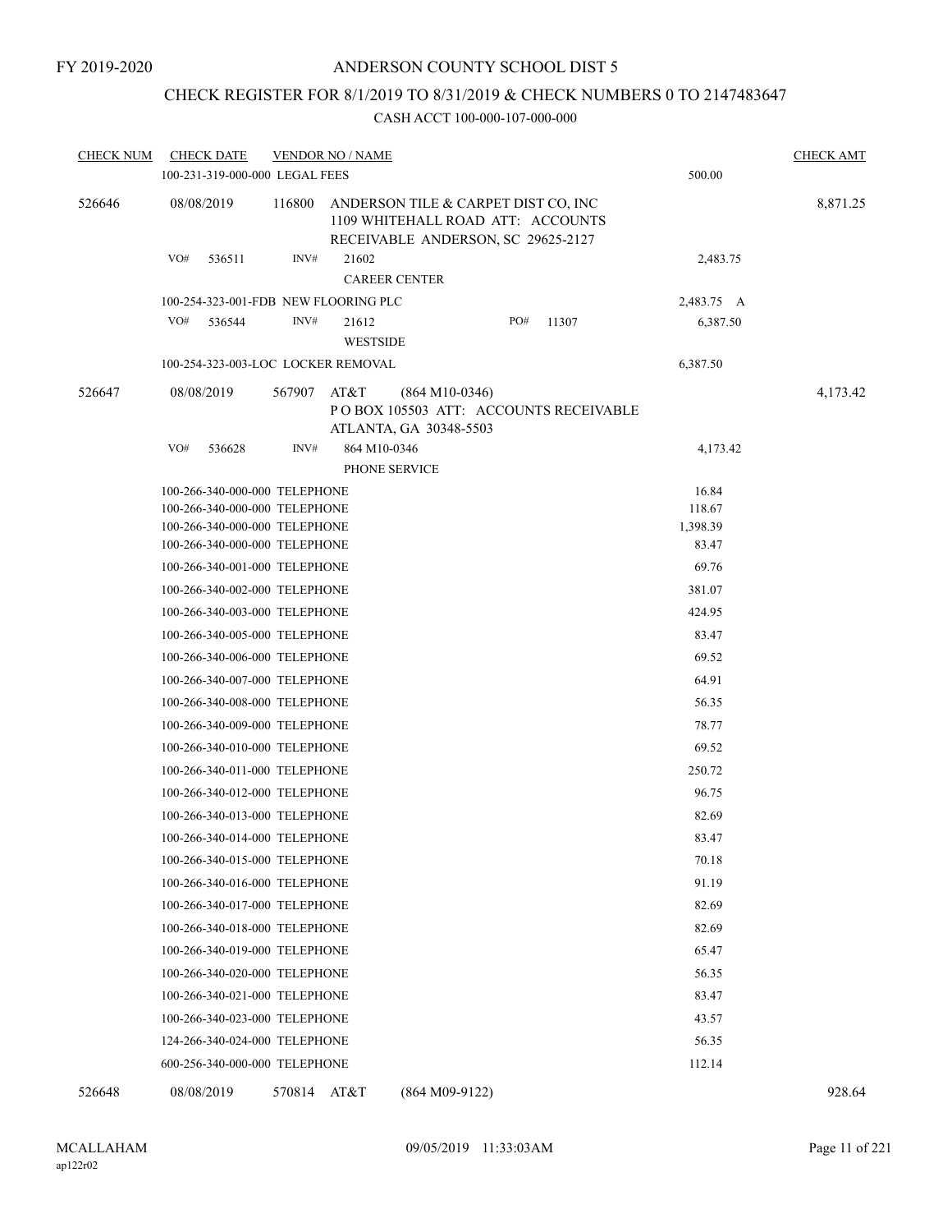# CHECK REGISTER FOR 8/1/2019 TO 8/31/2019 & CHECK NUMBERS 0 TO 2147483647

| <b>CHECK NUM</b> |            | <b>CHECK DATE</b>                                                                                                                                                                                                                                                                                                                                                                                                                                                                                                                                                                                                                                                                                                 |        | <b>VENDOR NO / NAME</b>  |                                                                                                                |     |                                        |                                                                                                                                                                                                  | <b>CHECK AMT</b> |
|------------------|------------|-------------------------------------------------------------------------------------------------------------------------------------------------------------------------------------------------------------------------------------------------------------------------------------------------------------------------------------------------------------------------------------------------------------------------------------------------------------------------------------------------------------------------------------------------------------------------------------------------------------------------------------------------------------------------------------------------------------------|--------|--------------------------|----------------------------------------------------------------------------------------------------------------|-----|----------------------------------------|--------------------------------------------------------------------------------------------------------------------------------------------------------------------------------------------------|------------------|
|                  |            | 100-231-319-000-000 LEGAL FEES                                                                                                                                                                                                                                                                                                                                                                                                                                                                                                                                                                                                                                                                                    |        |                          |                                                                                                                |     |                                        | 500.00                                                                                                                                                                                           |                  |
| 526646           | 08/08/2019 |                                                                                                                                                                                                                                                                                                                                                                                                                                                                                                                                                                                                                                                                                                                   | 116800 |                          | ANDERSON TILE & CARPET DIST CO, INC<br>1109 WHITEHALL ROAD ATT: ACCOUNTS<br>RECEIVABLE ANDERSON, SC 29625-2127 |     |                                        |                                                                                                                                                                                                  | 8,871.25         |
|                  | VO#        | 536511                                                                                                                                                                                                                                                                                                                                                                                                                                                                                                                                                                                                                                                                                                            | INV#   | 21602                    | <b>CAREER CENTER</b>                                                                                           |     |                                        | 2,483.75                                                                                                                                                                                         |                  |
|                  |            | 100-254-323-001-FDB NEW FLOORING PLC                                                                                                                                                                                                                                                                                                                                                                                                                                                                                                                                                                                                                                                                              |        |                          |                                                                                                                |     |                                        | 2,483.75 A                                                                                                                                                                                       |                  |
|                  | VO#        | 536544                                                                                                                                                                                                                                                                                                                                                                                                                                                                                                                                                                                                                                                                                                            | INV#   | 21612<br><b>WESTSIDE</b> |                                                                                                                | PO# | 11307                                  | 6,387.50                                                                                                                                                                                         |                  |
|                  |            | 100-254-323-003-LOC LOCKER REMOVAL                                                                                                                                                                                                                                                                                                                                                                                                                                                                                                                                                                                                                                                                                |        |                          |                                                                                                                |     |                                        | 6,387.50                                                                                                                                                                                         |                  |
| 526647           | 08/08/2019 |                                                                                                                                                                                                                                                                                                                                                                                                                                                                                                                                                                                                                                                                                                                   | 567907 | AT&T                     | $(864 M10-0346)$<br>ATLANTA, GA 30348-5503                                                                     |     | PO BOX 105503 ATT: ACCOUNTS RECEIVABLE |                                                                                                                                                                                                  | 4,173.42         |
|                  | VO#        | 536628                                                                                                                                                                                                                                                                                                                                                                                                                                                                                                                                                                                                                                                                                                            | INV#   | 864 M10-0346             | PHONE SERVICE                                                                                                  |     |                                        | 4,173.42                                                                                                                                                                                         |                  |
|                  |            | 100-266-340-000-000 TELEPHONE<br>100-266-340-000-000 TELEPHONE<br>100-266-340-000-000 TELEPHONE<br>100-266-340-001-000 TELEPHONE<br>100-266-340-002-000 TELEPHONE<br>100-266-340-003-000 TELEPHONE<br>100-266-340-005-000 TELEPHONE<br>100-266-340-006-000 TELEPHONE<br>100-266-340-007-000 TELEPHONE<br>100-266-340-008-000 TELEPHONE<br>100-266-340-009-000 TELEPHONE<br>100-266-340-010-000 TELEPHONE<br>100-266-340-011-000 TELEPHONE<br>100-266-340-012-000 TELEPHONE<br>100-266-340-013-000 TELEPHONE<br>100-266-340-014-000 TELEPHONE<br>100-266-340-015-000 TELEPHONE<br>100-266-340-016-000 TELEPHONE<br>100-266-340-017-000 TELEPHONE<br>100-266-340-018-000 TELEPHONE<br>100-266-340-019-000 TELEPHONE |        |                          |                                                                                                                |     |                                        | 118.67<br>1,398.39<br>83.47<br>69.76<br>381.07<br>424.95<br>83.47<br>69.52<br>64.91<br>56.35<br>78.77<br>69.52<br>250.72<br>96.75<br>82.69<br>83.47<br>70.18<br>91.19<br>82.69<br>82.69<br>65.47 |                  |
|                  |            | 100-266-340-020-000 TELEPHONE<br>100-266-340-021-000 TELEPHONE<br>100-266-340-023-000 TELEPHONE<br>124-266-340-024-000 TELEPHONE                                                                                                                                                                                                                                                                                                                                                                                                                                                                                                                                                                                  |        |                          |                                                                                                                |     |                                        | 56.35<br>83.47<br>43.57<br>56.35                                                                                                                                                                 |                  |
|                  |            | 600-256-340-000-000 TELEPHONE                                                                                                                                                                                                                                                                                                                                                                                                                                                                                                                                                                                                                                                                                     |        |                          |                                                                                                                |     |                                        | 112.14                                                                                                                                                                                           |                  |
| 526648           | 08/08/2019 |                                                                                                                                                                                                                                                                                                                                                                                                                                                                                                                                                                                                                                                                                                                   | 570814 | AT&T                     | $(864 M09-9122)$                                                                                               |     |                                        |                                                                                                                                                                                                  | 928.64           |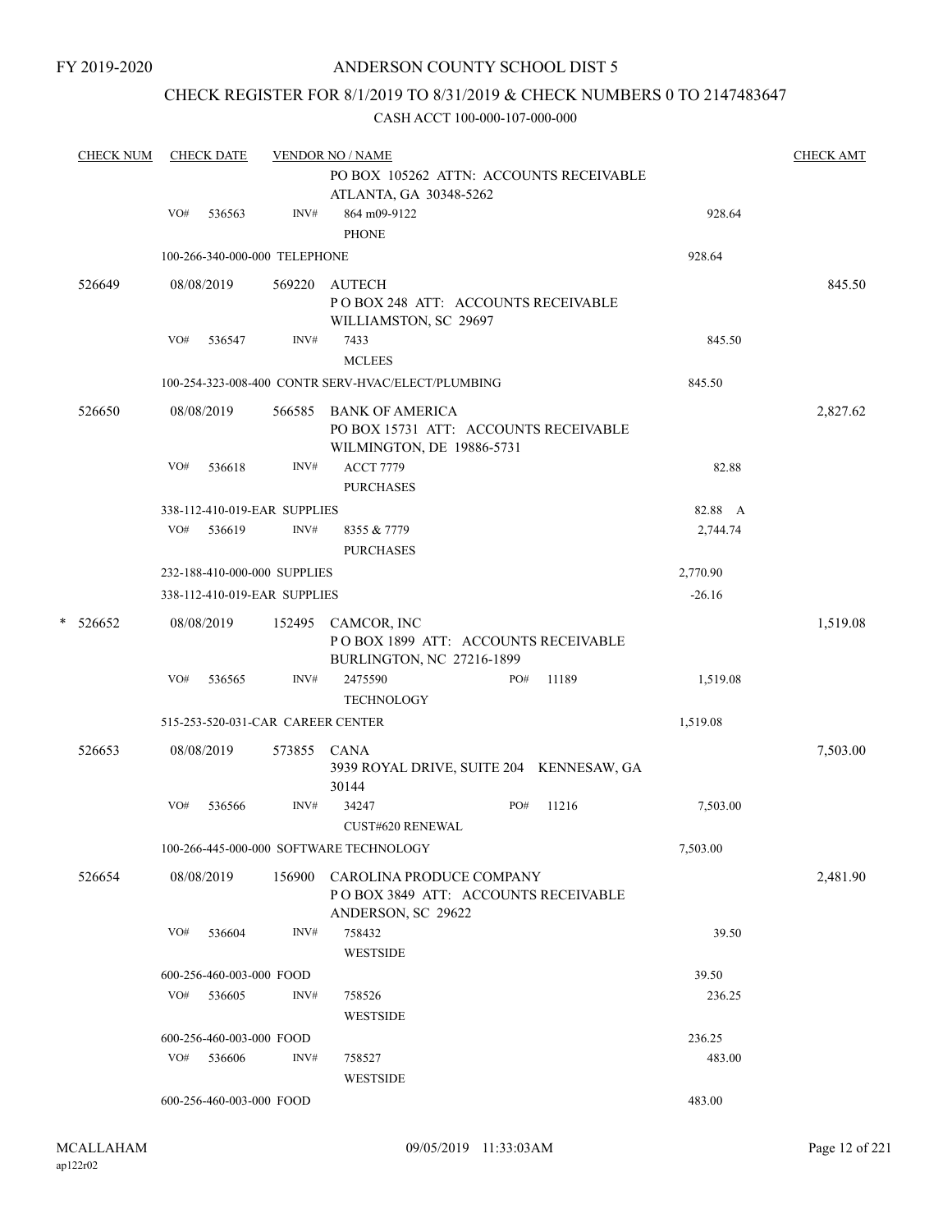### CHECK REGISTER FOR 8/1/2019 TO 8/31/2019 & CHECK NUMBERS 0 TO 2147483647

| <b>CHECK NUM</b> | <b>CHECK DATE</b> |                                   |             | <b>VENDOR NO / NAME</b>                                   |     | <b>CHECK AMT</b> |          |          |
|------------------|-------------------|-----------------------------------|-------------|-----------------------------------------------------------|-----|------------------|----------|----------|
|                  |                   |                                   |             | PO BOX 105262 ATTN: ACCOUNTS RECEIVABLE                   |     |                  |          |          |
|                  |                   |                                   |             | ATLANTA, GA 30348-5262                                    |     |                  |          |          |
|                  | VO#               | 536563                            | INV#        | 864 m09-9122                                              |     |                  | 928.64   |          |
|                  |                   |                                   |             | <b>PHONE</b>                                              |     |                  |          |          |
|                  |                   | 100-266-340-000-000 TELEPHONE     |             |                                                           |     |                  | 928.64   |          |
| 526649           |                   | 08/08/2019                        | 569220      | <b>AUTECH</b>                                             |     |                  |          | 845.50   |
|                  |                   |                                   |             | PO BOX 248 ATT: ACCOUNTS RECEIVABLE                       |     |                  |          |          |
|                  |                   |                                   |             | WILLIAMSTON, SC 29697                                     |     |                  |          |          |
|                  | VO#               | 536547                            | INV#        | 7433                                                      |     |                  | 845.50   |          |
|                  |                   |                                   |             | <b>MCLEES</b>                                             |     |                  |          |          |
|                  |                   |                                   |             | 100-254-323-008-400 CONTR SERV-HVAC/ELECT/PLUMBING        |     |                  | 845.50   |          |
| 526650           |                   | 08/08/2019                        | 566585      | <b>BANK OF AMERICA</b>                                    |     |                  |          | 2,827.62 |
|                  |                   |                                   |             | PO BOX 15731 ATT: ACCOUNTS RECEIVABLE                     |     |                  |          |          |
|                  |                   |                                   |             | WILMINGTON, DE 19886-5731                                 |     |                  |          |          |
|                  | VO#               | 536618                            | INV#        | <b>ACCT 7779</b>                                          |     |                  | 82.88    |          |
|                  |                   |                                   |             | <b>PURCHASES</b>                                          |     |                  |          |          |
|                  |                   | 338-112-410-019-EAR SUPPLIES      |             |                                                           |     |                  | 82.88 A  |          |
|                  | VO#               | 536619                            | INV#        | 8355 & 7779                                               |     |                  | 2,744.74 |          |
|                  |                   |                                   |             | <b>PURCHASES</b>                                          |     |                  |          |          |
|                  |                   | 232-188-410-000-000 SUPPLIES      |             |                                                           |     |                  | 2,770.90 |          |
|                  |                   | 338-112-410-019-EAR SUPPLIES      |             |                                                           |     |                  | $-26.16$ |          |
|                  |                   |                                   |             |                                                           |     |                  |          |          |
| * 526652         |                   | 08/08/2019                        |             | 152495 CAMCOR, INC<br>POBOX 1899 ATT: ACCOUNTS RECEIVABLE |     |                  |          | 1,519.08 |
|                  |                   |                                   |             | BURLINGTON, NC 27216-1899                                 |     |                  |          |          |
|                  | VO#               | 536565                            | INV#        | 2475590                                                   | PO# | 11189            | 1,519.08 |          |
|                  |                   |                                   |             | <b>TECHNOLOGY</b>                                         |     |                  |          |          |
|                  |                   | 515-253-520-031-CAR CAREER CENTER |             |                                                           |     |                  | 1,519.08 |          |
|                  |                   |                                   |             |                                                           |     |                  |          |          |
| 526653           |                   | 08/08/2019                        | 573855 CANA |                                                           |     |                  |          | 7,503.00 |
|                  |                   |                                   |             | 3939 ROYAL DRIVE, SUITE 204 KENNESAW, GA<br>30144         |     |                  |          |          |
|                  | VO#               | 536566                            | INV#        | 34247                                                     | PO# | 11216            | 7,503.00 |          |
|                  |                   |                                   |             | <b>CUST#620 RENEWAL</b>                                   |     |                  |          |          |
|                  |                   |                                   |             |                                                           |     |                  |          |          |
|                  |                   |                                   |             | 100-266-445-000-000 SOFTWARE TECHNOLOGY                   |     |                  | 7,503.00 |          |
| 526654           |                   | 08/08/2019                        | 156900      | CAROLINA PRODUCE COMPANY                                  |     |                  |          | 2,481.90 |
|                  |                   |                                   |             | POBOX 3849 ATT: ACCOUNTS RECEIVABLE                       |     |                  |          |          |
|                  |                   |                                   |             | ANDERSON, SC 29622                                        |     |                  |          |          |
|                  | VO#               | 536604                            | INV#        | 758432                                                    |     |                  | 39.50    |          |
|                  |                   |                                   |             | <b>WESTSIDE</b>                                           |     |                  |          |          |
|                  |                   | 600-256-460-003-000 FOOD          |             |                                                           |     |                  | 39.50    |          |
|                  | VO#               | 536605                            | INV#        | 758526                                                    |     |                  | 236.25   |          |
|                  |                   |                                   |             | <b>WESTSIDE</b>                                           |     |                  |          |          |
|                  |                   | 600-256-460-003-000 FOOD          |             |                                                           |     |                  | 236.25   |          |
|                  | VO#               | 536606                            | INV#        | 758527                                                    |     |                  | 483.00   |          |
|                  |                   |                                   |             | <b>WESTSIDE</b>                                           |     |                  |          |          |
|                  |                   | 600-256-460-003-000 FOOD          |             |                                                           |     |                  | 483.00   |          |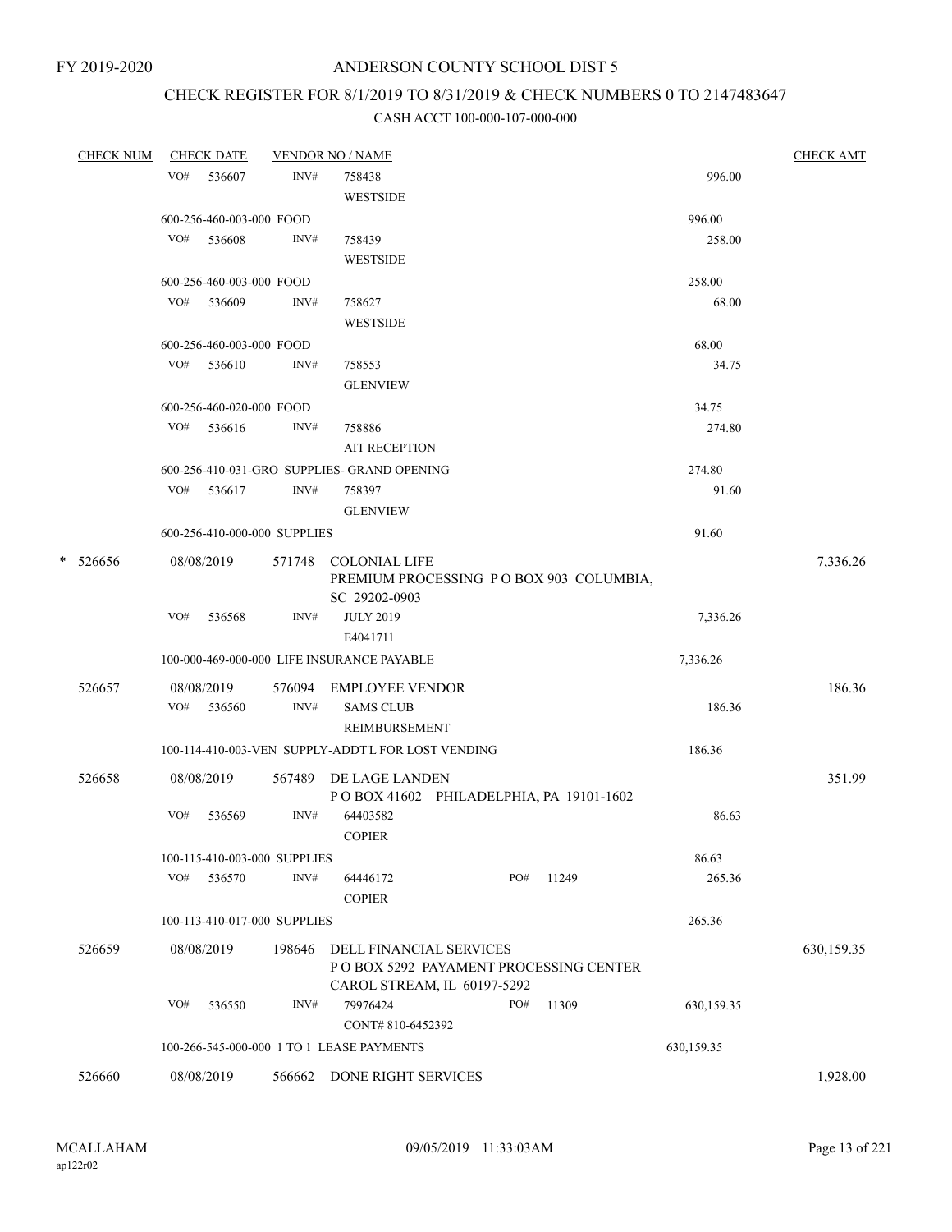# CHECK REGISTER FOR 8/1/2019 TO 8/31/2019 & CHECK NUMBERS 0 TO 2147483647

|   | <b>CHECK NUM</b> |     | <b>CHECK DATE</b>        |                              | <b>VENDOR NO / NAME</b>                                                                         |     |       |            | <b>CHECK AMT</b> |
|---|------------------|-----|--------------------------|------------------------------|-------------------------------------------------------------------------------------------------|-----|-------|------------|------------------|
|   |                  | VO# | 536607                   | INV#                         | 758438                                                                                          |     |       | 996.00     |                  |
|   |                  |     |                          |                              | <b>WESTSIDE</b>                                                                                 |     |       |            |                  |
|   |                  |     | 600-256-460-003-000 FOOD |                              |                                                                                                 |     |       | 996.00     |                  |
|   |                  | VO# | 536608                   | INV#                         | 758439                                                                                          |     |       | 258.00     |                  |
|   |                  |     |                          |                              | <b>WESTSIDE</b>                                                                                 |     |       |            |                  |
|   |                  |     | 600-256-460-003-000 FOOD |                              |                                                                                                 |     |       | 258.00     |                  |
|   |                  |     | VO# 536609               | INV#                         | 758627                                                                                          |     |       | 68.00      |                  |
|   |                  |     |                          |                              | WESTSIDE                                                                                        |     |       |            |                  |
|   |                  |     | 600-256-460-003-000 FOOD |                              |                                                                                                 |     |       | 68.00      |                  |
|   |                  |     | $VO#$ 536610             | INV#                         | 758553                                                                                          |     |       | 34.75      |                  |
|   |                  |     |                          |                              | <b>GLENVIEW</b>                                                                                 |     |       |            |                  |
|   |                  |     | 600-256-460-020-000 FOOD |                              |                                                                                                 |     |       | 34.75      |                  |
|   |                  | VO# | 536616                   | INV#                         | 758886                                                                                          |     |       | 274.80     |                  |
|   |                  |     |                          |                              | <b>AIT RECEPTION</b>                                                                            |     |       |            |                  |
|   |                  |     |                          |                              | 600-256-410-031-GRO SUPPLIES- GRAND OPENING                                                     |     |       | 274.80     |                  |
|   |                  |     | VO# 536617               | INV#                         | 758397                                                                                          |     |       | 91.60      |                  |
|   |                  |     |                          |                              | <b>GLENVIEW</b>                                                                                 |     |       |            |                  |
|   |                  |     |                          | 600-256-410-000-000 SUPPLIES |                                                                                                 |     |       | 91.60      |                  |
|   |                  |     |                          |                              |                                                                                                 |     |       |            |                  |
| * | 526656           |     | 08/08/2019               |                              | 571748 COLONIAL LIFE<br>PREMIUM PROCESSING PO BOX 903 COLUMBIA,<br>SC 29202-0903                |     |       |            | 7,336.26         |
|   |                  | VO# | 536568                   | INV#                         | <b>JULY 2019</b>                                                                                |     |       | 7,336.26   |                  |
|   |                  |     |                          |                              | E4041711                                                                                        |     |       |            |                  |
|   |                  |     |                          |                              | 100-000-469-000-000 LIFE INSURANCE PAYABLE                                                      |     |       | 7,336.26   |                  |
|   |                  |     |                          |                              |                                                                                                 |     |       |            |                  |
|   | 526657           |     | 08/08/2019               | 576094                       | <b>EMPLOYEE VENDOR</b>                                                                          |     |       |            | 186.36           |
|   |                  | VO# | 536560                   | INV#                         | <b>SAMS CLUB</b><br>REIMBURSEMENT                                                               |     |       | 186.36     |                  |
|   |                  |     |                          |                              | 100-114-410-003-VEN SUPPLY-ADDT'L FOR LOST VENDING                                              |     |       | 186.36     |                  |
|   | 526658           |     | 08/08/2019               |                              | 567489 DE LAGE LANDEN<br>POBOX 41602 PHILADELPHIA, PA 19101-1602                                |     |       |            | 351.99           |
|   |                  | VO# | 536569                   | INV#                         | 64403582<br><b>COPIER</b>                                                                       |     |       | 86.63      |                  |
|   |                  |     |                          | 100-115-410-003-000 SUPPLIES |                                                                                                 |     |       | 86.63      |                  |
|   |                  | VO# | 536570                   | INV#                         | 64446172<br><b>COPIER</b>                                                                       | PO# | 11249 | 265.36     |                  |
|   |                  |     |                          | 100-113-410-017-000 SUPPLIES |                                                                                                 |     |       | 265.36     |                  |
|   |                  |     |                          |                              |                                                                                                 |     |       |            |                  |
|   | 526659           |     | 08/08/2019               | 198646                       | DELL FINANCIAL SERVICES<br>POBOX 5292 PAYAMENT PROCESSING CENTER<br>CAROL STREAM, IL 60197-5292 |     |       |            | 630,159.35       |
|   |                  | VO# | 536550                   | INV#                         | 79976424<br>CONT#810-6452392                                                                    | PO# | 11309 | 630,159.35 |                  |
|   |                  |     |                          |                              | 100-266-545-000-000 1 TO 1 LEASE PAYMENTS                                                       |     |       | 630,159.35 |                  |
|   | 526660           |     | 08/08/2019               | 566662                       | DONE RIGHT SERVICES                                                                             |     |       |            | 1,928.00         |
|   |                  |     |                          |                              |                                                                                                 |     |       |            |                  |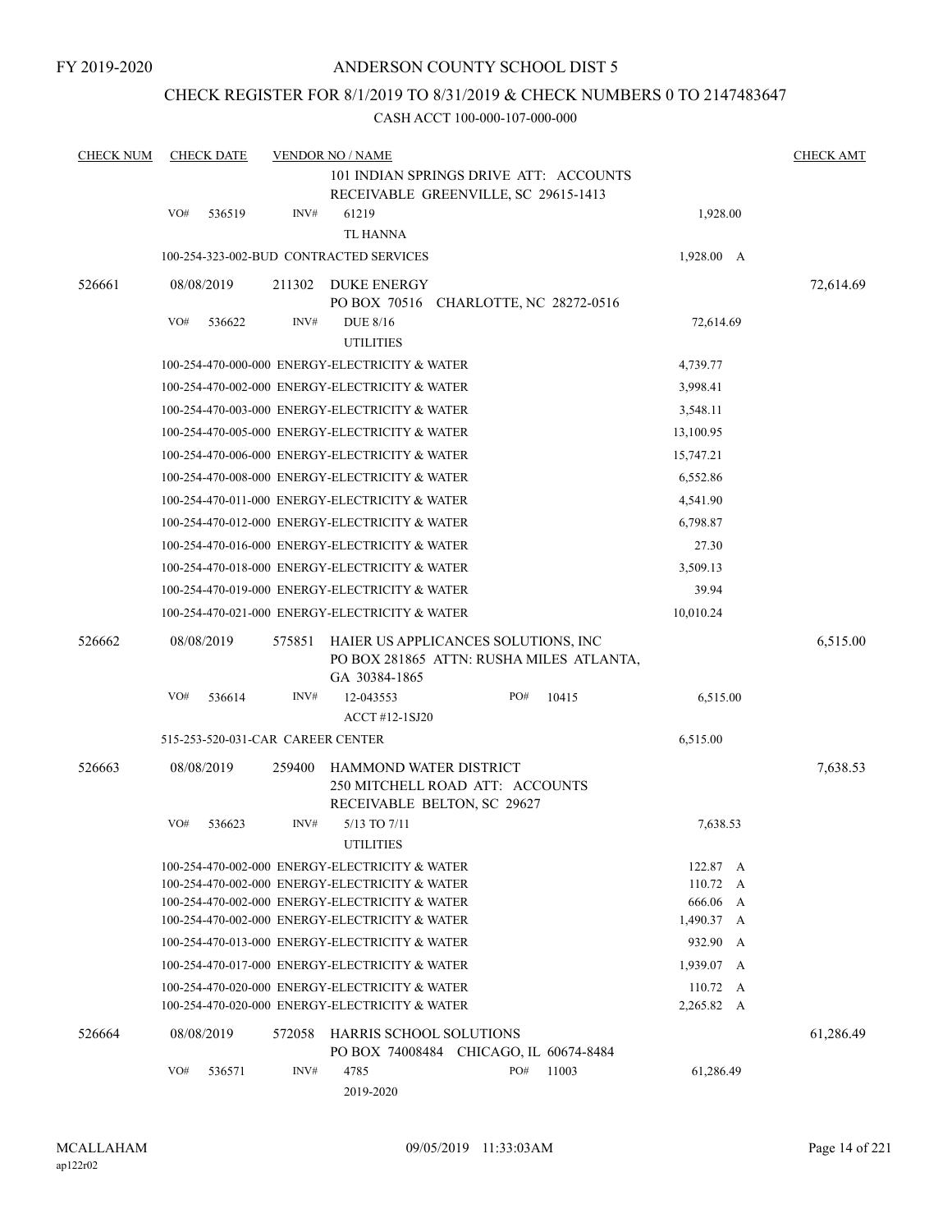### CHECK REGISTER FOR 8/1/2019 TO 8/31/2019 & CHECK NUMBERS 0 TO 2147483647

| <b>CHECK NUM</b> | <b>VENDOR NO / NAME</b><br><b>CHECK DATE</b> |                                   |        |                                                                                                  |     |       |                                |  |           |  |
|------------------|----------------------------------------------|-----------------------------------|--------|--------------------------------------------------------------------------------------------------|-----|-------|--------------------------------|--|-----------|--|
|                  |                                              |                                   |        | 101 INDIAN SPRINGS DRIVE ATT: ACCOUNTS<br>RECEIVABLE GREENVILLE, SC 29615-1413                   |     |       |                                |  |           |  |
|                  | VO#                                          | 536519                            | INV#   | 61219                                                                                            |     |       | 1,928.00                       |  |           |  |
|                  |                                              |                                   |        | <b>TL HANNA</b>                                                                                  |     |       |                                |  |           |  |
|                  |                                              |                                   |        | 100-254-323-002-BUD CONTRACTED SERVICES                                                          |     |       | 1,928.00 A                     |  |           |  |
| 526661           |                                              | 08/08/2019                        | 211302 | <b>DUKE ENERGY</b>                                                                               |     |       |                                |  | 72,614.69 |  |
|                  |                                              |                                   |        | PO BOX 70516 CHARLOTTE, NC 28272-0516                                                            |     |       |                                |  |           |  |
|                  | VO#                                          | 536622                            | INV#   | <b>DUE 8/16</b>                                                                                  |     |       | 72,614.69                      |  |           |  |
|                  |                                              |                                   |        | <b>UTILITIES</b>                                                                                 |     |       |                                |  |           |  |
|                  |                                              |                                   |        | 100-254-470-000-000 ENERGY-ELECTRICITY & WATER                                                   |     |       | 4,739.77                       |  |           |  |
|                  |                                              |                                   |        | 100-254-470-002-000 ENERGY-ELECTRICITY & WATER                                                   |     |       | 3,998.41                       |  |           |  |
|                  |                                              |                                   |        | 100-254-470-003-000 ENERGY-ELECTRICITY & WATER                                                   |     |       | 3,548.11                       |  |           |  |
|                  |                                              |                                   |        | 100-254-470-005-000 ENERGY-ELECTRICITY & WATER                                                   |     |       | 13,100.95                      |  |           |  |
|                  |                                              |                                   |        | 100-254-470-006-000 ENERGY-ELECTRICITY & WATER                                                   |     |       | 15,747.21                      |  |           |  |
|                  |                                              |                                   |        | 100-254-470-008-000 ENERGY-ELECTRICITY & WATER                                                   |     |       | 6,552.86                       |  |           |  |
|                  |                                              |                                   |        | 100-254-470-011-000 ENERGY-ELECTRICITY & WATER                                                   |     |       | 4,541.90                       |  |           |  |
|                  |                                              |                                   |        | 100-254-470-012-000 ENERGY-ELECTRICITY & WATER                                                   |     |       | 6,798.87                       |  |           |  |
|                  |                                              |                                   |        | 100-254-470-016-000 ENERGY-ELECTRICITY & WATER                                                   |     |       | 27.30                          |  |           |  |
|                  |                                              |                                   |        | 100-254-470-018-000 ENERGY-ELECTRICITY & WATER                                                   |     |       | 3,509.13                       |  |           |  |
|                  |                                              |                                   |        | 100-254-470-019-000 ENERGY-ELECTRICITY & WATER                                                   |     |       | 39.94                          |  |           |  |
|                  |                                              |                                   |        | 100-254-470-021-000 ENERGY-ELECTRICITY & WATER                                                   |     |       | 10,010.24                      |  |           |  |
| 526662           |                                              | 08/08/2019                        | 575851 | HAIER US APPLICANCES SOLUTIONS, INC<br>PO BOX 281865 ATTN: RUSHA MILES ATLANTA,<br>GA 30384-1865 |     |       |                                |  | 6,515.00  |  |
|                  | VO#                                          | 536614                            | INV#   | 12-043553<br>ACCT #12-1SJ20                                                                      | PO# | 10415 | 6,515.00                       |  |           |  |
|                  |                                              | 515-253-520-031-CAR CAREER CENTER |        |                                                                                                  |     |       | 6,515.00                       |  |           |  |
| 526663           |                                              | 08/08/2019                        | 259400 | HAMMOND WATER DISTRICT<br>250 MITCHELL ROAD ATT: ACCOUNTS<br>RECEIVABLE BELTON, SC 29627         |     |       |                                |  | 7,638.53  |  |
|                  | VO#                                          | 536623                            | INV#   | 5/13 TO 7/11<br><b>UTILITIES</b>                                                                 |     |       | 7,638.53                       |  |           |  |
|                  |                                              |                                   |        | 100-254-470-002-000 ENERGY-ELECTRICITY & WATER                                                   |     |       | 122.87 A                       |  |           |  |
|                  |                                              |                                   |        | 100-254-470-002-000 ENERGY-ELECTRICITY & WATER                                                   |     |       | $110.72 \quad A$               |  |           |  |
|                  |                                              |                                   |        | 100-254-470-002-000 ENERGY-ELECTRICITY & WATER                                                   |     |       | 666.06 A                       |  |           |  |
|                  |                                              |                                   |        | 100-254-470-002-000 ENERGY-ELECTRICITY & WATER                                                   |     |       | 1,490.37 A                     |  |           |  |
|                  |                                              |                                   |        | 100-254-470-013-000 ENERGY-ELECTRICITY & WATER                                                   |     |       | 932.90 A                       |  |           |  |
|                  |                                              |                                   |        | 100-254-470-017-000 ENERGY-ELECTRICITY & WATER                                                   |     |       | 1,939.07 A                     |  |           |  |
|                  |                                              |                                   |        | 100-254-470-020-000 ENERGY-ELECTRICITY & WATER<br>100-254-470-020-000 ENERGY-ELECTRICITY & WATER |     |       | $110.72 \quad A$<br>2,265.82 A |  |           |  |
| 526664           |                                              | 08/08/2019                        | 572058 | HARRIS SCHOOL SOLUTIONS<br>PO BOX 74008484 CHICAGO, IL 60674-8484                                |     |       |                                |  | 61,286.49 |  |
|                  | VO#                                          | 536571                            | INV#   | 4785                                                                                             | PO# | 11003 | 61,286.49                      |  |           |  |
|                  |                                              |                                   |        | 2019-2020                                                                                        |     |       |                                |  |           |  |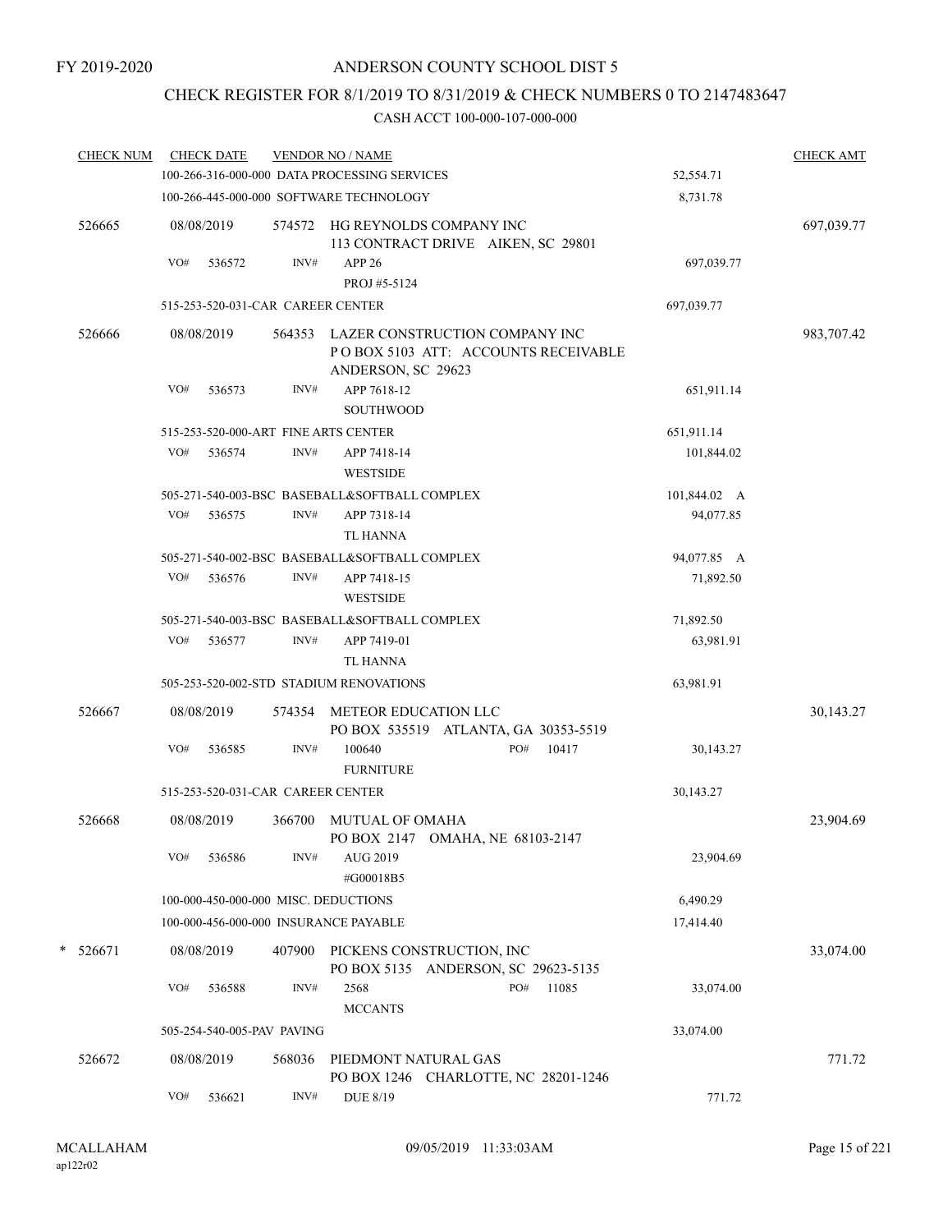# CHECK REGISTER FOR 8/1/2019 TO 8/31/2019 & CHECK NUMBERS 0 TO 2147483647

| <b>CHECK NUM</b> |     | <b>CHECK DATE</b> |                                   | <b>VENDOR NO / NAME</b><br>100-266-316-000-000 DATA PROCESSING SERVICES |                                                                               | 52,554.71    | <b>CHECK AMT</b> |
|------------------|-----|-------------------|-----------------------------------|-------------------------------------------------------------------------|-------------------------------------------------------------------------------|--------------|------------------|
|                  |     |                   |                                   | 100-266-445-000-000 SOFTWARE TECHNOLOGY                                 |                                                                               | 8,731.78     |                  |
| 526665           |     | 08/08/2019        |                                   |                                                                         | 574572 HG REYNOLDS COMPANY INC<br>113 CONTRACT DRIVE AIKEN, SC 29801          |              | 697,039.77       |
|                  | VO# | 536572            | INV#                              | <b>APP 26</b><br>PROJ #5-5124                                           |                                                                               | 697,039.77   |                  |
|                  |     |                   | 515-253-520-031-CAR CAREER CENTER |                                                                         |                                                                               | 697,039.77   |                  |
| 526666           |     | 08/08/2019        |                                   | ANDERSON, SC 29623                                                      | 564353 LAZER CONSTRUCTION COMPANY INC<br>PO BOX 5103 ATT: ACCOUNTS RECEIVABLE |              | 983,707.42       |
|                  | VO# | 536573            | INV#                              | APP 7618-12<br><b>SOUTHWOOD</b>                                         |                                                                               | 651,911.14   |                  |
|                  |     |                   |                                   | 515-253-520-000-ART FINE ARTS CENTER                                    |                                                                               | 651,911.14   |                  |
|                  | VO# | 536574            | INV#                              | APP 7418-14<br><b>WESTSIDE</b>                                          |                                                                               | 101,844.02   |                  |
|                  |     |                   |                                   | 505-271-540-003-BSC BASEBALL&SOFTBALL COMPLEX                           |                                                                               | 101,844.02 A |                  |
|                  | VO# | 536575            | INV#                              | APP 7318-14<br><b>TL HANNA</b>                                          |                                                                               | 94,077.85    |                  |
|                  |     |                   |                                   | 505-271-540-002-BSC BASEBALL&SOFTBALL COMPLEX                           |                                                                               | 94,077.85 A  |                  |
|                  | VO# | 536576            | INV#                              | APP 7418-15<br><b>WESTSIDE</b>                                          |                                                                               | 71,892.50    |                  |
|                  |     |                   |                                   | 505-271-540-003-BSC BASEBALL&SOFTBALL COMPLEX                           |                                                                               | 71,892.50    |                  |
|                  | VO# | 536577            | INV#                              | APP 7419-01<br><b>TL HANNA</b>                                          |                                                                               | 63,981.91    |                  |
|                  |     |                   |                                   | 505-253-520-002-STD STADIUM RENOVATIONS                                 |                                                                               | 63,981.91    |                  |
| 526667           |     | 08/08/2019        | 574354                            | METEOR EDUCATION LLC                                                    | PO BOX 535519 ATLANTA, GA 30353-5519                                          |              | 30,143.27        |
|                  | VO# | 536585            | INV#                              | 100640<br><b>FURNITURE</b>                                              | 10417<br>PO#                                                                  | 30,143.27    |                  |
|                  |     |                   | 515-253-520-031-CAR CAREER CENTER |                                                                         |                                                                               | 30,143.27    |                  |
| 526668           |     | 08/08/2019        | 366700                            | <b>MUTUAL OF OMAHA</b>                                                  | PO BOX 2147 OMAHA, NE 68103-2147                                              |              | 23,904.69        |
|                  | VO# | 536586            | $\text{INV}\#$                    | AUG 2019<br>#G00018B5                                                   |                                                                               | 23,904.69    |                  |
|                  |     |                   |                                   | 100-000-450-000-000 MISC. DEDUCTIONS                                    |                                                                               | 6,490.29     |                  |
|                  |     |                   |                                   | 100-000-456-000-000 INSURANCE PAYABLE                                   |                                                                               | 17,414.40    |                  |
| $* 526671$       |     | 08/08/2019        | 407900                            |                                                                         | PICKENS CONSTRUCTION, INC<br>PO BOX 5135 ANDERSON, SC 29623-5135              |              | 33,074.00        |
|                  | VO# | 536588            | $\text{INV}\#$                    | 2568<br><b>MCCANTS</b>                                                  | 11085<br>PO#                                                                  | 33,074.00    |                  |
|                  |     |                   | 505-254-540-005-PAV PAVING        | 33,074.00                                                               |                                                                               |              |                  |
| 526672           |     | 08/08/2019        | 568036                            | PIEDMONT NATURAL GAS                                                    | PO BOX 1246 CHARLOTTE, NC 28201-1246                                          |              | 771.72           |
|                  | VO# | 536621            | INV#                              | <b>DUE 8/19</b>                                                         |                                                                               | 771.72       |                  |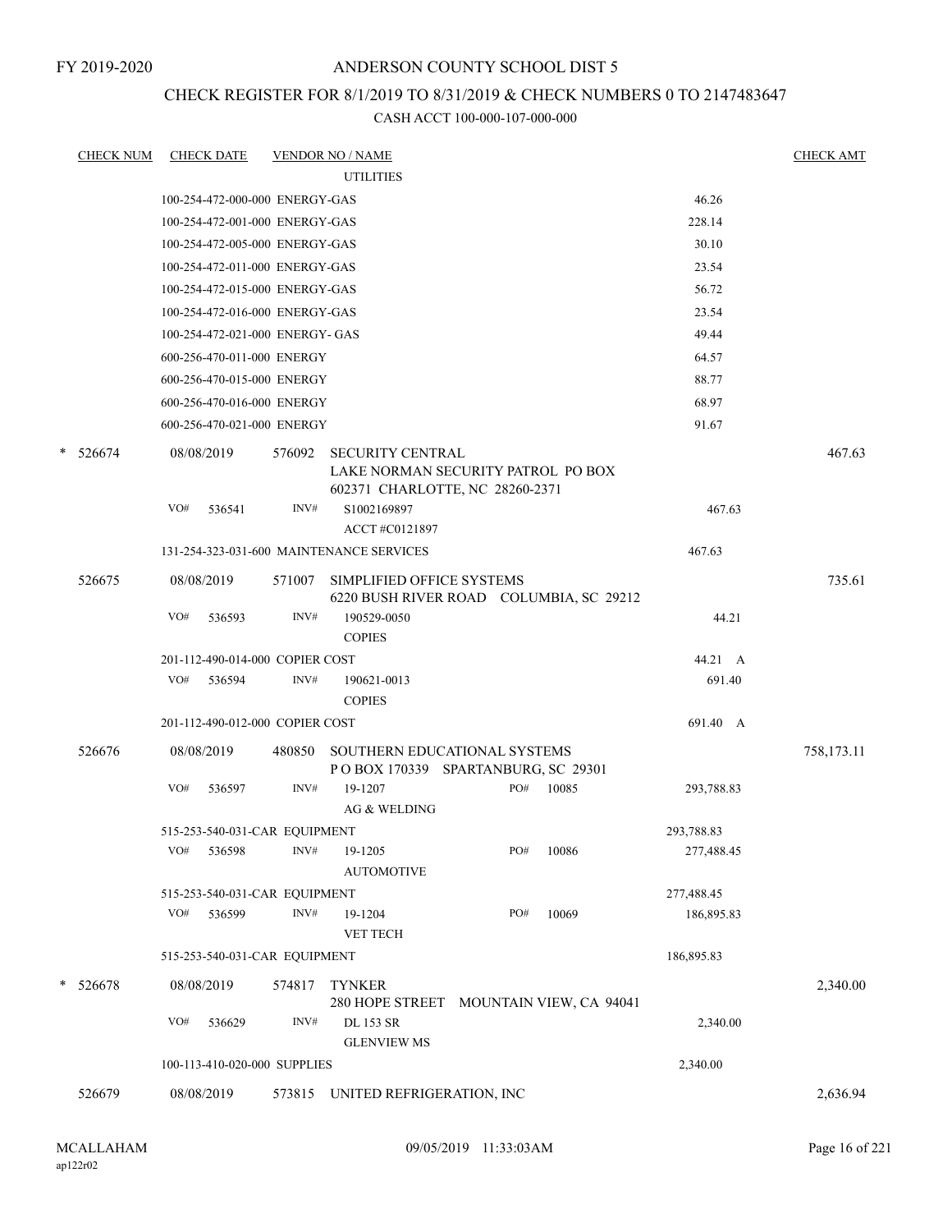### CHECK REGISTER FOR 8/1/2019 TO 8/31/2019 & CHECK NUMBERS 0 TO 2147483647

|        |     |                                |                                                                    | <b>UTILITIES</b>                   |                                                                                                                                                                                                                                                                                                                                                                                                                                                                                                                                                                                                              |                         |                                                                             |                                                                                                                                                      |                                                                                                |
|--------|-----|--------------------------------|--------------------------------------------------------------------|------------------------------------|--------------------------------------------------------------------------------------------------------------------------------------------------------------------------------------------------------------------------------------------------------------------------------------------------------------------------------------------------------------------------------------------------------------------------------------------------------------------------------------------------------------------------------------------------------------------------------------------------------------|-------------------------|-----------------------------------------------------------------------------|------------------------------------------------------------------------------------------------------------------------------------------------------|------------------------------------------------------------------------------------------------|
|        |     |                                |                                                                    |                                    |                                                                                                                                                                                                                                                                                                                                                                                                                                                                                                                                                                                                              |                         |                                                                             |                                                                                                                                                      |                                                                                                |
|        |     | 100-254-472-000-000 ENERGY-GAS |                                                                    |                                    |                                                                                                                                                                                                                                                                                                                                                                                                                                                                                                                                                                                                              |                         |                                                                             | 46.26                                                                                                                                                |                                                                                                |
|        |     |                                |                                                                    |                                    |                                                                                                                                                                                                                                                                                                                                                                                                                                                                                                                                                                                                              |                         |                                                                             | 228.14                                                                                                                                               |                                                                                                |
|        |     |                                |                                                                    |                                    |                                                                                                                                                                                                                                                                                                                                                                                                                                                                                                                                                                                                              |                         |                                                                             | 30.10                                                                                                                                                |                                                                                                |
|        |     |                                |                                                                    |                                    |                                                                                                                                                                                                                                                                                                                                                                                                                                                                                                                                                                                                              |                         |                                                                             | 23.54                                                                                                                                                |                                                                                                |
|        |     |                                |                                                                    |                                    |                                                                                                                                                                                                                                                                                                                                                                                                                                                                                                                                                                                                              |                         |                                                                             | 56.72                                                                                                                                                |                                                                                                |
|        |     |                                |                                                                    |                                    |                                                                                                                                                                                                                                                                                                                                                                                                                                                                                                                                                                                                              |                         |                                                                             | 23.54                                                                                                                                                |                                                                                                |
|        |     |                                |                                                                    |                                    |                                                                                                                                                                                                                                                                                                                                                                                                                                                                                                                                                                                                              |                         |                                                                             | 49.44                                                                                                                                                |                                                                                                |
|        |     |                                |                                                                    |                                    |                                                                                                                                                                                                                                                                                                                                                                                                                                                                                                                                                                                                              |                         |                                                                             | 64.57                                                                                                                                                |                                                                                                |
|        |     |                                |                                                                    |                                    |                                                                                                                                                                                                                                                                                                                                                                                                                                                                                                                                                                                                              |                         |                                                                             | 88.77                                                                                                                                                |                                                                                                |
|        |     |                                |                                                                    |                                    |                                                                                                                                                                                                                                                                                                                                                                                                                                                                                                                                                                                                              |                         |                                                                             | 68.97                                                                                                                                                |                                                                                                |
|        |     |                                |                                                                    |                                    |                                                                                                                                                                                                                                                                                                                                                                                                                                                                                                                                                                                                              |                         |                                                                             | 91.67                                                                                                                                                |                                                                                                |
| 526674 |     |                                | 576092                                                             |                                    |                                                                                                                                                                                                                                                                                                                                                                                                                                                                                                                                                                                                              |                         |                                                                             |                                                                                                                                                      | 467.63                                                                                         |
|        | VO# | 536541                         | INV#                                                               | S1002169897<br>ACCT #C0121897      |                                                                                                                                                                                                                                                                                                                                                                                                                                                                                                                                                                                                              |                         |                                                                             | 467.63                                                                                                                                               |                                                                                                |
|        |     |                                |                                                                    |                                    |                                                                                                                                                                                                                                                                                                                                                                                                                                                                                                                                                                                                              |                         |                                                                             | 467.63                                                                                                                                               |                                                                                                |
| 526675 |     |                                | 571007                                                             |                                    |                                                                                                                                                                                                                                                                                                                                                                                                                                                                                                                                                                                                              |                         |                                                                             |                                                                                                                                                      | 735.61                                                                                         |
|        | VO# | 536593                         | INV#                                                               | 190529-0050<br><b>COPIES</b>       |                                                                                                                                                                                                                                                                                                                                                                                                                                                                                                                                                                                                              |                         |                                                                             | 44.21                                                                                                                                                |                                                                                                |
|        |     |                                |                                                                    |                                    |                                                                                                                                                                                                                                                                                                                                                                                                                                                                                                                                                                                                              |                         |                                                                             | 44.21 A                                                                                                                                              |                                                                                                |
|        | VO# | 536594                         | INV#                                                               | 190621-0013<br><b>COPIES</b>       |                                                                                                                                                                                                                                                                                                                                                                                                                                                                                                                                                                                                              |                         |                                                                             | 691.40                                                                                                                                               |                                                                                                |
|        |     |                                |                                                                    |                                    |                                                                                                                                                                                                                                                                                                                                                                                                                                                                                                                                                                                                              |                         |                                                                             | 691.40 A                                                                                                                                             |                                                                                                |
| 526676 |     |                                | 480850                                                             |                                    |                                                                                                                                                                                                                                                                                                                                                                                                                                                                                                                                                                                                              |                         |                                                                             |                                                                                                                                                      | 758,173.11                                                                                     |
|        | VO# | 536597                         | INV#                                                               | 19-1207<br><b>AG &amp; WELDING</b> |                                                                                                                                                                                                                                                                                                                                                                                                                                                                                                                                                                                                              |                         |                                                                             | 293,788.83                                                                                                                                           |                                                                                                |
|        |     |                                |                                                                    |                                    |                                                                                                                                                                                                                                                                                                                                                                                                                                                                                                                                                                                                              |                         |                                                                             | 293,788.83                                                                                                                                           |                                                                                                |
|        | VO# | 536598                         | INV#                                                               | 19-1205<br><b>AUTOMOTIVE</b>       |                                                                                                                                                                                                                                                                                                                                                                                                                                                                                                                                                                                                              |                         | 10086                                                                       | 277,488.45                                                                                                                                           |                                                                                                |
|        |     |                                |                                                                    |                                    |                                                                                                                                                                                                                                                                                                                                                                                                                                                                                                                                                                                                              |                         |                                                                             | 277,488.45                                                                                                                                           |                                                                                                |
|        | VO# | 536599                         | INV#                                                               | 19-1204<br><b>VET TECH</b>         |                                                                                                                                                                                                                                                                                                                                                                                                                                                                                                                                                                                                              |                         | 10069                                                                       | 186,895.83                                                                                                                                           |                                                                                                |
|        |     |                                |                                                                    |                                    |                                                                                                                                                                                                                                                                                                                                                                                                                                                                                                                                                                                                              |                         |                                                                             | 186,895.83                                                                                                                                           |                                                                                                |
| 526678 |     |                                | 574817                                                             | <b>TYNKER</b>                      |                                                                                                                                                                                                                                                                                                                                                                                                                                                                                                                                                                                                              |                         |                                                                             |                                                                                                                                                      | 2,340.00                                                                                       |
|        | VO# | 536629                         | INV#                                                               | <b>DL 153 SR</b>                   |                                                                                                                                                                                                                                                                                                                                                                                                                                                                                                                                                                                                              |                         |                                                                             | 2,340.00                                                                                                                                             |                                                                                                |
|        |     |                                |                                                                    |                                    |                                                                                                                                                                                                                                                                                                                                                                                                                                                                                                                                                                                                              |                         |                                                                             |                                                                                                                                                      |                                                                                                |
| 526679 |     |                                | 573815                                                             |                                    |                                                                                                                                                                                                                                                                                                                                                                                                                                                                                                                                                                                                              |                         |                                                                             |                                                                                                                                                      | 2,636.94                                                                                       |
|        |     |                                | 08/08/2019<br>08/08/2019<br>08/08/2019<br>08/08/2019<br>08/08/2019 |                                    | 100-254-472-001-000 ENERGY-GAS<br>100-254-472-005-000 ENERGY-GAS<br>100-254-472-011-000 ENERGY-GAS<br>100-254-472-015-000 ENERGY-GAS<br>100-254-472-016-000 ENERGY-GAS<br>100-254-472-021-000 ENERGY- GAS<br>600-256-470-011-000 ENERGY<br>600-256-470-015-000 ENERGY<br>600-256-470-016-000 ENERGY<br>600-256-470-021-000 ENERGY<br>131-254-323-031-600 MAINTENANCE SERVICES<br>201-112-490-014-000 COPIER COST<br>201-112-490-012-000 COPIER COST<br>515-253-540-031-CAR EQUIPMENT<br>515-253-540-031-CAR EQUIPMENT<br>515-253-540-031-CAR EQUIPMENT<br><b>GLENVIEW MS</b><br>100-113-410-020-000 SUPPLIES | <b>SECURITY CENTRAL</b> | SIMPLIFIED OFFICE SYSTEMS<br>PO#<br>PO#<br>PO#<br>UNITED REFRIGERATION, INC | LAKE NORMAN SECURITY PATROL PO BOX<br>602371 CHARLOTTE, NC 28260-2371<br>SOUTHERN EDUCATIONAL SYSTEMS<br>POBOX 170339 SPARTANBURG, SC 29301<br>10085 | 6220 BUSH RIVER ROAD COLUMBIA, SC 29212<br>280 HOPE STREET MOUNTAIN VIEW, CA 94041<br>2,340.00 |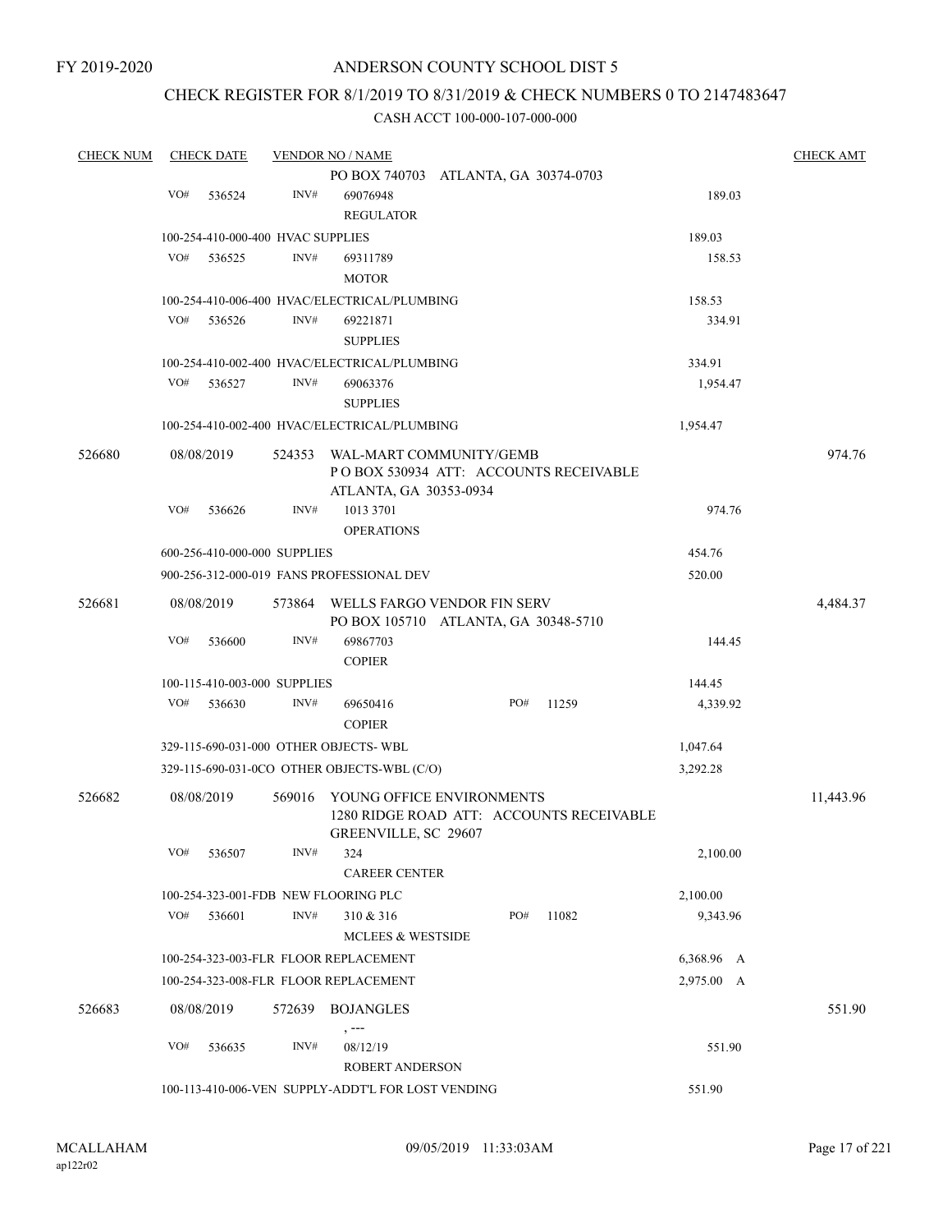### CHECK REGISTER FOR 8/1/2019 TO 8/31/2019 & CHECK NUMBERS 0 TO 2147483647

| <b>CHECK NUM</b> |     | <b>CHECK DATE</b> |                                   | <b>VENDOR NO / NAME</b>                                         |  |     |       |  |            |  | <b>CHECK AMT</b>                |  |  |  |
|------------------|-----|-------------------|-----------------------------------|-----------------------------------------------------------------|--|-----|-------|--|------------|--|---------------------------------|--|--|--|
|                  |     |                   |                                   | PO BOX 740703 ATLANTA, GA 30374-0703                            |  |     |       |  |            |  |                                 |  |  |  |
|                  | VO# | 536524            | INV#                              | 69076948                                                        |  |     |       |  | 189.03     |  |                                 |  |  |  |
|                  |     |                   |                                   | <b>REGULATOR</b>                                                |  |     |       |  |            |  |                                 |  |  |  |
|                  |     |                   | 100-254-410-000-400 HVAC SUPPLIES |                                                                 |  |     |       |  | 189.03     |  |                                 |  |  |  |
|                  | VO# | 536525            | INV#                              | 69311789                                                        |  |     |       |  | 158.53     |  |                                 |  |  |  |
|                  |     |                   |                                   | <b>MOTOR</b>                                                    |  |     |       |  |            |  |                                 |  |  |  |
|                  |     |                   |                                   | 100-254-410-006-400 HVAC/ELECTRICAL/PLUMBING                    |  |     |       |  | 158.53     |  |                                 |  |  |  |
|                  | VO# | 536526            | INV#                              | 69221871                                                        |  |     |       |  | 334.91     |  |                                 |  |  |  |
|                  |     |                   |                                   | <b>SUPPLIES</b>                                                 |  |     |       |  |            |  |                                 |  |  |  |
|                  |     |                   |                                   | 100-254-410-002-400 HVAC/ELECTRICAL/PLUMBING                    |  |     |       |  | 334.91     |  |                                 |  |  |  |
|                  | VO# | 536527            | INV#                              | 69063376                                                        |  |     |       |  | 1,954.47   |  |                                 |  |  |  |
|                  |     |                   |                                   | <b>SUPPLIES</b>                                                 |  |     |       |  |            |  |                                 |  |  |  |
|                  |     |                   |                                   | 100-254-410-002-400 HVAC/ELECTRICAL/PLUMBING                    |  |     |       |  | 1,954.47   |  |                                 |  |  |  |
|                  |     |                   |                                   |                                                                 |  |     |       |  |            |  |                                 |  |  |  |
| 526680           |     | 08/08/2019        | 524353                            | WAL-MART COMMUNITY/GEMB                                         |  |     |       |  |            |  |                                 |  |  |  |
|                  |     |                   |                                   | POBOX 530934 ATT: ACCOUNTS RECEIVABLE<br>ATLANTA, GA 30353-0934 |  |     |       |  |            |  |                                 |  |  |  |
|                  | VO# | 536626            | INV#                              | 1013 3701                                                       |  |     |       |  | 974.76     |  |                                 |  |  |  |
|                  |     |                   |                                   | <b>OPERATIONS</b>                                               |  |     |       |  |            |  | 974.76<br>4,484.37<br>11,443.96 |  |  |  |
|                  |     |                   | 600-256-410-000-000 SUPPLIES      |                                                                 |  |     |       |  | 454.76     |  |                                 |  |  |  |
|                  |     |                   |                                   |                                                                 |  |     |       |  |            |  |                                 |  |  |  |
|                  |     |                   |                                   | 900-256-312-000-019 FANS PROFESSIONAL DEV                       |  |     |       |  | 520.00     |  |                                 |  |  |  |
| 526681           |     | 08/08/2019        | 573864                            | WELLS FARGO VENDOR FIN SERV                                     |  |     |       |  |            |  |                                 |  |  |  |
|                  |     |                   |                                   | PO BOX 105710 ATLANTA, GA 30348-5710                            |  |     |       |  |            |  |                                 |  |  |  |
|                  | VO# | 536600            | INV#                              | 69867703                                                        |  |     |       |  | 144.45     |  |                                 |  |  |  |
|                  |     |                   |                                   | <b>COPIER</b>                                                   |  |     |       |  |            |  |                                 |  |  |  |
|                  |     |                   | 100-115-410-003-000 SUPPLIES      |                                                                 |  |     |       |  | 144.45     |  |                                 |  |  |  |
|                  | VO# | 536630            | INV#                              | 69650416                                                        |  | PO# | 11259 |  | 4,339.92   |  |                                 |  |  |  |
|                  |     |                   |                                   | <b>COPIER</b>                                                   |  |     |       |  |            |  |                                 |  |  |  |
|                  |     |                   |                                   | 329-115-690-031-000 OTHER OBJECTS-WBL                           |  |     |       |  | 1,047.64   |  |                                 |  |  |  |
|                  |     |                   |                                   | 329-115-690-031-0CO OTHER OBJECTS-WBL (C/O)                     |  |     |       |  | 3,292.28   |  |                                 |  |  |  |
| 526682           |     | 08/08/2019        | 569016                            | YOUNG OFFICE ENVIRONMENTS                                       |  |     |       |  |            |  |                                 |  |  |  |
|                  |     |                   |                                   | 1280 RIDGE ROAD ATT: ACCOUNTS RECEIVABLE                        |  |     |       |  |            |  |                                 |  |  |  |
|                  |     |                   |                                   | GREENVILLE, SC 29607                                            |  |     |       |  |            |  |                                 |  |  |  |
|                  | VO# | 536507            | INV#                              | 324                                                             |  |     |       |  | 2,100.00   |  |                                 |  |  |  |
|                  |     |                   |                                   | <b>CAREER CENTER</b>                                            |  |     |       |  |            |  |                                 |  |  |  |
|                  |     |                   |                                   | 100-254-323-001-FDB NEW FLOORING PLC                            |  |     |       |  | 2,100.00   |  |                                 |  |  |  |
|                  | VO# | 536601            | INV#                              | 310 & 316                                                       |  | PO# | 11082 |  | 9,343.96   |  |                                 |  |  |  |
|                  |     |                   |                                   | MCLEES & WESTSIDE                                               |  |     |       |  |            |  |                                 |  |  |  |
|                  |     |                   |                                   | 100-254-323-003-FLR FLOOR REPLACEMENT                           |  |     |       |  | 6,368.96 A |  |                                 |  |  |  |
|                  |     |                   |                                   | 100-254-323-008-FLR FLOOR REPLACEMENT                           |  |     |       |  | 2,975.00 A |  |                                 |  |  |  |
|                  |     |                   |                                   |                                                                 |  |     |       |  |            |  | 551.90                          |  |  |  |
| 526683           |     | 08/08/2019        | 572639                            | BOJANGLES                                                       |  |     |       |  |            |  |                                 |  |  |  |
|                  | VO# | 536635            | INV#                              | $, --$<br>08/12/19                                              |  |     |       |  | 551.90     |  |                                 |  |  |  |
|                  |     |                   |                                   | ROBERT ANDERSON                                                 |  |     |       |  |            |  |                                 |  |  |  |
|                  |     |                   |                                   | 100-113-410-006-VEN SUPPLY-ADDT'L FOR LOST VENDING              |  |     |       |  | 551.90     |  |                                 |  |  |  |
|                  |     |                   |                                   |                                                                 |  |     |       |  |            |  |                                 |  |  |  |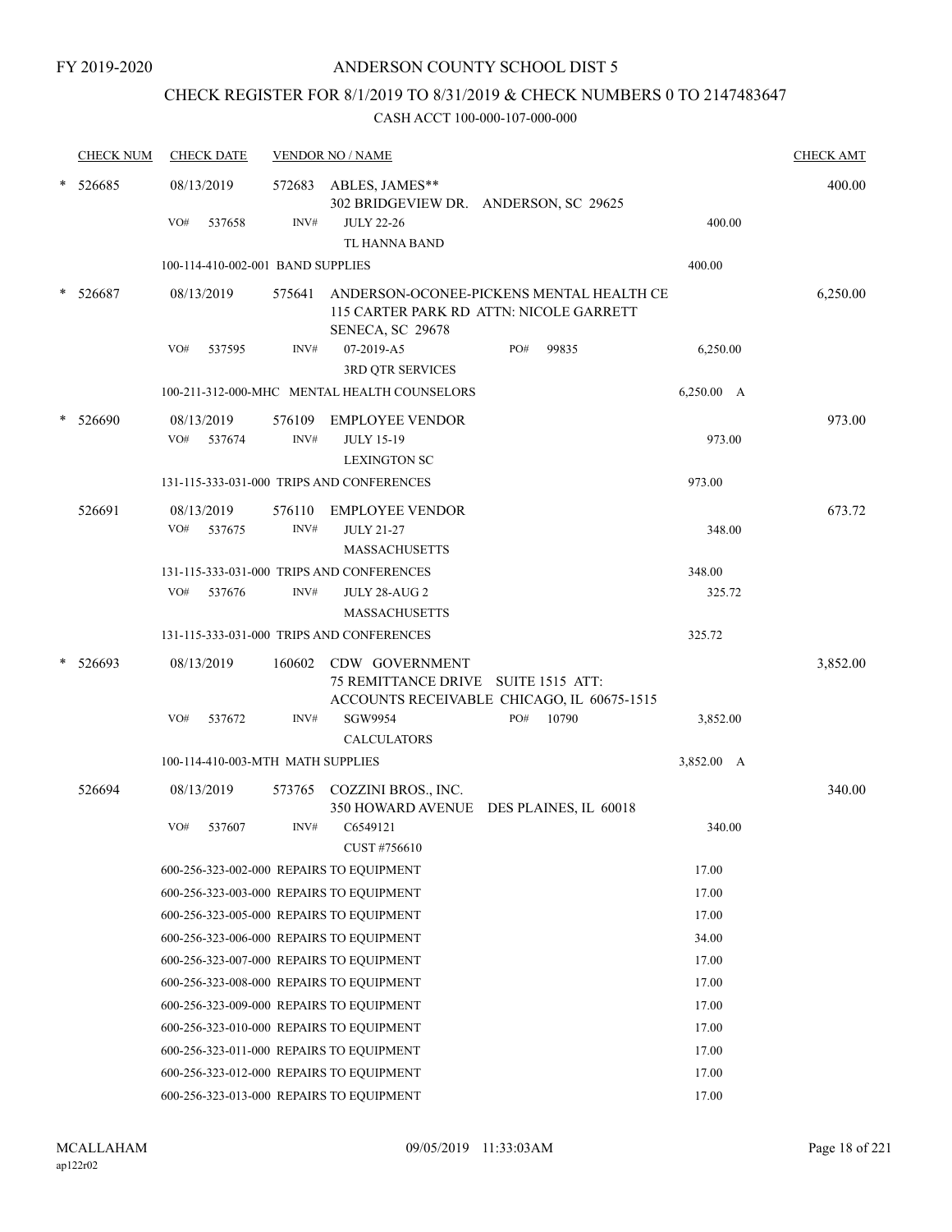### CHECK REGISTER FOR 8/1/2019 TO 8/31/2019 & CHECK NUMBERS 0 TO 2147483647

|   | <b>CHECK NUM</b> |     | <b>CHECK DATE</b>                 |        | <b>VENDOR NO / NAME</b>                      |                                            |            | <b>CHECK AMT</b> |
|---|------------------|-----|-----------------------------------|--------|----------------------------------------------|--------------------------------------------|------------|------------------|
| * | 526685           |     | 08/13/2019                        | 572683 | ABLES, JAMES**                               | 302 BRIDGEVIEW DR. ANDERSON, SC 29625      |            | 400.00           |
|   |                  | VO# | 537658                            | INV#   | <b>JULY 22-26</b><br>TL HANNA BAND           |                                            | 400.00     |                  |
|   |                  |     | 100-114-410-002-001 BAND SUPPLIES |        |                                              |                                            | 400.00     |                  |
|   | 526687           |     | 08/13/2019                        | 575641 |                                              | ANDERSON-OCONEE-PICKENS MENTAL HEALTH CE   |            | 6,250.00         |
|   |                  |     |                                   |        |                                              | 115 CARTER PARK RD ATTN: NICOLE GARRETT    |            |                  |
|   |                  | VO# | 537595                            | INV#   | SENECA, SC 29678<br>07-2019-A5               | PO#<br>99835                               | 6,250.00   |                  |
|   |                  |     |                                   |        | 3RD QTR SERVICES                             |                                            |            |                  |
|   |                  |     |                                   |        | 100-211-312-000-MHC MENTAL HEALTH COUNSELORS |                                            | 6,250.00 A |                  |
|   | 526690           |     | 08/13/2019                        | 576109 | EMPLOYEE VENDOR                              |                                            |            | 973.00           |
|   |                  | VO# | 537674                            | INV#   | <b>JULY 15-19</b><br><b>LEXINGTON SC</b>     |                                            | 973.00     |                  |
|   |                  |     |                                   |        | 131-115-333-031-000 TRIPS AND CONFERENCES    |                                            | 973.00     |                  |
|   | 526691           |     | 08/13/2019                        | 576110 | <b>EMPLOYEE VENDOR</b>                       |                                            |            | 673.72           |
|   |                  | VO# | 537675                            | INV#   | <b>JULY 21-27</b>                            |                                            | 348.00     |                  |
|   |                  |     |                                   |        | MASSACHUSETTS                                |                                            |            |                  |
|   |                  |     |                                   |        | 131-115-333-031-000 TRIPS AND CONFERENCES    |                                            | 348.00     |                  |
|   |                  | VO# | 537676                            | INV#   | <b>JULY 28-AUG 2</b><br><b>MASSACHUSETTS</b> |                                            | 325.72     |                  |
|   |                  |     |                                   |        | 131-115-333-031-000 TRIPS AND CONFERENCES    |                                            | 325.72     |                  |
|   | 526693           |     | 08/13/2019                        | 160602 | CDW GOVERNMENT                               |                                            |            | 3,852.00         |
|   |                  |     |                                   |        | 75 REMITTANCE DRIVE SUITE 1515 ATT:          | ACCOUNTS RECEIVABLE CHICAGO, IL 60675-1515 |            |                  |
|   |                  | VO# | 537672                            | INV#   | SGW9954                                      | PO#<br>10790                               | 3,852.00   |                  |
|   |                  |     |                                   |        | <b>CALCULATORS</b>                           |                                            |            |                  |
|   |                  |     | 100-114-410-003-MTH MATH SUPPLIES |        |                                              |                                            | 3,852.00 A |                  |
|   | 526694           |     | 08/13/2019                        |        | 573765 COZZINI BROS., INC.                   | 350 HOWARD AVENUE DES PLAINES, IL 60018    |            | 340.00           |
|   |                  | VO# | 537607                            | INV#   | C6549121                                     |                                            | 340.00     |                  |
|   |                  |     |                                   |        | CUST #756610                                 |                                            |            |                  |
|   |                  |     |                                   |        | 600-256-323-002-000 REPAIRS TO EQUIPMENT     |                                            | 17.00      |                  |
|   |                  |     |                                   |        | 600-256-323-003-000 REPAIRS TO EQUIPMENT     |                                            | 17.00      |                  |
|   |                  |     |                                   |        | 600-256-323-005-000 REPAIRS TO EQUIPMENT     |                                            | 17.00      |                  |
|   |                  |     |                                   |        | 600-256-323-006-000 REPAIRS TO EQUIPMENT     |                                            | 34.00      |                  |
|   |                  |     |                                   |        | 600-256-323-007-000 REPAIRS TO EQUIPMENT     |                                            | 17.00      |                  |
|   |                  |     |                                   |        | 600-256-323-008-000 REPAIRS TO EQUIPMENT     |                                            | 17.00      |                  |
|   |                  |     |                                   |        | 600-256-323-009-000 REPAIRS TO EQUIPMENT     |                                            | 17.00      |                  |
|   |                  |     |                                   |        | 600-256-323-010-000 REPAIRS TO EQUIPMENT     |                                            | 17.00      |                  |
|   |                  |     |                                   |        | 600-256-323-011-000 REPAIRS TO EQUIPMENT     |                                            | 17.00      |                  |
|   |                  |     |                                   |        | 600-256-323-012-000 REPAIRS TO EQUIPMENT     |                                            | 17.00      |                  |
|   |                  |     |                                   |        | 600-256-323-013-000 REPAIRS TO EQUIPMENT     |                                            | 17.00      |                  |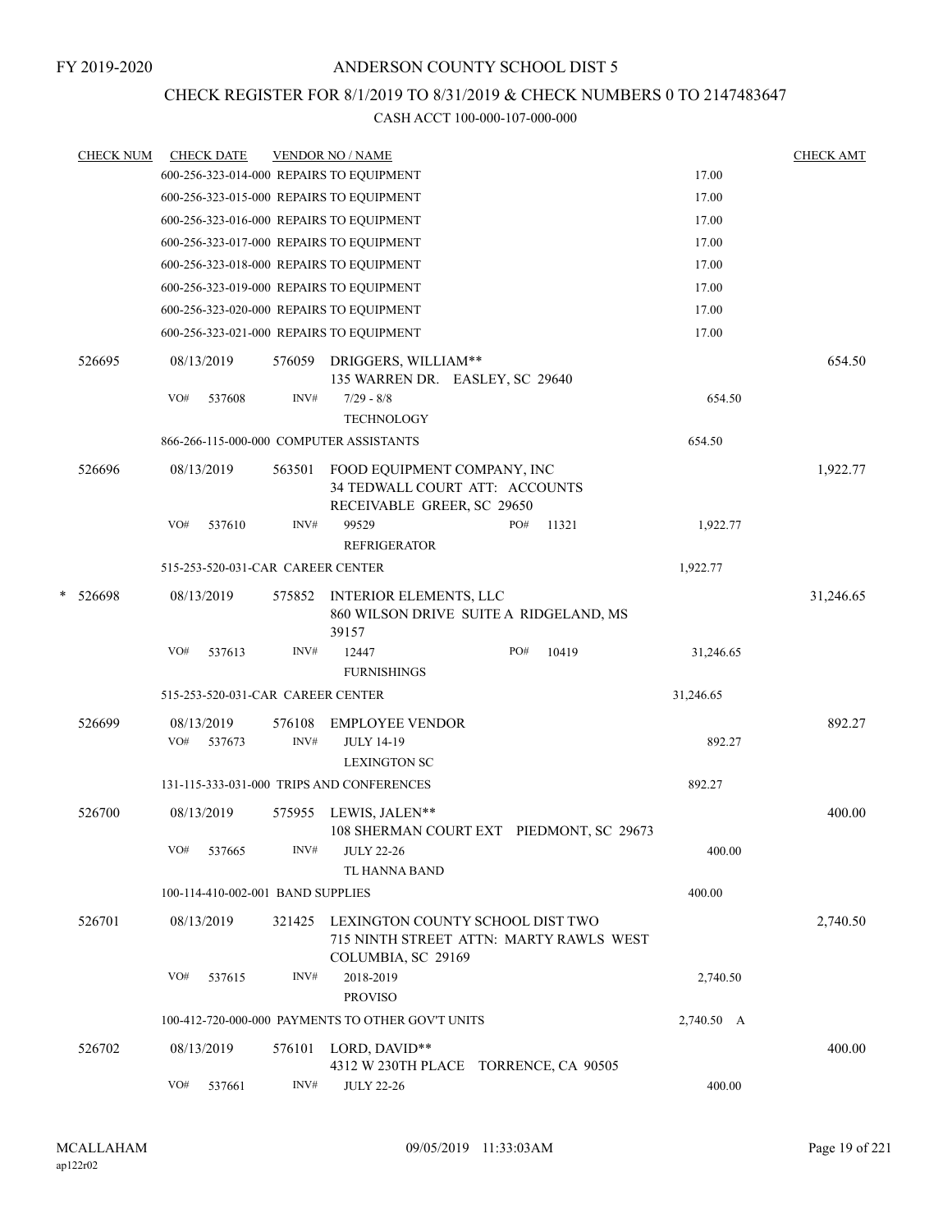### CHECK REGISTER FOR 8/1/2019 TO 8/31/2019 & CHECK NUMBERS 0 TO 2147483647

|   | <b>CHECK NUM</b> |     | <b>CHECK DATE</b>                 |                | <b>VENDOR NO / NAME</b>                                                                           |     |       |            | <b>CHECK AMT</b> |
|---|------------------|-----|-----------------------------------|----------------|---------------------------------------------------------------------------------------------------|-----|-------|------------|------------------|
|   |                  |     |                                   |                | 600-256-323-014-000 REPAIRS TO EQUIPMENT                                                          |     |       | 17.00      |                  |
|   |                  |     |                                   |                | 600-256-323-015-000 REPAIRS TO EQUIPMENT                                                          |     |       | 17.00      |                  |
|   |                  |     |                                   |                | 600-256-323-016-000 REPAIRS TO EQUIPMENT                                                          |     |       | 17.00      |                  |
|   |                  |     |                                   |                | 600-256-323-017-000 REPAIRS TO EQUIPMENT                                                          |     |       | 17.00      |                  |
|   |                  |     |                                   |                | 600-256-323-018-000 REPAIRS TO EQUIPMENT                                                          |     |       | 17.00      |                  |
|   |                  |     |                                   |                | 600-256-323-019-000 REPAIRS TO EQUIPMENT                                                          |     |       | 17.00      |                  |
|   |                  |     |                                   |                | 600-256-323-020-000 REPAIRS TO EQUIPMENT                                                          |     |       | 17.00      |                  |
|   |                  |     |                                   |                | 600-256-323-021-000 REPAIRS TO EQUIPMENT                                                          |     |       | 17.00      |                  |
|   | 526695           |     | 08/13/2019                        | 576059         | DRIGGERS, WILLIAM**<br>135 WARREN DR. EASLEY, SC 29640                                            |     |       |            | 654.50           |
|   |                  | VO# | 537608                            | INV#           | $7/29 - 8/8$<br><b>TECHNOLOGY</b>                                                                 |     |       | 654.50     |                  |
|   |                  |     |                                   |                | 866-266-115-000-000 COMPUTER ASSISTANTS                                                           |     |       | 654.50     |                  |
|   | 526696           |     | 08/13/2019                        | 563501         | FOOD EQUIPMENT COMPANY, INC<br>34 TEDWALL COURT ATT: ACCOUNTS<br>RECEIVABLE GREER, SC 29650       |     |       |            | 1,922.77         |
|   |                  | VO# | 537610                            | INV#           | 99529<br><b>REFRIGERATOR</b>                                                                      | PO# | 11321 | 1,922.77   |                  |
|   |                  |     | 515-253-520-031-CAR CAREER CENTER |                |                                                                                                   |     |       | 1,922.77   |                  |
| * | 526698           |     | 08/13/2019                        | 575852         | <b>INTERIOR ELEMENTS, LLC</b><br>860 WILSON DRIVE SUITE A RIDGELAND, MS<br>39157                  |     |       |            | 31,246.65        |
|   |                  | VO# | 537613                            | INV#           | 12447<br><b>FURNISHINGS</b>                                                                       | PO# | 10419 | 31,246.65  |                  |
|   |                  |     | 515-253-520-031-CAR CAREER CENTER |                |                                                                                                   |     |       | 31,246.65  |                  |
|   | 526699           | VO# | 08/13/2019<br>537673              | 576108<br>INV# | <b>EMPLOYEE VENDOR</b><br><b>JULY 14-19</b>                                                       |     |       | 892.27     | 892.27           |
|   |                  |     |                                   |                | <b>LEXINGTON SC</b>                                                                               |     |       |            |                  |
|   |                  |     |                                   |                | 131-115-333-031-000 TRIPS AND CONFERENCES                                                         |     |       | 892.27     |                  |
|   | 526700           |     | 08/13/2019                        | 575955         | LEWIS, JALEN**<br>108 SHERMAN COURT EXT PIEDMONT, SC 29673                                        |     |       |            | 400.00           |
|   |                  | VO# | 537665                            | INV#           | <b>JULY 22-26</b><br>TL HANNA BAND                                                                |     |       | 400.00     |                  |
|   |                  |     | 100-114-410-002-001 BAND SUPPLIES |                |                                                                                                   |     |       | 400.00     |                  |
|   | 526701           |     | 08/13/2019                        | 321425         | LEXINGTON COUNTY SCHOOL DIST TWO<br>715 NINTH STREET ATTN: MARTY RAWLS WEST<br>COLUMBIA, SC 29169 |     |       |            | 2,740.50         |
|   |                  | VO# | 537615                            | INV#           | 2018-2019                                                                                         |     |       | 2,740.50   |                  |
|   |                  |     |                                   |                | <b>PROVISO</b>                                                                                    |     |       |            |                  |
|   |                  |     |                                   |                | 100-412-720-000-000 PAYMENTS TO OTHER GOV'T UNITS                                                 |     |       | 2,740.50 A |                  |
|   | 526702           |     | 08/13/2019                        | 576101         | LORD, DAVID**<br>4312 W 230TH PLACE TORRENCE, CA 90505                                            |     |       |            | 400.00           |
|   |                  | VO# | 537661                            | INV#           | <b>JULY 22-26</b>                                                                                 |     |       | 400.00     |                  |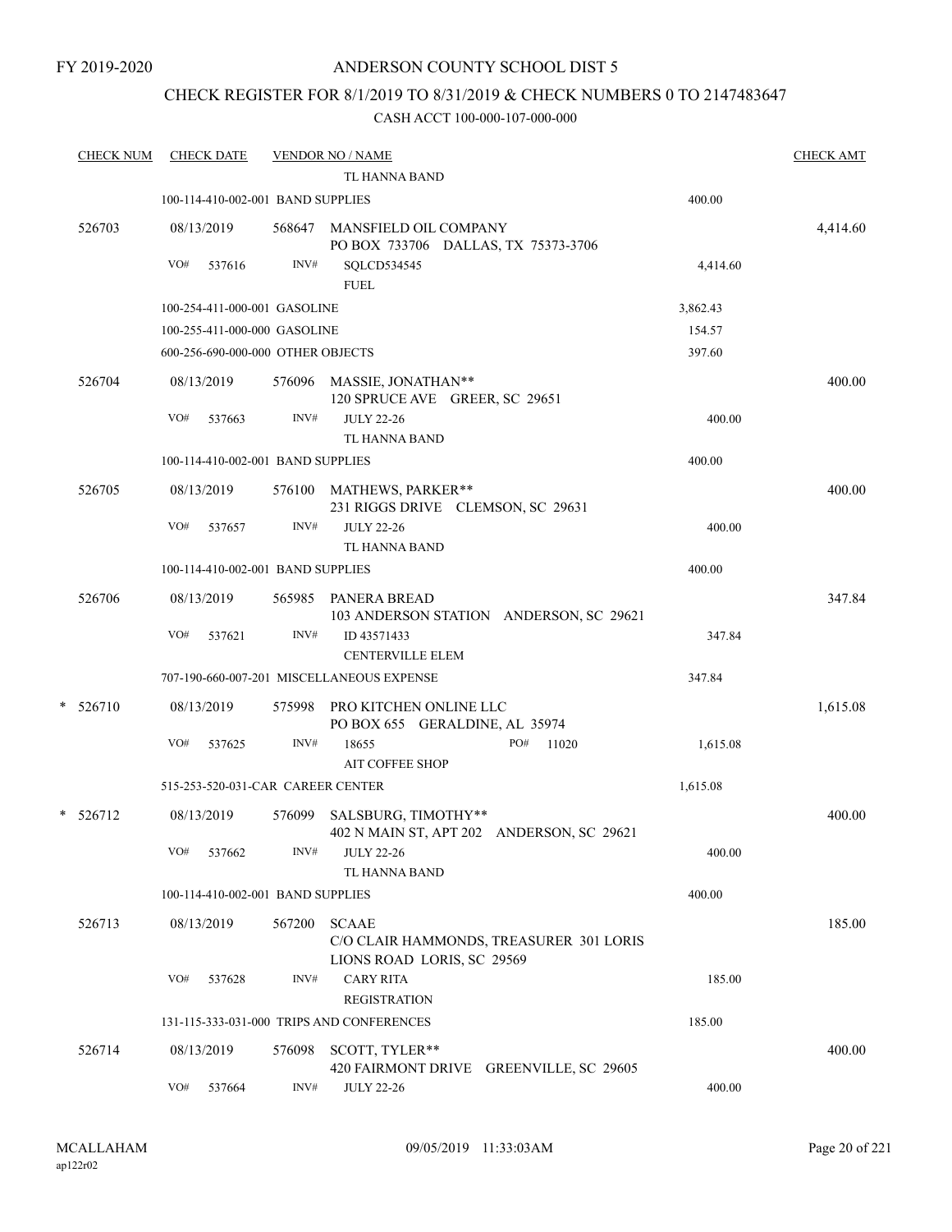#### FY 2019-2020

### ANDERSON COUNTY SCHOOL DIST 5

### CHECK REGISTER FOR 8/1/2019 TO 8/31/2019 & CHECK NUMBERS 0 TO 2147483647

| <b>CHECK NUM</b> |            | <b>CHECK DATE</b>                 |        | <b>VENDOR NO / NAME</b><br>TL HANNA BAND                                              |          | <b>CHECK AMT</b> |
|------------------|------------|-----------------------------------|--------|---------------------------------------------------------------------------------------|----------|------------------|
|                  |            | 100-114-410-002-001 BAND SUPPLIES |        |                                                                                       | 400.00   |                  |
| 526703           | 08/13/2019 |                                   |        | 568647 MANSFIELD OIL COMPANY<br>PO BOX 733706 DALLAS, TX 75373-3706                   |          | 4,414.60         |
|                  | VO#        | 537616                            | INV#   | SQLCD534545<br><b>FUEL</b>                                                            | 4,414.60 |                  |
|                  |            | 100-254-411-000-001 GASOLINE      |        |                                                                                       | 3,862.43 |                  |
|                  |            | 100-255-411-000-000 GASOLINE      |        |                                                                                       | 154.57   |                  |
|                  |            | 600-256-690-000-000 OTHER OBJECTS |        |                                                                                       | 397.60   |                  |
| 526704           | 08/13/2019 |                                   |        | 576096 MASSIE, JONATHAN**<br>120 SPRUCE AVE GREER, SC 29651                           |          | 400.00           |
|                  | VO#        | 537663                            | INV#   | <b>JULY 22-26</b><br>TL HANNA BAND                                                    | 400.00   |                  |
|                  |            | 100-114-410-002-001 BAND SUPPLIES |        |                                                                                       | 400.00   |                  |
| 526705           | 08/13/2019 |                                   |        | 576100 MATHEWS, PARKER**<br>231 RIGGS DRIVE CLEMSON, SC 29631                         |          | 400.00           |
|                  | VO#        | 537657                            | INV#   | <b>JULY 22-26</b><br>TL HANNA BAND                                                    | 400.00   |                  |
|                  |            | 100-114-410-002-001 BAND SUPPLIES |        |                                                                                       | 400.00   |                  |
| 526706           | 08/13/2019 |                                   |        | 565985 PANERA BREAD<br>103 ANDERSON STATION ANDERSON, SC 29621                        |          | 347.84           |
|                  | VO#        | 537621                            | INV#   | ID 43571433<br><b>CENTERVILLE ELEM</b>                                                | 347.84   |                  |
|                  |            |                                   |        | 707-190-660-007-201 MISCELLANEOUS EXPENSE                                             | 347.84   |                  |
| $* 526710$       | 08/13/2019 |                                   |        | 575998 PRO KITCHEN ONLINE LLC<br>PO BOX 655 GERALDINE, AL 35974                       |          | 1,615.08         |
|                  | VO#        | 537625                            | INV#   | 18655<br>PO#<br>11020                                                                 | 1,615.08 |                  |
|                  |            |                                   |        | <b>AIT COFFEE SHOP</b>                                                                |          |                  |
|                  |            |                                   |        | 515-253-520-031-CAR CAREER CENTER                                                     | 1,615.08 |                  |
| $*$ 526712       | 08/13/2019 |                                   | 576099 | SALSBURG, TIMOTHY**<br>402 N MAIN ST, APT 202 ANDERSON, SC 29621                      |          | 400.00           |
|                  | VO#        | 537662                            | INV#   | <b>JULY 22-26</b><br>TL HANNA BAND                                                    | 400.00   |                  |
|                  |            | 100-114-410-002-001 BAND SUPPLIES |        |                                                                                       | 400.00   |                  |
| 526713           | 08/13/2019 |                                   | 567200 | <b>SCAAE</b><br>C/O CLAIR HAMMONDS, TREASURER 301 LORIS<br>LIONS ROAD LORIS, SC 29569 |          | 185.00           |
|                  | VO#        | 537628                            | INV#   | <b>CARY RITA</b><br><b>REGISTRATION</b>                                               | 185.00   |                  |
|                  |            |                                   |        | 131-115-333-031-000 TRIPS AND CONFERENCES                                             | 185.00   |                  |
| 526714           | 08/13/2019 |                                   | 576098 | SCOTT, TYLER**<br>420 FAIRMONT DRIVE GREENVILLE, SC 29605                             |          | 400.00           |
|                  | VO#        | 537664                            | INV#   | <b>JULY 22-26</b>                                                                     | 400.00   |                  |
|                  |            |                                   |        |                                                                                       |          |                  |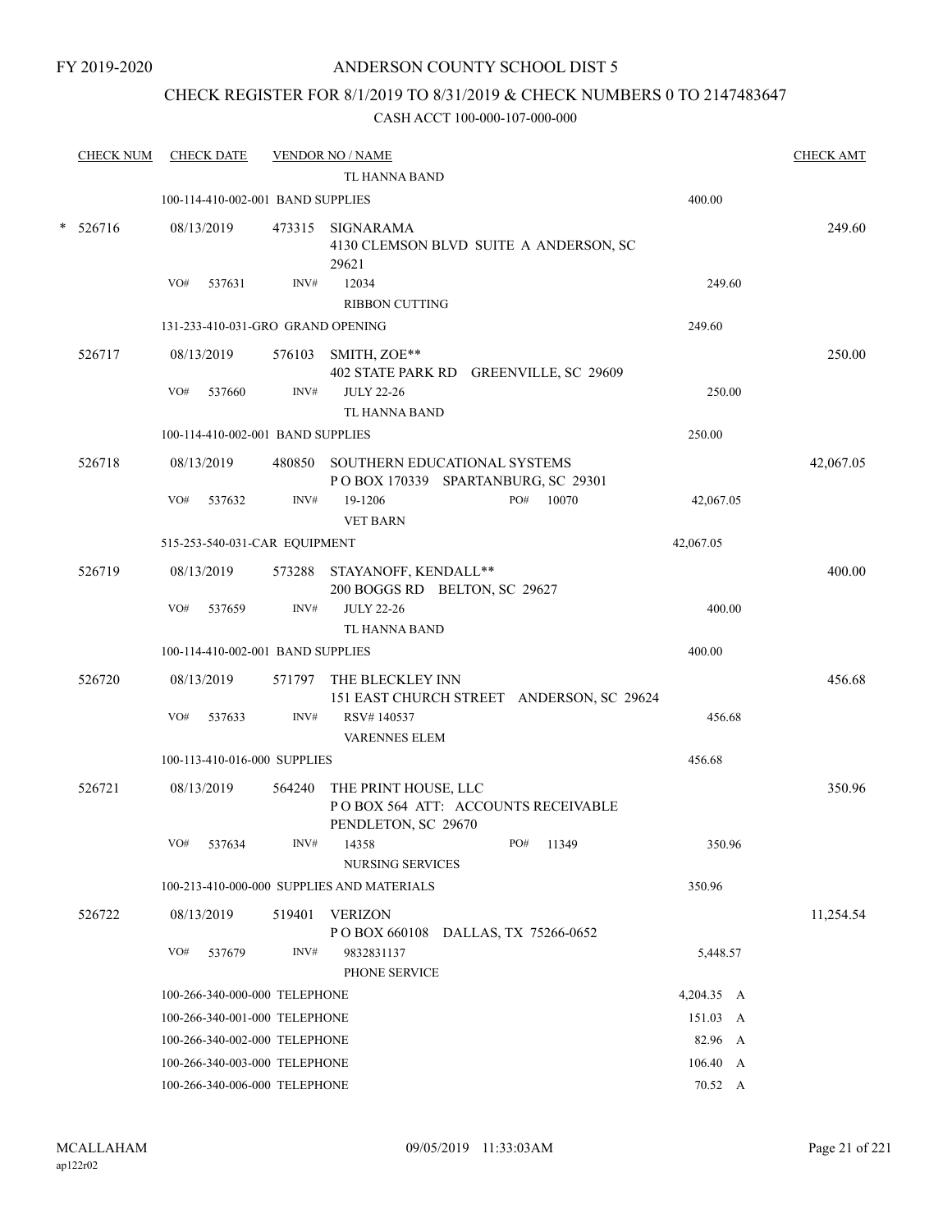### CHECK REGISTER FOR 8/1/2019 TO 8/31/2019 & CHECK NUMBERS 0 TO 2147483647

|        | <b>CHECK NUM</b> |     | <b>CHECK DATE</b>                 |        | <b>VENDOR NO / NAME</b>                                                           |            | <b>CHECK AMT</b> |
|--------|------------------|-----|-----------------------------------|--------|-----------------------------------------------------------------------------------|------------|------------------|
|        |                  |     |                                   |        | <b>TL HANNA BAND</b>                                                              |            |                  |
|        |                  |     | 100-114-410-002-001 BAND SUPPLIES |        |                                                                                   | 400.00     |                  |
| $\ast$ | 526716           |     | 08/13/2019                        |        | 473315 SIGNARAMA<br>4130 CLEMSON BLVD SUITE A ANDERSON, SC<br>29621               |            | 249.60           |
|        |                  | VO# | 537631                            | INV#   | 12034                                                                             | 249.60     |                  |
|        |                  |     |                                   |        | <b>RIBBON CUTTING</b>                                                             |            |                  |
|        |                  |     | 131-233-410-031-GRO GRAND OPENING |        |                                                                                   | 249.60     |                  |
|        | 526717           |     | 08/13/2019                        |        | 576103 SMITH, ZOE**<br>402 STATE PARK RD GREENVILLE, SC 29609                     |            | 250.00           |
|        |                  | VO# | 537660                            | INV#   | <b>JULY 22-26</b><br>TL HANNA BAND                                                | 250.00     |                  |
|        |                  |     | 100-114-410-002-001 BAND SUPPLIES |        |                                                                                   | 250.00     |                  |
|        | 526718           |     | 08/13/2019                        |        | 480850 SOUTHERN EDUCATIONAL SYSTEMS<br>POBOX 170339 SPARTANBURG, SC 29301         |            | 42,067.05        |
|        |                  | VO# | 537632                            | INV#   | PO#<br>19-1206<br>10070<br><b>VET BARN</b>                                        | 42,067.05  |                  |
|        |                  |     | 515-253-540-031-CAR EQUIPMENT     |        |                                                                                   | 42,067.05  |                  |
|        | 526719           |     | 08/13/2019                        |        | 573288 STAYANOFF, KENDALL**<br>200 BOGGS RD BELTON, SC 29627                      |            | 400.00           |
|        |                  | VO# | 537659                            | INV#   | <b>JULY 22-26</b><br>TL HANNA BAND                                                | 400.00     |                  |
|        |                  |     | 100-114-410-002-001 BAND SUPPLIES |        |                                                                                   | 400.00     |                  |
|        | 526720           |     | 08/13/2019                        |        | 571797 THE BLECKLEY INN<br>151 EAST CHURCH STREET ANDERSON, SC 29624              |            | 456.68           |
|        |                  | VO# | 537633                            | INV#   | RSV#140537<br><b>VARENNES ELEM</b>                                                | 456.68     |                  |
|        |                  |     | 100-113-410-016-000 SUPPLIES      |        |                                                                                   | 456.68     |                  |
|        | 526721           |     | 08/13/2019                        | 564240 | THE PRINT HOUSE, LLC<br>POBOX 564 ATT: ACCOUNTS RECEIVABLE<br>PENDLETON, SC 29670 |            | 350.96           |
|        |                  |     | VO# 537634                        |        | $INV#$ 14358<br>PO# 11349<br>NURSING SERVICES                                     | 350.96     |                  |
|        |                  |     |                                   |        | 100-213-410-000-000 SUPPLIES AND MATERIALS                                        | 350.96     |                  |
|        | 526722           |     | 08/13/2019                        |        | 519401 VERIZON<br>POBOX 660108 DALLAS, TX 75266-0652                              |            | 11,254.54        |
|        |                  | VO# | 537679                            | INV#   | 9832831137<br>PHONE SERVICE                                                       | 5,448.57   |                  |
|        |                  |     | 100-266-340-000-000 TELEPHONE     |        |                                                                                   | 4,204.35 A |                  |
|        |                  |     | 100-266-340-001-000 TELEPHONE     |        |                                                                                   | 151.03 A   |                  |
|        |                  |     | 100-266-340-002-000 TELEPHONE     |        |                                                                                   | 82.96 A    |                  |
|        |                  |     | 100-266-340-003-000 TELEPHONE     |        |                                                                                   | 106.40 A   |                  |
|        |                  |     | 100-266-340-006-000 TELEPHONE     |        |                                                                                   | 70.52 A    |                  |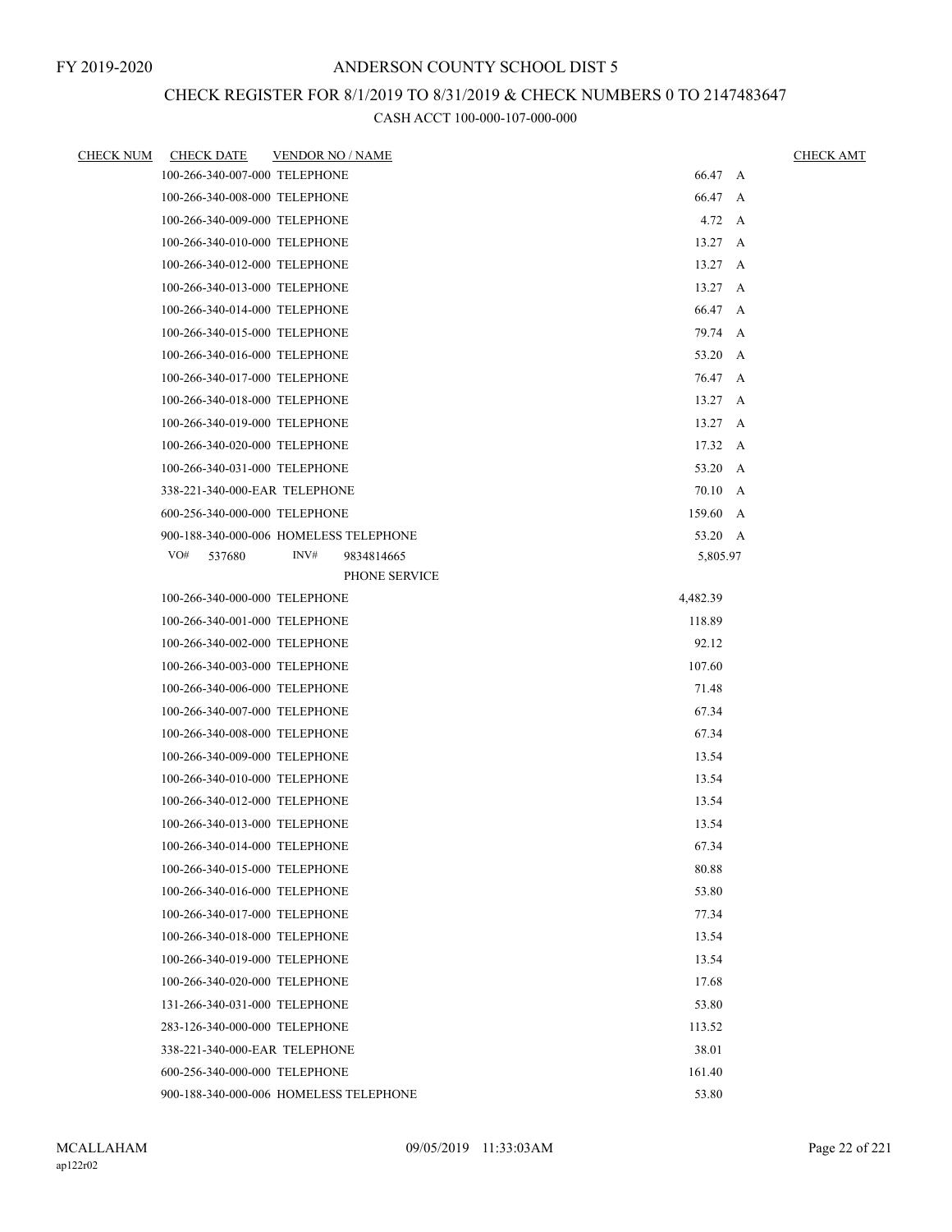# CHECK REGISTER FOR 8/1/2019 TO 8/31/2019 & CHECK NUMBERS 0 TO 2147483647

| <b>CHECK NUM</b> | <b>CHECK DATE</b>                      | <b>VENDOR NO / NAME</b> |                        | <b>CHECK AMT</b> |
|------------------|----------------------------------------|-------------------------|------------------------|------------------|
|                  | 100-266-340-007-000 TELEPHONE          |                         | 66.47 A                |                  |
|                  | 100-266-340-008-000 TELEPHONE          |                         | 66.47 A                |                  |
|                  | 100-266-340-009-000 TELEPHONE          |                         | $4.72 \quad A$         |                  |
|                  | 100-266-340-010-000 TELEPHONE          |                         | $13.27 \, A$           |                  |
|                  | 100-266-340-012-000 TELEPHONE          |                         | $13.27 \, A$           |                  |
|                  | 100-266-340-013-000 TELEPHONE          |                         | 13.27                  | A                |
|                  | 100-266-340-014-000 TELEPHONE          |                         | 66.47 A                |                  |
|                  | 100-266-340-015-000 TELEPHONE          |                         | 79.74 A                |                  |
|                  | 100-266-340-016-000 TELEPHONE          |                         | 53.20 A                |                  |
|                  | 100-266-340-017-000 TELEPHONE          |                         | 76.47 A                |                  |
|                  | 100-266-340-018-000 TELEPHONE          |                         | $13.27 \, A$           |                  |
|                  | 100-266-340-019-000 TELEPHONE          |                         | $13.27 \, A$           |                  |
|                  | 100-266-340-020-000 TELEPHONE          |                         | 17.32 A                |                  |
|                  | 100-266-340-031-000 TELEPHONE          |                         | 53.20 A                |                  |
|                  | 338-221-340-000-EAR TELEPHONE          |                         | 70.10 A                |                  |
|                  | 600-256-340-000-000 TELEPHONE          |                         | 159.60 A               |                  |
|                  | 900-188-340-000-006 HOMELESS TELEPHONE |                         | 53.20 A                |                  |
|                  | VO#<br>537680                          | INV#                    | 9834814665<br>5,805.97 |                  |
|                  |                                        |                         | PHONE SERVICE          |                  |
|                  | 100-266-340-000-000 TELEPHONE          |                         | 4,482.39               |                  |
|                  | 100-266-340-001-000 TELEPHONE          |                         | 118.89                 |                  |
|                  | 100-266-340-002-000 TELEPHONE          |                         | 92.12                  |                  |
|                  | 100-266-340-003-000 TELEPHONE          |                         | 107.60                 |                  |
|                  | 100-266-340-006-000 TELEPHONE          |                         | 71.48                  |                  |
|                  | 100-266-340-007-000 TELEPHONE          |                         | 67.34                  |                  |
|                  | 100-266-340-008-000 TELEPHONE          |                         | 67.34                  |                  |
|                  | 100-266-340-009-000 TELEPHONE          |                         | 13.54                  |                  |
|                  | 100-266-340-010-000 TELEPHONE          |                         | 13.54                  |                  |
|                  | 100-266-340-012-000 TELEPHONE          |                         | 13.54                  |                  |
|                  | 100-266-340-013-000 TELEPHONE          |                         | 13.54                  |                  |
|                  | 100-266-340-014-000 TELEPHONE          |                         | 67.34                  |                  |
|                  | 100-266-340-015-000 TELEPHONE          |                         | 80.88                  |                  |
|                  | 100-266-340-016-000 TELEPHONE          |                         | 53.80                  |                  |
|                  | 100-266-340-017-000 TELEPHONE          |                         | 77.34                  |                  |
|                  | 100-266-340-018-000 TELEPHONE          |                         | 13.54                  |                  |
|                  | 100-266-340-019-000 TELEPHONE          |                         | 13.54                  |                  |
|                  | 100-266-340-020-000 TELEPHONE          |                         | 17.68                  |                  |
|                  | 131-266-340-031-000 TELEPHONE          |                         | 53.80                  |                  |
|                  | 283-126-340-000-000 TELEPHONE          |                         | 113.52                 |                  |
|                  | 338-221-340-000-EAR TELEPHONE          |                         | 38.01                  |                  |
|                  | 600-256-340-000-000 TELEPHONE          |                         | 161.40                 |                  |
|                  | 900-188-340-000-006 HOMELESS TELEPHONE |                         | 53.80                  |                  |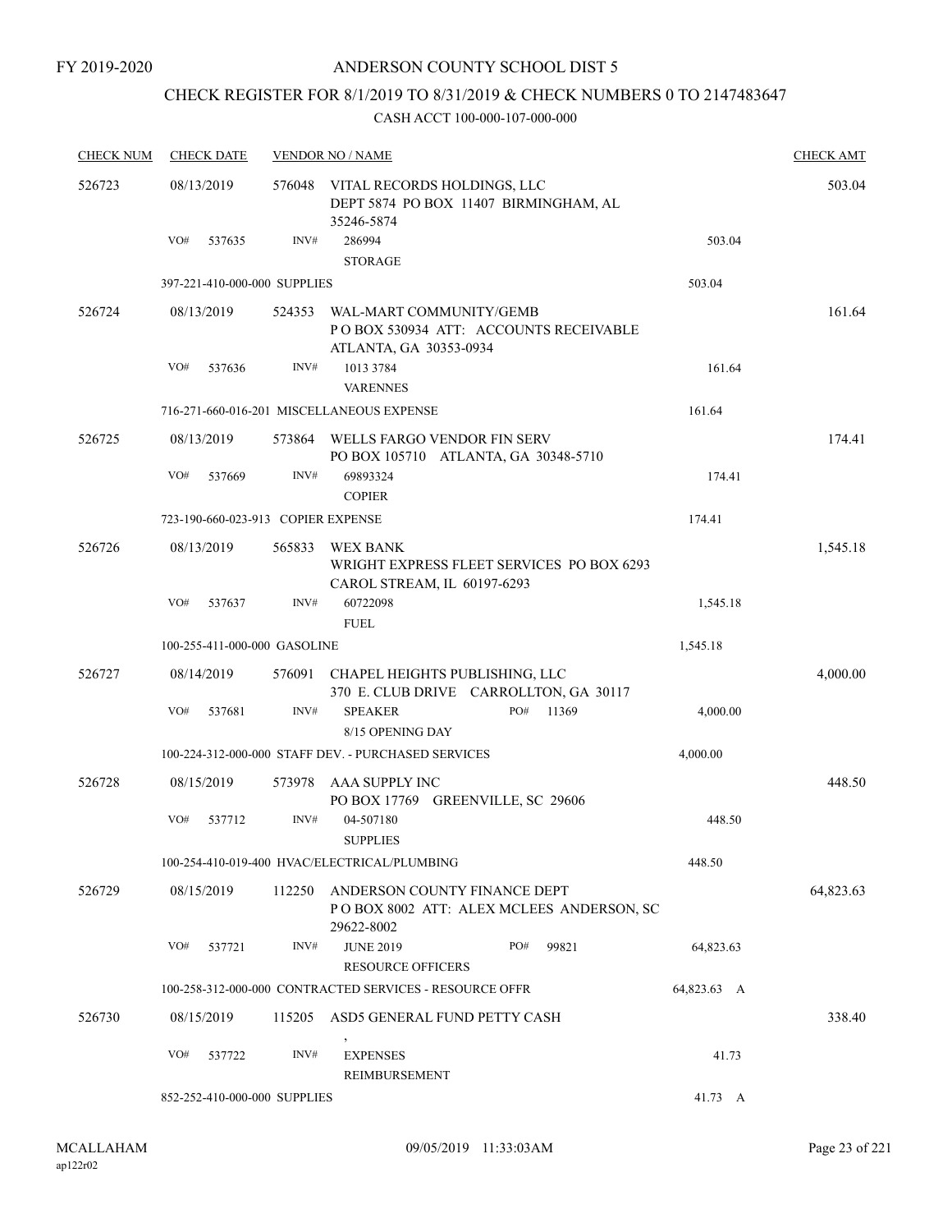FY 2019-2020

### ANDERSON COUNTY SCHOOL DIST 5

# CHECK REGISTER FOR 8/1/2019 TO 8/31/2019 & CHECK NUMBERS 0 TO 2147483647

| <b>CHECK NUM</b> | <b>CHECK DATE</b>            |                                    | <b>VENDOR NO / NAME</b>                                                                     |             | <b>CHECK AMT</b> |
|------------------|------------------------------|------------------------------------|---------------------------------------------------------------------------------------------|-------------|------------------|
| 526723           | 08/13/2019                   | 576048                             | VITAL RECORDS HOLDINGS, LLC<br>DEPT 5874 PO BOX 11407 BIRMINGHAM, AL<br>35246-5874          |             | 503.04           |
|                  | VO#<br>537635                | INV#                               | 286994<br><b>STORAGE</b>                                                                    | 503.04      |                  |
|                  | 397-221-410-000-000 SUPPLIES |                                    |                                                                                             | 503.04      |                  |
| 526724           | 08/13/2019                   | 524353                             | WAL-MART COMMUNITY/GEMB<br>POBOX 530934 ATT: ACCOUNTS RECEIVABLE<br>ATLANTA, GA 30353-0934  |             | 161.64           |
|                  | VO#<br>537636                | INV#                               | 1013 3784                                                                                   | 161.64      |                  |
|                  |                              |                                    | <b>VARENNES</b>                                                                             |             |                  |
|                  |                              |                                    | 716-271-660-016-201 MISCELLANEOUS EXPENSE                                                   | 161.64      |                  |
| 526725           | 08/13/2019                   | 573864                             | WELLS FARGO VENDOR FIN SERV<br>PO BOX 105710 ATLANTA, GA 30348-5710                         |             | 174.41           |
|                  | VO#<br>537669                | INV#                               | 69893324<br><b>COPIER</b>                                                                   | 174.41      |                  |
|                  |                              | 723-190-660-023-913 COPIER EXPENSE |                                                                                             | 174.41      |                  |
| 526726           | 08/13/2019                   | 565833                             | <b>WEX BANK</b><br>WRIGHT EXPRESS FLEET SERVICES PO BOX 6293<br>CAROL STREAM, IL 60197-6293 |             | 1,545.18         |
|                  | VO#<br>537637                | INV#                               | 60722098<br><b>FUEL</b>                                                                     | 1,545.18    |                  |
|                  |                              | 100-255-411-000-000 GASOLINE       |                                                                                             | 1,545.18    |                  |
| 526727           | 08/14/2019                   |                                    | 576091 CHAPEL HEIGHTS PUBLISHING, LLC<br>370 E. CLUB DRIVE CARROLLTON, GA 30117             |             | 4,000.00         |
|                  | VO#<br>537681                | INV#                               | PO#<br><b>SPEAKER</b><br>11369<br>8/15 OPENING DAY                                          | 4,000.00    |                  |
|                  |                              |                                    | 100-224-312-000-000 STAFF DEV. - PURCHASED SERVICES                                         | 4,000.00    |                  |
| 526728           | 08/15/2019                   | 573978                             | AAA SUPPLY INC<br>PO BOX 17769 GREENVILLE, SC 29606                                         |             | 448.50           |
|                  | VO#<br>537712                | INV#                               | 04-507180<br><b>SUPPLIES</b>                                                                | 448.50      |                  |
|                  |                              |                                    | 100-254-410-019-400 HVAC/ELECTRICAL/PLUMBING                                                | 448.50      |                  |
| 526729           | 08/15/2019                   | 112250                             | ANDERSON COUNTY FINANCE DEPT<br>POBOX 8002 ATT: ALEX MCLEES ANDERSON, SC<br>29622-8002      |             | 64,823.63        |
|                  | VO#<br>537721                | INV#                               | <b>JUNE 2019</b><br>PO#<br>99821<br><b>RESOURCE OFFICERS</b>                                | 64,823.63   |                  |
|                  |                              |                                    | 100-258-312-000-000 CONTRACTED SERVICES - RESOURCE OFFR                                     | 64,823.63 A |                  |
| 526730           | 08/15/2019                   | 115205                             | ASD5 GENERAL FUND PETTY CASH<br>$\,$                                                        |             | 338.40           |
|                  | VO#<br>537722                | INV#                               | <b>EXPENSES</b><br>REIMBURSEMENT                                                            | 41.73       |                  |
|                  | 852-252-410-000-000 SUPPLIES |                                    |                                                                                             | 41.73 A     |                  |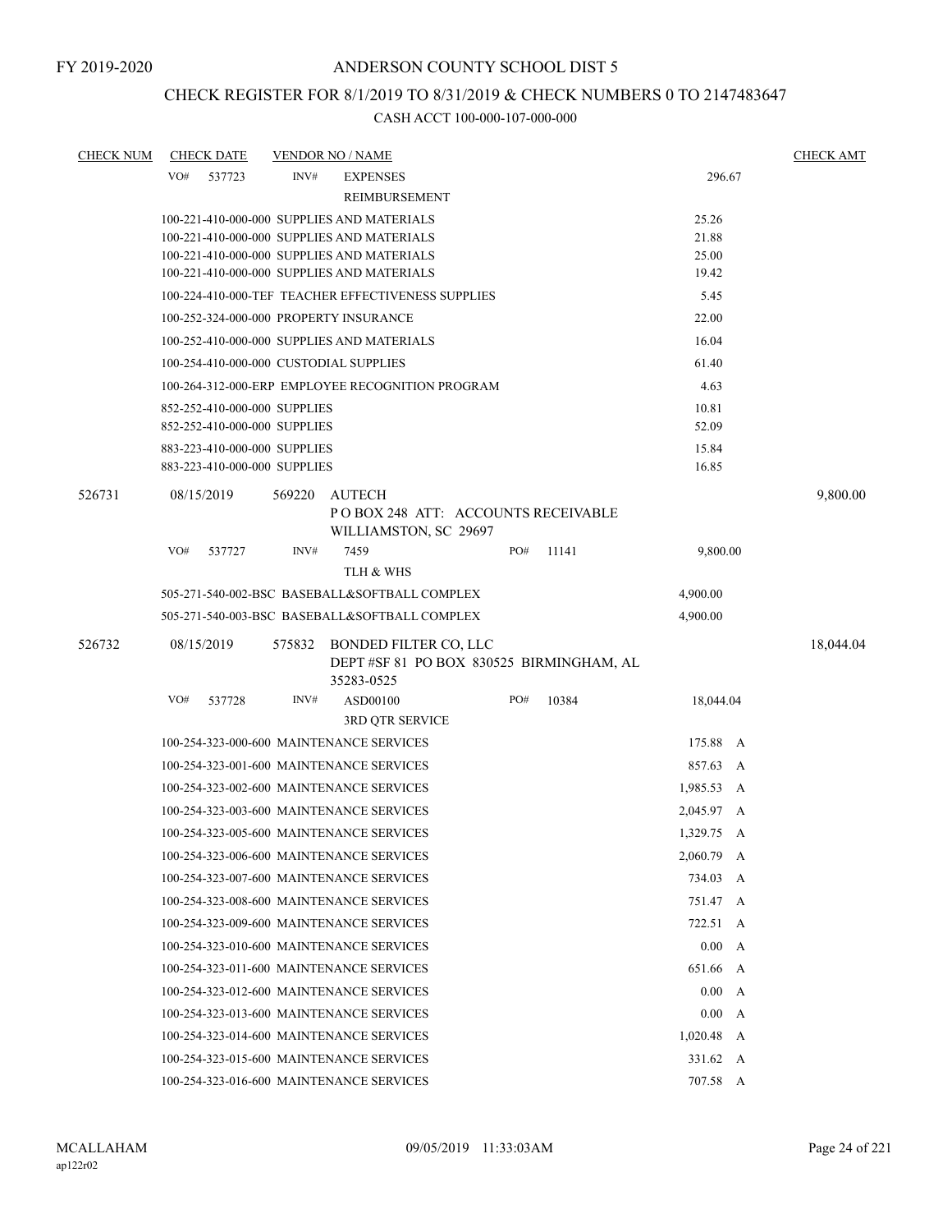# CHECK REGISTER FOR 8/1/2019 TO 8/31/2019 & CHECK NUMBERS 0 TO 2147483647

| <b>CHECK NUM</b> |            | <b>CHECK DATE</b> |                              | <b>VENDOR NO / NAME</b>                            |          |       |              | <b>CHECK AMT</b> |
|------------------|------------|-------------------|------------------------------|----------------------------------------------------|----------|-------|--------------|------------------|
|                  | VO#        | 537723            | INV#                         | <b>EXPENSES</b>                                    |          |       | 296.67       |                  |
|                  |            |                   |                              | REIMBURSEMENT                                      |          |       |              |                  |
|                  |            |                   |                              | 100-221-410-000-000 SUPPLIES AND MATERIALS         |          |       | 25.26        |                  |
|                  |            |                   |                              | 100-221-410-000-000 SUPPLIES AND MATERIALS         |          |       | 21.88        |                  |
|                  |            |                   |                              | 100-221-410-000-000 SUPPLIES AND MATERIALS         |          |       | 25.00        |                  |
|                  |            |                   |                              | 100-221-410-000-000 SUPPLIES AND MATERIALS         |          |       | 19.42        |                  |
|                  |            |                   |                              | 100-224-410-000-TEF TEACHER EFFECTIVENESS SUPPLIES |          |       | 5.45         |                  |
|                  |            |                   |                              | 100-252-324-000-000 PROPERTY INSURANCE             |          |       | 22.00        |                  |
|                  |            |                   |                              | 100-252-410-000-000 SUPPLIES AND MATERIALS         |          |       | 16.04        |                  |
|                  |            |                   |                              | 100-254-410-000-000 CUSTODIAL SUPPLIES             |          |       | 61.40        |                  |
|                  |            |                   |                              | 100-264-312-000-ERP EMPLOYEE RECOGNITION PROGRAM   |          |       | 4.63         |                  |
|                  |            |                   | 852-252-410-000-000 SUPPLIES |                                                    |          |       | 10.81        |                  |
|                  |            |                   | 852-252-410-000-000 SUPPLIES | 52.09                                              |          |       |              |                  |
|                  |            |                   | 883-223-410-000-000 SUPPLIES | 15.84                                              |          |       |              |                  |
|                  |            |                   | 883-223-410-000-000 SUPPLIES | 16.85                                              |          |       |              |                  |
| 526731           | 08/15/2019 |                   | 569220                       |                                                    | 9,800.00 |       |              |                  |
|                  |            |                   |                              | POBOX 248 ATT: ACCOUNTS RECEIVABLE                 |          |       |              |                  |
|                  |            |                   |                              | WILLIAMSTON, SC 29697                              |          |       |              |                  |
|                  | VO#        | 537727            | INV#                         | 7459<br>TLH & WHS                                  | PO#      | 11141 | 9,800.00     |                  |
|                  |            |                   |                              | 505-271-540-002-BSC BASEBALL&SOFTBALL COMPLEX      |          |       | 4,900.00     |                  |
|                  |            |                   |                              | 505-271-540-003-BSC BASEBALL&SOFTBALL COMPLEX      |          |       | 4,900.00     |                  |
| 526732           | 08/15/2019 |                   |                              | 575832 BONDED FILTER CO, LLC                       |          |       |              | 18,044.04        |
|                  |            |                   |                              | DEPT #SF 81 PO BOX 830525 BIRMINGHAM, AL           |          |       |              |                  |
|                  |            |                   |                              | 35283-0525                                         |          |       |              |                  |
|                  | VO#        | 537728            | INV#                         | ASD00100                                           | PO#      | 10384 | 18,044.04    |                  |
|                  |            |                   |                              | 3RD QTR SERVICE                                    |          |       |              |                  |
|                  |            |                   |                              | 100-254-323-000-600 MAINTENANCE SERVICES           |          |       | 175.88 A     |                  |
|                  |            |                   |                              | 100-254-323-001-600 MAINTENANCE SERVICES           |          |       | 857.63 A     |                  |
|                  |            |                   |                              | 100-254-323-002-600 MAINTENANCE SERVICES           |          |       | 1,985.53 A   |                  |
|                  |            |                   |                              | 100-254-323-003-600 MAINTENANCE SERVICES           |          |       | 2,045.97 A   |                  |
|                  |            |                   |                              | 100-254-323-005-600 MAINTENANCE SERVICES           |          |       | 1,329.75 A   |                  |
|                  |            |                   |                              |                                                    |          |       |              |                  |
|                  |            |                   |                              | 100-254-323-006-600 MAINTENANCE SERVICES           |          |       | $2,060.79$ A |                  |
|                  |            |                   |                              | 100-254-323-007-600 MAINTENANCE SERVICES           |          |       | 734.03 A     |                  |
|                  |            |                   |                              | 100-254-323-008-600 MAINTENANCE SERVICES           |          |       | 751.47 A     |                  |
|                  |            |                   |                              | 100-254-323-009-600 MAINTENANCE SERVICES           |          |       | 722.51 A     |                  |
|                  |            |                   |                              | 100-254-323-010-600 MAINTENANCE SERVICES           |          |       | 0.00 A       |                  |
|                  |            |                   |                              | 100-254-323-011-600 MAINTENANCE SERVICES           |          |       | 651.66 A     |                  |
|                  |            |                   |                              | 100-254-323-012-600 MAINTENANCE SERVICES           |          |       | 0.00 A       |                  |
|                  |            |                   |                              | 100-254-323-013-600 MAINTENANCE SERVICES           |          |       | 0.00 A       |                  |
|                  |            |                   |                              | 100-254-323-014-600 MAINTENANCE SERVICES           |          |       | $1,020.48$ A |                  |
|                  |            |                   |                              | 100-254-323-015-600 MAINTENANCE SERVICES           |          |       | 331.62 A     |                  |
|                  |            |                   |                              | 100-254-323-016-600 MAINTENANCE SERVICES           |          |       | 707.58 A     |                  |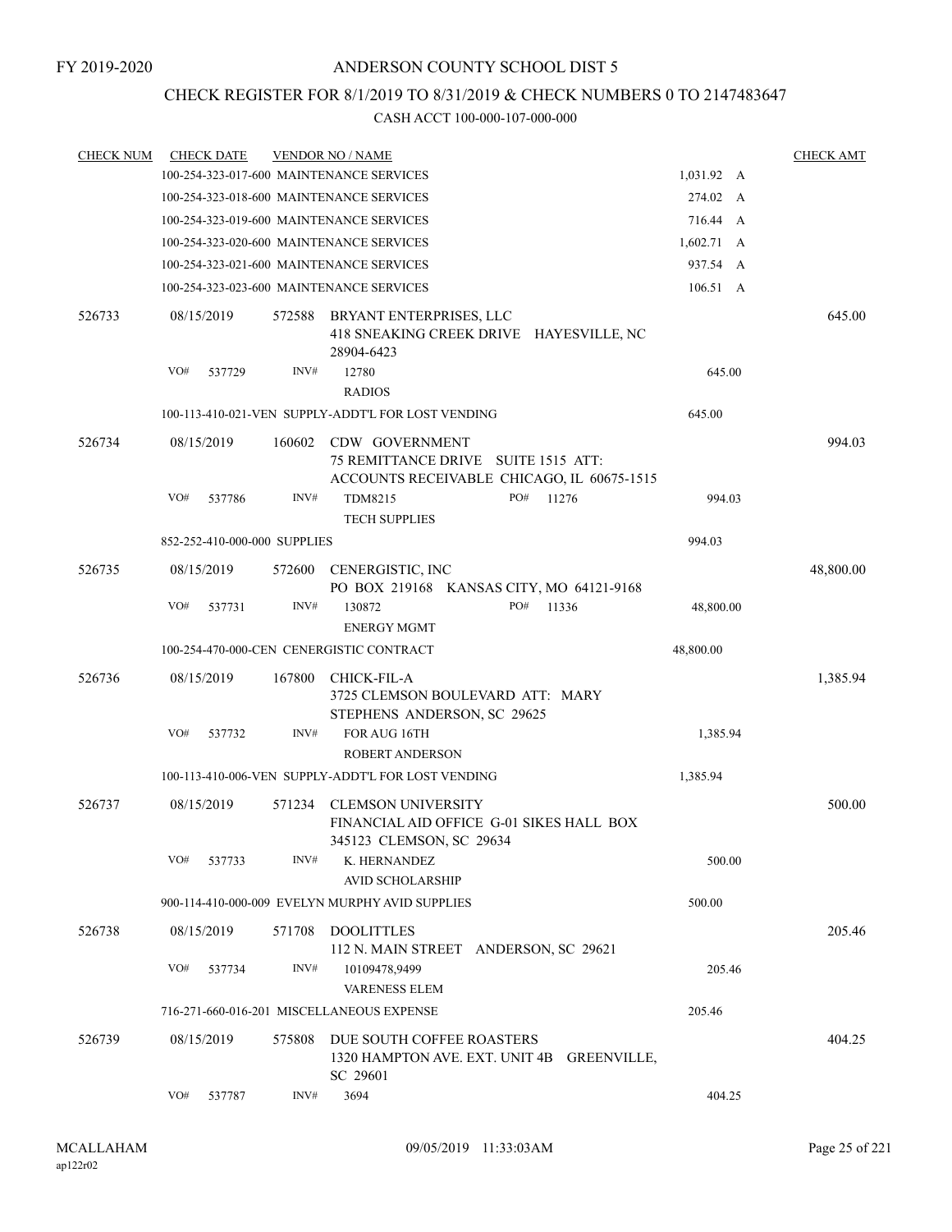### CHECK REGISTER FOR 8/1/2019 TO 8/31/2019 & CHECK NUMBERS 0 TO 2147483647

| <b>CHECK NUM</b> |            | <b>CHECK DATE</b>            |        | <b>VENDOR NO / NAME</b>                                                                             |                    | <b>CHECK AMT</b> |
|------------------|------------|------------------------------|--------|-----------------------------------------------------------------------------------------------------|--------------------|------------------|
|                  |            |                              |        | 100-254-323-017-600 MAINTENANCE SERVICES                                                            | 1,031.92 A         |                  |
|                  |            |                              |        | 100-254-323-018-600 MAINTENANCE SERVICES                                                            | 274.02 A           |                  |
|                  |            |                              |        | 100-254-323-019-600 MAINTENANCE SERVICES                                                            | 716.44 A           |                  |
|                  |            |                              |        | 100-254-323-020-600 MAINTENANCE SERVICES                                                            | $1,602.71 \quad A$ |                  |
|                  |            |                              |        | 100-254-323-021-600 MAINTENANCE SERVICES                                                            | 937.54 A           |                  |
|                  |            |                              |        | 100-254-323-023-600 MAINTENANCE SERVICES                                                            | 106.51 A           |                  |
| 526733           | 08/15/2019 |                              | 572588 | BRYANT ENTERPRISES, LLC<br>418 SNEAKING CREEK DRIVE HAYESVILLE, NC<br>28904-6423                    |                    | 645.00           |
|                  | VO#        | 537729                       | INV#   | 12780                                                                                               | 645.00             |                  |
|                  |            |                              |        | <b>RADIOS</b>                                                                                       |                    |                  |
|                  |            |                              |        | 100-113-410-021-VEN SUPPLY-ADDT'L FOR LOST VENDING                                                  | 645.00             |                  |
| 526734           | 08/15/2019 |                              | 160602 | CDW GOVERNMENT<br>75 REMITTANCE DRIVE SUITE 1515 ATT:<br>ACCOUNTS RECEIVABLE CHICAGO, IL 60675-1515 |                    | 994.03           |
|                  | VO#        | 537786                       | INV#   | PO#<br>TDM8215<br>11276<br><b>TECH SUPPLIES</b>                                                     | 994.03             |                  |
|                  |            | 852-252-410-000-000 SUPPLIES |        |                                                                                                     | 994.03             |                  |
| 526735           | 08/15/2019 |                              | 572600 | CENERGISTIC, INC<br>PO BOX 219168 KANSAS CITY, MO 64121-9168                                        |                    | 48,800.00        |
|                  | VO#        | 537731                       | INV#   | PO#<br>130872<br>11336                                                                              | 48,800.00          |                  |
|                  |            |                              |        | <b>ENERGY MGMT</b>                                                                                  |                    |                  |
|                  |            |                              |        | 100-254-470-000-CEN CENERGISTIC CONTRACT                                                            | 48,800.00          |                  |
| 526736           | 08/15/2019 |                              | 167800 | <b>CHICK-FIL-A</b><br>3725 CLEMSON BOULEVARD ATT: MARY<br>STEPHENS ANDERSON, SC 29625               |                    | 1,385.94         |
|                  | VO#        | 537732                       | INV#   | FOR AUG 16TH<br><b>ROBERT ANDERSON</b>                                                              | 1,385.94           |                  |
|                  |            |                              |        | 100-113-410-006-VEN SUPPLY-ADDT'L FOR LOST VENDING                                                  | 1,385.94           |                  |
| 526737           | 08/15/2019 |                              | 571234 | <b>CLEMSON UNIVERSITY</b><br>FINANCIAL AID OFFICE G-01 SIKES HALL BOX                               |                    | 500.00           |
|                  | VO#        | 537733                       | INV#   | 345123 CLEMSON, SC 29634<br>K. HERNANDEZ<br><b>AVID SCHOLARSHIP</b>                                 | 500.00             |                  |
|                  |            |                              |        | 900-114-410-000-009 EVELYN MURPHY AVID SUPPLIES                                                     | 500.00             |                  |
| 526738           | 08/15/2019 |                              | 571708 | DOOLITTLES                                                                                          |                    | 205.46           |
|                  |            |                              |        | 112 N. MAIN STREET ANDERSON, SC 29621                                                               |                    |                  |
|                  | VO#        | 537734                       | INV#   | 10109478,9499<br>VARENESS ELEM                                                                      | 205.46             |                  |
|                  |            |                              |        | 716-271-660-016-201 MISCELLANEOUS EXPENSE                                                           | 205.46             |                  |
| 526739           | 08/15/2019 |                              | 575808 | DUE SOUTH COFFEE ROASTERS<br>1320 HAMPTON AVE. EXT. UNIT 4B<br><b>GREENVILLE,</b><br>SC 29601       |                    | 404.25           |
|                  | VO#        | 537787                       | INV#   | 3694                                                                                                | 404.25             |                  |
|                  |            |                              |        |                                                                                                     |                    |                  |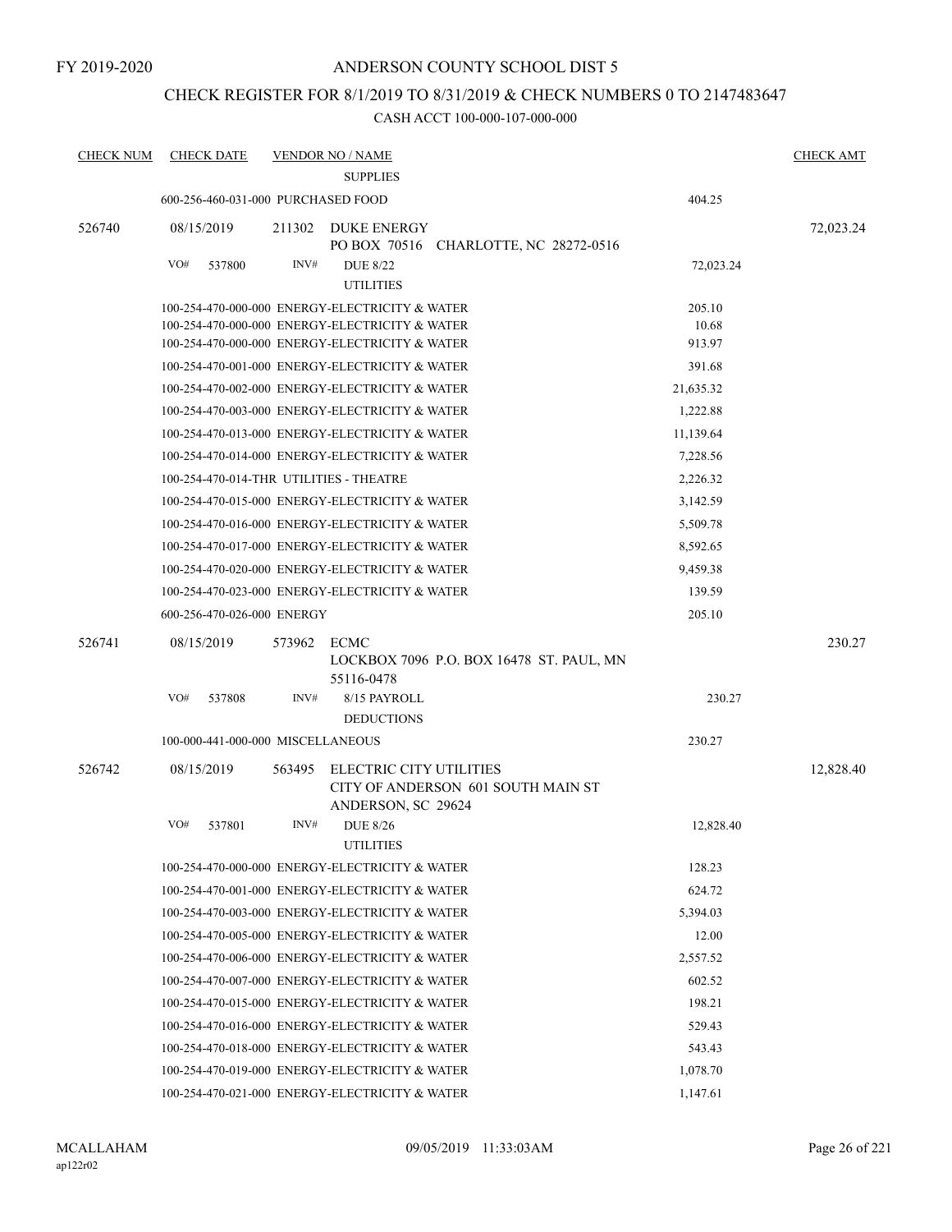#### FY 2019-2020

#### ANDERSON COUNTY SCHOOL DIST 5

### CHECK REGISTER FOR 8/1/2019 TO 8/31/2019 & CHECK NUMBERS 0 TO 2147483647

| <b>CHECK NUM</b> | <b>CHECK DATE</b>                       |        | <b>VENDOR NO / NAME</b>                                  |           | <b>CHECK AMT</b> |
|------------------|-----------------------------------------|--------|----------------------------------------------------------|-----------|------------------|
|                  |                                         |        | <b>SUPPLIES</b>                                          |           |                  |
|                  | 600-256-460-031-000 PURCHASED FOOD      |        |                                                          | 404.25    |                  |
| 526740           | 08/15/2019                              | 211302 | DUKE ENERGY<br>PO BOX 70516 CHARLOTTE, NC 28272-0516     |           | 72,023.24        |
|                  | VO#<br>537800                           | INV#   | <b>DUE 8/22</b><br><b>UTILITIES</b>                      | 72,023.24 |                  |
|                  |                                         |        | 100-254-470-000-000 ENERGY-ELECTRICITY & WATER           | 205.10    |                  |
|                  |                                         |        | 100-254-470-000-000 ENERGY-ELECTRICITY & WATER           | 10.68     |                  |
|                  |                                         |        | 100-254-470-000-000 ENERGY-ELECTRICITY & WATER           | 913.97    |                  |
|                  |                                         |        | 100-254-470-001-000 ENERGY-ELECTRICITY & WATER           | 391.68    |                  |
|                  |                                         |        | 100-254-470-002-000 ENERGY-ELECTRICITY & WATER           | 21,635.32 |                  |
|                  |                                         |        | 100-254-470-003-000 ENERGY-ELECTRICITY & WATER           | 1,222.88  |                  |
|                  |                                         |        | 100-254-470-013-000 ENERGY-ELECTRICITY & WATER           | 11,139.64 |                  |
|                  |                                         |        | 100-254-470-014-000 ENERGY-ELECTRICITY & WATER           | 7,228.56  |                  |
|                  | 100-254-470-014-THR UTILITIES - THEATRE |        |                                                          | 2,226.32  |                  |
|                  |                                         |        | 100-254-470-015-000 ENERGY-ELECTRICITY & WATER           | 3,142.59  |                  |
|                  |                                         |        | 100-254-470-016-000 ENERGY-ELECTRICITY & WATER           | 5,509.78  |                  |
|                  |                                         |        | 100-254-470-017-000 ENERGY-ELECTRICITY & WATER           | 8,592.65  |                  |
|                  |                                         |        | 100-254-470-020-000 ENERGY-ELECTRICITY & WATER           | 9,459.38  |                  |
|                  |                                         |        | 100-254-470-023-000 ENERGY-ELECTRICITY & WATER           | 139.59    |                  |
|                  | 600-256-470-026-000 ENERGY              |        |                                                          | 205.10    |                  |
| 526741           | 08/15/2019                              | 573962 | ECMC                                                     |           | 230.27           |
|                  |                                         |        | LOCKBOX 7096 P.O. BOX 16478 ST. PAUL, MN<br>55116-0478   |           |                  |
|                  | VO#<br>537808                           | INV#   | 8/15 PAYROLL<br><b>DEDUCTIONS</b>                        | 230.27    |                  |
|                  | 100-000-441-000-000 MISCELLANEOUS       |        |                                                          | 230.27    |                  |
| 526742           | 08/15/2019                              | 563495 | ELECTRIC CITY UTILITIES                                  |           | 12,828.40        |
|                  |                                         |        | CITY OF ANDERSON 601 SOUTH MAIN ST<br>ANDERSON, SC 29624 |           |                  |
|                  | VO#<br>537801                           | INV#   | <b>DUE 8/26</b>                                          | 12,828.40 |                  |
|                  |                                         |        | <b>UTILITIES</b>                                         |           |                  |
|                  |                                         |        | 100-254-470-000-000 ENERGY-ELECTRICITY & WATER           | 128.23    |                  |
|                  |                                         |        | 100-254-470-001-000 ENERGY-ELECTRICITY & WATER           | 624.72    |                  |
|                  |                                         |        | 100-254-470-003-000 ENERGY-ELECTRICITY & WATER           | 5,394.03  |                  |
|                  |                                         |        | 100-254-470-005-000 ENERGY-ELECTRICITY & WATER           | 12.00     |                  |
|                  |                                         |        | 100-254-470-006-000 ENERGY-ELECTRICITY & WATER           | 2,557.52  |                  |
|                  |                                         |        | 100-254-470-007-000 ENERGY-ELECTRICITY & WATER           | 602.52    |                  |
|                  |                                         |        | 100-254-470-015-000 ENERGY-ELECTRICITY & WATER           | 198.21    |                  |
|                  |                                         |        | 100-254-470-016-000 ENERGY-ELECTRICITY & WATER           | 529.43    |                  |
|                  |                                         |        | 100-254-470-018-000 ENERGY-ELECTRICITY & WATER           | 543.43    |                  |
|                  |                                         |        | 100-254-470-019-000 ENERGY-ELECTRICITY & WATER           | 1,078.70  |                  |
|                  |                                         |        | 100-254-470-021-000 ENERGY-ELECTRICITY & WATER           | 1,147.61  |                  |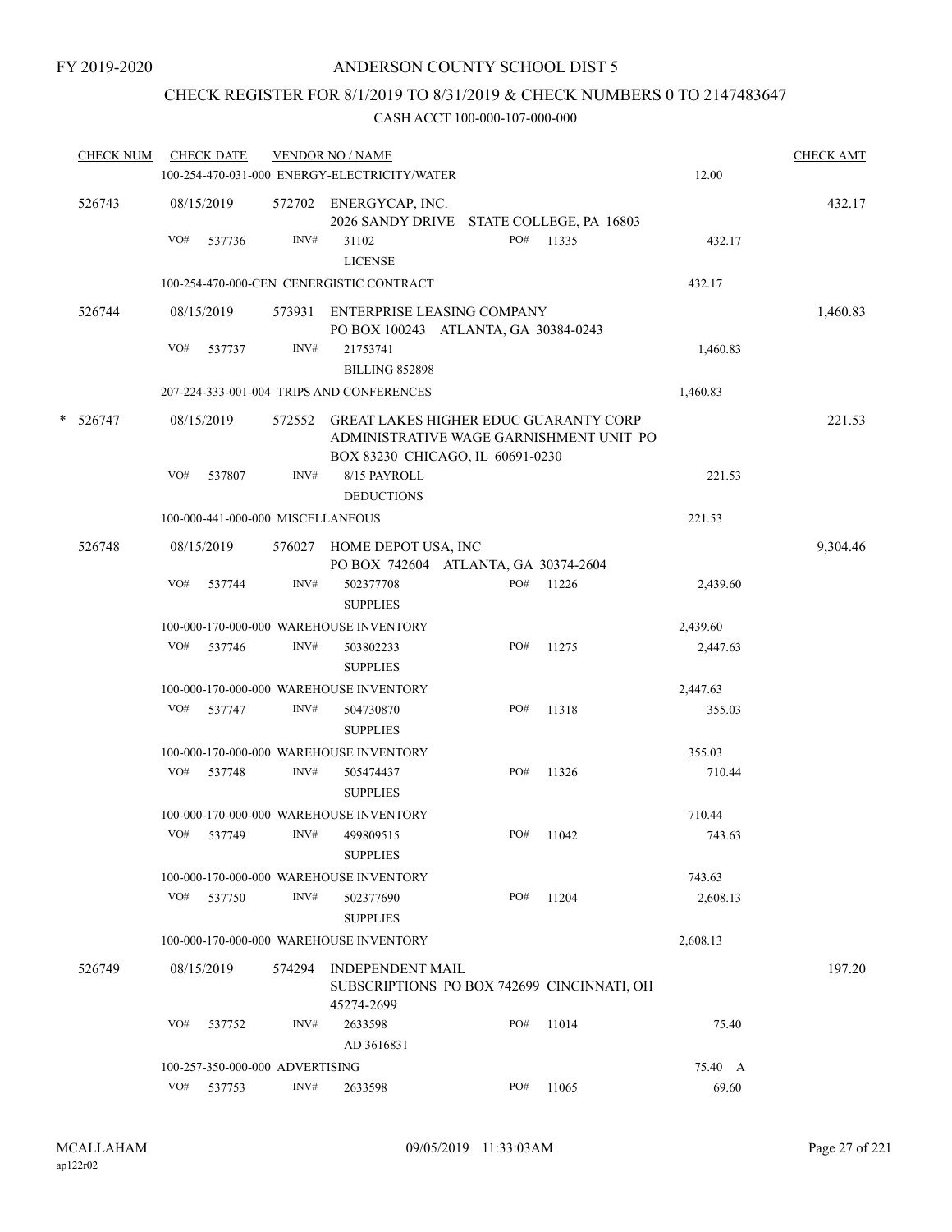### CHECK REGISTER FOR 8/1/2019 TO 8/31/2019 & CHECK NUMBERS 0 TO 2147483647

| <b>CHECK NUM</b> |     | <b>CHECK DATE</b>                 |        | <b>VENDOR NO / NAME</b>                                                                                                     |     |       |          | <b>CHECK AMT</b> |
|------------------|-----|-----------------------------------|--------|-----------------------------------------------------------------------------------------------------------------------------|-----|-------|----------|------------------|
|                  |     |                                   |        | 100-254-470-031-000 ENERGY-ELECTRICITY/WATER                                                                                |     |       | 12.00    |                  |
| 526743           |     | 08/15/2019                        |        | 572702 ENERGYCAP, INC.<br>2026 SANDY DRIVE STATE COLLEGE, PA 16803                                                          |     |       |          | 432.17           |
|                  | VO# | 537736                            | INV#   | 31102<br><b>LICENSE</b>                                                                                                     | PO# | 11335 | 432.17   |                  |
|                  |     |                                   |        | 100-254-470-000-CEN CENERGISTIC CONTRACT                                                                                    |     |       | 432.17   |                  |
| 526744           |     | 08/15/2019                        | 573931 | ENTERPRISE LEASING COMPANY<br>PO BOX 100243 ATLANTA, GA 30384-0243                                                          |     |       |          | 1,460.83         |
|                  | VO# | 537737                            | INV#   | 21753741<br><b>BILLING 852898</b>                                                                                           |     |       | 1,460.83 |                  |
|                  |     |                                   |        | 207-224-333-001-004 TRIPS AND CONFERENCES                                                                                   |     |       | 1,460.83 |                  |
| $*$ 526747       |     | 08/15/2019                        | 572552 | <b>GREAT LAKES HIGHER EDUC GUARANTY CORP</b><br>ADMINISTRATIVE WAGE GARNISHMENT UNIT PO<br>BOX 83230 CHICAGO, IL 60691-0230 |     |       |          | 221.53           |
|                  | VO# | 537807                            | INV#   | 8/15 PAYROLL<br><b>DEDUCTIONS</b>                                                                                           |     |       | 221.53   |                  |
|                  |     | 100-000-441-000-000 MISCELLANEOUS |        |                                                                                                                             |     |       | 221.53   |                  |
| 526748           |     | 08/15/2019                        | 576027 | HOME DEPOT USA, INC<br>PO BOX 742604 ATLANTA, GA 30374-2604                                                                 |     |       |          | 9,304.46         |
|                  | VO# | 537744                            | INV#   | 502377708<br><b>SUPPLIES</b>                                                                                                | PO# | 11226 | 2,439.60 |                  |
|                  |     |                                   |        | 100-000-170-000-000 WAREHOUSE INVENTORY                                                                                     |     |       | 2,439.60 |                  |
|                  | VO# | 537746                            | INV#   | 503802233<br><b>SUPPLIES</b>                                                                                                | PO# | 11275 | 2,447.63 |                  |
|                  |     |                                   |        | 100-000-170-000-000 WAREHOUSE INVENTORY                                                                                     |     |       | 2,447.63 |                  |
|                  | VO# | 537747                            | INV#   | 504730870<br><b>SUPPLIES</b>                                                                                                | PO# | 11318 | 355.03   |                  |
|                  |     |                                   |        | 100-000-170-000-000 WAREHOUSE INVENTORY                                                                                     |     |       | 355.03   |                  |
|                  | VO# | 537748                            | INV#   | 505474437<br><b>SUPPLIES</b>                                                                                                | PO# | 11326 | 710.44   |                  |
|                  |     |                                   |        | 100-000-170-000-000 WAREHOUSE INVENTORY                                                                                     |     |       | 710.44   |                  |
|                  | VO# | 537749                            | INV#   | 499809515<br><b>SUPPLIES</b>                                                                                                | PO# | 11042 | 743.63   |                  |
|                  |     |                                   |        | 100-000-170-000-000 WAREHOUSE INVENTORY                                                                                     |     |       | 743.63   |                  |
|                  | VO# | 537750                            | INV#   | 502377690<br><b>SUPPLIES</b>                                                                                                | PO# | 11204 | 2,608.13 |                  |
|                  |     |                                   |        | 100-000-170-000-000 WAREHOUSE INVENTORY                                                                                     |     |       | 2,608.13 |                  |
| 526749           |     | 08/15/2019                        | 574294 | <b>INDEPENDENT MAIL</b><br>SUBSCRIPTIONS PO BOX 742699 CINCINNATI, OH<br>45274-2699                                         |     |       |          | 197.20           |
|                  | VO# | 537752                            | INV#   | 2633598<br>AD 3616831                                                                                                       | PO# | 11014 | 75.40    |                  |
|                  |     | 100-257-350-000-000 ADVERTISING   |        |                                                                                                                             |     |       | 75.40 A  |                  |
|                  | VO# | 537753                            | INV#   | 2633598                                                                                                                     | PO# | 11065 | 69.60    |                  |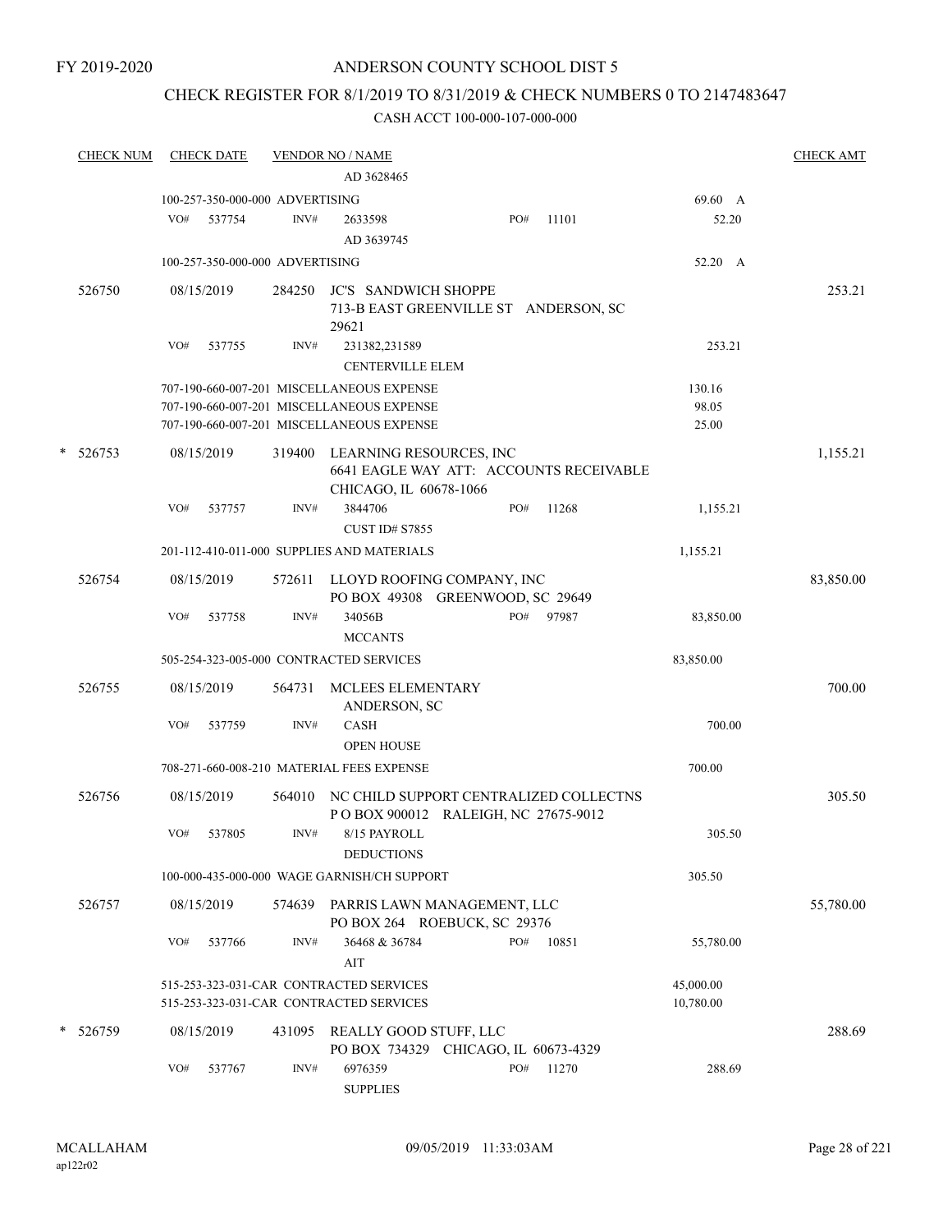#### FY 2019-2020

### ANDERSON COUNTY SCHOOL DIST 5

# CHECK REGISTER FOR 8/1/2019 TO 8/31/2019 & CHECK NUMBERS 0 TO 2147483647

|   | <u>CHECK NUM</u> |            | <b>CHECK DATE</b>               |        | <b>VENDOR NO / NAME</b>                                                                      |     |       |                        | <b>CHECK AMT</b> |
|---|------------------|------------|---------------------------------|--------|----------------------------------------------------------------------------------------------|-----|-------|------------------------|------------------|
|   |                  |            |                                 |        | AD 3628465                                                                                   |     |       |                        |                  |
|   |                  |            | 100-257-350-000-000 ADVERTISING |        |                                                                                              |     |       | 69.60 A                |                  |
|   |                  | VO#        | 537754                          | INV#   | 2633598<br>AD 3639745                                                                        | PO# | 11101 | 52.20                  |                  |
|   |                  |            | 100-257-350-000-000 ADVERTISING |        |                                                                                              |     |       | 52.20 A                |                  |
|   | 526750           | 08/15/2019 |                                 | 284250 | <b>JC'S SANDWICH SHOPPE</b><br>713-B EAST GREENVILLE ST ANDERSON, SC<br>29621                |     |       |                        | 253.21           |
|   |                  | VO#        | 537755                          | INV#   | 231382,231589<br><b>CENTERVILLE ELEM</b>                                                     |     |       | 253.21                 |                  |
|   |                  |            |                                 |        | 707-190-660-007-201 MISCELLANEOUS EXPENSE                                                    |     |       | 130.16                 |                  |
|   |                  |            |                                 |        | 707-190-660-007-201 MISCELLANEOUS EXPENSE<br>707-190-660-007-201 MISCELLANEOUS EXPENSE       |     |       | 98.05<br>25.00         |                  |
| * | 526753           | 08/15/2019 |                                 | 319400 | LEARNING RESOURCES, INC<br>6641 EAGLE WAY ATT: ACCOUNTS RECEIVABLE<br>CHICAGO, IL 60678-1066 |     |       |                        | 1,155.21         |
|   |                  | VO#        | 537757                          | INV#   | 3844706<br><b>CUST ID# S7855</b>                                                             | PO# | 11268 | 1,155.21               |                  |
|   |                  |            |                                 |        | 201-112-410-011-000 SUPPLIES AND MATERIALS                                                   |     |       | 1,155.21               |                  |
|   | 526754           | 08/15/2019 |                                 | 572611 | LLOYD ROOFING COMPANY, INC<br>PO BOX 49308 GREENWOOD, SC 29649                               |     |       |                        | 83,850.00        |
|   |                  | VO#        | 537758                          | INV#   | 34056B<br><b>MCCANTS</b>                                                                     | PO# | 97987 | 83,850.00              |                  |
|   |                  |            |                                 |        | 505-254-323-005-000 CONTRACTED SERVICES                                                      |     |       | 83,850.00              |                  |
|   | 526755           | 08/15/2019 |                                 | 564731 | MCLEES ELEMENTARY<br>ANDERSON, SC                                                            |     |       |                        | 700.00           |
|   |                  | VO#        | 537759                          | INV#   | <b>CASH</b><br><b>OPEN HOUSE</b>                                                             |     |       | 700.00                 |                  |
|   |                  |            |                                 |        | 708-271-660-008-210 MATERIAL FEES EXPENSE                                                    |     |       | 700.00                 |                  |
|   | 526756           | 08/15/2019 |                                 | 564010 | NC CHILD SUPPORT CENTRALIZED COLLECTNS<br>POBOX 900012 RALEIGH, NC 27675-9012                |     |       |                        | 305.50           |
|   |                  | VO#        | 537805                          | INV#   | 8/15 PAYROLL<br><b>DEDUCTIONS</b>                                                            |     |       | 305.50                 |                  |
|   |                  |            |                                 |        | 100-000-435-000-000 WAGE GARNISH/CH SUPPORT                                                  |     |       | 305.50                 |                  |
|   | 526757           | 08/15/2019 |                                 | 574639 | PARRIS LAWN MANAGEMENT, LLC<br>PO BOX 264 ROEBUCK, SC 29376                                  |     |       |                        | 55,780.00        |
|   |                  | VO#        | 537766                          | INV#   | 36468 & 36784<br>AIT                                                                         | PO# | 10851 | 55,780.00              |                  |
|   |                  |            |                                 |        | 515-253-323-031-CAR CONTRACTED SERVICES<br>515-253-323-031-CAR CONTRACTED SERVICES           |     |       | 45,000.00<br>10,780.00 |                  |
|   | * 526759         | 08/15/2019 |                                 | 431095 | REALLY GOOD STUFF, LLC<br>PO BOX 734329 CHICAGO, IL 60673-4329                               |     |       |                        | 288.69           |
|   |                  | VO#        | 537767                          | INV#   | 6976359<br><b>SUPPLIES</b>                                                                   | PO# | 11270 | 288.69                 |                  |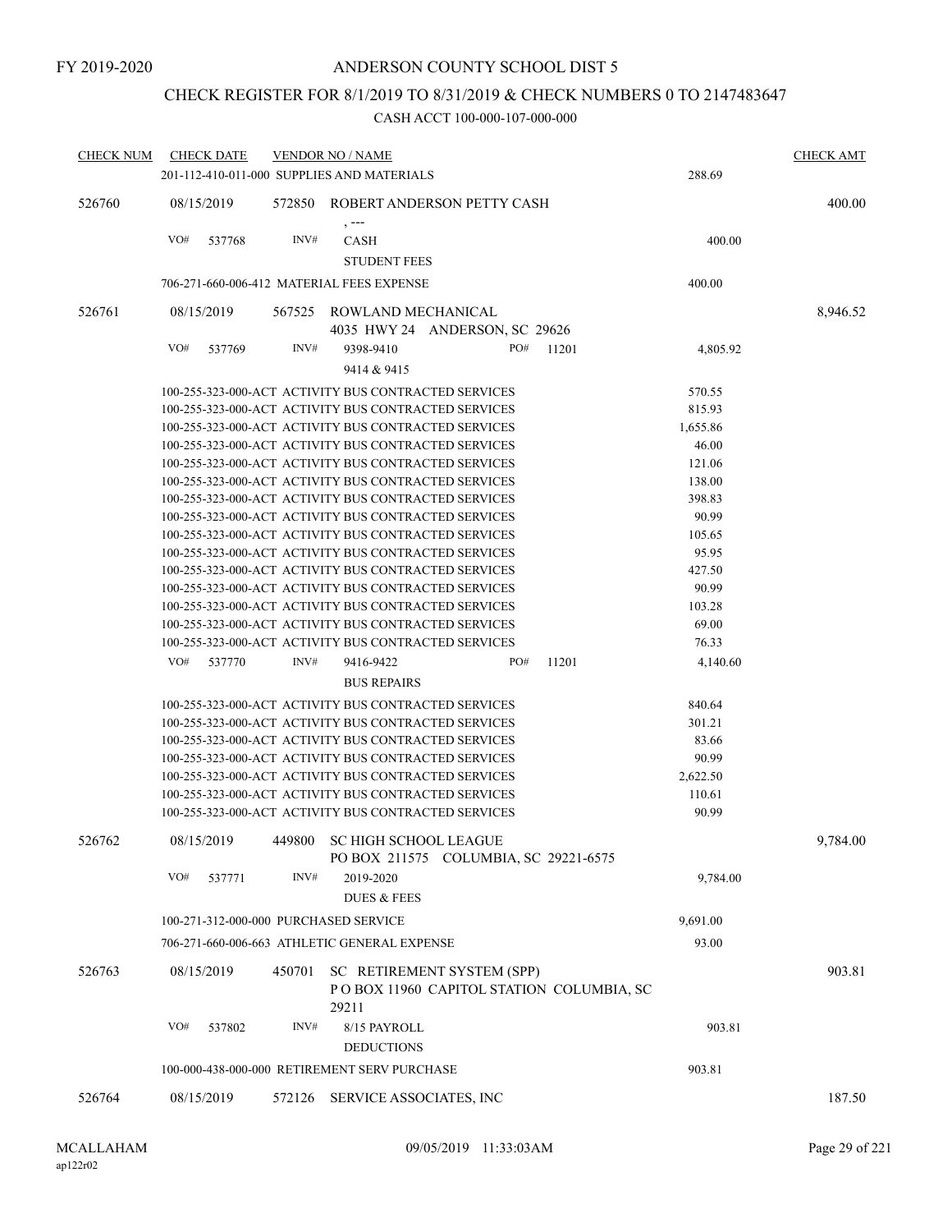## CHECK REGISTER FOR 8/1/2019 TO 8/31/2019 & CHECK NUMBERS 0 TO 2147483647

| CHECK NUM | <b>CHECK DATE</b>                                                                                            |        | <b>VENDOR NO / NAME</b>                                                         |     |       |                   | <b>CHECK AMT</b> |
|-----------|--------------------------------------------------------------------------------------------------------------|--------|---------------------------------------------------------------------------------|-----|-------|-------------------|------------------|
|           | 201-112-410-011-000 SUPPLIES AND MATERIALS                                                                   |        |                                                                                 |     |       | 288.69            |                  |
| 526760    | 08/15/2019                                                                                                   | 572850 | ROBERT ANDERSON PETTY CASH                                                      |     |       |                   | 400.00           |
|           | VO#<br>537768                                                                                                | INV#   | $, --$<br><b>CASH</b><br><b>STUDENT FEES</b>                                    |     |       | 400.00            |                  |
|           | 706-271-660-006-412 MATERIAL FEES EXPENSE                                                                    |        |                                                                                 |     |       | 400.00            |                  |
| 526761    | 08/15/2019                                                                                                   | 567525 | ROWLAND MECHANICAL<br>4035 HWY 24 ANDERSON, SC 29626                            |     |       |                   | 8,946.52         |
|           | VO#<br>537769                                                                                                | INV#   | 9398-9410                                                                       | PO# | 11201 | 4,805.92          |                  |
|           |                                                                                                              |        | 9414 & 9415                                                                     |     |       |                   |                  |
|           | 100-255-323-000-ACT ACTIVITY BUS CONTRACTED SERVICES                                                         |        |                                                                                 |     |       | 570.55            |                  |
|           | 100-255-323-000-ACT ACTIVITY BUS CONTRACTED SERVICES                                                         |        |                                                                                 |     |       | 815.93            |                  |
|           | 100-255-323-000-ACT ACTIVITY BUS CONTRACTED SERVICES                                                         |        |                                                                                 |     |       | 1,655.86          |                  |
|           | 100-255-323-000-ACT ACTIVITY BUS CONTRACTED SERVICES                                                         |        |                                                                                 |     |       | 46.00             |                  |
|           | 100-255-323-000-ACT ACTIVITY BUS CONTRACTED SERVICES                                                         |        |                                                                                 |     |       | 121.06            |                  |
|           | 100-255-323-000-ACT ACTIVITY BUS CONTRACTED SERVICES                                                         |        |                                                                                 |     |       | 138.00            |                  |
|           | 100-255-323-000-ACT ACTIVITY BUS CONTRACTED SERVICES                                                         |        |                                                                                 |     |       | 398.83            |                  |
|           | 100-255-323-000-ACT ACTIVITY BUS CONTRACTED SERVICES                                                         |        |                                                                                 |     |       | 90.99             |                  |
|           | 100-255-323-000-ACT ACTIVITY BUS CONTRACTED SERVICES                                                         |        |                                                                                 |     |       | 105.65            |                  |
|           | 100-255-323-000-ACT ACTIVITY BUS CONTRACTED SERVICES                                                         |        |                                                                                 |     |       | 95.95             |                  |
|           | 100-255-323-000-ACT ACTIVITY BUS CONTRACTED SERVICES                                                         |        |                                                                                 |     |       | 427.50            |                  |
|           | 100-255-323-000-ACT ACTIVITY BUS CONTRACTED SERVICES                                                         |        |                                                                                 |     |       | 90.99             |                  |
|           | 100-255-323-000-ACT ACTIVITY BUS CONTRACTED SERVICES                                                         |        |                                                                                 |     |       | 103.28            |                  |
|           | 100-255-323-000-ACT ACTIVITY BUS CONTRACTED SERVICES                                                         |        |                                                                                 |     |       | 69.00             |                  |
|           | 100-255-323-000-ACT ACTIVITY BUS CONTRACTED SERVICES                                                         |        |                                                                                 |     |       | 76.33             |                  |
|           | VO#<br>537770                                                                                                | INV#   | 9416-9422<br><b>BUS REPAIRS</b>                                                 | PO# | 11201 | 4,140.60          |                  |
|           |                                                                                                              |        |                                                                                 |     |       |                   |                  |
|           | 100-255-323-000-ACT ACTIVITY BUS CONTRACTED SERVICES                                                         |        |                                                                                 |     |       | 840.64            |                  |
|           | 100-255-323-000-ACT ACTIVITY BUS CONTRACTED SERVICES                                                         |        |                                                                                 |     |       | 301.21            |                  |
|           | 100-255-323-000-ACT ACTIVITY BUS CONTRACTED SERVICES                                                         |        |                                                                                 |     |       | 83.66             |                  |
|           | 100-255-323-000-ACT ACTIVITY BUS CONTRACTED SERVICES<br>100-255-323-000-ACT ACTIVITY BUS CONTRACTED SERVICES |        |                                                                                 |     |       | 90.99<br>2,622.50 |                  |
|           | 100-255-323-000-ACT ACTIVITY BUS CONTRACTED SERVICES                                                         |        |                                                                                 |     |       | 110.61            |                  |
|           | 100-255-323-000-ACT ACTIVITY BUS CONTRACTED SERVICES                                                         |        |                                                                                 |     |       | 90.99             |                  |
|           |                                                                                                              |        |                                                                                 |     |       |                   |                  |
| 526762    | 08/15/2019                                                                                                   |        | 449800 SC HIGH SCHOOL LEAGUE<br>PO BOX 211575 COLUMBIA, SC 29221-6575           |     |       |                   | 9,784.00         |
|           | VO#<br>537771                                                                                                | INV#   | 2019-2020<br><b>DUES &amp; FEES</b>                                             |     |       | 9,784.00          |                  |
|           | 100-271-312-000-000 PURCHASED SERVICE                                                                        |        |                                                                                 |     |       | 9,691.00          |                  |
|           | 706-271-660-006-663 ATHLETIC GENERAL EXPENSE                                                                 |        |                                                                                 |     |       | 93.00             |                  |
| 526763    | 08/15/2019                                                                                                   | 450701 | SC RETIREMENT SYSTEM (SPP)<br>POBOX 11960 CAPITOL STATION COLUMBIA, SC<br>29211 |     |       |                   | 903.81           |
|           | VO#<br>537802                                                                                                | INV#   | 8/15 PAYROLL<br><b>DEDUCTIONS</b>                                               |     |       | 903.81            |                  |
|           | 100-000-438-000-000 RETIREMENT SERV PURCHASE                                                                 |        |                                                                                 |     |       | 903.81            |                  |
|           |                                                                                                              |        |                                                                                 |     |       |                   |                  |
| 526764    | 08/15/2019                                                                                                   | 572126 | SERVICE ASSOCIATES, INC                                                         |     |       |                   | 187.50           |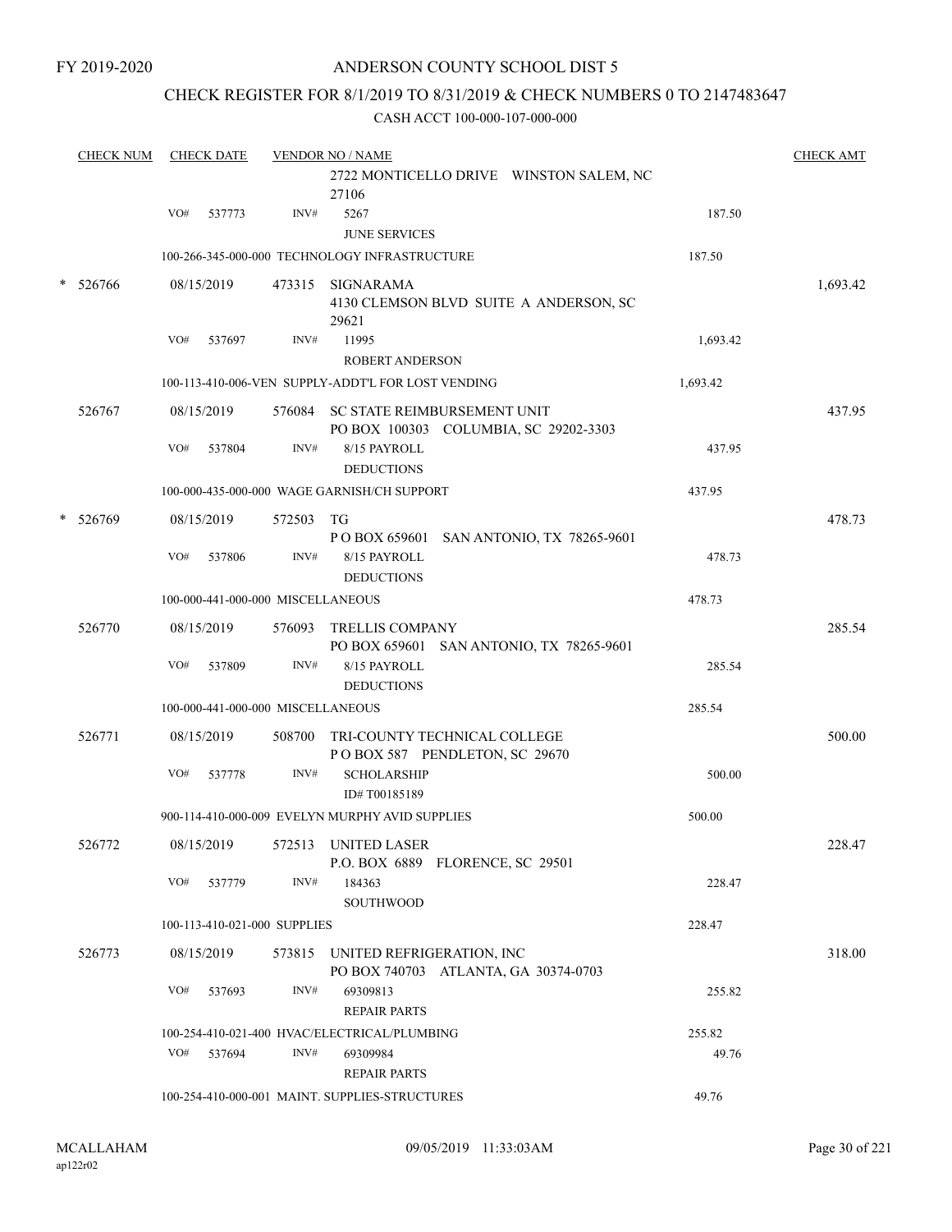### CHECK REGISTER FOR 8/1/2019 TO 8/31/2019 & CHECK NUMBERS 0 TO 2147483647

| <b>CHECK NUM</b> |     | <b>CHECK DATE</b> |                                   | <b>VENDOR NO / NAME</b><br>2722 MONTICELLO DRIVE WINSTON SALEM, NC<br>27106 |          | <b>CHECK AMT</b> |
|------------------|-----|-------------------|-----------------------------------|-----------------------------------------------------------------------------|----------|------------------|
|                  | VO# | 537773            | INV#                              | 5267                                                                        | 187.50   |                  |
|                  |     |                   |                                   | <b>JUNE SERVICES</b>                                                        |          |                  |
|                  |     |                   |                                   | 100-266-345-000-000 TECHNOLOGY INFRASTRUCTURE                               | 187.50   |                  |
| * 526766         |     | 08/15/2019        |                                   | 473315 SIGNARAMA<br>4130 CLEMSON BLVD SUITE A ANDERSON, SC<br>29621         |          | 1,693.42         |
|                  | VO# | 537697            | INV#                              | 11995<br><b>ROBERT ANDERSON</b>                                             | 1,693.42 |                  |
|                  |     |                   |                                   | 100-113-410-006-VEN SUPPLY-ADDT'L FOR LOST VENDING                          | 1,693.42 |                  |
| 526767           |     | 08/15/2019        |                                   | 576084 SC STATE REIMBURSEMENT UNIT<br>PO BOX 100303 COLUMBIA, SC 29202-3303 |          | 437.95           |
|                  | VO# | 537804            | INV#                              | 8/15 PAYROLL<br><b>DEDUCTIONS</b>                                           | 437.95   |                  |
|                  |     |                   |                                   | 100-000-435-000-000 WAGE GARNISH/CH SUPPORT                                 | 437.95   |                  |
| * 526769         |     | 08/15/2019        | 572503                            | TG<br>P O BOX 659601 SAN ANTONIO, TX 78265-9601                             |          | 478.73           |
|                  | VO# | 537806            | INV#                              | 8/15 PAYROLL<br><b>DEDUCTIONS</b>                                           | 478.73   |                  |
|                  |     |                   | 100-000-441-000-000 MISCELLANEOUS |                                                                             | 478.73   |                  |
| 526770           |     | 08/15/2019        | 576093                            | TRELLIS COMPANY<br>PO BOX 659601 SAN ANTONIO, TX 78265-9601                 |          | 285.54           |
|                  | VO# | 537809            | INV#                              | 8/15 PAYROLL<br><b>DEDUCTIONS</b>                                           | 285.54   |                  |
|                  |     |                   | 100-000-441-000-000 MISCELLANEOUS |                                                                             | 285.54   |                  |
| 526771           |     | 08/15/2019        |                                   | 508700 TRI-COUNTY TECHNICAL COLLEGE<br>POBOX 587 PENDLETON, SC 29670        |          | 500.00           |
|                  | VO# | 537778            | INV#                              | <b>SCHOLARSHIP</b><br>ID#T00185189                                          | 500.00   |                  |
|                  |     |                   |                                   | 900-114-410-000-009 EVELYN MURPHY AVID SUPPLIES                             | 500.00   |                  |
| 526772           |     | 08/15/2019        |                                   | 572513 UNITED LASER<br>P.O. BOX 6889 FLORENCE, SC 29501                     |          | 228.47           |
|                  | VO# | 537779            | INV#                              | 184363<br><b>SOUTHWOOD</b>                                                  | 228.47   |                  |
|                  |     |                   | 100-113-410-021-000 SUPPLIES      |                                                                             | 228.47   |                  |
| 526773           |     | 08/15/2019        |                                   | 573815 UNITED REFRIGERATION, INC<br>PO BOX 740703 ATLANTA, GA 30374-0703    |          | 318.00           |
|                  | VO# | 537693            | INV#                              | 69309813<br><b>REPAIR PARTS</b>                                             | 255.82   |                  |
|                  |     |                   |                                   | 100-254-410-021-400 HVAC/ELECTRICAL/PLUMBING                                | 255.82   |                  |
|                  | VO# | 537694            | INV#                              | 69309984<br><b>REPAIR PARTS</b>                                             | 49.76    |                  |
|                  |     |                   |                                   | 100-254-410-000-001 MAINT. SUPPLIES-STRUCTURES                              | 49.76    |                  |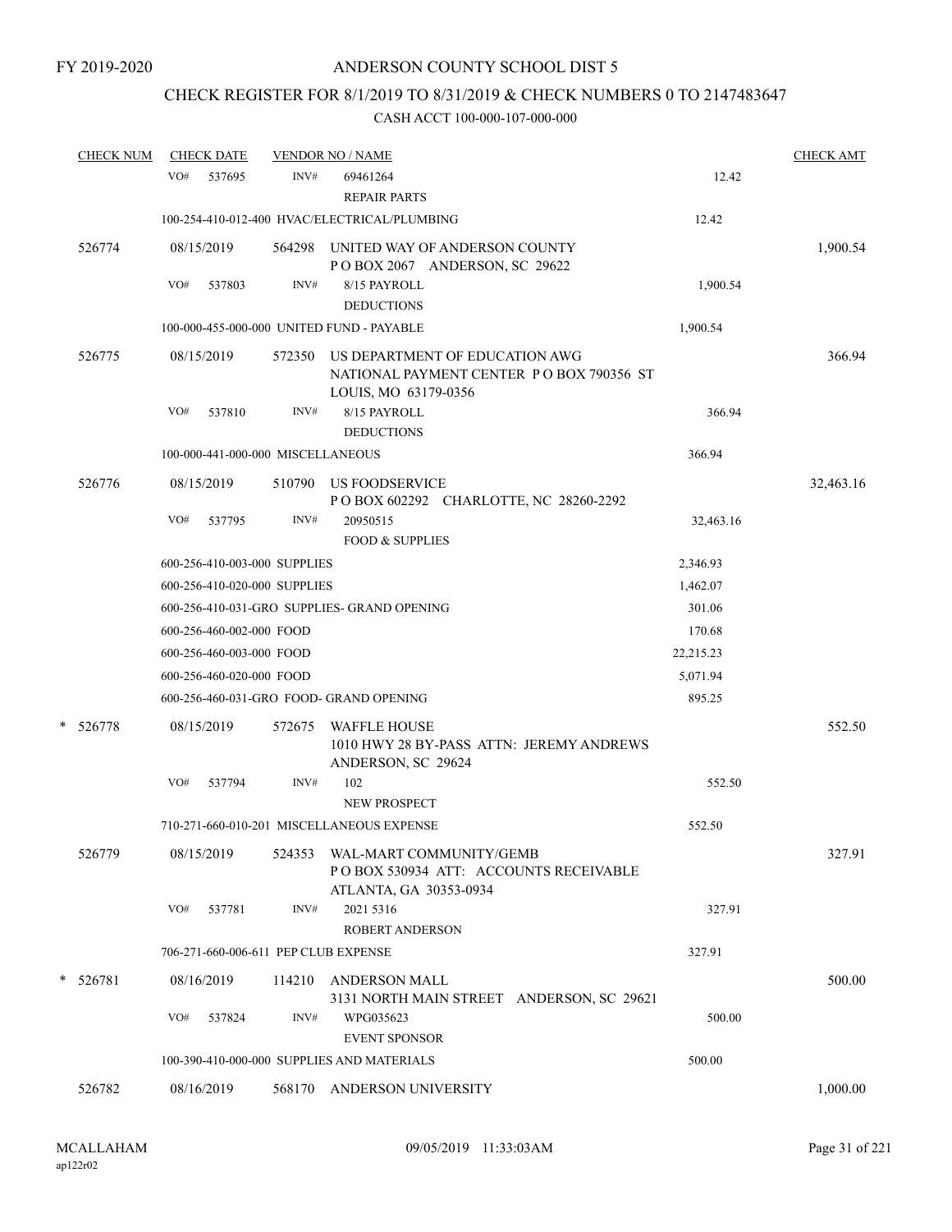# CHECK REGISTER FOR 8/1/2019 TO 8/31/2019 & CHECK NUMBERS 0 TO 2147483647

|   | <b>CHECK NUM</b> |     | <b>CHECK DATE</b>        |                                   | <b>VENDOR NO / NAME</b>                                                                            |           | <b>CHECK AMT</b> |
|---|------------------|-----|--------------------------|-----------------------------------|----------------------------------------------------------------------------------------------------|-----------|------------------|
|   |                  | VO# | 537695                   | INV#                              | 69461264<br><b>REPAIR PARTS</b>                                                                    | 12.42     |                  |
|   |                  |     |                          |                                   | 100-254-410-012-400 HVAC/ELECTRICAL/PLUMBING                                                       | 12.42     |                  |
|   | 526774           |     | 08/15/2019               |                                   | 564298 UNITED WAY OF ANDERSON COUNTY<br>POBOX 2067 ANDERSON, SC 29622                              |           | 1,900.54         |
|   |                  | VO# | 537803                   | INV#                              | 8/15 PAYROLL                                                                                       | 1,900.54  |                  |
|   |                  |     |                          |                                   | <b>DEDUCTIONS</b>                                                                                  |           |                  |
|   |                  |     |                          |                                   | 100-000-455-000-000 UNITED FUND - PAYABLE                                                          | 1,900.54  |                  |
|   | 526775           |     | 08/15/2019               | 572350                            | US DEPARTMENT OF EDUCATION AWG<br>NATIONAL PAYMENT CENTER PO BOX 790356 ST<br>LOUIS, MO 63179-0356 |           | 366.94           |
|   |                  | VO# | 537810                   | INV#                              | 8/15 PAYROLL                                                                                       | 366.94    |                  |
|   |                  |     |                          | 100-000-441-000-000 MISCELLANEOUS | <b>DEDUCTIONS</b>                                                                                  | 366.94    |                  |
|   |                  |     |                          |                                   |                                                                                                    |           |                  |
|   | 526776           |     | 08/15/2019               |                                   | 510790 US FOODSERVICE<br>POBOX 602292 CHARLOTTE, NC 28260-2292                                     |           | 32,463.16        |
|   |                  | VO# | 537795                   | INV#                              | 20950515                                                                                           | 32,463.16 |                  |
|   |                  |     |                          |                                   | <b>FOOD &amp; SUPPLIES</b>                                                                         |           |                  |
|   |                  |     |                          | 600-256-410-003-000 SUPPLIES      |                                                                                                    | 2,346.93  |                  |
|   |                  |     |                          | 600-256-410-020-000 SUPPLIES      |                                                                                                    | 1,462.07  |                  |
|   |                  |     |                          |                                   | 600-256-410-031-GRO SUPPLIES- GRAND OPENING                                                        | 301.06    |                  |
|   |                  |     | 600-256-460-002-000 FOOD |                                   |                                                                                                    | 170.68    |                  |
|   |                  |     | 600-256-460-003-000 FOOD |                                   |                                                                                                    | 22,215.23 |                  |
|   |                  |     | 600-256-460-020-000 FOOD |                                   |                                                                                                    | 5,071.94  |                  |
|   |                  |     |                          |                                   | 600-256-460-031-GRO FOOD- GRAND OPENING                                                            | 895.25    |                  |
| * | 526778           |     | 08/15/2019               | 572675                            | <b>WAFFLE HOUSE</b><br>1010 HWY 28 BY-PASS ATTN: JEREMY ANDREWS<br>ANDERSON, SC 29624              |           | 552.50           |
|   |                  | VO# | 537794                   | INV#                              | 102<br><b>NEW PROSPECT</b>                                                                         | 552.50    |                  |
|   |                  |     |                          |                                   | 710-271-660-010-201 MISCELLANEOUS EXPENSE                                                          | 552.50    |                  |
|   |                  |     |                          |                                   |                                                                                                    |           |                  |
|   | 526779           |     | 08/15/2019               | 524353                            | WAL-MART COMMUNITY/GEMB<br>PO BOX 530934 ATT: ACCOUNTS RECEIVABLE<br>ATLANTA, GA 30353-0934        |           | 327.91           |
|   |                  | VO# | 537781                   | INV#                              | 2021 5316<br>ROBERT ANDERSON                                                                       | 327.91    |                  |
|   |                  |     |                          |                                   | 706-271-660-006-611 PEP CLUB EXPENSE                                                               | 327.91    |                  |
|   | * 526781         |     | 08/16/2019               | 114210                            | ANDERSON MALL<br>3131 NORTH MAIN STREET ANDERSON, SC 29621                                         |           | 500.00           |
|   |                  | VO# | 537824                   | INV#                              | WPG035623<br><b>EVENT SPONSOR</b>                                                                  | 500.00    |                  |
|   |                  |     |                          |                                   | 100-390-410-000-000 SUPPLIES AND MATERIALS                                                         | 500.00    |                  |
|   | 526782           |     | 08/16/2019               | 568170                            | ANDERSON UNIVERSITY                                                                                |           | 1,000.00         |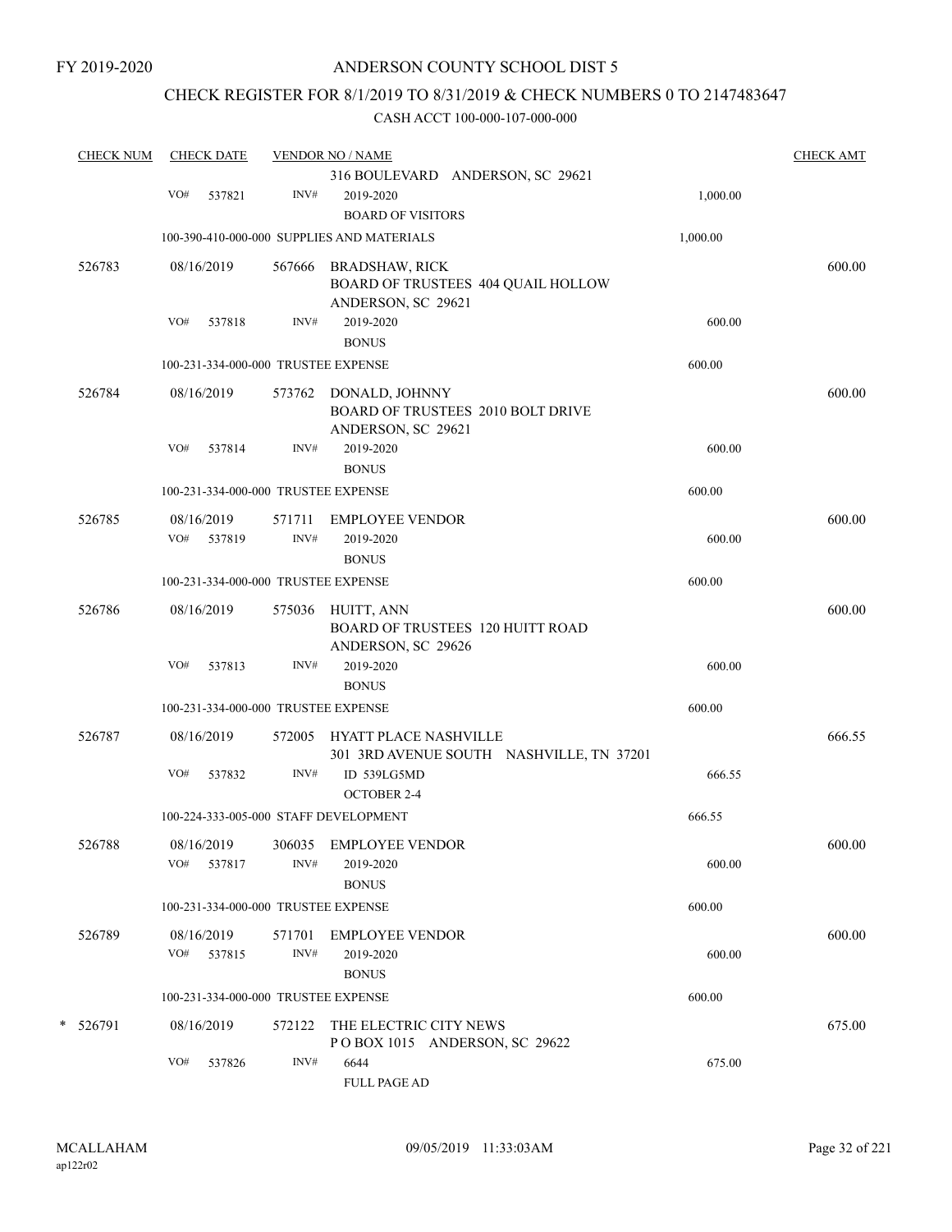### CHECK REGISTER FOR 8/1/2019 TO 8/31/2019 & CHECK NUMBERS 0 TO 2147483647

| <b>CHECK NUM</b> |     | <b>CHECK DATE</b> |        | <b>VENDOR NO / NAME</b>                                           |          | <b>CHECK AMT</b> |
|------------------|-----|-------------------|--------|-------------------------------------------------------------------|----------|------------------|
|                  |     |                   |        | 316 BOULEVARD ANDERSON, SC 29621                                  |          |                  |
|                  | VO# | 537821            | INV#   | 2019-2020                                                         | 1,000.00 |                  |
|                  |     |                   |        | <b>BOARD OF VISITORS</b>                                          |          |                  |
|                  |     |                   |        | 100-390-410-000-000 SUPPLIES AND MATERIALS                        | 1,000.00 |                  |
| 526783           |     | 08/16/2019        | 567666 | <b>BRADSHAW, RICK</b>                                             |          | 600.00           |
|                  |     |                   |        | BOARD OF TRUSTEES 404 QUAIL HOLLOW                                |          |                  |
|                  |     |                   |        | ANDERSON, SC 29621                                                |          |                  |
|                  | VO# | 537818            | INV#   | 2019-2020                                                         | 600.00   |                  |
|                  |     |                   |        | <b>BONUS</b>                                                      |          |                  |
|                  |     |                   |        | 100-231-334-000-000 TRUSTEE EXPENSE                               | 600.00   |                  |
| 526784           |     |                   |        |                                                                   |          | 600.00           |
|                  |     | 08/16/2019        |        | 573762 DONALD, JOHNNY<br><b>BOARD OF TRUSTEES 2010 BOLT DRIVE</b> |          |                  |
|                  |     |                   |        | ANDERSON, SC 29621                                                |          |                  |
|                  | VO# | 537814            | INV#   | 2019-2020                                                         | 600.00   |                  |
|                  |     |                   |        | <b>BONUS</b>                                                      |          |                  |
|                  |     |                   |        | 100-231-334-000-000 TRUSTEE EXPENSE                               | 600.00   |                  |
| 526785           |     | 08/16/2019        | 571711 | <b>EMPLOYEE VENDOR</b>                                            |          | 600.00           |
|                  | VO# | 537819            | INV#   | 2019-2020                                                         | 600.00   |                  |
|                  |     |                   |        | <b>BONUS</b>                                                      |          |                  |
|                  |     |                   |        | 100-231-334-000-000 TRUSTEE EXPENSE                               | 600.00   |                  |
|                  |     |                   |        |                                                                   |          |                  |
| 526786           |     | 08/16/2019        | 575036 | HUITT, ANN                                                        |          | 600.00           |
|                  |     |                   |        | BOARD OF TRUSTEES 120 HUITT ROAD                                  |          |                  |
|                  |     |                   |        | ANDERSON, SC 29626                                                |          |                  |
|                  | VO# | 537813            | INV#   | 2019-2020                                                         | 600.00   |                  |
|                  |     |                   |        | <b>BONUS</b>                                                      |          |                  |
|                  |     |                   |        | 100-231-334-000-000 TRUSTEE EXPENSE                               | 600.00   |                  |
| 526787           |     | 08/16/2019        | 572005 | HYATT PLACE NASHVILLE                                             |          | 666.55           |
|                  |     |                   |        | 301 3RD AVENUE SOUTH NASHVILLE, TN 37201                          |          |                  |
|                  | VO# | 537832            | INV#   | ID 539LG5MD                                                       | 666.55   |                  |
|                  |     |                   |        | <b>OCTOBER 2-4</b>                                                |          |                  |
|                  |     |                   |        | 100-224-333-005-000 STAFF DEVELOPMENT                             | 666.55   |                  |
| 526788           |     | 08/16/2019        |        | 306035 EMPLOYEE VENDOR                                            |          | 600.00           |
|                  |     | VO# 537817        | INV#   | 2019-2020                                                         | 600.00   |                  |
|                  |     |                   |        | <b>BONUS</b>                                                      |          |                  |
|                  |     |                   |        | 100-231-334-000-000 TRUSTEE EXPENSE                               | 600.00   |                  |
|                  |     |                   |        |                                                                   |          | 600.00           |
| 526789           |     | 08/16/2019        | 571701 | <b>EMPLOYEE VENDOR</b>                                            |          |                  |
|                  |     | VO# 537815        | INV#   | 2019-2020                                                         | 600.00   |                  |
|                  |     |                   |        | <b>BONUS</b>                                                      | 600.00   |                  |
|                  |     |                   |        | 100-231-334-000-000 TRUSTEE EXPENSE                               |          |                  |
| * 526791         |     | 08/16/2019        | 572122 | THE ELECTRIC CITY NEWS                                            |          | 675.00           |
|                  |     |                   |        | POBOX 1015 ANDERSON, SC 29622                                     |          |                  |
|                  | VO# | 537826            | INV#   | 6644                                                              | 675.00   |                  |
|                  |     |                   |        | <b>FULL PAGE AD</b>                                               |          |                  |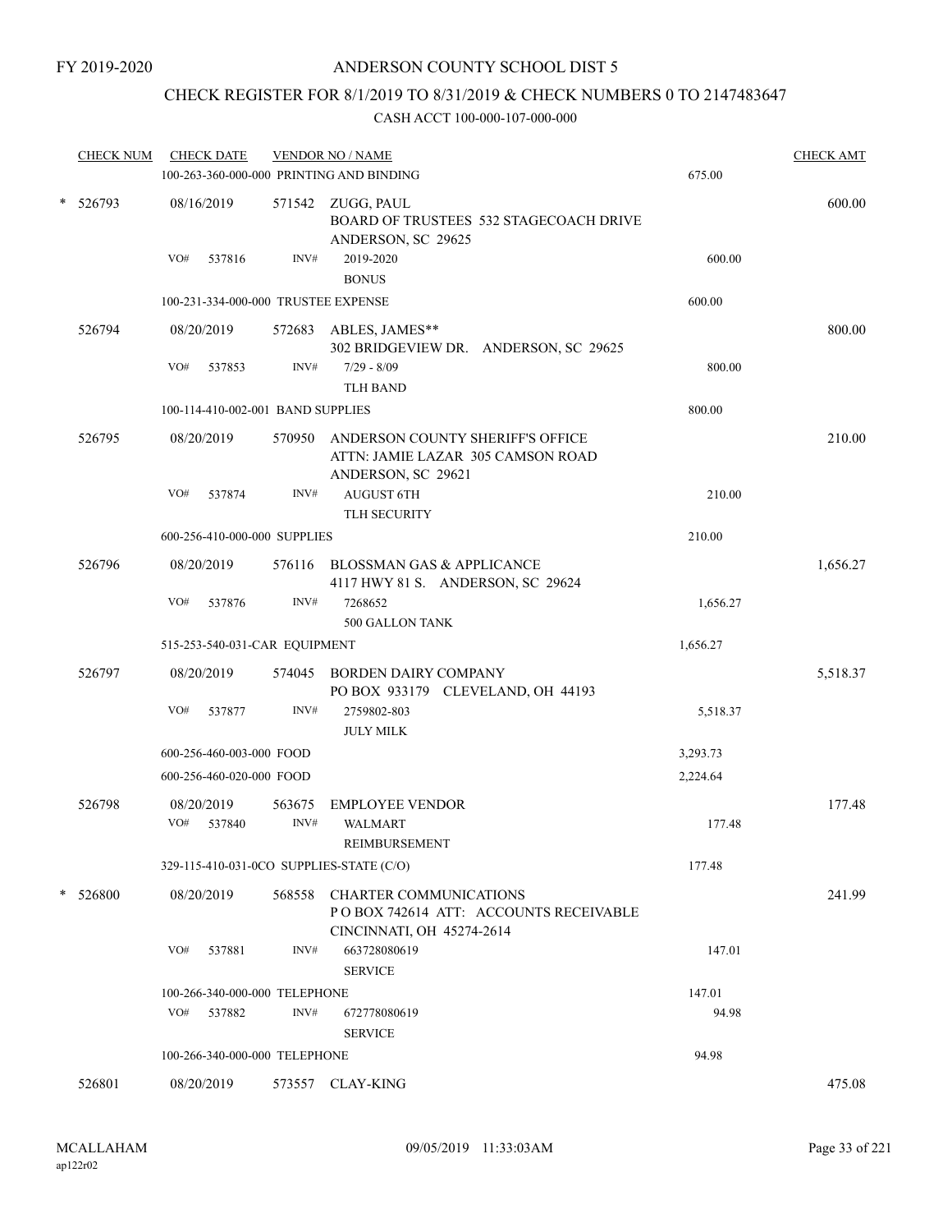### CHECK REGISTER FOR 8/1/2019 TO 8/31/2019 & CHECK NUMBERS 0 TO 2147483647

|   | <b>CHECK NUM</b> | <b>CHECK DATE</b>           |                                     | <b>VENDOR NO / NAME</b><br>100-263-360-000-000 PRINTING AND BINDING                                 | 675.00   | <b>CHECK AMT</b> |
|---|------------------|-----------------------------|-------------------------------------|-----------------------------------------------------------------------------------------------------|----------|------------------|
| * | 526793           | 08/16/2019                  |                                     | 571542 ZUGG, PAUL<br>BOARD OF TRUSTEES 532 STAGECOACH DRIVE<br>ANDERSON, SC 29625                   |          | 600.00           |
|   |                  | VO#<br>537816               | INV#                                | 2019-2020<br><b>BONUS</b>                                                                           | 600.00   |                  |
|   |                  |                             | 100-231-334-000-000 TRUSTEE EXPENSE |                                                                                                     | 600.00   |                  |
|   | 526794           | 08/20/2019                  | 572683                              | ABLES, JAMES**<br>302 BRIDGEVIEW DR. ANDERSON, SC 29625                                             |          | 800.00           |
|   |                  | VO#<br>537853               | INV#                                | $7/29 - 8/09$<br><b>TLH BAND</b>                                                                    | 800.00   |                  |
|   |                  |                             | 100-114-410-002-001 BAND SUPPLIES   |                                                                                                     | 800.00   |                  |
|   | 526795           | 08/20/2019                  | 570950                              | ANDERSON COUNTY SHERIFF'S OFFICE<br>ATTN: JAMIE LAZAR 305 CAMSON ROAD<br>ANDERSON, SC 29621         |          | 210.00           |
|   |                  | VO#<br>537874               | INV#                                | <b>AUGUST 6TH</b><br><b>TLH SECURITY</b>                                                            | 210.00   |                  |
|   |                  |                             | 600-256-410-000-000 SUPPLIES        |                                                                                                     | 210.00   |                  |
|   | 526796           | 08/20/2019                  |                                     | 576116 BLOSSMAN GAS & APPLICANCE<br>4117 HWY 81 S. ANDERSON, SC 29624                               |          | 1,656.27         |
|   |                  | VO#<br>537876               | INV#                                | 7268652<br>500 GALLON TANK                                                                          | 1,656.27 |                  |
|   |                  |                             | 515-253-540-031-CAR EQUIPMENT       |                                                                                                     | 1,656.27 |                  |
|   | 526797           | 08/20/2019                  | 574045                              | <b>BORDEN DAIRY COMPANY</b><br>PO BOX 933179 CLEVELAND, OH 44193                                    |          | 5,518.37         |
|   |                  | VO#<br>537877               | INV#                                | 2759802-803<br><b>JULY MILK</b>                                                                     | 5,518.37 |                  |
|   |                  |                             | 600-256-460-003-000 FOOD            |                                                                                                     | 3,293.73 |                  |
|   |                  |                             | 600-256-460-020-000 FOOD            |                                                                                                     | 2,224.64 |                  |
|   | 526798           | 08/20/2019<br>VO#<br>537840 | 563675<br>INV#                      | <b>EMPLOYEE VENDOR</b><br><b>WALMART</b><br>REIMBURSEMENT                                           | 177.48   | 177.48           |
|   |                  |                             |                                     | 329-115-410-031-0CO SUPPLIES-STATE (C/O)                                                            | 177.48   |                  |
|   | * 526800         | 08/20/2019                  |                                     | 568558 CHARTER COMMUNICATIONS<br>POBOX 742614 ATT: ACCOUNTS RECEIVABLE<br>CINCINNATI, OH 45274-2614 |          | 241.99           |
|   |                  | VO#<br>537881               | INV#                                | 663728080619<br><b>SERVICE</b>                                                                      | 147.01   |                  |
|   |                  |                             | 100-266-340-000-000 TELEPHONE       |                                                                                                     | 147.01   |                  |
|   |                  | VO#<br>537882               | INV#                                | 672778080619<br><b>SERVICE</b>                                                                      | 94.98    |                  |
|   |                  |                             | 100-266-340-000-000 TELEPHONE       |                                                                                                     | 94.98    |                  |
|   | 526801           | 08/20/2019                  |                                     | 573557 CLAY-KING                                                                                    |          | 475.08           |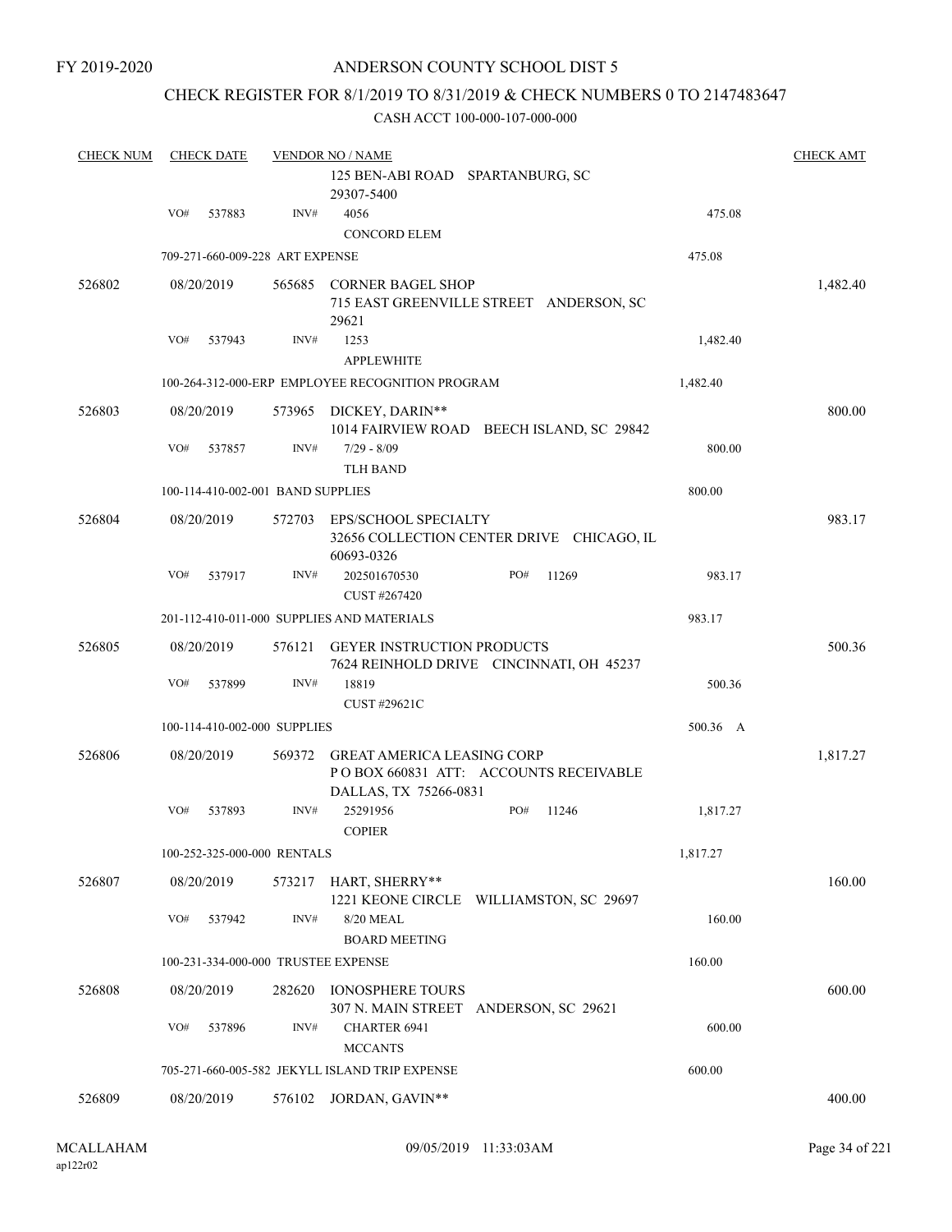### CHECK REGISTER FOR 8/1/2019 TO 8/31/2019 & CHECK NUMBERS 0 TO 2147483647

| <b>CHECK NUM</b> |     | <b>CHECK DATE</b>                 |        | <b>VENDOR NO / NAME</b>                                                                      |     |       |          | <b>CHECK AMT</b> |
|------------------|-----|-----------------------------------|--------|----------------------------------------------------------------------------------------------|-----|-------|----------|------------------|
|                  |     |                                   |        | 125 BEN-ABI ROAD SPARTANBURG, SC<br>29307-5400                                               |     |       |          |                  |
|                  | VO# | 537883                            | INV#   | 4056                                                                                         |     |       | 475.08   |                  |
|                  |     |                                   |        | <b>CONCORD ELEM</b>                                                                          |     |       |          |                  |
|                  |     | 709-271-660-009-228 ART EXPENSE   |        |                                                                                              |     |       | 475.08   |                  |
| 526802           |     | 08/20/2019                        |        | 565685 CORNER BAGEL SHOP<br>715 EAST GREENVILLE STREET ANDERSON, SC<br>29621                 |     |       |          | 1,482.40         |
|                  | VO# | 537943                            | INV#   | 1253<br><b>APPLEWHITE</b>                                                                    |     |       | 1,482.40 |                  |
|                  |     |                                   |        | 100-264-312-000-ERP EMPLOYEE RECOGNITION PROGRAM                                             |     |       | 1,482.40 |                  |
| 526803           |     | 08/20/2019                        |        | 573965 DICKEY, DARIN**<br>1014 FAIRVIEW ROAD BEECH ISLAND, SC 29842                          |     |       |          | 800.00           |
|                  | VO# | 537857                            | INV#   | $7/29 - 8/09$                                                                                |     |       | 800.00   |                  |
|                  |     |                                   |        | <b>TLH BAND</b>                                                                              |     |       |          |                  |
|                  |     | 100-114-410-002-001 BAND SUPPLIES |        |                                                                                              |     |       | 800.00   |                  |
| 526804           |     | 08/20/2019                        | 572703 | EPS/SCHOOL SPECIALTY<br>32656 COLLECTION CENTER DRIVE CHICAGO, IL<br>60693-0326              |     |       |          | 983.17           |
|                  | VO# | 537917                            | INV#   | 202501670530<br>CUST #267420                                                                 | PO# | 11269 | 983.17   |                  |
|                  |     |                                   |        | 201-112-410-011-000 SUPPLIES AND MATERIALS                                                   |     |       | 983.17   |                  |
| 526805           |     | 08/20/2019                        | 576121 | <b>GEYER INSTRUCTION PRODUCTS</b><br>7624 REINHOLD DRIVE CINCINNATI, OH 45237                |     |       |          | 500.36           |
|                  | VO# | 537899                            | INV#   | 18819<br>CUST #29621C                                                                        |     |       | 500.36   |                  |
|                  |     | 100-114-410-002-000 SUPPLIES      |        |                                                                                              |     |       | 500.36 A |                  |
| 526806           |     | 08/20/2019                        | 569372 | GREAT AMERICA LEASING CORP<br>POBOX 660831 ATT: ACCOUNTS RECEIVABLE<br>DALLAS, TX 75266-0831 |     |       |          | 1,817.27         |
|                  | VO# | 537893                            | INV#   | 25291956<br><b>COPIER</b>                                                                    | PO# | 11246 | 1,817.27 |                  |
|                  |     | 100-252-325-000-000 RENTALS       |        |                                                                                              |     |       | 1,817.27 |                  |
| 526807           |     | 08/20/2019                        |        | 573217 HART, SHERRY**<br>1221 KEONE CIRCLE WILLIAMSTON, SC 29697                             |     |       |          | 160.00           |
|                  | VO# | 537942                            | INV#   | 8/20 MEAL<br><b>BOARD MEETING</b>                                                            |     |       | 160.00   |                  |
|                  |     |                                   |        | 100-231-334-000-000 TRUSTEE EXPENSE                                                          |     |       | 160.00   |                  |
| 526808           |     | 08/20/2019                        | 282620 | <b>IONOSPHERE TOURS</b>                                                                      |     |       |          | 600.00           |
|                  |     |                                   |        | 307 N. MAIN STREET ANDERSON, SC 29621                                                        |     |       |          |                  |
|                  | VO# | 537896                            | INV#   | <b>CHARTER 6941</b><br><b>MCCANTS</b>                                                        |     |       | 600.00   |                  |
|                  |     |                                   |        | 705-271-660-005-582 JEKYLL ISLAND TRIP EXPENSE                                               |     |       | 600.00   |                  |
| 526809           |     | 08/20/2019                        | 576102 | JORDAN, GAVIN**                                                                              |     |       |          | 400.00           |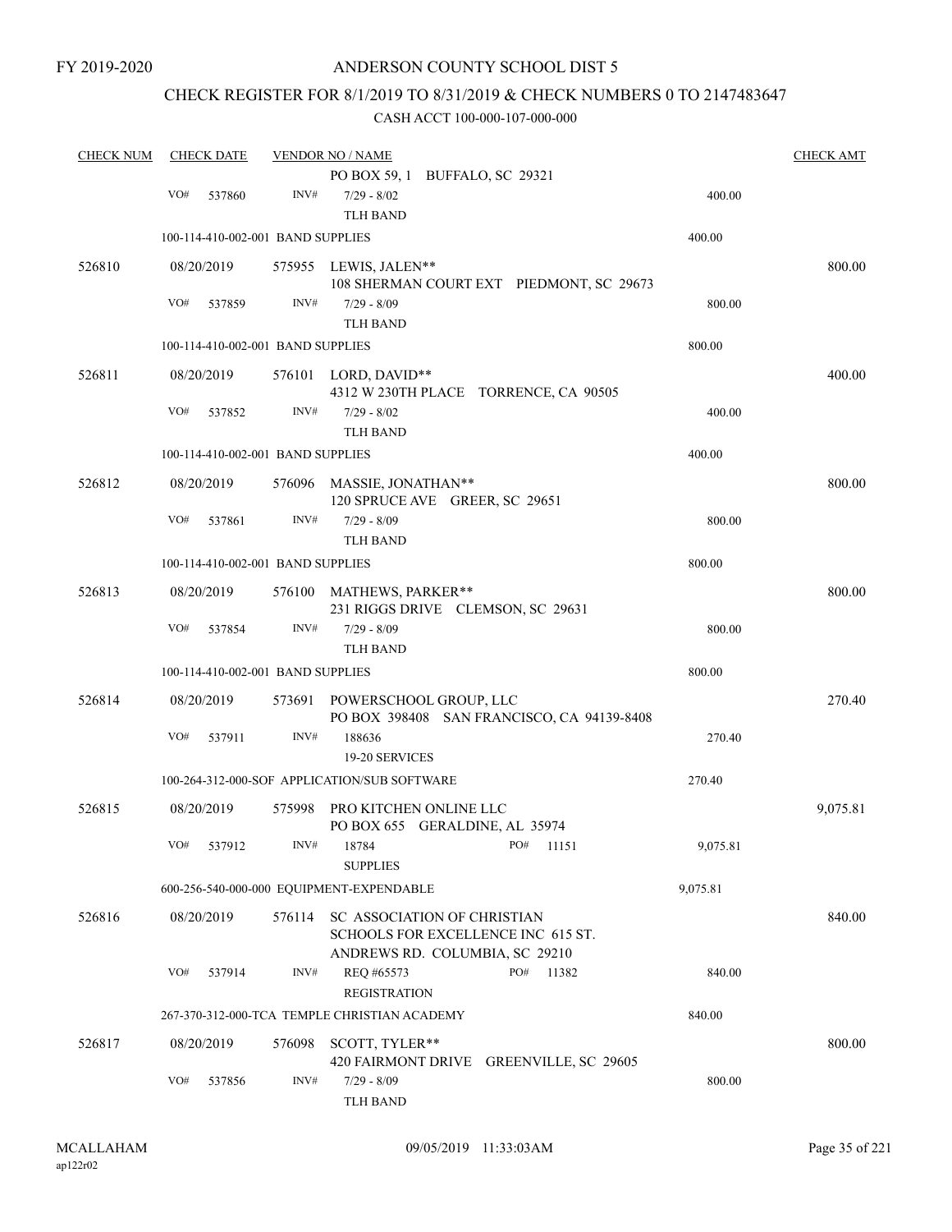# CHECK REGISTER FOR 8/1/2019 TO 8/31/2019 & CHECK NUMBERS 0 TO 2147483647

| <b>CHECK NUM</b> |     | <b>CHECK DATE</b>                 |                | <b>VENDOR NO / NAME</b>                                              |          | <b>CHECK AMT</b> |
|------------------|-----|-----------------------------------|----------------|----------------------------------------------------------------------|----------|------------------|
|                  |     |                                   |                | PO BOX 59, 1 BUFFALO, SC 29321                                       |          |                  |
|                  | VO# | 537860                            | INV#           | $7/29 - 8/02$                                                        | 400.00   |                  |
|                  |     |                                   |                | <b>TLH BAND</b>                                                      |          |                  |
|                  |     | 100-114-410-002-001 BAND SUPPLIES |                |                                                                      | 400.00   |                  |
| 526810           |     | 08/20/2019                        |                | 575955 LEWIS, JALEN**                                                |          | 800.00           |
|                  |     |                                   |                | 108 SHERMAN COURT EXT PIEDMONT, SC 29673                             |          |                  |
|                  | VO# | 537859                            | INV#           | $7/29 - 8/09$                                                        | 800.00   |                  |
|                  |     |                                   |                | <b>TLH BAND</b>                                                      |          |                  |
|                  |     | 100-114-410-002-001 BAND SUPPLIES |                |                                                                      | 800.00   |                  |
| 526811           |     | 08/20/2019                        |                | 576101 LORD, DAVID**                                                 |          | 400.00           |
|                  |     |                                   |                | 4312 W 230TH PLACE TORRENCE, CA 90505                                |          |                  |
|                  | VO# | 537852                            | INV#           | $7/29 - 8/02$                                                        | 400.00   |                  |
|                  |     |                                   |                | <b>TLH BAND</b>                                                      |          |                  |
|                  |     | 100-114-410-002-001 BAND SUPPLIES |                |                                                                      | 400.00   |                  |
| 526812           |     | 08/20/2019                        |                | 576096 MASSIE, JONATHAN**                                            |          | 800.00           |
|                  |     |                                   |                | 120 SPRUCE AVE GREER, SC 29651                                       |          |                  |
|                  | VO# | 537861                            | INV#           | $7/29 - 8/09$                                                        | 800.00   |                  |
|                  |     | 100-114-410-002-001 BAND SUPPLIES |                | <b>TLH BAND</b>                                                      | 800.00   |                  |
|                  |     |                                   |                |                                                                      |          |                  |
| 526813           |     | 08/20/2019                        |                | 576100 MATHEWS, PARKER**                                             |          | 800.00           |
|                  | VO# | 537854                            | $\text{INV}\#$ | 231 RIGGS DRIVE CLEMSON, SC 29631<br>$7/29 - 8/09$                   | 800.00   |                  |
|                  |     |                                   |                | <b>TLH BAND</b>                                                      |          |                  |
|                  |     | 100-114-410-002-001 BAND SUPPLIES |                |                                                                      | 800.00   |                  |
|                  |     |                                   |                |                                                                      |          |                  |
| 526814           |     | 08/20/2019                        | 573691         | POWERSCHOOL GROUP, LLC<br>PO BOX 398408 SAN FRANCISCO, CA 94139-8408 |          | 270.40           |
|                  | VO# | 537911                            | INV#           | 188636                                                               | 270.40   |                  |
|                  |     |                                   |                | 19-20 SERVICES                                                       |          |                  |
|                  |     |                                   |                | 100-264-312-000-SOF APPLICATION/SUB SOFTWARE                         | 270.40   |                  |
| 526815           |     | 08/20/2019                        | 575998         | PRO KITCHEN ONLINE LLC                                               |          | 9,075.81         |
|                  |     |                                   |                | PO BOX 655 GERALDINE, AL 35974                                       |          |                  |
|                  |     | VO# 537912                        |                | INV# 18784<br>PO# 11151                                              | 9,075.81 |                  |
|                  |     |                                   |                | <b>SUPPLIES</b>                                                      |          |                  |
|                  |     |                                   |                | 600-256-540-000-000 EQUIPMENT-EXPENDABLE                             | 9,075.81 |                  |
| 526816           |     | 08/20/2019                        | 576114         | SC ASSOCIATION OF CHRISTIAN                                          |          | 840.00           |
|                  |     |                                   |                | SCHOOLS FOR EXCELLENCE INC 615 ST.                                   |          |                  |
|                  |     |                                   |                | ANDREWS RD. COLUMBIA, SC 29210                                       |          |                  |
|                  | VO# | 537914                            | INV#           | REO #65573<br>PO#<br>11382                                           | 840.00   |                  |
|                  |     |                                   |                | <b>REGISTRATION</b>                                                  |          |                  |
|                  |     |                                   |                | 267-370-312-000-TCA TEMPLE CHRISTIAN ACADEMY                         | 840.00   |                  |
| 526817           |     | 08/20/2019                        | 576098         | SCOTT, TYLER**                                                       |          | 800.00           |
|                  |     |                                   |                | 420 FAIRMONT DRIVE GREENVILLE, SC 29605                              |          |                  |
|                  | VO# | 537856                            | INV#           | $7/29 - 8/09$                                                        | 800.00   |                  |
|                  |     |                                   |                | <b>TLH BAND</b>                                                      |          |                  |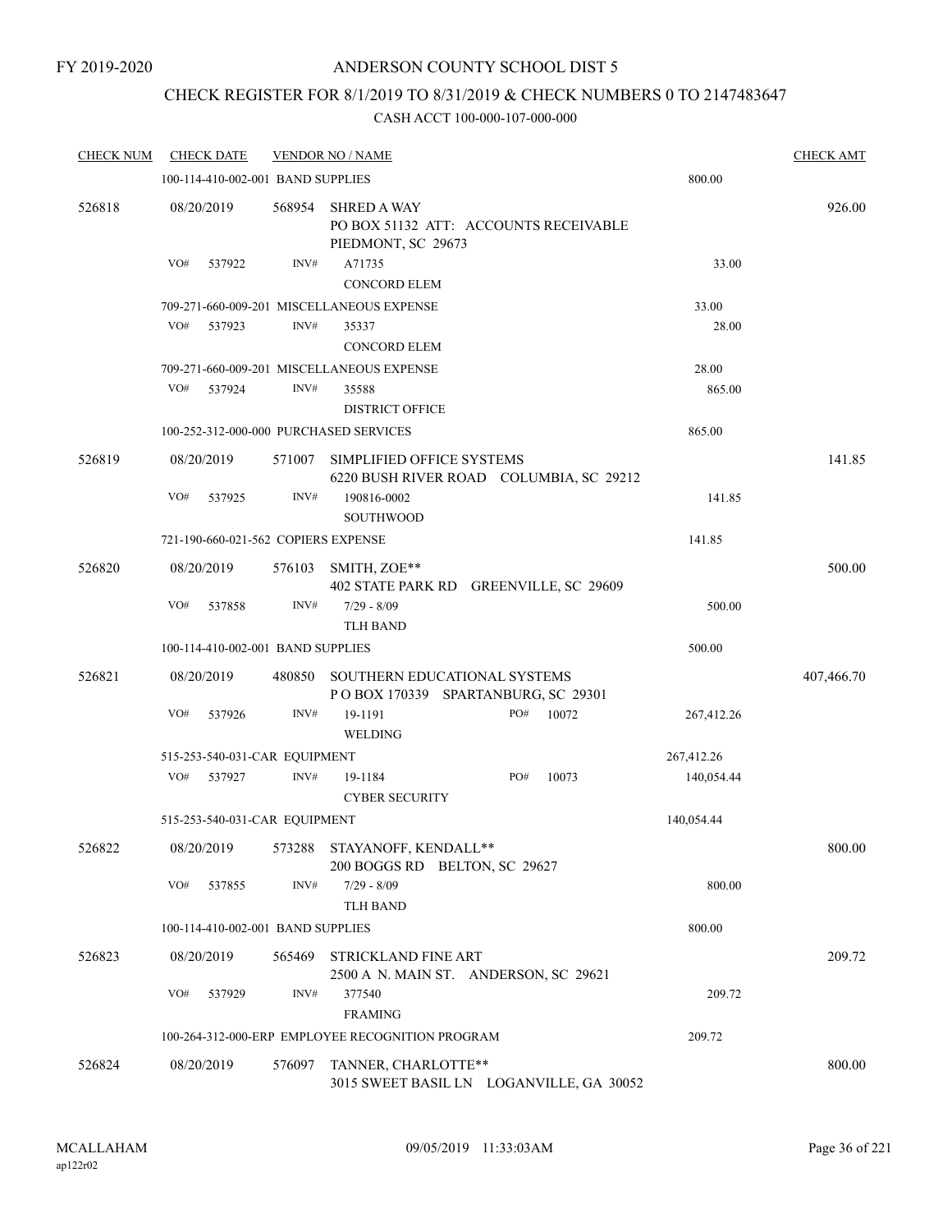### CHECK REGISTER FOR 8/1/2019 TO 8/31/2019 & CHECK NUMBERS 0 TO 2147483647

| <b>CHECK NUM</b> | <b>CHECK DATE</b>             |        |                                   | <b>VENDOR NO / NAME</b>                                                           |     |       |                 | <b>CHECK AMT</b> |
|------------------|-------------------------------|--------|-----------------------------------|-----------------------------------------------------------------------------------|-----|-------|-----------------|------------------|
|                  |                               |        | 100-114-410-002-001 BAND SUPPLIES |                                                                                   |     |       | 800.00          |                  |
| 526818           | 08/20/2019                    |        | 568954                            | <b>SHRED A WAY</b><br>PO BOX 51132 ATT: ACCOUNTS RECEIVABLE<br>PIEDMONT, SC 29673 |     |       |                 | 926.00           |
|                  | VO#                           | 537922 | INV#                              | A71735                                                                            |     |       | 33.00           |                  |
|                  |                               |        |                                   | <b>CONCORD ELEM</b>                                                               |     |       |                 |                  |
|                  |                               |        |                                   | 709-271-660-009-201 MISCELLANEOUS EXPENSE                                         |     |       | 33.00           |                  |
|                  | VO#                           | 537923 | INV#                              | 35337                                                                             |     |       | 28.00           |                  |
|                  |                               |        |                                   | <b>CONCORD ELEM</b>                                                               |     |       |                 |                  |
|                  | VO#                           | 537924 | INV#                              | 709-271-660-009-201 MISCELLANEOUS EXPENSE<br>35588<br><b>DISTRICT OFFICE</b>      |     |       | 28.00<br>865.00 |                  |
|                  |                               |        |                                   | 100-252-312-000-000 PURCHASED SERVICES                                            |     |       | 865.00          |                  |
| 526819           | 08/20/2019                    |        | 571007                            | SIMPLIFIED OFFICE SYSTEMS<br>6220 BUSH RIVER ROAD COLUMBIA, SC 29212              |     |       |                 | 141.85           |
|                  | VO#                           | 537925 | INV#                              | 190816-0002<br><b>SOUTHWOOD</b>                                                   |     |       | 141.85          |                  |
|                  |                               |        |                                   | 721-190-660-021-562 COPIERS EXPENSE                                               |     |       | 141.85          |                  |
| 526820           | 08/20/2019                    |        | 576103                            | SMITH, ZOE**<br>402 STATE PARK RD GREENVILLE, SC 29609                            |     |       |                 | 500.00           |
|                  | VO#                           | 537858 | INV#                              | $7/29 - 8/09$                                                                     |     |       | 500.00          |                  |
|                  |                               |        |                                   | <b>TLH BAND</b>                                                                   |     |       |                 |                  |
|                  |                               |        | 100-114-410-002-001 BAND SUPPLIES |                                                                                   |     |       | 500.00          |                  |
| 526821           | 08/20/2019                    |        | 480850                            | SOUTHERN EDUCATIONAL SYSTEMS<br>POBOX 170339 SPARTANBURG, SC 29301                |     |       |                 | 407,466.70       |
|                  | VO#                           | 537926 | INV#                              | 19-1191<br>WELDING                                                                | PO# | 10072 | 267,412.26      |                  |
|                  |                               |        | 515-253-540-031-CAR EQUIPMENT     |                                                                                   |     |       | 267,412.26      |                  |
|                  | VO#                           | 537927 | INV#                              | 19-1184<br><b>CYBER SECURITY</b>                                                  | PO# | 10073 | 140,054.44      |                  |
|                  | 515-253-540-031-CAR EQUIPMENT |        |                                   |                                                                                   |     |       | 140,054.44      |                  |
| 526822           | 08/20/2019                    |        |                                   | 573288 STAYANOFF, KENDALL**<br>200 BOGGS RD BELTON, SC 29627                      |     |       |                 | 800.00           |
|                  | VO#                           | 537855 | INV#                              | $7/29 - 8/09$<br><b>TLH BAND</b>                                                  |     |       | 800.00          |                  |
|                  |                               |        | 100-114-410-002-001 BAND SUPPLIES |                                                                                   |     |       | 800.00          |                  |
| 526823           | 08/20/2019                    |        | 565469                            | <b>STRICKLAND FINE ART</b><br>2500 A N. MAIN ST. ANDERSON, SC 29621               |     |       |                 | 209.72           |
|                  | VO#                           | 537929 | INV#                              | 377540<br><b>FRAMING</b>                                                          |     |       | 209.72          |                  |
|                  |                               |        |                                   | 100-264-312-000-ERP EMPLOYEE RECOGNITION PROGRAM                                  |     |       | 209.72          |                  |
| 526824           | 08/20/2019                    |        | 576097                            | TANNER, CHARLOTTE**<br>3015 SWEET BASIL LN LOGANVILLE, GA 30052                   |     |       |                 | 800.00           |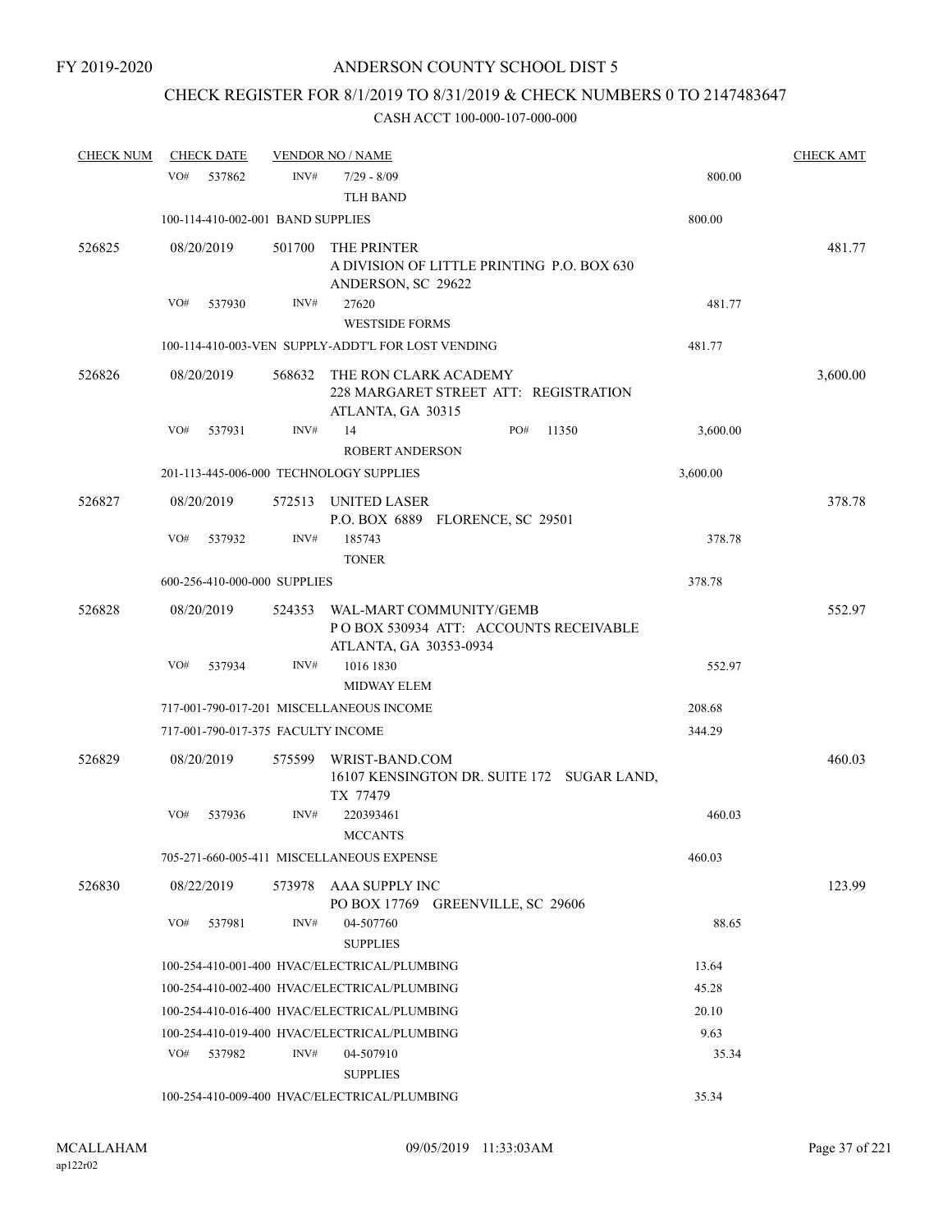# CHECK REGISTER FOR 8/1/2019 TO 8/31/2019 & CHECK NUMBERS 0 TO 2147483647

| <b>CHECK NUM</b> | <b>CHECK DATE</b>                       |        | <b>VENDOR NO / NAME</b>                                                                    |     |       |          | <b>CHECK AMT</b> |
|------------------|-----------------------------------------|--------|--------------------------------------------------------------------------------------------|-----|-------|----------|------------------|
|                  | VO#<br>537862                           | INV#   | $7/29 - 8/09$                                                                              |     |       | 800.00   |                  |
|                  |                                         |        | <b>TLH BAND</b>                                                                            |     |       |          |                  |
|                  | 100-114-410-002-001 BAND SUPPLIES       |        |                                                                                            |     |       | 800.00   |                  |
| 526825           | 08/20/2019                              | 501700 | THE PRINTER<br>A DIVISION OF LITTLE PRINTING P.O. BOX 630<br>ANDERSON, SC 29622            |     |       |          | 481.77           |
|                  | VO#<br>537930                           | INV#   | 27620<br><b>WESTSIDE FORMS</b>                                                             |     |       | 481.77   |                  |
|                  |                                         |        | 100-114-410-003-VEN SUPPLY-ADDT'L FOR LOST VENDING                                         |     |       | 481.77   |                  |
| 526826           | 08/20/2019                              | 568632 | THE RON CLARK ACADEMY<br>228 MARGARET STREET ATT: REGISTRATION<br>ATLANTA, GA 30315        |     |       |          | 3,600.00         |
|                  | VO#<br>537931                           | INV#   | 14<br><b>ROBERT ANDERSON</b>                                                               | PO# | 11350 | 3,600.00 |                  |
|                  | 201-113-445-006-000 TECHNOLOGY SUPPLIES |        |                                                                                            |     |       | 3,600.00 |                  |
| 526827           | 08/20/2019                              | 572513 |                                                                                            |     |       |          | 378.78           |
|                  |                                         |        | UNITED LASER<br>P.O. BOX 6889 FLORENCE, SC 29501                                           |     |       |          |                  |
|                  | VO#<br>537932                           | INV#   | 185743<br><b>TONER</b>                                                                     |     |       | 378.78   |                  |
|                  | 600-256-410-000-000 SUPPLIES            |        |                                                                                            |     |       | 378.78   |                  |
| 526828           | 08/20/2019                              | 524353 | WAL-MART COMMUNITY/GEMB<br>POBOX 530934 ATT: ACCOUNTS RECEIVABLE<br>ATLANTA, GA 30353-0934 |     |       |          | 552.97           |
|                  | VO#<br>537934                           | INV#   | 1016 1830                                                                                  |     |       | 552.97   |                  |
|                  |                                         |        | <b>MIDWAY ELEM</b>                                                                         |     |       |          |                  |
|                  |                                         |        | 717-001-790-017-201 MISCELLANEOUS INCOME                                                   |     |       | 208.68   |                  |
|                  | 717-001-790-017-375 FACULTY INCOME      |        |                                                                                            |     |       | 344.29   |                  |
| 526829           | 08/20/2019                              | 575599 | WRIST-BAND.COM<br>16107 KENSINGTON DR. SUITE 172 SUGAR LAND,<br>TX 77479                   |     |       |          | 460.03           |
|                  | VO#<br>537936                           | INV#   | 220393461<br><b>MCCANTS</b>                                                                |     |       | 460.03   |                  |
|                  |                                         |        | 705-271-660-005-411 MISCELLANEOUS EXPENSE                                                  |     |       | 460.03   |                  |
| 526830           | 08/22/2019                              | 573978 | AAA SUPPLY INC<br>PO BOX 17769 GREENVILLE, SC 29606                                        |     |       |          | 123.99           |
|                  | VO#<br>537981                           | INV#   | 04-507760<br><b>SUPPLIES</b>                                                               |     |       | 88.65    |                  |
|                  |                                         |        | 100-254-410-001-400 HVAC/ELECTRICAL/PLUMBING                                               |     |       | 13.64    |                  |
|                  |                                         |        | 100-254-410-002-400 HVAC/ELECTRICAL/PLUMBING                                               |     |       | 45.28    |                  |
|                  |                                         |        | 100-254-410-016-400 HVAC/ELECTRICAL/PLUMBING                                               |     |       | 20.10    |                  |
|                  |                                         |        | 100-254-410-019-400 HVAC/ELECTRICAL/PLUMBING                                               |     |       | 9.63     |                  |
|                  | VO#<br>537982                           | INV#   | 04-507910<br><b>SUPPLIES</b>                                                               |     |       | 35.34    |                  |
|                  |                                         |        | 100-254-410-009-400 HVAC/ELECTRICAL/PLUMBING                                               |     |       | 35.34    |                  |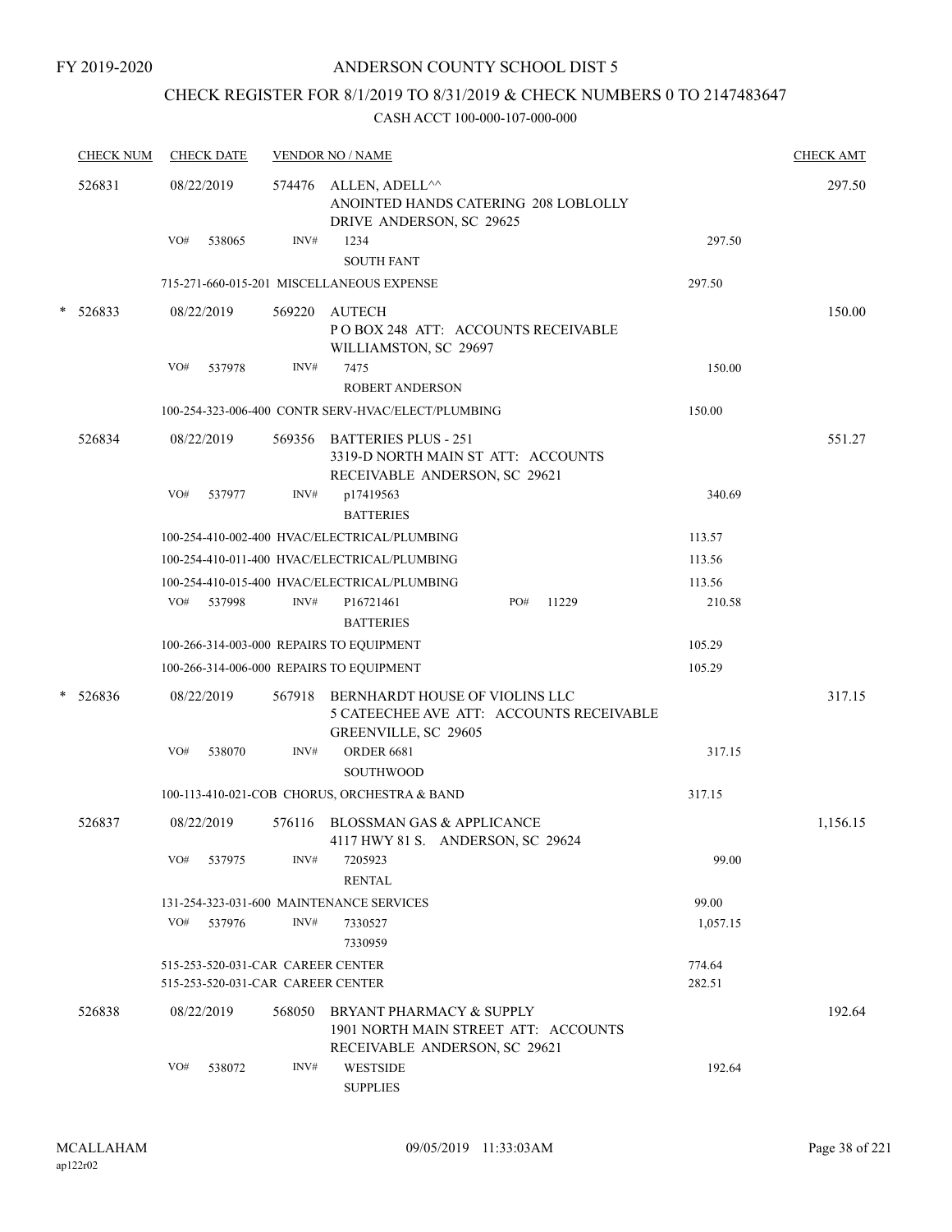## CHECK REGISTER FOR 8/1/2019 TO 8/31/2019 & CHECK NUMBERS 0 TO 2147483647

|   | <b>CHECK NUM</b> |     | <b>CHECK DATE</b> |                                                                        | <b>VENDOR NO / NAME</b>                                                                                   |                  | <b>CHECK AMT</b> |
|---|------------------|-----|-------------------|------------------------------------------------------------------------|-----------------------------------------------------------------------------------------------------------|------------------|------------------|
|   | 526831           |     | 08/22/2019        |                                                                        | 574476 ALLEN, ADELL <sup>^^</sup><br>ANOINTED HANDS CATERING 208 LOBLOLLY<br>DRIVE ANDERSON, SC 29625     |                  | 297.50           |
|   |                  | VO# | 538065            | INV#                                                                   | 1234                                                                                                      | 297.50           |                  |
|   |                  |     |                   |                                                                        | <b>SOUTH FANT</b>                                                                                         |                  |                  |
|   |                  |     |                   |                                                                        | 715-271-660-015-201 MISCELLANEOUS EXPENSE                                                                 | 297.50           |                  |
|   | $* 526833$       |     | 08/22/2019        | 569220                                                                 | AUTECH<br>POBOX 248 ATT: ACCOUNTS RECEIVABLE<br>WILLIAMSTON, SC 29697                                     |                  | 150.00           |
|   |                  | VO# | 537978            | INV#                                                                   | 7475                                                                                                      | 150.00           |                  |
|   |                  |     |                   |                                                                        | <b>ROBERT ANDERSON</b>                                                                                    |                  |                  |
|   |                  |     |                   |                                                                        | 100-254-323-006-400 CONTR SERV-HVAC/ELECT/PLUMBING                                                        | 150.00           |                  |
|   | 526834           |     | 08/22/2019        |                                                                        | 569356 BATTERIES PLUS - 251<br>3319-D NORTH MAIN ST ATT: ACCOUNTS<br>RECEIVABLE ANDERSON, SC 29621        |                  | 551.27           |
|   |                  | VO# | 537977            | INV#                                                                   | p17419563<br><b>BATTERIES</b>                                                                             | 340.69           |                  |
|   |                  |     |                   |                                                                        | 100-254-410-002-400 HVAC/ELECTRICAL/PLUMBING                                                              | 113.57           |                  |
|   |                  |     |                   |                                                                        | 100-254-410-011-400 HVAC/ELECTRICAL/PLUMBING                                                              | 113.56           |                  |
|   |                  |     |                   |                                                                        | 100-254-410-015-400 HVAC/ELECTRICAL/PLUMBING                                                              | 113.56           |                  |
|   |                  | VO# | 537998            | INV#                                                                   | P16721461<br>PO#<br>11229<br><b>BATTERIES</b>                                                             | 210.58           |                  |
|   |                  |     |                   |                                                                        | 100-266-314-003-000 REPAIRS TO EQUIPMENT                                                                  | 105.29           |                  |
|   |                  |     |                   |                                                                        | 100-266-314-006-000 REPAIRS TO EQUIPMENT                                                                  | 105.29           |                  |
| * | 526836           |     | 08/22/2019        |                                                                        | 567918 BERNHARDT HOUSE OF VIOLINS LLC<br>5 CATEECHEE AVE ATT: ACCOUNTS RECEIVABLE<br>GREENVILLE, SC 29605 |                  | 317.15           |
|   |                  | VO# | 538070            | INV#                                                                   | <b>ORDER 6681</b><br><b>SOUTHWOOD</b>                                                                     | 317.15           |                  |
|   |                  |     |                   |                                                                        | 100-113-410-021-COB CHORUS, ORCHESTRA & BAND                                                              | 317.15           |                  |
|   | 526837           |     | 08/22/2019        | 576116                                                                 | <b>BLOSSMAN GAS &amp; APPLICANCE</b><br>4117 HWY 81 S. ANDERSON, SC 29624                                 |                  | 1,156.15         |
|   |                  | VO# | 537975            | INV#                                                                   | 7205923<br><b>RENTAL</b>                                                                                  | 99.00            |                  |
|   |                  |     |                   |                                                                        | 131-254-323-031-600 MAINTENANCE SERVICES                                                                  | 99.00            |                  |
|   |                  | VO# | 537976            | INV#                                                                   | 7330527<br>7330959                                                                                        | 1,057.15         |                  |
|   |                  |     |                   | 515-253-520-031-CAR CAREER CENTER<br>515-253-520-031-CAR CAREER CENTER |                                                                                                           | 774.64<br>282.51 |                  |
|   | 526838           |     | 08/22/2019        | 568050                                                                 | BRYANT PHARMACY & SUPPLY<br>1901 NORTH MAIN STREET ATT: ACCOUNTS<br>RECEIVABLE ANDERSON, SC 29621         |                  | 192.64           |
|   |                  | VO# | 538072            | INV#                                                                   | <b>WESTSIDE</b><br><b>SUPPLIES</b>                                                                        | 192.64           |                  |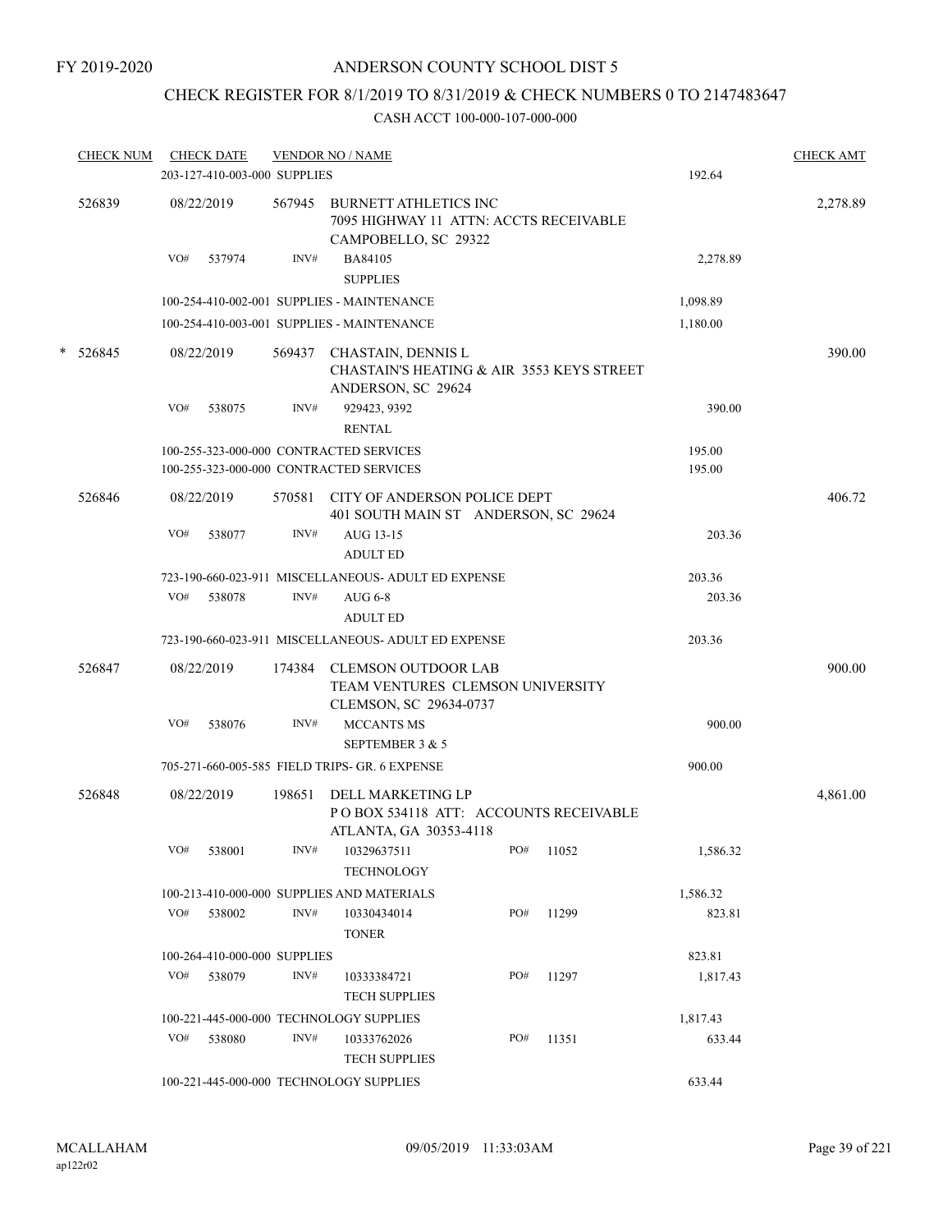## CHECK REGISTER FOR 8/1/2019 TO 8/31/2019 & CHECK NUMBERS 0 TO 2147483647

|   | <b>CHECK NUM</b> |     | <b>CHECK DATE</b>            |        | <b>VENDOR NO / NAME</b>                                                                        |     |       |          | <b>CHECK AMT</b> |
|---|------------------|-----|------------------------------|--------|------------------------------------------------------------------------------------------------|-----|-------|----------|------------------|
|   |                  |     | 203-127-410-003-000 SUPPLIES |        |                                                                                                |     |       | 192.64   |                  |
|   | 526839           |     | 08/22/2019                   | 567945 | <b>BURNETT ATHLETICS INC</b><br>7095 HIGHWAY 11 ATTN: ACCTS RECEIVABLE<br>CAMPOBELLO, SC 29322 |     |       |          | 2,278.89         |
|   |                  | VO# | 537974                       | INV#   | BA84105<br><b>SUPPLIES</b>                                                                     |     |       | 2,278.89 |                  |
|   |                  |     |                              |        | 100-254-410-002-001 SUPPLIES - MAINTENANCE                                                     |     |       | 1,098.89 |                  |
|   |                  |     |                              |        | 100-254-410-003-001 SUPPLIES - MAINTENANCE                                                     |     |       | 1,180.00 |                  |
| * | 526845           |     | 08/22/2019                   | 569437 | CHASTAIN, DENNIS L<br>CHASTAIN'S HEATING & AIR 3553 KEYS STREET<br>ANDERSON, SC 29624          |     |       |          | 390.00           |
|   |                  | VO# | 538075                       | INV#   | 929423, 9392<br><b>RENTAL</b>                                                                  |     |       | 390.00   |                  |
|   |                  |     |                              |        | 100-255-323-000-000 CONTRACTED SERVICES                                                        |     |       | 195.00   |                  |
|   |                  |     |                              |        | 100-255-323-000-000 CONTRACTED SERVICES                                                        |     |       | 195.00   |                  |
|   | 526846           |     | 08/22/2019                   |        | 570581 CITY OF ANDERSON POLICE DEPT<br>401 SOUTH MAIN ST ANDERSON, SC 29624                    |     |       |          | 406.72           |
|   |                  | VO# | 538077                       | INV#   | AUG 13-15<br><b>ADULT ED</b>                                                                   |     |       | 203.36   |                  |
|   |                  |     |                              |        | 723-190-660-023-911 MISCELLANEOUS- ADULT ED EXPENSE                                            |     |       | 203.36   |                  |
|   |                  | VO# | 538078                       | INV#   | <b>AUG 6-8</b><br><b>ADULT ED</b>                                                              |     |       | 203.36   |                  |
|   |                  |     |                              |        | 723-190-660-023-911 MISCELLANEOUS- ADULT ED EXPENSE                                            |     |       | 203.36   |                  |
|   | 526847           |     | 08/22/2019                   |        | 174384 CLEMSON OUTDOOR LAB<br>TEAM VENTURES CLEMSON UNIVERSITY<br>CLEMSON, SC 29634-0737       |     |       |          | 900.00           |
|   |                  | VO# | 538076                       | INV#   | <b>MCCANTS MS</b><br>SEPTEMBER 3 & 5                                                           |     |       | 900.00   |                  |
|   |                  |     |                              |        | 705-271-660-005-585 FIELD TRIPS- GR. 6 EXPENSE                                                 |     |       | 900.00   |                  |
|   | 526848           |     | 08/22/2019                   | 198651 | DELL MARKETING LP                                                                              |     |       |          | 4,861.00         |
|   |                  |     |                              |        | POBOX 534118 ATT: ACCOUNTS RECEIVABLE<br>ATLANTA, GA 30353-4118                                |     |       |          |                  |
|   |                  | VO# | 538001                       | INV#   | 10329637511<br><b>TECHNOLOGY</b>                                                               | PO# | 11052 | 1,586.32 |                  |
|   |                  |     |                              |        | 100-213-410-000-000 SUPPLIES AND MATERIALS                                                     |     |       | 1,586.32 |                  |
|   |                  | VO# | 538002                       | INV#   | 10330434014<br><b>TONER</b>                                                                    | PO# | 11299 | 823.81   |                  |
|   |                  |     | 100-264-410-000-000 SUPPLIES |        |                                                                                                |     |       | 823.81   |                  |
|   |                  | VO# | 538079                       | INV#   | 10333384721<br><b>TECH SUPPLIES</b>                                                            | PO# | 11297 | 1,817.43 |                  |
|   |                  |     |                              |        | 100-221-445-000-000 TECHNOLOGY SUPPLIES                                                        |     |       | 1,817.43 |                  |
|   |                  | VO# | 538080                       | INV#   | 10333762026<br><b>TECH SUPPLIES</b>                                                            | PO# | 11351 | 633.44   |                  |
|   |                  |     |                              |        | 100-221-445-000-000 TECHNOLOGY SUPPLIES                                                        |     |       | 633.44   |                  |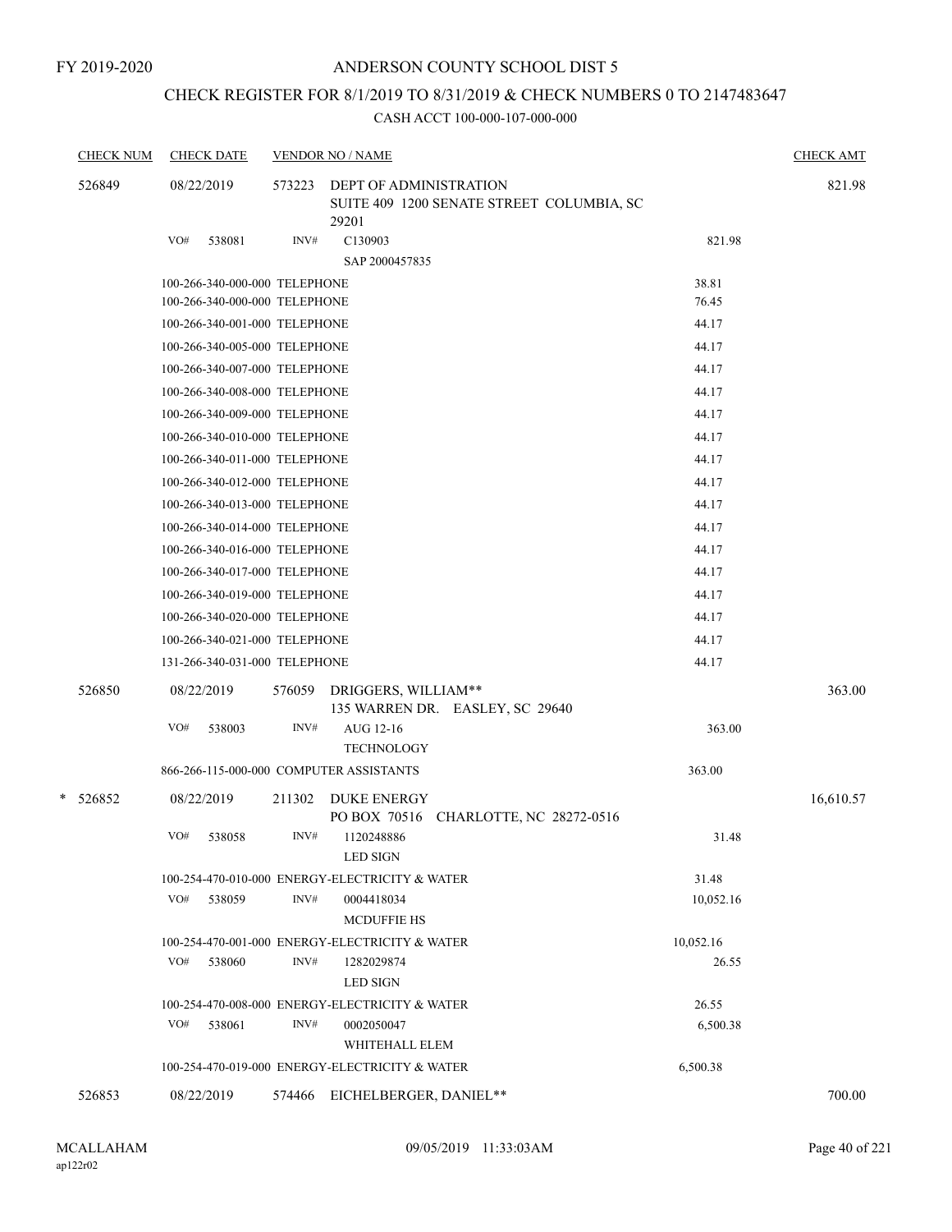FY 2019-2020

## ANDERSON COUNTY SCHOOL DIST 5

## CHECK REGISTER FOR 8/1/2019 TO 8/31/2019 & CHECK NUMBERS 0 TO 2147483647

| <b>CHECK NUM</b> | <b>CHECK DATE</b>                                              |        | <b>VENDOR NO / NAME</b><br>573223<br>DEPT OF ADMINISTRATION<br>SUITE 409 1200 SENATE STREET COLUMBIA, SC<br>29201 |                |           |  |  |  |
|------------------|----------------------------------------------------------------|--------|-------------------------------------------------------------------------------------------------------------------|----------------|-----------|--|--|--|
| 526849           | 08/22/2019                                                     |        |                                                                                                                   |                |           |  |  |  |
|                  | VO#<br>538081                                                  | INV#   | C130903                                                                                                           | 821.98         |           |  |  |  |
|                  |                                                                |        | SAP 2000457835                                                                                                    |                |           |  |  |  |
|                  | 100-266-340-000-000 TELEPHONE                                  |        |                                                                                                                   | 38.81          |           |  |  |  |
|                  | 100-266-340-000-000 TELEPHONE                                  |        |                                                                                                                   | 76.45          |           |  |  |  |
|                  | 100-266-340-001-000 TELEPHONE                                  |        |                                                                                                                   | 44.17          |           |  |  |  |
|                  | 100-266-340-005-000 TELEPHONE                                  |        |                                                                                                                   | 44.17          |           |  |  |  |
|                  | 100-266-340-007-000 TELEPHONE                                  |        |                                                                                                                   | 44.17          |           |  |  |  |
|                  | 100-266-340-008-000 TELEPHONE                                  |        |                                                                                                                   | 44.17          |           |  |  |  |
|                  | 100-266-340-009-000 TELEPHONE                                  |        |                                                                                                                   | 44.17          |           |  |  |  |
|                  | 100-266-340-010-000 TELEPHONE                                  |        |                                                                                                                   | 44.17          |           |  |  |  |
|                  | 100-266-340-011-000 TELEPHONE                                  |        |                                                                                                                   | 44.17          |           |  |  |  |
|                  | 100-266-340-012-000 TELEPHONE                                  |        |                                                                                                                   | 44.17          |           |  |  |  |
|                  | 100-266-340-013-000 TELEPHONE                                  |        |                                                                                                                   | 44.17          |           |  |  |  |
|                  | 100-266-340-014-000 TELEPHONE<br>100-266-340-016-000 TELEPHONE |        |                                                                                                                   | 44.17          |           |  |  |  |
|                  | 100-266-340-017-000 TELEPHONE                                  |        |                                                                                                                   | 44.17<br>44.17 |           |  |  |  |
|                  | 100-266-340-019-000 TELEPHONE                                  |        |                                                                                                                   | 44.17          |           |  |  |  |
|                  |                                                                |        |                                                                                                                   | 44.17          |           |  |  |  |
|                  | 100-266-340-020-000 TELEPHONE<br>100-266-340-021-000 TELEPHONE |        |                                                                                                                   | 44.17          |           |  |  |  |
|                  | 131-266-340-031-000 TELEPHONE                                  |        |                                                                                                                   | 44.17          |           |  |  |  |
|                  |                                                                |        |                                                                                                                   |                |           |  |  |  |
| 526850           | 08/22/2019                                                     | 576059 | DRIGGERS, WILLIAM**<br>135 WARREN DR. EASLEY, SC 29640                                                            |                | 363.00    |  |  |  |
|                  | VO#<br>538003                                                  | INV#   | AUG 12-16                                                                                                         | 363.00         |           |  |  |  |
|                  |                                                                |        | <b>TECHNOLOGY</b>                                                                                                 |                |           |  |  |  |
|                  | 866-266-115-000-000 COMPUTER ASSISTANTS                        |        |                                                                                                                   | 363.00         |           |  |  |  |
| * 526852         | 08/22/2019                                                     | 211302 | <b>DUKE ENERGY</b><br>CHARLOTTE, NC 28272-0516<br>PO BOX 70516                                                    |                | 16,610.57 |  |  |  |
|                  | VO#<br>538058                                                  | INV#   | 1120248886<br><b>LED SIGN</b>                                                                                     | 31.48          |           |  |  |  |
|                  |                                                                |        | 100-254-470-010-000 ENERGY-ELECTRICITY & WATER                                                                    | 31.48          |           |  |  |  |
|                  | VO#<br>538059                                                  | INV#   | 0004418034<br><b>MCDUFFIE HS</b>                                                                                  | 10,052.16      |           |  |  |  |
|                  |                                                                |        | 100-254-470-001-000 ENERGY-ELECTRICITY & WATER                                                                    | 10,052.16      |           |  |  |  |
|                  | VO#<br>538060                                                  | INV#   | 1282029874<br><b>LED SIGN</b>                                                                                     | 26.55          |           |  |  |  |
|                  |                                                                |        | 100-254-470-008-000 ENERGY-ELECTRICITY & WATER                                                                    | 26.55          |           |  |  |  |
|                  | VO#<br>538061                                                  | INV#   | 0002050047<br>WHITEHALL ELEM                                                                                      | 6,500.38       |           |  |  |  |
|                  |                                                                |        | 100-254-470-019-000 ENERGY-ELECTRICITY & WATER                                                                    | 6,500.38       |           |  |  |  |
| 526853           | 08/22/2019                                                     | 574466 | EICHELBERGER, DANIEL**                                                                                            |                | 700.00    |  |  |  |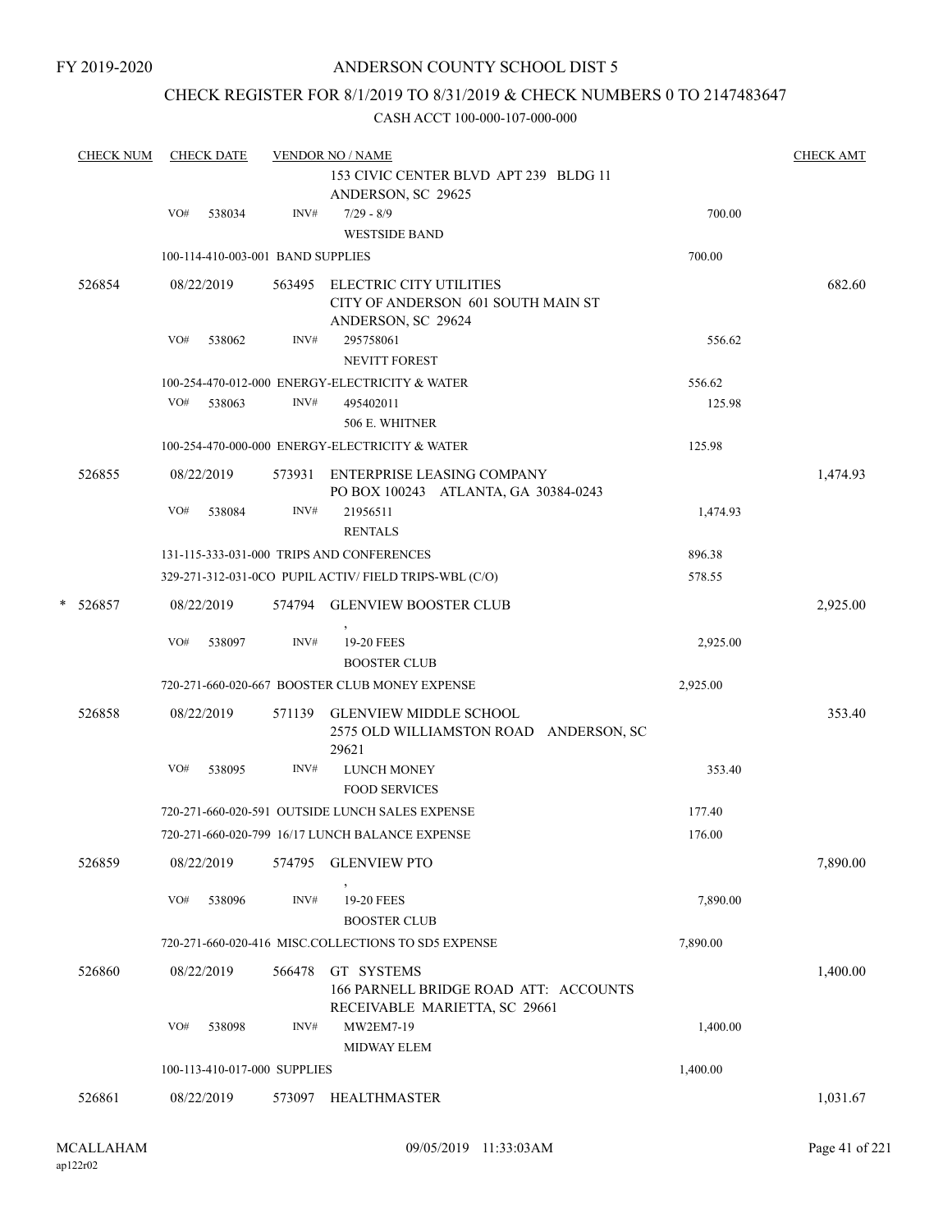## CHECK REGISTER FOR 8/1/2019 TO 8/31/2019 & CHECK NUMBERS 0 TO 2147483647

| <b>CHECK NUM</b> | <b>CHECK DATE</b> |            |                                   | <b>VENDOR NO / NAME</b>                                                             |          | <b>CHECK AMT</b> |  |  |
|------------------|-------------------|------------|-----------------------------------|-------------------------------------------------------------------------------------|----------|------------------|--|--|
|                  |                   |            |                                   | 153 CIVIC CENTER BLVD APT 239 BLDG 11<br>ANDERSON, SC 29625                         |          |                  |  |  |
|                  | VO#               | 538034     | INV#                              | $7/29 - 8/9$<br><b>WESTSIDE BAND</b>                                                | 700.00   |                  |  |  |
|                  |                   |            | 100-114-410-003-001 BAND SUPPLIES |                                                                                     | 700.00   |                  |  |  |
| 526854           |                   | 08/22/2019 | 563495                            | ELECTRIC CITY UTILITIES<br>CITY OF ANDERSON 601 SOUTH MAIN ST<br>ANDERSON, SC 29624 |          | 682.60           |  |  |
|                  | VO#               | 538062     | INV#                              | 295758061<br><b>NEVITT FOREST</b>                                                   | 556.62   |                  |  |  |
|                  |                   |            |                                   | 100-254-470-012-000 ENERGY-ELECTRICITY & WATER                                      | 556.62   |                  |  |  |
|                  | VO#               | 538063     | INV#                              | 495402011<br>506 E. WHITNER                                                         | 125.98   |                  |  |  |
|                  |                   |            |                                   | 100-254-470-000-000 ENERGY-ELECTRICITY & WATER                                      | 125.98   |                  |  |  |
| 526855           |                   | 08/22/2019 |                                   | 573931 ENTERPRISE LEASING COMPANY<br>PO BOX 100243 ATLANTA, GA 30384-0243           |          | 1,474.93         |  |  |
|                  | VO#               | 538084     | INV#                              | 21956511<br><b>RENTALS</b>                                                          | 1,474.93 |                  |  |  |
|                  |                   |            |                                   | 131-115-333-031-000 TRIPS AND CONFERENCES                                           | 896.38   |                  |  |  |
|                  |                   |            |                                   | 329-271-312-031-0CO PUPIL ACTIV/ FIELD TRIPS-WBL (C/O)                              | 578.55   |                  |  |  |
| * 526857         |                   | 08/22/2019 |                                   | 574794 GLENVIEW BOOSTER CLUB                                                        |          | 2,925.00         |  |  |
|                  | VO#               | 538097     | INV#                              | 19-20 FEES<br><b>BOOSTER CLUB</b>                                                   | 2,925.00 |                  |  |  |
|                  |                   |            |                                   | 720-271-660-020-667 BOOSTER CLUB MONEY EXPENSE                                      | 2,925.00 |                  |  |  |
| 526858           |                   | 08/22/2019 | 571139                            | <b>GLENVIEW MIDDLE SCHOOL</b><br>2575 OLD WILLIAMSTON ROAD ANDERSON, SC<br>29621    |          | 353.40           |  |  |
|                  | VO#               | 538095     | INV#                              | <b>LUNCH MONEY</b><br><b>FOOD SERVICES</b>                                          | 353.40   |                  |  |  |
|                  |                   |            |                                   | 720-271-660-020-591 OUTSIDE LUNCH SALES EXPENSE                                     | 177.40   |                  |  |  |
|                  |                   |            |                                   | 720-271-660-020-799 16/17 LUNCH BALANCE EXPENSE                                     | 176.00   |                  |  |  |
| 526859           |                   | 08/22/2019 | 574795                            | <b>GLENVIEW PTO</b>                                                                 |          | 7,890.00         |  |  |
|                  | VO#               | 538096     | $\text{INV}\#$                    | 19-20 FEES<br><b>BOOSTER CLUB</b>                                                   | 7,890.00 |                  |  |  |
|                  |                   |            |                                   | 720-271-660-020-416 MISC.COLLECTIONS TO SD5 EXPENSE                                 | 7,890.00 |                  |  |  |
| 526860           |                   | 08/22/2019 | 566478                            | GT SYSTEMS<br>166 PARNELL BRIDGE ROAD ATT: ACCOUNTS                                 |          | 1,400.00         |  |  |
|                  |                   |            |                                   | RECEIVABLE MARIETTA, SC 29661                                                       |          |                  |  |  |
|                  | VO#               | 538098     | INV#                              | MW2EM7-19<br>MIDWAY ELEM                                                            | 1,400.00 |                  |  |  |
|                  |                   |            | 100-113-410-017-000 SUPPLIES      |                                                                                     | 1,400.00 |                  |  |  |
| 526861           |                   | 08/22/2019 | 573097                            | <b>HEALTHMASTER</b>                                                                 |          | 1,031.67         |  |  |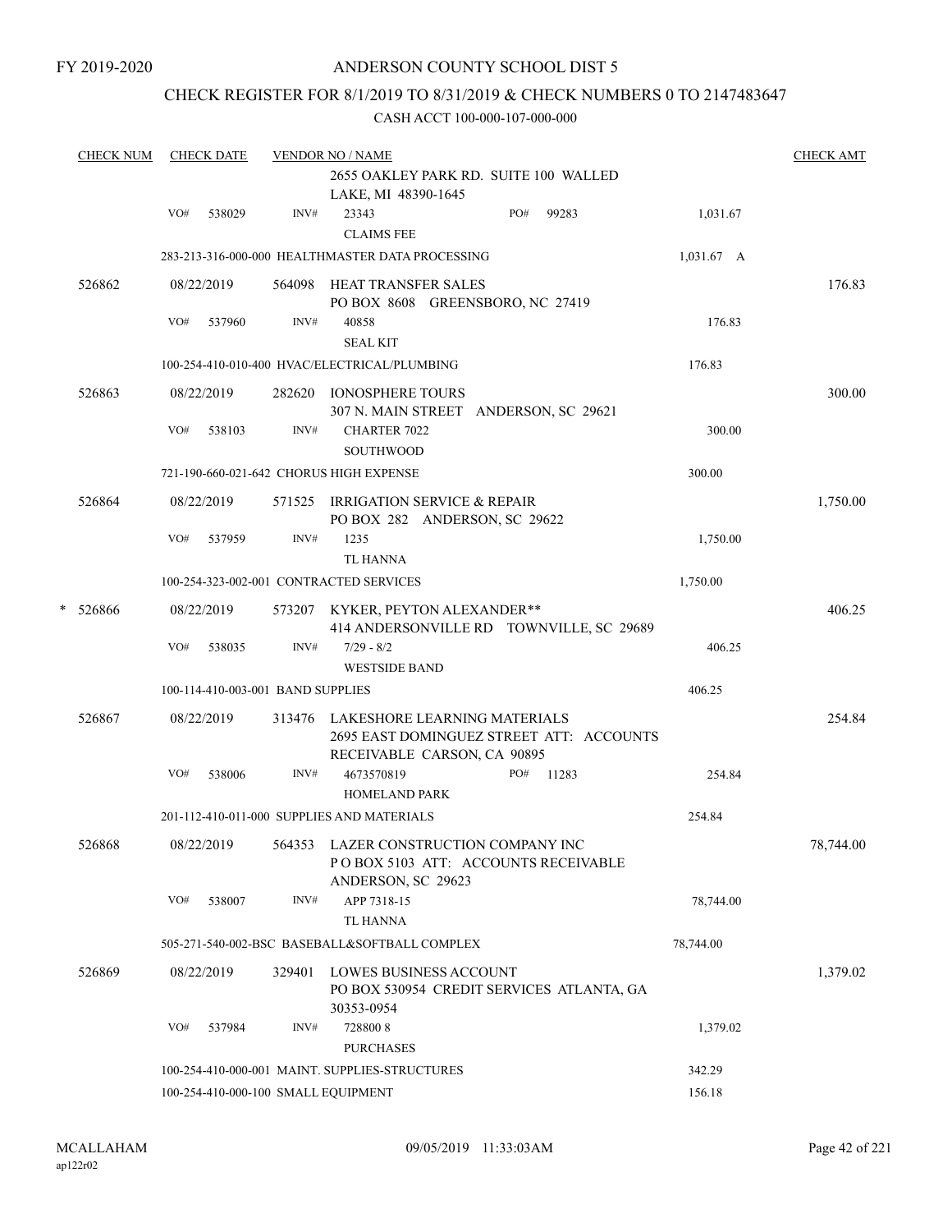FY 2019-2020

## ANDERSON COUNTY SCHOOL DIST 5

## CHECK REGISTER FOR 8/1/2019 TO 8/31/2019 & CHECK NUMBERS 0 TO 2147483647

| <b>CHECK NUM</b> |     | <b>CHECK DATE</b> |                                   | <b>VENDOR NO / NAME</b>                                                                                        |     |           |            | <b>CHECK AMT</b> |
|------------------|-----|-------------------|-----------------------------------|----------------------------------------------------------------------------------------------------------------|-----|-----------|------------|------------------|
|                  |     |                   |                                   | 2655 OAKLEY PARK RD. SUITE 100 WALLED<br>LAKE, MI 48390-1645                                                   |     |           |            |                  |
|                  | VO# | 538029            | INV#                              | 23343<br><b>CLAIMS FEE</b>                                                                                     | PO# | 99283     | 1,031.67   |                  |
|                  |     |                   |                                   | 283-213-316-000-000 HEALTHMASTER DATA PROCESSING                                                               |     |           | 1,031.67 A |                  |
| 526862           |     | 08/22/2019        |                                   | 564098 HEAT TRANSFER SALES<br>PO BOX 8608 GREENSBORO, NC 27419                                                 |     |           |            | 176.83           |
|                  | VO# | 537960            | INV#                              | 40858<br><b>SEAL KIT</b>                                                                                       |     |           | 176.83     |                  |
|                  |     |                   |                                   | 100-254-410-010-400 HVAC/ELECTRICAL/PLUMBING                                                                   |     |           | 176.83     |                  |
| 526863           |     | 08/22/2019        |                                   | 282620 IONOSPHERE TOURS<br>307 N. MAIN STREET ANDERSON, SC 29621                                               |     |           |            | 300.00           |
|                  | VO# | 538103            | INV#                              | <b>CHARTER 7022</b><br><b>SOUTHWOOD</b>                                                                        |     |           | 300.00     |                  |
|                  |     |                   |                                   | 721-190-660-021-642 CHORUS HIGH EXPENSE                                                                        |     |           | 300.00     |                  |
| 526864           |     | 08/22/2019        |                                   | 571525 IRRIGATION SERVICE & REPAIR<br>PO BOX 282 ANDERSON, SC 29622                                            |     |           |            | 1,750.00         |
|                  | VO# | 537959            | INV#                              | 1235<br>TL HANNA                                                                                               |     |           | 1,750.00   |                  |
|                  |     |                   |                                   | 100-254-323-002-001 CONTRACTED SERVICES                                                                        |     |           | 1,750.00   |                  |
| * 526866         |     | 08/22/2019        |                                   | 573207 KYKER, PEYTON ALEXANDER**<br>414 ANDERSONVILLE RD TOWNVILLE, SC 29689                                   |     |           |            | 406.25           |
|                  | VO# | 538035            | INV#                              | $7/29 - 8/2$<br><b>WESTSIDE BAND</b>                                                                           |     |           | 406.25     |                  |
|                  |     |                   | 100-114-410-003-001 BAND SUPPLIES |                                                                                                                |     |           | 406.25     |                  |
| 526867           |     | 08/22/2019        |                                   | 313476 LAKESHORE LEARNING MATERIALS<br>2695 EAST DOMINGUEZ STREET ATT: ACCOUNTS<br>RECEIVABLE CARSON, CA 90895 |     |           |            | 254.84           |
|                  | VO# | 538006            | INV#                              | 4673570819<br><b>HOMELAND PARK</b>                                                                             |     | PO# 11283 | 254.84     |                  |
|                  |     |                   |                                   | 201-112-410-011-000 SUPPLIES AND MATERIALS                                                                     |     |           | 254.84     |                  |
| 526868           |     | 08/22/2019        |                                   | 564353 LAZER CONSTRUCTION COMPANY INC<br>POBOX 5103 ATT: ACCOUNTS RECEIVABLE<br>ANDERSON, SC 29623             |     |           |            | 78,744.00        |
|                  | VO# | 538007            | INV#                              | APP 7318-15<br>TL HANNA                                                                                        |     |           | 78,744.00  |                  |
|                  |     |                   |                                   | 505-271-540-002-BSC BASEBALL&SOFTBALL COMPLEX                                                                  |     |           | 78,744.00  |                  |
| 526869           |     | 08/22/2019        | 329401                            | LOWES BUSINESS ACCOUNT<br>PO BOX 530954 CREDIT SERVICES ATLANTA, GA<br>30353-0954                              |     |           |            | 1,379.02         |
|                  | VO# | 537984            | INV#                              | 7288008<br><b>PURCHASES</b>                                                                                    |     |           | 1,379.02   |                  |
|                  |     |                   |                                   | 100-254-410-000-001 MAINT. SUPPLIES-STRUCTURES                                                                 |     |           | 342.29     |                  |
|                  |     |                   |                                   | 100-254-410-000-100 SMALL EQUIPMENT                                                                            |     |           | 156.18     |                  |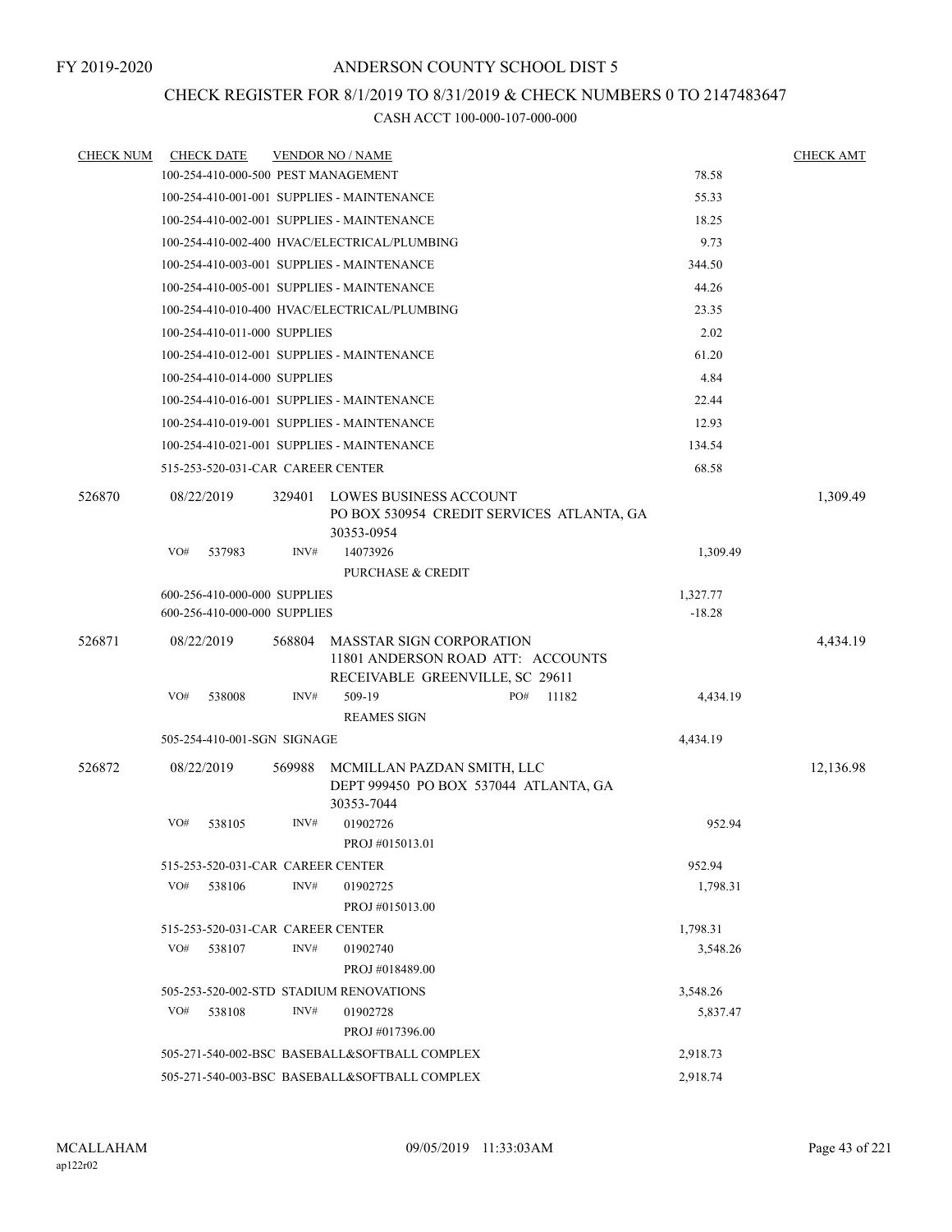## CHECK REGISTER FOR 8/1/2019 TO 8/31/2019 & CHECK NUMBERS 0 TO 2147483647

| <b>CHECK NUM</b> |                       | <b>CHECK DATE</b>                             |        | <b>VENDOR NO / NAME</b>                                                                                 |     |          |          | <b>CHECK AMT</b> |
|------------------|-----------------------|-----------------------------------------------|--------|---------------------------------------------------------------------------------------------------------|-----|----------|----------|------------------|
|                  |                       |                                               |        | 100-254-410-000-500 PEST MANAGEMENT                                                                     |     |          | 78.58    |                  |
|                  |                       |                                               |        | 100-254-410-001-001 SUPPLIES - MAINTENANCE                                                              |     |          | 55.33    |                  |
|                  |                       |                                               |        | 100-254-410-002-001 SUPPLIES - MAINTENANCE                                                              |     |          | 18.25    |                  |
|                  |                       |                                               |        | 100-254-410-002-400 HVAC/ELECTRICAL/PLUMBING                                                            |     |          | 9.73     |                  |
|                  |                       |                                               |        | 100-254-410-003-001 SUPPLIES - MAINTENANCE                                                              |     |          | 344.50   |                  |
|                  |                       |                                               |        | 100-254-410-005-001 SUPPLIES - MAINTENANCE                                                              |     |          | 44.26    |                  |
|                  |                       |                                               |        | 100-254-410-010-400 HVAC/ELECTRICAL/PLUMBING                                                            |     |          | 23.35    |                  |
|                  |                       | 100-254-410-011-000 SUPPLIES                  |        |                                                                                                         |     |          | 2.02     |                  |
|                  |                       |                                               |        | 100-254-410-012-001 SUPPLIES - MAINTENANCE                                                              |     |          | 61.20    |                  |
|                  |                       | 100-254-410-014-000 SUPPLIES                  |        |                                                                                                         |     |          | 4.84     |                  |
|                  |                       |                                               |        | 100-254-410-016-001 SUPPLIES - MAINTENANCE                                                              |     |          | 22.44    |                  |
|                  |                       |                                               |        | 100-254-410-019-001 SUPPLIES - MAINTENANCE                                                              |     |          | 12.93    |                  |
|                  |                       |                                               |        | 100-254-410-021-001 SUPPLIES - MAINTENANCE                                                              |     |          | 134.54   |                  |
|                  |                       | 515-253-520-031-CAR CAREER CENTER             |        |                                                                                                         |     |          | 68.58    |                  |
| 526870           | 08/22/2019            |                                               | 329401 | LOWES BUSINESS ACCOUNT<br>PO BOX 530954 CREDIT SERVICES ATLANTA, GA<br>30353-0954                       |     |          |          | 1,309.49         |
|                  | VO#                   | 537983                                        | INV#   | 14073926                                                                                                |     |          | 1,309.49 |                  |
|                  |                       |                                               |        | PURCHASE & CREDIT                                                                                       |     |          |          |                  |
|                  |                       | 600-256-410-000-000 SUPPLIES                  |        |                                                                                                         |     |          | 1,327.77 |                  |
|                  |                       | 600-256-410-000-000 SUPPLIES                  |        |                                                                                                         |     |          | $-18.28$ |                  |
| 526871           | 08/22/2019            |                                               | 568804 | <b>MASSTAR SIGN CORPORATION</b><br>11801 ANDERSON ROAD ATT: ACCOUNTS<br>RECEIVABLE GREENVILLE, SC 29611 |     |          |          | 4,434.19         |
|                  | VO#                   | 538008                                        | INV#   | 509-19                                                                                                  | PO# | 11182    | 4,434.19 |                  |
|                  |                       |                                               |        | <b>REAMES SIGN</b>                                                                                      |     |          |          |                  |
|                  |                       | 505-254-410-001-SGN SIGNAGE                   |        |                                                                                                         |     |          | 4,434.19 |                  |
| 526872           | 08/22/2019            |                                               | 569988 | MCMILLAN PAZDAN SMITH, LLC<br>DEPT 999450 PO BOX 537044 ATLANTA, GA<br>30353-7044                       |     |          |          | 12,136.98        |
|                  | VO#                   | 538105                                        | INV#   | 01902726                                                                                                |     |          | 952.94   |                  |
|                  |                       |                                               |        | PROJ #015013.01                                                                                         |     |          |          |                  |
|                  |                       | 515-253-520-031-CAR CAREER CENTER             |        |                                                                                                         |     |          | 952.94   |                  |
|                  | VO#                   | 538106                                        | INV#   | 01902725                                                                                                |     |          | 1,798.31 |                  |
|                  |                       |                                               |        | PROJ #015013.00                                                                                         |     |          |          |                  |
|                  |                       | 515-253-520-031-CAR CAREER CENTER             |        |                                                                                                         |     |          | 1,798.31 |                  |
|                  | VO#                   | 538107                                        | INV#   | 01902740<br>PROJ #018489.00                                                                             |     |          | 3,548.26 |                  |
|                  |                       |                                               |        | 505-253-520-002-STD STADIUM RENOVATIONS                                                                 |     | 3,548.26 |          |                  |
|                  | VO#<br>INV#<br>538108 |                                               |        | 01902728<br>PROJ #017396.00                                                                             |     |          | 5,837.47 |                  |
|                  |                       |                                               |        | 505-271-540-002-BSC BASEBALL&SOFTBALL COMPLEX                                                           |     |          | 2,918.73 |                  |
|                  |                       | 505-271-540-003-BSC BASEBALL&SOFTBALL COMPLEX |        | 2,918.74                                                                                                |     |          |          |                  |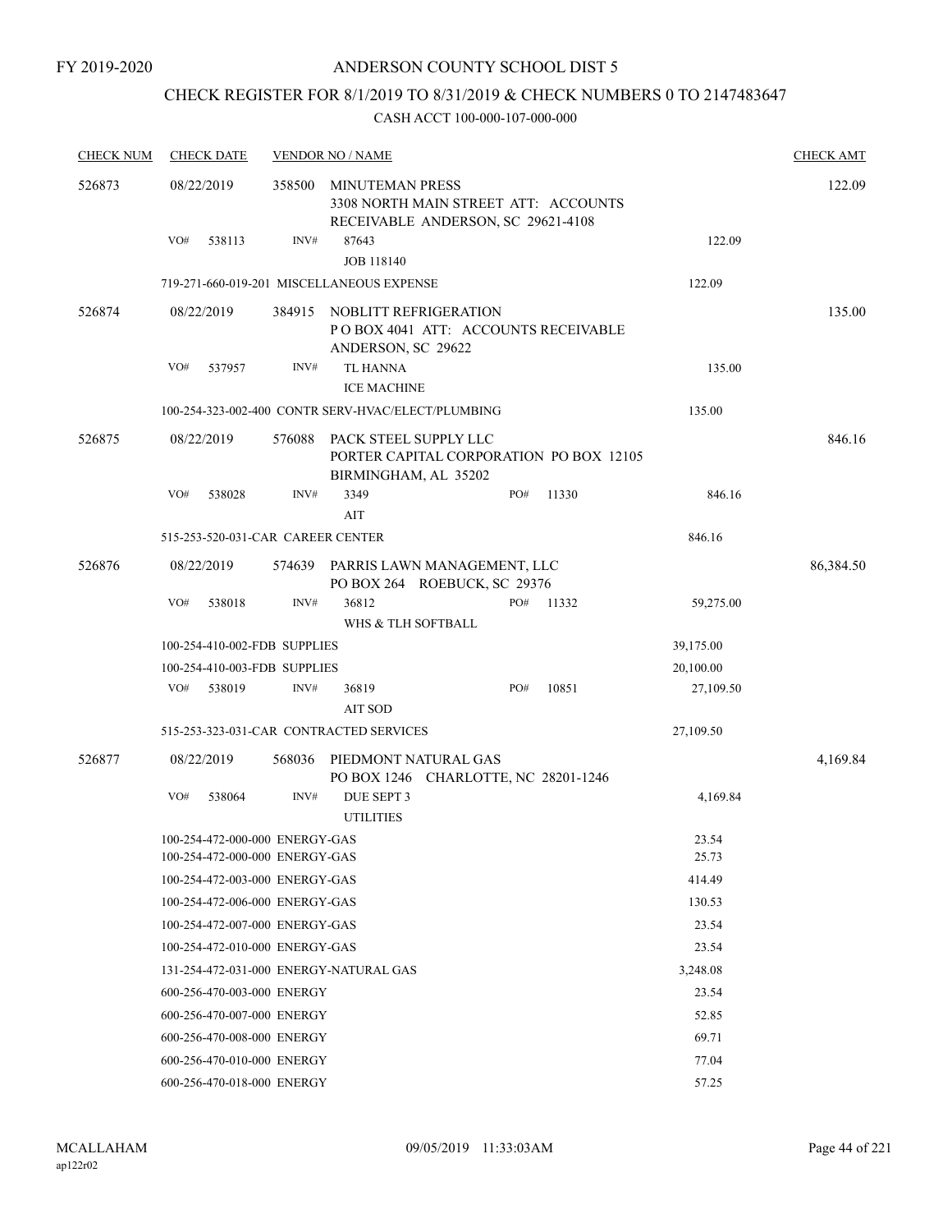## CHECK REGISTER FOR 8/1/2019 TO 8/31/2019 & CHECK NUMBERS 0 TO 2147483647

| <b>CHECK NUM</b> | <b>CHECK DATE</b>                                                |        | <b>VENDOR NO / NAME</b>                                                                              |     |       |                | <b>CHECK AMT</b> |
|------------------|------------------------------------------------------------------|--------|------------------------------------------------------------------------------------------------------|-----|-------|----------------|------------------|
| 526873           | 08/22/2019                                                       | 358500 | <b>MINUTEMAN PRESS</b><br>3308 NORTH MAIN STREET ATT: ACCOUNTS<br>RECEIVABLE ANDERSON, SC 29621-4108 |     |       |                | 122.09           |
|                  | VO#<br>538113                                                    | INV#   | 87643<br><b>JOB 118140</b>                                                                           |     |       | 122.09         |                  |
|                  |                                                                  |        | 719-271-660-019-201 MISCELLANEOUS EXPENSE                                                            |     |       | 122.09         |                  |
| 526874           | 08/22/2019                                                       | 384915 | NOBLITT REFRIGERATION<br>POBOX 4041 ATT: ACCOUNTS RECEIVABLE<br>ANDERSON, SC 29622                   |     |       |                | 135.00           |
|                  | VO#<br>537957                                                    | INV#   | <b>TL HANNA</b><br><b>ICE MACHINE</b>                                                                |     |       | 135.00         |                  |
|                  |                                                                  |        | 100-254-323-002-400 CONTR SERV-HVAC/ELECT/PLUMBING                                                   |     |       | 135.00         |                  |
| 526875           | 08/22/2019                                                       | 576088 | PACK STEEL SUPPLY LLC<br>PORTER CAPITAL CORPORATION PO BOX 12105<br>BIRMINGHAM, AL 35202             |     |       |                | 846.16           |
|                  | VO#<br>538028                                                    | INV#   | 3349<br>AIT                                                                                          | PO# | 11330 | 846.16         |                  |
|                  | 515-253-520-031-CAR CAREER CENTER                                |        |                                                                                                      |     |       | 846.16         |                  |
| 526876           | 08/22/2019                                                       | 574639 | PARRIS LAWN MANAGEMENT, LLC<br>PO BOX 264 ROEBUCK, SC 29376                                          |     |       |                | 86,384.50        |
|                  | VO#<br>538018                                                    | INV#   | 36812<br>WHS & TLH SOFTBALL                                                                          | PO# | 11332 | 59,275.00      |                  |
|                  | 100-254-410-002-FDB SUPPLIES                                     |        |                                                                                                      |     |       | 39,175.00      |                  |
|                  | 100-254-410-003-FDB SUPPLIES                                     |        |                                                                                                      |     |       | 20,100.00      |                  |
|                  | VO#<br>538019                                                    | INV#   | 36819<br><b>AIT SOD</b>                                                                              | PO# | 10851 | 27,109.50      |                  |
|                  |                                                                  |        | 515-253-323-031-CAR CONTRACTED SERVICES                                                              |     |       | 27,109.50      |                  |
| 526877           | 08/22/2019                                                       | 568036 | PIEDMONT NATURAL GAS<br>PO BOX 1246 CHARLOTTE, NC 28201-1246                                         |     |       |                | 4,169.84         |
|                  | VO#<br>538064                                                    | INV#   | DUE SEPT 3<br><b>UTILITIES</b>                                                                       |     |       | 4,169.84       |                  |
|                  | 100-254-472-000-000 ENERGY-GAS<br>100-254-472-000-000 ENERGY-GAS |        |                                                                                                      |     |       | 23.54<br>25.73 |                  |
|                  | 100-254-472-003-000 ENERGY-GAS                                   |        |                                                                                                      |     |       | 414.49         |                  |
|                  | 100-254-472-006-000 ENERGY-GAS                                   |        |                                                                                                      |     |       | 130.53         |                  |
|                  | 100-254-472-007-000 ENERGY-GAS                                   |        |                                                                                                      |     |       | 23.54          |                  |
|                  | 100-254-472-010-000 ENERGY-GAS                                   |        |                                                                                                      |     |       | 23.54          |                  |
|                  | 131-254-472-031-000 ENERGY-NATURAL GAS                           |        |                                                                                                      |     |       | 3,248.08       |                  |
|                  | 600-256-470-003-000 ENERGY                                       |        |                                                                                                      |     |       | 23.54          |                  |
|                  | 600-256-470-007-000 ENERGY                                       |        |                                                                                                      |     |       | 52.85          |                  |
|                  | 600-256-470-008-000 ENERGY                                       |        |                                                                                                      |     |       | 69.71          |                  |
|                  | 600-256-470-010-000 ENERGY                                       |        |                                                                                                      |     |       | 77.04          |                  |
|                  | 600-256-470-018-000 ENERGY                                       |        |                                                                                                      |     |       | 57.25          |                  |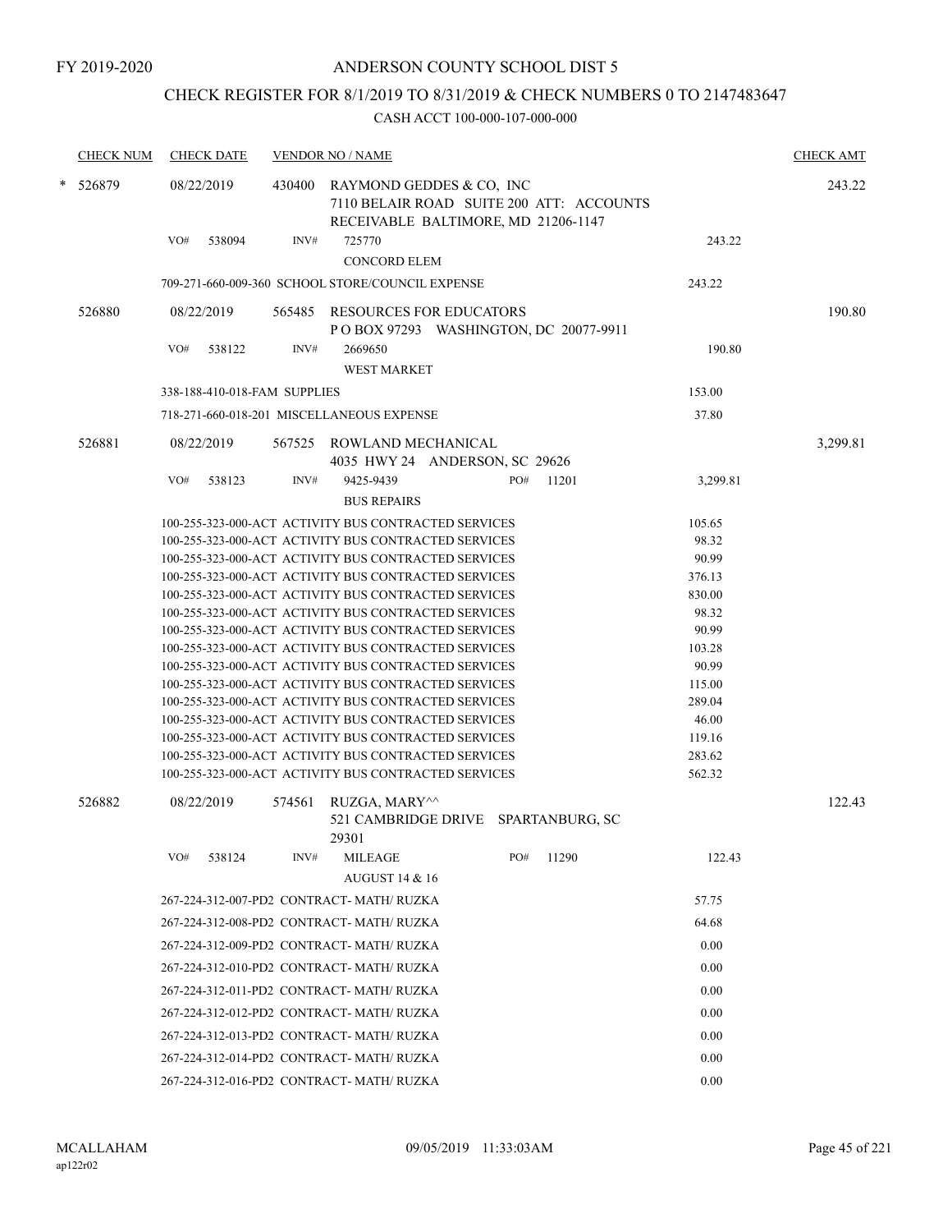## CHECK REGISTER FOR 8/1/2019 TO 8/31/2019 & CHECK NUMBERS 0 TO 2147483647

| <b>CHECK NUM</b> | <b>CHECK DATE</b>            |        | <b>VENDOR NO / NAME</b>                                                                                      |     |       |                  | <b>CHECK AMT</b> |
|------------------|------------------------------|--------|--------------------------------------------------------------------------------------------------------------|-----|-------|------------------|------------------|
| * 526879         | 08/22/2019                   | 430400 | RAYMOND GEDDES & CO, INC<br>7110 BELAIR ROAD SUITE 200 ATT: ACCOUNTS<br>RECEIVABLE BALTIMORE, MD 21206-1147  |     |       |                  | 243.22           |
|                  | VO#<br>538094                | INV#   | 725770<br><b>CONCORD ELEM</b>                                                                                |     |       | 243.22           |                  |
|                  |                              |        | 709-271-660-009-360 SCHOOL STORE/COUNCIL EXPENSE                                                             |     |       | 243.22           |                  |
| 526880           | 08/22/2019                   |        | 565485 RESOURCES FOR EDUCATORS<br>P O BOX 97293 WASHINGTON, DC 20077-9911                                    |     |       |                  | 190.80           |
|                  | VO#<br>538122                | INV#   | 2669650<br><b>WEST MARKET</b>                                                                                |     |       | 190.80           |                  |
|                  | 338-188-410-018-FAM SUPPLIES |        |                                                                                                              |     |       | 153.00           |                  |
|                  |                              |        | 718-271-660-018-201 MISCELLANEOUS EXPENSE                                                                    |     |       | 37.80            |                  |
| 526881           | 08/22/2019                   |        | 567525 ROWLAND MECHANICAL<br>4035 HWY 24 ANDERSON, SC 29626                                                  |     |       |                  | 3,299.81         |
|                  | VO#<br>538123                | INV#   | 9425-9439                                                                                                    | PO# | 11201 | 3,299.81         |                  |
|                  |                              |        | <b>BUS REPAIRS</b>                                                                                           |     |       |                  |                  |
|                  |                              |        | 100-255-323-000-ACT ACTIVITY BUS CONTRACTED SERVICES                                                         |     |       | 105.65           |                  |
|                  |                              |        | 100-255-323-000-ACT ACTIVITY BUS CONTRACTED SERVICES                                                         |     |       | 98.32            |                  |
|                  |                              |        | 100-255-323-000-ACT ACTIVITY BUS CONTRACTED SERVICES                                                         |     |       | 90.99            |                  |
|                  |                              |        | 100-255-323-000-ACT ACTIVITY BUS CONTRACTED SERVICES                                                         |     |       | 376.13           |                  |
|                  |                              |        | 100-255-323-000-ACT ACTIVITY BUS CONTRACTED SERVICES                                                         |     |       | 830.00           |                  |
|                  |                              |        | 100-255-323-000-ACT ACTIVITY BUS CONTRACTED SERVICES                                                         |     |       | 98.32            |                  |
|                  |                              |        | 100-255-323-000-ACT ACTIVITY BUS CONTRACTED SERVICES                                                         |     |       | 90.99            |                  |
|                  |                              |        | 100-255-323-000-ACT ACTIVITY BUS CONTRACTED SERVICES                                                         |     |       | 103.28           |                  |
|                  |                              |        | 100-255-323-000-ACT ACTIVITY BUS CONTRACTED SERVICES                                                         |     |       | 90.99            |                  |
|                  |                              |        | 100-255-323-000-ACT ACTIVITY BUS CONTRACTED SERVICES                                                         |     |       | 115.00           |                  |
|                  |                              |        | 100-255-323-000-ACT ACTIVITY BUS CONTRACTED SERVICES                                                         |     |       | 289.04           |                  |
|                  |                              |        | 100-255-323-000-ACT ACTIVITY BUS CONTRACTED SERVICES                                                         |     |       | 46.00            |                  |
|                  |                              |        | 100-255-323-000-ACT ACTIVITY BUS CONTRACTED SERVICES<br>100-255-323-000-ACT ACTIVITY BUS CONTRACTED SERVICES |     |       | 119.16<br>283.62 |                  |
|                  |                              |        | 100-255-323-000-ACT ACTIVITY BUS CONTRACTED SERVICES                                                         |     |       | 562.32           |                  |
|                  |                              |        |                                                                                                              |     |       |                  |                  |
| 526882           | 08/22/2019                   | 574561 | RUZGA, MARY^^<br>521 CAMBRIDGE DRIVE SPARTANBURG, SC<br>29301                                                |     |       |                  | 122.43           |
|                  | VO#<br>538124                | INV#   | <b>MILEAGE</b>                                                                                               | PO# | 11290 | 122.43           |                  |
|                  |                              |        | <b>AUGUST 14 &amp; 16</b>                                                                                    |     |       |                  |                  |
|                  |                              |        | 267-224-312-007-PD2 CONTRACT- MATH/RUZKA                                                                     |     |       | 57.75            |                  |
|                  |                              |        | 267-224-312-008-PD2 CONTRACT- MATH/ RUZKA                                                                    |     |       | 64.68            |                  |
|                  |                              |        | 267-224-312-009-PD2 CONTRACT- MATH/RUZKA                                                                     |     |       | 0.00             |                  |
|                  |                              |        | 267-224-312-010-PD2 CONTRACT- MATH/RUZKA                                                                     |     |       | 0.00             |                  |
|                  |                              |        | 267-224-312-011-PD2 CONTRACT- MATH/ RUZKA                                                                    |     |       | 0.00             |                  |
|                  |                              |        | 267-224-312-012-PD2 CONTRACT- MATH/RUZKA                                                                     |     |       | 0.00             |                  |
|                  |                              |        | 267-224-312-013-PD2 CONTRACT- MATH/RUZKA                                                                     |     |       | 0.00             |                  |
|                  |                              |        | 267-224-312-014-PD2 CONTRACT- MATH/RUZKA                                                                     |     |       | 0.00             |                  |
|                  |                              |        | 267-224-312-016-PD2 CONTRACT-MATH/RUZKA                                                                      |     |       | 0.00             |                  |
|                  |                              |        |                                                                                                              |     |       |                  |                  |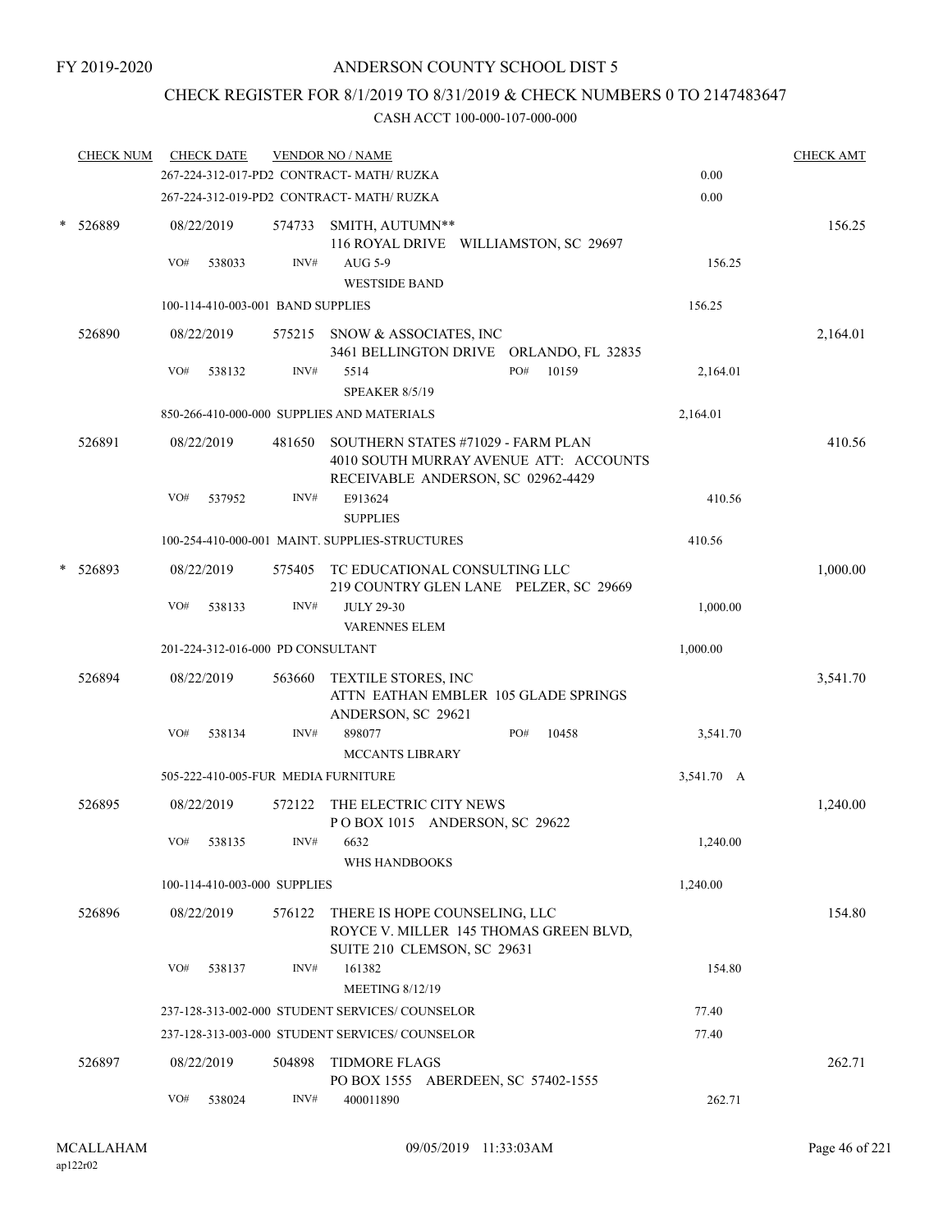## CHECK REGISTER FOR 8/1/2019 TO 8/31/2019 & CHECK NUMBERS 0 TO 2147483647

|        | <b>CHECK NUM</b> |     | <b>CHECK DATE</b>                 |        | <b>VENDOR NO / NAME</b>                                                                                            |            | <b>CHECK AMT</b> |
|--------|------------------|-----|-----------------------------------|--------|--------------------------------------------------------------------------------------------------------------------|------------|------------------|
|        |                  |     |                                   |        | 267-224-312-017-PD2 CONTRACT- MATH/RUZKA                                                                           | 0.00       |                  |
|        |                  |     |                                   |        | 267-224-312-019-PD2 CONTRACT- MATH/RUZKA                                                                           | 0.00       |                  |
| $\ast$ | 526889           |     | 08/22/2019                        |        | 574733 SMITH, AUTUMN**<br>116 ROYAL DRIVE WILLIAMSTON, SC 29697                                                    |            | 156.25           |
|        |                  | VO# | 538033                            | INV#   | AUG 5-9<br><b>WESTSIDE BAND</b>                                                                                    | 156.25     |                  |
|        |                  |     | 100-114-410-003-001 BAND SUPPLIES |        |                                                                                                                    | 156.25     |                  |
|        | 526890           |     | 08/22/2019                        |        | 575215 SNOW & ASSOCIATES, INC<br>3461 BELLINGTON DRIVE ORLANDO, FL 32835                                           |            | 2,164.01         |
|        |                  | VO# | 538132                            | INV#   | PO#<br>10159<br>5514<br><b>SPEAKER 8/5/19</b>                                                                      | 2,164.01   |                  |
|        |                  |     |                                   |        | 850-266-410-000-000 SUPPLIES AND MATERIALS                                                                         | 2,164.01   |                  |
|        | 526891           |     | 08/22/2019                        | 481650 | SOUTHERN STATES #71029 - FARM PLAN<br>4010 SOUTH MURRAY AVENUE ATT: ACCOUNTS<br>RECEIVABLE ANDERSON, SC 02962-4429 |            | 410.56           |
|        |                  | VO# | 537952                            | INV#   | E913624<br><b>SUPPLIES</b>                                                                                         | 410.56     |                  |
|        |                  |     |                                   |        | 100-254-410-000-001 MAINT, SUPPLIES-STRUCTURES                                                                     | 410.56     |                  |
|        | 526893           |     | 08/22/2019                        | 575405 | TC EDUCATIONAL CONSULTING LLC<br>219 COUNTRY GLEN LANE PELZER, SC 29669                                            |            | 1,000.00         |
|        |                  | VO# | 538133                            | INV#   | <b>JULY 29-30</b><br><b>VARENNES ELEM</b>                                                                          | 1,000.00   |                  |
|        |                  |     | 201-224-312-016-000 PD CONSULTANT |        |                                                                                                                    | 1,000.00   |                  |
|        | 526894           |     | 08/22/2019                        | 563660 | TEXTILE STORES, INC<br>ATTN EATHAN EMBLER 105 GLADE SPRINGS                                                        |            | 3,541.70         |
|        |                  | VO# | 538134                            | INV#   | ANDERSON, SC 29621<br>898077<br>PO#<br>10458<br><b>MCCANTS LIBRARY</b>                                             | 3,541.70   |                  |
|        |                  |     |                                   |        | 505-222-410-005-FUR MEDIA FURNITURE                                                                                | 3,541.70 A |                  |
|        | 526895           |     | 08/22/2019                        | 572122 | THE ELECTRIC CITY NEWS<br>POBOX 1015 ANDERSON, SC 29622                                                            |            | 1,240.00         |
|        |                  |     | VO# 538135                        | INV#   | 6632<br>WHS HANDBOOKS                                                                                              | 1,240.00   |                  |
|        |                  |     | 100-114-410-003-000 SUPPLIES      |        |                                                                                                                    | 1,240.00   |                  |
|        | 526896           |     | 08/22/2019                        |        | 576122 THERE IS HOPE COUNSELING, LLC<br>ROYCE V. MILLER 145 THOMAS GREEN BLVD,<br>SUITE 210 CLEMSON, SC 29631      |            | 154.80           |
|        |                  |     | VO# 538137                        | INV#   | 161382<br><b>MEETING 8/12/19</b>                                                                                   | 154.80     |                  |
|        |                  |     |                                   |        | 237-128-313-002-000 STUDENT SERVICES/ COUNSELOR                                                                    | 77.40      |                  |
|        |                  |     |                                   |        | 237-128-313-003-000 STUDENT SERVICES/ COUNSELOR                                                                    | 77.40      |                  |
|        | 526897           |     | 08/22/2019                        |        | 504898 TIDMORE FLAGS<br>PO BOX 1555 ABERDEEN, SC 57402-1555                                                        |            | 262.71           |
|        |                  | VO# | 538024                            | INV#   | 400011890                                                                                                          | 262.71     |                  |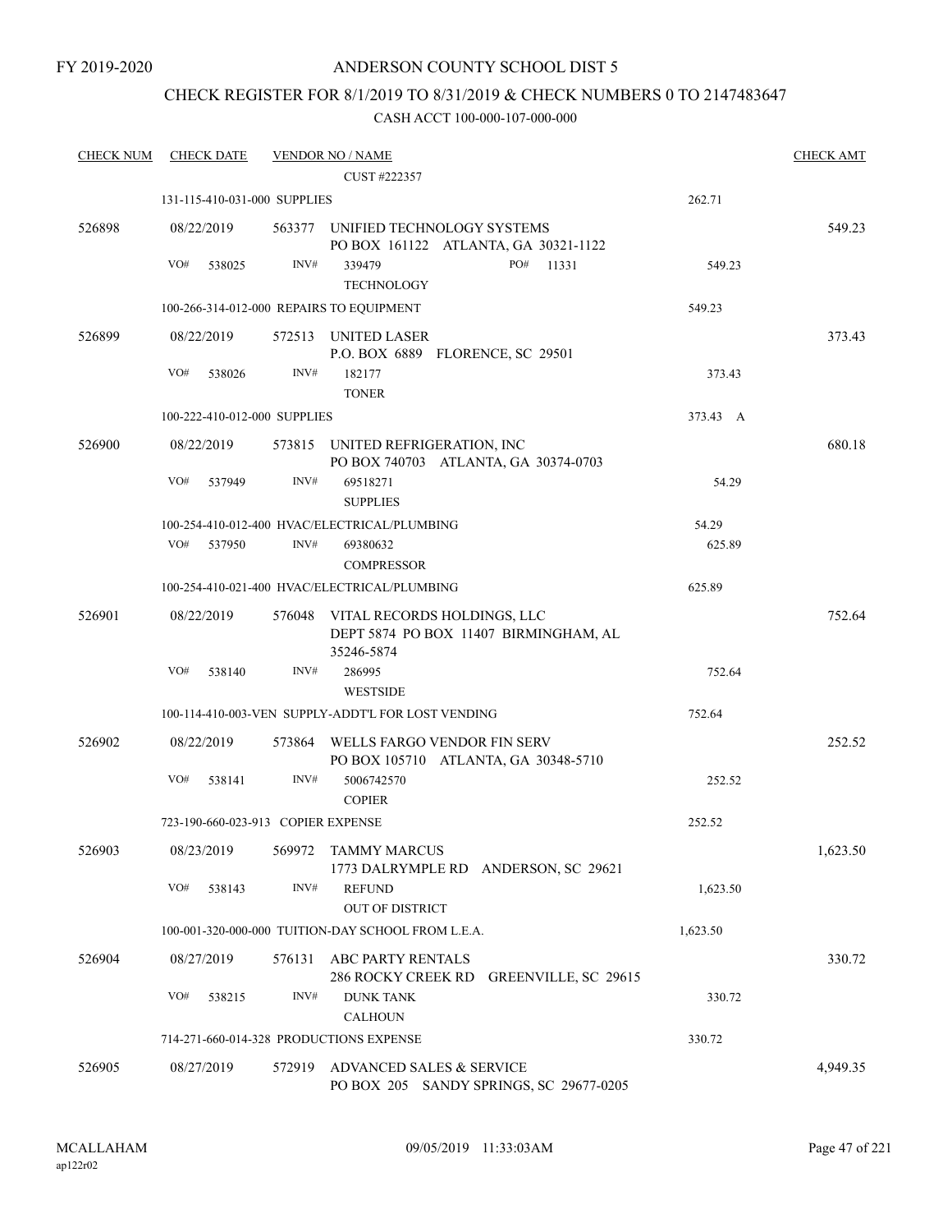FY 2019-2020

## ANDERSON COUNTY SCHOOL DIST 5

## CHECK REGISTER FOR 8/1/2019 TO 8/31/2019 & CHECK NUMBERS 0 TO 2147483647

| <b>CHECK NUM</b> | <b>CHECK DATE</b>                        |        | <b>VENDOR NO / NAME</b>                                                            |          | <b>CHECK AMT</b> |
|------------------|------------------------------------------|--------|------------------------------------------------------------------------------------|----------|------------------|
|                  |                                          |        | CUST #222357                                                                       |          |                  |
|                  | 131-115-410-031-000 SUPPLIES             |        |                                                                                    | 262.71   |                  |
| 526898           | 08/22/2019                               | 563377 | UNIFIED TECHNOLOGY SYSTEMS<br>PO BOX 161122 ATLANTA, GA 30321-1122                 |          | 549.23           |
|                  | VO#<br>538025                            | INV#   | PO#<br>339479<br>11331                                                             | 549.23   |                  |
|                  |                                          |        | <b>TECHNOLOGY</b>                                                                  |          |                  |
|                  | 100-266-314-012-000 REPAIRS TO EQUIPMENT |        |                                                                                    | 549.23   |                  |
| 526899           | 08/22/2019                               |        | 572513 UNITED LASER<br>P.O. BOX 6889 FLORENCE, SC 29501                            |          | 373.43           |
|                  | VO#<br>538026                            | INV#   | 182177<br><b>TONER</b>                                                             | 373.43   |                  |
|                  | 100-222-410-012-000 SUPPLIES             |        |                                                                                    | 373.43 A |                  |
| 526900           | 08/22/2019                               |        | 573815 UNITED REFRIGERATION, INC<br>PO BOX 740703 ATLANTA, GA 30374-0703           |          | 680.18           |
|                  | VO#<br>537949                            | INV#   | 69518271<br><b>SUPPLIES</b>                                                        | 54.29    |                  |
|                  |                                          |        | 100-254-410-012-400 HVAC/ELECTRICAL/PLUMBING                                       | 54.29    |                  |
|                  | VO#<br>537950                            | INV#   | 69380632<br><b>COMPRESSOR</b>                                                      | 625.89   |                  |
|                  |                                          |        | 100-254-410-021-400 HVAC/ELECTRICAL/PLUMBING                                       | 625.89   |                  |
| 526901           | 08/22/2019                               | 576048 | VITAL RECORDS HOLDINGS, LLC<br>DEPT 5874 PO BOX 11407 BIRMINGHAM, AL<br>35246-5874 |          | 752.64           |
|                  | VO#<br>538140                            | INV#   | 286995<br><b>WESTSIDE</b>                                                          | 752.64   |                  |
|                  |                                          |        | 100-114-410-003-VEN SUPPLY-ADDT'L FOR LOST VENDING                                 | 752.64   |                  |
| 526902           | 08/22/2019                               | 573864 | WELLS FARGO VENDOR FIN SERV<br>PO BOX 105710 ATLANTA, GA 30348-5710                |          | 252.52           |
|                  | VO#<br>538141                            | INV#   | 5006742570<br><b>COPIER</b>                                                        | 252.52   |                  |
|                  | 723-190-660-023-913 COPIER EXPENSE       |        |                                                                                    | 252.52   |                  |
| 526903           | 08/23/2019                               | 569972 | <b>TAMMY MARCUS</b><br>1773 DALRYMPLE RD ANDERSON, SC 29621                        |          | 1,623.50         |
|                  | VO#<br>538143                            | INV#   | <b>REFUND</b><br><b>OUT OF DISTRICT</b>                                            | 1,623.50 |                  |
|                  |                                          |        | 100-001-320-000-000 TUITION-DAY SCHOOL FROM L.E.A.                                 | 1,623.50 |                  |
| 526904           | 08/27/2019                               | 576131 | ABC PARTY RENTALS<br>286 ROCKY CREEK RD GREENVILLE, SC 29615                       |          | 330.72           |
|                  | VO#<br>538215                            | INV#   | <b>DUNK TANK</b><br><b>CALHOUN</b>                                                 | 330.72   |                  |
|                  | 714-271-660-014-328 PRODUCTIONS EXPENSE  |        |                                                                                    | 330.72   |                  |
|                  |                                          |        | ADVANCED SALES & SERVICE                                                           |          |                  |
| 526905           | 08/27/2019                               | 572919 | PO BOX 205 SANDY SPRINGS, SC 29677-0205                                            |          | 4,949.35         |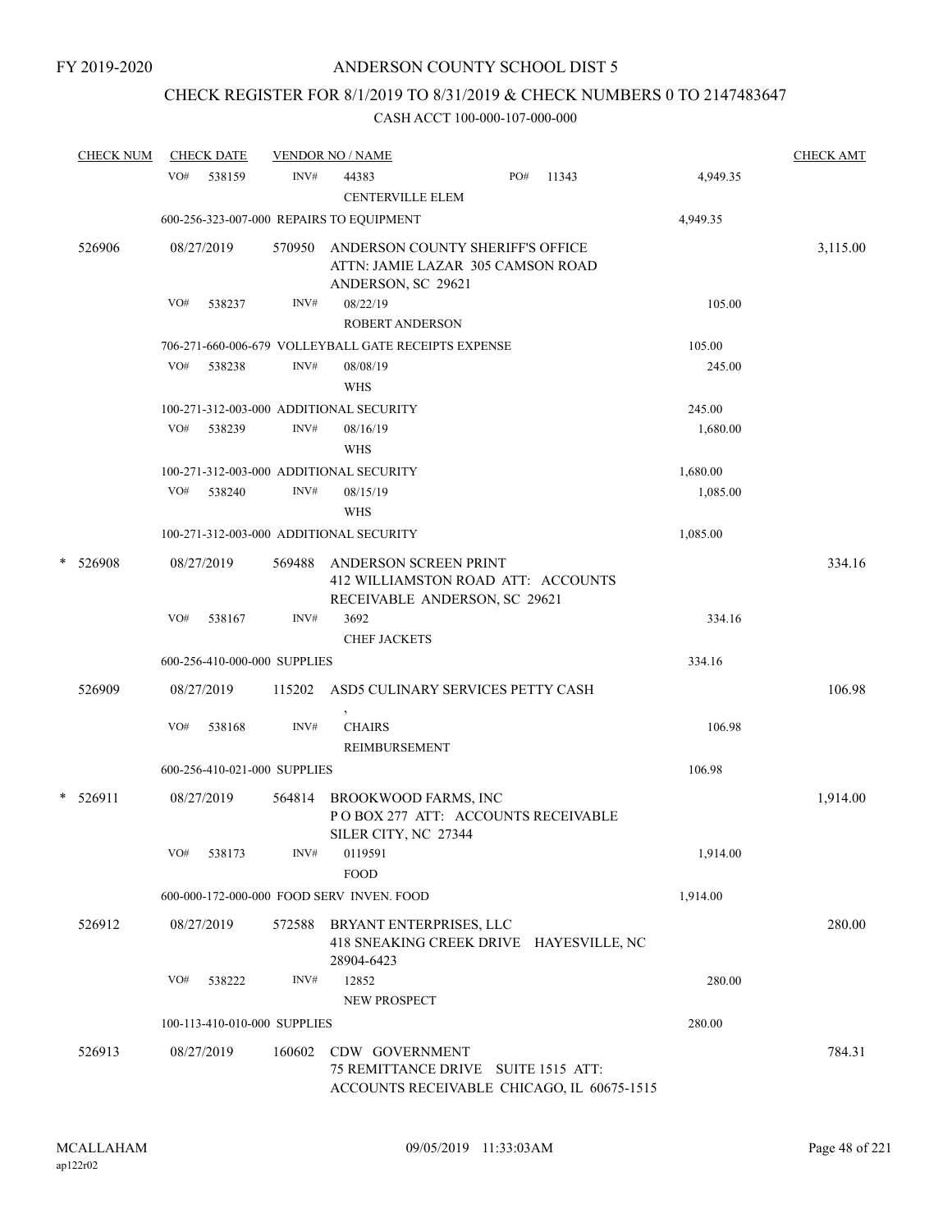## CHECK REGISTER FOR 8/1/2019 TO 8/31/2019 & CHECK NUMBERS 0 TO 2147483647

|   | <b>CHECK NUM</b> |     | <b>CHECK DATE</b>            |        | <b>VENDOR NO / NAME</b>                                |                                         |                                            |          | <b>CHECK AMT</b> |
|---|------------------|-----|------------------------------|--------|--------------------------------------------------------|-----------------------------------------|--------------------------------------------|----------|------------------|
|   |                  | VO# | 538159                       | INV#   | 44383<br><b>CENTERVILLE ELEM</b>                       | PO#                                     | 11343                                      | 4,949.35 |                  |
|   |                  |     |                              |        | 600-256-323-007-000 REPAIRS TO EQUIPMENT               |                                         |                                            | 4,949.35 |                  |
|   | 526906           |     | 08/27/2019                   | 570950 | ANDERSON COUNTY SHERIFF'S OFFICE<br>ANDERSON, SC 29621 | ATTN: JAMIE LAZAR 305 CAMSON ROAD       |                                            |          | 3,115.00         |
|   |                  | VO# | 538237                       | INV#   | 08/22/19<br><b>ROBERT ANDERSON</b>                     |                                         |                                            | 105.00   |                  |
|   |                  |     |                              |        | 706-271-660-006-679 VOLLEYBALL GATE RECEIPTS EXPENSE   |                                         |                                            | 105.00   |                  |
|   |                  | VO# | 538238                       | INV#   | 08/08/19<br>WHS                                        |                                         |                                            | 245.00   |                  |
|   |                  |     |                              |        | 100-271-312-003-000 ADDITIONAL SECURITY                |                                         |                                            | 245.00   |                  |
|   |                  | VO# | 538239                       | INV#   | 08/16/19<br><b>WHS</b>                                 |                                         |                                            | 1,680.00 |                  |
|   |                  |     |                              |        | 100-271-312-003-000 ADDITIONAL SECURITY                |                                         |                                            | 1,680.00 |                  |
|   |                  | VO# | 538240                       | INV#   | 08/15/19<br><b>WHS</b>                                 |                                         |                                            | 1,085.00 |                  |
|   |                  |     |                              |        | 100-271-312-003-000 ADDITIONAL SECURITY                |                                         |                                            | 1,085.00 |                  |
| * | 526908           |     | 08/27/2019                   | 569488 | ANDERSON SCREEN PRINT                                  | 412 WILLIAMSTON ROAD ATT: ACCOUNTS      |                                            |          | 334.16           |
|   |                  | VO# | 538167                       | INV#   | 3692<br><b>CHEF JACKETS</b>                            | RECEIVABLE ANDERSON, SC 29621           |                                            | 334.16   |                  |
|   |                  |     | 600-256-410-000-000 SUPPLIES |        |                                                        |                                         |                                            | 334.16   |                  |
|   | 526909           |     | 08/27/2019                   | 115202 |                                                        | ASD5 CULINARY SERVICES PETTY CASH       |                                            |          | 106.98           |
|   |                  | VO# | 538168                       | INV#   | $\,$<br><b>CHAIRS</b><br>REIMBURSEMENT                 |                                         |                                            | 106.98   |                  |
|   |                  |     | 600-256-410-021-000 SUPPLIES |        |                                                        |                                         |                                            | 106.98   |                  |
|   | $*$ 526911       |     | 08/27/2019                   | 564814 | BROOKWOOD FARMS, INC<br>SILER CITY, NC 27344           | PO BOX 277 ATT: ACCOUNTS RECEIVABLE     |                                            |          | 1,914.00         |
|   |                  | VO# | 538173                       | INV#   | 0119591<br><b>FOOD</b>                                 |                                         |                                            | 1,914.00 |                  |
|   |                  |     |                              |        | 600-000-172-000-000 FOOD SERV INVEN. FOOD              |                                         |                                            | 1,914.00 |                  |
|   | 526912           |     | 08/27/2019                   | 572588 | BRYANT ENTERPRISES, LLC<br>28904-6423                  | 418 SNEAKING CREEK DRIVE HAYESVILLE, NC |                                            |          | 280.00           |
|   |                  | VO# | 538222                       | INV#   | 12852<br><b>NEW PROSPECT</b>                           |                                         |                                            | 280.00   |                  |
|   |                  |     | 100-113-410-010-000 SUPPLIES |        |                                                        |                                         |                                            | 280.00   |                  |
|   | 526913           |     | 08/27/2019                   | 160602 | CDW GOVERNMENT                                         | 75 REMITTANCE DRIVE SUITE 1515 ATT:     | ACCOUNTS RECEIVABLE CHICAGO, IL 60675-1515 |          | 784.31           |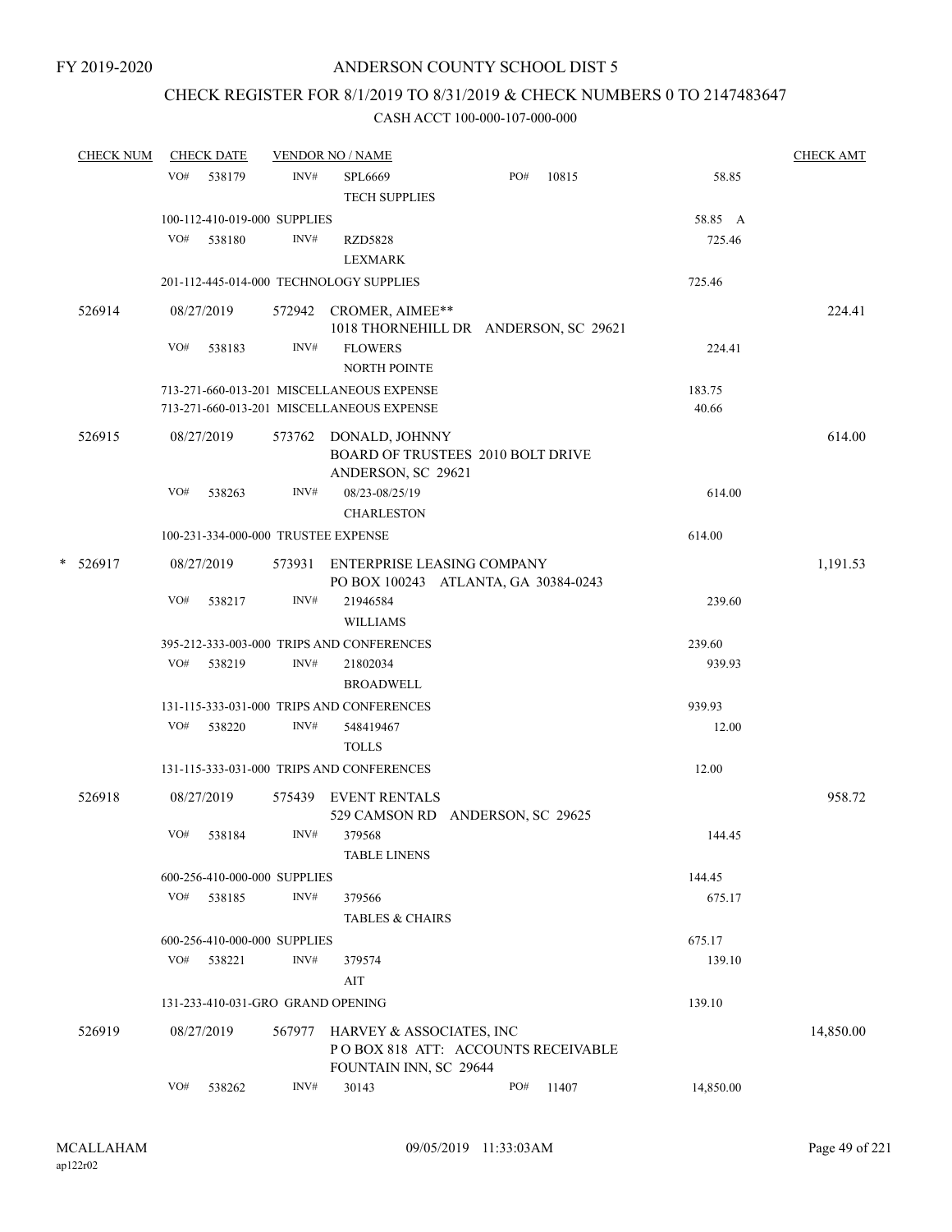## CHECK REGISTER FOR 8/1/2019 TO 8/31/2019 & CHECK NUMBERS 0 TO 2147483647

|        | <b>CHECK NUM</b> |     | <b>CHECK DATE</b> |                              | <b>VENDOR NO / NAME</b>                            |                                                                           |           | <b>CHECK AMT</b> |
|--------|------------------|-----|-------------------|------------------------------|----------------------------------------------------|---------------------------------------------------------------------------|-----------|------------------|
|        |                  | VO# | 538179            | INV#                         | <b>SPL6669</b><br><b>TECH SUPPLIES</b>             | PO#<br>10815                                                              | 58.85     |                  |
|        |                  |     |                   | 100-112-410-019-000 SUPPLIES |                                                    |                                                                           | 58.85 A   |                  |
|        |                  | VO# | 538180            | INV#                         | <b>RZD5828</b><br><b>LEXMARK</b>                   |                                                                           | 725.46    |                  |
|        |                  |     |                   |                              | 201-112-445-014-000 TECHNOLOGY SUPPLIES            |                                                                           | 725.46    |                  |
|        | 526914           |     | 08/27/2019        |                              | 572942 CROMER, AIMEE**                             | 1018 THORNEHILL DR ANDERSON, SC 29621                                     |           | 224.41           |
|        |                  | VO# | 538183            | INV#                         | <b>FLOWERS</b><br>NORTH POINTE                     |                                                                           | 224.41    |                  |
|        |                  |     |                   |                              | 713-271-660-013-201 MISCELLANEOUS EXPENSE          |                                                                           | 183.75    |                  |
|        |                  |     |                   |                              | 713-271-660-013-201 MISCELLANEOUS EXPENSE          |                                                                           | 40.66     |                  |
|        | 526915           |     | 08/27/2019        |                              | 573762 DONALD, JOHNNY<br>ANDERSON, SC 29621        | BOARD OF TRUSTEES 2010 BOLT DRIVE                                         |           | 614.00           |
|        |                  | VO# | 538263            | INV#                         | 08/23-08/25/19<br><b>CHARLESTON</b>                |                                                                           | 614.00    |                  |
|        |                  |     |                   |                              | 100-231-334-000-000 TRUSTEE EXPENSE                |                                                                           | 614.00    |                  |
| $\ast$ | 526917           |     | 08/27/2019        |                              |                                                    | 573931 ENTERPRISE LEASING COMPANY<br>PO BOX 100243 ATLANTA, GA 30384-0243 |           | 1,191.53         |
|        |                  | VO# | 538217            | INV#                         | 21946584<br><b>WILLIAMS</b>                        |                                                                           | 239.60    |                  |
|        |                  |     |                   |                              | 395-212-333-003-000 TRIPS AND CONFERENCES          |                                                                           | 239.60    |                  |
|        |                  | VO# | 538219            | INV#                         | 21802034<br><b>BROADWELL</b>                       |                                                                           | 939.93    |                  |
|        |                  |     |                   |                              | 131-115-333-031-000 TRIPS AND CONFERENCES          |                                                                           | 939.93    |                  |
|        |                  | VO# | 538220            | INV#                         | 548419467<br><b>TOLLS</b>                          |                                                                           | 12.00     |                  |
|        |                  |     |                   |                              | 131-115-333-031-000 TRIPS AND CONFERENCES          |                                                                           | 12.00     |                  |
|        | 526918           |     | 08/27/2019        | 575439                       | <b>EVENT RENTALS</b>                               | 529 CAMSON RD ANDERSON, SC 29625                                          |           | 958.72           |
|        |                  | VO# | 538184            | INV#                         | 379568<br><b>TABLE LINENS</b>                      |                                                                           | 144.45    |                  |
|        |                  |     |                   | 600-256-410-000-000 SUPPLIES |                                                    |                                                                           | 144.45    |                  |
|        |                  | VO# | 538185            | INV#                         | 379566<br><b>TABLES &amp; CHAIRS</b>               |                                                                           | 675.17    |                  |
|        |                  |     |                   | 600-256-410-000-000 SUPPLIES |                                                    |                                                                           | 675.17    |                  |
|        |                  | VO# | 538221            | INV#                         | 379574                                             |                                                                           | 139.10    |                  |
|        |                  |     |                   |                              | AIT                                                |                                                                           |           |                  |
|        |                  |     |                   |                              | 131-233-410-031-GRO GRAND OPENING                  |                                                                           | 139.10    |                  |
|        | 526919           |     | 08/27/2019        | 567977                       | HARVEY & ASSOCIATES, INC<br>FOUNTAIN INN, SC 29644 | PO BOX 818 ATT: ACCOUNTS RECEIVABLE                                       |           | 14,850.00        |
|        |                  | VO# | 538262            | INV#                         | 30143                                              | PO#<br>11407                                                              | 14,850.00 |                  |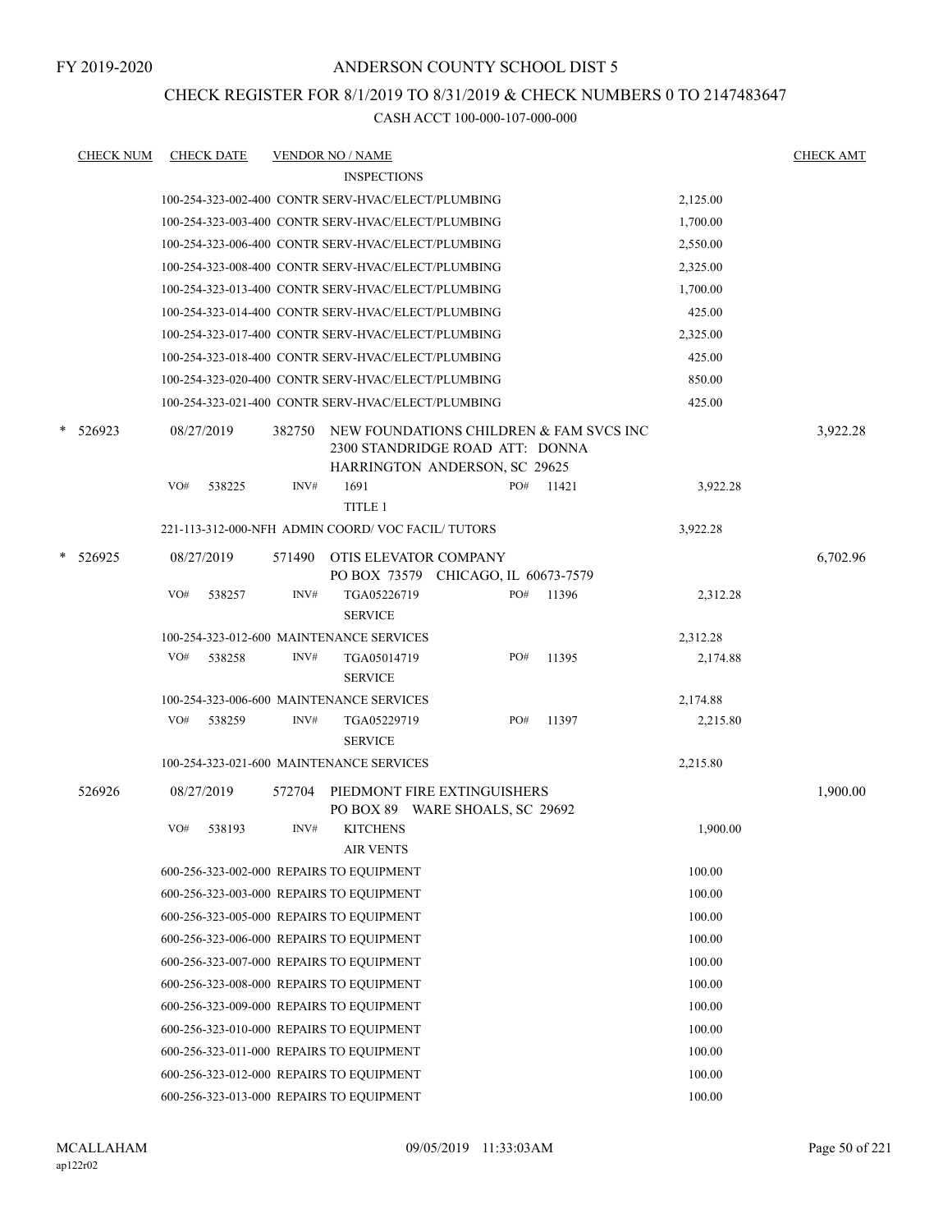CHECK REGISTER FOR 8/1/2019 TO 8/31/2019 & CHECK NUMBERS 0 TO 2147483647

|   | <b>CHECK NUM</b> |     | <b>CHECK DATE</b> |        | <b>VENDOR NO / NAME</b>                                                    |     |       |          | <b>CHECK AMT</b> |
|---|------------------|-----|-------------------|--------|----------------------------------------------------------------------------|-----|-------|----------|------------------|
|   |                  |     |                   |        | <b>INSPECTIONS</b>                                                         |     |       |          |                  |
|   |                  |     |                   |        | 100-254-323-002-400 CONTR SERV-HVAC/ELECT/PLUMBING                         |     |       | 2,125.00 |                  |
|   |                  |     |                   |        | 100-254-323-003-400 CONTR SERV-HVAC/ELECT/PLUMBING                         |     |       | 1,700.00 |                  |
|   |                  |     |                   |        | 100-254-323-006-400 CONTR SERV-HVAC/ELECT/PLUMBING                         |     |       | 2,550.00 |                  |
|   |                  |     |                   |        | 100-254-323-008-400 CONTR SERV-HVAC/ELECT/PLUMBING                         |     |       | 2,325.00 |                  |
|   |                  |     |                   |        | 100-254-323-013-400 CONTR SERV-HVAC/ELECT/PLUMBING                         |     |       | 1,700.00 |                  |
|   |                  |     |                   |        | 100-254-323-014-400 CONTR SERV-HVAC/ELECT/PLUMBING                         |     |       | 425.00   |                  |
|   |                  |     |                   |        | 100-254-323-017-400 CONTR SERV-HVAC/ELECT/PLUMBING                         |     |       | 2,325.00 |                  |
|   |                  |     |                   |        | 100-254-323-018-400 CONTR SERV-HVAC/ELECT/PLUMBING                         |     |       | 425.00   |                  |
|   |                  |     |                   |        | 100-254-323-020-400 CONTR SERV-HVAC/ELECT/PLUMBING                         |     |       | 850.00   |                  |
|   |                  |     |                   |        | 100-254-323-021-400 CONTR SERV-HVAC/ELECT/PLUMBING                         |     |       | 425.00   |                  |
| * | 526923           |     | 08/27/2019        | 382750 | NEW FOUNDATIONS CHILDREN & FAM SVCS INC<br>2300 STANDRIDGE ROAD ATT: DONNA |     |       |          | 3,922.28         |
|   |                  |     |                   |        | HARRINGTON ANDERSON, SC 29625                                              |     |       |          |                  |
|   |                  | VO# | 538225            | INV#   | 1691<br>TITLE 1                                                            | PO# | 11421 | 3,922.28 |                  |
|   |                  |     |                   |        | 221-113-312-000-NFH ADMIN COORD/VOC FACIL/TUTORS                           |     |       | 3,922.28 |                  |
|   |                  |     |                   |        |                                                                            |     |       |          |                  |
|   | * 526925         |     | 08/27/2019        | 571490 | OTIS ELEVATOR COMPANY<br>PO BOX 73579 CHICAGO, IL 60673-7579               |     |       |          | 6,702.96         |
|   |                  | VO# | 538257            | INV#   | TGA05226719<br><b>SERVICE</b>                                              | PO# | 11396 | 2,312.28 |                  |
|   |                  |     |                   |        | 100-254-323-012-600 MAINTENANCE SERVICES                                   |     |       | 2,312.28 |                  |
|   |                  | VO# | 538258            | INV#   | TGA05014719<br><b>SERVICE</b>                                              | PO# | 11395 | 2,174.88 |                  |
|   |                  |     |                   |        | 100-254-323-006-600 MAINTENANCE SERVICES                                   |     |       | 2,174.88 |                  |
|   |                  | VO# | 538259            | INV#   | TGA05229719<br><b>SERVICE</b>                                              | PO# | 11397 | 2,215.80 |                  |
|   |                  |     |                   |        | 100-254-323-021-600 MAINTENANCE SERVICES                                   |     |       | 2,215.80 |                  |
|   | 526926           |     | 08/27/2019        | 572704 | PIEDMONT FIRE EXTINGUISHERS<br>PO BOX 89 WARE SHOALS, SC 29692             |     |       |          | 1,900.00         |
|   |                  | VO# | 538193            | INV#   | <b>KITCHENS</b><br><b>AIR VENTS</b>                                        |     |       | 1,900.00 |                  |
|   |                  |     |                   |        | 600-256-323-002-000 REPAIRS TO EQUIPMENT                                   |     |       | 100.00   |                  |
|   |                  |     |                   |        | 600-256-323-003-000 REPAIRS TO EQUIPMENT                                   |     |       | 100.00   |                  |
|   |                  |     |                   |        | 600-256-323-005-000 REPAIRS TO EQUIPMENT                                   |     |       | 100.00   |                  |
|   |                  |     |                   |        | 600-256-323-006-000 REPAIRS TO EQUIPMENT                                   |     |       | 100.00   |                  |
|   |                  |     |                   |        | 600-256-323-007-000 REPAIRS TO EQUIPMENT                                   |     |       | 100.00   |                  |
|   |                  |     |                   |        | 600-256-323-008-000 REPAIRS TO EQUIPMENT                                   |     |       | 100.00   |                  |
|   |                  |     |                   |        | 600-256-323-009-000 REPAIRS TO EQUIPMENT                                   |     |       | 100.00   |                  |
|   |                  |     |                   |        | 600-256-323-010-000 REPAIRS TO EQUIPMENT                                   |     |       | 100.00   |                  |
|   |                  |     |                   |        | 600-256-323-011-000 REPAIRS TO EQUIPMENT                                   |     |       | 100.00   |                  |
|   |                  |     |                   |        | 600-256-323-012-000 REPAIRS TO EQUIPMENT                                   |     |       | 100.00   |                  |
|   |                  |     |                   |        | 600-256-323-013-000 REPAIRS TO EQUIPMENT                                   |     |       | 100.00   |                  |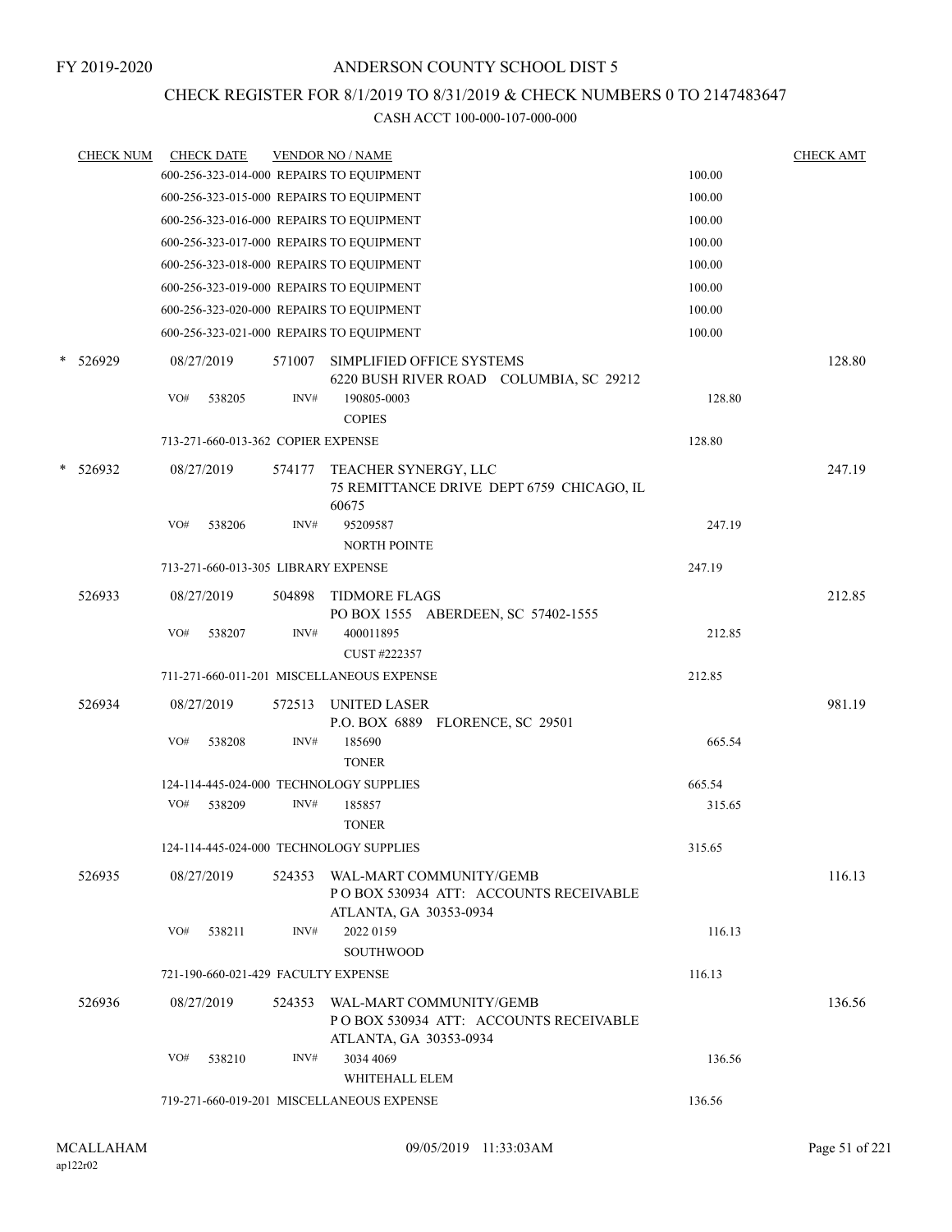## CHECK REGISTER FOR 8/1/2019 TO 8/31/2019 & CHECK NUMBERS 0 TO 2147483647

|   | <b>CHECK NUM</b> |     | <b>CHECK DATE</b>                   |        | <b>VENDOR NO / NAME</b>                                                                    |        | <b>CHECK AMT</b> |
|---|------------------|-----|-------------------------------------|--------|--------------------------------------------------------------------------------------------|--------|------------------|
|   |                  |     |                                     |        | 600-256-323-014-000 REPAIRS TO EQUIPMENT                                                   | 100.00 |                  |
|   |                  |     |                                     |        | 600-256-323-015-000 REPAIRS TO EQUIPMENT                                                   | 100.00 |                  |
|   |                  |     |                                     |        | 600-256-323-016-000 REPAIRS TO EQUIPMENT                                                   | 100.00 |                  |
|   |                  |     |                                     |        | 600-256-323-017-000 REPAIRS TO EQUIPMENT                                                   | 100.00 |                  |
|   |                  |     |                                     |        | 600-256-323-018-000 REPAIRS TO EQUIPMENT                                                   | 100.00 |                  |
|   |                  |     |                                     |        | 600-256-323-019-000 REPAIRS TO EQUIPMENT                                                   | 100.00 |                  |
|   |                  |     |                                     |        | 600-256-323-020-000 REPAIRS TO EQUIPMENT                                                   | 100.00 |                  |
|   |                  |     |                                     |        | 600-256-323-021-000 REPAIRS TO EQUIPMENT                                                   | 100.00 |                  |
| * | 526929           |     | 08/27/2019                          | 571007 | SIMPLIFIED OFFICE SYSTEMS<br>6220 BUSH RIVER ROAD COLUMBIA, SC 29212                       |        | 128.80           |
|   |                  | VO# | 538205                              | INV#   | 190805-0003<br><b>COPIES</b>                                                               | 128.80 |                  |
|   |                  |     | 713-271-660-013-362 COPIER EXPENSE  |        |                                                                                            | 128.80 |                  |
| * | 526932           |     | 08/27/2019                          | 574177 | TEACHER SYNERGY, LLC<br>75 REMITTANCE DRIVE DEPT 6759 CHICAGO, IL<br>60675                 |        | 247.19           |
|   |                  | VO# | 538206                              | INV#   | 95209587<br><b>NORTH POINTE</b>                                                            | 247.19 |                  |
|   |                  |     | 713-271-660-013-305 LIBRARY EXPENSE |        |                                                                                            | 247.19 |                  |
|   | 526933           |     | 08/27/2019                          | 504898 | <b>TIDMORE FLAGS</b><br>PO BOX 1555 ABERDEEN, SC 57402-1555                                |        | 212.85           |
|   |                  | VO# | 538207                              | INV#   | 400011895<br>CUST #222357                                                                  | 212.85 |                  |
|   |                  |     |                                     |        | 711-271-660-011-201 MISCELLANEOUS EXPENSE                                                  | 212.85 |                  |
|   | 526934           |     | 08/27/2019                          | 572513 | UNITED LASER<br>P.O. BOX 6889 FLORENCE, SC 29501                                           |        | 981.19           |
|   |                  | VO# | 538208                              | INV#   | 185690<br><b>TONER</b>                                                                     | 665.54 |                  |
|   |                  |     |                                     |        | 124-114-445-024-000 TECHNOLOGY SUPPLIES                                                    | 665.54 |                  |
|   |                  | VO# | 538209                              | INV#   | 185857<br><b>TONER</b>                                                                     | 315.65 |                  |
|   |                  |     |                                     |        | 124-114-445-024-000 TECHNOLOGY SUPPLIES                                                    | 315.65 |                  |
|   | 526935           |     | 08/27/2019                          | 524353 | WAL-MART COMMUNITY/GEMB<br>POBOX 530934 ATT: ACCOUNTS RECEIVABLE<br>ATLANTA, GA 30353-0934 |        | 116.13           |
|   |                  | VO# | 538211                              | INV#   | 2022 0159<br><b>SOUTHWOOD</b>                                                              | 116.13 |                  |
|   |                  |     | 721-190-660-021-429 FACULTY EXPENSE |        |                                                                                            | 116.13 |                  |
|   | 526936           |     | 08/27/2019                          | 524353 | WAL-MART COMMUNITY/GEMB<br>POBOX 530934 ATT: ACCOUNTS RECEIVABLE                           |        | 136.56           |
|   |                  | VO# | 538210                              | INV#   | ATLANTA, GA 30353-0934<br>3034 4069<br>WHITEHALL ELEM                                      | 136.56 |                  |
|   |                  |     |                                     |        | 719-271-660-019-201 MISCELLANEOUS EXPENSE                                                  | 136.56 |                  |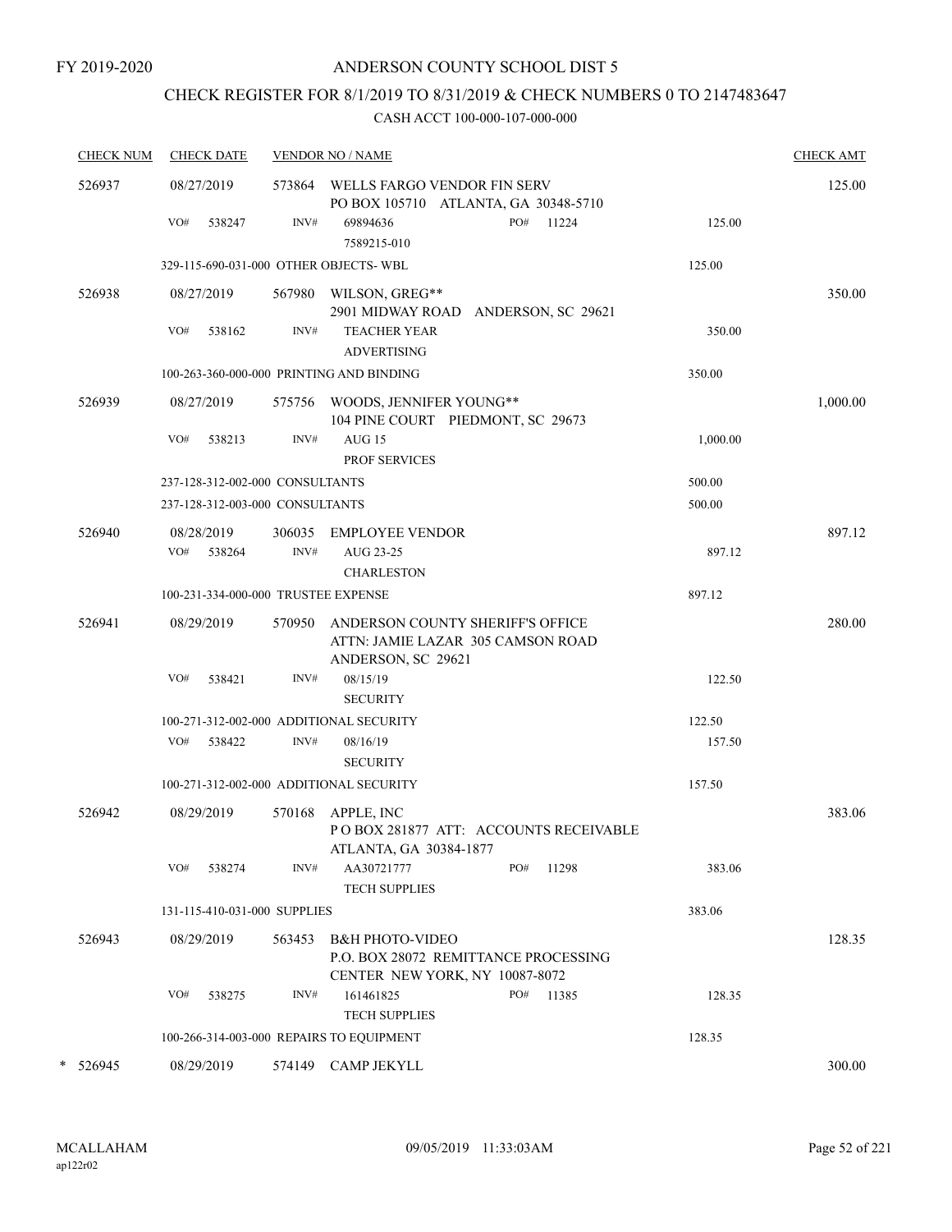### FY 2019-2020

## ANDERSON COUNTY SCHOOL DIST 5

## CHECK REGISTER FOR 8/1/2019 TO 8/31/2019 & CHECK NUMBERS 0 TO 2147483647

| <b>CHECK NUM</b> | <b>CHECK DATE</b>           |                |                                                                       |                                                                                                                                                                                                                                                                                                                                                                                                                                                                                                                                                                                                                                                                                                                                                | <b>CHECK AMT</b> |
|------------------|-----------------------------|----------------|-----------------------------------------------------------------------|------------------------------------------------------------------------------------------------------------------------------------------------------------------------------------------------------------------------------------------------------------------------------------------------------------------------------------------------------------------------------------------------------------------------------------------------------------------------------------------------------------------------------------------------------------------------------------------------------------------------------------------------------------------------------------------------------------------------------------------------|------------------|
| 526937           | 08/27/2019                  |                |                                                                       |                                                                                                                                                                                                                                                                                                                                                                                                                                                                                                                                                                                                                                                                                                                                                | 125.00           |
|                  | VO#<br>538247               | INV#           | PO# 11224<br>69894636<br>7589215-010                                  | 125.00                                                                                                                                                                                                                                                                                                                                                                                                                                                                                                                                                                                                                                                                                                                                         |                  |
|                  |                             |                |                                                                       | 125.00                                                                                                                                                                                                                                                                                                                                                                                                                                                                                                                                                                                                                                                                                                                                         |                  |
| 526938           | 08/27/2019                  |                |                                                                       |                                                                                                                                                                                                                                                                                                                                                                                                                                                                                                                                                                                                                                                                                                                                                | 350.00           |
|                  | VO#<br>538162               | INV#           | <b>TEACHER YEAR</b>                                                   | 350.00                                                                                                                                                                                                                                                                                                                                                                                                                                                                                                                                                                                                                                                                                                                                         |                  |
|                  |                             |                |                                                                       | 350.00                                                                                                                                                                                                                                                                                                                                                                                                                                                                                                                                                                                                                                                                                                                                         |                  |
| 526939           | 08/27/2019                  |                |                                                                       |                                                                                                                                                                                                                                                                                                                                                                                                                                                                                                                                                                                                                                                                                                                                                | 1,000.00         |
|                  | VO#<br>538213               | INV#           | <b>AUG 15</b><br><b>PROF SERVICES</b>                                 | 1,000.00                                                                                                                                                                                                                                                                                                                                                                                                                                                                                                                                                                                                                                                                                                                                       |                  |
|                  |                             |                |                                                                       | 500.00                                                                                                                                                                                                                                                                                                                                                                                                                                                                                                                                                                                                                                                                                                                                         |                  |
|                  |                             |                |                                                                       | 500.00                                                                                                                                                                                                                                                                                                                                                                                                                                                                                                                                                                                                                                                                                                                                         |                  |
| 526940           | 08/28/2019<br>VO#<br>538264 | 306035<br>INV# | <b>EMPLOYEE VENDOR</b><br>AUG 23-25                                   | 897.12                                                                                                                                                                                                                                                                                                                                                                                                                                                                                                                                                                                                                                                                                                                                         | 897.12           |
|                  |                             |                | <b>CHARLESTON</b>                                                     |                                                                                                                                                                                                                                                                                                                                                                                                                                                                                                                                                                                                                                                                                                                                                |                  |
|                  |                             |                |                                                                       |                                                                                                                                                                                                                                                                                                                                                                                                                                                                                                                                                                                                                                                                                                                                                |                  |
| 526941           | 08/29/2019                  | 570950         | ANDERSON COUNTY SHERIFF'S OFFICE<br>ATTN: JAMIE LAZAR 305 CAMSON ROAD |                                                                                                                                                                                                                                                                                                                                                                                                                                                                                                                                                                                                                                                                                                                                                | 280.00           |
|                  | VO#<br>538421               | INV#           | 08/15/19<br><b>SECURITY</b>                                           | 122.50                                                                                                                                                                                                                                                                                                                                                                                                                                                                                                                                                                                                                                                                                                                                         |                  |
|                  |                             |                |                                                                       | 122.50                                                                                                                                                                                                                                                                                                                                                                                                                                                                                                                                                                                                                                                                                                                                         |                  |
|                  | VO#<br>538422               | INV#           | 08/16/19<br><b>SECURITY</b>                                           | 157.50                                                                                                                                                                                                                                                                                                                                                                                                                                                                                                                                                                                                                                                                                                                                         |                  |
|                  |                             |                |                                                                       | 157.50                                                                                                                                                                                                                                                                                                                                                                                                                                                                                                                                                                                                                                                                                                                                         |                  |
| 526942           | 08/29/2019                  | 570168         | APPLE, INC<br>PO BOX 281877 ATT: ACCOUNTS RECEIVABLE                  |                                                                                                                                                                                                                                                                                                                                                                                                                                                                                                                                                                                                                                                                                                                                                | 383.06           |
|                  | VO#<br>538274               | INV#           | AA30721777<br>PO#<br>11298<br><b>TECH SUPPLIES</b>                    | 383.06                                                                                                                                                                                                                                                                                                                                                                                                                                                                                                                                                                                                                                                                                                                                         |                  |
|                  |                             |                |                                                                       | 383.06                                                                                                                                                                                                                                                                                                                                                                                                                                                                                                                                                                                                                                                                                                                                         |                  |
| 526943           | 08/29/2019                  | 563453         | <b>B&amp;H PHOTO-VIDEO</b><br>P.O. BOX 28072 REMITTANCE PROCESSING    |                                                                                                                                                                                                                                                                                                                                                                                                                                                                                                                                                                                                                                                                                                                                                | 128.35           |
|                  | VO#<br>538275               | INV#           | 161461825<br>PO#<br>11385<br><b>TECH SUPPLIES</b>                     | 128.35                                                                                                                                                                                                                                                                                                                                                                                                                                                                                                                                                                                                                                                                                                                                         |                  |
|                  |                             |                |                                                                       | 128.35                                                                                                                                                                                                                                                                                                                                                                                                                                                                                                                                                                                                                                                                                                                                         |                  |
| * 526945         | 08/29/2019                  |                |                                                                       |                                                                                                                                                                                                                                                                                                                                                                                                                                                                                                                                                                                                                                                                                                                                                | 300.00           |
|                  |                             |                |                                                                       | <b>VENDOR NO / NAME</b><br>573864 WELLS FARGO VENDOR FIN SERV<br>PO BOX 105710 ATLANTA, GA 30348-5710<br>329-115-690-031-000 OTHER OBJECTS-WBL<br>567980 WILSON, GREG**<br>2901 MIDWAY ROAD ANDERSON, SC 29621<br><b>ADVERTISING</b><br>100-263-360-000-000 PRINTING AND BINDING<br>575756 WOODS, JENNIFER YOUNG**<br>104 PINE COURT PIEDMONT, SC 29673<br>237-128-312-002-000 CONSULTANTS<br>237-128-312-003-000 CONSULTANTS<br>100-231-334-000-000 TRUSTEE EXPENSE<br>ANDERSON, SC 29621<br>100-271-312-002-000 ADDITIONAL SECURITY<br>100-271-312-002-000 ADDITIONAL SECURITY<br>ATLANTA, GA 30384-1877<br>131-115-410-031-000 SUPPLIES<br>CENTER NEW YORK, NY 10087-8072<br>100-266-314-003-000 REPAIRS TO EQUIPMENT<br>574149 CAMP JEKYLL | 897.12           |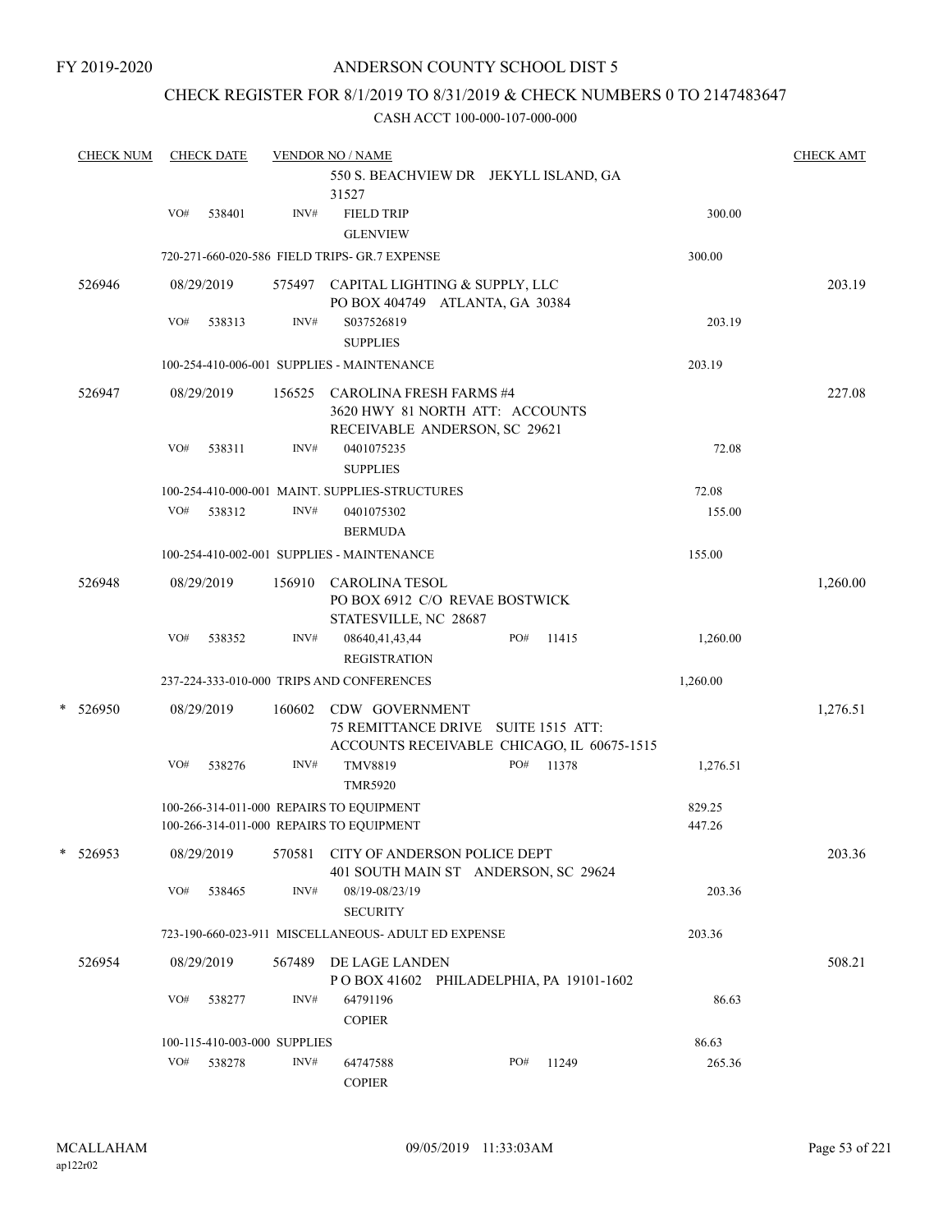### CHECK REGISTER FOR 8/1/2019 TO 8/31/2019 & CHECK NUMBERS 0 TO 2147483647

|   | <b>CHECK NUM</b> |     | <b>CHECK DATE</b>            |        | <b>VENDOR NO / NAME</b>                                                                             |     |       |                  | <b>CHECK AMT</b> |
|---|------------------|-----|------------------------------|--------|-----------------------------------------------------------------------------------------------------|-----|-------|------------------|------------------|
|   |                  |     |                              |        | 550 S. BEACHVIEW DR JEKYLL ISLAND, GA<br>31527                                                      |     |       |                  |                  |
|   |                  | VO# | 538401                       | INV#   | <b>FIELD TRIP</b><br><b>GLENVIEW</b>                                                                |     |       | 300.00           |                  |
|   |                  |     |                              |        | 720-271-660-020-586 FIELD TRIPS- GR.7 EXPENSE                                                       |     |       | 300.00           |                  |
|   | 526946           |     | 08/29/2019                   | 575497 | CAPITAL LIGHTING & SUPPLY, LLC<br>PO BOX 404749 ATLANTA, GA 30384                                   |     |       |                  | 203.19           |
|   |                  | VO# | 538313                       | INV#   | S037526819<br><b>SUPPLIES</b>                                                                       |     |       | 203.19           |                  |
|   |                  |     |                              |        | 100-254-410-006-001 SUPPLIES - MAINTENANCE                                                          |     |       | 203.19           |                  |
|   | 526947           |     | 08/29/2019                   | 156525 | <b>CAROLINA FRESH FARMS #4</b><br>3620 HWY 81 NORTH ATT: ACCOUNTS<br>RECEIVABLE ANDERSON, SC 29621  |     |       |                  | 227.08           |
|   |                  | VO# | 538311                       | INV#   | 0401075235<br><b>SUPPLIES</b>                                                                       |     |       | 72.08            |                  |
|   |                  |     |                              |        | 100-254-410-000-001 MAINT. SUPPLIES-STRUCTURES                                                      |     |       | 72.08            |                  |
|   |                  | VO# | 538312                       | INV#   | 0401075302<br><b>BERMUDA</b>                                                                        |     |       | 155.00           |                  |
|   |                  |     |                              |        | 100-254-410-002-001 SUPPLIES - MAINTENANCE                                                          |     |       | 155.00           |                  |
|   | 526948           |     | 08/29/2019                   | 156910 | <b>CAROLINA TESOL</b><br>PO BOX 6912 C/O REVAE BOSTWICK<br>STATESVILLE, NC 28687                    |     |       |                  | 1,260.00         |
|   |                  | VO# | 538352                       | INV#   | 08640,41,43,44<br><b>REGISTRATION</b>                                                               | PO# | 11415 | 1,260.00         |                  |
|   |                  |     |                              |        | 237-224-333-010-000 TRIPS AND CONFERENCES                                                           |     |       | 1,260.00         |                  |
| * | 526950           |     | 08/29/2019                   | 160602 | CDW GOVERNMENT<br>75 REMITTANCE DRIVE SUITE 1515 ATT:<br>ACCOUNTS RECEIVABLE CHICAGO, IL 60675-1515 |     |       |                  | 1,276.51         |
|   |                  | VO# | 538276                       | INV#   | TMV8819<br><b>TMR5920</b>                                                                           | PO# | 11378 | 1,276.51         |                  |
|   |                  |     |                              |        | 100-266-314-011-000 REPAIRS TO EQUIPMENT<br>100-266-314-011-000 REPAIRS TO EQUIPMENT                |     |       | 829.25<br>447.26 |                  |
| * | 526953           |     | 08/29/2019                   | 570581 | CITY OF ANDERSON POLICE DEPT<br>401 SOUTH MAIN ST ANDERSON, SC 29624                                |     |       |                  | 203.36           |
|   |                  | VO# | 538465                       | INV#   | 08/19-08/23/19<br><b>SECURITY</b>                                                                   |     |       | 203.36           |                  |
|   |                  |     |                              |        | 723-190-660-023-911 MISCELLANEOUS- ADULT ED EXPENSE                                                 |     |       | 203.36           |                  |
|   | 526954           |     | 08/29/2019                   | 567489 | DE LAGE LANDEN<br>POBOX 41602 PHILADELPHIA, PA 19101-1602                                           |     |       |                  | 508.21           |
|   |                  | VO# | 538277                       | INV#   | 64791196<br><b>COPIER</b>                                                                           |     |       | 86.63            |                  |
|   |                  |     | 100-115-410-003-000 SUPPLIES |        |                                                                                                     |     |       | 86.63            |                  |
|   |                  | VO# | 538278                       | INV#   | 64747588<br><b>COPIER</b>                                                                           | PO# | 11249 | 265.36           |                  |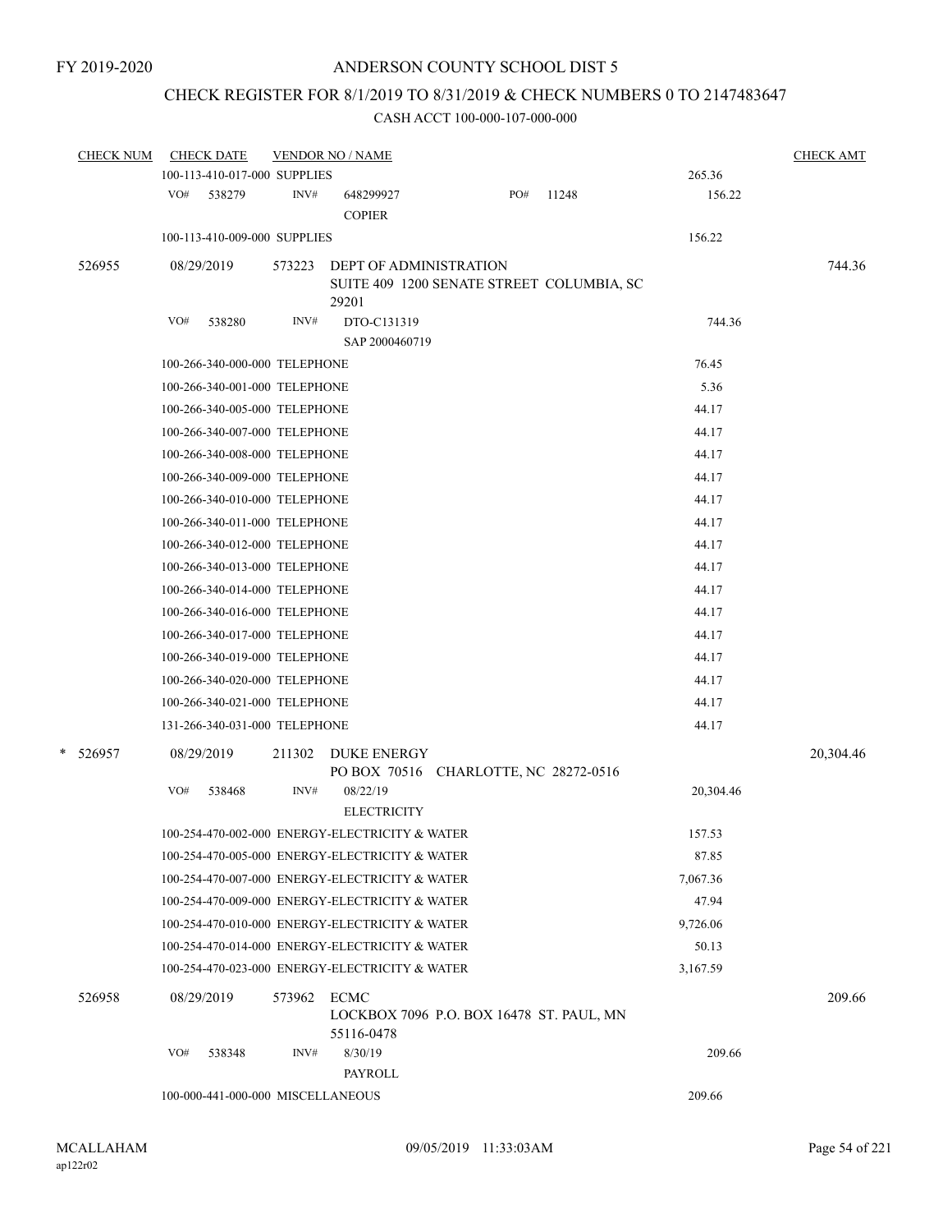## CHECK REGISTER FOR 8/1/2019 TO 8/31/2019 & CHECK NUMBERS 0 TO 2147483647

| <b>CHECK NUM</b> | <b>CHECK DATE</b>                 |        | <b>VENDOR NO / NAME</b>                                                             |       |       |           | <b>CHECK AMT</b> |
|------------------|-----------------------------------|--------|-------------------------------------------------------------------------------------|-------|-------|-----------|------------------|
|                  | 100-113-410-017-000 SUPPLIES      |        |                                                                                     |       |       | 265.36    |                  |
|                  | VO# 538279                        | INV#   | 648299927<br><b>COPIER</b>                                                          | $PO#$ | 11248 | 156.22    |                  |
|                  | 100-113-410-009-000 SUPPLIES      |        |                                                                                     |       |       | 156.22    |                  |
| 526955           | 08/29/2019                        | 573223 | <b>DEPT OF ADMINISTRATION</b><br>SUITE 409 1200 SENATE STREET COLUMBIA, SC<br>29201 |       |       |           | 744.36           |
|                  | VO#<br>538280                     | INV#   | DTO-C131319<br>SAP 2000460719                                                       |       |       | 744.36    |                  |
|                  | 100-266-340-000-000 TELEPHONE     |        |                                                                                     |       |       | 76.45     |                  |
|                  | 100-266-340-001-000 TELEPHONE     |        |                                                                                     |       |       | 5.36      |                  |
|                  | 100-266-340-005-000 TELEPHONE     |        |                                                                                     |       |       | 44.17     |                  |
|                  | 100-266-340-007-000 TELEPHONE     |        |                                                                                     |       |       | 44.17     |                  |
|                  | 100-266-340-008-000 TELEPHONE     |        |                                                                                     |       |       | 44.17     |                  |
|                  | 100-266-340-009-000 TELEPHONE     |        |                                                                                     |       |       | 44.17     |                  |
|                  | 100-266-340-010-000 TELEPHONE     |        |                                                                                     |       |       | 44.17     |                  |
|                  | 100-266-340-011-000 TELEPHONE     |        |                                                                                     |       |       | 44.17     |                  |
|                  | 100-266-340-012-000 TELEPHONE     |        |                                                                                     |       |       | 44.17     |                  |
|                  | 100-266-340-013-000 TELEPHONE     |        |                                                                                     |       |       | 44.17     |                  |
|                  | 100-266-340-014-000 TELEPHONE     |        |                                                                                     |       |       | 44.17     |                  |
|                  | 100-266-340-016-000 TELEPHONE     |        |                                                                                     |       |       | 44.17     |                  |
|                  | 100-266-340-017-000 TELEPHONE     |        |                                                                                     |       |       | 44.17     |                  |
|                  | 100-266-340-019-000 TELEPHONE     |        |                                                                                     |       |       | 44.17     |                  |
|                  | 100-266-340-020-000 TELEPHONE     |        |                                                                                     |       |       | 44.17     |                  |
|                  | 100-266-340-021-000 TELEPHONE     |        |                                                                                     |       |       | 44.17     |                  |
|                  | 131-266-340-031-000 TELEPHONE     |        |                                                                                     |       |       | 44.17     |                  |
| * 526957         | 08/29/2019                        | 211302 | <b>DUKE ENERGY</b><br>PO BOX 70516 CHARLOTTE, NC 28272-0516                         |       |       |           | 20,304.46        |
|                  | VO#<br>538468                     | INV#   | 08/22/19<br><b>ELECTRICITY</b>                                                      |       |       | 20,304.46 |                  |
|                  |                                   |        | 100-254-470-002-000 ENERGY-ELECTRICITY & WATER                                      |       |       | 157.53    |                  |
|                  |                                   |        | 100-254-470-005-000 ENERGY-ELECTRICITY & WATER                                      |       |       | 87.85     |                  |
|                  |                                   |        | 100-254-470-007-000 ENERGY-ELECTRICITY & WATER                                      |       |       | 7,067.36  |                  |
|                  |                                   |        | 100-254-470-009-000 ENERGY-ELECTRICITY & WATER                                      |       |       | 47.94     |                  |
|                  |                                   |        | 100-254-470-010-000 ENERGY-ELECTRICITY & WATER                                      |       |       | 9,726.06  |                  |
|                  |                                   |        | 100-254-470-014-000 ENERGY-ELECTRICITY & WATER                                      |       |       | 50.13     |                  |
|                  |                                   |        | 100-254-470-023-000 ENERGY-ELECTRICITY & WATER                                      |       |       | 3,167.59  |                  |
| 526958           | 08/29/2019                        | 573962 | ECMC<br>LOCKBOX 7096 P.O. BOX 16478 ST. PAUL, MN<br>55116-0478                      |       |       |           | 209.66           |
|                  | VO#<br>538348                     | INV#   | 8/30/19                                                                             |       |       | 209.66    |                  |
|                  |                                   |        | PAYROLL                                                                             |       |       |           |                  |
|                  | 100-000-441-000-000 MISCELLANEOUS |        |                                                                                     |       |       | 209.66    |                  |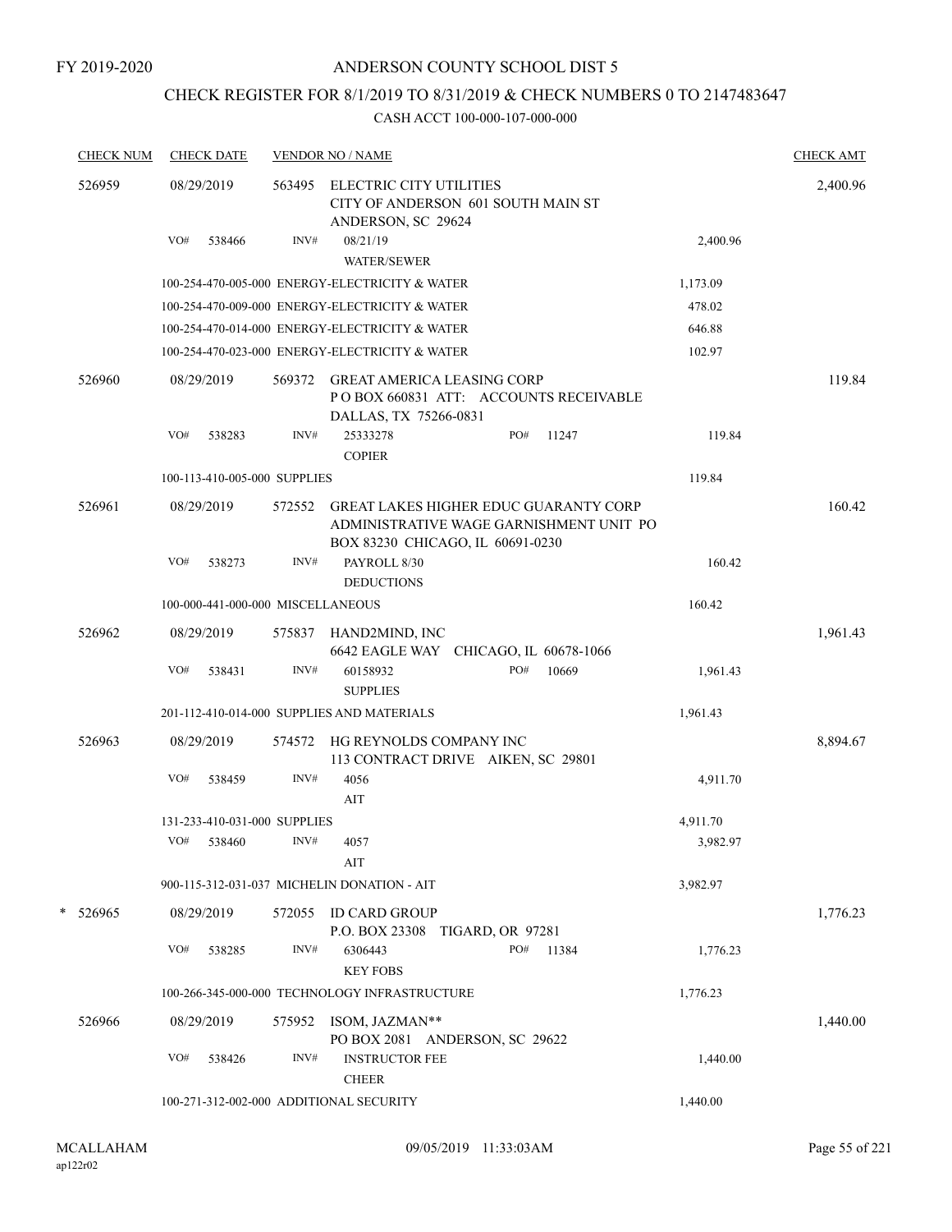### FY 2019-2020

## ANDERSON COUNTY SCHOOL DIST 5

## CHECK REGISTER FOR 8/1/2019 TO 8/31/2019 & CHECK NUMBERS 0 TO 2147483647

| <b>CHECK NUM</b> | <b>CHECK DATE</b>                       |        | <b>VENDOR NO / NAME</b>                                                                                                     |     |       |          | <b>CHECK AMT</b> |
|------------------|-----------------------------------------|--------|-----------------------------------------------------------------------------------------------------------------------------|-----|-------|----------|------------------|
| 526959           | 08/29/2019                              | 563495 | ELECTRIC CITY UTILITIES<br>CITY OF ANDERSON 601 SOUTH MAIN ST<br>ANDERSON, SC 29624                                         |     |       |          | 2,400.96         |
|                  | VO#<br>538466                           | INV#   | 08/21/19<br><b>WATER/SEWER</b>                                                                                              |     |       | 2,400.96 |                  |
|                  |                                         |        | 100-254-470-005-000 ENERGY-ELECTRICITY & WATER                                                                              |     |       | 1,173.09 |                  |
|                  |                                         |        | 100-254-470-009-000 ENERGY-ELECTRICITY & WATER                                                                              |     |       | 478.02   |                  |
|                  |                                         |        | 100-254-470-014-000 ENERGY-ELECTRICITY & WATER                                                                              |     |       | 646.88   |                  |
|                  |                                         |        | 100-254-470-023-000 ENERGY-ELECTRICITY & WATER                                                                              |     |       | 102.97   |                  |
| 526960           | 08/29/2019                              | 569372 | <b>GREAT AMERICA LEASING CORP</b><br>POBOX 660831 ATT: ACCOUNTS RECEIVABLE<br>DALLAS, TX 75266-0831                         |     |       |          | 119.84           |
|                  | VO#<br>538283                           | INV#   | 25333278<br><b>COPIER</b>                                                                                                   | PO# | 11247 | 119.84   |                  |
|                  | 100-113-410-005-000 SUPPLIES            |        |                                                                                                                             |     |       | 119.84   |                  |
| 526961           | 08/29/2019                              | 572552 | <b>GREAT LAKES HIGHER EDUC GUARANTY CORP</b><br>ADMINISTRATIVE WAGE GARNISHMENT UNIT PO<br>BOX 83230 CHICAGO, IL 60691-0230 |     |       |          | 160.42           |
|                  | VO#<br>538273                           | INV#   | PAYROLL 8/30<br><b>DEDUCTIONS</b>                                                                                           |     |       | 160.42   |                  |
|                  | 100-000-441-000-000 MISCELLANEOUS       |        |                                                                                                                             |     |       | 160.42   |                  |
| 526962           | 08/29/2019                              | 575837 | HAND2MIND, INC<br>6642 EAGLE WAY CHICAGO, IL 60678-1066                                                                     |     |       |          | 1,961.43         |
|                  | VO#<br>538431                           | INV#   | 60158932<br><b>SUPPLIES</b>                                                                                                 | PO# | 10669 | 1,961.43 |                  |
|                  |                                         |        | 201-112-410-014-000 SUPPLIES AND MATERIALS                                                                                  |     |       | 1,961.43 |                  |
| 526963           | 08/29/2019                              | 574572 | HG REYNOLDS COMPANY INC<br>113 CONTRACT DRIVE AIKEN, SC 29801                                                               |     |       |          | 8,894.67         |
|                  | VO#<br>538459                           | INV#   | 4056<br>AIT                                                                                                                 |     |       | 4,911.70 |                  |
|                  | 131-233-410-031-000 SUPPLIES            |        |                                                                                                                             |     |       | 4,911.70 |                  |
|                  | VO#<br>538460                           | INV#   | 4057<br>AIT                                                                                                                 |     |       | 3,982.97 |                  |
|                  |                                         |        | 900-115-312-031-037 MICHELIN DONATION - AIT                                                                                 |     |       | 3,982.97 |                  |
| * 526965         | 08/29/2019                              |        | 572055 ID CARD GROUP<br>P.O. BOX 23308 TIGARD, OR 97281                                                                     |     |       |          | 1,776.23         |
|                  | VO#<br>538285                           | INV#   | 6306443<br><b>KEY FOBS</b>                                                                                                  | PO# | 11384 | 1,776.23 |                  |
|                  |                                         |        | 100-266-345-000-000 TECHNOLOGY INFRASTRUCTURE                                                                               |     |       | 1,776.23 |                  |
| 526966           | 08/29/2019                              |        | 575952 ISOM, JAZMAN**<br>PO BOX 2081 ANDERSON, SC 29622                                                                     |     |       |          | 1,440.00         |
|                  | VO#<br>538426                           | INV#   | <b>INSTRUCTOR FEE</b><br><b>CHEER</b>                                                                                       |     |       | 1,440.00 |                  |
|                  | 100-271-312-002-000 ADDITIONAL SECURITY |        |                                                                                                                             |     |       | 1,440.00 |                  |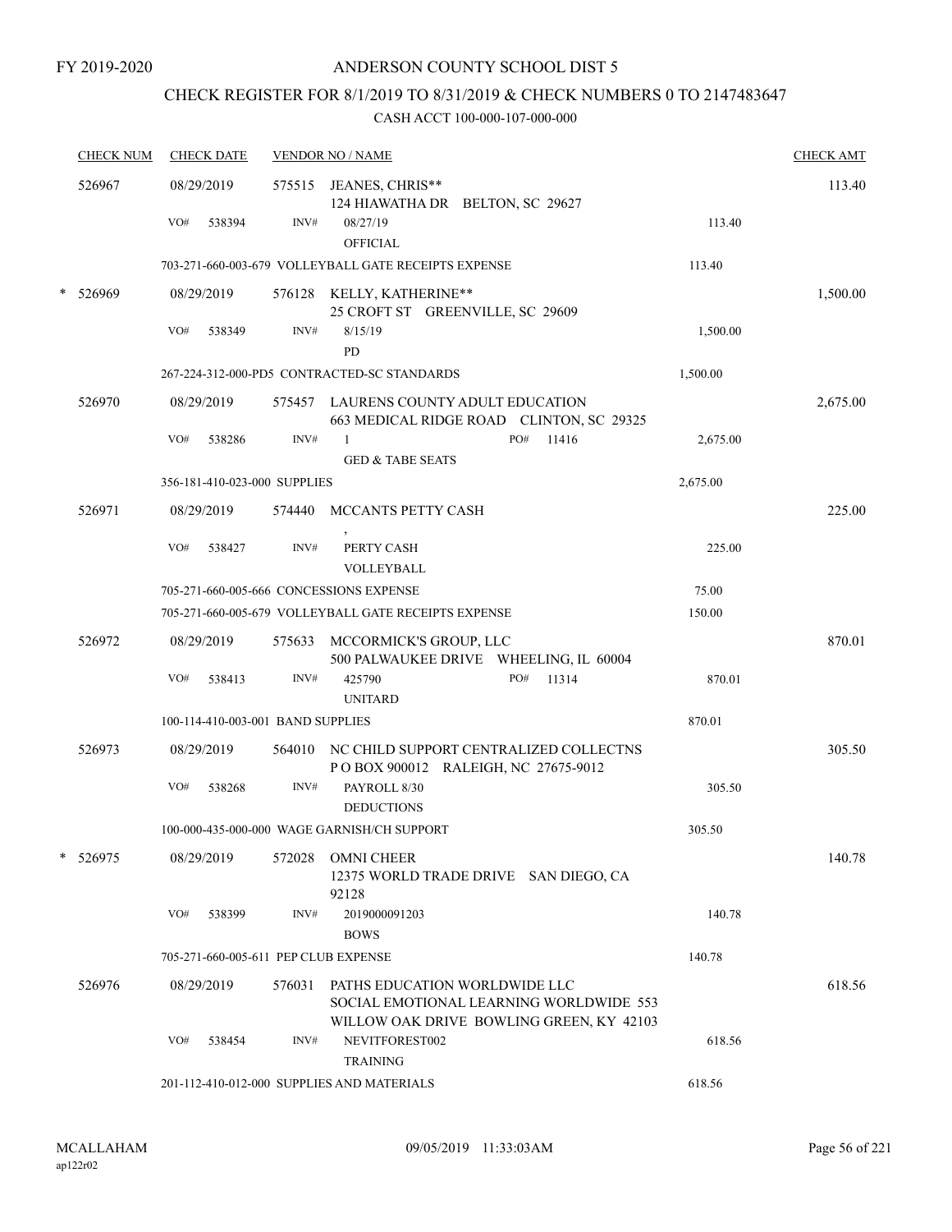## CHECK REGISTER FOR 8/1/2019 TO 8/31/2019 & CHECK NUMBERS 0 TO 2147483647

|   | <b>CHECK NUM</b> | <b>CHECK DATE</b>                       |        | <b>VENDOR NO / NAME</b>                                                                   |          | <b>CHECK AMT</b> |
|---|------------------|-----------------------------------------|--------|-------------------------------------------------------------------------------------------|----------|------------------|
|   | 526967           | 08/29/2019<br>VO#<br>538394             | INV#   | 575515 JEANES, CHRIS**<br>124 HIAWATHA DR BELTON, SC 29627<br>08/27/19<br><b>OFFICIAL</b> | 113.40   | 113.40           |
|   |                  |                                         |        | 703-271-660-003-679 VOLLEYBALL GATE RECEIPTS EXPENSE                                      | 113.40   |                  |
|   | 526969           | 08/29/2019                              |        | 576128 KELLY, KATHERINE**<br>25 CROFT ST GREENVILLE, SC 29609                             |          | 1,500.00         |
|   |                  | VO#<br>538349                           | INV#   | 8/15/19<br>PD                                                                             | 1,500.00 |                  |
|   |                  |                                         |        | 267-224-312-000-PD5 CONTRACTED-SC STANDARDS                                               | 1,500.00 |                  |
|   | 526970           | 08/29/2019                              |        | 575457 LAURENS COUNTY ADULT EDUCATION<br>663 MEDICAL RIDGE ROAD CLINTON, SC 29325         |          | 2,675.00         |
|   |                  | VO#<br>538286                           | INV#   | PO#<br>$\mathbf{1}$<br>11416<br><b>GED &amp; TABE SEATS</b>                               | 2,675.00 |                  |
|   |                  | 356-181-410-023-000 SUPPLIES            |        |                                                                                           | 2,675.00 |                  |
|   | 526971           | 08/29/2019                              | 574440 | MCCANTS PETTY CASH                                                                        |          | 225.00           |
|   |                  | VO#<br>538427                           | INV#   | PERTY CASH<br>VOLLEYBALL                                                                  | 225.00   |                  |
|   |                  | 705-271-660-005-666 CONCESSIONS EXPENSE |        |                                                                                           | 75.00    |                  |
|   |                  |                                         |        | 705-271-660-005-679 VOLLEYBALL GATE RECEIPTS EXPENSE                                      | 150.00   |                  |
|   | 526972           | 08/29/2019                              |        | 575633 MCCORMICK'S GROUP, LLC<br>500 PALWAUKEE DRIVE WHEELING, IL 60004                   |          | 870.01           |
|   |                  | VO#<br>538413                           | INV#   | PO#<br>425790<br>11314<br><b>UNITARD</b>                                                  | 870.01   |                  |
|   |                  | 100-114-410-003-001 BAND SUPPLIES       |        |                                                                                           | 870.01   |                  |
|   | 526973           | 08/29/2019                              |        | 564010 NC CHILD SUPPORT CENTRALIZED COLLECTNS<br>POBOX 900012 RALEIGH, NC 27675-9012      |          | 305.50           |
|   |                  | VO#<br>538268                           | INV#   | PAYROLL 8/30<br><b>DEDUCTIONS</b>                                                         | 305.50   |                  |
|   |                  |                                         |        | 100-000-435-000-000 WAGE GARNISH/CH SUPPORT                                               | 305.50   |                  |
| * | 526975           | 08/29/2019                              | 572028 | <b>OMNI CHEER</b><br>12375 WORLD TRADE DRIVE SAN DIEGO, CA<br>92128                       |          | 140.78           |
|   |                  | VO#<br>538399                           | INV#   | 2019000091203<br><b>BOWS</b>                                                              | 140.78   |                  |
|   |                  | 705-271-660-005-611 PEP CLUB EXPENSE    |        |                                                                                           | 140.78   |                  |
|   | 526976           | 08/29/2019                              | 576031 | PATHS EDUCATION WORLDWIDE LLC<br>SOCIAL EMOTIONAL LEARNING WORLDWIDE 553                  |          | 618.56           |
|   |                  | VO#<br>538454                           | INV#   | WILLOW OAK DRIVE BOWLING GREEN, KY 42103<br>NEVITFOREST002<br><b>TRAINING</b>             | 618.56   |                  |
|   |                  |                                         |        | 201-112-410-012-000 SUPPLIES AND MATERIALS                                                | 618.56   |                  |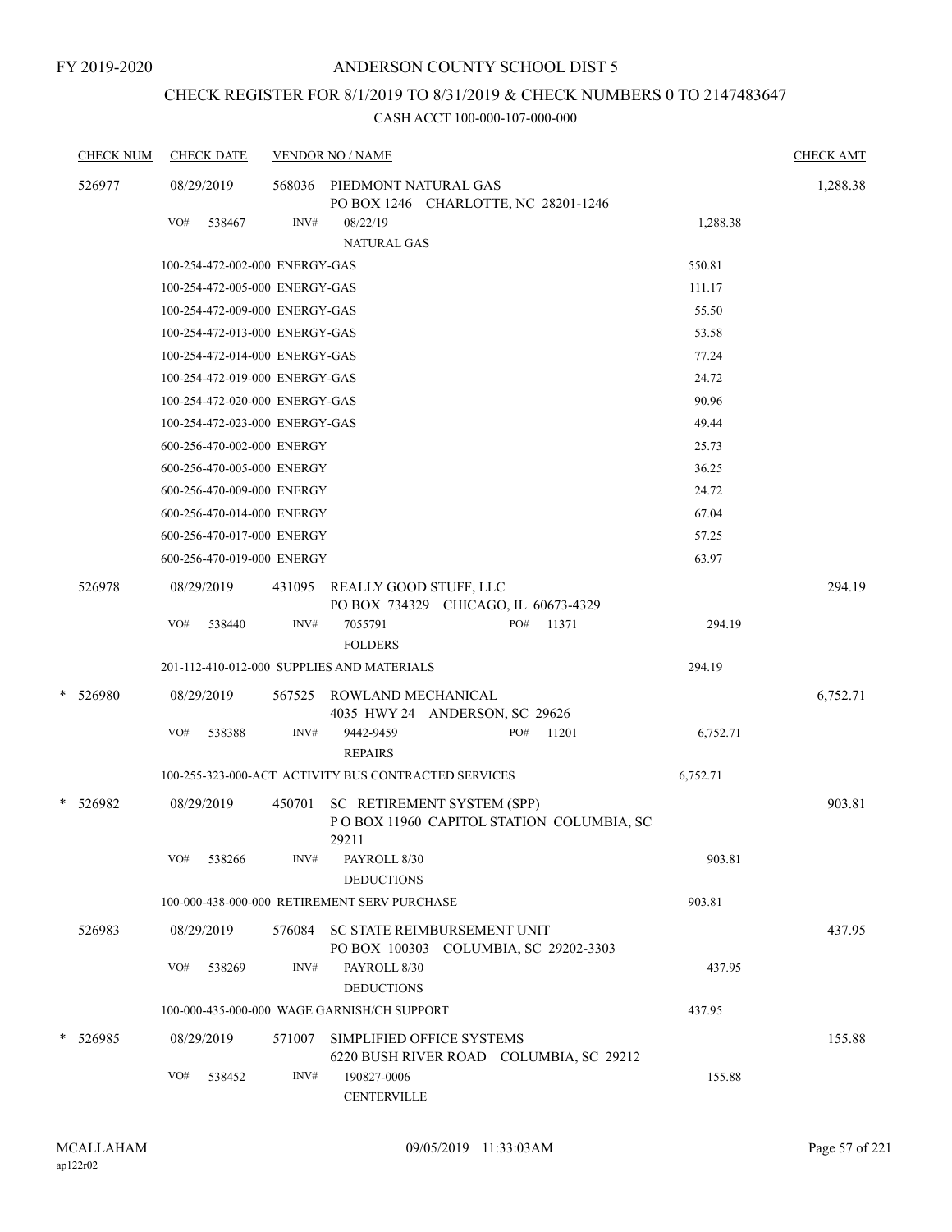## CHECK REGISTER FOR 8/1/2019 TO 8/31/2019 & CHECK NUMBERS 0 TO 2147483647

|        | <b>CHECK NUM</b> |     | <b>CHECK DATE</b>              |        | <b>VENDOR NO / NAME</b>                                                         |     |       |          | <b>CHECK AMT</b> |
|--------|------------------|-----|--------------------------------|--------|---------------------------------------------------------------------------------|-----|-------|----------|------------------|
|        | 526977           |     | 08/29/2019                     |        | 568036 PIEDMONT NATURAL GAS<br>PO BOX 1246 CHARLOTTE, NC 28201-1246             |     |       |          | 1,288.38         |
|        |                  | VO# | 538467                         | INV#   | 08/22/19<br><b>NATURAL GAS</b>                                                  |     |       | 1,288.38 |                  |
|        |                  |     | 100-254-472-002-000 ENERGY-GAS |        |                                                                                 |     |       | 550.81   |                  |
|        |                  |     | 100-254-472-005-000 ENERGY-GAS |        |                                                                                 |     |       | 111.17   |                  |
|        |                  |     | 100-254-472-009-000 ENERGY-GAS |        |                                                                                 |     |       | 55.50    |                  |
|        |                  |     | 100-254-472-013-000 ENERGY-GAS |        |                                                                                 |     |       | 53.58    |                  |
|        |                  |     | 100-254-472-014-000 ENERGY-GAS |        |                                                                                 |     |       | 77.24    |                  |
|        |                  |     | 100-254-472-019-000 ENERGY-GAS |        |                                                                                 |     |       | 24.72    |                  |
|        |                  |     | 100-254-472-020-000 ENERGY-GAS |        |                                                                                 |     |       | 90.96    |                  |
|        |                  |     | 100-254-472-023-000 ENERGY-GAS |        |                                                                                 |     |       | 49.44    |                  |
|        |                  |     | 600-256-470-002-000 ENERGY     |        |                                                                                 |     |       | 25.73    |                  |
|        |                  |     | 600-256-470-005-000 ENERGY     |        |                                                                                 |     |       | 36.25    |                  |
|        |                  |     | 600-256-470-009-000 ENERGY     |        |                                                                                 |     |       | 24.72    |                  |
|        |                  |     | 600-256-470-014-000 ENERGY     |        |                                                                                 |     |       | 67.04    |                  |
|        |                  |     | 600-256-470-017-000 ENERGY     |        |                                                                                 |     |       | 57.25    |                  |
|        |                  |     | 600-256-470-019-000 ENERGY     |        |                                                                                 |     |       | 63.97    |                  |
|        | 526978           |     | 08/29/2019                     | 431095 | REALLY GOOD STUFF, LLC<br>PO BOX 734329 CHICAGO, IL 60673-4329                  |     |       |          | 294.19           |
|        |                  | VO# | 538440                         | INV#   | 7055791<br><b>FOLDERS</b>                                                       | PO# | 11371 | 294.19   |                  |
|        |                  |     |                                |        | 201-112-410-012-000 SUPPLIES AND MATERIALS                                      |     |       | 294.19   |                  |
| *      | 526980           |     | 08/29/2019                     | 567525 | ROWLAND MECHANICAL<br>4035 HWY 24 ANDERSON, SC 29626                            |     |       |          | 6,752.71         |
|        |                  | VO# | 538388                         | INV#   | 9442-9459<br><b>REPAIRS</b>                                                     | PO# | 11201 | 6,752.71 |                  |
|        |                  |     |                                |        | 100-255-323-000-ACT ACTIVITY BUS CONTRACTED SERVICES                            |     |       | 6,752.71 |                  |
| $\ast$ | 526982           |     | 08/29/2019                     | 450701 | SC RETIREMENT SYSTEM (SPP)<br>POBOX 11960 CAPITOL STATION COLUMBIA, SC<br>29211 |     |       |          | 903.81           |
|        |                  | VO# | 538266                         | INV#   | PAYROLL 8/30<br><b>DEDUCTIONS</b>                                               |     |       | 903.81   |                  |
|        |                  |     |                                |        | 100-000-438-000-000 RETIREMENT SERV PURCHASE                                    |     |       | 903.81   |                  |
|        | 526983           |     | 08/29/2019                     | 576084 | SC STATE REIMBURSEMENT UNIT                                                     |     |       |          | 437.95           |
|        |                  | VO# | 538269                         | INV#   | PO BOX 100303 COLUMBIA, SC 29202-3303<br>PAYROLL 8/30<br><b>DEDUCTIONS</b>      |     |       | 437.95   |                  |
|        |                  |     |                                |        | 100-000-435-000-000 WAGE GARNISH/CH SUPPORT                                     |     |       | 437.95   |                  |
|        | * 526985         |     | 08/29/2019                     | 571007 | SIMPLIFIED OFFICE SYSTEMS<br>6220 BUSH RIVER ROAD COLUMBIA, SC 29212            |     |       |          | 155.88           |
|        |                  | VO# | 538452                         | INV#   | 190827-0006<br><b>CENTERVILLE</b>                                               |     |       | 155.88   |                  |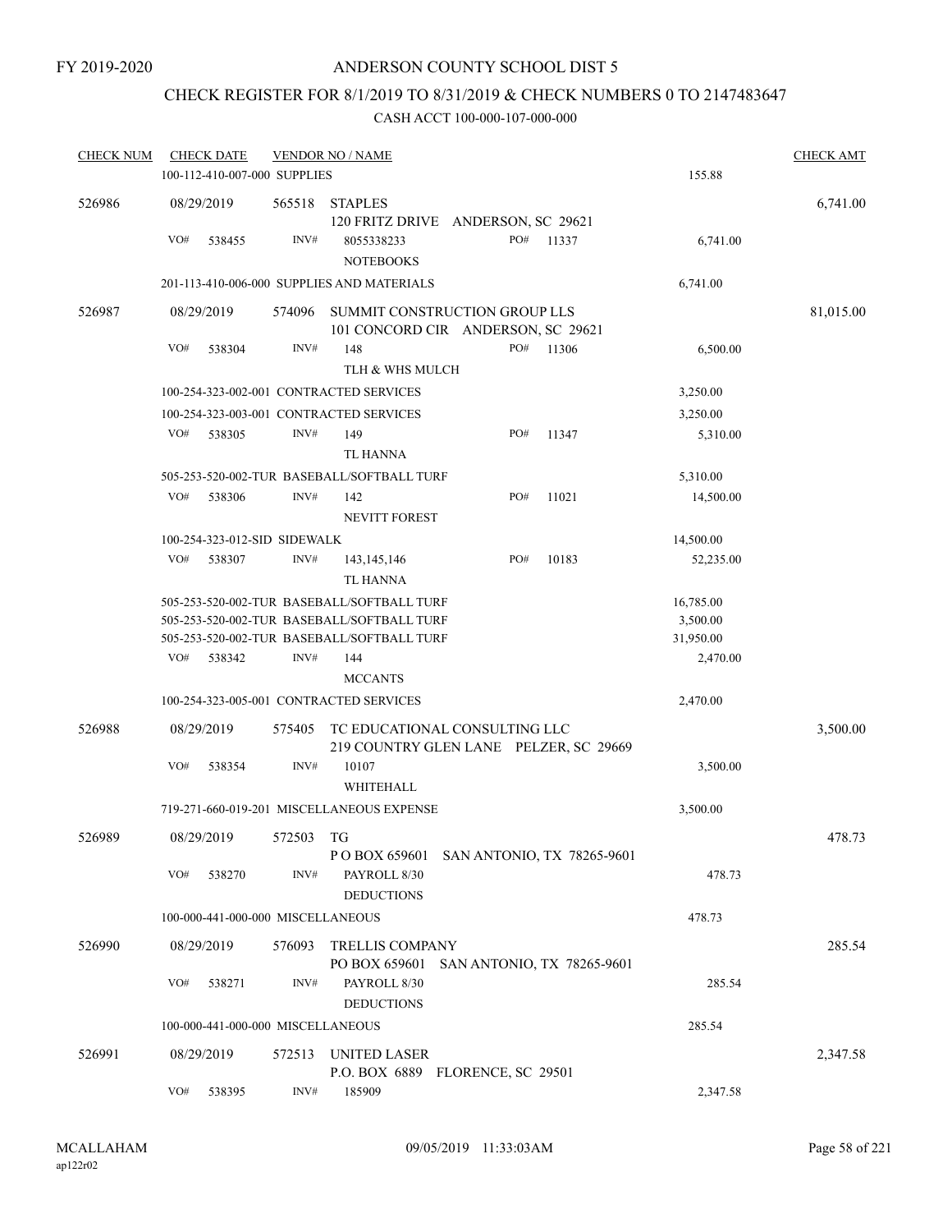## CHECK REGISTER FOR 8/1/2019 TO 8/31/2019 & CHECK NUMBERS 0 TO 2147483647

| <b>CHECK NUM</b> | <b>CHECK DATE</b>                 |        | <b>VENDOR NO / NAME</b>                                                                  |     |                            |                       | <b>CHECK AMT</b> |
|------------------|-----------------------------------|--------|------------------------------------------------------------------------------------------|-----|----------------------------|-----------------------|------------------|
|                  | 100-112-410-007-000 SUPPLIES      |        |                                                                                          |     |                            | 155.88                |                  |
| 526986           | 08/29/2019                        | 565518 | <b>STAPLES</b><br>120 FRITZ DRIVE ANDERSON, SC 29621                                     |     |                            |                       | 6,741.00         |
|                  | VO#<br>538455                     | INV#   | 8055338233<br><b>NOTEBOOKS</b>                                                           | PO# | 11337                      | 6,741.00              |                  |
|                  |                                   |        | 201-113-410-006-000 SUPPLIES AND MATERIALS                                               |     |                            | 6,741.00              |                  |
| 526987           | 08/29/2019                        | 574096 | SUMMIT CONSTRUCTION GROUP LLS<br>101 CONCORD CIR ANDERSON, SC 29621                      |     |                            |                       | 81,015.00        |
|                  | VO#<br>538304                     | INV#   | 148<br>TLH & WHS MULCH                                                                   | PO# | 11306                      | 6,500.00              |                  |
|                  |                                   |        | 100-254-323-002-001 CONTRACTED SERVICES                                                  |     |                            | 3,250.00              |                  |
|                  |                                   |        | 100-254-323-003-001 CONTRACTED SERVICES                                                  |     |                            | 3,250.00              |                  |
|                  | VO#<br>538305                     | INV#   | 149<br><b>TL HANNA</b>                                                                   | PO# | 11347                      | 5,310.00              |                  |
|                  |                                   |        | 505-253-520-002-TUR BASEBALL/SOFTBALL TURF                                               |     |                            | 5,310.00              |                  |
|                  | VO#<br>538306                     | INV#   | 142<br><b>NEVITT FOREST</b>                                                              | PO# | 11021                      | 14,500.00             |                  |
|                  | 100-254-323-012-SID SIDEWALK      |        |                                                                                          |     |                            | 14,500.00             |                  |
|                  | VO#<br>538307                     | INV#   | 143, 145, 146<br>TL HANNA                                                                | PO# | 10183                      | 52,235.00             |                  |
|                  |                                   |        | 505-253-520-002-TUR BASEBALL/SOFTBALL TURF<br>505-253-520-002-TUR BASEBALL/SOFTBALL TURF |     |                            | 16,785.00<br>3,500.00 |                  |
|                  | VO#<br>538342                     | INV#   | 505-253-520-002-TUR BASEBALL/SOFTBALL TURF<br>144<br><b>MCCANTS</b>                      |     |                            | 31,950.00<br>2,470.00 |                  |
|                  |                                   |        | 100-254-323-005-001 CONTRACTED SERVICES                                                  |     |                            | 2,470.00              |                  |
| 526988           | 08/29/2019                        | 575405 | TC EDUCATIONAL CONSULTING LLC<br>219 COUNTRY GLEN LANE PELZER, SC 29669                  |     |                            |                       | 3,500.00         |
|                  | VO#<br>538354                     | INV#   | 10107<br>WHITEHALL                                                                       |     |                            | 3,500.00              |                  |
|                  |                                   |        | 719-271-660-019-201 MISCELLANEOUS EXPENSE                                                |     |                            | 3,500.00              |                  |
| 526989           | 08/29/2019                        | 572503 | TG<br>P O BOX 659601 SAN ANTONIO, TX 78265-9601                                          |     |                            |                       | 478.73           |
|                  | VO#<br>538270                     | INV#   | PAYROLL 8/30<br><b>DEDUCTIONS</b>                                                        |     |                            | 478.73                |                  |
|                  | 100-000-441-000-000 MISCELLANEOUS |        |                                                                                          |     |                            | 478.73                |                  |
| 526990           | 08/29/2019                        | 576093 | <b>TRELLIS COMPANY</b><br>PO BOX 659601                                                  |     | SAN ANTONIO, TX 78265-9601 |                       | 285.54           |
|                  | VO#<br>538271                     | INV#   | PAYROLL 8/30<br><b>DEDUCTIONS</b>                                                        |     |                            | 285.54                |                  |
|                  | 100-000-441-000-000 MISCELLANEOUS |        |                                                                                          |     |                            | 285.54                |                  |
| 526991           | 08/29/2019                        | 572513 | UNITED LASER<br>P.O. BOX 6889 FLORENCE, SC 29501                                         |     |                            |                       | 2,347.58         |
|                  | VO#<br>538395                     | INV#   | 185909                                                                                   |     |                            | 2,347.58              |                  |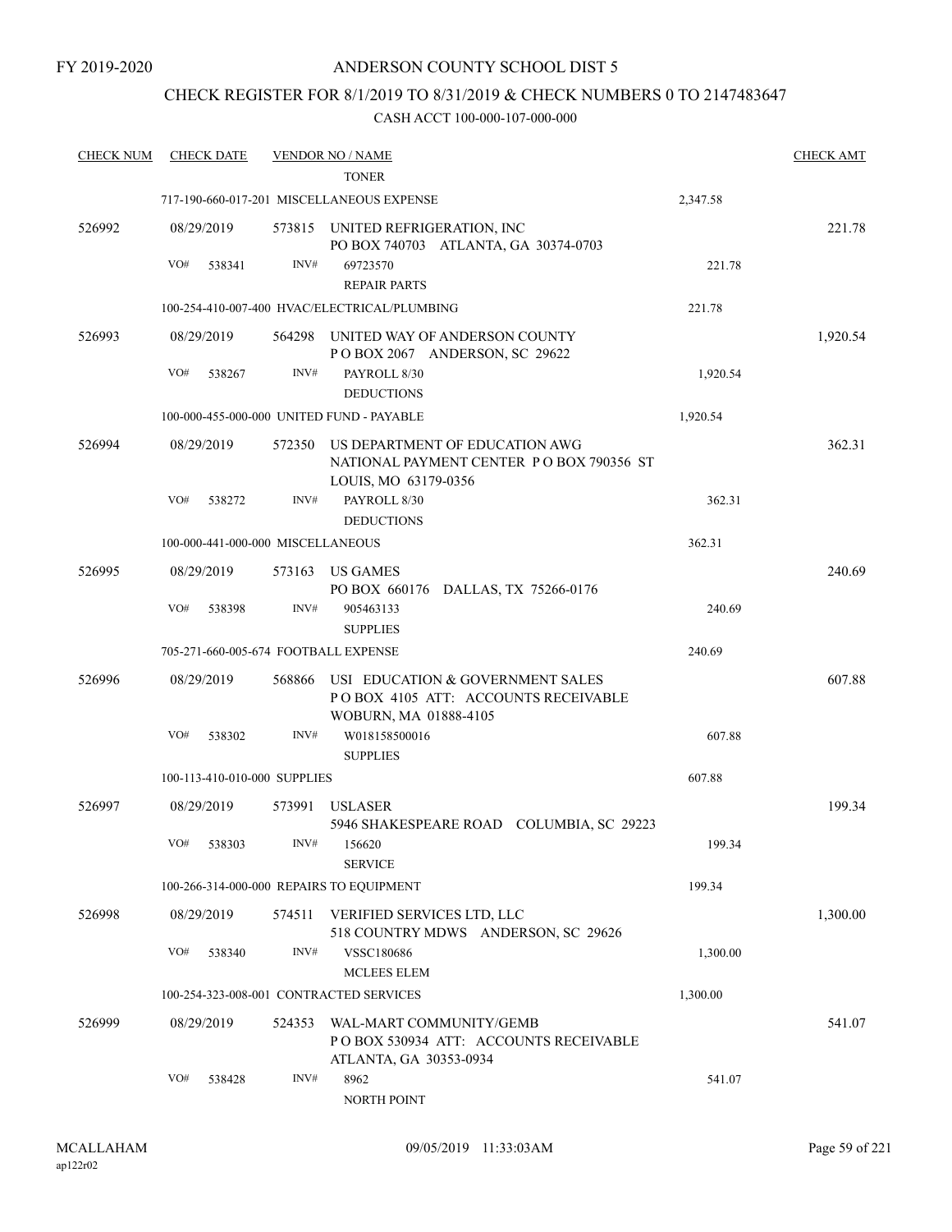## CHECK REGISTER FOR 8/1/2019 TO 8/31/2019 & CHECK NUMBERS 0 TO 2147483647

| <b>CHECK NUM</b> | <b>CHECK DATE</b>                        |        | <b>VENDOR NO / NAME</b>                                                                            |          | <b>CHECK AMT</b> |
|------------------|------------------------------------------|--------|----------------------------------------------------------------------------------------------------|----------|------------------|
|                  |                                          |        | <b>TONER</b>                                                                                       |          |                  |
|                  |                                          |        | 717-190-660-017-201 MISCELLANEOUS EXPENSE                                                          | 2,347.58 |                  |
| 526992           | 08/29/2019                               |        | 573815 UNITED REFRIGERATION, INC<br>PO BOX 740703 ATLANTA, GA 30374-0703                           |          | 221.78           |
|                  | VO#<br>538341                            | INV#   | 69723570                                                                                           | 221.78   |                  |
|                  |                                          |        | <b>REPAIR PARTS</b>                                                                                |          |                  |
|                  |                                          |        | 100-254-410-007-400 HVAC/ELECTRICAL/PLUMBING                                                       | 221.78   |                  |
| 526993           | 08/29/2019                               | 564298 | UNITED WAY OF ANDERSON COUNTY<br>POBOX 2067 ANDERSON, SC 29622                                     |          | 1,920.54         |
|                  | VO#<br>538267                            | INV#   | PAYROLL 8/30<br><b>DEDUCTIONS</b>                                                                  | 1,920.54 |                  |
|                  |                                          |        | 100-000-455-000-000 UNITED FUND - PAYABLE                                                          | 1,920.54 |                  |
| 526994           | 08/29/2019                               | 572350 | US DEPARTMENT OF EDUCATION AWG<br>NATIONAL PAYMENT CENTER PO BOX 790356 ST<br>LOUIS, MO 63179-0356 |          | 362.31           |
|                  | VO#<br>538272                            | INV#   | PAYROLL 8/30<br><b>DEDUCTIONS</b>                                                                  | 362.31   |                  |
|                  | 100-000-441-000-000 MISCELLANEOUS        |        |                                                                                                    | 362.31   |                  |
| 526995           | 08/29/2019                               |        | 573163 US GAMES<br>PO BOX 660176 DALLAS, TX 75266-0176                                             |          | 240.69           |
|                  | VO#<br>538398                            | INV#   | 905463133<br><b>SUPPLIES</b>                                                                       | 240.69   |                  |
|                  | 705-271-660-005-674 FOOTBALL EXPENSE     |        |                                                                                                    | 240.69   |                  |
| 526996           | 08/29/2019                               | 568866 | USI EDUCATION & GOVERNMENT SALES<br>POBOX 4105 ATT: ACCOUNTS RECEIVABLE<br>WOBURN, MA 01888-4105   |          | 607.88           |
|                  | VO#<br>538302                            | INV#   | W018158500016<br><b>SUPPLIES</b>                                                                   | 607.88   |                  |
|                  | 100-113-410-010-000 SUPPLIES             |        |                                                                                                    | 607.88   |                  |
| 526997           | 08/29/2019                               | 573991 | <b>USLASER</b><br>5946 SHAKESPEARE ROAD COLUMBIA, SC 29223                                         |          | 199.34           |
|                  | VO# 538303                               |        | INV# 156620<br><b>SERVICE</b>                                                                      | 199.34   |                  |
|                  | 100-266-314-000-000 REPAIRS TO EQUIPMENT |        |                                                                                                    | 199.34   |                  |
| 526998           | 08/29/2019                               | 574511 | VERIFIED SERVICES LTD, LLC<br>518 COUNTRY MDWS ANDERSON, SC 29626                                  |          | 1,300.00         |
|                  | VO#<br>538340                            | INV#   | <b>VSSC180686</b><br><b>MCLEES ELEM</b>                                                            | 1,300.00 |                  |
|                  | 100-254-323-008-001 CONTRACTED SERVICES  |        |                                                                                                    | 1,300.00 |                  |
| 526999           | 08/29/2019                               | 524353 | WAL-MART COMMUNITY/GEMB<br>POBOX 530934 ATT: ACCOUNTS RECEIVABLE<br>ATLANTA, GA 30353-0934         |          | 541.07           |
|                  | VO#<br>538428                            | INV#   | 8962<br>NORTH POINT                                                                                | 541.07   |                  |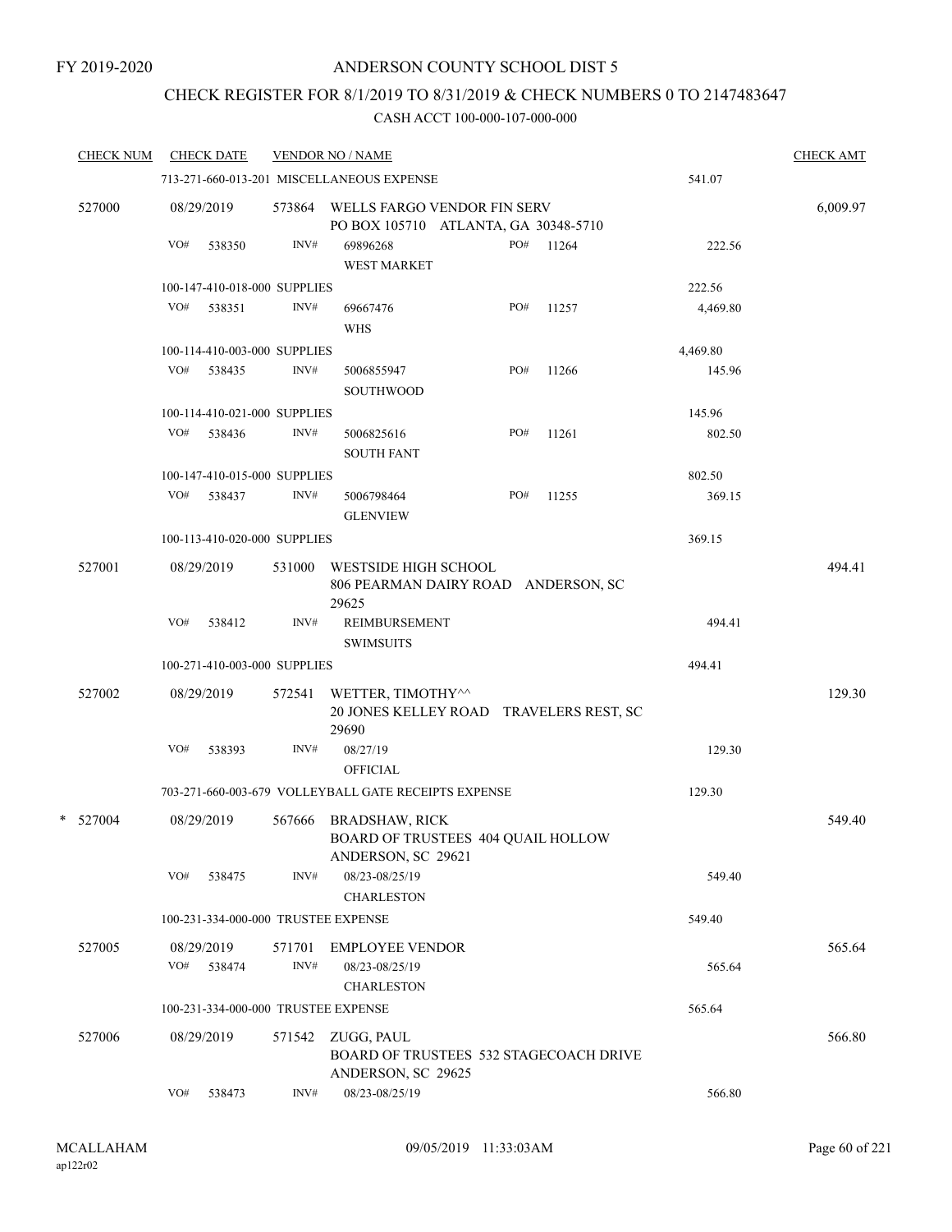### FY 2019-2020

## ANDERSON COUNTY SCHOOL DIST 5

## CHECK REGISTER FOR 8/1/2019 TO 8/31/2019 & CHECK NUMBERS 0 TO 2147483647

| <b>CHECK NUM</b> |     | <b>CHECK DATE</b>            |                | <b>VENDOR NO / NAME</b>                                                           |     |       |          | <b>CHECK AMT</b> |
|------------------|-----|------------------------------|----------------|-----------------------------------------------------------------------------------|-----|-------|----------|------------------|
|                  |     |                              |                | 713-271-660-013-201 MISCELLANEOUS EXPENSE                                         |     |       | 541.07   |                  |
| 527000           |     | 08/29/2019                   | 573864         | WELLS FARGO VENDOR FIN SERV<br>PO BOX 105710 ATLANTA, GA 30348-5710               |     |       |          | 6,009.97         |
|                  | VO# | 538350                       | INV#           | 69896268<br><b>WEST MARKET</b>                                                    | PO# | 11264 | 222.56   |                  |
|                  |     | 100-147-410-018-000 SUPPLIES |                |                                                                                   |     |       | 222.56   |                  |
|                  | VO# | 538351                       | INV#           | 69667476<br><b>WHS</b>                                                            | PO# | 11257 | 4,469.80 |                  |
|                  |     | 100-114-410-003-000 SUPPLIES |                |                                                                                   |     |       | 4,469.80 |                  |
|                  | VO# | 538435                       | INV#           | 5006855947<br><b>SOUTHWOOD</b>                                                    | PO# | 11266 | 145.96   |                  |
|                  |     | 100-114-410-021-000 SUPPLIES |                |                                                                                   |     |       | 145.96   |                  |
|                  | VO# | 538436                       | INV#           | 5006825616<br><b>SOUTH FANT</b>                                                   | PO# | 11261 | 802.50   |                  |
|                  |     | 100-147-410-015-000 SUPPLIES |                |                                                                                   |     |       | 802.50   |                  |
|                  | VO# | 538437                       | INV#           | 5006798464<br><b>GLENVIEW</b>                                                     | PO# | 11255 | 369.15   |                  |
|                  |     | 100-113-410-020-000 SUPPLIES |                |                                                                                   |     |       | 369.15   |                  |
| 527001           |     | 08/29/2019                   | 531000         | WESTSIDE HIGH SCHOOL<br>806 PEARMAN DAIRY ROAD ANDERSON, SC<br>29625              |     |       |          | 494.41           |
|                  | VO# | 538412                       | INV#           | <b>REIMBURSEMENT</b><br><b>SWIMSUITS</b>                                          |     |       | 494.41   |                  |
|                  |     | 100-271-410-003-000 SUPPLIES |                |                                                                                   |     |       | 494.41   |                  |
| 527002           |     | 08/29/2019                   | 572541         | WETTER, TIMOTHY^^<br>20 JONES KELLEY ROAD TRAVELERS REST, SC<br>29690             |     |       |          | 129.30           |
|                  | VO# | 538393                       | INV#           | 08/27/19<br><b>OFFICIAL</b>                                                       |     |       | 129.30   |                  |
|                  |     |                              |                | 703-271-660-003-679 VOLLEYBALL GATE RECEIPTS EXPENSE                              |     |       | 129.30   |                  |
| * 527004         |     | 08/29/2019                   | 567666         | <b>BRADSHAW, RICK</b><br>BOARD OF TRUSTEES 404 QUAIL HOLLOW<br>ANDERSON, SC 29621 |     |       |          | 549.40           |
|                  | VO# | 538475                       | INV#           | 08/23-08/25/19<br><b>CHARLESTON</b>                                               |     |       | 549.40   |                  |
|                  |     |                              |                | 100-231-334-000-000 TRUSTEE EXPENSE                                               |     |       | 549.40   |                  |
| 527005           | VO# | 08/29/2019<br>538474         | 571701<br>INV# | <b>EMPLOYEE VENDOR</b><br>08/23-08/25/19<br><b>CHARLESTON</b>                     |     |       | 565.64   | 565.64           |
|                  |     |                              |                | 100-231-334-000-000 TRUSTEE EXPENSE                                               |     |       | 565.64   |                  |
| 527006           |     | 08/29/2019                   | 571542         | ZUGG, PAUL<br>BOARD OF TRUSTEES 532 STAGECOACH DRIVE<br>ANDERSON, SC 29625        |     |       |          | 566.80           |
|                  | VO# | 538473                       | INV#           | 08/23-08/25/19                                                                    |     |       | 566.80   |                  |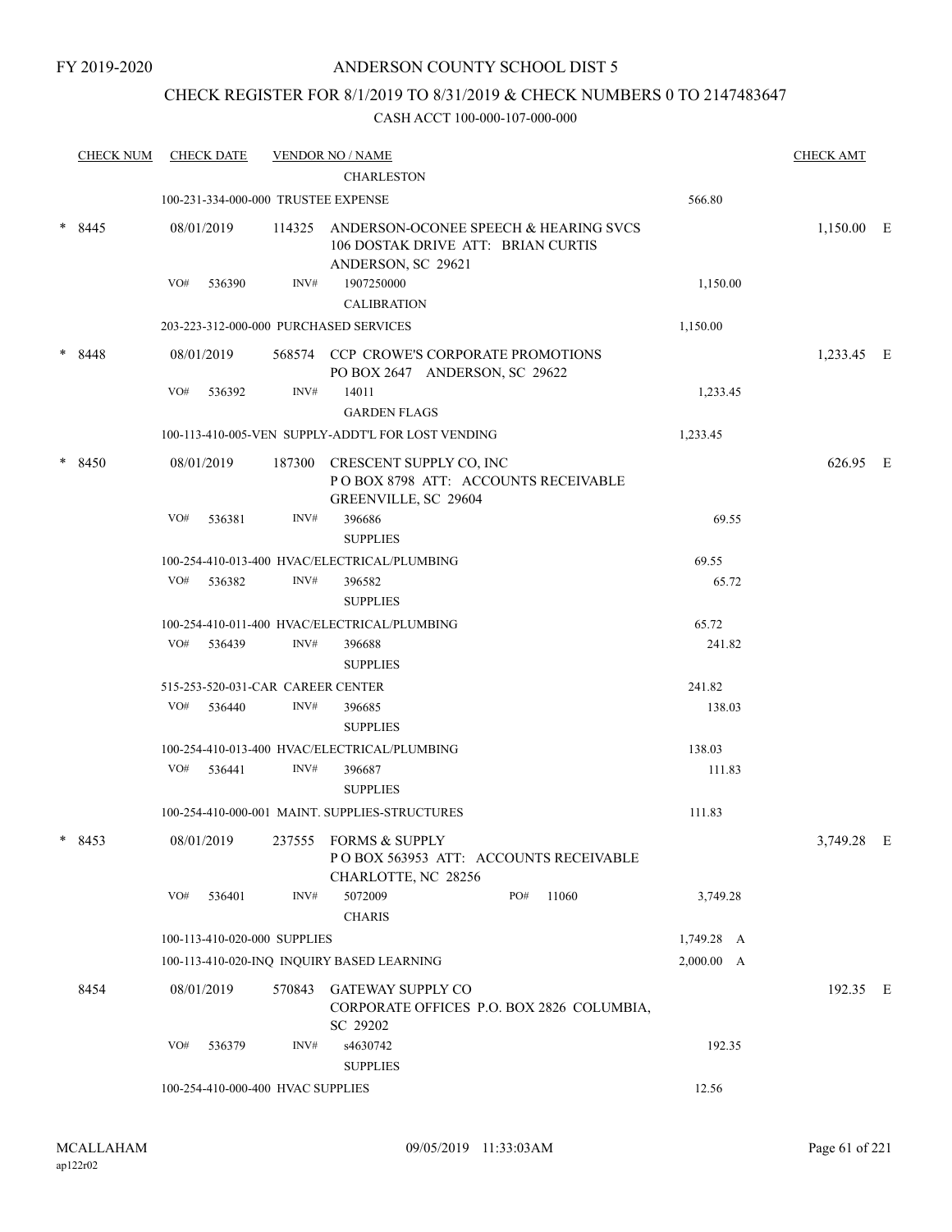## CHECK REGISTER FOR 8/1/2019 TO 8/31/2019 & CHECK NUMBERS 0 TO 2147483647

|   | <b>CHECK NUM</b> |     | <b>CHECK DATE</b>                 |        | <b>VENDOR NO / NAME</b>                                                   |                                           |            | <b>CHECK AMT</b> |  |
|---|------------------|-----|-----------------------------------|--------|---------------------------------------------------------------------------|-------------------------------------------|------------|------------------|--|
|   |                  |     |                                   |        | <b>CHARLESTON</b>                                                         |                                           |            |                  |  |
|   |                  |     |                                   |        | 100-231-334-000-000 TRUSTEE EXPENSE                                       |                                           | 566.80     |                  |  |
|   | $*8445$          |     | 08/01/2019                        | 114325 | 106 DOSTAK DRIVE ATT: BRIAN CURTIS<br>ANDERSON, SC 29621                  | ANDERSON-OCONEE SPEECH & HEARING SVCS     |            | 1,150.00 E       |  |
|   |                  | VO# | 536390                            | INV#   | 1907250000                                                                |                                           | 1,150.00   |                  |  |
|   |                  |     |                                   |        | <b>CALIBRATION</b>                                                        |                                           |            |                  |  |
|   |                  |     |                                   |        | 203-223-312-000-000 PURCHASED SERVICES                                    |                                           | 1,150.00   |                  |  |
|   | $*8448$          |     | 08/01/2019                        |        | 568574 CCP CROWE'S CORPORATE PROMOTIONS<br>PO BOX 2647 ANDERSON, SC 29622 |                                           |            | 1,233.45 E       |  |
|   |                  | VO# | 536392                            | INV#   | 14011                                                                     |                                           | 1,233.45   |                  |  |
|   |                  |     |                                   |        | <b>GARDEN FLAGS</b>                                                       |                                           |            |                  |  |
|   |                  |     |                                   |        | 100-113-410-005-VEN SUPPLY-ADDT'L FOR LOST VENDING                        |                                           | 1,233.45   |                  |  |
|   | $*8450$          |     | 08/01/2019                        | 187300 | CRESCENT SUPPLY CO, INC<br>GREENVILLE, SC 29604                           | POBOX 8798 ATT: ACCOUNTS RECEIVABLE       |            | 626.95 E         |  |
|   |                  | VO# | 536381                            | INV#   | 396686                                                                    |                                           | 69.55      |                  |  |
|   |                  |     |                                   |        | <b>SUPPLIES</b>                                                           |                                           |            |                  |  |
|   |                  |     |                                   |        | 100-254-410-013-400 HVAC/ELECTRICAL/PLUMBING                              |                                           | 69.55      |                  |  |
|   |                  | VO# | 536382                            | INV#   | 396582<br><b>SUPPLIES</b>                                                 |                                           | 65.72      |                  |  |
|   |                  |     |                                   |        | 100-254-410-011-400 HVAC/ELECTRICAL/PLUMBING                              |                                           | 65.72      |                  |  |
|   |                  | VO# | 536439                            | INV#   | 396688                                                                    |                                           | 241.82     |                  |  |
|   |                  |     |                                   |        | <b>SUPPLIES</b>                                                           |                                           |            |                  |  |
|   |                  |     | 515-253-520-031-CAR CAREER CENTER |        |                                                                           |                                           | 241.82     |                  |  |
|   |                  | VO# | 536440                            | INV#   | 396685                                                                    |                                           | 138.03     |                  |  |
|   |                  |     |                                   |        | <b>SUPPLIES</b>                                                           |                                           |            |                  |  |
|   |                  |     |                                   |        | 100-254-410-013-400 HVAC/ELECTRICAL/PLUMBING                              |                                           | 138.03     |                  |  |
|   |                  | VO# | 536441                            | INV#   | 396687<br><b>SUPPLIES</b>                                                 |                                           | 111.83     |                  |  |
|   |                  |     |                                   |        | 100-254-410-000-001 MAINT. SUPPLIES-STRUCTURES                            |                                           | 111.83     |                  |  |
| * | 8453             |     | 08/01/2019                        |        | 237555 FORMS & SUPPLY<br>CHARLOTTE, NC 28256                              | POBOX 563953 ATT: ACCOUNTS RECEIVABLE     |            | 3,749.28 E       |  |
|   |                  | VO# | 536401                            | INV#   | 5072009<br><b>CHARIS</b>                                                  | PO#<br>11060                              | 3,749.28   |                  |  |
|   |                  |     | 100-113-410-020-000 SUPPLIES      |        |                                                                           |                                           | 1,749.28 A |                  |  |
|   |                  |     |                                   |        | 100-113-410-020-INQ INQUIRY BASED LEARNING                                |                                           | 2,000.00 A |                  |  |
|   | 8454             |     | 08/01/2019                        | 570843 | GATEWAY SUPPLY CO<br>SC 29202                                             | CORPORATE OFFICES P.O. BOX 2826 COLUMBIA, |            | 192.35 E         |  |
|   |                  | VO# | 536379                            | INV#   | s4630742<br><b>SUPPLIES</b>                                               |                                           | 192.35     |                  |  |
|   |                  |     | 100-254-410-000-400 HVAC SUPPLIES |        |                                                                           |                                           | 12.56      |                  |  |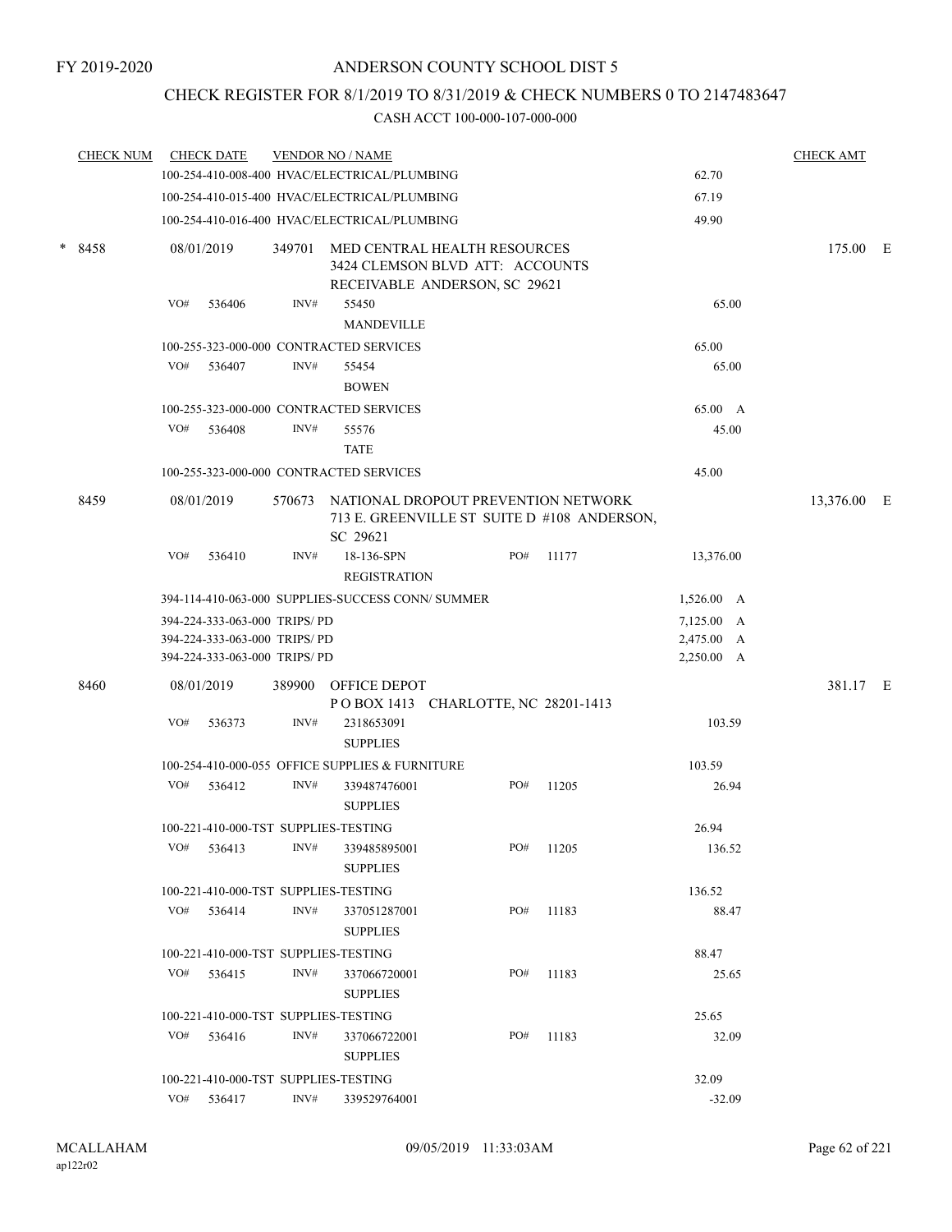## CHECK REGISTER FOR 8/1/2019 TO 8/31/2019 & CHECK NUMBERS 0 TO 2147483647

|   | <b>CHECK NUM</b> |     | <b>CHECK DATE</b>            |                | <b>VENDOR NO / NAME</b>                                                                          |     |                                             |                    | <b>CHECK AMT</b>        |  |  |  |  |
|---|------------------|-----|------------------------------|----------------|--------------------------------------------------------------------------------------------------|-----|---------------------------------------------|--------------------|-------------------------|--|--|--|--|
|   |                  |     |                              |                | 100-254-410-008-400 HVAC/ELECTRICAL/PLUMBING                                                     |     |                                             | 62.70              |                         |  |  |  |  |
|   |                  |     |                              |                | 100-254-410-015-400 HVAC/ELECTRICAL/PLUMBING                                                     |     |                                             | 67.19              |                         |  |  |  |  |
|   |                  |     |                              |                | 100-254-410-016-400 HVAC/ELECTRICAL/PLUMBING                                                     |     |                                             | 49.90              |                         |  |  |  |  |
| * | 8458             |     | 08/01/2019                   | 349701         | MED CENTRAL HEALTH RESOURCES<br>3424 CLEMSON BLVD ATT: ACCOUNTS<br>RECEIVABLE ANDERSON, SC 29621 |     |                                             |                    | 175.00 E                |  |  |  |  |
|   |                  | VO# | 536406                       | INV#           | 55450                                                                                            |     |                                             | 65.00              |                         |  |  |  |  |
|   |                  |     |                              |                | <b>MANDEVILLE</b>                                                                                |     |                                             |                    |                         |  |  |  |  |
|   |                  |     |                              |                | 100-255-323-000-000 CONTRACTED SERVICES                                                          |     |                                             | 65.00              |                         |  |  |  |  |
|   |                  | VO# | 536407                       | INV#           | 55454                                                                                            |     |                                             | 65.00              |                         |  |  |  |  |
|   |                  |     |                              |                | <b>BOWEN</b>                                                                                     |     |                                             |                    |                         |  |  |  |  |
|   |                  |     |                              |                | 100-255-323-000-000 CONTRACTED SERVICES                                                          |     |                                             | 65.00 A            |                         |  |  |  |  |
|   |                  | VO# | 536408                       | INV#           | 55576<br><b>TATE</b>                                                                             |     |                                             | 45.00              |                         |  |  |  |  |
|   |                  |     |                              |                | 100-255-323-000-000 CONTRACTED SERVICES                                                          |     |                                             | 45.00              |                         |  |  |  |  |
|   | 8459             |     | 08/01/2019                   | 570673         | NATIONAL DROPOUT PREVENTION NETWORK                                                              |     |                                             |                    |                         |  |  |  |  |
|   |                  |     |                              |                | SC 29621                                                                                         |     | 713 E. GREENVILLE ST SUITE D #108 ANDERSON, |                    |                         |  |  |  |  |
|   |                  | VO# | 536410                       | INV#           | 18-136-SPN<br><b>REGISTRATION</b>                                                                | PO# | 11177                                       | 13,376.00          |                         |  |  |  |  |
|   |                  |     |                              |                | 394-114-410-063-000 SUPPLIES-SUCCESS CONN/ SUMMER                                                |     |                                             | $1,526.00 \quad A$ | 13,376.00 E<br>381.17 E |  |  |  |  |
|   |                  |     | 394-224-333-063-000 TRIPS/PD |                |                                                                                                  |     |                                             | 7,125.00 A         |                         |  |  |  |  |
|   |                  |     | 394-224-333-063-000 TRIPS/PD |                |                                                                                                  |     |                                             | 2,475.00 A         |                         |  |  |  |  |
|   |                  |     | 394-224-333-063-000 TRIPS/PD |                |                                                                                                  |     |                                             | 2,250.00 A         |                         |  |  |  |  |
|   | 8460             |     | 08/01/2019                   | 389900         | OFFICE DEPOT<br>POBOX 1413 CHARLOTTE, NC 28201-1413                                              |     |                                             |                    |                         |  |  |  |  |
|   |                  | VO# | 536373                       | INV#           | 2318653091<br><b>SUPPLIES</b>                                                                    |     |                                             | 103.59             |                         |  |  |  |  |
|   |                  |     |                              |                | 100-254-410-000-055 OFFICE SUPPLIES & FURNITURE                                                  |     |                                             | 103.59             |                         |  |  |  |  |
|   |                  | VO# | 536412                       | INV#           | 339487476001<br><b>SUPPLIES</b>                                                                  | PO# | 11205                                       | 26.94              |                         |  |  |  |  |
|   |                  |     |                              |                | 100-221-410-000-TST SUPPLIES-TESTING                                                             |     |                                             | 26.94              |                         |  |  |  |  |
|   |                  | VO# | 536413                       | $\text{INV}\#$ | 339485895001<br><b>SUPPLIES</b>                                                                  | PO# | 11205                                       | 136.52             |                         |  |  |  |  |
|   |                  |     |                              |                | 100-221-410-000-TST SUPPLIES-TESTING                                                             |     |                                             | 136.52             |                         |  |  |  |  |
|   |                  |     | $VO#$ 536414                 | INV#           | 337051287001                                                                                     | PO# | 11183                                       | 88.47              |                         |  |  |  |  |
|   |                  |     |                              |                | <b>SUPPLIES</b>                                                                                  |     |                                             |                    |                         |  |  |  |  |
|   |                  |     |                              |                | 100-221-410-000-TST SUPPLIES-TESTING                                                             |     |                                             | 88.47              |                         |  |  |  |  |
|   |                  | VO# | 536415                       | INV#           | 337066720001<br><b>SUPPLIES</b>                                                                  | PO# | 11183                                       | 25.65              |                         |  |  |  |  |
|   |                  |     |                              |                | 100-221-410-000-TST SUPPLIES-TESTING                                                             |     |                                             | 25.65              |                         |  |  |  |  |
|   |                  | VO# | 536416                       | INV#           | 337066722001<br><b>SUPPLIES</b>                                                                  | PO# | 11183                                       | 32.09              |                         |  |  |  |  |
|   |                  |     |                              |                | 100-221-410-000-TST SUPPLIES-TESTING                                                             |     |                                             | 32.09              |                         |  |  |  |  |
|   |                  |     | VO# 536417                   | INV#           | 339529764001                                                                                     |     |                                             | $-32.09$           |                         |  |  |  |  |
|   |                  |     |                              |                |                                                                                                  |     |                                             |                    |                         |  |  |  |  |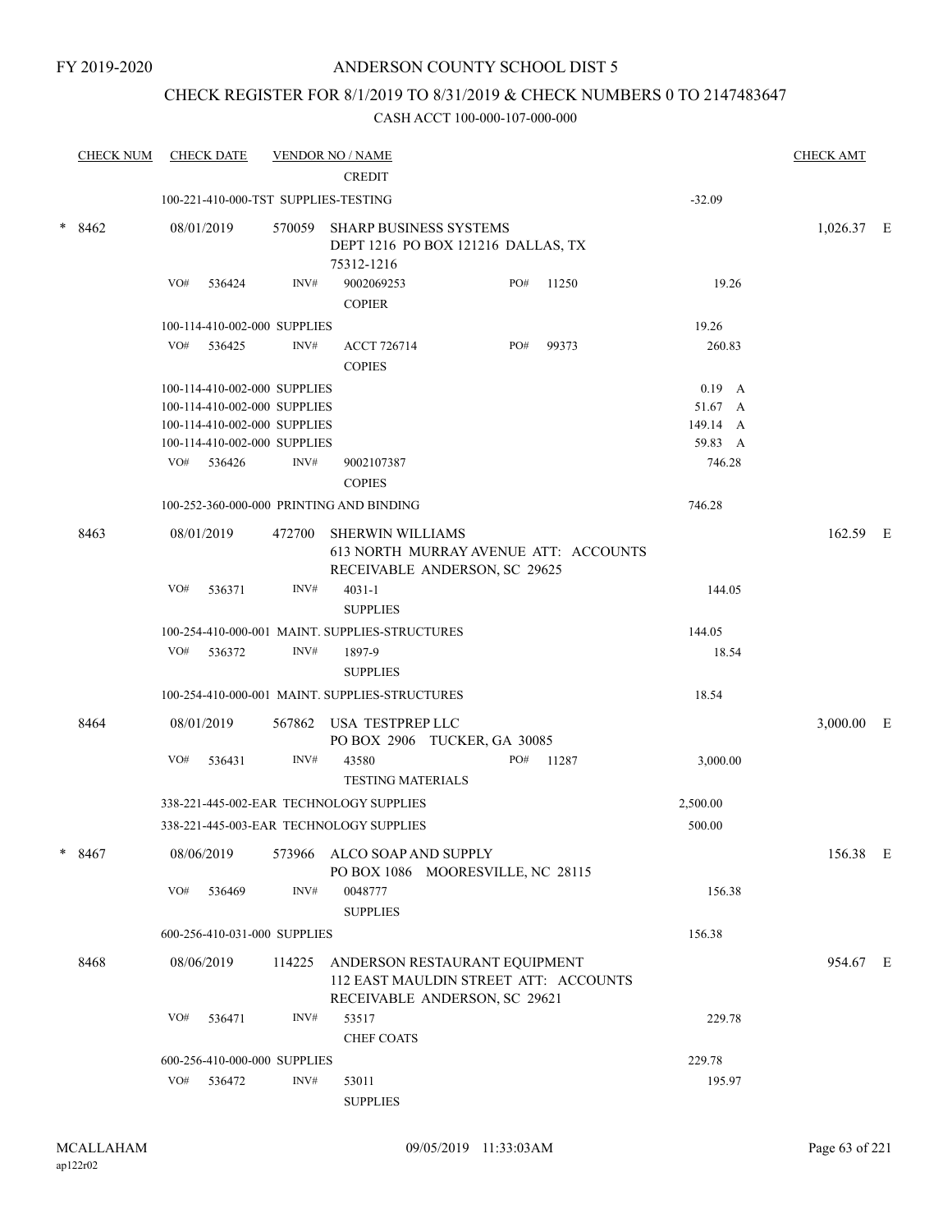## CHECK REGISTER FOR 8/1/2019 TO 8/31/2019 & CHECK NUMBERS 0 TO 2147483647

|   | <b>CHECK NUM</b> |     | <b>CHECK DATE</b>                    |        | <b>VENDOR NO / NAME</b>                                                                                 |     |       |          | <b>CHECK AMT</b> |  |
|---|------------------|-----|--------------------------------------|--------|---------------------------------------------------------------------------------------------------------|-----|-------|----------|------------------|--|
|   |                  |     |                                      |        | <b>CREDIT</b>                                                                                           |     |       |          |                  |  |
|   |                  |     | 100-221-410-000-TST SUPPLIES-TESTING |        |                                                                                                         |     |       | $-32.09$ |                  |  |
|   | $*8462$          |     | 08/01/2019                           |        | 570059 SHARP BUSINESS SYSTEMS<br>DEPT 1216 PO BOX 121216 DALLAS, TX<br>75312-1216                       |     |       |          | 1,026.37 E       |  |
|   |                  | VO# | 536424                               | INV#   | 9002069253<br><b>COPIER</b>                                                                             | PO# | 11250 | 19.26    |                  |  |
|   |                  |     | 100-114-410-002-000 SUPPLIES         |        |                                                                                                         |     |       | 19.26    |                  |  |
|   |                  | VO# | 536425                               | INV#   | <b>ACCT 726714</b><br><b>COPIES</b>                                                                     | PO# | 99373 | 260.83   |                  |  |
|   |                  |     | 100-114-410-002-000 SUPPLIES         |        |                                                                                                         |     |       | $0.19$ A |                  |  |
|   |                  |     | 100-114-410-002-000 SUPPLIES         |        |                                                                                                         |     |       | 51.67 A  |                  |  |
|   |                  |     | 100-114-410-002-000 SUPPLIES         |        |                                                                                                         |     |       | 149.14 A |                  |  |
|   |                  |     | 100-114-410-002-000 SUPPLIES         |        |                                                                                                         |     |       | 59.83 A  |                  |  |
|   |                  |     | VO# 536426                           | INV#   | 9002107387<br><b>COPIES</b>                                                                             |     |       | 746.28   |                  |  |
|   |                  |     |                                      |        | 100-252-360-000-000 PRINTING AND BINDING                                                                |     |       | 746.28   |                  |  |
|   | 8463             |     | 08/01/2019                           |        | 472700 SHERWIN WILLIAMS<br>613 NORTH MURRAY AVENUE ATT: ACCOUNTS<br>RECEIVABLE ANDERSON, SC 29625       |     |       |          | 162.59 E         |  |
|   |                  | VO# | 536371                               | INV#   | $4031 - 1$<br><b>SUPPLIES</b>                                                                           |     |       | 144.05   |                  |  |
|   |                  |     |                                      |        | 100-254-410-000-001 MAINT. SUPPLIES-STRUCTURES                                                          |     |       | 144.05   |                  |  |
|   |                  | VO# | 536372                               | INV#   | 1897-9                                                                                                  |     |       | 18.54    |                  |  |
|   |                  |     |                                      |        | <b>SUPPLIES</b>                                                                                         |     |       |          |                  |  |
|   |                  |     |                                      |        | 100-254-410-000-001 MAINT. SUPPLIES-STRUCTURES                                                          |     |       | 18.54    |                  |  |
|   | 8464             |     | 08/01/2019                           | 567862 | USA TESTPREP LLC<br>PO BOX 2906 TUCKER, GA 30085                                                        |     |       |          | 3,000.00 E       |  |
|   |                  | VO# | 536431                               | INV#   | 43580<br><b>TESTING MATERIALS</b>                                                                       | PO# | 11287 | 3,000.00 |                  |  |
|   |                  |     |                                      |        | 338-221-445-002-EAR TECHNOLOGY SUPPLIES                                                                 |     |       | 2,500.00 |                  |  |
|   |                  |     |                                      |        | 338-221-445-003-EAR TECHNOLOGY SUPPLIES                                                                 |     |       | 500.00   |                  |  |
| * | 8467             |     | 08/06/2019                           |        | 573966 ALCO SOAP AND SUPPLY<br>PO BOX 1086 MOORESVILLE, NC 28115                                        |     |       |          | 156.38 E         |  |
|   |                  | VO# | 536469                               | INV#   | 0048777<br><b>SUPPLIES</b>                                                                              |     |       | 156.38   |                  |  |
|   |                  |     | 600-256-410-031-000 SUPPLIES         |        |                                                                                                         |     |       | 156.38   |                  |  |
|   | 8468             |     | 08/06/2019                           | 114225 | ANDERSON RESTAURANT EQUIPMENT<br>112 EAST MAULDIN STREET ATT: ACCOUNTS<br>RECEIVABLE ANDERSON, SC 29621 |     |       |          | 954.67 E         |  |
|   |                  | VO# | 536471                               | INV#   | 53517<br><b>CHEF COATS</b>                                                                              |     |       | 229.78   |                  |  |
|   |                  |     | 600-256-410-000-000 SUPPLIES         |        |                                                                                                         |     |       | 229.78   |                  |  |
|   |                  | VO# | 536472                               | INV#   | 53011                                                                                                   |     |       | 195.97   |                  |  |
|   |                  |     |                                      |        | <b>SUPPLIES</b>                                                                                         |     |       |          |                  |  |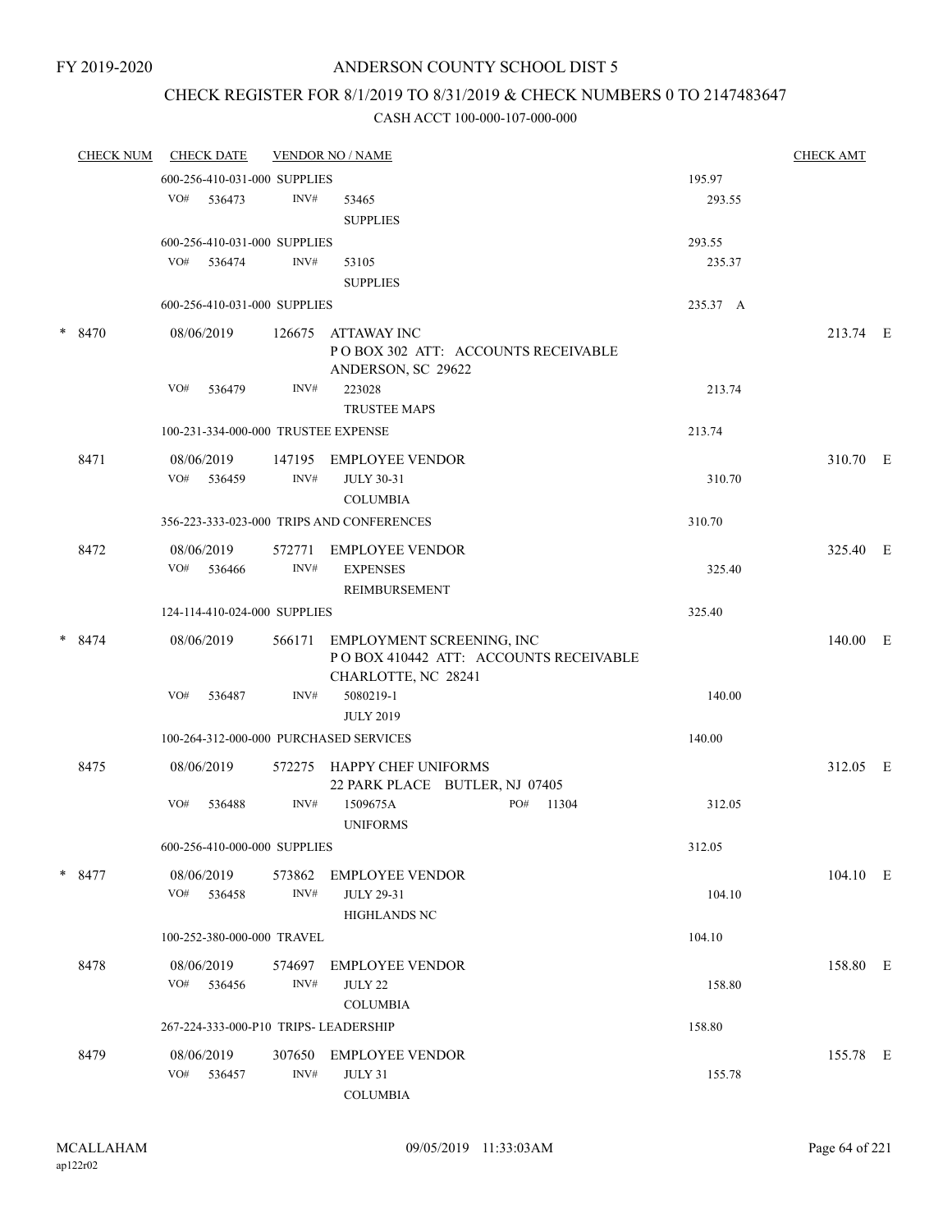## CHECK REGISTER FOR 8/1/2019 TO 8/31/2019 & CHECK NUMBERS 0 TO 2147483647

| <b>CHECK NUM</b> | <b>CHECK DATE</b>            |        |                | <b>VENDOR NO / NAME</b>                                                                          |          | <b>CHECK AMT</b> |  |
|------------------|------------------------------|--------|----------------|--------------------------------------------------------------------------------------------------|----------|------------------|--|
|                  | 600-256-410-031-000 SUPPLIES |        |                |                                                                                                  | 195.97   |                  |  |
|                  | VO# 536473                   |        | INV#           | 53465                                                                                            | 293.55   |                  |  |
|                  |                              |        |                | <b>SUPPLIES</b>                                                                                  |          |                  |  |
|                  | 600-256-410-031-000 SUPPLIES |        |                |                                                                                                  | 293.55   |                  |  |
|                  | VO# 536474                   |        | INV#           | 53105                                                                                            | 235.37   |                  |  |
|                  |                              |        |                | <b>SUPPLIES</b>                                                                                  |          |                  |  |
|                  | 600-256-410-031-000 SUPPLIES |        |                |                                                                                                  | 235.37 A |                  |  |
| * 8470           | 08/06/2019                   |        |                | 126675 ATTAWAY INC<br>POBOX 302 ATT: ACCOUNTS RECEIVABLE<br>ANDERSON, SC 29622                   |          | 213.74 E         |  |
|                  | VO#                          | 536479 | INV#           | 223028<br><b>TRUSTEE MAPS</b>                                                                    | 213.74   |                  |  |
|                  |                              |        |                | 100-231-334-000-000 TRUSTEE EXPENSE                                                              | 213.74   |                  |  |
| 8471             | 08/06/2019                   |        |                | 147195 EMPLOYEE VENDOR                                                                           |          | 310.70 E         |  |
|                  | VO# 536459                   |        | INV#           | <b>JULY 30-31</b><br><b>COLUMBIA</b>                                                             | 310.70   |                  |  |
|                  |                              |        |                | 356-223-333-023-000 TRIPS AND CONFERENCES                                                        | 310.70   |                  |  |
| 8472             | 08/06/2019<br>VO#            | 536466 | 572771<br>INV# | EMPLOYEE VENDOR<br><b>EXPENSES</b>                                                               | 325.40   | 325.40 E         |  |
|                  | 124-114-410-024-000 SUPPLIES |        |                | REIMBURSEMENT                                                                                    | 325.40   |                  |  |
|                  |                              |        |                |                                                                                                  |          |                  |  |
| $* 8474$         | 08/06/2019                   |        |                | 566171 EMPLOYMENT SCREENING, INC<br>POBOX 410442 ATT: ACCOUNTS RECEIVABLE<br>CHARLOTTE, NC 28241 |          | 140.00 E         |  |
|                  | VO#                          | 536487 | INV#           | 5080219-1<br><b>JULY 2019</b>                                                                    | 140.00   |                  |  |
|                  |                              |        |                | 100-264-312-000-000 PURCHASED SERVICES                                                           | 140.00   |                  |  |
| 8475             | 08/06/2019                   |        |                | 572275 HAPPY CHEF UNIFORMS<br>22 PARK PLACE BUTLER, NJ 07405                                     |          | 312.05 E         |  |
|                  | VO#                          | 536488 | INV#           | 1509675A<br>PO# 11304<br><b>UNIFORMS</b>                                                         | 312.05   |                  |  |
|                  | 600-256-410-000-000 SUPPLIES |        |                |                                                                                                  | 312.05   |                  |  |
| $*$ 8477         | 08/06/2019<br>VO# 536458     |        | 573862<br>INV# | <b>EMPLOYEE VENDOR</b><br><b>JULY 29-31</b><br><b>HIGHLANDS NC</b>                               | 104.10   | 104.10 E         |  |
|                  | 100-252-380-000-000 TRAVEL   |        |                |                                                                                                  | 104.10   |                  |  |
| 8478             | 08/06/2019<br>VO# 536456     |        | 574697<br>INV# | <b>EMPLOYEE VENDOR</b><br><b>JULY 22</b>                                                         | 158.80   | 158.80 E         |  |
|                  |                              |        |                | <b>COLUMBIA</b>                                                                                  |          |                  |  |
|                  |                              |        |                | 267-224-333-000-P10 TRIPS- LEADERSHIP                                                            | 158.80   |                  |  |
| 8479             | 08/06/2019<br>VO#            | 536457 | 307650<br>INV# | <b>EMPLOYEE VENDOR</b><br>JULY 31<br><b>COLUMBIA</b>                                             | 155.78   | 155.78 E         |  |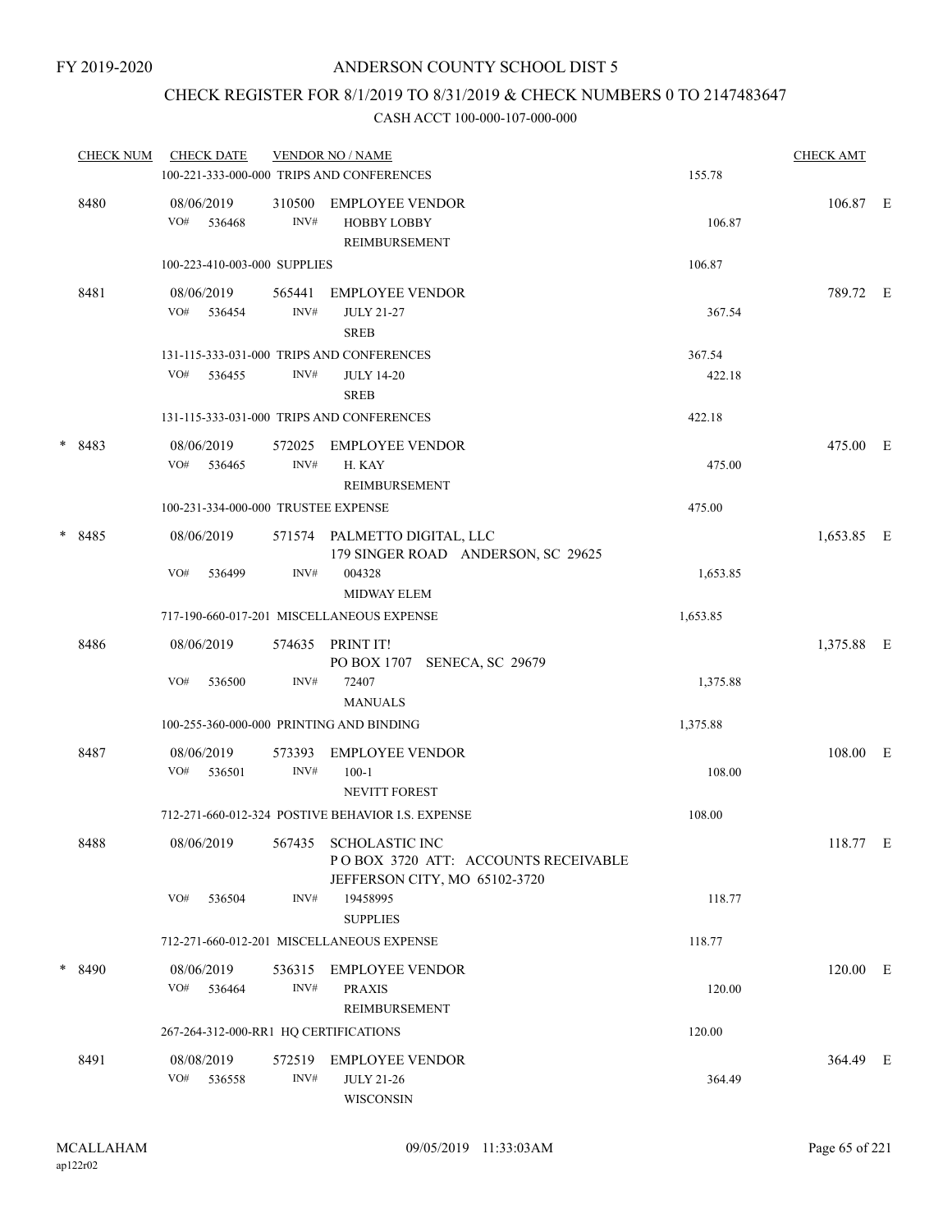## CHECK REGISTER FOR 8/1/2019 TO 8/31/2019 & CHECK NUMBERS 0 TO 2147483647

| <b>CHECK NUM</b> | <b>CHECK DATE</b>                        |                | <b>VENDOR NO / NAME</b><br>100-221-333-000-000 TRIPS AND CONFERENCES                                | <b>CHECK AMT</b><br>155.78 |            |  |
|------------------|------------------------------------------|----------------|-----------------------------------------------------------------------------------------------------|----------------------------|------------|--|
| 8480             | 08/06/2019<br>VO#<br>536468              | 310500<br>INV# | <b>EMPLOYEE VENDOR</b><br><b>HOBBY LOBBY</b><br><b>REIMBURSEMENT</b>                                | 106.87                     | 106.87 E   |  |
|                  | 100-223-410-003-000 SUPPLIES             |                |                                                                                                     | 106.87                     |            |  |
| 8481             | 08/06/2019<br>VO# 536454                 | 565441<br>INV# | EMPLOYEE VENDOR<br><b>JULY 21-27</b><br><b>SREB</b>                                                 | 367.54                     | 789.72 E   |  |
|                  |                                          |                | 131-115-333-031-000 TRIPS AND CONFERENCES                                                           | 367.54                     |            |  |
|                  | VO#<br>536455                            | INV#           | <b>JULY 14-20</b><br><b>SREB</b>                                                                    | 422.18                     |            |  |
|                  |                                          |                | 131-115-333-031-000 TRIPS AND CONFERENCES                                                           | 422.18                     |            |  |
| $*8483$          | 08/06/2019<br>VO#<br>536465              | 572025<br>INV# | <b>EMPLOYEE VENDOR</b><br>H. KAY<br>REIMBURSEMENT                                                   | 475.00                     | 475.00 E   |  |
|                  | 100-231-334-000-000 TRUSTEE EXPENSE      |                |                                                                                                     | 475.00                     |            |  |
| * 8485           | 08/06/2019                               |                | 571574 PALMETTO DIGITAL, LLC<br>179 SINGER ROAD ANDERSON, SC 29625                                  |                            | 1,653.85 E |  |
|                  | VO#<br>536499                            | INV#           | 004328<br><b>MIDWAY ELEM</b>                                                                        | 1,653.85                   |            |  |
|                  |                                          |                | 717-190-660-017-201 MISCELLANEOUS EXPENSE                                                           | 1,653.85                   |            |  |
| 8486             | 08/06/2019                               |                | 574635 PRINT IT!<br>PO BOX 1707 SENECA, SC 29679                                                    |                            | 1,375.88 E |  |
|                  | VO#<br>536500                            | INV#           | 72407<br><b>MANUALS</b>                                                                             | 1,375.88                   |            |  |
|                  | 100-255-360-000-000 PRINTING AND BINDING |                |                                                                                                     | 1,375.88                   |            |  |
| 8487             | 08/06/2019<br>VO#<br>536501              | 573393<br>INV# | <b>EMPLOYEE VENDOR</b><br>$100 - 1$                                                                 | 108.00                     | 108.00 E   |  |
|                  |                                          |                | <b>NEVITT FOREST</b><br>712-271-660-012-324 POSTIVE BEHAVIOR I.S. EXPENSE                           | 108.00                     |            |  |
| 8488             | 08/06/2019                               |                | 567435 SCHOLASTIC INC                                                                               |                            | 118.77 E   |  |
|                  | VO#<br>536504                            | INV#           | POBOX 3720 ATT: ACCOUNTS RECEIVABLE<br>JEFFERSON CITY, MO 65102-3720<br>19458995<br><b>SUPPLIES</b> | 118.77                     |            |  |
|                  |                                          |                | 712-271-660-012-201 MISCELLANEOUS EXPENSE                                                           | 118.77                     |            |  |
| $*8490$          | 08/06/2019<br>VO#<br>536464              | INV#           | 536315 EMPLOYEE VENDOR<br><b>PRAXIS</b><br>REIMBURSEMENT                                            | 120.00                     | 120.00 E   |  |
|                  | 267-264-312-000-RR1 HQ CERTIFICATIONS    |                |                                                                                                     | 120.00                     |            |  |
| 8491             | 08/08/2019<br>VO# 536558                 | 572519<br>INV# | EMPLOYEE VENDOR<br><b>JULY 21-26</b><br><b>WISCONSIN</b>                                            | 364.49                     | 364.49 E   |  |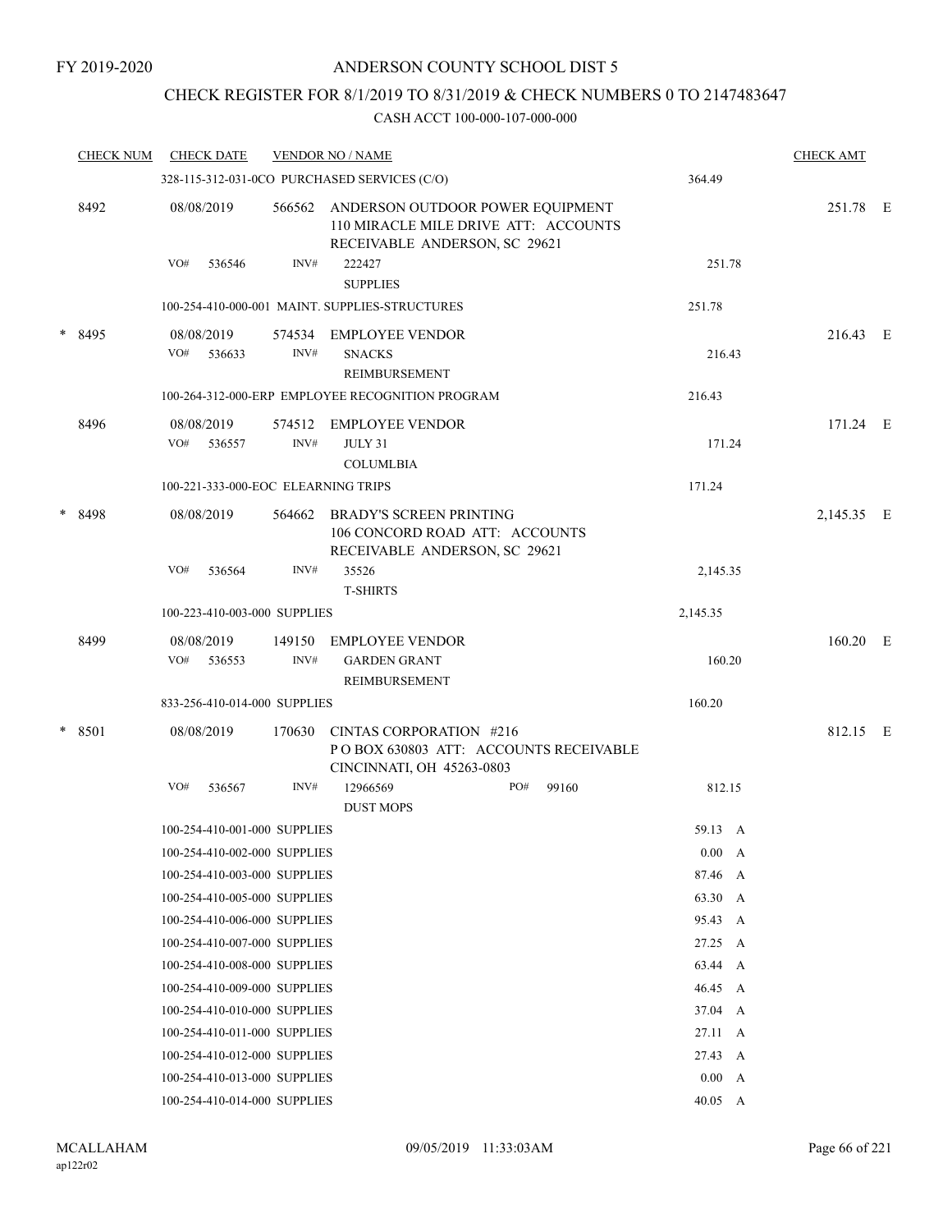## CHECK REGISTER FOR 8/1/2019 TO 8/31/2019 & CHECK NUMBERS 0 TO 2147483647

|        | <b>CHECK NUM</b> | <b>CHECK DATE</b>                   |                | <b>VENDOR NO / NAME</b>                                                                                   |                 | <b>CHECK AMT</b> |  |
|--------|------------------|-------------------------------------|----------------|-----------------------------------------------------------------------------------------------------------|-----------------|------------------|--|
|        |                  |                                     |                | 328-115-312-031-0CO PURCHASED SERVICES (C/O)                                                              | 364.49          |                  |  |
|        | 8492             | 08/08/2019                          | 566562         | ANDERSON OUTDOOR POWER EQUIPMENT<br>110 MIRACLE MILE DRIVE ATT: ACCOUNTS<br>RECEIVABLE ANDERSON, SC 29621 |                 | 251.78 E         |  |
|        |                  | VO#<br>536546                       | INV#           | 222427<br><b>SUPPLIES</b>                                                                                 | 251.78          |                  |  |
|        |                  |                                     |                | 100-254-410-000-001 MAINT. SUPPLIES-STRUCTURES                                                            | 251.78          |                  |  |
|        | * 8495           | 08/08/2019<br>VO#<br>536633         | 574534<br>INV# | <b>EMPLOYEE VENDOR</b><br><b>SNACKS</b><br><b>REIMBURSEMENT</b>                                           | 216.43          | 216.43 E         |  |
|        |                  |                                     |                | 100-264-312-000-ERP EMPLOYEE RECOGNITION PROGRAM                                                          | 216.43          |                  |  |
|        | 8496             | 08/08/2019<br>VO#<br>536557         | 574512<br>INV# | <b>EMPLOYEE VENDOR</b><br>JULY 31<br><b>COLUMLBIA</b>                                                     | 171.24          | 171.24 E         |  |
|        |                  | 100-221-333-000-EOC ELEARNING TRIPS |                |                                                                                                           | 171.24          |                  |  |
| $\ast$ | 8498             | 08/08/2019                          | 564662         | <b>BRADY'S SCREEN PRINTING</b><br>106 CONCORD ROAD ATT: ACCOUNTS<br>RECEIVABLE ANDERSON, SC 29621         |                 | 2,145.35 E       |  |
|        |                  | VO#<br>536564                       | INV#           | 35526<br><b>T-SHIRTS</b>                                                                                  | 2,145.35        |                  |  |
|        |                  | 100-223-410-003-000 SUPPLIES        |                |                                                                                                           | 2,145.35        |                  |  |
|        | 8499             | 08/08/2019<br>VO#<br>536553         | 149150<br>INV# | <b>EMPLOYEE VENDOR</b><br><b>GARDEN GRANT</b><br>REIMBURSEMENT                                            | 160.20          | 160.20 E         |  |
|        |                  | 833-256-410-014-000 SUPPLIES        |                |                                                                                                           | 160.20          |                  |  |
|        | * 8501           | 08/08/2019                          | 170630         | CINTAS CORPORATION #216<br>POBOX 630803 ATT: ACCOUNTS RECEIVABLE<br>CINCINNATI, OH 45263-0803             |                 | 812.15 E         |  |
|        |                  | VO#<br>536567                       | INV#           | 12966569<br>PO#<br>99160<br><b>DUST MOPS</b>                                                              | 812.15          |                  |  |
|        |                  | 100-254-410-001-000 SUPPLIES        |                |                                                                                                           | 59.13 A         |                  |  |
|        |                  | 100-254-410-002-000 SUPPLIES        |                |                                                                                                           | 0.00 A          |                  |  |
|        |                  | 100-254-410-003-000 SUPPLIES        |                |                                                                                                           | 87.46 A         |                  |  |
|        |                  | 100-254-410-005-000 SUPPLIES        |                |                                                                                                           | 63.30 A         |                  |  |
|        |                  | 100-254-410-006-000 SUPPLIES        |                |                                                                                                           | 95.43 A         |                  |  |
|        |                  | 100-254-410-007-000 SUPPLIES        |                |                                                                                                           | 27.25 A         |                  |  |
|        |                  | 100-254-410-008-000 SUPPLIES        |                |                                                                                                           | 63.44 A         |                  |  |
|        |                  | 100-254-410-009-000 SUPPLIES        |                |                                                                                                           | 46.45 A         |                  |  |
|        |                  | 100-254-410-010-000 SUPPLIES        |                |                                                                                                           | 37.04 A         |                  |  |
|        |                  | 100-254-410-011-000 SUPPLIES        |                |                                                                                                           | $27.11 \quad A$ |                  |  |
|        |                  | 100-254-410-012-000 SUPPLIES        |                |                                                                                                           | 27.43 A         |                  |  |
|        |                  | 100-254-410-013-000 SUPPLIES        |                |                                                                                                           | 0.00 A          |                  |  |
|        |                  | 100-254-410-014-000 SUPPLIES        |                |                                                                                                           | $40.05\quad A$  |                  |  |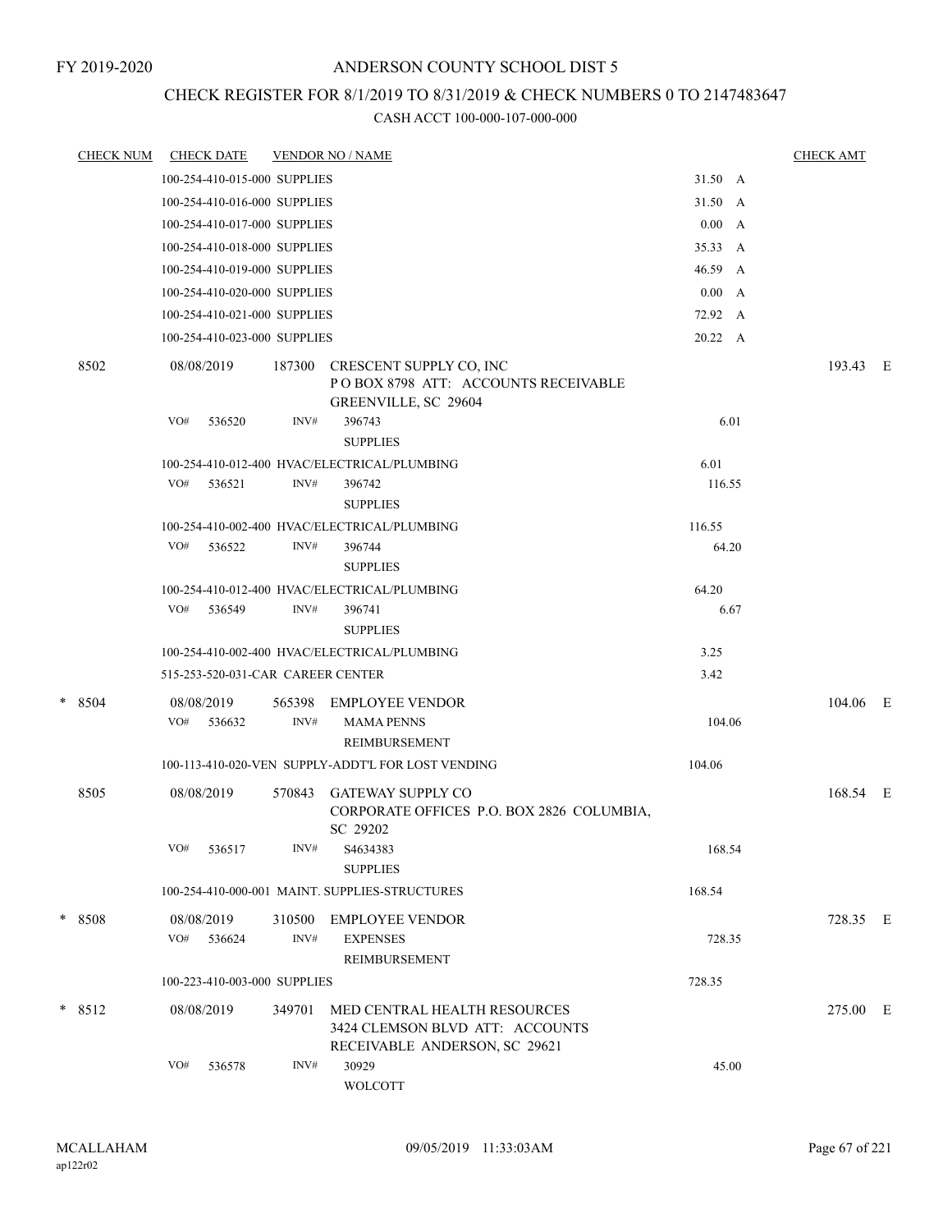## CHECK REGISTER FOR 8/1/2019 TO 8/31/2019 & CHECK NUMBERS 0 TO 2147483647

| <b>CHECK NUM</b> | <b>CHECK DATE</b>                 |        | <b>VENDOR NO / NAME</b>                                                                          |         | <b>CHECK AMT</b> |  |
|------------------|-----------------------------------|--------|--------------------------------------------------------------------------------------------------|---------|------------------|--|
|                  | 100-254-410-015-000 SUPPLIES      |        |                                                                                                  | 31.50 A |                  |  |
|                  | 100-254-410-016-000 SUPPLIES      |        |                                                                                                  | 31.50 A |                  |  |
|                  | 100-254-410-017-000 SUPPLIES      |        |                                                                                                  | 0.00 A  |                  |  |
|                  | 100-254-410-018-000 SUPPLIES      |        |                                                                                                  | 35.33 A |                  |  |
|                  | 100-254-410-019-000 SUPPLIES      |        |                                                                                                  | 46.59 A |                  |  |
|                  | 100-254-410-020-000 SUPPLIES      |        |                                                                                                  | 0.00 A  |                  |  |
|                  | 100-254-410-021-000 SUPPLIES      |        |                                                                                                  | 72.92 A |                  |  |
|                  | 100-254-410-023-000 SUPPLIES      |        |                                                                                                  | 20.22 A |                  |  |
| 8502             | 08/08/2019                        | 187300 | CRESCENT SUPPLY CO, INC<br>POBOX 8798 ATT: ACCOUNTS RECEIVABLE<br>GREENVILLE, SC 29604           |         | 193.43 E         |  |
|                  | VO#<br>536520                     | INV#   | 396743                                                                                           | 6.01    |                  |  |
|                  |                                   |        | <b>SUPPLIES</b>                                                                                  |         |                  |  |
|                  |                                   |        | 100-254-410-012-400 HVAC/ELECTRICAL/PLUMBING                                                     | 6.01    |                  |  |
|                  | VO#<br>536521                     | INV#   | 396742<br><b>SUPPLIES</b>                                                                        | 116.55  |                  |  |
|                  |                                   |        | 100-254-410-002-400 HVAC/ELECTRICAL/PLUMBING                                                     | 116.55  |                  |  |
|                  | VO#<br>536522                     | INV#   | 396744<br><b>SUPPLIES</b>                                                                        | 64.20   |                  |  |
|                  |                                   |        | 100-254-410-012-400 HVAC/ELECTRICAL/PLUMBING                                                     | 64.20   |                  |  |
|                  | VO#<br>536549                     | INV#   | 396741<br><b>SUPPLIES</b>                                                                        | 6.67    |                  |  |
|                  |                                   |        | 100-254-410-002-400 HVAC/ELECTRICAL/PLUMBING                                                     | 3.25    |                  |  |
|                  | 515-253-520-031-CAR CAREER CENTER |        |                                                                                                  | 3.42    |                  |  |
| $*8504$          | 08/08/2019                        | 565398 | <b>EMPLOYEE VENDOR</b>                                                                           |         | 104.06 E         |  |
|                  | VO#<br>536632                     | INV#   | <b>MAMA PENNS</b>                                                                                | 104.06  |                  |  |
|                  |                                   |        | REIMBURSEMENT                                                                                    |         |                  |  |
|                  |                                   |        | 100-113-410-020-VEN SUPPLY-ADDT'L FOR LOST VENDING                                               | 104.06  |                  |  |
| 8505             | 08/08/2019                        |        | 570843 GATEWAY SUPPLY CO<br>CORPORATE OFFICES P.O. BOX 2826 COLUMBIA,<br>SC 29202                |         | 168.54 E         |  |
|                  | VO#<br>536517                     | INV#   | S <sub>46</sub> 34383<br><b>SUPPLIES</b>                                                         | 168.54  |                  |  |
|                  |                                   |        | 100-254-410-000-001 MAINT. SUPPLIES-STRUCTURES                                                   | 168.54  |                  |  |
| * 8508           | 08/08/2019                        | 310500 | EMPLOYEE VENDOR                                                                                  |         | 728.35 E         |  |
|                  | VO#<br>536624                     | INV#   | <b>EXPENSES</b>                                                                                  | 728.35  |                  |  |
|                  |                                   |        | REIMBURSEMENT                                                                                    |         |                  |  |
|                  | 100-223-410-003-000 SUPPLIES      |        |                                                                                                  | 728.35  |                  |  |
| $*$ 8512         | 08/08/2019                        | 349701 | MED CENTRAL HEALTH RESOURCES<br>3424 CLEMSON BLVD ATT: ACCOUNTS<br>RECEIVABLE ANDERSON, SC 29621 |         | 275.00 E         |  |
|                  | VO#<br>536578                     | INV#   | 30929<br><b>WOLCOTT</b>                                                                          | 45.00   |                  |  |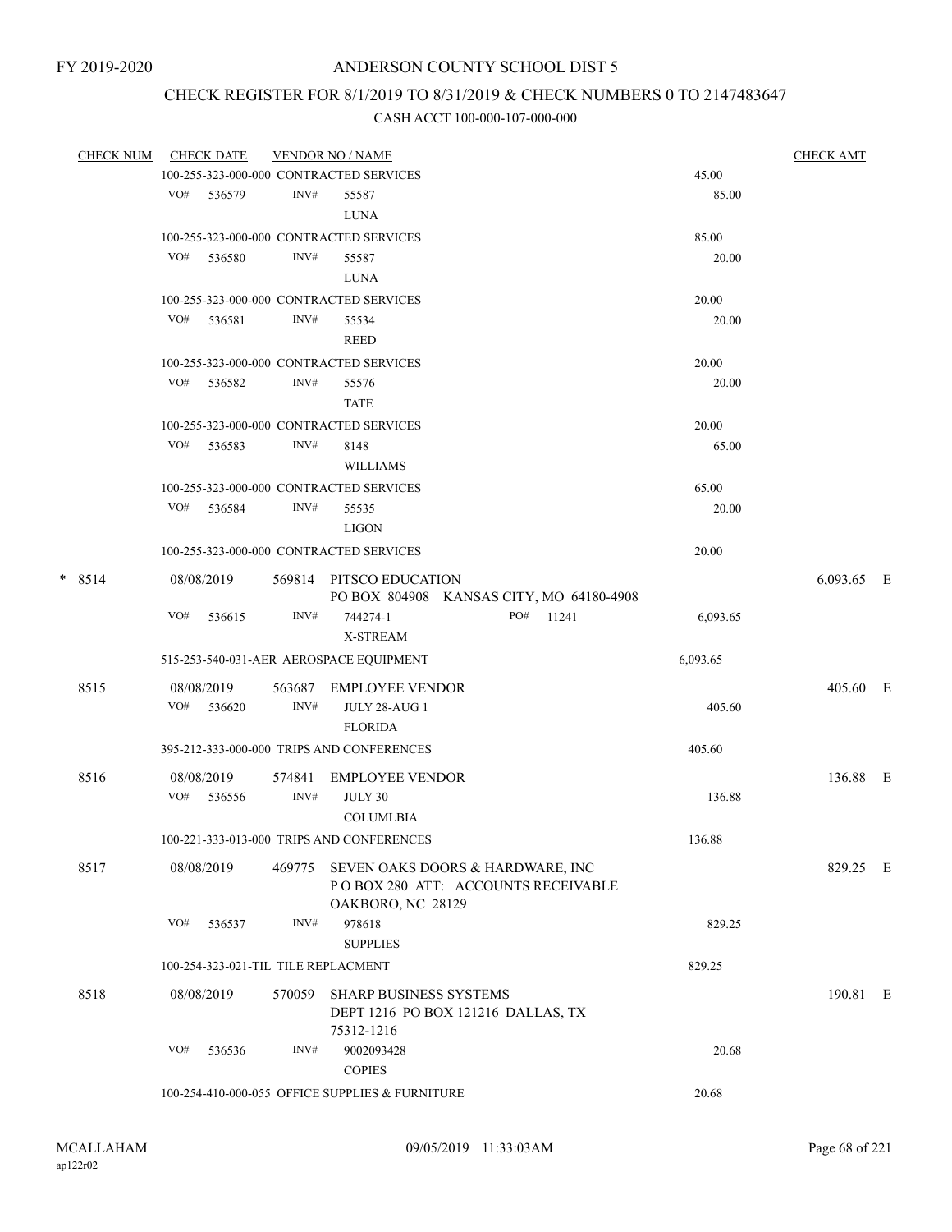# CHECK REGISTER FOR 8/1/2019 TO 8/31/2019 & CHECK NUMBERS 0 TO 2147483647

| <b>CHECK NUM</b> |     | <b>CHECK DATE</b>                   |        | <b>VENDOR NO / NAME</b>                         |                                          |          | <b>CHECK AMT</b> |  |
|------------------|-----|-------------------------------------|--------|-------------------------------------------------|------------------------------------------|----------|------------------|--|
|                  |     |                                     |        | 100-255-323-000-000 CONTRACTED SERVICES         |                                          | 45.00    |                  |  |
|                  |     | VO# 536579                          | INV#   | 55587                                           |                                          | 85.00    |                  |  |
|                  |     |                                     |        | <b>LUNA</b>                                     |                                          |          |                  |  |
|                  |     |                                     |        | 100-255-323-000-000 CONTRACTED SERVICES         |                                          | 85.00    |                  |  |
|                  | VO# | 536580                              | INV#   | 55587                                           |                                          | 20.00    |                  |  |
|                  |     |                                     |        | LUNA                                            |                                          |          |                  |  |
|                  |     |                                     |        | 100-255-323-000-000 CONTRACTED SERVICES         |                                          | 20.00    |                  |  |
|                  | VO# | 536581                              | INV#   | 55534                                           |                                          | 20.00    |                  |  |
|                  |     |                                     |        | <b>REED</b>                                     |                                          |          |                  |  |
|                  |     |                                     |        | 100-255-323-000-000 CONTRACTED SERVICES         |                                          | 20.00    |                  |  |
|                  | VO# | 536582                              | INV#   | 55576                                           |                                          | 20.00    |                  |  |
|                  |     |                                     |        | <b>TATE</b>                                     |                                          |          |                  |  |
|                  |     |                                     |        | 100-255-323-000-000 CONTRACTED SERVICES         |                                          | 20.00    |                  |  |
|                  | VO# | 536583                              | INV#   | 8148                                            |                                          | 65.00    |                  |  |
|                  |     |                                     |        | <b>WILLIAMS</b>                                 |                                          |          |                  |  |
|                  |     |                                     |        | 100-255-323-000-000 CONTRACTED SERVICES         |                                          | 65.00    |                  |  |
|                  |     | VO# 536584                          | INV#   | 55535                                           |                                          | 20.00    |                  |  |
|                  |     |                                     |        | <b>LIGON</b>                                    |                                          |          |                  |  |
|                  |     |                                     |        | 100-255-323-000-000 CONTRACTED SERVICES         |                                          | 20.00    |                  |  |
|                  |     |                                     |        |                                                 |                                          |          |                  |  |
| $* 8514$         |     | 08/08/2019                          |        | 569814 PITSCO EDUCATION                         | PO BOX 804908 KANSAS CITY, MO 64180-4908 |          | 6,093.65 E       |  |
|                  | VO# | 536615                              | INV#   | 744274-1                                        | PO#<br>11241                             | 6,093.65 |                  |  |
|                  |     |                                     |        | X-STREAM                                        |                                          |          |                  |  |
|                  |     |                                     |        | 515-253-540-031-AER AEROSPACE EQUIPMENT         |                                          | 6,093.65 |                  |  |
|                  |     |                                     |        |                                                 |                                          |          |                  |  |
| 8515             |     | 08/08/2019                          | 563687 | EMPLOYEE VENDOR                                 |                                          |          | 405.60 E         |  |
|                  |     | VO# 536620                          | INV#   | <b>JULY 28-AUG 1</b>                            |                                          | 405.60   |                  |  |
|                  |     |                                     |        | <b>FLORIDA</b>                                  |                                          |          |                  |  |
|                  |     |                                     |        | 395-212-333-000-000 TRIPS AND CONFERENCES       |                                          | 405.60   |                  |  |
| 8516             |     | 08/08/2019                          | 574841 | <b>EMPLOYEE VENDOR</b>                          |                                          |          | 136.88 E         |  |
|                  |     | VO# 536556                          | INV#   | JULY 30                                         |                                          | 136.88   |                  |  |
|                  |     |                                     |        | <b>COLUMLBIA</b>                                |                                          |          |                  |  |
|                  |     |                                     |        | 100-221-333-013-000 TRIPS AND CONFERENCES       |                                          | 136.88   |                  |  |
| 8517             |     | 08/08/2019                          | 469775 |                                                 | SEVEN OAKS DOORS & HARDWARE, INC         |          | 829.25 E         |  |
|                  |     |                                     |        |                                                 | POBOX 280 ATT: ACCOUNTS RECEIVABLE       |          |                  |  |
|                  |     |                                     |        | OAKBORO, NC 28129                               |                                          |          |                  |  |
|                  | VO# | 536537                              | INV#   | 978618                                          |                                          | 829.25   |                  |  |
|                  |     |                                     |        | <b>SUPPLIES</b>                                 |                                          |          |                  |  |
|                  |     | 100-254-323-021-TIL TILE REPLACMENT |        |                                                 |                                          | 829.25   |                  |  |
|                  |     |                                     |        |                                                 |                                          |          |                  |  |
| 8518             |     | 08/08/2019                          | 570059 | SHARP BUSINESS SYSTEMS                          | DEPT 1216 PO BOX 121216 DALLAS, TX       |          | 190.81 E         |  |
|                  |     |                                     |        | 75312-1216                                      |                                          |          |                  |  |
|                  | VO# | 536536                              | INV#   | 9002093428                                      |                                          | 20.68    |                  |  |
|                  |     |                                     |        | <b>COPIES</b>                                   |                                          |          |                  |  |
|                  |     |                                     |        | 100-254-410-000-055 OFFICE SUPPLIES & FURNITURE |                                          | 20.68    |                  |  |
|                  |     |                                     |        |                                                 |                                          |          |                  |  |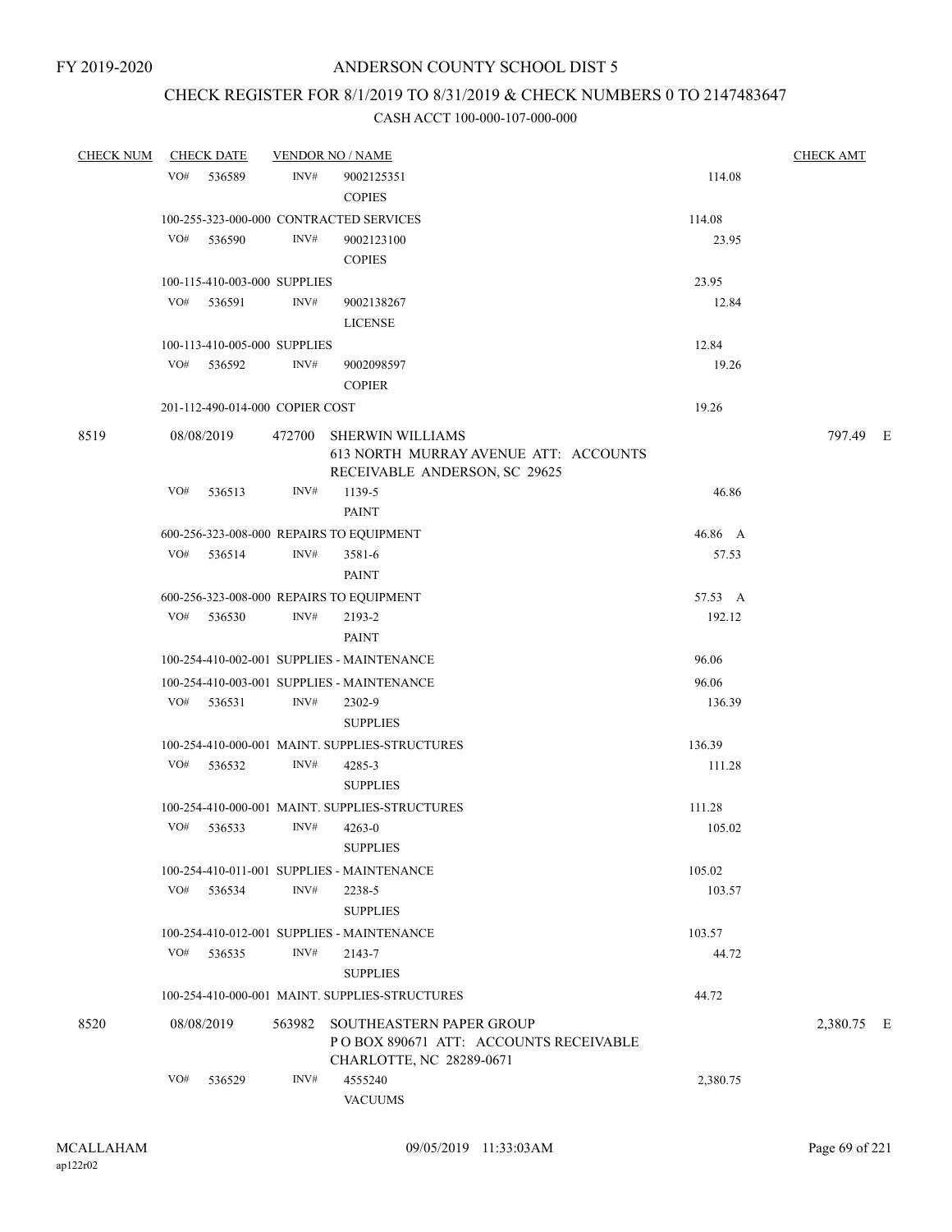## CHECK REGISTER FOR 8/1/2019 TO 8/31/2019 & CHECK NUMBERS 0 TO 2147483647

| <b>CHECK NUM</b> | <b>CHECK DATE</b>                        |        | <b>VENDOR NO / NAME</b>                                            |          | <b>CHECK AMT</b> |  |
|------------------|------------------------------------------|--------|--------------------------------------------------------------------|----------|------------------|--|
|                  | VO# 536589                               | INV#   | 9002125351                                                         | 114.08   |                  |  |
|                  |                                          |        | <b>COPIES</b>                                                      |          |                  |  |
|                  | 100-255-323-000-000 CONTRACTED SERVICES  |        |                                                                    | 114.08   |                  |  |
|                  | VO#<br>536590                            | INV#   | 9002123100                                                         | 23.95    |                  |  |
|                  |                                          |        | <b>COPIES</b>                                                      |          |                  |  |
|                  | 100-115-410-003-000 SUPPLIES             |        |                                                                    | 23.95    |                  |  |
|                  | VO#<br>536591                            | INV#   | 9002138267                                                         | 12.84    |                  |  |
|                  |                                          |        | <b>LICENSE</b>                                                     |          |                  |  |
|                  | 100-113-410-005-000 SUPPLIES             |        |                                                                    | 12.84    |                  |  |
|                  | VO#<br>536592                            | INV#   | 9002098597                                                         | 19.26    |                  |  |
|                  |                                          |        | <b>COPIER</b>                                                      |          |                  |  |
|                  | 201-112-490-014-000 COPIER COST          |        |                                                                    | 19.26    |                  |  |
|                  |                                          |        |                                                                    |          |                  |  |
| 8519             | 08/08/2019                               | 472700 | <b>SHERWIN WILLIAMS</b><br>613 NORTH MURRAY AVENUE ATT: ACCOUNTS   |          | 797.49 E         |  |
|                  |                                          |        | RECEIVABLE ANDERSON, SC 29625                                      |          |                  |  |
|                  | VO#<br>536513                            | INV#   | 1139-5                                                             | 46.86    |                  |  |
|                  |                                          |        | <b>PAINT</b>                                                       |          |                  |  |
|                  | 600-256-323-008-000 REPAIRS TO EQUIPMENT |        |                                                                    | 46.86 A  |                  |  |
|                  | VO# 536514                               | INV#   | 3581-6                                                             | 57.53    |                  |  |
|                  |                                          |        | PAINT                                                              |          |                  |  |
|                  | 600-256-323-008-000 REPAIRS TO EQUIPMENT |        |                                                                    | 57.53 A  |                  |  |
|                  | VO# 536530                               | INV#   | 2193-2                                                             | 192.12   |                  |  |
|                  |                                          |        | <b>PAINT</b>                                                       |          |                  |  |
|                  |                                          |        | 100-254-410-002-001 SUPPLIES - MAINTENANCE                         | 96.06    |                  |  |
|                  |                                          |        | 100-254-410-003-001 SUPPLIES - MAINTENANCE                         | 96.06    |                  |  |
|                  | VO# 536531                               | INV#   | 2302-9                                                             | 136.39   |                  |  |
|                  |                                          |        | <b>SUPPLIES</b>                                                    |          |                  |  |
|                  |                                          |        | 100-254-410-000-001 MAINT. SUPPLIES-STRUCTURES                     | 136.39   |                  |  |
|                  | VO#<br>536532                            | INV#   | 4285-3                                                             | 111.28   |                  |  |
|                  |                                          |        | <b>SUPPLIES</b>                                                    |          |                  |  |
|                  |                                          |        | 100-254-410-000-001 MAINT. SUPPLIES-STRUCTURES                     | 111.28   |                  |  |
|                  | VO# 536533                               | INV#   | $4263 - 0$                                                         | 105.02   |                  |  |
|                  |                                          |        | <b>SUPPLIES</b>                                                    |          |                  |  |
|                  |                                          |        | 100-254-410-011-001 SUPPLIES - MAINTENANCE                         | 105.02   |                  |  |
|                  | VO#<br>536534                            | INV#   | 2238-5                                                             | 103.57   |                  |  |
|                  |                                          |        | <b>SUPPLIES</b>                                                    |          |                  |  |
|                  |                                          |        | 100-254-410-012-001 SUPPLIES - MAINTENANCE                         | 103.57   |                  |  |
|                  | VO#<br>536535                            | INV#   | 2143-7                                                             | 44.72    |                  |  |
|                  |                                          |        | <b>SUPPLIES</b>                                                    |          |                  |  |
|                  |                                          |        | 100-254-410-000-001 MAINT. SUPPLIES-STRUCTURES                     | 44.72    |                  |  |
|                  |                                          |        |                                                                    |          |                  |  |
| 8520             | 08/08/2019                               | 563982 | SOUTHEASTERN PAPER GROUP<br>PO BOX 890671 ATT: ACCOUNTS RECEIVABLE |          | 2,380.75 E       |  |
|                  |                                          |        | CHARLOTTE, NC 28289-0671                                           |          |                  |  |
|                  | VO#<br>536529                            | INV#   | 4555240                                                            | 2,380.75 |                  |  |
|                  |                                          |        | <b>VACUUMS</b>                                                     |          |                  |  |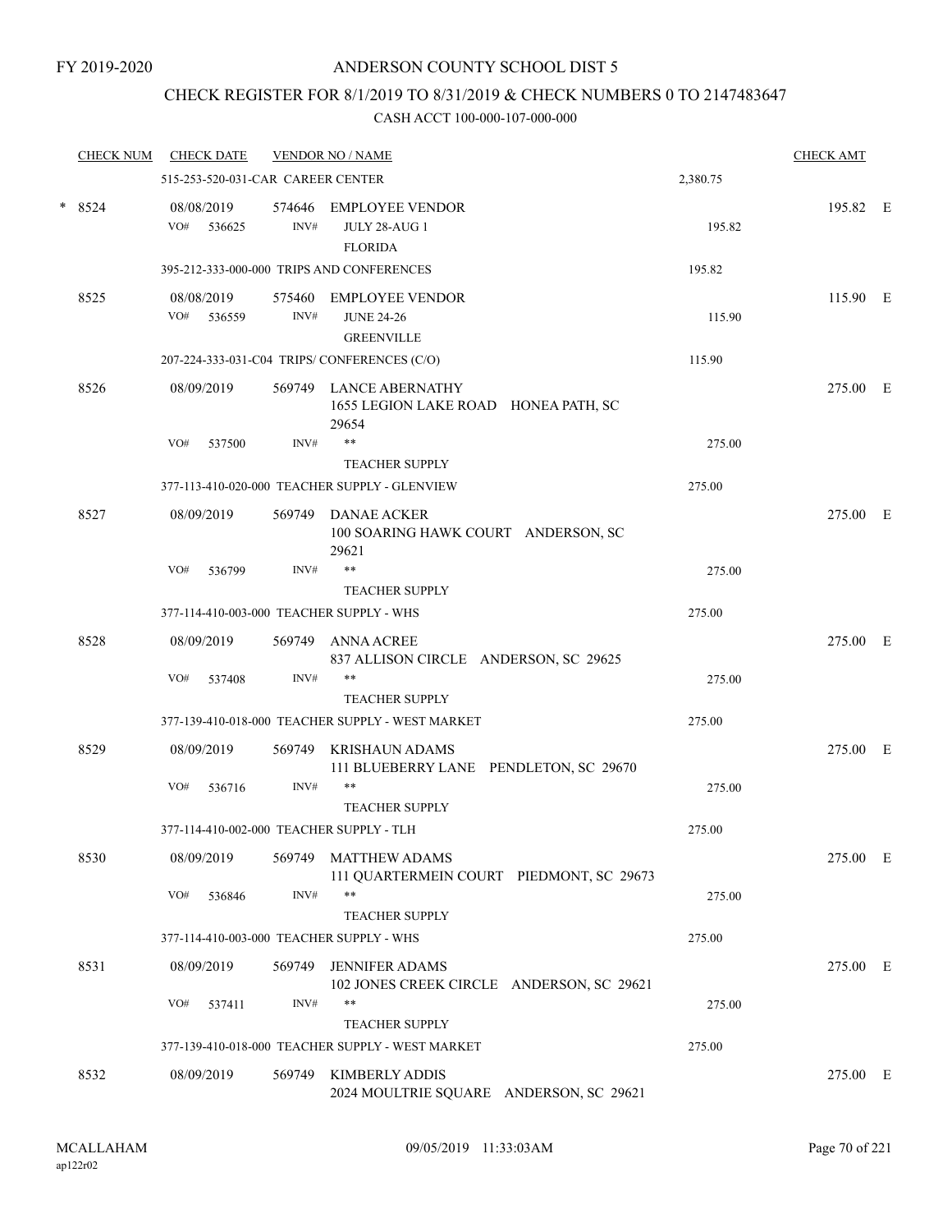## CHECK REGISTER FOR 8/1/2019 TO 8/31/2019 & CHECK NUMBERS 0 TO 2147483647

| <b>CHECK NUM</b> |     | <b>CHECK DATE</b>    |                                   | <b>VENDOR NO / NAME</b>                                            |          | <b>CHECK AMT</b> |  |
|------------------|-----|----------------------|-----------------------------------|--------------------------------------------------------------------|----------|------------------|--|
|                  |     |                      | 515-253-520-031-CAR CAREER CENTER |                                                                    | 2,380.75 |                  |  |
| $*8524$          | VO# | 08/08/2019<br>536625 | 574646<br>INV#                    | <b>EMPLOYEE VENDOR</b><br><b>JULY 28-AUG 1</b><br><b>FLORIDA</b>   | 195.82   | 195.82 E         |  |
|                  |     |                      |                                   | 395-212-333-000-000 TRIPS AND CONFERENCES                          | 195.82   |                  |  |
| 8525             | VO# | 08/08/2019<br>536559 | 575460<br>INV#                    | <b>EMPLOYEE VENDOR</b><br><b>JUNE 24-26</b><br><b>GREENVILLE</b>   | 115.90   | 115.90 E         |  |
|                  |     |                      |                                   | 207-224-333-031-C04 TRIPS/CONFERENCES (C/O)                        | 115.90   |                  |  |
| 8526             |     | 08/09/2019           | 569749                            | LANCE ABERNATHY<br>1655 LEGION LAKE ROAD HONEA PATH, SC<br>29654   |          | 275.00 E         |  |
|                  | VO# | 537500               | INV#                              | **<br><b>TEACHER SUPPLY</b>                                        | 275.00   |                  |  |
|                  |     |                      |                                   | 377-113-410-020-000 TEACHER SUPPLY - GLENVIEW                      | 275.00   |                  |  |
| 8527             |     | 08/09/2019           | 569749                            | <b>DANAE ACKER</b><br>100 SOARING HAWK COURT ANDERSON, SC<br>29621 |          | 275.00 E         |  |
|                  | VO# | 536799               | INV#                              | **<br><b>TEACHER SUPPLY</b>                                        | 275.00   |                  |  |
|                  |     |                      |                                   | 377-114-410-003-000 TEACHER SUPPLY - WHS                           | 275.00   |                  |  |
| 8528             |     | 08/09/2019           | 569749                            | <b>ANNA ACREE</b><br>837 ALLISON CIRCLE ANDERSON, SC 29625         |          | 275.00 E         |  |
|                  | VO# | 537408               | INV#                              | **<br><b>TEACHER SUPPLY</b>                                        | 275.00   |                  |  |
|                  |     |                      |                                   | 377-139-410-018-000 TEACHER SUPPLY - WEST MARKET                   | 275.00   |                  |  |
| 8529             |     | 08/09/2019           | 569749                            | <b>KRISHAUN ADAMS</b><br>111 BLUEBERRY LANE PENDLETON, SC 29670    |          | 275.00 E         |  |
|                  | VO# | 536716               | INV#                              | **<br><b>TEACHER SUPPLY</b>                                        | 275.00   |                  |  |
|                  |     |                      |                                   | 377-114-410-002-000 TEACHER SUPPLY - TLH                           | 275.00   |                  |  |
| 8530             |     | 08/09/2019           | 569749                            | <b>MATTHEW ADAMS</b><br>111 QUARTERMEIN COURT PIEDMONT, SC 29673   |          | 275.00 E         |  |
|                  | VO# | 536846               | INV#                              | $***$<br><b>TEACHER SUPPLY</b>                                     | 275.00   |                  |  |
|                  |     |                      |                                   | 377-114-410-003-000 TEACHER SUPPLY - WHS                           | 275.00   |                  |  |
| 8531             |     | 08/09/2019           | 569749                            | <b>JENNIFER ADAMS</b><br>102 JONES CREEK CIRCLE ANDERSON, SC 29621 |          | 275.00 E         |  |
|                  | VO# | 537411               | INV#                              | **<br><b>TEACHER SUPPLY</b>                                        | 275.00   |                  |  |
|                  |     |                      |                                   | 377-139-410-018-000 TEACHER SUPPLY - WEST MARKET                   | 275.00   |                  |  |
| 8532             |     | 08/09/2019           |                                   | 569749 KIMBERLY ADDIS<br>2024 MOULTRIE SQUARE ANDERSON, SC 29621   |          | 275.00 E         |  |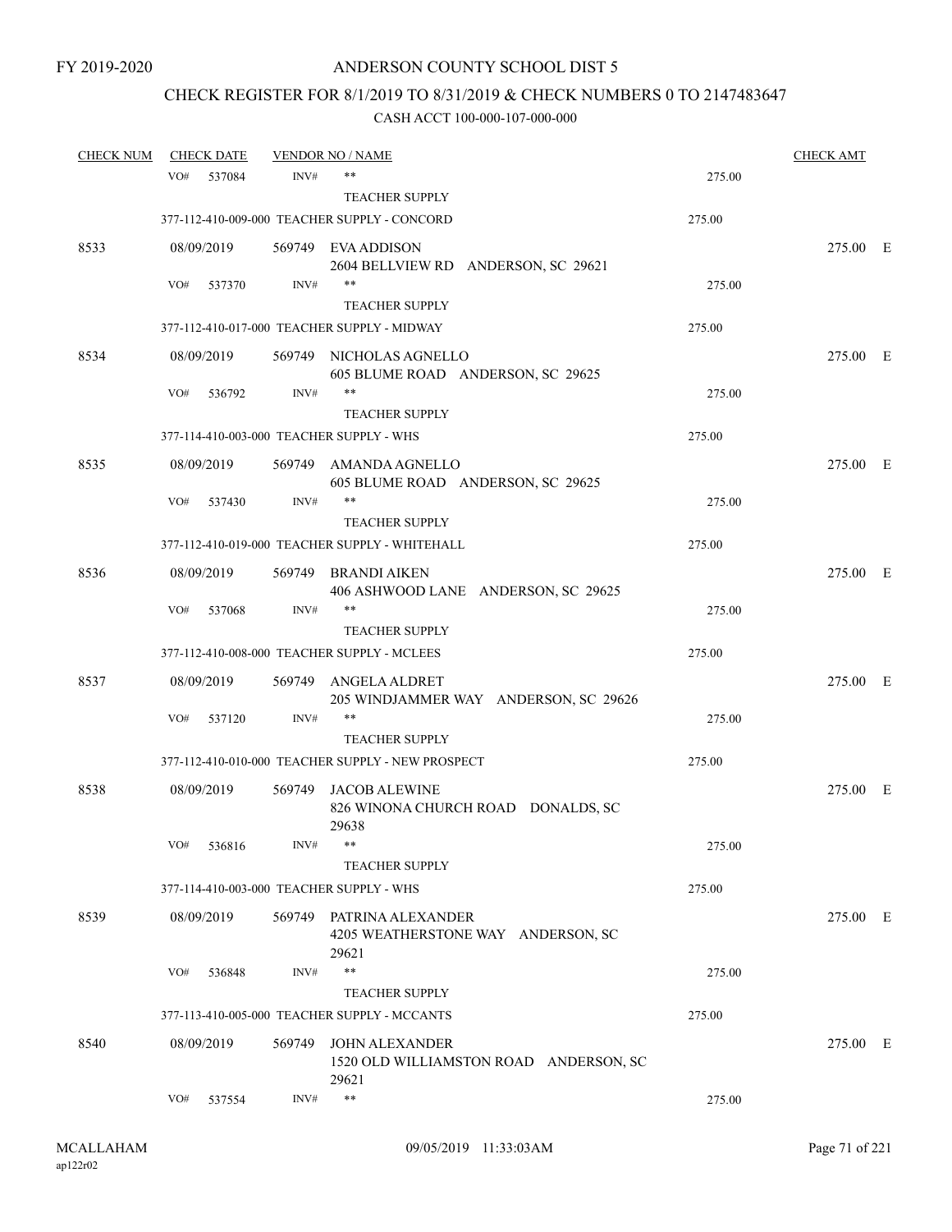## CHECK REGISTER FOR 8/1/2019 TO 8/31/2019 & CHECK NUMBERS 0 TO 2147483647

| <b>CHECK NUM</b> |     | <b>CHECK DATE</b> |        | <b>VENDOR NO / NAME</b>                                                 |        | <b>CHECK AMT</b> |  |
|------------------|-----|-------------------|--------|-------------------------------------------------------------------------|--------|------------------|--|
|                  | VO# | 537084            | INV#   | $***$                                                                   | 275.00 |                  |  |
|                  |     |                   |        | <b>TEACHER SUPPLY</b>                                                   |        |                  |  |
|                  |     |                   |        | 377-112-410-009-000 TEACHER SUPPLY - CONCORD                            | 275.00 |                  |  |
| 8533             |     | 08/09/2019        |        | 569749 EVA ADDISON<br>2604 BELLVIEW RD ANDERSON, SC 29621               |        | 275.00 E         |  |
|                  | VO# | 537370            | INV#   | $***$                                                                   | 275.00 |                  |  |
|                  |     |                   |        | <b>TEACHER SUPPLY</b>                                                   |        |                  |  |
|                  |     |                   |        | 377-112-410-017-000 TEACHER SUPPLY - MIDWAY                             | 275.00 |                  |  |
| 8534             |     | 08/09/2019        |        | 569749 NICHOLAS AGNELLO<br>605 BLUME ROAD ANDERSON, SC 29625            |        | 275.00 E         |  |
|                  | VO# | 536792            | INV#   | $***$                                                                   | 275.00 |                  |  |
|                  |     |                   |        | <b>TEACHER SUPPLY</b>                                                   |        |                  |  |
|                  |     |                   |        | 377-114-410-003-000 TEACHER SUPPLY - WHS                                | 275.00 |                  |  |
| 8535             |     | 08/09/2019        |        | 569749 AMANDA AGNELLO<br>605 BLUME ROAD ANDERSON, SC 29625              |        | 275.00 E         |  |
|                  | VO# | 537430            | INV#   | **                                                                      | 275.00 |                  |  |
|                  |     |                   |        | <b>TEACHER SUPPLY</b><br>377-112-410-019-000 TEACHER SUPPLY - WHITEHALL | 275.00 |                  |  |
|                  |     |                   |        |                                                                         |        |                  |  |
| 8536             |     | 08/09/2019        | 569749 | BRANDI AIKEN<br>406 ASHWOOD LANE ANDERSON, SC 29625                     |        | 275.00 E         |  |
|                  | VO# | 537068            | INV#   | $***$                                                                   | 275.00 |                  |  |
|                  |     |                   |        | <b>TEACHER SUPPLY</b>                                                   |        |                  |  |
|                  |     |                   |        | 377-112-410-008-000 TEACHER SUPPLY - MCLEES                             | 275.00 |                  |  |
| 8537             |     | 08/09/2019        | 569749 | ANGELA ALDRET<br>205 WINDJAMMER WAY ANDERSON, SC 29626                  |        | 275.00 E         |  |
|                  | VO# | 537120            | INV#   | $***$                                                                   | 275.00 |                  |  |
|                  |     |                   |        | <b>TEACHER SUPPLY</b>                                                   |        |                  |  |
|                  |     |                   |        | 377-112-410-010-000 TEACHER SUPPLY - NEW PROSPECT                       | 275.00 |                  |  |
| 8538             |     | 08/09/2019        | 569749 | JACOB ALEWINE<br>826 WINONA CHURCH ROAD DONALDS, SC<br>29638            |        | 275.00 E         |  |
|                  | VO# | 536816            | INV#   |                                                                         | 275.00 |                  |  |
|                  |     |                   |        | <b>TEACHER SUPPLY</b>                                                   |        |                  |  |
|                  |     |                   |        | 377-114-410-003-000 TEACHER SUPPLY - WHS                                | 275.00 |                  |  |
| 8539             |     | 08/09/2019        |        | 569749 PATRINA ALEXANDER<br>4205 WEATHERSTONE WAY ANDERSON, SC<br>29621 |        | 275.00 E         |  |
|                  | VO# | 536848            | INV#   | $***$                                                                   | 275.00 |                  |  |
|                  |     |                   |        | <b>TEACHER SUPPLY</b>                                                   |        |                  |  |
|                  |     |                   |        | 377-113-410-005-000 TEACHER SUPPLY - MCCANTS                            | 275.00 |                  |  |
| 8540             |     | 08/09/2019        | 569749 | <b>JOHN ALEXANDER</b><br>1520 OLD WILLIAMSTON ROAD ANDERSON, SC         |        | 275.00 E         |  |
|                  | VO# | 537554            | INV#   | 29621<br>$***$                                                          | 275.00 |                  |  |
|                  |     |                   |        |                                                                         |        |                  |  |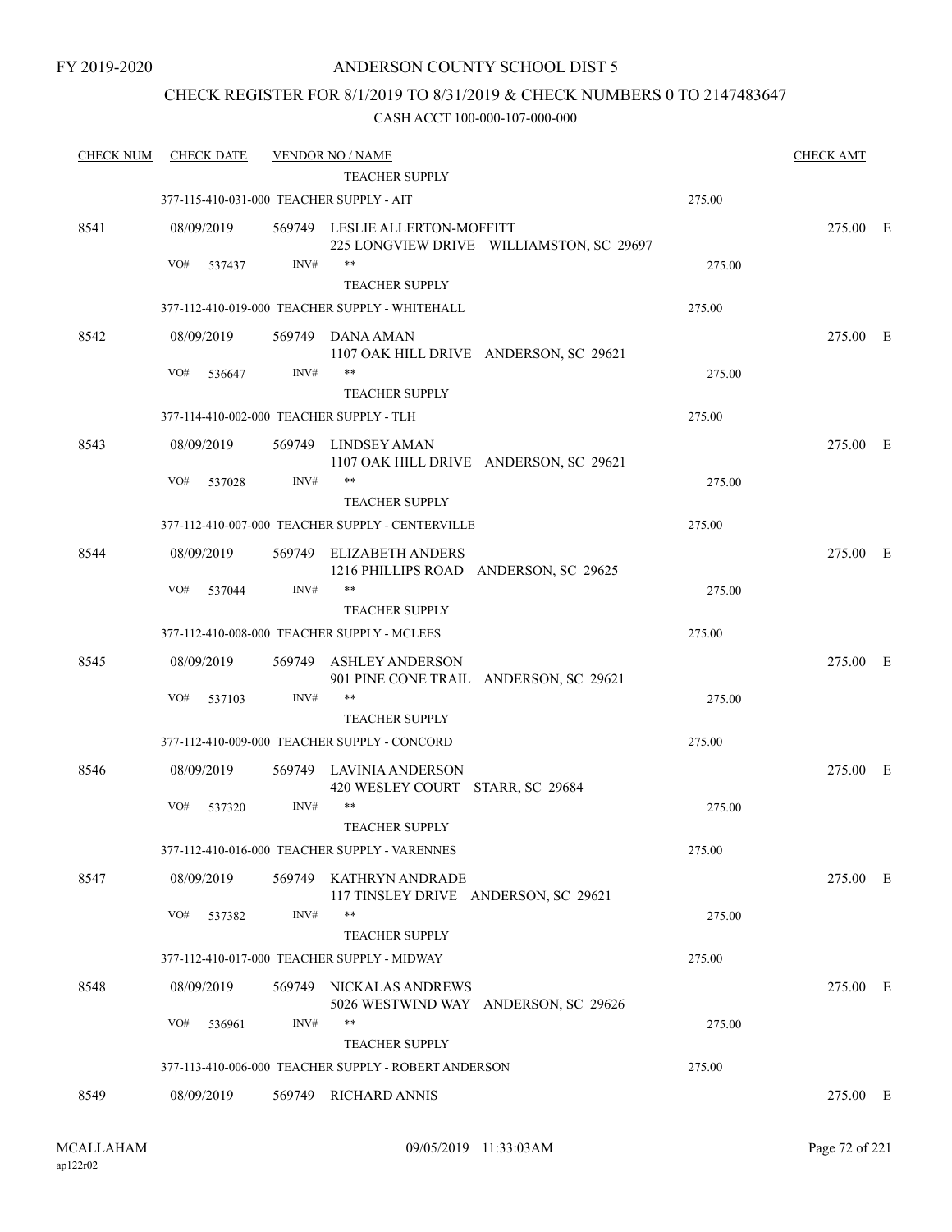### CHECK REGISTER FOR 8/1/2019 TO 8/31/2019 & CHECK NUMBERS 0 TO 2147483647

| <b>CHECK NUM</b> | <b>CHECK DATE</b> |        | <b>VENDOR NO / NAME</b>                                                    |        | <b>CHECK AMT</b> |  |
|------------------|-------------------|--------|----------------------------------------------------------------------------|--------|------------------|--|
|                  |                   |        | <b>TEACHER SUPPLY</b>                                                      |        |                  |  |
|                  |                   |        | 377-115-410-031-000 TEACHER SUPPLY - AIT                                   | 275.00 |                  |  |
| 8541             | 08/09/2019        |        | 569749 LESLIE ALLERTON-MOFFITT<br>225 LONGVIEW DRIVE WILLIAMSTON, SC 29697 |        | 275.00 E         |  |
|                  | VO#<br>537437     | INV#   | $***$                                                                      | 275.00 |                  |  |
|                  |                   |        | <b>TEACHER SUPPLY</b>                                                      |        |                  |  |
|                  |                   |        | 377-112-410-019-000 TEACHER SUPPLY - WHITEHALL                             | 275.00 |                  |  |
| 8542             | 08/09/2019        |        | 569749 DANA AMAN<br>1107 OAK HILL DRIVE ANDERSON, SC 29621                 |        | 275.00 E         |  |
|                  | VO#<br>536647     | INV#   | **                                                                         | 275.00 |                  |  |
|                  |                   |        | <b>TEACHER SUPPLY</b>                                                      |        |                  |  |
|                  |                   |        | 377-114-410-002-000 TEACHER SUPPLY - TLH                                   | 275.00 |                  |  |
| 8543             | 08/09/2019        |        | 569749 LINDSEY AMAN<br>1107 OAK HILL DRIVE ANDERSON, SC 29621              |        | 275.00 E         |  |
|                  | VO#<br>537028     | INV#   | $***$                                                                      | 275.00 |                  |  |
|                  |                   |        | <b>TEACHER SUPPLY</b>                                                      |        |                  |  |
|                  |                   |        | 377-112-410-007-000 TEACHER SUPPLY - CENTERVILLE                           | 275.00 |                  |  |
| 8544             | 08/09/2019        | 569749 | <b>ELIZABETH ANDERS</b><br>1216 PHILLIPS ROAD ANDERSON, SC 29625           |        | 275.00 E         |  |
|                  | VO#<br>537044     | INV#   | $***$                                                                      | 275.00 |                  |  |
|                  |                   |        | <b>TEACHER SUPPLY</b>                                                      |        |                  |  |
|                  |                   |        | 377-112-410-008-000 TEACHER SUPPLY - MCLEES                                | 275.00 |                  |  |
| 8545             | 08/09/2019        | 569749 | <b>ASHLEY ANDERSON</b><br>901 PINE CONE TRAIL ANDERSON, SC 29621           |        | 275.00 E         |  |
|                  | VO#<br>537103     | INV#   | $***$                                                                      | 275.00 |                  |  |
|                  |                   |        | <b>TEACHER SUPPLY</b>                                                      |        |                  |  |
|                  |                   |        | 377-112-410-009-000 TEACHER SUPPLY - CONCORD                               | 275.00 |                  |  |
| 8546             | 08/09/2019        |        | 569749 LAVINIA ANDERSON<br>420 WESLEY COURT STARR, SC 29684                |        | 275.00 E         |  |
|                  | VO#<br>537320     | INV#   | $***$<br><b>TEACHER SUPPLY</b>                                             | 275.00 |                  |  |
|                  |                   |        | 377-112-410-016-000 TEACHER SUPPLY - VARENNES                              | 275.00 |                  |  |
| 8547             | 08/09/2019        |        | 569749 KATHRYN ANDRADE<br>117 TINSLEY DRIVE ANDERSON, SC 29621             |        | 275.00 E         |  |
|                  | VO#<br>537382     | INV#   | **                                                                         | 275.00 |                  |  |
|                  |                   |        | <b>TEACHER SUPPLY</b>                                                      |        |                  |  |
|                  |                   |        | 377-112-410-017-000 TEACHER SUPPLY - MIDWAY                                | 275.00 |                  |  |
| 8548             | 08/09/2019        |        | 569749 NICKALAS ANDREWS<br>5026 WESTWIND WAY ANDERSON, SC 29626            |        | 275.00 E         |  |
|                  | VO#<br>536961     | INV#   | $***$                                                                      | 275.00 |                  |  |
|                  |                   |        | <b>TEACHER SUPPLY</b>                                                      |        |                  |  |
|                  |                   |        | 377-113-410-006-000 TEACHER SUPPLY - ROBERT ANDERSON                       | 275.00 |                  |  |
| 8549             | 08/09/2019        |        | 569749 RICHARD ANNIS                                                       |        | 275.00 E         |  |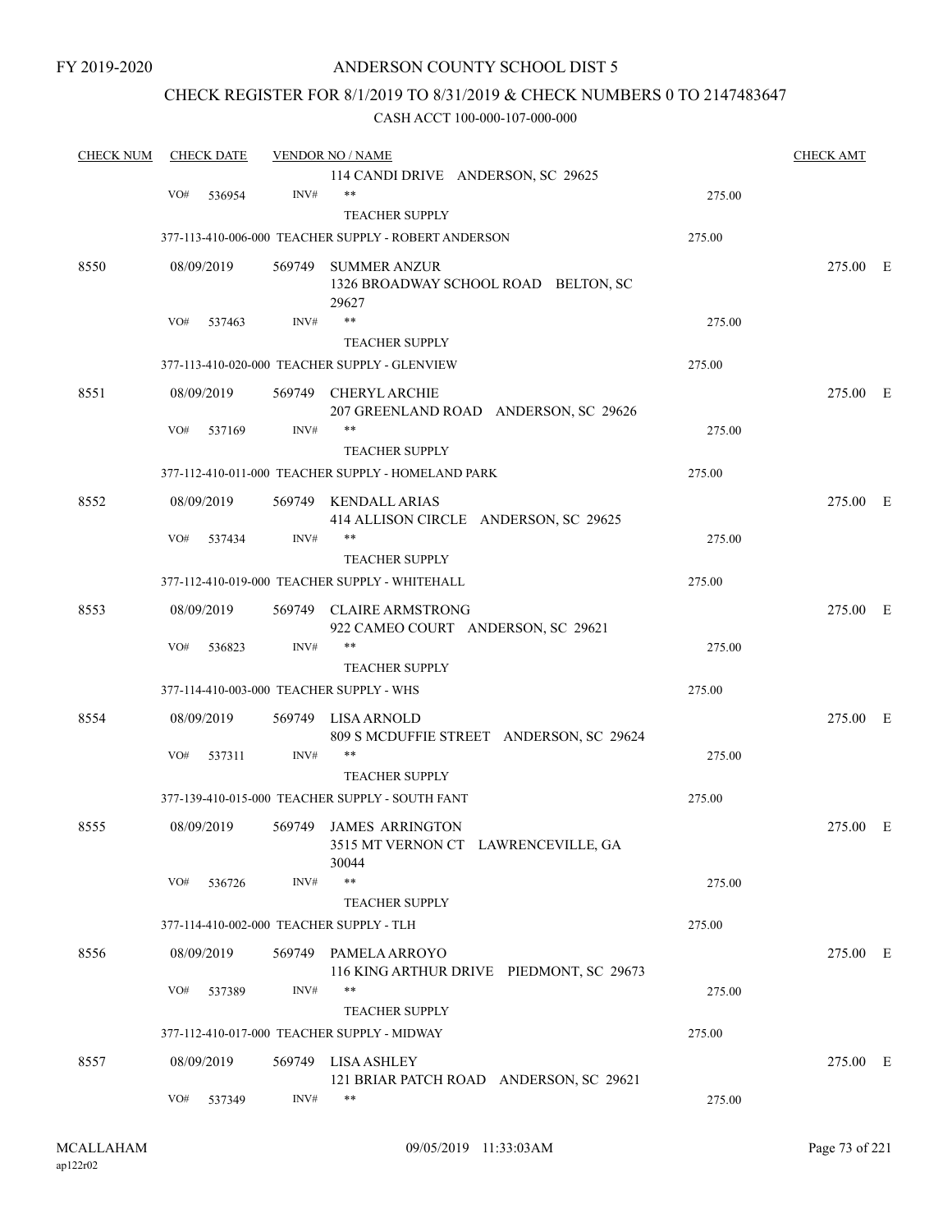## ANDERSON COUNTY SCHOOL DIST 5

## CHECK REGISTER FOR 8/1/2019 TO 8/31/2019 & CHECK NUMBERS 0 TO 2147483647

| <b>CHECK NUM</b> |     | <b>CHECK DATE</b> |        | <b>VENDOR NO / NAME</b>                                              |        | <b>CHECK AMT</b> |  |
|------------------|-----|-------------------|--------|----------------------------------------------------------------------|--------|------------------|--|
|                  |     |                   |        | 114 CANDI DRIVE ANDERSON, SC 29625                                   |        |                  |  |
|                  | VO# | 536954            | INV#   | **                                                                   | 275.00 |                  |  |
|                  |     |                   |        | <b>TEACHER SUPPLY</b>                                                |        |                  |  |
|                  |     |                   |        | 377-113-410-006-000 TEACHER SUPPLY - ROBERT ANDERSON                 | 275.00 |                  |  |
| 8550             |     | 08/09/2019        |        | 569749 SUMMER ANZUR<br>1326 BROADWAY SCHOOL ROAD BELTON, SC<br>29627 |        | 275.00 E         |  |
|                  | VO# | 537463            | INV#   | $***$                                                                | 275.00 |                  |  |
|                  |     |                   |        | <b>TEACHER SUPPLY</b>                                                |        |                  |  |
|                  |     |                   |        | 377-113-410-020-000 TEACHER SUPPLY - GLENVIEW                        | 275.00 |                  |  |
| 8551             |     | 08/09/2019        | 569749 | <b>CHERYL ARCHIE</b><br>207 GREENLAND ROAD ANDERSON, SC 29626        |        | 275.00 E         |  |
|                  | VO# | 537169            | INV#   | $***$                                                                | 275.00 |                  |  |
|                  |     |                   |        | <b>TEACHER SUPPLY</b>                                                |        |                  |  |
|                  |     |                   |        | 377-112-410-011-000 TEACHER SUPPLY - HOMELAND PARK                   | 275.00 |                  |  |
| 8552             |     | 08/09/2019        | 569749 | <b>KENDALL ARIAS</b><br>414 ALLISON CIRCLE ANDERSON, SC 29625        |        | 275.00 E         |  |
|                  | VO# | 537434            | INV#   | **                                                                   | 275.00 |                  |  |
|                  |     |                   |        | <b>TEACHER SUPPLY</b>                                                |        |                  |  |
|                  |     |                   |        | 377-112-410-019-000 TEACHER SUPPLY - WHITEHALL                       | 275.00 |                  |  |
| 8553             |     | 08/09/2019        | 569749 | <b>CLAIRE ARMSTRONG</b><br>922 CAMEO COURT ANDERSON, SC 29621        |        | 275.00 E         |  |
|                  | VO# | 536823            | INV#   | $***$                                                                | 275.00 |                  |  |
|                  |     |                   |        | <b>TEACHER SUPPLY</b>                                                |        |                  |  |
|                  |     |                   |        | 377-114-410-003-000 TEACHER SUPPLY - WHS                             | 275.00 |                  |  |
| 8554             |     | 08/09/2019        | 569749 | LISA ARNOLD<br>809 S MCDUFFIE STREET ANDERSON, SC 29624              |        | 275.00 E         |  |
|                  | VO# | 537311            | INV#   | **                                                                   | 275.00 |                  |  |
|                  |     |                   |        | <b>TEACHER SUPPLY</b>                                                |        |                  |  |
|                  |     |                   |        | 377-139-410-015-000 TEACHER SUPPLY - SOUTH FANT                      | 275.00 |                  |  |
| 8555             |     | 08/09/2019        | 569749 | JAMES ARRINGTON<br>3515 MT VERNON CT LAWRENCEVILLE, GA<br>30044      |        | 275.00 E         |  |
|                  | VO# | 536726            | INV#   | $***$                                                                | 275.00 |                  |  |
|                  |     |                   |        | <b>TEACHER SUPPLY</b>                                                |        |                  |  |
|                  |     |                   |        | 377-114-410-002-000 TEACHER SUPPLY - TLH                             | 275.00 |                  |  |
| 8556             |     | 08/09/2019        |        | 569749 PAMELA ARROYO<br>116 KING ARTHUR DRIVE PIEDMONT, SC 29673     |        | 275.00 E         |  |
|                  | VO# | 537389            | INV#   | **<br>TEACHER SUPPLY                                                 | 275.00 |                  |  |
|                  |     |                   |        | 377-112-410-017-000 TEACHER SUPPLY - MIDWAY                          | 275.00 |                  |  |
|                  |     |                   |        |                                                                      |        |                  |  |
| 8557             |     | 08/09/2019        |        | 569749 LISA ASHLEY<br>121 BRIAR PATCH ROAD ANDERSON, SC 29621        |        | 275.00 E         |  |
|                  | VO# | 537349            | INV#   | $***$                                                                | 275.00 |                  |  |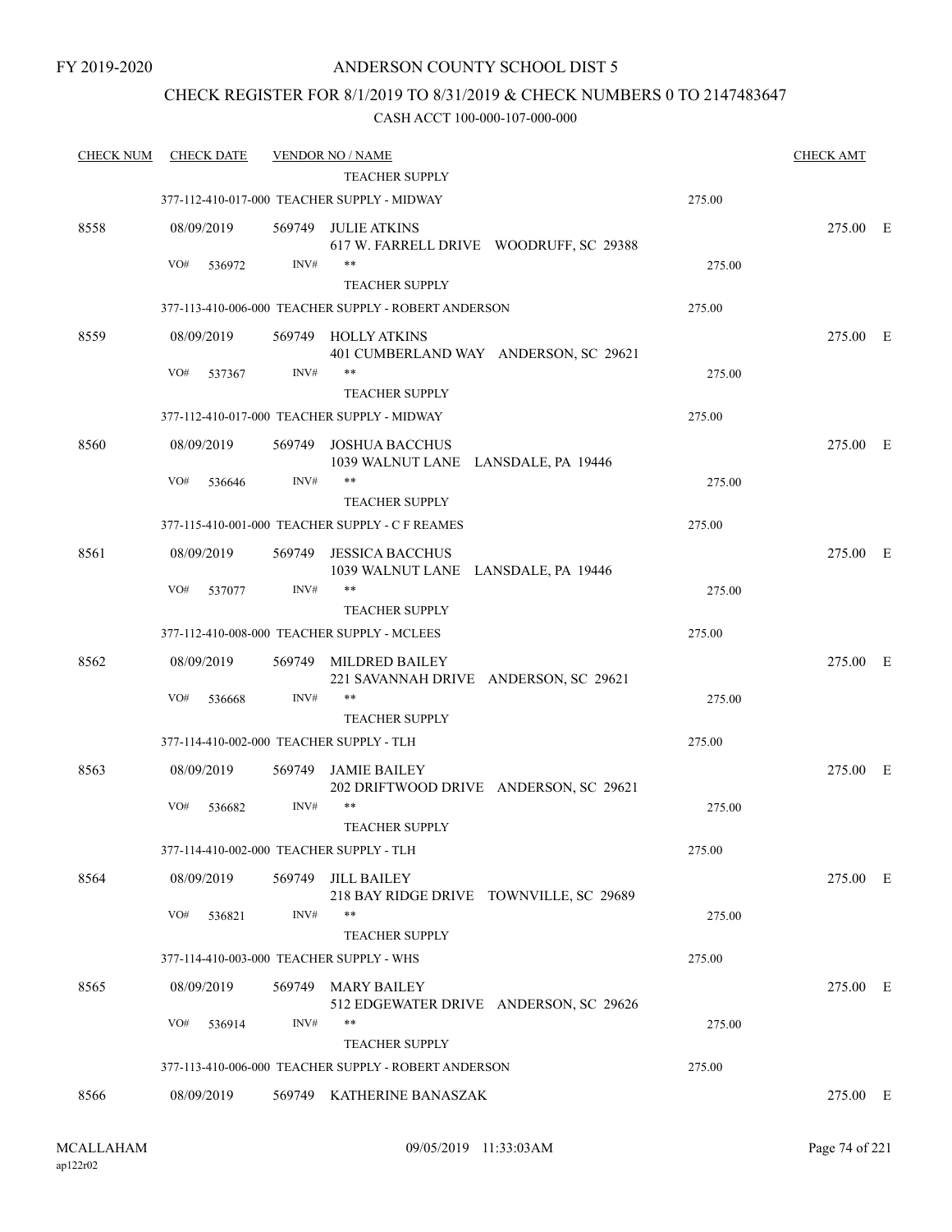## CHECK REGISTER FOR 8/1/2019 TO 8/31/2019 & CHECK NUMBERS 0 TO 2147483647

| <b>CHECK NUM</b> | <b>CHECK DATE</b>                        |        | <b>VENDOR NO / NAME</b>                                        |        | <b>CHECK AMT</b> |  |
|------------------|------------------------------------------|--------|----------------------------------------------------------------|--------|------------------|--|
|                  |                                          |        | <b>TEACHER SUPPLY</b>                                          |        |                  |  |
|                  |                                          |        | 377-112-410-017-000 TEACHER SUPPLY - MIDWAY                    | 275.00 |                  |  |
| 8558             | 08/09/2019                               | 569749 | JULIE ATKINS<br>617 W. FARRELL DRIVE WOODRUFF, SC 29388        |        | 275.00 E         |  |
|                  | VO#<br>536972                            | INV#   | $***$                                                          | 275.00 |                  |  |
|                  |                                          |        | <b>TEACHER SUPPLY</b>                                          |        |                  |  |
|                  |                                          |        | 377-113-410-006-000 TEACHER SUPPLY - ROBERT ANDERSON           | 275.00 |                  |  |
| 8559             | 08/09/2019                               | 569749 | <b>HOLLY ATKINS</b><br>401 CUMBERLAND WAY ANDERSON, SC 29621   |        | 275.00 E         |  |
|                  | VO#<br>537367                            | INV#   | **                                                             | 275.00 |                  |  |
|                  |                                          |        | <b>TEACHER SUPPLY</b>                                          |        |                  |  |
|                  |                                          |        | 377-112-410-017-000 TEACHER SUPPLY - MIDWAY                    | 275.00 |                  |  |
| 8560             | 08/09/2019                               | 569749 | <b>JOSHUA BACCHUS</b><br>1039 WALNUT LANE LANSDALE, PA 19446   |        | 275.00 E         |  |
|                  | VO#<br>536646                            | INV#   | **                                                             | 275.00 |                  |  |
|                  |                                          |        | <b>TEACHER SUPPLY</b>                                          |        |                  |  |
|                  |                                          |        | 377-115-410-001-000 TEACHER SUPPLY - C F REAMES                | 275.00 |                  |  |
| 8561             | 08/09/2019                               | 569749 | <b>JESSICA BACCHUS</b><br>1039 WALNUT LANE LANSDALE, PA 19446  |        | 275.00 E         |  |
|                  | VO#<br>537077                            | INV#   | **                                                             | 275.00 |                  |  |
|                  |                                          |        | <b>TEACHER SUPPLY</b>                                          |        |                  |  |
|                  |                                          |        | 377-112-410-008-000 TEACHER SUPPLY - MCLEES                    | 275.00 |                  |  |
| 8562             | 08/09/2019                               | 569749 | <b>MILDRED BAILEY</b><br>221 SAVANNAH DRIVE ANDERSON, SC 29621 |        | 275.00 E         |  |
|                  | VO#<br>536668                            | INV#   | $***$                                                          | 275.00 |                  |  |
|                  |                                          |        | <b>TEACHER SUPPLY</b>                                          |        |                  |  |
|                  | 377-114-410-002-000 TEACHER SUPPLY - TLH |        |                                                                | 275.00 |                  |  |
| 8563             | 08/09/2019                               | 569749 | <b>JAMIE BAILEY</b><br>202 DRIFTWOOD DRIVE ANDERSON, SC 29621  |        | 275.00 E         |  |
|                  | VO#<br>536682                            | INV#   | $***$<br><b>TEACHER SUPPLY</b>                                 | 275.00 |                  |  |
|                  |                                          |        |                                                                |        |                  |  |
|                  | 377-114-410-002-000 TEACHER SUPPLY - TLH |        |                                                                | 275.00 |                  |  |
| 8564             | 08/09/2019                               | 569749 | <b>JILL BAILEY</b><br>218 BAY RIDGE DRIVE TOWNVILLE, SC 29689  |        | 275.00 E         |  |
|                  | VO#<br>536821                            | INV#   | $***$<br><b>TEACHER SUPPLY</b>                                 | 275.00 |                  |  |
|                  | 377-114-410-003-000 TEACHER SUPPLY - WHS |        |                                                                | 275.00 |                  |  |
|                  |                                          |        |                                                                |        |                  |  |
| 8565             | 08/09/2019                               | 569749 | <b>MARY BAILEY</b><br>512 EDGEWATER DRIVE ANDERSON, SC 29626   |        | 275.00 E         |  |
|                  | VO#<br>536914                            | INV#   | **                                                             | 275.00 |                  |  |
|                  |                                          |        | <b>TEACHER SUPPLY</b>                                          |        |                  |  |
|                  |                                          |        | 377-113-410-006-000 TEACHER SUPPLY - ROBERT ANDERSON           | 275.00 |                  |  |
| 8566             | 08/09/2019                               |        | 569749 KATHERINE BANASZAK                                      |        | 275.00 E         |  |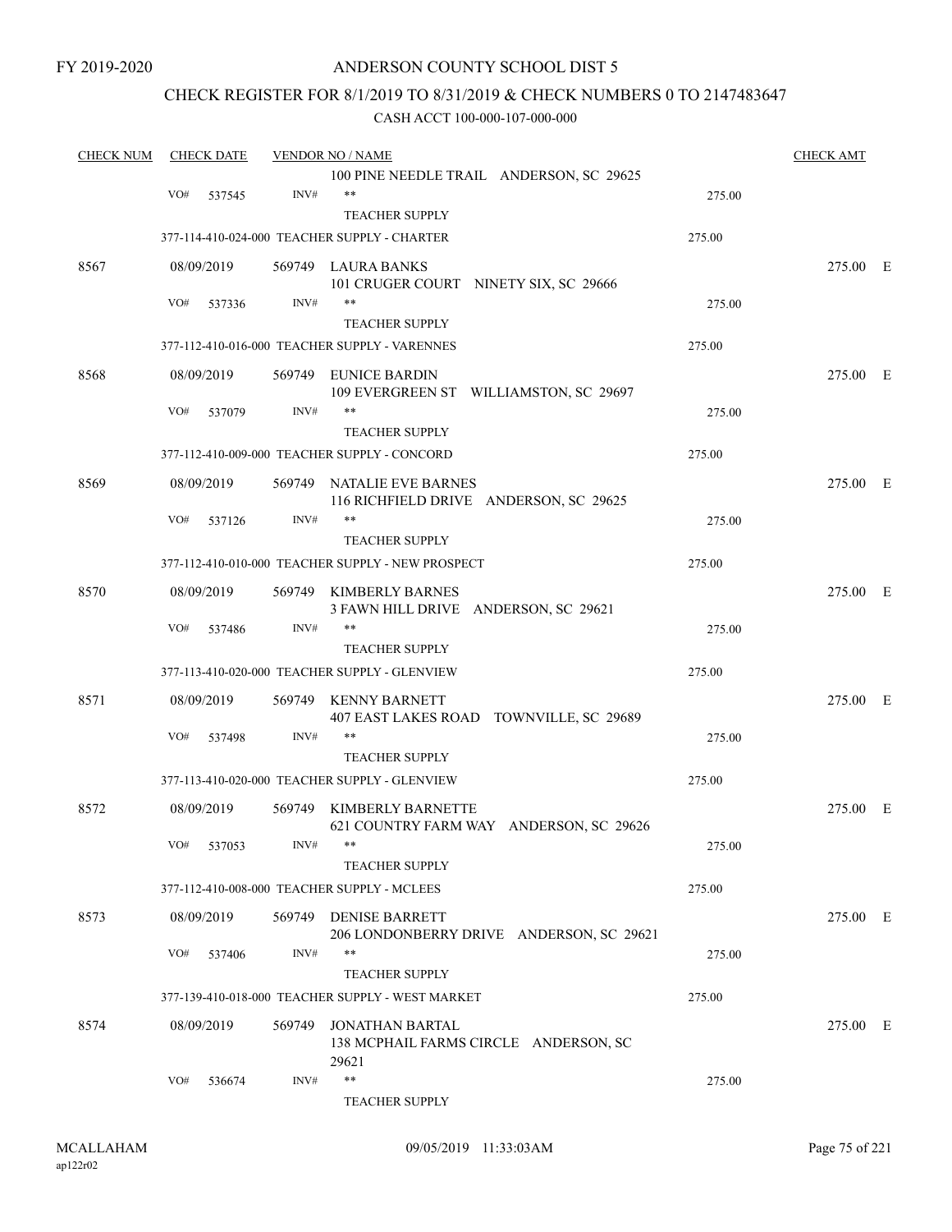## ANDERSON COUNTY SCHOOL DIST 5

## CHECK REGISTER FOR 8/1/2019 TO 8/31/2019 & CHECK NUMBERS 0 TO 2147483647

| <b>CHECK NUM</b> | <b>CHECK DATE</b> |            | <b>VENDOR NO / NAME</b> | <b>CHECK AMT</b>                                  |        |          |  |
|------------------|-------------------|------------|-------------------------|---------------------------------------------------|--------|----------|--|
|                  |                   |            |                         | 100 PINE NEEDLE TRAIL ANDERSON, SC 29625          |        |          |  |
|                  | VO#               | 537545     | INV#                    | $***$                                             | 275.00 |          |  |
|                  |                   |            |                         | <b>TEACHER SUPPLY</b>                             |        |          |  |
|                  |                   |            |                         | 377-114-410-024-000 TEACHER SUPPLY - CHARTER      | 275.00 |          |  |
| 8567             |                   | 08/09/2019 |                         | 569749 LAURA BANKS                                |        | 275.00 E |  |
|                  |                   |            |                         | 101 CRUGER COURT NINETY SIX, SC 29666             |        |          |  |
|                  | VO#               | 537336     | INV#                    | $***$                                             | 275.00 |          |  |
|                  |                   |            |                         | <b>TEACHER SUPPLY</b>                             |        |          |  |
|                  |                   |            |                         | 377-112-410-016-000 TEACHER SUPPLY - VARENNES     | 275.00 |          |  |
| 8568             |                   | 08/09/2019 |                         | 569749 EUNICE BARDIN                              |        | 275.00 E |  |
|                  |                   |            |                         | 109 EVERGREEN ST WILLIAMSTON, SC 29697            |        |          |  |
|                  | VO#               | 537079     | INV#                    | $***$                                             | 275.00 |          |  |
|                  |                   |            |                         | <b>TEACHER SUPPLY</b>                             |        |          |  |
|                  |                   |            |                         | 377-112-410-009-000 TEACHER SUPPLY - CONCORD      | 275.00 |          |  |
| 8569             |                   | 08/09/2019 |                         | 569749 NATALIE EVE BARNES                         |        | 275.00 E |  |
|                  |                   |            |                         | 116 RICHFIELD DRIVE ANDERSON, SC 29625            |        |          |  |
|                  | VO#               | 537126     | INV#                    | $***$                                             | 275.00 |          |  |
|                  |                   |            |                         | <b>TEACHER SUPPLY</b>                             |        |          |  |
|                  |                   |            |                         | 377-112-410-010-000 TEACHER SUPPLY - NEW PROSPECT | 275.00 |          |  |
| 8570             |                   | 08/09/2019 | 569749                  | <b>KIMBERLY BARNES</b>                            |        | 275.00 E |  |
|                  |                   |            |                         | 3 FAWN HILL DRIVE ANDERSON, SC 29621              |        |          |  |
|                  | VO#               | 537486     | INV#                    | $***$                                             | 275.00 |          |  |
|                  |                   |            |                         | <b>TEACHER SUPPLY</b>                             |        |          |  |
|                  |                   |            |                         | 377-113-410-020-000 TEACHER SUPPLY - GLENVIEW     | 275.00 |          |  |
| 8571             |                   | 08/09/2019 | 569749                  | <b>KENNY BARNETT</b>                              |        | 275.00 E |  |
|                  |                   |            |                         | 407 EAST LAKES ROAD TOWNVILLE, SC 29689           |        |          |  |
|                  | VO#               | 537498     | INV#                    | $***$                                             | 275.00 |          |  |
|                  |                   |            |                         | <b>TEACHER SUPPLY</b>                             |        |          |  |
|                  |                   |            |                         | 377-113-410-020-000 TEACHER SUPPLY - GLENVIEW     | 275.00 |          |  |
| 8572             |                   | 08/09/2019 |                         | 569749 KIMBERLY BARNETTE                          |        | 275.00 E |  |
|                  |                   |            |                         | 621 COUNTRY FARM WAY ANDERSON, SC 29626           |        |          |  |
|                  |                   | VO# 537053 | INV#                    | **                                                | 275.00 |          |  |
|                  |                   |            |                         | <b>TEACHER SUPPLY</b>                             |        |          |  |
|                  |                   |            |                         | 377-112-410-008-000 TEACHER SUPPLY - MCLEES       | 275.00 |          |  |
| 8573             |                   | 08/09/2019 |                         | 569749 DENISE BARRETT                             |        | 275.00 E |  |
|                  |                   |            |                         | 206 LONDONBERRY DRIVE ANDERSON, SC 29621          |        |          |  |
|                  | VO#               | 537406     | INV#                    | $***$                                             | 275.00 |          |  |
|                  |                   |            |                         | <b>TEACHER SUPPLY</b>                             |        |          |  |
|                  |                   |            |                         | 377-139-410-018-000 TEACHER SUPPLY - WEST MARKET  | 275.00 |          |  |
| 8574             |                   | 08/09/2019 | 569749                  | JONATHAN BARTAL                                   |        | 275.00 E |  |
|                  |                   |            |                         | 138 MCPHAIL FARMS CIRCLE ANDERSON, SC             |        |          |  |
|                  |                   |            |                         | 29621                                             |        |          |  |
|                  | VO#               | 536674     | INV#                    | $***$                                             | 275.00 |          |  |
|                  |                   |            |                         | TEACHER SUPPLY                                    |        |          |  |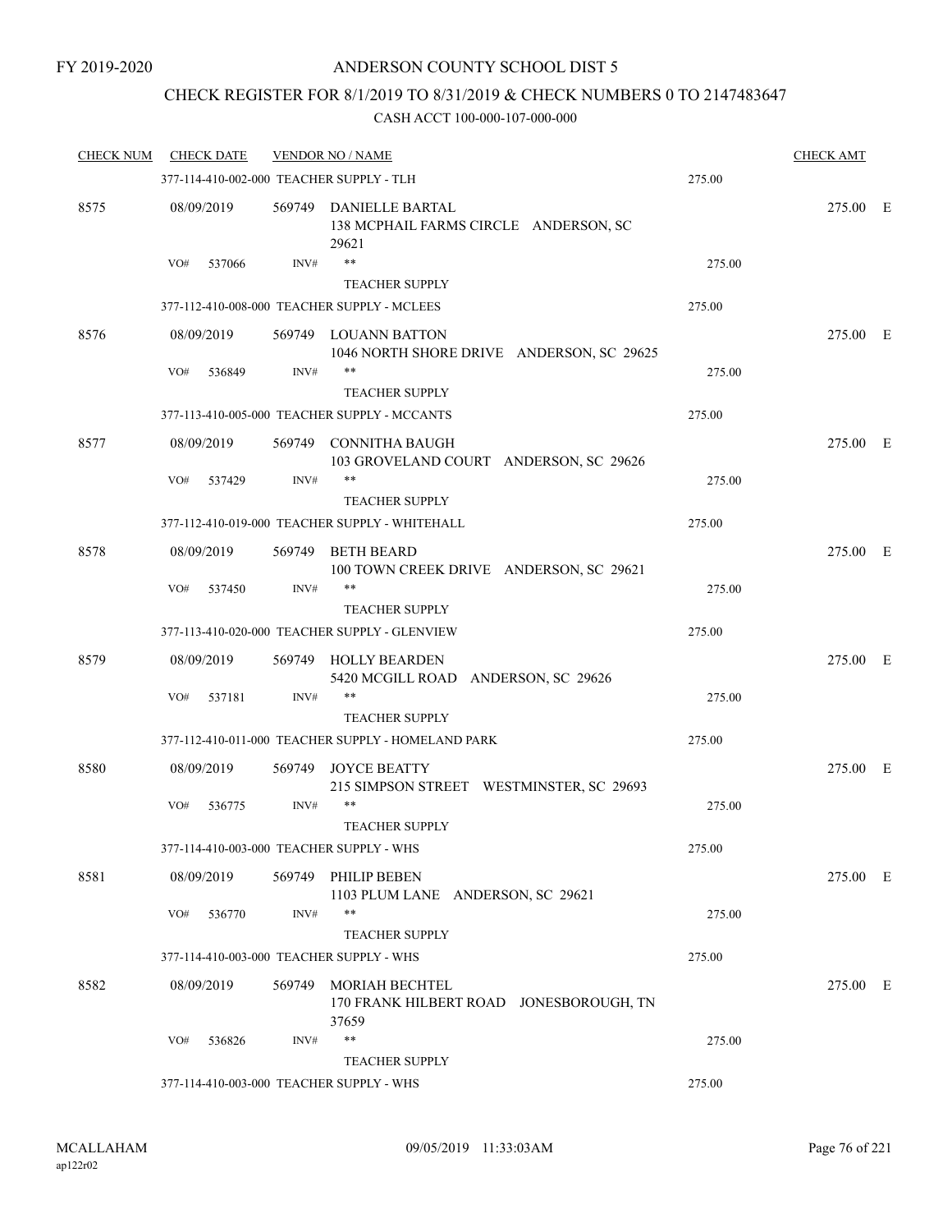## CHECK REGISTER FOR 8/1/2019 TO 8/31/2019 & CHECK NUMBERS 0 TO 2147483647

| <b>CHECK NUM</b> | <b>CHECK DATE</b>                        |        | <b>VENDOR NO / NAME</b>                                                   |        | <b>CHECK AMT</b> |  |
|------------------|------------------------------------------|--------|---------------------------------------------------------------------------|--------|------------------|--|
|                  | 377-114-410-002-000 TEACHER SUPPLY - TLH |        |                                                                           | 275.00 |                  |  |
| 8575             | 08/09/2019                               |        | 569749 DANIELLE BARTAL<br>138 MCPHAIL FARMS CIRCLE ANDERSON, SC<br>29621  |        | 275.00 E         |  |
|                  | VO#<br>537066                            | INV#   | **                                                                        | 275.00 |                  |  |
|                  |                                          |        | <b>TEACHER SUPPLY</b>                                                     |        |                  |  |
|                  |                                          |        | 377-112-410-008-000 TEACHER SUPPLY - MCLEES                               | 275.00 |                  |  |
| 8576             | 08/09/2019                               |        | 569749 LOUANN BATTON<br>1046 NORTH SHORE DRIVE ANDERSON, SC 29625         |        | 275.00 E         |  |
|                  | VO#<br>536849                            | INV#   |                                                                           | 275.00 |                  |  |
|                  |                                          |        | <b>TEACHER SUPPLY</b>                                                     |        |                  |  |
|                  |                                          |        | 377-113-410-005-000 TEACHER SUPPLY - MCCANTS                              | 275.00 |                  |  |
| 8577             | 08/09/2019                               |        | 569749 CONNITHA BAUGH<br>103 GROVELAND COURT ANDERSON, SC 29626           |        | 275.00 E         |  |
|                  | VO#<br>537429                            | INV#   | **                                                                        | 275.00 |                  |  |
|                  |                                          |        | <b>TEACHER SUPPLY</b>                                                     |        |                  |  |
|                  |                                          |        | 377-112-410-019-000 TEACHER SUPPLY - WHITEHALL                            | 275.00 |                  |  |
| 8578             | 08/09/2019                               | 569749 | <b>BETH BEARD</b><br>100 TOWN CREEK DRIVE ANDERSON, SC 29621              |        | 275.00 E         |  |
|                  | VO#<br>537450                            | INV#   | **<br><b>TEACHER SUPPLY</b>                                               | 275.00 |                  |  |
|                  |                                          |        | 377-113-410-020-000 TEACHER SUPPLY - GLENVIEW                             | 275.00 |                  |  |
| 8579             | 08/09/2019                               | 569749 | <b>HOLLY BEARDEN</b><br>5420 MCGILL ROAD ANDERSON, SC 29626               |        | 275.00 E         |  |
|                  | VO#<br>537181                            | INV#   | **                                                                        | 275.00 |                  |  |
|                  |                                          |        | <b>TEACHER SUPPLY</b>                                                     |        |                  |  |
|                  |                                          |        | 377-112-410-011-000 TEACHER SUPPLY - HOMELAND PARK                        | 275.00 |                  |  |
| 8580             | 08/09/2019                               | 569749 | <b>JOYCE BEATTY</b><br>215 SIMPSON STREET WESTMINSTER, SC 29693           |        | 275.00 E         |  |
|                  | VO#<br>536775                            | INV#   | **<br><b>TEACHER SUPPLY</b>                                               | 275.00 |                  |  |
|                  | 377-114-410-003-000 TEACHER SUPPLY - WHS |        |                                                                           |        |                  |  |
|                  |                                          |        |                                                                           | 275.00 |                  |  |
| 8581             | 08/09/2019                               |        | 569749 PHILIP BEBEN<br>1103 PLUM LANE ANDERSON, SC 29621                  |        | 275.00 E         |  |
|                  | VO#<br>536770                            | INV#   | **<br><b>TEACHER SUPPLY</b>                                               | 275.00 |                  |  |
|                  | 377-114-410-003-000 TEACHER SUPPLY - WHS |        |                                                                           | 275.00 |                  |  |
| 8582             | 08/09/2019                               | 569749 | <b>MORIAH BECHTEL</b><br>170 FRANK HILBERT ROAD JONESBOROUGH, TN<br>37659 |        | 275.00 E         |  |
|                  | VO#<br>536826                            | INV#   | **                                                                        | 275.00 |                  |  |
|                  |                                          |        | <b>TEACHER SUPPLY</b>                                                     |        |                  |  |
|                  | 377-114-410-003-000 TEACHER SUPPLY - WHS |        |                                                                           | 275.00 |                  |  |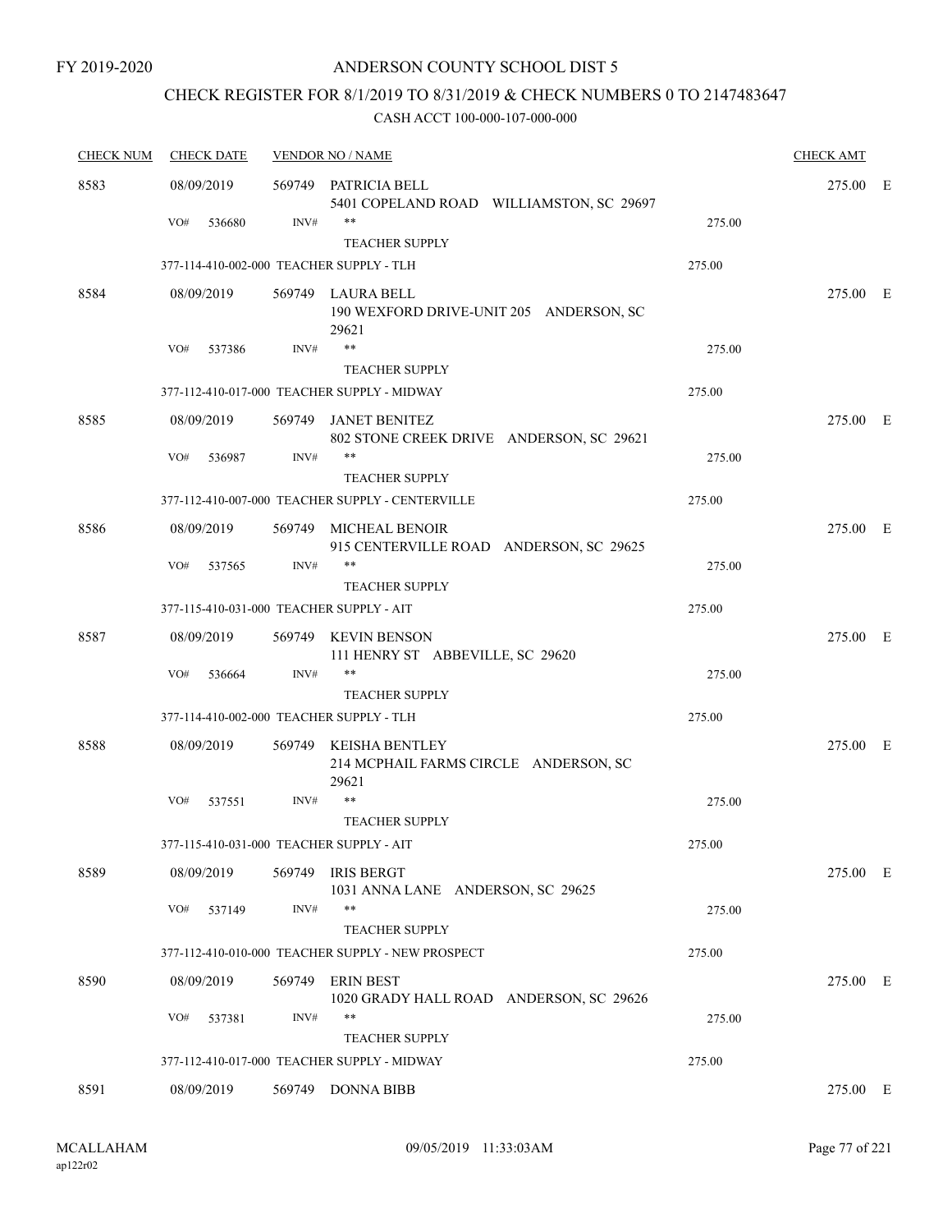## ANDERSON COUNTY SCHOOL DIST 5

# CHECK REGISTER FOR 8/1/2019 TO 8/31/2019 & CHECK NUMBERS 0 TO 2147483647

| <b>CHECK NUM</b> | <b>CHECK DATE</b>                        |        | <b>VENDOR NO / NAME</b>                                               |        | <b>CHECK AMT</b> |  |
|------------------|------------------------------------------|--------|-----------------------------------------------------------------------|--------|------------------|--|
| 8583             | 08/09/2019                               | 569749 | PATRICIA BELL<br>5401 COPELAND ROAD WILLIAMSTON, SC 29697             |        | 275.00 E         |  |
|                  | VO#<br>536680                            | INV#   | $***$<br><b>TEACHER SUPPLY</b>                                        | 275.00 |                  |  |
|                  | 377-114-410-002-000 TEACHER SUPPLY - TLH |        |                                                                       | 275.00 |                  |  |
| 8584             | 08/09/2019                               |        | 569749 LAURA BELL<br>190 WEXFORD DRIVE-UNIT 205 ANDERSON, SC<br>29621 |        | 275.00 E         |  |
|                  | VO#<br>537386                            | INV#   | $***$                                                                 | 275.00 |                  |  |
|                  |                                          |        | <b>TEACHER SUPPLY</b>                                                 |        |                  |  |
|                  |                                          |        | 377-112-410-017-000 TEACHER SUPPLY - MIDWAY                           | 275.00 |                  |  |
| 8585             | 08/09/2019                               | 569749 | JANET BENITEZ<br>802 STONE CREEK DRIVE ANDERSON, SC 29621             |        | 275.00 E         |  |
|                  | VO#<br>536987                            | INV#   | $***$<br><b>TEACHER SUPPLY</b>                                        | 275.00 |                  |  |
|                  |                                          |        | 377-112-410-007-000 TEACHER SUPPLY - CENTERVILLE                      | 275.00 |                  |  |
| 8586             | 08/09/2019                               |        | 569749 MICHEAL BENOIR<br>915 CENTERVILLE ROAD ANDERSON, SC 29625      |        | 275.00 E         |  |
|                  | VO#<br>537565                            | INV#   | $***$                                                                 | 275.00 |                  |  |
|                  |                                          |        | <b>TEACHER SUPPLY</b>                                                 |        |                  |  |
|                  | 377-115-410-031-000 TEACHER SUPPLY - AIT |        |                                                                       | 275.00 |                  |  |
| 8587             | 08/09/2019                               |        | 569749 KEVIN BENSON<br>111 HENRY ST ABBEVILLE, SC 29620               |        | 275.00 E         |  |
|                  | VO#<br>536664                            | INV#   | $***$<br><b>TEACHER SUPPLY</b>                                        | 275.00 |                  |  |
|                  | 377-114-410-002-000 TEACHER SUPPLY - TLH |        |                                                                       | 275.00 |                  |  |
| 8588             | 08/09/2019                               | 569749 | KEISHA BENTLEY<br>214 MCPHAIL FARMS CIRCLE ANDERSON, SC<br>29621      |        | 275.00 E         |  |
|                  | VO#<br>537551                            | INV#   | **<br><b>TEACHER SUPPLY</b>                                           | 275.00 |                  |  |
|                  | 377-115-410-031-000 TEACHER SUPPLY - AIT |        |                                                                       | 275.00 |                  |  |
| 8589             | 08/09/2019                               |        | 569749 IRIS BERGT<br>1031 ANNA LANE ANDERSON, SC 29625                |        | 275.00 E         |  |
|                  | VO#<br>537149                            | INV#   | $***$                                                                 | 275.00 |                  |  |
|                  |                                          |        | <b>TEACHER SUPPLY</b>                                                 |        |                  |  |
|                  |                                          |        | 377-112-410-010-000 TEACHER SUPPLY - NEW PROSPECT                     | 275.00 |                  |  |
| 8590             | 08/09/2019                               |        | 569749 ERIN BEST<br>1020 GRADY HALL ROAD ANDERSON, SC 29626           |        | 275.00 E         |  |
|                  | VO#<br>537381                            | INV#   | $***$<br><b>TEACHER SUPPLY</b>                                        | 275.00 |                  |  |
|                  |                                          |        | 377-112-410-017-000 TEACHER SUPPLY - MIDWAY                           | 275.00 |                  |  |
| 8591             | 08/09/2019                               | 569749 | DONNA BIBB                                                            |        | 275.00 E         |  |
|                  |                                          |        |                                                                       |        |                  |  |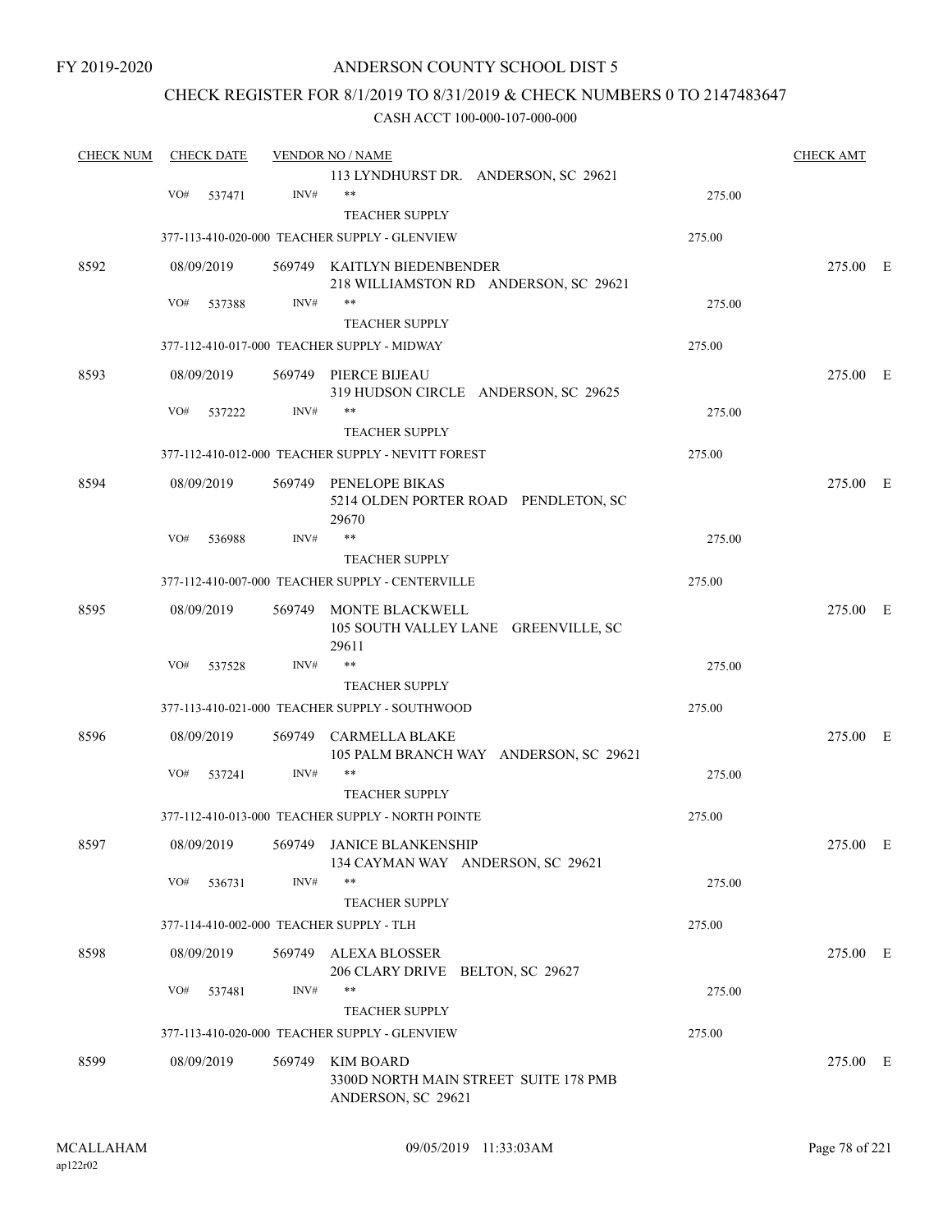## CHECK REGISTER FOR 8/1/2019 TO 8/31/2019 & CHECK NUMBERS 0 TO 2147483647

| <b>CHECK NUM</b> | <b>CHECK DATE</b>                        |        | <b>VENDOR NO / NAME</b>                                        |        | <b>CHECK AMT</b> |  |
|------------------|------------------------------------------|--------|----------------------------------------------------------------|--------|------------------|--|
|                  |                                          |        | 113 LYNDHURST DR. ANDERSON, SC 29621                           |        |                  |  |
|                  | VO#<br>537471                            | INV#   | **                                                             | 275.00 |                  |  |
|                  |                                          |        | <b>TEACHER SUPPLY</b>                                          |        |                  |  |
|                  |                                          |        | 377-113-410-020-000 TEACHER SUPPLY - GLENVIEW                  | 275.00 |                  |  |
|                  |                                          |        |                                                                |        |                  |  |
| 8592             | 08/09/2019                               |        | 569749 KAITLYN BIEDENBENDER                                    |        | 275.00 E         |  |
|                  |                                          |        | 218 WILLIAMSTON RD ANDERSON, SC 29621                          |        |                  |  |
|                  | VO#<br>537388                            | INV#   | **                                                             | 275.00 |                  |  |
|                  |                                          |        | <b>TEACHER SUPPLY</b>                                          |        |                  |  |
|                  |                                          |        | 377-112-410-017-000 TEACHER SUPPLY - MIDWAY                    | 275.00 |                  |  |
| 8593             | 08/09/2019                               |        | 569749 PIERCE BIJEAU                                           |        | 275.00 E         |  |
|                  |                                          |        | 319 HUDSON CIRCLE ANDERSON, SC 29625                           |        |                  |  |
|                  | VO#<br>537222                            | INV#   | **                                                             | 275.00 |                  |  |
|                  |                                          |        | <b>TEACHER SUPPLY</b>                                          |        |                  |  |
|                  |                                          |        | 377-112-410-012-000 TEACHER SUPPLY - NEVITT FOREST             | 275.00 |                  |  |
| 8594             | 08/09/2019                               |        | 569749 PENELOPE BIKAS                                          |        | 275.00 E         |  |
|                  |                                          |        | 5214 OLDEN PORTER ROAD PENDLETON, SC                           |        |                  |  |
|                  |                                          |        | 29670                                                          |        |                  |  |
|                  | VO#<br>536988                            | INV#   | $***$                                                          | 275.00 |                  |  |
|                  |                                          |        | <b>TEACHER SUPPLY</b>                                          |        |                  |  |
|                  |                                          |        | 377-112-410-007-000 TEACHER SUPPLY - CENTERVILLE               | 275.00 |                  |  |
| 8595             |                                          |        |                                                                |        | 275.00 E         |  |
|                  | 08/09/2019                               |        | 569749 MONTE BLACKWELL<br>105 SOUTH VALLEY LANE GREENVILLE, SC |        |                  |  |
|                  |                                          |        | 29611                                                          |        |                  |  |
|                  | VO#<br>537528                            | INV#   | $***$                                                          | 275.00 |                  |  |
|                  |                                          |        | <b>TEACHER SUPPLY</b>                                          |        |                  |  |
|                  |                                          |        |                                                                |        |                  |  |
|                  |                                          |        | 377-113-410-021-000 TEACHER SUPPLY - SOUTHWOOD                 | 275.00 |                  |  |
| 8596             | 08/09/2019                               | 569749 | CARMELLA BLAKE                                                 |        | 275.00 E         |  |
|                  |                                          |        | 105 PALM BRANCH WAY ANDERSON, SC 29621                         |        |                  |  |
|                  | VO#<br>537241                            | INV#   | **                                                             | 275.00 |                  |  |
|                  |                                          |        | <b>TEACHER SUPPLY</b>                                          |        |                  |  |
|                  |                                          |        | 377-112-410-013-000 TEACHER SUPPLY - NORTH POINTE              | 275.00 |                  |  |
| 8597             |                                          |        | 08/09/2019 569749 JANICE BLANKENSHIP                           |        | 275.00 E         |  |
|                  |                                          |        | 134 CAYMAN WAY ANDERSON, SC 29621                              |        |                  |  |
|                  | VO#<br>536731                            | INV#   | **                                                             | 275.00 |                  |  |
|                  |                                          |        | <b>TEACHER SUPPLY</b>                                          |        |                  |  |
|                  | 377-114-410-002-000 TEACHER SUPPLY - TLH |        |                                                                | 275.00 |                  |  |
|                  |                                          |        |                                                                |        |                  |  |
| 8598             | 08/09/2019                               |        | 569749 ALEXA BLOSSER                                           |        | 275.00 E         |  |
|                  | VO#                                      | INV#   | 206 CLARY DRIVE BELTON, SC 29627<br>**                         |        |                  |  |
|                  | 537481                                   |        |                                                                | 275.00 |                  |  |
|                  |                                          |        | <b>TEACHER SUPPLY</b>                                          |        |                  |  |
|                  |                                          |        | 377-113-410-020-000 TEACHER SUPPLY - GLENVIEW                  | 275.00 |                  |  |
| 8599             | 08/09/2019                               |        | 569749 KIM BOARD                                               |        | 275.00 E         |  |
|                  |                                          |        | 3300D NORTH MAIN STREET SUITE 178 PMB                          |        |                  |  |
|                  |                                          |        | ANDERSON, SC 29621                                             |        |                  |  |
|                  |                                          |        |                                                                |        |                  |  |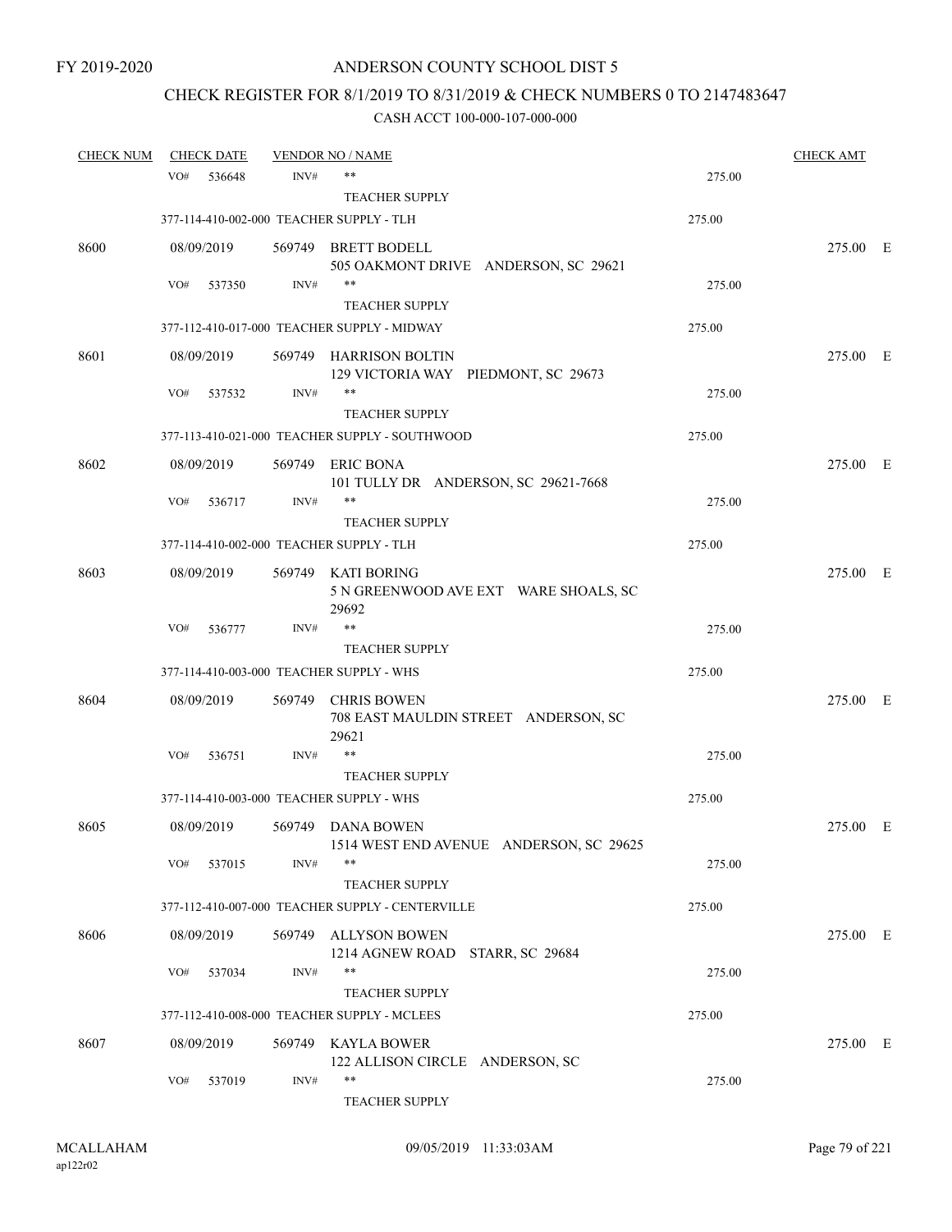# CHECK REGISTER FOR 8/1/2019 TO 8/31/2019 & CHECK NUMBERS 0 TO 2147483647

| <b>CHECK NUM</b> |     | <b>CHECK DATE</b> |        | <b>VENDOR NO / NAME</b>                                              |        | <b>CHECK AMT</b> |  |
|------------------|-----|-------------------|--------|----------------------------------------------------------------------|--------|------------------|--|
|                  | VO# | 536648            | INV#   | **                                                                   | 275.00 |                  |  |
|                  |     |                   |        | <b>TEACHER SUPPLY</b>                                                |        |                  |  |
|                  |     |                   |        | 377-114-410-002-000 TEACHER SUPPLY - TLH                             | 275.00 |                  |  |
| 8600             |     | 08/09/2019        |        | 569749 BRETT BODELL                                                  |        | 275.00 E         |  |
|                  |     |                   |        | 505 OAKMONT DRIVE ANDERSON, SC 29621                                 |        |                  |  |
|                  | VO# | 537350            | INV#   | $***$                                                                | 275.00 |                  |  |
|                  |     |                   |        | <b>TEACHER SUPPLY</b>                                                |        |                  |  |
|                  |     |                   |        | 377-112-410-017-000 TEACHER SUPPLY - MIDWAY                          | 275.00 |                  |  |
| 8601             |     | 08/09/2019        |        | 569749 HARRISON BOLTIN<br>129 VICTORIA WAY PIEDMONT, SC 29673        |        | 275.00 E         |  |
|                  | VO# | 537532            | INV#   | $***$                                                                | 275.00 |                  |  |
|                  |     |                   |        | <b>TEACHER SUPPLY</b>                                                |        |                  |  |
|                  |     |                   |        | 377-113-410-021-000 TEACHER SUPPLY - SOUTHWOOD                       | 275.00 |                  |  |
| 8602             |     | 08/09/2019        | 569749 | <b>ERIC BONA</b><br>101 TULLY DR ANDERSON, SC 29621-7668             |        | 275.00 E         |  |
|                  | VO# | 536717            | INV#   |                                                                      | 275.00 |                  |  |
|                  |     |                   |        | <b>TEACHER SUPPLY</b>                                                |        |                  |  |
|                  |     |                   |        | 377-114-410-002-000 TEACHER SUPPLY - TLH                             | 275.00 |                  |  |
| 8603             |     | 08/09/2019        |        | 569749 KATI BORING<br>5 N GREENWOOD AVE EXT WARE SHOALS, SC<br>29692 |        | 275.00 E         |  |
|                  | VO# | 536777            | INV#   | $***$                                                                | 275.00 |                  |  |
|                  |     |                   |        | <b>TEACHER SUPPLY</b>                                                |        |                  |  |
|                  |     |                   |        | 377-114-410-003-000 TEACHER SUPPLY - WHS                             | 275.00 |                  |  |
| 8604             |     | 08/09/2019        | 569749 | <b>CHRIS BOWEN</b><br>708 EAST MAULDIN STREET ANDERSON, SC<br>29621  |        | 275.00 E         |  |
|                  | VO# | 536751            | INV#   | $***$                                                                | 275.00 |                  |  |
|                  |     |                   |        | <b>TEACHER SUPPLY</b>                                                |        |                  |  |
|                  |     |                   |        | 377-114-410-003-000 TEACHER SUPPLY - WHS                             | 275.00 |                  |  |
| 8605             |     | 08/09/2019        |        | 569749 DANA BOWEN<br>1514 WEST END AVENUE ANDERSON, SC 29625         |        | 275.00 E         |  |
|                  | VO# | 537015            | INV#   | **                                                                   | 275.00 |                  |  |
|                  |     |                   |        | <b>TEACHER SUPPLY</b>                                                |        |                  |  |
|                  |     |                   |        | 377-112-410-007-000 TEACHER SUPPLY - CENTERVILLE                     | 275.00 |                  |  |
| 8606             |     | 08/09/2019        | 569749 | <b>ALLYSON BOWEN</b><br>1214 AGNEW ROAD STARR, SC 29684              |        | 275.00 E         |  |
|                  | VO# | 537034            | INV#   | $***$                                                                | 275.00 |                  |  |
|                  |     |                   |        | <b>TEACHER SUPPLY</b>                                                |        |                  |  |
|                  |     |                   |        | 377-112-410-008-000 TEACHER SUPPLY - MCLEES                          | 275.00 |                  |  |
| 8607             |     | 08/09/2019        | 569749 | KAYLA BOWER<br>122 ALLISON CIRCLE ANDERSON, SC                       |        | 275.00 E         |  |
|                  | VO# | 537019            | INV#   | **<br><b>TEACHER SUPPLY</b>                                          | 275.00 |                  |  |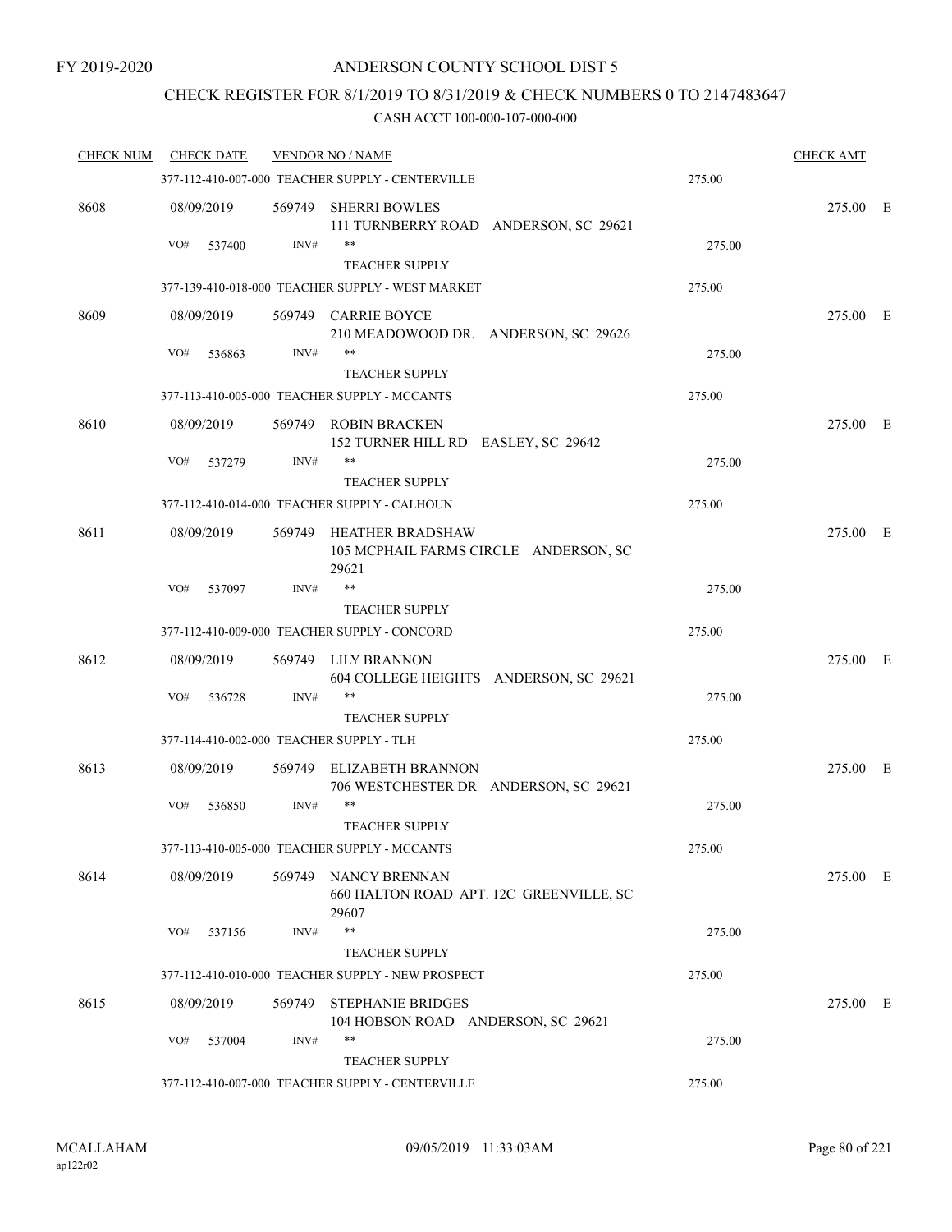## CHECK REGISTER FOR 8/1/2019 TO 8/31/2019 & CHECK NUMBERS 0 TO 2147483647

| <b>CHECK NUM</b> | <b>CHECK DATE</b>                        |        | <b>VENDOR NO / NAME</b>                                                   |        | <b>CHECK AMT</b> |  |
|------------------|------------------------------------------|--------|---------------------------------------------------------------------------|--------|------------------|--|
|                  |                                          |        | 377-112-410-007-000 TEACHER SUPPLY - CENTERVILLE                          | 275.00 |                  |  |
| 8608             | 08/09/2019                               | 569749 | <b>SHERRI BOWLES</b><br>111 TURNBERRY ROAD ANDERSON, SC 29621             |        | 275.00 E         |  |
|                  | VO#<br>537400                            | INV#   | **                                                                        | 275.00 |                  |  |
|                  |                                          |        | <b>TEACHER SUPPLY</b>                                                     |        |                  |  |
|                  |                                          |        | 377-139-410-018-000 TEACHER SUPPLY - WEST MARKET                          | 275.00 |                  |  |
| 8609             | 08/09/2019                               |        | 569749 CARRIE BOYCE<br>210 MEADOWOOD DR. ANDERSON, SC 29626               |        | 275.00 E         |  |
|                  | VO#<br>536863                            | INV#   | **                                                                        | 275.00 |                  |  |
|                  |                                          |        | <b>TEACHER SUPPLY</b>                                                     |        |                  |  |
|                  |                                          |        | 377-113-410-005-000 TEACHER SUPPLY - MCCANTS                              | 275.00 |                  |  |
| 8610             | 08/09/2019                               | 569749 | ROBIN BRACKEN<br>152 TURNER HILL RD EASLEY, SC 29642                      |        | 275.00 E         |  |
|                  | VO#<br>537279                            | INV#   | **                                                                        | 275.00 |                  |  |
|                  |                                          |        | <b>TEACHER SUPPLY</b>                                                     |        |                  |  |
|                  |                                          |        | 377-112-410-014-000 TEACHER SUPPLY - CALHOUN                              | 275.00 |                  |  |
| 8611             | 08/09/2019                               |        | 569749 HEATHER BRADSHAW<br>105 MCPHAIL FARMS CIRCLE ANDERSON, SC<br>29621 |        | 275.00 E         |  |
|                  | VO#<br>537097                            | INV#   | $***$                                                                     | 275.00 |                  |  |
|                  |                                          |        | <b>TEACHER SUPPLY</b>                                                     |        |                  |  |
|                  |                                          |        | 377-112-410-009-000 TEACHER SUPPLY - CONCORD                              | 275.00 |                  |  |
| 8612             | 08/09/2019                               |        | 569749 LILY BRANNON<br>604 COLLEGE HEIGHTS ANDERSON, SC 29621             |        | 275.00 E         |  |
|                  | VO#<br>536728                            | INV#   | $***$                                                                     | 275.00 |                  |  |
|                  |                                          |        | <b>TEACHER SUPPLY</b>                                                     |        |                  |  |
|                  | 377-114-410-002-000 TEACHER SUPPLY - TLH |        |                                                                           | 275.00 |                  |  |
| 8613             | 08/09/2019                               | 569749 | ELIZABETH BRANNON<br>706 WESTCHESTER DR ANDERSON, SC 29621                |        | 275.00 E         |  |
|                  | VO#<br>536850                            | INV#   | $***$                                                                     | 275.00 |                  |  |
|                  |                                          |        | <b>TEACHER SUPPLY</b>                                                     |        |                  |  |
|                  |                                          |        | 377-113-410-005-000 TEACHER SUPPLY - MCCANTS                              | 275.00 |                  |  |
| 8614             | 08/09/2019                               |        | 569749 NANCY BRENNAN<br>660 HALTON ROAD APT. 12C GREENVILLE, SC<br>29607  |        | 275.00 E         |  |
|                  | VO#<br>537156                            | INV#   | $***$                                                                     | 275.00 |                  |  |
|                  |                                          |        | <b>TEACHER SUPPLY</b>                                                     |        |                  |  |
|                  |                                          |        | 377-112-410-010-000 TEACHER SUPPLY - NEW PROSPECT                         | 275.00 |                  |  |
| 8615             | 08/09/2019                               |        | 569749 STEPHANIE BRIDGES<br>104 HOBSON ROAD ANDERSON, SC 29621            |        | 275.00 E         |  |
|                  | VO#<br>537004                            | INV#   | $***$                                                                     | 275.00 |                  |  |
|                  |                                          |        | <b>TEACHER SUPPLY</b>                                                     |        |                  |  |
|                  |                                          |        | 377-112-410-007-000 TEACHER SUPPLY - CENTERVILLE                          | 275.00 |                  |  |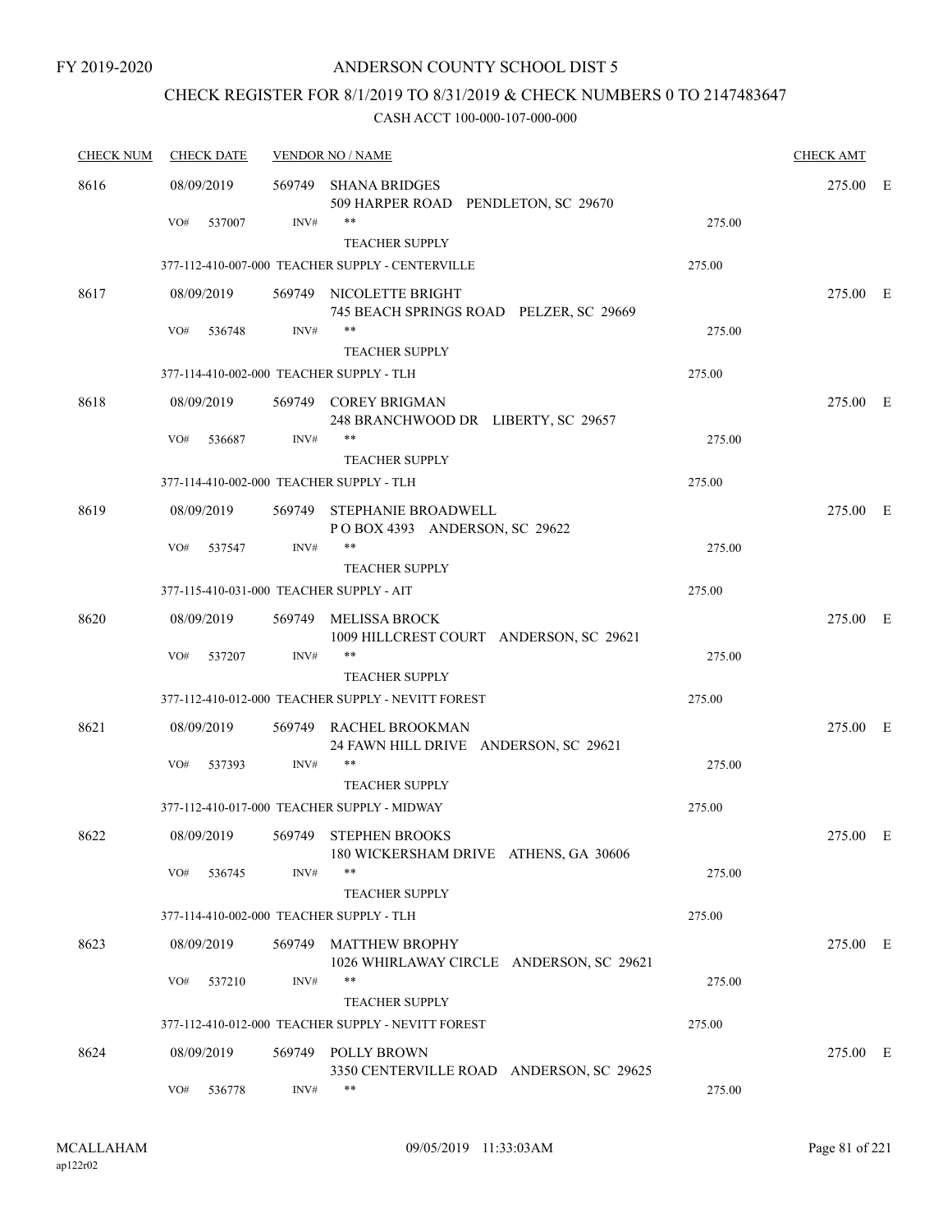## CHECK REGISTER FOR 8/1/2019 TO 8/31/2019 & CHECK NUMBERS 0 TO 2147483647

| <b>CHECK NUM</b> | <b>CHECK DATE</b>                        |        | <b>VENDOR NO / NAME</b>                                              |        | <b>CHECK AMT</b> |  |
|------------------|------------------------------------------|--------|----------------------------------------------------------------------|--------|------------------|--|
| 8616             | 08/09/2019                               | 569749 | <b>SHANA BRIDGES</b><br>509 HARPER ROAD PENDLETON, SC 29670          |        | 275.00 E         |  |
|                  | 537007<br>VO#                            | INV#   | $***$<br><b>TEACHER SUPPLY</b>                                       | 275.00 |                  |  |
|                  |                                          |        | 377-112-410-007-000 TEACHER SUPPLY - CENTERVILLE                     | 275.00 |                  |  |
| 8617             | 08/09/2019                               |        | 569749 NICOLETTE BRIGHT<br>745 BEACH SPRINGS ROAD PELZER, SC 29669   |        | 275.00 E         |  |
|                  | VO#<br>536748                            | INV#   | $***$<br><b>TEACHER SUPPLY</b>                                       | 275.00 |                  |  |
|                  | 377-114-410-002-000 TEACHER SUPPLY - TLH |        |                                                                      | 275.00 |                  |  |
| 8618             | 08/09/2019                               |        | 569749 COREY BRIGMAN<br>248 BRANCHWOOD DR LIBERTY, SC 29657          |        | 275.00 E         |  |
|                  | VO#<br>536687                            | INV#   | $***$<br><b>TEACHER SUPPLY</b>                                       | 275.00 |                  |  |
|                  | 377-114-410-002-000 TEACHER SUPPLY - TLH |        |                                                                      | 275.00 |                  |  |
| 8619             | 08/09/2019                               |        | 569749 STEPHANIE BROADWELL<br>POBOX 4393 ANDERSON, SC 29622          |        | 275.00 E         |  |
|                  | VO#<br>537547                            | INV#   | $***$                                                                | 275.00 |                  |  |
|                  |                                          |        | <b>TEACHER SUPPLY</b>                                                |        |                  |  |
|                  | 377-115-410-031-000 TEACHER SUPPLY - AIT |        |                                                                      | 275.00 |                  |  |
| 8620             | 08/09/2019                               | 569749 | MELISSA BROCK<br>1009 HILLCREST COURT ANDERSON, SC 29621             |        | 275.00 E         |  |
|                  | VO#<br>537207                            | INV#   | $***$<br><b>TEACHER SUPPLY</b>                                       | 275.00 |                  |  |
|                  |                                          |        | 377-112-410-012-000 TEACHER SUPPLY - NEVITT FOREST                   | 275.00 |                  |  |
| 8621             | 08/09/2019                               |        | 569749 RACHEL BROOKMAN                                               |        | 275.00 E         |  |
|                  | VO#<br>537393                            | INV#   | 24 FAWN HILL DRIVE ANDERSON, SC 29621<br>**<br><b>TEACHER SUPPLY</b> | 275.00 |                  |  |
|                  |                                          |        | 377-112-410-017-000 TEACHER SUPPLY - MIDWAY                          | 275.00 |                  |  |
| 8622             | 08/09/2019                               | 569749 | STEPHEN BROOKS<br>180 WICKERSHAM DRIVE ATHENS, GA 30606              |        | 275.00 E         |  |
|                  | VO#<br>536745                            | INV#   | $***$<br><b>TEACHER SUPPLY</b>                                       | 275.00 |                  |  |
|                  | 377-114-410-002-000 TEACHER SUPPLY - TLH |        |                                                                      | 275.00 |                  |  |
| 8623             | 08/09/2019                               | 569749 | <b>MATTHEW BROPHY</b><br>1026 WHIRLAWAY CIRCLE ANDERSON, SC 29621    |        | 275.00 E         |  |
|                  | VO#<br>537210                            | INV#   | **<br><b>TEACHER SUPPLY</b>                                          | 275.00 |                  |  |
|                  |                                          |        | 377-112-410-012-000 TEACHER SUPPLY - NEVITT FOREST                   | 275.00 |                  |  |
| 8624             | 08/09/2019                               | 569749 | POLLY BROWN<br>3350 CENTERVILLE ROAD ANDERSON, SC 29625              |        | 275.00 E         |  |
|                  | VO#<br>536778                            | INV#   | $***$                                                                | 275.00 |                  |  |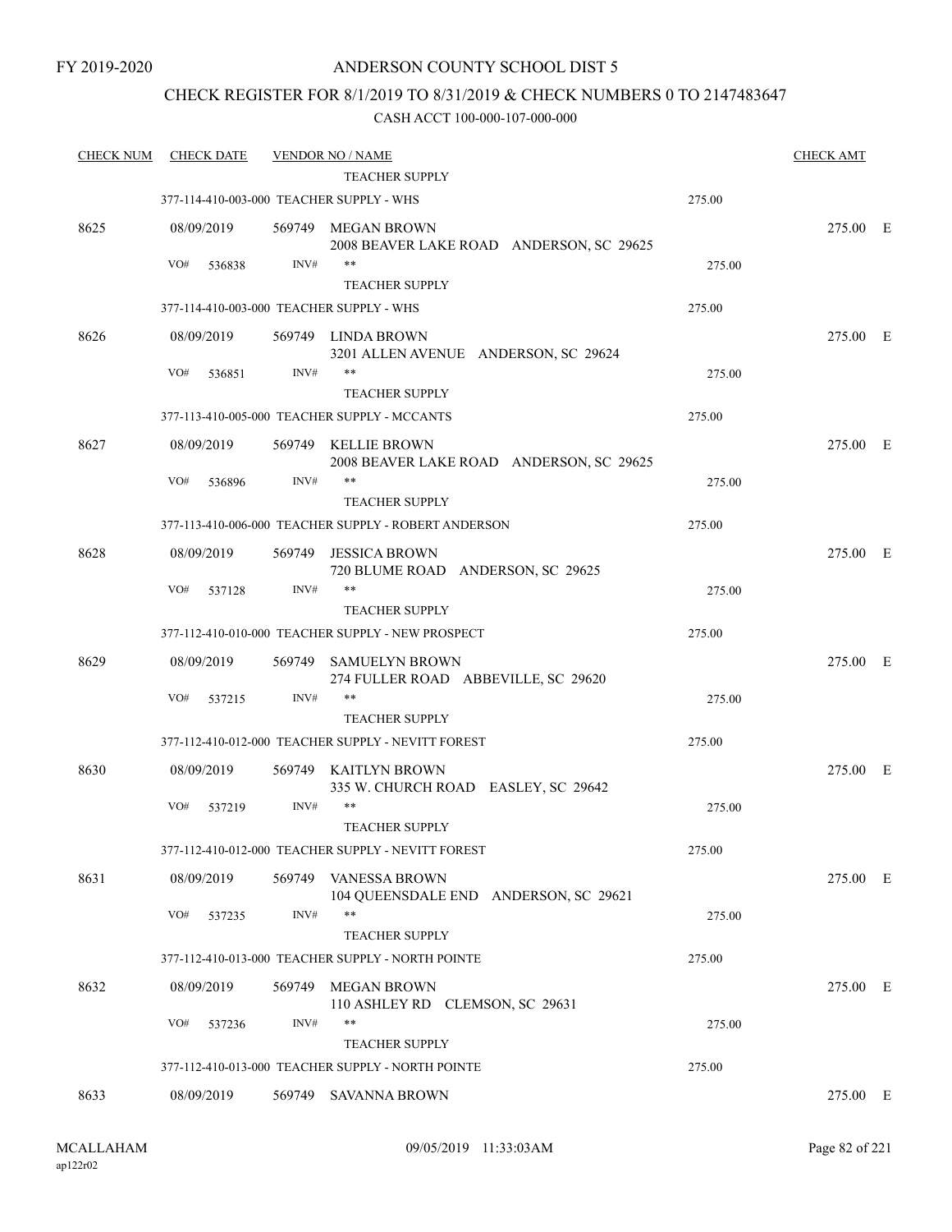## CHECK REGISTER FOR 8/1/2019 TO 8/31/2019 & CHECK NUMBERS 0 TO 2147483647

| <b>CHECK NUM</b> | <b>CHECK DATE</b>                        |        | <b>VENDOR NO / NAME</b>                                                     |        | <b>CHECK AMT</b> |  |
|------------------|------------------------------------------|--------|-----------------------------------------------------------------------------|--------|------------------|--|
|                  |                                          |        | <b>TEACHER SUPPLY</b>                                                       |        |                  |  |
|                  | 377-114-410-003-000 TEACHER SUPPLY - WHS |        |                                                                             | 275.00 |                  |  |
| 8625             | 08/09/2019                               |        | 569749 MEGAN BROWN<br>2008 BEAVER LAKE ROAD ANDERSON, SC 29625              |        | 275.00 E         |  |
|                  | VO#<br>536838                            | INV#   | $***$                                                                       | 275.00 |                  |  |
|                  |                                          |        | <b>TEACHER SUPPLY</b>                                                       |        |                  |  |
|                  | 377-114-410-003-000 TEACHER SUPPLY - WHS |        |                                                                             | 275.00 |                  |  |
| 8626             | 08/09/2019                               |        | 569749 LINDA BROWN<br>3201 ALLEN AVENUE ANDERSON, SC 29624                  |        | 275.00 E         |  |
|                  | VO#<br>536851                            | INV#   | $***$                                                                       | 275.00 |                  |  |
|                  |                                          |        | <b>TEACHER SUPPLY</b>                                                       |        |                  |  |
|                  |                                          |        | 377-113-410-005-000 TEACHER SUPPLY - MCCANTS                                | 275.00 |                  |  |
| 8627             | 08/09/2019                               |        | 569749 KELLIE BROWN<br>2008 BEAVER LAKE ROAD ANDERSON, SC 29625             |        | 275.00 E         |  |
|                  | VO#<br>536896                            | INV#   | **<br><b>TEACHER SUPPLY</b>                                                 | 275.00 |                  |  |
|                  |                                          |        | 377-113-410-006-000 TEACHER SUPPLY - ROBERT ANDERSON                        | 275.00 |                  |  |
| 8628             | 08/09/2019                               | 569749 | JESSICA BROWN<br>720 BLUME ROAD ANDERSON, SC 29625                          |        | 275.00 E         |  |
|                  | VO#<br>537128                            | INV#   | $***$                                                                       | 275.00 |                  |  |
|                  |                                          |        | <b>TEACHER SUPPLY</b>                                                       |        |                  |  |
|                  |                                          |        | 377-112-410-010-000 TEACHER SUPPLY - NEW PROSPECT                           | 275.00 |                  |  |
| 8629             | 08/09/2019                               | 569749 | SAMUELYN BROWN<br>274 FULLER ROAD ABBEVILLE, SC 29620                       |        | 275.00 E         |  |
|                  | VO#<br>537215                            | INV#   | $***$                                                                       | 275.00 |                  |  |
|                  |                                          |        | <b>TEACHER SUPPLY</b><br>377-112-410-012-000 TEACHER SUPPLY - NEVITT FOREST | 275.00 |                  |  |
|                  |                                          |        |                                                                             |        |                  |  |
| 8630             | 08/09/2019                               |        | 569749 KAITLYN BROWN<br>335 W. CHURCH ROAD EASLEY, SC 29642                 |        | 275.00 E         |  |
|                  | VO#<br>537219                            | INV#   | $***$<br><b>TEACHER SUPPLY</b>                                              | 275.00 |                  |  |
|                  |                                          |        | 377-112-410-012-000 TEACHER SUPPLY - NEVITT FOREST                          | 275.00 |                  |  |
| 8631             | 08/09/2019                               | 569749 | <b>VANESSA BROWN</b><br>104 QUEENSDALE END ANDERSON, SC 29621               |        | 275.00 E         |  |
|                  | VO#<br>537235                            | INV#   | $***$                                                                       | 275.00 |                  |  |
|                  |                                          |        | <b>TEACHER SUPPLY</b>                                                       |        |                  |  |
|                  |                                          |        | 377-112-410-013-000 TEACHER SUPPLY - NORTH POINTE                           | 275.00 |                  |  |
| 8632             | 08/09/2019                               | 569749 | MEGAN BROWN<br>110 ASHLEY RD CLEMSON, SC 29631                              |        | 275.00 E         |  |
|                  | VO#<br>537236                            | INV#   | **                                                                          | 275.00 |                  |  |
|                  |                                          |        | <b>TEACHER SUPPLY</b>                                                       |        |                  |  |
|                  |                                          |        | 377-112-410-013-000 TEACHER SUPPLY - NORTH POINTE                           | 275.00 |                  |  |
| 8633             | 08/09/2019                               |        | 569749 SAVANNA BROWN                                                        |        | 275.00 E         |  |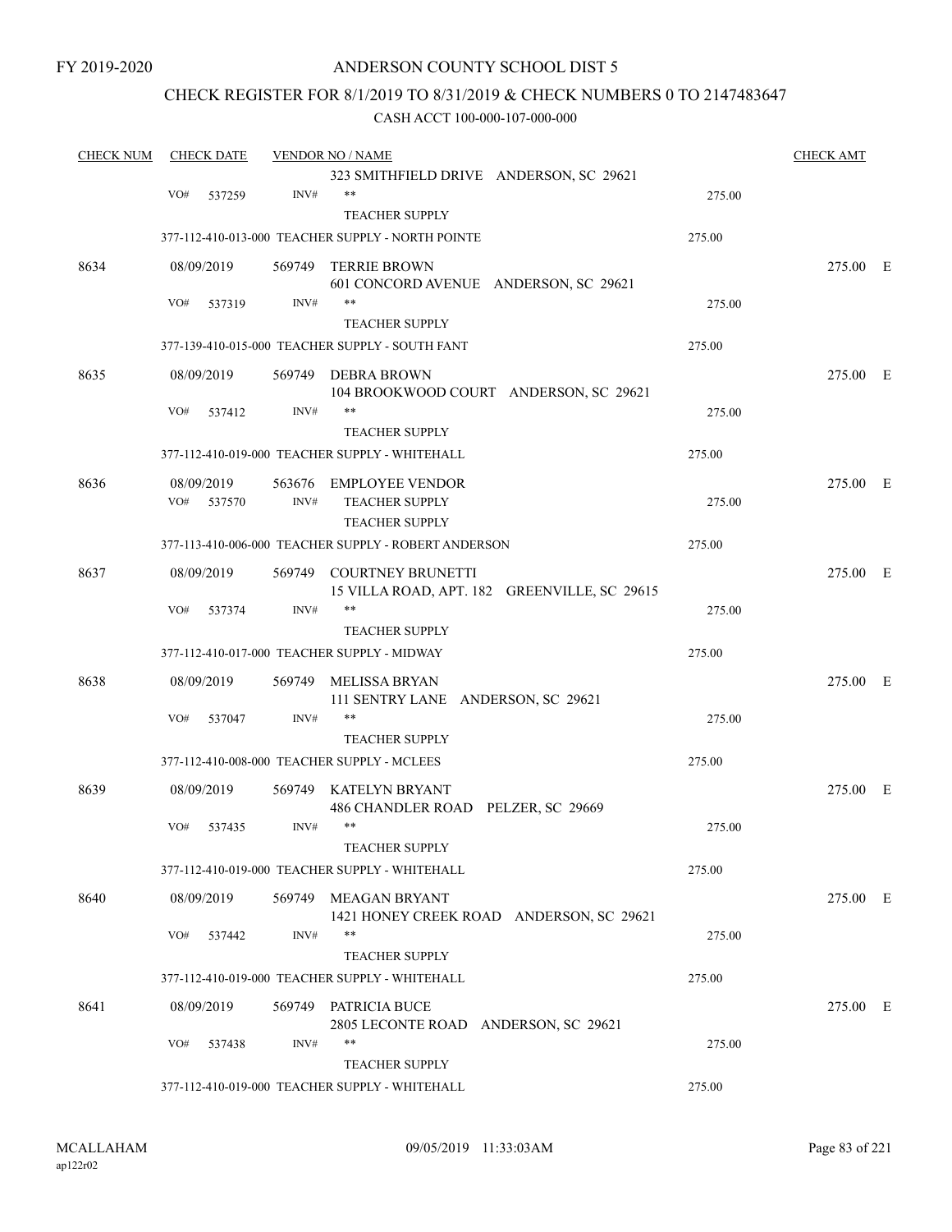## ANDERSON COUNTY SCHOOL DIST 5

## CHECK REGISTER FOR 8/1/2019 TO 8/31/2019 & CHECK NUMBERS 0 TO 2147483647

| <b>CHECK NUM</b> | <b>CHECK DATE</b>           |                | <b>VENDOR NO / NAME</b>                                   |        | <b>CHECK AMT</b> |  |
|------------------|-----------------------------|----------------|-----------------------------------------------------------|--------|------------------|--|
|                  |                             |                | 323 SMITHFIELD DRIVE ANDERSON, SC 29621                   |        |                  |  |
|                  | VO#<br>537259               | INV#           | $***$                                                     | 275.00 |                  |  |
|                  |                             |                | <b>TEACHER SUPPLY</b>                                     |        |                  |  |
|                  |                             |                | 377-112-410-013-000 TEACHER SUPPLY - NORTH POINTE         | 275.00 |                  |  |
| 8634             | 08/09/2019                  | 569749         | TERRIE BROWN                                              |        | 275.00 E         |  |
|                  |                             |                | 601 CONCORD AVENUE ANDERSON, SC 29621                     |        |                  |  |
|                  | VO#<br>537319               | INV#           | $***$                                                     | 275.00 |                  |  |
|                  |                             |                | <b>TEACHER SUPPLY</b>                                     |        |                  |  |
|                  |                             |                | 377-139-410-015-000 TEACHER SUPPLY - SOUTH FANT           | 275.00 |                  |  |
| 8635             | 08/09/2019                  | 569749         | DEBRA BROWN<br>104 BROOKWOOD COURT ANDERSON, SC 29621     |        | 275.00 E         |  |
|                  | VO#<br>537412               | INV#           | **                                                        | 275.00 |                  |  |
|                  |                             |                | <b>TEACHER SUPPLY</b>                                     |        |                  |  |
|                  |                             |                | 377-112-410-019-000 TEACHER SUPPLY - WHITEHALL            | 275.00 |                  |  |
|                  |                             |                |                                                           |        |                  |  |
| 8636             | 08/09/2019<br>VO#<br>537570 | 563676<br>INV# | <b>EMPLOYEE VENDOR</b><br><b>TEACHER SUPPLY</b>           | 275.00 | 275.00 E         |  |
|                  |                             |                | <b>TEACHER SUPPLY</b>                                     |        |                  |  |
|                  |                             |                | 377-113-410-006-000 TEACHER SUPPLY - ROBERT ANDERSON      | 275.00 |                  |  |
| 8637             | 08/09/2019                  | 569749         | <b>COURTNEY BRUNETTI</b>                                  |        | 275.00 E         |  |
|                  |                             |                | 15 VILLA ROAD, APT. 182 GREENVILLE, SC 29615              |        |                  |  |
|                  | VO#<br>537374               | INV#           | **                                                        | 275.00 |                  |  |
|                  |                             |                | <b>TEACHER SUPPLY</b>                                     |        |                  |  |
|                  |                             |                | 377-112-410-017-000 TEACHER SUPPLY - MIDWAY               | 275.00 |                  |  |
| 8638             | 08/09/2019                  | 569749         | MELISSA BRYAN<br>111 SENTRY LANE ANDERSON, SC 29621       |        | 275.00 E         |  |
|                  | VO#<br>537047               | INV#           | $***$                                                     | 275.00 |                  |  |
|                  |                             |                | <b>TEACHER SUPPLY</b>                                     |        |                  |  |
|                  |                             |                | 377-112-410-008-000 TEACHER SUPPLY - MCLEES               | 275.00 |                  |  |
| 8639             | 08/09/2019                  | 569749         | KATELYN BRYANT                                            |        | 275.00 E         |  |
|                  |                             |                | 486 CHANDLER ROAD PELZER, SC 29669                        |        |                  |  |
|                  | VO#<br>537435               | INV#           | $***$                                                     | 275.00 |                  |  |
|                  |                             |                | TEACHER SUPPLY                                            |        |                  |  |
|                  |                             |                | 377-112-410-019-000 TEACHER SUPPLY - WHITEHALL            | 275.00 |                  |  |
| 8640             | 08/09/2019                  | 569749         | MEAGAN BRYANT<br>1421 HONEY CREEK ROAD ANDERSON, SC 29621 |        | 275.00 E         |  |
|                  | VO#<br>537442               | INV#           | $***$                                                     | 275.00 |                  |  |
|                  |                             |                | <b>TEACHER SUPPLY</b>                                     |        |                  |  |
|                  |                             |                | 377-112-410-019-000 TEACHER SUPPLY - WHITEHALL            | 275.00 |                  |  |
| 8641             | 08/09/2019                  |                | 569749 PATRICIA BUCE                                      |        | 275.00 E         |  |
|                  |                             |                | 2805 LECONTE ROAD ANDERSON, SC 29621                      |        |                  |  |
|                  | VO#<br>537438               | INV#           | $***$                                                     | 275.00 |                  |  |
|                  |                             |                | <b>TEACHER SUPPLY</b>                                     |        |                  |  |
|                  |                             |                | 377-112-410-019-000 TEACHER SUPPLY - WHITEHALL            | 275.00 |                  |  |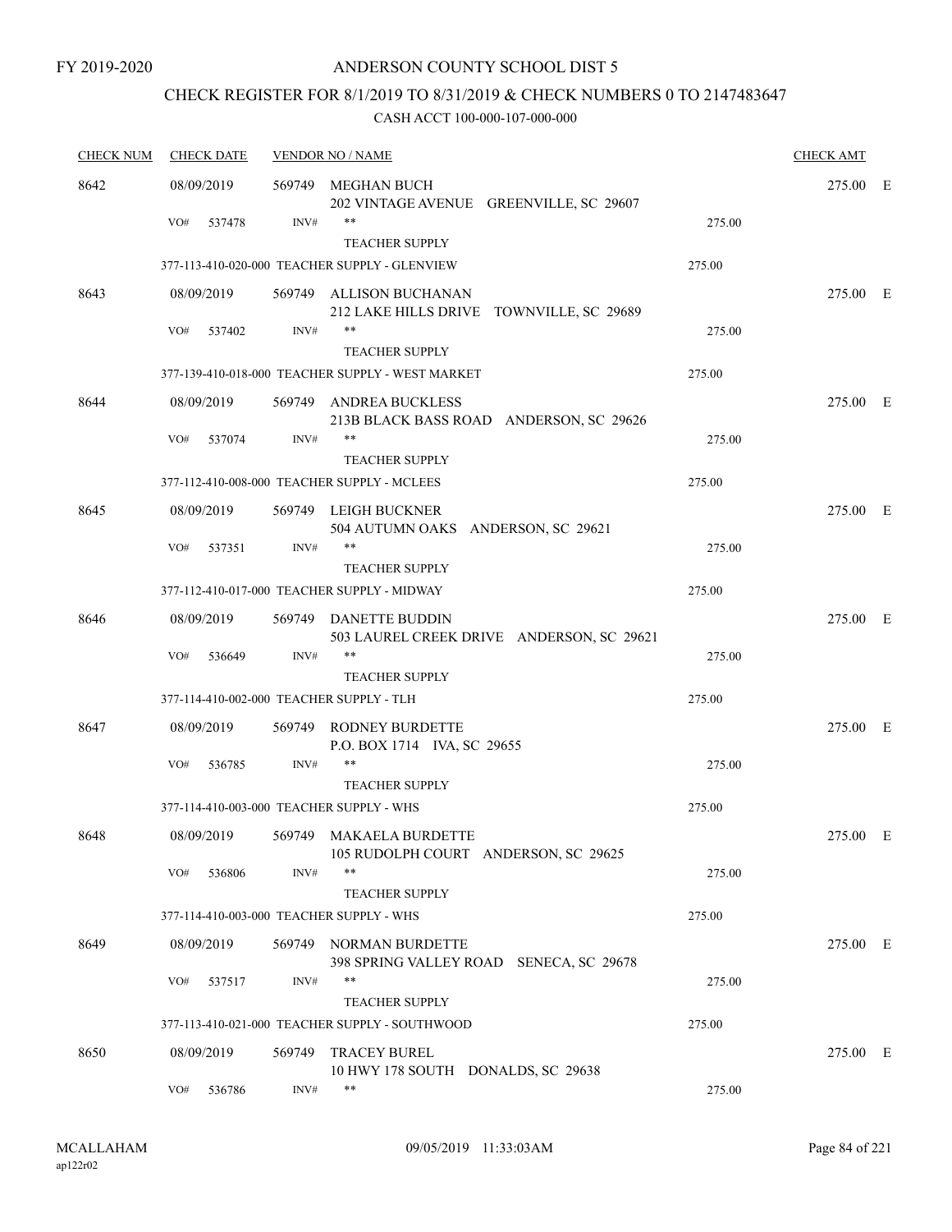# CHECK REGISTER FOR 8/1/2019 TO 8/31/2019 & CHECK NUMBERS 0 TO 2147483647

| <b>CHECK NUM</b> | <b>CHECK DATE</b>                        |        | <b>VENDOR NO / NAME</b>                                            |        | <b>CHECK AMT</b> |  |
|------------------|------------------------------------------|--------|--------------------------------------------------------------------|--------|------------------|--|
| 8642             | 08/09/2019                               | 569749 | MEGHAN BUCH<br>202 VINTAGE AVENUE GREENVILLE, SC 29607             |        | 275.00 E         |  |
|                  | VO#<br>537478                            | INV#   | **<br><b>TEACHER SUPPLY</b>                                        | 275.00 |                  |  |
|                  |                                          |        | 377-113-410-020-000 TEACHER SUPPLY - GLENVIEW                      | 275.00 |                  |  |
| 8643             | 08/09/2019                               | 569749 | ALLISON BUCHANAN<br>212 LAKE HILLS DRIVE TOWNVILLE, SC 29689       |        | 275.00 E         |  |
|                  | VO#<br>537402                            | INV#   | $***$<br><b>TEACHER SUPPLY</b>                                     | 275.00 |                  |  |
|                  |                                          |        | 377-139-410-018-000 TEACHER SUPPLY - WEST MARKET                   | 275.00 |                  |  |
| 8644             | 08/09/2019                               |        | 569749 ANDREA BUCKLESS<br>213B BLACK BASS ROAD ANDERSON, SC 29626  |        | 275.00 E         |  |
|                  | VO#<br>537074                            | INV#   | **<br><b>TEACHER SUPPLY</b>                                        | 275.00 |                  |  |
|                  |                                          |        | 377-112-410-008-000 TEACHER SUPPLY - MCLEES                        | 275.00 |                  |  |
| 8645             | 08/09/2019                               |        | 569749 LEIGH BUCKNER<br>504 AUTUMN OAKS ANDERSON, SC 29621         |        | 275.00 E         |  |
|                  | VO#<br>537351                            | INV#   | $***$<br><b>TEACHER SUPPLY</b>                                     | 275.00 |                  |  |
|                  |                                          |        | 377-112-410-017-000 TEACHER SUPPLY - MIDWAY                        | 275.00 |                  |  |
| 8646             | 08/09/2019                               |        | 569749 DANETTE BUDDIN<br>503 LAUREL CREEK DRIVE ANDERSON, SC 29621 |        | 275.00 E         |  |
|                  | VO#<br>536649                            | INV#   | $***$<br><b>TEACHER SUPPLY</b>                                     | 275.00 |                  |  |
|                  | 377-114-410-002-000 TEACHER SUPPLY - TLH |        |                                                                    | 275.00 |                  |  |
| 8647             | 08/09/2019                               | 569749 | RODNEY BURDETTE<br>P.O. BOX 1714 IVA, SC 29655                     |        | 275.00 E         |  |
|                  | VO#<br>536785                            | INV#   | **<br><b>TEACHER SUPPLY</b>                                        | 275.00 |                  |  |
|                  | 377-114-410-003-000 TEACHER SUPPLY - WHS |        |                                                                    | 275.00 |                  |  |
| 8648             | 08/09/2019                               | 569749 | MAKAELA BURDETTE<br>105 RUDOLPH COURT ANDERSON, SC 29625           |        | 275.00 E         |  |
|                  | VO#<br>536806                            | INV#   | $***$<br><b>TEACHER SUPPLY</b>                                     | 275.00 |                  |  |
|                  | 377-114-410-003-000 TEACHER SUPPLY - WHS |        |                                                                    | 275.00 |                  |  |
| 8649             | 08/09/2019                               |        | 569749 NORMAN BURDETTE<br>398 SPRING VALLEY ROAD SENECA, SC 29678  |        | 275.00 E         |  |
|                  | VO#<br>537517                            | INV#   | **<br><b>TEACHER SUPPLY</b>                                        | 275.00 |                  |  |
|                  |                                          |        | 377-113-410-021-000 TEACHER SUPPLY - SOUTHWOOD                     | 275.00 |                  |  |
| 8650             | 08/09/2019                               | 569749 | <b>TRACEY BUREL</b><br>10 HWY 178 SOUTH DONALDS, SC 29638          |        | 275.00 E         |  |
|                  | VO#<br>536786                            | INV#   | **                                                                 | 275.00 |                  |  |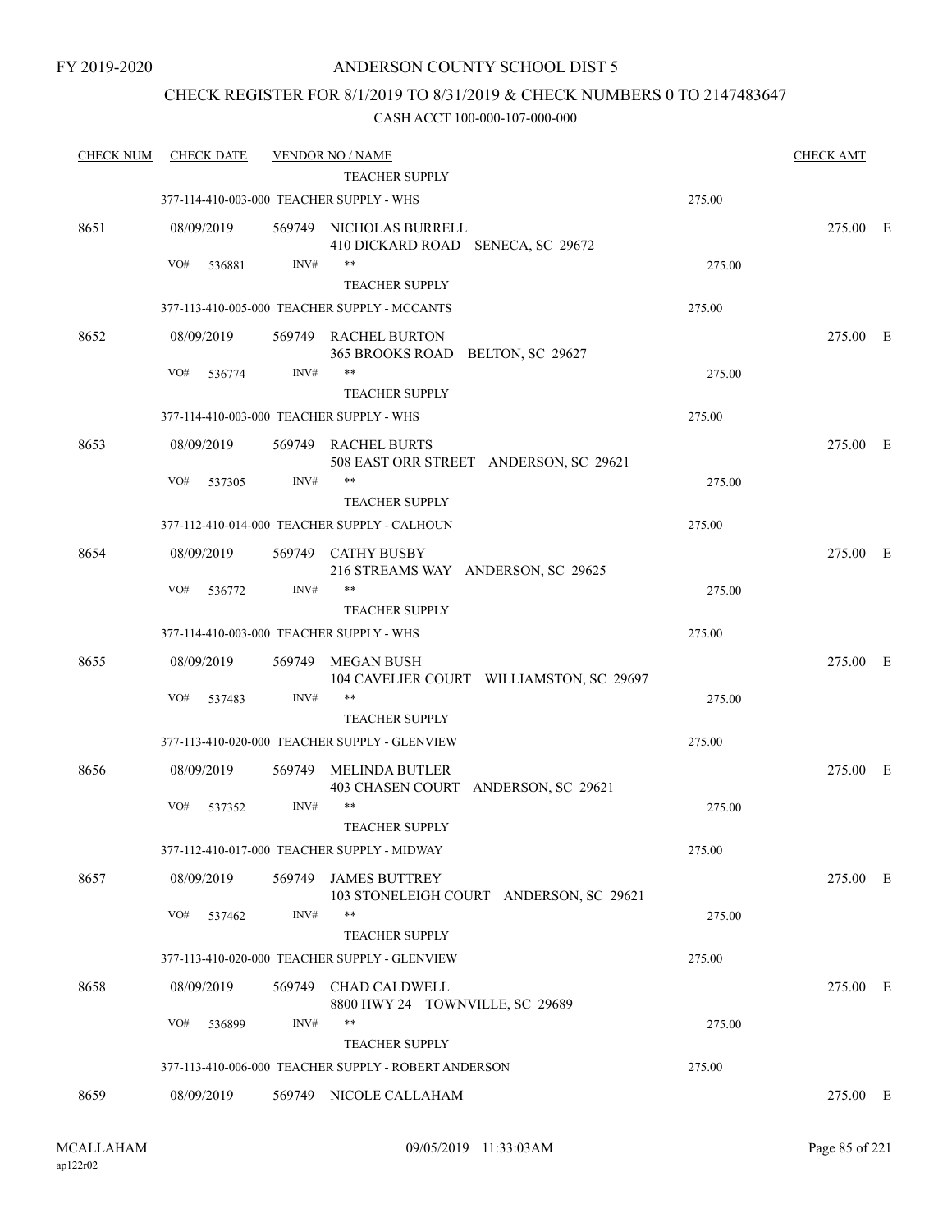## CHECK REGISTER FOR 8/1/2019 TO 8/31/2019 & CHECK NUMBERS 0 TO 2147483647

| <b>CHECK NUM</b> | <b>CHECK DATE</b>                        |        | <b>VENDOR NO / NAME</b>                                         |        | <b>CHECK AMT</b> |  |
|------------------|------------------------------------------|--------|-----------------------------------------------------------------|--------|------------------|--|
|                  |                                          |        | <b>TEACHER SUPPLY</b>                                           |        |                  |  |
|                  | 377-114-410-003-000 TEACHER SUPPLY - WHS |        |                                                                 | 275.00 |                  |  |
| 8651             | 08/09/2019                               |        | 569749 NICHOLAS BURRELL<br>410 DICKARD ROAD SENECA, SC 29672    |        | 275.00 E         |  |
|                  | VO#<br>536881                            | INV#   | $***$                                                           | 275.00 |                  |  |
|                  |                                          |        | <b>TEACHER SUPPLY</b>                                           |        |                  |  |
|                  |                                          |        | 377-113-410-005-000 TEACHER SUPPLY - MCCANTS                    | 275.00 |                  |  |
| 8652             | 08/09/2019                               |        | 569749 RACHEL BURTON<br>365 BROOKS ROAD BELTON, SC 29627        |        | 275.00 E         |  |
|                  | VO#<br>536774                            | INV#   | $***$                                                           | 275.00 |                  |  |
|                  |                                          |        | <b>TEACHER SUPPLY</b>                                           |        |                  |  |
|                  | 377-114-410-003-000 TEACHER SUPPLY - WHS |        |                                                                 | 275.00 |                  |  |
| 8653             | 08/09/2019                               |        | 569749 RACHEL BURTS<br>508 EAST ORR STREET ANDERSON, SC 29621   |        | 275.00 E         |  |
|                  | VO#<br>537305                            | INV#   | $***$                                                           | 275.00 |                  |  |
|                  |                                          |        | <b>TEACHER SUPPLY</b>                                           |        |                  |  |
|                  |                                          |        | 377-112-410-014-000 TEACHER SUPPLY - CALHOUN                    | 275.00 |                  |  |
| 8654             | 08/09/2019                               |        | 569749 CATHY BUSBY<br>216 STREAMS WAY ANDERSON, SC 29625        |        | 275.00 E         |  |
|                  | VO#<br>536772                            | INV#   | $***$                                                           | 275.00 |                  |  |
|                  |                                          |        | <b>TEACHER SUPPLY</b>                                           |        |                  |  |
|                  | 377-114-410-003-000 TEACHER SUPPLY - WHS |        |                                                                 | 275.00 |                  |  |
| 8655             | 08/09/2019                               | 569749 | MEGAN BUSH<br>104 CAVELIER COURT WILLIAMSTON, SC 29697          |        | 275.00 E         |  |
|                  | VO#<br>537483                            | INV#   | $***$                                                           | 275.00 |                  |  |
|                  |                                          |        | <b>TEACHER SUPPLY</b>                                           |        |                  |  |
|                  |                                          |        | 377-113-410-020-000 TEACHER SUPPLY - GLENVIEW                   | 275.00 |                  |  |
| 8656             | 08/09/2019                               | 569749 | MELINDA BUTLER<br>403 CHASEN COURT ANDERSON, SC 29621           |        | 275.00 E         |  |
|                  | VO#<br>537352                            | INV#   | $***$<br><b>TEACHER SUPPLY</b>                                  | 275.00 |                  |  |
|                  |                                          |        | 377-112-410-017-000 TEACHER SUPPLY - MIDWAY                     | 275.00 |                  |  |
| 8657             | 08/09/2019                               | 569749 | <b>JAMES BUTTREY</b><br>103 STONELEIGH COURT ANDERSON, SC 29621 |        | 275.00 E         |  |
|                  | VO#<br>537462                            | INV#   | $***$<br><b>TEACHER SUPPLY</b>                                  | 275.00 |                  |  |
|                  |                                          |        | 377-113-410-020-000 TEACHER SUPPLY - GLENVIEW                   | 275.00 |                  |  |
| 8658             | 08/09/2019                               | 569749 | <b>CHAD CALDWELL</b>                                            |        | 275.00 E         |  |
|                  |                                          |        | 8800 HWY 24 TOWNVILLE, SC 29689                                 |        |                  |  |
|                  | VO#<br>536899                            | INV#   | $***$<br><b>TEACHER SUPPLY</b>                                  | 275.00 |                  |  |
|                  |                                          |        |                                                                 |        |                  |  |
|                  |                                          |        | 377-113-410-006-000 TEACHER SUPPLY - ROBERT ANDERSON            | 275.00 |                  |  |
| 8659             | 08/09/2019                               |        | 569749 NICOLE CALLAHAM                                          |        | 275.00 E         |  |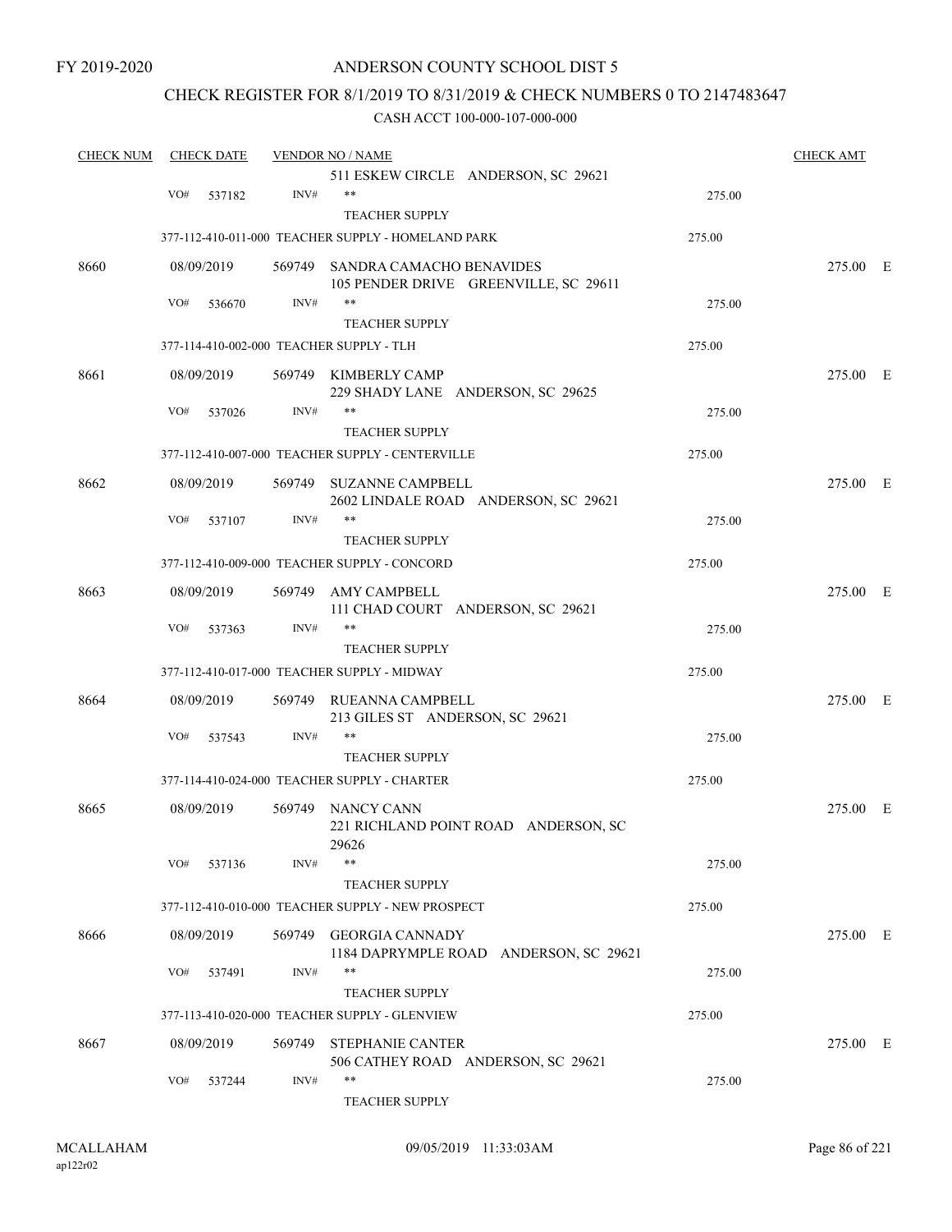## ANDERSON COUNTY SCHOOL DIST 5

## CHECK REGISTER FOR 8/1/2019 TO 8/31/2019 & CHECK NUMBERS 0 TO 2147483647

| <b>CHECK NUM</b> | <b>CHECK DATE</b> |        |        | <b>VENDOR NO / NAME</b>                                                  |        | <b>CHECK AMT</b> |  |
|------------------|-------------------|--------|--------|--------------------------------------------------------------------------|--------|------------------|--|
|                  |                   |        |        | 511 ESKEW CIRCLE ANDERSON, SC 29621                                      |        |                  |  |
|                  | VO#               | 537182 | INV#   | $***$                                                                    | 275.00 |                  |  |
|                  |                   |        |        | <b>TEACHER SUPPLY</b>                                                    |        |                  |  |
|                  |                   |        |        | 377-112-410-011-000 TEACHER SUPPLY - HOMELAND PARK                       | 275.00 |                  |  |
| 8660             | 08/09/2019        |        |        | 569749 SANDRA CAMACHO BENAVIDES<br>105 PENDER DRIVE GREENVILLE, SC 29611 |        | 275.00 E         |  |
|                  | VO#               | 536670 | INV#   | $***$                                                                    | 275.00 |                  |  |
|                  |                   |        |        | <b>TEACHER SUPPLY</b>                                                    |        |                  |  |
|                  |                   |        |        | 377-114-410-002-000 TEACHER SUPPLY - TLH                                 | 275.00 |                  |  |
| 8661             | 08/09/2019        |        |        | 569749 KIMBERLY CAMP<br>229 SHADY LANE ANDERSON, SC 29625                |        | 275.00 E         |  |
|                  | VO#               | 537026 | INV#   | **                                                                       | 275.00 |                  |  |
|                  |                   |        |        | <b>TEACHER SUPPLY</b>                                                    |        |                  |  |
|                  |                   |        |        | 377-112-410-007-000 TEACHER SUPPLY - CENTERVILLE                         | 275.00 |                  |  |
| 8662             | 08/09/2019        |        | 569749 | <b>SUZANNE CAMPBELL</b><br>2602 LINDALE ROAD ANDERSON, SC 29621          |        | 275.00 E         |  |
|                  | VO#               | 537107 | INV#   | $***$                                                                    | 275.00 |                  |  |
|                  |                   |        |        | <b>TEACHER SUPPLY</b>                                                    |        |                  |  |
|                  |                   |        |        | 377-112-410-009-000 TEACHER SUPPLY - CONCORD                             | 275.00 |                  |  |
| 8663             | 08/09/2019        |        | 569749 | AMY CAMPBELL<br>111 CHAD COURT ANDERSON, SC 29621                        |        | 275.00 E         |  |
|                  | VO#               | 537363 | INV#   | $***$                                                                    | 275.00 |                  |  |
|                  |                   |        |        | <b>TEACHER SUPPLY</b>                                                    |        |                  |  |
|                  |                   |        |        | 377-112-410-017-000 TEACHER SUPPLY - MIDWAY                              | 275.00 |                  |  |
| 8664             | 08/09/2019        |        | 569749 | RUEANNA CAMPBELL<br>213 GILES ST ANDERSON, SC 29621                      |        | 275.00 E         |  |
|                  | VO#               | 537543 | INV#   | $***$                                                                    | 275.00 |                  |  |
|                  |                   |        |        | <b>TEACHER SUPPLY</b>                                                    |        |                  |  |
|                  |                   |        |        | 377-114-410-024-000 TEACHER SUPPLY - CHARTER                             | 275.00 |                  |  |
| 8665             | 08/09/2019        |        |        | 569749 NANCY CANN<br>221 RICHLAND POINT ROAD ANDERSON, SC<br>29626       |        | 275.00 E         |  |
|                  | VO#               | 537136 | INV#   | $***$                                                                    | 275.00 |                  |  |
|                  |                   |        |        | <b>TEACHER SUPPLY</b>                                                    |        |                  |  |
|                  |                   |        |        | 377-112-410-010-000 TEACHER SUPPLY - NEW PROSPECT                        | 275.00 |                  |  |
| 8666             | 08/09/2019        |        |        | 569749 GEORGIA CANNADY<br>1184 DAPRYMPLE ROAD ANDERSON, SC 29621         |        | 275.00 E         |  |
|                  | VO#               | 537491 | INV#   | $***$                                                                    | 275.00 |                  |  |
|                  |                   |        |        | <b>TEACHER SUPPLY</b>                                                    |        |                  |  |
|                  |                   |        |        | 377-113-410-020-000 TEACHER SUPPLY - GLENVIEW                            | 275.00 |                  |  |
| 8667             | 08/09/2019        |        | 569749 | <b>STEPHANIE CANTER</b><br>506 CATHEY ROAD ANDERSON, SC 29621            |        | 275.00 E         |  |
|                  | VO#               | 537244 | INV#   | $***$<br>TEACHER SUPPLY                                                  | 275.00 |                  |  |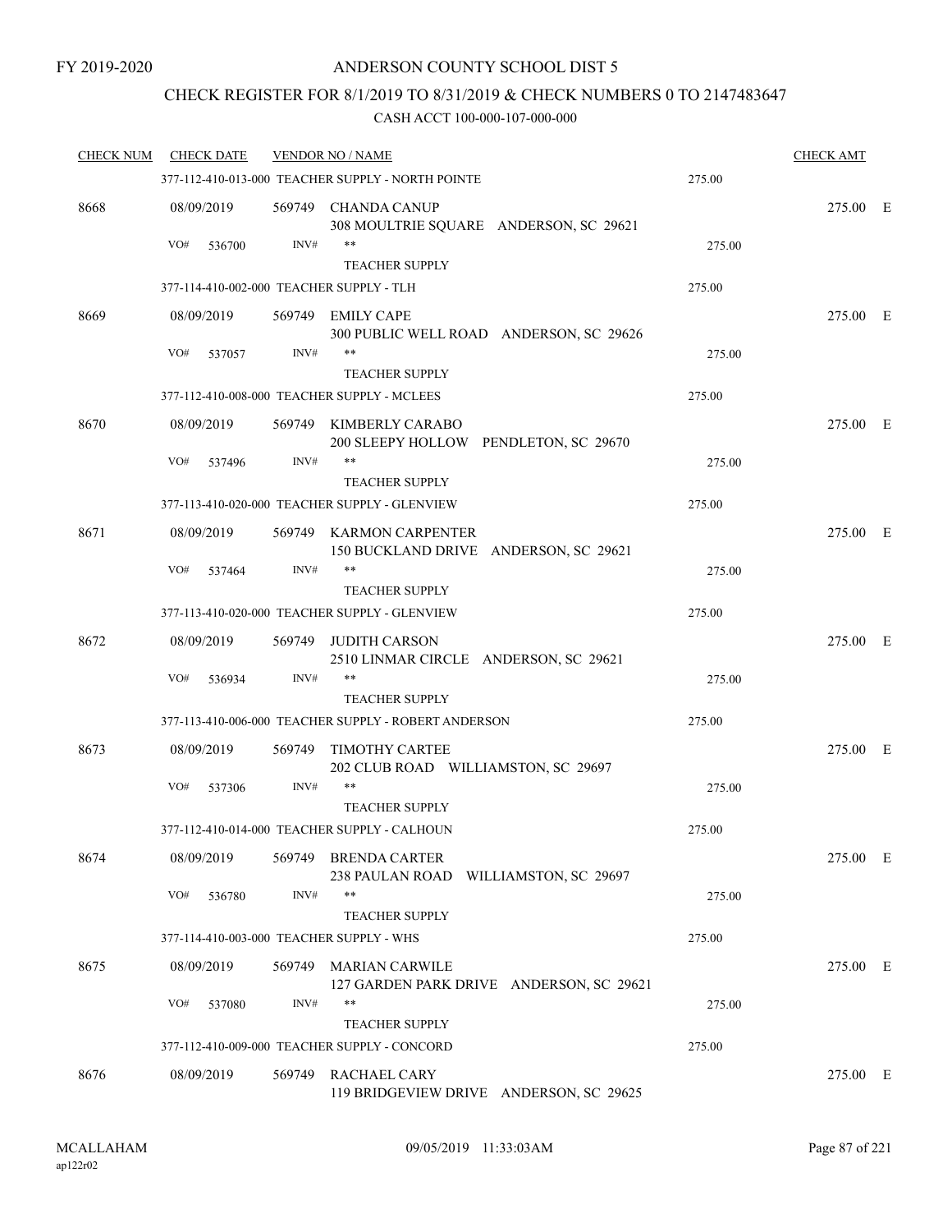## CHECK REGISTER FOR 8/1/2019 TO 8/31/2019 & CHECK NUMBERS 0 TO 2147483647

| <b>CHECK NUM</b> | <b>CHECK DATE</b>                        |        | <b>VENDOR NO / NAME</b>                                                |        | <b>CHECK AMT</b> |  |
|------------------|------------------------------------------|--------|------------------------------------------------------------------------|--------|------------------|--|
|                  |                                          |        | 377-112-410-013-000 TEACHER SUPPLY - NORTH POINTE                      | 275.00 |                  |  |
| 8668             | 08/09/2019                               |        | 569749 CHANDA CANUP<br>308 MOULTRIE SQUARE ANDERSON, SC 29621          |        | 275.00 E         |  |
|                  | VO#<br>536700                            | INV#   |                                                                        | 275.00 |                  |  |
|                  | 377-114-410-002-000 TEACHER SUPPLY - TLH |        | <b>TEACHER SUPPLY</b>                                                  | 275.00 |                  |  |
|                  |                                          |        |                                                                        |        |                  |  |
| 8669             | 08/09/2019                               | 569749 | <b>EMILY CAPE</b><br>300 PUBLIC WELL ROAD ANDERSON, SC 29626           |        | 275.00 E         |  |
|                  | VO#<br>537057                            | INV#   | $***$                                                                  | 275.00 |                  |  |
|                  |                                          |        | <b>TEACHER SUPPLY</b>                                                  |        |                  |  |
|                  |                                          |        | 377-112-410-008-000 TEACHER SUPPLY - MCLEES                            | 275.00 |                  |  |
| 8670             | 08/09/2019                               | 569749 | KIMBERLY CARABO<br>200 SLEEPY HOLLOW PENDLETON, SC 29670               |        | 275.00 E         |  |
|                  | VO#<br>537496                            | INV#   | $***$                                                                  | 275.00 |                  |  |
|                  |                                          |        | <b>TEACHER SUPPLY</b><br>377-113-410-020-000 TEACHER SUPPLY - GLENVIEW | 275.00 |                  |  |
|                  |                                          |        |                                                                        |        |                  |  |
| 8671             | 08/09/2019                               |        | 569749 KARMON CARPENTER<br>150 BUCKLAND DRIVE ANDERSON, SC 29621       |        | 275.00 E         |  |
|                  | VO#<br>537464                            | INV#   | $***$                                                                  | 275.00 |                  |  |
|                  |                                          |        | <b>TEACHER SUPPLY</b>                                                  |        |                  |  |
|                  |                                          |        | 377-113-410-020-000 TEACHER SUPPLY - GLENVIEW                          | 275.00 |                  |  |
| 8672             | 08/09/2019                               | 569749 | <b>JUDITH CARSON</b><br>2510 LINMAR CIRCLE ANDERSON, SC 29621          |        | 275.00 E         |  |
|                  | VO#<br>536934                            | INV#   | $***$                                                                  | 275.00 |                  |  |
|                  |                                          |        | <b>TEACHER SUPPLY</b>                                                  |        |                  |  |
|                  |                                          |        | 377-113-410-006-000 TEACHER SUPPLY - ROBERT ANDERSON                   | 275.00 |                  |  |
| 8673             | 08/09/2019                               | 569749 | <b>TIMOTHY CARTEE</b><br>202 CLUB ROAD WILLIAMSTON, SC 29697<br>$***$  |        | 275.00 E         |  |
|                  | VO#<br>537306                            | INV#   | <b>TEACHER SUPPLY</b>                                                  | 275.00 |                  |  |
|                  |                                          |        | 377-112-410-014-000 TEACHER SUPPLY - CALHOUN                           | 275.00 |                  |  |
| 8674             | 08/09/2019                               | 569749 | <b>BRENDA CARTER</b><br>238 PAULAN ROAD WILLIAMSTON, SC 29697          |        | 275.00 E         |  |
|                  | VO#<br>536780                            | INV#   | $***$<br><b>TEACHER SUPPLY</b>                                         | 275.00 |                  |  |
|                  | 377-114-410-003-000 TEACHER SUPPLY - WHS |        |                                                                        | 275.00 |                  |  |
| 8675             | 08/09/2019                               |        | 569749 MARIAN CARWILE                                                  |        | 275.00 E         |  |
|                  |                                          |        | 127 GARDEN PARK DRIVE ANDERSON, SC 29621                               |        |                  |  |
|                  | VO#<br>537080                            | INV#   | $***$                                                                  | 275.00 |                  |  |
|                  |                                          |        | <b>TEACHER SUPPLY</b>                                                  |        |                  |  |
|                  |                                          |        | 377-112-410-009-000 TEACHER SUPPLY - CONCORD                           | 275.00 |                  |  |
| 8676             | 08/09/2019                               |        | 569749 RACHAEL CARY<br>119 BRIDGEVIEW DRIVE ANDERSON, SC 29625         |        | 275.00 E         |  |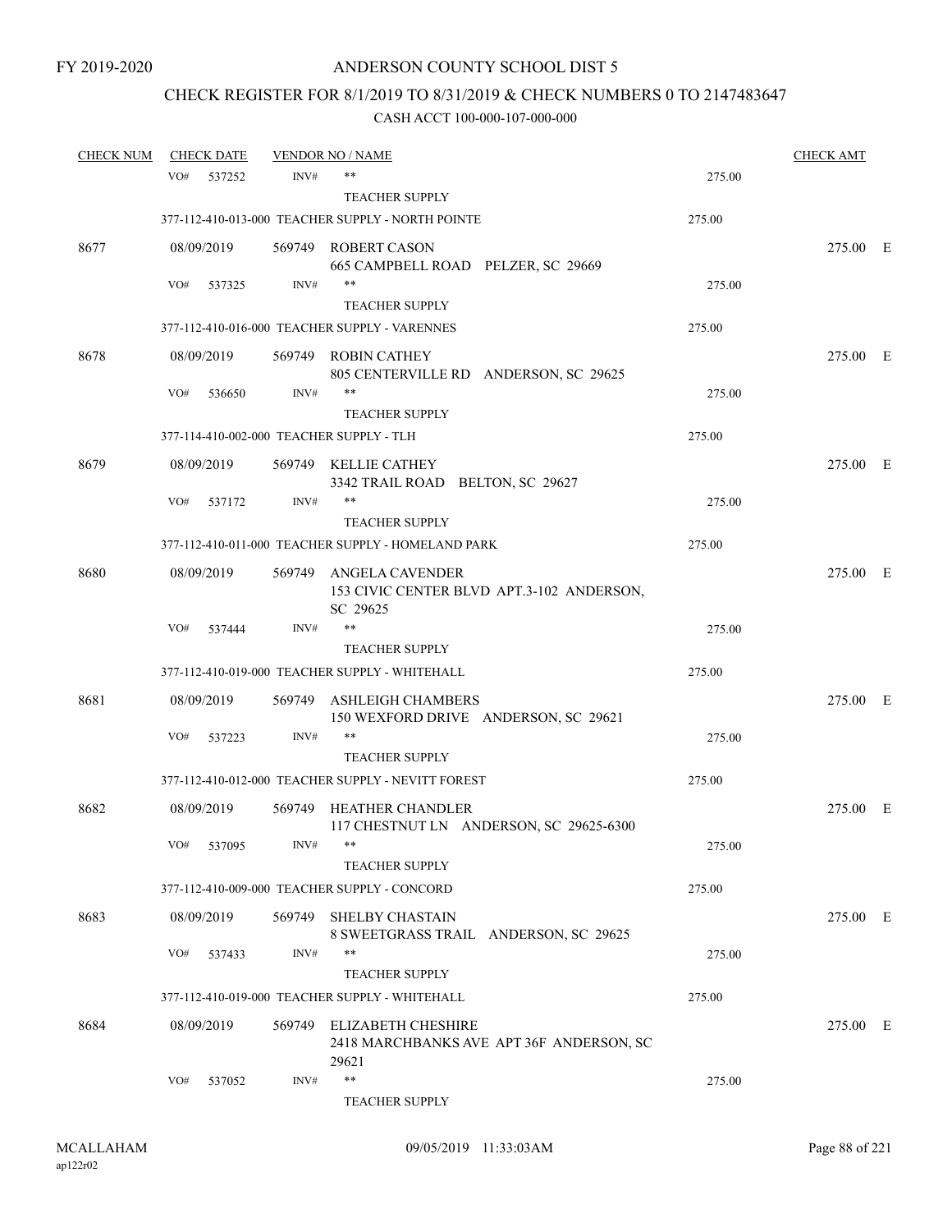# CHECK REGISTER FOR 8/1/2019 TO 8/31/2019 & CHECK NUMBERS 0 TO 2147483647

| <b>CHECK NUM</b> |     | <b>CHECK DATE</b> |        | <b>VENDOR NO / NAME</b>                                                        |        | <b>CHECK AMT</b> |  |
|------------------|-----|-------------------|--------|--------------------------------------------------------------------------------|--------|------------------|--|
|                  | VO# | 537252            | INV#   | $***$                                                                          | 275.00 |                  |  |
|                  |     |                   |        | <b>TEACHER SUPPLY</b>                                                          |        |                  |  |
|                  |     |                   |        | 377-112-410-013-000 TEACHER SUPPLY - NORTH POINTE                              | 275.00 |                  |  |
| 8677             |     | 08/09/2019        |        | 569749 ROBERT CASON<br>665 CAMPBELL ROAD PELZER, SC 29669                      |        | 275.00 E         |  |
|                  | VO# | 537325            | INV#   | $***$                                                                          | 275.00 |                  |  |
|                  |     |                   |        | <b>TEACHER SUPPLY</b>                                                          |        |                  |  |
|                  |     |                   |        | 377-112-410-016-000 TEACHER SUPPLY - VARENNES                                  | 275.00 |                  |  |
| 8678             |     | 08/09/2019        |        | 569749 ROBIN CATHEY<br>805 CENTERVILLE RD ANDERSON, SC 29625                   |        | 275.00 E         |  |
|                  | VO# | 536650            | INV#   | $***$                                                                          | 275.00 |                  |  |
|                  |     |                   |        | <b>TEACHER SUPPLY</b>                                                          |        |                  |  |
|                  |     |                   |        | 377-114-410-002-000 TEACHER SUPPLY - TLH                                       | 275.00 |                  |  |
| 8679             |     | 08/09/2019        |        | 569749 KELLIE CATHEY<br>3342 TRAIL ROAD BELTON, SC 29627                       |        | 275.00 E         |  |
|                  | VO# | 537172            | INV#   | **                                                                             | 275.00 |                  |  |
|                  |     |                   |        | <b>TEACHER SUPPLY</b>                                                          |        |                  |  |
|                  |     |                   |        | 377-112-410-011-000 TEACHER SUPPLY - HOMELAND PARK                             | 275.00 |                  |  |
| 8680             |     | 08/09/2019        | 569749 | ANGELA CAVENDER<br>153 CIVIC CENTER BLVD APT.3-102 ANDERSON,<br>SC 29625       |        | 275.00 E         |  |
|                  | VO# | 537444            | INV#   | $***$                                                                          | 275.00 |                  |  |
|                  |     |                   |        | <b>TEACHER SUPPLY</b>                                                          |        |                  |  |
|                  |     |                   |        | 377-112-410-019-000 TEACHER SUPPLY - WHITEHALL                                 | 275.00 |                  |  |
| 8681             |     | 08/09/2019        | 569749 | ASHLEIGH CHAMBERS<br>150 WEXFORD DRIVE ANDERSON, SC 29621                      |        | 275.00 E         |  |
|                  | VO# | 537223            | INV#   | $***$                                                                          | 275.00 |                  |  |
|                  |     |                   |        | <b>TEACHER SUPPLY</b>                                                          |        |                  |  |
|                  |     |                   |        | 377-112-410-012-000 TEACHER SUPPLY - NEVITT FOREST                             | 275.00 |                  |  |
| 8682             |     | 08/09/2019        | 569749 | <b>HEATHER CHANDLER</b><br>117 CHESTNUT LN ANDERSON, SC 29625-6300             |        | 275.00 E         |  |
|                  | VO# | 537095            | INV#   |                                                                                | 275.00 |                  |  |
|                  |     |                   |        | <b>TEACHER SUPPLY</b>                                                          |        |                  |  |
|                  |     |                   |        | 377-112-410-009-000 TEACHER SUPPLY - CONCORD                                   | 275.00 |                  |  |
| 8683             |     | 08/09/2019        |        | 569749 SHELBY CHASTAIN<br>8 SWEETGRASS TRAIL ANDERSON, SC 29625                |        | 275.00 E         |  |
|                  | VO# | 537433            | INV#   | $***$                                                                          | 275.00 |                  |  |
|                  |     |                   |        | <b>TEACHER SUPPLY</b>                                                          |        |                  |  |
|                  |     |                   |        | 377-112-410-019-000 TEACHER SUPPLY - WHITEHALL                                 | 275.00 |                  |  |
| 8684             |     | 08/09/2019        |        | 569749 ELIZABETH CHESHIRE<br>2418 MARCHBANKS AVE APT 36F ANDERSON, SC<br>29621 |        | 275.00 E         |  |
|                  | VO# | 537052            | INV#   | $***$<br><b>TEACHER SUPPLY</b>                                                 | 275.00 |                  |  |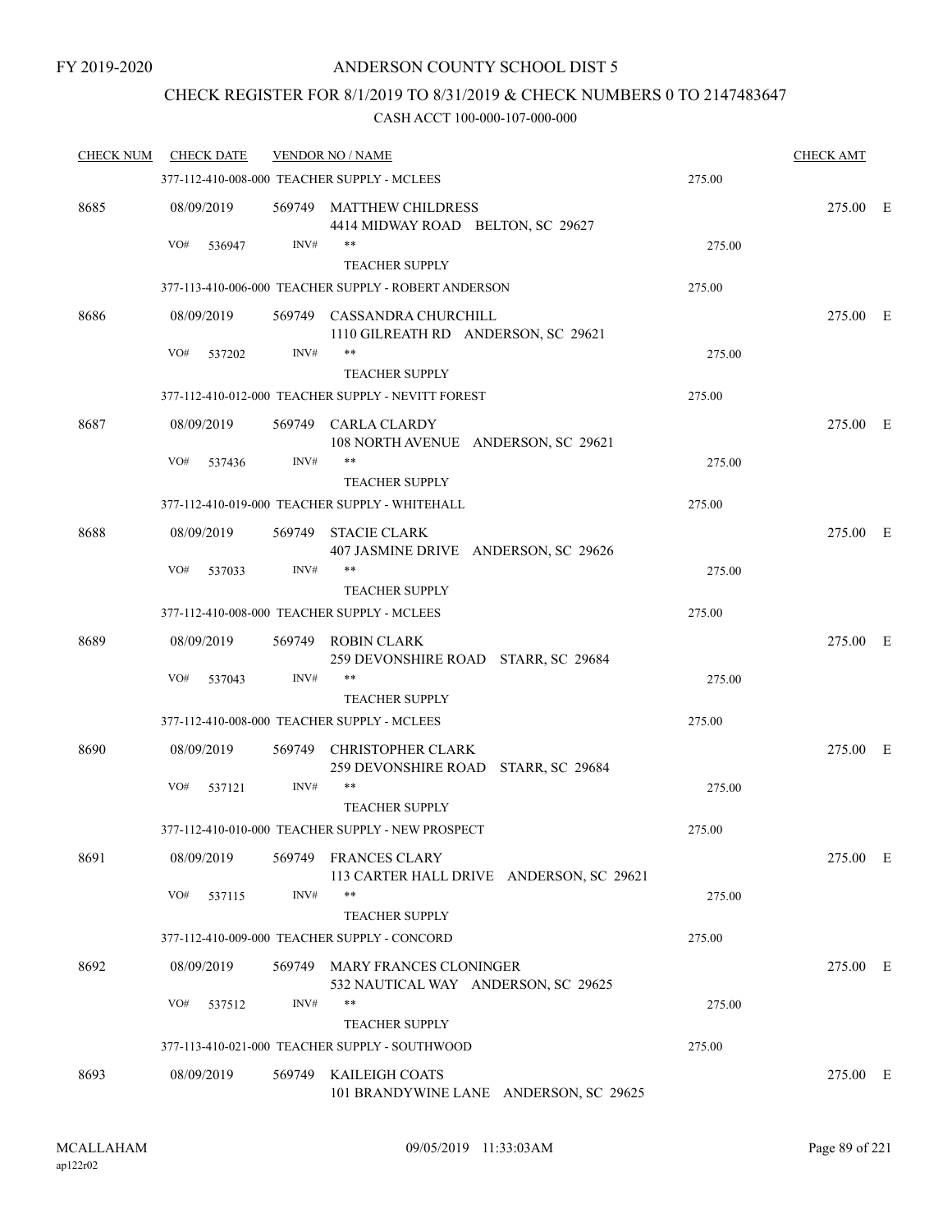# CHECK REGISTER FOR 8/1/2019 TO 8/31/2019 & CHECK NUMBERS 0 TO 2147483647

| <b>CHECK NUM</b> | <b>CHECK DATE</b> |        | <b>VENDOR NO / NAME</b>                                                 |        | <b>CHECK AMT</b> |  |
|------------------|-------------------|--------|-------------------------------------------------------------------------|--------|------------------|--|
|                  |                   |        | 377-112-410-008-000 TEACHER SUPPLY - MCLEES                             | 275.00 |                  |  |
| 8685             | 08/09/2019        |        | 569749 MATTHEW CHILDRESS<br>4414 MIDWAY ROAD BELTON, SC 29627           |        | 275.00 E         |  |
|                  | VO#<br>536947     | INV#   | **                                                                      | 275.00 |                  |  |
|                  |                   |        | <b>TEACHER SUPPLY</b>                                                   |        |                  |  |
|                  |                   |        | 377-113-410-006-000 TEACHER SUPPLY - ROBERT ANDERSON                    | 275.00 |                  |  |
| 8686             | 08/09/2019        |        | 569749 CASSANDRA CHURCHILL<br>1110 GILREATH RD ANDERSON, SC 29621       |        | 275.00 E         |  |
|                  | VO#<br>537202     | INV#   | **<br><b>TEACHER SUPPLY</b>                                             | 275.00 |                  |  |
|                  |                   |        | 377-112-410-012-000 TEACHER SUPPLY - NEVITT FOREST                      | 275.00 |                  |  |
| 8687             | 08/09/2019        |        | 569749 CARLA CLARDY<br>108 NORTH AVENUE ANDERSON, SC 29621              |        | 275.00 E         |  |
|                  | VO#<br>537436     | INV#   | **                                                                      | 275.00 |                  |  |
|                  |                   |        | <b>TEACHER SUPPLY</b>                                                   |        |                  |  |
|                  |                   |        | 377-112-410-019-000 TEACHER SUPPLY - WHITEHALL                          | 275.00 |                  |  |
| 8688             | 08/09/2019        |        | 569749 STACIE CLARK<br>407 JASMINE DRIVE ANDERSON, SC 29626             |        | 275.00 E         |  |
|                  | VO#<br>537033     | INV#   | **<br><b>TEACHER SUPPLY</b>                                             | 275.00 |                  |  |
|                  |                   |        | 377-112-410-008-000 TEACHER SUPPLY - MCLEES                             | 275.00 |                  |  |
| 8689             | 08/09/2019        |        | 569749 ROBIN CLARK<br>259 DEVONSHIRE ROAD STARR, SC 29684               |        | 275.00 E         |  |
|                  | VO#<br>537043     | INV#   | **<br><b>TEACHER SUPPLY</b>                                             | 275.00 |                  |  |
|                  |                   |        | 377-112-410-008-000 TEACHER SUPPLY - MCLEES                             | 275.00 |                  |  |
| 8690             | 08/09/2019        | 569749 | CHRISTOPHER CLARK<br>259 DEVONSHIRE ROAD STARR, SC 29684                |        | 275.00 E         |  |
|                  | VO#<br>537121     | INV#   | **                                                                      | 275.00 |                  |  |
|                  |                   |        | <b>TEACHER SUPPLY</b>                                                   |        |                  |  |
|                  |                   |        | 377-112-410-010-000 TEACHER SUPPLY - NEW PROSPECT                       | 275.00 |                  |  |
| 8691             | 08/09/2019        |        | 569749 FRANCES CLARY<br>113 CARTER HALL DRIVE ANDERSON, SC 29621        |        | 275.00 E         |  |
|                  | VO#<br>537115     | INV#   | **<br><b>TEACHER SUPPLY</b>                                             | 275.00 |                  |  |
|                  |                   |        | 377-112-410-009-000 TEACHER SUPPLY - CONCORD                            | 275.00 |                  |  |
| 8692             | 08/09/2019        |        | 569749 MARY FRANCES CLONINGER<br>532 NAUTICAL WAY ANDERSON, SC 29625    |        | 275.00 E         |  |
|                  | VO#<br>537512     | INV#   | **                                                                      | 275.00 |                  |  |
|                  |                   |        | <b>TEACHER SUPPLY</b><br>377-113-410-021-000 TEACHER SUPPLY - SOUTHWOOD | 275.00 |                  |  |
|                  |                   |        |                                                                         |        |                  |  |
| 8693             | 08/09/2019        |        | 569749 KAILEIGH COATS<br>101 BRANDYWINE LANE ANDERSON, SC 29625         |        | 275.00 E         |  |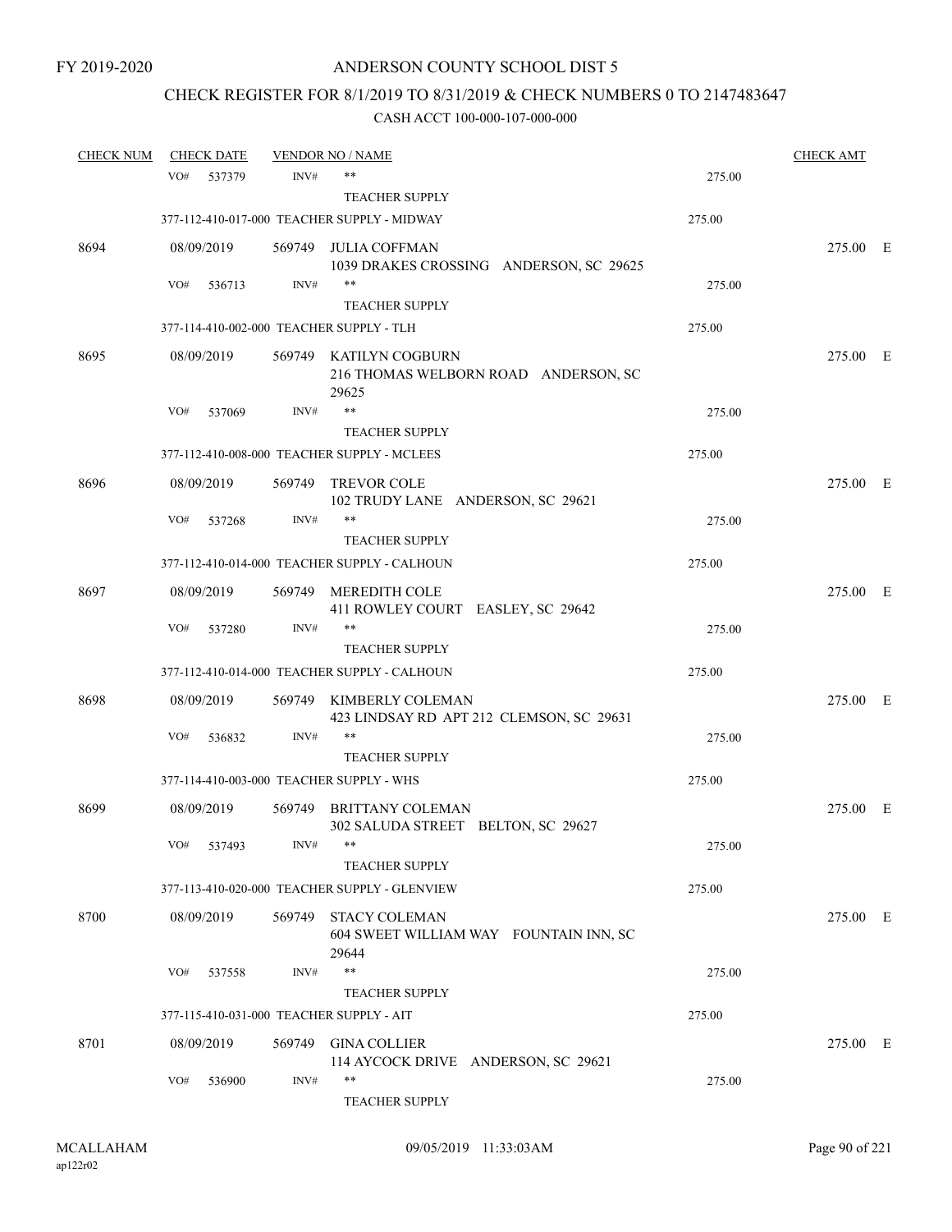# CHECK REGISTER FOR 8/1/2019 TO 8/31/2019 & CHECK NUMBERS 0 TO 2147483647

| <b>CHECK NUM</b> |     | <b>CHECK DATE</b> |        | <b>VENDOR NO / NAME</b>                                                 |        | <b>CHECK AMT</b> |  |
|------------------|-----|-------------------|--------|-------------------------------------------------------------------------|--------|------------------|--|
|                  | VO# | 537379            | INV#   | $***$                                                                   | 275.00 |                  |  |
|                  |     |                   |        | <b>TEACHER SUPPLY</b>                                                   |        |                  |  |
|                  |     |                   |        | 377-112-410-017-000 TEACHER SUPPLY - MIDWAY                             | 275.00 |                  |  |
| 8694             |     | 08/09/2019        |        | 569749 JULIA COFFMAN<br>1039 DRAKES CROSSING ANDERSON, SC 29625         |        | 275.00 E         |  |
|                  | VO# | 536713            | INV#   | **                                                                      | 275.00 |                  |  |
|                  |     |                   |        | <b>TEACHER SUPPLY</b>                                                   |        |                  |  |
|                  |     |                   |        | 377-114-410-002-000 TEACHER SUPPLY - TLH                                | 275.00 |                  |  |
| 8695             |     | 08/09/2019        |        | 569749 KATILYN COGBURN<br>216 THOMAS WELBORN ROAD ANDERSON, SC<br>29625 |        | 275.00 E         |  |
|                  | VO# | 537069            | INV#   | **                                                                      | 275.00 |                  |  |
|                  |     |                   |        | <b>TEACHER SUPPLY</b>                                                   |        |                  |  |
|                  |     |                   |        | 377-112-410-008-000 TEACHER SUPPLY - MCLEES                             | 275.00 |                  |  |
| 8696             |     | 08/09/2019        |        | 569749 TREVOR COLE<br>102 TRUDY LANE ANDERSON, SC 29621                 |        | 275.00 E         |  |
|                  | VO# | 537268            | INV#   | **                                                                      | 275.00 |                  |  |
|                  |     |                   |        | <b>TEACHER SUPPLY</b>                                                   |        |                  |  |
|                  |     |                   |        | 377-112-410-014-000 TEACHER SUPPLY - CALHOUN                            | 275.00 |                  |  |
| 8697             |     | 08/09/2019        |        | 569749 MEREDITH COLE<br>411 ROWLEY COURT EASLEY, SC 29642               |        | 275.00 E         |  |
|                  | VO# | 537280            | INV#   | **                                                                      | 275.00 |                  |  |
|                  |     |                   |        | <b>TEACHER SUPPLY</b>                                                   |        |                  |  |
|                  |     |                   |        | 377-112-410-014-000 TEACHER SUPPLY - CALHOUN                            | 275.00 |                  |  |
| 8698             |     | 08/09/2019        | 569749 | KIMBERLY COLEMAN<br>423 LINDSAY RD APT 212 CLEMSON, SC 29631            |        | 275.00 E         |  |
|                  | VO# | 536832            | INV#   | **                                                                      | 275.00 |                  |  |
|                  |     |                   |        | <b>TEACHER SUPPLY</b>                                                   |        |                  |  |
|                  |     |                   |        | 377-114-410-003-000 TEACHER SUPPLY - WHS                                | 275.00 |                  |  |
| 8699             |     | 08/09/2019        |        | 569749 BRITTANY COLEMAN<br>302 SALUDA STREET BELTON, SC 29627           |        | 275.00 E         |  |
|                  | VO# | 537493            | INV#   | **                                                                      | 275.00 |                  |  |
|                  |     |                   |        | <b>TEACHER SUPPLY</b>                                                   |        |                  |  |
|                  |     |                   |        | 377-113-410-020-000 TEACHER SUPPLY - GLENVIEW                           | 275.00 |                  |  |
| 8700             |     | 08/09/2019        | 569749 | <b>STACY COLEMAN</b><br>604 SWEET WILLIAM WAY FOUNTAIN INN, SC<br>29644 |        | 275.00 E         |  |
|                  | VO# | 537558            | INV#   | $***$                                                                   | 275.00 |                  |  |
|                  |     |                   |        | <b>TEACHER SUPPLY</b>                                                   |        |                  |  |
|                  |     |                   |        | 377-115-410-031-000 TEACHER SUPPLY - AIT                                | 275.00 |                  |  |
| 8701             |     | 08/09/2019        | 569749 | <b>GINA COLLIER</b><br>114 AYCOCK DRIVE ANDERSON, SC 29621              |        | 275.00 E         |  |
|                  | VO# | 536900            | INV#   | **<br>TEACHER SUPPLY                                                    | 275.00 |                  |  |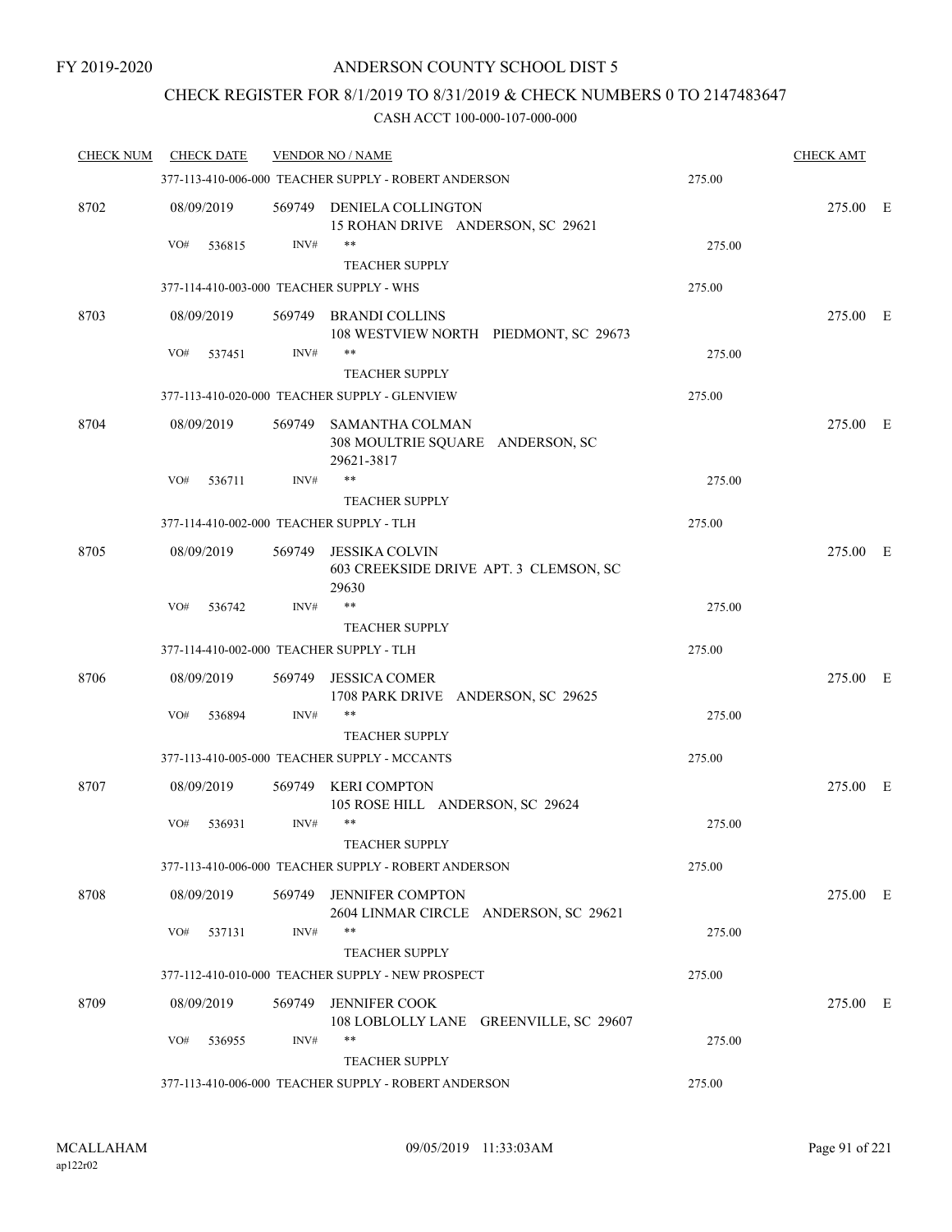## CHECK REGISTER FOR 8/1/2019 TO 8/31/2019 & CHECK NUMBERS 0 TO 2147483647

| <b>CHECK NUM</b> | <b>CHECK DATE</b>                        |        | <b>VENDOR NO / NAME</b>                                                  |        | <b>CHECK AMT</b> |  |
|------------------|------------------------------------------|--------|--------------------------------------------------------------------------|--------|------------------|--|
|                  |                                          |        | 377-113-410-006-000 TEACHER SUPPLY - ROBERT ANDERSON                     | 275.00 |                  |  |
| 8702             | 08/09/2019                               |        | 569749 DENIELA COLLINGTON<br>15 ROHAN DRIVE ANDERSON, SC 29621           |        | 275.00 E         |  |
|                  | VO#<br>536815                            | INV#   | **                                                                       | 275.00 |                  |  |
|                  |                                          |        | <b>TEACHER SUPPLY</b>                                                    |        |                  |  |
|                  |                                          |        | 377-114-410-003-000 TEACHER SUPPLY - WHS                                 | 275.00 |                  |  |
| 8703             | 08/09/2019                               | 569749 | <b>BRANDI COLLINS</b><br>108 WESTVIEW NORTH PIEDMONT, SC 29673           |        | 275.00 E         |  |
|                  | VO#<br>537451                            | INV#   | **                                                                       | 275.00 |                  |  |
|                  |                                          |        | <b>TEACHER SUPPLY</b>                                                    |        |                  |  |
|                  |                                          |        | 377-113-410-020-000 TEACHER SUPPLY - GLENVIEW                            | 275.00 |                  |  |
| 8704             | 08/09/2019                               |        | 569749 SAMANTHA COLMAN<br>308 MOULTRIE SQUARE ANDERSON, SC<br>29621-3817 |        | 275.00 E         |  |
|                  | VO#<br>536711                            | INV#   | $***$                                                                    | 275.00 |                  |  |
|                  |                                          |        | <b>TEACHER SUPPLY</b>                                                    |        |                  |  |
|                  | 377-114-410-002-000 TEACHER SUPPLY - TLH |        |                                                                          | 275.00 |                  |  |
| 8705             | 08/09/2019                               |        | 569749 JESSIKA COLVIN<br>603 CREEKSIDE DRIVE APT. 3 CLEMSON, SC<br>29630 |        | 275.00 E         |  |
|                  | VO#<br>536742                            | INV#   | $***$                                                                    | 275.00 |                  |  |
|                  |                                          |        | <b>TEACHER SUPPLY</b>                                                    |        |                  |  |
|                  | 377-114-410-002-000 TEACHER SUPPLY - TLH |        |                                                                          | 275.00 |                  |  |
| 8706             | 08/09/2019                               | 569749 | <b>JESSICA COMER</b><br>1708 PARK DRIVE ANDERSON, SC 29625               |        | 275.00 E         |  |
|                  | VO#<br>536894                            | INV#   | $***$                                                                    | 275.00 |                  |  |
|                  |                                          |        | <b>TEACHER SUPPLY</b>                                                    |        |                  |  |
|                  |                                          |        | 377-113-410-005-000 TEACHER SUPPLY - MCCANTS                             | 275.00 |                  |  |
| 8707             | 08/09/2019                               | 569749 | <b>KERI COMPTON</b><br>105 ROSE HILL ANDERSON, SC 29624                  |        | 275.00 E         |  |
|                  | VO#<br>536931                            | INV#   | **<br>TEACHER SUPPLY                                                     | 275.00 |                  |  |
|                  |                                          |        | 377-113-410-006-000 TEACHER SUPPLY - ROBERT ANDERSON                     | 275.00 |                  |  |
| 8708             | 08/09/2019                               |        | 569749 JENNIFER COMPTON<br>2604 LINMAR CIRCLE ANDERSON, SC 29621         |        | 275.00 E         |  |
|                  | VO#<br>537131                            | INV#   | **                                                                       | 275.00 |                  |  |
|                  |                                          |        | <b>TEACHER SUPPLY</b>                                                    |        |                  |  |
|                  |                                          |        | 377-112-410-010-000 TEACHER SUPPLY - NEW PROSPECT                        | 275.00 |                  |  |
| 8709             | 08/09/2019                               |        | 569749 JENNIFER COOK<br>108 LOBLOLLY LANE GREENVILLE, SC 29607           |        | 275.00 E         |  |
|                  | VO#<br>536955                            | INV#   | $***$<br><b>TEACHER SUPPLY</b>                                           | 275.00 |                  |  |
|                  |                                          |        | 377-113-410-006-000 TEACHER SUPPLY - ROBERT ANDERSON                     | 275.00 |                  |  |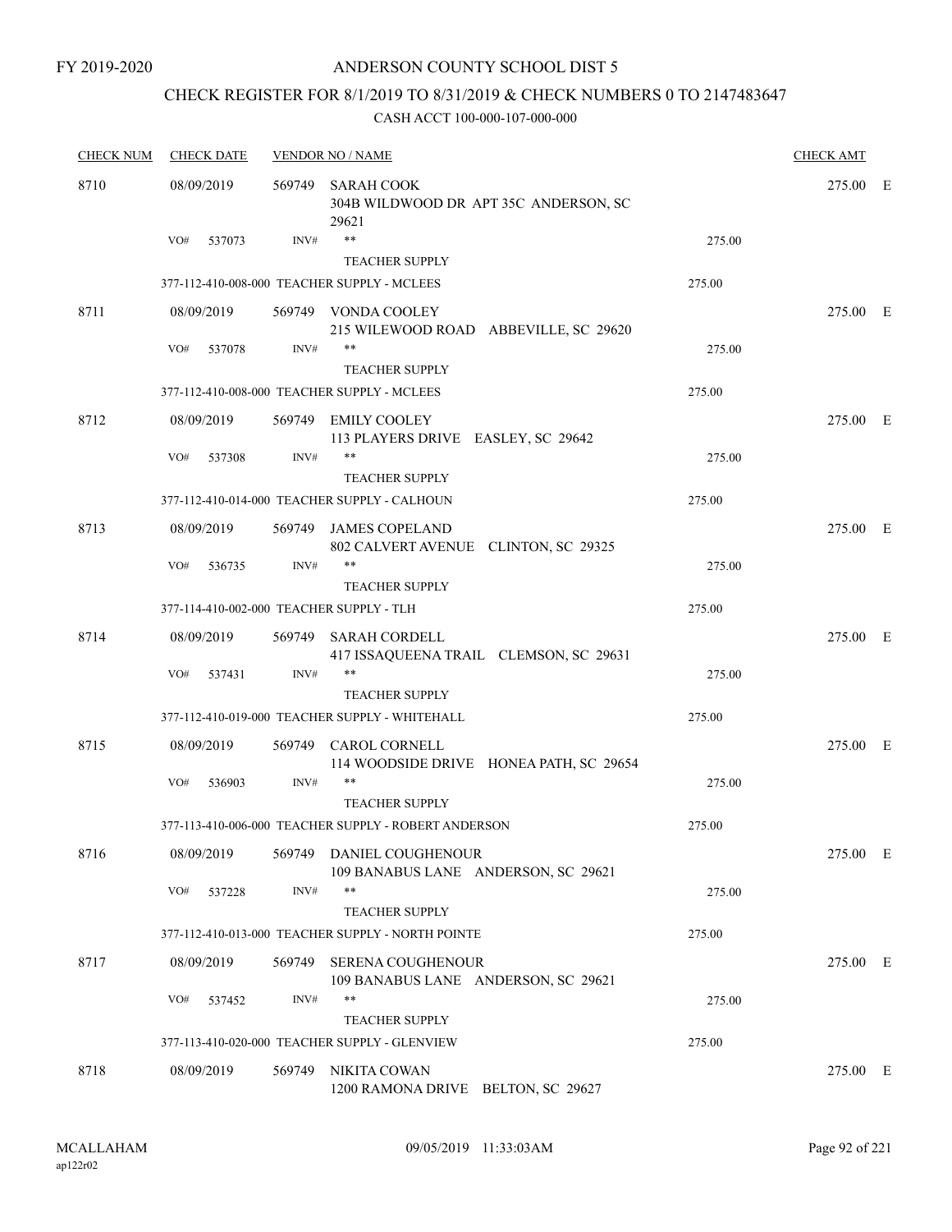# CHECK REGISTER FOR 8/1/2019 TO 8/31/2019 & CHECK NUMBERS 0 TO 2147483647

| <b>CHECK NUM</b> | <b>CHECK DATE</b>                        |                | <b>VENDOR NO / NAME</b>                                              |        |          |  |  |
|------------------|------------------------------------------|----------------|----------------------------------------------------------------------|--------|----------|--|--|
| 8710             | 08/09/2019                               | 569749         | <b>SARAH COOK</b><br>304B WILDWOOD DR APT 35C ANDERSON, SC<br>29621  |        | 275.00 E |  |  |
|                  | VO#<br>537073                            | INV#           | $***$<br><b>TEACHER SUPPLY</b>                                       | 275.00 |          |  |  |
|                  |                                          |                | 377-112-410-008-000 TEACHER SUPPLY - MCLEES                          | 275.00 |          |  |  |
| 8711             | 08/09/2019                               |                | 569749 VONDA COOLEY<br>215 WILEWOOD ROAD ABBEVILLE, SC 29620         |        | 275.00 E |  |  |
|                  | VO#<br>537078                            | INV#           | **<br><b>TEACHER SUPPLY</b>                                          | 275.00 |          |  |  |
|                  |                                          |                | 377-112-410-008-000 TEACHER SUPPLY - MCLEES                          | 275.00 |          |  |  |
| 8712             | 08/09/2019                               |                | 569749 EMILY COOLEY<br>113 PLAYERS DRIVE EASLEY, SC 29642            |        | 275.00 E |  |  |
|                  | VO#<br>537308                            | INV#           | **                                                                   | 275.00 |          |  |  |
|                  |                                          |                | <b>TEACHER SUPPLY</b>                                                |        |          |  |  |
|                  |                                          |                | 377-112-410-014-000 TEACHER SUPPLY - CALHOUN                         | 275.00 |          |  |  |
| 8713             | 08/09/2019                               |                | 569749 JAMES COPELAND<br>802 CALVERT AVENUE CLINTON, SC 29325        |        | 275.00 E |  |  |
|                  | VO#<br>536735                            | INV#           | $***$<br><b>TEACHER SUPPLY</b>                                       | 275.00 |          |  |  |
|                  | 377-114-410-002-000 TEACHER SUPPLY - TLH |                |                                                                      | 275.00 |          |  |  |
|                  |                                          |                |                                                                      |        |          |  |  |
| 8714             | 08/09/2019<br>VO#<br>537431              | 569749<br>INV# | <b>SARAH CORDELL</b><br>417 ISSAQUEENA TRAIL CLEMSON, SC 29631<br>** | 275.00 | 275.00 E |  |  |
|                  |                                          |                | <b>TEACHER SUPPLY</b>                                                |        |          |  |  |
|                  |                                          |                | 377-112-410-019-000 TEACHER SUPPLY - WHITEHALL                       | 275.00 |          |  |  |
| 8715             | 08/09/2019                               | 569749         | <b>CAROL CORNELL</b><br>114 WOODSIDE DRIVE HONEA PATH, SC 29654      |        | 275.00 E |  |  |
|                  | VO#<br>536903                            | INV#           | $***$<br><b>TEACHER SUPPLY</b>                                       | 275.00 |          |  |  |
|                  |                                          |                | 377-113-410-006-000 TEACHER SUPPLY - ROBERT ANDERSON                 | 275.00 |          |  |  |
| 8716             | 08/09/2019                               |                | 569749 DANIEL COUGHENOUR<br>109 BANABUS LANE ANDERSON, SC 29621      |        | 275.00 E |  |  |
|                  | VO#<br>537228                            | INV#           | $***$<br><b>TEACHER SUPPLY</b>                                       | 275.00 |          |  |  |
|                  |                                          |                | 377-112-410-013-000 TEACHER SUPPLY - NORTH POINTE                    | 275.00 |          |  |  |
| 8717             | 08/09/2019                               | 569749         | <b>SERENA COUGHENOUR</b><br>109 BANABUS LANE ANDERSON, SC 29621      |        | 275.00 E |  |  |
|                  | VO#<br>537452                            | INV#           | **                                                                   | 275.00 |          |  |  |
|                  |                                          |                | <b>TEACHER SUPPLY</b>                                                |        |          |  |  |
|                  |                                          |                | 377-113-410-020-000 TEACHER SUPPLY - GLENVIEW                        | 275.00 |          |  |  |
| 8718             | 08/09/2019                               | 569749         | NIKITA COWAN<br>1200 RAMONA DRIVE BELTON, SC 29627                   |        | 275.00 E |  |  |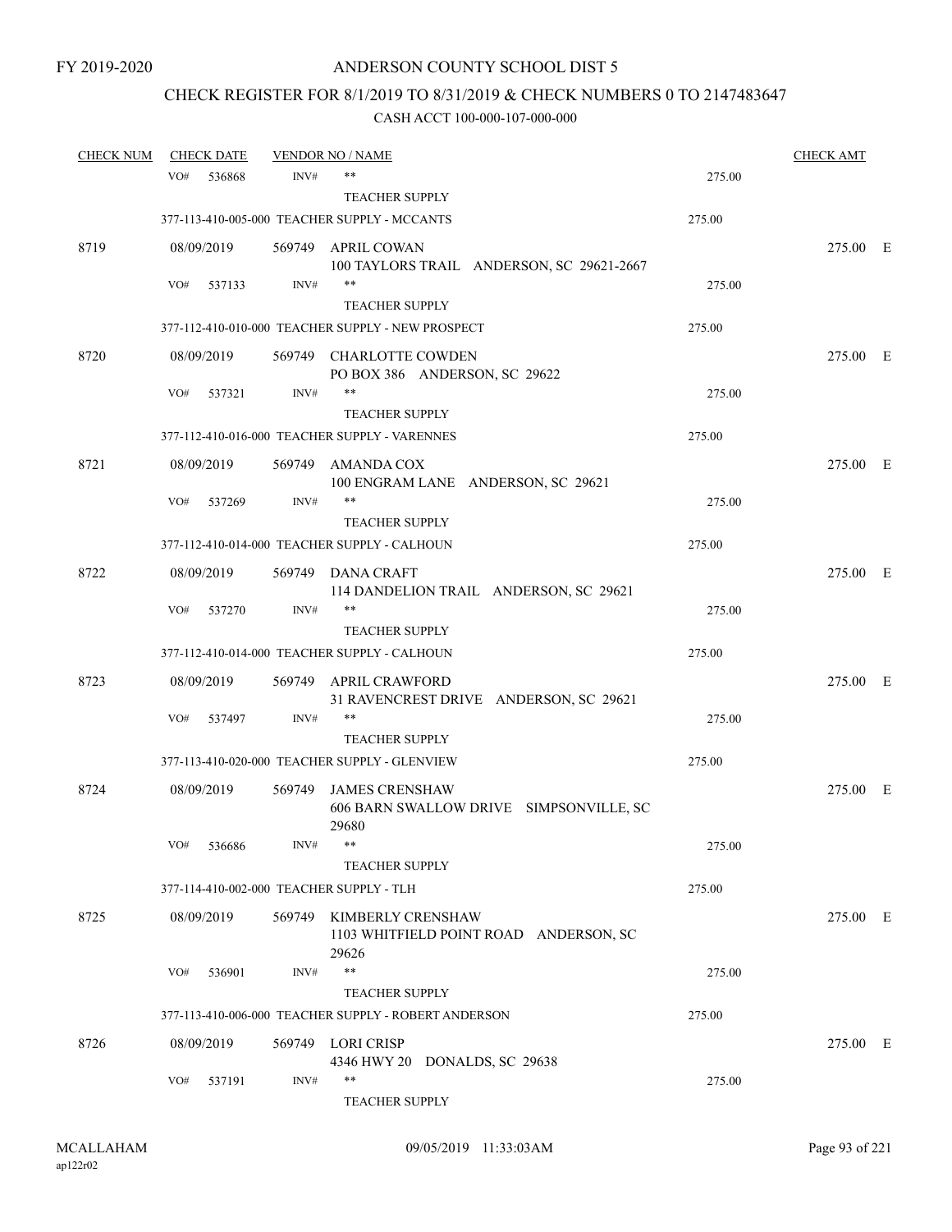# CHECK REGISTER FOR 8/1/2019 TO 8/31/2019 & CHECK NUMBERS 0 TO 2147483647

| <b>CHECK NUM</b> | <b>CHECK DATE</b> |                                          | <b>VENDOR NO / NAME</b>                                                     |        | <b>CHECK AMT</b> |  |
|------------------|-------------------|------------------------------------------|-----------------------------------------------------------------------------|--------|------------------|--|
|                  | VO#               | INV#<br>536868                           | $***$                                                                       | 275.00 |                  |  |
|                  |                   |                                          | <b>TEACHER SUPPLY</b>                                                       |        |                  |  |
|                  |                   |                                          | 377-113-410-005-000 TEACHER SUPPLY - MCCANTS                                | 275.00 |                  |  |
| 8719             | 08/09/2019        | 569749                                   | APRIL COWAN                                                                 |        | 275.00 E         |  |
|                  |                   |                                          | 100 TAYLORS TRAIL ANDERSON, SC 29621-2667<br>$***$                          |        |                  |  |
|                  | VO#               | INV#<br>537133                           | <b>TEACHER SUPPLY</b>                                                       | 275.00 |                  |  |
|                  |                   |                                          | 377-112-410-010-000 TEACHER SUPPLY - NEW PROSPECT                           | 275.00 |                  |  |
| 8720             | 08/09/2019        |                                          | 569749 CHARLOTTE COWDEN                                                     |        | 275.00 E         |  |
|                  |                   |                                          | PO BOX 386 ANDERSON, SC 29622                                               |        |                  |  |
|                  | VO#<br>537321     | INV#                                     | $***$                                                                       | 275.00 |                  |  |
|                  |                   |                                          | <b>TEACHER SUPPLY</b>                                                       |        |                  |  |
|                  |                   |                                          | 377-112-410-016-000 TEACHER SUPPLY - VARENNES                               | 275.00 |                  |  |
| 8721             | 08/09/2019        | 569749                                   | <b>AMANDA COX</b><br>100 ENGRAM LANE ANDERSON, SC 29621                     |        | 275.00 E         |  |
|                  | VO#               | INV#<br>537269                           | **                                                                          | 275.00 |                  |  |
|                  |                   |                                          | <b>TEACHER SUPPLY</b>                                                       |        |                  |  |
|                  |                   |                                          | 377-112-410-014-000 TEACHER SUPPLY - CALHOUN                                | 275.00 |                  |  |
| 8722             | 08/09/2019        |                                          | 569749 DANA CRAFT                                                           |        | 275.00 E         |  |
|                  |                   |                                          | 114 DANDELION TRAIL ANDERSON, SC 29621                                      |        |                  |  |
|                  | VO#               | INV#<br>537270                           | $***$                                                                       | 275.00 |                  |  |
|                  |                   |                                          | <b>TEACHER SUPPLY</b><br>377-112-410-014-000 TEACHER SUPPLY - CALHOUN       | 275.00 |                  |  |
|                  |                   |                                          |                                                                             |        |                  |  |
| 8723             | 08/09/2019        | 569749                                   | <b>APRIL CRAWFORD</b><br>31 RAVENCREST DRIVE ANDERSON, SC 29621             |        | 275.00 E         |  |
|                  | VO#               | INV#<br>537497                           | $***$                                                                       | 275.00 |                  |  |
|                  |                   |                                          | <b>TEACHER SUPPLY</b>                                                       |        |                  |  |
|                  |                   |                                          | 377-113-410-020-000 TEACHER SUPPLY - GLENVIEW                               | 275.00 |                  |  |
| 8724             | 08/09/2019        | 569749                                   | <b>JAMES CRENSHAW</b><br>606 BARN SWALLOW DRIVE SIMPSONVILLE, SC<br>29680   |        | 275.00 E         |  |
|                  | VO#<br>536686     | INV#                                     |                                                                             | 275.00 |                  |  |
|                  |                   |                                          | <b>TEACHER SUPPLY</b>                                                       |        |                  |  |
|                  |                   | 377-114-410-002-000 TEACHER SUPPLY - TLH |                                                                             | 275.00 |                  |  |
| 8725             | 08/09/2019        |                                          | 569749 KIMBERLY CRENSHAW<br>1103 WHITFIELD POINT ROAD ANDERSON, SC<br>29626 |        | 275.00 E         |  |
|                  | VO#<br>536901     | INV#                                     | $***$                                                                       | 275.00 |                  |  |
|                  |                   |                                          | <b>TEACHER SUPPLY</b>                                                       |        |                  |  |
|                  |                   |                                          | 377-113-410-006-000 TEACHER SUPPLY - ROBERT ANDERSON                        | 275.00 |                  |  |
| 8726             | 08/09/2019        |                                          | 569749 LORI CRISP                                                           |        | 275.00 E         |  |
|                  |                   |                                          | 4346 HWY 20 DONALDS, SC 29638                                               |        |                  |  |
|                  | VO#               | INV#<br>537191                           | **<br>TEACHER SUPPLY                                                        | 275.00 |                  |  |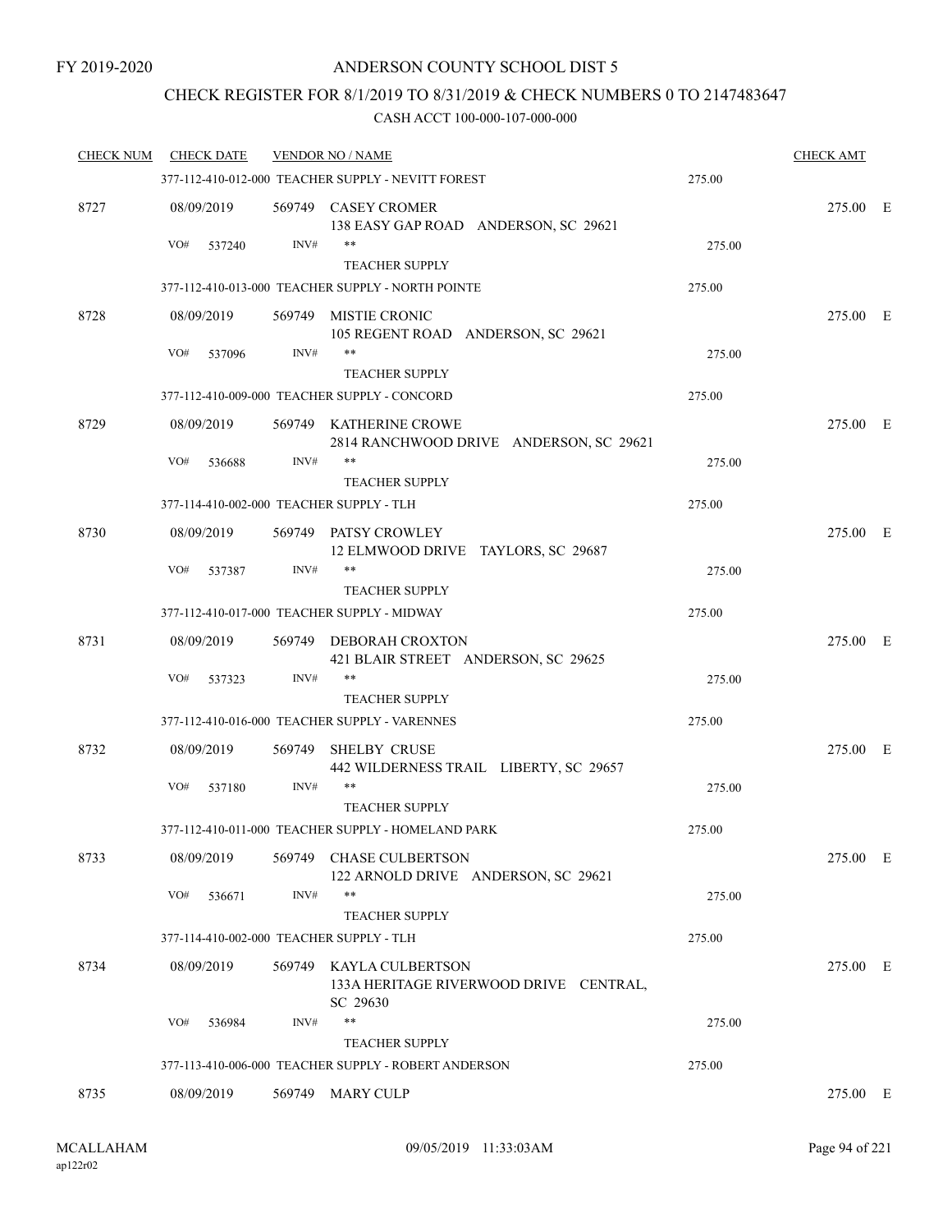## CHECK REGISTER FOR 8/1/2019 TO 8/31/2019 & CHECK NUMBERS 0 TO 2147483647

| <b>CHECK NUM</b> | <b>CHECK DATE</b>                        |        | <b>VENDOR NO / NAME</b>                                                       |        | <b>CHECK AMT</b> |  |
|------------------|------------------------------------------|--------|-------------------------------------------------------------------------------|--------|------------------|--|
|                  |                                          |        | 377-112-410-012-000 TEACHER SUPPLY - NEVITT FOREST                            | 275.00 |                  |  |
| 8727             | 08/09/2019                               |        | 569749 CASEY CROMER<br>138 EASY GAP ROAD ANDERSON, SC 29621<br>$***$          |        | 275.00 E         |  |
|                  | VO#<br>537240                            | INV#   | <b>TEACHER SUPPLY</b>                                                         | 275.00 |                  |  |
|                  |                                          |        | 377-112-410-013-000 TEACHER SUPPLY - NORTH POINTE                             | 275.00 |                  |  |
| 8728             | 08/09/2019                               | 569749 | <b>MISTIE CRONIC</b>                                                          |        | 275.00 E         |  |
|                  |                                          |        | 105 REGENT ROAD ANDERSON, SC 29621                                            |        |                  |  |
|                  | VO#<br>537096                            | INV#   | **                                                                            | 275.00 |                  |  |
|                  |                                          |        | <b>TEACHER SUPPLY</b><br>377-112-410-009-000 TEACHER SUPPLY - CONCORD         | 275.00 |                  |  |
|                  |                                          |        |                                                                               |        |                  |  |
| 8729             | 08/09/2019                               |        | 569749 KATHERINE CROWE<br>2814 RANCHWOOD DRIVE ANDERSON, SC 29621             |        | 275.00 E         |  |
|                  | VO#<br>536688                            | INV#   | $***$                                                                         | 275.00 |                  |  |
|                  |                                          |        | <b>TEACHER SUPPLY</b>                                                         |        |                  |  |
|                  | 377-114-410-002-000 TEACHER SUPPLY - TLH |        |                                                                               | 275.00 |                  |  |
| 8730             | 08/09/2019                               |        | 569749 PATSY CROWLEY<br>12 ELMWOOD DRIVE TAYLORS, SC 29687                    |        | 275.00 E         |  |
|                  | VO#<br>537387                            | INV#   | $***$                                                                         | 275.00 |                  |  |
|                  |                                          |        | <b>TEACHER SUPPLY</b>                                                         |        |                  |  |
|                  |                                          |        | 377-112-410-017-000 TEACHER SUPPLY - MIDWAY                                   | 275.00 |                  |  |
| 8731             | 08/09/2019                               |        | 569749 DEBORAH CROXTON<br>421 BLAIR STREET ANDERSON, SC 29625                 |        | 275.00 E         |  |
|                  | VO#<br>537323                            | INV#   | $***$                                                                         | 275.00 |                  |  |
|                  |                                          |        | <b>TEACHER SUPPLY</b>                                                         |        |                  |  |
|                  |                                          |        | 377-112-410-016-000 TEACHER SUPPLY - VARENNES                                 | 275.00 |                  |  |
| 8732             | 08/09/2019                               | 569749 | <b>SHELBY CRUSE</b><br>442 WILDERNESS TRAIL LIBERTY, SC 29657                 |        | 275.00 E         |  |
|                  | VO#<br>537180                            | INV#   | $***$                                                                         | 275.00 |                  |  |
|                  |                                          |        | <b>TEACHER SUPPLY</b><br>377-112-410-011-000 TEACHER SUPPLY - HOMELAND PARK   | 275.00 |                  |  |
| 8733             |                                          |        | 569749 CHASE CULBERTSON                                                       |        | 275.00 E         |  |
|                  | 08/09/2019                               |        | 122 ARNOLD DRIVE ANDERSON, SC 29621                                           |        |                  |  |
|                  | VO#<br>536671                            | INV#   | $***$                                                                         | 275.00 |                  |  |
|                  |                                          |        | <b>TEACHER SUPPLY</b>                                                         |        |                  |  |
|                  | 377-114-410-002-000 TEACHER SUPPLY - TLH |        |                                                                               | 275.00 |                  |  |
| 8734             | 08/09/2019                               |        | 569749 KAYLA CULBERTSON<br>133A HERITAGE RIVERWOOD DRIVE CENTRAL,<br>SC 29630 |        | 275.00 E         |  |
|                  | VO#<br>536984                            | INV#   | $***$                                                                         | 275.00 |                  |  |
|                  |                                          |        | <b>TEACHER SUPPLY</b>                                                         |        |                  |  |
|                  |                                          |        | 377-113-410-006-000 TEACHER SUPPLY - ROBERT ANDERSON                          | 275.00 |                  |  |
| 8735             | 08/09/2019                               |        | 569749 MARY CULP                                                              |        | 275.00 E         |  |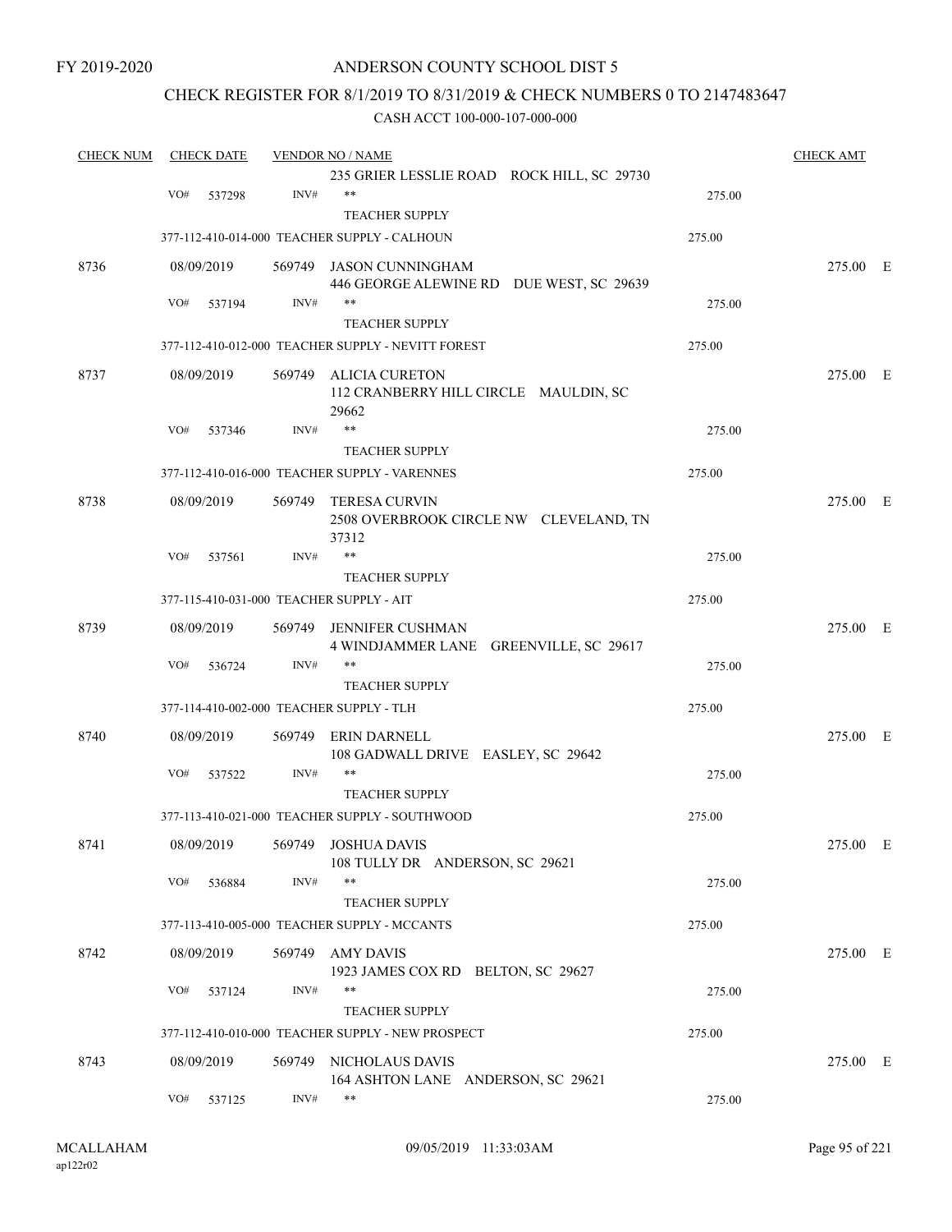## ANDERSON COUNTY SCHOOL DIST 5

## CHECK REGISTER FOR 8/1/2019 TO 8/31/2019 & CHECK NUMBERS 0 TO 2147483647

| <b>CHECK NUM</b> | <b>CHECK DATE</b>                        |        | <b>VENDOR NO / NAME</b>                                                 |        | <b>CHECK AMT</b> |  |
|------------------|------------------------------------------|--------|-------------------------------------------------------------------------|--------|------------------|--|
|                  |                                          |        | 235 GRIER LESSLIE ROAD ROCK HILL, SC 29730                              |        |                  |  |
|                  | VO#<br>537298                            | INV#   | $***$                                                                   | 275.00 |                  |  |
|                  |                                          |        | <b>TEACHER SUPPLY</b>                                                   |        |                  |  |
|                  |                                          |        | 377-112-410-014-000 TEACHER SUPPLY - CALHOUN                            | 275.00 |                  |  |
| 8736             | 08/09/2019                               |        | 569749 JASON CUNNINGHAM                                                 |        | 275.00 E         |  |
|                  |                                          |        | 446 GEORGE ALEWINE RD DUE WEST, SC 29639                                |        |                  |  |
|                  | VO#<br>537194                            | INV#   | $***$                                                                   | 275.00 |                  |  |
|                  |                                          |        | <b>TEACHER SUPPLY</b>                                                   |        |                  |  |
|                  |                                          |        | 377-112-410-012-000 TEACHER SUPPLY - NEVITT FOREST                      | 275.00 |                  |  |
| 8737             | 08/09/2019                               |        | 569749 ALICIA CURETON<br>112 CRANBERRY HILL CIRCLE MAULDIN, SC<br>29662 |        | 275.00 E         |  |
|                  | VO#<br>537346                            | INV#   | **                                                                      | 275.00 |                  |  |
|                  |                                          |        | <b>TEACHER SUPPLY</b>                                                   |        |                  |  |
|                  |                                          |        | 377-112-410-016-000 TEACHER SUPPLY - VARENNES                           | 275.00 |                  |  |
| 8738             | 08/09/2019                               | 569749 | TERESA CURVIN<br>2508 OVERBROOK CIRCLE NW CLEVELAND, TN<br>37312        |        | 275.00 E         |  |
|                  | VO#<br>537561                            | INV#   | $***$                                                                   | 275.00 |                  |  |
|                  |                                          |        | <b>TEACHER SUPPLY</b>                                                   |        |                  |  |
|                  | 377-115-410-031-000 TEACHER SUPPLY - AIT |        |                                                                         | 275.00 |                  |  |
| 8739             | 08/09/2019                               | 569749 | JENNIFER CUSHMAN                                                        |        | 275.00 E         |  |
|                  |                                          |        | 4 WINDJAMMER LANE GREENVILLE, SC 29617                                  |        |                  |  |
|                  | VO#<br>536724                            | INV#   | $***$                                                                   | 275.00 |                  |  |
|                  |                                          |        | <b>TEACHER SUPPLY</b>                                                   |        |                  |  |
|                  | 377-114-410-002-000 TEACHER SUPPLY - TLH |        |                                                                         | 275.00 |                  |  |
| 8740             | 08/09/2019                               |        |                                                                         |        | 275.00 E         |  |
|                  |                                          | 569749 | <b>ERIN DARNELL</b><br>108 GADWALL DRIVE EASLEY, SC 29642               |        |                  |  |
|                  | VO#<br>537522                            | INV#   | $***$                                                                   | 275.00 |                  |  |
|                  |                                          |        | <b>TEACHER SUPPLY</b>                                                   |        |                  |  |
|                  |                                          |        | 377-113-410-021-000 TEACHER SUPPLY - SOUTHWOOD                          | 275.00 |                  |  |
| 8741             |                                          |        | 08/09/2019 569749 JOSHUA DAVIS                                          |        | 275.00 E         |  |
|                  |                                          |        | 108 TULLY DR ANDERSON, SC 29621                                         |        |                  |  |
|                  | VO#<br>536884                            | INV#   | $***$                                                                   | 275.00 |                  |  |
|                  |                                          |        | <b>TEACHER SUPPLY</b>                                                   |        |                  |  |
|                  |                                          |        | 377-113-410-005-000 TEACHER SUPPLY - MCCANTS                            | 275.00 |                  |  |
| 8742             | 08/09/2019                               |        | 569749 AMY DAVIS                                                        |        | 275.00 E         |  |
|                  |                                          |        | 1923 JAMES COX RD BELTON, SC 29627                                      |        |                  |  |
|                  | VO#<br>537124                            | INV#   | $***$                                                                   | 275.00 |                  |  |
|                  |                                          |        | <b>TEACHER SUPPLY</b>                                                   |        |                  |  |
|                  |                                          |        | 377-112-410-010-000 TEACHER SUPPLY - NEW PROSPECT                       | 275.00 |                  |  |
|                  |                                          |        |                                                                         |        |                  |  |
| 8743             | 08/09/2019                               |        | 569749 NICHOLAUS DAVIS<br>164 ASHTON LANE ANDERSON, SC 29621            |        | 275.00 E         |  |
|                  | VO#<br>537125                            | INV#   | $***$                                                                   | 275.00 |                  |  |
|                  |                                          |        |                                                                         |        |                  |  |
|                  |                                          |        |                                                                         |        |                  |  |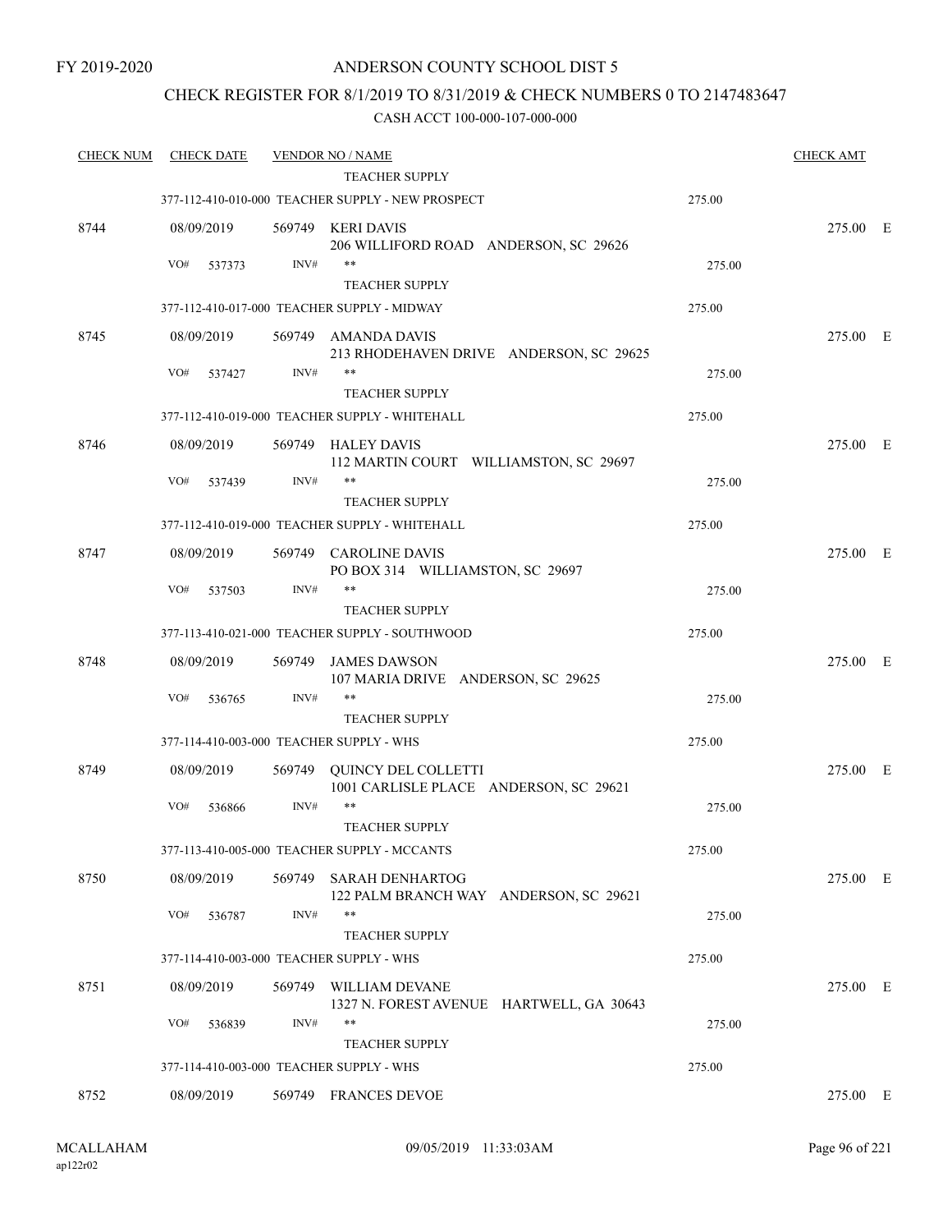## CHECK REGISTER FOR 8/1/2019 TO 8/31/2019 & CHECK NUMBERS 0 TO 2147483647

| <b>CHECK NUM</b> | <b>CHECK DATE</b>                        |        | <b>VENDOR NO / NAME</b>                                          |        | <b>CHECK AMT</b> |  |
|------------------|------------------------------------------|--------|------------------------------------------------------------------|--------|------------------|--|
|                  |                                          |        | <b>TEACHER SUPPLY</b>                                            |        |                  |  |
|                  |                                          |        | 377-112-410-010-000 TEACHER SUPPLY - NEW PROSPECT                | 275.00 |                  |  |
| 8744             | 08/09/2019                               |        | 569749 KERI DAVIS<br>206 WILLIFORD ROAD ANDERSON, SC 29626       |        | 275.00 E         |  |
|                  | VO#<br>537373                            | INV#   | **                                                               | 275.00 |                  |  |
|                  |                                          |        | <b>TEACHER SUPPLY</b>                                            |        |                  |  |
|                  |                                          |        | 377-112-410-017-000 TEACHER SUPPLY - MIDWAY                      | 275.00 |                  |  |
| 8745             | 08/09/2019                               |        | 569749 AMANDA DAVIS<br>213 RHODEHAVEN DRIVE ANDERSON, SC 29625   |        | 275.00 E         |  |
|                  | VO#<br>537427                            | INV#   | **                                                               | 275.00 |                  |  |
|                  |                                          |        | <b>TEACHER SUPPLY</b>                                            |        |                  |  |
|                  |                                          |        | 377-112-410-019-000 TEACHER SUPPLY - WHITEHALL                   | 275.00 |                  |  |
| 8746             | 08/09/2019                               | 569749 | <b>HALEY DAVIS</b><br>112 MARTIN COURT WILLIAMSTON, SC 29697     |        | 275.00 E         |  |
|                  | VO#<br>537439                            | INV#   | **<br><b>TEACHER SUPPLY</b>                                      | 275.00 |                  |  |
|                  |                                          |        | 377-112-410-019-000 TEACHER SUPPLY - WHITEHALL                   | 275.00 |                  |  |
|                  |                                          |        |                                                                  |        |                  |  |
| 8747             | 08/09/2019                               |        | 569749 CAROLINE DAVIS<br>PO BOX 314 WILLIAMSTON, SC 29697        |        | 275.00 E         |  |
|                  | VO#<br>537503                            | INV#   | **                                                               | 275.00 |                  |  |
|                  |                                          |        | <b>TEACHER SUPPLY</b>                                            |        |                  |  |
|                  |                                          |        | 377-113-410-021-000 TEACHER SUPPLY - SOUTHWOOD                   | 275.00 |                  |  |
| 8748             | 08/09/2019                               | 569749 | <b>JAMES DAWSON</b><br>107 MARIA DRIVE ANDERSON, SC 29625        |        | 275.00 E         |  |
|                  | VO#<br>536765                            | INV#   | **                                                               | 275.00 |                  |  |
|                  |                                          |        | <b>TEACHER SUPPLY</b>                                            |        |                  |  |
|                  | 377-114-410-003-000 TEACHER SUPPLY - WHS |        |                                                                  | 275.00 |                  |  |
| 8749             | 08/09/2019                               | 569749 | QUINCY DEL COLLETTI<br>1001 CARLISLE PLACE ANDERSON, SC 29621    |        | 275.00 E         |  |
|                  | VO#<br>536866                            | INV#   | $\ast\ast$                                                       | 275.00 |                  |  |
|                  |                                          |        | <b>TEACHER SUPPLY</b>                                            |        |                  |  |
|                  |                                          |        | 377-113-410-005-000 TEACHER SUPPLY - MCCANTS                     | 275.00 |                  |  |
| 8750             | 08/09/2019                               | 569749 | <b>SARAH DENHARTOG</b><br>122 PALM BRANCH WAY ANDERSON, SC 29621 |        | 275.00 E         |  |
|                  | VO#<br>536787                            | INV#   | **                                                               | 275.00 |                  |  |
|                  | 377-114-410-003-000 TEACHER SUPPLY - WHS |        | <b>TEACHER SUPPLY</b>                                            | 275.00 |                  |  |
|                  |                                          |        |                                                                  |        |                  |  |
| 8751             | 08/09/2019                               | 569749 | WILLIAM DEVANE<br>1327 N. FOREST AVENUE HARTWELL, GA 30643<br>** |        | 275.00 E         |  |
|                  | VO#<br>536839                            | INV#   | <b>TEACHER SUPPLY</b>                                            | 275.00 |                  |  |
|                  |                                          |        |                                                                  | 275.00 |                  |  |
|                  | 377-114-410-003-000 TEACHER SUPPLY - WHS |        |                                                                  |        |                  |  |
| 8752             | 08/09/2019                               |        | 569749 FRANCES DEVOE                                             |        | 275.00 E         |  |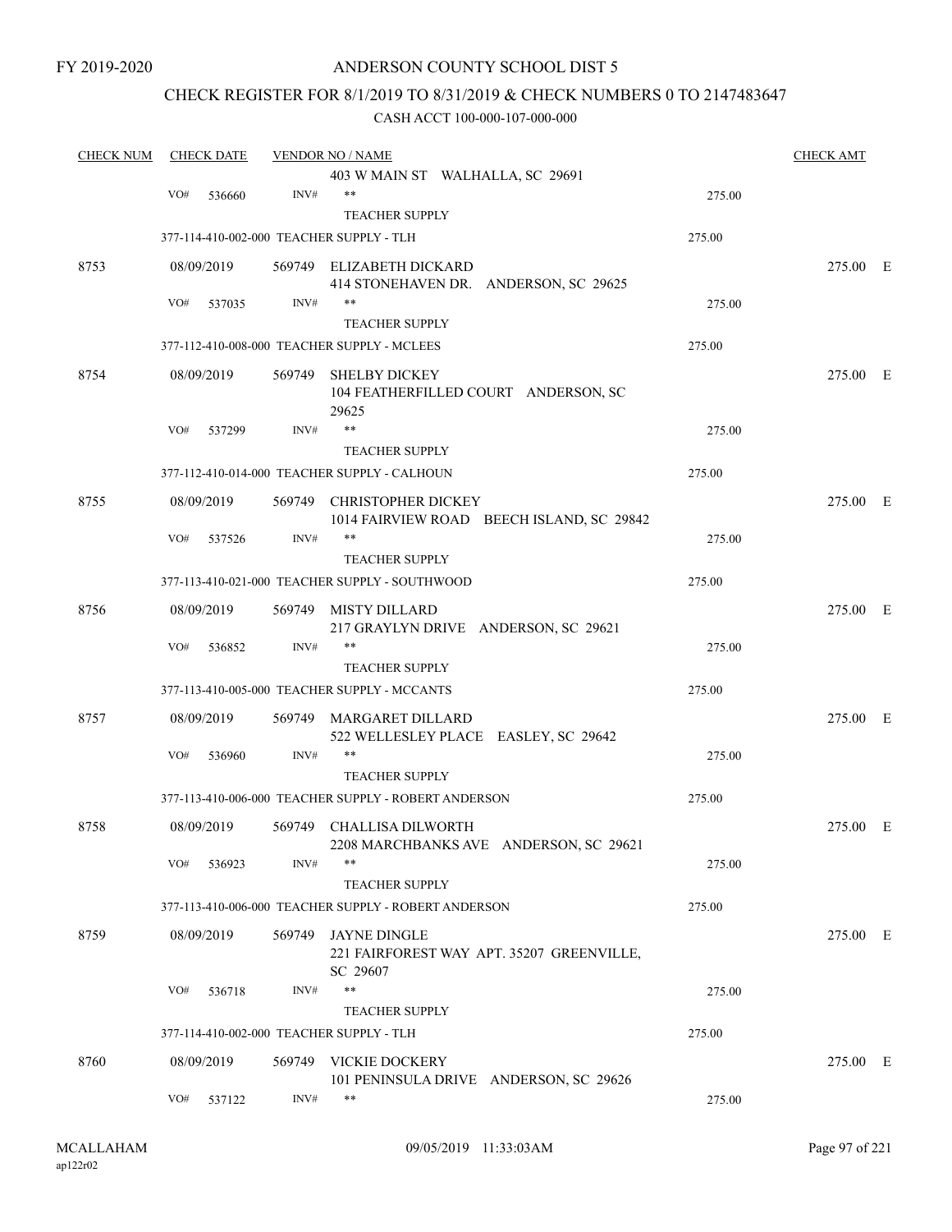## ANDERSON COUNTY SCHOOL DIST 5

## CHECK REGISTER FOR 8/1/2019 TO 8/31/2019 & CHECK NUMBERS 0 TO 2147483647

| 403 W MAIN ST WALHALLA, SC 29691<br>VO#<br>INV#<br>$***$<br>536660<br>275.00<br><b>TEACHER SUPPLY</b><br>377-114-410-002-000 TEACHER SUPPLY - TLH<br>275.00<br>8753<br>08/09/2019<br>569749 ELIZABETH DICKARD<br>414 STONEHAVEN DR. ANDERSON, SC 29625<br>$***$<br>INV#<br>VO#<br>537035<br>275.00<br><b>TEACHER SUPPLY</b><br>377-112-410-008-000 TEACHER SUPPLY - MCLEES<br>275.00<br>8754<br>08/09/2019<br>569749<br><b>SHELBY DICKEY</b><br>104 FEATHERFILLED COURT ANDERSON, SC<br>29625<br>**<br>VO#<br>537299<br>INV#<br>275.00<br><b>TEACHER SUPPLY</b><br>377-112-410-014-000 TEACHER SUPPLY - CALHOUN<br>275.00<br>8755<br>569749 CHRISTOPHER DICKEY<br>08/09/2019<br>1014 FAIRVIEW ROAD BEECH ISLAND, SC 29842<br>$***$<br>INV#<br>VO#<br>275.00<br>537526<br><b>TEACHER SUPPLY</b><br>377-113-410-021-000 TEACHER SUPPLY - SOUTHWOOD<br>275.00<br>8756<br><b>MISTY DILLARD</b><br>08/09/2019<br>569749<br>217 GRAYLYN DRIVE ANDERSON, SC 29621<br>INV#<br>$***$<br>VO#<br>275.00<br>536852<br><b>TEACHER SUPPLY</b><br>377-113-410-005-000 TEACHER SUPPLY - MCCANTS<br>275.00<br>8757<br>08/09/2019<br>569749<br>MARGARET DILLARD<br>522 WELLESLEY PLACE EASLEY, SC 29642<br>INV#<br>$***$<br>VO#<br>536960<br>275.00<br><b>TEACHER SUPPLY</b><br>377-113-410-006-000 TEACHER SUPPLY - ROBERT ANDERSON<br>275.00<br>08/09/2019<br>8758<br>569749<br>CHALLISA DILWORTH<br>2208 MARCHBANKS AVE ANDERSON, SC 29621<br>$***$<br>INV#<br>VO#<br>536923<br>275.00<br><b>TEACHER SUPPLY</b><br>377-113-410-006-000 TEACHER SUPPLY - ROBERT ANDERSON<br>275.00 | 275.00 E<br>275.00 E<br>275.00 E<br>275.00 E |  |
|--------------------------------------------------------------------------------------------------------------------------------------------------------------------------------------------------------------------------------------------------------------------------------------------------------------------------------------------------------------------------------------------------------------------------------------------------------------------------------------------------------------------------------------------------------------------------------------------------------------------------------------------------------------------------------------------------------------------------------------------------------------------------------------------------------------------------------------------------------------------------------------------------------------------------------------------------------------------------------------------------------------------------------------------------------------------------------------------------------------------------------------------------------------------------------------------------------------------------------------------------------------------------------------------------------------------------------------------------------------------------------------------------------------------------------------------------------------------------------------------------------------------------------------------------------------------|----------------------------------------------|--|
|                                                                                                                                                                                                                                                                                                                                                                                                                                                                                                                                                                                                                                                                                                                                                                                                                                                                                                                                                                                                                                                                                                                                                                                                                                                                                                                                                                                                                                                                                                                                                                    |                                              |  |
|                                                                                                                                                                                                                                                                                                                                                                                                                                                                                                                                                                                                                                                                                                                                                                                                                                                                                                                                                                                                                                                                                                                                                                                                                                                                                                                                                                                                                                                                                                                                                                    |                                              |  |
|                                                                                                                                                                                                                                                                                                                                                                                                                                                                                                                                                                                                                                                                                                                                                                                                                                                                                                                                                                                                                                                                                                                                                                                                                                                                                                                                                                                                                                                                                                                                                                    |                                              |  |
|                                                                                                                                                                                                                                                                                                                                                                                                                                                                                                                                                                                                                                                                                                                                                                                                                                                                                                                                                                                                                                                                                                                                                                                                                                                                                                                                                                                                                                                                                                                                                                    |                                              |  |
|                                                                                                                                                                                                                                                                                                                                                                                                                                                                                                                                                                                                                                                                                                                                                                                                                                                                                                                                                                                                                                                                                                                                                                                                                                                                                                                                                                                                                                                                                                                                                                    |                                              |  |
|                                                                                                                                                                                                                                                                                                                                                                                                                                                                                                                                                                                                                                                                                                                                                                                                                                                                                                                                                                                                                                                                                                                                                                                                                                                                                                                                                                                                                                                                                                                                                                    |                                              |  |
|                                                                                                                                                                                                                                                                                                                                                                                                                                                                                                                                                                                                                                                                                                                                                                                                                                                                                                                                                                                                                                                                                                                                                                                                                                                                                                                                                                                                                                                                                                                                                                    |                                              |  |
|                                                                                                                                                                                                                                                                                                                                                                                                                                                                                                                                                                                                                                                                                                                                                                                                                                                                                                                                                                                                                                                                                                                                                                                                                                                                                                                                                                                                                                                                                                                                                                    |                                              |  |
|                                                                                                                                                                                                                                                                                                                                                                                                                                                                                                                                                                                                                                                                                                                                                                                                                                                                                                                                                                                                                                                                                                                                                                                                                                                                                                                                                                                                                                                                                                                                                                    |                                              |  |
|                                                                                                                                                                                                                                                                                                                                                                                                                                                                                                                                                                                                                                                                                                                                                                                                                                                                                                                                                                                                                                                                                                                                                                                                                                                                                                                                                                                                                                                                                                                                                                    |                                              |  |
|                                                                                                                                                                                                                                                                                                                                                                                                                                                                                                                                                                                                                                                                                                                                                                                                                                                                                                                                                                                                                                                                                                                                                                                                                                                                                                                                                                                                                                                                                                                                                                    |                                              |  |
|                                                                                                                                                                                                                                                                                                                                                                                                                                                                                                                                                                                                                                                                                                                                                                                                                                                                                                                                                                                                                                                                                                                                                                                                                                                                                                                                                                                                                                                                                                                                                                    |                                              |  |
|                                                                                                                                                                                                                                                                                                                                                                                                                                                                                                                                                                                                                                                                                                                                                                                                                                                                                                                                                                                                                                                                                                                                                                                                                                                                                                                                                                                                                                                                                                                                                                    |                                              |  |
|                                                                                                                                                                                                                                                                                                                                                                                                                                                                                                                                                                                                                                                                                                                                                                                                                                                                                                                                                                                                                                                                                                                                                                                                                                                                                                                                                                                                                                                                                                                                                                    |                                              |  |
|                                                                                                                                                                                                                                                                                                                                                                                                                                                                                                                                                                                                                                                                                                                                                                                                                                                                                                                                                                                                                                                                                                                                                                                                                                                                                                                                                                                                                                                                                                                                                                    |                                              |  |
|                                                                                                                                                                                                                                                                                                                                                                                                                                                                                                                                                                                                                                                                                                                                                                                                                                                                                                                                                                                                                                                                                                                                                                                                                                                                                                                                                                                                                                                                                                                                                                    |                                              |  |
|                                                                                                                                                                                                                                                                                                                                                                                                                                                                                                                                                                                                                                                                                                                                                                                                                                                                                                                                                                                                                                                                                                                                                                                                                                                                                                                                                                                                                                                                                                                                                                    |                                              |  |
|                                                                                                                                                                                                                                                                                                                                                                                                                                                                                                                                                                                                                                                                                                                                                                                                                                                                                                                                                                                                                                                                                                                                                                                                                                                                                                                                                                                                                                                                                                                                                                    |                                              |  |
|                                                                                                                                                                                                                                                                                                                                                                                                                                                                                                                                                                                                                                                                                                                                                                                                                                                                                                                                                                                                                                                                                                                                                                                                                                                                                                                                                                                                                                                                                                                                                                    |                                              |  |
|                                                                                                                                                                                                                                                                                                                                                                                                                                                                                                                                                                                                                                                                                                                                                                                                                                                                                                                                                                                                                                                                                                                                                                                                                                                                                                                                                                                                                                                                                                                                                                    |                                              |  |
|                                                                                                                                                                                                                                                                                                                                                                                                                                                                                                                                                                                                                                                                                                                                                                                                                                                                                                                                                                                                                                                                                                                                                                                                                                                                                                                                                                                                                                                                                                                                                                    |                                              |  |
|                                                                                                                                                                                                                                                                                                                                                                                                                                                                                                                                                                                                                                                                                                                                                                                                                                                                                                                                                                                                                                                                                                                                                                                                                                                                                                                                                                                                                                                                                                                                                                    | 275.00 E                                     |  |
|                                                                                                                                                                                                                                                                                                                                                                                                                                                                                                                                                                                                                                                                                                                                                                                                                                                                                                                                                                                                                                                                                                                                                                                                                                                                                                                                                                                                                                                                                                                                                                    |                                              |  |
|                                                                                                                                                                                                                                                                                                                                                                                                                                                                                                                                                                                                                                                                                                                                                                                                                                                                                                                                                                                                                                                                                                                                                                                                                                                                                                                                                                                                                                                                                                                                                                    |                                              |  |
|                                                                                                                                                                                                                                                                                                                                                                                                                                                                                                                                                                                                                                                                                                                                                                                                                                                                                                                                                                                                                                                                                                                                                                                                                                                                                                                                                                                                                                                                                                                                                                    |                                              |  |
|                                                                                                                                                                                                                                                                                                                                                                                                                                                                                                                                                                                                                                                                                                                                                                                                                                                                                                                                                                                                                                                                                                                                                                                                                                                                                                                                                                                                                                                                                                                                                                    |                                              |  |
|                                                                                                                                                                                                                                                                                                                                                                                                                                                                                                                                                                                                                                                                                                                                                                                                                                                                                                                                                                                                                                                                                                                                                                                                                                                                                                                                                                                                                                                                                                                                                                    | 275.00 E                                     |  |
|                                                                                                                                                                                                                                                                                                                                                                                                                                                                                                                                                                                                                                                                                                                                                                                                                                                                                                                                                                                                                                                                                                                                                                                                                                                                                                                                                                                                                                                                                                                                                                    |                                              |  |
|                                                                                                                                                                                                                                                                                                                                                                                                                                                                                                                                                                                                                                                                                                                                                                                                                                                                                                                                                                                                                                                                                                                                                                                                                                                                                                                                                                                                                                                                                                                                                                    |                                              |  |
|                                                                                                                                                                                                                                                                                                                                                                                                                                                                                                                                                                                                                                                                                                                                                                                                                                                                                                                                                                                                                                                                                                                                                                                                                                                                                                                                                                                                                                                                                                                                                                    |                                              |  |
| 569749 JAYNE DINGLE<br>8759<br>08/09/2019<br>221 FAIRFOREST WAY APT. 35207 GREENVILLE,<br>SC 29607                                                                                                                                                                                                                                                                                                                                                                                                                                                                                                                                                                                                                                                                                                                                                                                                                                                                                                                                                                                                                                                                                                                                                                                                                                                                                                                                                                                                                                                                 | 275.00 E                                     |  |
| $***$<br>INV#<br>VO#<br>275.00<br>536718                                                                                                                                                                                                                                                                                                                                                                                                                                                                                                                                                                                                                                                                                                                                                                                                                                                                                                                                                                                                                                                                                                                                                                                                                                                                                                                                                                                                                                                                                                                           |                                              |  |
| <b>TEACHER SUPPLY</b>                                                                                                                                                                                                                                                                                                                                                                                                                                                                                                                                                                                                                                                                                                                                                                                                                                                                                                                                                                                                                                                                                                                                                                                                                                                                                                                                                                                                                                                                                                                                              |                                              |  |
| 275.00<br>377-114-410-002-000 TEACHER SUPPLY - TLH                                                                                                                                                                                                                                                                                                                                                                                                                                                                                                                                                                                                                                                                                                                                                                                                                                                                                                                                                                                                                                                                                                                                                                                                                                                                                                                                                                                                                                                                                                                 |                                              |  |
|                                                                                                                                                                                                                                                                                                                                                                                                                                                                                                                                                                                                                                                                                                                                                                                                                                                                                                                                                                                                                                                                                                                                                                                                                                                                                                                                                                                                                                                                                                                                                                    |                                              |  |
| 569749 VICKIE DOCKERY<br>8760<br>08/09/2019                                                                                                                                                                                                                                                                                                                                                                                                                                                                                                                                                                                                                                                                                                                                                                                                                                                                                                                                                                                                                                                                                                                                                                                                                                                                                                                                                                                                                                                                                                                        |                                              |  |
| 101 PENINSULA DRIVE ANDERSON, SC 29626<br>INV#<br>**<br>VO#<br>537122<br>275.00                                                                                                                                                                                                                                                                                                                                                                                                                                                                                                                                                                                                                                                                                                                                                                                                                                                                                                                                                                                                                                                                                                                                                                                                                                                                                                                                                                                                                                                                                    | 275.00 E                                     |  |
|                                                                                                                                                                                                                                                                                                                                                                                                                                                                                                                                                                                                                                                                                                                                                                                                                                                                                                                                                                                                                                                                                                                                                                                                                                                                                                                                                                                                                                                                                                                                                                    |                                              |  |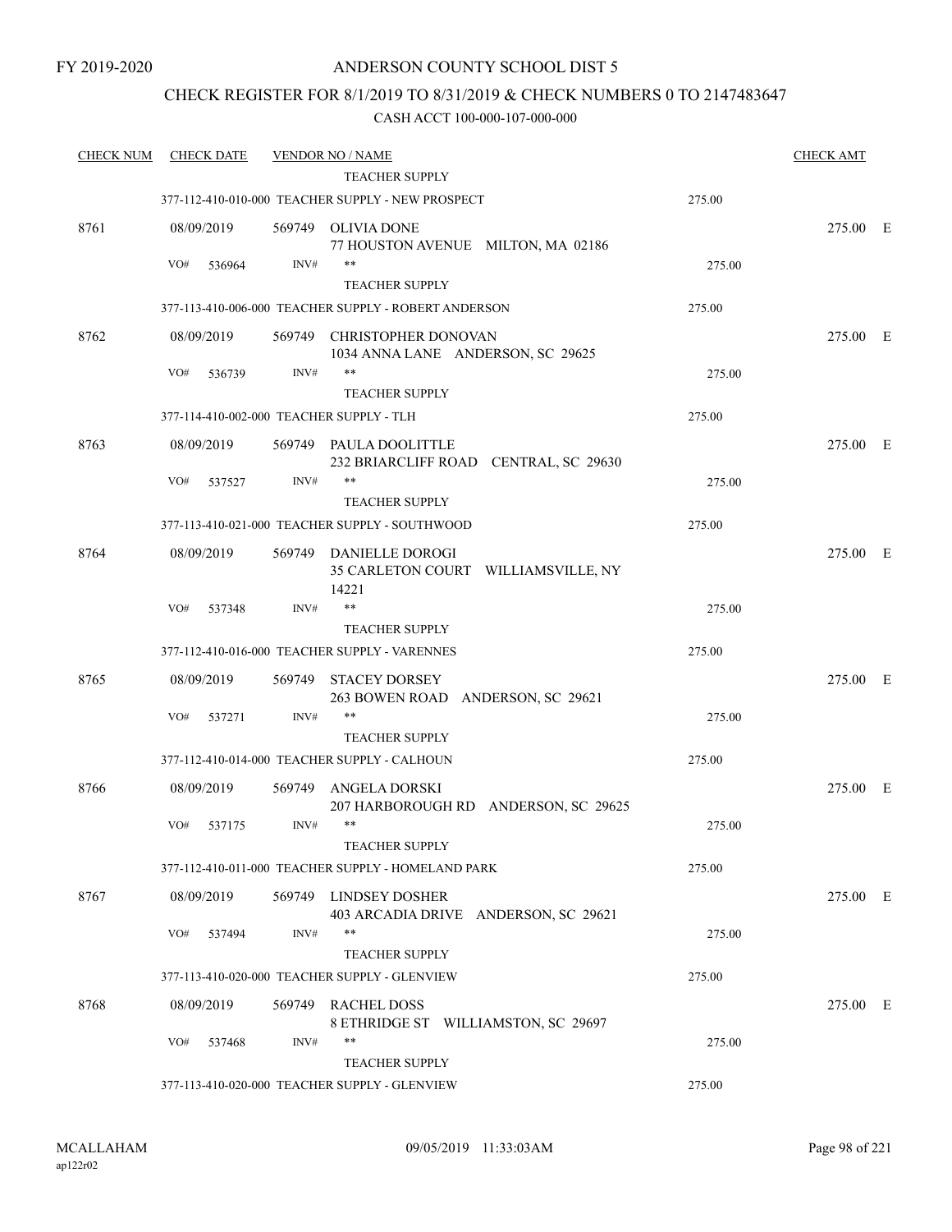## CHECK REGISTER FOR 8/1/2019 TO 8/31/2019 & CHECK NUMBERS 0 TO 2147483647

| <b>CHECK NUM</b> | <b>CHECK DATE</b> |        | <b>VENDOR NO / NAME</b>                                                |        | <b>CHECK AMT</b> |  |
|------------------|-------------------|--------|------------------------------------------------------------------------|--------|------------------|--|
|                  |                   |        | TEACHER SUPPLY                                                         |        |                  |  |
|                  |                   |        | 377-112-410-010-000 TEACHER SUPPLY - NEW PROSPECT                      | 275.00 |                  |  |
| 8761             | 08/09/2019        |        | 569749 OLIVIA DONE<br>77 HOUSTON AVENUE MILTON, MA 02186               |        | 275.00 E         |  |
|                  | VO#<br>536964     | INV#   | $***$                                                                  | 275.00 |                  |  |
|                  |                   |        | <b>TEACHER SUPPLY</b>                                                  |        |                  |  |
|                  |                   |        | 377-113-410-006-000 TEACHER SUPPLY - ROBERT ANDERSON                   | 275.00 |                  |  |
| 8762             | 08/09/2019        |        | 569749 CHRISTOPHER DONOVAN<br>1034 ANNA LANE ANDERSON, SC 29625        |        | 275.00 E         |  |
|                  | VO#<br>536739     | INV#   |                                                                        | 275.00 |                  |  |
|                  |                   |        | <b>TEACHER SUPPLY</b>                                                  |        |                  |  |
|                  |                   |        | 377-114-410-002-000 TEACHER SUPPLY - TLH                               | 275.00 |                  |  |
| 8763             | 08/09/2019        |        | 569749 PAULA DOOLITTLE<br>232 BRIARCLIFF ROAD CENTRAL, SC 29630        |        | 275.00 E         |  |
|                  | VO#<br>537527     | INV#   | $***$                                                                  | 275.00 |                  |  |
|                  |                   |        | <b>TEACHER SUPPLY</b>                                                  |        |                  |  |
|                  |                   |        | 377-113-410-021-000 TEACHER SUPPLY - SOUTHWOOD                         | 275.00 |                  |  |
| 8764             | 08/09/2019        |        | 569749 DANIELLE DOROGI<br>35 CARLETON COURT WILLIAMSVILLE, NY<br>14221 |        | 275.00 E         |  |
|                  | VO#<br>537348     | INV#   | $***$                                                                  | 275.00 |                  |  |
|                  |                   |        | <b>TEACHER SUPPLY</b>                                                  |        |                  |  |
|                  |                   |        | 377-112-410-016-000 TEACHER SUPPLY - VARENNES                          | 275.00 |                  |  |
| 8765             | 08/09/2019        | 569749 | <b>STACEY DORSEY</b><br>263 BOWEN ROAD ANDERSON, SC 29621              |        | 275.00 E         |  |
|                  | VO#<br>537271     | INV#   | $***$                                                                  | 275.00 |                  |  |
|                  |                   |        | <b>TEACHER SUPPLY</b>                                                  |        |                  |  |
|                  |                   |        | 377-112-410-014-000 TEACHER SUPPLY - CALHOUN                           | 275.00 |                  |  |
| 8766             | 08/09/2019        | 569749 | ANGELA DORSKI<br>207 HARBOROUGH RD ANDERSON, SC 29625                  |        | 275.00 E         |  |
|                  | VO#<br>537175     | INV#   | $***$<br>TEACHER SUPPLY                                                | 275.00 |                  |  |
|                  |                   |        | 377-112-410-011-000 TEACHER SUPPLY - HOMELAND PARK                     | 275.00 |                  |  |
| 8767             | 08/09/2019        |        | 569749 LINDSEY DOSHER<br>403 ARCADIA DRIVE ANDERSON, SC 29621          |        | 275.00 E         |  |
|                  | VO#<br>537494     | INV#   | $***$                                                                  | 275.00 |                  |  |
|                  |                   |        | <b>TEACHER SUPPLY</b>                                                  |        |                  |  |
|                  |                   |        | 377-113-410-020-000 TEACHER SUPPLY - GLENVIEW                          | 275.00 |                  |  |
| 8768             | 08/09/2019        |        | 569749 RACHEL DOSS<br>8 ETHRIDGE ST WILLIAMSTON, SC 29697              |        | 275.00 E         |  |
|                  | VO#<br>537468     | INV#   | $***$                                                                  | 275.00 |                  |  |
|                  |                   |        | <b>TEACHER SUPPLY</b>                                                  |        |                  |  |
|                  |                   |        | 377-113-410-020-000 TEACHER SUPPLY - GLENVIEW                          | 275.00 |                  |  |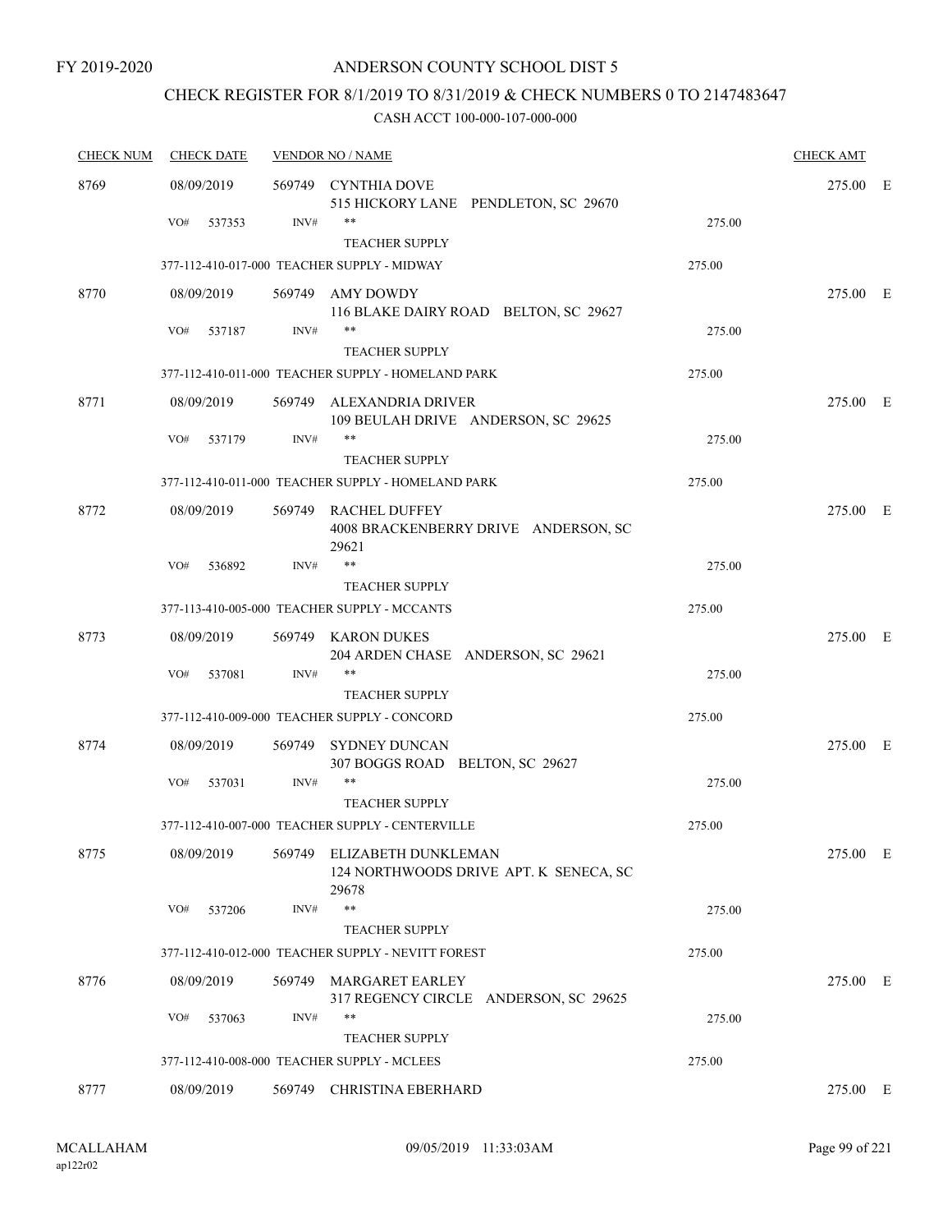## CHECK REGISTER FOR 8/1/2019 TO 8/31/2019 & CHECK NUMBERS 0 TO 2147483647

| <b>CHECK NUM</b> | <b>CHECK DATE</b> | <b>VENDOR NO / NAME</b> | <b>CHECK AMT</b>                                                              |        |          |  |
|------------------|-------------------|-------------------------|-------------------------------------------------------------------------------|--------|----------|--|
| 8769             | 08/09/2019        |                         | 569749 CYNTHIA DOVE<br>515 HICKORY LANE PENDLETON, SC 29670                   |        | 275.00 E |  |
|                  | VO#<br>537353     | INV#                    | **                                                                            | 275.00 |          |  |
|                  |                   |                         | <b>TEACHER SUPPLY</b>                                                         |        |          |  |
|                  |                   |                         | 377-112-410-017-000 TEACHER SUPPLY - MIDWAY                                   | 275.00 |          |  |
| 8770             | 08/09/2019        |                         | 569749 AMY DOWDY<br>116 BLAKE DAIRY ROAD BELTON, SC 29627                     |        | 275.00 E |  |
|                  | VO#<br>537187     | INV#                    | **<br><b>TEACHER SUPPLY</b>                                                   | 275.00 |          |  |
|                  |                   |                         | 377-112-410-011-000 TEACHER SUPPLY - HOMELAND PARK                            | 275.00 |          |  |
| 8771             | 08/09/2019        |                         | 569749 ALEXANDRIA DRIVER                                                      |        | 275.00 E |  |
|                  |                   |                         | 109 BEULAH DRIVE ANDERSON, SC 29625                                           |        |          |  |
|                  | VO#<br>537179     | INV#                    | **<br><b>TEACHER SUPPLY</b>                                                   | 275.00 |          |  |
|                  |                   |                         | 377-112-410-011-000 TEACHER SUPPLY - HOMELAND PARK                            | 275.00 |          |  |
| 8772             | 08/09/2019        |                         | 569749 RACHEL DUFFEY<br>4008 BRACKENBERRY DRIVE ANDERSON, SC<br>29621         |        | 275.00 E |  |
|                  | VO#<br>536892     | INV#                    | $***$                                                                         | 275.00 |          |  |
|                  |                   |                         | <b>TEACHER SUPPLY</b>                                                         |        |          |  |
|                  |                   |                         | 377-113-410-005-000 TEACHER SUPPLY - MCCANTS                                  | 275.00 |          |  |
| 8773             | 08/09/2019        |                         | 569749 KARON DUKES<br>204 ARDEN CHASE ANDERSON, SC 29621                      |        | 275.00 E |  |
|                  | VO#<br>537081     | INV#                    | **                                                                            | 275.00 |          |  |
|                  |                   |                         | <b>TEACHER SUPPLY</b>                                                         |        |          |  |
|                  |                   |                         | 377-112-410-009-000 TEACHER SUPPLY - CONCORD                                  | 275.00 |          |  |
| 8774             | 08/09/2019        | 569749                  | <b>SYDNEY DUNCAN</b><br>307 BOGGS ROAD BELTON, SC 29627                       |        | 275.00 E |  |
|                  | VO#<br>537031     | INV#                    | **                                                                            | 275.00 |          |  |
|                  |                   |                         | <b>TEACHER SUPPLY</b>                                                         |        |          |  |
|                  |                   |                         | 377-112-410-007-000 TEACHER SUPPLY - CENTERVILLE                              | 275.00 |          |  |
| 8775             | 08/09/2019        |                         | 569749 ELIZABETH DUNKLEMAN<br>124 NORTHWOODS DRIVE APT. K SENECA, SC<br>29678 |        | 275.00 E |  |
|                  | VO#<br>537206     | INV#                    | **                                                                            | 275.00 |          |  |
|                  |                   |                         | <b>TEACHER SUPPLY</b>                                                         |        |          |  |
|                  |                   |                         | 377-112-410-012-000 TEACHER SUPPLY - NEVITT FOREST                            | 275.00 |          |  |
| 8776             | 08/09/2019        |                         | 569749 MARGARET EARLEY<br>317 REGENCY CIRCLE ANDERSON, SC 29625               |        | 275.00 E |  |
|                  | VO#<br>537063     | INV#                    | **                                                                            | 275.00 |          |  |
|                  |                   |                         | <b>TEACHER SUPPLY</b>                                                         |        |          |  |
|                  |                   |                         | 377-112-410-008-000 TEACHER SUPPLY - MCLEES                                   | 275.00 |          |  |
| 8777             | 08/09/2019        |                         | 569749 CHRISTINA EBERHARD                                                     |        | 275.00 E |  |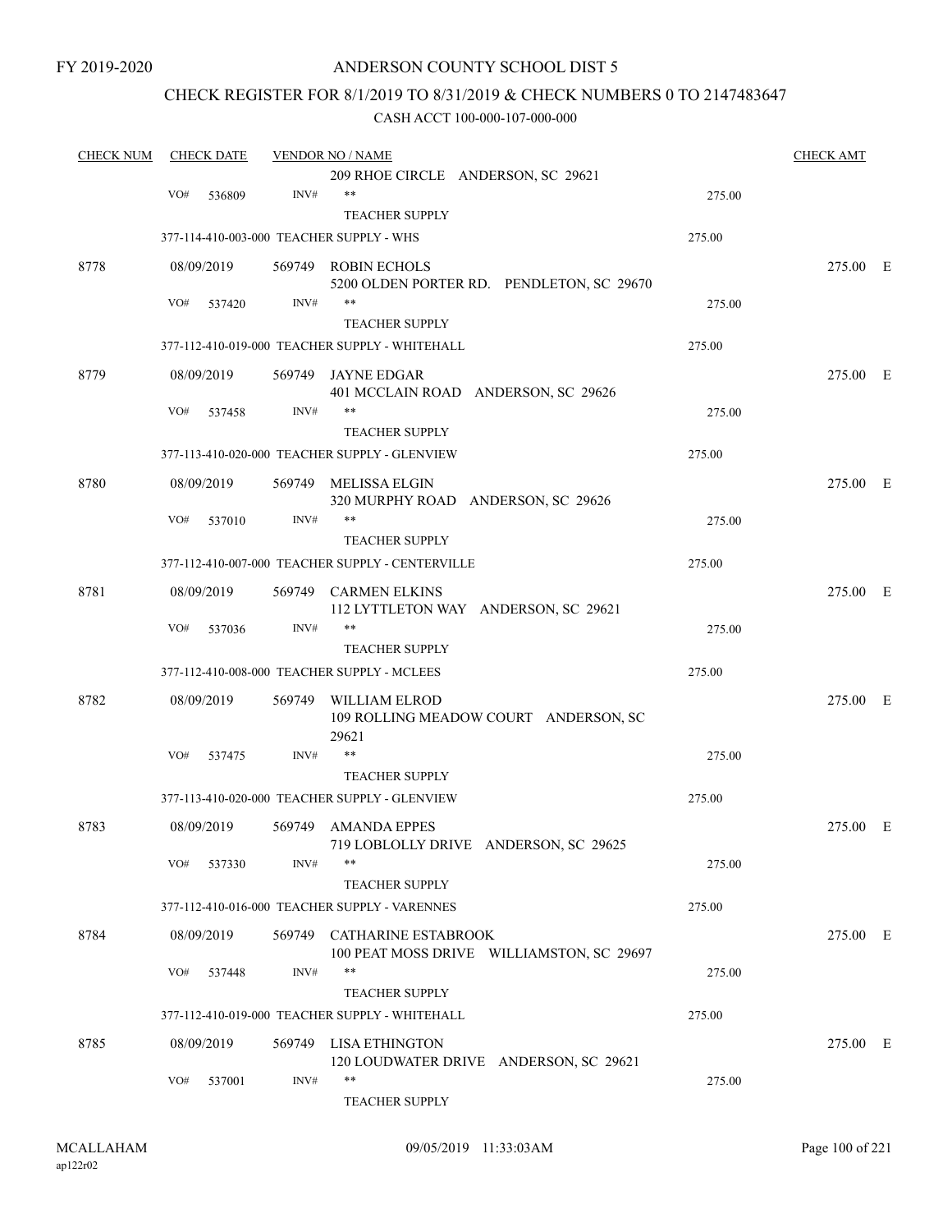## ANDERSON COUNTY SCHOOL DIST 5

## CHECK REGISTER FOR 8/1/2019 TO 8/31/2019 & CHECK NUMBERS 0 TO 2147483647

| <b>CHECK NUM</b> |     | <b>CHECK DATE</b> |        | <b>VENDOR NO / NAME</b>                                         |        | <b>CHECK AMT</b> |  |
|------------------|-----|-------------------|--------|-----------------------------------------------------------------|--------|------------------|--|
|                  |     |                   |        | 209 RHOE CIRCLE ANDERSON, SC 29621                              |        |                  |  |
|                  | VO# | 536809            | INV#   | **                                                              | 275.00 |                  |  |
|                  |     |                   |        | <b>TEACHER SUPPLY</b>                                           |        |                  |  |
|                  |     |                   |        | 377-114-410-003-000 TEACHER SUPPLY - WHS                        | 275.00 |                  |  |
| 8778             |     | 08/09/2019        |        | 569749 ROBIN ECHOLS                                             |        | 275.00 E         |  |
|                  | VO# | 537420            | INV#   | 5200 OLDEN PORTER RD. PENDLETON, SC 29670<br>**                 | 275.00 |                  |  |
|                  |     |                   |        | <b>TEACHER SUPPLY</b>                                           |        |                  |  |
|                  |     |                   |        | 377-112-410-019-000 TEACHER SUPPLY - WHITEHALL                  | 275.00 |                  |  |
| 8779             |     | 08/09/2019        |        | 569749 JAYNE EDGAR                                              |        | 275.00 E         |  |
|                  |     |                   |        | 401 MCCLAIN ROAD ANDERSON, SC 29626                             |        |                  |  |
|                  | VO# | 537458            | INV#   | **                                                              | 275.00 |                  |  |
|                  |     |                   |        | <b>TEACHER SUPPLY</b>                                           |        |                  |  |
|                  |     |                   |        | 377-113-410-020-000 TEACHER SUPPLY - GLENVIEW                   | 275.00 |                  |  |
| 8780             |     | 08/09/2019        | 569749 | MELISSA ELGIN<br>320 MURPHY ROAD ANDERSON, SC 29626             |        | 275.00 E         |  |
|                  | VO# | 537010            | INV#   | **                                                              | 275.00 |                  |  |
|                  |     |                   |        | <b>TEACHER SUPPLY</b>                                           |        |                  |  |
|                  |     |                   |        | 377-112-410-007-000 TEACHER SUPPLY - CENTERVILLE                | 275.00 |                  |  |
| 8781             |     | 08/09/2019        | 569749 | <b>CARMEN ELKINS</b><br>112 LYTTLETON WAY ANDERSON, SC 29621    |        | 275.00 E         |  |
|                  | VO# | 537036            | INV#   | **                                                              | 275.00 |                  |  |
|                  |     |                   |        | <b>TEACHER SUPPLY</b>                                           |        |                  |  |
|                  |     |                   |        | 377-112-410-008-000 TEACHER SUPPLY - MCLEES                     | 275.00 |                  |  |
| 8782             |     | 08/09/2019        | 569749 | WILLIAM ELROD                                                   |        | 275.00 E         |  |
|                  |     |                   |        | 109 ROLLING MEADOW COURT ANDERSON, SC<br>29621                  |        |                  |  |
|                  | VO# | 537475            | INV#   | $***$                                                           | 275.00 |                  |  |
|                  |     |                   |        | <b>TEACHER SUPPLY</b>                                           |        |                  |  |
|                  |     |                   |        | 377-113-410-020-000 TEACHER SUPPLY - GLENVIEW                   | 275.00 |                  |  |
| 8783             |     | 08/09/2019        |        | 569749 AMANDA EPPES                                             |        | 275.00 E         |  |
|                  | VO# | 537330            | INV#   | 719 LOBLOLLY DRIVE ANDERSON, SC 29625<br>$***$                  | 275.00 |                  |  |
|                  |     |                   |        | <b>TEACHER SUPPLY</b>                                           |        |                  |  |
|                  |     |                   |        | 377-112-410-016-000 TEACHER SUPPLY - VARENNES                   | 275.00 |                  |  |
| 8784             |     | 08/09/2019        |        | 569749 CATHARINE ESTABROOK                                      |        | 275.00 E         |  |
|                  |     |                   |        | 100 PEAT MOSS DRIVE WILLIAMSTON, SC 29697                       |        |                  |  |
|                  | VO# | 537448            | INV#   | **                                                              | 275.00 |                  |  |
|                  |     |                   |        | <b>TEACHER SUPPLY</b>                                           |        |                  |  |
|                  |     |                   |        | 377-112-410-019-000 TEACHER SUPPLY - WHITEHALL                  | 275.00 |                  |  |
| 8785             |     | 08/09/2019        |        | 569749 LISA ETHINGTON<br>120 LOUDWATER DRIVE ANDERSON, SC 29621 |        | 275.00 E         |  |
|                  | VO# | 537001            | INV#   | **                                                              | 275.00 |                  |  |
|                  |     |                   |        | TEACHER SUPPLY                                                  |        |                  |  |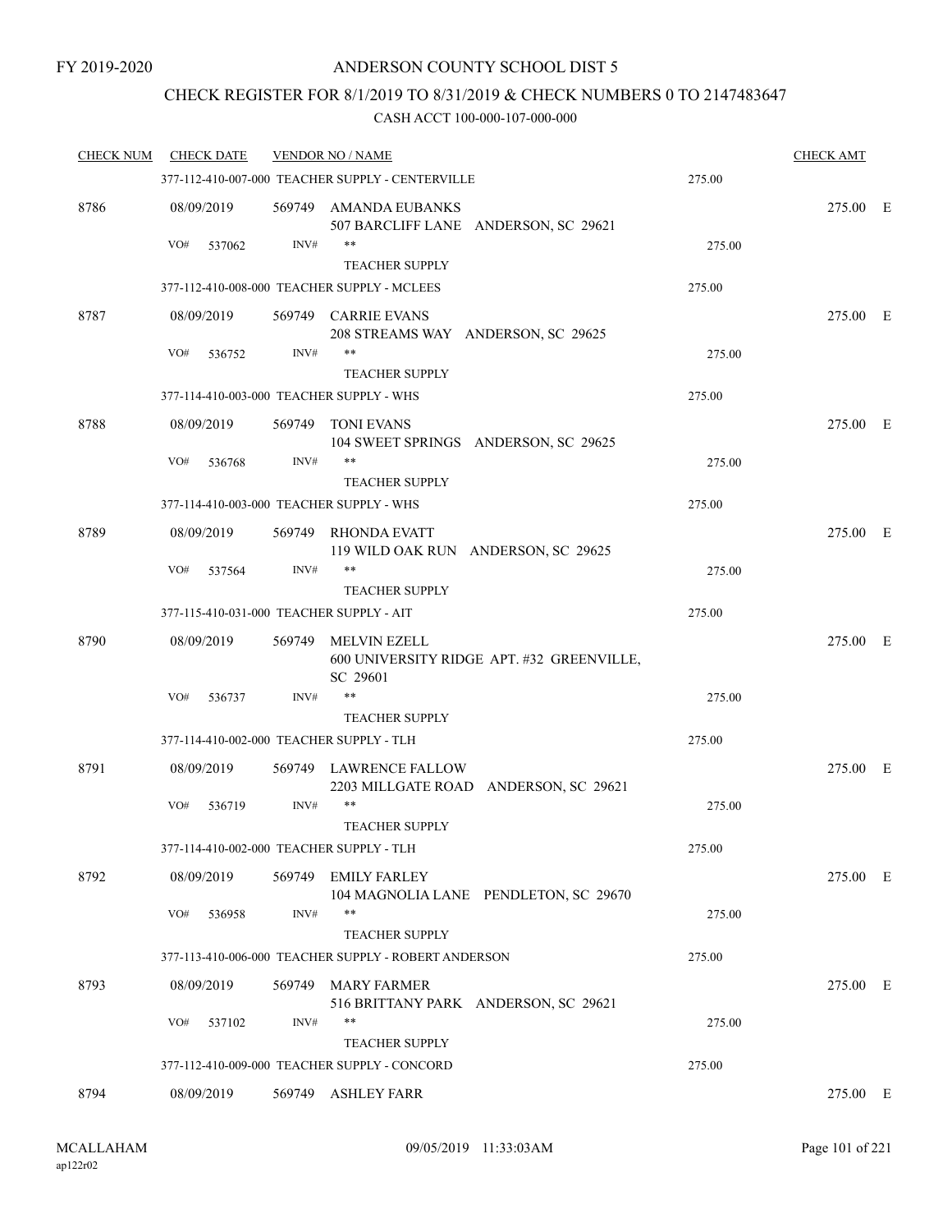## CHECK REGISTER FOR 8/1/2019 TO 8/31/2019 & CHECK NUMBERS 0 TO 2147483647

| <b>CHECK NUM</b> | <b>CHECK DATE</b>                        |        | <b>VENDOR NO / NAME</b>                                             |        | <b>CHECK AMT</b> |  |
|------------------|------------------------------------------|--------|---------------------------------------------------------------------|--------|------------------|--|
|                  |                                          |        | 377-112-410-007-000 TEACHER SUPPLY - CENTERVILLE                    | 275.00 |                  |  |
| 8786             | 08/09/2019                               |        | 569749 AMANDA EUBANKS<br>507 BARCLIFF LANE ANDERSON, SC 29621       |        | 275.00 E         |  |
|                  | VO#<br>537062                            | INV#   | **                                                                  | 275.00 |                  |  |
|                  |                                          |        | <b>TEACHER SUPPLY</b>                                               |        |                  |  |
|                  |                                          |        | 377-112-410-008-000 TEACHER SUPPLY - MCLEES                         | 275.00 |                  |  |
| 8787             | 08/09/2019                               |        | 569749 CARRIE EVANS<br>208 STREAMS WAY ANDERSON, SC 29625           |        | 275.00 E         |  |
|                  | VO#<br>536752                            | INV#   | **<br><b>TEACHER SUPPLY</b>                                         | 275.00 |                  |  |
|                  | 377-114-410-003-000 TEACHER SUPPLY - WHS |        |                                                                     | 275.00 |                  |  |
| 8788             | 08/09/2019                               |        | 569749 TONI EVANS<br>104 SWEET SPRINGS ANDERSON, SC 29625           |        | 275.00 E         |  |
|                  | VO#<br>536768                            | INV#   | **                                                                  | 275.00 |                  |  |
|                  |                                          |        | <b>TEACHER SUPPLY</b>                                               |        |                  |  |
|                  | 377-114-410-003-000 TEACHER SUPPLY - WHS |        |                                                                     | 275.00 |                  |  |
| 8789             | 08/09/2019                               | 569749 | <b>RHONDA EVATT</b><br>119 WILD OAK RUN ANDERSON, SC 29625<br>$***$ |        | 275.00 E         |  |
|                  | VO#<br>537564                            | INV#   | <b>TEACHER SUPPLY</b>                                               | 275.00 |                  |  |
|                  | 377-115-410-031-000 TEACHER SUPPLY - AIT |        |                                                                     | 275.00 |                  |  |
| 8790             | 08/09/2019                               |        | 569749 MELVIN EZELL                                                 |        | 275.00 E         |  |
|                  |                                          |        | 600 UNIVERSITY RIDGE APT. #32 GREENVILLE,<br>SC 29601               |        |                  |  |
|                  | VO#<br>536737                            | INV#   | $***$                                                               | 275.00 |                  |  |
|                  |                                          |        | <b>TEACHER SUPPLY</b>                                               |        |                  |  |
|                  | 377-114-410-002-000 TEACHER SUPPLY - TLH |        |                                                                     | 275.00 |                  |  |
| 8791             | 08/09/2019                               |        | 569749 LAWRENCE FALLOW<br>2203 MILLGATE ROAD ANDERSON, SC 29621     |        | 275.00 E         |  |
|                  | VO#<br>536719                            | INV#   | **                                                                  | 275.00 |                  |  |
|                  |                                          |        | <b>TEACHER SUPPLY</b>                                               |        |                  |  |
|                  | 377-114-410-002-000 TEACHER SUPPLY - TLH |        |                                                                     | 275.00 |                  |  |
| 8792             | 08/09/2019<br>VO#                        | INV#   | 569749 EMILY FARLEY<br>104 MAGNOLIA LANE PENDLETON, SC 29670<br>**  | 275.00 | 275.00 E         |  |
|                  | 536958                                   |        | <b>TEACHER SUPPLY</b>                                               |        |                  |  |
|                  |                                          |        | 377-113-410-006-000 TEACHER SUPPLY - ROBERT ANDERSON                | 275.00 |                  |  |
| 8793             | 08/09/2019                               |        | 569749 MARY FARMER                                                  |        | 275.00 E         |  |
|                  |                                          |        | 516 BRITTANY PARK ANDERSON, SC 29621                                |        |                  |  |
|                  | VO#<br>537102                            | INV#   | **                                                                  | 275.00 |                  |  |
|                  |                                          |        | <b>TEACHER SUPPLY</b>                                               |        |                  |  |
|                  |                                          |        | 377-112-410-009-000 TEACHER SUPPLY - CONCORD                        | 275.00 |                  |  |
| 8794             | 08/09/2019                               |        | 569749 ASHLEY FARR                                                  |        | 275.00 E         |  |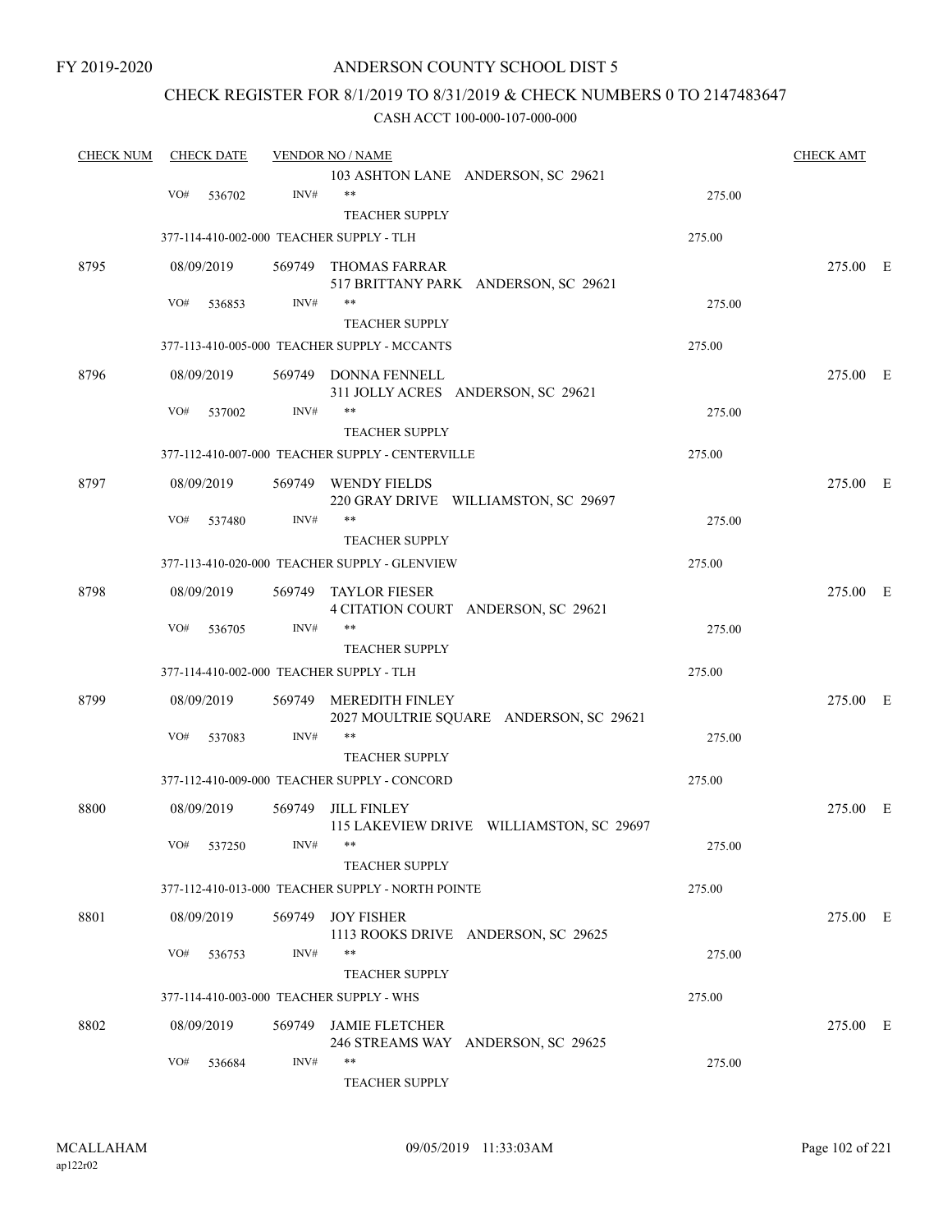## ANDERSON COUNTY SCHOOL DIST 5

## CHECK REGISTER FOR 8/1/2019 TO 8/31/2019 & CHECK NUMBERS 0 TO 2147483647

| <b>CHECK NUM</b> | <b>CHECK DATE</b> |                                          | <b>VENDOR NO / NAME</b>                           |        | <b>CHECK AMT</b> |  |
|------------------|-------------------|------------------------------------------|---------------------------------------------------|--------|------------------|--|
|                  |                   |                                          | 103 ASHTON LANE ANDERSON, SC 29621                |        |                  |  |
|                  | VO#               | INV#<br>536702                           | $***$                                             | 275.00 |                  |  |
|                  |                   |                                          | <b>TEACHER SUPPLY</b>                             |        |                  |  |
|                  |                   | 377-114-410-002-000 TEACHER SUPPLY - TLH |                                                   | 275.00 |                  |  |
| 8795             | 08/09/2019        |                                          | 569749 THOMAS FARRAR                              |        | 275.00 E         |  |
|                  |                   |                                          | 517 BRITTANY PARK ANDERSON, SC 29621              |        |                  |  |
|                  | VO#               | INV#<br>536853                           | **                                                | 275.00 |                  |  |
|                  |                   |                                          | <b>TEACHER SUPPLY</b>                             |        |                  |  |
|                  |                   |                                          | 377-113-410-005-000 TEACHER SUPPLY - MCCANTS      | 275.00 |                  |  |
| 8796             | 08/09/2019        |                                          | 569749 DONNA FENNELL                              |        | 275.00 E         |  |
|                  | VO#               | INV#                                     | 311 JOLLY ACRES ANDERSON, SC 29621                |        |                  |  |
|                  |                   | 537002                                   |                                                   | 275.00 |                  |  |
|                  |                   |                                          | <b>TEACHER SUPPLY</b>                             |        |                  |  |
|                  |                   |                                          | 377-112-410-007-000 TEACHER SUPPLY - CENTERVILLE  | 275.00 |                  |  |
| 8797             | 08/09/2019        |                                          | 569749 WENDY FIELDS                               |        | 275.00 E         |  |
|                  |                   |                                          | 220 GRAY DRIVE WILLIAMSTON, SC 29697              |        |                  |  |
|                  | VO#               | INV#<br>537480                           | **                                                | 275.00 |                  |  |
|                  |                   |                                          | <b>TEACHER SUPPLY</b>                             |        |                  |  |
|                  |                   |                                          | 377-113-410-020-000 TEACHER SUPPLY - GLENVIEW     | 275.00 |                  |  |
| 8798             | 08/09/2019        | 569749                                   | <b>TAYLOR FIESER</b>                              |        | 275.00 E         |  |
|                  |                   |                                          | 4 CITATION COURT ANDERSON, SC 29621               |        |                  |  |
|                  | VO#               | INV#<br>536705                           | $***$                                             | 275.00 |                  |  |
|                  |                   |                                          | <b>TEACHER SUPPLY</b>                             |        |                  |  |
|                  |                   | 377-114-410-002-000 TEACHER SUPPLY - TLH |                                                   | 275.00 |                  |  |
| 8799             | 08/09/2019        | 569749                                   | <b>MEREDITH FINLEY</b>                            |        | 275.00 E         |  |
|                  |                   |                                          | 2027 MOULTRIE SQUARE ANDERSON, SC 29621           |        |                  |  |
|                  | VO#               | INV#<br>537083                           | **                                                | 275.00 |                  |  |
|                  |                   |                                          | <b>TEACHER SUPPLY</b>                             |        |                  |  |
|                  |                   |                                          | 377-112-410-009-000 TEACHER SUPPLY - CONCORD      | 275.00 |                  |  |
| 8800             | 08/09/2019        | 569749                                   | <b>JILL FINLEY</b>                                |        | 275.00 E         |  |
|                  |                   |                                          | 115 LAKEVIEW DRIVE WILLIAMSTON, SC 29697          |        |                  |  |
|                  | VO# 537250        | INV#                                     | **                                                | 275.00 |                  |  |
|                  |                   |                                          | <b>TEACHER SUPPLY</b>                             |        |                  |  |
|                  |                   |                                          | 377-112-410-013-000 TEACHER SUPPLY - NORTH POINTE | 275.00 |                  |  |
| 8801             | 08/09/2019        |                                          | 569749 JOY FISHER                                 |        | 275.00 E         |  |
|                  |                   |                                          | 1113 ROOKS DRIVE ANDERSON, SC 29625               |        |                  |  |
|                  | VO#               | INV#<br>536753                           | **                                                | 275.00 |                  |  |
|                  |                   |                                          | <b>TEACHER SUPPLY</b>                             |        |                  |  |
|                  |                   | 377-114-410-003-000 TEACHER SUPPLY - WHS |                                                   | 275.00 |                  |  |
| 8802             | 08/09/2019        |                                          | 569749 JAMIE FLETCHER                             |        | 275.00 E         |  |
|                  |                   |                                          | 246 STREAMS WAY ANDERSON, SC 29625                |        |                  |  |
|                  | VO#               | INV#<br>536684                           | **                                                | 275.00 |                  |  |
|                  |                   |                                          | <b>TEACHER SUPPLY</b>                             |        |                  |  |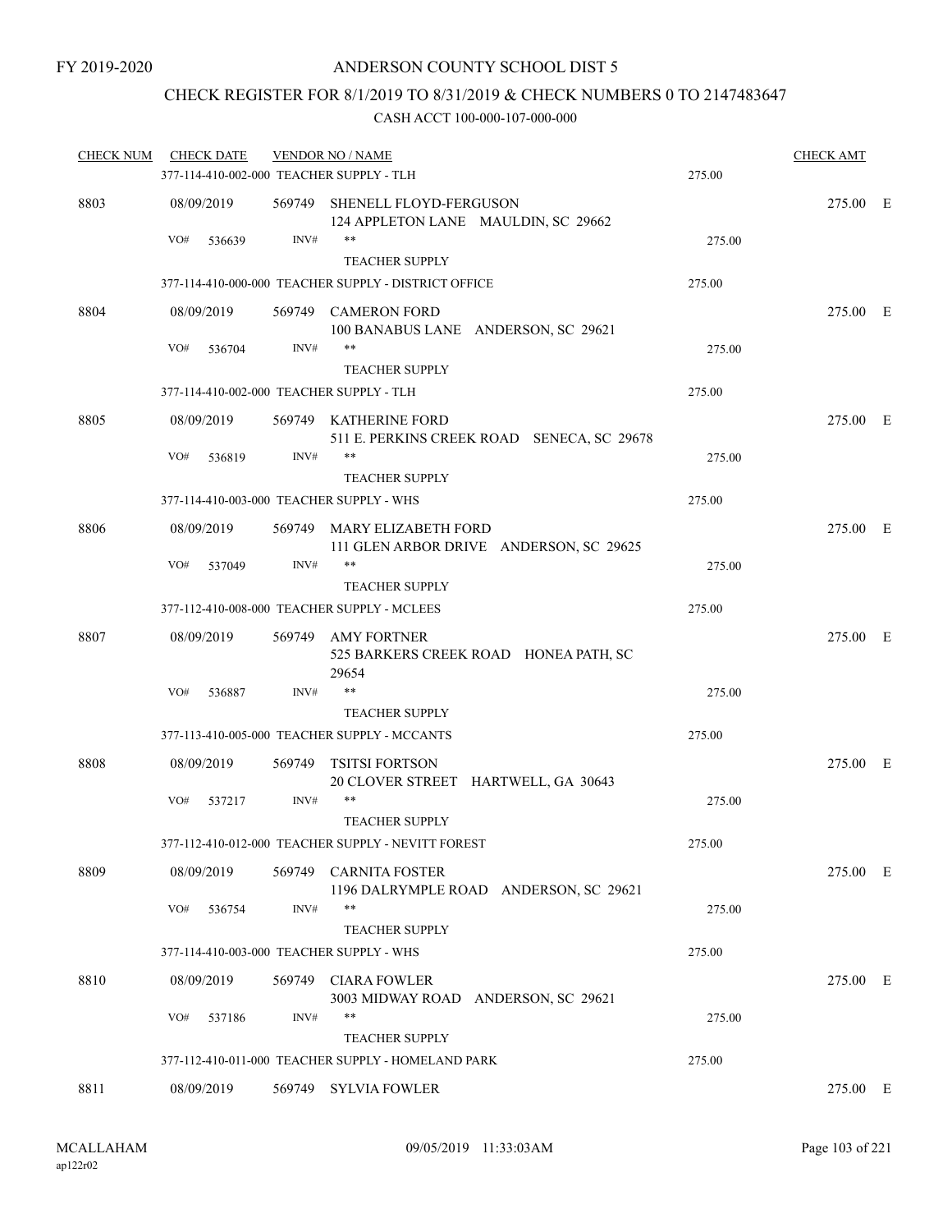# CHECK REGISTER FOR 8/1/2019 TO 8/31/2019 & CHECK NUMBERS 0 TO 2147483647

| <b>CHECK NUM</b> | <b>CHECK DATE</b>                        |        | <b>VENDOR NO / NAME</b>                                               |        | <b>CHECK AMT</b> |  |
|------------------|------------------------------------------|--------|-----------------------------------------------------------------------|--------|------------------|--|
|                  | 377-114-410-002-000 TEACHER SUPPLY - TLH |        |                                                                       | 275.00 |                  |  |
| 8803             | 08/09/2019                               |        | 569749 SHENELL FLOYD-FERGUSON<br>124 APPLETON LANE MAULDIN, SC 29662  |        | 275.00 E         |  |
|                  | VO#<br>536639                            | INV#   | **<br><b>TEACHER SUPPLY</b>                                           | 275.00 |                  |  |
|                  |                                          |        | 377-114-410-000-000 TEACHER SUPPLY - DISTRICT OFFICE                  | 275.00 |                  |  |
| 8804             | 08/09/2019                               | 569749 | <b>CAMERON FORD</b><br>100 BANABUS LANE ANDERSON, SC 29621            |        | 275.00 E         |  |
|                  | VO#<br>536704                            | INV#   | **                                                                    | 275.00 |                  |  |
|                  |                                          |        | <b>TEACHER SUPPLY</b>                                                 |        |                  |  |
|                  | 377-114-410-002-000 TEACHER SUPPLY - TLH |        |                                                                       | 275.00 |                  |  |
| 8805             | 08/09/2019                               |        | 569749 KATHERINE FORD<br>511 E. PERKINS CREEK ROAD SENECA, SC 29678   |        | 275.00 E         |  |
|                  | VO#<br>536819                            | INV#   | **<br><b>TEACHER SUPPLY</b>                                           | 275.00 |                  |  |
|                  | 377-114-410-003-000 TEACHER SUPPLY - WHS |        |                                                                       | 275.00 |                  |  |
| 8806             | 08/09/2019                               |        | 569749 MARY ELIZABETH FORD<br>111 GLEN ARBOR DRIVE ANDERSON, SC 29625 |        | 275.00 E         |  |
|                  | VO#<br>537049                            | INV#   | **<br><b>TEACHER SUPPLY</b>                                           | 275.00 |                  |  |
|                  |                                          |        | 377-112-410-008-000 TEACHER SUPPLY - MCLEES                           | 275.00 |                  |  |
| 8807             | 08/09/2019                               |        | 569749 AMY FORTNER<br>525 BARKERS CREEK ROAD HONEA PATH, SC<br>29654  |        | 275.00 E         |  |
|                  | VO#<br>536887                            | INV#   | **                                                                    | 275.00 |                  |  |
|                  |                                          |        | <b>TEACHER SUPPLY</b>                                                 |        |                  |  |
|                  |                                          |        | 377-113-410-005-000 TEACHER SUPPLY - MCCANTS                          | 275.00 |                  |  |
| 8808             | 08/09/2019                               | 569749 | TSITSI FORTSON<br>20 CLOVER STREET HARTWELL, GA 30643                 |        | 275.00 E         |  |
|                  | VO#<br>537217                            | INV#   | **<br><b>TEACHER SUPPLY</b>                                           | 275.00 |                  |  |
|                  |                                          |        | 377-112-410-012-000 TEACHER SUPPLY - NEVITT FOREST                    | 275.00 |                  |  |
| 8809             | 08/09/2019                               |        | 569749 CARNITA FOSTER<br>1196 DALRYMPLE ROAD ANDERSON, SC 29621       |        | 275.00 E         |  |
|                  | VO#<br>536754                            | INV#   | **<br><b>TEACHER SUPPLY</b>                                           | 275.00 |                  |  |
|                  | 377-114-410-003-000 TEACHER SUPPLY - WHS |        |                                                                       | 275.00 |                  |  |
| 8810             | 08/09/2019                               | 569749 | <b>CIARA FOWLER</b>                                                   |        | 275.00 E         |  |
|                  | VO#<br>537186                            | INV#   | 3003 MIDWAY ROAD ANDERSON, SC 29621<br>**<br><b>TEACHER SUPPLY</b>    | 275.00 |                  |  |
|                  |                                          |        | 377-112-410-011-000 TEACHER SUPPLY - HOMELAND PARK                    | 275.00 |                  |  |
|                  |                                          |        |                                                                       |        |                  |  |
| 8811             | 08/09/2019                               |        | 569749 SYLVIA FOWLER                                                  |        | 275.00 E         |  |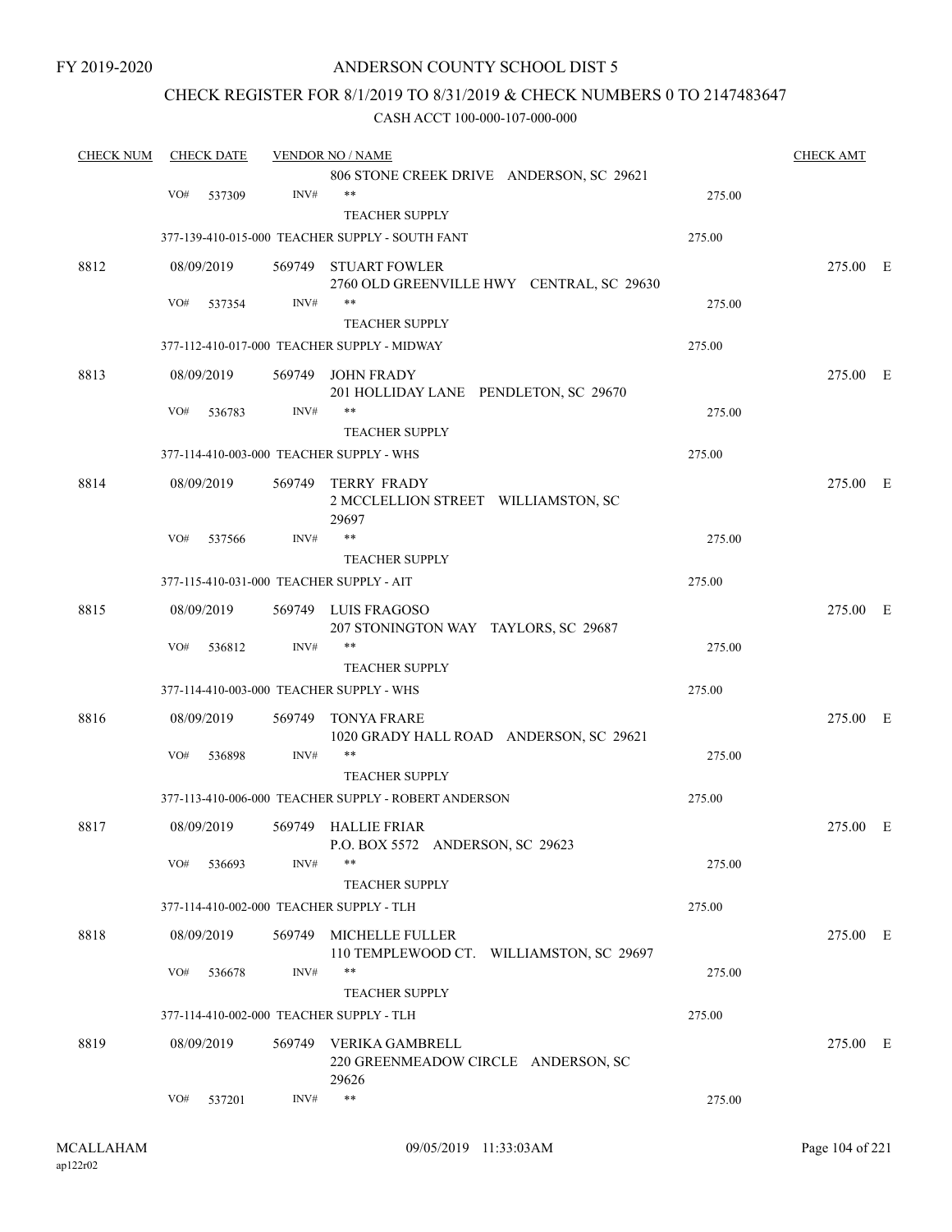## CHECK REGISTER FOR 8/1/2019 TO 8/31/2019 & CHECK NUMBERS 0 TO 2147483647

| <b>CHECK NUM</b> | <b>CHECK DATE</b> |            | <b>VENDOR NO / NAME</b> |                                                                        | <b>CHECK AMT</b> |          |  |
|------------------|-------------------|------------|-------------------------|------------------------------------------------------------------------|------------------|----------|--|
|                  |                   |            |                         | 806 STONE CREEK DRIVE ANDERSON, SC 29621                               |                  |          |  |
|                  | VO#               | 537309     | INV#                    | $***$                                                                  | 275.00           |          |  |
|                  |                   |            |                         | <b>TEACHER SUPPLY</b>                                                  |                  |          |  |
|                  |                   |            |                         | 377-139-410-015-000 TEACHER SUPPLY - SOUTH FANT                        | 275.00           |          |  |
| 8812             |                   | 08/09/2019 |                         | 569749 STUART FOWLER                                                   |                  | 275.00 E |  |
|                  | VO#               | 537354     | INV#                    | 2760 OLD GREENVILLE HWY CENTRAL, SC 29630<br>**                        | 275.00           |          |  |
|                  |                   |            |                         | <b>TEACHER SUPPLY</b>                                                  |                  |          |  |
|                  |                   |            |                         | 377-112-410-017-000 TEACHER SUPPLY - MIDWAY                            | 275.00           |          |  |
| 8813             |                   | 08/09/2019 |                         | 569749 JOHN FRADY                                                      |                  | 275.00 E |  |
|                  | VO#               | 536783     | INV#                    | 201 HOLLIDAY LANE PENDLETON, SC 29670<br>**                            | 275.00           |          |  |
|                  |                   |            |                         | <b>TEACHER SUPPLY</b>                                                  |                  |          |  |
|                  |                   |            |                         | 377-114-410-003-000 TEACHER SUPPLY - WHS                               | 275.00           |          |  |
| 8814             |                   | 08/09/2019 |                         | 569749 TERRY FRADY<br>2 MCCLELLION STREET WILLIAMSTON, SC<br>29697     |                  | 275.00 E |  |
|                  | VO#               | 537566     | INV#                    | **                                                                     | 275.00           |          |  |
|                  |                   |            |                         | <b>TEACHER SUPPLY</b>                                                  |                  |          |  |
|                  |                   |            |                         | 377-115-410-031-000 TEACHER SUPPLY - AIT                               | 275.00           |          |  |
| 8815             |                   | 08/09/2019 |                         | 569749 LUIS FRAGOSO<br>207 STONINGTON WAY TAYLORS, SC 29687            |                  | 275.00 E |  |
|                  | VO#               | 536812     | INV#                    | **                                                                     | 275.00           |          |  |
|                  |                   |            |                         | <b>TEACHER SUPPLY</b>                                                  |                  |          |  |
|                  |                   |            |                         | 377-114-410-003-000 TEACHER SUPPLY - WHS                               | 275.00           |          |  |
| 8816             |                   | 08/09/2019 | 569749                  | TONYA FRARE<br>1020 GRADY HALL ROAD ANDERSON, SC 29621                 |                  | 275.00 E |  |
|                  | VO#               | 536898     | INV#                    | **                                                                     | 275.00           |          |  |
|                  |                   |            |                         | <b>TEACHER SUPPLY</b>                                                  |                  |          |  |
|                  |                   |            |                         | 377-113-410-006-000 TEACHER SUPPLY - ROBERT ANDERSON                   | 275.00           |          |  |
| 8817             |                   | 08/09/2019 |                         | 569749 HALLIE FRIAR<br>P.O. BOX 5572 ANDERSON, SC 29623                |                  | 275.00 E |  |
|                  | VO#               | 536693     | INV#                    | $***$                                                                  | 275.00           |          |  |
|                  |                   |            |                         | <b>TEACHER SUPPLY</b>                                                  |                  |          |  |
|                  |                   |            |                         | 377-114-410-002-000 TEACHER SUPPLY - TLH                               | 275.00           |          |  |
| 8818             |                   | 08/09/2019 |                         | 569749 MICHELLE FULLER<br>110 TEMPLEWOOD CT. WILLIAMSTON, SC 29697     |                  | 275.00 E |  |
|                  | VO#               | 536678     | INV#                    | **<br>TEACHER SUPPLY                                                   | 275.00           |          |  |
|                  |                   |            |                         | 377-114-410-002-000 TEACHER SUPPLY - TLH                               | 275.00           |          |  |
|                  |                   |            |                         |                                                                        |                  |          |  |
| 8819             |                   | 08/09/2019 |                         | 569749 VERIKA GAMBRELL<br>220 GREENMEADOW CIRCLE ANDERSON, SC<br>29626 |                  | 275.00 E |  |
|                  | VO#               | 537201     | INV#                    | $***$                                                                  | 275.00           |          |  |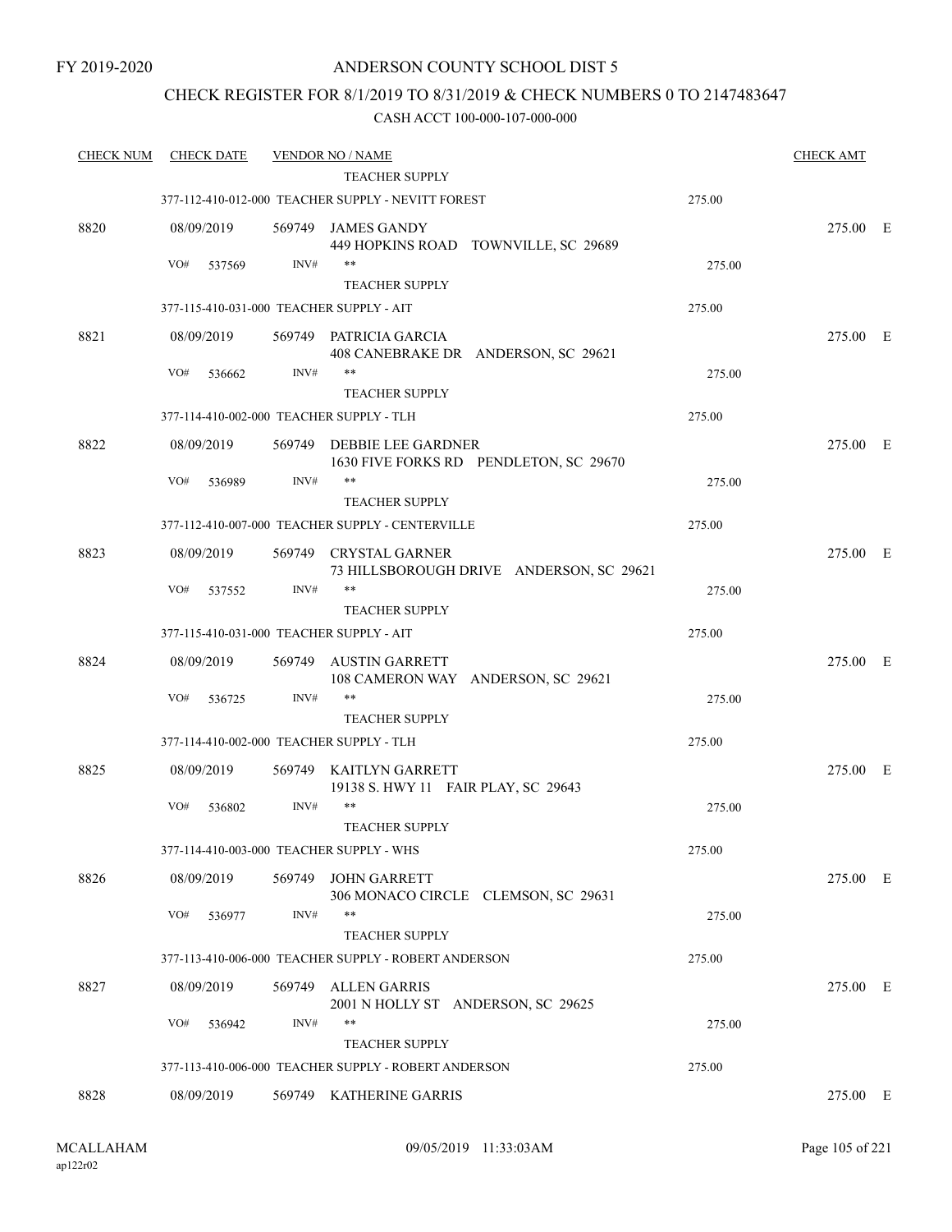## CHECK REGISTER FOR 8/1/2019 TO 8/31/2019 & CHECK NUMBERS 0 TO 2147483647

| <b>CHECK NUM</b> | <b>CHECK DATE</b>                        |        | <b>VENDOR NO / NAME</b>                                             |        | <b>CHECK AMT</b> |  |
|------------------|------------------------------------------|--------|---------------------------------------------------------------------|--------|------------------|--|
|                  |                                          |        | <b>TEACHER SUPPLY</b>                                               |        |                  |  |
|                  |                                          |        | 377-112-410-012-000 TEACHER SUPPLY - NEVITT FOREST                  | 275.00 |                  |  |
| 8820             | 08/09/2019                               |        | 569749 JAMES GANDY<br>449 HOPKINS ROAD TOWNVILLE, SC 29689          |        | 275.00 E         |  |
|                  | VO#<br>537569                            | INV#   | $***$                                                               | 275.00 |                  |  |
|                  |                                          |        | <b>TEACHER SUPPLY</b>                                               |        |                  |  |
|                  | 377-115-410-031-000 TEACHER SUPPLY - AIT |        |                                                                     | 275.00 |                  |  |
| 8821             | 08/09/2019                               |        | 569749 PATRICIA GARCIA<br>408 CANEBRAKE DR ANDERSON, SC 29621       |        | 275.00 E         |  |
|                  | VO#<br>536662                            | INV#   | $***$                                                               | 275.00 |                  |  |
|                  |                                          |        | <b>TEACHER SUPPLY</b>                                               |        |                  |  |
|                  | 377-114-410-002-000 TEACHER SUPPLY - TLH |        |                                                                     | 275.00 |                  |  |
| 8822             | 08/09/2019                               |        | 569749 DEBBIE LEE GARDNER<br>1630 FIVE FORKS RD PENDLETON, SC 29670 |        | 275.00 E         |  |
|                  | VO#<br>536989                            | INV#   | $***$<br><b>TEACHER SUPPLY</b>                                      | 275.00 |                  |  |
|                  |                                          |        | 377-112-410-007-000 TEACHER SUPPLY - CENTERVILLE                    | 275.00 |                  |  |
| 8823             | 08/09/2019                               |        | 569749 CRYSTAL GARNER<br>73 HILLSBOROUGH DRIVE ANDERSON, SC 29621   |        | 275.00 E         |  |
|                  | VO#<br>537552                            | INV#   | $***$                                                               | 275.00 |                  |  |
|                  |                                          |        | <b>TEACHER SUPPLY</b>                                               |        |                  |  |
|                  | 377-115-410-031-000 TEACHER SUPPLY - AIT |        |                                                                     | 275.00 |                  |  |
| 8824             | 08/09/2019                               | 569749 | <b>AUSTIN GARRETT</b><br>108 CAMERON WAY ANDERSON, SC 29621         |        | 275.00 E         |  |
|                  | VO#<br>536725                            | INV#   | $***$                                                               | 275.00 |                  |  |
|                  |                                          |        | <b>TEACHER SUPPLY</b>                                               |        |                  |  |
|                  | 377-114-410-002-000 TEACHER SUPPLY - TLH |        |                                                                     | 275.00 |                  |  |
| 8825             | 08/09/2019                               |        | 569749 KAITLYN GARRETT<br>19138 S. HWY 11 FAIR PLAY, SC 29643       |        | 275.00 E         |  |
|                  | VO#<br>536802                            | INV#   | $***$<br><b>TEACHER SUPPLY</b>                                      | 275.00 |                  |  |
|                  | 377-114-410-003-000 TEACHER SUPPLY - WHS |        |                                                                     | 275.00 |                  |  |
| 8826             | 08/09/2019                               | 569749 | <b>JOHN GARRETT</b><br>306 MONACO CIRCLE CLEMSON, SC 29631          |        | 275.00 E         |  |
|                  | VO#<br>536977                            | INV#   | $***$<br><b>TEACHER SUPPLY</b>                                      | 275.00 |                  |  |
|                  |                                          |        | 377-113-410-006-000 TEACHER SUPPLY - ROBERT ANDERSON                | 275.00 |                  |  |
| 8827             | 08/09/2019                               | 569749 | <b>ALLEN GARRIS</b>                                                 |        | 275.00 E         |  |
|                  | VO#<br>536942                            | INV#   | 2001 N HOLLY ST ANDERSON, SC 29625<br>**                            | 275.00 |                  |  |
|                  |                                          |        | <b>TEACHER SUPPLY</b>                                               |        |                  |  |
|                  |                                          |        | 377-113-410-006-000 TEACHER SUPPLY - ROBERT ANDERSON                | 275.00 |                  |  |
| 8828             | 08/09/2019                               |        | 569749 KATHERINE GARRIS                                             |        | 275.00 E         |  |
|                  |                                          |        |                                                                     |        |                  |  |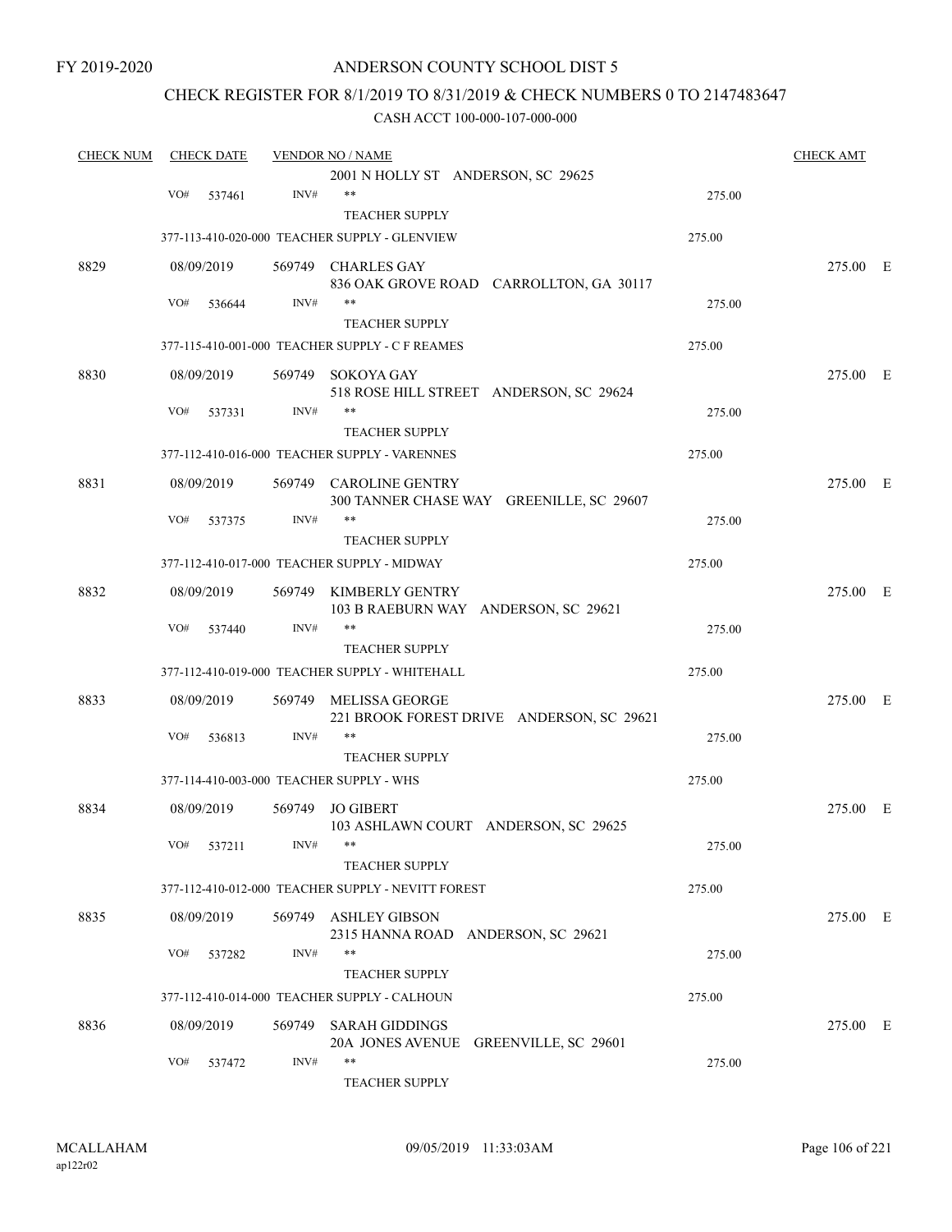## ANDERSON COUNTY SCHOOL DIST 5

## CHECK REGISTER FOR 8/1/2019 TO 8/31/2019 & CHECK NUMBERS 0 TO 2147483647

| <b>CHECK NUM</b> |     | <b>CHECK DATE</b> |        | <b>VENDOR NO / NAME</b>                            |        | <b>CHECK AMT</b> |  |
|------------------|-----|-------------------|--------|----------------------------------------------------|--------|------------------|--|
|                  |     |                   |        | 2001 N HOLLY ST ANDERSON, SC 29625                 |        |                  |  |
|                  | VO# | 537461            | INV#   | **                                                 | 275.00 |                  |  |
|                  |     |                   |        | <b>TEACHER SUPPLY</b>                              |        |                  |  |
|                  |     |                   |        | 377-113-410-020-000 TEACHER SUPPLY - GLENVIEW      | 275.00 |                  |  |
| 8829             |     | 08/09/2019        |        | 569749 CHARLES GAY                                 |        | 275.00 E         |  |
|                  |     |                   |        | 836 OAK GROVE ROAD CARROLLTON, GA 30117            |        |                  |  |
|                  | VO# | 536644            | INV#   | **                                                 | 275.00 |                  |  |
|                  |     |                   |        | <b>TEACHER SUPPLY</b>                              |        |                  |  |
|                  |     |                   |        | 377-115-410-001-000 TEACHER SUPPLY - C F REAMES    | 275.00 |                  |  |
| 8830             |     | 08/09/2019        |        | 569749 SOKOYA GAY                                  |        | 275.00 E         |  |
|                  |     |                   |        | 518 ROSE HILL STREET ANDERSON, SC 29624<br>**      |        |                  |  |
|                  | VO# | 537331            | INV#   |                                                    | 275.00 |                  |  |
|                  |     |                   |        | <b>TEACHER SUPPLY</b>                              |        |                  |  |
|                  |     |                   |        | 377-112-410-016-000 TEACHER SUPPLY - VARENNES      | 275.00 |                  |  |
| 8831             |     | 08/09/2019        |        | 569749 CAROLINE GENTRY                             |        | 275.00 E         |  |
|                  |     |                   |        | 300 TANNER CHASE WAY GREENILLE, SC 29607           |        |                  |  |
|                  | VO# | 537375            | INV#   | **                                                 | 275.00 |                  |  |
|                  |     |                   |        | <b>TEACHER SUPPLY</b>                              |        |                  |  |
|                  |     |                   |        | 377-112-410-017-000 TEACHER SUPPLY - MIDWAY        | 275.00 |                  |  |
| 8832             |     | 08/09/2019        | 569749 | KIMBERLY GENTRY                                    |        | 275.00 E         |  |
|                  |     |                   |        | 103 B RAEBURN WAY ANDERSON, SC 29621               |        |                  |  |
|                  | VO# | 537440            | INV#   | **                                                 | 275.00 |                  |  |
|                  |     |                   |        | <b>TEACHER SUPPLY</b>                              |        |                  |  |
|                  |     |                   |        | 377-112-410-019-000 TEACHER SUPPLY - WHITEHALL     | 275.00 |                  |  |
| 8833             |     | 08/09/2019        | 569749 | MELISSA GEORGE                                     |        | 275.00 E         |  |
|                  |     |                   |        | 221 BROOK FOREST DRIVE ANDERSON, SC 29621          |        |                  |  |
|                  | VO# | 536813            | INV#   | **                                                 | 275.00 |                  |  |
|                  |     |                   |        | <b>TEACHER SUPPLY</b>                              |        |                  |  |
|                  |     |                   |        | 377-114-410-003-000 TEACHER SUPPLY - WHS           | 275.00 |                  |  |
| 8834             |     | 08/09/2019        |        | 569749 JO GIBERT                                   |        | 275.00 E         |  |
|                  |     |                   |        | 103 ASHLAWN COURT ANDERSON, SC 29625               |        |                  |  |
|                  |     | VO# 537211        | INV#   | **                                                 | 275.00 |                  |  |
|                  |     |                   |        | <b>TEACHER SUPPLY</b>                              |        |                  |  |
|                  |     |                   |        | 377-112-410-012-000 TEACHER SUPPLY - NEVITT FOREST | 275.00 |                  |  |
| 8835             |     | 08/09/2019        |        | 569749 ASHLEY GIBSON                               |        | 275.00 E         |  |
|                  |     |                   |        | 2315 HANNA ROAD ANDERSON, SC 29621                 |        |                  |  |
|                  | VO# | 537282            | INV#   | **                                                 | 275.00 |                  |  |
|                  |     |                   |        | <b>TEACHER SUPPLY</b>                              |        |                  |  |
|                  |     |                   |        | 377-112-410-014-000 TEACHER SUPPLY - CALHOUN       | 275.00 |                  |  |
| 8836             |     | 08/09/2019        |        | 569749 SARAH GIDDINGS                              |        | 275.00 E         |  |
|                  |     |                   |        | 20A JONES AVENUE GREENVILLE, SC 29601              |        |                  |  |
|                  | VO# | 537472            | INV#   | **                                                 | 275.00 |                  |  |
|                  |     |                   |        | <b>TEACHER SUPPLY</b>                              |        |                  |  |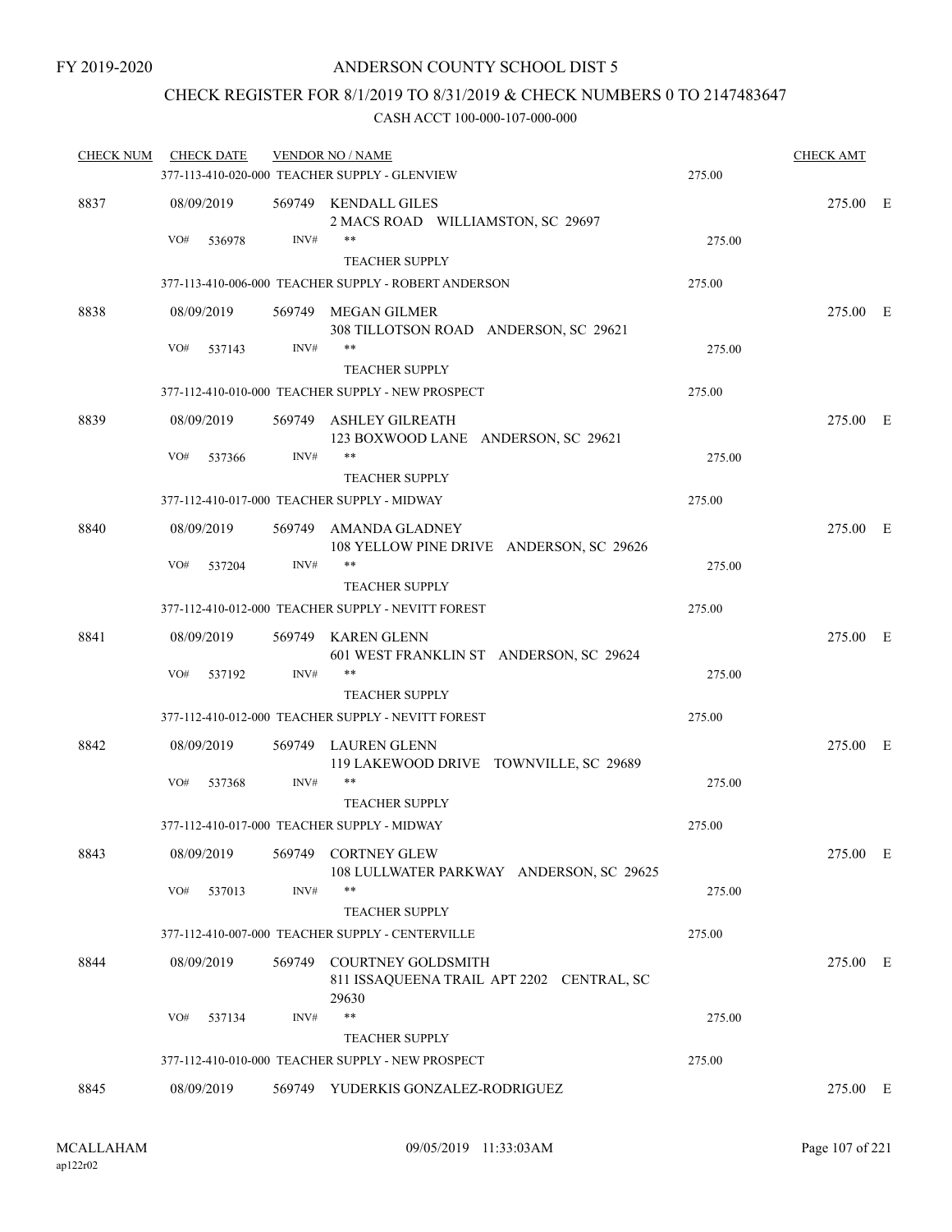## CHECK REGISTER FOR 8/1/2019 TO 8/31/2019 & CHECK NUMBERS 0 TO 2147483647

| <b>CHECK NUM</b> | <b>CHECK DATE</b> |      | <b>VENDOR NO / NAME</b>                                                         |        | <b>CHECK AMT</b> |  |
|------------------|-------------------|------|---------------------------------------------------------------------------------|--------|------------------|--|
|                  |                   |      | 377-113-410-020-000 TEACHER SUPPLY - GLENVIEW                                   | 275.00 |                  |  |
| 8837             | 08/09/2019        |      | 569749 KENDALL GILES<br>2 MACS ROAD WILLIAMSTON, SC 29697                       |        | 275.00 E         |  |
|                  | VO#<br>536978     | INV# | **<br><b>TEACHER SUPPLY</b>                                                     | 275.00 |                  |  |
|                  |                   |      | 377-113-410-006-000 TEACHER SUPPLY - ROBERT ANDERSON                            | 275.00 |                  |  |
|                  |                   |      |                                                                                 |        |                  |  |
| 8838             | 08/09/2019        |      | 569749 MEGAN GILMER<br>308 TILLOTSON ROAD ANDERSON, SC 29621                    |        | 275.00 E         |  |
|                  | VO#<br>537143     | INV# | **                                                                              | 275.00 |                  |  |
|                  |                   |      | <b>TEACHER SUPPLY</b>                                                           |        |                  |  |
|                  |                   |      | 377-112-410-010-000 TEACHER SUPPLY - NEW PROSPECT                               | 275.00 |                  |  |
| 8839             | 08/09/2019        |      | 569749 ASHLEY GILREATH<br>123 BOXWOOD LANE ANDERSON, SC 29621                   |        | 275.00 E         |  |
|                  | VO#<br>537366     | INV# | **<br><b>TEACHER SUPPLY</b>                                                     | 275.00 |                  |  |
|                  |                   |      | 377-112-410-017-000 TEACHER SUPPLY - MIDWAY                                     | 275.00 |                  |  |
|                  |                   |      |                                                                                 |        |                  |  |
| 8840             | 08/09/2019        |      | 569749 AMANDA GLADNEY<br>108 YELLOW PINE DRIVE ANDERSON, SC 29626               |        | 275.00 E         |  |
|                  | VO#<br>537204     | INV# | **                                                                              | 275.00 |                  |  |
|                  |                   |      | <b>TEACHER SUPPLY</b>                                                           |        |                  |  |
|                  |                   |      | 377-112-410-012-000 TEACHER SUPPLY - NEVITT FOREST                              | 275.00 |                  |  |
| 8841             | 08/09/2019        |      | 569749 KAREN GLENN<br>601 WEST FRANKLIN ST ANDERSON, SC 29624                   |        | 275.00 E         |  |
|                  | VO#<br>537192     | INV# | **                                                                              | 275.00 |                  |  |
|                  |                   |      | <b>TEACHER SUPPLY</b>                                                           |        |                  |  |
|                  |                   |      | 377-112-410-012-000 TEACHER SUPPLY - NEVITT FOREST                              | 275.00 |                  |  |
| 8842             | 08/09/2019        |      | 569749 LAUREN GLENN<br>119 LAKEWOOD DRIVE TOWNVILLE, SC 29689                   |        | 275.00 E         |  |
|                  | VO#<br>537368     | INV# | $***$<br><b>TEACHER SUPPLY</b>                                                  | 275.00 |                  |  |
|                  |                   |      | 377-112-410-017-000 TEACHER SUPPLY - MIDWAY                                     | 275.00 |                  |  |
| 8843             | 08/09/2019        |      | 569749 CORTNEY GLEW                                                             |        | 275.00 E         |  |
|                  | VO#<br>537013     | INV# | 108 LULLWATER PARKWAY ANDERSON, SC 29625<br>**                                  | 275.00 |                  |  |
|                  |                   |      | <b>TEACHER SUPPLY</b>                                                           |        |                  |  |
|                  |                   |      | 377-112-410-007-000 TEACHER SUPPLY - CENTERVILLE                                | 275.00 |                  |  |
| 8844             | 08/09/2019        |      | 569749 COURTNEY GOLDSMITH<br>811 ISSAQUEENA TRAIL APT 2202 CENTRAL, SC<br>29630 |        | 275.00 E         |  |
|                  | VO#<br>537134     | INV# | **                                                                              | 275.00 |                  |  |
|                  |                   |      | <b>TEACHER SUPPLY</b>                                                           |        |                  |  |
|                  |                   |      | 377-112-410-010-000 TEACHER SUPPLY - NEW PROSPECT                               | 275.00 |                  |  |
| 8845             | 08/09/2019        |      | 569749 YUDERKIS GONZALEZ-RODRIGUEZ                                              |        | 275.00 E         |  |
|                  |                   |      |                                                                                 |        |                  |  |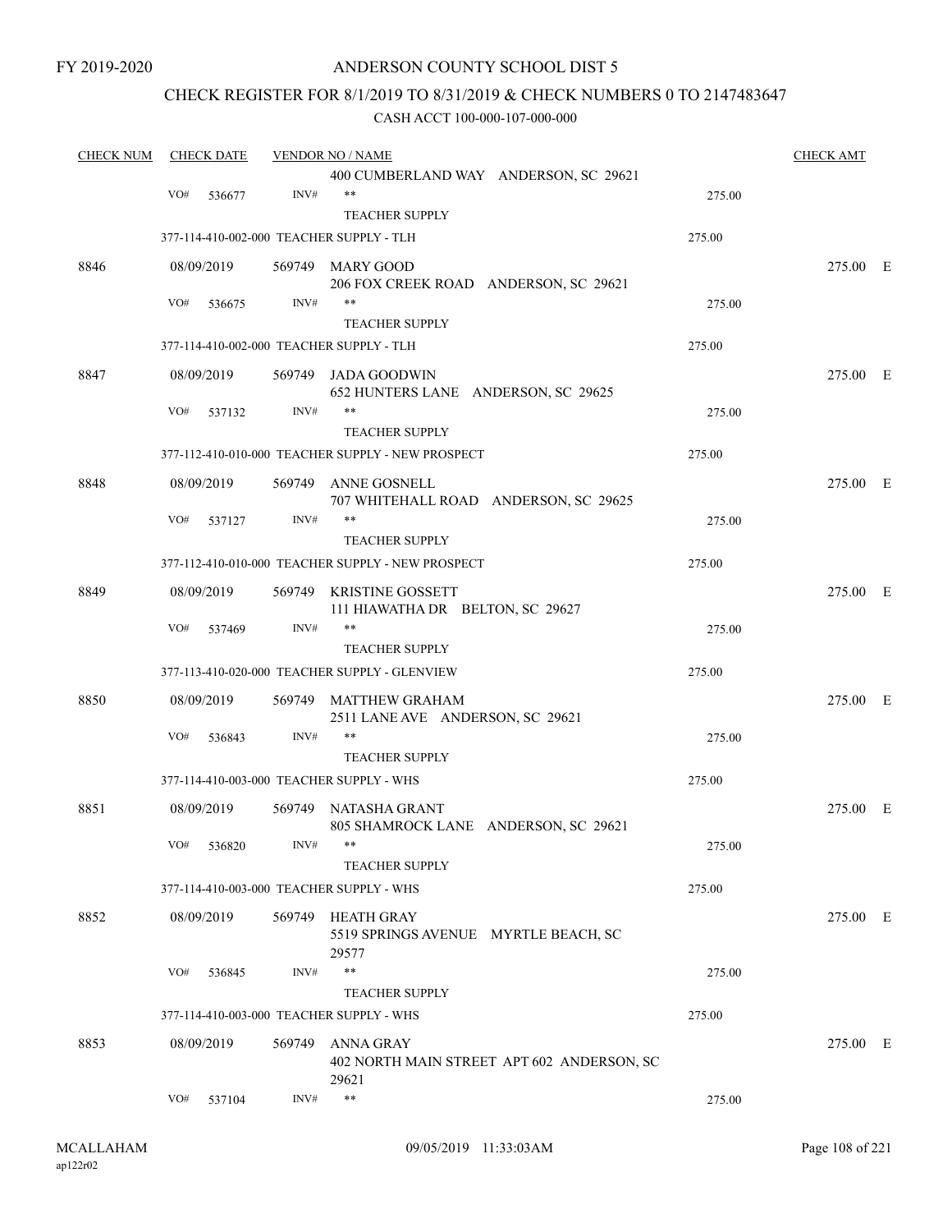## ANDERSON COUNTY SCHOOL DIST 5

## CHECK REGISTER FOR 8/1/2019 TO 8/31/2019 & CHECK NUMBERS 0 TO 2147483647

| <b>CHECK NUM</b><br><b>CHECK DATE</b> |     |            | <b>VENDOR NO / NAME</b> | <b>CHECK AMT</b>                                               |        |          |  |
|---------------------------------------|-----|------------|-------------------------|----------------------------------------------------------------|--------|----------|--|
|                                       |     |            |                         | 400 CUMBERLAND WAY ANDERSON, SC 29621                          |        |          |  |
|                                       | VO# | 536677     | INV#                    | $***$                                                          | 275.00 |          |  |
|                                       |     |            |                         | <b>TEACHER SUPPLY</b>                                          |        |          |  |
|                                       |     |            |                         | 377-114-410-002-000 TEACHER SUPPLY - TLH                       | 275.00 |          |  |
| 8846                                  |     | 08/09/2019 |                         | 569749 MARY GOOD                                               |        | 275.00 E |  |
|                                       |     |            |                         | 206 FOX CREEK ROAD ANDERSON, SC 29621                          |        |          |  |
|                                       | VO# | 536675     | INV#                    | $***$                                                          | 275.00 |          |  |
|                                       |     |            |                         | <b>TEACHER SUPPLY</b>                                          |        |          |  |
|                                       |     |            |                         | 377-114-410-002-000 TEACHER SUPPLY - TLH                       | 275.00 |          |  |
| 8847                                  |     | 08/09/2019 |                         | 569749 JADA GOODWIN                                            |        | 275.00 E |  |
|                                       |     |            |                         | 652 HUNTERS LANE ANDERSON, SC 29625                            |        |          |  |
|                                       | VO# | 537132     | INV#                    |                                                                | 275.00 |          |  |
|                                       |     |            |                         | <b>TEACHER SUPPLY</b>                                          |        |          |  |
|                                       |     |            |                         | 377-112-410-010-000 TEACHER SUPPLY - NEW PROSPECT              | 275.00 |          |  |
| 8848                                  |     | 08/09/2019 | 569749                  | ANNE GOSNELL                                                   |        | 275.00 E |  |
|                                       |     |            |                         | 707 WHITEHALL ROAD ANDERSON, SC 29625                          |        |          |  |
|                                       | VO# | 537127     | INV#                    | $***$                                                          | 275.00 |          |  |
|                                       |     |            |                         | <b>TEACHER SUPPLY</b>                                          |        |          |  |
|                                       |     |            |                         | 377-112-410-010-000 TEACHER SUPPLY - NEW PROSPECT              | 275.00 |          |  |
| 8849                                  |     | 08/09/2019 | 569749                  | KRISTINE GOSSETT                                               |        | 275.00 E |  |
|                                       |     |            |                         | 111 HIAWATHA DR BELTON, SC 29627                               |        |          |  |
|                                       | VO# | 537469     | INV#                    | $***$                                                          | 275.00 |          |  |
|                                       |     |            |                         | <b>TEACHER SUPPLY</b>                                          |        |          |  |
|                                       |     |            |                         | 377-113-410-020-000 TEACHER SUPPLY - GLENVIEW                  | 275.00 |          |  |
| 8850                                  |     | 08/09/2019 |                         | 569749 MATTHEW GRAHAM                                          |        | 275.00 E |  |
|                                       |     |            |                         | 2511 LANE AVE ANDERSON, SC 29621<br>$***$                      |        |          |  |
|                                       | VO# | 536843     | INV#                    |                                                                | 275.00 |          |  |
|                                       |     |            |                         | <b>TEACHER SUPPLY</b>                                          |        |          |  |
|                                       |     |            |                         | 377-114-410-003-000 TEACHER SUPPLY - WHS                       | 275.00 |          |  |
| 8851                                  |     | 08/09/2019 |                         | 569749 NATASHA GRANT                                           |        | 275.00 E |  |
|                                       |     |            |                         | 805 SHAMROCK LANE ANDERSON, SC 29621                           |        |          |  |
|                                       |     | VO# 536820 | INV#                    | **<br><b>TEACHER SUPPLY</b>                                    | 275.00 |          |  |
|                                       |     |            |                         | 377-114-410-003-000 TEACHER SUPPLY - WHS                       | 275.00 |          |  |
|                                       |     |            |                         |                                                                |        |          |  |
| 8852                                  |     | 08/09/2019 |                         | 569749 HEATH GRAY                                              |        | 275.00 E |  |
|                                       |     |            |                         | 5519 SPRINGS AVENUE MYRTLE BEACH, SC<br>29577                  |        |          |  |
|                                       | VO# | 536845     | INV#                    | $***$                                                          | 275.00 |          |  |
|                                       |     |            |                         | <b>TEACHER SUPPLY</b>                                          |        |          |  |
|                                       |     |            |                         | 377-114-410-003-000 TEACHER SUPPLY - WHS                       | 275.00 |          |  |
|                                       |     |            |                         |                                                                |        |          |  |
| 8853                                  |     | 08/09/2019 |                         | 569749 ANNA GRAY<br>402 NORTH MAIN STREET APT 602 ANDERSON, SC |        | 275.00 E |  |
|                                       |     |            |                         | 29621                                                          |        |          |  |
|                                       | VO# | 537104     | INV#                    | $***$                                                          | 275.00 |          |  |
|                                       |     |            |                         |                                                                |        |          |  |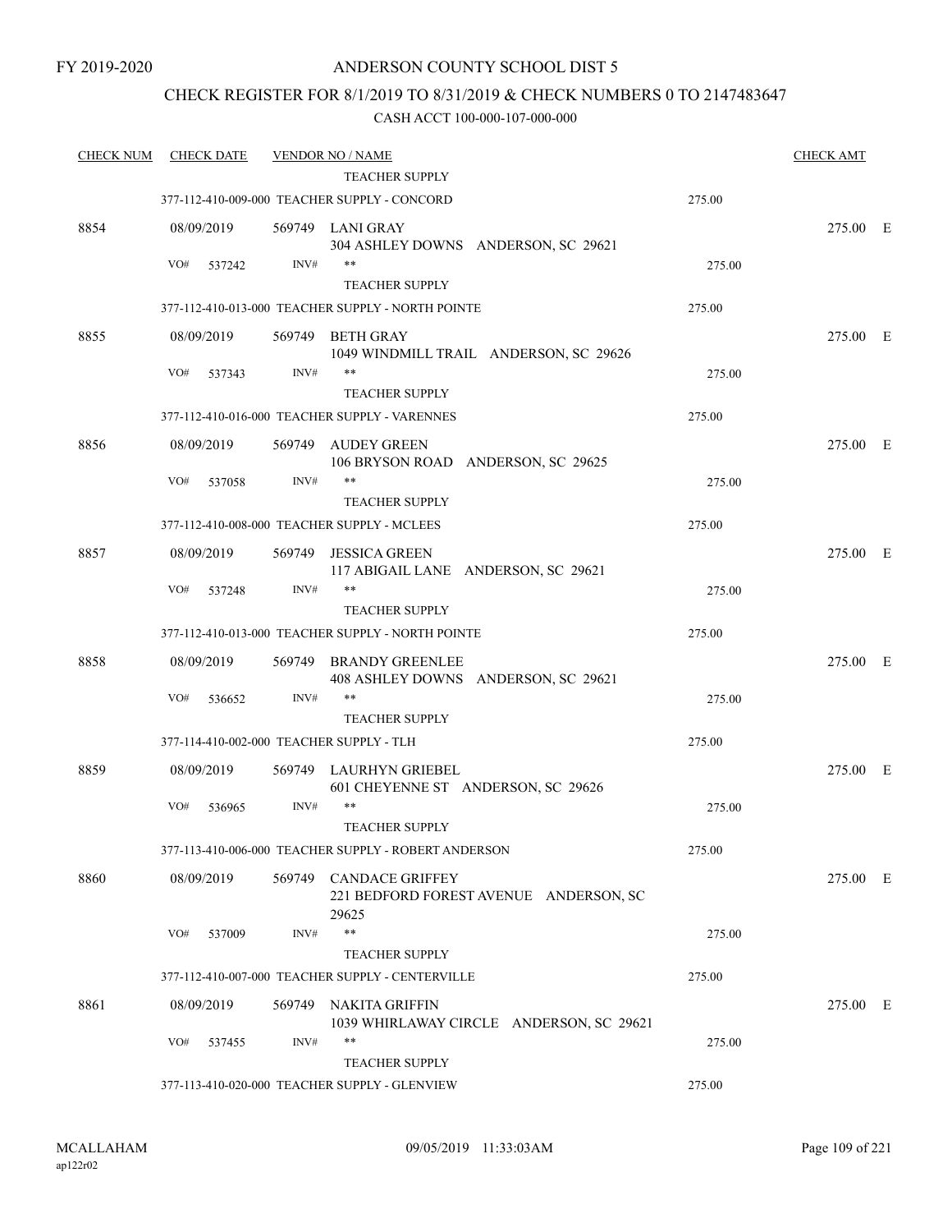### CHECK REGISTER FOR 8/1/2019 TO 8/31/2019 & CHECK NUMBERS 0 TO 2147483647

| <b>CHECK NUM</b> | <b>CHECK DATE</b> |        | <b>VENDOR NO / NAME</b>                                                   |        | <b>CHECK AMT</b> |  |
|------------------|-------------------|--------|---------------------------------------------------------------------------|--------|------------------|--|
|                  |                   |        | TEACHER SUPPLY                                                            |        |                  |  |
|                  |                   |        | 377-112-410-009-000 TEACHER SUPPLY - CONCORD                              | 275.00 |                  |  |
| 8854             | 08/09/2019        |        | 569749 LANI GRAY<br>304 ASHLEY DOWNS ANDERSON, SC 29621                   |        | 275.00 E         |  |
|                  | VO#<br>537242     | INV#   | $***$                                                                     | 275.00 |                  |  |
|                  |                   |        | <b>TEACHER SUPPLY</b>                                                     |        |                  |  |
|                  |                   |        | 377-112-410-013-000 TEACHER SUPPLY - NORTH POINTE                         | 275.00 |                  |  |
| 8855             | 08/09/2019        | 569749 | <b>BETH GRAY</b><br>1049 WINDMILL TRAIL ANDERSON, SC 29626                |        | 275.00 E         |  |
|                  | VO#<br>537343     | INV#   | **<br><b>TEACHER SUPPLY</b>                                               | 275.00 |                  |  |
|                  |                   |        | 377-112-410-016-000 TEACHER SUPPLY - VARENNES                             | 275.00 |                  |  |
|                  |                   |        |                                                                           |        |                  |  |
| 8856             | 08/09/2019        | 569749 | AUDEY GREEN<br>106 BRYSON ROAD ANDERSON, SC 29625                         |        | 275.00 E         |  |
|                  | VO#<br>537058     | INV#   | **                                                                        | 275.00 |                  |  |
|                  |                   |        | <b>TEACHER SUPPLY</b>                                                     |        |                  |  |
|                  |                   |        | 377-112-410-008-000 TEACHER SUPPLY - MCLEES                               | 275.00 |                  |  |
| 8857             | 08/09/2019        | 569749 | <b>JESSICA GREEN</b>                                                      |        | 275.00 E         |  |
|                  |                   |        | 117 ABIGAIL LANE ANDERSON, SC 29621                                       |        |                  |  |
|                  | VO#<br>537248     | INV#   | **                                                                        | 275.00 |                  |  |
|                  |                   |        | <b>TEACHER SUPPLY</b>                                                     |        |                  |  |
|                  |                   |        | 377-112-410-013-000 TEACHER SUPPLY - NORTH POINTE                         | 275.00 |                  |  |
| 8858             | 08/09/2019        | 569749 | <b>BRANDY GREENLEE</b><br>408 ASHLEY DOWNS ANDERSON, SC 29621             |        | 275.00 E         |  |
|                  | VO#<br>536652     | INV#   | $***$                                                                     | 275.00 |                  |  |
|                  |                   |        | <b>TEACHER SUPPLY</b>                                                     |        |                  |  |
|                  |                   |        | 377-114-410-002-000 TEACHER SUPPLY - TLH                                  | 275.00 |                  |  |
| 8859             | 08/09/2019        |        | 569749 LAURHYN GRIEBEL<br>601 CHEYENNE ST ANDERSON, SC 29626              |        | 275.00 E         |  |
|                  | VO#<br>536965     | INV#   | $***$                                                                     | 275.00 |                  |  |
|                  |                   |        | <b>TEACHER SUPPLY</b>                                                     |        |                  |  |
|                  |                   |        | 377-113-410-006-000 TEACHER SUPPLY - ROBERT ANDERSON                      | 275.00 |                  |  |
| 8860             | 08/09/2019        |        | 569749 CANDACE GRIFFEY<br>221 BEDFORD FOREST AVENUE ANDERSON, SC<br>29625 |        | 275.00 E         |  |
|                  | VO#<br>537009     | INV#   | $***$                                                                     | 275.00 |                  |  |
|                  |                   |        | <b>TEACHER SUPPLY</b>                                                     |        |                  |  |
|                  |                   |        | 377-112-410-007-000 TEACHER SUPPLY - CENTERVILLE                          | 275.00 |                  |  |
| 8861             | 08/09/2019        |        | 569749 NAKITA GRIFFIN<br>1039 WHIRLAWAY CIRCLE ANDERSON, SC 29621         |        | 275.00 E         |  |
|                  | VO#<br>537455     | INV#   | $***$                                                                     | 275.00 |                  |  |
|                  |                   |        | <b>TEACHER SUPPLY</b>                                                     |        |                  |  |
|                  |                   |        | 377-113-410-020-000 TEACHER SUPPLY - GLENVIEW                             | 275.00 |                  |  |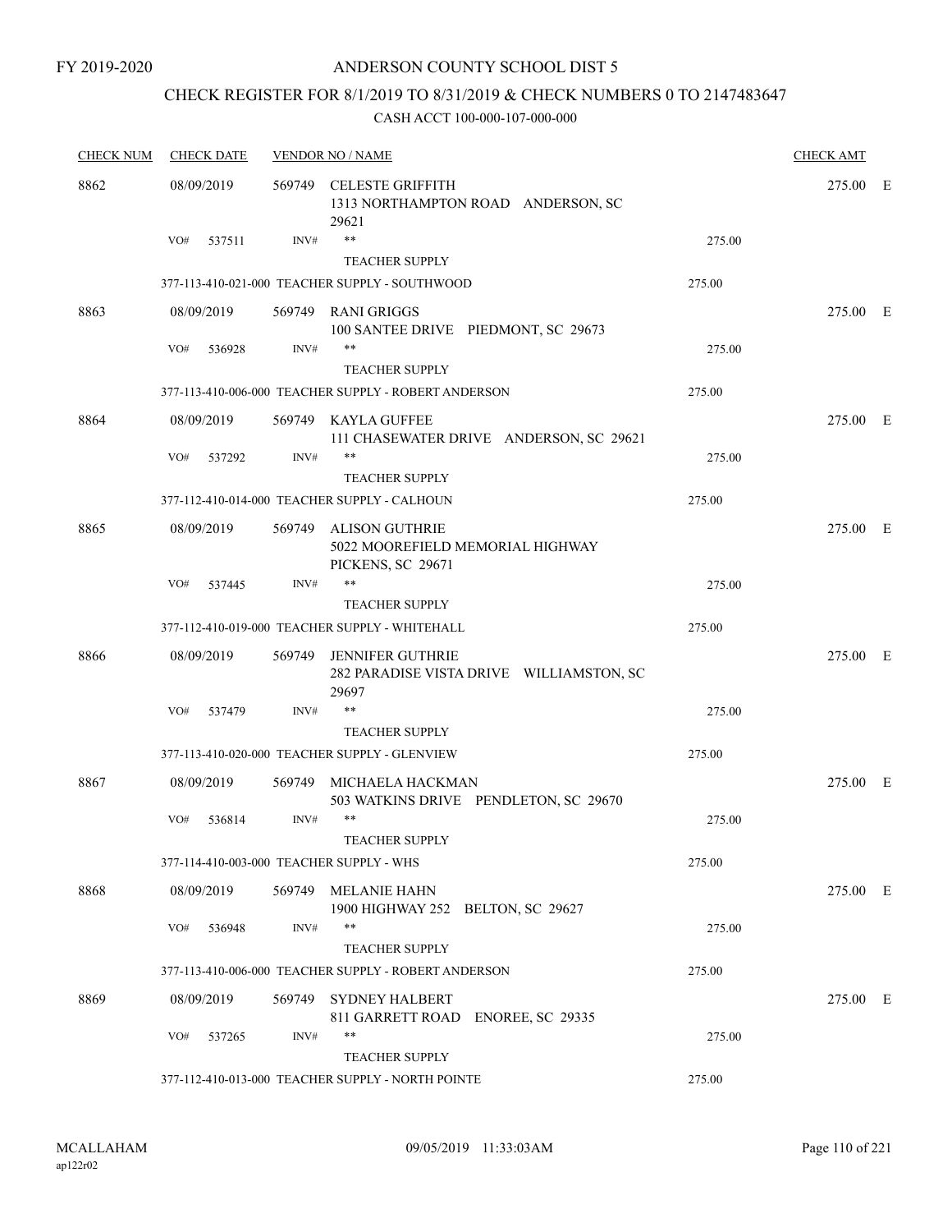# CHECK REGISTER FOR 8/1/2019 TO 8/31/2019 & CHECK NUMBERS 0 TO 2147483647

| <b>CHECK NUM</b> | <b>CHECK DATE</b>                        |        | <b>VENDOR NO / NAME</b>                                                        |        | <b>CHECK AMT</b> |  |
|------------------|------------------------------------------|--------|--------------------------------------------------------------------------------|--------|------------------|--|
| 8862             | 08/09/2019                               |        | 569749 CELESTE GRIFFITH<br>1313 NORTHAMPTON ROAD ANDERSON, SC<br>29621         |        | 275.00 E         |  |
|                  | VO#<br>537511                            | INV#   | $**$<br><b>TEACHER SUPPLY</b>                                                  | 275.00 |                  |  |
|                  |                                          |        | 377-113-410-021-000 TEACHER SUPPLY - SOUTHWOOD                                 | 275.00 |                  |  |
| 8863             | 08/09/2019                               |        | 569749 RANI GRIGGS<br>100 SANTEE DRIVE PIEDMONT, SC 29673                      |        | 275.00 E         |  |
|                  | VO#<br>536928                            | INV#   | **<br><b>TEACHER SUPPLY</b>                                                    | 275.00 |                  |  |
|                  |                                          |        | 377-113-410-006-000 TEACHER SUPPLY - ROBERT ANDERSON                           | 275.00 |                  |  |
| 8864             | 08/09/2019                               |        | 569749 KAYLA GUFFEE<br>111 CHASEWATER DRIVE ANDERSON, SC 29621                 |        | 275.00 E         |  |
|                  | VO#<br>537292                            | INV#   | **                                                                             | 275.00 |                  |  |
|                  |                                          |        | <b>TEACHER SUPPLY</b>                                                          |        |                  |  |
|                  |                                          |        | 377-112-410-014-000 TEACHER SUPPLY - CALHOUN                                   | 275.00 |                  |  |
| 8865             | 08/09/2019                               | 569749 | <b>ALISON GUTHRIE</b><br>5022 MOOREFIELD MEMORIAL HIGHWAY<br>PICKENS, SC 29671 |        | 275.00 E         |  |
|                  | VO#<br>537445                            | INV#   | **                                                                             | 275.00 |                  |  |
|                  |                                          |        | <b>TEACHER SUPPLY</b>                                                          |        |                  |  |
|                  |                                          |        | 377-112-410-019-000 TEACHER SUPPLY - WHITEHALL                                 | 275.00 |                  |  |
| 8866             | 08/09/2019                               | 569749 | <b>JENNIFER GUTHRIE</b><br>282 PARADISE VISTA DRIVE WILLIAMSTON, SC<br>29697   |        | 275.00 E         |  |
|                  | VO#<br>537479                            | INV#   | **                                                                             | 275.00 |                  |  |
|                  |                                          |        | <b>TEACHER SUPPLY</b>                                                          |        |                  |  |
|                  |                                          |        | 377-113-410-020-000 TEACHER SUPPLY - GLENVIEW                                  | 275.00 |                  |  |
| 8867             | 08/09/2019                               | 569749 | MICHAELA HACKMAN<br>503 WATKINS DRIVE PENDLETON, SC 29670                      |        | 275.00 E         |  |
|                  | VO#<br>536814                            | INV#   | **                                                                             | 275.00 |                  |  |
|                  | 377-114-410-003-000 TEACHER SUPPLY - WHS |        | <b>TEACHER SUPPLY</b>                                                          | 275.00 |                  |  |
|                  |                                          |        |                                                                                |        |                  |  |
| 8868             | 08/09/2019                               |        | 569749 MELANIE HAHN<br>1900 HIGHWAY 252 BELTON, SC 29627                       |        | 275.00 E         |  |
|                  | VO#<br>536948                            | INV#   | **<br><b>TEACHER SUPPLY</b>                                                    | 275.00 |                  |  |
|                  |                                          |        | 377-113-410-006-000 TEACHER SUPPLY - ROBERT ANDERSON                           | 275.00 |                  |  |
| 8869             | 08/09/2019                               | 569749 | <b>SYDNEY HALBERT</b>                                                          |        | 275.00 E         |  |
|                  | VO#<br>537265                            | INV#   | 811 GARRETT ROAD ENOREE, SC 29335<br>**                                        | 275.00 |                  |  |
|                  |                                          |        | <b>TEACHER SUPPLY</b><br>377-112-410-013-000 TEACHER SUPPLY - NORTH POINTE     | 275.00 |                  |  |
|                  |                                          |        |                                                                                |        |                  |  |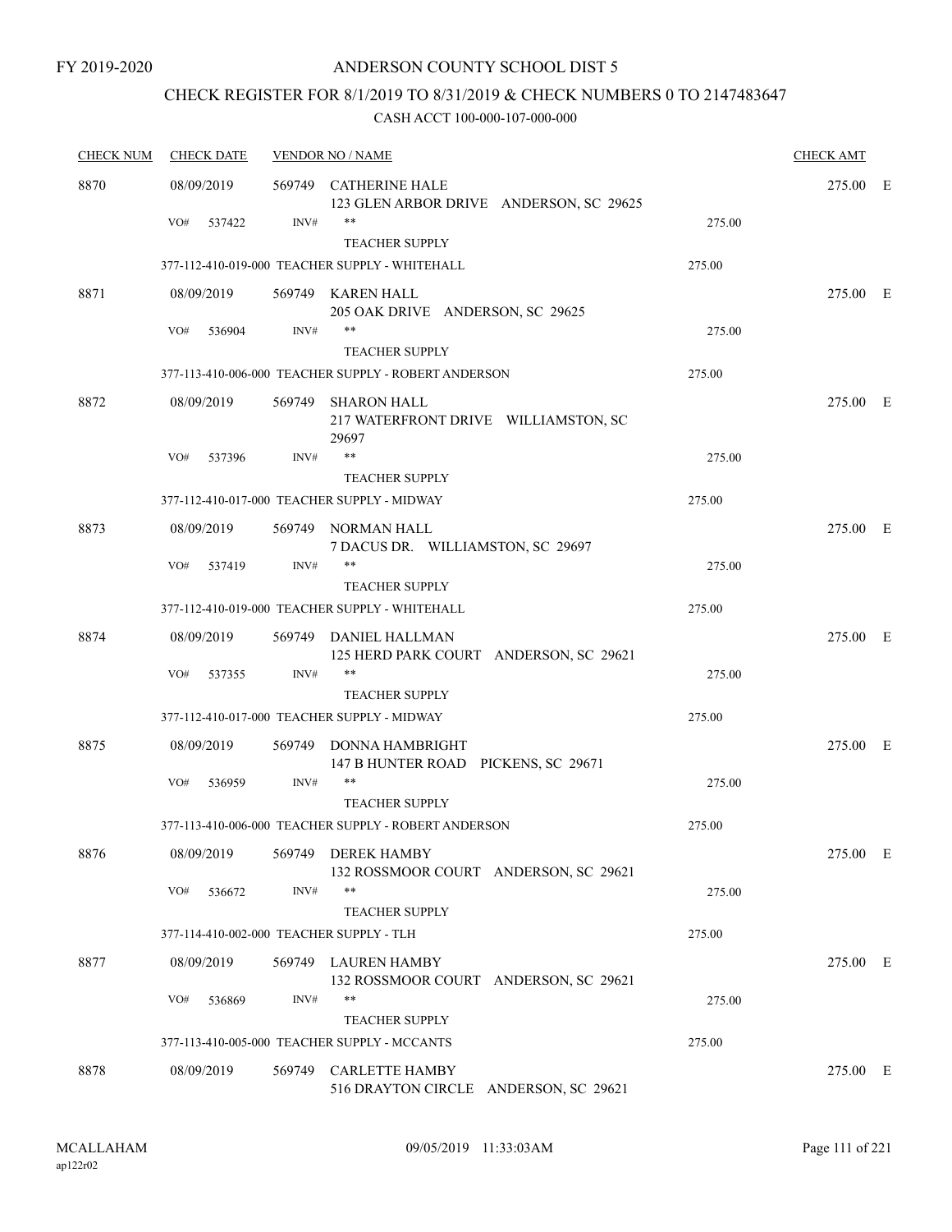# CHECK REGISTER FOR 8/1/2019 TO 8/31/2019 & CHECK NUMBERS 0 TO 2147483647

| <b>CHECK DATE</b> |                             |                                                                |                                                                                                                                                                                                                                                                                                                                                                                                                                                                                                                                                                                                                                                                                                                                      | <b>CHECK AMT</b>           |          |
|-------------------|-----------------------------|----------------------------------------------------------------|--------------------------------------------------------------------------------------------------------------------------------------------------------------------------------------------------------------------------------------------------------------------------------------------------------------------------------------------------------------------------------------------------------------------------------------------------------------------------------------------------------------------------------------------------------------------------------------------------------------------------------------------------------------------------------------------------------------------------------------|----------------------------|----------|
| 08/09/2019        |                             |                                                                |                                                                                                                                                                                                                                                                                                                                                                                                                                                                                                                                                                                                                                                                                                                                      | 275.00 E                   |          |
| VO#<br>537422     | INV#                        | $***$                                                          | 275.00                                                                                                                                                                                                                                                                                                                                                                                                                                                                                                                                                                                                                                                                                                                               |                            |          |
|                   |                             |                                                                |                                                                                                                                                                                                                                                                                                                                                                                                                                                                                                                                                                                                                                                                                                                                      |                            |          |
|                   |                             |                                                                |                                                                                                                                                                                                                                                                                                                                                                                                                                                                                                                                                                                                                                                                                                                                      |                            |          |
|                   |                             | 205 OAK DRIVE ANDERSON, SC 29625                               |                                                                                                                                                                                                                                                                                                                                                                                                                                                                                                                                                                                                                                                                                                                                      |                            |          |
|                   |                             |                                                                |                                                                                                                                                                                                                                                                                                                                                                                                                                                                                                                                                                                                                                                                                                                                      |                            |          |
|                   |                             |                                                                |                                                                                                                                                                                                                                                                                                                                                                                                                                                                                                                                                                                                                                                                                                                                      |                            |          |
|                   |                             |                                                                |                                                                                                                                                                                                                                                                                                                                                                                                                                                                                                                                                                                                                                                                                                                                      |                            |          |
| 08/09/2019        |                             | SHARON HALL<br>217 WATERFRONT DRIVE WILLIAMSTON, SC<br>29697   |                                                                                                                                                                                                                                                                                                                                                                                                                                                                                                                                                                                                                                                                                                                                      | 275.00 E                   |          |
| VO#<br>537396     | INV#                        | $***$                                                          | 275.00                                                                                                                                                                                                                                                                                                                                                                                                                                                                                                                                                                                                                                                                                                                               |                            |          |
|                   |                             | <b>TEACHER SUPPLY</b>                                          |                                                                                                                                                                                                                                                                                                                                                                                                                                                                                                                                                                                                                                                                                                                                      |                            |          |
|                   |                             |                                                                | 275.00                                                                                                                                                                                                                                                                                                                                                                                                                                                                                                                                                                                                                                                                                                                               |                            |          |
| 08/09/2019        |                             |                                                                |                                                                                                                                                                                                                                                                                                                                                                                                                                                                                                                                                                                                                                                                                                                                      | 275.00 E                   |          |
| VO#<br>537419     | INV#                        | $***$                                                          | 275.00                                                                                                                                                                                                                                                                                                                                                                                                                                                                                                                                                                                                                                                                                                                               |                            |          |
|                   |                             | <b>TEACHER SUPPLY</b>                                          |                                                                                                                                                                                                                                                                                                                                                                                                                                                                                                                                                                                                                                                                                                                                      |                            |          |
|                   |                             |                                                                | 275.00                                                                                                                                                                                                                                                                                                                                                                                                                                                                                                                                                                                                                                                                                                                               |                            |          |
| 08/09/2019        |                             | 125 HERD PARK COURT ANDERSON, SC 29621                         |                                                                                                                                                                                                                                                                                                                                                                                                                                                                                                                                                                                                                                                                                                                                      | 275.00 E                   |          |
| VO#<br>537355     | INV#                        | $***$                                                          | 275.00                                                                                                                                                                                                                                                                                                                                                                                                                                                                                                                                                                                                                                                                                                                               |                            |          |
|                   |                             | <b>TEACHER SUPPLY</b>                                          |                                                                                                                                                                                                                                                                                                                                                                                                                                                                                                                                                                                                                                                                                                                                      |                            |          |
|                   |                             |                                                                | 275.00                                                                                                                                                                                                                                                                                                                                                                                                                                                                                                                                                                                                                                                                                                                               |                            |          |
| 08/09/2019        | 569749                      | DONNA HAMBRIGHT<br>147 B HUNTER ROAD PICKENS, SC 29671         |                                                                                                                                                                                                                                                                                                                                                                                                                                                                                                                                                                                                                                                                                                                                      | 275.00 E                   |          |
| VO#<br>536959     | INV#                        | $***$                                                          | 275.00                                                                                                                                                                                                                                                                                                                                                                                                                                                                                                                                                                                                                                                                                                                               |                            |          |
|                   |                             | <b>TEACHER SUPPLY</b>                                          |                                                                                                                                                                                                                                                                                                                                                                                                                                                                                                                                                                                                                                                                                                                                      |                            |          |
|                   |                             |                                                                | 275.00                                                                                                                                                                                                                                                                                                                                                                                                                                                                                                                                                                                                                                                                                                                               |                            |          |
| 08/09/2019        |                             | 132 ROSSMOOR COURT ANDERSON, SC 29621                          |                                                                                                                                                                                                                                                                                                                                                                                                                                                                                                                                                                                                                                                                                                                                      | 275.00 E                   |          |
| VO#<br>536672     | INV#                        | $***$                                                          | 275.00                                                                                                                                                                                                                                                                                                                                                                                                                                                                                                                                                                                                                                                                                                                               |                            |          |
|                   |                             | <b>TEACHER SUPPLY</b>                                          |                                                                                                                                                                                                                                                                                                                                                                                                                                                                                                                                                                                                                                                                                                                                      |                            |          |
|                   |                             |                                                                | 275.00                                                                                                                                                                                                                                                                                                                                                                                                                                                                                                                                                                                                                                                                                                                               |                            |          |
| 08/09/2019        |                             | 132 ROSSMOOR COURT ANDERSON, SC 29621                          |                                                                                                                                                                                                                                                                                                                                                                                                                                                                                                                                                                                                                                                                                                                                      | 275.00 E                   |          |
| VO#<br>536869     | INV#                        | $***$                                                          | 275.00                                                                                                                                                                                                                                                                                                                                                                                                                                                                                                                                                                                                                                                                                                                               |                            |          |
|                   |                             | <b>TEACHER SUPPLY</b>                                          |                                                                                                                                                                                                                                                                                                                                                                                                                                                                                                                                                                                                                                                                                                                                      |                            |          |
|                   |                             |                                                                | 275.00                                                                                                                                                                                                                                                                                                                                                                                                                                                                                                                                                                                                                                                                                                                               |                            |          |
| 08/09/2019        | 569749                      | <b>CARLETTE HAMBY</b><br>516 DRAYTON CIRCLE ANDERSON, SC 29621 |                                                                                                                                                                                                                                                                                                                                                                                                                                                                                                                                                                                                                                                                                                                                      | 275.00 E                   |          |
|                   | 08/09/2019<br>VO#<br>536904 | INV#                                                           | <b>VENDOR NO / NAME</b><br>569749 CATHERINE HALE<br>123 GLEN ARBOR DRIVE ANDERSON, SC 29625<br><b>TEACHER SUPPLY</b><br>377-112-410-019-000 TEACHER SUPPLY - WHITEHALL<br>569749 KAREN HALL<br>$***$<br><b>TEACHER SUPPLY</b><br>377-113-410-006-000 TEACHER SUPPLY - ROBERT ANDERSON<br>569749<br>377-112-410-017-000 TEACHER SUPPLY - MIDWAY<br>569749 NORMAN HALL<br>7 DACUS DR. WILLIAMSTON, SC 29697<br>377-112-410-019-000 TEACHER SUPPLY - WHITEHALL<br>569749 DANIEL HALLMAN<br>377-112-410-017-000 TEACHER SUPPLY - MIDWAY<br>377-113-410-006-000 TEACHER SUPPLY - ROBERT ANDERSON<br>569749 DEREK HAMBY<br>377-114-410-002-000 TEACHER SUPPLY - TLH<br>569749 LAUREN HAMBY<br>377-113-410-005-000 TEACHER SUPPLY - MCCANTS | 275.00<br>275.00<br>275.00 | 275.00 E |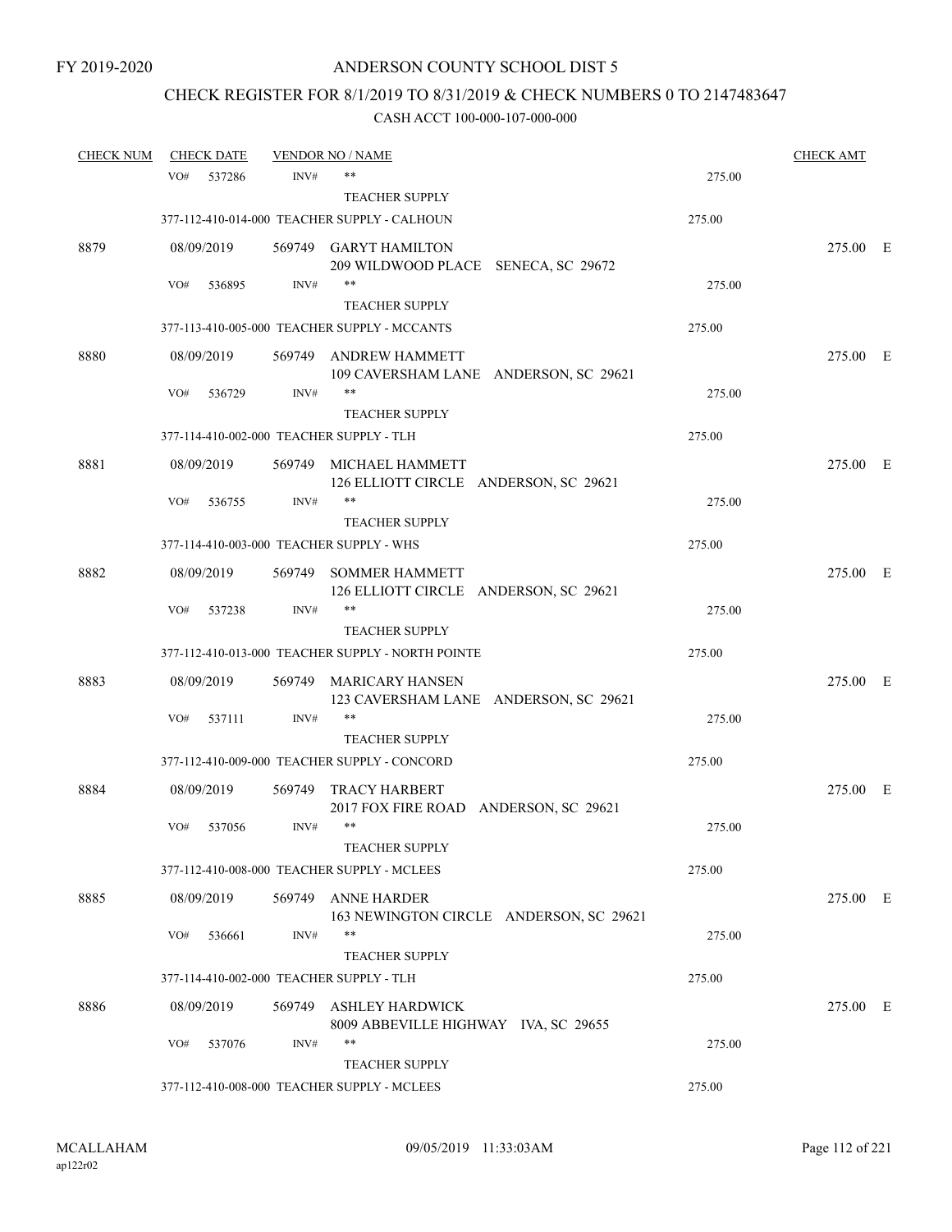# CHECK REGISTER FOR 8/1/2019 TO 8/31/2019 & CHECK NUMBERS 0 TO 2147483647

| <b>CHECK NUM</b> | <b>CHECK DATE</b> |        |        | <b>VENDOR NO / NAME</b>                                                    |        | <b>CHECK AMT</b> |  |
|------------------|-------------------|--------|--------|----------------------------------------------------------------------------|--------|------------------|--|
|                  | VO#               | 537286 | INV#   | **                                                                         | 275.00 |                  |  |
|                  |                   |        |        | <b>TEACHER SUPPLY</b>                                                      |        |                  |  |
|                  |                   |        |        | 377-112-410-014-000 TEACHER SUPPLY - CALHOUN                               | 275.00 |                  |  |
| 8879             | 08/09/2019        |        |        | 569749 GARYT HAMILTON<br>209 WILDWOOD PLACE SENECA, SC 29672               |        | 275.00 E         |  |
|                  | VO#               | 536895 | INV#   | $***$                                                                      | 275.00 |                  |  |
|                  |                   |        |        | <b>TEACHER SUPPLY</b>                                                      |        |                  |  |
|                  |                   |        |        | 377-113-410-005-000 TEACHER SUPPLY - MCCANTS                               | 275.00 |                  |  |
| 8880             | 08/09/2019        |        | 569749 | ANDREW HAMMETT<br>109 CAVERSHAM LANE ANDERSON, SC 29621                    |        | 275.00 E         |  |
|                  | VO#               | 536729 | INV#   | $***$                                                                      | 275.00 |                  |  |
|                  |                   |        |        | <b>TEACHER SUPPLY</b>                                                      |        |                  |  |
|                  |                   |        |        | 377-114-410-002-000 TEACHER SUPPLY - TLH                                   | 275.00 |                  |  |
| 8881             | 08/09/2019        |        | 569749 | MICHAEL HAMMETT<br>126 ELLIOTT CIRCLE ANDERSON, SC 29621                   |        | 275.00 E         |  |
|                  | VO#               | 536755 | INV#   | $***$<br><b>TEACHER SUPPLY</b>                                             | 275.00 |                  |  |
|                  |                   |        |        | 377-114-410-003-000 TEACHER SUPPLY - WHS                                   | 275.00 |                  |  |
|                  |                   |        |        |                                                                            |        |                  |  |
| 8882             | 08/09/2019        |        | 569749 | <b>SOMMER HAMMETT</b><br>126 ELLIOTT CIRCLE ANDERSON, SC 29621             |        | 275.00 E         |  |
|                  | VO#               | 537238 | INV#   | $***$                                                                      | 275.00 |                  |  |
|                  |                   |        |        | <b>TEACHER SUPPLY</b><br>377-112-410-013-000 TEACHER SUPPLY - NORTH POINTE | 275.00 |                  |  |
|                  |                   |        |        |                                                                            |        |                  |  |
| 8883             | 08/09/2019        |        | 569749 | MARICARY HANSEN<br>123 CAVERSHAM LANE ANDERSON, SC 29621                   |        | 275.00 E         |  |
|                  | VO#               | 537111 | INV#   | $***$                                                                      | 275.00 |                  |  |
|                  |                   |        |        | <b>TEACHER SUPPLY</b><br>377-112-410-009-000 TEACHER SUPPLY - CONCORD      | 275.00 |                  |  |
|                  |                   |        |        |                                                                            |        |                  |  |
| 8884             | 08/09/2019        |        | 569749 | <b>TRACY HARBERT</b><br>2017 FOX FIRE ROAD ANDERSON, SC 29621              |        | 275.00 E         |  |
|                  | VO#               | 537056 | INV#   | $***$                                                                      | 275.00 |                  |  |
|                  |                   |        |        | TEACHER SUPPLY<br>377-112-410-008-000 TEACHER SUPPLY - MCLEES              | 275.00 |                  |  |
|                  |                   |        |        |                                                                            |        |                  |  |
| 8885             | 08/09/2019        |        | 569749 | <b>ANNE HARDER</b><br>163 NEWINGTON CIRCLE ANDERSON, SC 29621              |        | 275.00 E         |  |
|                  | VO#               | 536661 | INV#   | $***$                                                                      | 275.00 |                  |  |
|                  |                   |        |        | <b>TEACHER SUPPLY</b>                                                      |        |                  |  |
|                  |                   |        |        | 377-114-410-002-000 TEACHER SUPPLY - TLH                                   | 275.00 |                  |  |
| 8886             | 08/09/2019        |        | 569749 | <b>ASHLEY HARDWICK</b><br>8009 ABBEVILLE HIGHWAY IVA, SC 29655             |        | 275.00 E         |  |
|                  | VO#               | 537076 | INV#   | **<br><b>TEACHER SUPPLY</b>                                                | 275.00 |                  |  |
|                  |                   |        |        | 377-112-410-008-000 TEACHER SUPPLY - MCLEES                                | 275.00 |                  |  |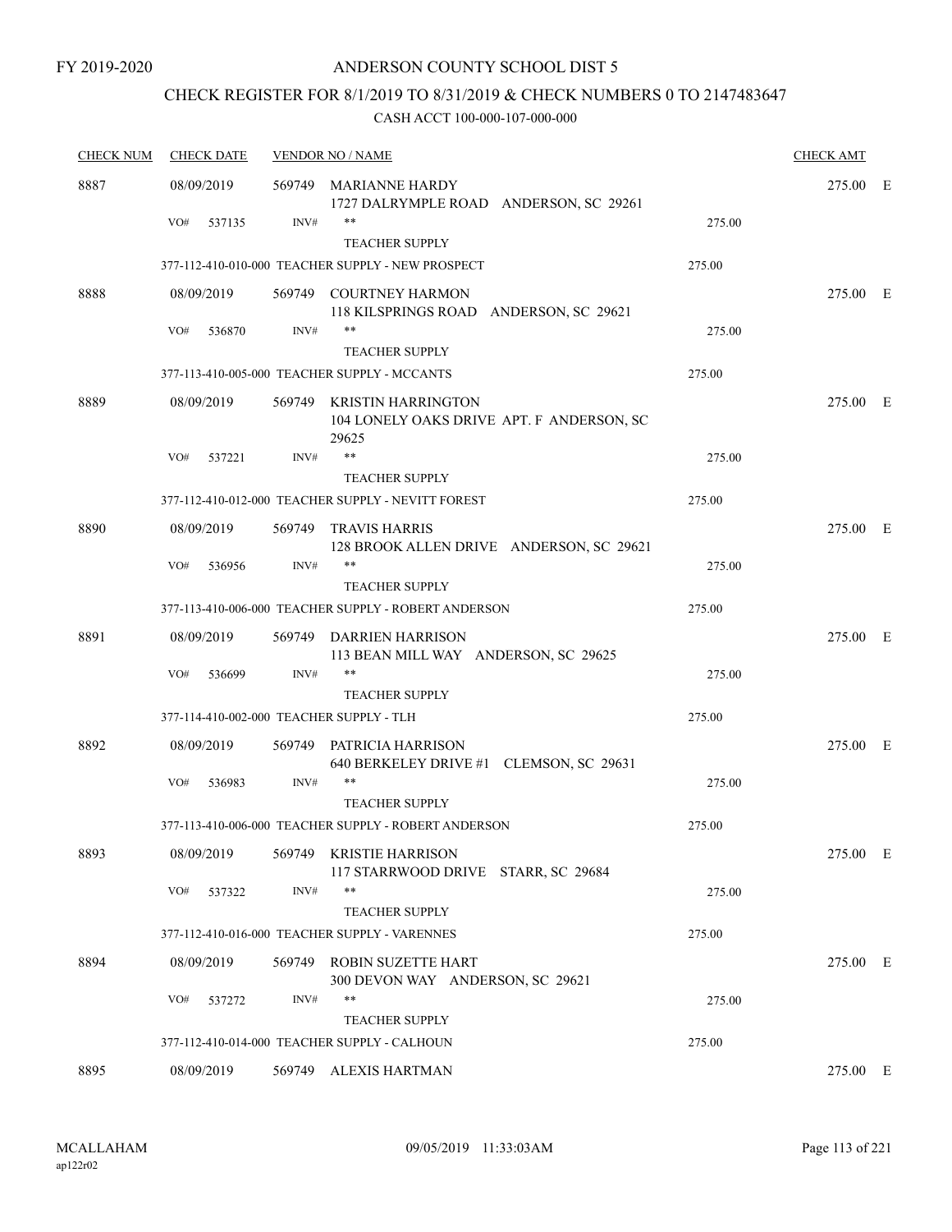# CHECK REGISTER FOR 8/1/2019 TO 8/31/2019 & CHECK NUMBERS 0 TO 2147483647

| <b>CHECK NUM</b> | <b>CHECK DATE</b>                        |        | <b>VENDOR NO / NAME</b>                                                         |        | <b>CHECK AMT</b> |  |
|------------------|------------------------------------------|--------|---------------------------------------------------------------------------------|--------|------------------|--|
| 8887             | 08/09/2019                               |        | 569749 MARIANNE HARDY<br>1727 DALRYMPLE ROAD ANDERSON, SC 29261                 |        | 275.00 E         |  |
|                  | VO#<br>537135                            | INV#   | $***$                                                                           | 275.00 |                  |  |
|                  |                                          |        | <b>TEACHER SUPPLY</b>                                                           |        |                  |  |
|                  |                                          |        | 377-112-410-010-000 TEACHER SUPPLY - NEW PROSPECT                               | 275.00 |                  |  |
| 8888             | 08/09/2019                               | 569749 | <b>COURTNEY HARMON</b><br>118 KILSPRINGS ROAD ANDERSON, SC 29621                |        | 275.00 E         |  |
|                  | VO#<br>536870                            | INV#   | $***$                                                                           | 275.00 |                  |  |
|                  |                                          |        | <b>TEACHER SUPPLY</b>                                                           |        |                  |  |
|                  |                                          |        | 377-113-410-005-000 TEACHER SUPPLY - MCCANTS                                    | 275.00 |                  |  |
| 8889             | 08/09/2019                               |        | 569749 KRISTIN HARRINGTON<br>104 LONELY OAKS DRIVE APT. F ANDERSON, SC<br>29625 |        | 275.00 E         |  |
|                  | VO#<br>537221                            | INV#   | $***$                                                                           | 275.00 |                  |  |
|                  |                                          |        | <b>TEACHER SUPPLY</b>                                                           |        |                  |  |
|                  |                                          |        | 377-112-410-012-000 TEACHER SUPPLY - NEVITT FOREST                              | 275.00 |                  |  |
| 8890             | 08/09/2019                               | 569749 | TRAVIS HARRIS<br>128 BROOK ALLEN DRIVE ANDERSON, SC 29621                       |        | 275.00 E         |  |
|                  | VO#<br>536956                            | INV#   | $***$                                                                           | 275.00 |                  |  |
|                  |                                          |        | <b>TEACHER SUPPLY</b>                                                           |        |                  |  |
|                  |                                          |        | 377-113-410-006-000 TEACHER SUPPLY - ROBERT ANDERSON                            | 275.00 |                  |  |
| 8891             | 08/09/2019                               |        | 569749 DARRIEN HARRISON<br>113 BEAN MILL WAY ANDERSON, SC 29625                 |        | 275.00 E         |  |
|                  | VO#<br>536699                            | INV#   | **                                                                              | 275.00 |                  |  |
|                  |                                          |        | <b>TEACHER SUPPLY</b>                                                           |        |                  |  |
|                  | 377-114-410-002-000 TEACHER SUPPLY - TLH |        |                                                                                 | 275.00 |                  |  |
| 8892             | 08/09/2019                               | 569749 | PATRICIA HARRISON<br>640 BERKELEY DRIVE #1 CLEMSON, SC 29631                    |        | 275.00 E         |  |
|                  | VO#<br>536983                            | INV#   | $***$<br><b>TEACHER SUPPLY</b>                                                  | 275.00 |                  |  |
|                  |                                          |        | 377-113-410-006-000 TEACHER SUPPLY - ROBERT ANDERSON                            | 275.00 |                  |  |
|                  |                                          |        |                                                                                 |        |                  |  |
| 8893             | 08/09/2019                               |        | 569749 KRISTIE HARRISON<br>117 STARRWOOD DRIVE STARR, SC 29684                  |        | 275.00 E         |  |
|                  | VO#<br>537322                            | INV#   | $***$                                                                           | 275.00 |                  |  |
|                  |                                          |        | <b>TEACHER SUPPLY</b>                                                           |        |                  |  |
|                  |                                          |        | 377-112-410-016-000 TEACHER SUPPLY - VARENNES                                   | 275.00 |                  |  |
| 8894             | 08/09/2019                               | 569749 | <b>ROBIN SUZETTE HART</b><br>300 DEVON WAY ANDERSON, SC 29621                   |        | 275.00 E         |  |
|                  | VO#<br>537272                            | INV#   | **                                                                              | 275.00 |                  |  |
|                  |                                          |        | <b>TEACHER SUPPLY</b>                                                           |        |                  |  |
|                  |                                          |        | 377-112-410-014-000 TEACHER SUPPLY - CALHOUN                                    | 275.00 |                  |  |
| 8895             | 08/09/2019                               |        | 569749 ALEXIS HARTMAN                                                           |        | 275.00 E         |  |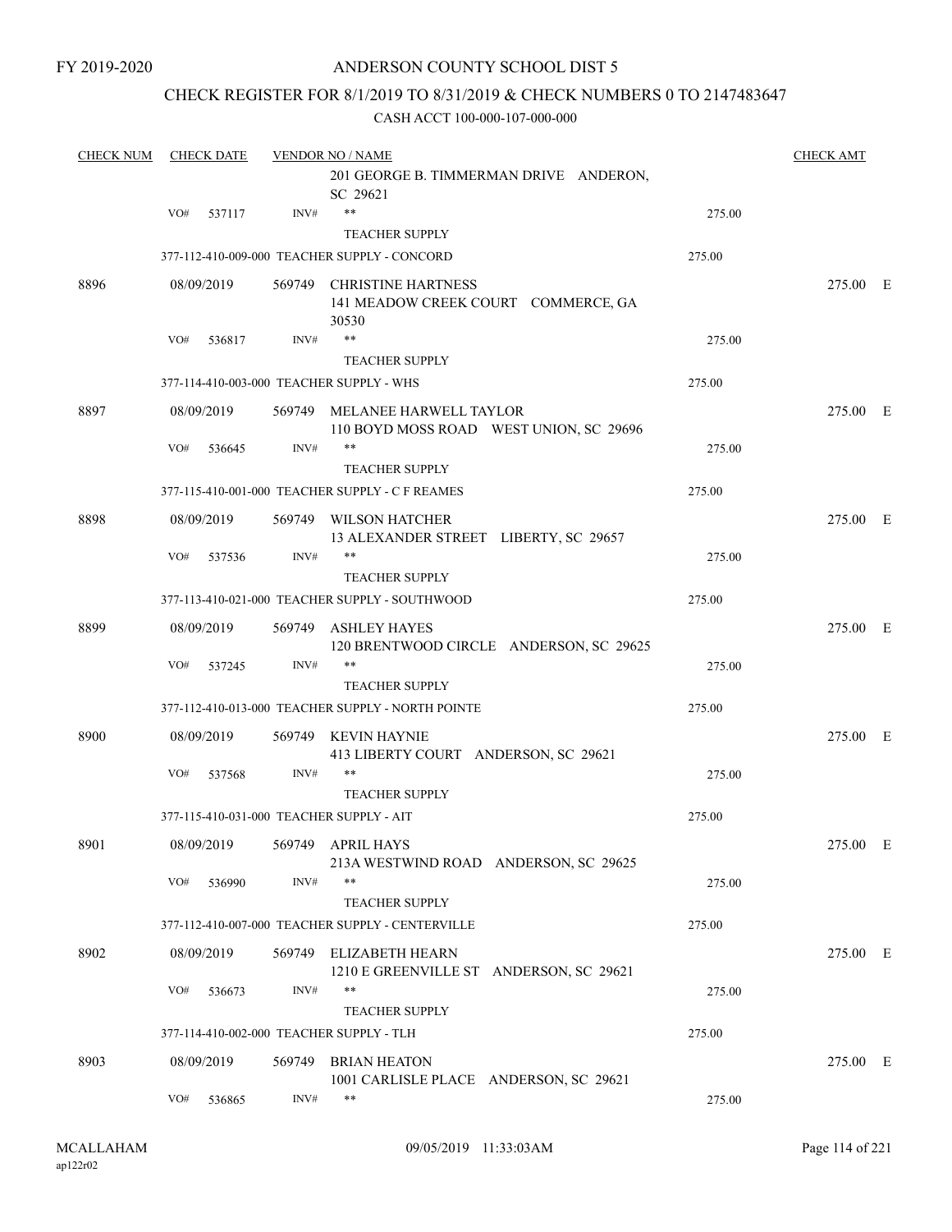### CHECK REGISTER FOR 8/1/2019 TO 8/31/2019 & CHECK NUMBERS 0 TO 2147483647

| <b>CHECK NUM</b> | <b>CHECK DATE</b>                        |        | <b>VENDOR NO / NAME</b><br>201 GEORGE B. TIMMERMAN DRIVE ANDERON,<br>SC 29621 |        | <b>CHECK AMT</b> |  |
|------------------|------------------------------------------|--------|-------------------------------------------------------------------------------|--------|------------------|--|
|                  | VO#<br>537117                            | INV#   | $***$                                                                         | 275.00 |                  |  |
|                  |                                          |        | <b>TEACHER SUPPLY</b>                                                         |        |                  |  |
|                  |                                          |        | 377-112-410-009-000 TEACHER SUPPLY - CONCORD                                  | 275.00 |                  |  |
| 8896             | 08/09/2019                               | 569749 | <b>CHRISTINE HARTNESS</b><br>141 MEADOW CREEK COURT COMMERCE, GA<br>30530     |        | 275.00 E         |  |
|                  | VO#<br>536817                            | INV#   | **                                                                            | 275.00 |                  |  |
|                  |                                          |        | <b>TEACHER SUPPLY</b>                                                         |        |                  |  |
|                  | 377-114-410-003-000 TEACHER SUPPLY - WHS |        |                                                                               | 275.00 |                  |  |
| 8897             | 08/09/2019                               | 569749 | MELANEE HARWELL TAYLOR<br>110 BOYD MOSS ROAD WEST UNION, SC 29696             |        | 275.00 E         |  |
|                  | VO#<br>536645                            | INV#   | **                                                                            | 275.00 |                  |  |
|                  |                                          |        | <b>TEACHER SUPPLY</b>                                                         |        |                  |  |
|                  |                                          |        | 377-115-410-001-000 TEACHER SUPPLY - C F REAMES                               | 275.00 |                  |  |
| 8898             | 08/09/2019                               |        | 569749 WILSON HATCHER<br>13 ALEXANDER STREET LIBERTY, SC 29657                |        | 275.00 E         |  |
|                  | VO#<br>537536                            | INV#   | **                                                                            | 275.00 |                  |  |
|                  |                                          |        | <b>TEACHER SUPPLY</b>                                                         |        |                  |  |
|                  |                                          |        | 377-113-410-021-000 TEACHER SUPPLY - SOUTHWOOD                                | 275.00 |                  |  |
| 8899             | 08/09/2019                               | 569749 | ASHLEY HAYES<br>120 BRENTWOOD CIRCLE ANDERSON, SC 29625                       |        | 275.00 E         |  |
|                  | VO#<br>537245                            | INV#   | $***$                                                                         | 275.00 |                  |  |
|                  |                                          |        | <b>TEACHER SUPPLY</b>                                                         |        |                  |  |
|                  |                                          |        | 377-112-410-013-000 TEACHER SUPPLY - NORTH POINTE                             | 275.00 |                  |  |
| 8900             | 08/09/2019                               | 569749 | KEVIN HAYNIE<br>413 LIBERTY COURT ANDERSON, SC 29621                          |        | 275.00 E         |  |
|                  | VO#<br>537568                            | INV#   | $***$<br><b>TEACHER SUPPLY</b>                                                | 275.00 |                  |  |
|                  | 377-115-410-031-000 TEACHER SUPPLY - AIT |        |                                                                               | 275.00 |                  |  |
| 8901             | 08/09/2019 569749 APRIL HAYS             |        | 213A WESTWIND ROAD ANDERSON, SC 29625                                         |        | 275.00 E         |  |
|                  | VO#<br>536990                            | INV#   | **<br><b>TEACHER SUPPLY</b>                                                   | 275.00 |                  |  |
|                  |                                          |        | 377-112-410-007-000 TEACHER SUPPLY - CENTERVILLE                              | 275.00 |                  |  |
| 8902             | 08/09/2019                               |        | 569749 ELIZABETH HEARN<br>1210 E GREENVILLE ST ANDERSON, SC 29621             |        | 275.00 E         |  |
|                  | VO#<br>536673                            | INV#   | **<br>TEACHER SUPPLY                                                          | 275.00 |                  |  |
|                  | 377-114-410-002-000 TEACHER SUPPLY - TLH |        |                                                                               | 275.00 |                  |  |
|                  |                                          |        |                                                                               |        |                  |  |
| 8903             | 08/09/2019                               |        | 569749 BRIAN HEATON<br>1001 CARLISLE PLACE ANDERSON, SC 29621                 |        | 275.00 E         |  |
|                  | VO#<br>536865                            | INV#   | $***$                                                                         | 275.00 |                  |  |
|                  |                                          |        |                                                                               |        |                  |  |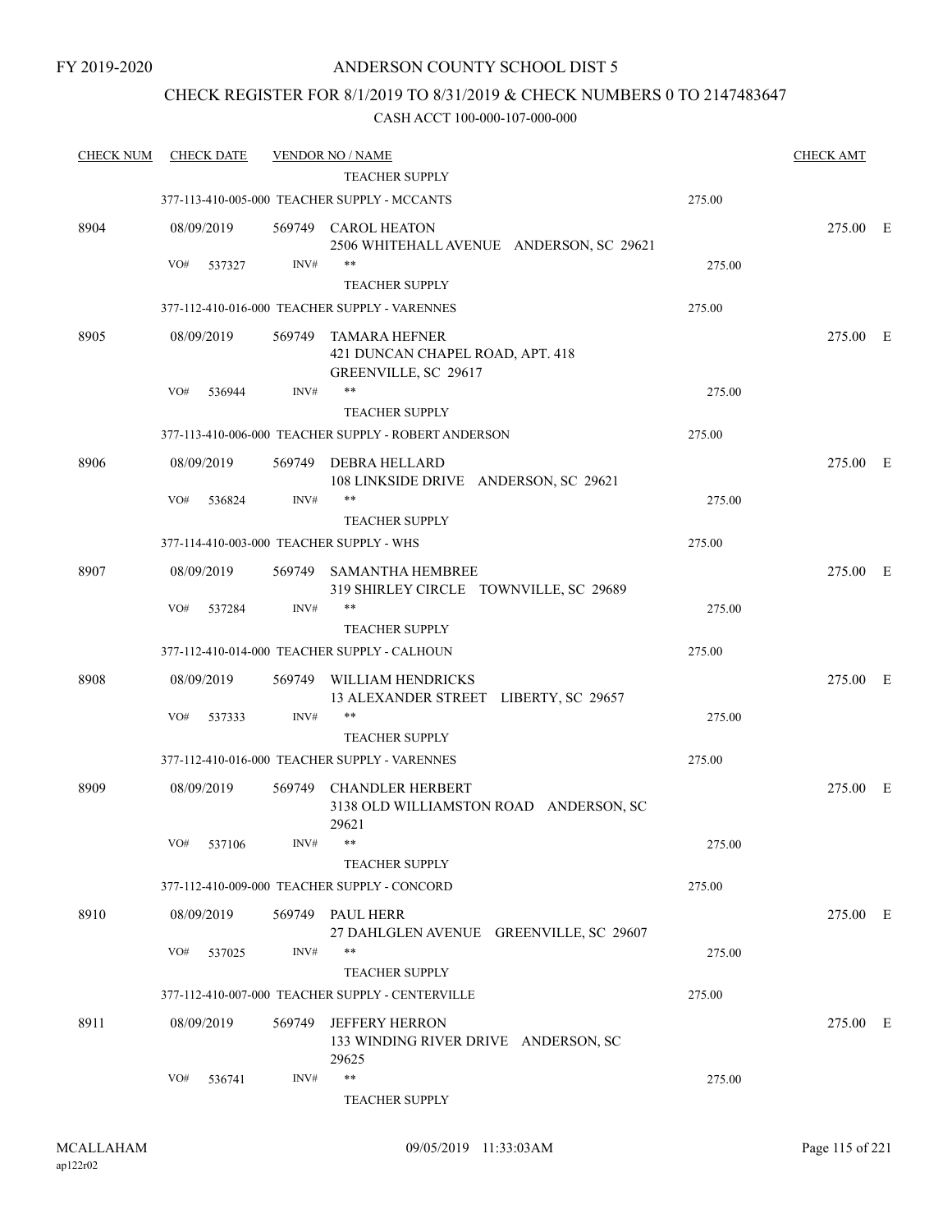### CHECK REGISTER FOR 8/1/2019 TO 8/31/2019 & CHECK NUMBERS 0 TO 2147483647

| <b>CHECK NUM</b> | <b>CHECK DATE</b> |        | <b>VENDOR NO / NAME</b>                                                          |        | <b>CHECK AMT</b> |  |
|------------------|-------------------|--------|----------------------------------------------------------------------------------|--------|------------------|--|
|                  |                   |        | TEACHER SUPPLY                                                                   |        |                  |  |
|                  |                   |        | 377-113-410-005-000 TEACHER SUPPLY - MCCANTS                                     | 275.00 |                  |  |
| 8904             | 08/09/2019        | 569749 | <b>CAROL HEATON</b><br>2506 WHITEHALL AVENUE ANDERSON, SC 29621                  |        | 275.00 E         |  |
|                  | VO#<br>537327     | INV#   | **                                                                               | 275.00 |                  |  |
|                  |                   |        | <b>TEACHER SUPPLY</b>                                                            |        |                  |  |
|                  |                   |        | 377-112-410-016-000 TEACHER SUPPLY - VARENNES                                    | 275.00 |                  |  |
| 8905             | 08/09/2019        | 569749 | <b>TAMARA HEFNER</b><br>421 DUNCAN CHAPEL ROAD, APT. 418<br>GREENVILLE, SC 29617 |        | 275.00 E         |  |
|                  | VO#<br>536944     | INV#   | **                                                                               | 275.00 |                  |  |
|                  |                   |        | <b>TEACHER SUPPLY</b>                                                            |        |                  |  |
|                  |                   |        | 377-113-410-006-000 TEACHER SUPPLY - ROBERT ANDERSON                             | 275.00 |                  |  |
| 8906             | 08/09/2019        | 569749 | DEBRA HELLARD<br>108 LINKSIDE DRIVE ANDERSON, SC 29621                           |        | 275.00 E         |  |
|                  | VO#<br>536824     | INV#   | **                                                                               | 275.00 |                  |  |
|                  |                   |        | <b>TEACHER SUPPLY</b>                                                            |        |                  |  |
|                  |                   |        | 377-114-410-003-000 TEACHER SUPPLY - WHS                                         | 275.00 |                  |  |
| 8907             | 08/09/2019        | 569749 | <b>SAMANTHA HEMBREE</b><br>319 SHIRLEY CIRCLE TOWNVILLE, SC 29689                |        | 275.00 E         |  |
|                  | VO#<br>537284     | INV#   | **                                                                               | 275.00 |                  |  |
|                  |                   |        | <b>TEACHER SUPPLY</b>                                                            |        |                  |  |
|                  |                   |        | 377-112-410-014-000 TEACHER SUPPLY - CALHOUN                                     | 275.00 |                  |  |
| 8908             | 08/09/2019        | 569749 | WILLIAM HENDRICKS<br>13 ALEXANDER STREET LIBERTY, SC 29657                       |        | 275.00 E         |  |
|                  | VO#<br>537333     | INV#   | **                                                                               | 275.00 |                  |  |
|                  |                   |        | <b>TEACHER SUPPLY</b>                                                            |        |                  |  |
|                  |                   |        | 377-112-410-016-000 TEACHER SUPPLY - VARENNES                                    | 275.00 |                  |  |
| 8909             | 08/09/2019        | 569749 | <b>CHANDLER HERBERT</b><br>3138 OLD WILLIAMSTON ROAD ANDERSON, SC<br>29621       |        | 275.00 E         |  |
|                  | VO# 537106        | INV#   | **                                                                               | 275.00 |                  |  |
|                  |                   |        | <b>TEACHER SUPPLY</b>                                                            |        |                  |  |
|                  |                   |        | 377-112-410-009-000 TEACHER SUPPLY - CONCORD                                     | 275.00 |                  |  |
| 8910             | 08/09/2019        |        | 569749 PAUL HERR<br>27 DAHLGLEN AVENUE GREENVILLE, SC 29607                      |        | 275.00 E         |  |
|                  | VO#<br>537025     | INV#   |                                                                                  | 275.00 |                  |  |
|                  |                   |        | <b>TEACHER SUPPLY</b>                                                            |        |                  |  |
|                  |                   |        | 377-112-410-007-000 TEACHER SUPPLY - CENTERVILLE                                 | 275.00 |                  |  |
| 8911             | 08/09/2019        | 569749 | <b>JEFFERY HERRON</b><br>133 WINDING RIVER DRIVE ANDERSON, SC<br>29625           |        | 275.00 E         |  |
|                  | VO#<br>536741     | INV#   | $\ast\ast$                                                                       | 275.00 |                  |  |
|                  |                   |        | <b>TEACHER SUPPLY</b>                                                            |        |                  |  |
|                  |                   |        |                                                                                  |        |                  |  |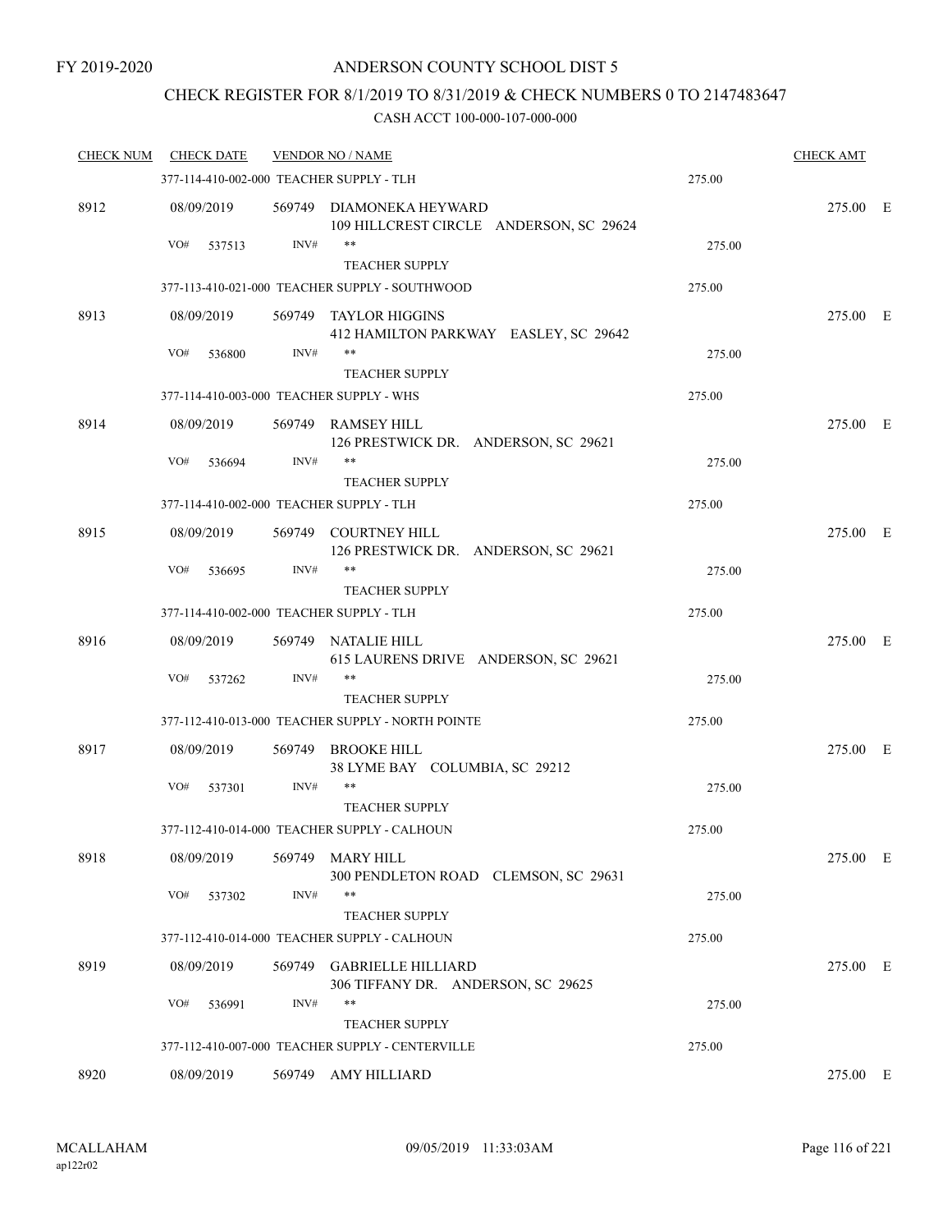# CHECK REGISTER FOR 8/1/2019 TO 8/31/2019 & CHECK NUMBERS 0 TO 2147483647

| <b>CHECK NUM</b> | <b>CHECK DATE</b>                        |        | <b>VENDOR NO / NAME</b>                                             |        | <b>CHECK AMT</b> |  |
|------------------|------------------------------------------|--------|---------------------------------------------------------------------|--------|------------------|--|
|                  | 377-114-410-002-000 TEACHER SUPPLY - TLH |        |                                                                     | 275.00 |                  |  |
| 8912             | 08/09/2019                               |        | 569749 DIAMONEKA HEYWARD<br>109 HILLCREST CIRCLE ANDERSON, SC 29624 |        | 275.00 E         |  |
|                  | VO#<br>537513                            | INV#   | **                                                                  | 275.00 |                  |  |
|                  |                                          |        | <b>TEACHER SUPPLY</b>                                               |        |                  |  |
|                  |                                          |        | 377-113-410-021-000 TEACHER SUPPLY - SOUTHWOOD                      | 275.00 |                  |  |
| 8913             | 08/09/2019                               | 569749 | TAYLOR HIGGINS<br>412 HAMILTON PARKWAY EASLEY, SC 29642             |        | 275.00 E         |  |
|                  | VO#<br>536800                            | INV#   | **                                                                  | 275.00 |                  |  |
|                  |                                          |        | <b>TEACHER SUPPLY</b>                                               |        |                  |  |
|                  |                                          |        | 377-114-410-003-000 TEACHER SUPPLY - WHS                            | 275.00 |                  |  |
| 8914             | 08/09/2019                               |        | 569749 RAMSEY HILL<br>126 PRESTWICK DR. ANDERSON, SC 29621<br>**    |        | 275.00 E         |  |
|                  | VO#<br>536694                            | INV#   | <b>TEACHER SUPPLY</b>                                               | 275.00 |                  |  |
|                  | 377-114-410-002-000 TEACHER SUPPLY - TLH |        |                                                                     | 275.00 |                  |  |
|                  |                                          |        |                                                                     |        |                  |  |
| 8915             | 08/09/2019<br>VO#                        | INV#   | 569749 COURTNEY HILL<br>126 PRESTWICK DR. ANDERSON, SC 29621<br>**  |        | 275.00 E         |  |
|                  | 536695                                   |        | <b>TEACHER SUPPLY</b>                                               | 275.00 |                  |  |
|                  | 377-114-410-002-000 TEACHER SUPPLY - TLH |        |                                                                     | 275.00 |                  |  |
| 8916             | 08/09/2019                               |        | 569749 NATALIE HILL                                                 |        | 275.00 E         |  |
|                  |                                          |        | 615 LAURENS DRIVE ANDERSON, SC 29621                                |        |                  |  |
|                  | VO#<br>537262                            | INV#   | **                                                                  | 275.00 |                  |  |
|                  |                                          |        | <b>TEACHER SUPPLY</b>                                               |        |                  |  |
|                  |                                          |        | 377-112-410-013-000 TEACHER SUPPLY - NORTH POINTE                   | 275.00 |                  |  |
| 8917             | 08/09/2019                               | 569749 | <b>BROOKE HILL</b><br>38 LYME BAY COLUMBIA, SC 29212                |        | 275.00 E         |  |
|                  | VO#<br>537301                            | INV#   | **                                                                  | 275.00 |                  |  |
|                  |                                          |        | <b>TEACHER SUPPLY</b>                                               |        |                  |  |
|                  |                                          |        | 377-112-410-014-000 TEACHER SUPPLY - CALHOUN                        | 275.00 |                  |  |
| 8918             | 08/09/2019                               | 569749 | MARY HILL<br>300 PENDLETON ROAD CLEMSON, SC 29631                   |        | 275.00 E         |  |
|                  | VO#<br>537302                            | INV#   | **                                                                  | 275.00 |                  |  |
|                  |                                          |        | <b>TEACHER SUPPLY</b>                                               |        |                  |  |
|                  |                                          |        | 377-112-410-014-000 TEACHER SUPPLY - CALHOUN                        | 275.00 |                  |  |
| 8919             | 08/09/2019                               |        | 569749 GABRIELLE HILLIARD<br>306 TIFFANY DR. ANDERSON, SC 29625     |        | 275.00 E         |  |
|                  | VO#<br>536991                            | INV#   | **                                                                  | 275.00 |                  |  |
|                  |                                          |        | <b>TEACHER SUPPLY</b>                                               |        |                  |  |
|                  |                                          |        | 377-112-410-007-000 TEACHER SUPPLY - CENTERVILLE                    | 275.00 |                  |  |
| 8920             | 08/09/2019                               | 569749 | AMY HILLIARD                                                        |        | 275.00 E         |  |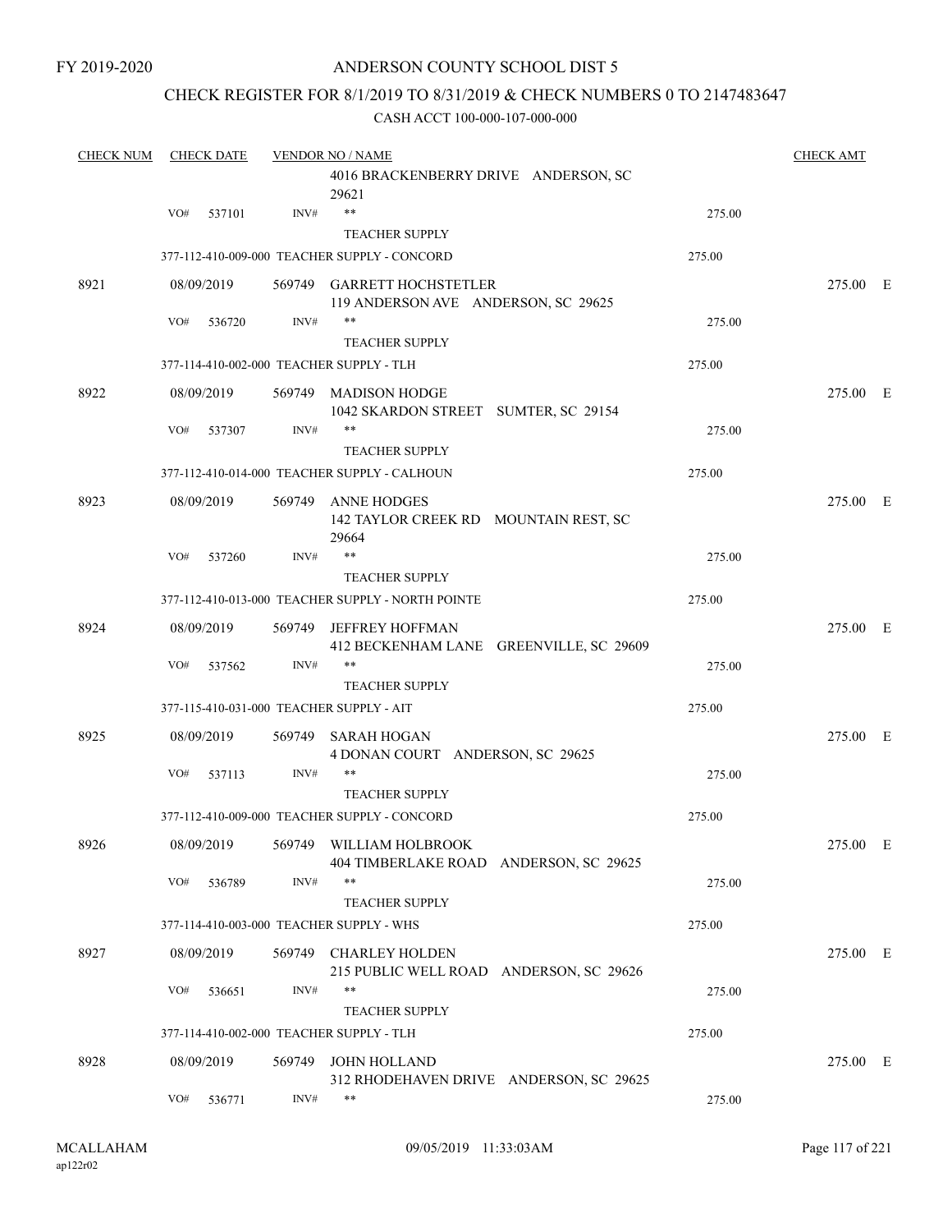#### CHECK REGISTER FOR 8/1/2019 TO 8/31/2019 & CHECK NUMBERS 0 TO 2147483647

| <b>CHECK NUM</b> | <b>CHECK DATE</b>                        |        | <b>VENDOR NO / NAME</b>                                                      |        | <b>CHECK AMT</b> |  |
|------------------|------------------------------------------|--------|------------------------------------------------------------------------------|--------|------------------|--|
|                  |                                          |        | 4016 BRACKENBERRY DRIVE ANDERSON, SC<br>29621                                |        |                  |  |
|                  | VO#<br>537101                            | INV#   | $***$                                                                        | 275.00 |                  |  |
|                  |                                          |        | <b>TEACHER SUPPLY</b>                                                        |        |                  |  |
|                  |                                          |        | 377-112-410-009-000 TEACHER SUPPLY - CONCORD                                 | 275.00 |                  |  |
| 8921             | 08/09/2019                               |        | 569749 GARRETT HOCHSTETLER<br>119 ANDERSON AVE ANDERSON, SC 29625            |        | 275.00 E         |  |
|                  | VO#<br>536720                            | INV#   | $***$<br><b>TEACHER SUPPLY</b>                                               | 275.00 |                  |  |
|                  | 377-114-410-002-000 TEACHER SUPPLY - TLH |        |                                                                              | 275.00 |                  |  |
| 8922             | 08/09/2019                               | 569749 | <b>MADISON HODGE</b><br>1042 SKARDON STREET SUMTER, SC 29154                 |        | 275.00 E         |  |
|                  | VO#<br>537307                            | INV#   | $***$                                                                        | 275.00 |                  |  |
|                  |                                          |        | <b>TEACHER SUPPLY</b><br>377-112-410-014-000 TEACHER SUPPLY - CALHOUN        | 275.00 |                  |  |
|                  |                                          |        |                                                                              |        |                  |  |
| 8923             | 08/09/2019                               | 569749 | ANNE HODGES<br>142 TAYLOR CREEK RD MOUNTAIN REST, SC<br>29664                |        | 275.00 E         |  |
|                  | VO#<br>537260                            | INV#   | $***$                                                                        | 275.00 |                  |  |
|                  |                                          |        | <b>TEACHER SUPPLY</b>                                                        |        |                  |  |
|                  |                                          |        | 377-112-410-013-000 TEACHER SUPPLY - NORTH POINTE                            | 275.00 |                  |  |
| 8924             | 08/09/2019                               | 569749 | <b>JEFFREY HOFFMAN</b><br>412 BECKENHAM LANE GREENVILLE, SC 29609            |        | 275.00 E         |  |
|                  | VO#<br>537562                            | INV#   | $***$                                                                        | 275.00 |                  |  |
|                  |                                          |        | <b>TEACHER SUPPLY</b>                                                        |        |                  |  |
|                  | 377-115-410-031-000 TEACHER SUPPLY - AIT |        |                                                                              | 275.00 |                  |  |
| 8925             | 08/09/2019                               | 569749 | SARAH HOGAN<br>4 DONAN COURT ANDERSON, SC 29625                              |        | 275.00 E         |  |
|                  | VO#<br>537113                            | INV#   | $***$<br>TEACHER SUPPLY                                                      | 275.00 |                  |  |
|                  |                                          |        | 377-112-410-009-000 TEACHER SUPPLY - CONCORD                                 | 275.00 |                  |  |
| 8926             |                                          |        | 08/09/2019 569749 WILLIAM HOLBROOK<br>404 TIMBERLAKE ROAD ANDERSON, SC 29625 |        | 275.00 E         |  |
|                  | VO#<br>536789                            | INV#   | $***$<br><b>TEACHER SUPPLY</b>                                               | 275.00 |                  |  |
|                  | 377-114-410-003-000 TEACHER SUPPLY - WHS |        |                                                                              | 275.00 |                  |  |
| 8927             | 08/09/2019                               |        | 569749 CHARLEY HOLDEN<br>215 PUBLIC WELL ROAD ANDERSON, SC 29626             |        | 275.00 E         |  |
|                  | VO#<br>536651                            | INV#   | $***$<br><b>TEACHER SUPPLY</b>                                               | 275.00 |                  |  |
|                  | 377-114-410-002-000 TEACHER SUPPLY - TLH |        |                                                                              | 275.00 |                  |  |
| 8928             | 08/09/2019                               |        | 569749 JOHN HOLLAND                                                          |        | 275.00 E         |  |
|                  | VO#<br>536771                            | INV#   | 312 RHODEHAVEN DRIVE ANDERSON, SC 29625<br>$***$                             | 275.00 |                  |  |
|                  |                                          |        |                                                                              |        |                  |  |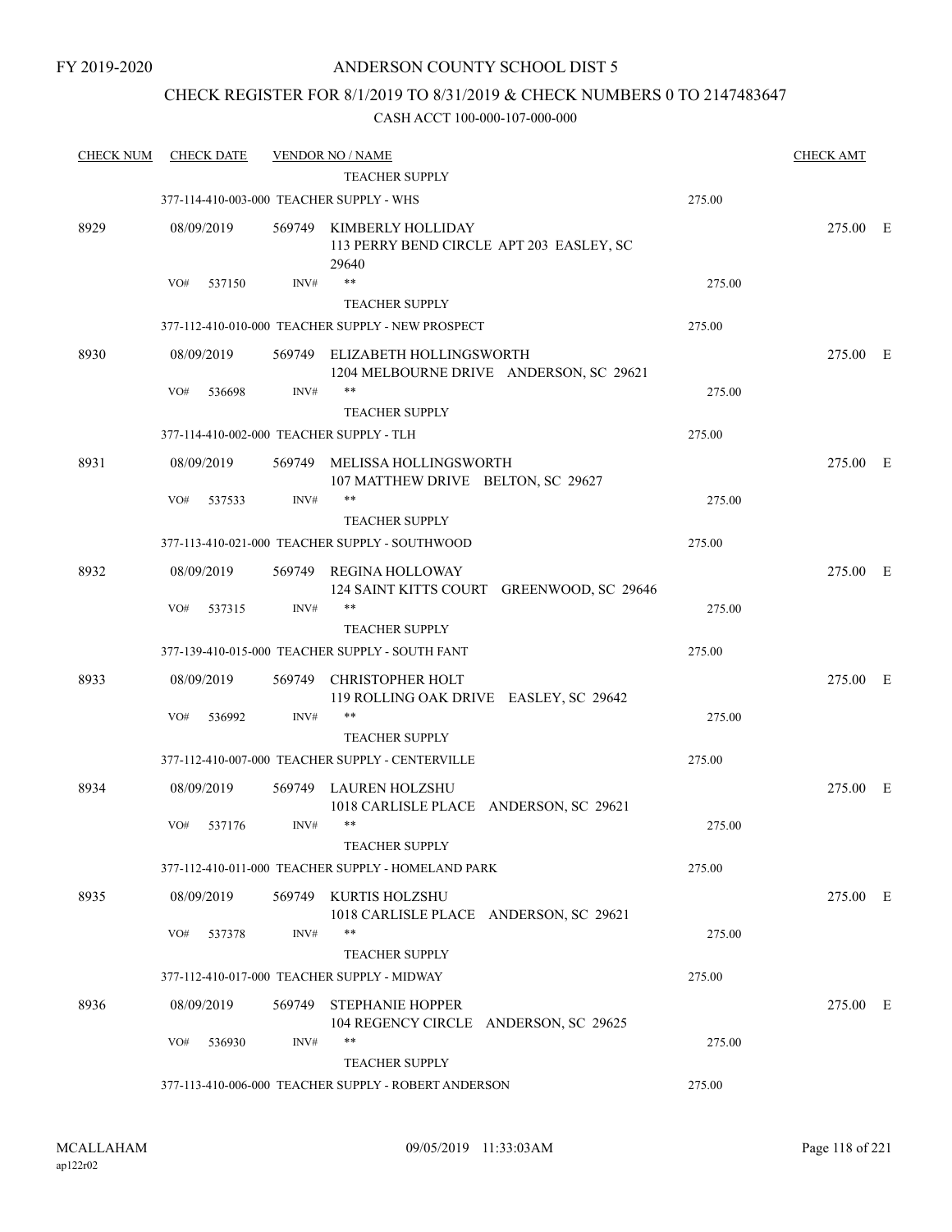### CHECK REGISTER FOR 8/1/2019 TO 8/31/2019 & CHECK NUMBERS 0 TO 2147483647

| <b>CHECK NUM</b> | <b>CHECK DATE</b>                        |        | <b>VENDOR NO / NAME</b>                                                       |        | <b>CHECK AMT</b> |  |
|------------------|------------------------------------------|--------|-------------------------------------------------------------------------------|--------|------------------|--|
|                  |                                          |        | <b>TEACHER SUPPLY</b>                                                         |        |                  |  |
|                  | 377-114-410-003-000 TEACHER SUPPLY - WHS |        |                                                                               | 275.00 |                  |  |
| 8929             | 08/09/2019                               |        | 569749 KIMBERLY HOLLIDAY<br>113 PERRY BEND CIRCLE APT 203 EASLEY, SC<br>29640 |        | 275.00 E         |  |
|                  | VO#<br>537150                            | INV#   | $***$                                                                         | 275.00 |                  |  |
|                  |                                          |        | <b>TEACHER SUPPLY</b>                                                         |        |                  |  |
|                  |                                          |        | 377-112-410-010-000 TEACHER SUPPLY - NEW PROSPECT                             | 275.00 |                  |  |
| 8930             | 08/09/2019                               |        | 569749 ELIZABETH HOLLINGSWORTH<br>1204 MELBOURNE DRIVE ANDERSON, SC 29621     |        | 275.00 E         |  |
|                  | VO#<br>536698                            | INV#   | $***$                                                                         | 275.00 |                  |  |
|                  |                                          |        | <b>TEACHER SUPPLY</b>                                                         |        |                  |  |
|                  | 377-114-410-002-000 TEACHER SUPPLY - TLH |        |                                                                               | 275.00 |                  |  |
| 8931             | 08/09/2019                               |        | 569749 MELISSA HOLLINGSWORTH<br>107 MATTHEW DRIVE BELTON, SC 29627            |        | 275.00 E         |  |
|                  | VO#<br>537533                            | INV#   | $***$                                                                         | 275.00 |                  |  |
|                  |                                          |        | <b>TEACHER SUPPLY</b>                                                         |        |                  |  |
|                  |                                          |        | 377-113-410-021-000 TEACHER SUPPLY - SOUTHWOOD                                | 275.00 |                  |  |
| 8932             | 08/09/2019                               |        | 569749 REGINA HOLLOWAY<br>124 SAINT KITTS COURT GREENWOOD, SC 29646           |        | 275.00 E         |  |
|                  | VO#<br>537315                            | INV#   | $***$                                                                         | 275.00 |                  |  |
|                  |                                          |        | <b>TEACHER SUPPLY</b><br>377-139-410-015-000 TEACHER SUPPLY - SOUTH FANT      | 275.00 |                  |  |
|                  |                                          |        |                                                                               |        |                  |  |
| 8933             | 08/09/2019                               | 569749 | <b>CHRISTOPHER HOLT</b><br>119 ROLLING OAK DRIVE EASLEY, SC 29642             |        | 275.00 E         |  |
|                  | VO#<br>536992                            | INV#   | $***$                                                                         | 275.00 |                  |  |
|                  |                                          |        | <b>TEACHER SUPPLY</b><br>377-112-410-007-000 TEACHER SUPPLY - CENTERVILLE     | 275.00 |                  |  |
|                  |                                          |        |                                                                               |        |                  |  |
| 8934             | 08/09/2019                               | 569749 | LAUREN HOLZSHU<br>1018 CARLISLE PLACE ANDERSON, SC 29621                      |        | 275.00 E         |  |
|                  | VO#<br>537176                            | INV#   | $***$<br>TEACHER SUPPLY                                                       | 275.00 |                  |  |
|                  |                                          |        | 377-112-410-011-000 TEACHER SUPPLY - HOMELAND PARK                            | 275.00 |                  |  |
| 8935             | 08/09/2019                               |        | 569749 KURTIS HOLZSHU                                                         |        | 275.00 E         |  |
|                  |                                          |        | 1018 CARLISLE PLACE ANDERSON, SC 29621                                        |        |                  |  |
|                  | VO#<br>537378                            | INV#   | $***$                                                                         | 275.00 |                  |  |
|                  |                                          |        | <b>TEACHER SUPPLY</b>                                                         |        |                  |  |
|                  |                                          |        | 377-112-410-017-000 TEACHER SUPPLY - MIDWAY                                   | 275.00 |                  |  |
| 8936             | 08/09/2019                               |        | 569749 STEPHANIE HOPPER<br>104 REGENCY CIRCLE ANDERSON, SC 29625              |        | 275.00 E         |  |
|                  | VO#<br>536930                            | INV#   | $***$<br><b>TEACHER SUPPLY</b>                                                | 275.00 |                  |  |
|                  |                                          |        | 377-113-410-006-000 TEACHER SUPPLY - ROBERT ANDERSON                          | 275.00 |                  |  |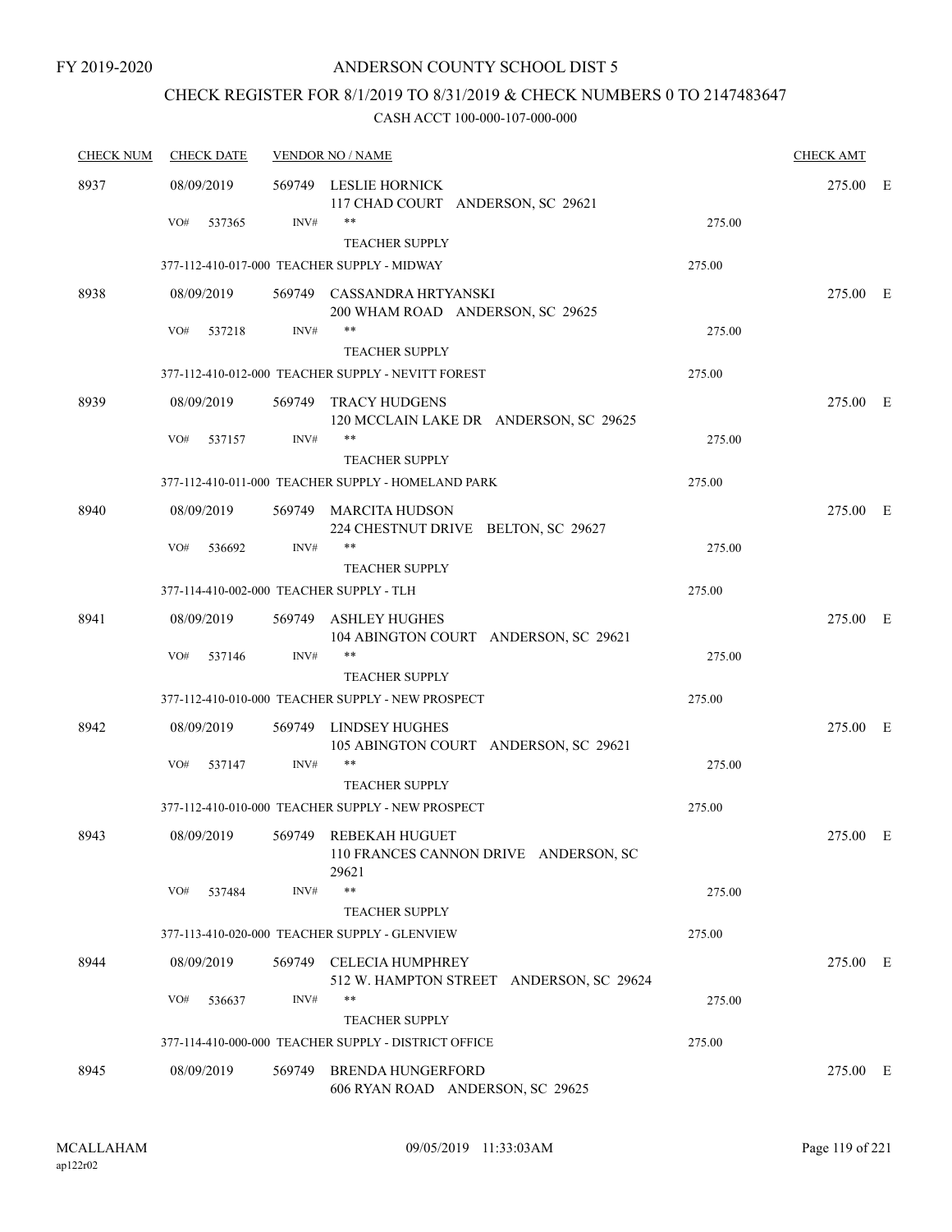# CHECK REGISTER FOR 8/1/2019 TO 8/31/2019 & CHECK NUMBERS 0 TO 2147483647

| <b>CHECK NUM</b> | <b>CHECK DATE</b>                        |        | <b>VENDOR NO / NAME</b>                                                 |        | <b>CHECK AMT</b> |  |
|------------------|------------------------------------------|--------|-------------------------------------------------------------------------|--------|------------------|--|
| 8937             | 08/09/2019                               |        | 569749 LESLIE HORNICK<br>117 CHAD COURT ANDERSON, SC 29621              |        | 275.00 E         |  |
|                  | VO#<br>537365                            | INV#   | $***$                                                                   | 275.00 |                  |  |
|                  |                                          |        | <b>TEACHER SUPPLY</b>                                                   |        |                  |  |
|                  |                                          |        | 377-112-410-017-000 TEACHER SUPPLY - MIDWAY                             | 275.00 |                  |  |
| 8938             | 08/09/2019                               |        | 569749 CASSANDRA HRTYANSKI<br>200 WHAM ROAD ANDERSON, SC 29625          |        | 275.00 E         |  |
|                  | VO#<br>537218                            | INV#   | $***$<br><b>TEACHER SUPPLY</b>                                          | 275.00 |                  |  |
|                  |                                          |        | 377-112-410-012-000 TEACHER SUPPLY - NEVITT FOREST                      | 275.00 |                  |  |
| 8939             | 08/09/2019                               | 569749 | TRACY HUDGENS<br>120 MCCLAIN LAKE DR ANDERSON, SC 29625                 |        | 275.00 E         |  |
|                  | VO#<br>537157                            | INV#   | $***$<br><b>TEACHER SUPPLY</b>                                          | 275.00 |                  |  |
|                  |                                          |        | 377-112-410-011-000 TEACHER SUPPLY - HOMELAND PARK                      | 275.00 |                  |  |
| 8940             | 08/09/2019                               |        | 569749 MARCITA HUDSON<br>224 CHESTNUT DRIVE BELTON, SC 29627            |        | 275.00 E         |  |
|                  | VO#<br>536692                            | INV#   | $***$<br><b>TEACHER SUPPLY</b>                                          | 275.00 |                  |  |
|                  | 377-114-410-002-000 TEACHER SUPPLY - TLH |        |                                                                         | 275.00 |                  |  |
| 8941             | 08/09/2019                               |        | 569749 ASHLEY HUGHES<br>104 ABINGTON COURT ANDERSON, SC 29621           |        | 275.00 E         |  |
|                  | VO#<br>537146                            | INV#   | $***$                                                                   | 275.00 |                  |  |
|                  |                                          |        | <b>TEACHER SUPPLY</b>                                                   |        |                  |  |
|                  |                                          |        | 377-112-410-010-000 TEACHER SUPPLY - NEW PROSPECT                       | 275.00 |                  |  |
| 8942             | 08/09/2019                               | 569749 | LINDSEY HUGHES<br>105 ABINGTON COURT ANDERSON, SC 29621                 |        | 275.00 E         |  |
|                  | VO#<br>537147                            | INV#   | $***$<br><b>TEACHER SUPPLY</b>                                          | 275.00 |                  |  |
|                  |                                          |        | 377-112-410-010-000 TEACHER SUPPLY - NEW PROSPECT                       | 275.00 |                  |  |
| 8943             | 08/09/2019                               |        | 569749 REBEKAH HUGUET<br>110 FRANCES CANNON DRIVE ANDERSON, SC<br>29621 |        | 275.00 E         |  |
|                  | VO#<br>537484                            | INV#   | $***$                                                                   | 275.00 |                  |  |
|                  |                                          |        | <b>TEACHER SUPPLY</b>                                                   |        |                  |  |
|                  |                                          |        | 377-113-410-020-000 TEACHER SUPPLY - GLENVIEW                           | 275.00 |                  |  |
| 8944             | 08/09/2019                               | 569749 | <b>CELECIA HUMPHREY</b><br>512 W. HAMPTON STREET ANDERSON, SC 29624     |        | 275.00 E         |  |
|                  | VO#<br>536637                            | INV#   | **                                                                      | 275.00 |                  |  |
|                  |                                          |        | <b>TEACHER SUPPLY</b>                                                   |        |                  |  |
|                  |                                          |        | 377-114-410-000-000 TEACHER SUPPLY - DISTRICT OFFICE                    | 275.00 |                  |  |
| 8945             | 08/09/2019                               | 569749 | <b>BRENDA HUNGERFORD</b><br>606 RYAN ROAD ANDERSON, SC 29625            |        | 275.00 E         |  |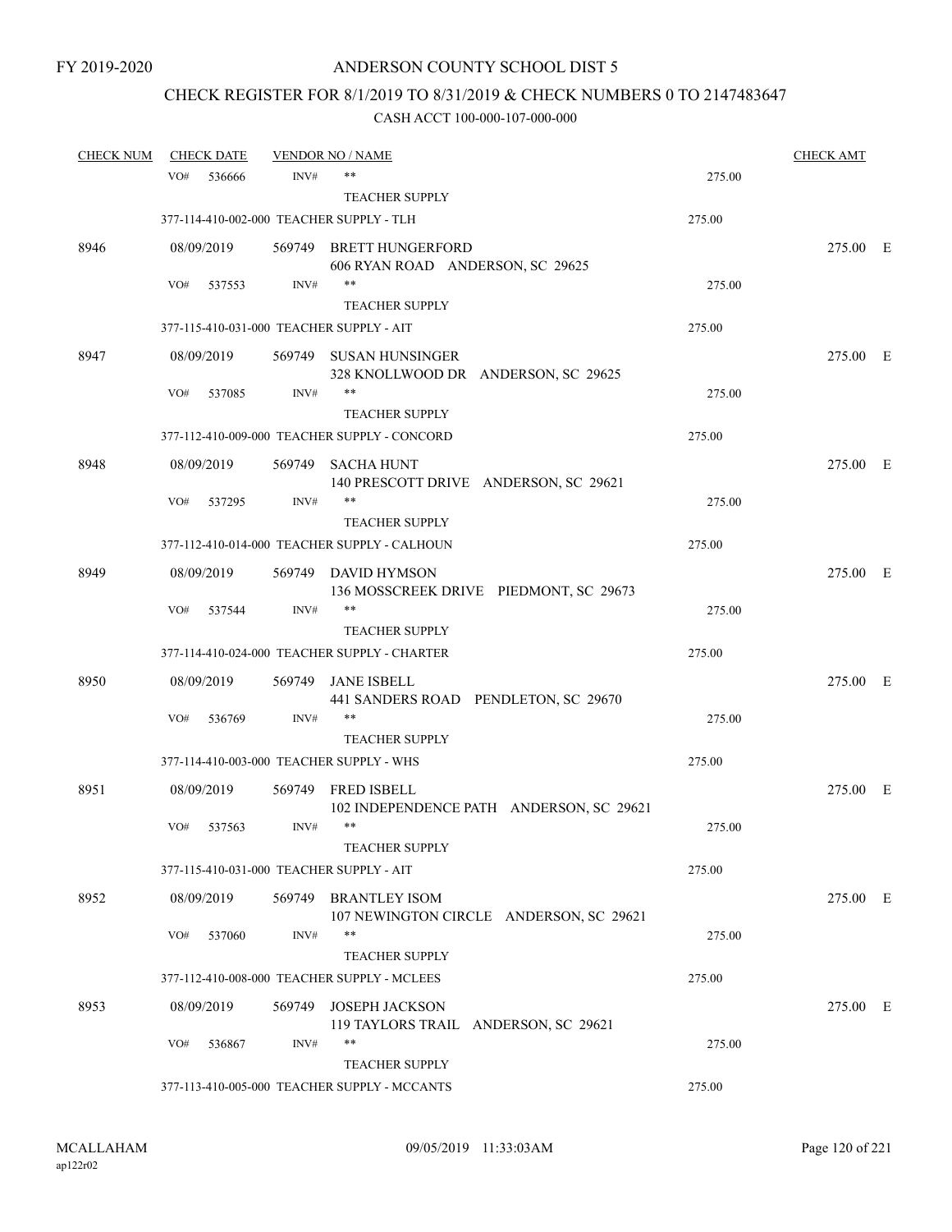# CHECK REGISTER FOR 8/1/2019 TO 8/31/2019 & CHECK NUMBERS 0 TO 2147483647

| <b>CHECK NUM</b> | <b>CHECK DATE</b> |        | <b>VENDOR NO / NAME</b>                                         |        | <b>CHECK AMT</b> |  |
|------------------|-------------------|--------|-----------------------------------------------------------------|--------|------------------|--|
|                  | VO#<br>536666     | INV#   | $***$                                                           | 275.00 |                  |  |
|                  |                   |        | <b>TEACHER SUPPLY</b>                                           |        |                  |  |
|                  |                   |        | 377-114-410-002-000 TEACHER SUPPLY - TLH                        | 275.00 |                  |  |
| 8946             | 08/09/2019        |        | 569749 BRETT HUNGERFORD<br>606 RYAN ROAD ANDERSON, SC 29625     |        | 275.00 E         |  |
|                  | VO#<br>537553     | INV#   | $***$                                                           | 275.00 |                  |  |
|                  |                   |        | <b>TEACHER SUPPLY</b>                                           |        |                  |  |
|                  |                   |        | 377-115-410-031-000 TEACHER SUPPLY - AIT                        | 275.00 |                  |  |
| 8947             | 08/09/2019        |        | 569749 SUSAN HUNSINGER<br>328 KNOLLWOOD DR ANDERSON, SC 29625   |        | 275.00 E         |  |
|                  | VO#<br>537085     | INV#   | $***$                                                           | 275.00 |                  |  |
|                  |                   |        | <b>TEACHER SUPPLY</b>                                           |        |                  |  |
|                  |                   |        | 377-112-410-009-000 TEACHER SUPPLY - CONCORD                    | 275.00 |                  |  |
| 8948             | 08/09/2019        | 569749 | <b>SACHA HUNT</b><br>140 PRESCOTT DRIVE ANDERSON, SC 29621      |        | 275.00 E         |  |
|                  | VO#<br>537295     | INV#   | $***$                                                           | 275.00 |                  |  |
|                  |                   |        | <b>TEACHER SUPPLY</b>                                           |        |                  |  |
|                  |                   |        | 377-112-410-014-000 TEACHER SUPPLY - CALHOUN                    | 275.00 |                  |  |
| 8949             | 08/09/2019        |        | 569749 DAVID HYMSON<br>136 MOSSCREEK DRIVE PIEDMONT, SC 29673   |        | 275.00 E         |  |
|                  | VO#<br>537544     | INV#   | $***$                                                           | 275.00 |                  |  |
|                  |                   |        | <b>TEACHER SUPPLY</b>                                           |        |                  |  |
|                  |                   |        | 377-114-410-024-000 TEACHER SUPPLY - CHARTER                    | 275.00 |                  |  |
| 8950             | 08/09/2019        | 569749 | JANE ISBELL<br>441 SANDERS ROAD PENDLETON, SC 29670             |        | 275.00 E         |  |
|                  | VO#<br>536769     | INV#   | $***$                                                           | 275.00 |                  |  |
|                  |                   |        | <b>TEACHER SUPPLY</b>                                           |        |                  |  |
|                  |                   |        | 377-114-410-003-000 TEACHER SUPPLY - WHS                        | 275.00 |                  |  |
| 8951             | 08/09/2019        |        | 569749 FRED ISBELL<br>102 INDEPENDENCE PATH ANDERSON, SC 29621  |        | 275.00 E         |  |
|                  | VO#<br>537563     | INV#   | $***$                                                           | 275.00 |                  |  |
|                  |                   |        | TEACHER SUPPLY                                                  |        |                  |  |
|                  |                   |        | 377-115-410-031-000 TEACHER SUPPLY - AIT                        | 275.00 |                  |  |
| 8952             | 08/09/2019        | 569749 | <b>BRANTLEY ISOM</b><br>107 NEWINGTON CIRCLE ANDERSON, SC 29621 |        | 275.00 E         |  |
|                  | VO#<br>537060     | INV#   | $***$                                                           | 275.00 |                  |  |
|                  |                   |        | <b>TEACHER SUPPLY</b>                                           |        |                  |  |
|                  |                   |        | 377-112-410-008-000 TEACHER SUPPLY - MCLEES                     | 275.00 |                  |  |
| 8953             | 08/09/2019        | 569749 | <b>JOSEPH JACKSON</b><br>119 TAYLORS TRAIL ANDERSON, SC 29621   |        | 275.00 E         |  |
|                  | VO#<br>536867     | INV#   | $***$                                                           | 275.00 |                  |  |
|                  |                   |        | <b>TEACHER SUPPLY</b>                                           |        |                  |  |
|                  |                   |        | 377-113-410-005-000 TEACHER SUPPLY - MCCANTS                    | 275.00 |                  |  |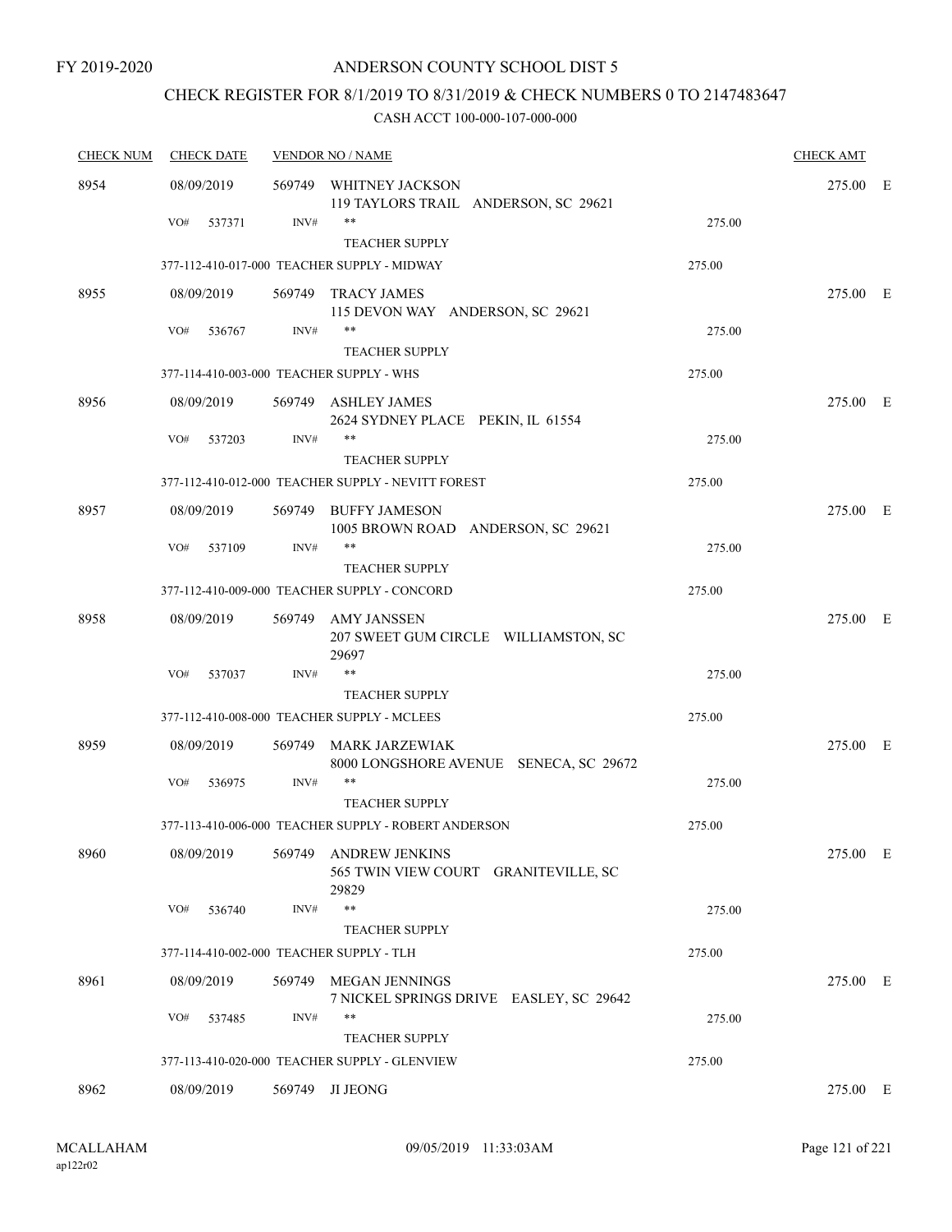# CHECK REGISTER FOR 8/1/2019 TO 8/31/2019 & CHECK NUMBERS 0 TO 2147483647

| <b>CHECK NUM</b> | <b>CHECK DATE</b>                        |        | <b>VENDOR NO / NAME</b>                                                |        | <b>CHECK AMT</b> |  |
|------------------|------------------------------------------|--------|------------------------------------------------------------------------|--------|------------------|--|
| 8954             | 08/09/2019                               |        | 569749 WHITNEY JACKSON<br>119 TAYLORS TRAIL ANDERSON, SC 29621         |        | 275.00 E         |  |
|                  | VO#<br>537371                            | INV#   | $***$<br><b>TEACHER SUPPLY</b>                                         | 275.00 |                  |  |
|                  |                                          |        | 377-112-410-017-000 TEACHER SUPPLY - MIDWAY                            | 275.00 |                  |  |
| 8955             | 08/09/2019                               | 569749 | <b>TRACY JAMES</b><br>115 DEVON WAY ANDERSON, SC 29621                 |        | 275.00 E         |  |
|                  | VO#<br>536767                            | INV#   | $***$<br><b>TEACHER SUPPLY</b>                                         | 275.00 |                  |  |
|                  | 377-114-410-003-000 TEACHER SUPPLY - WHS |        |                                                                        | 275.00 |                  |  |
| 8956             | 08/09/2019                               | 569749 | ASHLEY JAMES<br>2624 SYDNEY PLACE PEKIN, IL 61554                      |        | 275.00 E         |  |
|                  | VO#<br>537203                            | INV#   | $***$<br><b>TEACHER SUPPLY</b>                                         | 275.00 |                  |  |
|                  |                                          |        | 377-112-410-012-000 TEACHER SUPPLY - NEVITT FOREST                     | 275.00 |                  |  |
| 8957             | 08/09/2019                               |        | 569749 BUFFY JAMESON<br>1005 BROWN ROAD ANDERSON, SC 29621             |        | 275.00 E         |  |
|                  | VO#<br>537109                            | INV#   | $***$                                                                  | 275.00 |                  |  |
|                  |                                          |        | <b>TEACHER SUPPLY</b>                                                  |        |                  |  |
|                  |                                          |        | 377-112-410-009-000 TEACHER SUPPLY - CONCORD                           | 275.00 |                  |  |
| 8958             | 08/09/2019                               |        | 569749 AMY JANSSEN<br>207 SWEET GUM CIRCLE WILLIAMSTON, SC<br>29697    |        | 275.00 E         |  |
|                  | VO#<br>537037                            | INV#   | **                                                                     | 275.00 |                  |  |
|                  |                                          |        | <b>TEACHER SUPPLY</b>                                                  |        |                  |  |
|                  |                                          |        | 377-112-410-008-000 TEACHER SUPPLY - MCLEES                            | 275.00 |                  |  |
| 8959             | 08/09/2019                               | 569749 | MARK JARZEWIAK<br>8000 LONGSHORE AVENUE SENECA, SC 29672               |        | 275.00 E         |  |
|                  | VO#<br>536975                            | INV#   | $***$                                                                  | 275.00 |                  |  |
|                  |                                          |        | <b>TEACHER SUPPLY</b>                                                  |        |                  |  |
|                  |                                          |        | 377-113-410-006-000 TEACHER SUPPLY - ROBERT ANDERSON                   | 275.00 |                  |  |
| 8960             | 08/09/2019                               | 569749 | <b>ANDREW JENKINS</b><br>565 TWIN VIEW COURT GRANITEVILLE, SC<br>29829 |        | 275.00 E         |  |
|                  | VO#<br>536740                            | INV#   | $***$                                                                  | 275.00 |                  |  |
|                  |                                          |        | <b>TEACHER SUPPLY</b>                                                  |        |                  |  |
|                  | 377-114-410-002-000 TEACHER SUPPLY - TLH |        |                                                                        | 275.00 |                  |  |
| 8961             | 08/09/2019                               | 569749 | <b>MEGAN JENNINGS</b><br>7 NICKEL SPRINGS DRIVE EASLEY, SC 29642       |        | 275.00 E         |  |
|                  | VO#<br>537485                            | INV#   | **                                                                     | 275.00 |                  |  |
|                  |                                          |        | TEACHER SUPPLY                                                         |        |                  |  |
|                  |                                          |        | 377-113-410-020-000 TEACHER SUPPLY - GLENVIEW                          | 275.00 |                  |  |
| 8962             | 08/09/2019                               | 569749 | JI JEONG                                                               |        | 275.00 E         |  |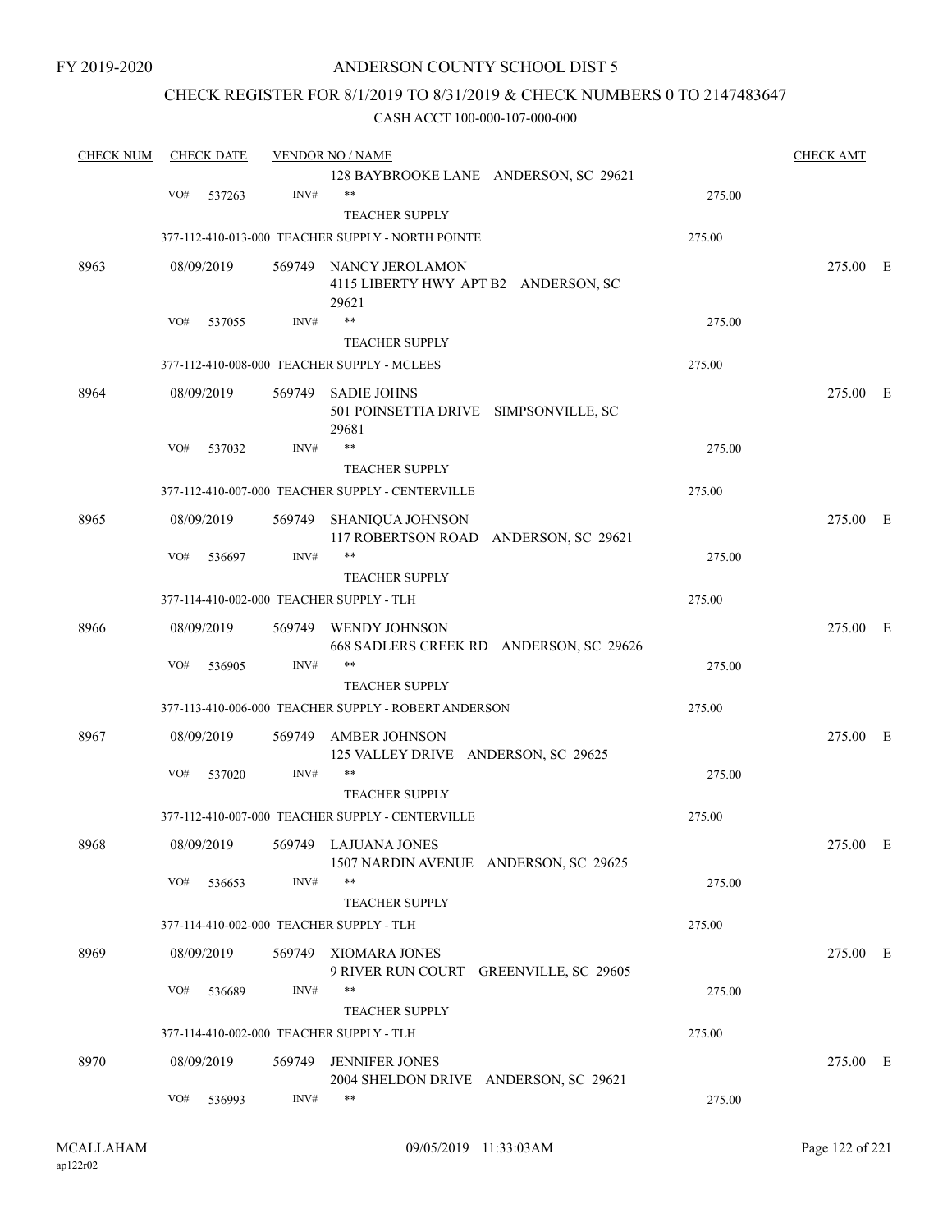FY 2019-2020

#### ANDERSON COUNTY SCHOOL DIST 5

### CHECK REGISTER FOR 8/1/2019 TO 8/31/2019 & CHECK NUMBERS 0 TO 2147483647

| <b>CHECK NUM</b> | <b>CHECK DATE</b>                        |        | <b>VENDOR NO / NAME</b>                              |        | <b>CHECK AMT</b> |  |
|------------------|------------------------------------------|--------|------------------------------------------------------|--------|------------------|--|
|                  |                                          |        | 128 BAYBROOKE LANE ANDERSON, SC 29621                |        |                  |  |
|                  | VO#<br>537263                            | INV#   | $***$                                                | 275.00 |                  |  |
|                  |                                          |        | <b>TEACHER SUPPLY</b>                                |        |                  |  |
|                  |                                          |        | 377-112-410-013-000 TEACHER SUPPLY - NORTH POINTE    | 275.00 |                  |  |
| 8963             | 08/09/2019                               |        | 569749 NANCY JEROLAMON                               |        | 275.00 E         |  |
|                  |                                          |        | 4115 LIBERTY HWY APT B2 ANDERSON, SC                 |        |                  |  |
|                  |                                          |        | 29621                                                |        |                  |  |
|                  | VO#<br>537055                            | INV#   | $***$                                                | 275.00 |                  |  |
|                  |                                          |        | <b>TEACHER SUPPLY</b>                                |        |                  |  |
|                  |                                          |        | 377-112-410-008-000 TEACHER SUPPLY - MCLEES          | 275.00 |                  |  |
| 8964             | 08/09/2019                               | 569749 | <b>SADIE JOHNS</b>                                   |        | 275.00 E         |  |
|                  |                                          |        | 501 POINSETTIA DRIVE SIMPSONVILLE, SC                |        |                  |  |
|                  |                                          |        | 29681                                                |        |                  |  |
|                  | VO#<br>537032                            | INV#   | **                                                   | 275.00 |                  |  |
|                  |                                          |        | <b>TEACHER SUPPLY</b>                                |        |                  |  |
|                  |                                          |        | 377-112-410-007-000 TEACHER SUPPLY - CENTERVILLE     | 275.00 |                  |  |
| 8965             | 08/09/2019                               | 569749 | SHANIQUA JOHNSON                                     |        | 275.00 E         |  |
|                  |                                          |        | 117 ROBERTSON ROAD ANDERSON, SC 29621                |        |                  |  |
|                  | VO#<br>536697                            | INV#   | $***$                                                | 275.00 |                  |  |
|                  |                                          |        | <b>TEACHER SUPPLY</b>                                |        |                  |  |
|                  | 377-114-410-002-000 TEACHER SUPPLY - TLH |        |                                                      | 275.00 |                  |  |
| 8966             | 08/09/2019                               | 569749 | WENDY JOHNSON                                        |        | 275.00 E         |  |
|                  |                                          |        | 668 SADLERS CREEK RD ANDERSON, SC 29626              |        |                  |  |
|                  | VO#<br>536905                            | INV#   | $***$                                                | 275.00 |                  |  |
|                  |                                          |        | <b>TEACHER SUPPLY</b>                                |        |                  |  |
|                  |                                          |        | 377-113-410-006-000 TEACHER SUPPLY - ROBERT ANDERSON | 275.00 |                  |  |
| 8967             | 08/09/2019                               | 569749 | <b>AMBER JOHNSON</b>                                 |        | 275.00 E         |  |
|                  |                                          |        | 125 VALLEY DRIVE ANDERSON, SC 29625                  |        |                  |  |
|                  | VO#<br>537020                            | INV#   | $***$                                                | 275.00 |                  |  |
|                  |                                          |        | <b>TEACHER SUPPLY</b>                                |        |                  |  |
|                  |                                          |        | 377-112-410-007-000 TEACHER SUPPLY - CENTERVILLE     | 275.00 |                  |  |
| 8968             |                                          |        | 08/09/2019 569749 LAJUANA JONES                      |        | 275.00 E         |  |
|                  |                                          |        | 1507 NARDIN AVENUE ANDERSON, SC 29625                |        |                  |  |
|                  | VO#<br>536653                            | INV#   | $***$                                                | 275.00 |                  |  |
|                  |                                          |        | <b>TEACHER SUPPLY</b>                                |        |                  |  |
|                  | 377-114-410-002-000 TEACHER SUPPLY - TLH |        |                                                      | 275.00 |                  |  |
| 8969             | 08/09/2019                               | 569749 | XIOMARA JONES                                        |        | 275.00 E         |  |
|                  |                                          |        | 9 RIVER RUN COURT GREENVILLE, SC 29605               |        |                  |  |
|                  | VO#<br>536689                            | INV#   | $***$                                                | 275.00 |                  |  |
|                  |                                          |        | <b>TEACHER SUPPLY</b>                                |        |                  |  |
|                  | 377-114-410-002-000 TEACHER SUPPLY - TLH |        |                                                      | 275.00 |                  |  |
| 8970             | 08/09/2019                               | 569749 | <b>JENNIFER JONES</b>                                |        | 275.00 E         |  |
|                  |                                          |        | 2004 SHELDON DRIVE ANDERSON, SC 29621                |        |                  |  |
|                  | VO#<br>536993                            | INV#   | $***$                                                | 275.00 |                  |  |
|                  |                                          |        |                                                      |        |                  |  |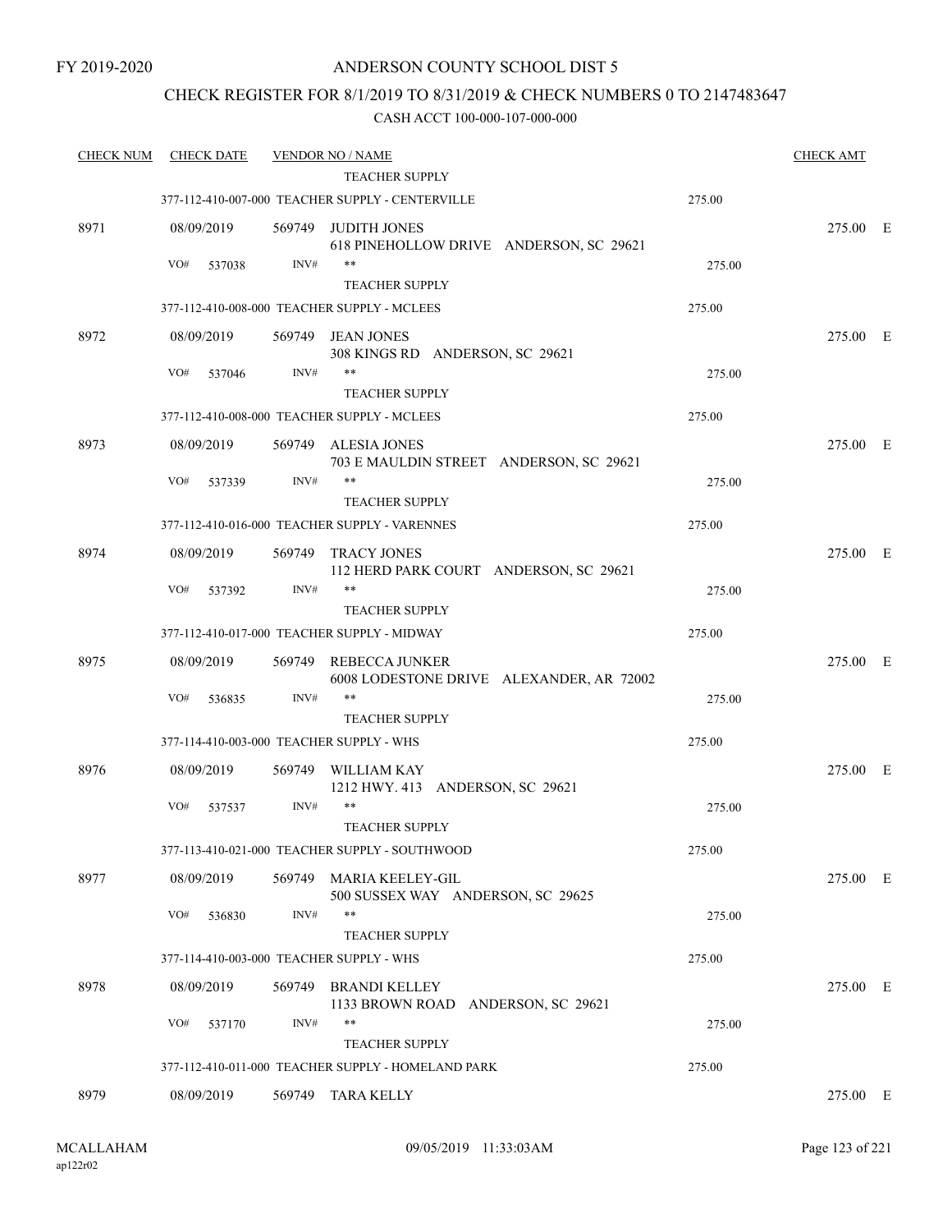### CHECK REGISTER FOR 8/1/2019 TO 8/31/2019 & CHECK NUMBERS 0 TO 2147483647

| <b>CHECK NUM</b> | <b>CHECK DATE</b>                        |        | <b>VENDOR NO / NAME</b><br><b>TEACHER SUPPLY</b>                     |        | <b>CHECK AMT</b> |  |
|------------------|------------------------------------------|--------|----------------------------------------------------------------------|--------|------------------|--|
|                  |                                          |        | 377-112-410-007-000 TEACHER SUPPLY - CENTERVILLE                     | 275.00 |                  |  |
|                  |                                          |        |                                                                      |        |                  |  |
| 8971             | 08/09/2019                               | 569749 | JUDITH JONES<br>618 PINEHOLLOW DRIVE ANDERSON, SC 29621              |        | 275.00 E         |  |
|                  | VO#<br>537038                            | INV#   | $***$                                                                | 275.00 |                  |  |
|                  |                                          |        | <b>TEACHER SUPPLY</b>                                                |        |                  |  |
|                  |                                          |        | 377-112-410-008-000 TEACHER SUPPLY - MCLEES                          | 275.00 |                  |  |
| 8972             | 08/09/2019                               |        | 569749 JEAN JONES                                                    |        | 275.00 E         |  |
|                  |                                          |        | 308 KINGS RD ANDERSON, SC 29621                                      |        |                  |  |
|                  | VO#<br>537046                            | INV#   | $***$                                                                | 275.00 |                  |  |
|                  |                                          |        | <b>TEACHER SUPPLY</b>                                                |        |                  |  |
|                  |                                          |        | 377-112-410-008-000 TEACHER SUPPLY - MCLEES                          | 275.00 |                  |  |
| 8973             | 08/09/2019                               | 569749 | ALESIA JONES                                                         |        | 275.00 E         |  |
|                  |                                          |        | 703 E MAULDIN STREET ANDERSON, SC 29621                              |        |                  |  |
|                  | VO#<br>537339                            | INV#   | **                                                                   | 275.00 |                  |  |
|                  |                                          |        | <b>TEACHER SUPPLY</b>                                                |        |                  |  |
|                  |                                          |        | 377-112-410-016-000 TEACHER SUPPLY - VARENNES                        | 275.00 |                  |  |
| 8974             | 08/09/2019                               | 569749 | TRACY JONES                                                          |        | 275.00 E         |  |
|                  |                                          |        | 112 HERD PARK COURT ANDERSON, SC 29621                               |        |                  |  |
|                  | VO#<br>537392                            | INV#   | **                                                                   | 275.00 |                  |  |
|                  |                                          |        | <b>TEACHER SUPPLY</b><br>377-112-410-017-000 TEACHER SUPPLY - MIDWAY | 275.00 |                  |  |
|                  |                                          |        |                                                                      |        |                  |  |
| 8975             | 08/09/2019                               | 569749 | REBECCA JUNKER                                                       |        | 275.00 E         |  |
|                  | VO#<br>536835                            | INV#   | 6008 LODESTONE DRIVE ALEXANDER, AR 72002<br>$***$                    | 275.00 |                  |  |
|                  |                                          |        | <b>TEACHER SUPPLY</b>                                                |        |                  |  |
|                  | 377-114-410-003-000 TEACHER SUPPLY - WHS |        |                                                                      | 275.00 |                  |  |
| 8976             | 08/09/2019                               | 569749 | WILLIAM KAY                                                          |        | 275.00 E         |  |
|                  |                                          |        | 1212 HWY. 413 ANDERSON, SC 29621                                     |        |                  |  |
|                  | VO#<br>537537                            | INV#   | **                                                                   | 275.00 |                  |  |
|                  |                                          |        | <b>TEACHER SUPPLY</b>                                                |        |                  |  |
|                  |                                          |        | 377-113-410-021-000 TEACHER SUPPLY - SOUTHWOOD                       | 275.00 |                  |  |
| 8977             | 08/09/2019                               | 569749 | MARIA KEELEY-GIL                                                     |        | 275.00 E         |  |
|                  |                                          |        | 500 SUSSEX WAY ANDERSON, SC 29625                                    |        |                  |  |
|                  | VO#<br>536830                            | INV#   | **                                                                   | 275.00 |                  |  |
|                  |                                          |        | <b>TEACHER SUPPLY</b>                                                |        |                  |  |
|                  | 377-114-410-003-000 TEACHER SUPPLY - WHS |        |                                                                      | 275.00 |                  |  |
| 8978             | 08/09/2019                               | 569749 | <b>BRANDI KELLEY</b>                                                 |        | 275.00 E         |  |
|                  |                                          |        | 1133 BROWN ROAD ANDERSON, SC 29621                                   |        |                  |  |
|                  | VO#<br>537170                            | INV#   | **                                                                   | 275.00 |                  |  |
|                  |                                          |        | <b>TEACHER SUPPLY</b>                                                |        |                  |  |
|                  |                                          |        | 377-112-410-011-000 TEACHER SUPPLY - HOMELAND PARK                   | 275.00 |                  |  |
| 8979             | 08/09/2019                               |        | 569749 TARA KELLY                                                    |        | 275.00 E         |  |
|                  |                                          |        |                                                                      |        |                  |  |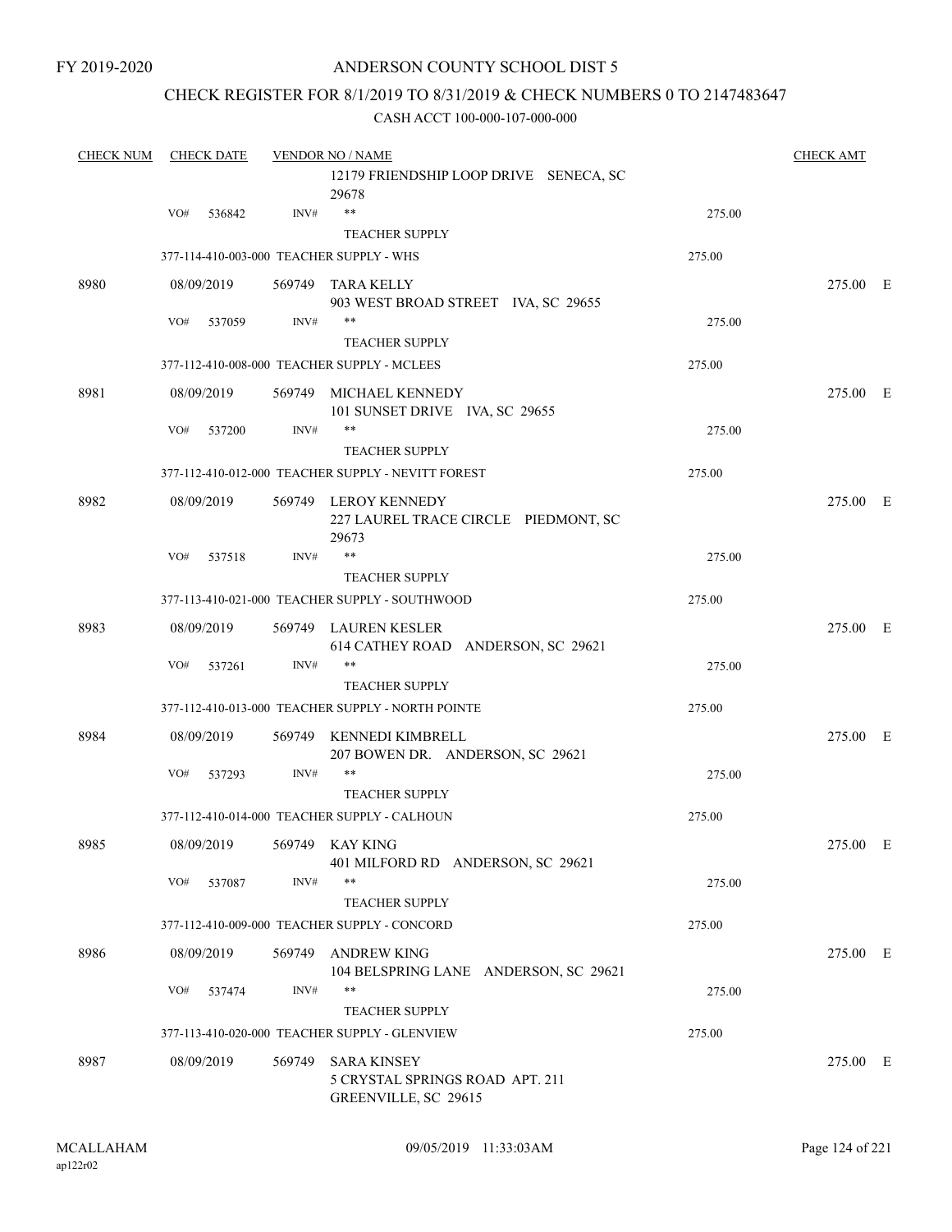### CHECK REGISTER FOR 8/1/2019 TO 8/31/2019 & CHECK NUMBERS 0 TO 2147483647

| <b>CHECK NUM</b> | <b>CHECK DATE</b>                        | <b>VENDOR NO / NAME</b> | <b>CHECK AMT</b>                                                              |        |          |  |
|------------------|------------------------------------------|-------------------------|-------------------------------------------------------------------------------|--------|----------|--|
|                  |                                          |                         | 12179 FRIENDSHIP LOOP DRIVE SENECA, SC<br>29678                               |        |          |  |
|                  | VO#<br>536842                            | INV#                    | $***$                                                                         | 275.00 |          |  |
|                  |                                          |                         | <b>TEACHER SUPPLY</b>                                                         |        |          |  |
|                  | 377-114-410-003-000 TEACHER SUPPLY - WHS |                         |                                                                               | 275.00 |          |  |
| 8980             | 08/09/2019                               |                         | 569749 TARA KELLY<br>903 WEST BROAD STREET IVA, SC 29655                      |        | 275.00 E |  |
|                  | VO#<br>537059                            | INV#                    | $***$<br><b>TEACHER SUPPLY</b>                                                | 275.00 |          |  |
|                  |                                          |                         | 377-112-410-008-000 TEACHER SUPPLY - MCLEES                                   | 275.00 |          |  |
| 8981             | 08/09/2019                               |                         | 569749 MICHAEL KENNEDY<br>101 SUNSET DRIVE IVA, SC 29655                      |        | 275.00 E |  |
|                  | VO#<br>537200                            | INV#                    | $***$                                                                         | 275.00 |          |  |
|                  |                                          |                         | <b>TEACHER SUPPLY</b>                                                         |        |          |  |
|                  |                                          |                         | 377-112-410-012-000 TEACHER SUPPLY - NEVITT FOREST                            | 275.00 |          |  |
| 8982             | 08/09/2019                               |                         | 569749 LEROY KENNEDY<br>227 LAUREL TRACE CIRCLE PIEDMONT, SC<br>29673         |        | 275.00 E |  |
|                  | VO#<br>537518                            | INV#                    | $***$                                                                         | 275.00 |          |  |
|                  |                                          |                         | <b>TEACHER SUPPLY</b>                                                         |        |          |  |
|                  |                                          |                         | 377-113-410-021-000 TEACHER SUPPLY - SOUTHWOOD                                | 275.00 |          |  |
| 8983             | 08/09/2019                               |                         | 569749 LAUREN KESLER<br>614 CATHEY ROAD ANDERSON, SC 29621                    |        | 275.00 E |  |
|                  | VO#<br>537261                            | INV#                    | $***$                                                                         | 275.00 |          |  |
|                  |                                          |                         | <b>TEACHER SUPPLY</b>                                                         |        |          |  |
|                  |                                          |                         | 377-112-410-013-000 TEACHER SUPPLY - NORTH POINTE                             | 275.00 |          |  |
| 8984             | 08/09/2019                               |                         | 569749 KENNEDI KIMBRELL<br>207 BOWEN DR. ANDERSON, SC 29621                   |        | 275.00 E |  |
|                  | VO#<br>537293                            | INV#                    | $***$                                                                         | 275.00 |          |  |
|                  |                                          |                         | <b>TEACHER SUPPLY</b>                                                         |        |          |  |
|                  |                                          |                         | 377-112-410-014-000 TEACHER SUPPLY - CALHOUN                                  | 275.00 |          |  |
| 8985             | 08/09/2019 569749 KAY KING               |                         | 401 MILFORD RD ANDERSON, SC 29621                                             |        | 275.00 E |  |
|                  | VO#<br>537087                            | INV#                    | $***$                                                                         | 275.00 |          |  |
|                  |                                          |                         | <b>TEACHER SUPPLY</b>                                                         |        |          |  |
|                  |                                          |                         | 377-112-410-009-000 TEACHER SUPPLY - CONCORD                                  | 275.00 |          |  |
| 8986             | 08/09/2019                               | 569749                  | <b>ANDREW KING</b><br>104 BELSPRING LANE ANDERSON, SC 29621                   |        | 275.00 E |  |
|                  | VO#<br>537474                            | INV#                    | $***$                                                                         | 275.00 |          |  |
|                  |                                          |                         | <b>TEACHER SUPPLY</b><br>377-113-410-020-000 TEACHER SUPPLY - GLENVIEW        | 275.00 |          |  |
|                  |                                          |                         |                                                                               |        |          |  |
| 8987             | 08/09/2019                               | 569749                  | <b>SARA KINSEY</b><br>5 CRYSTAL SPRINGS ROAD APT. 211<br>GREENVILLE, SC 29615 |        | 275.00 E |  |
|                  |                                          |                         |                                                                               |        |          |  |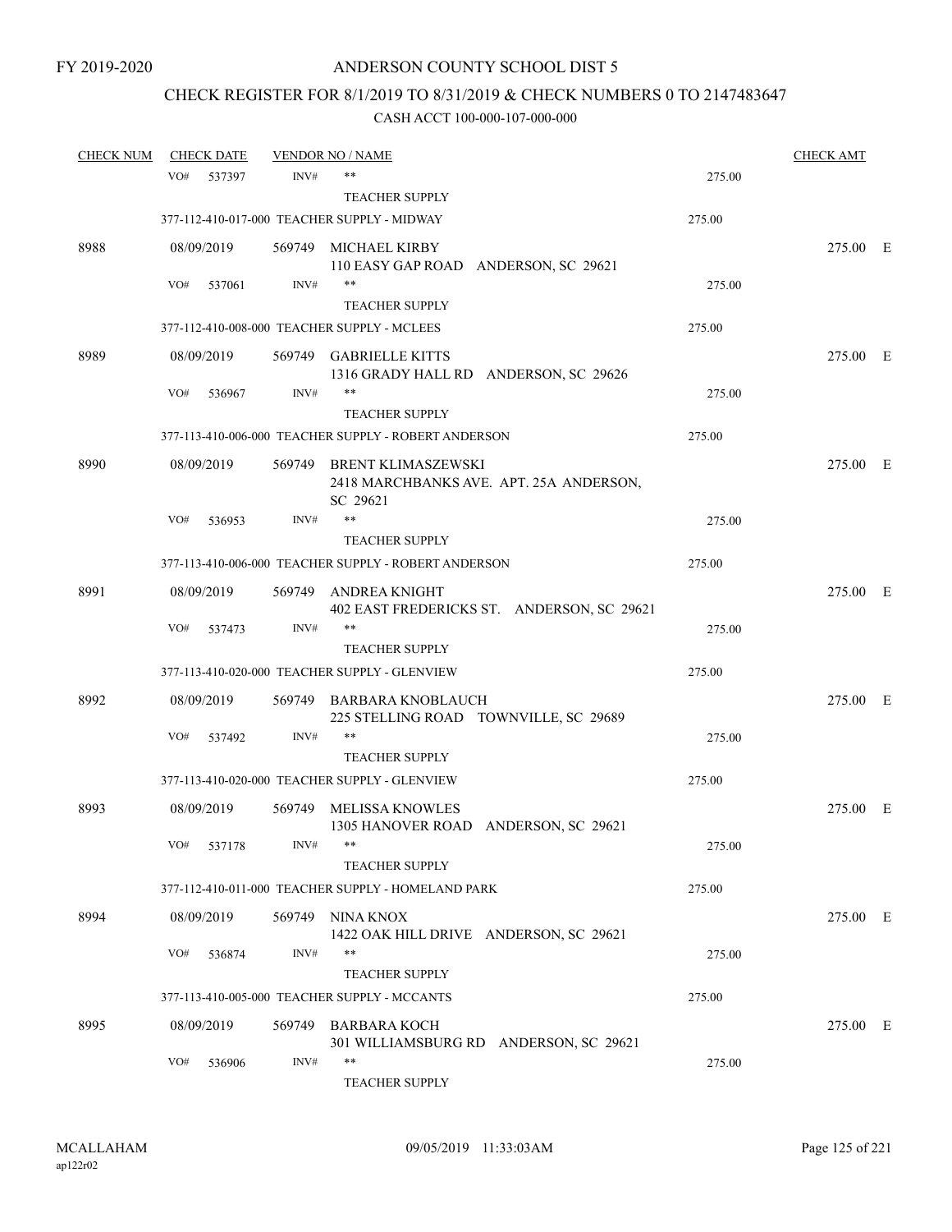# CHECK REGISTER FOR 8/1/2019 TO 8/31/2019 & CHECK NUMBERS 0 TO 2147483647

| <b>CHECK NUM</b> |     | <b>CHECK DATE</b> |        | <b>VENDOR NO / NAME</b>                              |        | <b>CHECK AMT</b> |  |
|------------------|-----|-------------------|--------|------------------------------------------------------|--------|------------------|--|
|                  | VO# | 537397            | INV#   | $***$                                                | 275.00 |                  |  |
|                  |     |                   |        | <b>TEACHER SUPPLY</b>                                |        |                  |  |
|                  |     |                   |        | 377-112-410-017-000 TEACHER SUPPLY - MIDWAY          | 275.00 |                  |  |
| 8988             |     | 08/09/2019        |        | 569749 MICHAEL KIRBY                                 |        | 275.00 E         |  |
|                  |     |                   |        | 110 EASY GAP ROAD ANDERSON, SC 29621                 |        |                  |  |
|                  | VO# | 537061            | INV#   | $***$                                                | 275.00 |                  |  |
|                  |     |                   |        | <b>TEACHER SUPPLY</b>                                |        |                  |  |
|                  |     |                   |        | 377-112-410-008-000 TEACHER SUPPLY - MCLEES          | 275.00 |                  |  |
| 8989             |     | 08/09/2019        |        | 569749 GABRIELLE KITTS                               |        | 275.00 E         |  |
|                  |     |                   |        | 1316 GRADY HALL RD ANDERSON, SC 29626                |        |                  |  |
|                  | VO# | 536967            | INV#   | $***$                                                | 275.00 |                  |  |
|                  |     |                   |        | <b>TEACHER SUPPLY</b>                                |        |                  |  |
|                  |     |                   |        | 377-113-410-006-000 TEACHER SUPPLY - ROBERT ANDERSON | 275.00 |                  |  |
| 8990             |     | 08/09/2019        |        | 569749 BRENT KLIMASZEWSKI                            |        | 275.00 E         |  |
|                  |     |                   |        | 2418 MARCHBANKS AVE. APT. 25A ANDERSON,              |        |                  |  |
|                  |     |                   |        | SC 29621                                             |        |                  |  |
|                  | VO# | 536953            | INV#   | $***$                                                | 275.00 |                  |  |
|                  |     |                   |        | <b>TEACHER SUPPLY</b>                                |        |                  |  |
|                  |     |                   |        | 377-113-410-006-000 TEACHER SUPPLY - ROBERT ANDERSON | 275.00 |                  |  |
| 8991             |     | 08/09/2019        | 569749 | ANDREA KNIGHT                                        |        | 275.00 E         |  |
|                  |     |                   |        | 402 EAST FREDERICKS ST. ANDERSON, SC 29621           |        |                  |  |
|                  | VO# | 537473            | INV#   | $***$                                                | 275.00 |                  |  |
|                  |     |                   |        | <b>TEACHER SUPPLY</b>                                |        |                  |  |
|                  |     |                   |        | 377-113-410-020-000 TEACHER SUPPLY - GLENVIEW        | 275.00 |                  |  |
| 8992             |     | 08/09/2019        |        | 569749 BARBARA KNOBLAUCH                             |        | 275.00 E         |  |
|                  |     |                   |        | 225 STELLING ROAD TOWNVILLE, SC 29689                |        |                  |  |
|                  | VO# | 537492            | INV#   | $***$                                                | 275.00 |                  |  |
|                  |     |                   |        | <b>TEACHER SUPPLY</b>                                |        |                  |  |
|                  |     |                   |        | 377-113-410-020-000 TEACHER SUPPLY - GLENVIEW        | 275.00 |                  |  |
| 8993             |     | 08/09/2019        |        | 569749 MELISSA KNOWLES                               |        | 275.00 E         |  |
|                  |     |                   |        | 1305 HANOVER ROAD ANDERSON, SC 29621                 |        |                  |  |
|                  | VO# | 537178            | INV#   |                                                      | 275.00 |                  |  |
|                  |     |                   |        | <b>TEACHER SUPPLY</b>                                |        |                  |  |
|                  |     |                   |        | 377-112-410-011-000 TEACHER SUPPLY - HOMELAND PARK   | 275.00 |                  |  |
| 8994             |     | 08/09/2019        |        | 569749 NINA KNOX                                     |        | 275.00 E         |  |
|                  |     |                   |        | 1422 OAK HILL DRIVE ANDERSON, SC 29621               |        |                  |  |
|                  | VO# | 536874            | INV#   | $***$                                                | 275.00 |                  |  |
|                  |     |                   |        | <b>TEACHER SUPPLY</b>                                |        |                  |  |
|                  |     |                   |        | 377-113-410-005-000 TEACHER SUPPLY - MCCANTS         | 275.00 |                  |  |
| 8995             |     | 08/09/2019        | 569749 | <b>BARBARA KOCH</b>                                  |        | 275.00 E         |  |
|                  |     |                   |        | 301 WILLIAMSBURG RD ANDERSON, SC 29621               |        |                  |  |
|                  | VO# | 536906            | INV#   | $***$                                                | 275.00 |                  |  |
|                  |     |                   |        | TEACHER SUPPLY                                       |        |                  |  |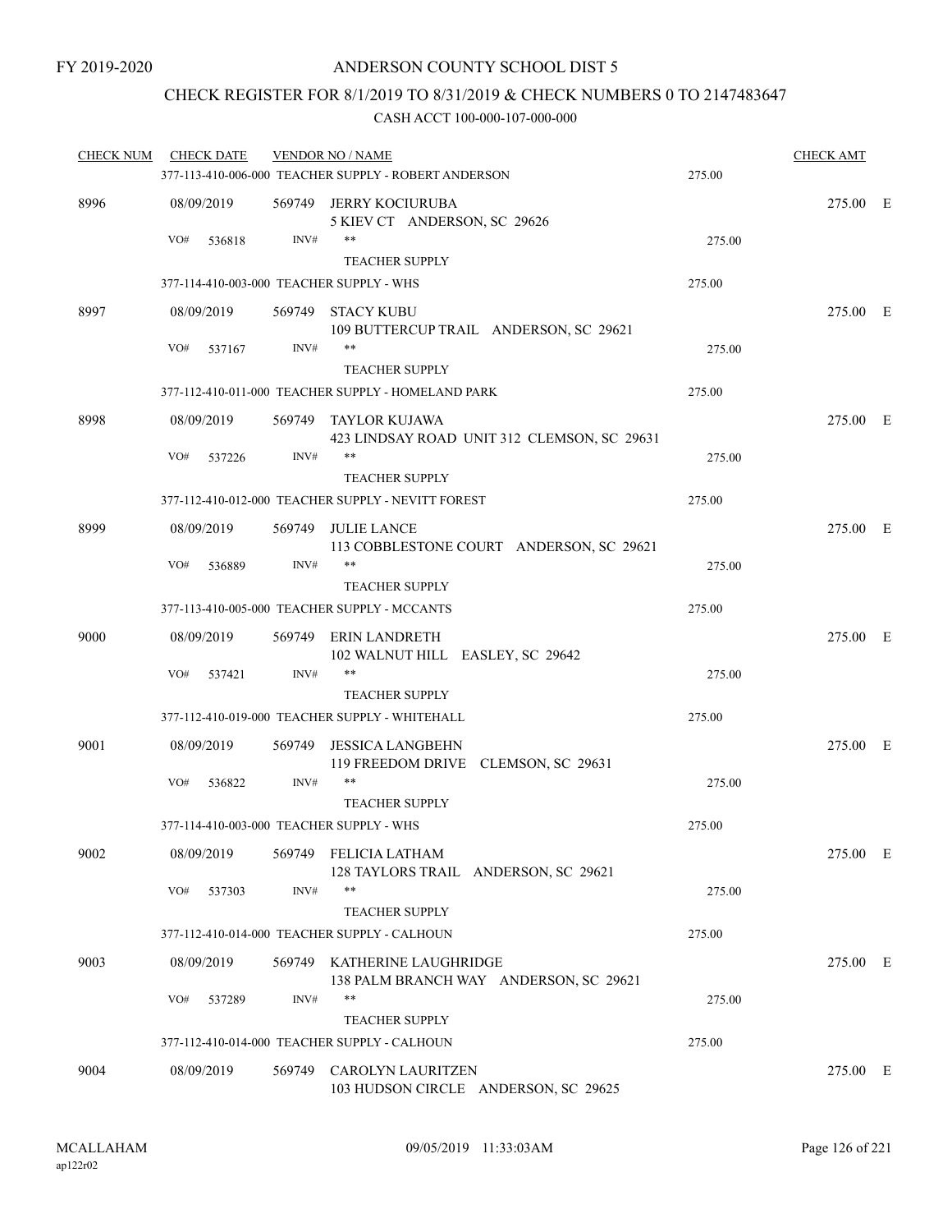# CHECK REGISTER FOR 8/1/2019 TO 8/31/2019 & CHECK NUMBERS 0 TO 2147483647

| <b>CHECK NUM</b> | <b>CHECK DATE</b> |        | <b>VENDOR NO / NAME</b>                                               |        | <b>CHECK AMT</b> |  |
|------------------|-------------------|--------|-----------------------------------------------------------------------|--------|------------------|--|
|                  |                   |        | 377-113-410-006-000 TEACHER SUPPLY - ROBERT ANDERSON                  | 275.00 |                  |  |
| 8996             | 08/09/2019        |        | 569749 JERRY KOCIURUBA<br>5 KIEV CT ANDERSON, SC 29626                |        | 275.00 E         |  |
|                  | VO#<br>536818     | INV#   | **<br><b>TEACHER SUPPLY</b>                                           | 275.00 |                  |  |
|                  |                   |        | 377-114-410-003-000 TEACHER SUPPLY - WHS                              | 275.00 |                  |  |
| 8997             | 08/09/2019        |        | 569749 STACY KUBU<br>109 BUTTERCUP TRAIL ANDERSON, SC 29621           |        | 275.00 E         |  |
|                  | VO#<br>537167     | INV#   | **<br><b>TEACHER SUPPLY</b>                                           | 275.00 |                  |  |
|                  |                   |        | 377-112-410-011-000 TEACHER SUPPLY - HOMELAND PARK                    | 275.00 |                  |  |
| 8998             | 08/09/2019        |        | 569749 TAYLOR KUJAWA                                                  |        | 275.00 E         |  |
|                  | VO#<br>537226     | INV#   | 423 LINDSAY ROAD UNIT 312 CLEMSON, SC 29631<br>**                     | 275.00 |                  |  |
|                  |                   |        | <b>TEACHER SUPPLY</b>                                                 |        |                  |  |
|                  |                   |        | 377-112-410-012-000 TEACHER SUPPLY - NEVITT FOREST                    | 275.00 |                  |  |
| 8999             | 08/09/2019        |        | 569749 JULIE LANCE<br>113 COBBLESTONE COURT ANDERSON, SC 29621        |        | 275.00 E         |  |
|                  | VO#<br>536889     | INV#   | $***$<br><b>TEACHER SUPPLY</b>                                        | 275.00 |                  |  |
|                  |                   |        | 377-113-410-005-000 TEACHER SUPPLY - MCCANTS                          | 275.00 |                  |  |
| 9000             | 08/09/2019        |        | 569749 ERIN LANDRETH<br>102 WALNUT HILL EASLEY, SC 29642              |        | 275.00 E         |  |
|                  | VO#<br>537421     | INV#   | **<br><b>TEACHER SUPPLY</b>                                           | 275.00 |                  |  |
|                  |                   |        | 377-112-410-019-000 TEACHER SUPPLY - WHITEHALL                        | 275.00 |                  |  |
| 9001             | 08/09/2019        | 569749 | <b>JESSICA LANGBEHN</b><br>119 FREEDOM DRIVE CLEMSON, SC 29631        |        | 275.00 E         |  |
|                  | VO#<br>536822     | INV#   | **<br><b>TEACHER SUPPLY</b>                                           | 275.00 |                  |  |
|                  |                   |        | 377-114-410-003-000 TEACHER SUPPLY - WHS                              | 275.00 |                  |  |
| 9002             | 08/09/2019        |        | 569749 FELICIA LATHAM<br>128 TAYLORS TRAIL ANDERSON, SC 29621         |        | 275.00 E         |  |
|                  | VO#<br>537303     | INV#   | **<br><b>TEACHER SUPPLY</b>                                           | 275.00 |                  |  |
|                  |                   |        | 377-112-410-014-000 TEACHER SUPPLY - CALHOUN                          | 275.00 |                  |  |
| 9003             | 08/09/2019        |        | 569749 KATHERINE LAUGHRIDGE<br>138 PALM BRANCH WAY ANDERSON, SC 29621 |        | 275.00 E         |  |
|                  | VO#<br>537289     | INV#   | **<br><b>TEACHER SUPPLY</b>                                           | 275.00 |                  |  |
|                  |                   |        | 377-112-410-014-000 TEACHER SUPPLY - CALHOUN                          | 275.00 |                  |  |
| 9004             | 08/09/2019        | 569749 | <b>CAROLYN LAURITZEN</b><br>103 HUDSON CIRCLE ANDERSON, SC 29625      |        | 275.00 E         |  |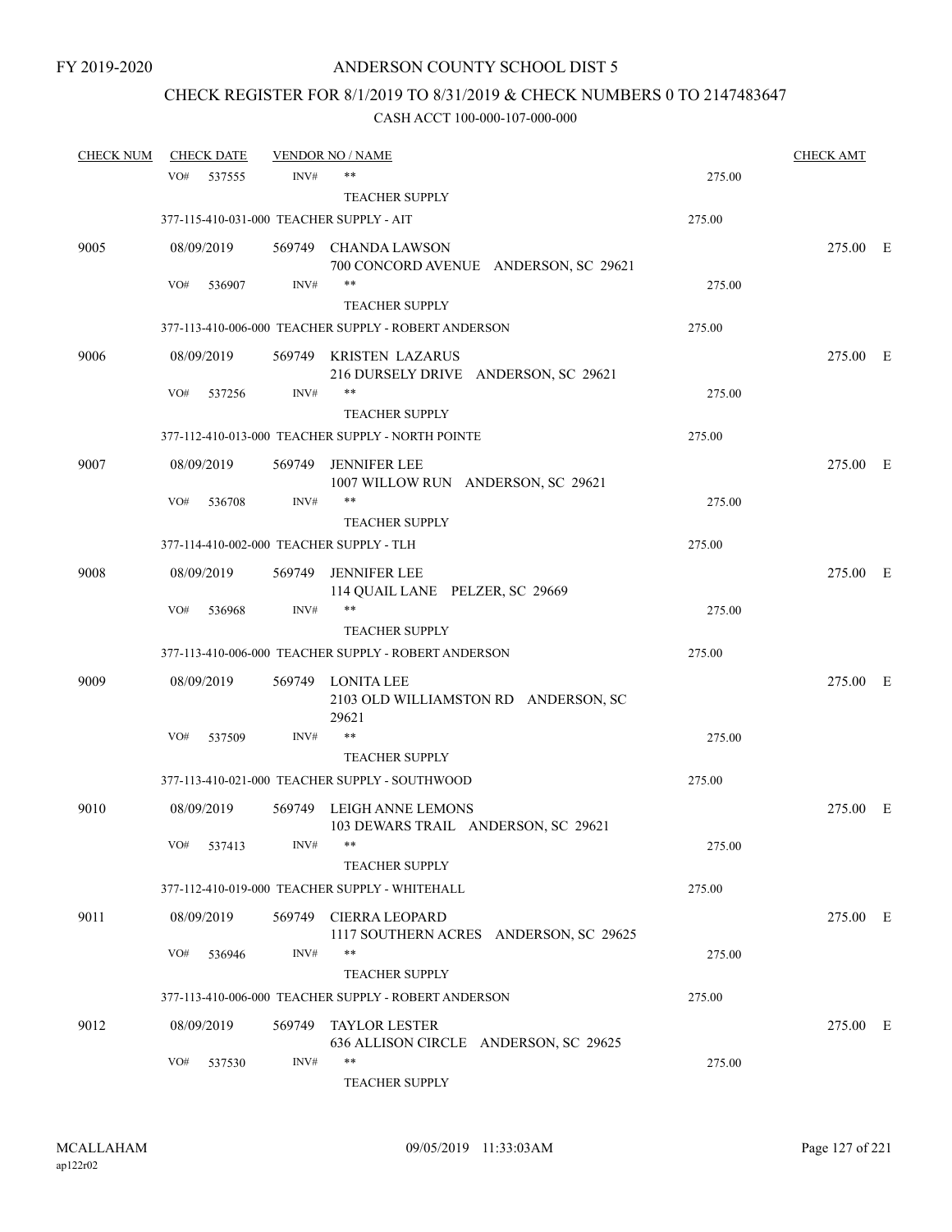# CHECK REGISTER FOR 8/1/2019 TO 8/31/2019 & CHECK NUMBERS 0 TO 2147483647

| <b>CHECK NUM</b> | <b>CHECK DATE</b> |        | <b>VENDOR NO / NAME</b>                                   |        | <b>CHECK AMT</b> |  |
|------------------|-------------------|--------|-----------------------------------------------------------|--------|------------------|--|
|                  | VO#<br>537555     | INV#   | $***$                                                     | 275.00 |                  |  |
|                  |                   |        | <b>TEACHER SUPPLY</b>                                     |        |                  |  |
|                  |                   |        | 377-115-410-031-000 TEACHER SUPPLY - AIT                  | 275.00 |                  |  |
| 9005             | 08/09/2019        |        | 569749 CHANDA LAWSON                                      |        | 275.00 E         |  |
|                  |                   |        | 700 CONCORD AVENUE ANDERSON, SC 29621                     |        |                  |  |
|                  | VO#<br>536907     | INV#   | $***$                                                     | 275.00 |                  |  |
|                  |                   |        | <b>TEACHER SUPPLY</b>                                     |        |                  |  |
|                  |                   |        | 377-113-410-006-000 TEACHER SUPPLY - ROBERT ANDERSON      | 275.00 |                  |  |
| 9006             | 08/09/2019        |        | 569749 KRISTEN LAZARUS                                    |        | 275.00 E         |  |
|                  |                   |        | 216 DURSELY DRIVE ANDERSON, SC 29621<br>$***$             |        |                  |  |
|                  | VO#<br>537256     | INV#   | <b>TEACHER SUPPLY</b>                                     | 275.00 |                  |  |
|                  |                   |        | 377-112-410-013-000 TEACHER SUPPLY - NORTH POINTE         | 275.00 |                  |  |
|                  |                   |        |                                                           |        |                  |  |
| 9007             | 08/09/2019        | 569749 | <b>JENNIFER LEE</b><br>1007 WILLOW RUN ANDERSON, SC 29621 |        | 275.00 E         |  |
|                  | VO#<br>536708     | INV#   | $***$                                                     | 275.00 |                  |  |
|                  |                   |        | <b>TEACHER SUPPLY</b>                                     |        |                  |  |
|                  |                   |        | 377-114-410-002-000 TEACHER SUPPLY - TLH                  | 275.00 |                  |  |
| 9008             | 08/09/2019        | 569749 | <b>JENNIFER LEE</b>                                       |        | 275.00 E         |  |
|                  |                   |        | 114 QUAIL LANE PELZER, SC 29669                           |        |                  |  |
|                  | VO#<br>536968     | INV#   | $***$                                                     | 275.00 |                  |  |
|                  |                   |        | <b>TEACHER SUPPLY</b>                                     |        |                  |  |
|                  |                   |        | 377-113-410-006-000 TEACHER SUPPLY - ROBERT ANDERSON      | 275.00 |                  |  |
| 9009             | 08/09/2019        |        | 569749 LONITA LEE                                         |        | 275.00 E         |  |
|                  |                   |        | 2103 OLD WILLIAMSTON RD ANDERSON, SC<br>29621             |        |                  |  |
|                  | VO#<br>537509     | INV#   | $***$                                                     | 275.00 |                  |  |
|                  |                   |        | <b>TEACHER SUPPLY</b>                                     |        |                  |  |
|                  |                   |        | 377-113-410-021-000 TEACHER SUPPLY - SOUTHWOOD            | 275.00 |                  |  |
| 9010             | 08/09/2019        |        | 569749 LEIGH ANNE LEMONS                                  |        | 275.00 E         |  |
|                  |                   |        | 103 DEWARS TRAIL ANDERSON, SC 29621                       |        |                  |  |
|                  | VO# 537413        | INV#   |                                                           | 275.00 |                  |  |
|                  |                   |        | <b>TEACHER SUPPLY</b>                                     |        |                  |  |
|                  |                   |        | 377-112-410-019-000 TEACHER SUPPLY - WHITEHALL            | 275.00 |                  |  |
| 9011             | 08/09/2019        | 569749 | <b>CIERRA LEOPARD</b>                                     |        | 275.00 E         |  |
|                  |                   |        | 1117 SOUTHERN ACRES ANDERSON, SC 29625                    |        |                  |  |
|                  | VO#<br>536946     | INV#   | $***$                                                     | 275.00 |                  |  |
|                  |                   |        | <b>TEACHER SUPPLY</b>                                     |        |                  |  |
|                  |                   |        | 377-113-410-006-000 TEACHER SUPPLY - ROBERT ANDERSON      | 275.00 |                  |  |
| 9012             | 08/09/2019        |        | 569749 TAYLOR LESTER                                      |        | 275.00 E         |  |
|                  | VO#<br>537530     | INV#   | 636 ALLISON CIRCLE ANDERSON, SC 29625<br>$***$            | 275.00 |                  |  |
|                  |                   |        | TEACHER SUPPLY                                            |        |                  |  |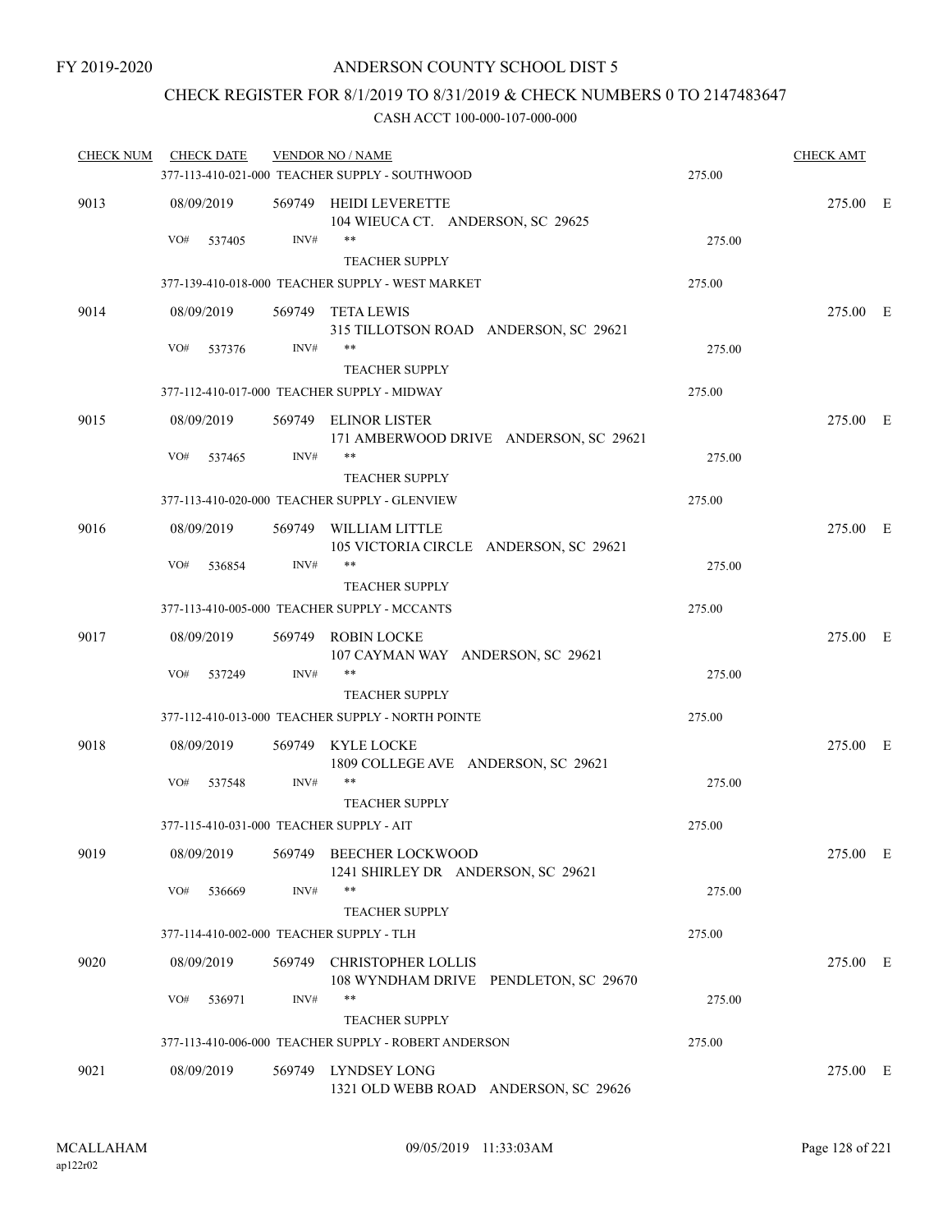### CHECK REGISTER FOR 8/1/2019 TO 8/31/2019 & CHECK NUMBERS 0 TO 2147483647

| <b>CHECK NUM</b> | <b>CHECK DATE</b>                        |        | <b>VENDOR NO / NAME</b>                                                    |        | <b>CHECK AMT</b> |  |
|------------------|------------------------------------------|--------|----------------------------------------------------------------------------|--------|------------------|--|
|                  |                                          |        | 377-113-410-021-000 TEACHER SUPPLY - SOUTHWOOD                             | 275.00 |                  |  |
| 9013             | 08/09/2019                               |        | 569749 HEIDI LEVERETTE<br>104 WIEUCA CT. ANDERSON, SC 29625                |        | 275.00 E         |  |
|                  | VO#<br>537405                            | INV#   | **<br><b>TEACHER SUPPLY</b>                                                | 275.00 |                  |  |
|                  |                                          |        | 377-139-410-018-000 TEACHER SUPPLY - WEST MARKET                           | 275.00 |                  |  |
| 9014             | 08/09/2019                               |        | 569749 TETA LEWIS                                                          |        | 275.00 E         |  |
|                  |                                          |        | 315 TILLOTSON ROAD ANDERSON, SC 29621                                      |        |                  |  |
|                  | VO#<br>537376                            | INV#   | **                                                                         | 275.00 |                  |  |
|                  |                                          |        | <b>TEACHER SUPPLY</b>                                                      |        |                  |  |
|                  |                                          |        | 377-112-410-017-000 TEACHER SUPPLY - MIDWAY                                | 275.00 |                  |  |
| 9015             | 08/09/2019                               |        | 569749 ELINOR LISTER<br>171 AMBERWOOD DRIVE ANDERSON, SC 29621             |        | 275.00 E         |  |
|                  | VO#<br>537465                            | INV#   | **                                                                         | 275.00 |                  |  |
|                  |                                          |        | <b>TEACHER SUPPLY</b>                                                      |        |                  |  |
|                  |                                          |        | 377-113-410-020-000 TEACHER SUPPLY - GLENVIEW                              | 275.00 |                  |  |
| 9016             | 08/09/2019                               |        | 569749 WILLIAM LITTLE<br>105 VICTORIA CIRCLE ANDERSON, SC 29621            |        | 275.00 E         |  |
|                  | VO#<br>536854                            | INV#   | $***$                                                                      | 275.00 |                  |  |
|                  |                                          |        | <b>TEACHER SUPPLY</b>                                                      |        |                  |  |
|                  |                                          |        | 377-113-410-005-000 TEACHER SUPPLY - MCCANTS                               | 275.00 |                  |  |
| 9017             | 08/09/2019                               |        | 569749 ROBIN LOCKE<br>107 CAYMAN WAY ANDERSON, SC 29621                    |        | 275.00 E         |  |
|                  | VO#<br>537249                            | INV#   | **                                                                         | 275.00 |                  |  |
|                  |                                          |        | <b>TEACHER SUPPLY</b><br>377-112-410-013-000 TEACHER SUPPLY - NORTH POINTE | 275.00 |                  |  |
|                  |                                          |        |                                                                            |        |                  |  |
| 9018             | 08/09/2019                               | INV#   | 569749 KYLE LOCKE<br>1809 COLLEGE AVE ANDERSON, SC 29621<br>**             |        | 275.00 E         |  |
|                  | VO#<br>537548                            |        | <b>TEACHER SUPPLY</b>                                                      | 275.00 |                  |  |
|                  | 377-115-410-031-000 TEACHER SUPPLY - AIT |        |                                                                            | 275.00 |                  |  |
|                  |                                          |        |                                                                            |        |                  |  |
| 9019             | 08/09/2019                               |        | 569749 BEECHER LOCKWOOD<br>1241 SHIRLEY DR ANDERSON, SC 29621              |        | 275.00 E         |  |
|                  | VO#<br>536669                            | INV#   | **<br><b>TEACHER SUPPLY</b>                                                | 275.00 |                  |  |
|                  | 377-114-410-002-000 TEACHER SUPPLY - TLH |        |                                                                            | 275.00 |                  |  |
|                  |                                          |        |                                                                            |        |                  |  |
| 9020             | 08/09/2019                               |        | 569749 CHRISTOPHER LOLLIS<br>108 WYNDHAM DRIVE PENDLETON, SC 29670         |        | 275.00 E         |  |
|                  | VO#<br>536971                            | INV#   | **<br><b>TEACHER SUPPLY</b>                                                | 275.00 |                  |  |
|                  |                                          |        | 377-113-410-006-000 TEACHER SUPPLY - ROBERT ANDERSON                       | 275.00 |                  |  |
| 9021             | 08/09/2019                               | 569749 | LYNDSEY LONG<br>1321 OLD WEBB ROAD ANDERSON, SC 29626                      |        | 275.00 E         |  |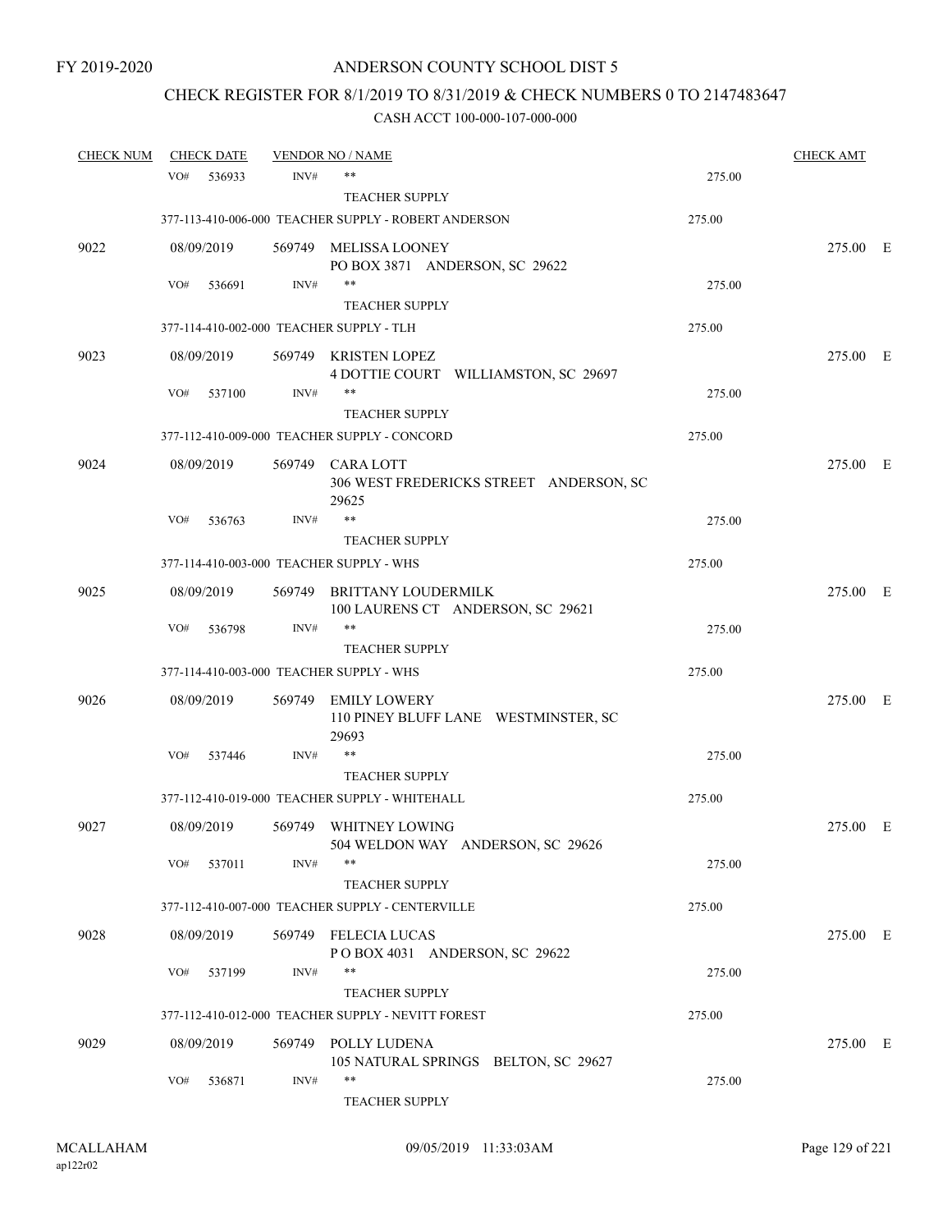# CHECK REGISTER FOR 8/1/2019 TO 8/31/2019 & CHECK NUMBERS 0 TO 2147483647

| <b>CHECK NUM</b> |     | <b>CHECK DATE</b> |        | <b>VENDOR NO / NAME</b>                                              |        | <b>CHECK AMT</b> |  |
|------------------|-----|-------------------|--------|----------------------------------------------------------------------|--------|------------------|--|
|                  | VO# | 536933            | INV#   | $***$                                                                | 275.00 |                  |  |
|                  |     |                   |        | <b>TEACHER SUPPLY</b>                                                |        |                  |  |
|                  |     |                   |        | 377-113-410-006-000 TEACHER SUPPLY - ROBERT ANDERSON                 | 275.00 |                  |  |
| 9022             |     | 08/09/2019        |        | 569749 MELISSA LOONEY<br>PO BOX 3871 ANDERSON, SC 29622              |        | 275.00 E         |  |
|                  | VO# | 536691            | INV#   | $***$                                                                | 275.00 |                  |  |
|                  |     |                   |        | <b>TEACHER SUPPLY</b>                                                |        |                  |  |
|                  |     |                   |        | 377-114-410-002-000 TEACHER SUPPLY - TLH                             | 275.00 |                  |  |
| 9023             |     | 08/09/2019        |        | 569749 KRISTEN LOPEZ<br>4 DOTTIE COURT WILLIAMSTON, SC 29697         |        | 275.00 E         |  |
|                  | VO# | 537100            | INV#   | $***$                                                                | 275.00 |                  |  |
|                  |     |                   |        | <b>TEACHER SUPPLY</b>                                                |        |                  |  |
|                  |     |                   |        | 377-112-410-009-000 TEACHER SUPPLY - CONCORD                         | 275.00 |                  |  |
| 9024             |     | 08/09/2019        |        | 569749 CARA LOTT<br>306 WEST FREDERICKS STREET ANDERSON, SC<br>29625 |        | 275.00 E         |  |
|                  | VO# | 536763            | INV#   | **                                                                   | 275.00 |                  |  |
|                  |     |                   |        | <b>TEACHER SUPPLY</b>                                                |        |                  |  |
|                  |     |                   |        | 377-114-410-003-000 TEACHER SUPPLY - WHS                             | 275.00 |                  |  |
| 9025             |     | 08/09/2019        | 569749 | BRITTANY LOUDERMILK<br>100 LAURENS CT ANDERSON, SC 29621             |        | 275.00 E         |  |
|                  | VO# | 536798            | INV#   | $***$                                                                | 275.00 |                  |  |
|                  |     |                   |        | <b>TEACHER SUPPLY</b>                                                |        |                  |  |
|                  |     |                   |        | 377-114-410-003-000 TEACHER SUPPLY - WHS                             | 275.00 |                  |  |
| 9026             |     | 08/09/2019        | 569749 | <b>EMILY LOWERY</b><br>110 PINEY BLUFF LANE WESTMINSTER, SC<br>29693 |        | 275.00 E         |  |
|                  | VO# | 537446            | INV#   | $***$                                                                | 275.00 |                  |  |
|                  |     |                   |        | <b>TEACHER SUPPLY</b>                                                |        |                  |  |
|                  |     |                   |        | 377-112-410-019-000 TEACHER SUPPLY - WHITEHALL                       | 275.00 |                  |  |
| 9027             |     | 08/09/2019        |        | 569749 WHITNEY LOWING<br>504 WELDON WAY ANDERSON, SC 29626           |        | 275.00 E         |  |
|                  | VO# | 537011            | INV#   | $***$                                                                | 275.00 |                  |  |
|                  |     |                   |        | <b>TEACHER SUPPLY</b>                                                |        |                  |  |
|                  |     |                   |        | 377-112-410-007-000 TEACHER SUPPLY - CENTERVILLE                     | 275.00 |                  |  |
| 9028             |     | 08/09/2019        |        | 569749 FELECIA LUCAS<br>POBOX 4031 ANDERSON, SC 29622                |        | 275.00 E         |  |
|                  | VO# | 537199            | INV#   | $***$                                                                | 275.00 |                  |  |
|                  |     |                   |        | <b>TEACHER SUPPLY</b>                                                |        |                  |  |
|                  |     |                   |        | 377-112-410-012-000 TEACHER SUPPLY - NEVITT FOREST                   | 275.00 |                  |  |
| 9029             |     | 08/09/2019        | 569749 | POLLY LUDENA<br>105 NATURAL SPRINGS BELTON, SC 29627                 |        | 275.00 E         |  |
|                  | VO# | 536871            | INV#   | $***$<br>TEACHER SUPPLY                                              | 275.00 |                  |  |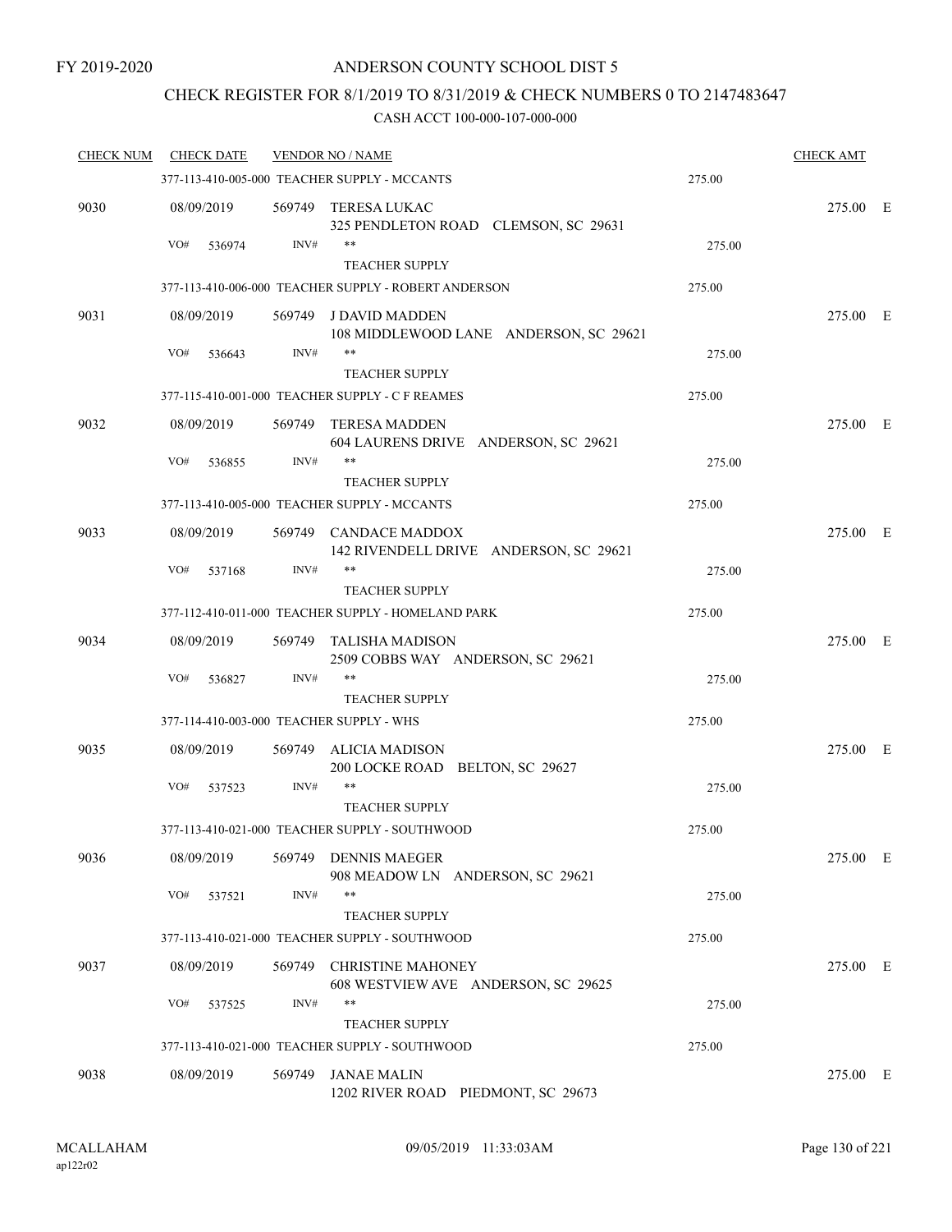### CHECK REGISTER FOR 8/1/2019 TO 8/31/2019 & CHECK NUMBERS 0 TO 2147483647

| <b>CHECK NUM</b> | <b>CHECK DATE</b> |        | <b>VENDOR NO / NAME</b>                                                     |        | <b>CHECK AMT</b> |  |
|------------------|-------------------|--------|-----------------------------------------------------------------------------|--------|------------------|--|
|                  |                   |        | 377-113-410-005-000 TEACHER SUPPLY - MCCANTS                                | 275.00 |                  |  |
| 9030             | 08/09/2019        |        | 569749 TERESA LUKAC<br>325 PENDLETON ROAD CLEMSON, SC 29631                 |        | 275.00 E         |  |
|                  | VO#<br>536974     | INV#   | **                                                                          | 275.00 |                  |  |
|                  |                   |        | <b>TEACHER SUPPLY</b>                                                       |        |                  |  |
|                  |                   |        | 377-113-410-006-000 TEACHER SUPPLY - ROBERT ANDERSON                        | 275.00 |                  |  |
| 9031             | 08/09/2019        | 569749 | J DAVID MADDEN<br>108 MIDDLEWOOD LANE ANDERSON, SC 29621                    |        | 275.00 E         |  |
|                  | VO#<br>536643     | INV#   | **<br><b>TEACHER SUPPLY</b>                                                 | 275.00 |                  |  |
|                  |                   |        | 377-115-410-001-000 TEACHER SUPPLY - C F REAMES                             | 275.00 |                  |  |
| 9032             | 08/09/2019        |        | 569749 TERESA MADDEN<br>604 LAURENS DRIVE ANDERSON, SC 29621                |        | 275.00 E         |  |
|                  | VO#<br>536855     | INV#   |                                                                             | 275.00 |                  |  |
|                  |                   |        | <b>TEACHER SUPPLY</b>                                                       |        |                  |  |
|                  |                   |        | 377-113-410-005-000 TEACHER SUPPLY - MCCANTS                                | 275.00 |                  |  |
| 9033             | 08/09/2019        |        | 569749 CANDACE MADDOX<br>142 RIVENDELL DRIVE ANDERSON, SC 29621             |        | 275.00 E         |  |
|                  | VO#<br>537168     | INV#   | **                                                                          | 275.00 |                  |  |
|                  |                   |        | <b>TEACHER SUPPLY</b><br>377-112-410-011-000 TEACHER SUPPLY - HOMELAND PARK | 275.00 |                  |  |
|                  |                   |        |                                                                             |        |                  |  |
| 9034             | 08/09/2019        |        | 569749 TALISHA MADISON<br>2509 COBBS WAY ANDERSON, SC 29621                 |        | 275.00 E         |  |
|                  | VO#<br>536827     | INV#   | **                                                                          | 275.00 |                  |  |
|                  |                   |        | <b>TEACHER SUPPLY</b>                                                       |        |                  |  |
|                  |                   |        | 377-114-410-003-000 TEACHER SUPPLY - WHS                                    | 275.00 |                  |  |
| 9035             | 08/09/2019        | 569749 | ALICIA MADISON<br>200 LOCKE ROAD BELTON, SC 29627                           |        | 275.00 E         |  |
|                  | VO#<br>537523     | INV#   | **                                                                          | 275.00 |                  |  |
|                  |                   |        | <b>TEACHER SUPPLY</b>                                                       |        |                  |  |
|                  |                   |        | 377-113-410-021-000 TEACHER SUPPLY - SOUTHWOOD                              | 275.00 |                  |  |
| 9036             | 08/09/2019        |        | 569749 DENNIS MAEGER<br>908 MEADOW LN ANDERSON, SC 29621                    |        | 275.00 E         |  |
|                  | VO#<br>537521     | INV#   | **<br><b>TEACHER SUPPLY</b>                                                 | 275.00 |                  |  |
|                  |                   |        | 377-113-410-021-000 TEACHER SUPPLY - SOUTHWOOD                              | 275.00 |                  |  |
|                  |                   |        |                                                                             |        |                  |  |
| 9037             | 08/09/2019        |        | 569749 CHRISTINE MAHONEY<br>608 WESTVIEW AVE ANDERSON, SC 29625<br>**       |        | 275.00 E         |  |
|                  | VO#<br>537525     | INV#   | <b>TEACHER SUPPLY</b>                                                       | 275.00 |                  |  |
|                  |                   |        | 377-113-410-021-000 TEACHER SUPPLY - SOUTHWOOD                              | 275.00 |                  |  |
| 9038             | 08/09/2019        |        | 569749 JANAE MALIN                                                          |        | 275.00 E         |  |
|                  |                   |        | 1202 RIVER ROAD PIEDMONT, SC 29673                                          |        |                  |  |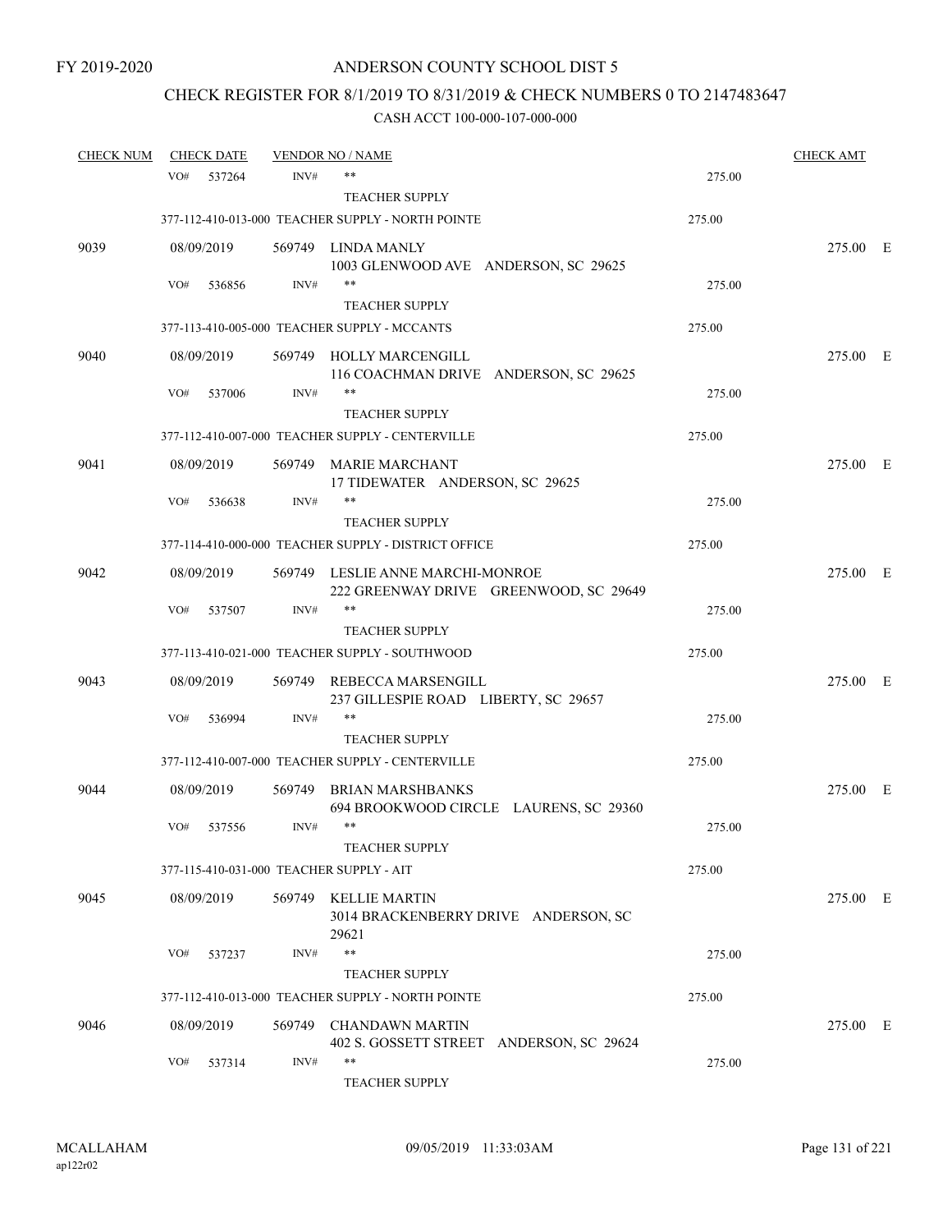# CHECK REGISTER FOR 8/1/2019 TO 8/31/2019 & CHECK NUMBERS 0 TO 2147483647

| <b>CHECK NUM</b> |            | <b>CHECK DATE</b> |        | <b>VENDOR NO / NAME</b>                                                    |        | <b>CHECK AMT</b> |  |
|------------------|------------|-------------------|--------|----------------------------------------------------------------------------|--------|------------------|--|
|                  | VO#        | 537264            | INV#   | $***$                                                                      | 275.00 |                  |  |
|                  |            |                   |        | <b>TEACHER SUPPLY</b>                                                      |        |                  |  |
|                  |            |                   |        | 377-112-410-013-000 TEACHER SUPPLY - NORTH POINTE                          | 275.00 |                  |  |
| 9039             | 08/09/2019 |                   |        | 569749 LINDA MANLY<br>1003 GLENWOOD AVE ANDERSON, SC 29625                 |        | 275.00 E         |  |
|                  | VO#        | 536856            | INV#   | $***$                                                                      | 275.00 |                  |  |
|                  |            |                   |        | <b>TEACHER SUPPLY</b>                                                      |        |                  |  |
|                  |            |                   |        | 377-113-410-005-000 TEACHER SUPPLY - MCCANTS                               | 275.00 |                  |  |
| 9040             | 08/09/2019 |                   |        | 569749 HOLLY MARCENGILL<br>116 COACHMAN DRIVE ANDERSON, SC 29625           |        | 275.00 E         |  |
|                  | VO#        | 537006            | INV#   | $***$                                                                      | 275.00 |                  |  |
|                  |            |                   |        | <b>TEACHER SUPPLY</b>                                                      |        |                  |  |
|                  |            |                   |        | 377-112-410-007-000 TEACHER SUPPLY - CENTERVILLE                           | 275.00 |                  |  |
| 9041             | 08/09/2019 |                   |        | 569749 MARIE MARCHANT<br>17 TIDEWATER ANDERSON, SC 29625                   |        | 275.00 E         |  |
|                  | VO#        | 536638            | INV#   |                                                                            | 275.00 |                  |  |
|                  |            |                   |        | <b>TEACHER SUPPLY</b>                                                      |        |                  |  |
|                  |            |                   |        | 377-114-410-000-000 TEACHER SUPPLY - DISTRICT OFFICE                       | 275.00 |                  |  |
| 9042             | 08/09/2019 |                   |        | 569749 LESLIE ANNE MARCHI-MONROE<br>222 GREENWAY DRIVE GREENWOOD, SC 29649 |        | 275.00 E         |  |
|                  | VO#        | 537507            | INV#   | $***$                                                                      | 275.00 |                  |  |
|                  |            |                   |        | <b>TEACHER SUPPLY</b>                                                      |        |                  |  |
|                  |            |                   |        | 377-113-410-021-000 TEACHER SUPPLY - SOUTHWOOD                             | 275.00 |                  |  |
| 9043             | 08/09/2019 |                   | 569749 | REBECCA MARSENGILL<br>237 GILLESPIE ROAD LIBERTY, SC 29657                 |        | 275.00 E         |  |
|                  | VO#        | 536994            | INV#   | $***$                                                                      | 275.00 |                  |  |
|                  |            |                   |        | <b>TEACHER SUPPLY</b>                                                      |        |                  |  |
|                  |            |                   |        | 377-112-410-007-000 TEACHER SUPPLY - CENTERVILLE                           | 275.00 |                  |  |
| 9044             | 08/09/2019 |                   | 569749 | <b>BRIAN MARSHBANKS</b><br>694 BROOKWOOD CIRCLE LAURENS, SC 29360          |        | 275.00 E         |  |
|                  | VO#        | 537556            | INV#   | $***$                                                                      | 275.00 |                  |  |
|                  |            |                   |        | <b>TEACHER SUPPLY</b>                                                      |        |                  |  |
|                  |            |                   |        | 377-115-410-031-000 TEACHER SUPPLY - AIT                                   | 275.00 |                  |  |
| 9045             | 08/09/2019 |                   |        | 569749 KELLIE MARTIN<br>3014 BRACKENBERRY DRIVE ANDERSON, SC<br>29621      |        | 275.00 E         |  |
|                  | VO#        | 537237            | INV#   | $***$                                                                      | 275.00 |                  |  |
|                  |            |                   |        | <b>TEACHER SUPPLY</b>                                                      |        |                  |  |
|                  |            |                   |        | 377-112-410-013-000 TEACHER SUPPLY - NORTH POINTE                          | 275.00 |                  |  |
| 9046             | 08/09/2019 |                   | 569749 | <b>CHANDAWN MARTIN</b><br>402 S. GOSSETT STREET ANDERSON, SC 29624         |        | 275.00 E         |  |
|                  | VO#        | 537314            | INV#   | $***$<br>TEACHER SUPPLY                                                    | 275.00 |                  |  |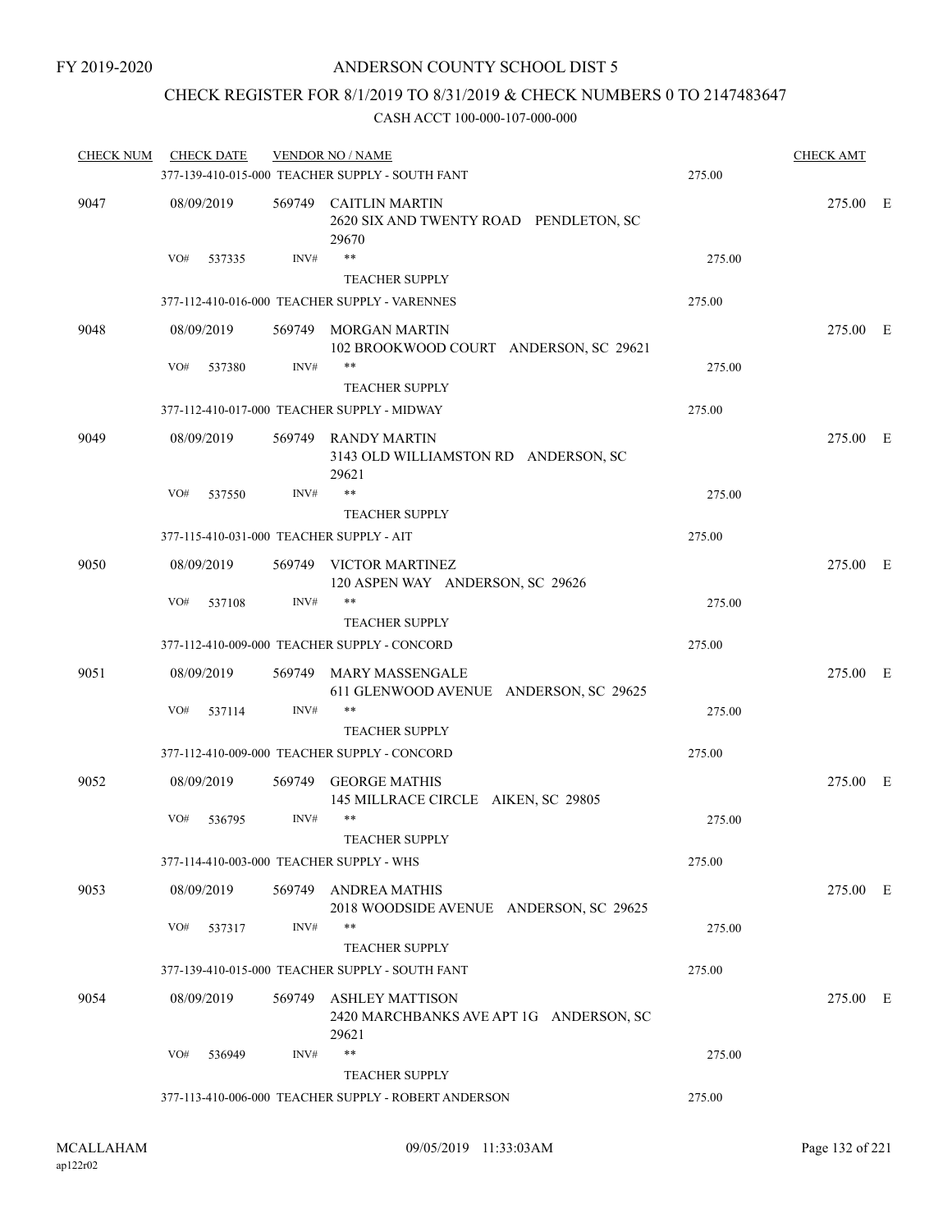# CHECK REGISTER FOR 8/1/2019 TO 8/31/2019 & CHECK NUMBERS 0 TO 2147483647

| <b>CHECK NUM</b> | <b>CHECK DATE</b>                        |        | <b>VENDOR NO / NAME</b>                                                    |        | <b>CHECK AMT</b> |  |
|------------------|------------------------------------------|--------|----------------------------------------------------------------------------|--------|------------------|--|
|                  |                                          |        | 377-139-410-015-000 TEACHER SUPPLY - SOUTH FANT                            | 275.00 |                  |  |
| 9047             | 08/09/2019                               |        | 569749 CAITLIN MARTIN<br>2620 SIX AND TWENTY ROAD PENDLETON, SC<br>29670   |        | 275.00 E         |  |
|                  | VO#<br>537335                            | INV#   | $***$<br><b>TEACHER SUPPLY</b>                                             | 275.00 |                  |  |
|                  |                                          |        | 377-112-410-016-000 TEACHER SUPPLY - VARENNES                              | 275.00 |                  |  |
| 9048             | 08/09/2019                               |        | 569749 MORGAN MARTIN<br>102 BROOKWOOD COURT ANDERSON, SC 29621             |        | 275.00 E         |  |
|                  | VO#<br>537380                            | INV#   | $***$<br><b>TEACHER SUPPLY</b>                                             | 275.00 |                  |  |
|                  |                                          |        | 377-112-410-017-000 TEACHER SUPPLY - MIDWAY                                | 275.00 |                  |  |
| 9049             | 08/09/2019                               |        | 569749 RANDY MARTIN<br>3143 OLD WILLIAMSTON RD ANDERSON, SC<br>29621       |        | 275.00 E         |  |
|                  | VO#<br>537550                            | INV#   | $\ast\ast$<br><b>TEACHER SUPPLY</b>                                        | 275.00 |                  |  |
|                  | 377-115-410-031-000 TEACHER SUPPLY - AIT |        |                                                                            | 275.00 |                  |  |
| 9050             | 08/09/2019                               |        | 569749 VICTOR MARTINEZ<br>120 ASPEN WAY ANDERSON, SC 29626                 |        | 275.00 E         |  |
|                  | VO#<br>537108                            | INV#   | $***$<br><b>TEACHER SUPPLY</b>                                             | 275.00 |                  |  |
|                  |                                          |        | 377-112-410-009-000 TEACHER SUPPLY - CONCORD                               | 275.00 |                  |  |
| 9051             | 08/09/2019                               |        | 569749 MARY MASSENGALE<br>611 GLENWOOD AVENUE ANDERSON, SC 29625           |        | 275.00 E         |  |
|                  | VO#<br>537114                            | INV#   | **<br><b>TEACHER SUPPLY</b>                                                | 275.00 |                  |  |
|                  |                                          |        | 377-112-410-009-000 TEACHER SUPPLY - CONCORD                               | 275.00 |                  |  |
| 9052             | 08/09/2019                               | 569749 | <b>GEORGE MATHIS</b><br>145 MILLRACE CIRCLE AIKEN, SC 29805                |        | 275.00 E         |  |
|                  | VO#<br>536795                            | INV#   | **<br><b>TEACHER SUPPLY</b>                                                | 275.00 |                  |  |
|                  | 377-114-410-003-000 TEACHER SUPPLY - WHS |        |                                                                            | 275.00 |                  |  |
| 9053             | 08/09/2019                               |        | 569749 ANDREA MATHIS<br>2018 WOODSIDE AVENUE ANDERSON, SC 29625            |        | 275.00 E         |  |
|                  | VO#<br>537317                            | INV#   | **<br>TEACHER SUPPLY                                                       | 275.00 |                  |  |
|                  |                                          |        | 377-139-410-015-000 TEACHER SUPPLY - SOUTH FANT                            | 275.00 |                  |  |
| 9054             | 08/09/2019                               |        | 569749 ASHLEY MATTISON<br>2420 MARCHBANKS AVE APT 1G ANDERSON, SC<br>29621 |        | 275.00 E         |  |
|                  | VO#<br>536949                            | INV#   | **<br><b>TEACHER SUPPLY</b>                                                | 275.00 |                  |  |
|                  |                                          |        | 377-113-410-006-000 TEACHER SUPPLY - ROBERT ANDERSON                       | 275.00 |                  |  |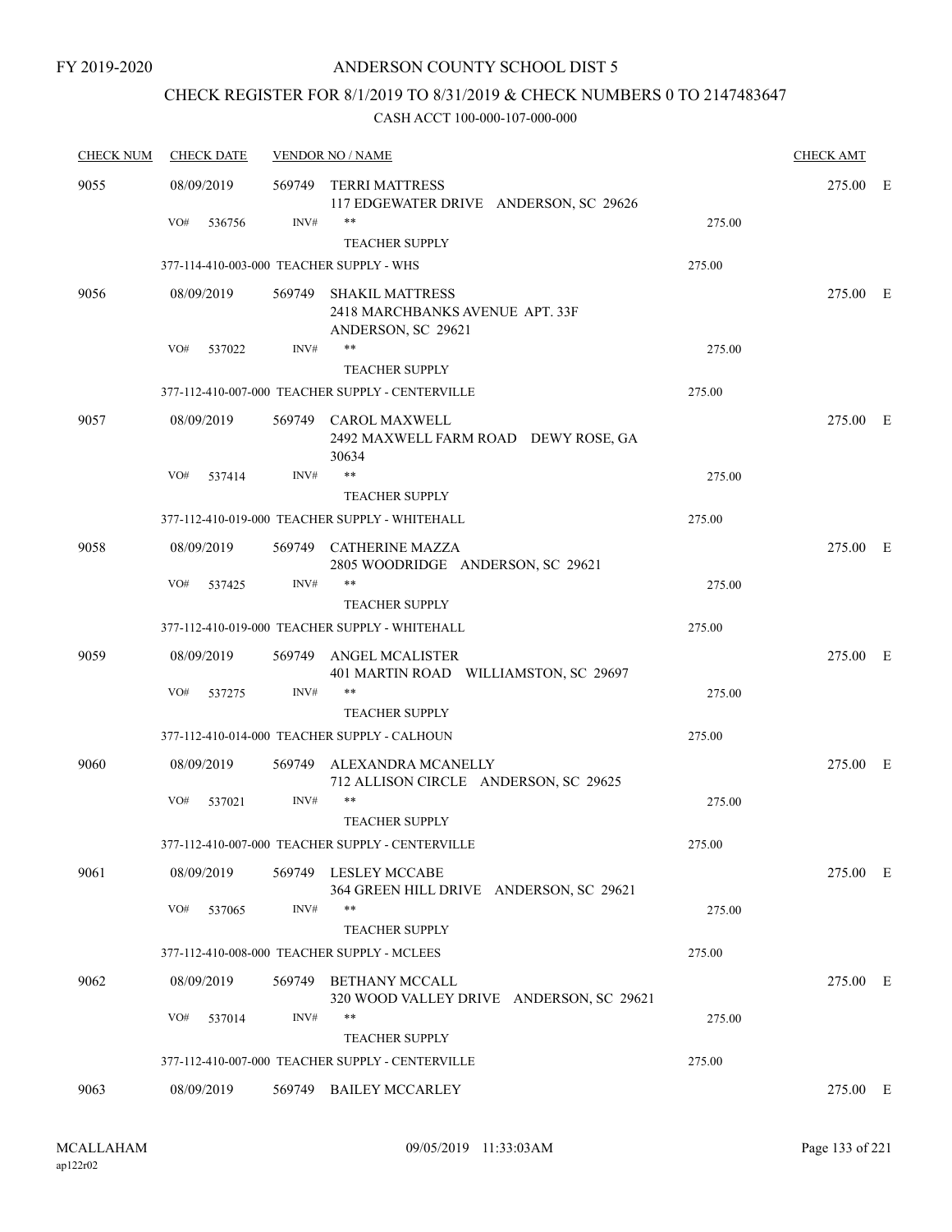# CHECK REGISTER FOR 8/1/2019 TO 8/31/2019 & CHECK NUMBERS 0 TO 2147483647

| <b>CHECK NUM</b> | <b>CHECK DATE</b>                        |        | <b>VENDOR NO / NAME</b>                                           |        | <b>CHECK AMT</b> |     |
|------------------|------------------------------------------|--------|-------------------------------------------------------------------|--------|------------------|-----|
| 9055             | 08/09/2019                               | 569749 | <b>TERRI MATTRESS</b><br>117 EDGEWATER DRIVE ANDERSON, SC 29626   |        | 275.00           | – E |
|                  | VO#<br>536756                            | INV#   | $***$                                                             | 275.00 |                  |     |
|                  |                                          |        | <b>TEACHER SUPPLY</b>                                             |        |                  |     |
|                  | 377-114-410-003-000 TEACHER SUPPLY - WHS |        |                                                                   | 275.00 |                  |     |
| 9056             | 08/09/2019                               | 569749 | <b>SHAKIL MATTRESS</b><br>2418 MARCHBANKS AVENUE APT. 33F         |        | 275.00 E         |     |
|                  |                                          |        | ANDERSON, SC 29621                                                |        |                  |     |
|                  | VO#<br>537022                            | INV#   | $***$                                                             | 275.00 |                  |     |
|                  |                                          |        | <b>TEACHER SUPPLY</b>                                             |        |                  |     |
|                  |                                          |        | 377-112-410-007-000 TEACHER SUPPLY - CENTERVILLE                  | 275.00 |                  |     |
| 9057             | 08/09/2019                               |        | 569749 CAROL MAXWELL                                              |        | 275.00 E         |     |
|                  |                                          |        | 2492 MAXWELL FARM ROAD DEWY ROSE, GA<br>30634                     |        |                  |     |
|                  | VO#<br>537414                            | INV#   | $***$                                                             | 275.00 |                  |     |
|                  |                                          |        | <b>TEACHER SUPPLY</b>                                             |        |                  |     |
|                  |                                          |        | 377-112-410-019-000 TEACHER SUPPLY - WHITEHALL                    | 275.00 |                  |     |
| 9058             | 08/09/2019                               |        | 569749 CATHERINE MAZZA<br>2805 WOODRIDGE ANDERSON, SC 29621       |        | 275.00 E         |     |
|                  | VO#<br>537425                            | INV#   | $***$                                                             | 275.00 |                  |     |
|                  |                                          |        | <b>TEACHER SUPPLY</b>                                             |        |                  |     |
|                  |                                          |        | 377-112-410-019-000 TEACHER SUPPLY - WHITEHALL                    | 275.00 |                  |     |
| 9059             | 08/09/2019                               | 569749 | <b>ANGEL MCALISTER</b><br>401 MARTIN ROAD WILLIAMSTON, SC 29697   |        | 275.00 E         |     |
|                  | VO#<br>537275                            | INV#   | $***$                                                             | 275.00 |                  |     |
|                  |                                          |        | <b>TEACHER SUPPLY</b>                                             |        |                  |     |
|                  |                                          |        | 377-112-410-014-000 TEACHER SUPPLY - CALHOUN                      | 275.00 |                  |     |
| 9060             | 08/09/2019                               | 569749 | ALEXANDRA MCANELLY<br>712 ALLISON CIRCLE ANDERSON, SC 29625       |        | 275.00 E         |     |
|                  | VO#<br>537021                            | INV#   | $***$                                                             | 275.00 |                  |     |
|                  |                                          |        | <b>TEACHER SUPPLY</b>                                             |        |                  |     |
|                  |                                          |        | 377-112-410-007-000 TEACHER SUPPLY - CENTERVILLE                  | 275.00 |                  |     |
| 9061             | 08/09/2019                               |        | 569749 LESLEY MCCABE<br>364 GREEN HILL DRIVE ANDERSON, SC 29621   |        | 275.00 E         |     |
|                  | VO#<br>537065                            | INV#   | $***$                                                             | 275.00 |                  |     |
|                  |                                          |        | <b>TEACHER SUPPLY</b>                                             |        |                  |     |
|                  |                                          |        | 377-112-410-008-000 TEACHER SUPPLY - MCLEES                       | 275.00 |                  |     |
| 9062             | 08/09/2019                               | 569749 | <b>BETHANY MCCALL</b><br>320 WOOD VALLEY DRIVE ANDERSON, SC 29621 |        | 275.00 E         |     |
|                  | VO#<br>537014                            | INV#   | **                                                                | 275.00 |                  |     |
|                  |                                          |        | <b>TEACHER SUPPLY</b>                                             |        |                  |     |
|                  |                                          |        | 377-112-410-007-000 TEACHER SUPPLY - CENTERVILLE                  | 275.00 |                  |     |
| 9063             | 08/09/2019                               | 569749 | <b>BAILEY MCCARLEY</b>                                            |        | 275.00 E         |     |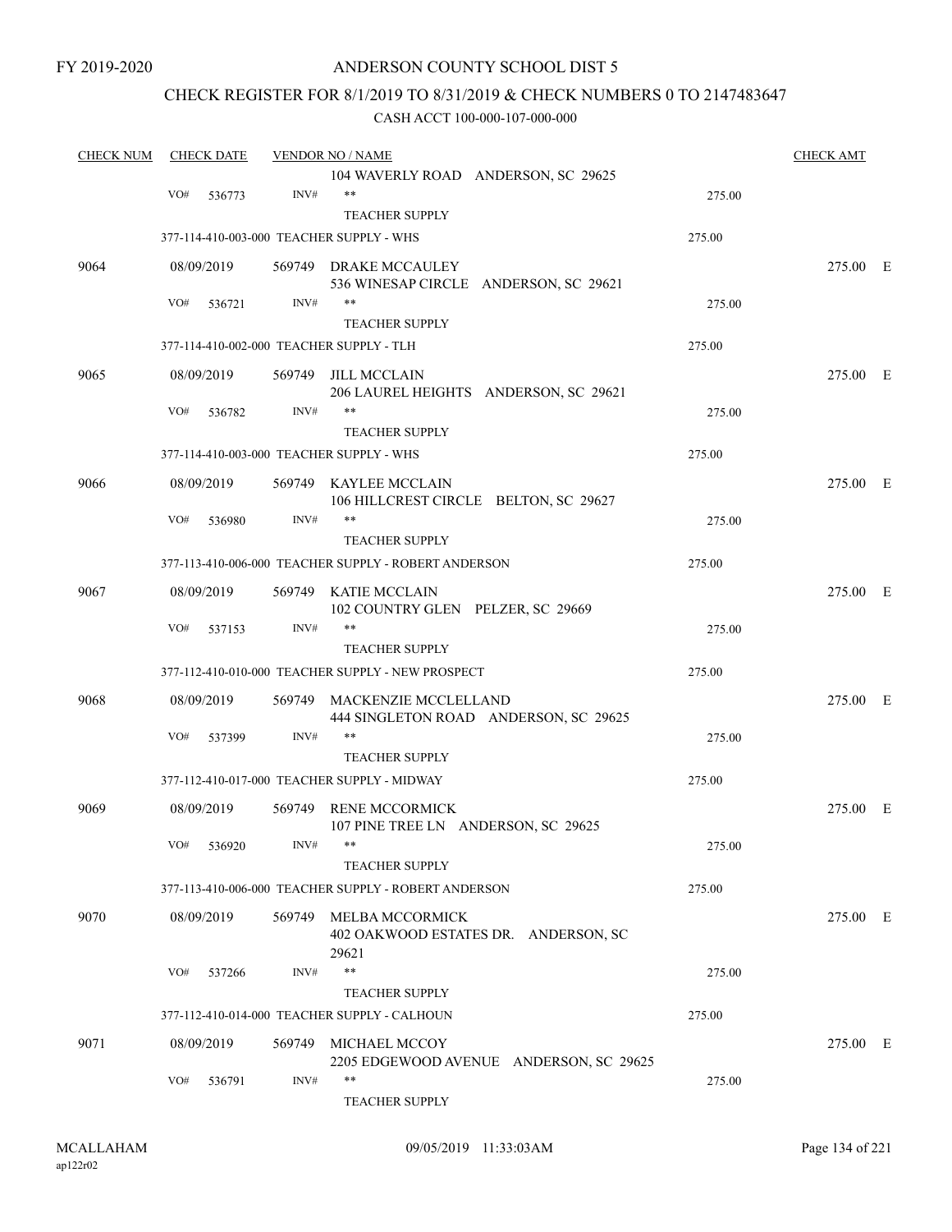FY 2019-2020

### ANDERSON COUNTY SCHOOL DIST 5

#### CHECK REGISTER FOR 8/1/2019 TO 8/31/2019 & CHECK NUMBERS 0 TO 2147483647

| <b>CHECK NUM</b> | <b>CHECK DATE</b> |            |        | <b>VENDOR NO / NAME</b>                              |        |          |  |
|------------------|-------------------|------------|--------|------------------------------------------------------|--------|----------|--|
|                  |                   |            |        | 104 WAVERLY ROAD ANDERSON, SC 29625                  |        |          |  |
|                  | VO#               | 536773     | INV#   | $**$                                                 | 275.00 |          |  |
|                  |                   |            |        | <b>TEACHER SUPPLY</b>                                |        |          |  |
|                  |                   |            |        | 377-114-410-003-000 TEACHER SUPPLY - WHS             | 275.00 |          |  |
| 9064             |                   | 08/09/2019 |        | 569749 DRAKE MCCAULEY                                |        | 275.00 E |  |
|                  |                   |            |        | 536 WINESAP CIRCLE ANDERSON, SC 29621                |        |          |  |
|                  | VO#               | 536721     | INV#   | **                                                   | 275.00 |          |  |
|                  |                   |            |        | <b>TEACHER SUPPLY</b>                                |        |          |  |
|                  |                   |            |        | 377-114-410-002-000 TEACHER SUPPLY - TLH             | 275.00 |          |  |
| 9065             |                   | 08/09/2019 | 569749 | JILL MCCLAIN                                         |        | 275.00 E |  |
|                  |                   |            |        | 206 LAUREL HEIGHTS ANDERSON, SC 29621                |        |          |  |
|                  | VO#               | 536782     | INV#   |                                                      | 275.00 |          |  |
|                  |                   |            |        | <b>TEACHER SUPPLY</b>                                |        |          |  |
|                  |                   |            |        | 377-114-410-003-000 TEACHER SUPPLY - WHS             | 275.00 |          |  |
| 9066             |                   | 08/09/2019 |        | 569749 KAYLEE MCCLAIN                                |        | 275.00 E |  |
|                  |                   |            |        | 106 HILLCREST CIRCLE BELTON, SC 29627                |        |          |  |
|                  | VO#               | 536980     | INV#   | **                                                   | 275.00 |          |  |
|                  |                   |            |        | <b>TEACHER SUPPLY</b>                                |        |          |  |
|                  |                   |            |        | 377-113-410-006-000 TEACHER SUPPLY - ROBERT ANDERSON | 275.00 |          |  |
| 9067             |                   | 08/09/2019 |        | 569749 KATIE MCCLAIN                                 |        | 275.00 E |  |
|                  |                   |            |        | 102 COUNTRY GLEN PELZER, SC 29669                    |        |          |  |
|                  | VO#               | 537153     | INV#   | **                                                   | 275.00 |          |  |
|                  |                   |            |        | <b>TEACHER SUPPLY</b>                                |        |          |  |
|                  |                   |            |        | 377-112-410-010-000 TEACHER SUPPLY - NEW PROSPECT    | 275.00 |          |  |
| 9068             |                   | 08/09/2019 | 569749 | MACKENZIE MCCLELLAND                                 |        | 275.00 E |  |
|                  |                   |            |        | 444 SINGLETON ROAD ANDERSON, SC 29625                |        |          |  |
|                  | VO#               | 537399     | INV#   | **                                                   | 275.00 |          |  |
|                  |                   |            |        | <b>TEACHER SUPPLY</b>                                |        |          |  |
|                  |                   |            |        | 377-112-410-017-000 TEACHER SUPPLY - MIDWAY          | 275.00 |          |  |
| 9069             |                   | 08/09/2019 |        | 569749 RENE MCCORMICK                                |        | 275.00 E |  |
|                  |                   |            |        | 107 PINE TREE LN ANDERSON, SC 29625                  |        |          |  |
|                  |                   | VO# 536920 | INV#   | **                                                   | 275.00 |          |  |
|                  |                   |            |        | <b>TEACHER SUPPLY</b>                                |        |          |  |
|                  |                   |            |        | 377-113-410-006-000 TEACHER SUPPLY - ROBERT ANDERSON | 275.00 |          |  |
| 9070             |                   | 08/09/2019 |        | 569749 MELBA MCCORMICK                               |        | 275.00 E |  |
|                  |                   |            |        | 402 OAKWOOD ESTATES DR. ANDERSON, SC                 |        |          |  |
|                  |                   |            |        | 29621                                                |        |          |  |
|                  | VO#               | 537266     | INV#   | **                                                   | 275.00 |          |  |
|                  |                   |            |        | <b>TEACHER SUPPLY</b>                                |        |          |  |
|                  |                   |            |        | 377-112-410-014-000 TEACHER SUPPLY - CALHOUN         | 275.00 |          |  |
| 9071             |                   | 08/09/2019 |        | 569749 MICHAEL MCCOY                                 |        | 275.00 E |  |
|                  |                   |            |        | 2205 EDGEWOOD AVENUE ANDERSON, SC 29625              |        |          |  |
|                  | VO#               | 536791     | INV#   | **                                                   | 275.00 |          |  |
|                  |                   |            |        | <b>TEACHER SUPPLY</b>                                |        |          |  |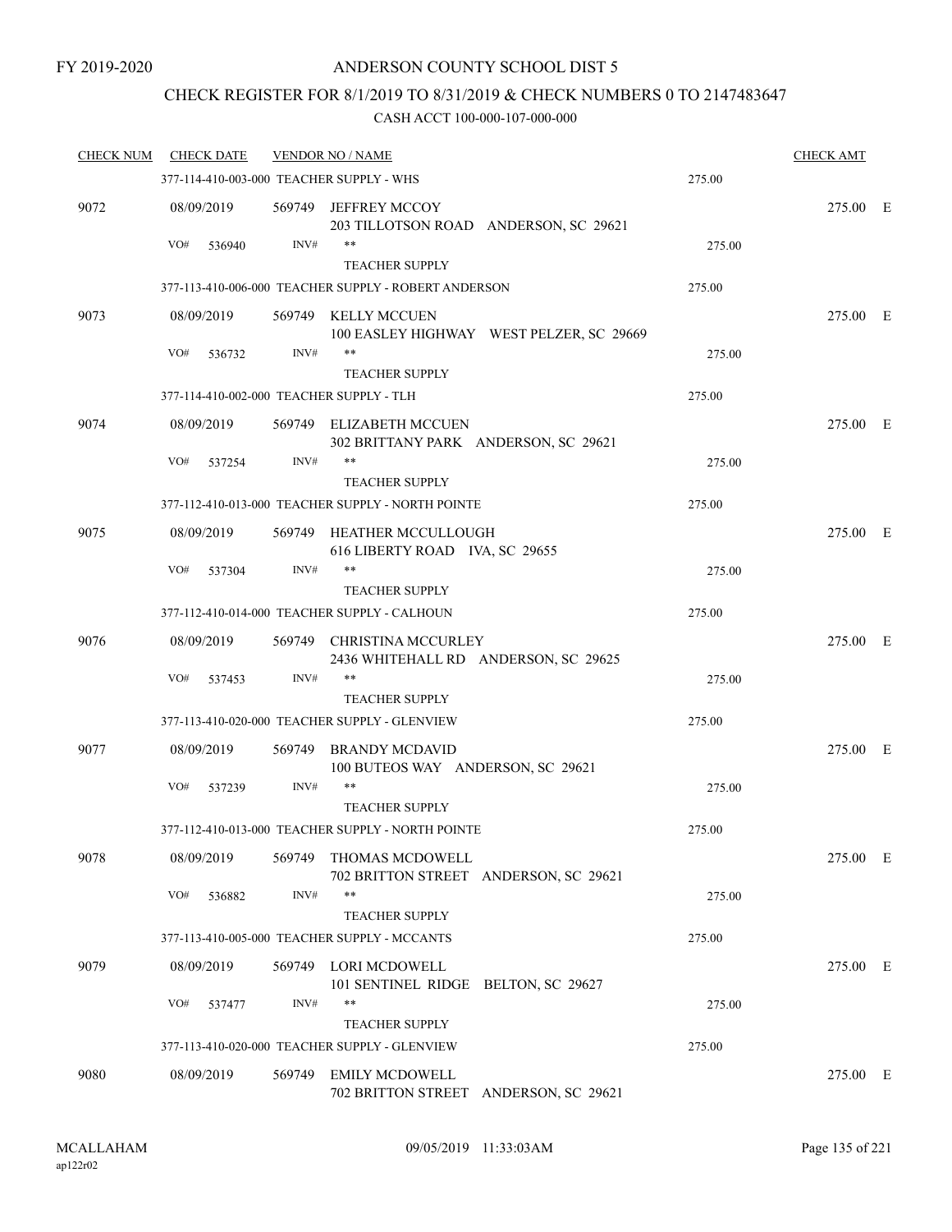### CHECK REGISTER FOR 8/1/2019 TO 8/31/2019 & CHECK NUMBERS 0 TO 2147483647

| <b>CHECK NUM</b> | <b>CHECK DATE</b>                        |        | <b>VENDOR NO / NAME</b>                                                       |        | <b>CHECK AMT</b> |  |
|------------------|------------------------------------------|--------|-------------------------------------------------------------------------------|--------|------------------|--|
|                  | 377-114-410-003-000 TEACHER SUPPLY - WHS |        |                                                                               | 275.00 |                  |  |
| 9072             | 08/09/2019                               |        | 569749 JEFFREY MCCOY<br>203 TILLOTSON ROAD ANDERSON, SC 29621                 |        | 275.00 E         |  |
|                  | VO#<br>536940                            | INV#   | **                                                                            | 275.00 |                  |  |
|                  |                                          |        | <b>TEACHER SUPPLY</b><br>377-113-410-006-000 TEACHER SUPPLY - ROBERT ANDERSON | 275.00 |                  |  |
|                  |                                          |        |                                                                               |        |                  |  |
| 9073             | 08/09/2019                               |        | 569749 KELLY MCCUEN<br>100 EASLEY HIGHWAY WEST PELZER, SC 29669               |        | 275.00 E         |  |
|                  | VO#<br>536732                            | INV#   | **<br><b>TEACHER SUPPLY</b>                                                   | 275.00 |                  |  |
|                  | 377-114-410-002-000 TEACHER SUPPLY - TLH |        |                                                                               | 275.00 |                  |  |
|                  |                                          |        |                                                                               |        |                  |  |
| 9074             | 08/09/2019                               |        | 569749 ELIZABETH MCCUEN<br>302 BRITTANY PARK ANDERSON, SC 29621               |        | 275.00 E         |  |
|                  | VO#<br>537254                            | INV#   | **                                                                            | 275.00 |                  |  |
|                  |                                          |        | <b>TEACHER SUPPLY</b><br>377-112-410-013-000 TEACHER SUPPLY - NORTH POINTE    | 275.00 |                  |  |
|                  |                                          |        |                                                                               |        |                  |  |
| 9075             | 08/09/2019                               |        | 569749 HEATHER MCCULLOUGH<br>616 LIBERTY ROAD IVA, SC 29655                   |        | 275.00 E         |  |
|                  | VO#<br>537304                            | INV#   | **<br><b>TEACHER SUPPLY</b>                                                   | 275.00 |                  |  |
|                  |                                          |        | 377-112-410-014-000 TEACHER SUPPLY - CALHOUN                                  | 275.00 |                  |  |
|                  |                                          |        |                                                                               |        |                  |  |
| 9076             | 08/09/2019                               |        | 569749 CHRISTINA MCCURLEY<br>2436 WHITEHALL RD ANDERSON, SC 29625             |        | 275.00 E         |  |
|                  | VO#<br>537453                            | INV#   | **                                                                            | 275.00 |                  |  |
|                  |                                          |        | <b>TEACHER SUPPLY</b>                                                         |        |                  |  |
|                  |                                          |        | 377-113-410-020-000 TEACHER SUPPLY - GLENVIEW                                 | 275.00 |                  |  |
| 9077             | 08/09/2019                               | 569749 | <b>BRANDY MCDAVID</b><br>100 BUTEOS WAY ANDERSON, SC 29621                    |        | 275.00 E         |  |
|                  | VO#<br>537239                            | INV#   | **                                                                            | 275.00 |                  |  |
|                  |                                          |        | <b>TEACHER SUPPLY</b>                                                         |        |                  |  |
|                  |                                          |        | 377-112-410-013-000 TEACHER SUPPLY - NORTH POINTE                             | 275.00 |                  |  |
| 9078             | 08/09/2019                               | 569749 | THOMAS MCDOWELL<br>702 BRITTON STREET ANDERSON, SC 29621                      |        | 275.00 E         |  |
|                  | VO#<br>536882                            | INV#   |                                                                               | 275.00 |                  |  |
|                  |                                          |        | <b>TEACHER SUPPLY</b>                                                         |        |                  |  |
|                  |                                          |        | 377-113-410-005-000 TEACHER SUPPLY - MCCANTS                                  | 275.00 |                  |  |
| 9079             | 08/09/2019                               |        | 569749 LORI MCDOWELL<br>101 SENTINEL RIDGE BELTON, SC 29627                   |        | 275.00 E         |  |
|                  | VO#<br>537477                            | INV#   | **                                                                            | 275.00 |                  |  |
|                  |                                          |        | <b>TEACHER SUPPLY</b>                                                         |        |                  |  |
|                  |                                          |        | 377-113-410-020-000 TEACHER SUPPLY - GLENVIEW                                 | 275.00 |                  |  |
| 9080             | 08/09/2019                               | 569749 | <b>EMILY MCDOWELL</b><br>702 BRITTON STREET ANDERSON, SC 29621                |        | 275.00 E         |  |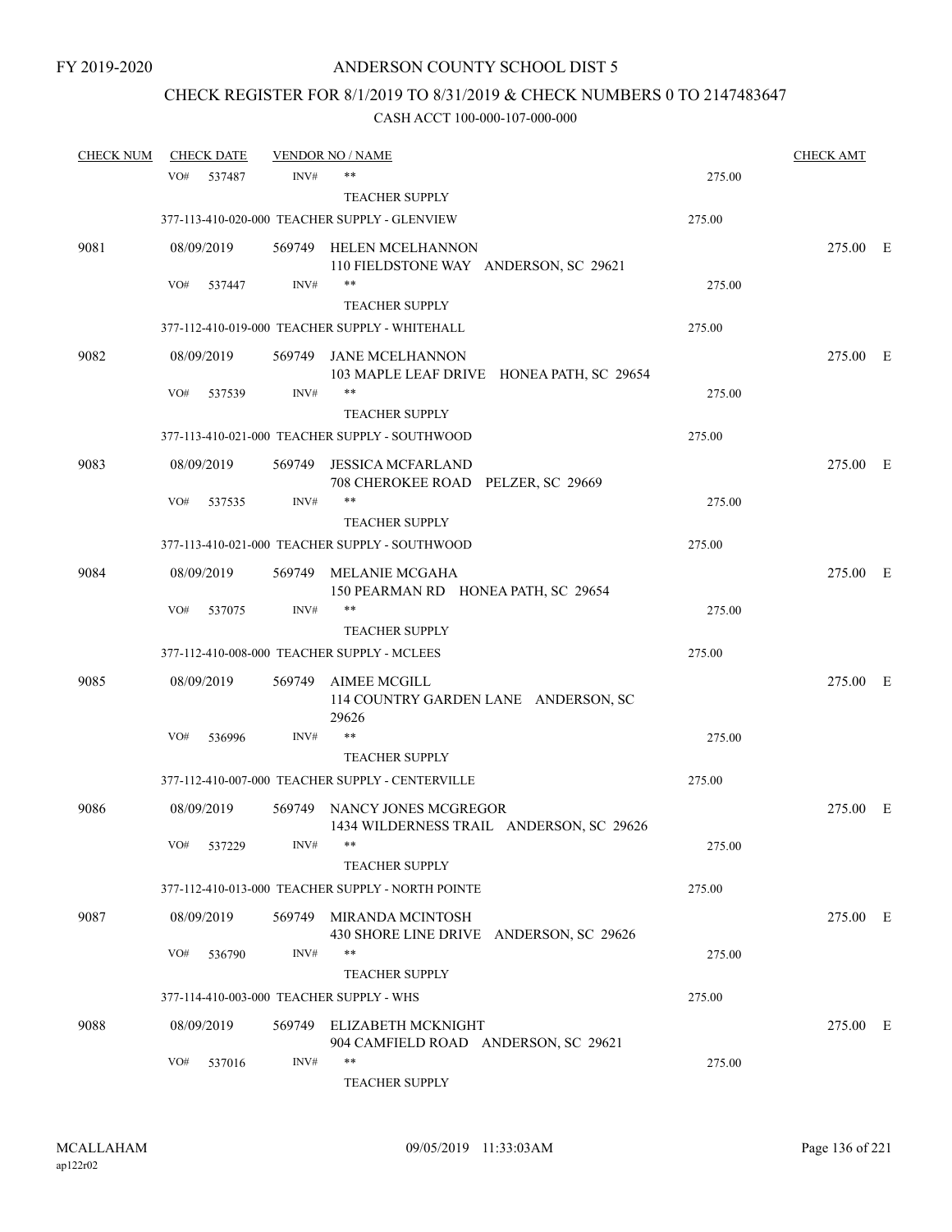# CHECK REGISTER FOR 8/1/2019 TO 8/31/2019 & CHECK NUMBERS 0 TO 2147483647

| <b>CHECK NUM</b> |     | <b>CHECK DATE</b> |        | <b>VENDOR NO / NAME</b>                                                 |        | <b>CHECK AMT</b> |  |
|------------------|-----|-------------------|--------|-------------------------------------------------------------------------|--------|------------------|--|
|                  | VO# | 537487            | INV#   | $***$                                                                   | 275.00 |                  |  |
|                  |     |                   |        | <b>TEACHER SUPPLY</b>                                                   |        |                  |  |
|                  |     |                   |        | 377-113-410-020-000 TEACHER SUPPLY - GLENVIEW                           | 275.00 |                  |  |
| 9081             |     | 08/09/2019        |        | 569749 HELEN MCELHANNON<br>110 FIELDSTONE WAY ANDERSON, SC 29621        |        | 275.00 E         |  |
|                  | VO# | 537447            | INV#   | $***$                                                                   | 275.00 |                  |  |
|                  |     |                   |        | <b>TEACHER SUPPLY</b>                                                   |        |                  |  |
|                  |     |                   |        | 377-112-410-019-000 TEACHER SUPPLY - WHITEHALL                          | 275.00 |                  |  |
| 9082             |     | 08/09/2019        | 569749 | JANE MCELHANNON<br>103 MAPLE LEAF DRIVE HONEA PATH, SC 29654            |        | 275.00 E         |  |
|                  | VO# | 537539            | INV#   | $***$                                                                   | 275.00 |                  |  |
|                  |     |                   |        | <b>TEACHER SUPPLY</b>                                                   |        |                  |  |
|                  |     |                   |        | 377-113-410-021-000 TEACHER SUPPLY - SOUTHWOOD                          | 275.00 |                  |  |
| 9083             |     | 08/09/2019        | 569749 | <b>JESSICA MCFARLAND</b><br>708 CHEROKEE ROAD PELZER, SC 29669          |        | 275.00 E         |  |
|                  | VO# | 537535            | INV#   | **                                                                      | 275.00 |                  |  |
|                  |     |                   |        | <b>TEACHER SUPPLY</b>                                                   |        |                  |  |
|                  |     |                   |        | 377-113-410-021-000 TEACHER SUPPLY - SOUTHWOOD                          | 275.00 |                  |  |
| 9084             |     | 08/09/2019        |        | 569749 MELANIE MCGAHA<br>150 PEARMAN RD HONEA PATH, SC 29654            |        | 275.00 E         |  |
|                  | VO# | 537075            | INV#   | $***$                                                                   | 275.00 |                  |  |
|                  |     |                   |        | <b>TEACHER SUPPLY</b>                                                   |        |                  |  |
|                  |     |                   |        | 377-112-410-008-000 TEACHER SUPPLY - MCLEES                             | 275.00 |                  |  |
| 9085             |     | 08/09/2019        | 569749 | AIMEE MCGILL<br>114 COUNTRY GARDEN LANE ANDERSON, SC<br>29626           |        | 275.00 E         |  |
|                  | VO# | 536996            | INV#   | $***$                                                                   | 275.00 |                  |  |
|                  |     |                   |        | <b>TEACHER SUPPLY</b>                                                   |        |                  |  |
|                  |     |                   |        | 377-112-410-007-000 TEACHER SUPPLY - CENTERVILLE                        | 275.00 |                  |  |
| 9086             |     | 08/09/2019        |        | 569749 NANCY JONES MCGREGOR<br>1434 WILDERNESS TRAIL ANDERSON, SC 29626 |        | 275.00 E         |  |
|                  | VO# | 537229            | INV#   |                                                                         | 275.00 |                  |  |
|                  |     |                   |        | <b>TEACHER SUPPLY</b>                                                   |        |                  |  |
|                  |     |                   |        | 377-112-410-013-000 TEACHER SUPPLY - NORTH POINTE                       | 275.00 |                  |  |
| 9087             |     | 08/09/2019        |        | 569749 MIRANDA MCINTOSH<br>430 SHORE LINE DRIVE ANDERSON, SC 29626      |        | 275.00 E         |  |
|                  | VO# | 536790            | INV#   | $***$                                                                   | 275.00 |                  |  |
|                  |     |                   |        | <b>TEACHER SUPPLY</b>                                                   |        |                  |  |
|                  |     |                   |        | 377-114-410-003-000 TEACHER SUPPLY - WHS                                | 275.00 |                  |  |
| 9088             |     | 08/09/2019        | 569749 | ELIZABETH MCKNIGHT<br>904 CAMFIELD ROAD ANDERSON, SC 29621              |        | 275.00 E         |  |
|                  | VO# | 537016            | INV#   | $***$<br>TEACHER SUPPLY                                                 | 275.00 |                  |  |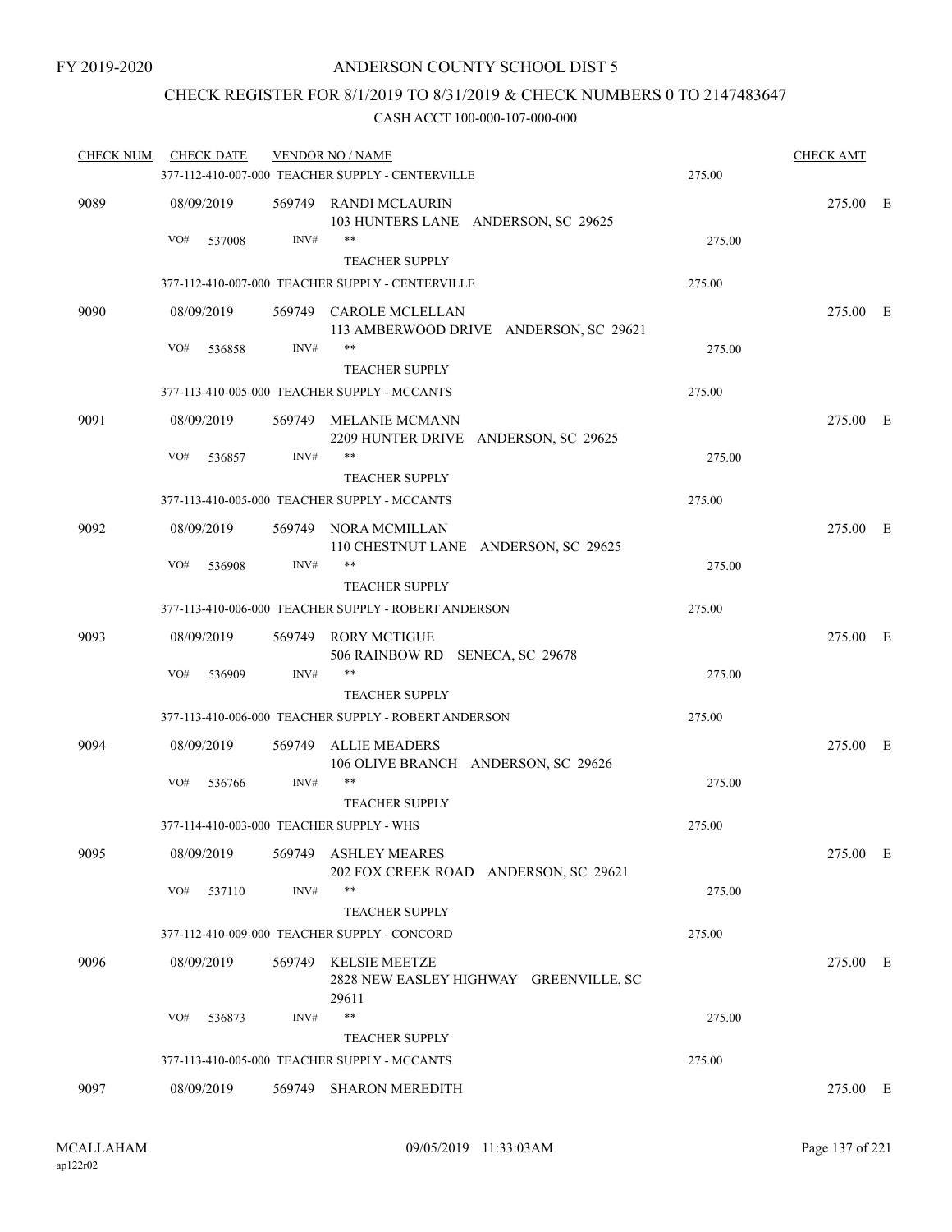### CHECK REGISTER FOR 8/1/2019 TO 8/31/2019 & CHECK NUMBERS 0 TO 2147483647

| <b>CHECK NUM</b> | <b>CHECK DATE</b> |        | <b>VENDOR NO / NAME</b>                                                 |        | <b>CHECK AMT</b> |  |
|------------------|-------------------|--------|-------------------------------------------------------------------------|--------|------------------|--|
|                  |                   |        | 377-112-410-007-000 TEACHER SUPPLY - CENTERVILLE                        | 275.00 |                  |  |
| 9089             | 08/09/2019        |        | 569749 RANDI MCLAURIN<br>103 HUNTERS LANE ANDERSON, SC 29625            |        | 275.00 E         |  |
|                  | VO#<br>537008     | INV#   | **<br><b>TEACHER SUPPLY</b>                                             | 275.00 |                  |  |
|                  |                   |        | 377-112-410-007-000 TEACHER SUPPLY - CENTERVILLE                        | 275.00 |                  |  |
| 9090             | 08/09/2019        |        | 569749 CAROLE MCLELLAN<br>113 AMBERWOOD DRIVE ANDERSON, SC 29621        |        | 275.00 E         |  |
|                  | VO#<br>536858     | INV#   | **<br><b>TEACHER SUPPLY</b>                                             | 275.00 |                  |  |
|                  |                   |        | 377-113-410-005-000 TEACHER SUPPLY - MCCANTS                            | 275.00 |                  |  |
| 9091             | 08/09/2019        |        | 569749 MELANIE MCMANN<br>2209 HUNTER DRIVE ANDERSON, SC 29625           |        | 275.00 E         |  |
|                  | VO#<br>536857     | INV#   | **<br><b>TEACHER SUPPLY</b>                                             | 275.00 |                  |  |
|                  |                   |        | 377-113-410-005-000 TEACHER SUPPLY - MCCANTS                            | 275.00 |                  |  |
| 9092             | 08/09/2019        |        | 569749 NORA MCMILLAN<br>110 CHESTNUT LANE ANDERSON, SC 29625            |        | 275.00 E         |  |
|                  | VO#<br>536908     | INV#   | $***$<br><b>TEACHER SUPPLY</b>                                          | 275.00 |                  |  |
|                  |                   |        | 377-113-410-006-000 TEACHER SUPPLY - ROBERT ANDERSON                    | 275.00 |                  |  |
| 9093             | 08/09/2019        |        | 569749 RORY MCTIGUE                                                     |        | 275.00 E         |  |
|                  |                   |        | 506 RAINBOW RD SENECA, SC 29678<br>**                                   |        |                  |  |
|                  | VO#<br>536909     | INV#   | <b>TEACHER SUPPLY</b>                                                   | 275.00 |                  |  |
|                  |                   |        | 377-113-410-006-000 TEACHER SUPPLY - ROBERT ANDERSON                    | 275.00 |                  |  |
| 9094             | 08/09/2019        | 569749 | <b>ALLIE MEADERS</b><br>106 OLIVE BRANCH ANDERSON, SC 29626             |        | 275.00 E         |  |
|                  | VO#<br>536766     | INV#   | **<br><b>TEACHER SUPPLY</b>                                             | 275.00 |                  |  |
|                  |                   |        | 377-114-410-003-000 TEACHER SUPPLY - WHS                                | 275.00 |                  |  |
| 9095             | 08/09/2019        |        | 569749 ASHLEY MEARES<br>202 FOX CREEK ROAD ANDERSON, SC 29621           |        | 275.00 E         |  |
|                  | VO#<br>537110     | INV#   | **<br><b>TEACHER SUPPLY</b>                                             | 275.00 |                  |  |
|                  |                   |        | 377-112-410-009-000 TEACHER SUPPLY - CONCORD                            | 275.00 |                  |  |
| 9096             | 08/09/2019        | 569749 | <b>KELSIE MEETZE</b><br>2828 NEW EASLEY HIGHWAY GREENVILLE, SC<br>29611 |        | 275.00 E         |  |
|                  | VO#<br>536873     | INV#   | **<br><b>TEACHER SUPPLY</b>                                             | 275.00 |                  |  |
|                  |                   |        | 377-113-410-005-000 TEACHER SUPPLY - MCCANTS                            | 275.00 |                  |  |
| 9097             | 08/09/2019        | 569749 | <b>SHARON MEREDITH</b>                                                  |        | 275.00 E         |  |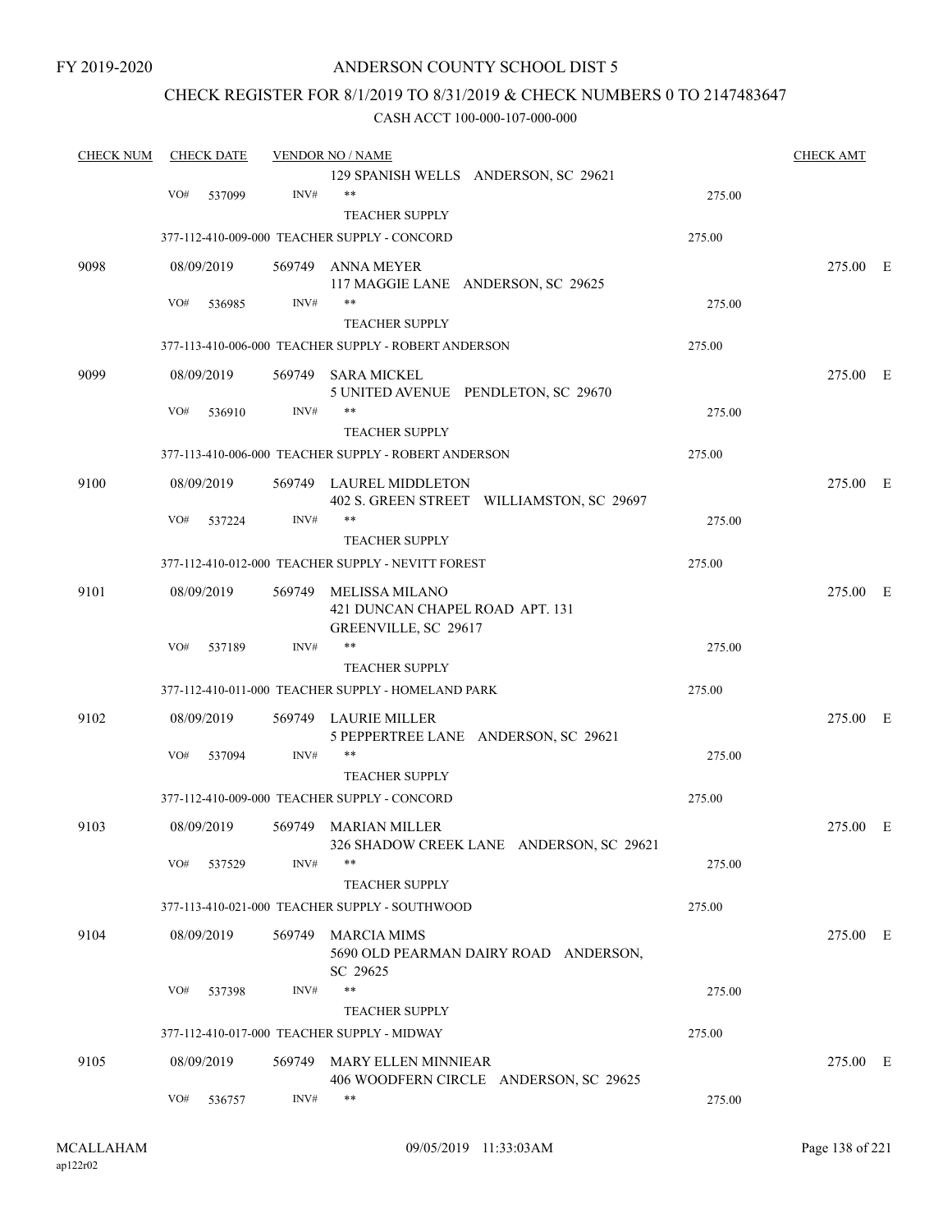FY 2019-2020

### ANDERSON COUNTY SCHOOL DIST 5

### CHECK REGISTER FOR 8/1/2019 TO 8/31/2019 & CHECK NUMBERS 0 TO 2147483647

| <b>CHECK NUM</b><br><b>CHECK DATE</b> |     |            | <b>VENDOR NO / NAME</b> |                                                       | <b>CHECK AMT</b> |          |  |
|---------------------------------------|-----|------------|-------------------------|-------------------------------------------------------|------------------|----------|--|
|                                       |     |            |                         | 129 SPANISH WELLS ANDERSON, SC 29621                  |                  |          |  |
|                                       | VO# | 537099     | INV#                    | $***$                                                 | 275.00           |          |  |
|                                       |     |            |                         | <b>TEACHER SUPPLY</b>                                 |                  |          |  |
|                                       |     |            |                         | 377-112-410-009-000 TEACHER SUPPLY - CONCORD          | 275.00           |          |  |
| 9098                                  |     | 08/09/2019 |                         | 569749 ANNA MEYER                                     |                  | 275.00 E |  |
|                                       |     |            |                         | 117 MAGGIE LANE ANDERSON, SC 29625                    |                  |          |  |
|                                       | VO# | 536985     | INV#                    | $***$                                                 | 275.00           |          |  |
|                                       |     |            |                         | <b>TEACHER SUPPLY</b>                                 |                  |          |  |
|                                       |     |            |                         | 377-113-410-006-000 TEACHER SUPPLY - ROBERT ANDERSON  | 275.00           |          |  |
| 9099                                  |     | 08/09/2019 |                         | 569749 SARA MICKEL                                    |                  | 275.00 E |  |
|                                       |     |            |                         | 5 UNITED AVENUE PENDLETON, SC 29670                   |                  |          |  |
|                                       | VO# | 536910     | INV#                    | **                                                    | 275.00           |          |  |
|                                       |     |            |                         | <b>TEACHER SUPPLY</b>                                 |                  |          |  |
|                                       |     |            |                         | 377-113-410-006-000 TEACHER SUPPLY - ROBERT ANDERSON  | 275.00           |          |  |
| 9100                                  |     | 08/09/2019 |                         | 569749 LAUREL MIDDLETON                               |                  | 275.00 E |  |
|                                       | VO# | 537224     | INV#                    | 402 S. GREEN STREET WILLIAMSTON, SC 29697<br>$***$    | 275.00           |          |  |
|                                       |     |            |                         | <b>TEACHER SUPPLY</b>                                 |                  |          |  |
|                                       |     |            |                         |                                                       |                  |          |  |
|                                       |     |            |                         | 377-112-410-012-000 TEACHER SUPPLY - NEVITT FOREST    | 275.00           |          |  |
| 9101                                  |     | 08/09/2019 | 569749                  | MELISSA MILANO                                        |                  | 275.00 E |  |
|                                       |     |            |                         | 421 DUNCAN CHAPEL ROAD APT. 131                       |                  |          |  |
|                                       |     |            |                         | GREENVILLE, SC 29617                                  |                  |          |  |
|                                       | VO# | 537189     | INV#                    | $***$                                                 | 275.00           |          |  |
|                                       |     |            |                         | <b>TEACHER SUPPLY</b>                                 |                  |          |  |
|                                       |     |            |                         | 377-112-410-011-000 TEACHER SUPPLY - HOMELAND PARK    | 275.00           |          |  |
| 9102                                  |     | 08/09/2019 | 569749                  | LAURIE MILLER<br>5 PEPPERTREE LANE ANDERSON, SC 29621 |                  | 275.00 E |  |
|                                       | VO# | 537094     | INV#                    | $***$                                                 | 275.00           |          |  |
|                                       |     |            |                         | <b>TEACHER SUPPLY</b>                                 |                  |          |  |
|                                       |     |            |                         | 377-112-410-009-000 TEACHER SUPPLY - CONCORD          | 275.00           |          |  |
|                                       |     |            |                         |                                                       |                  |          |  |
| 9103                                  |     | 08/09/2019 |                         | 569749 MARIAN MILLER                                  |                  | 275.00 E |  |
|                                       | VO# |            | INV#                    | 326 SHADOW CREEK LANE ANDERSON, SC 29621<br>$***$     |                  |          |  |
|                                       |     | 537529     |                         |                                                       | 275.00           |          |  |
|                                       |     |            |                         | <b>TEACHER SUPPLY</b>                                 |                  |          |  |
|                                       |     |            |                         | 377-113-410-021-000 TEACHER SUPPLY - SOUTHWOOD        | 275.00           |          |  |
| 9104                                  |     | 08/09/2019 |                         | 569749 MARCIA MIMS                                    |                  | 275.00 E |  |
|                                       |     |            |                         | 5690 OLD PEARMAN DAIRY ROAD ANDERSON,<br>SC 29625     |                  |          |  |
|                                       | VO# | 537398     | INV#                    | $***$                                                 | 275.00           |          |  |
|                                       |     |            |                         | <b>TEACHER SUPPLY</b>                                 |                  |          |  |
|                                       |     |            |                         | 377-112-410-017-000 TEACHER SUPPLY - MIDWAY           | 275.00           |          |  |
|                                       |     |            |                         |                                                       |                  |          |  |
| 9105                                  |     | 08/09/2019 |                         | 569749 MARY ELLEN MINNIEAR                            |                  | 275.00 E |  |
|                                       |     |            |                         | 406 WOODFERN CIRCLE ANDERSON, SC 29625<br>$***$       |                  |          |  |
|                                       | VO# | 536757     | INV#                    |                                                       | 275.00           |          |  |
|                                       |     |            |                         |                                                       |                  |          |  |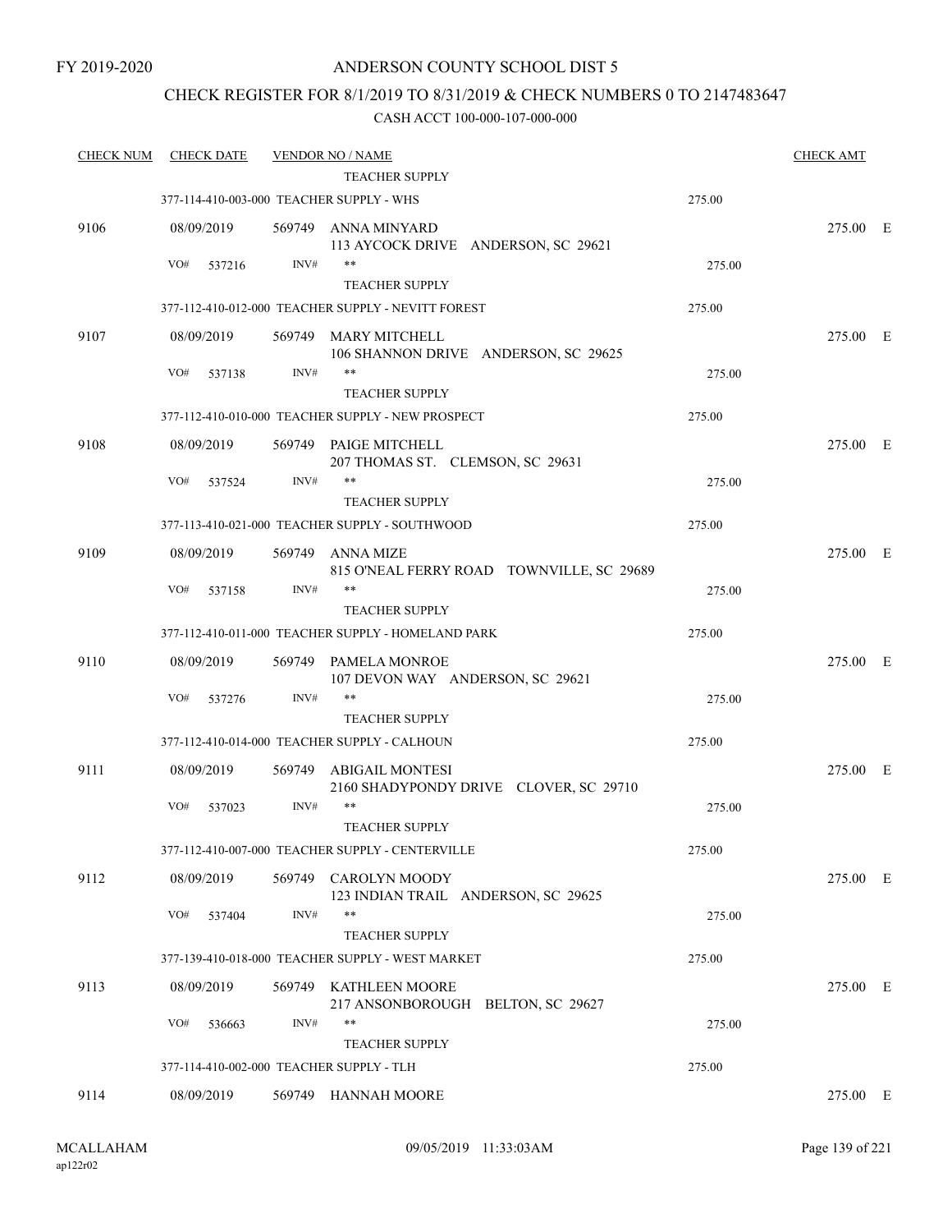### CHECK REGISTER FOR 8/1/2019 TO 8/31/2019 & CHECK NUMBERS 0 TO 2147483647

| <b>CHECK NUM</b> | <b>CHECK DATE</b>                        |        | <b>VENDOR NO / NAME</b>                                                   |        | <b>CHECK AMT</b> |  |
|------------------|------------------------------------------|--------|---------------------------------------------------------------------------|--------|------------------|--|
|                  |                                          |        | <b>TEACHER SUPPLY</b>                                                     |        |                  |  |
|                  | 377-114-410-003-000 TEACHER SUPPLY - WHS |        |                                                                           | 275.00 |                  |  |
| 9106             | 08/09/2019                               |        | 569749 ANNA MINYARD<br>113 AYCOCK DRIVE ANDERSON, SC 29621                |        | 275.00 E         |  |
|                  | VO#<br>537216                            | INV#   | $***$                                                                     | 275.00 |                  |  |
|                  |                                          |        | <b>TEACHER SUPPLY</b>                                                     |        |                  |  |
|                  |                                          |        | 377-112-410-012-000 TEACHER SUPPLY - NEVITT FOREST                        | 275.00 |                  |  |
| 9107             | 08/09/2019                               | 569749 | <b>MARY MITCHELL</b><br>106 SHANNON DRIVE ANDERSON, SC 29625              |        | 275.00 E         |  |
|                  | VO#<br>537138                            | INV#   | $***$                                                                     | 275.00 |                  |  |
|                  |                                          |        | <b>TEACHER SUPPLY</b>                                                     |        |                  |  |
|                  |                                          |        | 377-112-410-010-000 TEACHER SUPPLY - NEW PROSPECT                         | 275.00 |                  |  |
| 9108             | 08/09/2019                               |        | 569749 PAIGE MITCHELL<br>207 THOMAS ST. CLEMSON, SC 29631                 |        | 275.00 E         |  |
|                  | VO#<br>537524                            | INV#   | **                                                                        | 275.00 |                  |  |
|                  |                                          |        | <b>TEACHER SUPPLY</b>                                                     |        |                  |  |
|                  |                                          |        | 377-113-410-021-000 TEACHER SUPPLY - SOUTHWOOD                            | 275.00 |                  |  |
| 9109             | 08/09/2019                               | 569749 | ANNA MIZE<br>815 O'NEAL FERRY ROAD TOWNVILLE, SC 29689                    |        | 275.00 E         |  |
|                  | VO#<br>537158                            | INV#   | $***$                                                                     | 275.00 |                  |  |
|                  |                                          |        | <b>TEACHER SUPPLY</b>                                                     |        |                  |  |
|                  |                                          |        | 377-112-410-011-000 TEACHER SUPPLY - HOMELAND PARK                        | 275.00 |                  |  |
| 9110             | 08/09/2019                               | 569749 | PAMELA MONROE<br>107 DEVON WAY ANDERSON, SC 29621                         |        | 275.00 E         |  |
|                  | VO#<br>537276                            | INV#   | $***$                                                                     | 275.00 |                  |  |
|                  |                                          |        | <b>TEACHER SUPPLY</b>                                                     |        |                  |  |
|                  |                                          |        | 377-112-410-014-000 TEACHER SUPPLY - CALHOUN                              | 275.00 |                  |  |
| 9111             | 08/09/2019                               | 569749 | ABIGAIL MONTESI<br>2160 SHADYPONDY DRIVE CLOVER, SC 29710                 |        | 275.00 E         |  |
|                  | VO#<br>537023                            | INV#   | $***$                                                                     | 275.00 |                  |  |
|                  |                                          |        | <b>TEACHER SUPPLY</b>                                                     |        |                  |  |
|                  |                                          |        | 377-112-410-007-000 TEACHER SUPPLY - CENTERVILLE                          | 275.00 |                  |  |
| 9112             | 08/09/2019                               | 569749 | CAROLYN MOODY<br>123 INDIAN TRAIL ANDERSON, SC 29625                      |        | 275.00 E         |  |
|                  | VO#<br>537404                            | INV#   | $***$                                                                     | 275.00 |                  |  |
|                  |                                          |        | <b>TEACHER SUPPLY</b><br>377-139-410-018-000 TEACHER SUPPLY - WEST MARKET | 275.00 |                  |  |
| 9113             | 08/09/2019                               |        | 569749 KATHLEEN MOORE                                                     |        | 275.00 E         |  |
|                  |                                          |        | 217 ANSONBOROUGH BELTON, SC 29627                                         |        |                  |  |
|                  | VO#<br>536663                            | INV#   | $***$                                                                     | 275.00 |                  |  |
|                  |                                          |        | <b>TEACHER SUPPLY</b>                                                     |        |                  |  |
|                  | 377-114-410-002-000 TEACHER SUPPLY - TLH |        |                                                                           | 275.00 |                  |  |
| 9114             | 08/09/2019                               |        | 569749 HANNAH MOORE                                                       |        | 275.00 E         |  |
|                  |                                          |        |                                                                           |        |                  |  |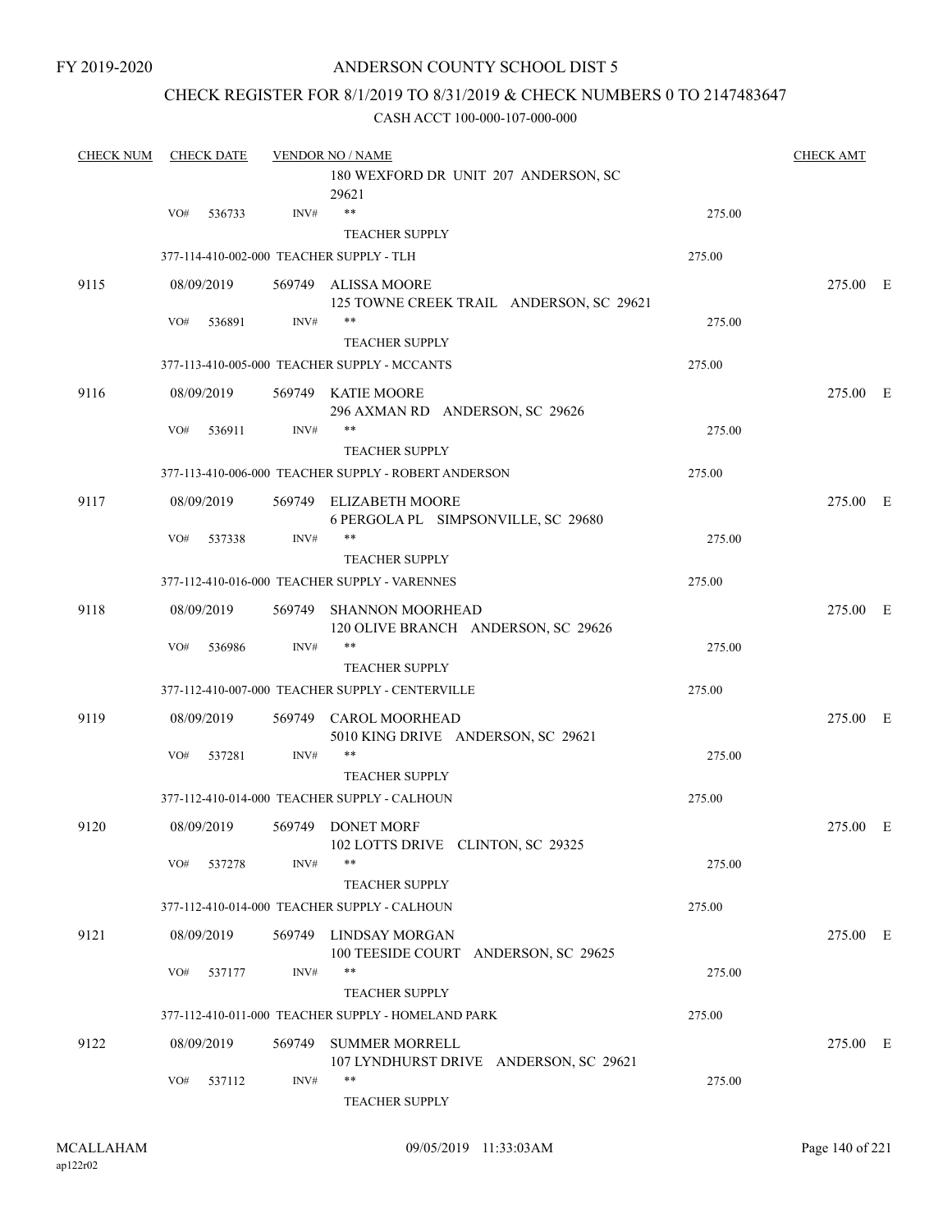### CHECK REGISTER FOR 8/1/2019 TO 8/31/2019 & CHECK NUMBERS 0 TO 2147483647

| <b>CHECK NUM</b> | <b>CHECK DATE</b> |            |        | <b>VENDOR NO / NAME</b>                                                     |        |          |  |  |
|------------------|-------------------|------------|--------|-----------------------------------------------------------------------------|--------|----------|--|--|
|                  |                   |            |        | 180 WEXFORD DR UNIT 207 ANDERSON, SC<br>29621                               |        |          |  |  |
|                  | VO#               | 536733     | INV#   | $\ast\ast$<br><b>TEACHER SUPPLY</b>                                         | 275.00 |          |  |  |
|                  |                   |            |        | 377-114-410-002-000 TEACHER SUPPLY - TLH                                    | 275.00 |          |  |  |
| 9115             |                   | 08/09/2019 |        | 569749 ALISSA MOORE<br>125 TOWNE CREEK TRAIL ANDERSON, SC 29621             |        | 275.00 E |  |  |
|                  | VO#               | 536891     | INV#   | **                                                                          | 275.00 |          |  |  |
|                  |                   |            |        | <b>TEACHER SUPPLY</b><br>377-113-410-005-000 TEACHER SUPPLY - MCCANTS       | 275.00 |          |  |  |
| 9116             |                   | 08/09/2019 |        | 569749 KATIE MOORE                                                          |        | 275.00 E |  |  |
|                  | VO#               | 536911     | INV#   | 296 AXMAN RD ANDERSON, SC 29626<br>**<br><b>TEACHER SUPPLY</b>              | 275.00 |          |  |  |
|                  |                   |            |        | 377-113-410-006-000 TEACHER SUPPLY - ROBERT ANDERSON                        | 275.00 |          |  |  |
| 9117             |                   | 08/09/2019 |        | 569749 ELIZABETH MOORE<br>6 PERGOLA PL SIMPSONVILLE, SC 29680               |        | 275.00 E |  |  |
|                  | VO#               | 537338     | INV#   | **<br><b>TEACHER SUPPLY</b>                                                 | 275.00 |          |  |  |
|                  |                   |            |        | 377-112-410-016-000 TEACHER SUPPLY - VARENNES                               | 275.00 |          |  |  |
| 9118             |                   | 08/09/2019 | 569749 | <b>SHANNON MOORHEAD</b>                                                     |        | 275.00 E |  |  |
|                  | VO#               | 536986     | INV#   | 120 OLIVE BRANCH ANDERSON, SC 29626<br>**<br><b>TEACHER SUPPLY</b>          | 275.00 |          |  |  |
|                  |                   |            |        | 377-112-410-007-000 TEACHER SUPPLY - CENTERVILLE                            | 275.00 |          |  |  |
| 9119             |                   | 08/09/2019 |        | 569749 CAROL MOORHEAD                                                       |        | 275.00 E |  |  |
|                  | VO#               | 537281     | INV#   | 5010 KING DRIVE ANDERSON, SC 29621<br>**<br><b>TEACHER SUPPLY</b>           | 275.00 |          |  |  |
|                  |                   |            |        | 377-112-410-014-000 TEACHER SUPPLY - CALHOUN                                | 275.00 |          |  |  |
| 9120             |                   | 08/09/2019 |        | 569749 DONET MORF                                                           |        | 275.00 E |  |  |
|                  | VO#               | 537278     | INV#   | 102 LOTTS DRIVE CLINTON, SC 29325<br>$***$                                  | 275.00 |          |  |  |
|                  |                   |            |        | <b>TEACHER SUPPLY</b><br>377-112-410-014-000 TEACHER SUPPLY - CALHOUN       | 275.00 |          |  |  |
| 9121             |                   | 08/09/2019 |        | 569749 LINDSAY MORGAN<br>100 TEESIDE COURT ANDERSON, SC 29625               |        | 275.00 E |  |  |
|                  | VO#               | 537177     | INV#   | **                                                                          | 275.00 |          |  |  |
|                  |                   |            |        | <b>TEACHER SUPPLY</b><br>377-112-410-011-000 TEACHER SUPPLY - HOMELAND PARK | 275.00 |          |  |  |
| 9122             |                   | 08/09/2019 | 569749 | <b>SUMMER MORRELL</b>                                                       |        | 275.00 E |  |  |
|                  | VO#               | 537112     | INV#   | 107 LYNDHURST DRIVE ANDERSON, SC 29621<br>**<br>TEACHER SUPPLY              | 275.00 |          |  |  |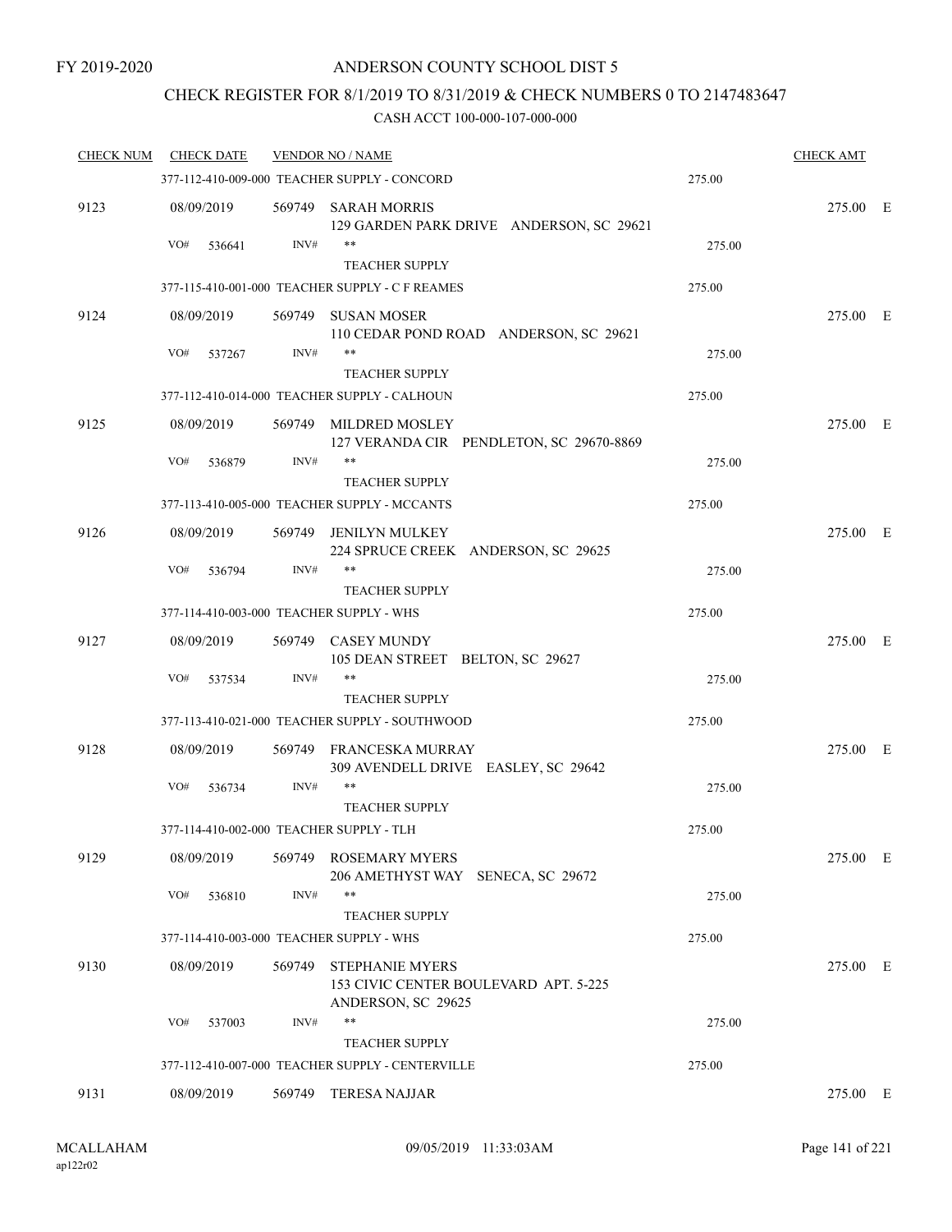## CHECK REGISTER FOR 8/1/2019 TO 8/31/2019 & CHECK NUMBERS 0 TO 2147483647

| <b>CHECK NUM</b> | <b>CHECK DATE</b>                        |        | <b>VENDOR NO / NAME</b>                                                               |        | <b>CHECK AMT</b> |  |
|------------------|------------------------------------------|--------|---------------------------------------------------------------------------------------|--------|------------------|--|
|                  |                                          |        | 377-112-410-009-000 TEACHER SUPPLY - CONCORD                                          | 275.00 |                  |  |
| 9123             | 08/09/2019                               |        | 569749 SARAH MORRIS<br>129 GARDEN PARK DRIVE ANDERSON, SC 29621                       |        | 275.00 E         |  |
|                  | VO#<br>536641                            | INV#   | **                                                                                    | 275.00 |                  |  |
|                  |                                          |        | <b>TEACHER SUPPLY</b>                                                                 |        |                  |  |
|                  |                                          |        | 377-115-410-001-000 TEACHER SUPPLY - C F REAMES                                       | 275.00 |                  |  |
| 9124             | 08/09/2019                               | 569749 | SUSAN MOSER<br>110 CEDAR POND ROAD ANDERSON, SC 29621                                 |        | 275.00 E         |  |
|                  | VO#<br>537267                            | INV#   | **                                                                                    | 275.00 |                  |  |
|                  |                                          |        | <b>TEACHER SUPPLY</b><br>377-112-410-014-000 TEACHER SUPPLY - CALHOUN                 | 275.00 |                  |  |
|                  |                                          |        |                                                                                       |        |                  |  |
| 9125             | 08/09/2019<br>VO#                        | INV#   | 569749 MILDRED MOSLEY<br>127 VERANDA CIR PENDLETON, SC 29670-8869<br>**               |        | 275.00 E         |  |
|                  | 536879                                   |        | <b>TEACHER SUPPLY</b>                                                                 | 275.00 |                  |  |
|                  |                                          |        | 377-113-410-005-000 TEACHER SUPPLY - MCCANTS                                          | 275.00 |                  |  |
| 9126             | 08/09/2019                               |        | 569749 JENILYN MULKEY                                                                 |        | 275.00 E         |  |
|                  | VO#<br>536794                            | INV#   | 224 SPRUCE CREEK ANDERSON, SC 29625<br>**                                             | 275.00 |                  |  |
|                  |                                          |        | <b>TEACHER SUPPLY</b>                                                                 |        |                  |  |
|                  | 377-114-410-003-000 TEACHER SUPPLY - WHS |        |                                                                                       | 275.00 |                  |  |
| 9127             | 08/09/2019                               | 569749 | <b>CASEY MUNDY</b><br>105 DEAN STREET BELTON, SC 29627                                |        | 275.00 E         |  |
|                  | VO#<br>537534                            | INV#   | **                                                                                    | 275.00 |                  |  |
|                  |                                          |        | <b>TEACHER SUPPLY</b>                                                                 |        |                  |  |
|                  |                                          |        | 377-113-410-021-000 TEACHER SUPPLY - SOUTHWOOD                                        | 275.00 |                  |  |
| 9128             | 08/09/2019                               |        | 569749 FRANCESKA MURRAY<br>309 AVENDELL DRIVE EASLEY, SC 29642                        |        | 275.00 E         |  |
|                  | VO#<br>536734                            | INV#   | **                                                                                    | 275.00 |                  |  |
|                  |                                          |        | <b>TEACHER SUPPLY</b>                                                                 |        |                  |  |
|                  | 377-114-410-002-000 TEACHER SUPPLY - TLH |        |                                                                                       | 275.00 |                  |  |
| 9129             | 08/09/2019                               | 569749 | <b>ROSEMARY MYERS</b><br>206 AMETHYST WAY SENECA, SC 29672                            |        | 275.00 E         |  |
|                  | VO#<br>536810                            | INV#   | **                                                                                    | 275.00 |                  |  |
|                  |                                          |        | TEACHER SUPPLY                                                                        |        |                  |  |
|                  | 377-114-410-003-000 TEACHER SUPPLY - WHS |        |                                                                                       | 275.00 |                  |  |
| 9130             | 08/09/2019                               | 569749 | <b>STEPHANIE MYERS</b><br>153 CIVIC CENTER BOULEVARD APT. 5-225<br>ANDERSON, SC 29625 |        | 275.00 E         |  |
|                  | VO#<br>537003                            | INV#   | **                                                                                    | 275.00 |                  |  |
|                  |                                          |        | <b>TEACHER SUPPLY</b>                                                                 |        |                  |  |
|                  |                                          |        | 377-112-410-007-000 TEACHER SUPPLY - CENTERVILLE                                      | 275.00 |                  |  |
| 9131             | 08/09/2019                               | 569749 | <b>TERESA NAJJAR</b>                                                                  |        | 275.00 E         |  |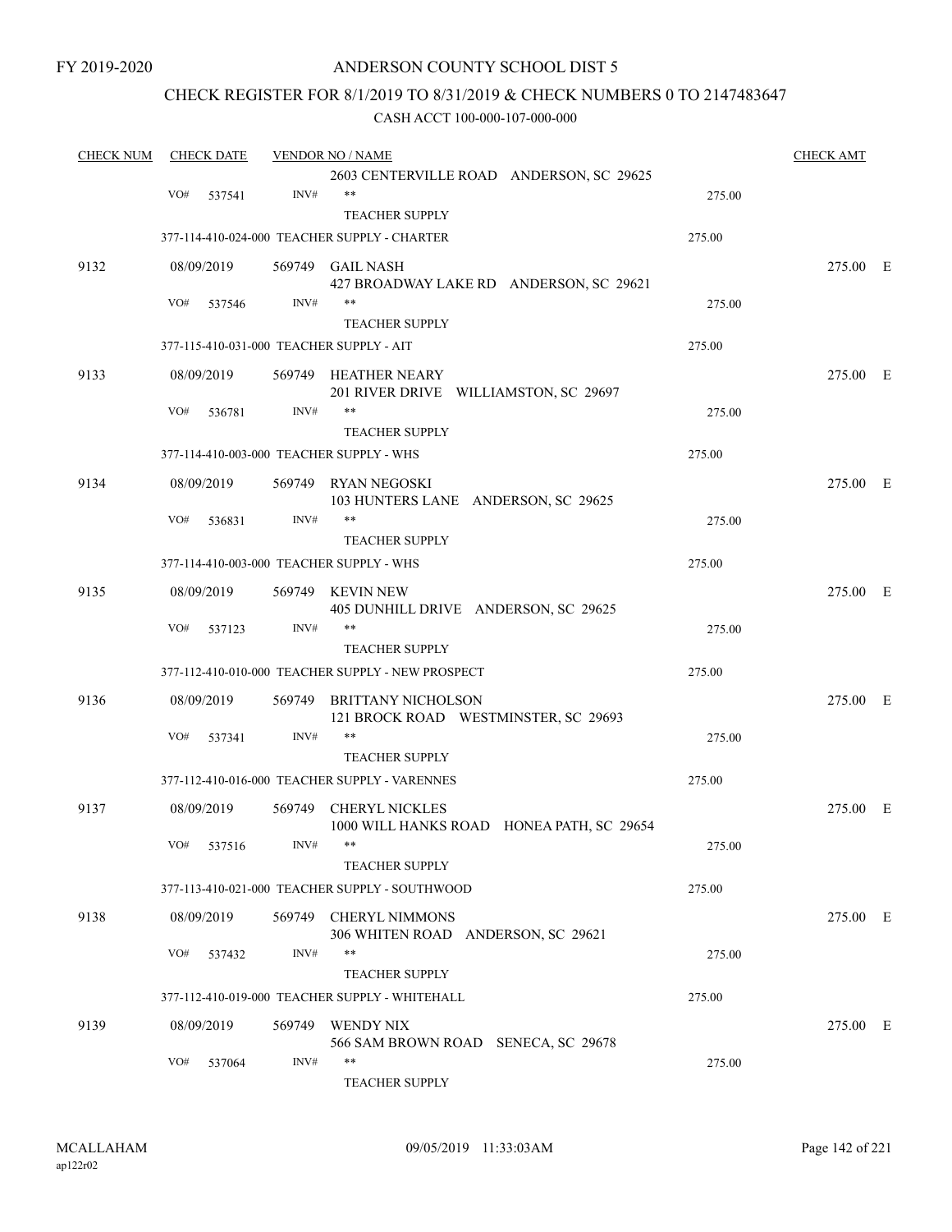FY 2019-2020

### ANDERSON COUNTY SCHOOL DIST 5

### CHECK REGISTER FOR 8/1/2019 TO 8/31/2019 & CHECK NUMBERS 0 TO 2147483647

| <b>CHECK NUM</b> | <b>CHECK DATE</b>                        |        | <b>VENDOR NO / NAME</b>                                           |        | <b>CHECK AMT</b> |  |
|------------------|------------------------------------------|--------|-------------------------------------------------------------------|--------|------------------|--|
|                  |                                          |        | 2603 CENTERVILLE ROAD ANDERSON, SC 29625                          |        |                  |  |
|                  | VO#<br>537541                            | INV#   | $***$                                                             | 275.00 |                  |  |
|                  |                                          |        | <b>TEACHER SUPPLY</b>                                             |        |                  |  |
|                  |                                          |        | 377-114-410-024-000 TEACHER SUPPLY - CHARTER                      | 275.00 |                  |  |
| 9132             | 08/09/2019                               |        | 569749 GAIL NASH                                                  |        | 275.00 E         |  |
|                  |                                          |        | 427 BROADWAY LAKE RD ANDERSON, SC 29621                           |        |                  |  |
|                  | VO#<br>537546                            | INV#   | **                                                                | 275.00 |                  |  |
|                  |                                          |        | <b>TEACHER SUPPLY</b>                                             |        |                  |  |
|                  | 377-115-410-031-000 TEACHER SUPPLY - AIT |        |                                                                   | 275.00 |                  |  |
| 9133             | 08/09/2019                               |        | 569749 HEATHER NEARY<br>201 RIVER DRIVE WILLIAMSTON, SC 29697     |        | 275.00 E         |  |
|                  | VO#<br>536781                            | INV#   | **                                                                | 275.00 |                  |  |
|                  |                                          |        | <b>TEACHER SUPPLY</b>                                             |        |                  |  |
|                  | 377-114-410-003-000 TEACHER SUPPLY - WHS |        |                                                                   | 275.00 |                  |  |
| 9134             | 08/09/2019                               |        | 569749 RYAN NEGOSKI                                               |        | 275.00 E         |  |
|                  |                                          |        | 103 HUNTERS LANE ANDERSON, SC 29625                               |        |                  |  |
|                  | VO#<br>536831                            | INV#   | **                                                                | 275.00 |                  |  |
|                  |                                          |        | <b>TEACHER SUPPLY</b>                                             |        |                  |  |
|                  | 377-114-410-003-000 TEACHER SUPPLY - WHS |        |                                                                   | 275.00 |                  |  |
| 9135             | 08/09/2019                               | 569749 | KEVIN NEW                                                         |        | 275.00 E         |  |
|                  |                                          |        | 405 DUNHILL DRIVE ANDERSON, SC 29625                              |        |                  |  |
|                  | VO#<br>537123                            | INV#   | $***$                                                             | 275.00 |                  |  |
|                  |                                          |        | <b>TEACHER SUPPLY</b>                                             |        |                  |  |
|                  |                                          |        | 377-112-410-010-000 TEACHER SUPPLY - NEW PROSPECT                 | 275.00 |                  |  |
| 9136             | 08/09/2019                               | 569749 | <b>BRITTANY NICHOLSON</b><br>121 BROCK ROAD WESTMINSTER, SC 29693 |        | 275.00 E         |  |
|                  | VO#<br>537341                            | INV#   | $***$                                                             | 275.00 |                  |  |
|                  |                                          |        | <b>TEACHER SUPPLY</b>                                             |        |                  |  |
|                  |                                          |        | 377-112-410-016-000 TEACHER SUPPLY - VARENNES                     | 275.00 |                  |  |
| 9137             |                                          |        | <b>CHERYL NICKLES</b>                                             |        | 275.00 E         |  |
|                  | 08/09/2019                               | 569749 | 1000 WILL HANKS ROAD HONEA PATH, SC 29654                         |        |                  |  |
|                  | VO# 537516                               | INV#   | **                                                                | 275.00 |                  |  |
|                  |                                          |        | <b>TEACHER SUPPLY</b>                                             |        |                  |  |
|                  |                                          |        | 377-113-410-021-000 TEACHER SUPPLY - SOUTHWOOD                    | 275.00 |                  |  |
| 9138             | 08/09/2019                               |        | 569749 CHERYL NIMMONS                                             |        | 275.00 E         |  |
|                  |                                          |        | 306 WHITEN ROAD ANDERSON, SC 29621                                |        |                  |  |
|                  | VO#<br>537432                            | INV#   | **                                                                | 275.00 |                  |  |
|                  |                                          |        | <b>TEACHER SUPPLY</b>                                             |        |                  |  |
|                  |                                          |        | 377-112-410-019-000 TEACHER SUPPLY - WHITEHALL                    | 275.00 |                  |  |
| 9139             | 08/09/2019                               |        | 569749 WENDY NIX                                                  |        | 275.00 E         |  |
|                  |                                          |        | 566 SAM BROWN ROAD SENECA, SC 29678                               |        |                  |  |
|                  | VO#<br>537064                            | INV#   | $***$                                                             | 275.00 |                  |  |
|                  |                                          |        | <b>TEACHER SUPPLY</b>                                             |        |                  |  |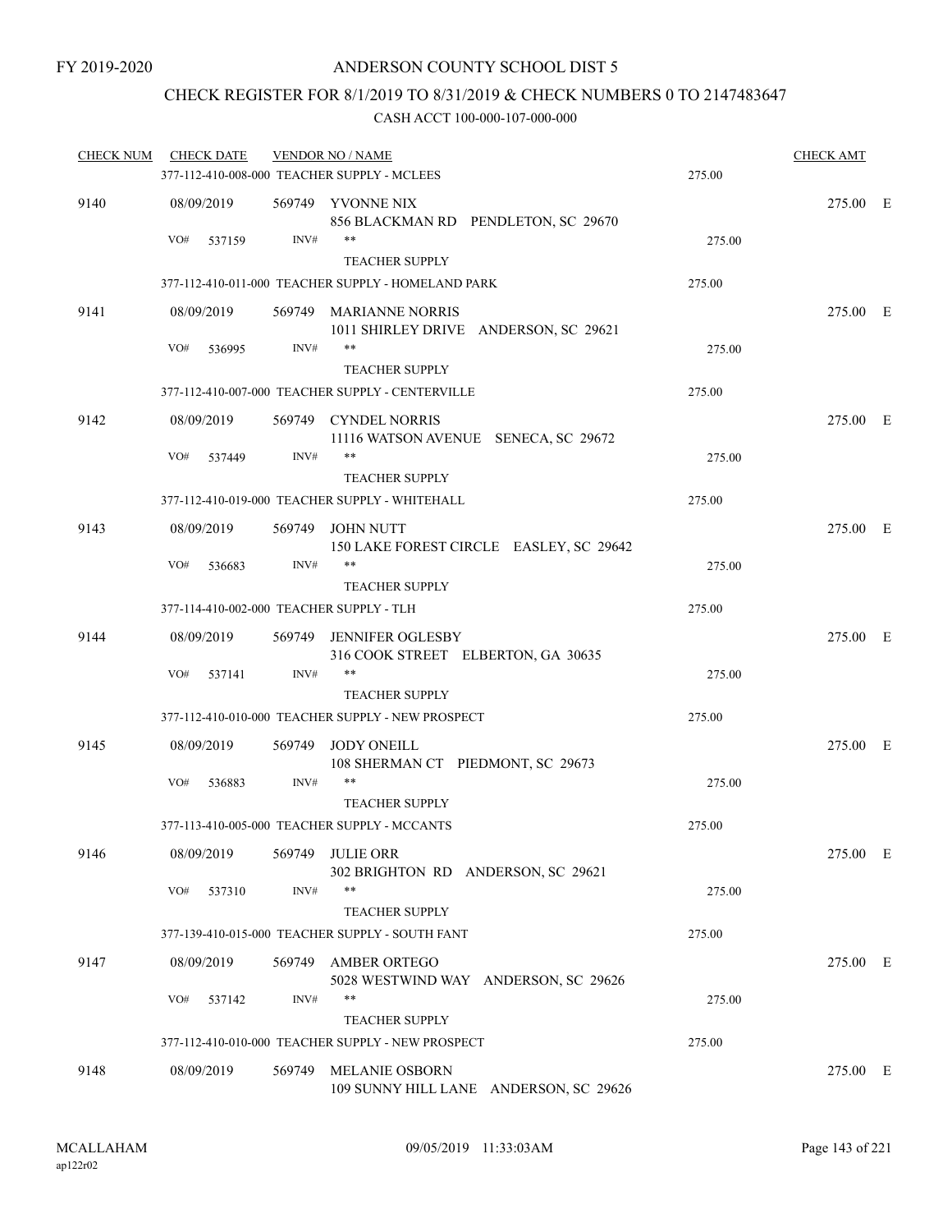### CHECK REGISTER FOR 8/1/2019 TO 8/31/2019 & CHECK NUMBERS 0 TO 2147483647

| <b>CHECK NUM</b> | <b>CHECK DATE</b>                        |        | <b>VENDOR NO / NAME</b>                                         |        | <b>CHECK AMT</b> |  |
|------------------|------------------------------------------|--------|-----------------------------------------------------------------|--------|------------------|--|
|                  |                                          |        | 377-112-410-008-000 TEACHER SUPPLY - MCLEES                     | 275.00 |                  |  |
| 9140             | 08/09/2019                               |        | 569749 YVONNE NIX<br>856 BLACKMAN RD PENDLETON, SC 29670        |        | 275.00 E         |  |
|                  | VO#<br>537159                            | INV#   | **<br><b>TEACHER SUPPLY</b>                                     | 275.00 |                  |  |
|                  |                                          |        | 377-112-410-011-000 TEACHER SUPPLY - HOMELAND PARK              | 275.00 |                  |  |
| 9141             | 08/09/2019                               |        | 569749 MARIANNE NORRIS<br>1011 SHIRLEY DRIVE ANDERSON, SC 29621 |        | 275.00 E         |  |
|                  | VO#<br>536995                            | INV#   | **                                                              | 275.00 |                  |  |
|                  |                                          |        | <b>TEACHER SUPPLY</b>                                           |        |                  |  |
|                  |                                          |        | 377-112-410-007-000 TEACHER SUPPLY - CENTERVILLE                | 275.00 |                  |  |
| 9142             | 08/09/2019                               |        | 569749 CYNDEL NORRIS<br>11116 WATSON AVENUE SENECA, SC 29672    |        | 275.00 E         |  |
|                  | VO#<br>537449                            | INV#   | $***$<br><b>TEACHER SUPPLY</b>                                  | 275.00 |                  |  |
|                  |                                          |        | 377-112-410-019-000 TEACHER SUPPLY - WHITEHALL                  | 275.00 |                  |  |
| 9143             | 08/09/2019                               |        | 569749 JOHN NUTT<br>150 LAKE FOREST CIRCLE EASLEY, SC 29642     |        | 275.00 E         |  |
|                  | VO#<br>536683                            | INV#   | **<br><b>TEACHER SUPPLY</b>                                     | 275.00 |                  |  |
|                  | 377-114-410-002-000 TEACHER SUPPLY - TLH |        |                                                                 | 275.00 |                  |  |
| 9144             | 08/09/2019                               |        | 569749 JENNIFER OGLESBY<br>316 COOK STREET ELBERTON, GA 30635   |        | 275.00 E         |  |
|                  | VO#<br>537141                            | INV#   | **<br><b>TEACHER SUPPLY</b>                                     | 275.00 |                  |  |
|                  |                                          |        | 377-112-410-010-000 TEACHER SUPPLY - NEW PROSPECT               | 275.00 |                  |  |
| 9145             | 08/09/2019                               |        | 569749 JODY ONEILL<br>108 SHERMAN CT PIEDMONT, SC 29673         |        | 275.00 E         |  |
|                  | VO#<br>536883                            | INV#   | **<br><b>TEACHER SUPPLY</b>                                     | 275.00 |                  |  |
|                  |                                          |        | 377-113-410-005-000 TEACHER SUPPLY - MCCANTS                    | 275.00 |                  |  |
| 9146             | 08/09/2019                               | 569749 | <b>JULIE ORR</b><br>302 BRIGHTON RD ANDERSON, SC 29621          |        | 275.00 E         |  |
|                  | VO#<br>537310                            | INV#   | **<br><b>TEACHER SUPPLY</b>                                     | 275.00 |                  |  |
|                  |                                          |        | 377-139-410-015-000 TEACHER SUPPLY - SOUTH FANT                 | 275.00 |                  |  |
| 9147             | 08/09/2019                               | 569749 | <b>AMBER ORTEGO</b><br>5028 WESTWIND WAY ANDERSON, SC 29626     |        | 275.00 E         |  |
|                  | VO#<br>537142                            | INV#   | **<br><b>TEACHER SUPPLY</b>                                     | 275.00 |                  |  |
|                  |                                          |        | 377-112-410-010-000 TEACHER SUPPLY - NEW PROSPECT               | 275.00 |                  |  |
| 9148             | 08/09/2019                               | 569749 | <b>MELANIE OSBORN</b><br>109 SUNNY HILL LANE ANDERSON, SC 29626 |        | 275.00 E         |  |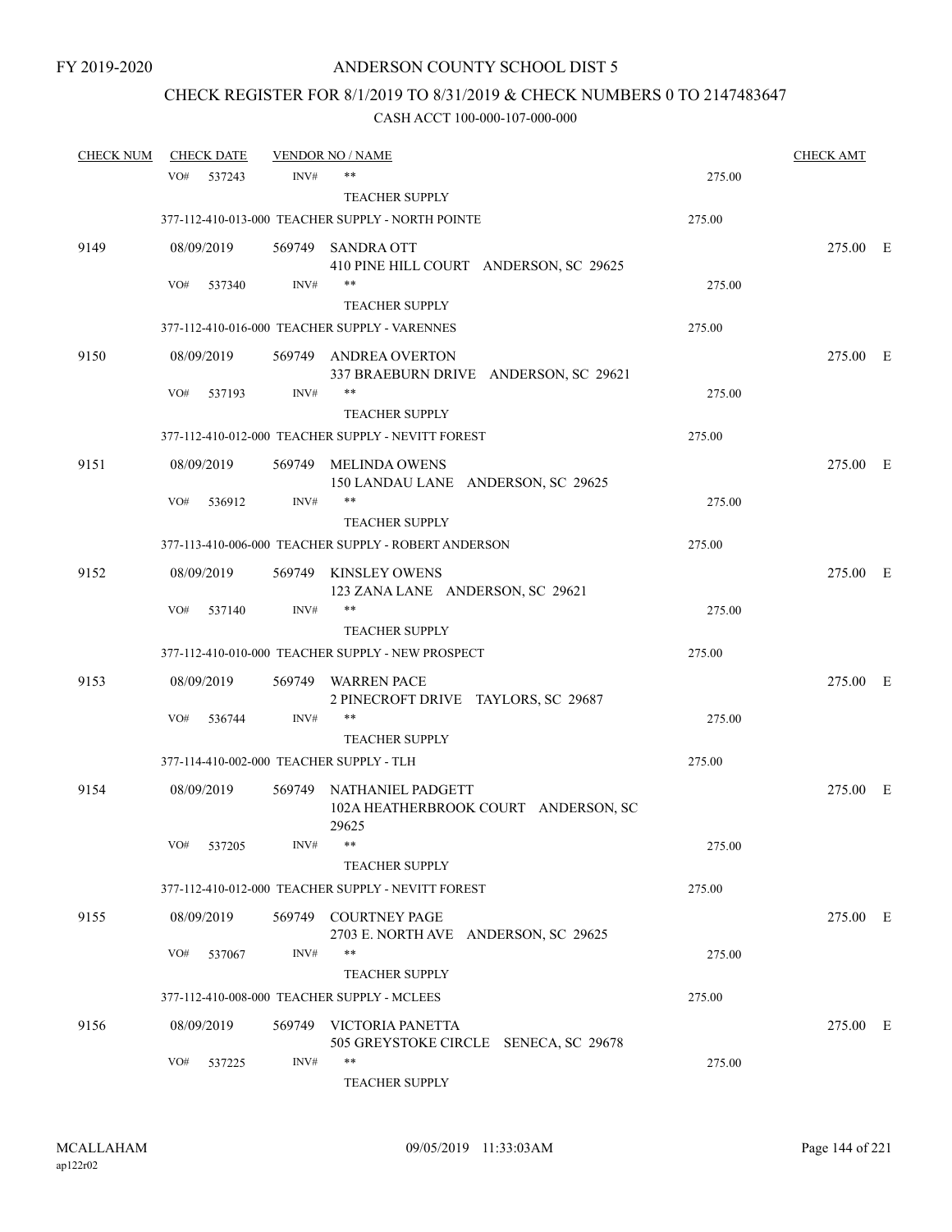# CHECK REGISTER FOR 8/1/2019 TO 8/31/2019 & CHECK NUMBERS 0 TO 2147483647

| <b>CHECK NUM</b> |     | <b>CHECK DATE</b> |        | <b>VENDOR NO / NAME</b>                                                   |        | <b>CHECK AMT</b> |  |
|------------------|-----|-------------------|--------|---------------------------------------------------------------------------|--------|------------------|--|
|                  | VO# | 537243            | INV#   | $***$                                                                     | 275.00 |                  |  |
|                  |     |                   |        | <b>TEACHER SUPPLY</b>                                                     |        |                  |  |
|                  |     |                   |        | 377-112-410-013-000 TEACHER SUPPLY - NORTH POINTE                         | 275.00 |                  |  |
| 9149             |     | 08/09/2019        |        | 569749 SANDRA OTT<br>410 PINE HILL COURT ANDERSON, SC 29625               |        | 275.00 E         |  |
|                  | VO# | 537340            | INV#   | $***$                                                                     | 275.00 |                  |  |
|                  |     |                   |        | <b>TEACHER SUPPLY</b>                                                     |        |                  |  |
|                  |     |                   |        | 377-112-410-016-000 TEACHER SUPPLY - VARENNES                             | 275.00 |                  |  |
| 9150             |     | 08/09/2019        |        | 569749 ANDREA OVERTON<br>337 BRAEBURN DRIVE ANDERSON, SC 29621            |        | 275.00 E         |  |
|                  | VO# | 537193            | INV#   | $***$<br><b>TEACHER SUPPLY</b>                                            | 275.00 |                  |  |
|                  |     |                   |        | 377-112-410-012-000 TEACHER SUPPLY - NEVITT FOREST                        | 275.00 |                  |  |
| 9151             |     | 08/09/2019        |        | 569749 MELINDA OWENS<br>150 LANDAU LANE ANDERSON, SC 29625                |        | 275.00 E         |  |
|                  | VO# | 536912            | INV#   | <b>TEACHER SUPPLY</b>                                                     | 275.00 |                  |  |
|                  |     |                   |        | 377-113-410-006-000 TEACHER SUPPLY - ROBERT ANDERSON                      | 275.00 |                  |  |
| 9152             |     | 08/09/2019        | 569749 | KINSLEY OWENS<br>123 ZANA LANE ANDERSON, SC 29621                         |        | 275.00 E         |  |
|                  | VO# | 537140            | INV#   | **                                                                        | 275.00 |                  |  |
|                  |     |                   |        | <b>TEACHER SUPPLY</b>                                                     |        |                  |  |
|                  |     |                   |        | 377-112-410-010-000 TEACHER SUPPLY - NEW PROSPECT                         | 275.00 |                  |  |
| 9153             |     | 08/09/2019        | 569749 | <b>WARREN PACE</b><br>2 PINECROFT DRIVE TAYLORS, SC 29687                 |        | 275.00 E         |  |
|                  | VO# | 536744            | INV#   | $***$                                                                     | 275.00 |                  |  |
|                  |     |                   |        | <b>TEACHER SUPPLY</b><br>377-114-410-002-000 TEACHER SUPPLY - TLH         | 275.00 |                  |  |
|                  |     |                   |        |                                                                           |        |                  |  |
| 9154             |     | 08/09/2019        |        | 569749 NATHANIEL PADGETT<br>102A HEATHERBROOK COURT ANDERSON, SC<br>29625 |        | 275.00 E         |  |
|                  |     | VO# 537205        | INV#   |                                                                           | 275.00 |                  |  |
|                  |     |                   |        | <b>TEACHER SUPPLY</b>                                                     |        |                  |  |
|                  |     |                   |        | 377-112-410-012-000 TEACHER SUPPLY - NEVITT FOREST                        | 275.00 |                  |  |
| 9155             |     | 08/09/2019        |        | 569749 COURTNEY PAGE<br>2703 E. NORTH AVE ANDERSON, SC 29625              |        | 275.00 E         |  |
|                  | VO# | 537067            | INV#   | $***$<br><b>TEACHER SUPPLY</b>                                            | 275.00 |                  |  |
|                  |     |                   |        | 377-112-410-008-000 TEACHER SUPPLY - MCLEES                               | 275.00 |                  |  |
| 9156             |     | 08/09/2019        |        | 569749 VICTORIA PANETTA<br>505 GREYSTOKE CIRCLE SENECA, SC 29678          |        | 275.00 E         |  |
|                  | VO# | 537225            | INV#   | $***$<br>TEACHER SUPPLY                                                   | 275.00 |                  |  |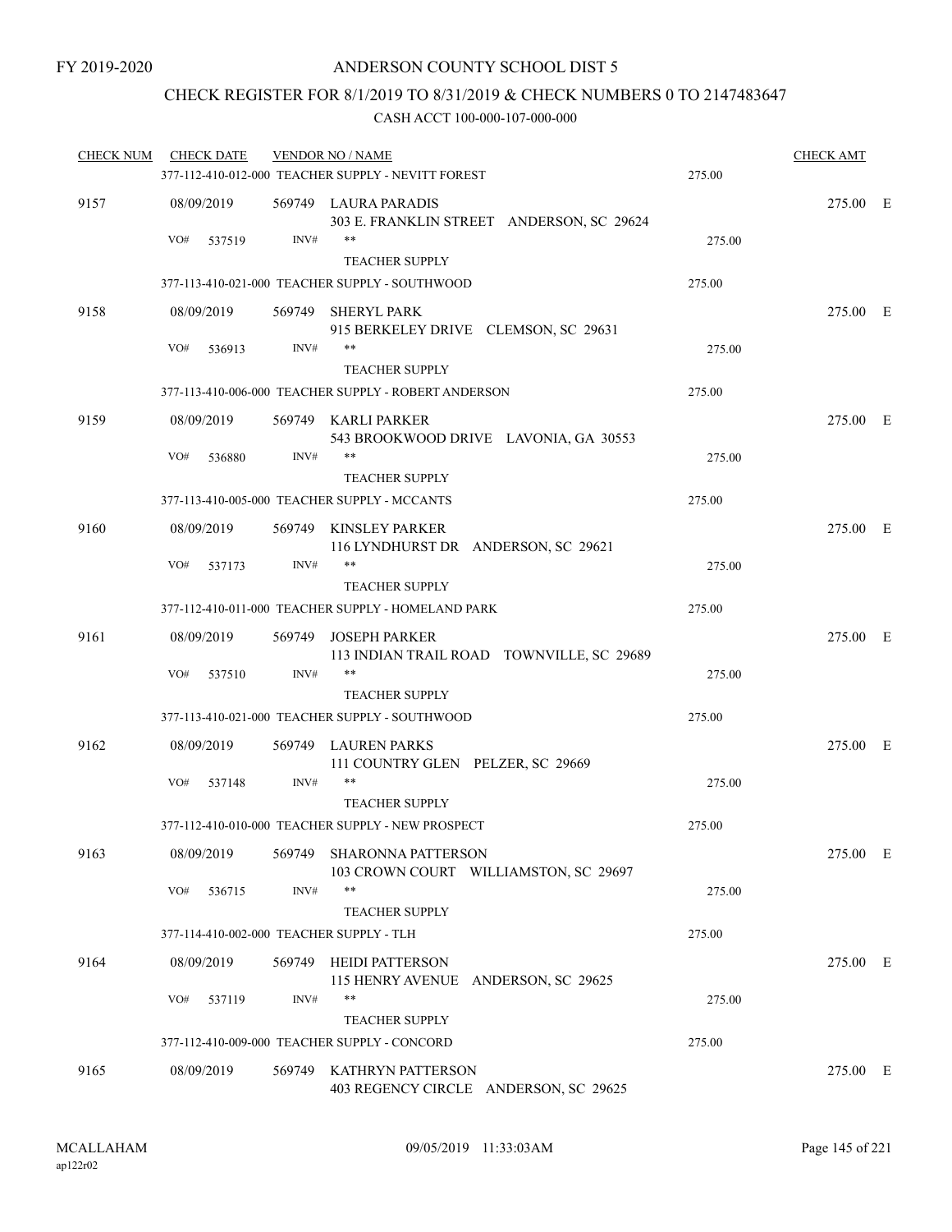## CHECK REGISTER FOR 8/1/2019 TO 8/31/2019 & CHECK NUMBERS 0 TO 2147483647

| <b>CHECK NUM</b> | <b>CHECK DATE</b>                        |        | <b>VENDOR NO / NAME</b>                                            |        | <b>CHECK AMT</b> |  |
|------------------|------------------------------------------|--------|--------------------------------------------------------------------|--------|------------------|--|
|                  |                                          |        | 377-112-410-012-000 TEACHER SUPPLY - NEVITT FOREST                 | 275.00 |                  |  |
| 9157             | 08/09/2019                               |        | 569749 LAURA PARADIS<br>303 E. FRANKLIN STREET ANDERSON, SC 29624  |        | 275.00 E         |  |
|                  | VO#<br>537519                            | INV#   | <b>TEACHER SUPPLY</b>                                              | 275.00 |                  |  |
|                  |                                          |        | 377-113-410-021-000 TEACHER SUPPLY - SOUTHWOOD                     | 275.00 |                  |  |
| 9158             | 08/09/2019                               |        | 569749 SHERYL PARK<br>915 BERKELEY DRIVE CLEMSON, SC 29631         |        | 275.00 E         |  |
|                  | VO#<br>536913                            | INV#   | **<br><b>TEACHER SUPPLY</b>                                        | 275.00 |                  |  |
|                  |                                          |        | 377-113-410-006-000 TEACHER SUPPLY - ROBERT ANDERSON               | 275.00 |                  |  |
| 9159             | 08/09/2019                               |        | 569749 KARLI PARKER<br>543 BROOKWOOD DRIVE LAVONIA, GA 30553       |        | 275.00 E         |  |
|                  | VO#<br>536880                            | INV#   | **<br><b>TEACHER SUPPLY</b>                                        | 275.00 |                  |  |
|                  |                                          |        | 377-113-410-005-000 TEACHER SUPPLY - MCCANTS                       | 275.00 |                  |  |
| 9160             | 08/09/2019                               |        | 569749 KINSLEY PARKER<br>116 LYNDHURST DR ANDERSON, SC 29621       |        | 275.00 E         |  |
|                  | VO#<br>537173                            | INV#   | **<br><b>TEACHER SUPPLY</b>                                        | 275.00 |                  |  |
|                  |                                          |        | 377-112-410-011-000 TEACHER SUPPLY - HOMELAND PARK                 | 275.00 |                  |  |
| 9161             | 08/09/2019                               |        | 569749 JOSEPH PARKER<br>113 INDIAN TRAIL ROAD TOWNVILLE, SC 29689  |        | 275.00 E         |  |
|                  | VO#<br>537510                            | INV#   | **<br><b>TEACHER SUPPLY</b>                                        | 275.00 |                  |  |
|                  |                                          |        | 377-113-410-021-000 TEACHER SUPPLY - SOUTHWOOD                     | 275.00 |                  |  |
| 9162             | 08/09/2019                               |        | 569749 LAUREN PARKS<br>111 COUNTRY GLEN PELZER, SC 29669           |        | 275.00 E         |  |
|                  | VO#<br>537148                            | INV#   | **<br><b>TEACHER SUPPLY</b>                                        | 275.00 |                  |  |
|                  |                                          |        | 377-112-410-010-000 TEACHER SUPPLY - NEW PROSPECT                  | 275.00 |                  |  |
| 9163             | 08/09/2019                               |        | 569749 SHARONNA PATTERSON<br>103 CROWN COURT WILLIAMSTON, SC 29697 |        | 275.00 E         |  |
|                  | VO#<br>536715                            | INV#   | **<br><b>TEACHER SUPPLY</b>                                        | 275.00 |                  |  |
|                  | 377-114-410-002-000 TEACHER SUPPLY - TLH |        |                                                                    | 275.00 |                  |  |
| 9164             | 08/09/2019                               |        | 569749 HEIDI PATTERSON<br>115 HENRY AVENUE ANDERSON, SC 29625      |        | 275.00 E         |  |
|                  | VO#<br>537119                            | INV#   | **<br><b>TEACHER SUPPLY</b>                                        | 275.00 |                  |  |
|                  |                                          |        | 377-112-410-009-000 TEACHER SUPPLY - CONCORD                       | 275.00 |                  |  |
| 9165             | 08/09/2019                               | 569749 | KATHRYN PATTERSON<br>403 REGENCY CIRCLE ANDERSON, SC 29625         |        | 275.00 E         |  |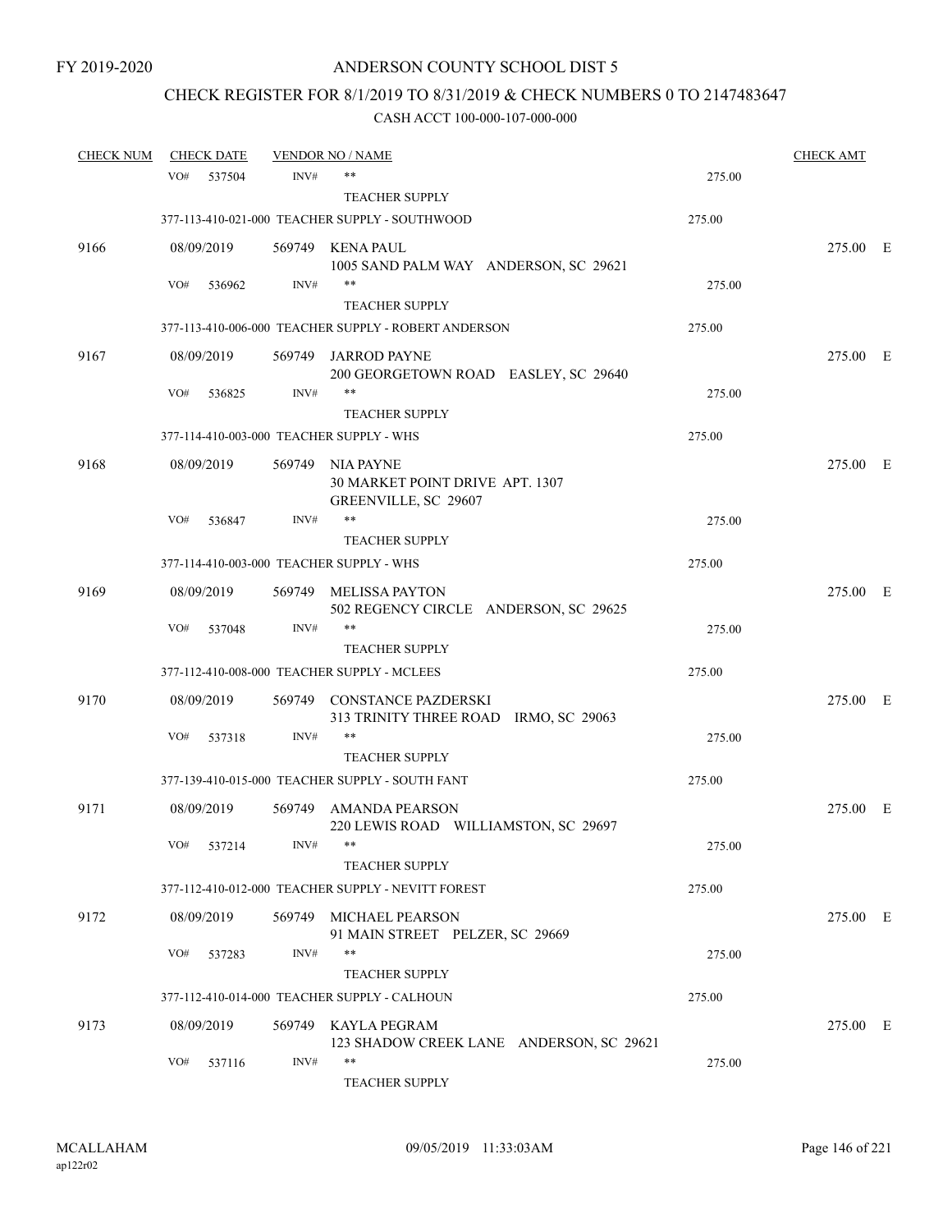# CHECK REGISTER FOR 8/1/2019 TO 8/31/2019 & CHECK NUMBERS 0 TO 2147483647

| <b>CHECK NUM</b> |     | <b>CHECK DATE</b> |        | <b>VENDOR NO / NAME</b>                              |        | <b>CHECK AMT</b> |  |
|------------------|-----|-------------------|--------|------------------------------------------------------|--------|------------------|--|
|                  | VO# | 537504            | INV#   | $***$                                                | 275.00 |                  |  |
|                  |     |                   |        | <b>TEACHER SUPPLY</b>                                |        |                  |  |
|                  |     |                   |        | 377-113-410-021-000 TEACHER SUPPLY - SOUTHWOOD       | 275.00 |                  |  |
| 9166             |     | 08/09/2019        |        | 569749 KENA PAUL                                     |        | 275.00 E         |  |
|                  |     |                   |        | 1005 SAND PALM WAY ANDERSON, SC 29621                |        |                  |  |
|                  | VO# | 536962            | INV#   | $***$                                                | 275.00 |                  |  |
|                  |     |                   |        | <b>TEACHER SUPPLY</b>                                |        |                  |  |
|                  |     |                   |        | 377-113-410-006-000 TEACHER SUPPLY - ROBERT ANDERSON | 275.00 |                  |  |
| 9167             |     | 08/09/2019        | 569749 | <b>JARROD PAYNE</b>                                  |        | 275.00 E         |  |
|                  |     |                   |        | 200 GEORGETOWN ROAD EASLEY, SC 29640                 |        |                  |  |
|                  | VO# | 536825            | INV#   | **                                                   | 275.00 |                  |  |
|                  |     |                   |        | <b>TEACHER SUPPLY</b>                                |        |                  |  |
|                  |     |                   |        | 377-114-410-003-000 TEACHER SUPPLY - WHS             | 275.00 |                  |  |
| 9168             |     | 08/09/2019        | 569749 | NIA PAYNE                                            |        | 275.00 E         |  |
|                  |     |                   |        | 30 MARKET POINT DRIVE APT. 1307                      |        |                  |  |
|                  |     |                   |        | GREENVILLE, SC 29607                                 |        |                  |  |
|                  | VO# | 536847            | INV#   | $***$                                                | 275.00 |                  |  |
|                  |     |                   |        | <b>TEACHER SUPPLY</b>                                |        |                  |  |
|                  |     |                   |        | 377-114-410-003-000 TEACHER SUPPLY - WHS             | 275.00 |                  |  |
| 9169             |     | 08/09/2019        | 569749 | MELISSA PAYTON                                       |        | 275.00 E         |  |
|                  |     |                   |        | 502 REGENCY CIRCLE ANDERSON, SC 29625                |        |                  |  |
|                  | VO# | 537048            | INV#   | **                                                   | 275.00 |                  |  |
|                  |     |                   |        | <b>TEACHER SUPPLY</b>                                |        |                  |  |
|                  |     |                   |        | 377-112-410-008-000 TEACHER SUPPLY - MCLEES          | 275.00 |                  |  |
| 9170             |     | 08/09/2019        |        | 569749 CONSTANCE PAZDERSKI                           |        | 275.00 E         |  |
|                  |     |                   |        | 313 TRINITY THREE ROAD IRMO, SC 29063<br>$***$       |        |                  |  |
|                  | VO# | 537318            | INV#   | <b>TEACHER SUPPLY</b>                                | 275.00 |                  |  |
|                  |     |                   |        | 377-139-410-015-000 TEACHER SUPPLY - SOUTH FANT      | 275.00 |                  |  |
|                  |     |                   |        |                                                      |        |                  |  |
| 9171             |     | 08/09/2019        |        | 569749 AMANDA PEARSON                                |        | 275.00 E         |  |
|                  |     |                   |        | 220 LEWIS ROAD WILLIAMSTON, SC 29697                 |        |                  |  |
|                  |     | VO# 537214        | INV#   | <b>TEACHER SUPPLY</b>                                | 275.00 |                  |  |
|                  |     |                   |        | 377-112-410-012-000 TEACHER SUPPLY - NEVITT FOREST   | 275.00 |                  |  |
|                  |     |                   |        |                                                      |        |                  |  |
| 9172             |     | 08/09/2019        | 569749 | MICHAEL PEARSON                                      |        | 275.00 E         |  |
|                  | VO# |                   | INV#   | 91 MAIN STREET PELZER, SC 29669<br>$***$             |        |                  |  |
|                  |     | 537283            |        | <b>TEACHER SUPPLY</b>                                | 275.00 |                  |  |
|                  |     |                   |        | 377-112-410-014-000 TEACHER SUPPLY - CALHOUN         | 275.00 |                  |  |
|                  |     |                   |        |                                                      |        |                  |  |
| 9173             |     | 08/09/2019        |        | 569749 KAYLA PEGRAM                                  |        | 275.00 E         |  |
|                  | VO# | 537116            | INV#   | 123 SHADOW CREEK LANE ANDERSON, SC 29621<br>**       | 275.00 |                  |  |
|                  |     |                   |        | TEACHER SUPPLY                                       |        |                  |  |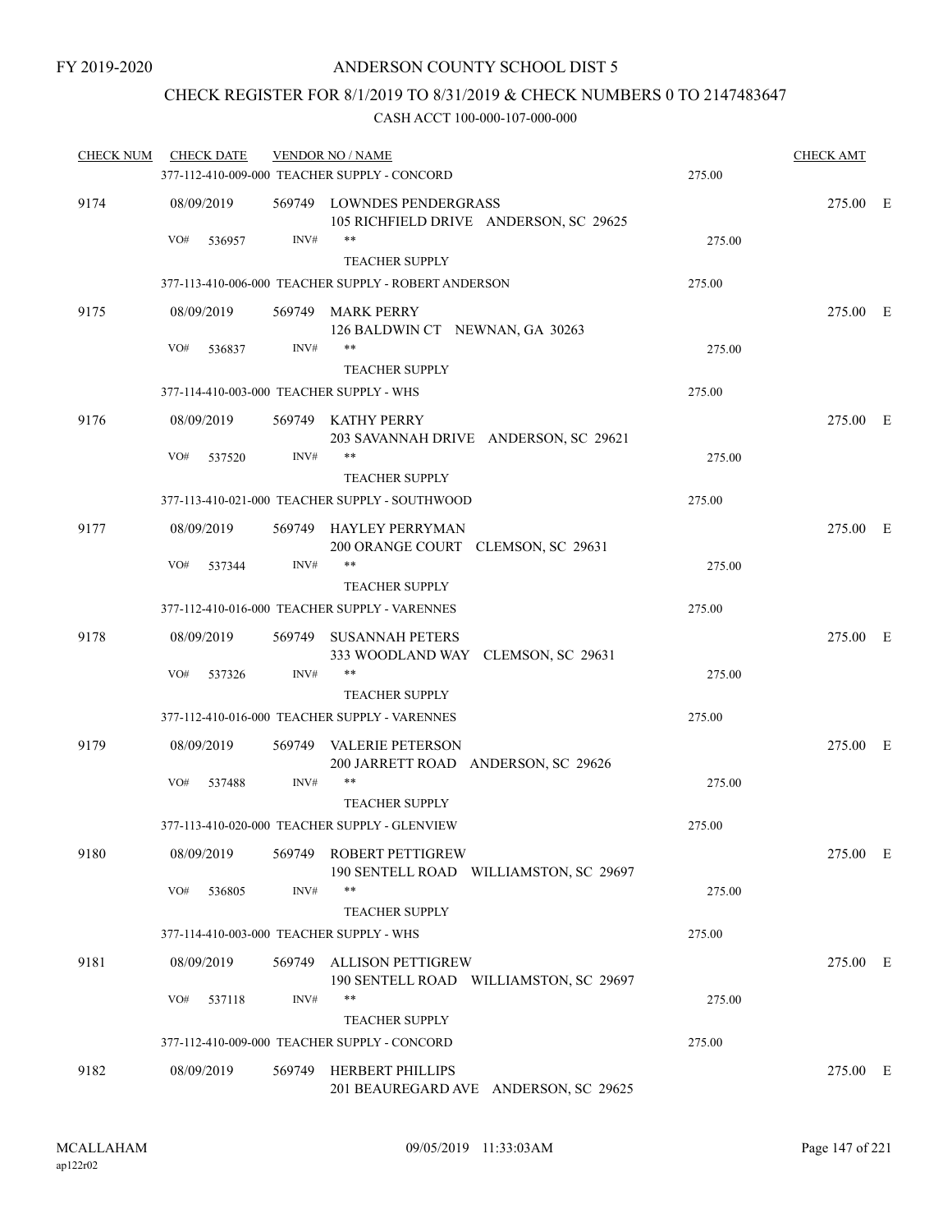# CHECK REGISTER FOR 8/1/2019 TO 8/31/2019 & CHECK NUMBERS 0 TO 2147483647

| <b>CHECK NUM</b><br><b>CHECK DATE</b> |                                          | <b>VENDOR NO / NAME</b> |                                                                      |        | <b>CHECK AMT</b> |  |  |
|---------------------------------------|------------------------------------------|-------------------------|----------------------------------------------------------------------|--------|------------------|--|--|
|                                       |                                          |                         | 377-112-410-009-000 TEACHER SUPPLY - CONCORD                         | 275.00 |                  |  |  |
| 9174                                  | 08/09/2019                               |                         | 569749 LOWNDES PENDERGRASS<br>105 RICHFIELD DRIVE ANDERSON, SC 29625 |        | 275.00 E         |  |  |
|                                       | VO#<br>536957                            | INV#                    | **<br><b>TEACHER SUPPLY</b>                                          | 275.00 |                  |  |  |
|                                       |                                          |                         | 377-113-410-006-000 TEACHER SUPPLY - ROBERT ANDERSON                 | 275.00 |                  |  |  |
| 9175                                  | 08/09/2019                               |                         | 569749 MARK PERRY<br>126 BALDWIN CT NEWNAN, GA 30263                 |        | 275.00 E         |  |  |
|                                       | VO#<br>536837                            | INV#                    | $***$<br><b>TEACHER SUPPLY</b>                                       | 275.00 |                  |  |  |
|                                       | 377-114-410-003-000 TEACHER SUPPLY - WHS |                         |                                                                      | 275.00 |                  |  |  |
| 9176                                  | 08/09/2019                               |                         | 569749 KATHY PERRY<br>203 SAVANNAH DRIVE ANDERSON, SC 29621          |        | 275.00 E         |  |  |
|                                       | VO#<br>537520                            | INV#                    | **<br><b>TEACHER SUPPLY</b>                                          | 275.00 |                  |  |  |
|                                       |                                          |                         | 377-113-410-021-000 TEACHER SUPPLY - SOUTHWOOD                       | 275.00 |                  |  |  |
| 9177                                  | 08/09/2019                               |                         | 569749 HAYLEY PERRYMAN<br>200 ORANGE COURT CLEMSON, SC 29631         |        | 275.00 E         |  |  |
|                                       | VO#<br>537344                            | INV#                    | $***$<br><b>TEACHER SUPPLY</b>                                       | 275.00 |                  |  |  |
|                                       |                                          |                         | 377-112-410-016-000 TEACHER SUPPLY - VARENNES                        | 275.00 |                  |  |  |
| 9178                                  | 08/09/2019                               |                         | 569749 SUSANNAH PETERS<br>333 WOODLAND WAY CLEMSON, SC 29631         |        | 275.00 E         |  |  |
|                                       | VO#<br>537326                            | INV#                    | **<br><b>TEACHER SUPPLY</b>                                          | 275.00 |                  |  |  |
|                                       |                                          |                         | 377-112-410-016-000 TEACHER SUPPLY - VARENNES                        | 275.00 |                  |  |  |
| 9179                                  | 08/09/2019                               |                         | 569749 VALERIE PETERSON<br>200 JARRETT ROAD ANDERSON, SC 29626       |        | 275.00 E         |  |  |
|                                       | VO#<br>537488                            | INV#                    | **                                                                   | 275.00 |                  |  |  |
|                                       |                                          |                         | <b>TEACHER SUPPLY</b>                                                |        |                  |  |  |
|                                       |                                          |                         | 377-113-410-020-000 TEACHER SUPPLY - GLENVIEW                        | 275.00 |                  |  |  |
| 9180                                  | 08/09/2019                               |                         | 569749 ROBERT PETTIGREW<br>190 SENTELL ROAD WILLIAMSTON, SC 29697    |        | 275.00 E         |  |  |
|                                       | VO#<br>536805                            | INV#                    | **<br><b>TEACHER SUPPLY</b>                                          | 275.00 |                  |  |  |
|                                       | 377-114-410-003-000 TEACHER SUPPLY - WHS |                         |                                                                      | 275.00 |                  |  |  |
| 9181                                  | 08/09/2019                               | 569749                  | <b>ALLISON PETTIGREW</b><br>190 SENTELL ROAD WILLIAMSTON, SC 29697   |        | 275.00 E         |  |  |
|                                       | VO#<br>537118                            | INV#                    | **                                                                   | 275.00 |                  |  |  |
|                                       |                                          |                         | <b>TEACHER SUPPLY</b>                                                |        |                  |  |  |
|                                       |                                          |                         | 377-112-410-009-000 TEACHER SUPPLY - CONCORD                         | 275.00 |                  |  |  |
| 9182                                  | 08/09/2019                               |                         | 569749 HERBERT PHILLIPS<br>201 BEAUREGARD AVE ANDERSON, SC 29625     |        | 275.00 E         |  |  |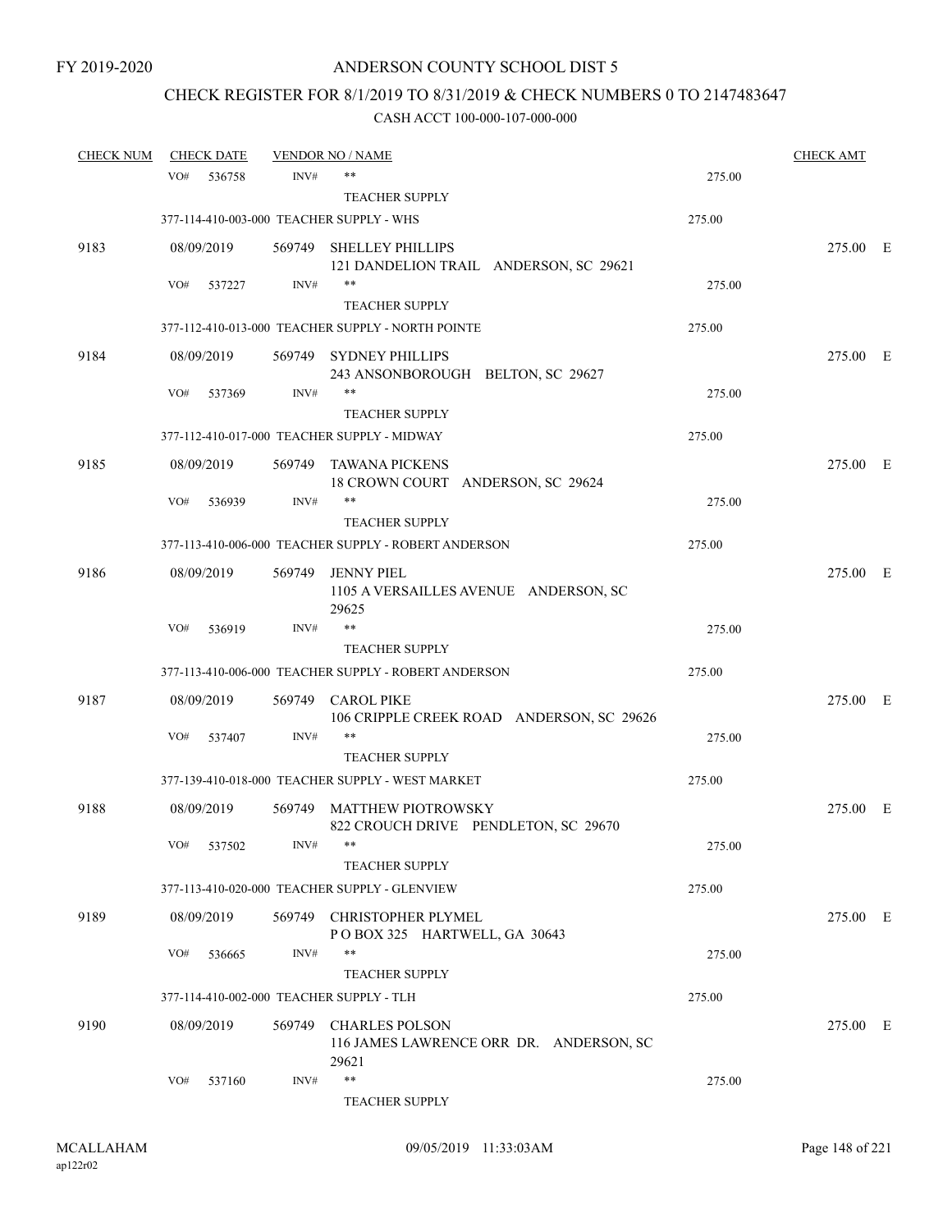# CHECK REGISTER FOR 8/1/2019 TO 8/31/2019 & CHECK NUMBERS 0 TO 2147483647

| <u>CHECK NUM</u> | <b>CHECK DATE</b> |        |        | <u>VENDOR NO / NAME</u>                                                   |        | <b>CHECK AMT</b> |  |
|------------------|-------------------|--------|--------|---------------------------------------------------------------------------|--------|------------------|--|
|                  | VO#               | 536758 | INV#   | $***$                                                                     | 275.00 |                  |  |
|                  |                   |        |        | <b>TEACHER SUPPLY</b>                                                     |        |                  |  |
|                  |                   |        |        | 377-114-410-003-000 TEACHER SUPPLY - WHS                                  | 275.00 |                  |  |
| 9183             | 08/09/2019        |        | 569749 | <b>SHELLEY PHILLIPS</b><br>121 DANDELION TRAIL ANDERSON, SC 29621         |        | 275.00 E         |  |
|                  | VO#               | 537227 | INV#   | $***$                                                                     | 275.00 |                  |  |
|                  |                   |        |        | <b>TEACHER SUPPLY</b>                                                     |        |                  |  |
|                  |                   |        |        | 377-112-410-013-000 TEACHER SUPPLY - NORTH POINTE                         | 275.00 |                  |  |
| 9184             | 08/09/2019        |        |        | 569749 SYDNEY PHILLIPS<br>243 ANSONBOROUGH BELTON, SC 29627               |        | 275.00 E         |  |
|                  | VO#               | 537369 | INV#   | $***$                                                                     | 275.00 |                  |  |
|                  |                   |        |        | <b>TEACHER SUPPLY</b>                                                     |        |                  |  |
|                  |                   |        |        | 377-112-410-017-000 TEACHER SUPPLY - MIDWAY                               | 275.00 |                  |  |
| 9185             | 08/09/2019        |        | 569749 | TAWANA PICKENS<br>18 CROWN COURT ANDERSON, SC 29624                       |        | 275.00 E         |  |
|                  | VO#               | 536939 | INV#   | **                                                                        | 275.00 |                  |  |
|                  |                   |        |        | <b>TEACHER SUPPLY</b>                                                     |        |                  |  |
|                  |                   |        |        | 377-113-410-006-000 TEACHER SUPPLY - ROBERT ANDERSON                      | 275.00 |                  |  |
| 9186             | 08/09/2019        |        | 569749 | JENNY PIEL<br>1105 A VERSAILLES AVENUE ANDERSON, SC<br>29625              |        | 275.00 E         |  |
|                  | VO#               | 536919 | INV#   | $***$                                                                     | 275.00 |                  |  |
|                  |                   |        |        | <b>TEACHER SUPPLY</b>                                                     |        |                  |  |
|                  |                   |        |        | 377-113-410-006-000 TEACHER SUPPLY - ROBERT ANDERSON                      | 275.00 |                  |  |
| 9187             | 08/09/2019        |        | 569749 | <b>CAROL PIKE</b><br>106 CRIPPLE CREEK ROAD ANDERSON, SC 29626            |        | 275.00 E         |  |
|                  | VO#               | 537407 | INV#   | $***$                                                                     | 275.00 |                  |  |
|                  |                   |        |        | <b>TEACHER SUPPLY</b>                                                     |        |                  |  |
|                  |                   |        |        | 377-139-410-018-000 TEACHER SUPPLY - WEST MARKET                          | 275.00 |                  |  |
| 9188             | 08/09/2019        |        | 569749 | MATTHEW PIOTROWSKY<br>822 CROUCH DRIVE PENDLETON, SC 29670                |        | 275.00 E         |  |
|                  | VO#               | 537502 | INV#   |                                                                           | 275.00 |                  |  |
|                  |                   |        |        | <b>TEACHER SUPPLY</b>                                                     |        |                  |  |
|                  |                   |        |        | 377-113-410-020-000 TEACHER SUPPLY - GLENVIEW                             | 275.00 |                  |  |
| 9189             | 08/09/2019        |        |        | 569749 CHRISTOPHER PLYMEL<br>POBOX 325 HARTWELL, GA 30643                 |        | 275.00 E         |  |
|                  | VO#               | 536665 | INV#   | $***$                                                                     | 275.00 |                  |  |
|                  |                   |        |        | <b>TEACHER SUPPLY</b>                                                     |        |                  |  |
|                  |                   |        |        | 377-114-410-002-000 TEACHER SUPPLY - TLH                                  | 275.00 |                  |  |
| 9190             | 08/09/2019        |        |        | 569749 CHARLES POLSON<br>116 JAMES LAWRENCE ORR DR. ANDERSON, SC<br>29621 |        | 275.00 E         |  |
|                  | VO#               | 537160 | INV#   | $\ast\ast$<br>TEACHER SUPPLY                                              | 275.00 |                  |  |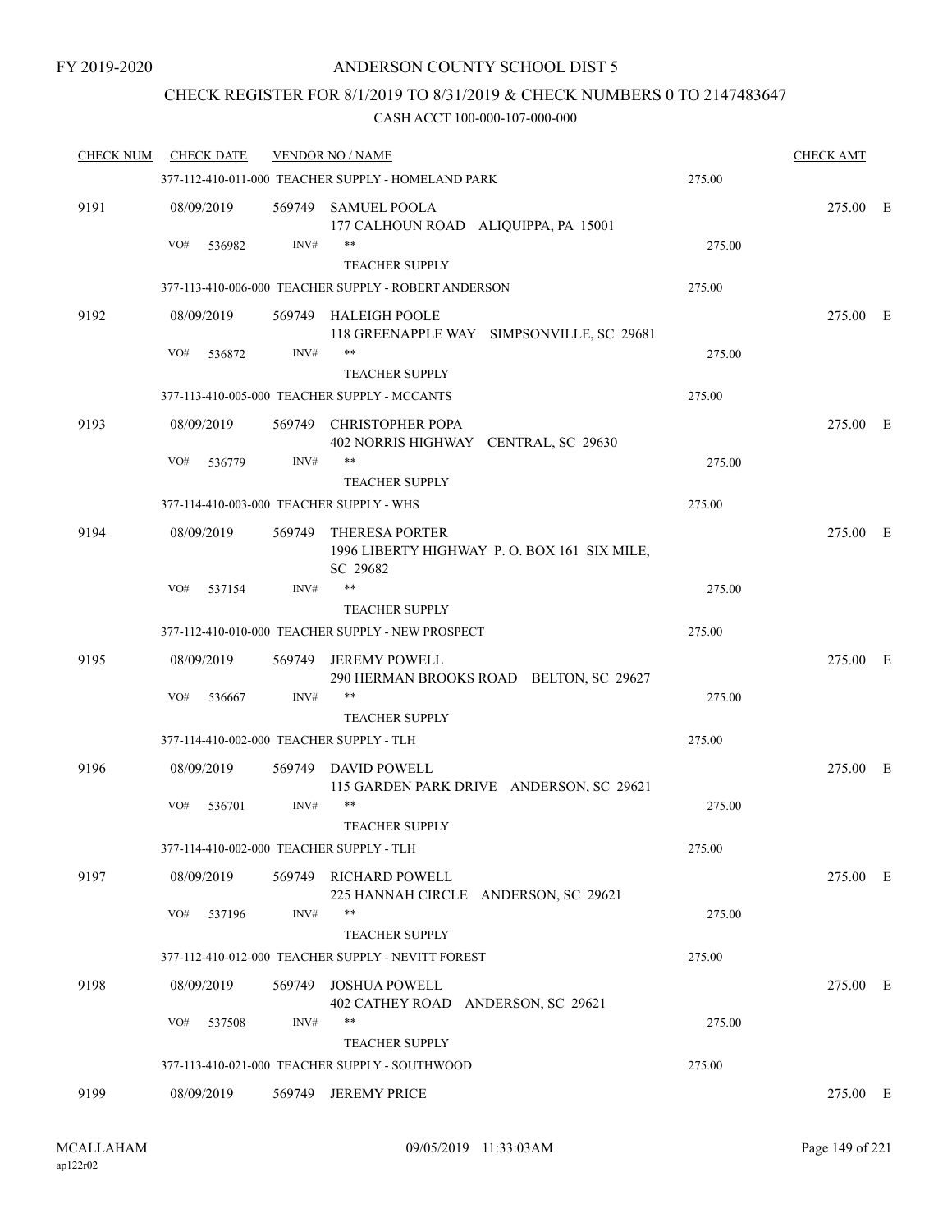### CHECK REGISTER FOR 8/1/2019 TO 8/31/2019 & CHECK NUMBERS 0 TO 2147483647

| <b>CHECK NUM</b> | <b>CHECK DATE</b>                        |        | <b>VENDOR NO / NAME</b>                                         |        | <b>CHECK AMT</b> |  |
|------------------|------------------------------------------|--------|-----------------------------------------------------------------|--------|------------------|--|
|                  |                                          |        | 377-112-410-011-000 TEACHER SUPPLY - HOMELAND PARK              | 275.00 |                  |  |
| 9191             | 08/09/2019                               |        | 569749 SAMUEL POOLA<br>177 CALHOUN ROAD ALIQUIPPA, PA 15001     |        | 275.00 E         |  |
|                  | VO#<br>536982                            | INV#   | $***$<br><b>TEACHER SUPPLY</b>                                  | 275.00 |                  |  |
|                  |                                          |        | 377-113-410-006-000 TEACHER SUPPLY - ROBERT ANDERSON            | 275.00 |                  |  |
| 9192             | 08/09/2019                               |        | 569749 HALEIGH POOLE                                            |        | 275.00 E         |  |
|                  |                                          |        | 118 GREENAPPLE WAY SIMPSONVILLE, SC 29681                       |        |                  |  |
|                  | VO#<br>536872                            | INV#   |                                                                 | 275.00 |                  |  |
|                  |                                          |        | <b>TEACHER SUPPLY</b>                                           |        |                  |  |
|                  |                                          |        | 377-113-410-005-000 TEACHER SUPPLY - MCCANTS                    | 275.00 |                  |  |
| 9193             | 08/09/2019                               | 569749 | CHRISTOPHER POPA<br>402 NORRIS HIGHWAY CENTRAL, SC 29630        |        | 275.00 E         |  |
|                  | VO#<br>536779                            | INV#   | **<br><b>TEACHER SUPPLY</b>                                     | 275.00 |                  |  |
|                  | 377-114-410-003-000 TEACHER SUPPLY - WHS |        |                                                                 | 275.00 |                  |  |
| 9194             | 08/09/2019                               | 569749 | <b>THERESA PORTER</b>                                           |        | 275.00 E         |  |
|                  |                                          |        | 1996 LIBERTY HIGHWAY P.O. BOX 161 SIX MILE,<br>SC 29682         |        |                  |  |
|                  | VO#<br>537154                            | INV#   | $***$                                                           | 275.00 |                  |  |
|                  |                                          |        | <b>TEACHER SUPPLY</b>                                           |        |                  |  |
|                  |                                          |        | 377-112-410-010-000 TEACHER SUPPLY - NEW PROSPECT               | 275.00 |                  |  |
| 9195             | 08/09/2019                               | 569749 | <b>JEREMY POWELL</b><br>290 HERMAN BROOKS ROAD BELTON, SC 29627 |        | 275.00 E         |  |
|                  | VO#<br>536667                            | INV#   | $***$                                                           | 275.00 |                  |  |
|                  | 377-114-410-002-000 TEACHER SUPPLY - TLH |        | <b>TEACHER SUPPLY</b>                                           | 275.00 |                  |  |
|                  |                                          |        |                                                                 |        |                  |  |
| 9196             | 08/09/2019                               | 569749 | <b>DAVID POWELL</b><br>115 GARDEN PARK DRIVE ANDERSON, SC 29621 |        | 275.00 E         |  |
|                  | VO#<br>536701                            | INV#   | $***$                                                           | 275.00 |                  |  |
|                  |                                          |        | <b>TEACHER SUPPLY</b>                                           |        |                  |  |
|                  | 377-114-410-002-000 TEACHER SUPPLY - TLH |        |                                                                 | 275.00 |                  |  |
| 9197             | 08/09/2019                               |        | 569749 RICHARD POWELL<br>225 HANNAH CIRCLE ANDERSON, SC 29621   |        | 275.00 E         |  |
|                  | VO#<br>537196                            | INV#   | **                                                              | 275.00 |                  |  |
|                  |                                          |        | <b>TEACHER SUPPLY</b>                                           |        |                  |  |
|                  |                                          |        | 377-112-410-012-000 TEACHER SUPPLY - NEVITT FOREST              | 275.00 |                  |  |
| 9198             | 08/09/2019                               |        | 569749 JOSHUA POWELL<br>402 CATHEY ROAD ANDERSON, SC 29621      |        | 275.00 E         |  |
|                  | VO#<br>537508                            | INV#   | $***$<br><b>TEACHER SUPPLY</b>                                  | 275.00 |                  |  |
|                  |                                          |        | 377-113-410-021-000 TEACHER SUPPLY - SOUTHWOOD                  | 275.00 |                  |  |
| 9199             |                                          | 569749 |                                                                 |        | 275.00 E         |  |
|                  | 08/09/2019                               |        | <b>JEREMY PRICE</b>                                             |        |                  |  |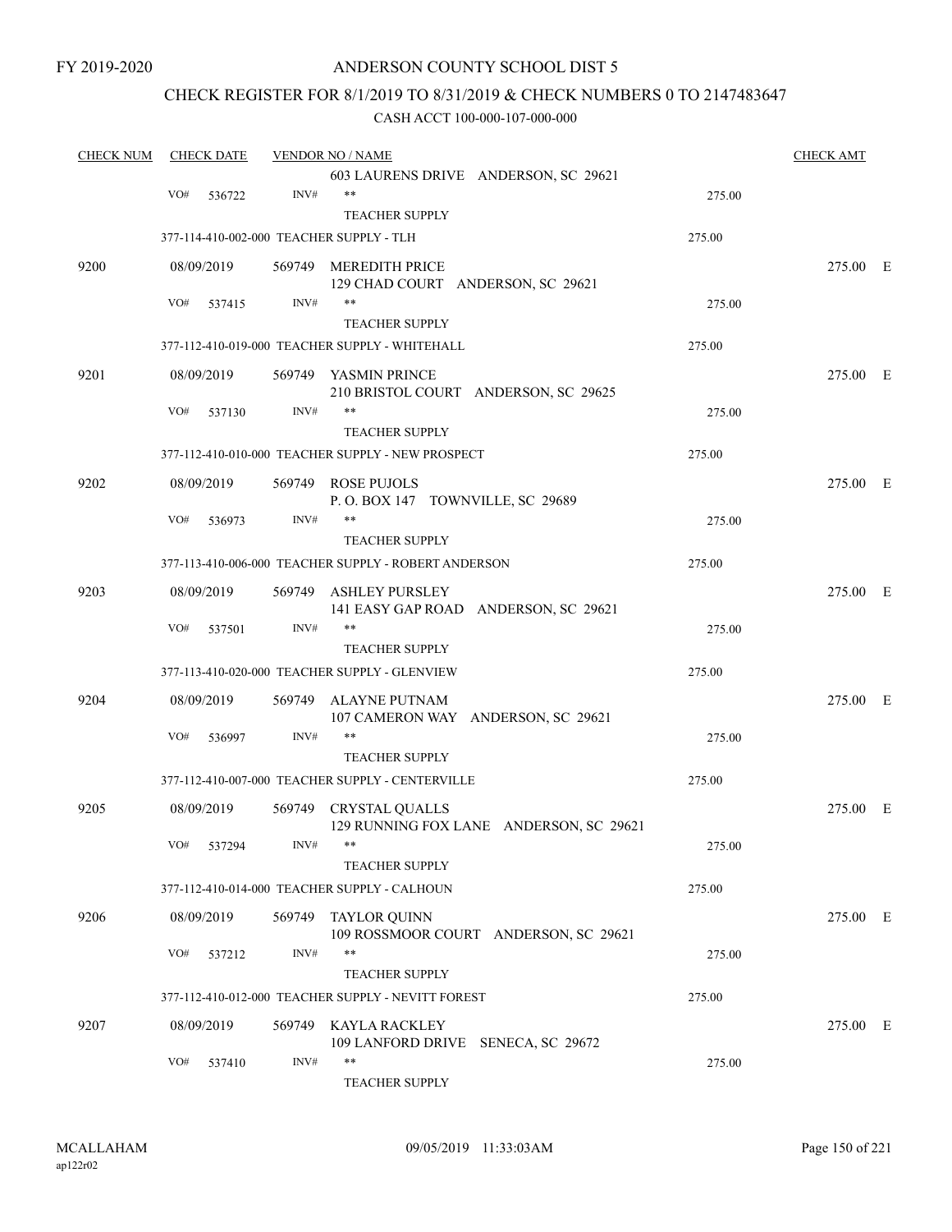FY 2019-2020

### ANDERSON COUNTY SCHOOL DIST 5

### CHECK REGISTER FOR 8/1/2019 TO 8/31/2019 & CHECK NUMBERS 0 TO 2147483647

| <b>CHECK NUM</b> |     | <b>CHECK DATE</b> |        | <b>VENDOR NO / NAME</b>                                          |        | <b>CHECK AMT</b> |  |
|------------------|-----|-------------------|--------|------------------------------------------------------------------|--------|------------------|--|
|                  |     |                   |        | 603 LAURENS DRIVE ANDERSON, SC 29621                             |        |                  |  |
|                  | VO# | 536722            | INV#   | $***$                                                            | 275.00 |                  |  |
|                  |     |                   |        | <b>TEACHER SUPPLY</b>                                            |        |                  |  |
|                  |     |                   |        | 377-114-410-002-000 TEACHER SUPPLY - TLH                         | 275.00 |                  |  |
| 9200             |     | 08/09/2019        |        | 569749 MEREDITH PRICE<br>129 CHAD COURT ANDERSON, SC 29621       |        | 275.00 E         |  |
|                  | VO# | 537415            | INV#   | **                                                               | 275.00 |                  |  |
|                  |     |                   |        | <b>TEACHER SUPPLY</b>                                            |        |                  |  |
|                  |     |                   |        | 377-112-410-019-000 TEACHER SUPPLY - WHITEHALL                   | 275.00 |                  |  |
| 9201             |     | 08/09/2019        |        | 569749 YASMIN PRINCE<br>210 BRISTOL COURT ANDERSON, SC 29625     |        | 275.00 E         |  |
|                  | VO# | 537130            | INV#   | **<br><b>TEACHER SUPPLY</b>                                      | 275.00 |                  |  |
|                  |     |                   |        | 377-112-410-010-000 TEACHER SUPPLY - NEW PROSPECT                | 275.00 |                  |  |
| 9202             |     | 08/09/2019        |        | 569749 ROSE PUJOLS                                               |        | 275.00 E         |  |
|                  |     |                   |        | P.O. BOX 147 TOWNVILLE, SC 29689                                 |        |                  |  |
|                  | VO# | 536973            | INV#   | **                                                               | 275.00 |                  |  |
|                  |     |                   |        | <b>TEACHER SUPPLY</b>                                            |        |                  |  |
|                  |     |                   |        | 377-113-410-006-000 TEACHER SUPPLY - ROBERT ANDERSON             | 275.00 |                  |  |
| 9203             |     | 08/09/2019        | 569749 | ASHLEY PURSLEY<br>141 EASY GAP ROAD ANDERSON, SC 29621           |        | 275.00 E         |  |
|                  | VO# | 537501            | INV#   | **                                                               | 275.00 |                  |  |
|                  |     |                   |        | <b>TEACHER SUPPLY</b>                                            |        |                  |  |
|                  |     |                   |        | 377-113-410-020-000 TEACHER SUPPLY - GLENVIEW                    | 275.00 |                  |  |
| 9204             |     | 08/09/2019        | 569749 | ALAYNE PUTNAM<br>107 CAMERON WAY ANDERSON, SC 29621              |        | 275.00 E         |  |
|                  | VO# | 536997            | INV#   | $***$                                                            | 275.00 |                  |  |
|                  |     |                   |        | <b>TEACHER SUPPLY</b>                                            |        |                  |  |
|                  |     |                   |        | 377-112-410-007-000 TEACHER SUPPLY - CENTERVILLE                 | 275.00 |                  |  |
| 9205             |     | 08/09/2019        |        | 569749 CRYSTAL QUALLS<br>129 RUNNING FOX LANE ANDERSON, SC 29621 |        | 275.00 E         |  |
|                  |     | VO# 537294        | INV#   | **<br><b>TEACHER SUPPLY</b>                                      | 275.00 |                  |  |
|                  |     |                   |        | 377-112-410-014-000 TEACHER SUPPLY - CALHOUN                     | 275.00 |                  |  |
|                  |     |                   |        |                                                                  |        |                  |  |
| 9206             |     | 08/09/2019        |        | 569749 TAYLOR QUINN<br>109 ROSSMOOR COURT ANDERSON, SC 29621     |        | 275.00 E         |  |
|                  | VO# | 537212            | INV#   | **<br><b>TEACHER SUPPLY</b>                                      | 275.00 |                  |  |
|                  |     |                   |        | 377-112-410-012-000 TEACHER SUPPLY - NEVITT FOREST               | 275.00 |                  |  |
| 9207             |     | 08/09/2019        |        | 569749 KAYLA RACKLEY                                             |        | 275.00 E         |  |
|                  |     |                   |        | 109 LANFORD DRIVE SENECA, SC 29672                               |        |                  |  |
|                  | VO# | 537410            | INV#   | $***$<br>TEACHER SUPPLY                                          | 275.00 |                  |  |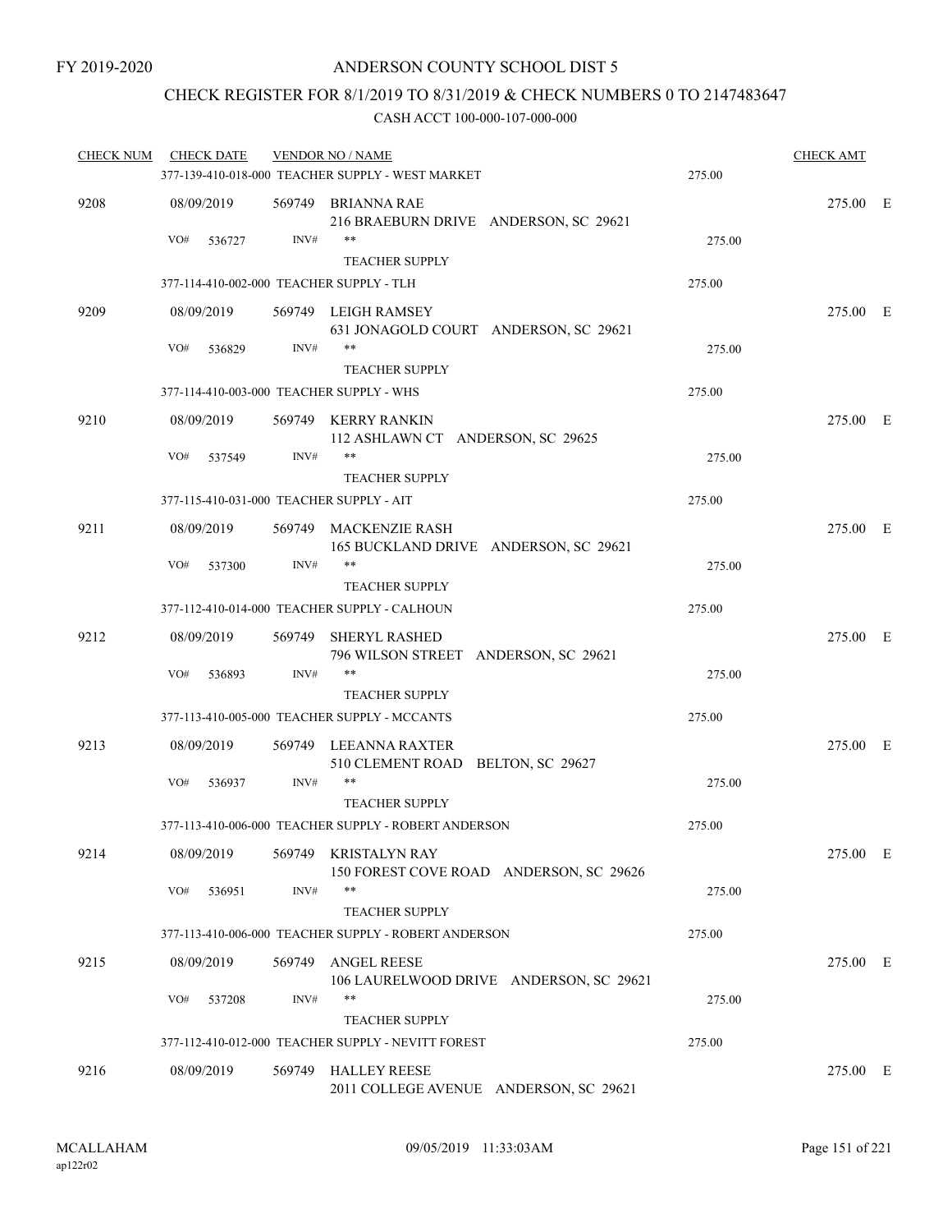## CHECK REGISTER FOR 8/1/2019 TO 8/31/2019 & CHECK NUMBERS 0 TO 2147483647

| <b>CHECK NUM</b> | <b>CHECK DATE</b>                        |      | <b>VENDOR NO / NAME</b><br>377-139-410-018-000 TEACHER SUPPLY - WEST MARKET | 275.00 | <b>CHECK AMT</b> |  |
|------------------|------------------------------------------|------|-----------------------------------------------------------------------------|--------|------------------|--|
| 9208             | 08/09/2019                               |      | 569749 BRIANNA RAE<br>216 BRAEBURN DRIVE ANDERSON, SC 29621                 |        | 275.00 E         |  |
|                  | VO#<br>536727                            | INV# | <b>TEACHER SUPPLY</b>                                                       | 275.00 |                  |  |
|                  | 377-114-410-002-000 TEACHER SUPPLY - TLH |      |                                                                             | 275.00 |                  |  |
| 9209             | 08/09/2019                               |      | 569749 LEIGH RAMSEY<br>631 JONAGOLD COURT ANDERSON, SC 29621                |        | 275.00 E         |  |
|                  | VO#<br>536829                            | INV# | **<br><b>TEACHER SUPPLY</b>                                                 | 275.00 |                  |  |
|                  | 377-114-410-003-000 TEACHER SUPPLY - WHS |      |                                                                             | 275.00 |                  |  |
| 9210             | 08/09/2019                               |      | 569749 KERRY RANKIN<br>112 ASHLAWN CT ANDERSON, SC 29625                    |        | 275.00 E         |  |
|                  | VO#<br>537549                            | INV# | **<br><b>TEACHER SUPPLY</b>                                                 | 275.00 |                  |  |
|                  | 377-115-410-031-000 TEACHER SUPPLY - AIT |      |                                                                             | 275.00 |                  |  |
| 9211             | 08/09/2019                               |      | 569749 MACKENZIE RASH<br>165 BUCKLAND DRIVE ANDERSON, SC 29621              |        | 275.00 E         |  |
|                  | VO#<br>537300                            | INV# | **<br><b>TEACHER SUPPLY</b>                                                 | 275.00 |                  |  |
|                  |                                          |      | 377-112-410-014-000 TEACHER SUPPLY - CALHOUN                                | 275.00 |                  |  |
| 9212             | 08/09/2019                               |      | 569749 SHERYL RASHED<br>796 WILSON STREET ANDERSON, SC 29621                |        | 275.00 E         |  |
|                  | VO#<br>536893                            | INV# | **<br><b>TEACHER SUPPLY</b>                                                 | 275.00 |                  |  |
|                  |                                          |      | 377-113-410-005-000 TEACHER SUPPLY - MCCANTS                                | 275.00 |                  |  |
| 9213             | 08/09/2019                               |      | 569749 LEEANNA RAXTER<br>510 CLEMENT ROAD BELTON, SC 29627                  |        | 275.00 E         |  |
|                  | VO#<br>536937                            | INV# | **<br><b>TEACHER SUPPLY</b>                                                 | 275.00 |                  |  |
|                  |                                          |      | 377-113-410-006-000 TEACHER SUPPLY - ROBERT ANDERSON                        | 275.00 |                  |  |
| 9214             | 08/09/2019                               |      | 569749 KRISTALYN RAY<br>150 FOREST COVE ROAD ANDERSON, SC 29626             |        | 275.00 E         |  |
|                  | VO#<br>536951                            | INV# | **<br><b>TEACHER SUPPLY</b>                                                 | 275.00 |                  |  |
|                  |                                          |      | 377-113-410-006-000 TEACHER SUPPLY - ROBERT ANDERSON                        | 275.00 |                  |  |
| 9215             | 08/09/2019                               |      | 569749 ANGEL REESE<br>106 LAURELWOOD DRIVE ANDERSON, SC 29621               |        | 275.00 E         |  |
|                  | VO#<br>537208                            | INV# | **<br><b>TEACHER SUPPLY</b>                                                 | 275.00 |                  |  |
|                  |                                          |      | 377-112-410-012-000 TEACHER SUPPLY - NEVITT FOREST                          | 275.00 |                  |  |
| 9216             | 08/09/2019                               |      | 569749 HALLEY REESE<br>2011 COLLEGE AVENUE ANDERSON, SC 29621               |        | 275.00 E         |  |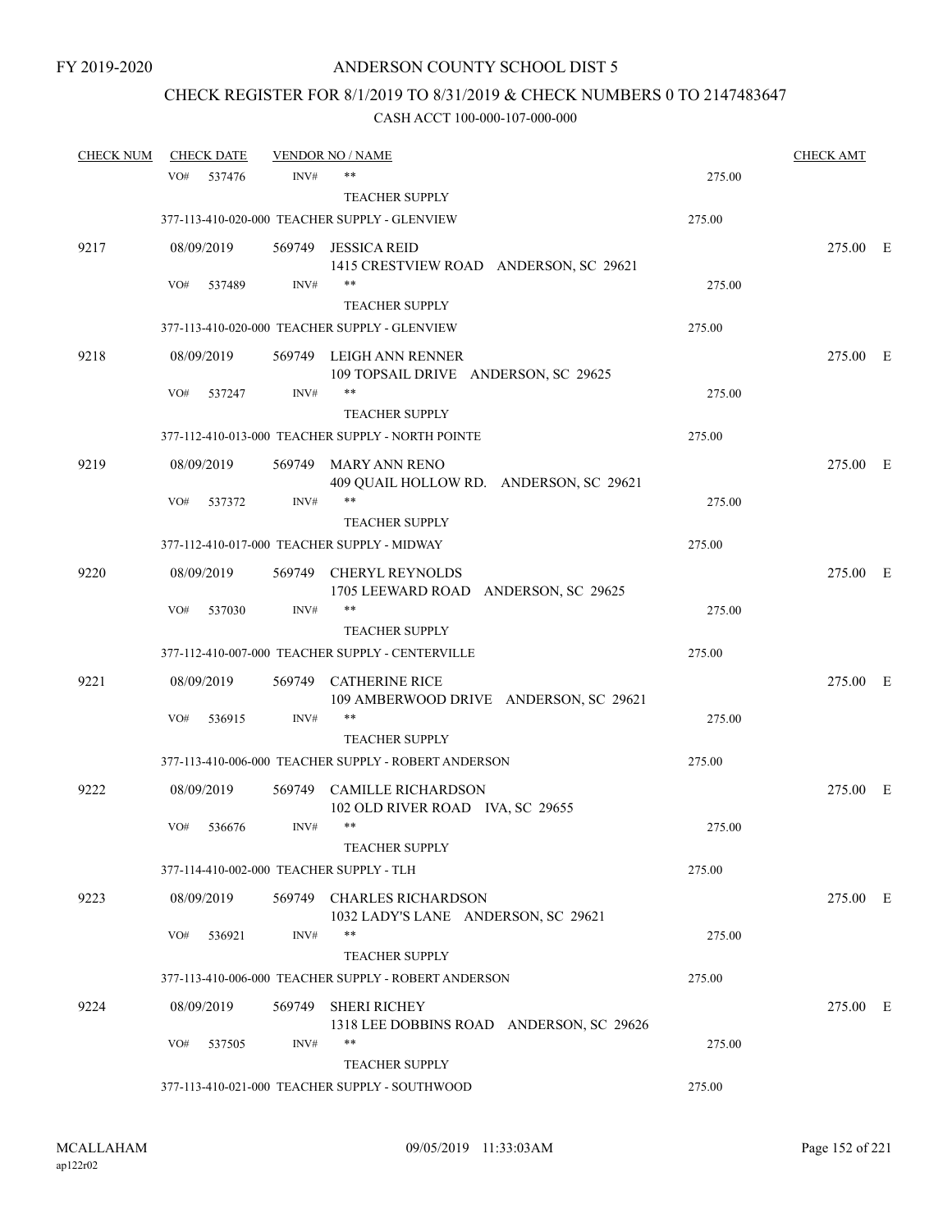# CHECK REGISTER FOR 8/1/2019 TO 8/31/2019 & CHECK NUMBERS 0 TO 2147483647

| <b>CHECK NUM</b> |     | <b>CHECK DATE</b> |        | <b>VENDOR NO / NAME</b>                                          |        | <b>CHECK AMT</b> |  |
|------------------|-----|-------------------|--------|------------------------------------------------------------------|--------|------------------|--|
|                  | VO# | 537476            | INV#   | $***$                                                            | 275.00 |                  |  |
|                  |     |                   |        | <b>TEACHER SUPPLY</b>                                            |        |                  |  |
|                  |     |                   |        | 377-113-410-020-000 TEACHER SUPPLY - GLENVIEW                    | 275.00 |                  |  |
| 9217             |     | 08/09/2019        |        | 569749 JESSICA REID<br>1415 CRESTVIEW ROAD ANDERSON, SC 29621    |        | 275.00 E         |  |
|                  | VO# | 537489            | INV#   | $***$                                                            | 275.00 |                  |  |
|                  |     |                   |        | <b>TEACHER SUPPLY</b>                                            |        |                  |  |
|                  |     |                   |        | 377-113-410-020-000 TEACHER SUPPLY - GLENVIEW                    | 275.00 |                  |  |
| 9218             |     | 08/09/2019        |        | 569749 LEIGH ANN RENNER<br>109 TOPSAIL DRIVE ANDERSON, SC 29625  |        | 275.00 E         |  |
|                  | VO# | 537247            | INV#   | $***$                                                            | 275.00 |                  |  |
|                  |     |                   |        | <b>TEACHER SUPPLY</b>                                            |        |                  |  |
|                  |     |                   |        | 377-112-410-013-000 TEACHER SUPPLY - NORTH POINTE                | 275.00 |                  |  |
| 9219             |     | 08/09/2019        | 569749 | MARY ANN RENO<br>409 QUAIL HOLLOW RD. ANDERSON, SC 29621         |        | 275.00 E         |  |
|                  | VO# | 537372            | INV#   | $***$                                                            | 275.00 |                  |  |
|                  |     |                   |        | <b>TEACHER SUPPLY</b>                                            |        |                  |  |
|                  |     |                   |        | 377-112-410-017-000 TEACHER SUPPLY - MIDWAY                      | 275.00 |                  |  |
| 9220             |     | 08/09/2019        |        | 569749 CHERYL REYNOLDS<br>1705 LEEWARD ROAD ANDERSON, SC 29625   |        | 275.00 E         |  |
|                  | VO# | 537030            | INV#   | $***$                                                            | 275.00 |                  |  |
|                  |     |                   |        | <b>TEACHER SUPPLY</b>                                            |        |                  |  |
|                  |     |                   |        | 377-112-410-007-000 TEACHER SUPPLY - CENTERVILLE                 | 275.00 |                  |  |
| 9221             |     | 08/09/2019        | 569749 | CATHERINE RICE<br>109 AMBERWOOD DRIVE ANDERSON, SC 29621         |        | 275.00 E         |  |
|                  | VO# | 536915            | INV#   | $***$                                                            | 275.00 |                  |  |
|                  |     |                   |        | <b>TEACHER SUPPLY</b>                                            |        |                  |  |
|                  |     |                   |        | 377-113-410-006-000 TEACHER SUPPLY - ROBERT ANDERSON             | 275.00 |                  |  |
| 9222             |     | 08/09/2019        | 569749 | <b>CAMILLE RICHARDSON</b><br>102 OLD RIVER ROAD IVA, SC 29655    |        | 275.00 E         |  |
|                  | VO# | 536676            | INV#   | $***$                                                            | 275.00 |                  |  |
|                  |     |                   |        | TEACHER SUPPLY                                                   |        |                  |  |
|                  |     |                   |        | 377-114-410-002-000 TEACHER SUPPLY - TLH                         | 275.00 |                  |  |
| 9223             |     | 08/09/2019        |        | 569749 CHARLES RICHARDSON<br>1032 LADY'S LANE ANDERSON, SC 29621 |        | 275.00 E         |  |
|                  | VO# | 536921            | INV#   | $***$                                                            | 275.00 |                  |  |
|                  |     |                   |        | <b>TEACHER SUPPLY</b>                                            |        |                  |  |
|                  |     |                   |        | 377-113-410-006-000 TEACHER SUPPLY - ROBERT ANDERSON             | 275.00 |                  |  |
| 9224             |     | 08/09/2019        | 569749 | <b>SHERI RICHEY</b><br>1318 LEE DOBBINS ROAD ANDERSON, SC 29626  |        | 275.00 E         |  |
|                  | VO# | 537505            | INV#   | **                                                               | 275.00 |                  |  |
|                  |     |                   |        | <b>TEACHER SUPPLY</b>                                            |        |                  |  |
|                  |     |                   |        | 377-113-410-021-000 TEACHER SUPPLY - SOUTHWOOD                   | 275.00 |                  |  |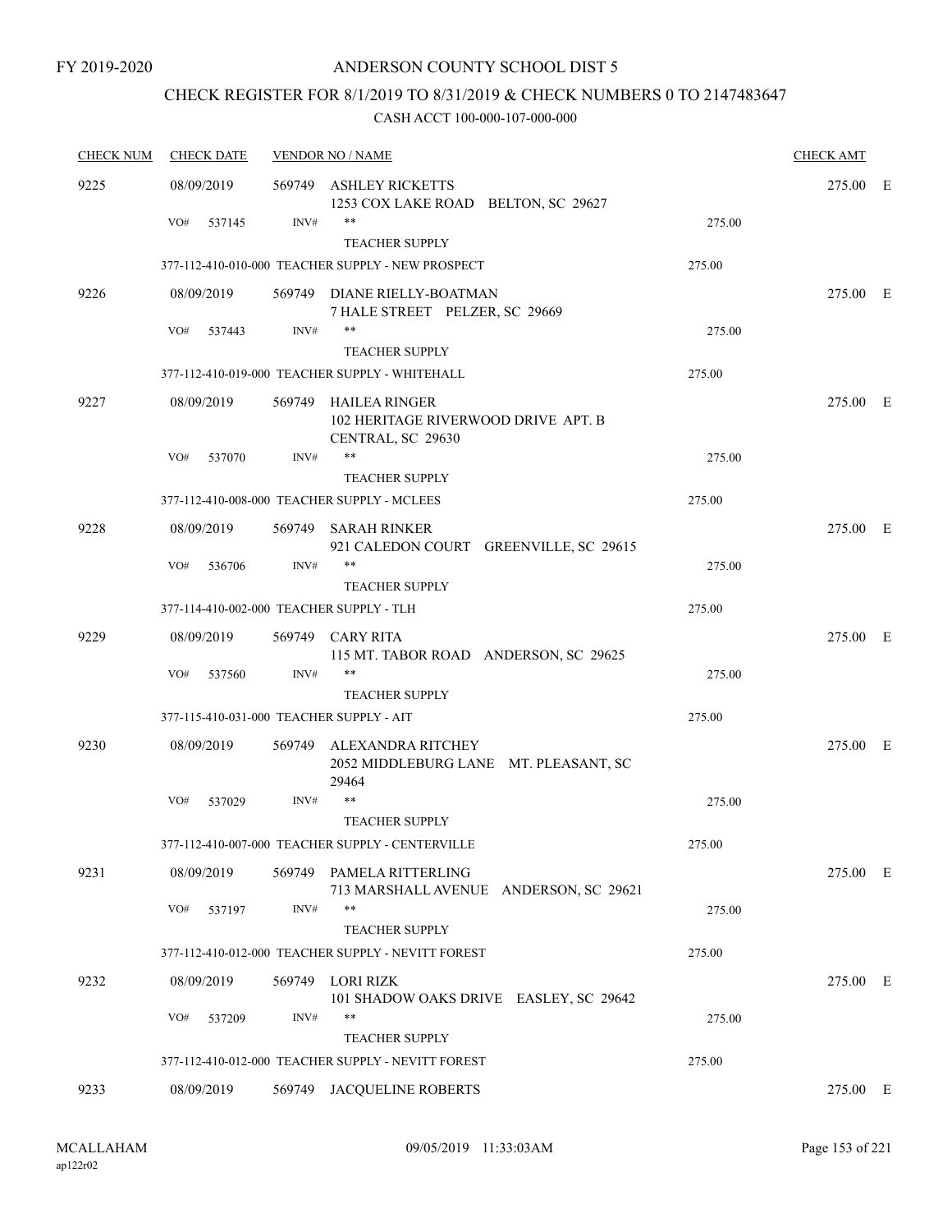# CHECK REGISTER FOR 8/1/2019 TO 8/31/2019 & CHECK NUMBERS 0 TO 2147483647

| <b>CHECK NUM</b> | <b>CHECK DATE</b>                        | <b>VENDOR NO / NAME</b> | <b>CHECK AMT</b>                                                            |        |          |  |
|------------------|------------------------------------------|-------------------------|-----------------------------------------------------------------------------|--------|----------|--|
| 9225             | 08/09/2019                               | 569749                  | <b>ASHLEY RICKETTS</b><br>1253 COX LAKE ROAD BELTON, SC 29627               |        | 275.00 E |  |
|                  | VO#<br>537145                            | INV#                    | $***$<br><b>TEACHER SUPPLY</b>                                              | 275.00 |          |  |
|                  |                                          |                         | 377-112-410-010-000 TEACHER SUPPLY - NEW PROSPECT                           | 275.00 |          |  |
| 9226             | 08/09/2019                               |                         | 569749 DIANE RIELLY-BOATMAN<br>7 HALE STREET PELZER, SC 29669               |        | 275.00 E |  |
|                  | VO#<br>537443                            | INV#                    | $***$<br><b>TEACHER SUPPLY</b>                                              | 275.00 |          |  |
|                  |                                          |                         | 377-112-410-019-000 TEACHER SUPPLY - WHITEHALL                              | 275.00 |          |  |
| 9227             | 08/09/2019                               | 569749                  | HAILEA RINGER<br>102 HERITAGE RIVERWOOD DRIVE APT. B<br>CENTRAL, SC 29630   |        | 275.00 E |  |
|                  | VO#<br>537070                            | INV#                    | **<br><b>TEACHER SUPPLY</b>                                                 | 275.00 |          |  |
|                  |                                          |                         | 377-112-410-008-000 TEACHER SUPPLY - MCLEES                                 | 275.00 |          |  |
| 9228             | 08/09/2019                               |                         | 569749 SARAH RINKER<br>921 CALEDON COURT GREENVILLE, SC 29615               |        | 275.00 E |  |
|                  | VO#<br>536706                            | INV#                    | $***$<br><b>TEACHER SUPPLY</b>                                              | 275.00 |          |  |
|                  | 377-114-410-002-000 TEACHER SUPPLY - TLH |                         |                                                                             | 275.00 |          |  |
| 9229             | 08/09/2019                               |                         | 569749 CARY RITA<br>115 MT. TABOR ROAD ANDERSON, SC 29625                   |        | 275.00 E |  |
|                  | VO#<br>537560                            | INV#                    | **<br><b>TEACHER SUPPLY</b>                                                 | 275.00 |          |  |
|                  | 377-115-410-031-000 TEACHER SUPPLY - AIT |                         |                                                                             | 275.00 |          |  |
| 9230             | 08/09/2019                               | 569749                  | ALEXANDRA RITCHEY<br>2052 MIDDLEBURG LANE MT. PLEASANT, SC<br>29464         |        | 275.00 E |  |
|                  | VO#<br>537029                            | INV#                    | **<br><b>TEACHER SUPPLY</b>                                                 | 275.00 |          |  |
|                  |                                          |                         | 377-112-410-007-000 TEACHER SUPPLY - CENTERVILLE                            | 275.00 |          |  |
| 9231             | 08/09/2019                               |                         | 569749 PAMELA RITTERLING<br>713 MARSHALL AVENUE ANDERSON, SC 29621          |        | 275.00 E |  |
|                  | VO#<br>537197                            | INV#                    | **                                                                          | 275.00 |          |  |
|                  |                                          |                         | <b>TEACHER SUPPLY</b><br>377-112-410-012-000 TEACHER SUPPLY - NEVITT FOREST | 275.00 |          |  |
| 9232             | 08/09/2019                               |                         | 569749 LORI RIZK                                                            |        | 275.00 E |  |
|                  | VO#<br>537209                            | INV#                    | 101 SHADOW OAKS DRIVE EASLEY, SC 29642<br>**<br><b>TEACHER SUPPLY</b>       | 275.00 |          |  |
|                  |                                          |                         | 377-112-410-012-000 TEACHER SUPPLY - NEVITT FOREST                          | 275.00 |          |  |
| 9233             | 08/09/2019                               |                         | 569749 JACQUELINE ROBERTS                                                   |        | 275.00 E |  |
|                  |                                          |                         |                                                                             |        |          |  |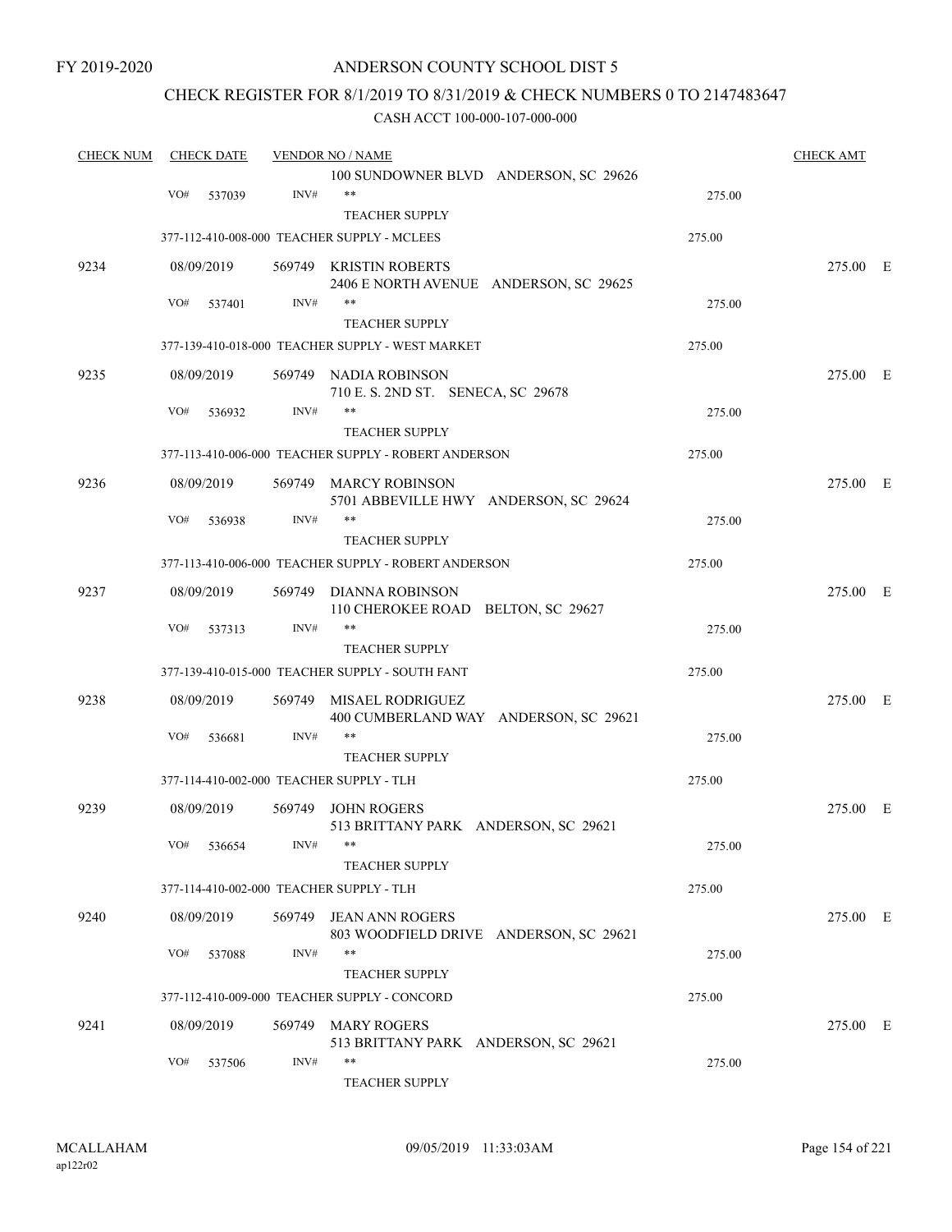### CHECK REGISTER FOR 8/1/2019 TO 8/31/2019 & CHECK NUMBERS 0 TO 2147483647

| <b>CHECK NUM</b> | <b>CHECK DATE</b>                        |        | <b>VENDOR NO / NAME</b>                              |        | <b>CHECK AMT</b> |  |
|------------------|------------------------------------------|--------|------------------------------------------------------|--------|------------------|--|
|                  |                                          |        | 100 SUNDOWNER BLVD ANDERSON, SC 29626                |        |                  |  |
|                  | VO#<br>537039                            | INV#   | $***$                                                | 275.00 |                  |  |
|                  |                                          |        | <b>TEACHER SUPPLY</b>                                |        |                  |  |
|                  |                                          |        | 377-112-410-008-000 TEACHER SUPPLY - MCLEES          | 275.00 |                  |  |
| 9234             | 08/09/2019                               |        | 569749 KRISTIN ROBERTS                               |        | 275.00 E         |  |
|                  |                                          |        | 2406 E NORTH AVENUE ANDERSON, SC 29625               |        |                  |  |
|                  | VO#<br>537401                            | INV#   | **                                                   | 275.00 |                  |  |
|                  |                                          |        | <b>TEACHER SUPPLY</b>                                |        |                  |  |
|                  |                                          |        | 377-139-410-018-000 TEACHER SUPPLY - WEST MARKET     | 275.00 |                  |  |
| 9235             | 08/09/2019                               |        | 569749 NADIA ROBINSON                                |        | 275.00 E         |  |
|                  |                                          |        | 710 E. S. 2ND ST. SENECA, SC 29678                   |        |                  |  |
|                  | VO#<br>536932                            | INV#   | **                                                   | 275.00 |                  |  |
|                  |                                          |        | <b>TEACHER SUPPLY</b>                                |        |                  |  |
|                  |                                          |        | 377-113-410-006-000 TEACHER SUPPLY - ROBERT ANDERSON | 275.00 |                  |  |
| 9236             | 08/09/2019                               |        | 569749 MARCY ROBINSON                                |        | 275.00 E         |  |
|                  |                                          |        | 5701 ABBEVILLE HWY ANDERSON, SC 29624                |        |                  |  |
|                  | VO#<br>536938                            | INV#   | **                                                   | 275.00 |                  |  |
|                  |                                          |        | <b>TEACHER SUPPLY</b>                                |        |                  |  |
|                  |                                          |        | 377-113-410-006-000 TEACHER SUPPLY - ROBERT ANDERSON | 275.00 |                  |  |
| 9237             | 08/09/2019                               |        | 569749 DIANNA ROBINSON                               |        | 275.00 E         |  |
|                  |                                          |        | 110 CHEROKEE ROAD BELTON, SC 29627                   |        |                  |  |
|                  | VO#<br>537313                            | INV#   | **                                                   | 275.00 |                  |  |
|                  |                                          |        | <b>TEACHER SUPPLY</b>                                |        |                  |  |
|                  |                                          |        | 377-139-410-015-000 TEACHER SUPPLY - SOUTH FANT      | 275.00 |                  |  |
| 9238             | 08/09/2019                               | 569749 | MISAEL RODRIGUEZ                                     |        | 275.00 E         |  |
|                  |                                          |        | 400 CUMBERLAND WAY ANDERSON, SC 29621                |        |                  |  |
|                  | VO#<br>536681                            | INV#   | **                                                   | 275.00 |                  |  |
|                  |                                          |        | <b>TEACHER SUPPLY</b>                                |        |                  |  |
|                  | 377-114-410-002-000 TEACHER SUPPLY - TLH |        |                                                      | 275.00 |                  |  |
| 9239             | 08/09/2019                               | 569749 | <b>JOHN ROGERS</b>                                   |        | 275.00 E         |  |
|                  |                                          |        | 513 BRITTANY PARK ANDERSON, SC 29621                 |        |                  |  |
|                  | VO# 536654                               |        | $INV#$ **                                            | 275.00 |                  |  |
|                  |                                          |        | <b>TEACHER SUPPLY</b>                                |        |                  |  |
|                  | 377-114-410-002-000 TEACHER SUPPLY - TLH |        |                                                      | 275.00 |                  |  |
| 9240             | 08/09/2019                               |        | 569749 JEAN ANN ROGERS                               |        | 275.00 E         |  |
|                  |                                          |        | 803 WOODFIELD DRIVE ANDERSON, SC 29621               |        |                  |  |
|                  | VO#<br>537088                            | INV#   | **                                                   | 275.00 |                  |  |
|                  |                                          |        | <b>TEACHER SUPPLY</b>                                |        |                  |  |
|                  |                                          |        | 377-112-410-009-000 TEACHER SUPPLY - CONCORD         | 275.00 |                  |  |
| 9241             | 08/09/2019                               |        | 569749 MARY ROGERS                                   |        | 275.00 E         |  |
|                  |                                          |        | 513 BRITTANY PARK ANDERSON, SC 29621                 |        |                  |  |
|                  | VO#<br>537506                            | INV#   | **                                                   | 275.00 |                  |  |
|                  |                                          |        | <b>TEACHER SUPPLY</b>                                |        |                  |  |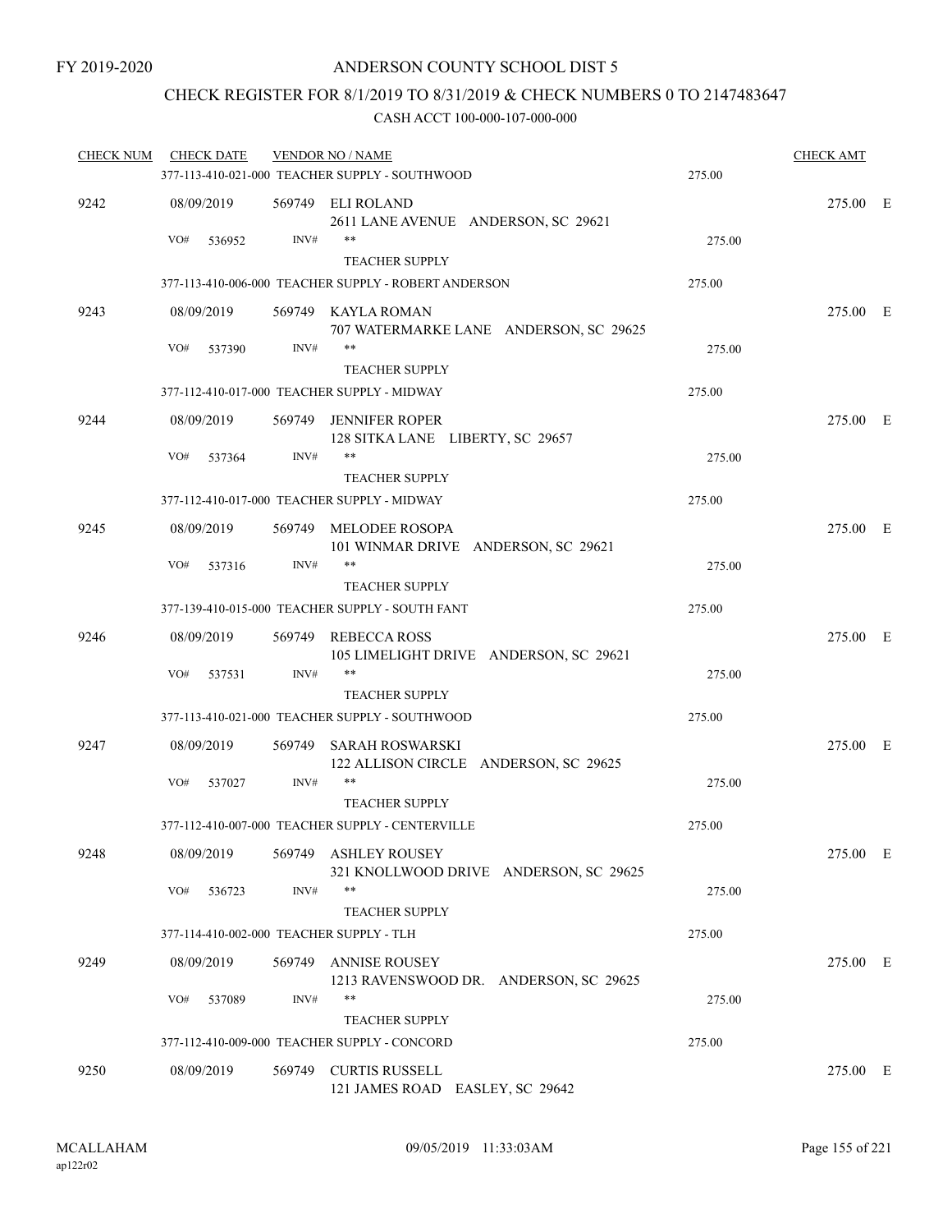## CHECK REGISTER FOR 8/1/2019 TO 8/31/2019 & CHECK NUMBERS 0 TO 2147483647

| <b>CHECK NUM</b> | <b>CHECK DATE</b>                        |        | <b>VENDOR NO / NAME</b>                                               |        | <b>CHECK AMT</b> |  |
|------------------|------------------------------------------|--------|-----------------------------------------------------------------------|--------|------------------|--|
|                  |                                          |        | 377-113-410-021-000 TEACHER SUPPLY - SOUTHWOOD                        | 275.00 |                  |  |
| 9242             | 08/09/2019                               |        | 569749 ELI ROLAND<br>2611 LANE AVENUE ANDERSON, SC 29621              |        | 275.00 E         |  |
|                  | VO#<br>536952                            | INV#   | $***$<br><b>TEACHER SUPPLY</b>                                        | 275.00 |                  |  |
|                  |                                          |        | 377-113-410-006-000 TEACHER SUPPLY - ROBERT ANDERSON                  | 275.00 |                  |  |
| 9243             | 08/09/2019                               |        | 569749 KAYLA ROMAN<br>707 WATERMARKE LANE ANDERSON, SC 29625          |        | 275.00 E         |  |
|                  | VO#<br>537390                            | INV#   | $***$<br><b>TEACHER SUPPLY</b>                                        | 275.00 |                  |  |
|                  |                                          |        | 377-112-410-017-000 TEACHER SUPPLY - MIDWAY                           | 275.00 |                  |  |
| 9244             | 08/09/2019                               |        | 569749 JENNIFER ROPER<br>128 SITKA LANE LIBERTY, SC 29657             |        | 275.00 E         |  |
|                  | VO#<br>537364                            | INV#   | **<br><b>TEACHER SUPPLY</b>                                           | 275.00 |                  |  |
|                  |                                          |        | 377-112-410-017-000 TEACHER SUPPLY - MIDWAY                           | 275.00 |                  |  |
| 9245             | 08/09/2019                               |        | 569749 MELODEE ROSOPA<br>101 WINMAR DRIVE ANDERSON, SC 29621          |        | 275.00 E         |  |
|                  | VO#<br>537316                            | INV#   | $***$<br><b>TEACHER SUPPLY</b>                                        | 275.00 |                  |  |
|                  |                                          |        | 377-139-410-015-000 TEACHER SUPPLY - SOUTH FANT                       | 275.00 |                  |  |
| 9246             | 08/09/2019                               |        | 569749 REBECCA ROSS<br>105 LIMELIGHT DRIVE ANDERSON, SC 29621         |        | 275.00 E         |  |
|                  | VO#<br>537531                            | INV#   | **<br><b>TEACHER SUPPLY</b>                                           | 275.00 |                  |  |
|                  |                                          |        | 377-113-410-021-000 TEACHER SUPPLY - SOUTHWOOD                        | 275.00 |                  |  |
| 9247             | 08/09/2019                               | 569749 | SARAH ROSWARSKI<br>122 ALLISON CIRCLE ANDERSON, SC 29625              |        | 275.00 E         |  |
|                  | VO#<br>537027                            | INV#   | **<br><b>TEACHER SUPPLY</b>                                           | 275.00 |                  |  |
|                  |                                          |        | 377-112-410-007-000 TEACHER SUPPLY - CENTERVILLE                      | 275.00 |                  |  |
| 9248             | 08/09/2019                               |        | 569749 ASHLEY ROUSEY<br>321 KNOLLWOOD DRIVE ANDERSON, SC 29625        |        | 275.00 E         |  |
|                  | VO#<br>536723                            | INV#   | **<br><b>TEACHER SUPPLY</b>                                           | 275.00 |                  |  |
|                  | 377-114-410-002-000 TEACHER SUPPLY - TLH |        |                                                                       | 275.00 |                  |  |
| 9249             | 08/09/2019                               | 569749 | <b>ANNISE ROUSEY</b><br>1213 RAVENSWOOD DR. ANDERSON, SC 29625        |        | 275.00 E         |  |
|                  | VO#<br>537089                            | INV#   | **                                                                    | 275.00 |                  |  |
|                  |                                          |        | <b>TEACHER SUPPLY</b><br>377-112-410-009-000 TEACHER SUPPLY - CONCORD | 275.00 |                  |  |
|                  |                                          |        |                                                                       |        |                  |  |
| 9250             | 08/09/2019                               | 569749 | <b>CURTIS RUSSELL</b><br>121 JAMES ROAD EASLEY, SC 29642              |        | 275.00 E         |  |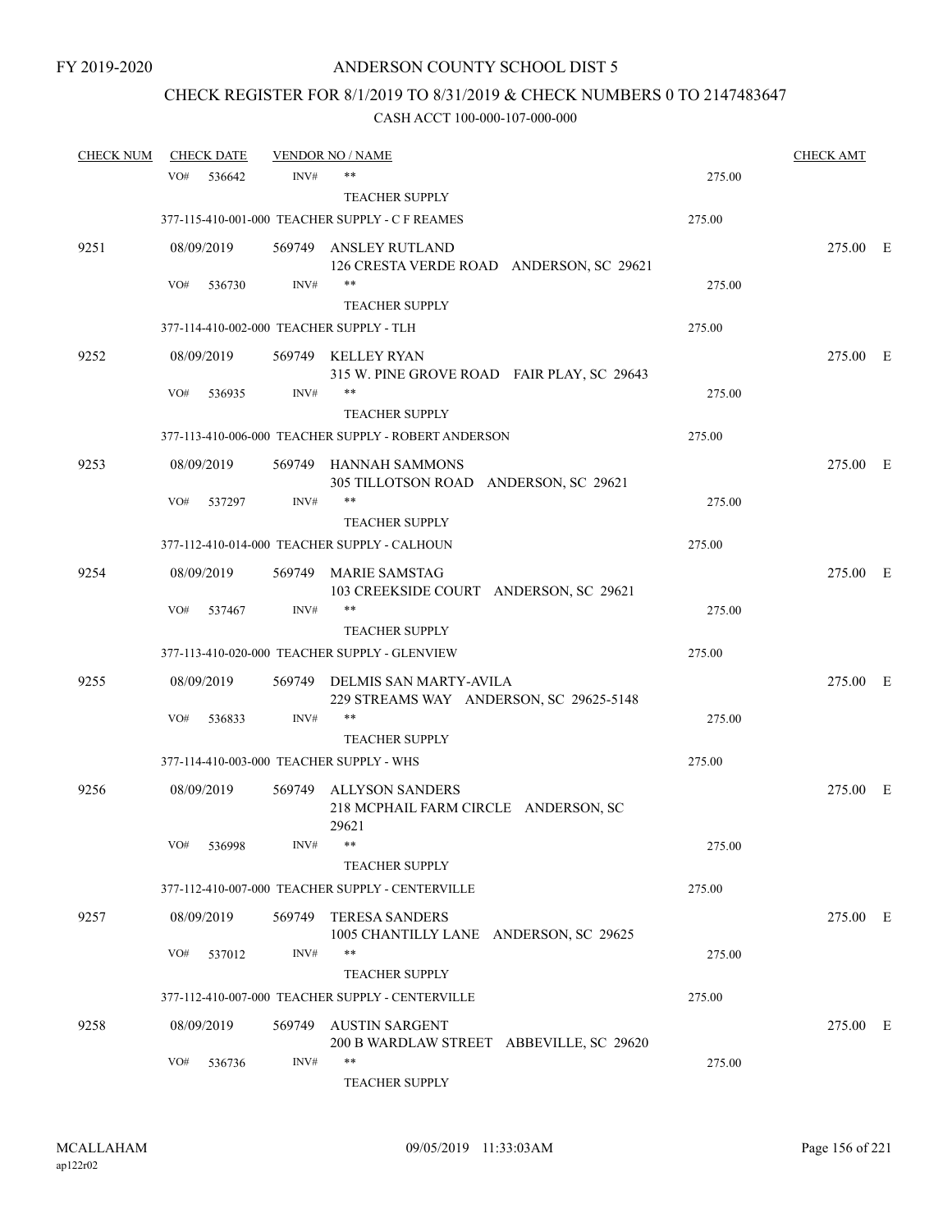# CHECK REGISTER FOR 8/1/2019 TO 8/31/2019 & CHECK NUMBERS 0 TO 2147483647

| <b>CHECK NUM</b> |     | <b>CHECK DATE</b> |        | <b>VENDOR NO / NAME</b>                                           |        | <b>CHECK AMT</b> |  |
|------------------|-----|-------------------|--------|-------------------------------------------------------------------|--------|------------------|--|
|                  | VO# | 536642            | INV#   | $***$                                                             | 275.00 |                  |  |
|                  |     |                   |        | <b>TEACHER SUPPLY</b>                                             |        |                  |  |
|                  |     |                   |        | 377-115-410-001-000 TEACHER SUPPLY - C F REAMES                   | 275.00 |                  |  |
| 9251             |     | 08/09/2019        |        | 569749 ANSLEY RUTLAND                                             |        | 275.00 E         |  |
|                  |     |                   |        | 126 CRESTA VERDE ROAD ANDERSON, SC 29621                          |        |                  |  |
|                  | VO# | 536730            | INV#   | $***$                                                             | 275.00 |                  |  |
|                  |     |                   |        | <b>TEACHER SUPPLY</b>                                             |        |                  |  |
|                  |     |                   |        | 377-114-410-002-000 TEACHER SUPPLY - TLH                          | 275.00 |                  |  |
| 9252             |     | 08/09/2019        |        | 569749 KELLEY RYAN                                                |        | 275.00 E         |  |
|                  | VO# | 536935            | INV#   | 315 W. PINE GROVE ROAD FAIR PLAY, SC 29643<br>$***$               | 275.00 |                  |  |
|                  |     |                   |        | <b>TEACHER SUPPLY</b>                                             |        |                  |  |
|                  |     |                   |        | 377-113-410-006-000 TEACHER SUPPLY - ROBERT ANDERSON              | 275.00 |                  |  |
| 9253             |     | 08/09/2019        |        | 569749 HANNAH SAMMONS                                             |        | 275.00 E         |  |
|                  |     |                   |        | 305 TILLOTSON ROAD ANDERSON, SC 29621                             |        |                  |  |
|                  | VO# | 537297            | INV#   | **                                                                | 275.00 |                  |  |
|                  |     |                   |        | <b>TEACHER SUPPLY</b>                                             |        |                  |  |
|                  |     |                   |        | 377-112-410-014-000 TEACHER SUPPLY - CALHOUN                      | 275.00 |                  |  |
| 9254             |     | 08/09/2019        |        | 569749 MARIE SAMSTAG                                              |        | 275.00 E         |  |
|                  |     |                   |        | 103 CREEKSIDE COURT ANDERSON, SC 29621                            |        |                  |  |
|                  | VO# | 537467            | INV#   | $***$<br><b>TEACHER SUPPLY</b>                                    | 275.00 |                  |  |
|                  |     |                   |        | 377-113-410-020-000 TEACHER SUPPLY - GLENVIEW                     | 275.00 |                  |  |
|                  |     |                   |        |                                                                   |        |                  |  |
| 9255             |     | 08/09/2019        | 569749 | DELMIS SAN MARTY-AVILA<br>229 STREAMS WAY ANDERSON, SC 29625-5148 |        | 275.00 E         |  |
|                  | VO# | 536833            | INV#   | $***$                                                             | 275.00 |                  |  |
|                  |     |                   |        | <b>TEACHER SUPPLY</b>                                             |        |                  |  |
|                  |     |                   |        | 377-114-410-003-000 TEACHER SUPPLY - WHS                          | 275.00 |                  |  |
| 9256             |     | 08/09/2019        |        | 569749 ALLYSON SANDERS                                            |        | 275.00 E         |  |
|                  |     |                   |        | 218 MCPHAIL FARM CIRCLE ANDERSON, SC                              |        |                  |  |
|                  |     |                   |        | 29621                                                             |        |                  |  |
|                  | VO# | 536998            | INV#   |                                                                   | 275.00 |                  |  |
|                  |     |                   |        | <b>TEACHER SUPPLY</b>                                             |        |                  |  |
|                  |     |                   |        | 377-112-410-007-000 TEACHER SUPPLY - CENTERVILLE                  | 275.00 |                  |  |
| 9257             |     | 08/09/2019        | 569749 | <b>TERESA SANDERS</b>                                             |        | 275.00 E         |  |
|                  | VO# | 537012            | INV#   | 1005 CHANTILLY LANE ANDERSON, SC 29625<br>$***$                   | 275.00 |                  |  |
|                  |     |                   |        | <b>TEACHER SUPPLY</b>                                             |        |                  |  |
|                  |     |                   |        | 377-112-410-007-000 TEACHER SUPPLY - CENTERVILLE                  | 275.00 |                  |  |
| 9258             |     | 08/09/2019        | 569749 | AUSTIN SARGENT                                                    |        | 275.00 E         |  |
|                  |     |                   |        | 200 B WARDLAW STREET ABBEVILLE, SC 29620                          |        |                  |  |
|                  | VO# | 536736            | INV#   | $***$                                                             | 275.00 |                  |  |
|                  |     |                   |        | TEACHER SUPPLY                                                    |        |                  |  |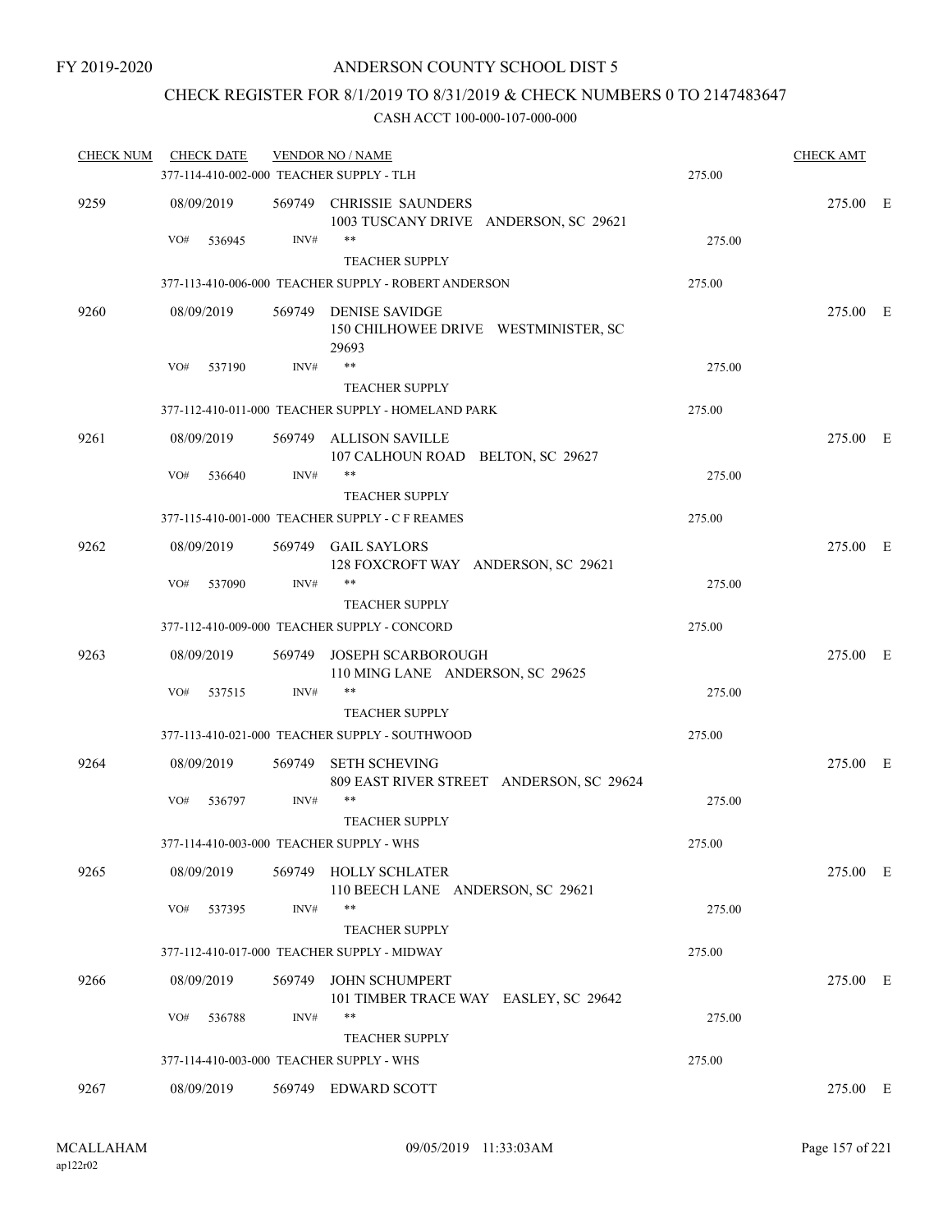## CHECK REGISTER FOR 8/1/2019 TO 8/31/2019 & CHECK NUMBERS 0 TO 2147483647

| <b>CHECK NUM</b> | <b>CHECK DATE</b>                        |        | <b>VENDOR NO / NAME</b>                                                |        | <b>CHECK AMT</b> |  |
|------------------|------------------------------------------|--------|------------------------------------------------------------------------|--------|------------------|--|
|                  | 377-114-410-002-000 TEACHER SUPPLY - TLH |        |                                                                        | 275.00 |                  |  |
| 9259             | 08/09/2019                               |        | 569749 CHRISSIE SAUNDERS<br>1003 TUSCANY DRIVE ANDERSON, SC 29621      |        | 275.00 E         |  |
|                  | VO#<br>536945                            | INV#   | $***$<br>TEACHER SUPPLY                                                | 275.00 |                  |  |
|                  |                                          |        | 377-113-410-006-000 TEACHER SUPPLY - ROBERT ANDERSON                   | 275.00 |                  |  |
| 9260             | 08/09/2019                               |        | 569749 DENISE SAVIDGE<br>150 CHILHOWEE DRIVE WESTMINISTER, SC<br>29693 |        | 275.00 E         |  |
|                  | VO#<br>537190                            | INV#   | $***$                                                                  | 275.00 |                  |  |
|                  |                                          |        | <b>TEACHER SUPPLY</b>                                                  |        |                  |  |
|                  |                                          |        | 377-112-410-011-000 TEACHER SUPPLY - HOMELAND PARK                     | 275.00 |                  |  |
| 9261             | 08/09/2019                               | 569749 | ALLISON SAVILLE<br>107 CALHOUN ROAD BELTON, SC 29627                   |        | 275.00 E         |  |
|                  | VO#<br>536640                            | INV#   | $***$                                                                  | 275.00 |                  |  |
|                  |                                          |        | <b>TEACHER SUPPLY</b>                                                  |        |                  |  |
|                  |                                          |        | 377-115-410-001-000 TEACHER SUPPLY - C F REAMES                        | 275.00 |                  |  |
| 9262             | 08/09/2019                               |        | 569749 GAIL SAYLORS<br>128 FOXCROFT WAY ANDERSON, SC 29621             |        | 275.00 E         |  |
|                  | VO#<br>537090                            | INV#   | $***$                                                                  | 275.00 |                  |  |
|                  |                                          |        | <b>TEACHER SUPPLY</b>                                                  |        |                  |  |
|                  |                                          |        | 377-112-410-009-000 TEACHER SUPPLY - CONCORD                           | 275.00 |                  |  |
| 9263             | 08/09/2019                               |        | 569749 JOSEPH SCARBOROUGH<br>110 MING LANE ANDERSON, SC 29625          |        | 275.00 E         |  |
|                  | VO#<br>537515                            | INV#   | **<br><b>TEACHER SUPPLY</b>                                            | 275.00 |                  |  |
|                  |                                          |        | 377-113-410-021-000 TEACHER SUPPLY - SOUTHWOOD                         | 275.00 |                  |  |
| 9264             | 08/09/2019                               | 569749 | <b>SETH SCHEVING</b><br>809 EAST RIVER STREET ANDERSON, SC 29624       |        | 275.00 E         |  |
|                  | VO#<br>536797                            | INV#   | **<br><b>TEACHER SUPPLY</b>                                            | 275.00 |                  |  |
|                  | 377-114-410-003-000 TEACHER SUPPLY - WHS |        |                                                                        | 275.00 |                  |  |
| 9265             | 08/09/2019                               |        | 569749 HOLLY SCHLATER<br>110 BEECH LANE ANDERSON, SC 29621             |        | 275.00 E         |  |
|                  | VO#<br>537395                            | INV#   | **<br><b>TEACHER SUPPLY</b>                                            | 275.00 |                  |  |
|                  |                                          |        | 377-112-410-017-000 TEACHER SUPPLY - MIDWAY                            | 275.00 |                  |  |
| 9266             | 08/09/2019                               | 569749 | <b>JOHN SCHUMPERT</b><br>101 TIMBER TRACE WAY EASLEY, SC 29642         |        | 275.00 E         |  |
|                  | VO#<br>536788                            | INV#   | **<br><b>TEACHER SUPPLY</b>                                            | 275.00 |                  |  |
|                  | 377-114-410-003-000 TEACHER SUPPLY - WHS |        |                                                                        | 275.00 |                  |  |
| 9267             | 08/09/2019                               |        | 569749 EDWARD SCOTT                                                    |        | 275.00 E         |  |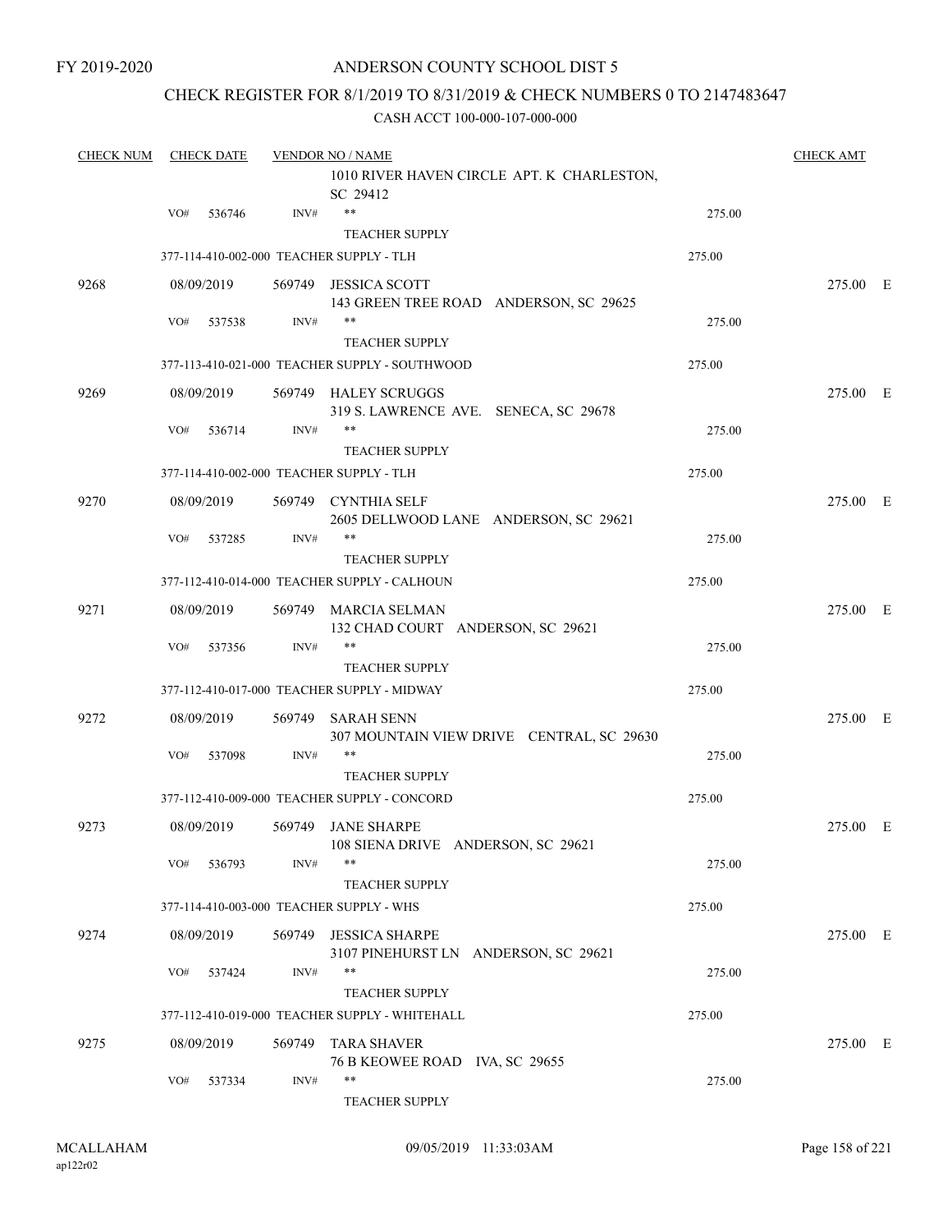### CHECK REGISTER FOR 8/1/2019 TO 8/31/2019 & CHECK NUMBERS 0 TO 2147483647

| <b>CHECK NUM</b> |     | <b>CHECK DATE</b> |        | <b>VENDOR NO / NAME</b>                                              |        | <b>CHECK AMT</b> |  |
|------------------|-----|-------------------|--------|----------------------------------------------------------------------|--------|------------------|--|
|                  |     |                   |        | 1010 RIVER HAVEN CIRCLE APT. K CHARLESTON,<br>SC 29412               |        |                  |  |
|                  | VO# | 536746            | INV#   | $***$                                                                | 275.00 |                  |  |
|                  |     |                   |        | <b>TEACHER SUPPLY</b><br>377-114-410-002-000 TEACHER SUPPLY - TLH    | 275.00 |                  |  |
| 9268             |     | 08/09/2019        |        | 569749 JESSICA SCOTT                                                 |        | 275.00 E         |  |
|                  |     |                   |        | 143 GREEN TREE ROAD ANDERSON, SC 29625                               |        |                  |  |
|                  | VO# | 537538            | INV#   | **<br><b>TEACHER SUPPLY</b>                                          | 275.00 |                  |  |
|                  |     |                   |        | 377-113-410-021-000 TEACHER SUPPLY - SOUTHWOOD                       | 275.00 |                  |  |
| 9269             |     | 08/09/2019        |        | 569749 HALEY SCRUGGS                                                 |        | 275.00 E         |  |
|                  |     |                   |        | 319 S. LAWRENCE AVE. SENECA, SC 29678                                |        |                  |  |
|                  | VO# | 536714            | INV#   | **                                                                   | 275.00 |                  |  |
|                  |     |                   |        | <b>TEACHER SUPPLY</b>                                                |        |                  |  |
|                  |     |                   |        | 377-114-410-002-000 TEACHER SUPPLY - TLH                             | 275.00 |                  |  |
| 9270             |     | 08/09/2019        |        | 569749 CYNTHIA SELF<br>2605 DELLWOOD LANE ANDERSON, SC 29621         |        | 275.00 E         |  |
|                  | VO# | 537285            | INV#   | **                                                                   | 275.00 |                  |  |
|                  |     |                   |        | <b>TEACHER SUPPLY</b>                                                |        |                  |  |
|                  |     |                   |        | 377-112-410-014-000 TEACHER SUPPLY - CALHOUN                         | 275.00 |                  |  |
| 9271             |     | 08/09/2019        |        | 569749 MARCIA SELMAN<br>132 CHAD COURT ANDERSON, SC 29621            |        | 275.00 E         |  |
|                  | VO# | 537356            | INV#   | **                                                                   | 275.00 |                  |  |
|                  |     |                   |        | <b>TEACHER SUPPLY</b><br>377-112-410-017-000 TEACHER SUPPLY - MIDWAY | 275.00 |                  |  |
|                  |     |                   |        |                                                                      |        |                  |  |
| 9272             |     | 08/09/2019        | 569749 | <b>SARAH SENN</b><br>307 MOUNTAIN VIEW DRIVE CENTRAL, SC 29630       |        | 275.00 E         |  |
|                  | VO# | 537098            | INV#   | **                                                                   | 275.00 |                  |  |
|                  |     |                   |        | <b>TEACHER SUPPLY</b>                                                |        |                  |  |
|                  |     |                   |        | 377-112-410-009-000 TEACHER SUPPLY - CONCORD                         | 275.00 |                  |  |
| 9273             |     | 08/09/2019        |        | 569749 JANE SHARPE<br>108 SIENA DRIVE ANDERSON, SC 29621             |        | 275.00 E         |  |
|                  | VO# | 536793            | INV#   | $***$                                                                | 275.00 |                  |  |
|                  |     |                   |        | <b>TEACHER SUPPLY</b>                                                |        |                  |  |
|                  |     |                   |        | 377-114-410-003-000 TEACHER SUPPLY - WHS                             | 275.00 |                  |  |
| 9274             |     | 08/09/2019        |        | 569749 JESSICA SHARPE<br>3107 PINEHURST LN ANDERSON, SC 29621        |        | 275.00 E         |  |
|                  | VO# | 537424            | INV#   | **                                                                   | 275.00 |                  |  |
|                  |     |                   |        | <b>TEACHER SUPPLY</b>                                                |        |                  |  |
|                  |     |                   |        | 377-112-410-019-000 TEACHER SUPPLY - WHITEHALL                       | 275.00 |                  |  |
| 9275             |     | 08/09/2019        |        | 569749 TARA SHAVER                                                   |        | 275.00 E         |  |
|                  | VO# | 537334            | INV#   | 76 B KEOWEE ROAD IVA, SC 29655<br>**                                 | 275.00 |                  |  |
|                  |     |                   |        | TEACHER SUPPLY                                                       |        |                  |  |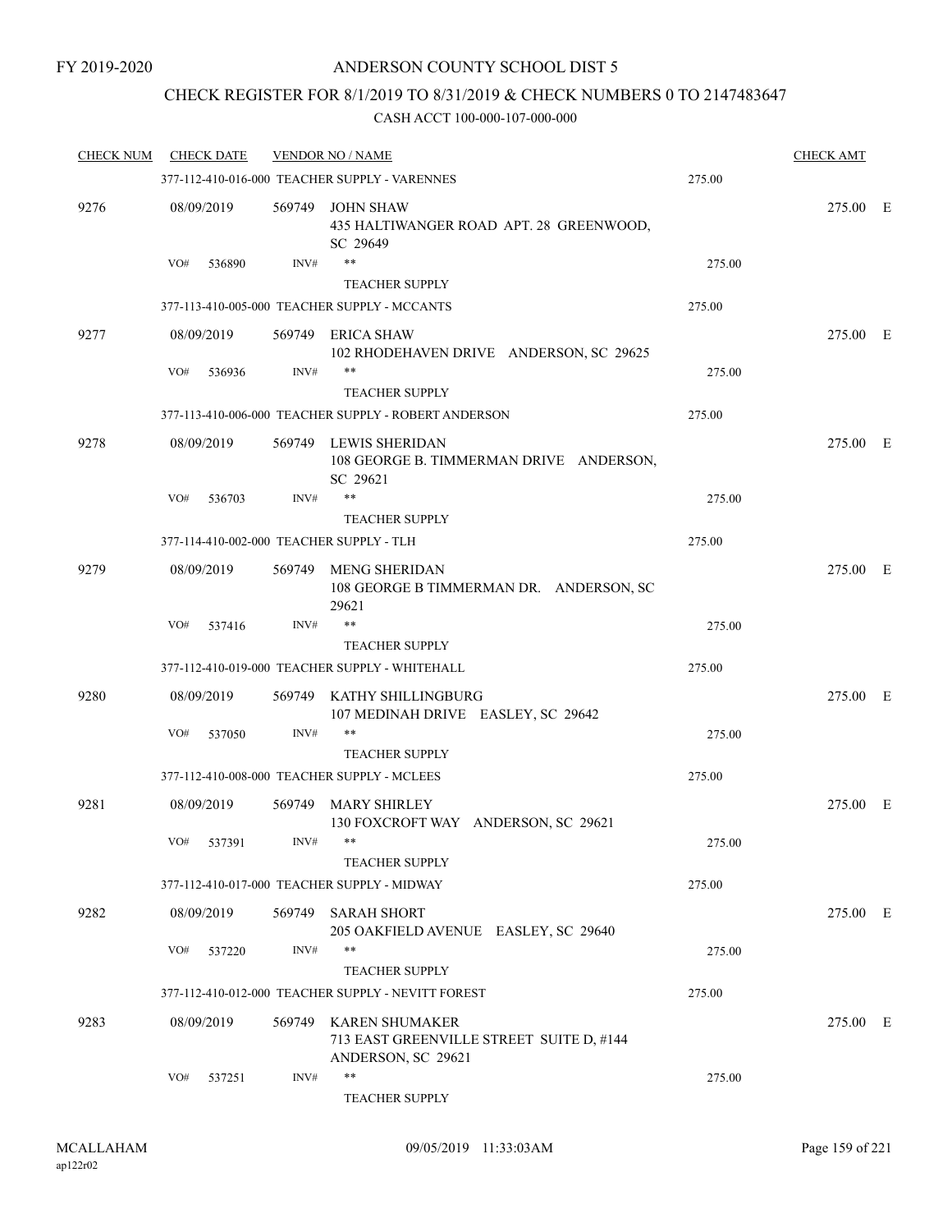## CHECK REGISTER FOR 8/1/2019 TO 8/31/2019 & CHECK NUMBERS 0 TO 2147483647

| <b>CHECK NUM</b> | <b>CHECK DATE</b> |        | <b>VENDOR NO / NAME</b>                                                                 |        | <b>CHECK AMT</b> |  |
|------------------|-------------------|--------|-----------------------------------------------------------------------------------------|--------|------------------|--|
|                  |                   |        | 377-112-410-016-000 TEACHER SUPPLY - VARENNES                                           | 275.00 |                  |  |
| 9276             | 08/09/2019        | 569749 | <b>JOHN SHAW</b><br>435 HALTIWANGER ROAD APT. 28 GREENWOOD,<br>SC 29649                 |        | 275.00 E         |  |
|                  | VO#<br>536890     | INV#   | **                                                                                      | 275.00 |                  |  |
|                  |                   |        | <b>TEACHER SUPPLY</b>                                                                   |        |                  |  |
|                  |                   |        | 377-113-410-005-000 TEACHER SUPPLY - MCCANTS                                            | 275.00 |                  |  |
| 9277             | 08/09/2019        | 569749 | ERICA SHAW<br>102 RHODEHAVEN DRIVE ANDERSON, SC 29625                                   |        | 275.00 E         |  |
|                  | VO#<br>536936     | INV#   | $***$                                                                                   | 275.00 |                  |  |
|                  |                   |        | <b>TEACHER SUPPLY</b>                                                                   |        |                  |  |
|                  |                   |        | 377-113-410-006-000 TEACHER SUPPLY - ROBERT ANDERSON                                    | 275.00 |                  |  |
| 9278             | 08/09/2019        | 569749 | LEWIS SHERIDAN<br>108 GEORGE B. TIMMERMAN DRIVE ANDERSON,<br>SC 29621                   |        | 275.00 E         |  |
|                  | VO#<br>536703     | INV#   | $***$                                                                                   | 275.00 |                  |  |
|                  |                   |        | <b>TEACHER SUPPLY</b>                                                                   |        |                  |  |
|                  |                   |        | 377-114-410-002-000 TEACHER SUPPLY - TLH                                                | 275.00 |                  |  |
| 9279             | 08/09/2019        | 569749 | <b>MENG SHERIDAN</b><br>108 GEORGE B TIMMERMAN DR. ANDERSON, SC<br>29621                |        | 275.00 E         |  |
|                  | VO#<br>537416     | INV#   | $***$                                                                                   | 275.00 |                  |  |
|                  |                   |        | <b>TEACHER SUPPLY</b>                                                                   |        |                  |  |
|                  |                   |        | 377-112-410-019-000 TEACHER SUPPLY - WHITEHALL                                          | 275.00 |                  |  |
| 9280             | 08/09/2019        | 569749 | KATHY SHILLINGBURG<br>107 MEDINAH DRIVE EASLEY, SC 29642                                |        | 275.00 E         |  |
|                  | VO#<br>537050     | INV#   | $***$                                                                                   | 275.00 |                  |  |
|                  |                   |        | <b>TEACHER SUPPLY</b>                                                                   |        |                  |  |
|                  |                   |        | 377-112-410-008-000 TEACHER SUPPLY - MCLEES                                             | 275.00 |                  |  |
| 9281             | 08/09/2019        | 569749 | <b>MARY SHIRLEY</b><br>130 FOXCROFT WAY ANDERSON, SC 29621                              |        | 275.00 E         |  |
|                  | VO#<br>537391     | INV#   | $***$                                                                                   | 275.00 |                  |  |
|                  |                   |        | <b>TEACHER SUPPLY</b>                                                                   |        |                  |  |
|                  |                   |        | 377-112-410-017-000 TEACHER SUPPLY - MIDWAY                                             | 275.00 |                  |  |
| 9282             | 08/09/2019        |        | 569749 SARAH SHORT<br>205 OAKFIELD AVENUE EASLEY, SC 29640                              |        | 275.00 E         |  |
|                  | VO#<br>537220     | INV#   | $***$<br><b>TEACHER SUPPLY</b>                                                          | 275.00 |                  |  |
|                  |                   |        | 377-112-410-012-000 TEACHER SUPPLY - NEVITT FOREST                                      | 275.00 |                  |  |
| 9283             | 08/09/2019        | 569749 | <b>KAREN SHUMAKER</b><br>713 EAST GREENVILLE STREET SUITE D, #144<br>ANDERSON, SC 29621 |        | 275.00 E         |  |
|                  | VO#<br>537251     | INV#   | $***$<br>TEACHER SUPPLY                                                                 | 275.00 |                  |  |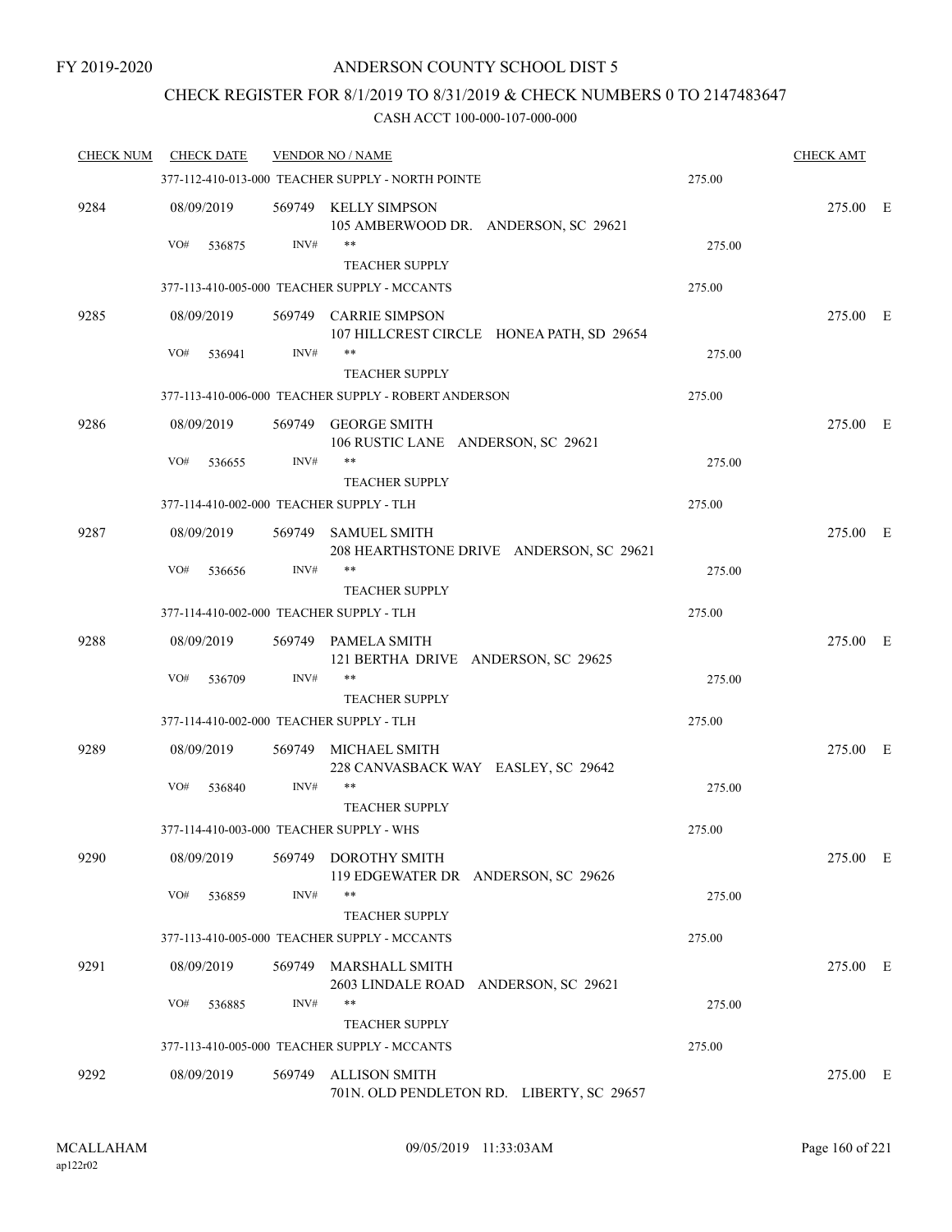## CHECK REGISTER FOR 8/1/2019 TO 8/31/2019 & CHECK NUMBERS 0 TO 2147483647

| <b>CHECK NUM</b> | <b>CHECK DATE</b>                        |        | <b>VENDOR NO / NAME</b>                                                       |        | <b>CHECK AMT</b> |  |
|------------------|------------------------------------------|--------|-------------------------------------------------------------------------------|--------|------------------|--|
|                  |                                          |        | 377-112-410-013-000 TEACHER SUPPLY - NORTH POINTE                             | 275.00 |                  |  |
| 9284             | 08/09/2019                               |        | 569749 KELLY SIMPSON<br>105 AMBERWOOD DR. ANDERSON, SC 29621                  |        | 275.00 E         |  |
|                  | VO#<br>536875                            | INV#   | **                                                                            | 275.00 |                  |  |
|                  |                                          |        | <b>TEACHER SUPPLY</b>                                                         |        |                  |  |
|                  |                                          |        | 377-113-410-005-000 TEACHER SUPPLY - MCCANTS                                  | 275.00 |                  |  |
| 9285             | 08/09/2019                               |        | 569749 CARRIE SIMPSON<br>107 HILLCREST CIRCLE HONEA PATH, SD 29654            |        | 275.00 E         |  |
|                  | VO#<br>536941                            | INV#   | **                                                                            | 275.00 |                  |  |
|                  |                                          |        | <b>TEACHER SUPPLY</b><br>377-113-410-006-000 TEACHER SUPPLY - ROBERT ANDERSON | 275.00 |                  |  |
|                  |                                          |        |                                                                               |        |                  |  |
| 9286             | 08/09/2019<br>VO#                        | INV#   | 569749 GEORGE SMITH<br>106 RUSTIC LANE ANDERSON, SC 29621<br>**               | 275.00 | 275.00 E         |  |
|                  | 536655                                   |        | <b>TEACHER SUPPLY</b>                                                         |        |                  |  |
|                  | 377-114-410-002-000 TEACHER SUPPLY - TLH |        |                                                                               | 275.00 |                  |  |
| 9287             | 08/09/2019                               |        | 569749 SAMUEL SMITH<br>208 HEARTHSTONE DRIVE ANDERSON, SC 29621               |        | 275.00 E         |  |
|                  | VO#<br>536656                            | INV#   | **<br><b>TEACHER SUPPLY</b>                                                   | 275.00 |                  |  |
|                  | 377-114-410-002-000 TEACHER SUPPLY - TLH |        |                                                                               | 275.00 |                  |  |
| 9288             | 08/09/2019                               |        | 569749 PAMELA SMITH<br>121 BERTHA DRIVE ANDERSON, SC 29625                    |        | 275.00 E         |  |
|                  | VO#<br>536709                            | INV#   | **<br><b>TEACHER SUPPLY</b>                                                   | 275.00 |                  |  |
|                  | 377-114-410-002-000 TEACHER SUPPLY - TLH |        |                                                                               | 275.00 |                  |  |
| 9289             | 08/09/2019                               | 569749 | MICHAEL SMITH<br>228 CANVASBACK WAY EASLEY, SC 29642                          |        | 275.00 E         |  |
|                  | VO#<br>536840                            | INV#   | **<br><b>TEACHER SUPPLY</b>                                                   | 275.00 |                  |  |
|                  | 377-114-410-003-000 TEACHER SUPPLY - WHS |        |                                                                               | 275.00 |                  |  |
| 9290             | 08/09/2019                               | 569749 | <b>DOROTHY SMITH</b><br>119 EDGEWATER DR ANDERSON, SC 29626                   |        | 275.00 E         |  |
|                  | VO#<br>536859                            | INV#   | **<br><b>TEACHER SUPPLY</b>                                                   | 275.00 |                  |  |
|                  |                                          |        | 377-113-410-005-000 TEACHER SUPPLY - MCCANTS                                  | 275.00 |                  |  |
| 9291             | 08/09/2019                               | 569749 | MARSHALL SMITH<br>2603 LINDALE ROAD<br>ANDERSON, SC 29621                     |        | 275.00 E         |  |
|                  | VO#<br>536885                            | INV#   | **                                                                            | 275.00 |                  |  |
|                  |                                          |        | <b>TEACHER SUPPLY</b>                                                         |        |                  |  |
|                  |                                          |        | 377-113-410-005-000 TEACHER SUPPLY - MCCANTS                                  | 275.00 |                  |  |
| 9292             | 08/09/2019                               | 569749 | <b>ALLISON SMITH</b><br>701N. OLD PENDLETON RD. LIBERTY, SC 29657             |        | 275.00 E         |  |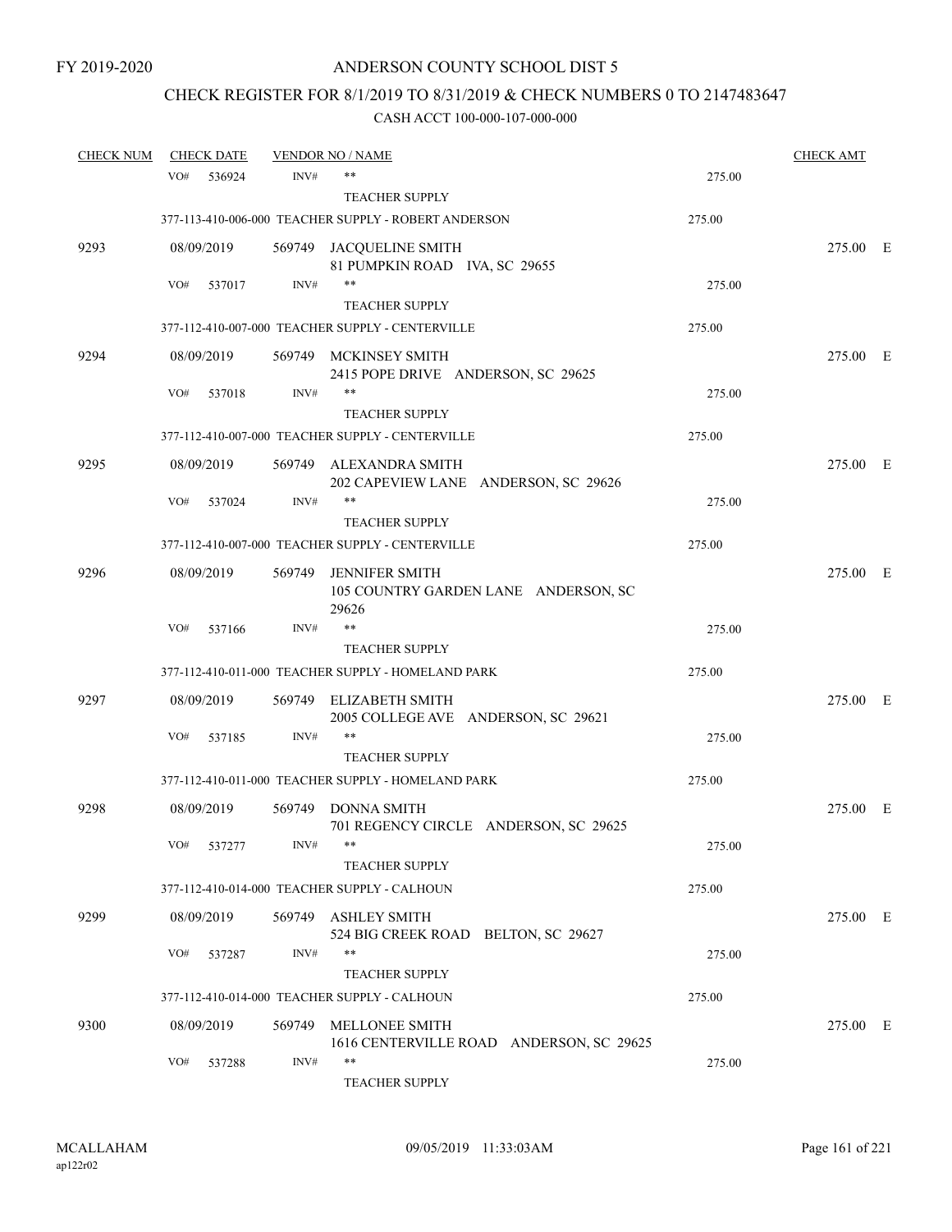# CHECK REGISTER FOR 8/1/2019 TO 8/31/2019 & CHECK NUMBERS 0 TO 2147483647

| <b>CHECK NUM</b> |            | <b>CHECK DATE</b> |        | <b>VENDOR NO / NAME</b>                                                |        | <b>CHECK AMT</b> |  |
|------------------|------------|-------------------|--------|------------------------------------------------------------------------|--------|------------------|--|
|                  | VO#        | 536924            | INV#   | $***$                                                                  | 275.00 |                  |  |
|                  |            |                   |        | <b>TEACHER SUPPLY</b>                                                  |        |                  |  |
|                  |            |                   |        | 377-113-410-006-000 TEACHER SUPPLY - ROBERT ANDERSON                   | 275.00 |                  |  |
| 9293             |            | 08/09/2019        |        | 569749 JACQUELINE SMITH<br>81 PUMPKIN ROAD IVA, SC 29655               |        | 275.00 E         |  |
|                  | VO#        | 537017            | INV#   | $***$                                                                  | 275.00 |                  |  |
|                  |            |                   |        | <b>TEACHER SUPPLY</b>                                                  |        |                  |  |
|                  |            |                   |        | 377-112-410-007-000 TEACHER SUPPLY - CENTERVILLE                       | 275.00 |                  |  |
| 9294             |            | 08/09/2019        |        | 569749 MCKINSEY SMITH<br>2415 POPE DRIVE ANDERSON, SC 29625            |        | 275.00 E         |  |
|                  | VO#        | 537018            | INV#   | $***$                                                                  | 275.00 |                  |  |
|                  |            |                   |        | <b>TEACHER SUPPLY</b>                                                  |        |                  |  |
|                  |            |                   |        | 377-112-410-007-000 TEACHER SUPPLY - CENTERVILLE                       | 275.00 |                  |  |
| 9295             |            | 08/09/2019        |        | 569749 ALEXANDRA SMITH<br>202 CAPEVIEW LANE ANDERSON, SC 29626         |        | 275.00 E         |  |
|                  | VO#        | 537024            | INV#   |                                                                        | 275.00 |                  |  |
|                  |            |                   |        | <b>TEACHER SUPPLY</b>                                                  |        |                  |  |
|                  |            |                   |        | 377-112-410-007-000 TEACHER SUPPLY - CENTERVILLE                       | 275.00 |                  |  |
| 9296             |            | 08/09/2019        | 569749 | <b>JENNIFER SMITH</b><br>105 COUNTRY GARDEN LANE ANDERSON, SC<br>29626 |        | 275.00 E         |  |
|                  | VO#        | 537166            | INV#   | $***$                                                                  | 275.00 |                  |  |
|                  |            |                   |        | <b>TEACHER SUPPLY</b>                                                  |        |                  |  |
|                  |            |                   |        | 377-112-410-011-000 TEACHER SUPPLY - HOMELAND PARK                     | 275.00 |                  |  |
| 9297             |            | 08/09/2019        | 569749 | ELIZABETH SMITH<br>2005 COLLEGE AVE ANDERSON, SC 29621                 |        | 275.00 E         |  |
|                  | VO#        | 537185            | INV#   | $***$                                                                  | 275.00 |                  |  |
|                  |            |                   |        | <b>TEACHER SUPPLY</b>                                                  |        |                  |  |
|                  |            |                   |        | 377-112-410-011-000 TEACHER SUPPLY - HOMELAND PARK                     | 275.00 |                  |  |
| 9298             |            | 08/09/2019        |        | 569749 DONNA SMITH<br>701 REGENCY CIRCLE ANDERSON, SC 29625            |        | 275.00 E         |  |
|                  | $\rm VO\#$ | 537277            | INV#   |                                                                        | 275.00 |                  |  |
|                  |            |                   |        | <b>TEACHER SUPPLY</b>                                                  |        |                  |  |
|                  |            |                   |        | 377-112-410-014-000 TEACHER SUPPLY - CALHOUN                           | 275.00 |                  |  |
| 9299             |            | 08/09/2019        | 569749 | ASHLEY SMITH<br>524 BIG CREEK ROAD BELTON, SC 29627                    |        | 275.00 E         |  |
|                  | VO#        | 537287            | INV#   | $***$<br><b>TEACHER SUPPLY</b>                                         | 275.00 |                  |  |
|                  |            |                   |        | 377-112-410-014-000 TEACHER SUPPLY - CALHOUN                           | 275.00 |                  |  |
| 9300             |            | 08/09/2019        | 569749 | MELLONEE SMITH                                                         |        | 275.00 E         |  |
|                  | VO#        | 537288            | INV#   | 1616 CENTERVILLE ROAD ANDERSON, SC 29625<br>$***$                      | 275.00 |                  |  |
|                  |            |                   |        | TEACHER SUPPLY                                                         |        |                  |  |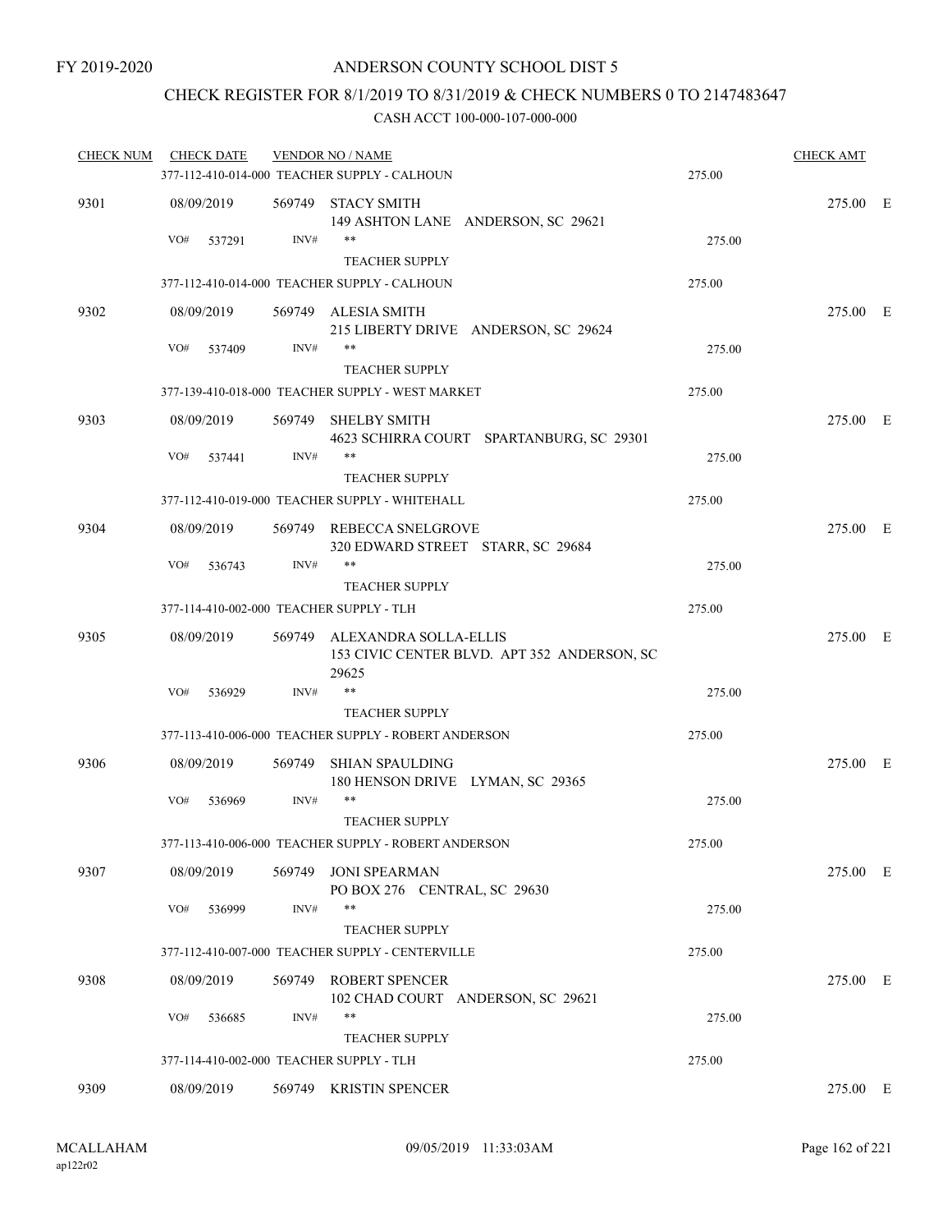### CHECK REGISTER FOR 8/1/2019 TO 8/31/2019 & CHECK NUMBERS 0 TO 2147483647

| <b>CHECK NUM</b> | <b>CHECK DATE</b>                        |        | <b>VENDOR NO / NAME</b>                                                              |        | <b>CHECK AMT</b> |  |
|------------------|------------------------------------------|--------|--------------------------------------------------------------------------------------|--------|------------------|--|
|                  |                                          |        | 377-112-410-014-000 TEACHER SUPPLY - CALHOUN                                         | 275.00 |                  |  |
| 9301             | 08/09/2019                               |        | 569749 STACY SMITH<br>149 ASHTON LANE ANDERSON, SC 29621                             |        | 275.00 E         |  |
|                  | VO#<br>537291                            | INV#   | **<br><b>TEACHER SUPPLY</b>                                                          | 275.00 |                  |  |
|                  |                                          |        | 377-112-410-014-000 TEACHER SUPPLY - CALHOUN                                         | 275.00 |                  |  |
| 9302             | 08/09/2019                               |        | 569749 ALESIA SMITH<br>215 LIBERTY DRIVE ANDERSON, SC 29624                          |        | 275.00 E         |  |
|                  | VO#<br>537409                            | INV#   | **<br><b>TEACHER SUPPLY</b>                                                          | 275.00 |                  |  |
|                  |                                          |        | 377-139-410-018-000 TEACHER SUPPLY - WEST MARKET                                     | 275.00 |                  |  |
|                  |                                          |        |                                                                                      |        |                  |  |
| 9303             | 08/09/2019<br>VO#<br>537441              | INV#   | 569749 SHELBY SMITH<br>4623 SCHIRRA COURT SPARTANBURG, SC 29301<br>**                | 275.00 | 275.00 E         |  |
|                  |                                          |        | <b>TEACHER SUPPLY</b>                                                                |        |                  |  |
|                  |                                          |        | 377-112-410-019-000 TEACHER SUPPLY - WHITEHALL                                       | 275.00 |                  |  |
| 9304             | 08/09/2019                               |        | 569749 REBECCA SNELGROVE<br>320 EDWARD STREET STARR, SC 29684                        |        | 275.00 E         |  |
|                  | VO#<br>536743                            | INV#   | **                                                                                   | 275.00 |                  |  |
|                  |                                          |        | <b>TEACHER SUPPLY</b>                                                                |        |                  |  |
|                  | 377-114-410-002-000 TEACHER SUPPLY - TLH |        |                                                                                      | 275.00 |                  |  |
| 9305             | 08/09/2019                               |        | 569749 ALEXANDRA SOLLA-ELLIS<br>153 CIVIC CENTER BLVD. APT 352 ANDERSON, SC<br>29625 |        | 275.00 E         |  |
|                  | VO#<br>536929                            | INV#   | **                                                                                   | 275.00 |                  |  |
|                  |                                          |        | <b>TEACHER SUPPLY</b>                                                                |        |                  |  |
|                  |                                          |        | 377-113-410-006-000 TEACHER SUPPLY - ROBERT ANDERSON                                 | 275.00 |                  |  |
| 9306             | 08/09/2019                               | 569749 | <b>SHIAN SPAULDING</b><br>180 HENSON DRIVE LYMAN, SC 29365                           |        | 275.00 E         |  |
|                  | VO#<br>536969                            | INV#   | **<br><b>TEACHER SUPPLY</b>                                                          | 275.00 |                  |  |
|                  |                                          |        | 377-113-410-006-000 TEACHER SUPPLY - ROBERT ANDERSON                                 | 275.00 |                  |  |
| 9307             | 08/09/2019                               |        | 569749 JONI SPEARMAN<br>PO BOX 276 CENTRAL, SC 29630                                 |        | 275.00 E         |  |
|                  | VO#<br>536999                            | INV#   | **<br><b>TEACHER SUPPLY</b>                                                          | 275.00 |                  |  |
|                  |                                          |        | 377-112-410-007-000 TEACHER SUPPLY - CENTERVILLE                                     | 275.00 |                  |  |
| 9308             | 08/09/2019                               |        | 569749 ROBERT SPENCER<br>102 CHAD COURT ANDERSON, SC 29621                           |        | 275.00 E         |  |
|                  | VO#<br>536685                            | INV#   | **<br><b>TEACHER SUPPLY</b>                                                          | 275.00 |                  |  |
|                  | 377-114-410-002-000 TEACHER SUPPLY - TLH |        |                                                                                      | 275.00 |                  |  |
| 9309             | 08/09/2019                               |        | 569749 KRISTIN SPENCER                                                               |        | 275.00 E         |  |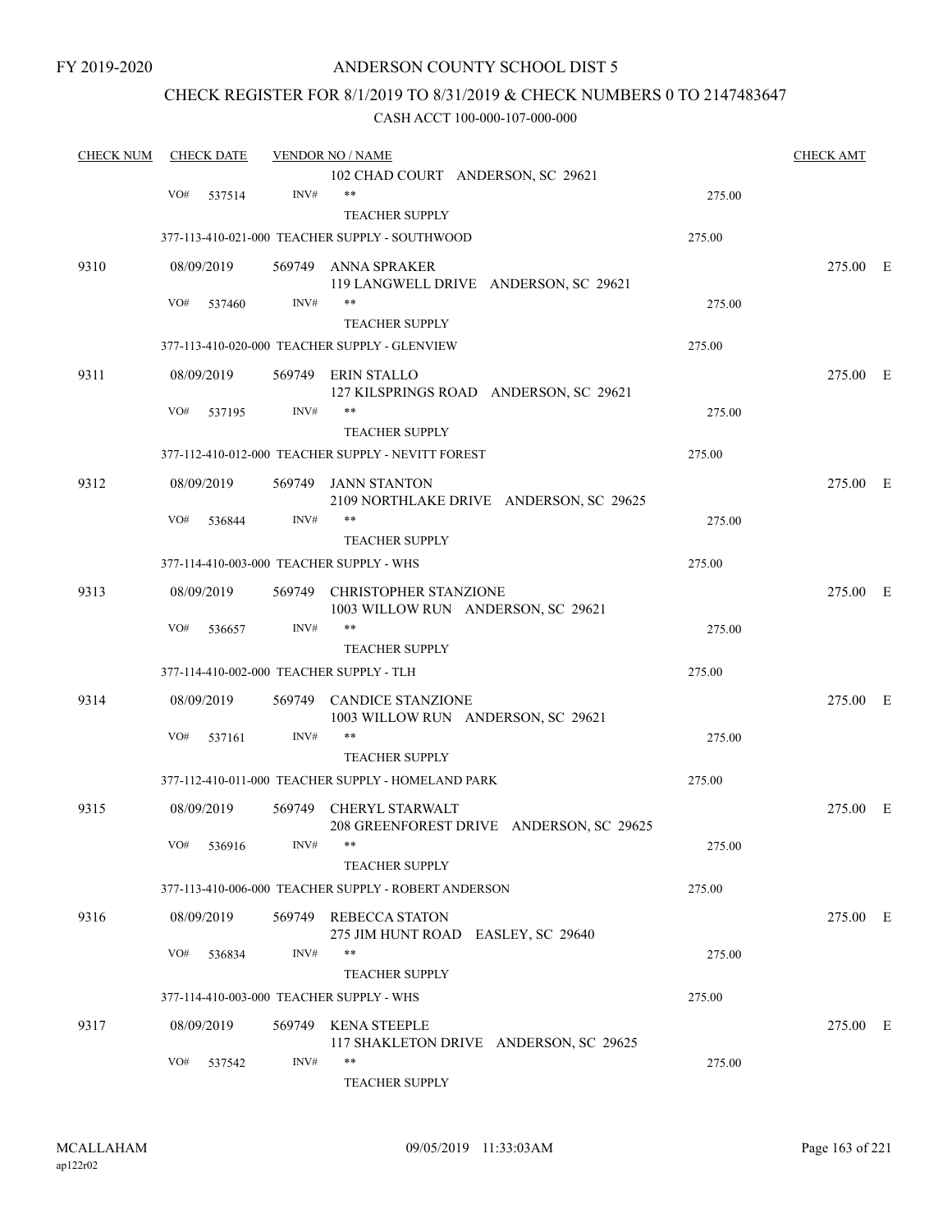### CHECK REGISTER FOR 8/1/2019 TO 8/31/2019 & CHECK NUMBERS 0 TO 2147483647

| <b>CHECK NUM</b> | <b>CHECK DATE</b>                        |        | <b>VENDOR NO / NAME</b>                                            |        | <b>CHECK AMT</b> |  |
|------------------|------------------------------------------|--------|--------------------------------------------------------------------|--------|------------------|--|
|                  |                                          |        | 102 CHAD COURT ANDERSON, SC 29621                                  |        |                  |  |
|                  | VO#<br>537514                            | INV#   | $***$                                                              | 275.00 |                  |  |
|                  |                                          |        | <b>TEACHER SUPPLY</b>                                              |        |                  |  |
|                  |                                          |        | 377-113-410-021-000 TEACHER SUPPLY - SOUTHWOOD                     | 275.00 |                  |  |
| 9310             | 08/09/2019                               | 569749 | ANNA SPRAKER                                                       |        | 275.00 E         |  |
|                  | VO#<br>537460                            | INV#   | 119 LANGWELL DRIVE ANDERSON, SC 29621<br>$***$                     | 275.00 |                  |  |
|                  |                                          |        | <b>TEACHER SUPPLY</b>                                              |        |                  |  |
|                  |                                          |        | 377-113-410-020-000 TEACHER SUPPLY - GLENVIEW                      | 275.00 |                  |  |
| 9311             | 08/09/2019                               |        | 569749 ERIN STALLO<br>127 KILSPRINGS ROAD ANDERSON, SC 29621       |        | 275.00 E         |  |
|                  | VO#<br>537195                            | INV#   |                                                                    | 275.00 |                  |  |
|                  |                                          |        | <b>TEACHER SUPPLY</b>                                              |        |                  |  |
|                  |                                          |        | 377-112-410-012-000 TEACHER SUPPLY - NEVITT FOREST                 | 275.00 |                  |  |
| 9312             | 08/09/2019                               | 569749 | JANN STANTON<br>2109 NORTHLAKE DRIVE ANDERSON, SC 29625            |        | 275.00 E         |  |
|                  | VO#<br>536844                            | INV#   | **                                                                 | 275.00 |                  |  |
|                  |                                          |        | <b>TEACHER SUPPLY</b>                                              |        |                  |  |
|                  | 377-114-410-003-000 TEACHER SUPPLY - WHS |        |                                                                    | 275.00 |                  |  |
| 9313             | 08/09/2019                               | 569749 | <b>CHRISTOPHER STANZIONE</b><br>1003 WILLOW RUN ANDERSON, SC 29621 |        | 275.00 E         |  |
|                  | VO#<br>536657                            | INV#   | $***$                                                              | 275.00 |                  |  |
|                  |                                          |        | <b>TEACHER SUPPLY</b>                                              |        |                  |  |
|                  | 377-114-410-002-000 TEACHER SUPPLY - TLH |        |                                                                    | 275.00 |                  |  |
| 9314             | 08/09/2019                               | 569749 | <b>CANDICE STANZIONE</b><br>1003 WILLOW RUN ANDERSON, SC 29621     |        | 275.00 E         |  |
|                  | VO#<br>537161                            | INV#   | $***$                                                              | 275.00 |                  |  |
|                  |                                          |        | <b>TEACHER SUPPLY</b>                                              |        |                  |  |
|                  |                                          |        | 377-112-410-011-000 TEACHER SUPPLY - HOMELAND PARK                 | 275.00 |                  |  |
| 9315             | 08/09/2019                               | 569749 | CHERYL STARWALT<br>208 GREENFOREST DRIVE ANDERSON, SC 29625        |        | 275.00 E         |  |
|                  | VO# 536916                               | INV#   | <b>TEACHER SUPPLY</b>                                              | 275.00 |                  |  |
|                  |                                          |        | 377-113-410-006-000 TEACHER SUPPLY - ROBERT ANDERSON               | 275.00 |                  |  |
| 9316             | 08/09/2019                               |        | 569749 REBECCA STATON<br>275 JIM HUNT ROAD EASLEY, SC 29640        |        | 275.00 E         |  |
|                  | VO#<br>536834                            | INV#   | **<br><b>TEACHER SUPPLY</b>                                        | 275.00 |                  |  |
|                  | 377-114-410-003-000 TEACHER SUPPLY - WHS |        |                                                                    | 275.00 |                  |  |
|                  |                                          |        |                                                                    |        |                  |  |
| 9317             | 08/09/2019                               |        | 569749 KENA STEEPLE<br>117 SHAKLETON DRIVE ANDERSON, SC 29625      |        | 275.00 E         |  |
|                  | VO#<br>537542                            | INV#   | **<br>TEACHER SUPPLY                                               | 275.00 |                  |  |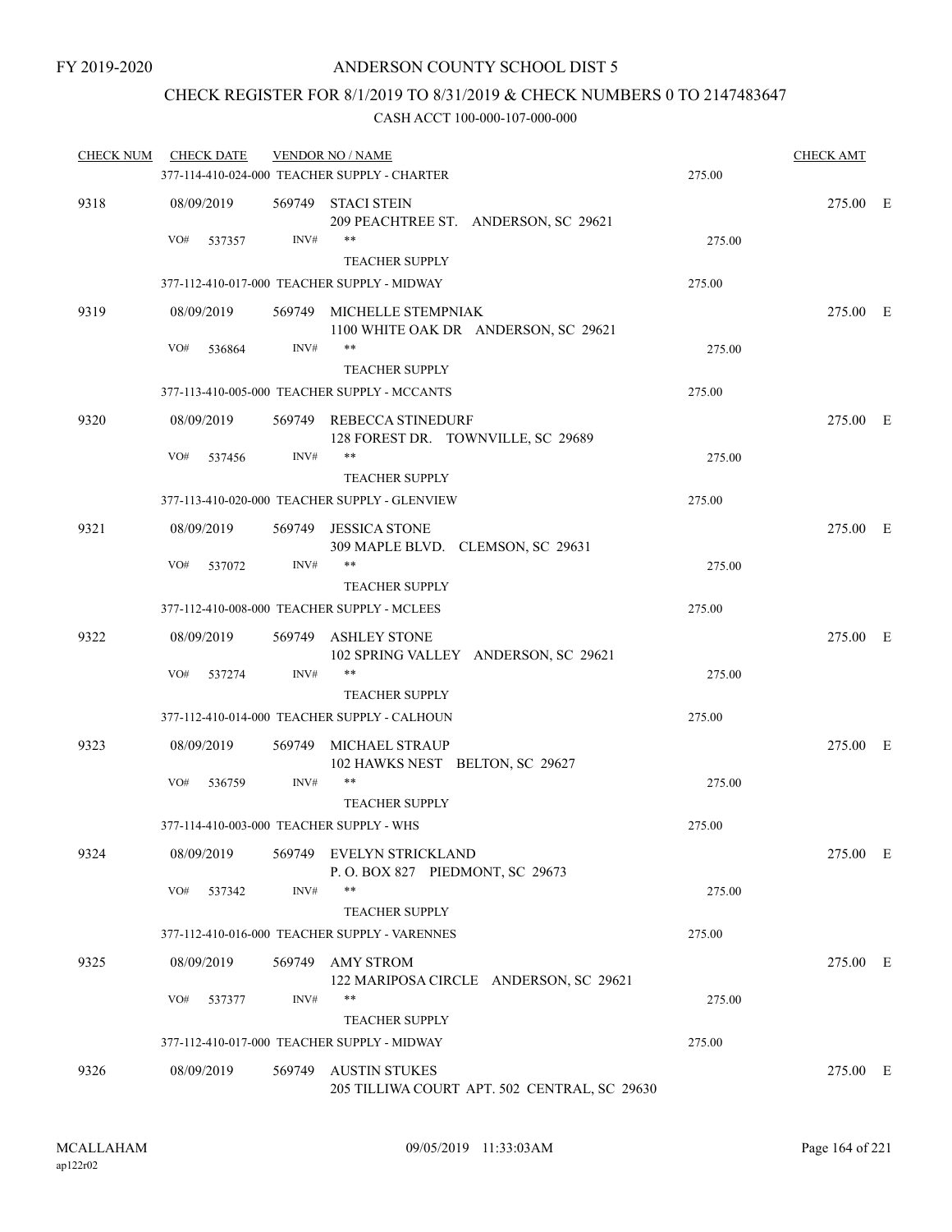### CHECK REGISTER FOR 8/1/2019 TO 8/31/2019 & CHECK NUMBERS 0 TO 2147483647

| <b>CHECK NUM</b> | <b>CHECK DATE</b> |                | <b>VENDOR NO / NAME</b>                                              |        | <b>CHECK AMT</b> |  |
|------------------|-------------------|----------------|----------------------------------------------------------------------|--------|------------------|--|
|                  |                   |                | 377-114-410-024-000 TEACHER SUPPLY - CHARTER                         | 275.00 |                  |  |
| 9318             | 08/09/2019        |                | 569749 STACI STEIN<br>209 PEACHTREE ST. ANDERSON, SC 29621           |        | 275.00 E         |  |
|                  | VO#               | INV#<br>537357 | **<br><b>TEACHER SUPPLY</b>                                          | 275.00 |                  |  |
|                  |                   |                | 377-112-410-017-000 TEACHER SUPPLY - MIDWAY                          | 275.00 |                  |  |
| 9319             | 08/09/2019        |                | 569749 MICHELLE STEMPNIAK                                            |        | 275.00 E         |  |
|                  |                   |                | 1100 WHITE OAK DR ANDERSON, SC 29621                                 |        |                  |  |
|                  | VO#               | INV#<br>536864 | **                                                                   | 275.00 |                  |  |
|                  |                   |                | <b>TEACHER SUPPLY</b>                                                |        |                  |  |
|                  |                   |                | 377-113-410-005-000 TEACHER SUPPLY - MCCANTS                         | 275.00 |                  |  |
| 9320             | 08/09/2019        |                | 569749 REBECCA STINEDURF                                             |        | 275.00 E         |  |
|                  |                   |                | 128 FOREST DR. TOWNVILLE, SC 29689                                   |        |                  |  |
|                  | VO#               | INV#<br>537456 | **                                                                   | 275.00 |                  |  |
|                  |                   |                | <b>TEACHER SUPPLY</b>                                                |        |                  |  |
|                  |                   |                | 377-113-410-020-000 TEACHER SUPPLY - GLENVIEW                        | 275.00 |                  |  |
| 9321             | 08/09/2019        |                | 569749 JESSICA STONE                                                 |        | 275.00 E         |  |
|                  |                   |                | 309 MAPLE BLVD. CLEMSON, SC 29631                                    |        |                  |  |
|                  | VO#               | INV#<br>537072 | $***$                                                                | 275.00 |                  |  |
|                  |                   |                | <b>TEACHER SUPPLY</b>                                                |        |                  |  |
|                  |                   |                | 377-112-410-008-000 TEACHER SUPPLY - MCLEES                          | 275.00 |                  |  |
| 9322             | 08/09/2019        |                | 569749 ASHLEY STONE<br>102 SPRING VALLEY ANDERSON, SC 29621          |        | 275.00 E         |  |
|                  | VO#               | INV#<br>537274 | **                                                                   | 275.00 |                  |  |
|                  |                   |                | <b>TEACHER SUPPLY</b>                                                |        |                  |  |
|                  |                   |                | 377-112-410-014-000 TEACHER SUPPLY - CALHOUN                         | 275.00 |                  |  |
| 9323             | 08/09/2019        |                | 569749 MICHAEL STRAUP<br>102 HAWKS NEST BELTON, SC 29627             |        | 275.00 E         |  |
|                  | VO#               | INV#<br>536759 | **                                                                   | 275.00 |                  |  |
|                  |                   |                | <b>TEACHER SUPPLY</b>                                                |        |                  |  |
|                  |                   |                | 377-114-410-003-000 TEACHER SUPPLY - WHS                             | 275.00 |                  |  |
| 9324             | 08/09/2019        |                | 569749 EVELYN STRICKLAND<br>P.O. BOX 827 PIEDMONT, SC 29673          |        | 275.00 E         |  |
|                  | VO#               | INV#<br>537342 | **                                                                   | 275.00 |                  |  |
|                  |                   |                | <b>TEACHER SUPPLY</b>                                                |        |                  |  |
|                  |                   |                | 377-112-410-016-000 TEACHER SUPPLY - VARENNES                        | 275.00 |                  |  |
| 9325             | 08/09/2019        |                | 569749 AMY STROM<br>122 MARIPOSA CIRCLE ANDERSON, SC 29621           |        | 275.00 E         |  |
|                  | VO#               | INV#<br>537377 | **                                                                   | 275.00 |                  |  |
|                  |                   |                | <b>TEACHER SUPPLY</b>                                                |        |                  |  |
|                  |                   |                | 377-112-410-017-000 TEACHER SUPPLY - MIDWAY                          | 275.00 |                  |  |
| 9326             | 08/09/2019        |                | 569749 AUSTIN STUKES<br>205 TILLIWA COURT APT. 502 CENTRAL, SC 29630 |        | 275.00 E         |  |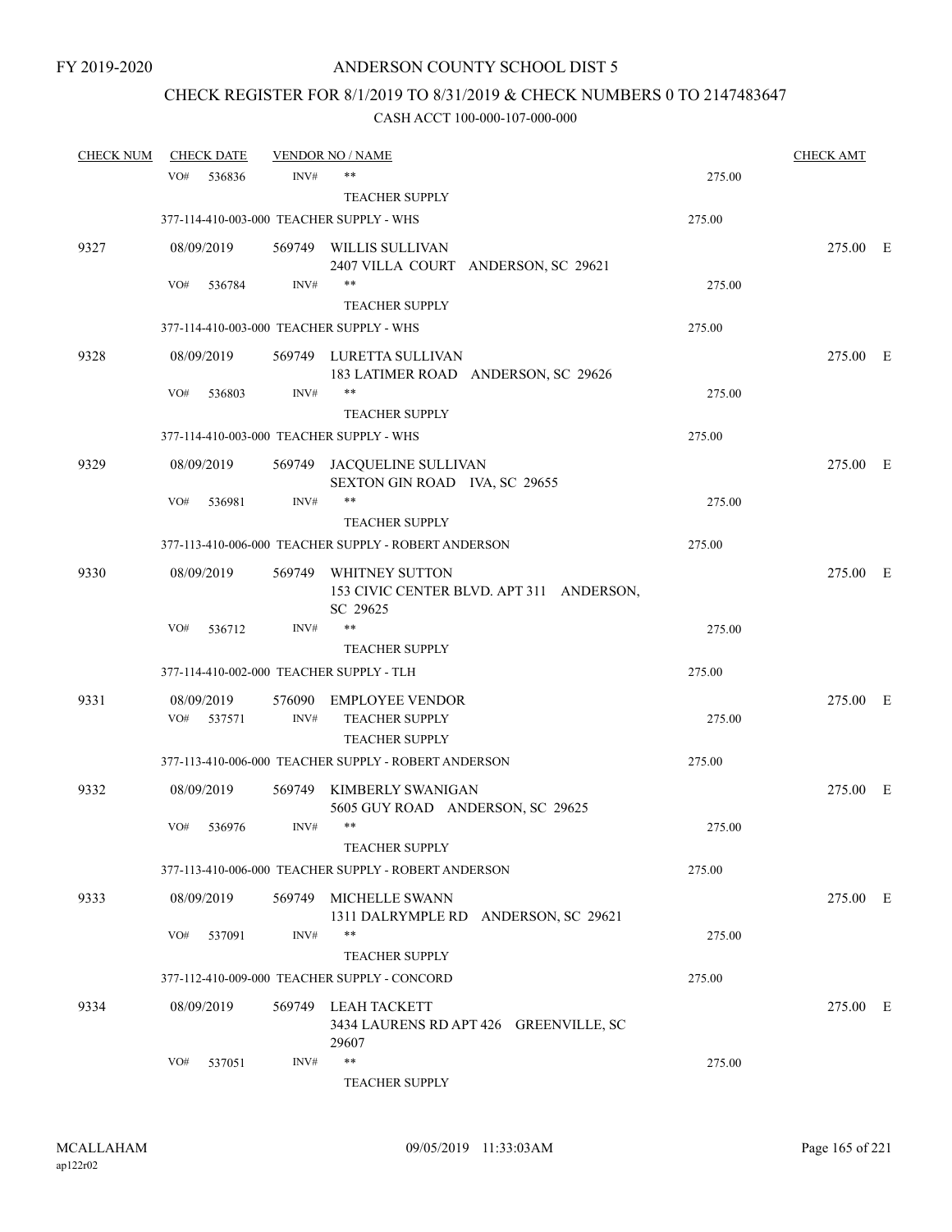# CHECK REGISTER FOR 8/1/2019 TO 8/31/2019 & CHECK NUMBERS 0 TO 2147483647

| <b>CHECK NUM</b> |     | <b>CHECK DATE</b> |        | <b>VENDOR NO / NAME</b>                               |        | <b>CHECK AMT</b> |  |
|------------------|-----|-------------------|--------|-------------------------------------------------------|--------|------------------|--|
|                  | VO# | 536836            | INV#   | $***$                                                 | 275.00 |                  |  |
|                  |     |                   |        | <b>TEACHER SUPPLY</b>                                 |        |                  |  |
|                  |     |                   |        | 377-114-410-003-000 TEACHER SUPPLY - WHS              | 275.00 |                  |  |
| 9327             |     | 08/09/2019        |        | 569749 WILLIS SULLIVAN                                |        | 275.00 E         |  |
|                  |     |                   |        | 2407 VILLA COURT ANDERSON, SC 29621                   |        |                  |  |
|                  | VO# | 536784            | INV#   | $***$                                                 | 275.00 |                  |  |
|                  |     |                   |        | <b>TEACHER SUPPLY</b>                                 |        |                  |  |
|                  |     |                   |        | 377-114-410-003-000 TEACHER SUPPLY - WHS              | 275.00 |                  |  |
| 9328             |     | 08/09/2019        |        | 569749 LURETTA SULLIVAN                               |        | 275.00 E         |  |
|                  |     |                   |        | 183 LATIMER ROAD ANDERSON, SC 29626                   |        |                  |  |
|                  | VO# | 536803            | INV#   | $***$                                                 | 275.00 |                  |  |
|                  |     |                   |        | <b>TEACHER SUPPLY</b>                                 |        |                  |  |
|                  |     |                   |        | 377-114-410-003-000 TEACHER SUPPLY - WHS              | 275.00 |                  |  |
| 9329             |     | 08/09/2019        |        | 569749 JACQUELINE SULLIVAN                            |        | 275.00 E         |  |
|                  |     |                   |        | SEXTON GIN ROAD IVA, SC 29655                         |        |                  |  |
|                  | VO# | 536981            | INV#   | **                                                    | 275.00 |                  |  |
|                  |     |                   |        | <b>TEACHER SUPPLY</b>                                 |        |                  |  |
|                  |     |                   |        | 377-113-410-006-000 TEACHER SUPPLY - ROBERT ANDERSON  | 275.00 |                  |  |
| 9330             |     | 08/09/2019        | 569749 | WHITNEY SUTTON                                        |        | 275.00 E         |  |
|                  |     |                   |        | 153 CIVIC CENTER BLVD. APT 311 ANDERSON,              |        |                  |  |
|                  | VO# | 536712            | INV#   | SC 29625<br>$***$                                     | 275.00 |                  |  |
|                  |     |                   |        | <b>TEACHER SUPPLY</b>                                 |        |                  |  |
|                  |     |                   |        | 377-114-410-002-000 TEACHER SUPPLY - TLH              | 275.00 |                  |  |
|                  |     |                   |        |                                                       |        |                  |  |
| 9331             | VO# | 08/09/2019        | INV#   | 576090 EMPLOYEE VENDOR<br>TEACHER SUPPLY              |        | 275.00 E         |  |
|                  |     | 537571            |        | <b>TEACHER SUPPLY</b>                                 | 275.00 |                  |  |
|                  |     |                   |        | 377-113-410-006-000 TEACHER SUPPLY - ROBERT ANDERSON  | 275.00 |                  |  |
|                  |     |                   |        |                                                       |        |                  |  |
| 9332             |     | 08/09/2019        | 569749 | KIMBERLY SWANIGAN<br>5605 GUY ROAD ANDERSON, SC 29625 |        | 275.00 E         |  |
|                  | VO# | 536976            | INV#   | $***$                                                 | 275.00 |                  |  |
|                  |     |                   |        | <b>TEACHER SUPPLY</b>                                 |        |                  |  |
|                  |     |                   |        | 377-113-410-006-000 TEACHER SUPPLY - ROBERT ANDERSON  | 275.00 |                  |  |
| 9333             |     | 08/09/2019        | 569749 | <b>MICHELLE SWANN</b>                                 |        | 275.00 E         |  |
|                  |     |                   |        | 1311 DALRYMPLE RD ANDERSON, SC 29621                  |        |                  |  |
|                  | VO# | 537091            | INV#   | $***$                                                 | 275.00 |                  |  |
|                  |     |                   |        | <b>TEACHER SUPPLY</b>                                 |        |                  |  |
|                  |     |                   |        | 377-112-410-009-000 TEACHER SUPPLY - CONCORD          | 275.00 |                  |  |
| 9334             |     | 08/09/2019        | 569749 | LEAH TACKETT                                          |        | 275.00 E         |  |
|                  |     |                   |        | 3434 LAURENS RD APT 426 GREENVILLE, SC                |        |                  |  |
|                  |     |                   |        | 29607                                                 |        |                  |  |
|                  | VO# | 537051            | INV#   | $***$                                                 | 275.00 |                  |  |
|                  |     |                   |        | <b>TEACHER SUPPLY</b>                                 |        |                  |  |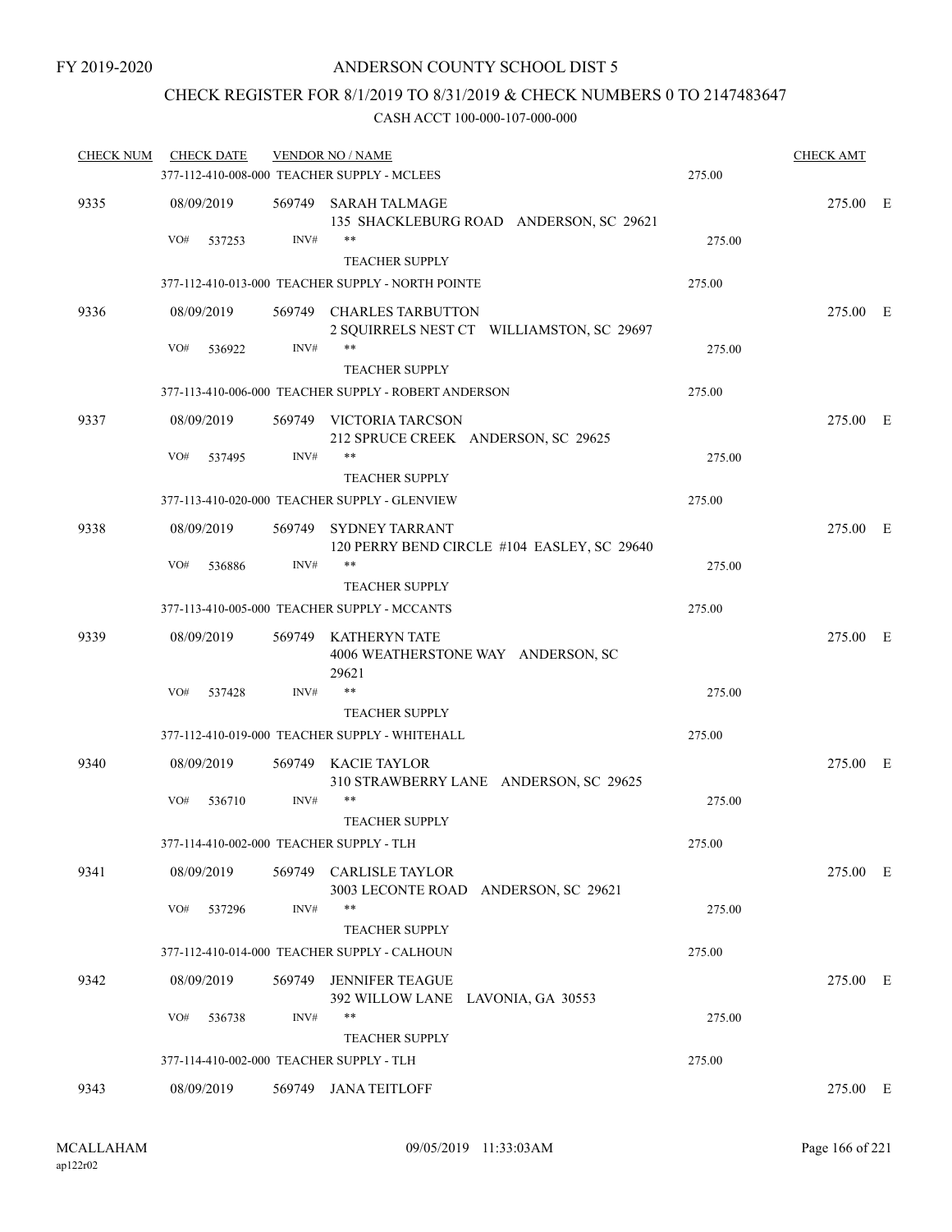## CHECK REGISTER FOR 8/1/2019 TO 8/31/2019 & CHECK NUMBERS 0 TO 2147483647

| <b>CHECK NUM</b> | <b>CHECK DATE</b>                        |        | <b>VENDOR NO / NAME</b>                                               |        | <b>CHECK AMT</b> |  |
|------------------|------------------------------------------|--------|-----------------------------------------------------------------------|--------|------------------|--|
|                  |                                          |        | 377-112-410-008-000 TEACHER SUPPLY - MCLEES                           | 275.00 |                  |  |
| 9335             | 08/09/2019                               |        | 569749 SARAH TALMAGE<br>135 SHACKLEBURG ROAD ANDERSON, SC 29621       |        | 275.00 E         |  |
|                  | VO#<br>537253                            | INV#   | $***$<br><b>TEACHER SUPPLY</b>                                        | 275.00 |                  |  |
|                  |                                          |        | 377-112-410-013-000 TEACHER SUPPLY - NORTH POINTE                     | 275.00 |                  |  |
| 9336             | 08/09/2019                               |        | 569749 CHARLES TARBUTTON<br>2 SQUIRRELS NEST CT WILLIAMSTON, SC 29697 |        | 275.00 E         |  |
|                  | VO#<br>536922                            | INV#   | **<br><b>TEACHER SUPPLY</b>                                           | 275.00 |                  |  |
|                  |                                          |        | 377-113-410-006-000 TEACHER SUPPLY - ROBERT ANDERSON                  | 275.00 |                  |  |
| 9337             | 08/09/2019                               |        | 569749 VICTORIA TARCSON<br>212 SPRUCE CREEK ANDERSON, SC 29625        |        | 275.00 E         |  |
|                  | VO#<br>537495                            | INV#   | **<br><b>TEACHER SUPPLY</b>                                           | 275.00 |                  |  |
|                  |                                          |        | 377-113-410-020-000 TEACHER SUPPLY - GLENVIEW                         | 275.00 |                  |  |
| 9338             | 08/09/2019                               | 569749 | <b>SYDNEY TARRANT</b><br>120 PERRY BEND CIRCLE #104 EASLEY, SC 29640  |        | 275.00 E         |  |
|                  | VO#<br>536886                            | INV#   | $***$<br><b>TEACHER SUPPLY</b>                                        | 275.00 |                  |  |
|                  |                                          |        | 377-113-410-005-000 TEACHER SUPPLY - MCCANTS                          | 275.00 |                  |  |
| 9339             | 08/09/2019                               |        | 569749 KATHERYN TATE<br>4006 WEATHERSTONE WAY ANDERSON, SC<br>29621   |        | 275.00 E         |  |
|                  | VO#<br>537428                            | INV#   | <b>TEACHER SUPPLY</b>                                                 | 275.00 |                  |  |
|                  |                                          |        | 377-112-410-019-000 TEACHER SUPPLY - WHITEHALL                        | 275.00 |                  |  |
| 9340             | 08/09/2019                               |        | 569749 KACIE TAYLOR<br>310 STRAWBERRY LANE ANDERSON, SC 29625         |        | 275.00 E         |  |
|                  | VO#<br>536710                            | INV#   | **<br><b>TEACHER SUPPLY</b>                                           | 275.00 |                  |  |
|                  |                                          |        | 377-114-410-002-000 TEACHER SUPPLY - TLH                              | 275.00 |                  |  |
| 9341             | 08/09/2019                               |        | 569749 CARLISLE TAYLOR<br>3003 LECONTE ROAD ANDERSON, SC 29621        |        | 275.00 E         |  |
|                  | VO#<br>537296                            | INV#   | **<br><b>TEACHER SUPPLY</b>                                           | 275.00 |                  |  |
|                  |                                          |        | 377-112-410-014-000 TEACHER SUPPLY - CALHOUN                          | 275.00 |                  |  |
| 9342             | 08/09/2019                               | 569749 | <b>JENNIFER TEAGUE</b><br>392 WILLOW LANE LAVONIA, GA 30553           |        | 275.00 E         |  |
|                  | VO#<br>536738                            | INV#   | **<br><b>TEACHER SUPPLY</b>                                           | 275.00 |                  |  |
|                  | 377-114-410-002-000 TEACHER SUPPLY - TLH |        |                                                                       | 275.00 |                  |  |
| 9343             | 08/09/2019                               |        | 569749 JANA TEITLOFF                                                  |        | 275.00 E         |  |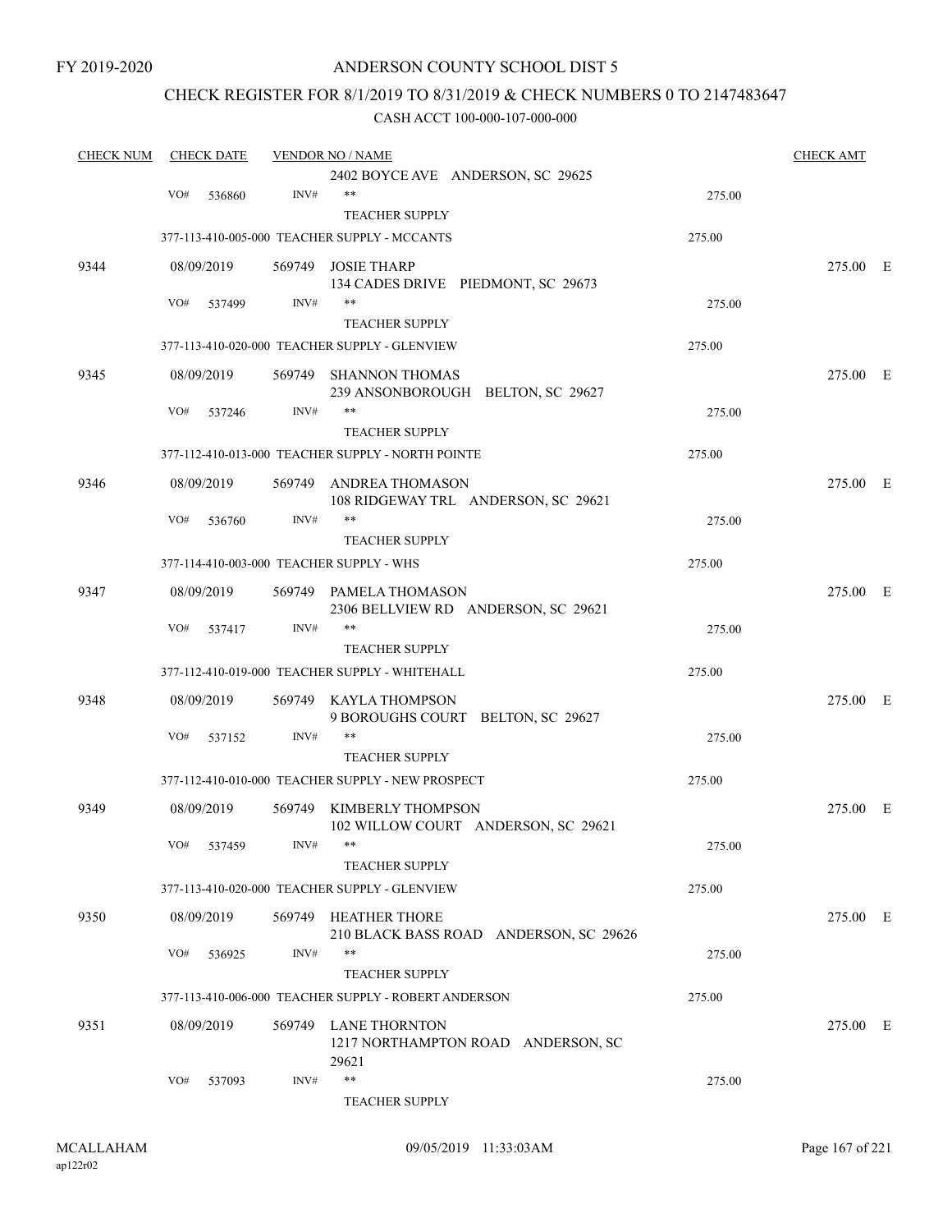FY 2019-2020

### ANDERSON COUNTY SCHOOL DIST 5

## CHECK REGISTER FOR 8/1/2019 TO 8/31/2019 & CHECK NUMBERS 0 TO 2147483647

| <b>CHECK NUM</b> |     | <b>CHECK DATE</b> |                  | <b>VENDOR NO / NAME</b>                                         |        | <b>CHECK AMT</b> |  |
|------------------|-----|-------------------|------------------|-----------------------------------------------------------------|--------|------------------|--|
|                  |     |                   |                  | 2402 BOYCE AVE ANDERSON, SC 29625                               |        |                  |  |
|                  | VO# | 536860            | INV#             | $***$                                                           | 275.00 |                  |  |
|                  |     |                   |                  | <b>TEACHER SUPPLY</b>                                           |        |                  |  |
|                  |     |                   |                  | 377-113-410-005-000 TEACHER SUPPLY - MCCANTS                    | 275.00 |                  |  |
| 9344             |     | 08/09/2019        |                  | 569749 JOSIE THARP                                              |        | 275.00 E         |  |
|                  | VO# | 537499            | INV#             | 134 CADES DRIVE PIEDMONT, SC 29673<br>$***$                     | 275.00 |                  |  |
|                  |     |                   |                  | <b>TEACHER SUPPLY</b>                                           |        |                  |  |
|                  |     |                   |                  | 377-113-410-020-000 TEACHER SUPPLY - GLENVIEW                   | 275.00 |                  |  |
| 9345             |     | 08/09/2019        |                  | 569749 SHANNON THOMAS<br>239 ANSONBOROUGH BELTON, SC 29627      |        | 275.00 E         |  |
|                  | VO# | 537246            | INV#             | **                                                              | 275.00 |                  |  |
|                  |     |                   |                  | <b>TEACHER SUPPLY</b>                                           |        |                  |  |
|                  |     |                   |                  | 377-112-410-013-000 TEACHER SUPPLY - NORTH POINTE               | 275.00 |                  |  |
| 9346             |     | 08/09/2019        | 569749           | ANDREA THOMASON                                                 |        | 275.00 E         |  |
|                  | VO# | 536760            | INV#             | 108 RIDGEWAY TRL ANDERSON, SC 29621<br>$***$                    | 275.00 |                  |  |
|                  |     |                   |                  | <b>TEACHER SUPPLY</b>                                           |        |                  |  |
|                  |     |                   |                  | 377-114-410-003-000 TEACHER SUPPLY - WHS                        | 275.00 |                  |  |
| 9347             |     | 08/09/2019        |                  | 569749 PAMELA THOMASON<br>2306 BELLVIEW RD ANDERSON, SC 29621   |        | 275.00 E         |  |
|                  | VO# | 537417            | INV#             | $***$                                                           | 275.00 |                  |  |
|                  |     |                   |                  | <b>TEACHER SUPPLY</b>                                           |        |                  |  |
|                  |     |                   |                  | 377-112-410-019-000 TEACHER SUPPLY - WHITEHALL                  | 275.00 |                  |  |
| 9348             |     | 08/09/2019        |                  | 569749 KAYLA THOMPSON                                           |        | 275.00 E         |  |
|                  |     |                   |                  | 9 BOROUGHS COURT BELTON, SC 29627                               |        |                  |  |
|                  | VO# | 537152            | INV#             | $***$                                                           | 275.00 |                  |  |
|                  |     |                   |                  | <b>TEACHER SUPPLY</b>                                           |        |                  |  |
|                  |     |                   |                  | 377-112-410-010-000 TEACHER SUPPLY - NEW PROSPECT               | 275.00 |                  |  |
| 9349             |     | 08/09/2019        |                  | 569749 KIMBERLY THOMPSON<br>102 WILLOW COURT ANDERSON, SC 29621 |        | 275.00 E         |  |
|                  |     | VO# 537459        | $\mathrm{INV}\#$ | **                                                              | 275.00 |                  |  |
|                  |     |                   |                  | <b>TEACHER SUPPLY</b>                                           |        |                  |  |
|                  |     |                   |                  | 377-113-410-020-000 TEACHER SUPPLY - GLENVIEW                   | 275.00 |                  |  |
| 9350             |     | 08/09/2019        |                  | 569749 HEATHER THORE<br>210 BLACK BASS ROAD ANDERSON, SC 29626  |        | 275.00 E         |  |
|                  | VO# | 536925            | INV#             | $***$                                                           | 275.00 |                  |  |
|                  |     |                   |                  | <b>TEACHER SUPPLY</b>                                           |        |                  |  |
|                  |     |                   |                  | 377-113-410-006-000 TEACHER SUPPLY - ROBERT ANDERSON            | 275.00 |                  |  |
| 9351             |     | 08/09/2019        |                  | 569749 LANE THORNTON                                            |        | 275.00 E         |  |
|                  |     |                   |                  | 1217 NORTHAMPTON ROAD ANDERSON, SC<br>29621                     |        |                  |  |
|                  | VO# | 537093            | INV#             | $***$                                                           | 275.00 |                  |  |
|                  |     |                   |                  | <b>TEACHER SUPPLY</b>                                           |        |                  |  |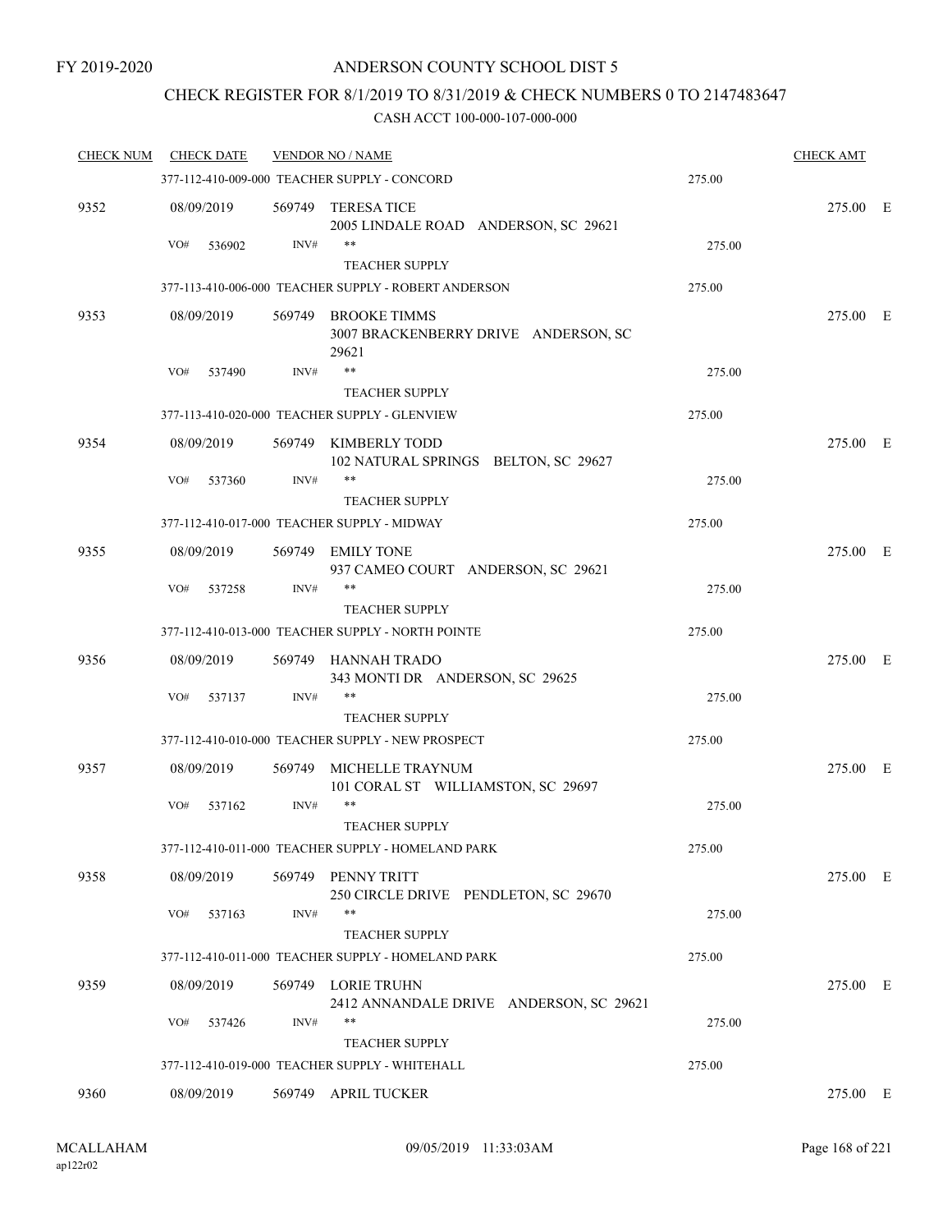## CHECK REGISTER FOR 8/1/2019 TO 8/31/2019 & CHECK NUMBERS 0 TO 2147483647

| <b>CHECK NUM</b> | <b>CHECK DATE</b> |        | <b>VENDOR NO / NAME</b>                                                     |        | <b>CHECK AMT</b> |  |
|------------------|-------------------|--------|-----------------------------------------------------------------------------|--------|------------------|--|
|                  |                   |        | 377-112-410-009-000 TEACHER SUPPLY - CONCORD                                | 275.00 |                  |  |
| 9352             | 08/09/2019        |        | 569749 TERESA TICE<br>2005 LINDALE ROAD ANDERSON, SC 29621<br>**            |        | 275.00 E         |  |
|                  | VO#<br>536902     | INV#   | <b>TEACHER SUPPLY</b>                                                       | 275.00 |                  |  |
|                  |                   |        | 377-113-410-006-000 TEACHER SUPPLY - ROBERT ANDERSON                        | 275.00 |                  |  |
| 9353             | 08/09/2019        |        | 569749 BROOKE TIMMS                                                         |        | 275.00 E         |  |
|                  |                   |        | 3007 BRACKENBERRY DRIVE ANDERSON, SC<br>29621                               |        |                  |  |
|                  | VO#<br>537490     | INV#   | **                                                                          | 275.00 |                  |  |
|                  |                   |        | <b>TEACHER SUPPLY</b>                                                       |        |                  |  |
|                  |                   |        | 377-113-410-020-000 TEACHER SUPPLY - GLENVIEW                               | 275.00 |                  |  |
| 9354             | 08/09/2019        |        | 569749 KIMBERLY TODD<br>102 NATURAL SPRINGS BELTON, SC 29627<br>**          |        | 275.00 E         |  |
|                  | VO#<br>537360     | INV#   | <b>TEACHER SUPPLY</b>                                                       | 275.00 |                  |  |
|                  |                   |        | 377-112-410-017-000 TEACHER SUPPLY - MIDWAY                                 | 275.00 |                  |  |
| 9355             | 08/09/2019        |        | 569749 EMILY TONE                                                           |        | 275.00 E         |  |
|                  |                   |        | 937 CAMEO COURT ANDERSON, SC 29621                                          |        |                  |  |
|                  | VO#<br>537258     | INV#   | **                                                                          | 275.00 |                  |  |
|                  |                   |        | <b>TEACHER SUPPLY</b>                                                       |        |                  |  |
|                  |                   |        | 377-112-410-013-000 TEACHER SUPPLY - NORTH POINTE                           | 275.00 |                  |  |
| 9356             | 08/09/2019        |        | 569749 HANNAH TRADO<br>343 MONTI DR ANDERSON, SC 29625                      |        | 275.00 E         |  |
|                  | VO#<br>537137     | INV#   | **<br><b>TEACHER SUPPLY</b>                                                 | 275.00 |                  |  |
|                  |                   |        | 377-112-410-010-000 TEACHER SUPPLY - NEW PROSPECT                           | 275.00 |                  |  |
| 9357             | 08/09/2019        | 569749 | MICHELLE TRAYNUM                                                            |        | 275.00 E         |  |
|                  |                   |        | 101 CORAL ST WILLIAMSTON, SC 29697                                          |        |                  |  |
|                  | VO#<br>537162     | INV#   | **                                                                          | 275.00 |                  |  |
|                  |                   |        | <b>TEACHER SUPPLY</b><br>377-112-410-011-000 TEACHER SUPPLY - HOMELAND PARK | 275.00 |                  |  |
|                  |                   |        |                                                                             |        |                  |  |
| 9358             | 08/09/2019        |        | 569749 PENNY TRITT<br>250 CIRCLE DRIVE PENDLETON, SC 29670                  |        | 275.00 E         |  |
|                  | VO#<br>537163     | INV#   | **                                                                          | 275.00 |                  |  |
|                  |                   |        | <b>TEACHER SUPPLY</b>                                                       |        |                  |  |
|                  |                   |        | 377-112-410-011-000 TEACHER SUPPLY - HOMELAND PARK                          | 275.00 |                  |  |
| 9359             | 08/09/2019        |        | 569749 LORIE TRUHN<br>2412 ANNANDALE DRIVE ANDERSON, SC 29621               |        | 275.00 E         |  |
|                  | VO#<br>537426     | INV#   | **                                                                          | 275.00 |                  |  |
|                  |                   |        | <b>TEACHER SUPPLY</b>                                                       |        |                  |  |
|                  |                   |        | 377-112-410-019-000 TEACHER SUPPLY - WHITEHALL                              | 275.00 |                  |  |
| 9360             | 08/09/2019        |        | 569749 APRIL TUCKER                                                         |        | 275.00 E         |  |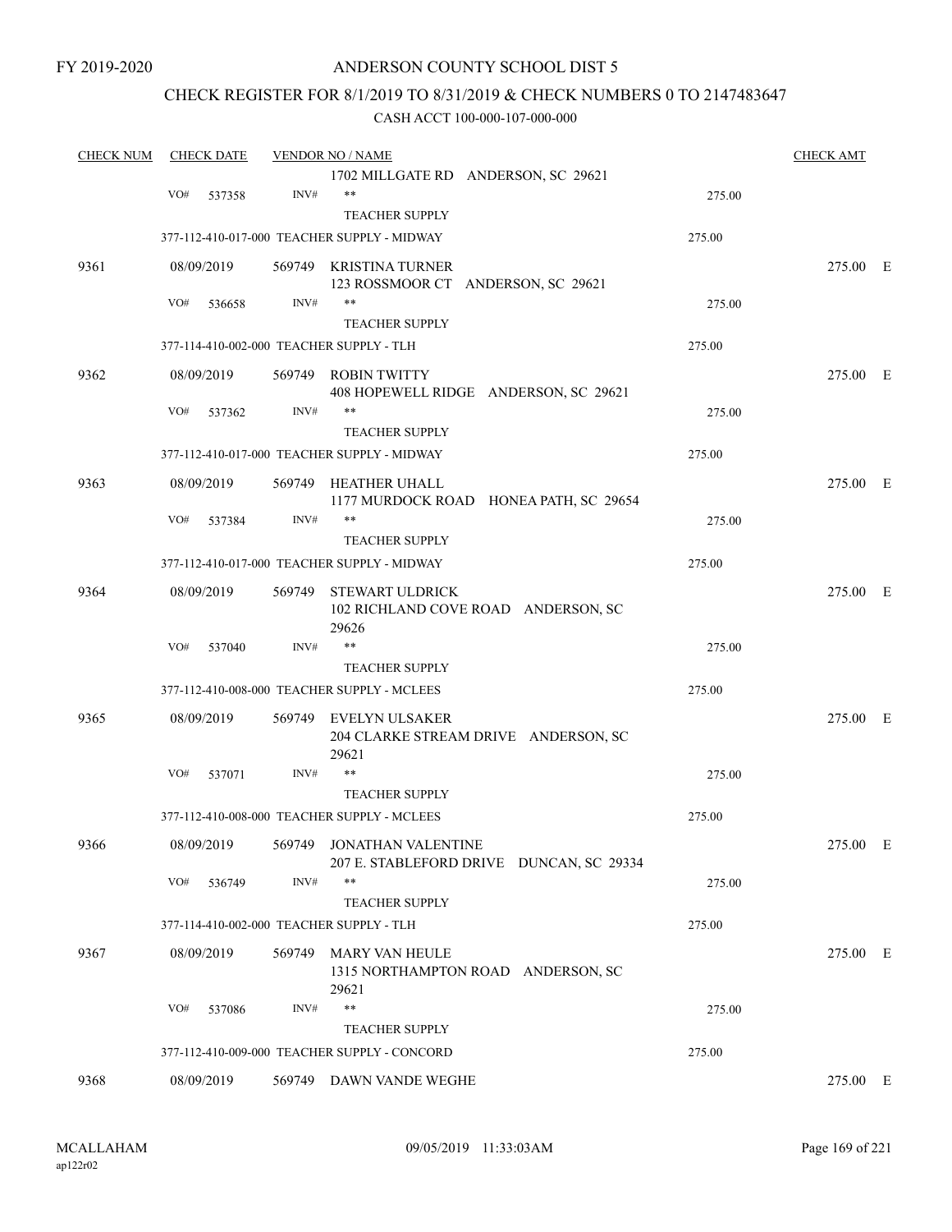FY 2019-2020

### ANDERSON COUNTY SCHOOL DIST 5

### CHECK REGISTER FOR 8/1/2019 TO 8/31/2019 & CHECK NUMBERS 0 TO 2147483647

| <b>CHECK NUM</b> |     | <b>CHECK DATE</b> |        | <b>VENDOR NO / NAME</b>                                           |                                          |        | <b>CHECK AMT</b> |  |
|------------------|-----|-------------------|--------|-------------------------------------------------------------------|------------------------------------------|--------|------------------|--|
|                  | VO# | 537358            | INV#   | **                                                                | 1702 MILLGATE RD ANDERSON, SC 29621      | 275.00 |                  |  |
|                  |     |                   |        | <b>TEACHER SUPPLY</b>                                             |                                          |        |                  |  |
|                  |     |                   |        | 377-112-410-017-000 TEACHER SUPPLY - MIDWAY                       |                                          | 275.00 |                  |  |
| 9361             |     | 08/09/2019        |        | 569749 KRISTINA TURNER                                            | 123 ROSSMOOR CT ANDERSON, SC 29621       |        | 275.00 E         |  |
|                  | VO# | 536658            | INV#   | $***$                                                             |                                          | 275.00 |                  |  |
|                  |     |                   |        | <b>TEACHER SUPPLY</b>                                             |                                          |        |                  |  |
|                  |     |                   |        | 377-114-410-002-000 TEACHER SUPPLY - TLH                          |                                          | 275.00 |                  |  |
| 9362             |     | 08/09/2019        |        | 569749 ROBIN TWITTY                                               | 408 HOPEWELL RIDGE ANDERSON, SC 29621    |        | 275.00 E         |  |
|                  | VO# | 537362            | INV#   | **                                                                |                                          | 275.00 |                  |  |
|                  |     |                   |        | <b>TEACHER SUPPLY</b>                                             |                                          |        |                  |  |
|                  |     |                   |        | 377-112-410-017-000 TEACHER SUPPLY - MIDWAY                       |                                          | 275.00 |                  |  |
| 9363             |     | 08/09/2019        |        | 569749 HEATHER UHALL                                              | 1177 MURDOCK ROAD HONEA PATH, SC 29654   |        | 275.00 E         |  |
|                  | VO# | 537384            | INV#   | **                                                                |                                          | 275.00 |                  |  |
|                  |     |                   |        | <b>TEACHER SUPPLY</b>                                             |                                          |        |                  |  |
|                  |     |                   |        | 377-112-410-017-000 TEACHER SUPPLY - MIDWAY                       |                                          | 275.00 |                  |  |
| 9364             |     | 08/09/2019        | 569749 | STEWART ULDRICK<br>29626                                          | 102 RICHLAND COVE ROAD ANDERSON, SC      |        | 275.00 E         |  |
|                  | VO# | 537040            | INV#   | **                                                                |                                          | 275.00 |                  |  |
|                  |     |                   |        | <b>TEACHER SUPPLY</b>                                             |                                          |        |                  |  |
|                  |     |                   |        | 377-112-410-008-000 TEACHER SUPPLY - MCLEES                       |                                          | 275.00 |                  |  |
| 9365             |     | 08/09/2019        |        | 569749 EVELYN ULSAKER<br>29621                                    | 204 CLARKE STREAM DRIVE ANDERSON, SC     |        | 275.00 E         |  |
|                  | VO# | 537071            | INV#   | $***$                                                             |                                          | 275.00 |                  |  |
|                  |     |                   |        | <b>TEACHER SUPPLY</b>                                             |                                          |        |                  |  |
|                  |     |                   |        | 377-112-410-008-000 TEACHER SUPPLY - MCLEES                       |                                          | 275.00 |                  |  |
| 9366             |     |                   |        | 08/09/2019 569749 JONATHAN VALENTINE                              | 207 E. STABLEFORD DRIVE DUNCAN, SC 29334 |        | 275.00 E         |  |
|                  | VO# | 536749            | INV#   | **                                                                |                                          | 275.00 |                  |  |
|                  |     |                   |        | <b>TEACHER SUPPLY</b><br>377-114-410-002-000 TEACHER SUPPLY - TLH |                                          | 275.00 |                  |  |
|                  |     |                   |        |                                                                   |                                          |        |                  |  |
| 9367             |     | 08/09/2019        |        | 569749 MARY VAN HEULE<br>29621                                    | 1315 NORTHAMPTON ROAD ANDERSON, SC       |        | 275.00 E         |  |
|                  | VO# | 537086            | INV#   | **                                                                |                                          | 275.00 |                  |  |
|                  |     |                   |        | <b>TEACHER SUPPLY</b>                                             |                                          |        |                  |  |
|                  |     |                   |        | 377-112-410-009-000 TEACHER SUPPLY - CONCORD                      |                                          | 275.00 |                  |  |
| 9368             |     | 08/09/2019        |        | 569749 DAWN VANDE WEGHE                                           |                                          |        | 275.00 E         |  |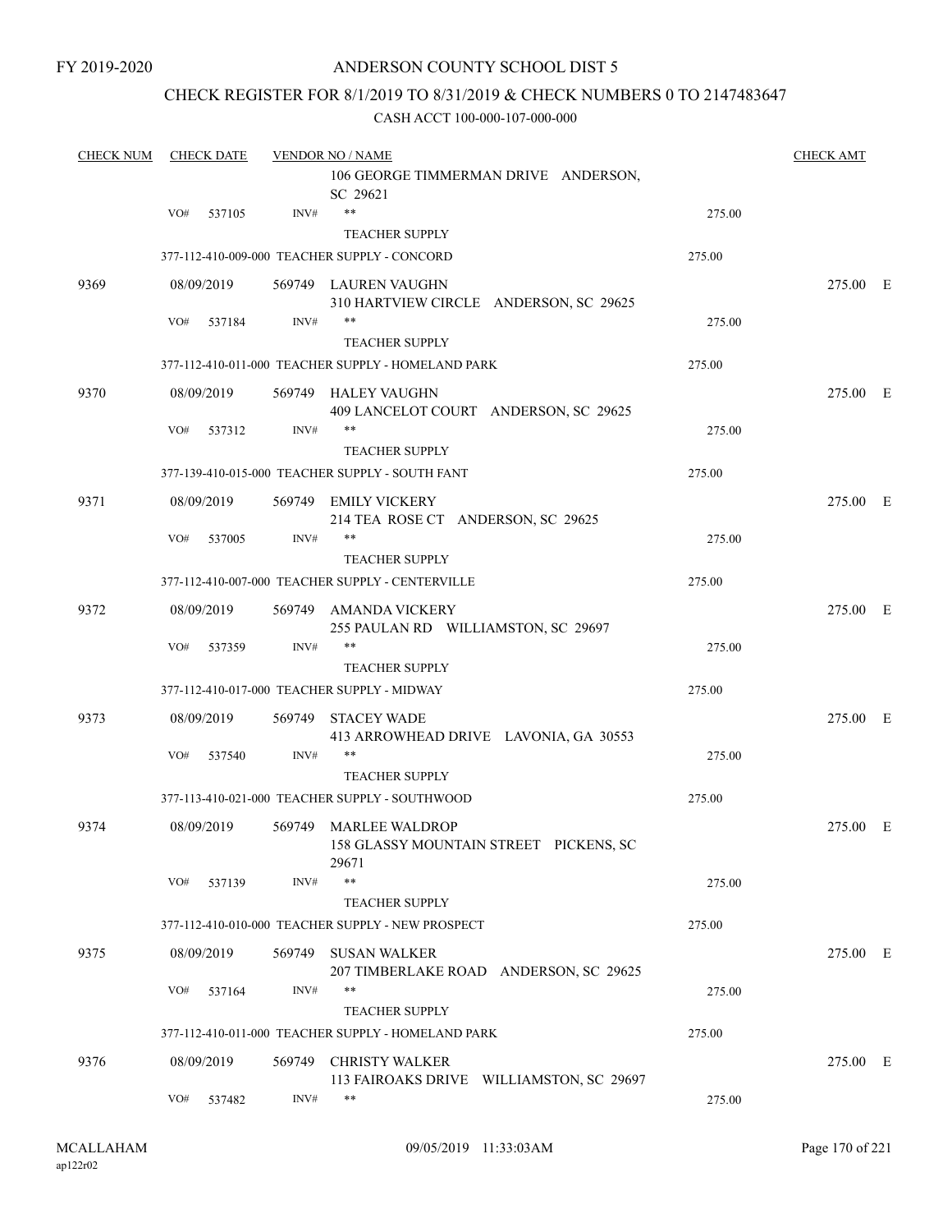### CHECK REGISTER FOR 8/1/2019 TO 8/31/2019 & CHECK NUMBERS 0 TO 2147483647

| <b>CHECK NUM</b> | <b>CHECK DATE</b> |        | <b>VENDOR NO / NAME</b>                                                  |        | <b>CHECK AMT</b> |  |
|------------------|-------------------|--------|--------------------------------------------------------------------------|--------|------------------|--|
|                  |                   |        | 106 GEORGE TIMMERMAN DRIVE ANDERSON,<br>SC 29621                         |        |                  |  |
|                  | VO#<br>537105     | INV#   | $\ast\ast$                                                               | 275.00 |                  |  |
|                  |                   |        | <b>TEACHER SUPPLY</b>                                                    |        |                  |  |
|                  |                   |        | 377-112-410-009-000 TEACHER SUPPLY - CONCORD                             | 275.00 |                  |  |
| 9369             | 08/09/2019        |        | 569749 LAUREN VAUGHN<br>310 HARTVIEW CIRCLE ANDERSON, SC 29625           |        | 275.00 E         |  |
|                  | VO#<br>537184     | INV#   | $***$<br><b>TEACHER SUPPLY</b>                                           | 275.00 |                  |  |
|                  |                   |        | 377-112-410-011-000 TEACHER SUPPLY - HOMELAND PARK                       | 275.00 |                  |  |
|                  |                   |        |                                                                          |        |                  |  |
| 9370             | 08/09/2019        |        | 569749 HALEY VAUGHN<br>409 LANCELOT COURT ANDERSON, SC 29625             |        | 275.00 E         |  |
|                  | VO#<br>537312     | INV#   | **                                                                       | 275.00 |                  |  |
|                  |                   |        | <b>TEACHER SUPPLY</b>                                                    |        |                  |  |
|                  |                   |        | 377-139-410-015-000 TEACHER SUPPLY - SOUTH FANT                          | 275.00 |                  |  |
| 9371             | 08/09/2019        |        | 569749 EMILY VICKERY<br>214 TEA ROSE CT ANDERSON, SC 29625               |        | 275.00 E         |  |
|                  | VO#<br>537005     | INV#   | **                                                                       | 275.00 |                  |  |
|                  |                   |        | <b>TEACHER SUPPLY</b>                                                    |        |                  |  |
|                  |                   |        | 377-112-410-007-000 TEACHER SUPPLY - CENTERVILLE                         | 275.00 |                  |  |
| 9372             | 08/09/2019        | 569749 | AMANDA VICKERY<br>255 PAULAN RD WILLIAMSTON, SC 29697                    |        | 275.00 E         |  |
|                  | VO#<br>537359     | INV#   | **                                                                       | 275.00 |                  |  |
|                  |                   |        | <b>TEACHER SUPPLY</b>                                                    |        |                  |  |
|                  |                   |        | 377-112-410-017-000 TEACHER SUPPLY - MIDWAY                              | 275.00 |                  |  |
| 9373             | 08/09/2019        | 569749 | <b>STACEY WADE</b><br>413 ARROWHEAD DRIVE LAVONIA, GA 30553              |        | 275.00 E         |  |
|                  | VO#<br>537540     | INV#   | $***$                                                                    | 275.00 |                  |  |
|                  |                   |        | <b>TEACHER SUPPLY</b>                                                    |        |                  |  |
|                  |                   |        | 377-113-410-021-000 TEACHER SUPPLY - SOUTHWOOD                           | 275.00 |                  |  |
| 9374             | 08/09/2019        |        | 569749 MARLEE WALDROP<br>158 GLASSY MOUNTAIN STREET PICKENS, SC<br>29671 |        | 275.00 E         |  |
|                  | VO#<br>537139     | INV#   | $***$                                                                    | 275.00 |                  |  |
|                  |                   |        | <b>TEACHER SUPPLY</b>                                                    |        |                  |  |
|                  |                   |        | 377-112-410-010-000 TEACHER SUPPLY - NEW PROSPECT                        | 275.00 |                  |  |
| 9375             | 08/09/2019        | 569749 | <b>SUSAN WALKER</b>                                                      |        | 275.00 E         |  |
|                  |                   |        | 207 TIMBERLAKE ROAD ANDERSON, SC 29625                                   |        |                  |  |
|                  | VO#<br>537164     | INV#   | $***$<br>TEACHER SUPPLY                                                  | 275.00 |                  |  |
|                  |                   |        | 377-112-410-011-000 TEACHER SUPPLY - HOMELAND PARK                       | 275.00 |                  |  |
| 9376             |                   |        |                                                                          |        |                  |  |
|                  | 08/09/2019        | 569749 | <b>CHRISTY WALKER</b><br>113 FAIROAKS DRIVE WILLIAMSTON, SC 29697        |        | 275.00 E         |  |
|                  | VO#<br>537482     | INV#   | $***$                                                                    | 275.00 |                  |  |
|                  |                   |        |                                                                          |        |                  |  |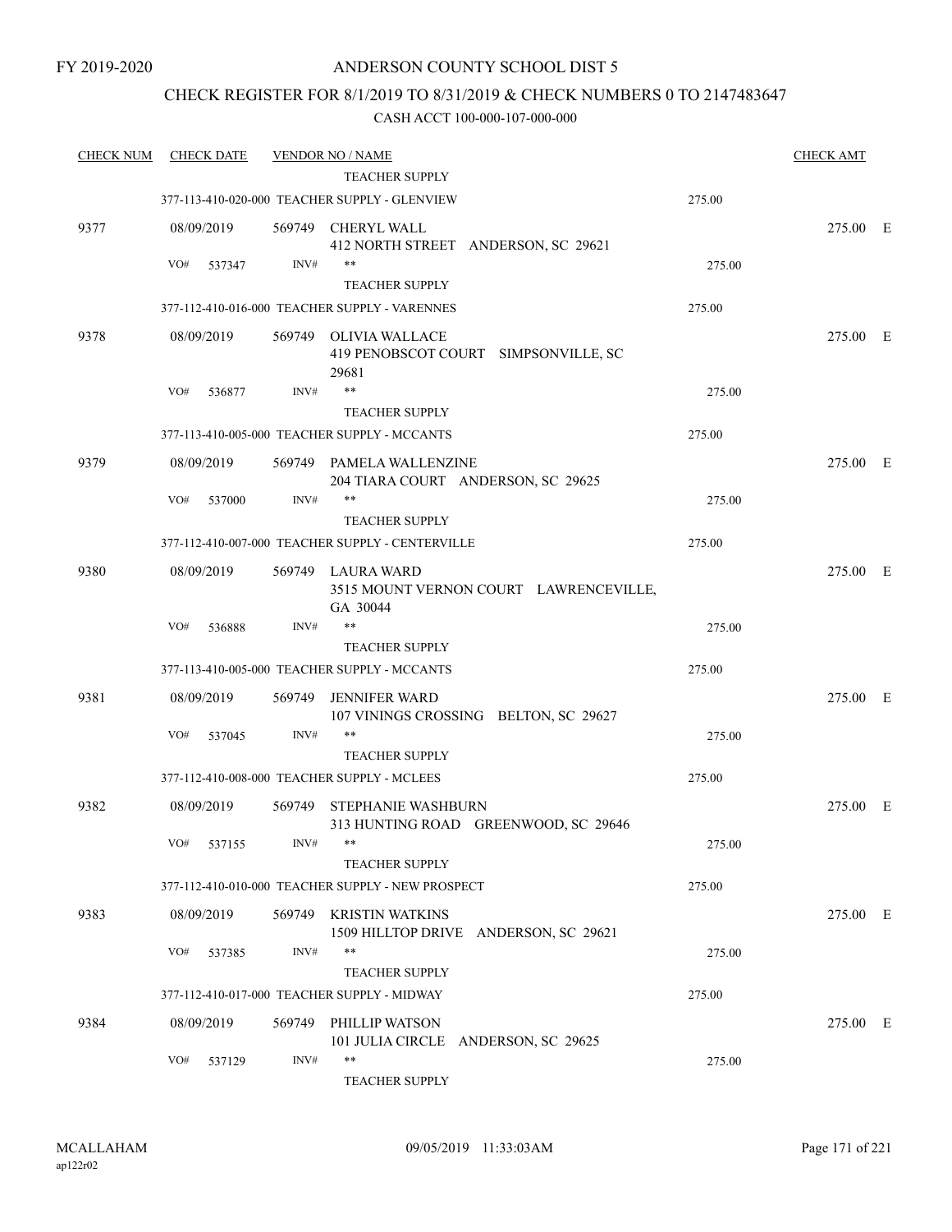## CHECK REGISTER FOR 8/1/2019 TO 8/31/2019 & CHECK NUMBERS 0 TO 2147483647

| <b>CHECK NUM</b> | <b>CHECK DATE</b> |        | <b>VENDOR NO / NAME</b>                                                 |        | <b>CHECK AMT</b> |  |
|------------------|-------------------|--------|-------------------------------------------------------------------------|--------|------------------|--|
|                  |                   |        | TEACHER SUPPLY                                                          |        |                  |  |
|                  |                   |        | 377-113-410-020-000 TEACHER SUPPLY - GLENVIEW                           | 275.00 |                  |  |
| 9377             | 08/09/2019        |        | 569749 CHERYL WALL<br>412 NORTH STREET ANDERSON, SC 29621               |        | 275.00 E         |  |
|                  | VO#<br>537347     | INV#   | $***$                                                                   | 275.00 |                  |  |
|                  |                   |        | <b>TEACHER SUPPLY</b>                                                   |        |                  |  |
|                  |                   |        | 377-112-410-016-000 TEACHER SUPPLY - VARENNES                           | 275.00 |                  |  |
| 9378             | 08/09/2019        | 569749 | <b>OLIVIA WALLACE</b><br>419 PENOBSCOT COURT SIMPSONVILLE, SC<br>29681  |        | 275.00 E         |  |
|                  | VO#<br>536877     | INV#   | **                                                                      | 275.00 |                  |  |
|                  |                   |        | <b>TEACHER SUPPLY</b>                                                   |        |                  |  |
|                  |                   |        | 377-113-410-005-000 TEACHER SUPPLY - MCCANTS                            | 275.00 |                  |  |
| 9379             | 08/09/2019        |        | 569749 PAMELA WALLENZINE<br>204 TIARA COURT ANDERSON, SC 29625          |        | 275.00 E         |  |
|                  | VO#<br>537000     | INV#   | $***$                                                                   | 275.00 |                  |  |
|                  |                   |        | <b>TEACHER SUPPLY</b>                                                   |        |                  |  |
|                  |                   |        | 377-112-410-007-000 TEACHER SUPPLY - CENTERVILLE                        | 275.00 |                  |  |
| 9380             | 08/09/2019        |        | 569749 LAURA WARD<br>3515 MOUNT VERNON COURT LAWRENCEVILLE,<br>GA 30044 |        | 275.00 E         |  |
|                  | VO#<br>536888     | INV#   | $***$                                                                   | 275.00 |                  |  |
|                  |                   |        | <b>TEACHER SUPPLY</b>                                                   |        |                  |  |
|                  |                   |        | 377-113-410-005-000 TEACHER SUPPLY - MCCANTS                            | 275.00 |                  |  |
| 9381             | 08/09/2019        | 569749 | <b>JENNIFER WARD</b><br>107 VININGS CROSSING BELTON, SC 29627           |        | 275.00 E         |  |
|                  | VO#<br>537045     | INV#   | **                                                                      | 275.00 |                  |  |
|                  |                   |        | <b>TEACHER SUPPLY</b>                                                   |        |                  |  |
|                  |                   |        | 377-112-410-008-000 TEACHER SUPPLY - MCLEES                             | 275.00 |                  |  |
| 9382             | 08/09/2019        | 569749 | <b>STEPHANIE WASHBURN</b><br>313 HUNTING ROAD GREENWOOD, SC 29646       |        | 275.00 E         |  |
|                  | VO# 537155        |        | $INV#$ **<br><b>TEACHER SUPPLY</b>                                      | 275.00 |                  |  |
|                  |                   |        | 377-112-410-010-000 TEACHER SUPPLY - NEW PROSPECT                       | 275.00 |                  |  |
|                  |                   |        |                                                                         |        |                  |  |
| 9383             | 08/09/2019        |        | 569749 KRISTIN WATKINS<br>1509 HILLTOP DRIVE ANDERSON, SC 29621         |        | 275.00 E         |  |
|                  | VO#<br>537385     | INV#   | $***$<br><b>TEACHER SUPPLY</b>                                          | 275.00 |                  |  |
|                  |                   |        | 377-112-410-017-000 TEACHER SUPPLY - MIDWAY                             | 275.00 |                  |  |
| 9384             | 08/09/2019        |        | 569749 PHILLIP WATSON<br>101 JULIA CIRCLE ANDERSON, SC 29625            |        | 275.00 E         |  |
|                  | VO#<br>537129     | INV#   | $***$<br>TEACHER SUPPLY                                                 | 275.00 |                  |  |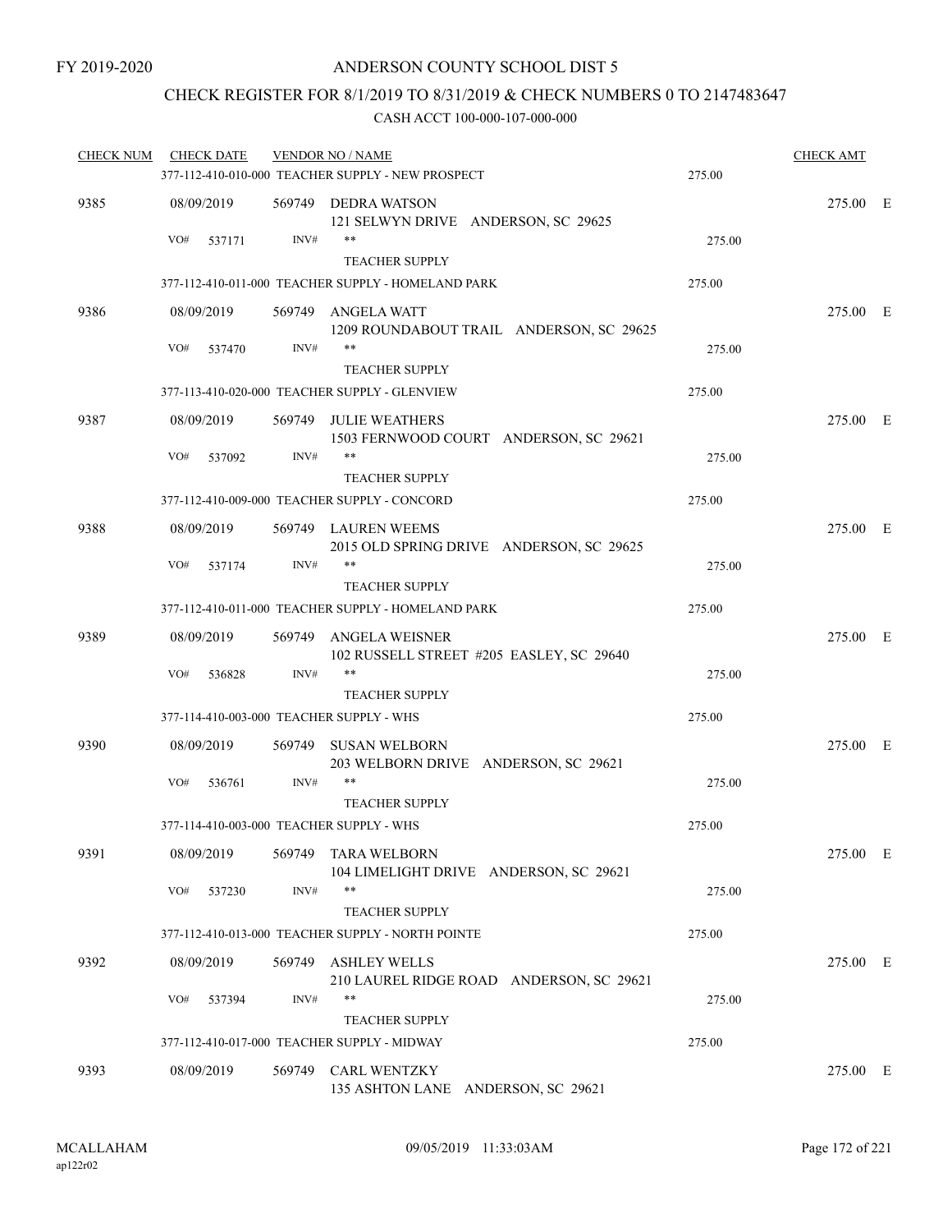## CHECK REGISTER FOR 8/1/2019 TO 8/31/2019 & CHECK NUMBERS 0 TO 2147483647

| <b>CHECK NUM</b> | <b>CHECK DATE</b>                        |        | <b>VENDOR NO / NAME</b>                                               |        | <b>CHECK AMT</b> |  |
|------------------|------------------------------------------|--------|-----------------------------------------------------------------------|--------|------------------|--|
|                  |                                          |        | 377-112-410-010-000 TEACHER SUPPLY - NEW PROSPECT                     | 275.00 |                  |  |
| 9385             | 08/09/2019                               |        | 569749 DEDRA WATSON<br>121 SELWYN DRIVE ANDERSON, SC 29625            |        | 275.00 E         |  |
|                  | VO#<br>537171                            | INV#   | **<br>TEACHER SUPPLY                                                  | 275.00 |                  |  |
|                  |                                          |        | 377-112-410-011-000 TEACHER SUPPLY - HOMELAND PARK                    | 275.00 |                  |  |
|                  |                                          |        |                                                                       |        |                  |  |
| 9386             | 08/09/2019<br>VO#<br>537470              | INV#   | 569749 ANGELA WATT<br>1209 ROUNDABOUT TRAIL ANDERSON, SC 29625<br>**  | 275.00 | 275.00 E         |  |
|                  |                                          |        | <b>TEACHER SUPPLY</b>                                                 |        |                  |  |
|                  |                                          |        | 377-113-410-020-000 TEACHER SUPPLY - GLENVIEW                         | 275.00 |                  |  |
|                  |                                          |        |                                                                       |        |                  |  |
| 9387             | 08/09/2019                               |        | 569749 JULIE WEATHERS<br>1503 FERNWOOD COURT ANDERSON, SC 29621<br>** |        | 275.00 E         |  |
|                  | VO#<br>537092                            | INV#   |                                                                       | 275.00 |                  |  |
|                  |                                          |        | <b>TEACHER SUPPLY</b>                                                 |        |                  |  |
|                  |                                          |        | 377-112-410-009-000 TEACHER SUPPLY - CONCORD                          | 275.00 |                  |  |
| 9388             | 08/09/2019                               |        | 569749 LAUREN WEEMS<br>2015 OLD SPRING DRIVE ANDERSON, SC 29625       |        | 275.00 E         |  |
|                  | VO#<br>537174                            | INV#   | **                                                                    | 275.00 |                  |  |
|                  |                                          |        | <b>TEACHER SUPPLY</b>                                                 |        |                  |  |
|                  |                                          |        | 377-112-410-011-000 TEACHER SUPPLY - HOMELAND PARK                    | 275.00 |                  |  |
| 9389             | 08/09/2019                               |        | 569749 ANGELA WEISNER<br>102 RUSSELL STREET #205 EASLEY, SC 29640     |        | 275.00 E         |  |
|                  | VO#<br>536828                            | INV#   | **                                                                    | 275.00 |                  |  |
|                  |                                          |        | <b>TEACHER SUPPLY</b>                                                 |        |                  |  |
|                  | 377-114-410-003-000 TEACHER SUPPLY - WHS |        |                                                                       | 275.00 |                  |  |
| 9390             | 08/09/2019                               |        | 569749 SUSAN WELBORN<br>203 WELBORN DRIVE ANDERSON, SC 29621          |        | 275.00 E         |  |
|                  | VO#<br>536761                            | INV#   | **                                                                    | 275.00 |                  |  |
|                  |                                          |        | <b>TEACHER SUPPLY</b>                                                 |        |                  |  |
|                  | 377-114-410-003-000 TEACHER SUPPLY - WHS |        |                                                                       | 275.00 |                  |  |
| 9391             | 08/09/2019                               |        | 569749 TARA WELBORN<br>104 LIMELIGHT DRIVE ANDERSON, SC 29621         |        | 275.00 E         |  |
|                  | VO#<br>537230                            | INV#   | **<br><b>TEACHER SUPPLY</b>                                           | 275.00 |                  |  |
|                  |                                          |        | 377-112-410-013-000 TEACHER SUPPLY - NORTH POINTE                     | 275.00 |                  |  |
| 9392             | 08/09/2019                               | 569749 | <b>ASHLEY WELLS</b><br>210 LAUREL RIDGE ROAD ANDERSON, SC 29621       |        | 275.00 E         |  |
|                  | VO#<br>537394                            | INV#   | **<br><b>TEACHER SUPPLY</b>                                           | 275.00 |                  |  |
|                  |                                          |        | 377-112-410-017-000 TEACHER SUPPLY - MIDWAY                           | 275.00 |                  |  |
| 9393             | 08/09/2019                               | 569749 | CARL WENTZKY<br>135 ASHTON LANE ANDERSON, SC 29621                    |        | 275.00 E         |  |
|                  |                                          |        |                                                                       |        |                  |  |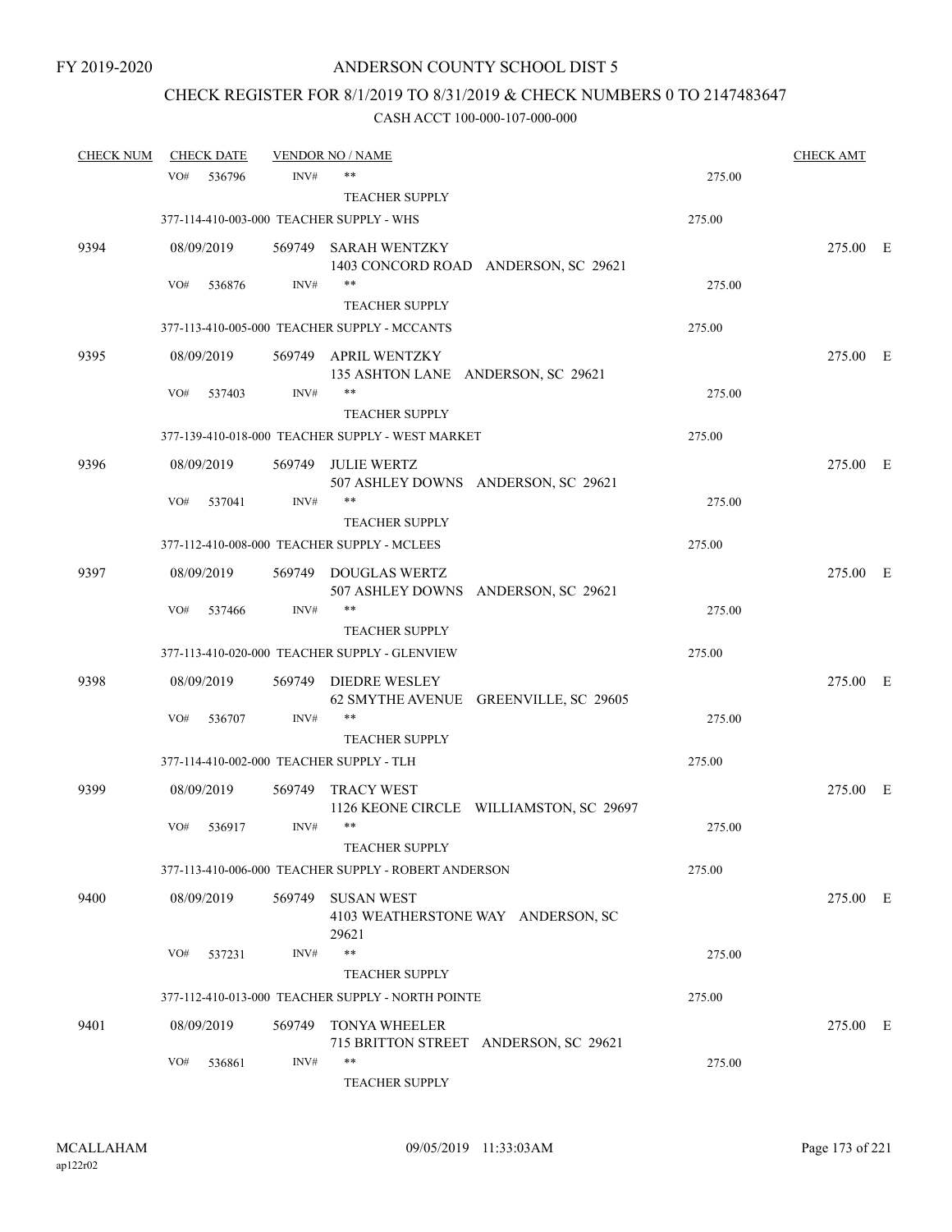# CHECK REGISTER FOR 8/1/2019 TO 8/31/2019 & CHECK NUMBERS 0 TO 2147483647

| <b>CHECK NUM</b> |                   | <b>CHECK DATE</b> |        | <b>VENDOR NO / NAME</b>                                              |        | <b>CHECK AMT</b> |  |
|------------------|-------------------|-------------------|--------|----------------------------------------------------------------------|--------|------------------|--|
|                  | VO#               | 536796            | INV#   | $***$                                                                | 275.00 |                  |  |
|                  |                   |                   |        | <b>TEACHER SUPPLY</b>                                                |        |                  |  |
|                  |                   |                   |        | 377-114-410-003-000 TEACHER SUPPLY - WHS                             | 275.00 |                  |  |
| 9394             | 08/09/2019        |                   |        | 569749 SARAH WENTZKY<br>1403 CONCORD ROAD ANDERSON, SC 29621         |        | 275.00 E         |  |
|                  | VO#               | 536876            | INV#   | $***$                                                                | 275.00 |                  |  |
|                  |                   |                   |        | <b>TEACHER SUPPLY</b>                                                |        |                  |  |
|                  |                   |                   |        | 377-113-410-005-000 TEACHER SUPPLY - MCCANTS                         | 275.00 |                  |  |
| 9395             | 08/09/2019        |                   |        | 569749 APRIL WENTZKY<br>135 ASHTON LANE ANDERSON, SC 29621           |        | 275.00 E         |  |
|                  | VO#               | 537403            | INV#   | $***$<br><b>TEACHER SUPPLY</b>                                       | 275.00 |                  |  |
|                  |                   |                   |        | 377-139-410-018-000 TEACHER SUPPLY - WEST MARKET                     | 275.00 |                  |  |
| 9396             | 08/09/2019        |                   | 569749 | <b>JULIE WERTZ</b>                                                   |        | 275.00 E         |  |
|                  | VO#               | 537041            | INV#   | 507 ASHLEY DOWNS ANDERSON, SC 29621<br><b>TEACHER SUPPLY</b>         | 275.00 |                  |  |
|                  |                   |                   |        | 377-112-410-008-000 TEACHER SUPPLY - MCLEES                          | 275.00 |                  |  |
|                  |                   |                   |        |                                                                      |        |                  |  |
| 9397             | 08/09/2019<br>VO# |                   |        | 569749 DOUGLAS WERTZ<br>507 ASHLEY DOWNS ANDERSON, SC 29621<br>$***$ |        | 275.00 E         |  |
|                  |                   | 537466            | INV#   | <b>TEACHER SUPPLY</b>                                                | 275.00 |                  |  |
|                  |                   |                   |        | 377-113-410-020-000 TEACHER SUPPLY - GLENVIEW                        | 275.00 |                  |  |
|                  |                   |                   |        |                                                                      |        |                  |  |
| 9398             | 08/09/2019        |                   | 569749 | <b>DIEDRE WESLEY</b><br>62 SMYTHE AVENUE GREENVILLE, SC 29605        |        | 275.00 E         |  |
|                  | VO#               | 536707            | INV#   | $***$                                                                | 275.00 |                  |  |
|                  |                   |                   |        | <b>TEACHER SUPPLY</b><br>377-114-410-002-000 TEACHER SUPPLY - TLH    | 275.00 |                  |  |
|                  |                   |                   |        |                                                                      |        |                  |  |
| 9399             | 08/09/2019        |                   | 569749 | <b>TRACY WEST</b><br>1126 KEONE CIRCLE WILLIAMSTON, SC 29697         |        | 275.00 E         |  |
|                  | VO#               | 536917            | INV#   | $***$                                                                | 275.00 |                  |  |
|                  |                   |                   |        | <b>TEACHER SUPPLY</b>                                                |        |                  |  |
|                  |                   |                   |        | 377-113-410-006-000 TEACHER SUPPLY - ROBERT ANDERSON                 | 275.00 |                  |  |
| 9400             | 08/09/2019        |                   | 569749 | SUSAN WEST<br>4103 WEATHERSTONE WAY ANDERSON, SC<br>29621            |        | 275.00 E         |  |
|                  | VO#               | 537231            | INV#   | $***$                                                                | 275.00 |                  |  |
|                  |                   |                   |        | <b>TEACHER SUPPLY</b>                                                |        |                  |  |
|                  |                   |                   |        | 377-112-410-013-000 TEACHER SUPPLY - NORTH POINTE                    | 275.00 |                  |  |
| 9401             | 08/09/2019        |                   | 569749 | <b>TONYA WHEELER</b><br>715 BRITTON STREET ANDERSON, SC 29621        |        | 275.00 E         |  |
|                  | VO#               | 536861            | INV#   | $***$<br>TEACHER SUPPLY                                              | 275.00 |                  |  |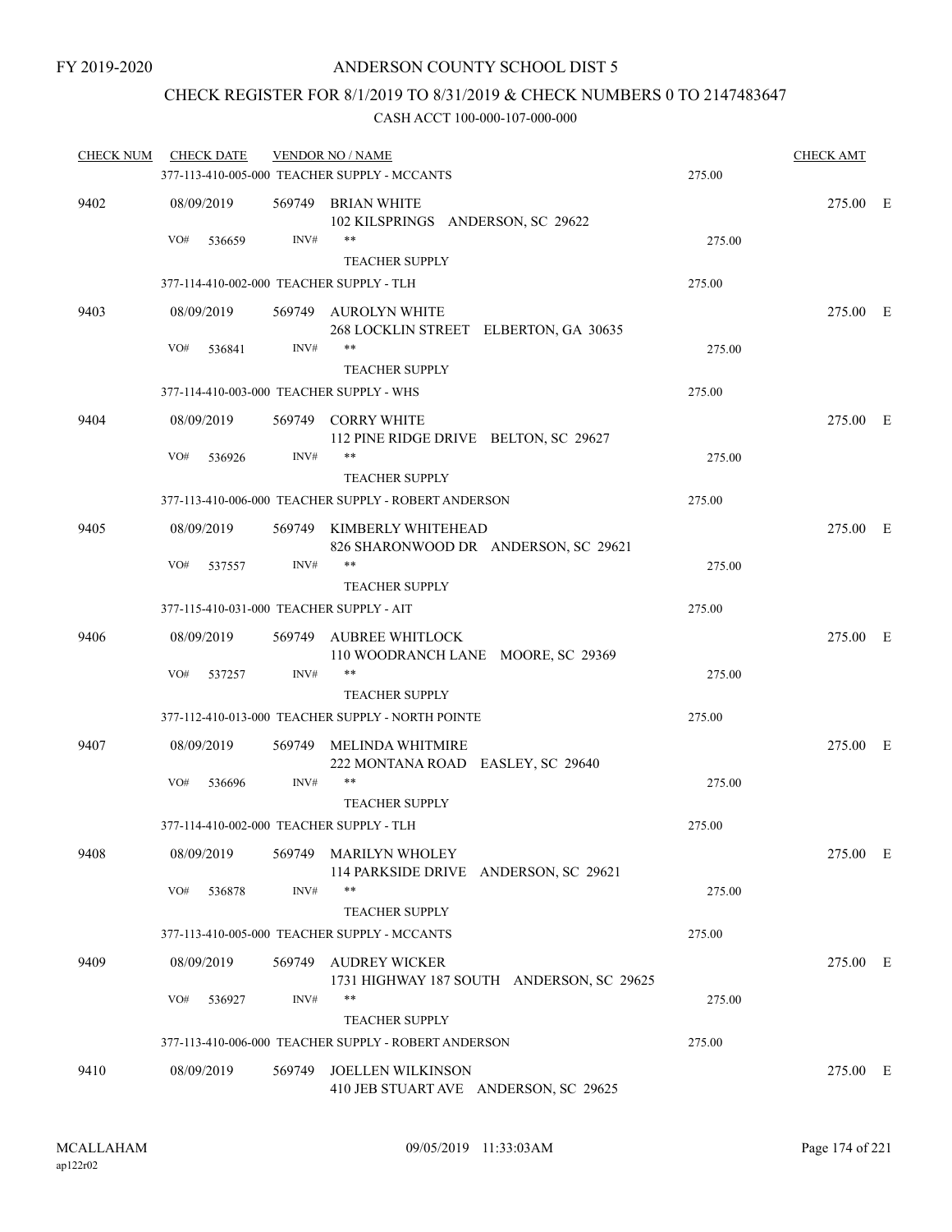## CHECK REGISTER FOR 8/1/2019 TO 8/31/2019 & CHECK NUMBERS 0 TO 2147483647

| <b>CHECK NUM</b> | <b>CHECK DATE</b>                        |        | <b>VENDOR NO / NAME</b>                                           |        | <b>CHECK AMT</b> |  |
|------------------|------------------------------------------|--------|-------------------------------------------------------------------|--------|------------------|--|
|                  |                                          |        | 377-113-410-005-000 TEACHER SUPPLY - MCCANTS                      | 275.00 |                  |  |
| 9402             | 08/09/2019                               |        | 569749 BRIAN WHITE<br>102 KILSPRINGS ANDERSON, SC 29622           |        | 275.00 E         |  |
|                  | VO#<br>536659                            | INV#   | **<br><b>TEACHER SUPPLY</b>                                       | 275.00 |                  |  |
|                  | 377-114-410-002-000 TEACHER SUPPLY - TLH |        |                                                                   | 275.00 |                  |  |
| 9403             | 08/09/2019                               |        | 569749 AUROLYN WHITE<br>268 LOCKLIN STREET ELBERTON, GA 30635     |        | 275.00 E         |  |
|                  | VO#<br>536841                            | INV#   | $***$<br><b>TEACHER SUPPLY</b>                                    | 275.00 |                  |  |
|                  | 377-114-410-003-000 TEACHER SUPPLY - WHS |        |                                                                   | 275.00 |                  |  |
| 9404             | 08/09/2019                               |        | 569749 CORRY WHITE<br>112 PINE RIDGE DRIVE BELTON, SC 29627       |        | 275.00 E         |  |
|                  | VO#<br>536926                            | INV#   | $***$<br><b>TEACHER SUPPLY</b>                                    | 275.00 |                  |  |
|                  |                                          |        | 377-113-410-006-000 TEACHER SUPPLY - ROBERT ANDERSON              | 275.00 |                  |  |
| 9405             | 08/09/2019                               |        | 569749 KIMBERLY WHITEHEAD<br>826 SHARONWOOD DR ANDERSON, SC 29621 |        | 275.00 E         |  |
|                  | VO#<br>537557                            | INV#   | $***$<br><b>TEACHER SUPPLY</b>                                    | 275.00 |                  |  |
|                  | 377-115-410-031-000 TEACHER SUPPLY - AIT |        |                                                                   | 275.00 |                  |  |
| 9406             | 08/09/2019                               |        | 569749 AUBREE WHITLOCK<br>110 WOODRANCH LANE MOORE, SC 29369      |        | 275.00 E         |  |
|                  | VO#<br>537257                            | INV#   | **<br><b>TEACHER SUPPLY</b>                                       | 275.00 |                  |  |
|                  |                                          |        | 377-112-410-013-000 TEACHER SUPPLY - NORTH POINTE                 | 275.00 |                  |  |
| 9407             | 08/09/2019                               |        | 569749 MELINDA WHITMIRE<br>222 MONTANA ROAD EASLEY, SC 29640      |        | 275.00 E         |  |
|                  | VO#<br>536696                            | INV#   | **                                                                | 275.00 |                  |  |
|                  |                                          |        | <b>TEACHER SUPPLY</b>                                             |        |                  |  |
|                  | 377-114-410-002-000 TEACHER SUPPLY - TLH |        |                                                                   | 275.00 |                  |  |
| 9408             | 08/09/2019                               |        | 569749 MARILYN WHOLEY<br>114 PARKSIDE DRIVE ANDERSON, SC 29621    |        | 275.00 E         |  |
|                  | VO#<br>536878                            | INV#   | **<br><b>TEACHER SUPPLY</b>                                       | 275.00 |                  |  |
|                  |                                          |        | 377-113-410-005-000 TEACHER SUPPLY - MCCANTS                      | 275.00 |                  |  |
| 9409             | 08/09/2019                               | 569749 | <b>AUDREY WICKER</b><br>1731 HIGHWAY 187 SOUTH ANDERSON, SC 29625 |        | 275.00 E         |  |
|                  | VO#<br>536927                            | INV#   | **<br><b>TEACHER SUPPLY</b>                                       | 275.00 |                  |  |
|                  |                                          |        | 377-113-410-006-000 TEACHER SUPPLY - ROBERT ANDERSON              | 275.00 |                  |  |
| 9410             | 08/09/2019                               | 569749 | <b>JOELLEN WILKINSON</b><br>410 JEB STUART AVE ANDERSON, SC 29625 |        | 275.00 E         |  |
|                  |                                          |        |                                                                   |        |                  |  |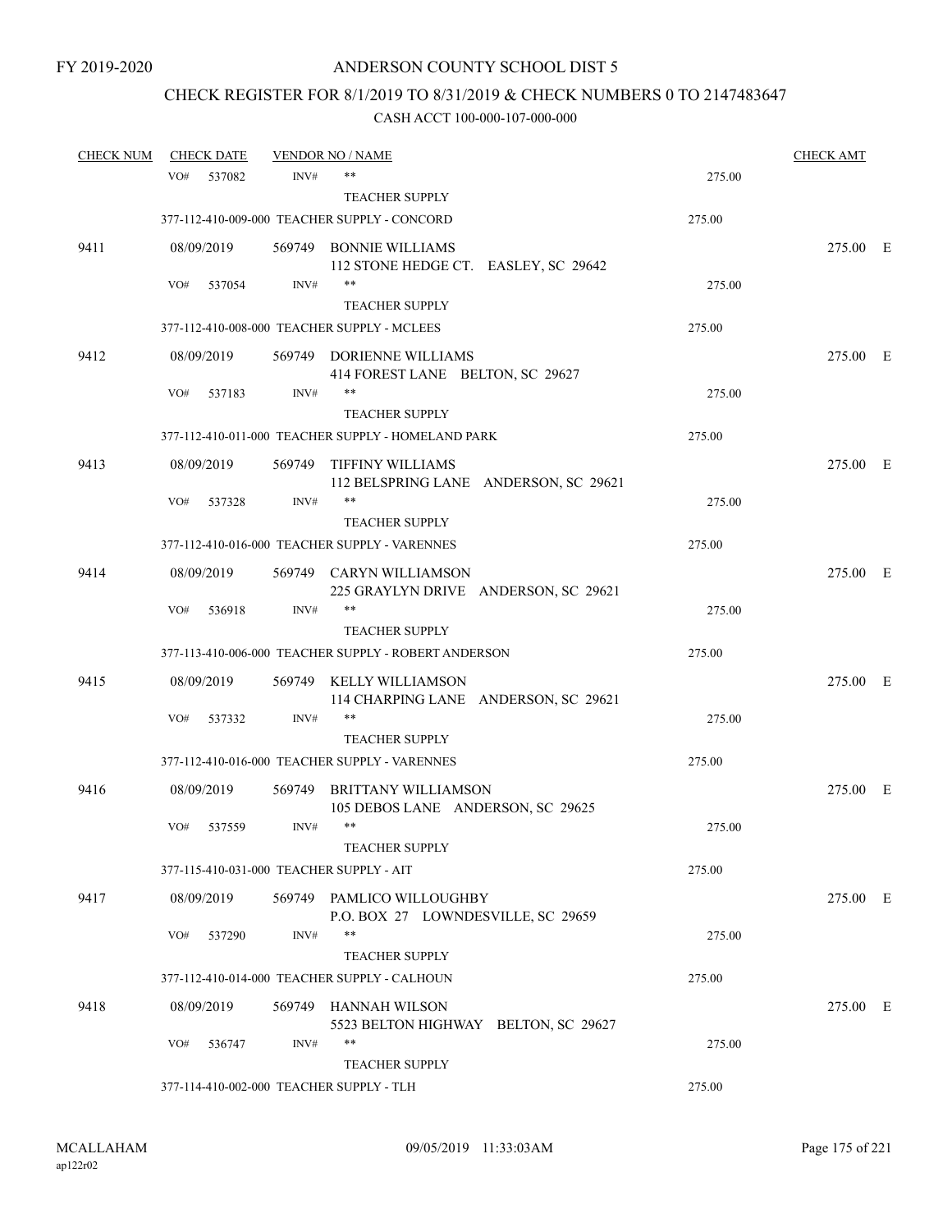# CHECK REGISTER FOR 8/1/2019 TO 8/31/2019 & CHECK NUMBERS 0 TO 2147483647

| <b>CHECK NUM</b> | <b>CHECK DATE</b> |        | <u>VENDOR NO / NAME</u>                                          |        | <b>CHECK AMT</b> |  |
|------------------|-------------------|--------|------------------------------------------------------------------|--------|------------------|--|
|                  | VO#<br>537082     | INV#   | $***$                                                            | 275.00 |                  |  |
|                  |                   |        | <b>TEACHER SUPPLY</b>                                            |        |                  |  |
|                  |                   |        | 377-112-410-009-000 TEACHER SUPPLY - CONCORD                     | 275.00 |                  |  |
| 9411             | 08/09/2019        |        | 569749 BONNIE WILLIAMS<br>112 STONE HEDGE CT. EASLEY, SC 29642   |        | 275.00 E         |  |
|                  | VO#<br>537054     | INV#   | $***$                                                            | 275.00 |                  |  |
|                  |                   |        | <b>TEACHER SUPPLY</b>                                            |        |                  |  |
|                  |                   |        | 377-112-410-008-000 TEACHER SUPPLY - MCLEES                      | 275.00 |                  |  |
| 9412             | 08/09/2019        |        | 569749 DORIENNE WILLIAMS<br>414 FOREST LANE BELTON, SC 29627     |        | 275.00 E         |  |
|                  | VO#<br>537183     | INV#   | $***$<br><b>TEACHER SUPPLY</b>                                   | 275.00 |                  |  |
|                  |                   |        | 377-112-410-011-000 TEACHER SUPPLY - HOMELAND PARK               | 275.00 |                  |  |
| 9413             | 08/09/2019        |        | 569749 TIFFINY WILLIAMS<br>112 BELSPRING LANE ANDERSON, SC 29621 |        | 275.00 E         |  |
|                  | VO#<br>537328     | INV#   | $***$<br><b>TEACHER SUPPLY</b>                                   | 275.00 |                  |  |
|                  |                   |        | 377-112-410-016-000 TEACHER SUPPLY - VARENNES                    | 275.00 |                  |  |
| 9414             | 08/09/2019        |        | 569749 CARYN WILLIAMSON<br>225 GRAYLYN DRIVE ANDERSON, SC 29621  |        | 275.00 E         |  |
|                  | VO#<br>536918     | INV#   | $***$                                                            | 275.00 |                  |  |
|                  |                   |        | <b>TEACHER SUPPLY</b>                                            |        |                  |  |
|                  |                   |        | 377-113-410-006-000 TEACHER SUPPLY - ROBERT ANDERSON             | 275.00 |                  |  |
| 9415             | 08/09/2019        |        | 569749 KELLY WILLIAMSON<br>114 CHARPING LANE ANDERSON, SC 29621  |        | 275.00 E         |  |
|                  | VO#<br>537332     | INV#   | $***$                                                            | 275.00 |                  |  |
|                  |                   |        | <b>TEACHER SUPPLY</b>                                            |        |                  |  |
|                  |                   |        | 377-112-410-016-000 TEACHER SUPPLY - VARENNES                    | 275.00 |                  |  |
| 9416             | 08/09/2019        | 569749 | <b>BRITTANY WILLIAMSON</b><br>105 DEBOS LANE ANDERSON, SC 29625  |        | 275.00 E         |  |
|                  | VO#<br>537559     | INV#   | $***$                                                            | 275.00 |                  |  |
|                  |                   |        | <b>TEACHER SUPPLY</b>                                            | 275.00 |                  |  |
|                  |                   |        | 377-115-410-031-000 TEACHER SUPPLY - AIT                         |        |                  |  |
| 9417             | 08/09/2019        |        | 569749 PAMLICO WILLOUGHBY<br>P.O. BOX 27 LOWNDESVILLE, SC 29659  |        | 275.00 E         |  |
|                  | VO#<br>537290     | INV#   | $***$<br><b>TEACHER SUPPLY</b>                                   | 275.00 |                  |  |
|                  |                   |        | 377-112-410-014-000 TEACHER SUPPLY - CALHOUN                     | 275.00 |                  |  |
|                  |                   |        |                                                                  |        |                  |  |
| 9418             | 08/09/2019        |        | 569749 HANNAH WILSON<br>5523 BELTON HIGHWAY BELTON, SC 29627     |        | 275.00 E         |  |
|                  | VO#<br>536747     | INV#   | $***$<br><b>TEACHER SUPPLY</b>                                   | 275.00 |                  |  |
|                  |                   |        | 377-114-410-002-000 TEACHER SUPPLY - TLH                         | 275.00 |                  |  |
|                  |                   |        |                                                                  |        |                  |  |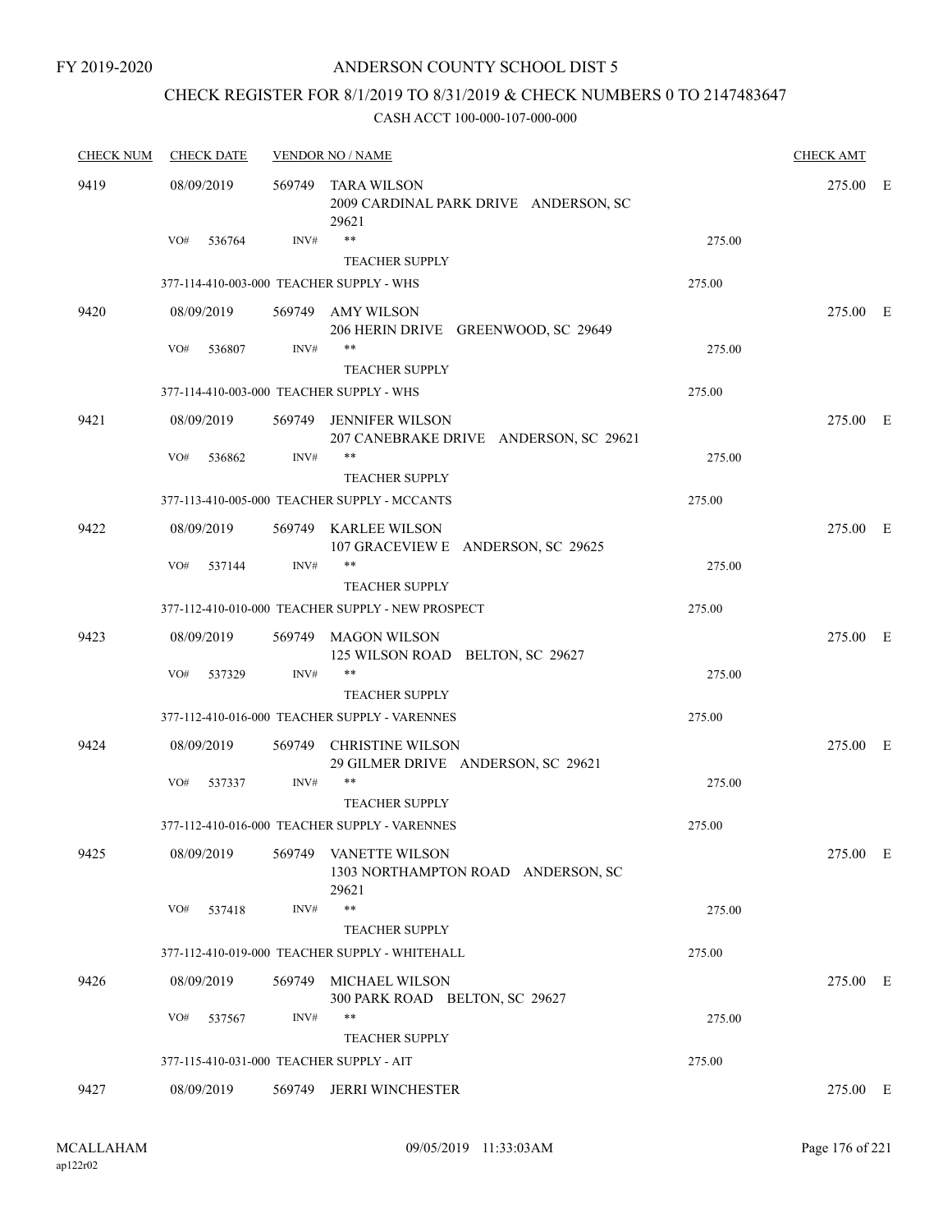FY 2019-2020

### ANDERSON COUNTY SCHOOL DIST 5

# CHECK REGISTER FOR 8/1/2019 TO 8/31/2019 & CHECK NUMBERS 0 TO 2147483647

| <b>CHECK NUM</b> | <b>CHECK DATE</b>                        |        | <b>VENDOR NO / NAME</b>                                              |        | <b>CHECK AMT</b> |  |
|------------------|------------------------------------------|--------|----------------------------------------------------------------------|--------|------------------|--|
| 9419             | 08/09/2019                               | 569749 | TARA WILSON<br>2009 CARDINAL PARK DRIVE ANDERSON, SC<br>29621        |        | 275.00 E         |  |
|                  | VO#<br>536764                            | INV#   | $***$<br><b>TEACHER SUPPLY</b>                                       | 275.00 |                  |  |
|                  | 377-114-410-003-000 TEACHER SUPPLY - WHS |        |                                                                      | 275.00 |                  |  |
| 9420             | 08/09/2019                               |        | 569749 AMY WILSON                                                    |        | 275.00 E         |  |
|                  |                                          |        | 206 HERIN DRIVE GREENWOOD, SC 29649                                  |        |                  |  |
|                  | VO#<br>536807                            | INV#   | $***$                                                                | 275.00 |                  |  |
|                  |                                          |        | <b>TEACHER SUPPLY</b>                                                |        |                  |  |
|                  | 377-114-410-003-000 TEACHER SUPPLY - WHS |        |                                                                      | 275.00 |                  |  |
| 9421             | 08/09/2019                               |        | 569749 JENNIFER WILSON<br>207 CANEBRAKE DRIVE ANDERSON, SC 29621     |        | 275.00 E         |  |
|                  | VO#<br>536862                            | INV#   | $***$                                                                | 275.00 |                  |  |
|                  |                                          |        | <b>TEACHER SUPPLY</b>                                                |        |                  |  |
|                  |                                          |        | 377-113-410-005-000 TEACHER SUPPLY - MCCANTS                         | 275.00 |                  |  |
| 9422             | 08/09/2019                               |        | 569749 KARLEE WILSON<br>107 GRACEVIEW E ANDERSON, SC 29625           |        | 275.00 E         |  |
|                  | VO#<br>537144                            | INV#   | $***$                                                                | 275.00 |                  |  |
|                  |                                          |        | <b>TEACHER SUPPLY</b>                                                |        |                  |  |
|                  |                                          |        | 377-112-410-010-000 TEACHER SUPPLY - NEW PROSPECT                    | 275.00 |                  |  |
| 9423             | 08/09/2019                               |        | 569749 MAGON WILSON<br>125 WILSON ROAD BELTON, SC 29627              |        | 275.00 E         |  |
|                  | VO#<br>537329                            | INV#   | $***$                                                                | 275.00 |                  |  |
|                  |                                          |        | <b>TEACHER SUPPLY</b>                                                |        |                  |  |
|                  |                                          |        | 377-112-410-016-000 TEACHER SUPPLY - VARENNES                        | 275.00 |                  |  |
| 9424             | 08/09/2019                               | 569749 | <b>CHRISTINE WILSON</b><br>29 GILMER DRIVE ANDERSON, SC 29621        |        | 275.00 E         |  |
|                  | VO#<br>537337                            | INV#   | **<br><b>TEACHER SUPPLY</b>                                          | 275.00 |                  |  |
|                  |                                          |        | 377-112-410-016-000 TEACHER SUPPLY - VARENNES                        | 275.00 |                  |  |
|                  |                                          |        |                                                                      |        |                  |  |
| 9425             | 08/09/2019                               |        | 569749 VANETTE WILSON<br>1303 NORTHAMPTON ROAD ANDERSON, SC<br>29621 |        | 275.00 E         |  |
|                  | VO#<br>537418                            | INV#   | $***$                                                                | 275.00 |                  |  |
|                  |                                          |        | <b>TEACHER SUPPLY</b>                                                |        |                  |  |
|                  |                                          |        | 377-112-410-019-000 TEACHER SUPPLY - WHITEHALL                       | 275.00 |                  |  |
| 9426             | 08/09/2019                               | 569749 | MICHAEL WILSON<br>300 PARK ROAD BELTON, SC 29627                     |        | 275.00 E         |  |
|                  | VO#<br>537567                            | INV#   | $***$<br><b>TEACHER SUPPLY</b>                                       | 275.00 |                  |  |
|                  | 377-115-410-031-000 TEACHER SUPPLY - AIT |        |                                                                      | 275.00 |                  |  |
| 9427             | 08/09/2019                               | 569749 | <b>JERRI WINCHESTER</b>                                              |        | 275.00 E         |  |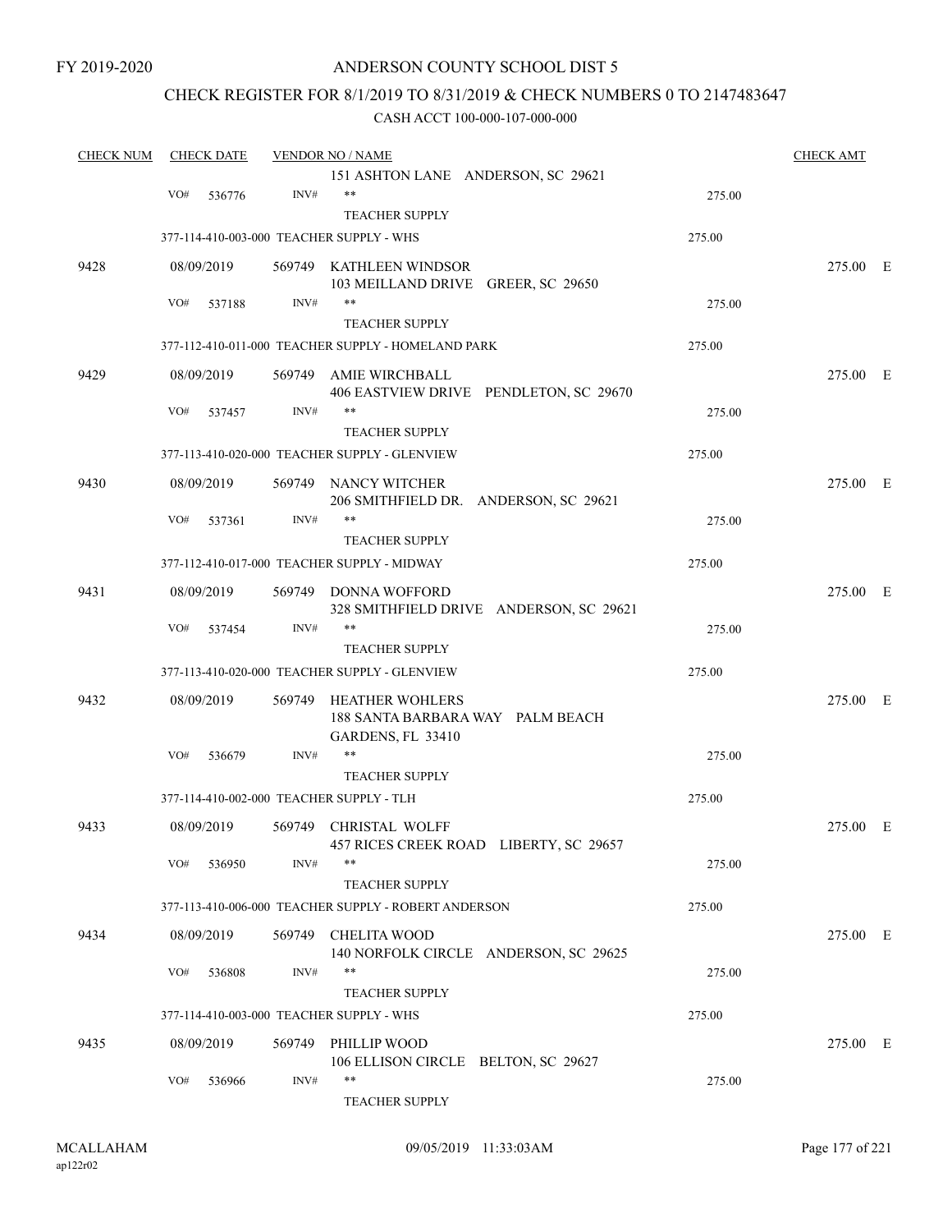FY 2019-2020

### ANDERSON COUNTY SCHOOL DIST 5

### CHECK REGISTER FOR 8/1/2019 TO 8/31/2019 & CHECK NUMBERS 0 TO 2147483647

| <b>CHECK NUM</b> |     | <b>CHECK DATE</b> |        | <b>VENDOR NO / NAME</b>                                                         |        | <b>CHECK AMT</b> |  |
|------------------|-----|-------------------|--------|---------------------------------------------------------------------------------|--------|------------------|--|
|                  |     |                   |        | 151 ASHTON LANE ANDERSON, SC 29621                                              |        |                  |  |
|                  | VO# | 536776            | INV#   | $***$                                                                           | 275.00 |                  |  |
|                  |     |                   |        | <b>TEACHER SUPPLY</b>                                                           |        |                  |  |
|                  |     |                   |        | 377-114-410-003-000 TEACHER SUPPLY - WHS                                        | 275.00 |                  |  |
| 9428             |     | 08/09/2019        |        | 569749 KATHLEEN WINDSOR<br>103 MEILLAND DRIVE GREER, SC 29650                   |        | 275.00 E         |  |
|                  | VO# | 537188            | INV#   | **                                                                              | 275.00 |                  |  |
|                  |     |                   |        | <b>TEACHER SUPPLY</b>                                                           |        |                  |  |
|                  |     |                   |        | 377-112-410-011-000 TEACHER SUPPLY - HOMELAND PARK                              | 275.00 |                  |  |
| 9429             |     | 08/09/2019        | 569749 | AMIE WIRCHBALL<br>406 EASTVIEW DRIVE PENDLETON, SC 29670                        |        | 275.00 E         |  |
|                  | VO# | 537457            | INV#   | **                                                                              | 275.00 |                  |  |
|                  |     |                   |        | <b>TEACHER SUPPLY</b>                                                           |        |                  |  |
|                  |     |                   |        | 377-113-410-020-000 TEACHER SUPPLY - GLENVIEW                                   | 275.00 |                  |  |
| 9430             |     | 08/09/2019        |        | 569749 NANCY WITCHER<br>206 SMITHFIELD DR. ANDERSON, SC 29621                   |        | 275.00 E         |  |
|                  | VO# | 537361            | INV#   | **<br><b>TEACHER SUPPLY</b>                                                     | 275.00 |                  |  |
|                  |     |                   |        | 377-112-410-017-000 TEACHER SUPPLY - MIDWAY                                     | 275.00 |                  |  |
|                  |     |                   |        |                                                                                 |        |                  |  |
| 9431             |     | 08/09/2019        | 569749 | DONNA WOFFORD<br>328 SMITHFIELD DRIVE ANDERSON, SC 29621                        |        | 275.00 E         |  |
|                  | VO# | 537454            | INV#   | **                                                                              | 275.00 |                  |  |
|                  |     |                   |        | <b>TEACHER SUPPLY</b>                                                           |        |                  |  |
|                  |     |                   |        | 377-113-410-020-000 TEACHER SUPPLY - GLENVIEW                                   | 275.00 |                  |  |
| 9432             |     | 08/09/2019        | 569749 | <b>HEATHER WOHLERS</b><br>188 SANTA BARBARA WAY PALM BEACH<br>GARDENS, FL 33410 |        | 275.00 E         |  |
|                  | VO# | 536679            | INV#   | **                                                                              | 275.00 |                  |  |
|                  |     |                   |        | TEACHER SUPPLY                                                                  |        |                  |  |
|                  |     |                   |        | 377-114-410-002-000 TEACHER SUPPLY - TLH                                        | 275.00 |                  |  |
| 9433             |     | 08/09/2019        |        | 569749 CHRISTAL WOLFF<br>457 RICES CREEK ROAD LIBERTY, SC 29657                 |        | 275.00 E         |  |
|                  | VO# | 536950            | INV#   | **                                                                              | 275.00 |                  |  |
|                  |     |                   |        | <b>TEACHER SUPPLY</b>                                                           |        |                  |  |
|                  |     |                   |        | 377-113-410-006-000 TEACHER SUPPLY - ROBERT ANDERSON                            | 275.00 |                  |  |
| 9434             |     | 08/09/2019        |        | 569749 CHELITA WOOD<br>140 NORFOLK CIRCLE ANDERSON, SC 29625                    |        | 275.00 E         |  |
|                  | VO# | 536808            | INV#   | **                                                                              | 275.00 |                  |  |
|                  |     |                   |        | <b>TEACHER SUPPLY</b>                                                           |        |                  |  |
|                  |     |                   |        | 377-114-410-003-000 TEACHER SUPPLY - WHS                                        | 275.00 |                  |  |
| 9435             |     | 08/09/2019        |        | 569749 PHILLIP WOOD                                                             |        | 275.00 E         |  |
|                  | VO# | 536966            | INV#   | 106 ELLISON CIRCLE BELTON, SC 29627<br>**                                       | 275.00 |                  |  |
|                  |     |                   |        | <b>TEACHER SUPPLY</b>                                                           |        |                  |  |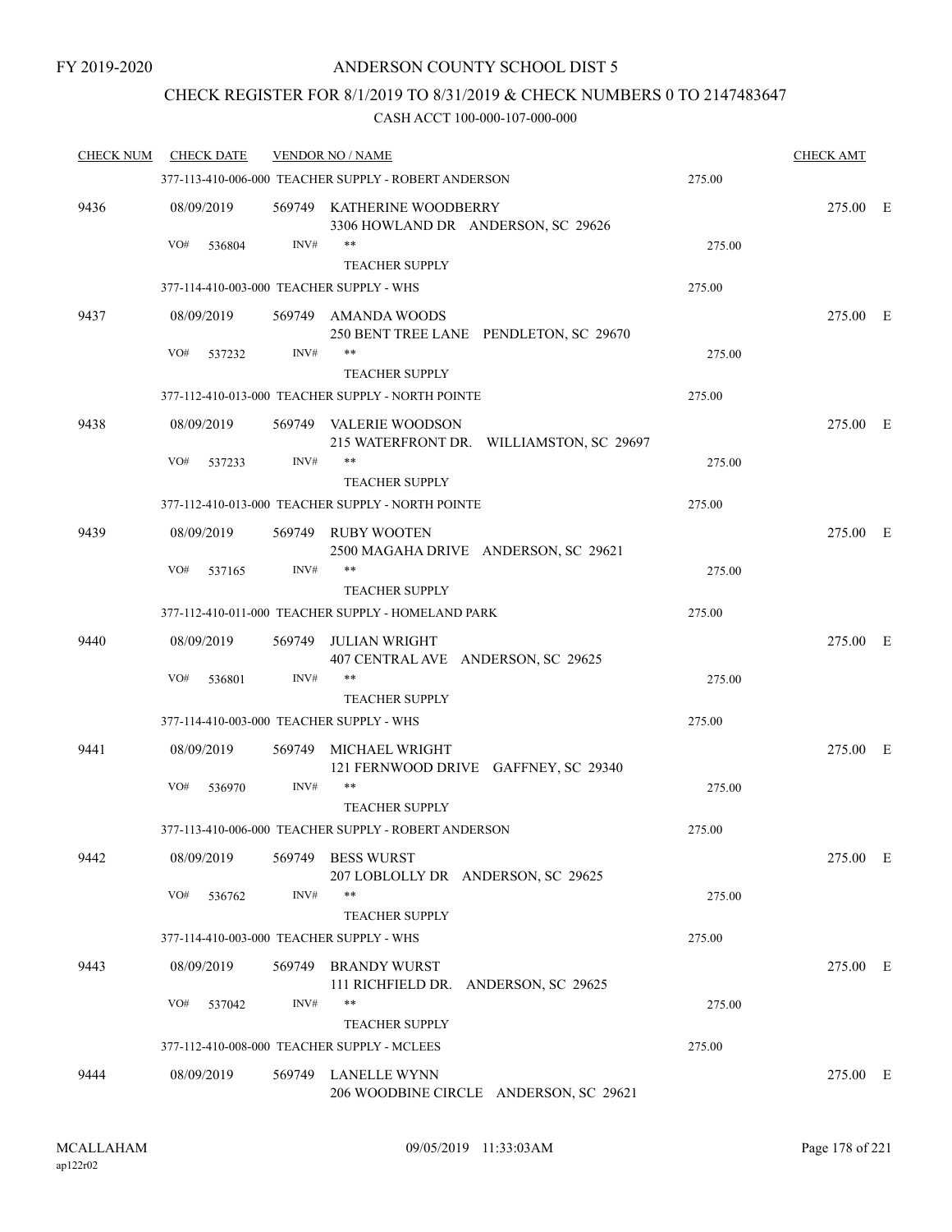# CHECK REGISTER FOR 8/1/2019 TO 8/31/2019 & CHECK NUMBERS 0 TO 2147483647

| <b>CHECK NUM</b> | <b>CHECK DATE</b>                        |        | <b>VENDOR NO / NAME</b>                                            |        | <b>CHECK AMT</b> |  |
|------------------|------------------------------------------|--------|--------------------------------------------------------------------|--------|------------------|--|
|                  |                                          |        | 377-113-410-006-000 TEACHER SUPPLY - ROBERT ANDERSON               | 275.00 |                  |  |
| 9436             | 08/09/2019                               |        | 569749 KATHERINE WOODBERRY<br>3306 HOWLAND DR ANDERSON, SC 29626   |        | 275.00 E         |  |
|                  | VO#<br>536804                            | INV#   | **                                                                 | 275.00 |                  |  |
|                  |                                          |        | <b>TEACHER SUPPLY</b>                                              |        |                  |  |
|                  | 377-114-410-003-000 TEACHER SUPPLY - WHS |        |                                                                    | 275.00 |                  |  |
| 9437             | 08/09/2019                               |        | 569749 AMANDA WOODS<br>250 BENT TREE LANE PENDLETON, SC 29670      |        | 275.00 E         |  |
|                  | VO#<br>537232                            | INV#   | <b>TEACHER SUPPLY</b>                                              | 275.00 |                  |  |
|                  |                                          |        | 377-112-410-013-000 TEACHER SUPPLY - NORTH POINTE                  | 275.00 |                  |  |
| 9438             | 08/09/2019                               |        | 569749 VALERIE WOODSON<br>215 WATERFRONT DR. WILLIAMSTON, SC 29697 |        | 275.00 E         |  |
|                  | VO#<br>537233                            | INV#   | **                                                                 | 275.00 |                  |  |
|                  |                                          |        | <b>TEACHER SUPPLY</b>                                              |        |                  |  |
|                  |                                          |        | 377-112-410-013-000 TEACHER SUPPLY - NORTH POINTE                  | 275.00 |                  |  |
| 9439             | 08/09/2019                               |        | 569749 RUBY WOOTEN<br>2500 MAGAHA DRIVE ANDERSON, SC 29621         |        | 275.00 E         |  |
|                  | VO#<br>537165                            | INV#   | **<br><b>TEACHER SUPPLY</b>                                        | 275.00 |                  |  |
|                  |                                          |        | 377-112-410-011-000 TEACHER SUPPLY - HOMELAND PARK                 | 275.00 |                  |  |
| 9440             | 08/09/2019                               | 569749 | JULIAN WRIGHT<br>407 CENTRAL AVE ANDERSON, SC 29625                |        | 275.00 E         |  |
|                  | VO#<br>536801                            | INV#   | **<br><b>TEACHER SUPPLY</b>                                        | 275.00 |                  |  |
|                  | 377-114-410-003-000 TEACHER SUPPLY - WHS |        |                                                                    | 275.00 |                  |  |
| 9441             | 08/09/2019                               |        | 569749 MICHAEL WRIGHT<br>121 FERNWOOD DRIVE GAFFNEY, SC 29340      |        | 275.00 E         |  |
|                  | VO#<br>536970                            | INV#   | **<br><b>TEACHER SUPPLY</b>                                        | 275.00 |                  |  |
|                  |                                          |        | 377-113-410-006-000 TEACHER SUPPLY - ROBERT ANDERSON               | 275.00 |                  |  |
| 9442             | 08/09/2019                               | 569749 | <b>BESS WURST</b><br>207 LOBLOLLY DR ANDERSON, SC 29625            |        | 275.00 E         |  |
|                  | VO#<br>536762                            | INV#   | <b>TEACHER SUPPLY</b>                                              | 275.00 |                  |  |
|                  | 377-114-410-003-000 TEACHER SUPPLY - WHS |        |                                                                    | 275.00 |                  |  |
| 9443             | 08/09/2019                               |        | 569749 BRANDY WURST<br>111 RICHFIELD DR. ANDERSON, SC 29625        |        | 275.00 E         |  |
|                  | VO#<br>537042                            | INV#   | **<br><b>TEACHER SUPPLY</b>                                        | 275.00 |                  |  |
|                  |                                          |        | 377-112-410-008-000 TEACHER SUPPLY - MCLEES                        | 275.00 |                  |  |
| 9444             | 08/09/2019                               |        | 569749 LANELLE WYNN<br>206 WOODBINE CIRCLE ANDERSON, SC 29621      |        | 275.00 E         |  |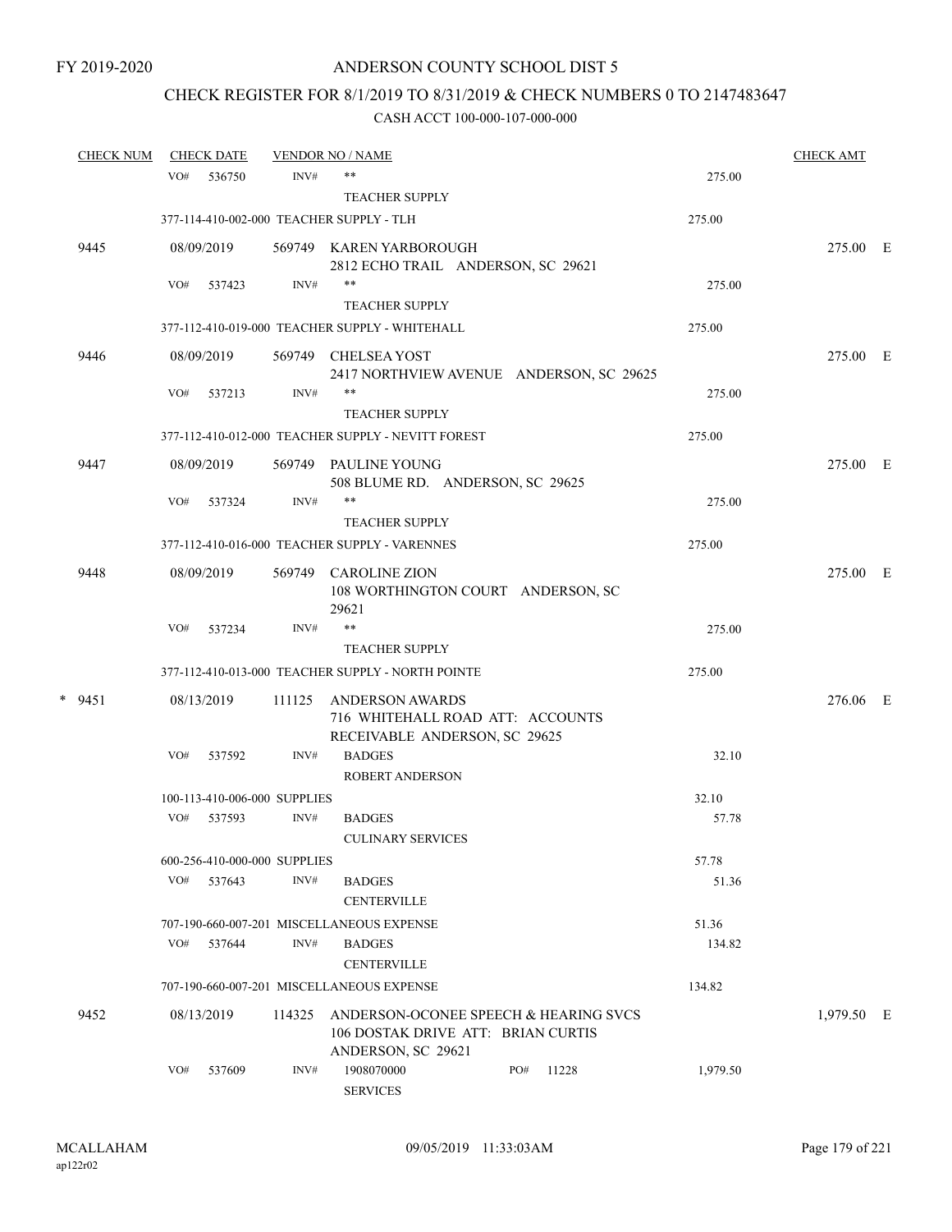# CHECK REGISTER FOR 8/1/2019 TO 8/31/2019 & CHECK NUMBERS 0 TO 2147483647

| <b>CHECK NUM</b> |     | <b>CHECK DATE</b> |                                      | <b>VENDOR NO / NAME</b>                                         |     |       |                | <b>CHECK AMT</b> |  |
|------------------|-----|-------------------|--------------------------------------|-----------------------------------------------------------------|-----|-------|----------------|------------------|--|
|                  | VO# | 536750            | INV#                                 | **                                                              |     |       | 275.00         |                  |  |
|                  |     |                   |                                      | <b>TEACHER SUPPLY</b>                                           |     |       |                |                  |  |
|                  |     |                   |                                      | 377-114-410-002-000 TEACHER SUPPLY - TLH                        |     |       | 275.00         |                  |  |
| 9445             |     | 08/09/2019        |                                      | 569749 KAREN YARBOROUGH                                         |     |       |                | 275.00 E         |  |
|                  |     |                   |                                      | 2812 ECHO TRAIL ANDERSON, SC 29621                              |     |       |                |                  |  |
|                  | VO# | 537423            | INV#                                 | $***$                                                           |     |       | 275.00         |                  |  |
|                  |     |                   |                                      | <b>TEACHER SUPPLY</b>                                           |     |       |                |                  |  |
|                  |     |                   |                                      | 377-112-410-019-000 TEACHER SUPPLY - WHITEHALL                  |     |       | 275.00         |                  |  |
| 9446             |     | 08/09/2019        |                                      | 569749 CHELSEA YOST<br>2417 NORTHVIEW AVENUE ANDERSON, SC 29625 |     |       |                | 275.00 E         |  |
|                  | VO# | 537213            | INV#                                 | $***$                                                           |     |       | 275.00         |                  |  |
|                  |     |                   |                                      | TEACHER SUPPLY                                                  |     |       |                |                  |  |
|                  |     |                   |                                      | 377-112-410-012-000 TEACHER SUPPLY - NEVITT FOREST              |     |       | 275.00         |                  |  |
| 9447             |     | 08/09/2019        |                                      | 569749 PAULINE YOUNG                                            |     |       |                | 275.00 E         |  |
|                  |     |                   |                                      | 508 BLUME RD. ANDERSON, SC 29625                                |     |       |                |                  |  |
|                  | VO# | 537324            | INV#                                 | **                                                              |     |       | 275.00         |                  |  |
|                  |     |                   |                                      | <b>TEACHER SUPPLY</b>                                           |     |       |                |                  |  |
|                  |     |                   |                                      | 377-112-410-016-000 TEACHER SUPPLY - VARENNES                   |     |       | 275.00         |                  |  |
| 9448             |     | 08/09/2019        |                                      | 569749 CAROLINE ZION                                            |     |       |                | 275.00 E         |  |
|                  |     |                   |                                      | 108 WORTHINGTON COURT ANDERSON, SC<br>29621                     |     |       |                |                  |  |
|                  | VO# | 537234            | INV#                                 | **                                                              |     |       | 275.00         |                  |  |
|                  |     |                   |                                      | <b>TEACHER SUPPLY</b>                                           |     |       |                |                  |  |
|                  |     |                   |                                      | 377-112-410-013-000 TEACHER SUPPLY - NORTH POINTE               |     |       | 275.00         |                  |  |
| $*$ 9451         |     | 08/13/2019        | 111125                               | <b>ANDERSON AWARDS</b>                                          |     |       |                | 276.06 E         |  |
|                  |     |                   |                                      | 716 WHITEHALL ROAD ATT: ACCOUNTS                                |     |       |                |                  |  |
|                  |     |                   |                                      | RECEIVABLE ANDERSON, SC 29625                                   |     |       |                |                  |  |
|                  | VO# | 537592            | INV#                                 | <b>BADGES</b>                                                   |     |       | 32.10          |                  |  |
|                  |     |                   |                                      | <b>ROBERT ANDERSON</b>                                          |     |       |                |                  |  |
|                  | VO# | 537593            | 100-113-410-006-000 SUPPLIES<br>INV# | <b>BADGES</b>                                                   |     |       | 32.10<br>57.78 |                  |  |
|                  |     |                   |                                      | <b>CULINARY SERVICES</b>                                        |     |       |                |                  |  |
|                  |     |                   | 600-256-410-000-000 SUPPLIES         |                                                                 |     |       | 57.78          |                  |  |
|                  | VO# | 537643            | INV#                                 | <b>BADGES</b>                                                   |     |       | 51.36          |                  |  |
|                  |     |                   |                                      | <b>CENTERVILLE</b>                                              |     |       |                |                  |  |
|                  |     |                   |                                      | 707-190-660-007-201 MISCELLANEOUS EXPENSE                       |     |       | 51.36          |                  |  |
|                  | VO# | 537644            | INV#                                 | <b>BADGES</b>                                                   |     |       | 134.82         |                  |  |
|                  |     |                   |                                      | <b>CENTERVILLE</b>                                              |     |       |                |                  |  |
|                  |     |                   |                                      | 707-190-660-007-201 MISCELLANEOUS EXPENSE                       |     |       | 134.82         |                  |  |
| 9452             |     | 08/13/2019        | 114325                               | ANDERSON-OCONEE SPEECH & HEARING SVCS                           |     |       |                | 1,979.50 E       |  |
|                  |     |                   |                                      | 106 DOSTAK DRIVE ATT: BRIAN CURTIS                              |     |       |                |                  |  |
|                  |     |                   |                                      | ANDERSON, SC 29621                                              |     |       |                |                  |  |
|                  | VO# | 537609            | INV#                                 | 1908070000<br><b>SERVICES</b>                                   | PO# | 11228 | 1,979.50       |                  |  |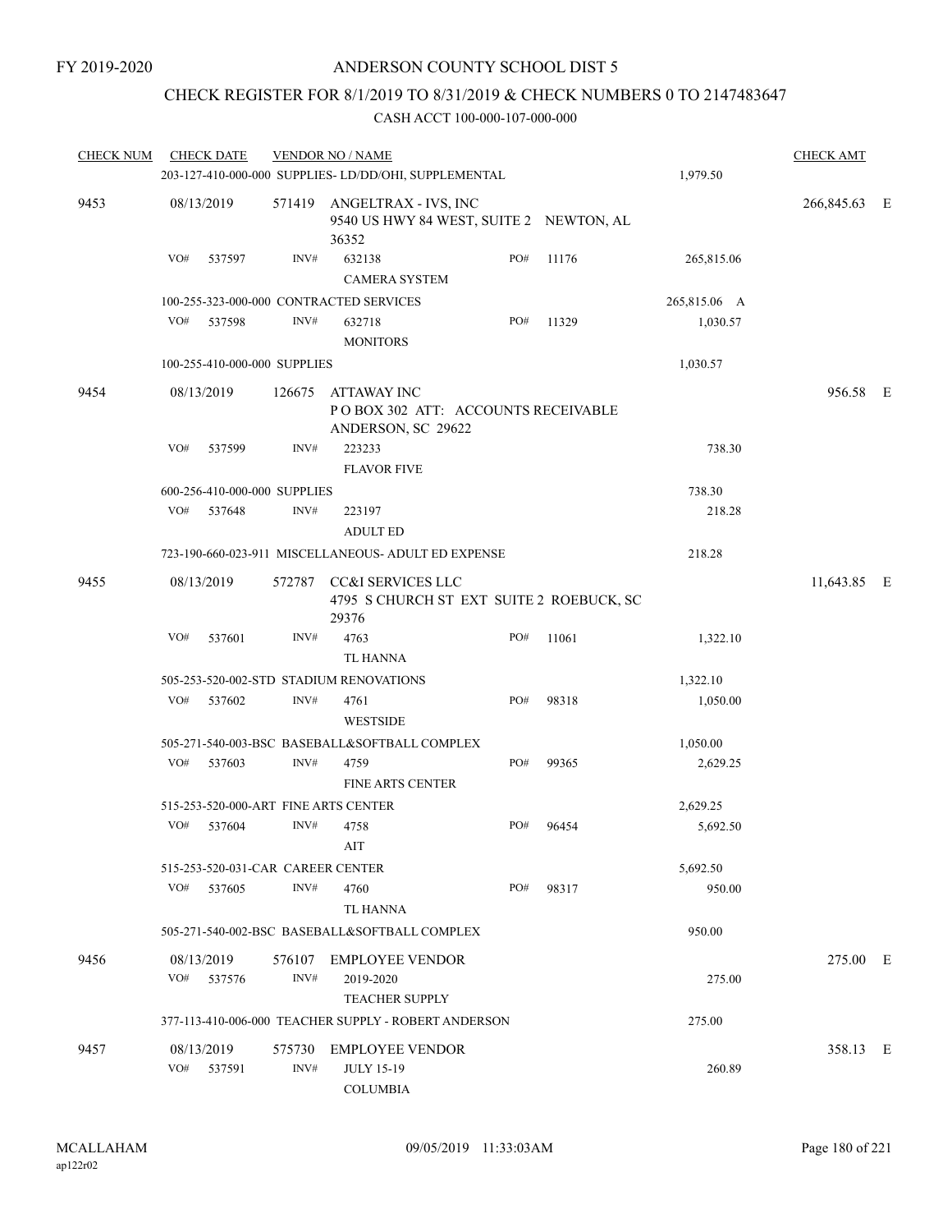## CHECK REGISTER FOR 8/1/2019 TO 8/31/2019 & CHECK NUMBERS 0 TO 2147483647

| <b>CHECK NUM</b> |     | <b>CHECK DATE</b>                 |                | <b>VENDOR NO / NAME</b>                                                         |     |       |              | <b>CHECK AMT</b> |  |
|------------------|-----|-----------------------------------|----------------|---------------------------------------------------------------------------------|-----|-------|--------------|------------------|--|
|                  |     |                                   |                | 203-127-410-000-000 SUPPLIES-LD/DD/OHI, SUPPLEMENTAL                            |     |       | 1,979.50     |                  |  |
| 9453             |     | 08/13/2019                        |                | 571419 ANGELTRAX - IVS, INC<br>9540 US HWY 84 WEST, SUITE 2 NEWTON, AL<br>36352 |     |       |              | 266,845.63 E     |  |
|                  | VO# | 537597                            | INV#           | 632138<br><b>CAMERA SYSTEM</b>                                                  | PO# | 11176 | 265,815.06   |                  |  |
|                  |     |                                   |                | 100-255-323-000-000 CONTRACTED SERVICES                                         |     |       | 265,815.06 A |                  |  |
|                  | VO# | 537598                            | INV#           | 632718<br><b>MONITORS</b>                                                       | PO# | 11329 | 1,030.57     |                  |  |
|                  |     | 100-255-410-000-000 SUPPLIES      |                |                                                                                 |     |       | 1,030.57     |                  |  |
| 9454             |     | 08/13/2019                        | 126675         | ATTAWAY INC<br>POBOX 302 ATT: ACCOUNTS RECEIVABLE<br>ANDERSON, SC 29622         |     |       |              | 956.58 E         |  |
|                  | VO# | 537599                            | INV#           | 223233<br><b>FLAVOR FIVE</b>                                                    |     |       | 738.30       |                  |  |
|                  |     | 600-256-410-000-000 SUPPLIES      |                |                                                                                 |     |       | 738.30       |                  |  |
|                  | VO# | 537648                            | INV#           | 223197<br><b>ADULT ED</b>                                                       |     |       | 218.28       |                  |  |
|                  |     |                                   |                | 723-190-660-023-911 MISCELLANEOUS- ADULT ED EXPENSE                             |     |       | 218.28       |                  |  |
| 9455             |     | 08/13/2019                        |                | 572787 CC&I SERVICES LLC<br>4795 S CHURCH ST EXT SUITE 2 ROEBUCK, SC<br>29376   |     |       |              | 11,643.85 E      |  |
|                  | VO# | 537601                            | INV#           | 4763<br><b>TL HANNA</b>                                                         | PO# | 11061 | 1,322.10     |                  |  |
|                  |     |                                   |                | 505-253-520-002-STD STADIUM RENOVATIONS                                         |     |       | 1,322.10     |                  |  |
|                  | VO# | 537602                            | INV#           | 4761<br><b>WESTSIDE</b>                                                         | PO# | 98318 | 1,050.00     |                  |  |
|                  |     |                                   |                | 505-271-540-003-BSC BASEBALL&SOFTBALL COMPLEX                                   |     |       | 1,050.00     |                  |  |
|                  | VO# | 537603                            | INV#           | 4759<br><b>FINE ARTS CENTER</b>                                                 | PO# | 99365 | 2,629.25     |                  |  |
|                  |     |                                   |                | 515-253-520-000-ART FINE ARTS CENTER                                            |     |       | 2,629.25     |                  |  |
|                  | VO# | 537604                            | INV#           | 4758<br>AIT                                                                     | PO# | 96454 | 5,692.50     |                  |  |
|                  |     | 515-253-520-031-CAR CAREER CENTER |                |                                                                                 |     |       | 5,692.50     |                  |  |
|                  | VO# | 537605                            | INV#           | 4760<br>TL HANNA                                                                | PO# | 98317 | 950.00       |                  |  |
|                  |     |                                   |                | 505-271-540-002-BSC BASEBALL&SOFTBALL COMPLEX                                   |     |       | 950.00       |                  |  |
| 9456             |     | 08/13/2019<br>VO# 537576          | INV#           | 576107 EMPLOYEE VENDOR<br>2019-2020<br><b>TEACHER SUPPLY</b>                    |     |       | 275.00       | 275.00 E         |  |
|                  |     |                                   |                | 377-113-410-006-000 TEACHER SUPPLY - ROBERT ANDERSON                            |     |       | 275.00       |                  |  |
| 9457             |     | 08/13/2019<br>VO# 537591          | 575730<br>INV# | <b>EMPLOYEE VENDOR</b><br><b>JULY 15-19</b><br><b>COLUMBIA</b>                  |     |       | 260.89       | 358.13 E         |  |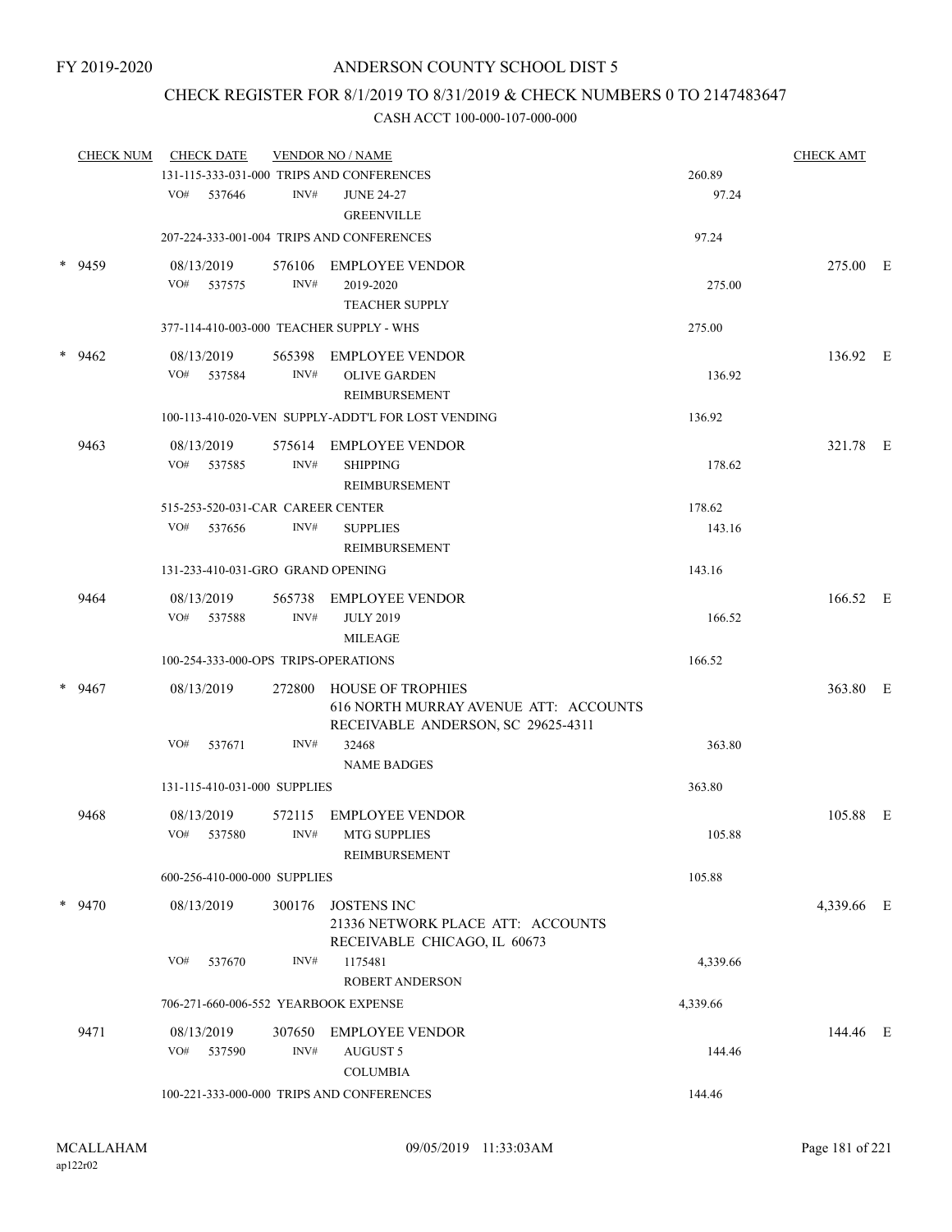## CHECK REGISTER FOR 8/1/2019 TO 8/31/2019 & CHECK NUMBERS 0 TO 2147483647

| <b>CHECK NUM</b> | <b>CHECK DATE</b> | <b>VENDOR NO / NAME</b>                            |        | <b>CHECK AMT</b>                                   |                  |            |  |
|------------------|-------------------|----------------------------------------------------|--------|----------------------------------------------------|------------------|------------|--|
|                  |                   |                                                    |        | 131-115-333-031-000 TRIPS AND CONFERENCES          | 260.89           |            |  |
|                  |                   | VO#<br>537646                                      | INV#   | <b>JUNE 24-27</b><br><b>GREENVILLE</b>             | 97.24            |            |  |
|                  |                   |                                                    |        | 207-224-333-001-004 TRIPS AND CONFERENCES          | 97.24            |            |  |
| *                | 9459              | 08/13/2019                                         |        | 576106 EMPLOYEE VENDOR                             |                  | 275.00 E   |  |
|                  |                   | VO# 537575                                         | INV#   | 2019-2020                                          | 275.00           |            |  |
|                  |                   |                                                    |        | <b>TEACHER SUPPLY</b>                              |                  |            |  |
|                  |                   | 377-114-410-003-000 TEACHER SUPPLY - WHS           |        |                                                    | 275.00           |            |  |
|                  | $*$ 9462          | 08/13/2019                                         |        | 565398 EMPLOYEE VENDOR                             |                  | 136.92 E   |  |
|                  |                   | VO# 537584                                         | INV#   | <b>OLIVE GARDEN</b>                                | 136.92           |            |  |
|                  |                   |                                                    |        | REIMBURSEMENT                                      |                  |            |  |
|                  |                   |                                                    |        | 100-113-410-020-VEN SUPPLY-ADDT'L FOR LOST VENDING | 136.92           |            |  |
|                  | 9463              | 08/13/2019                                         | 575614 | EMPLOYEE VENDOR                                    |                  | 321.78 E   |  |
|                  |                   | VO#<br>537585                                      | INV#   | <b>SHIPPING</b>                                    | 178.62           |            |  |
|                  |                   |                                                    |        | <b>REIMBURSEMENT</b>                               |                  |            |  |
|                  |                   | 515-253-520-031-CAR CAREER CENTER<br>VO#<br>537656 | INV#   | <b>SUPPLIES</b>                                    | 178.62<br>143.16 |            |  |
|                  |                   |                                                    |        | REIMBURSEMENT                                      |                  |            |  |
|                  |                   | 131-233-410-031-GRO GRAND OPENING                  |        |                                                    | 143.16           |            |  |
|                  | 9464              | 08/13/2019                                         |        | 565738 EMPLOYEE VENDOR                             |                  | 166.52 E   |  |
|                  |                   | VO# 537588                                         | INV#   | <b>JULY 2019</b>                                   | 166.52           |            |  |
|                  |                   |                                                    |        | <b>MILEAGE</b>                                     |                  |            |  |
|                  |                   | 100-254-333-000-OPS TRIPS-OPERATIONS               |        |                                                    | 166.52           |            |  |
|                  | $*$ 9467          | 08/13/2019                                         |        | 272800 HOUSE OF TROPHIES                           |                  | 363.80 E   |  |
|                  |                   |                                                    |        | 616 NORTH MURRAY AVENUE ATT: ACCOUNTS              |                  |            |  |
|                  |                   | VO#<br>537671                                      | INV#   | RECEIVABLE ANDERSON, SC 29625-4311<br>32468        | 363.80           |            |  |
|                  |                   |                                                    |        | <b>NAME BADGES</b>                                 |                  |            |  |
|                  |                   | 131-115-410-031-000 SUPPLIES                       |        |                                                    | 363.80           |            |  |
|                  | 9468              | 08/13/2019                                         | 572115 | <b>EMPLOYEE VENDOR</b>                             |                  | 105.88 E   |  |
|                  |                   | VO# 537580                                         | INV#   | <b>MTG SUPPLIES</b>                                | 105.88           |            |  |
|                  |                   |                                                    |        | <b>REIMBURSEMENT</b>                               |                  |            |  |
|                  |                   | 600-256-410-000-000 SUPPLIES                       |        |                                                    | 105.88           |            |  |
|                  | $*$ 9470          | 08/13/2019                                         | 300176 | JOSTENS INC                                        |                  | 4,339.66 E |  |
|                  |                   |                                                    |        | 21336 NETWORK PLACE ATT: ACCOUNTS                  |                  |            |  |
|                  |                   | VO#<br>537670                                      | INV#   | RECEIVABLE CHICAGO, IL 60673<br>1175481            | 4,339.66         |            |  |
|                  |                   |                                                    |        | ROBERT ANDERSON                                    |                  |            |  |
|                  |                   | 706-271-660-006-552 YEARBOOK EXPENSE               |        |                                                    | 4,339.66         |            |  |
|                  | 9471              | 08/13/2019                                         | 307650 | <b>EMPLOYEE VENDOR</b>                             |                  | 144.46 E   |  |
|                  |                   | VO#<br>537590                                      | INV#   | <b>AUGUST 5</b>                                    | 144.46           |            |  |
|                  |                   |                                                    |        | <b>COLUMBIA</b>                                    |                  |            |  |
|                  |                   |                                                    |        | 100-221-333-000-000 TRIPS AND CONFERENCES          | 144.46           |            |  |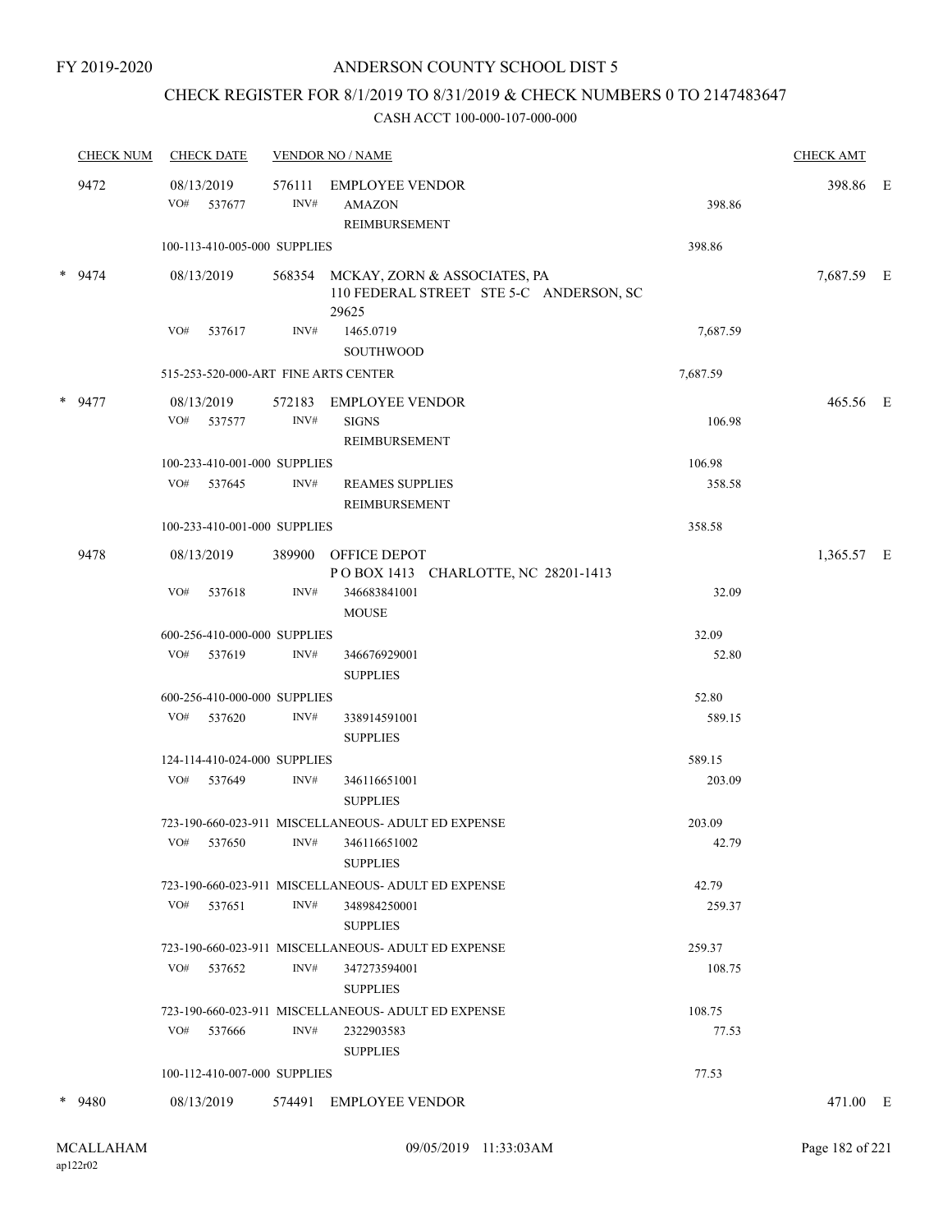## CHECK REGISTER FOR 8/1/2019 TO 8/31/2019 & CHECK NUMBERS 0 TO 2147483647

| <b>CHECK NUM</b> | <b>CHECK DATE</b>                    |                | <b>VENDOR NO / NAME</b>                                                                 |          | <b>CHECK AMT</b> |  |
|------------------|--------------------------------------|----------------|-----------------------------------------------------------------------------------------|----------|------------------|--|
| 9472             | 08/13/2019<br>VO# 537677             | 576111<br>INV# | <b>EMPLOYEE VENDOR</b><br>AMAZON                                                        | 398.86   | 398.86 E         |  |
|                  |                                      |                | REIMBURSEMENT                                                                           |          |                  |  |
|                  | 100-113-410-005-000 SUPPLIES         |                |                                                                                         | 398.86   |                  |  |
| $*$ 9474         | 08/13/2019                           |                | 568354 MCKAY, ZORN & ASSOCIATES, PA<br>110 FEDERAL STREET STE 5-C ANDERSON, SC<br>29625 |          | 7,687.59 E       |  |
|                  | VO#<br>537617                        | INV#           | 1465.0719<br><b>SOUTHWOOD</b>                                                           | 7,687.59 |                  |  |
|                  | 515-253-520-000-ART FINE ARTS CENTER |                |                                                                                         | 7,687.59 |                  |  |
| * 9477           | 08/13/2019                           | 572183         | EMPLOYEE VENDOR                                                                         |          | 465.56 E         |  |
|                  | VO# 537577                           | INV#           | <b>SIGNS</b><br>REIMBURSEMENT                                                           | 106.98   |                  |  |
|                  | 100-233-410-001-000 SUPPLIES         |                |                                                                                         | 106.98   |                  |  |
|                  | VO# 537645                           | INV#           | <b>REAMES SUPPLIES</b><br><b>REIMBURSEMENT</b>                                          | 358.58   |                  |  |
|                  | 100-233-410-001-000 SUPPLIES         |                |                                                                                         | 358.58   |                  |  |
| 9478             | 08/13/2019                           |                | 389900 OFFICE DEPOT<br>POBOX 1413 CHARLOTTE, NC 28201-1413                              |          | 1,365.57 E       |  |
|                  | VO#<br>537618                        | INV#           | 346683841001<br><b>MOUSE</b>                                                            | 32.09    |                  |  |
|                  | 600-256-410-000-000 SUPPLIES         |                |                                                                                         | 32.09    |                  |  |
|                  | VO# 537619                           | INV#           | 346676929001<br><b>SUPPLIES</b>                                                         | 52.80    |                  |  |
|                  | 600-256-410-000-000 SUPPLIES         |                |                                                                                         | 52.80    |                  |  |
|                  | VO# 537620                           | INV#           | 338914591001<br><b>SUPPLIES</b>                                                         | 589.15   |                  |  |
|                  | 124-114-410-024-000 SUPPLIES         |                |                                                                                         | 589.15   |                  |  |
|                  | VO# 537649                           | INV#           | 346116651001<br><b>SUPPLIES</b>                                                         | 203.09   |                  |  |
|                  |                                      |                | 723-190-660-023-911 MISCELLANEOUS- ADULT ED EXPENSE                                     | 203.09   |                  |  |
|                  | VO# 537650                           | INV#           | 346116651002<br><b>SUPPLIES</b>                                                         | 42.79    |                  |  |
|                  |                                      |                | 723-190-660-023-911 MISCELLANEOUS- ADULT ED EXPENSE                                     | 42.79    |                  |  |
|                  | VO#<br>537651                        | INV#           | 348984250001<br><b>SUPPLIES</b>                                                         | 259.37   |                  |  |
|                  |                                      |                | 723-190-660-023-911 MISCELLANEOUS- ADULT ED EXPENSE                                     | 259.37   |                  |  |
|                  | VO# 537652                           | INV#           | 347273594001<br><b>SUPPLIES</b>                                                         | 108.75   |                  |  |
|                  |                                      |                | 723-190-660-023-911 MISCELLANEOUS- ADULT ED EXPENSE                                     | 108.75   |                  |  |
|                  | VO#<br>537666                        | INV#           | 2322903583<br><b>SUPPLIES</b>                                                           | 77.53    |                  |  |
|                  | 100-112-410-007-000 SUPPLIES         |                |                                                                                         | 77.53    |                  |  |
| $*$ 9480         | 08/13/2019                           |                | 574491 EMPLOYEE VENDOR                                                                  |          | 471.00 E         |  |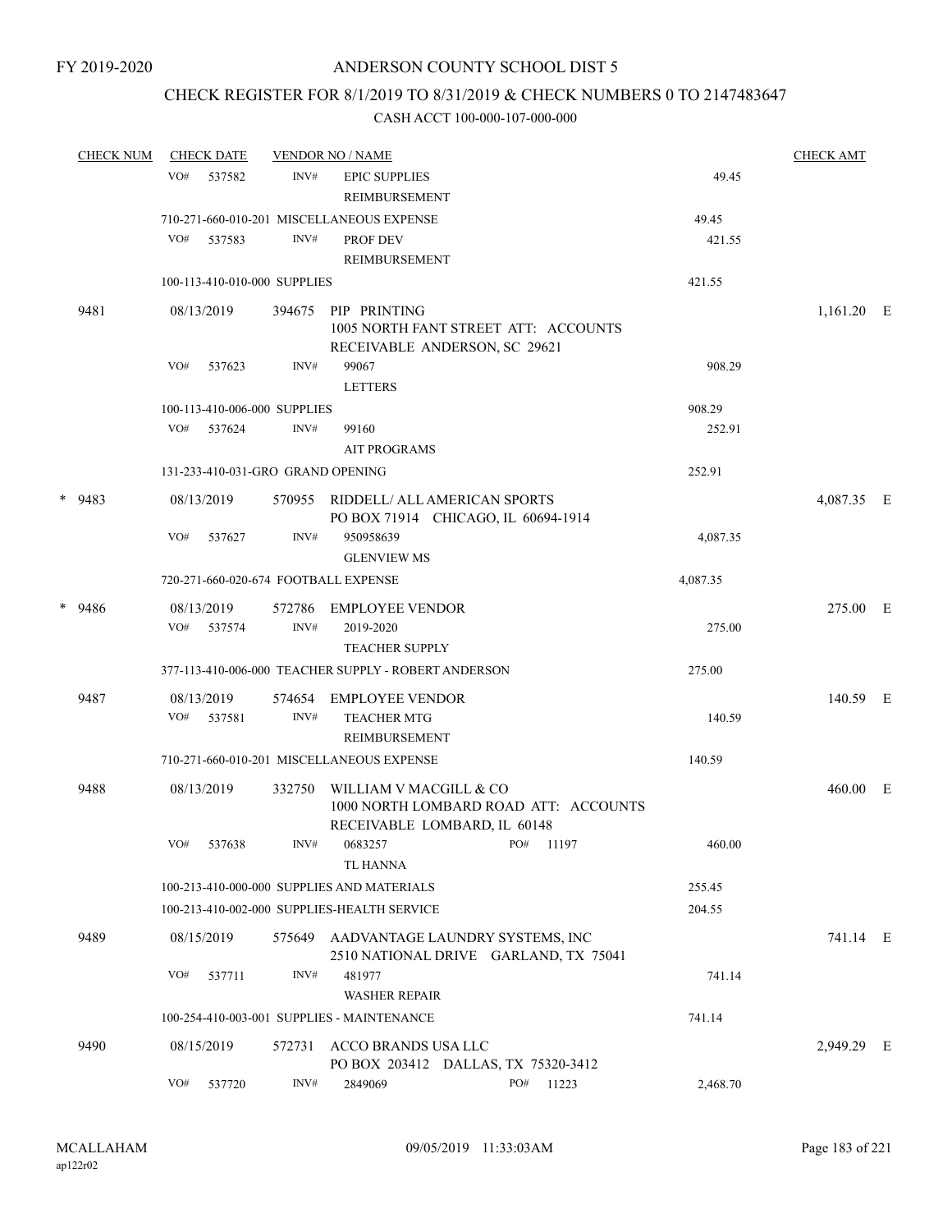### CHECK REGISTER FOR 8/1/2019 TO 8/31/2019 & CHECK NUMBERS 0 TO 2147483647

| <b>CHECK NUM</b> |     | <b>CHECK DATE</b>    |                              | <b>VENDOR NO / NAME</b>                                                                         |           |  |           | <b>CHECK AMT</b> |            |  |
|------------------|-----|----------------------|------------------------------|-------------------------------------------------------------------------------------------------|-----------|--|-----------|------------------|------------|--|
|                  | VO# | 537582               | INV#                         | <b>EPIC SUPPLIES</b><br>REIMBURSEMENT                                                           |           |  |           | 49.45            |            |  |
|                  |     |                      |                              | 710-271-660-010-201 MISCELLANEOUS EXPENSE                                                       |           |  |           | 49.45            |            |  |
|                  | VO# | 537583               | INV#                         | PROF DEV                                                                                        |           |  |           | 421.55           |            |  |
|                  |     |                      |                              | <b>REIMBURSEMENT</b>                                                                            |           |  |           |                  |            |  |
|                  |     |                      | 100-113-410-010-000 SUPPLIES |                                                                                                 |           |  |           | 421.55           |            |  |
| 9481             |     | 08/13/2019           | 394675                       | PIP PRINTING<br>1005 NORTH FANT STREET ATT: ACCOUNTS<br>RECEIVABLE ANDERSON, SC 29621           |           |  |           |                  | 1,161.20 E |  |
|                  | VO# | 537623               | INV#                         | 99067<br><b>LETTERS</b>                                                                         |           |  |           | 908.29           |            |  |
|                  |     |                      | 100-113-410-006-000 SUPPLIES |                                                                                                 |           |  |           | 908.29           |            |  |
|                  | VO# | 537624               | INV#                         | 99160                                                                                           |           |  |           | 252.91           |            |  |
|                  |     |                      |                              | <b>AIT PROGRAMS</b>                                                                             |           |  |           |                  |            |  |
|                  |     |                      |                              | 131-233-410-031-GRO GRAND OPENING                                                               |           |  |           | 252.91           |            |  |
| $*$ 9483         |     | 08/13/2019           |                              | 570955 RIDDELL/ ALL AMERICAN SPORTS<br>PO BOX 71914 CHICAGO, IL 60694-1914                      |           |  |           |                  | 4,087.35 E |  |
|                  | VO# | 537627               | INV#                         | 950958639<br><b>GLENVIEW MS</b>                                                                 |           |  |           | 4,087.35         |            |  |
|                  |     |                      |                              | 720-271-660-020-674 FOOTBALL EXPENSE                                                            |           |  |           | 4,087.35         |            |  |
| $*$ 9486         |     | 08/13/2019           |                              | 572786 EMPLOYEE VENDOR                                                                          |           |  |           |                  | 275.00 E   |  |
|                  |     | VO# 537574           | INV#                         | 2019-2020<br><b>TEACHER SUPPLY</b>                                                              |           |  |           | 275.00           |            |  |
|                  |     |                      |                              | 377-113-410-006-000 TEACHER SUPPLY - ROBERT ANDERSON                                            |           |  |           | 275.00           |            |  |
| 9487             | VO# | 08/13/2019<br>537581 | 574654<br>INV#               | EMPLOYEE VENDOR<br><b>TEACHER MTG</b>                                                           |           |  |           | 140.59           | 140.59 E   |  |
|                  |     |                      |                              | REIMBURSEMENT                                                                                   |           |  |           |                  |            |  |
|                  |     |                      |                              | 710-271-660-010-201 MISCELLANEOUS EXPENSE                                                       |           |  |           | 140.59           |            |  |
| 9488             |     | 08/13/2019           | 332750                       | WILLIAM V MACGILL & CO<br>1000 NORTH LOMBARD ROAD ATT: ACCOUNTS<br>RECEIVABLE LOMBARD, IL 60148 |           |  |           |                  | 460.00 E   |  |
|                  |     | VO# 537638           |                              | INV# 0683257<br>TL HANNA                                                                        | PO# 11197 |  |           | 460.00           |            |  |
|                  |     |                      |                              | 100-213-410-000-000 SUPPLIES AND MATERIALS                                                      |           |  |           | 255.45           |            |  |
|                  |     |                      |                              | 100-213-410-002-000 SUPPLIES-HEALTH SERVICE                                                     |           |  |           | 204.55           |            |  |
| 9489             |     | 08/15/2019           | 575649                       | AADVANTAGE LAUNDRY SYSTEMS, INC<br>2510 NATIONAL DRIVE GARLAND, TX 75041                        |           |  |           |                  | 741.14 E   |  |
|                  | VO# | 537711               | INV#                         | 481977<br><b>WASHER REPAIR</b>                                                                  |           |  |           | 741.14           |            |  |
|                  |     |                      |                              | 100-254-410-003-001 SUPPLIES - MAINTENANCE                                                      |           |  |           | 741.14           |            |  |
| 9490             |     | 08/15/2019           | 572731                       | ACCO BRANDS USA LLC<br>PO BOX 203412 DALLAS, TX 75320-3412                                      |           |  |           |                  | 2,949.29 E |  |
|                  | VO# | 537720               | INV#                         | 2849069                                                                                         |           |  | PO# 11223 | 2,468.70         |            |  |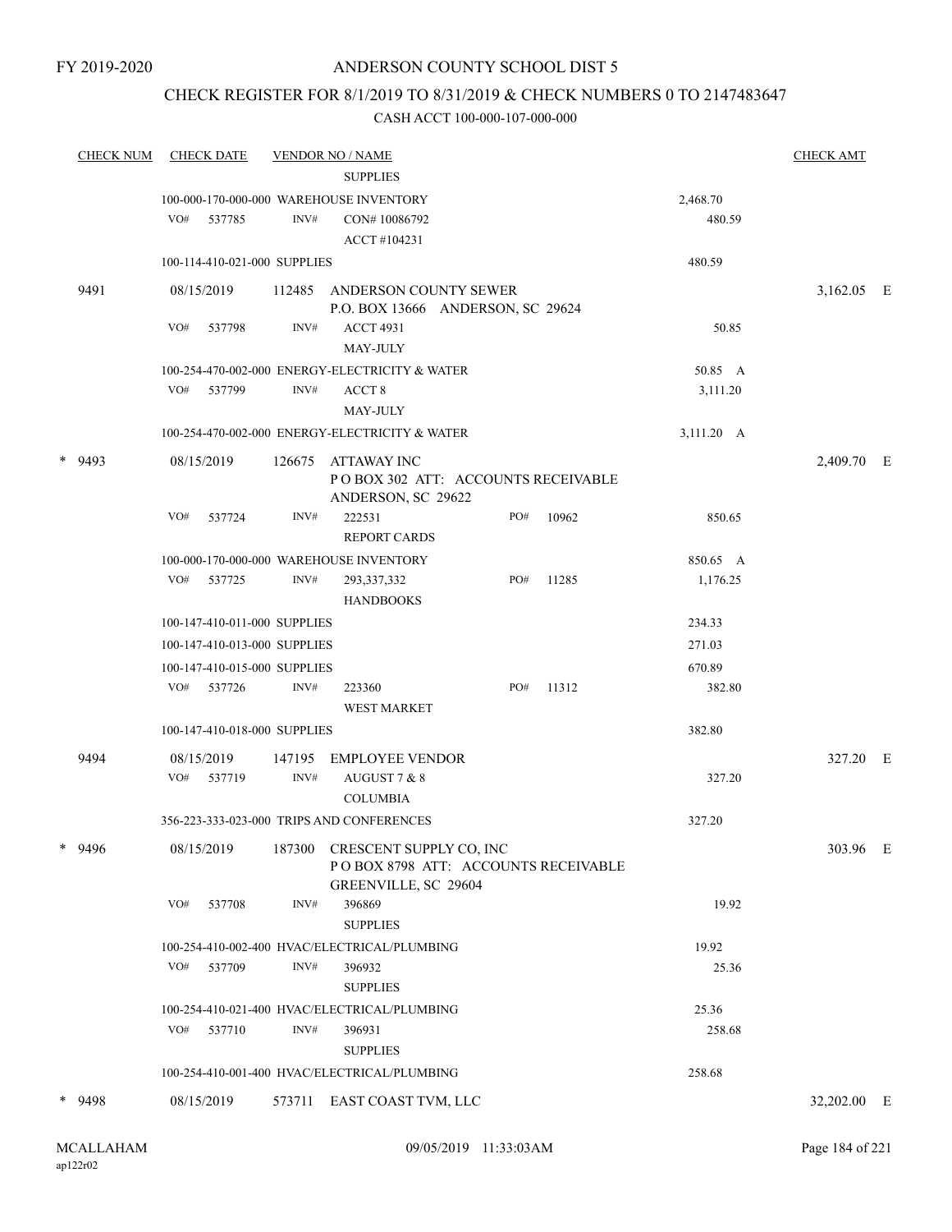### CHECK REGISTER FOR 8/1/2019 TO 8/31/2019 & CHECK NUMBERS 0 TO 2147483647

|   | <b>CHECK NUM</b> |            | <b>CHECK DATE</b>            |                          | <b>VENDOR NO / NAME</b>                                        |     |       |            | <b>CHECK AMT</b> |  |
|---|------------------|------------|------------------------------|--------------------------|----------------------------------------------------------------|-----|-------|------------|------------------|--|
|   |                  |            |                              |                          | <b>SUPPLIES</b>                                                |     |       |            |                  |  |
|   |                  |            |                              |                          | 100-000-170-000-000 WAREHOUSE INVENTORY                        |     |       | 2,468.70   |                  |  |
|   |                  |            | VO# 537785                   | INV#                     | CON#10086792                                                   |     |       | 480.59     |                  |  |
|   |                  |            |                              |                          | ACCT#104231                                                    |     |       |            |                  |  |
|   |                  |            | 100-114-410-021-000 SUPPLIES |                          |                                                                |     |       | 480.59     |                  |  |
|   | 9491             | 08/15/2019 |                              |                          | 112485 ANDERSON COUNTY SEWER                                   |     |       |            | 3,162.05 E       |  |
|   |                  | VO#        |                              | INV#                     | P.O. BOX 13666 ANDERSON, SC 29624                              |     |       |            |                  |  |
|   |                  |            | 537798                       |                          | <b>ACCT 4931</b><br><b>MAY-JULY</b>                            |     |       | 50.85      |                  |  |
|   |                  |            |                              |                          | 100-254-470-002-000 ENERGY-ELECTRICITY & WATER                 |     |       | 50.85 A    |                  |  |
|   |                  | VO#        | 537799                       | INV#                     | ACCT <sub>8</sub>                                              |     |       | 3,111.20   |                  |  |
|   |                  |            |                              |                          | <b>MAY-JULY</b>                                                |     |       |            |                  |  |
|   |                  |            |                              |                          | 100-254-470-002-000 ENERGY-ELECTRICITY & WATER                 |     |       | 3,111.20 A |                  |  |
|   |                  |            |                              |                          |                                                                |     |       |            |                  |  |
|   | $*$ 9493         | 08/15/2019 |                              | 126675                   | ATTAWAY INC<br>POBOX 302 ATT: ACCOUNTS RECEIVABLE              |     |       |            | 2,409.70 E       |  |
|   |                  |            |                              |                          | ANDERSON, SC 29622                                             |     |       |            |                  |  |
|   |                  | VO#        | 537724                       | INV#                     | 222531                                                         | PO# | 10962 | 850.65     |                  |  |
|   |                  |            |                              |                          | <b>REPORT CARDS</b>                                            |     |       |            |                  |  |
|   |                  |            |                              |                          | 100-000-170-000-000 WAREHOUSE INVENTORY                        |     |       | 850.65 A   |                  |  |
|   |                  | VO#        | 537725                       | INV#                     | 293, 337, 332                                                  | PO# | 11285 | 1,176.25   |                  |  |
|   |                  |            |                              |                          | <b>HANDBOOKS</b>                                               |     |       |            |                  |  |
|   |                  |            | 100-147-410-011-000 SUPPLIES |                          |                                                                |     |       | 234.33     |                  |  |
|   |                  |            | 100-147-410-013-000 SUPPLIES |                          |                                                                |     |       | 271.03     |                  |  |
|   |                  |            | 100-147-410-015-000 SUPPLIES |                          |                                                                |     |       | 670.89     |                  |  |
|   |                  |            | VO# 537726                   | INV#                     | 223360<br><b>WEST MARKET</b>                                   | PO# | 11312 | 382.80     |                  |  |
|   |                  |            | 100-147-410-018-000 SUPPLIES |                          |                                                                |     |       | 382.80     |                  |  |
|   |                  |            |                              |                          |                                                                |     |       |            |                  |  |
|   | 9494             | 08/15/2019 |                              | 147195<br>$\text{INV}\#$ | <b>EMPLOYEE VENDOR</b>                                         |     |       |            | 327.20 E         |  |
|   |                  |            | VO# 537719                   |                          | AUGUST 7 & 8<br><b>COLUMBIA</b>                                |     |       | 327.20     |                  |  |
|   |                  |            |                              |                          | 356-223-333-023-000 TRIPS AND CONFERENCES                      |     |       | 327.20     |                  |  |
|   |                  |            |                              |                          |                                                                |     |       |            |                  |  |
| ∗ | 9496             | 08/15/2019 |                              | 187300                   | CRESCENT SUPPLY CO, INC<br>POBOX 8798 ATT: ACCOUNTS RECEIVABLE |     |       |            | 303.96 E         |  |
|   |                  |            |                              |                          | GREENVILLE, SC 29604                                           |     |       |            |                  |  |
|   |                  | VO#        | 537708                       | INV#                     | 396869                                                         |     |       | 19.92      |                  |  |
|   |                  |            |                              |                          | <b>SUPPLIES</b>                                                |     |       |            |                  |  |
|   |                  |            |                              |                          | 100-254-410-002-400 HVAC/ELECTRICAL/PLUMBING                   |     |       | 19.92      |                  |  |
|   |                  |            | VO# 537709                   | INV#                     | 396932                                                         |     |       | 25.36      |                  |  |
|   |                  |            |                              |                          | <b>SUPPLIES</b>                                                |     |       |            |                  |  |
|   |                  |            |                              |                          | 100-254-410-021-400 HVAC/ELECTRICAL/PLUMBING                   |     |       | 25.36      |                  |  |
|   |                  | VO#        | 537710                       | INV#                     | 396931                                                         |     |       | 258.68     |                  |  |
|   |                  |            |                              |                          | <b>SUPPLIES</b>                                                |     |       |            |                  |  |
|   |                  |            |                              |                          | 100-254-410-001-400 HVAC/ELECTRICAL/PLUMBING                   |     |       | 258.68     |                  |  |
|   | * 9498           | 08/15/2019 |                              |                          | 573711 EAST COAST TVM, LLC                                     |     |       |            | 32,202.00 E      |  |
|   |                  |            |                              |                          |                                                                |     |       |            |                  |  |
|   |                  |            |                              |                          |                                                                |     |       |            |                  |  |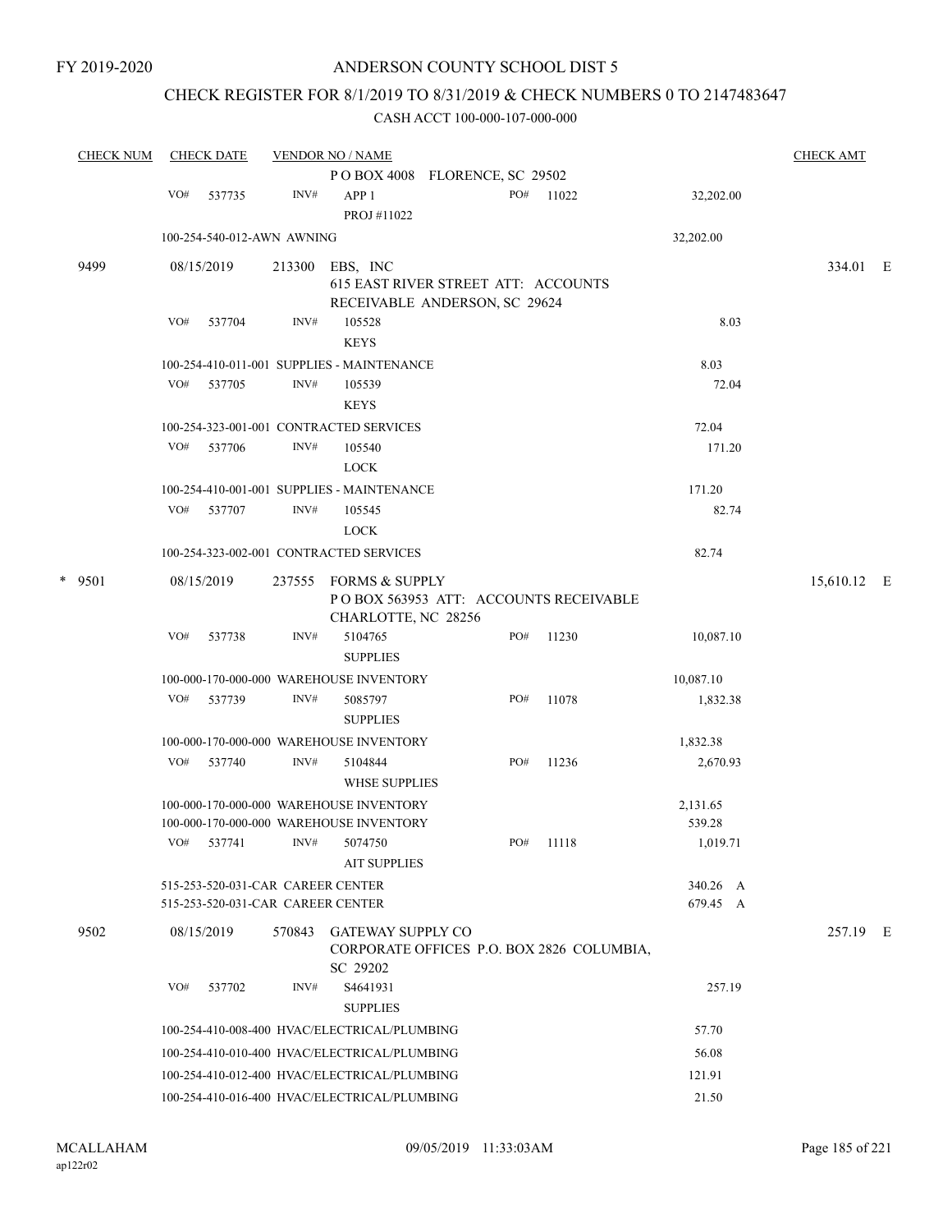# CHECK REGISTER FOR 8/1/2019 TO 8/31/2019 & CHECK NUMBERS 0 TO 2147483647

| <b>CHECK NUM</b> | <b>CHECK DATE</b><br><b>VENDOR NO / NAME</b> |                                                                        |        |                                                                                         |  |     |       |                      | <b>CHECK AMT</b> |  |
|------------------|----------------------------------------------|------------------------------------------------------------------------|--------|-----------------------------------------------------------------------------------------|--|-----|-------|----------------------|------------------|--|
|                  |                                              |                                                                        |        | POBOX 4008 FLORENCE, SC 29502                                                           |  |     |       |                      |                  |  |
|                  | VO#                                          | 537735                                                                 | INV#   | APP <sub>1</sub><br>PROJ #11022                                                         |  | PO# | 11022 | 32,202.00            |                  |  |
|                  |                                              | 100-254-540-012-AWN AWNING                                             |        |                                                                                         |  |     |       | 32,202.00            |                  |  |
| 9499             |                                              | 08/15/2019                                                             | 213300 | EBS, INC<br><b>615 EAST RIVER STREET ATT: ACCOUNTS</b><br>RECEIVABLE ANDERSON, SC 29624 |  |     |       |                      | 334.01 E         |  |
|                  | VO#                                          | 537704                                                                 | INV#   | 105528<br><b>KEYS</b>                                                                   |  |     |       | 8.03                 |                  |  |
|                  | VO#                                          | 537705                                                                 | INV#   | 100-254-410-011-001 SUPPLIES - MAINTENANCE<br>105539<br><b>KEYS</b>                     |  |     |       | 8.03<br>72.04        |                  |  |
|                  |                                              |                                                                        |        | 100-254-323-001-001 CONTRACTED SERVICES                                                 |  |     |       | 72.04                |                  |  |
|                  | VO#                                          | 537706                                                                 | INV#   | 105540<br><b>LOCK</b>                                                                   |  |     |       | 171.20               |                  |  |
|                  |                                              |                                                                        |        | 100-254-410-001-001 SUPPLIES - MAINTENANCE                                              |  |     |       | 171.20               |                  |  |
|                  |                                              | VO# 537707                                                             | INV#   | 105545<br><b>LOCK</b>                                                                   |  |     |       | 82.74                |                  |  |
|                  |                                              |                                                                        |        | 100-254-323-002-001 CONTRACTED SERVICES                                                 |  |     |       | 82.74                |                  |  |
| $*$ 9501         |                                              | 08/15/2019                                                             |        | 237555 FORMS & SUPPLY<br>POBOX 563953 ATT: ACCOUNTS RECEIVABLE<br>CHARLOTTE, NC 28256   |  |     |       |                      | 15,610.12 E      |  |
|                  | VO#                                          | 537738                                                                 | INV#   | 5104765<br><b>SUPPLIES</b>                                                              |  | PO# | 11230 | 10,087.10            |                  |  |
|                  |                                              |                                                                        |        | 100-000-170-000-000 WAREHOUSE INVENTORY                                                 |  |     |       | 10,087.10            |                  |  |
|                  | VO#                                          | 537739                                                                 | INV#   | 5085797<br><b>SUPPLIES</b>                                                              |  | PO# | 11078 | 1,832.38             |                  |  |
|                  |                                              |                                                                        |        | 100-000-170-000-000 WAREHOUSE INVENTORY                                                 |  |     |       | 1,832.38             |                  |  |
|                  | VO#                                          | 537740                                                                 | INV#   | 5104844<br><b>WHSE SUPPLIES</b>                                                         |  | PO# | 11236 | 2,670.93             |                  |  |
|                  |                                              |                                                                        |        | 100-000-170-000-000 WAREHOUSE INVENTORY<br>100-000-170-000-000 WAREHOUSE INVENTORY      |  |     |       | 2,131.65<br>539.28   |                  |  |
|                  |                                              | VO# 537741                                                             |        | $INV#$ 5074750<br><b>AIT SUPPLIES</b>                                                   |  | PO# | 11118 | 1,019.71             |                  |  |
|                  |                                              | 515-253-520-031-CAR CAREER CENTER<br>515-253-520-031-CAR CAREER CENTER |        |                                                                                         |  |     |       | 340.26 A<br>679.45 A |                  |  |
| 9502             |                                              | 08/15/2019                                                             |        | 570843 GATEWAY SUPPLY CO<br>CORPORATE OFFICES P.O. BOX 2826 COLUMBIA,<br>SC 29202       |  |     |       |                      | 257.19 E         |  |
|                  | VO#                                          | 537702                                                                 | INV#   | S4641931<br><b>SUPPLIES</b>                                                             |  |     |       | 257.19               |                  |  |
|                  |                                              |                                                                        |        | 100-254-410-008-400 HVAC/ELECTRICAL/PLUMBING                                            |  |     |       | 57.70                |                  |  |
|                  |                                              |                                                                        |        | 100-254-410-010-400 HVAC/ELECTRICAL/PLUMBING                                            |  |     |       | 56.08                |                  |  |
|                  |                                              |                                                                        |        | 100-254-410-012-400 HVAC/ELECTRICAL/PLUMBING                                            |  |     |       | 121.91               |                  |  |
|                  |                                              |                                                                        |        | 100-254-410-016-400 HVAC/ELECTRICAL/PLUMBING                                            |  |     |       | 21.50                |                  |  |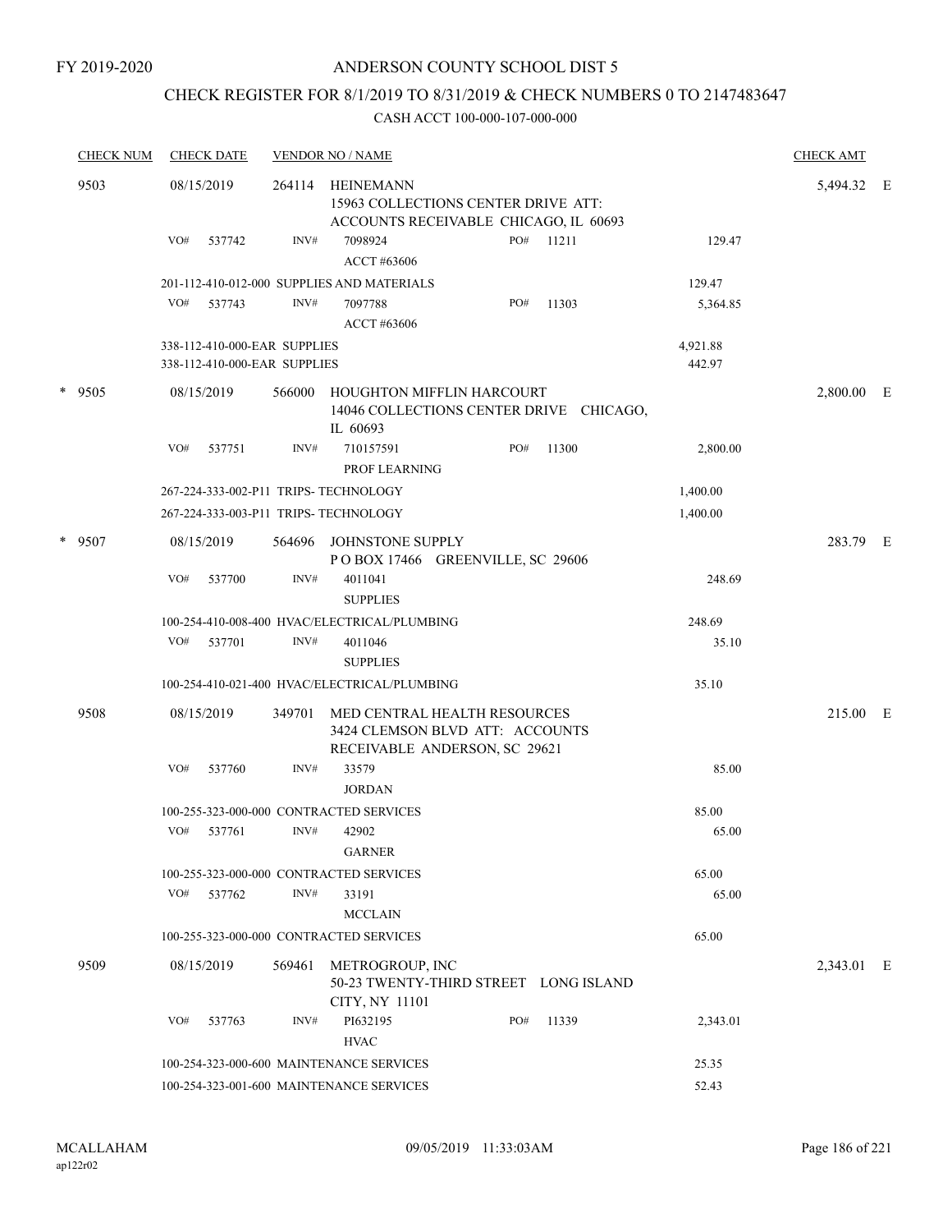### CHECK REGISTER FOR 8/1/2019 TO 8/31/2019 & CHECK NUMBERS 0 TO 2147483647

|  | <b>CHECK NUM</b> | <b>CHECK DATE</b>                                            |        | <b>VENDOR NO / NAME</b>                                                                          |     |       |                    | <b>CHECK AMT</b> |   |
|--|------------------|--------------------------------------------------------------|--------|--------------------------------------------------------------------------------------------------|-----|-------|--------------------|------------------|---|
|  | 9503             | 08/15/2019                                                   | 264114 | HEINEMANN<br>15963 COLLECTIONS CENTER DRIVE ATT:<br>ACCOUNTS RECEIVABLE CHICAGO, IL 60693        |     |       |                    | 5,494.32 E       |   |
|  |                  | VO#<br>537742                                                | INV#   | 7098924<br>ACCT #63606                                                                           | PO# | 11211 | 129.47             |                  |   |
|  |                  |                                                              |        | 201-112-410-012-000 SUPPLIES AND MATERIALS                                                       |     |       | 129.47             |                  |   |
|  |                  | VO#<br>537743                                                | INV#   | 7097788<br>ACCT #63606                                                                           | PO# | 11303 | 5,364.85           |                  |   |
|  |                  | 338-112-410-000-EAR SUPPLIES<br>338-112-410-000-EAR SUPPLIES |        |                                                                                                  |     |       | 4,921.88<br>442.97 |                  |   |
|  | $*$ 9505         | 08/15/2019                                                   | 566000 | HOUGHTON MIFFLIN HARCOURT<br>14046 COLLECTIONS CENTER DRIVE CHICAGO,<br>IL 60693                 |     |       |                    | 2,800.00         | E |
|  |                  | VO#<br>537751                                                | INV#   | 710157591<br>PROF LEARNING                                                                       | PO# | 11300 | 2,800.00           |                  |   |
|  |                  | 267-224-333-002-P11 TRIPS- TECHNOLOGY                        |        |                                                                                                  |     |       | 1,400.00           |                  |   |
|  |                  | 267-224-333-003-P11 TRIPS- TECHNOLOGY                        |        |                                                                                                  |     |       | 1,400.00           |                  |   |
|  | $*$ 9507         | 08/15/2019                                                   | 564696 | JOHNSTONE SUPPLY<br>POBOX 17466 GREENVILLE, SC 29606                                             |     |       |                    | 283.79 E         |   |
|  |                  | VO#<br>537700                                                | INV#   | 4011041<br><b>SUPPLIES</b>                                                                       |     |       | 248.69             |                  |   |
|  |                  |                                                              |        | 100-254-410-008-400 HVAC/ELECTRICAL/PLUMBING                                                     |     |       | 248.69             |                  |   |
|  |                  | VO# 537701                                                   | INV#   | 4011046                                                                                          |     |       | 35.10              |                  |   |
|  |                  |                                                              |        | <b>SUPPLIES</b>                                                                                  |     |       |                    |                  |   |
|  |                  |                                                              |        | 100-254-410-021-400 HVAC/ELECTRICAL/PLUMBING                                                     |     |       | 35.10              |                  |   |
|  | 9508             | 08/15/2019                                                   | 349701 | MED CENTRAL HEALTH RESOURCES<br>3424 CLEMSON BLVD ATT: ACCOUNTS<br>RECEIVABLE ANDERSON, SC 29621 |     |       |                    | 215.00 E         |   |
|  |                  | VO#<br>537760                                                | INV#   | 33579<br><b>JORDAN</b>                                                                           |     |       | 85.00              |                  |   |
|  |                  |                                                              |        | 100-255-323-000-000 CONTRACTED SERVICES                                                          |     |       | 85.00              |                  |   |
|  |                  | VO#<br>537761                                                | INV#   | 42902<br><b>GARNER</b>                                                                           |     |       | 65.00              |                  |   |
|  |                  |                                                              |        | 100-255-323-000-000 CONTRACTED SERVICES                                                          |     |       | 65.00              |                  |   |
|  |                  | VO# 537762                                                   | INV#   | 33191<br><b>MCCLAIN</b>                                                                          |     |       | 65.00              |                  |   |
|  |                  |                                                              |        | 100-255-323-000-000 CONTRACTED SERVICES                                                          |     |       | 65.00              |                  |   |
|  | 9509             | 08/15/2019                                                   | 569461 | METROGROUP, INC<br>50-23 TWENTY-THIRD STREET LONG ISLAND<br>CITY, NY 11101                       |     |       |                    | 2,343.01 E       |   |
|  |                  | VO#<br>537763                                                | INV#   | PI632195<br><b>HVAC</b>                                                                          | PO# | 11339 | 2,343.01           |                  |   |
|  |                  |                                                              |        | 100-254-323-000-600 MAINTENANCE SERVICES                                                         |     |       | 25.35              |                  |   |
|  |                  |                                                              |        | 100-254-323-001-600 MAINTENANCE SERVICES                                                         |     |       | 52.43              |                  |   |
|  |                  |                                                              |        |                                                                                                  |     |       |                    |                  |   |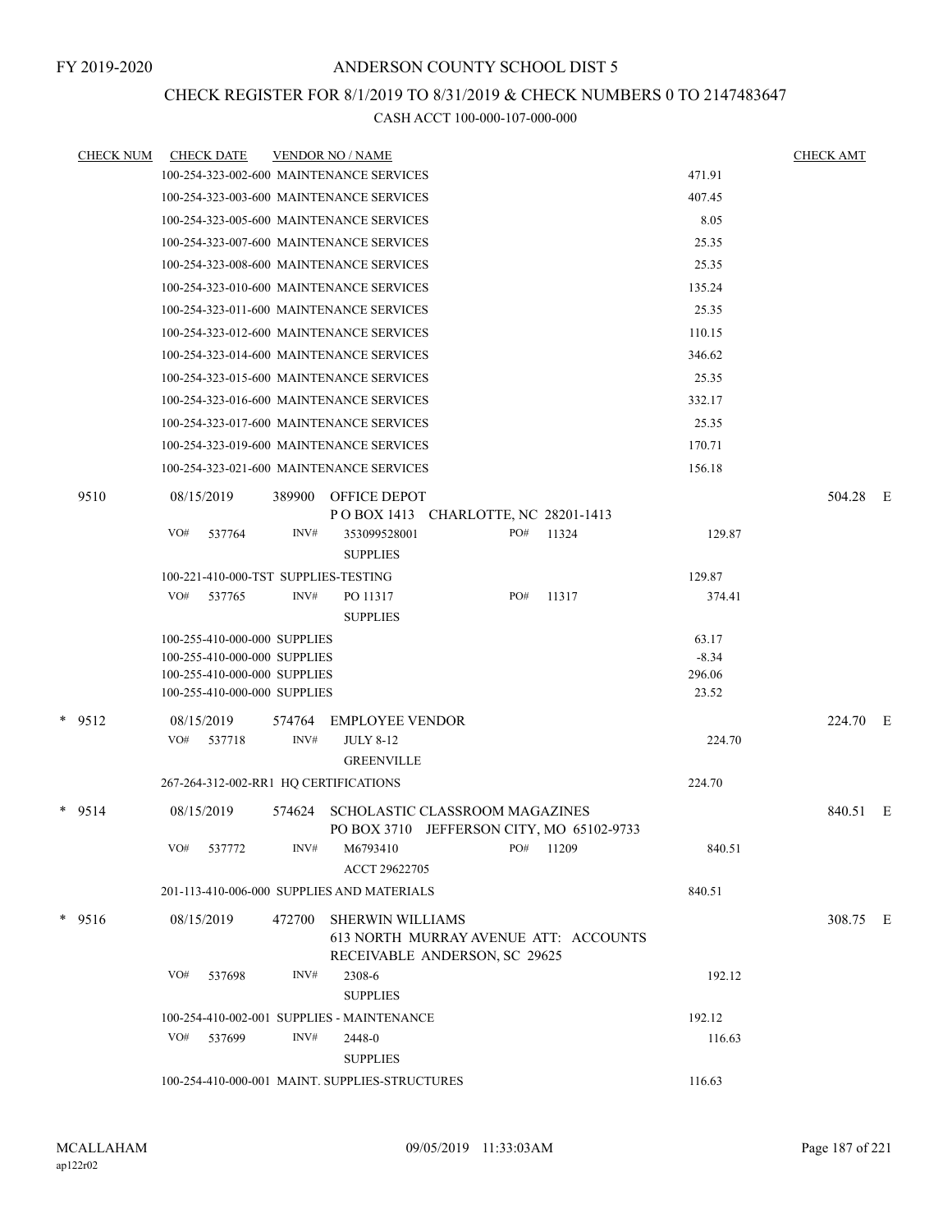### CHECK REGISTER FOR 8/1/2019 TO 8/31/2019 & CHECK NUMBERS 0 TO 2147483647

| <b>CHECK NUM</b> | <b>CHECK DATE</b>                        |        | <b>VENDOR NO / NAME</b>                                                     |     |       |                 | <b>CHECK AMT</b> |  |
|------------------|------------------------------------------|--------|-----------------------------------------------------------------------------|-----|-------|-----------------|------------------|--|
|                  | 100-254-323-002-600 MAINTENANCE SERVICES |        |                                                                             |     |       | 471.91          |                  |  |
|                  | 100-254-323-003-600 MAINTENANCE SERVICES |        |                                                                             |     |       | 407.45          |                  |  |
|                  | 100-254-323-005-600 MAINTENANCE SERVICES |        |                                                                             |     |       | 8.05            |                  |  |
|                  | 100-254-323-007-600 MAINTENANCE SERVICES |        |                                                                             |     |       | 25.35           |                  |  |
|                  | 100-254-323-008-600 MAINTENANCE SERVICES |        |                                                                             |     |       | 25.35           |                  |  |
|                  | 100-254-323-010-600 MAINTENANCE SERVICES |        |                                                                             |     |       | 135.24          |                  |  |
|                  | 100-254-323-011-600 MAINTENANCE SERVICES |        |                                                                             |     |       | 25.35           |                  |  |
|                  | 100-254-323-012-600 MAINTENANCE SERVICES |        |                                                                             |     |       | 110.15          |                  |  |
|                  | 100-254-323-014-600 MAINTENANCE SERVICES |        |                                                                             |     |       | 346.62          |                  |  |
|                  | 100-254-323-015-600 MAINTENANCE SERVICES |        |                                                                             |     |       | 25.35           |                  |  |
|                  | 100-254-323-016-600 MAINTENANCE SERVICES |        |                                                                             |     |       | 332.17          |                  |  |
|                  | 100-254-323-017-600 MAINTENANCE SERVICES |        |                                                                             |     |       | 25.35           |                  |  |
|                  | 100-254-323-019-600 MAINTENANCE SERVICES |        |                                                                             |     |       | 170.71          |                  |  |
|                  | 100-254-323-021-600 MAINTENANCE SERVICES |        |                                                                             |     |       | 156.18          |                  |  |
| 9510             | 08/15/2019                               | 389900 | <b>OFFICE DEPOT</b><br>POBOX 1413 CHARLOTTE, NC 28201-1413                  |     |       |                 | 504.28 E         |  |
|                  | VO#<br>537764                            | INV#   | 353099528001<br><b>SUPPLIES</b>                                             | PO# | 11324 | 129.87          |                  |  |
|                  | 100-221-410-000-TST SUPPLIES-TESTING     |        |                                                                             |     |       | 129.87          |                  |  |
|                  | VO#<br>537765                            | INV#   | PO 11317<br><b>SUPPLIES</b>                                                 | PO# | 11317 | 374.41          |                  |  |
|                  | 100-255-410-000-000 SUPPLIES             |        |                                                                             |     |       | 63.17           |                  |  |
|                  | 100-255-410-000-000 SUPPLIES             |        |                                                                             |     |       | $-8.34$         |                  |  |
|                  | 100-255-410-000-000 SUPPLIES             |        |                                                                             |     |       | 296.06<br>23.52 |                  |  |
|                  | 100-255-410-000-000 SUPPLIES             |        |                                                                             |     |       |                 |                  |  |
| $*$ 9512         | 08/15/2019                               | 574764 | <b>EMPLOYEE VENDOR</b>                                                      |     |       |                 | 224.70 E         |  |
|                  | VO#<br>537718                            | INV#   | <b>JULY 8-12</b><br><b>GREENVILLE</b>                                       |     |       | 224.70          |                  |  |
|                  | 267-264-312-002-RR1 HQ CERTIFICATIONS    |        |                                                                             |     |       | 224.70          |                  |  |
|                  |                                          |        |                                                                             |     |       |                 |                  |  |
| $*$ 9514         | 08/15/2019                               | 574624 | SCHOLASTIC CLASSROOM MAGAZINES<br>PO BOX 3710 JEFFERSON CITY, MO 65102-9733 |     |       |                 | 840.51 E         |  |
|                  | VO#<br>537772                            | INV#   | M6793410<br>ACCT 29622705                                                   | PO# | 11209 | 840.51          |                  |  |
|                  |                                          |        | 201-113-410-006-000 SUPPLIES AND MATERIALS                                  |     |       | 840.51          |                  |  |
| $*$ 9516         | 08/15/2019                               | 472700 | <b>SHERWIN WILLIAMS</b><br>613 NORTH MURRAY AVENUE ATT: ACCOUNTS            |     |       |                 | 308.75 E         |  |
|                  |                                          |        | RECEIVABLE ANDERSON, SC 29625                                               |     |       |                 |                  |  |
|                  | VO#<br>537698                            | INV#   | 2308-6                                                                      |     |       | 192.12          |                  |  |
|                  |                                          |        | <b>SUPPLIES</b>                                                             |     |       |                 |                  |  |
|                  |                                          |        | 100-254-410-002-001 SUPPLIES - MAINTENANCE                                  |     |       | 192.12          |                  |  |
|                  | VO#<br>537699                            | INV#   | 2448-0                                                                      |     |       | 116.63          |                  |  |
|                  |                                          |        | <b>SUPPLIES</b>                                                             |     |       |                 |                  |  |
|                  |                                          |        | 100-254-410-000-001 MAINT. SUPPLIES-STRUCTURES                              |     |       | 116.63          |                  |  |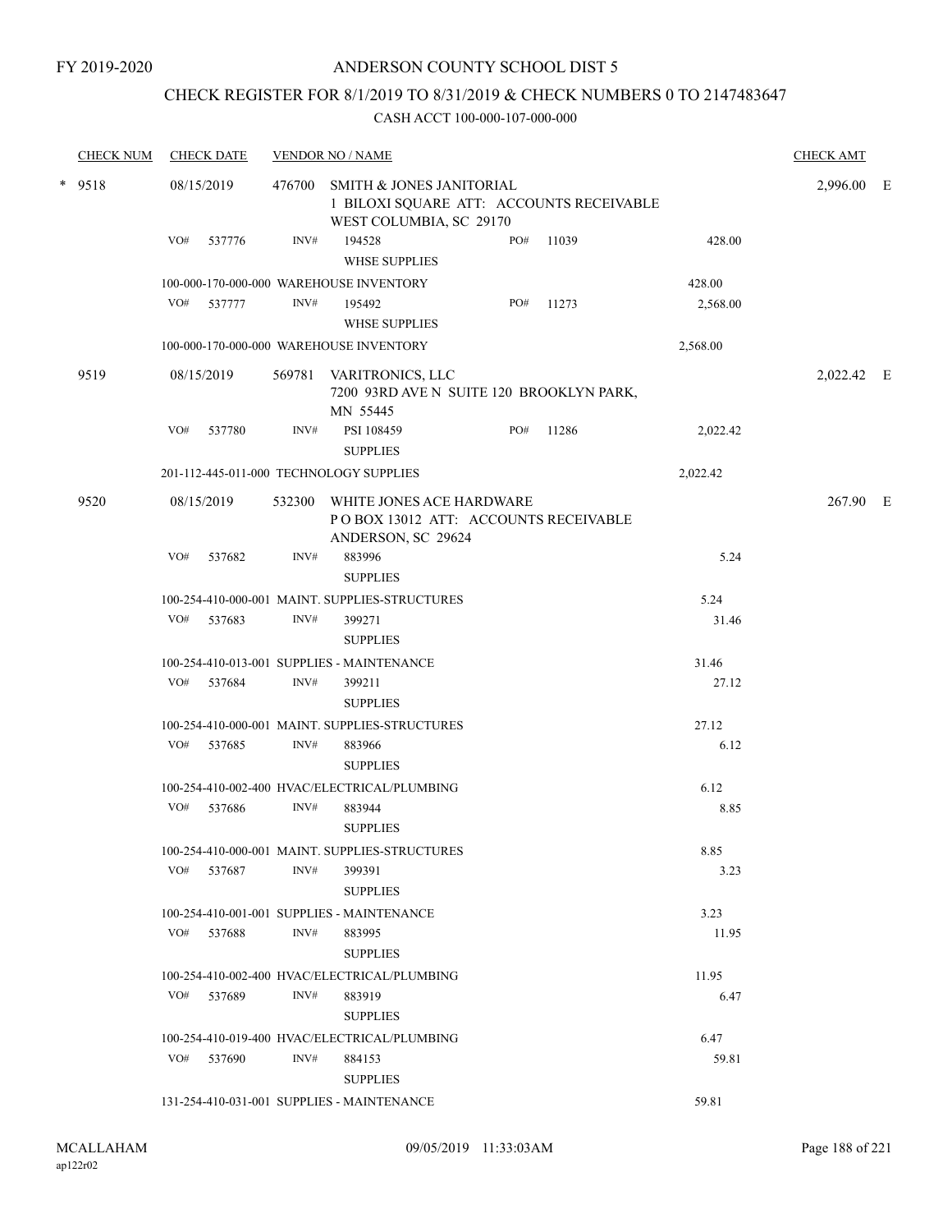## CHECK REGISTER FOR 8/1/2019 TO 8/31/2019 & CHECK NUMBERS 0 TO 2147483647

|        | <b>CHECK NUM</b> |            | <b>CHECK DATE</b> |        | <b>VENDOR NO / NAME</b>                                                                         |     |       |               | <b>CHECK AMT</b> |  |
|--------|------------------|------------|-------------------|--------|-------------------------------------------------------------------------------------------------|-----|-------|---------------|------------------|--|
| * 9518 |                  | 08/15/2019 |                   | 476700 | SMITH & JONES JANITORIAL<br>1 BILOXI SQUARE ATT: ACCOUNTS RECEIVABLE<br>WEST COLUMBIA, SC 29170 |     |       |               | 2,996.00 E       |  |
|        |                  | VO#        | 537776            | INV#   | 194528<br><b>WHSE SUPPLIES</b>                                                                  | PO# | 11039 | 428.00        |                  |  |
|        |                  |            |                   |        | 100-000-170-000-000 WAREHOUSE INVENTORY                                                         |     |       | 428.00        |                  |  |
|        |                  | VO#        | 537777            | INV#   | 195492                                                                                          | PO# | 11273 | 2,568.00      |                  |  |
|        |                  |            |                   |        | <b>WHSE SUPPLIES</b>                                                                            |     |       |               |                  |  |
|        |                  |            |                   |        | 100-000-170-000-000 WAREHOUSE INVENTORY                                                         |     |       | 2,568.00      |                  |  |
|        | 9519             |            | 08/15/2019        | 569781 | VARITRONICS, LLC<br>7200 93RD AVE N SUITE 120 BROOKLYN PARK,<br>MN 55445                        |     |       |               | 2,022.42 E       |  |
|        |                  | VO#        | 537780            | INV#   | PSI 108459                                                                                      | PO# | 11286 | 2,022.42      |                  |  |
|        |                  |            |                   |        | <b>SUPPLIES</b>                                                                                 |     |       |               |                  |  |
|        |                  |            |                   |        | 201-112-445-011-000 TECHNOLOGY SUPPLIES                                                         |     |       | 2,022.42      |                  |  |
|        | 9520             |            | 08/15/2019        | 532300 | WHITE JONES ACE HARDWARE<br>PO BOX 13012 ATT: ACCOUNTS RECEIVABLE<br>ANDERSON, SC 29624         |     |       |               | 267.90 E         |  |
|        |                  | VO#        | 537682            | INV#   | 883996                                                                                          |     |       | 5.24          |                  |  |
|        |                  |            |                   |        | <b>SUPPLIES</b>                                                                                 |     |       |               |                  |  |
|        |                  |            |                   |        | 100-254-410-000-001 MAINT. SUPPLIES-STRUCTURES                                                  |     |       | 5.24          |                  |  |
|        |                  | VO#        | 537683            | INV#   | 399271<br><b>SUPPLIES</b>                                                                       |     |       | 31.46         |                  |  |
|        |                  |            |                   |        | 100-254-410-013-001 SUPPLIES - MAINTENANCE                                                      |     |       | 31.46         |                  |  |
|        |                  | VO#        | 537684            | INV#   | 399211<br><b>SUPPLIES</b>                                                                       |     |       | 27.12         |                  |  |
|        |                  |            |                   |        | 100-254-410-000-001 MAINT. SUPPLIES-STRUCTURES                                                  |     |       | 27.12         |                  |  |
|        |                  | VO#        | 537685            | INV#   | 883966                                                                                          |     |       | 6.12          |                  |  |
|        |                  |            |                   |        | <b>SUPPLIES</b>                                                                                 |     |       |               |                  |  |
|        |                  |            |                   |        | 100-254-410-002-400 HVAC/ELECTRICAL/PLUMBING                                                    |     |       | 6.12          |                  |  |
|        |                  | VO#        | 537686            | INV#   | 883944<br><b>SUPPLIES</b>                                                                       |     |       | 8.85          |                  |  |
|        |                  |            |                   |        | 100-254-410-000-001 MAINT. SUPPLIES-STRUCTURES                                                  |     |       | 8.85          |                  |  |
|        |                  | VO#        | 537687            | INV#   | 399391<br><b>SUPPLIES</b>                                                                       |     |       | 3.23          |                  |  |
|        |                  |            |                   |        | 100-254-410-001-001 SUPPLIES - MAINTENANCE                                                      |     |       | 3.23          |                  |  |
|        |                  |            | VO# 537688        | INV#   | 883995<br><b>SUPPLIES</b>                                                                       |     |       | 11.95         |                  |  |
|        |                  |            |                   |        | 100-254-410-002-400 HVAC/ELECTRICAL/PLUMBING                                                    |     |       |               |                  |  |
|        |                  | VO#        | 537689            | INV#   | 883919                                                                                          |     |       | 11.95<br>6.47 |                  |  |
|        |                  |            |                   |        | <b>SUPPLIES</b>                                                                                 |     |       |               |                  |  |
|        |                  |            |                   |        | 100-254-410-019-400 HVAC/ELECTRICAL/PLUMBING                                                    |     |       | 6.47          |                  |  |
|        |                  |            | VO# 537690        | INV#   | 884153<br><b>SUPPLIES</b>                                                                       |     |       | 59.81         |                  |  |
|        |                  |            |                   |        | 131-254-410-031-001 SUPPLIES - MAINTENANCE                                                      |     |       | 59.81         |                  |  |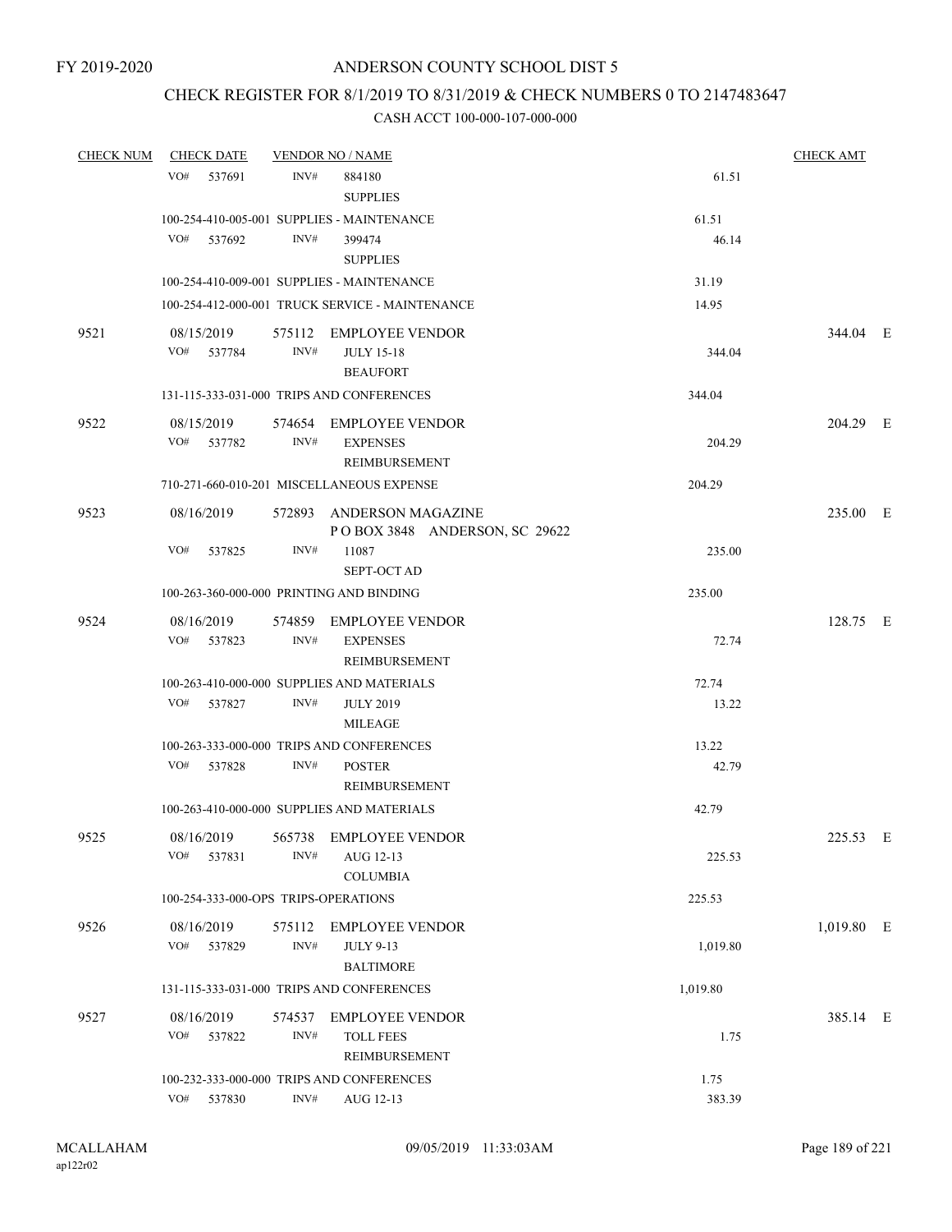### CHECK REGISTER FOR 8/1/2019 TO 8/31/2019 & CHECK NUMBERS 0 TO 2147483647

| <b>CHECK NUM</b> | <b>CHECK DATE</b>                        |                | <b>VENDOR NO / NAME</b>                                                          |                | <b>CHECK AMT</b> |  |
|------------------|------------------------------------------|----------------|----------------------------------------------------------------------------------|----------------|------------------|--|
|                  | VO#<br>537691                            | INV#           | 884180<br><b>SUPPLIES</b>                                                        | 61.51          |                  |  |
|                  |                                          |                | 100-254-410-005-001 SUPPLIES - MAINTENANCE                                       | 61.51          |                  |  |
|                  | VO#<br>537692                            | INV#           | 399474<br><b>SUPPLIES</b>                                                        | 46.14          |                  |  |
|                  |                                          |                | 100-254-410-009-001 SUPPLIES - MAINTENANCE                                       | 31.19          |                  |  |
|                  |                                          |                | 100-254-412-000-001 TRUCK SERVICE - MAINTENANCE                                  | 14.95          |                  |  |
| 9521             | 08/15/2019<br>VO#<br>537784              | INV#           | 575112 EMPLOYEE VENDOR<br><b>JULY 15-18</b><br><b>BEAUFORT</b>                   | 344.04         | 344.04 E         |  |
|                  |                                          |                | 131-115-333-031-000 TRIPS AND CONFERENCES                                        | 344.04         |                  |  |
| 9522             | 08/15/2019<br>VO# 537782                 | INV#           | 574654 EMPLOYEE VENDOR<br><b>EXPENSES</b><br><b>REIMBURSEMENT</b>                | 204.29         | 204.29 E         |  |
|                  |                                          |                | 710-271-660-010-201 MISCELLANEOUS EXPENSE                                        | 204.29         |                  |  |
| 9523             | 08/16/2019                               |                | 572893 ANDERSON MAGAZINE<br>POBOX 3848 ANDERSON, SC 29622                        |                | 235.00 E         |  |
|                  | VO#<br>537825                            | INV#           | 11087<br><b>SEPT-OCT AD</b>                                                      | 235.00         |                  |  |
|                  | 100-263-360-000-000 PRINTING AND BINDING |                |                                                                                  | 235.00         |                  |  |
| 9524             | 08/16/2019<br>VO#<br>537823              | INV#           | 574859 EMPLOYEE VENDOR<br><b>EXPENSES</b>                                        | 72.74          | 128.75 E         |  |
|                  |                                          |                | REIMBURSEMENT                                                                    |                |                  |  |
|                  | VO#<br>537827                            | INV#           | 100-263-410-000-000 SUPPLIES AND MATERIALS<br><b>JULY 2019</b><br><b>MILEAGE</b> | 72.74<br>13.22 |                  |  |
|                  |                                          |                | 100-263-333-000-000 TRIPS AND CONFERENCES                                        | 13.22          |                  |  |
|                  | VO#<br>537828                            | INV#           | <b>POSTER</b><br>REIMBURSEMENT                                                   | 42.79          |                  |  |
|                  |                                          |                | 100-263-410-000-000 SUPPLIES AND MATERIALS                                       | 42.79          |                  |  |
| 9525             | 08/16/2019<br>VO#<br>537831              | 565738<br>INV# | EMPLOYEE VENDOR<br>AUG 12-13<br><b>COLUMBIA</b>                                  | 225.53         | 225.53 E         |  |
|                  | 100-254-333-000-OPS TRIPS-OPERATIONS     |                |                                                                                  | 225.53         |                  |  |
| 9526             | 08/16/2019<br>VO#<br>537829              | 575112<br>INV# | <b>EMPLOYEE VENDOR</b><br><b>JULY 9-13</b><br><b>BALTIMORE</b>                   | 1,019.80       | 1,019.80 E       |  |
|                  |                                          |                | 131-115-333-031-000 TRIPS AND CONFERENCES                                        | 1,019.80       |                  |  |
| 9527             | 08/16/2019<br>VO#<br>537822              | 574537<br>INV# | <b>EMPLOYEE VENDOR</b><br><b>TOLL FEES</b><br>REIMBURSEMENT                      | 1.75           | 385.14 E         |  |
|                  |                                          |                | 100-232-333-000-000 TRIPS AND CONFERENCES                                        | 1.75           |                  |  |
|                  | VO#<br>537830                            | INV#           | AUG 12-13                                                                        | 383.39         |                  |  |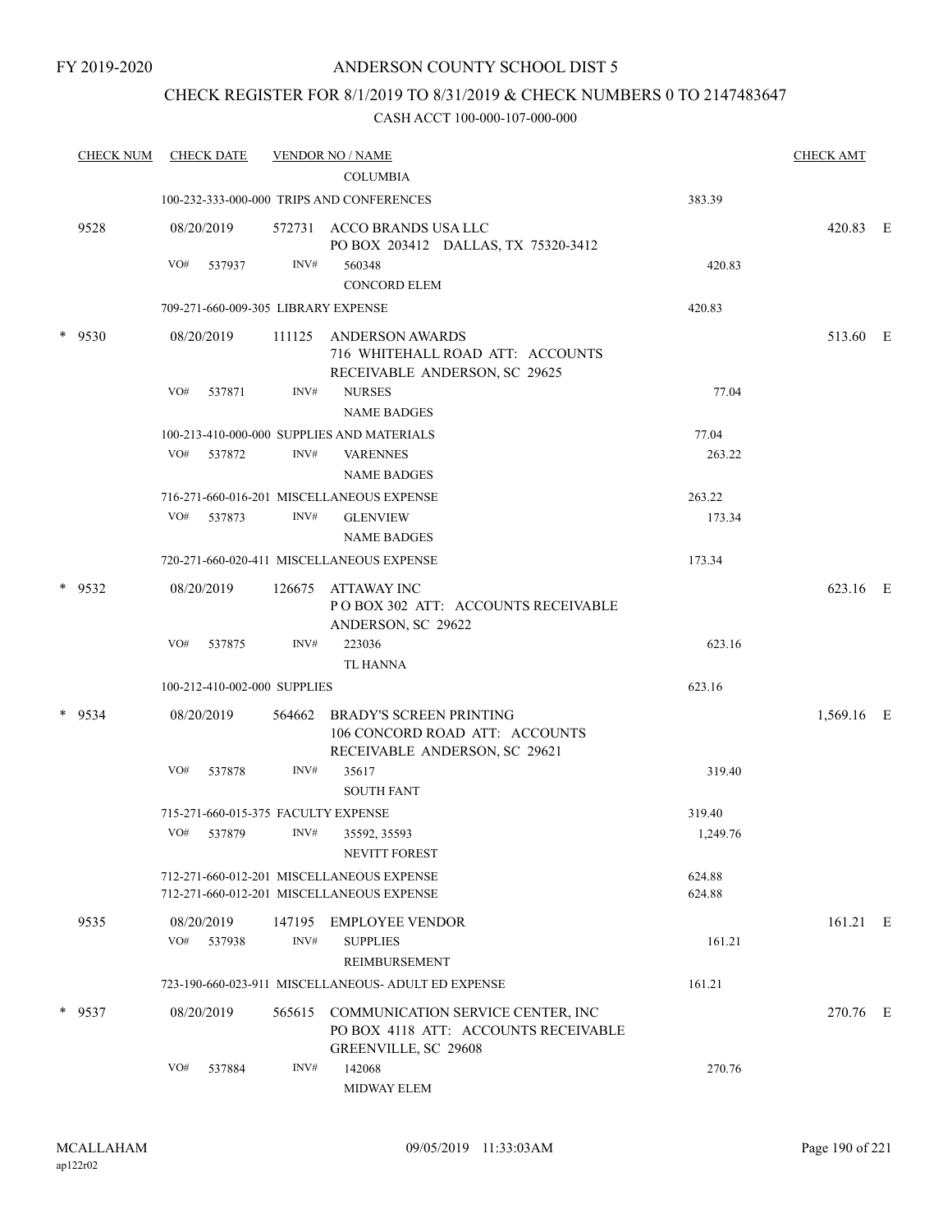### CHECK REGISTER FOR 8/1/2019 TO 8/31/2019 & CHECK NUMBERS 0 TO 2147483647

| <b>CHECK NUM</b> | <b>CHECK DATE</b>                   |        | <b>VENDOR NO / NAME</b>                                                                           |          | <b>CHECK AMT</b> |  |
|------------------|-------------------------------------|--------|---------------------------------------------------------------------------------------------------|----------|------------------|--|
|                  |                                     |        | <b>COLUMBIA</b>                                                                                   |          |                  |  |
|                  |                                     |        | 100-232-333-000-000 TRIPS AND CONFERENCES                                                         | 383.39   |                  |  |
| 9528             | 08/20/2019                          |        | 572731 ACCO BRANDS USA LLC<br>PO BOX 203412 DALLAS, TX 75320-3412                                 |          | 420.83 E         |  |
|                  | VO#<br>537937                       | INV#   | 560348<br><b>CONCORD ELEM</b>                                                                     | 420.83   |                  |  |
|                  | 709-271-660-009-305 LIBRARY EXPENSE |        |                                                                                                   | 420.83   |                  |  |
| $*$ 9530         | 08/20/2019                          | 111125 | ANDERSON AWARDS<br>716 WHITEHALL ROAD ATT: ACCOUNTS<br>RECEIVABLE ANDERSON, SC 29625              |          | 513.60 E         |  |
|                  | VO#<br>537871                       | INV#   | <b>NURSES</b><br><b>NAME BADGES</b>                                                               | 77.04    |                  |  |
|                  |                                     |        | 100-213-410-000-000 SUPPLIES AND MATERIALS                                                        | 77.04    |                  |  |
|                  | VO#<br>537872                       | INV#   | <b>VARENNES</b><br><b>NAME BADGES</b>                                                             | 263.22   |                  |  |
|                  |                                     |        | 716-271-660-016-201 MISCELLANEOUS EXPENSE                                                         | 263.22   |                  |  |
|                  | VO#<br>537873                       | INV#   | <b>GLENVIEW</b>                                                                                   | 173.34   |                  |  |
|                  |                                     |        | <b>NAME BADGES</b>                                                                                |          |                  |  |
|                  |                                     |        | 720-271-660-020-411 MISCELLANEOUS EXPENSE                                                         | 173.34   |                  |  |
| * 9532           | 08/20/2019                          | 126675 | ATTAWAY INC<br>POBOX 302 ATT: ACCOUNTS RECEIVABLE<br>ANDERSON, SC 29622                           |          | 623.16 E         |  |
|                  | VO#<br>537875                       | INV#   | 223036<br><b>TL HANNA</b>                                                                         | 623.16   |                  |  |
|                  | 100-212-410-002-000 SUPPLIES        |        |                                                                                                   | 623.16   |                  |  |
| $*$ 9534         | 08/20/2019                          | 564662 | <b>BRADY'S SCREEN PRINTING</b><br>106 CONCORD ROAD ATT: ACCOUNTS<br>RECEIVABLE ANDERSON, SC 29621 |          | 1,569.16 E       |  |
|                  | VO#<br>537878                       | INV#   | 35617<br><b>SOUTH FANT</b>                                                                        | 319.40   |                  |  |
|                  | 715-271-660-015-375 FACULTY EXPENSE |        |                                                                                                   | 319.40   |                  |  |
|                  | VO#<br>537879                       | INV#   | 35592, 35593<br><b>NEVITT FOREST</b>                                                              | 1,249.76 |                  |  |
|                  |                                     |        | 712-271-660-012-201 MISCELLANEOUS EXPENSE                                                         | 624.88   |                  |  |
|                  |                                     |        | 712-271-660-012-201 MISCELLANEOUS EXPENSE                                                         | 624.88   |                  |  |
| 9535             | 08/20/2019                          | 147195 | <b>EMPLOYEE VENDOR</b>                                                                            |          | $161.21$ E       |  |
|                  | VO#<br>537938                       | INV#   | <b>SUPPLIES</b><br>REIMBURSEMENT                                                                  | 161.21   |                  |  |
|                  |                                     |        | 723-190-660-023-911 MISCELLANEOUS- ADULT ED EXPENSE                                               | 161.21   |                  |  |
| $*$ 9537         | 08/20/2019                          | 565615 | COMMUNICATION SERVICE CENTER, INC<br>PO BOX 4118 ATT: ACCOUNTS RECEIVABLE<br>GREENVILLE, SC 29608 |          | 270.76 E         |  |
|                  | VO#<br>537884                       | INV#   | 142068<br>MIDWAY ELEM                                                                             | 270.76   |                  |  |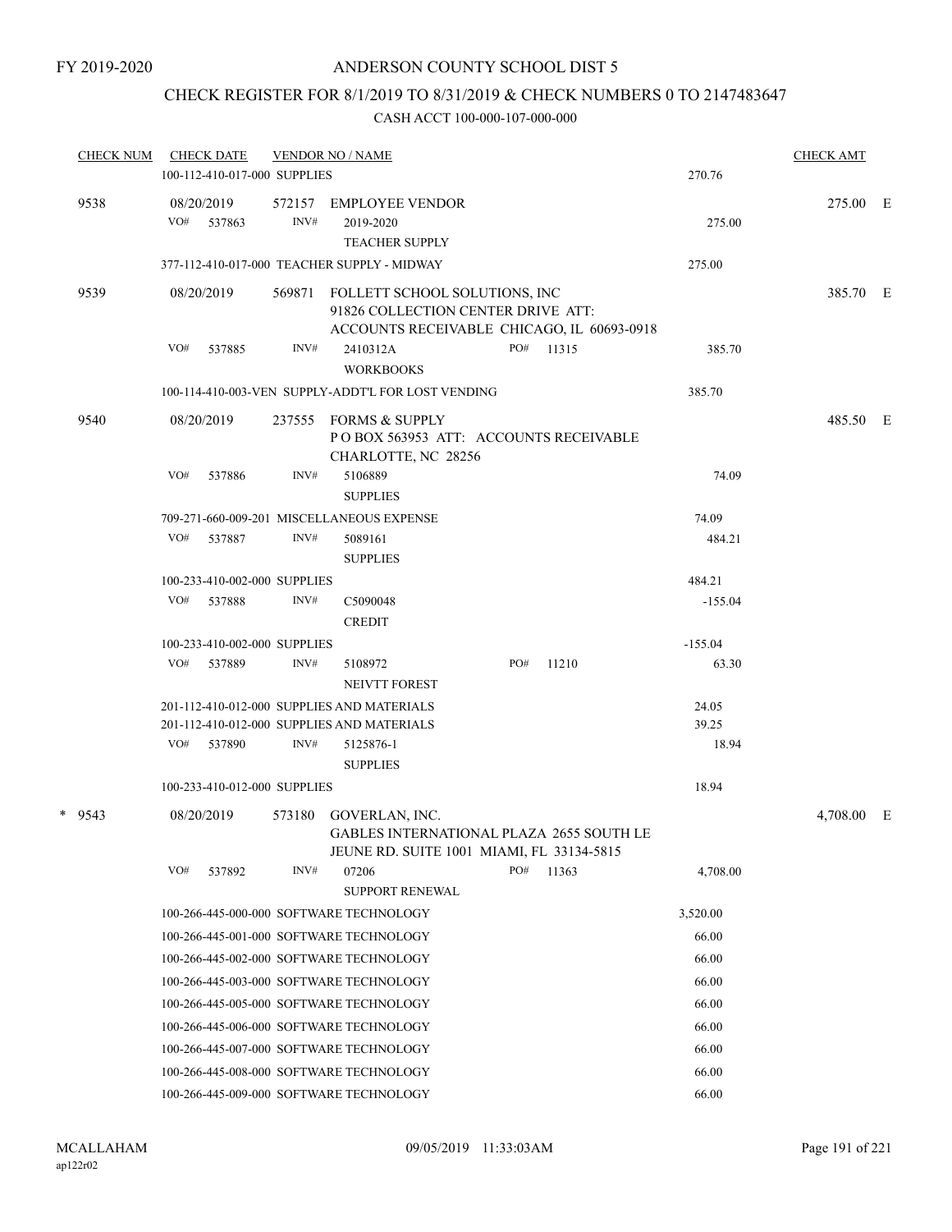# CHECK REGISTER FOR 8/1/2019 TO 8/31/2019 & CHECK NUMBERS 0 TO 2147483647

| <b>CHECK NUM</b> | <b>CHECK DATE</b>            |        | <b>VENDOR NO / NAME</b>                                                                                               |     |           |                | <b>CHECK AMT</b> |   |
|------------------|------------------------------|--------|-----------------------------------------------------------------------------------------------------------------------|-----|-----------|----------------|------------------|---|
|                  | 100-112-410-017-000 SUPPLIES |        |                                                                                                                       |     |           | 270.76         |                  |   |
| 9538             | 08/20/2019<br>VO#<br>537863  | INV#   | 572157 EMPLOYEE VENDOR<br>2019-2020<br><b>TEACHER SUPPLY</b>                                                          |     |           | 275.00         | 275.00 E         |   |
|                  |                              |        | 377-112-410-017-000 TEACHER SUPPLY - MIDWAY                                                                           |     |           | 275.00         |                  |   |
| 9539             | 08/20/2019                   | 569871 | FOLLETT SCHOOL SOLUTIONS, INC<br>91826 COLLECTION CENTER DRIVE ATT:<br>ACCOUNTS RECEIVABLE CHICAGO, IL 60693-0918     |     |           |                | 385.70 E         |   |
|                  | VO# 537885                   | INV#   | 2410312A<br><b>WORKBOOKS</b>                                                                                          |     | PO# 11315 | 385.70         |                  |   |
|                  |                              |        | 100-114-410-003-VEN SUPPLY-ADDT'L FOR LOST VENDING                                                                    |     |           | 385.70         |                  |   |
| 9540             | 08/20/2019                   |        | 237555 FORMS & SUPPLY<br>POBOX 563953 ATT: ACCOUNTS RECEIVABLE<br>CHARLOTTE, NC 28256                                 |     |           |                | 485.50 E         |   |
|                  | VO#<br>537886                | INV#   | 5106889<br><b>SUPPLIES</b>                                                                                            |     |           | 74.09          |                  |   |
|                  |                              |        | 709-271-660-009-201 MISCELLANEOUS EXPENSE                                                                             |     |           | 74.09          |                  |   |
|                  | VO#<br>537887                | INV#   | 5089161<br><b>SUPPLIES</b>                                                                                            |     |           | 484.21         |                  |   |
|                  | 100-233-410-002-000 SUPPLIES |        |                                                                                                                       |     |           | 484.21         |                  |   |
|                  | VO#<br>537888                | INV#   | C5090048<br><b>CREDIT</b>                                                                                             |     |           | $-155.04$      |                  |   |
|                  | 100-233-410-002-000 SUPPLIES |        |                                                                                                                       |     |           | $-155.04$      |                  |   |
|                  | VO#<br>537889                | INV#   | 5108972<br>NEIVTT FOREST                                                                                              | PO# | 11210     | 63.30          |                  |   |
|                  |                              |        | 201-112-410-012-000 SUPPLIES AND MATERIALS<br>201-112-410-012-000 SUPPLIES AND MATERIALS                              |     |           | 24.05<br>39.25 |                  |   |
|                  | VO#<br>537890                | INV#   | 5125876-1<br><b>SUPPLIES</b>                                                                                          |     |           | 18.94          |                  |   |
|                  | 100-233-410-012-000 SUPPLIES |        |                                                                                                                       |     |           | 18.94          |                  |   |
| * 9543           | 08/20/2019                   |        | 573180 GOVERLAN, INC.<br><b>GABLES INTERNATIONAL PLAZA 2655 SOUTH LE</b><br>JEUNE RD. SUITE 1001 MIAMI, FL 33134-5815 |     |           |                | 4,708.00         | E |
|                  | VO#<br>537892                | INV#   | 07206<br><b>SUPPORT RENEWAL</b>                                                                                       | PO# | 11363     | 4,708.00       |                  |   |
|                  |                              |        | 100-266-445-000-000 SOFTWARE TECHNOLOGY                                                                               |     |           | 3,520.00       |                  |   |
|                  |                              |        | 100-266-445-001-000 SOFTWARE TECHNOLOGY                                                                               |     |           | 66.00          |                  |   |
|                  |                              |        | 100-266-445-002-000 SOFTWARE TECHNOLOGY                                                                               |     |           | 66.00          |                  |   |
|                  |                              |        | 100-266-445-003-000 SOFTWARE TECHNOLOGY                                                                               |     |           | 66.00          |                  |   |
|                  |                              |        | 100-266-445-005-000 SOFTWARE TECHNOLOGY                                                                               |     |           | 66.00          |                  |   |
|                  |                              |        | 100-266-445-006-000 SOFTWARE TECHNOLOGY                                                                               |     |           | 66.00          |                  |   |
|                  |                              |        | 100-266-445-007-000 SOFTWARE TECHNOLOGY                                                                               |     |           | 66.00          |                  |   |
|                  |                              |        | 100-266-445-008-000 SOFTWARE TECHNOLOGY                                                                               |     |           | 66.00          |                  |   |
|                  |                              |        | 100-266-445-009-000 SOFTWARE TECHNOLOGY                                                                               |     |           | 66.00          |                  |   |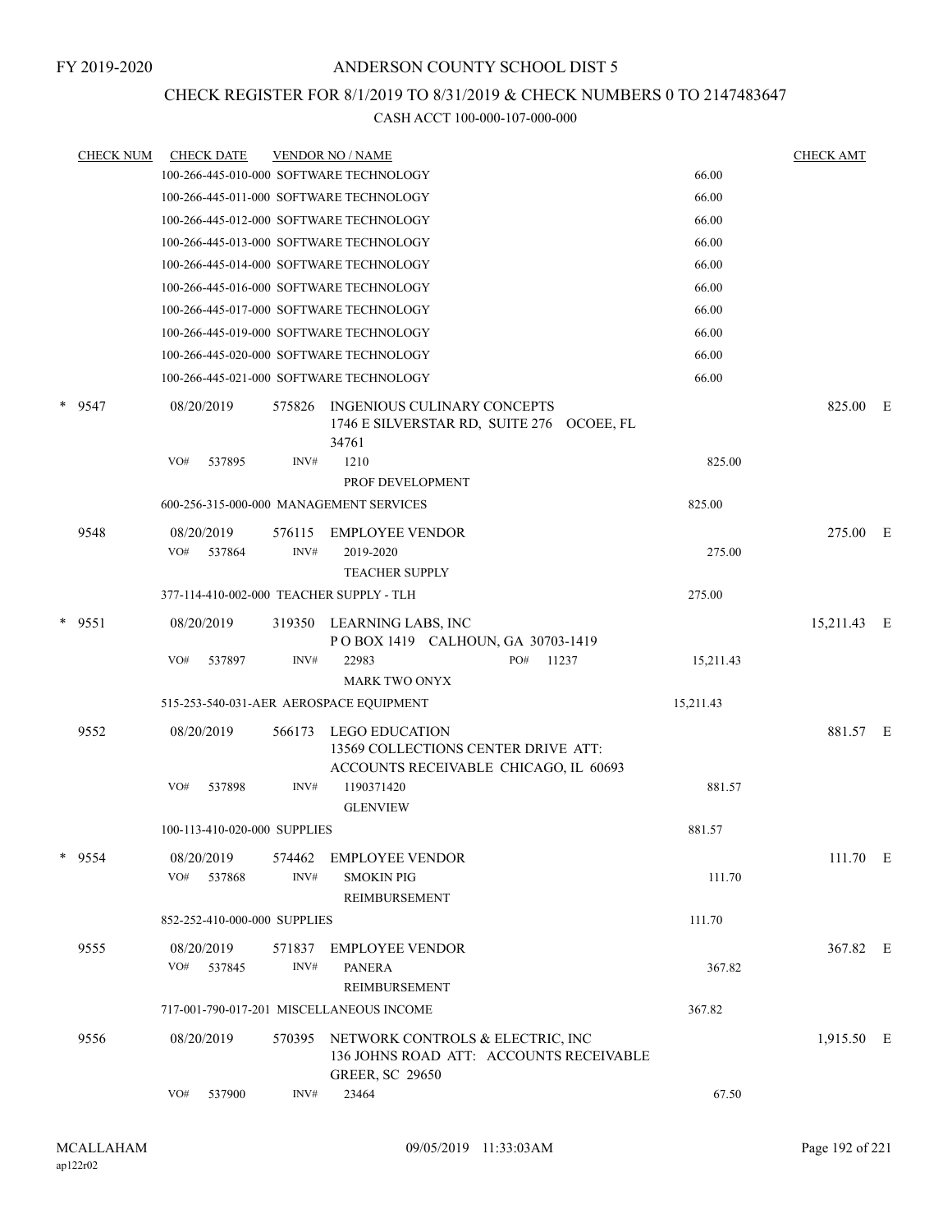### CHECK REGISTER FOR 8/1/2019 TO 8/31/2019 & CHECK NUMBERS 0 TO 2147483647

| <b>CHECK NUM</b> | <b>CHECK DATE</b>                        |        | <b>VENDOR NO / NAME</b>                                                                               |              |           | <b>CHECK AMT</b> |  |
|------------------|------------------------------------------|--------|-------------------------------------------------------------------------------------------------------|--------------|-----------|------------------|--|
|                  | 100-266-445-010-000 SOFTWARE TECHNOLOGY  |        |                                                                                                       |              | 66.00     |                  |  |
|                  | 100-266-445-011-000 SOFTWARE TECHNOLOGY  |        |                                                                                                       |              | 66.00     |                  |  |
|                  | 100-266-445-012-000 SOFTWARE TECHNOLOGY  |        |                                                                                                       |              | 66.00     |                  |  |
|                  | 100-266-445-013-000 SOFTWARE TECHNOLOGY  |        |                                                                                                       |              | 66.00     |                  |  |
|                  | 100-266-445-014-000 SOFTWARE TECHNOLOGY  |        |                                                                                                       |              | 66.00     |                  |  |
|                  | 100-266-445-016-000 SOFTWARE TECHNOLOGY  |        |                                                                                                       |              | 66.00     |                  |  |
|                  | 100-266-445-017-000 SOFTWARE TECHNOLOGY  |        |                                                                                                       |              | 66.00     |                  |  |
|                  | 100-266-445-019-000 SOFTWARE TECHNOLOGY  |        |                                                                                                       |              | 66.00     |                  |  |
|                  | 100-266-445-020-000 SOFTWARE TECHNOLOGY  |        |                                                                                                       |              | 66.00     |                  |  |
|                  | 100-266-445-021-000 SOFTWARE TECHNOLOGY  |        |                                                                                                       |              | 66.00     |                  |  |
| $*$ 9547         | 08/20/2019                               | 575826 | INGENIOUS CULINARY CONCEPTS<br>1746 E SILVERSTAR RD, SUITE 276 OCOEE, FL<br>34761                     |              |           | 825.00 E         |  |
|                  | VO#<br>537895                            | INV#   | 1210<br>PROF DEVELOPMENT                                                                              |              | 825.00    |                  |  |
|                  | 600-256-315-000-000 MANAGEMENT SERVICES  |        |                                                                                                       |              | 825.00    |                  |  |
| 9548             | 08/20/2019                               | 576115 | EMPLOYEE VENDOR                                                                                       |              |           | 275.00 E         |  |
|                  | VO#<br>537864                            | INV#   | 2019-2020<br><b>TEACHER SUPPLY</b>                                                                    |              | 275.00    |                  |  |
|                  | 377-114-410-002-000 TEACHER SUPPLY - TLH |        |                                                                                                       |              | 275.00    |                  |  |
| $*$ 9551         | 08/20/2019                               | 319350 | LEARNING LABS, INC<br>POBOX 1419 CALHOUN, GA 30703-1419                                               |              |           | 15,211.43 E      |  |
|                  | VO#<br>537897                            | INV#   | 22983<br><b>MARK TWO ONYX</b>                                                                         | PO#<br>11237 | 15,211.43 |                  |  |
|                  | 515-253-540-031-AER AEROSPACE EQUIPMENT  |        |                                                                                                       |              | 15,211.43 |                  |  |
| 9552             | 08/20/2019                               | 566173 | <b>LEGO EDUCATION</b><br>13569 COLLECTIONS CENTER DRIVE ATT:<br>ACCOUNTS RECEIVABLE CHICAGO, IL 60693 |              |           | 881.57 E         |  |
|                  | VO#<br>537898                            | INV#   | 1190371420<br><b>GLENVIEW</b>                                                                         |              | 881.57    |                  |  |
|                  | 100-113-410-020-000 SUPPLIES             |        |                                                                                                       |              | 881.57    |                  |  |
| * 9554           | 08/20/2019                               | 574462 | <b>EMPLOYEE VENDOR</b>                                                                                |              |           | 111.70 E         |  |
|                  | VO#<br>537868                            | INV#   | <b>SMOKIN PIG</b><br><b>REIMBURSEMENT</b>                                                             |              | 111.70    |                  |  |
|                  | 852-252-410-000-000 SUPPLIES             |        |                                                                                                       |              | 111.70    |                  |  |
| 9555             | 08/20/2019                               | 571837 | <b>EMPLOYEE VENDOR</b>                                                                                |              |           | 367.82 E         |  |
|                  | VO# 537845                               | INV#   | <b>PANERA</b><br>REIMBURSEMENT                                                                        |              | 367.82    |                  |  |
|                  |                                          |        | 717-001-790-017-201 MISCELLANEOUS INCOME                                                              |              | 367.82    |                  |  |
| 9556             | 08/20/2019                               | 570395 | NETWORK CONTROLS & ELECTRIC, INC<br>136 JOHNS ROAD ATT: ACCOUNTS RECEIVABLE<br><b>GREER, SC 29650</b> |              |           | 1,915.50 E       |  |
|                  | VO#<br>537900                            | INV#   | 23464                                                                                                 |              | 67.50     |                  |  |
|                  |                                          |        |                                                                                                       |              |           |                  |  |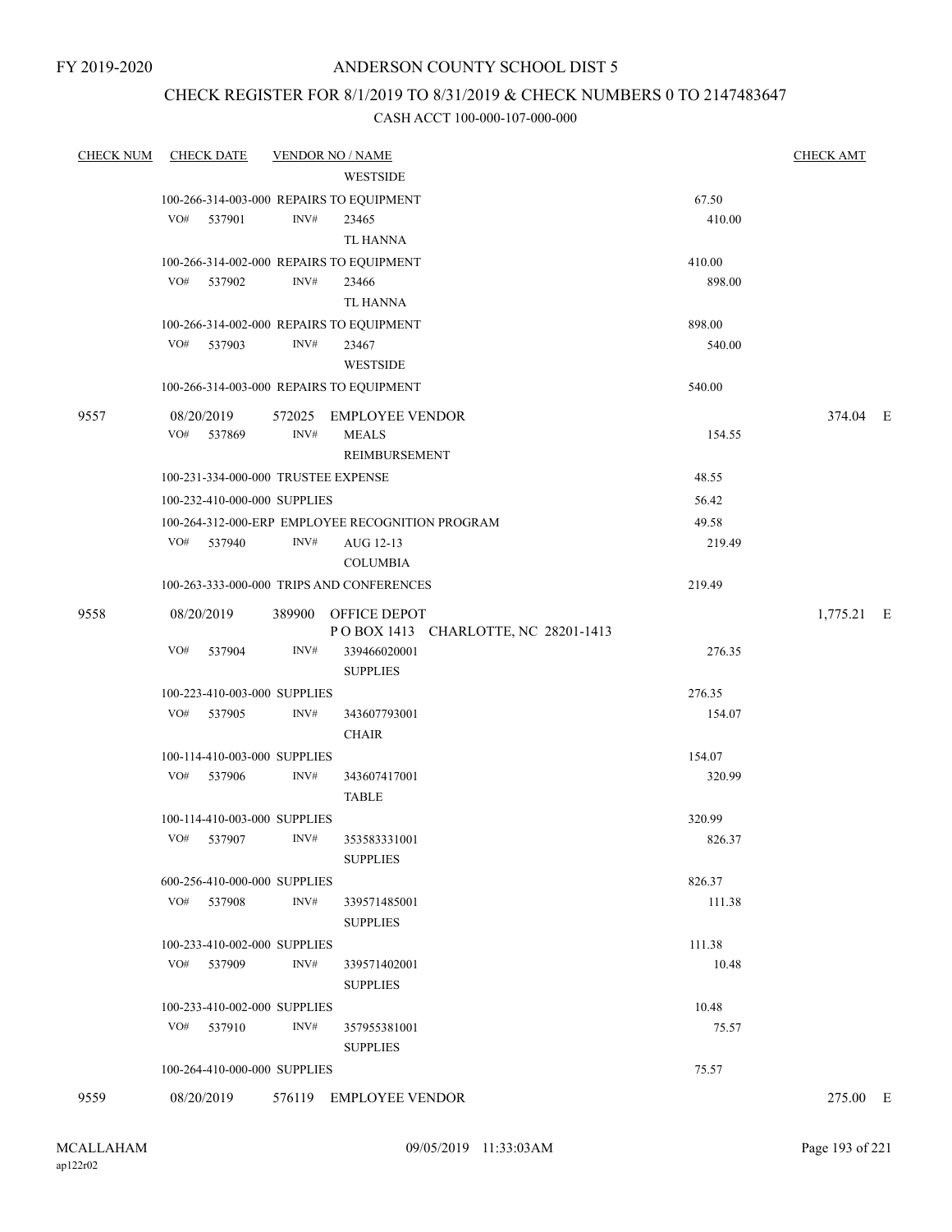FY 2019-2020

### ANDERSON COUNTY SCHOOL DIST 5

### CHECK REGISTER FOR 8/1/2019 TO 8/31/2019 & CHECK NUMBERS 0 TO 2147483647

| <b>CHECK NUM</b> | <b>CHECK DATE</b>                         | <b>VENDOR NO / NAME</b> |                                                  |        | <b>CHECK AMT</b> |  |
|------------------|-------------------------------------------|-------------------------|--------------------------------------------------|--------|------------------|--|
|                  |                                           |                         | WESTSIDE                                         |        |                  |  |
|                  | 100-266-314-003-000 REPAIRS TO EQUIPMENT  |                         |                                                  | 67.50  |                  |  |
|                  | VO#<br>537901                             | INV#                    | 23465                                            | 410.00 |                  |  |
|                  |                                           |                         | TL HANNA                                         |        |                  |  |
|                  | 100-266-314-002-000 REPAIRS TO EQUIPMENT  |                         |                                                  | 410.00 |                  |  |
|                  | VO# 537902                                | INV#                    | 23466                                            | 898.00 |                  |  |
|                  |                                           |                         | TL HANNA                                         |        |                  |  |
|                  | 100-266-314-002-000 REPAIRS TO EQUIPMENT  |                         |                                                  | 898.00 |                  |  |
|                  | VO# 537903                                | INV#                    | 23467                                            | 540.00 |                  |  |
|                  |                                           |                         | WESTSIDE                                         |        |                  |  |
|                  | 100-266-314-003-000 REPAIRS TO EQUIPMENT  |                         |                                                  | 540.00 |                  |  |
| 9557             | 08/20/2019                                |                         | 572025 EMPLOYEE VENDOR                           |        | 374.04 E         |  |
|                  | VO# 537869                                | INV#                    | <b>MEALS</b>                                     | 154.55 |                  |  |
|                  |                                           |                         | REIMBURSEMENT                                    |        |                  |  |
|                  | 100-231-334-000-000 TRUSTEE EXPENSE       |                         |                                                  | 48.55  |                  |  |
|                  | 100-232-410-000-000 SUPPLIES              |                         |                                                  | 56.42  |                  |  |
|                  |                                           |                         | 100-264-312-000-ERP EMPLOYEE RECOGNITION PROGRAM | 49.58  |                  |  |
|                  | VO# 537940                                | INV#                    | AUG 12-13                                        | 219.49 |                  |  |
|                  |                                           |                         | <b>COLUMBIA</b>                                  |        |                  |  |
|                  | 100-263-333-000-000 TRIPS AND CONFERENCES |                         |                                                  | 219.49 |                  |  |
| 9558             | 08/20/2019                                |                         | 389900 OFFICE DEPOT                              |        | 1,775.21 E       |  |
|                  |                                           |                         | POBOX 1413 CHARLOTTE, NC 28201-1413              |        |                  |  |
|                  | VO#<br>537904                             | INV#                    | 339466020001<br><b>SUPPLIES</b>                  | 276.35 |                  |  |
|                  | 100-223-410-003-000 SUPPLIES              |                         |                                                  | 276.35 |                  |  |
|                  | VO# 537905                                | INV#                    | 343607793001                                     | 154.07 |                  |  |
|                  |                                           |                         | <b>CHAIR</b>                                     |        |                  |  |
|                  | 100-114-410-003-000 SUPPLIES              |                         |                                                  | 154.07 |                  |  |
|                  | VO# 537906                                | INV#                    | 343607417001<br><b>TABLE</b>                     | 320.99 |                  |  |
|                  | 100-114-410-003-000 SUPPLIES              |                         |                                                  | 320.99 |                  |  |
|                  | VO# 537907 INV#                           |                         | 353583331001<br><b>SUPPLIES</b>                  | 826.37 |                  |  |
|                  | 600-256-410-000-000 SUPPLIES              |                         |                                                  | 826.37 |                  |  |
|                  | VO# 537908                                | INV#                    | 339571485001                                     | 111.38 |                  |  |
|                  |                                           |                         | <b>SUPPLIES</b>                                  |        |                  |  |
|                  | 100-233-410-002-000 SUPPLIES              |                         |                                                  | 111.38 |                  |  |
|                  | VO# 537909                                | INV#                    | 339571402001                                     | 10.48  |                  |  |
|                  |                                           |                         | <b>SUPPLIES</b>                                  |        |                  |  |
|                  | 100-233-410-002-000 SUPPLIES              |                         |                                                  | 10.48  |                  |  |
|                  | VO# 537910                                | INV#                    | 357955381001                                     | 75.57  |                  |  |
|                  |                                           |                         | <b>SUPPLIES</b>                                  |        |                  |  |
|                  | 100-264-410-000-000 SUPPLIES              |                         |                                                  | 75.57  |                  |  |
| 9559             | 08/20/2019                                |                         | 576119 EMPLOYEE VENDOR                           |        | 275.00 E         |  |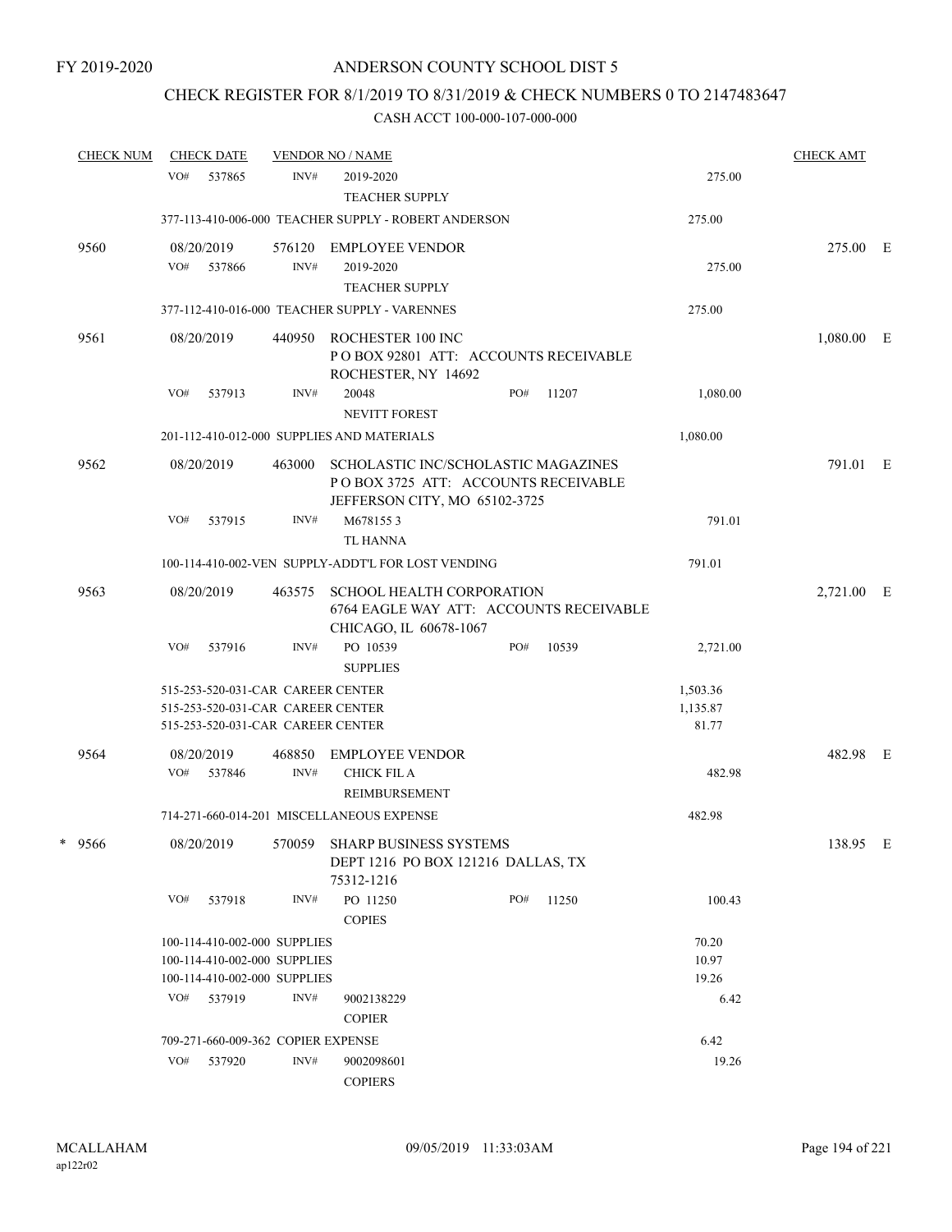### CHECK REGISTER FOR 8/1/2019 TO 8/31/2019 & CHECK NUMBERS 0 TO 2147483647

| <b>CHECK NUM</b> |     | <b>CHECK DATE</b> |                                    | <b>VENDOR NO / NAME</b>                                                                                     |     |       |          | <b>CHECK AMT</b> |  |
|------------------|-----|-------------------|------------------------------------|-------------------------------------------------------------------------------------------------------------|-----|-------|----------|------------------|--|
|                  | VO# | 537865            | INV#                               | 2019-2020                                                                                                   |     |       | 275.00   |                  |  |
|                  |     |                   |                                    | <b>TEACHER SUPPLY</b>                                                                                       |     |       |          |                  |  |
|                  |     |                   |                                    | 377-113-410-006-000 TEACHER SUPPLY - ROBERT ANDERSON                                                        |     |       | 275.00   |                  |  |
| 9560             |     | 08/20/2019        | 576120                             | <b>EMPLOYEE VENDOR</b>                                                                                      |     |       |          | 275.00 E         |  |
|                  | VO# | 537866            | INV#                               | 2019-2020                                                                                                   |     |       | 275.00   |                  |  |
|                  |     |                   |                                    | <b>TEACHER SUPPLY</b>                                                                                       |     |       |          |                  |  |
|                  |     |                   |                                    | 377-112-410-016-000 TEACHER SUPPLY - VARENNES                                                               |     |       | 275.00   |                  |  |
| 9561             |     | 08/20/2019        | 440950                             | ROCHESTER 100 INC<br>PO BOX 92801 ATT: ACCOUNTS RECEIVABLE<br>ROCHESTER, NY 14692                           |     |       |          | $1,080.00$ E     |  |
|                  | VO# | 537913            | INV#                               | 20048<br><b>NEVITT FOREST</b>                                                                               | PO# | 11207 | 1,080.00 |                  |  |
|                  |     |                   |                                    | 201-112-410-012-000 SUPPLIES AND MATERIALS                                                                  |     |       | 1,080.00 |                  |  |
| 9562             |     | 08/20/2019        | 463000                             | SCHOLASTIC INC/SCHOLASTIC MAGAZINES<br>POBOX 3725 ATT: ACCOUNTS RECEIVABLE<br>JEFFERSON CITY, MO 65102-3725 |     |       |          | 791.01 E         |  |
|                  | VO# | 537915            | INV#                               | M6781553                                                                                                    |     |       | 791.01   |                  |  |
|                  |     |                   |                                    | <b>TL HANNA</b>                                                                                             |     |       |          |                  |  |
|                  |     |                   |                                    | 100-114-410-002-VEN SUPPLY-ADDT'L FOR LOST VENDING                                                          |     |       | 791.01   |                  |  |
| 9563             |     | 08/20/2019        | 463575                             | <b>SCHOOL HEALTH CORPORATION</b><br>6764 EAGLE WAY ATT: ACCOUNTS RECEIVABLE<br>CHICAGO, IL 60678-1067       |     |       |          | 2,721.00 E       |  |
|                  | VO# | 537916            | INV#                               | PO 10539<br><b>SUPPLIES</b>                                                                                 | PO# | 10539 | 2,721.00 |                  |  |
|                  |     |                   | 515-253-520-031-CAR CAREER CENTER  |                                                                                                             |     |       | 1,503.36 |                  |  |
|                  |     |                   | 515-253-520-031-CAR CAREER CENTER  |                                                                                                             |     |       | 1,135.87 |                  |  |
|                  |     |                   | 515-253-520-031-CAR CAREER CENTER  |                                                                                                             |     |       | 81.77    |                  |  |
| 9564             |     | 08/20/2019        | 468850                             | <b>EMPLOYEE VENDOR</b>                                                                                      |     |       |          | 482.98 E         |  |
|                  | VO# | 537846            | INV#                               | <b>CHICK FIL A</b>                                                                                          |     |       | 482.98   |                  |  |
|                  |     |                   |                                    | REIMBURSEMENT                                                                                               |     |       |          |                  |  |
|                  |     |                   |                                    | 714-271-660-014-201 MISCELLANEOUS EXPENSE                                                                   |     |       | 482.98   |                  |  |
| * 9566           |     | 08/20/2019        |                                    | 570059 SHARP BUSINESS SYSTEMS                                                                               |     |       |          | 138.95 E         |  |
|                  |     |                   |                                    | DEPT 1216 PO BOX 121216 DALLAS, TX<br>75312-1216                                                            |     |       |          |                  |  |
|                  | VO# | 537918            | INV#                               | PO 11250<br><b>COPIES</b>                                                                                   | PO# | 11250 | 100.43   |                  |  |
|                  |     |                   | 100-114-410-002-000 SUPPLIES       |                                                                                                             |     |       | 70.20    |                  |  |
|                  |     |                   | 100-114-410-002-000 SUPPLIES       |                                                                                                             |     |       | 10.97    |                  |  |
|                  |     |                   | 100-114-410-002-000 SUPPLIES       |                                                                                                             |     |       | 19.26    |                  |  |
|                  | VO# | 537919            | INV#                               | 9002138229                                                                                                  |     |       | 6.42     |                  |  |
|                  |     |                   |                                    | <b>COPIER</b>                                                                                               |     |       |          |                  |  |
|                  |     |                   | 709-271-660-009-362 COPIER EXPENSE |                                                                                                             |     |       | 6.42     |                  |  |
|                  | VO# | 537920            | INV#                               | 9002098601<br><b>COPIERS</b>                                                                                |     |       | 19.26    |                  |  |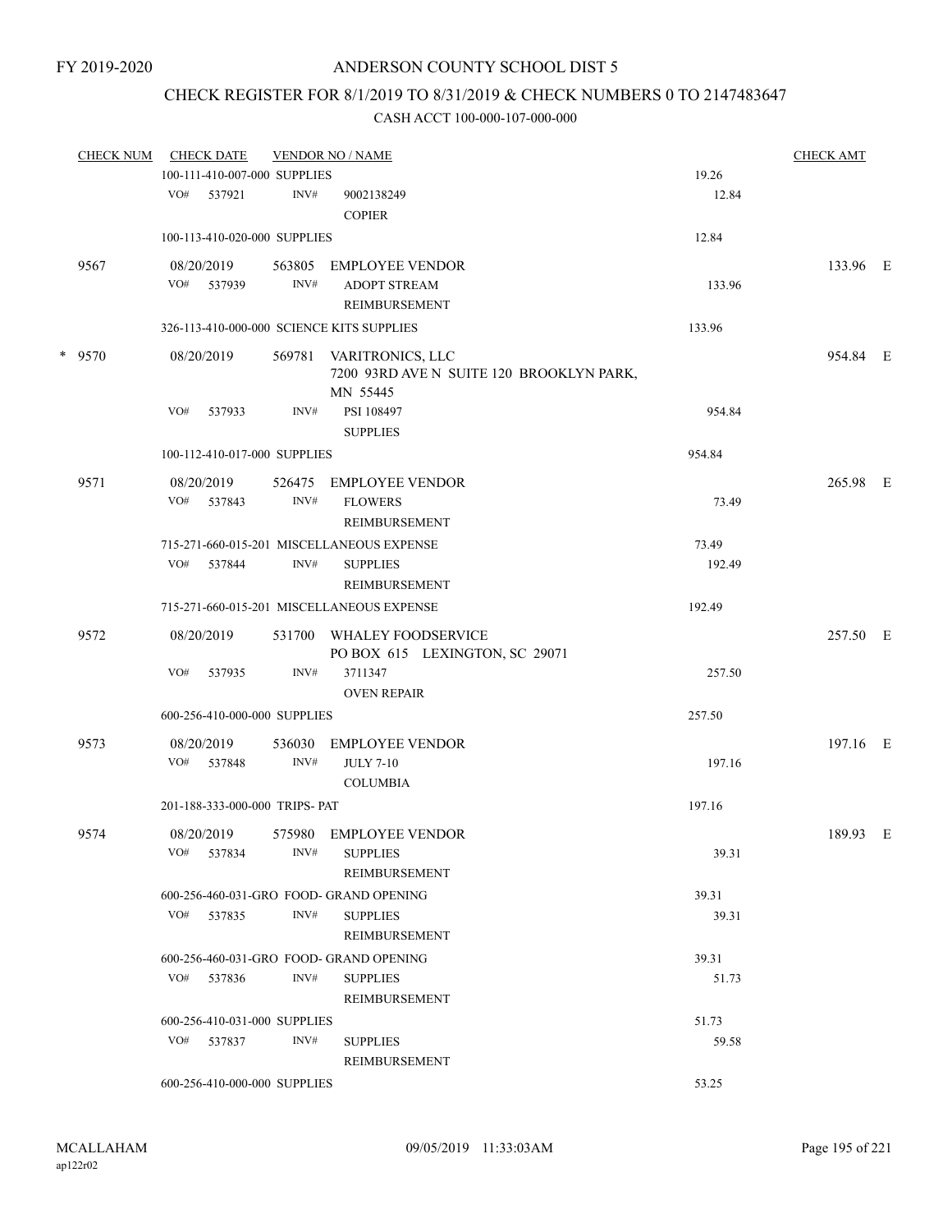# CHECK REGISTER FOR 8/1/2019 TO 8/31/2019 & CHECK NUMBERS 0 TO 2147483647

| <b>CHECK NUM</b> |     | <b>CHECK DATE</b>              |                | <b>VENDOR NO / NAME</b>                                                         |        | <b>CHECK AMT</b> |  |
|------------------|-----|--------------------------------|----------------|---------------------------------------------------------------------------------|--------|------------------|--|
|                  |     | 100-111-410-007-000 SUPPLIES   |                |                                                                                 | 19.26  |                  |  |
|                  |     | VO# 537921                     | INV#           | 9002138249<br><b>COPIER</b>                                                     | 12.84  |                  |  |
|                  |     | 100-113-410-020-000 SUPPLIES   |                |                                                                                 | 12.84  |                  |  |
| 9567             |     | 08/20/2019<br>VO# 537939       | 563805<br>INV# | <b>EMPLOYEE VENDOR</b><br><b>ADOPT STREAM</b>                                   | 133.96 | 133.96 E         |  |
|                  |     |                                |                | REIMBURSEMENT                                                                   |        |                  |  |
|                  |     |                                |                | 326-113-410-000-000 SCIENCE KITS SUPPLIES                                       | 133.96 |                  |  |
| $*$ 9570         |     | 08/20/2019                     |                | 569781 VARITRONICS, LLC<br>7200 93RD AVE N SUITE 120 BROOKLYN PARK,<br>MN 55445 |        | 954.84 E         |  |
|                  | VO# | 537933                         | INV#           | PSI 108497<br><b>SUPPLIES</b>                                                   | 954.84 |                  |  |
|                  |     | 100-112-410-017-000 SUPPLIES   |                |                                                                                 | 954.84 |                  |  |
| 9571             |     | 08/20/2019                     | 526475         | EMPLOYEE VENDOR                                                                 |        | 265.98 E         |  |
|                  |     | VO# 537843                     | INV#           | <b>FLOWERS</b><br><b>REIMBURSEMENT</b>                                          | 73.49  |                  |  |
|                  |     |                                |                | 715-271-660-015-201 MISCELLANEOUS EXPENSE                                       | 73.49  |                  |  |
|                  | VO# | 537844                         | INV#           | <b>SUPPLIES</b><br>REIMBURSEMENT                                                | 192.49 |                  |  |
|                  |     |                                |                | 715-271-660-015-201 MISCELLANEOUS EXPENSE                                       | 192.49 |                  |  |
| 9572             |     | 08/20/2019                     | 531700         | WHALEY FOODSERVICE<br>PO BOX 615 LEXINGTON, SC 29071                            |        | 257.50 E         |  |
|                  | VO# | 537935                         | INV#           | 3711347<br><b>OVEN REPAIR</b>                                                   | 257.50 |                  |  |
|                  |     | 600-256-410-000-000 SUPPLIES   |                |                                                                                 | 257.50 |                  |  |
| 9573             |     | 08/20/2019                     | 536030         | <b>EMPLOYEE VENDOR</b>                                                          |        | 197.16 E         |  |
|                  |     | VO# 537848                     | INV#           | <b>JULY 7-10</b><br><b>COLUMBIA</b>                                             | 197.16 |                  |  |
|                  |     | 201-188-333-000-000 TRIPS- PAT |                |                                                                                 | 197.16 |                  |  |
| 9574             |     | 08/20/2019                     |                | 575980 EMPLOYEE VENDOR                                                          |        | 189.93 E         |  |
|                  | VO# | 537834                         | INV#           | <b>SUPPLIES</b><br>REIMBURSEMENT                                                | 39.31  |                  |  |
|                  |     |                                |                | 600-256-460-031-GRO FOOD- GRAND OPENING                                         | 39.31  |                  |  |
|                  |     | VO# 537835                     | INV#           | <b>SUPPLIES</b><br><b>REIMBURSEMENT</b>                                         | 39.31  |                  |  |
|                  |     |                                |                | 600-256-460-031-GRO FOOD- GRAND OPENING                                         | 39.31  |                  |  |
|                  | VO# | 537836                         | INV#           | <b>SUPPLIES</b><br>REIMBURSEMENT                                                | 51.73  |                  |  |
|                  |     | 600-256-410-031-000 SUPPLIES   |                |                                                                                 | 51.73  |                  |  |
|                  |     | VO# 537837                     | INV#           | <b>SUPPLIES</b><br>REIMBURSEMENT                                                | 59.58  |                  |  |
|                  |     | 600-256-410-000-000 SUPPLIES   |                |                                                                                 | 53.25  |                  |  |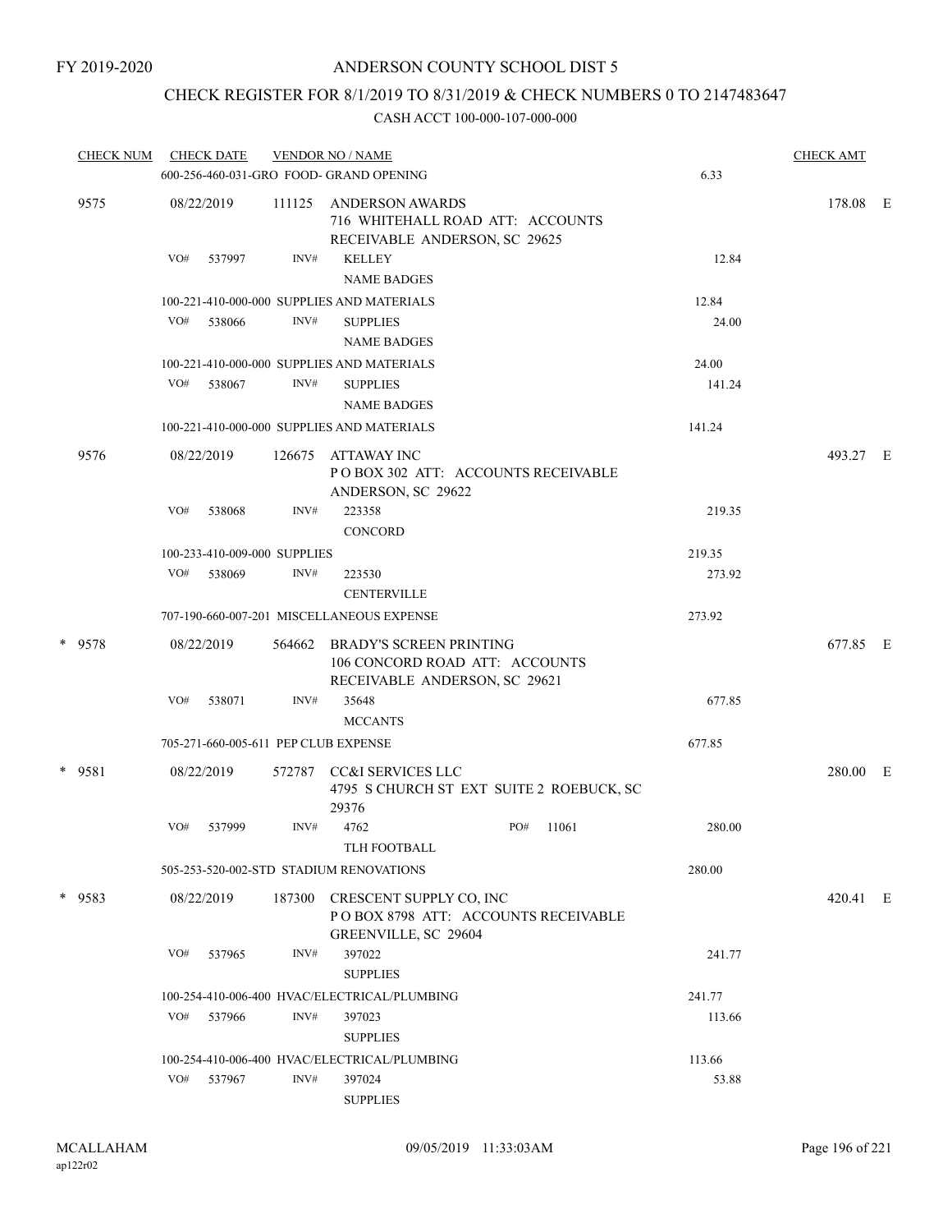## CHECK REGISTER FOR 8/1/2019 TO 8/31/2019 & CHECK NUMBERS 0 TO 2147483647

| <b>CHECK NUM</b> |     | <b>CHECK DATE</b>                      |        | <b>VENDOR NO / NAME</b>                                                                    |     |       |                  | <b>CHECK AMT</b> |  |
|------------------|-----|----------------------------------------|--------|--------------------------------------------------------------------------------------------|-----|-------|------------------|------------------|--|
|                  |     |                                        |        | 600-256-460-031-GRO FOOD- GRAND OPENING                                                    |     |       | 6.33             |                  |  |
| 9575             |     | 08/22/2019                             | 111125 | ANDERSON AWARDS<br>716 WHITEHALL ROAD ATT: ACCOUNTS<br>RECEIVABLE ANDERSON, SC 29625       |     |       |                  | 178.08 E         |  |
|                  | VO# | 537997                                 | INV#   | <b>KELLEY</b><br><b>NAME BADGES</b>                                                        |     |       | 12.84            |                  |  |
|                  |     |                                        |        | 100-221-410-000-000 SUPPLIES AND MATERIALS                                                 |     |       | 12.84            |                  |  |
|                  | VO# | 538066                                 | INV#   | <b>SUPPLIES</b><br><b>NAME BADGES</b>                                                      |     |       | 24.00            |                  |  |
|                  |     |                                        |        | 100-221-410-000-000 SUPPLIES AND MATERIALS                                                 |     |       | 24.00            |                  |  |
|                  | VO# | 538067                                 | INV#   | <b>SUPPLIES</b><br><b>NAME BADGES</b>                                                      |     |       | 141.24           |                  |  |
|                  |     |                                        |        | 100-221-410-000-000 SUPPLIES AND MATERIALS                                                 |     |       | 141.24           |                  |  |
| 9576             |     | 08/22/2019                             | 126675 | ATTAWAY INC<br>POBOX 302 ATT: ACCOUNTS RECEIVABLE                                          |     |       |                  | 493.27 E         |  |
|                  | VO# | 538068                                 | INV#   | ANDERSON, SC 29622<br>223358<br><b>CONCORD</b>                                             |     |       | 219.35           |                  |  |
|                  |     |                                        |        |                                                                                            |     |       |                  |                  |  |
|                  | VO# | 100-233-410-009-000 SUPPLIES<br>538069 | INV#   | 223530                                                                                     |     |       | 219.35<br>273.92 |                  |  |
|                  |     |                                        |        | <b>CENTERVILLE</b>                                                                         |     |       |                  |                  |  |
|                  |     |                                        |        | 707-190-660-007-201 MISCELLANEOUS EXPENSE                                                  |     |       | 273.92           |                  |  |
| * 9578           |     | 08/22/2019                             | 564662 | BRADY'S SCREEN PRINTING<br>106 CONCORD ROAD ATT: ACCOUNTS<br>RECEIVABLE ANDERSON, SC 29621 |     |       |                  | 677.85 E         |  |
|                  | VO# | 538071                                 | INV#   | 35648<br><b>MCCANTS</b>                                                                    |     |       | 677.85           |                  |  |
|                  |     |                                        |        | 705-271-660-005-611 PEP CLUB EXPENSE                                                       |     |       | 677.85           |                  |  |
| * 9581           |     | 08/22/2019                             |        | 572787 CC&I SERVICES LLC<br>4795 S CHURCH ST EXT SUITE 2 ROEBUCK, SC<br>29376              |     |       |                  | 280.00 E         |  |
|                  | VO# | 537999                                 | INV#   | 4762                                                                                       | PO# | 11061 | 280.00           |                  |  |
|                  |     |                                        |        | TLH FOOTBALL                                                                               |     |       |                  |                  |  |
|                  |     |                                        |        | 505-253-520-002-STD STADIUM RENOVATIONS                                                    |     |       | 280.00           |                  |  |
| * 9583           |     | 08/22/2019                             | 187300 | CRESCENT SUPPLY CO, INC<br>POBOX 8798 ATT: ACCOUNTS RECEIVABLE<br>GREENVILLE, SC 29604     |     |       |                  | 420.41 E         |  |
|                  | VO# | 537965                                 | INV#   | 397022<br><b>SUPPLIES</b>                                                                  |     |       | 241.77           |                  |  |
|                  |     |                                        |        | 100-254-410-006-400 HVAC/ELECTRICAL/PLUMBING                                               |     |       | 241.77           |                  |  |
|                  | VO# | 537966                                 | INV#   | 397023<br><b>SUPPLIES</b>                                                                  |     |       | 113.66           |                  |  |
|                  |     |                                        |        | 100-254-410-006-400 HVAC/ELECTRICAL/PLUMBING                                               |     |       | 113.66           |                  |  |
|                  | VO# | 537967                                 | INV#   | 397024                                                                                     |     |       | 53.88            |                  |  |
|                  |     |                                        |        | <b>SUPPLIES</b>                                                                            |     |       |                  |                  |  |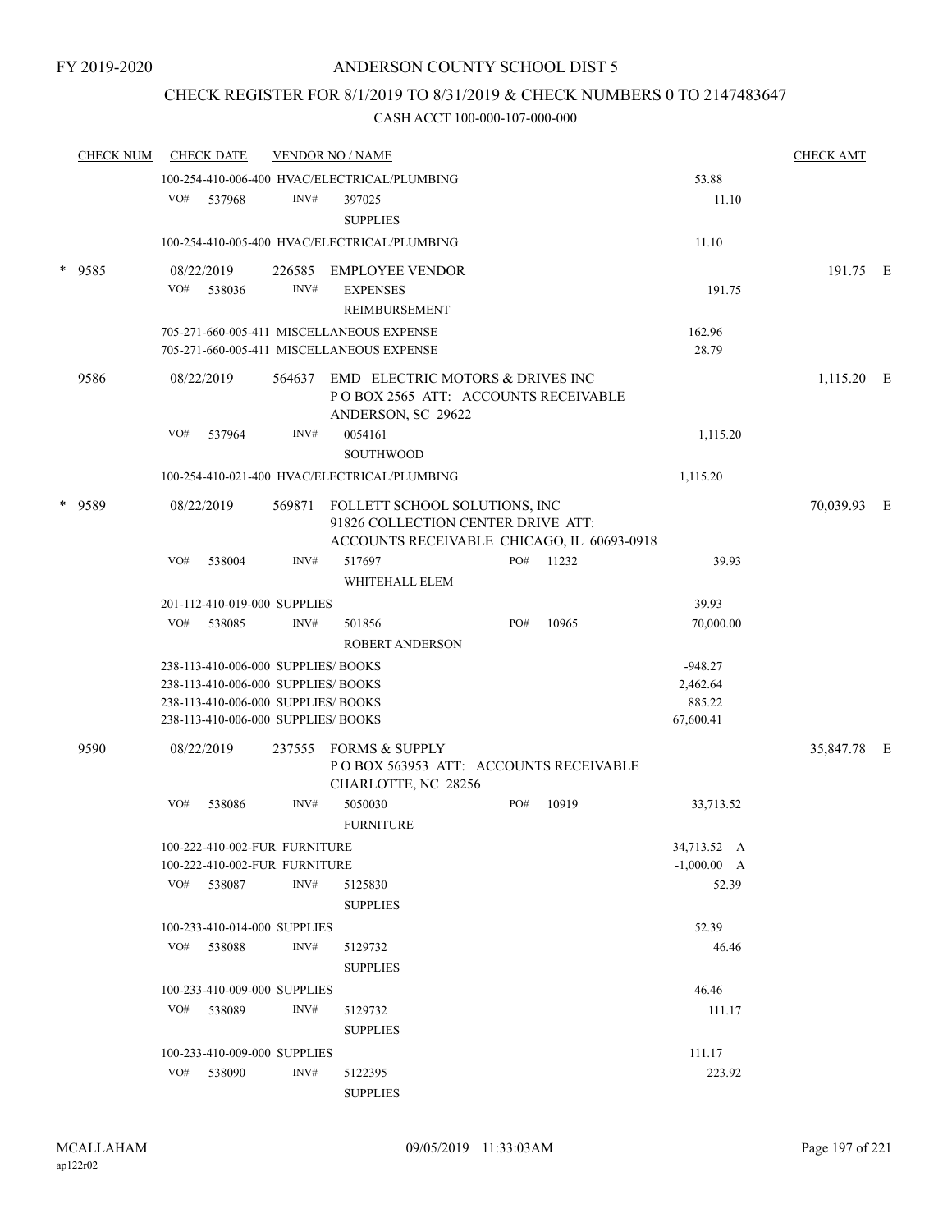## CHECK REGISTER FOR 8/1/2019 TO 8/31/2019 & CHECK NUMBERS 0 TO 2147483647

|        | <b>CHECK NUM</b> |     | <b>CHECK DATE</b>                   |      | <b>VENDOR NO / NAME</b>                      |     |       |               | <b>CHECK AMT</b> |  |
|--------|------------------|-----|-------------------------------------|------|----------------------------------------------|-----|-------|---------------|------------------|--|
|        |                  |     |                                     |      | 100-254-410-006-400 HVAC/ELECTRICAL/PLUMBING |     |       | 53.88         |                  |  |
|        |                  | VO# | 537968                              | INV# | 397025                                       |     |       | 11.10         |                  |  |
|        |                  |     |                                     |      | <b>SUPPLIES</b>                              |     |       |               |                  |  |
|        |                  |     |                                     |      | 100-254-410-005-400 HVAC/ELECTRICAL/PLUMBING |     |       | 11.10         |                  |  |
| $\ast$ | 9585             |     | 08/22/2019                          |      | 226585 EMPLOYEE VENDOR                       |     |       |               | 191.75 E         |  |
|        |                  | VO# | 538036                              | INV# | <b>EXPENSES</b>                              |     |       | 191.75        |                  |  |
|        |                  |     |                                     |      | REIMBURSEMENT                                |     |       |               |                  |  |
|        |                  |     |                                     |      | 705-271-660-005-411 MISCELLANEOUS EXPENSE    |     |       | 162.96        |                  |  |
|        |                  |     |                                     |      | 705-271-660-005-411 MISCELLANEOUS EXPENSE    |     |       | 28.79         |                  |  |
|        | 9586             |     | 08/22/2019                          |      | 564637 EMD ELECTRIC MOTORS & DRIVES INC      |     |       |               | 1,115.20 E       |  |
|        |                  |     |                                     |      | POBOX 2565 ATT: ACCOUNTS RECEIVABLE          |     |       |               |                  |  |
|        |                  |     |                                     |      | ANDERSON, SC 29622                           |     |       |               |                  |  |
|        |                  | VO# | 537964                              | INV# | 0054161                                      |     |       | 1,115.20      |                  |  |
|        |                  |     |                                     |      | <b>SOUTHWOOD</b>                             |     |       |               |                  |  |
|        |                  |     |                                     |      | 100-254-410-021-400 HVAC/ELECTRICAL/PLUMBING |     |       | 1,115.20      |                  |  |
| $\ast$ | 9589             |     | 08/22/2019                          |      | 569871 FOLLETT SCHOOL SOLUTIONS, INC         |     |       |               | 70,039.93 E      |  |
|        |                  |     |                                     |      | 91826 COLLECTION CENTER DRIVE ATT:           |     |       |               |                  |  |
|        |                  |     |                                     |      | ACCOUNTS RECEIVABLE CHICAGO, IL 60693-0918   |     |       |               |                  |  |
|        |                  | VO# | 538004                              | INV# | 517697                                       | PO# | 11232 | 39.93         |                  |  |
|        |                  |     |                                     |      | WHITEHALL ELEM                               |     |       |               |                  |  |
|        |                  |     | 201-112-410-019-000 SUPPLIES        |      |                                              |     |       | 39.93         |                  |  |
|        |                  | VO# | 538085                              | INV# | 501856                                       | PO# | 10965 | 70,000.00     |                  |  |
|        |                  |     |                                     |      | ROBERT ANDERSON                              |     |       |               |                  |  |
|        |                  |     | 238-113-410-006-000 SUPPLIES/BOOKS  |      |                                              |     |       | $-948.27$     |                  |  |
|        |                  |     | 238-113-410-006-000 SUPPLIES/ BOOKS |      |                                              |     |       | 2,462.64      |                  |  |
|        |                  |     | 238-113-410-006-000 SUPPLIES/ BOOKS |      |                                              |     |       | 885.22        |                  |  |
|        |                  |     | 238-113-410-006-000 SUPPLIES/ BOOKS |      |                                              |     |       | 67,600.41     |                  |  |
|        | 9590             |     | 08/22/2019                          |      | 237555 FORMS & SUPPLY                        |     |       |               | 35,847.78 E      |  |
|        |                  |     |                                     |      | POBOX 563953 ATT: ACCOUNTS RECEIVABLE        |     |       |               |                  |  |
|        |                  |     |                                     |      | CHARLOTTE, NC 28256                          |     |       |               |                  |  |
|        |                  | VO# | 538086                              | INV# | 5050030                                      | PO# | 10919 | 33,713.52     |                  |  |
|        |                  |     |                                     |      | <b>FURNITURE</b>                             |     |       |               |                  |  |
|        |                  |     | 100-222-410-002-FUR FURNITURE       |      |                                              |     |       | 34,713.52 A   |                  |  |
|        |                  |     | 100-222-410-002-FUR FURNITURE       |      |                                              |     |       | $-1,000.00$ A |                  |  |
|        |                  |     | VO# 538087                          | INV# | 5125830                                      |     |       | 52.39         |                  |  |
|        |                  |     |                                     |      | <b>SUPPLIES</b>                              |     |       |               |                  |  |
|        |                  |     | 100-233-410-014-000 SUPPLIES        |      |                                              |     |       | 52.39         |                  |  |
|        |                  |     | VO# 538088                          | INV# | 5129732                                      |     |       | 46.46         |                  |  |
|        |                  |     |                                     |      | <b>SUPPLIES</b>                              |     |       |               |                  |  |
|        |                  |     | 100-233-410-009-000 SUPPLIES        |      |                                              |     |       | 46.46         |                  |  |
|        |                  |     | VO# 538089                          | INV# | 5129732                                      |     |       | 111.17        |                  |  |
|        |                  |     |                                     |      | <b>SUPPLIES</b>                              |     |       |               |                  |  |
|        |                  |     | 100-233-410-009-000 SUPPLIES        |      |                                              |     |       | 111.17        |                  |  |
|        |                  | VO# | 538090                              | INV# | 5122395                                      |     |       | 223.92        |                  |  |
|        |                  |     |                                     |      | <b>SUPPLIES</b>                              |     |       |               |                  |  |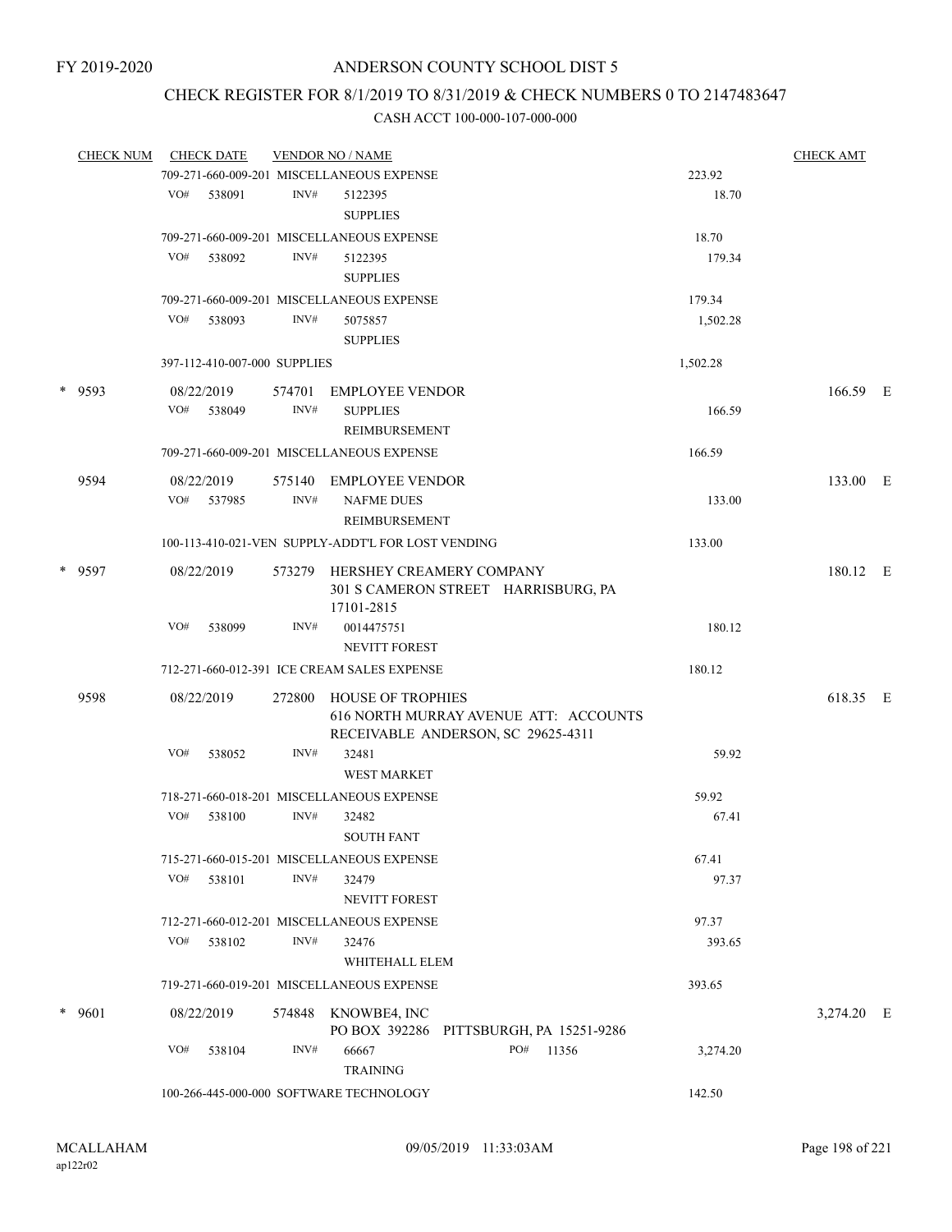### CHECK REGISTER FOR 8/1/2019 TO 8/31/2019 & CHECK NUMBERS 0 TO 2147483647

| <b>CHECK NUM</b> |     | <b>CHECK DATE</b>            |        | <b>VENDOR NO / NAME</b>                            |                                                                             |          | <b>CHECK AMT</b> |  |
|------------------|-----|------------------------------|--------|----------------------------------------------------|-----------------------------------------------------------------------------|----------|------------------|--|
|                  |     |                              |        | 709-271-660-009-201 MISCELLANEOUS EXPENSE          |                                                                             | 223.92   |                  |  |
|                  |     | VO# 538091                   | INV#   | 5122395                                            |                                                                             | 18.70    |                  |  |
|                  |     |                              |        | <b>SUPPLIES</b>                                    |                                                                             |          |                  |  |
|                  |     |                              |        | 709-271-660-009-201 MISCELLANEOUS EXPENSE          |                                                                             | 18.70    |                  |  |
|                  |     | VO# 538092                   | INV#   | 5122395<br><b>SUPPLIES</b>                         |                                                                             | 179.34   |                  |  |
|                  |     |                              |        | 709-271-660-009-201 MISCELLANEOUS EXPENSE          |                                                                             | 179.34   |                  |  |
|                  | VO# | 538093                       | INV#   | 5075857                                            |                                                                             | 1,502.28 |                  |  |
|                  |     |                              |        | <b>SUPPLIES</b>                                    |                                                                             |          |                  |  |
|                  |     | 397-112-410-007-000 SUPPLIES |        |                                                    |                                                                             | 1,502.28 |                  |  |
| * 9593           |     | 08/22/2019                   | 574701 | EMPLOYEE VENDOR                                    |                                                                             |          | 166.59 E         |  |
|                  |     | VO# 538049                   | INV#   | <b>SUPPLIES</b>                                    |                                                                             | 166.59   |                  |  |
|                  |     |                              |        | REIMBURSEMENT                                      |                                                                             |          |                  |  |
|                  |     |                              |        | 709-271-660-009-201 MISCELLANEOUS EXPENSE          |                                                                             | 166.59   |                  |  |
| 9594             |     | 08/22/2019                   |        | 575140 EMPLOYEE VENDOR                             |                                                                             |          | 133.00 E         |  |
|                  |     | VO# 537985                   | INV#   | <b>NAFME DUES</b><br>REIMBURSEMENT                 |                                                                             | 133.00   |                  |  |
|                  |     |                              |        | 100-113-410-021-VEN SUPPLY-ADDT'L FOR LOST VENDING |                                                                             | 133.00   |                  |  |
| * 9597           |     | 08/22/2019                   |        | 573279 HERSHEY CREAMERY COMPANY                    |                                                                             |          | 180.12 E         |  |
|                  |     |                              |        |                                                    | 301 S CAMERON STREET HARRISBURG, PA                                         |          |                  |  |
|                  |     |                              |        | 17101-2815                                         |                                                                             |          |                  |  |
|                  | VO# | 538099                       | INV#   | 0014475751                                         |                                                                             | 180.12   |                  |  |
|                  |     |                              |        | <b>NEVITT FOREST</b>                               |                                                                             |          |                  |  |
|                  |     |                              |        | 712-271-660-012-391 ICE CREAM SALES EXPENSE        |                                                                             | 180.12   |                  |  |
| 9598             |     | 08/22/2019                   | 272800 | HOUSE OF TROPHIES                                  | 616 NORTH MURRAY AVENUE ATT: ACCOUNTS<br>RECEIVABLE ANDERSON, SC 29625-4311 |          | 618.35 E         |  |
|                  | VO# | 538052                       | INV#   | 32481                                              |                                                                             | 59.92    |                  |  |
|                  |     |                              |        | <b>WEST MARKET</b>                                 |                                                                             |          |                  |  |
|                  |     |                              |        | 718-271-660-018-201 MISCELLANEOUS EXPENSE          |                                                                             | 59.92    |                  |  |
|                  | VO# | 538100                       | INV#   | 32482                                              |                                                                             | 67.41    |                  |  |
|                  |     |                              |        | <b>SOUTH FANT</b>                                  |                                                                             |          |                  |  |
|                  |     |                              |        | 715-271-660-015-201 MISCELLANEOUS EXPENSE          |                                                                             | 67.41    |                  |  |
|                  | VO# | 538101                       | INV#   | 32479                                              |                                                                             | 97.37    |                  |  |
|                  |     |                              |        | NEVITT FOREST                                      |                                                                             |          |                  |  |
|                  |     |                              |        | 712-271-660-012-201 MISCELLANEOUS EXPENSE          |                                                                             | 97.37    |                  |  |
|                  | VO# | 538102                       | INV#   | 32476                                              |                                                                             | 393.65   |                  |  |
|                  |     |                              |        | WHITEHALL ELEM                                     |                                                                             |          |                  |  |
|                  |     |                              |        | 719-271-660-019-201 MISCELLANEOUS EXPENSE          |                                                                             | 393.65   |                  |  |
| $*$ 9601         |     | 08/22/2019                   | 574848 | KNOWBE4, INC                                       |                                                                             |          | 3,274.20 E       |  |
|                  |     |                              |        |                                                    | PO BOX 392286 PITTSBURGH, PA 15251-9286                                     |          |                  |  |
|                  | VO# | 538104                       | INV#   | 66667<br><b>TRAINING</b>                           | PO#<br>11356                                                                | 3,274.20 |                  |  |
|                  |     |                              |        | 100-266-445-000-000 SOFTWARE TECHNOLOGY            |                                                                             | 142.50   |                  |  |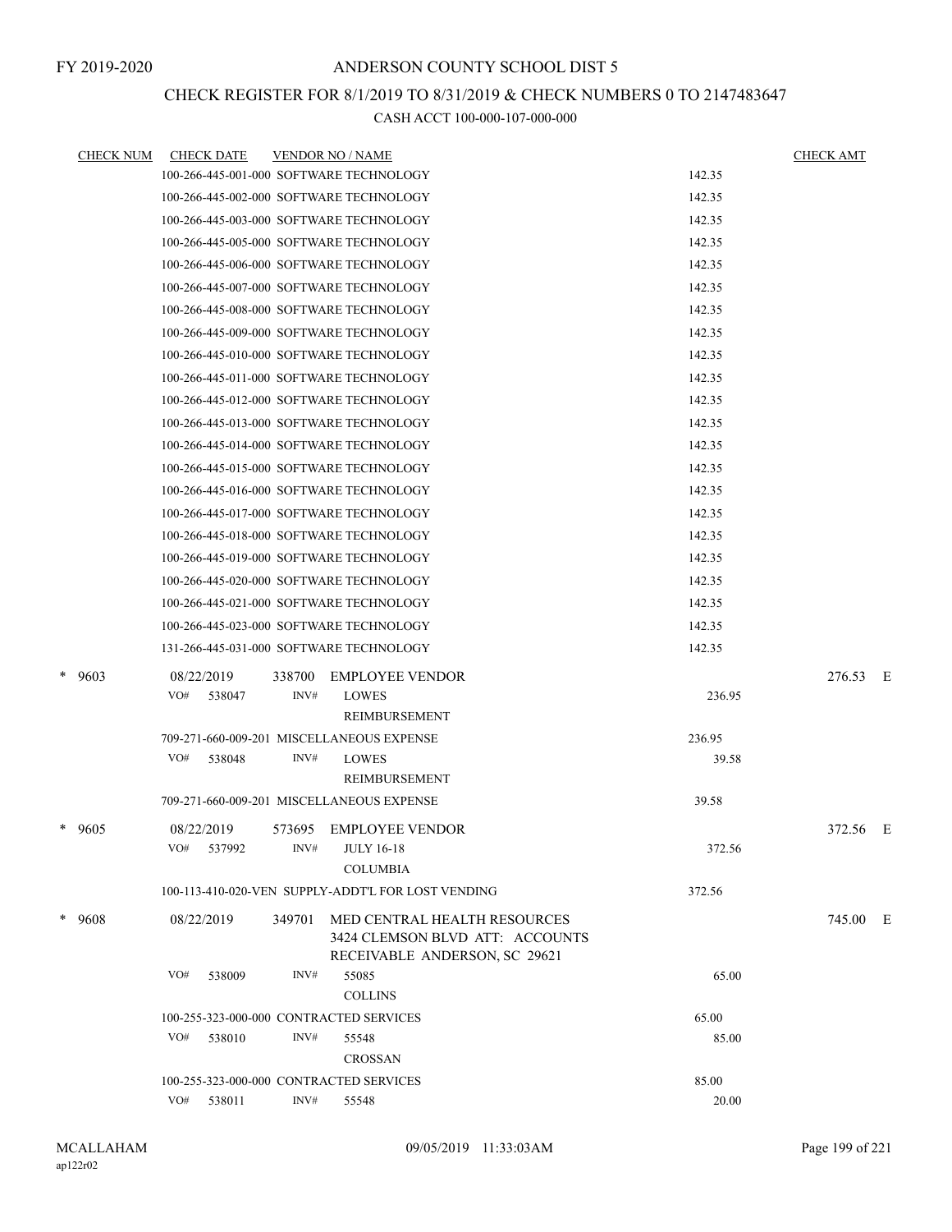### CHECK REGISTER FOR 8/1/2019 TO 8/31/2019 & CHECK NUMBERS 0 TO 2147483647

| <b>CHECK NUM</b> | <b>CHECK DATE</b>                       |        | <b>VENDOR NO / NAME</b>                            |        | <b>CHECK AMT</b> |  |
|------------------|-----------------------------------------|--------|----------------------------------------------------|--------|------------------|--|
|                  |                                         |        | 100-266-445-001-000 SOFTWARE TECHNOLOGY            | 142.35 |                  |  |
|                  |                                         |        | 100-266-445-002-000 SOFTWARE TECHNOLOGY            | 142.35 |                  |  |
|                  |                                         |        | 100-266-445-003-000 SOFTWARE TECHNOLOGY            | 142.35 |                  |  |
|                  |                                         |        | 100-266-445-005-000 SOFTWARE TECHNOLOGY            | 142.35 |                  |  |
|                  |                                         |        | 100-266-445-006-000 SOFTWARE TECHNOLOGY            | 142.35 |                  |  |
|                  |                                         |        | 100-266-445-007-000 SOFTWARE TECHNOLOGY            | 142.35 |                  |  |
|                  |                                         |        | 100-266-445-008-000 SOFTWARE TECHNOLOGY            | 142.35 |                  |  |
|                  |                                         |        | 100-266-445-009-000 SOFTWARE TECHNOLOGY            | 142.35 |                  |  |
|                  |                                         |        | 100-266-445-010-000 SOFTWARE TECHNOLOGY            | 142.35 |                  |  |
|                  |                                         |        | 100-266-445-011-000 SOFTWARE TECHNOLOGY            | 142.35 |                  |  |
|                  |                                         |        | 100-266-445-012-000 SOFTWARE TECHNOLOGY            | 142.35 |                  |  |
|                  |                                         |        | 100-266-445-013-000 SOFTWARE TECHNOLOGY            | 142.35 |                  |  |
|                  |                                         |        | 100-266-445-014-000 SOFTWARE TECHNOLOGY            | 142.35 |                  |  |
|                  |                                         |        | 100-266-445-015-000 SOFTWARE TECHNOLOGY            | 142.35 |                  |  |
|                  |                                         |        | 100-266-445-016-000 SOFTWARE TECHNOLOGY            | 142.35 |                  |  |
|                  |                                         |        | 100-266-445-017-000 SOFTWARE TECHNOLOGY            | 142.35 |                  |  |
|                  |                                         |        | 100-266-445-018-000 SOFTWARE TECHNOLOGY            | 142.35 |                  |  |
|                  |                                         |        | 100-266-445-019-000 SOFTWARE TECHNOLOGY            | 142.35 |                  |  |
|                  |                                         |        | 100-266-445-020-000 SOFTWARE TECHNOLOGY            | 142.35 |                  |  |
|                  |                                         |        | 100-266-445-021-000 SOFTWARE TECHNOLOGY            | 142.35 |                  |  |
|                  |                                         |        | 100-266-445-023-000 SOFTWARE TECHNOLOGY            | 142.35 |                  |  |
|                  |                                         |        | 131-266-445-031-000 SOFTWARE TECHNOLOGY            | 142.35 |                  |  |
| $*$ 9603         | 08/22/2019                              | 338700 | <b>EMPLOYEE VENDOR</b>                             |        | 276.53 E         |  |
|                  | VO#<br>538047                           | INV#   | <b>LOWES</b>                                       | 236.95 |                  |  |
|                  |                                         |        | <b>REIMBURSEMENT</b>                               |        |                  |  |
|                  |                                         |        | 709-271-660-009-201 MISCELLANEOUS EXPENSE          | 236.95 |                  |  |
|                  | VO#<br>538048                           | INV#   | <b>LOWES</b>                                       | 39.58  |                  |  |
|                  |                                         |        | <b>REIMBURSEMENT</b>                               |        |                  |  |
|                  |                                         |        | 709-271-660-009-201 MISCELLANEOUS EXPENSE          | 39.58  |                  |  |
| * 9605           | 08/22/2019                              |        | 573695 EMPLOYEE VENDOR                             |        | 372.56 E         |  |
|                  | VO# 537992                              |        | INV# JULY 16-18                                    | 372.56 |                  |  |
|                  |                                         |        | <b>COLUMBIA</b>                                    |        |                  |  |
|                  |                                         |        | 100-113-410-020-VEN SUPPLY-ADDT'L FOR LOST VENDING | 372.56 |                  |  |
| * 9608           | 08/22/2019                              | 349701 | MED CENTRAL HEALTH RESOURCES                       |        | 745.00 E         |  |
|                  |                                         |        | 3424 CLEMSON BLVD ATT: ACCOUNTS                    |        |                  |  |
|                  | VO#                                     | INV#   | RECEIVABLE ANDERSON, SC 29621                      |        |                  |  |
|                  | 538009                                  |        | 55085<br><b>COLLINS</b>                            | 65.00  |                  |  |
|                  | 100-255-323-000-000 CONTRACTED SERVICES |        |                                                    | 65.00  |                  |  |
|                  | VO#<br>538010                           | INV#   | 55548                                              | 85.00  |                  |  |
|                  |                                         |        | <b>CROSSAN</b>                                     |        |                  |  |
|                  | 100-255-323-000-000 CONTRACTED SERVICES |        |                                                    | 85.00  |                  |  |
|                  | VO# 538011                              | INV#   | 55548                                              | 20.00  |                  |  |
|                  |                                         |        |                                                    |        |                  |  |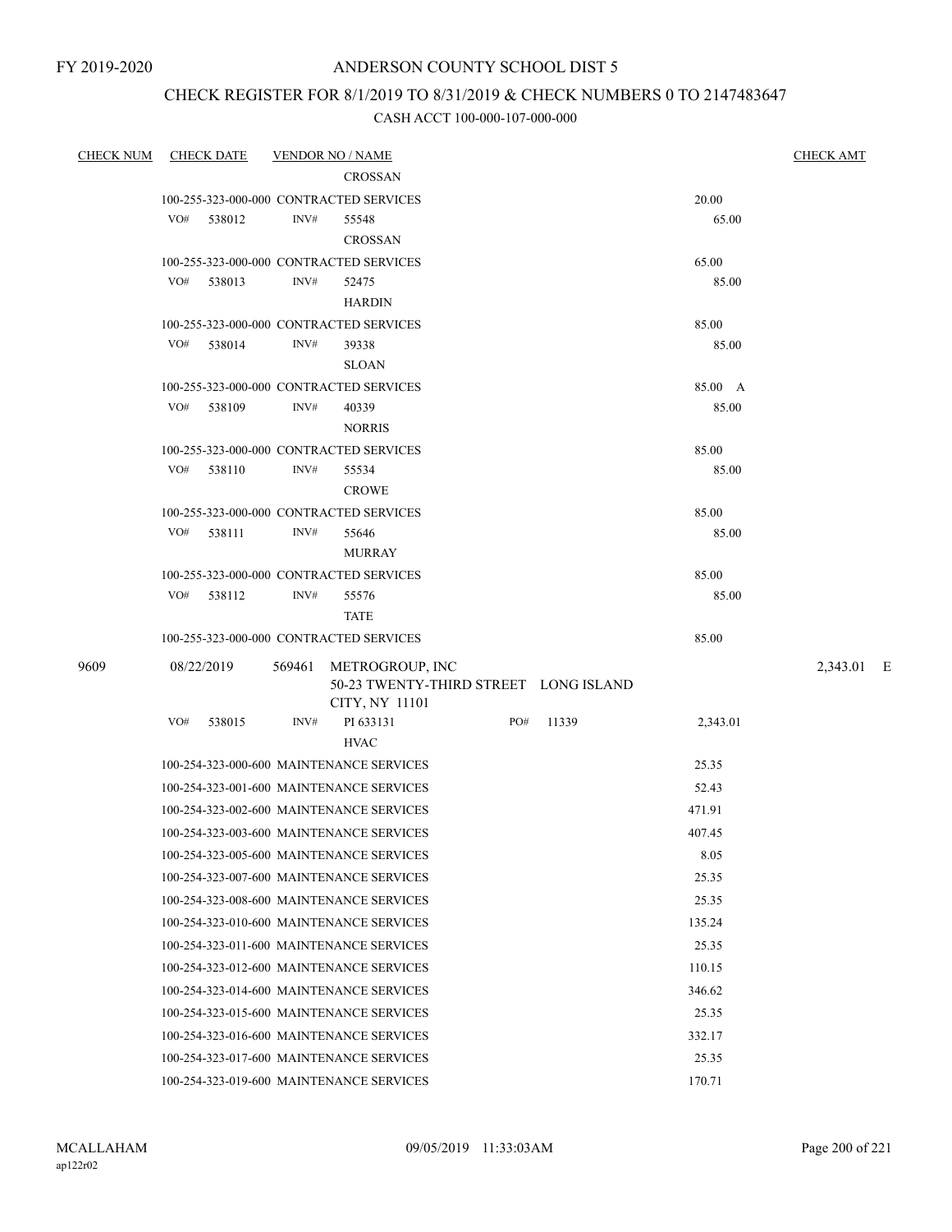## CHECK REGISTER FOR 8/1/2019 TO 8/31/2019 & CHECK NUMBERS 0 TO 2147483647

| <b>CHECK NUM</b> | <b>CHECK DATE</b>                        |        | <b>VENDOR NO / NAME</b>                  |     |       |          | <b>CHECK AMT</b> |
|------------------|------------------------------------------|--------|------------------------------------------|-----|-------|----------|------------------|
|                  |                                          |        | <b>CROSSAN</b>                           |     |       |          |                  |
|                  | 100-255-323-000-000 CONTRACTED SERVICES  |        |                                          |     |       | 20.00    |                  |
|                  | VO#<br>538012                            | INV#   | 55548                                    |     |       | 65.00    |                  |
|                  |                                          |        | <b>CROSSAN</b>                           |     |       |          |                  |
|                  | 100-255-323-000-000 CONTRACTED SERVICES  |        |                                          |     |       | 65.00    |                  |
|                  | VO# 538013                               | INV#   | 52475                                    |     |       | 85.00    |                  |
|                  |                                          |        | <b>HARDIN</b>                            |     |       |          |                  |
|                  | 100-255-323-000-000 CONTRACTED SERVICES  |        |                                          |     |       | 85.00    |                  |
|                  | VO#<br>538014                            | INV#   | 39338<br><b>SLOAN</b>                    |     |       | 85.00    |                  |
|                  | 100-255-323-000-000 CONTRACTED SERVICES  |        |                                          |     |       | 85.00 A  |                  |
|                  | VO#<br>538109                            | INV#   | 40339                                    |     |       | 85.00    |                  |
|                  |                                          |        | <b>NORRIS</b>                            |     |       |          |                  |
|                  | 100-255-323-000-000 CONTRACTED SERVICES  |        |                                          |     |       | 85.00    |                  |
|                  | VO#<br>538110                            | INV#   | 55534                                    |     |       | 85.00    |                  |
|                  |                                          |        | <b>CROWE</b>                             |     |       |          |                  |
|                  | 100-255-323-000-000 CONTRACTED SERVICES  |        |                                          |     |       | 85.00    |                  |
|                  | VO#<br>538111                            | INV#   | 55646                                    |     |       | 85.00    |                  |
|                  |                                          |        | <b>MURRAY</b>                            |     |       |          |                  |
|                  | 100-255-323-000-000 CONTRACTED SERVICES  |        |                                          |     |       | 85.00    |                  |
|                  | VO#<br>538112                            | INV#   | 55576                                    |     |       | 85.00    |                  |
|                  |                                          |        | <b>TATE</b>                              |     |       |          |                  |
|                  | 100-255-323-000-000 CONTRACTED SERVICES  |        |                                          |     |       | 85.00    |                  |
| 9609             | 08/22/2019                               | 569461 | METROGROUP, INC                          |     |       |          | 2,343.01 E       |
|                  |                                          |        | 50-23 TWENTY-THIRD STREET LONG ISLAND    |     |       |          |                  |
|                  | VO#                                      | INV#   | CITY, NY 11101                           | PO# |       |          |                  |
|                  | 538015                                   |        | PI 633131<br><b>HVAC</b>                 |     | 11339 | 2,343.01 |                  |
|                  |                                          |        | 100-254-323-000-600 MAINTENANCE SERVICES |     |       | 25.35    |                  |
|                  |                                          |        | 100-254-323-001-600 MAINTENANCE SERVICES |     |       | 52.43    |                  |
|                  |                                          |        | 100-254-323-002-600 MAINTENANCE SERVICES |     |       | 471.91   |                  |
|                  |                                          |        | 100-254-323-003-600 MAINTENANCE SERVICES |     |       | 407.45   |                  |
|                  |                                          |        | 100-254-323-005-600 MAINTENANCE SERVICES |     |       | 8.05     |                  |
|                  | 100-254-323-007-600 MAINTENANCE SERVICES |        |                                          |     |       | 25.35    |                  |
|                  | 100-254-323-008-600 MAINTENANCE SERVICES |        |                                          |     |       | 25.35    |                  |
|                  | 100-254-323-010-600 MAINTENANCE SERVICES |        |                                          |     |       | 135.24   |                  |
|                  | 100-254-323-011-600 MAINTENANCE SERVICES |        |                                          |     |       | 25.35    |                  |
|                  |                                          |        | 100-254-323-012-600 MAINTENANCE SERVICES |     |       | 110.15   |                  |
|                  | 100-254-323-014-600 MAINTENANCE SERVICES |        |                                          |     |       | 346.62   |                  |
|                  | 100-254-323-015-600 MAINTENANCE SERVICES |        |                                          |     |       |          |                  |
|                  |                                          |        |                                          |     |       | 25.35    |                  |
|                  | 100-254-323-016-600 MAINTENANCE SERVICES |        |                                          |     |       | 332.17   |                  |
|                  | 100-254-323-017-600 MAINTENANCE SERVICES |        |                                          |     |       | 25.35    |                  |
|                  | 100-254-323-019-600 MAINTENANCE SERVICES |        |                                          |     |       | 170.71   |                  |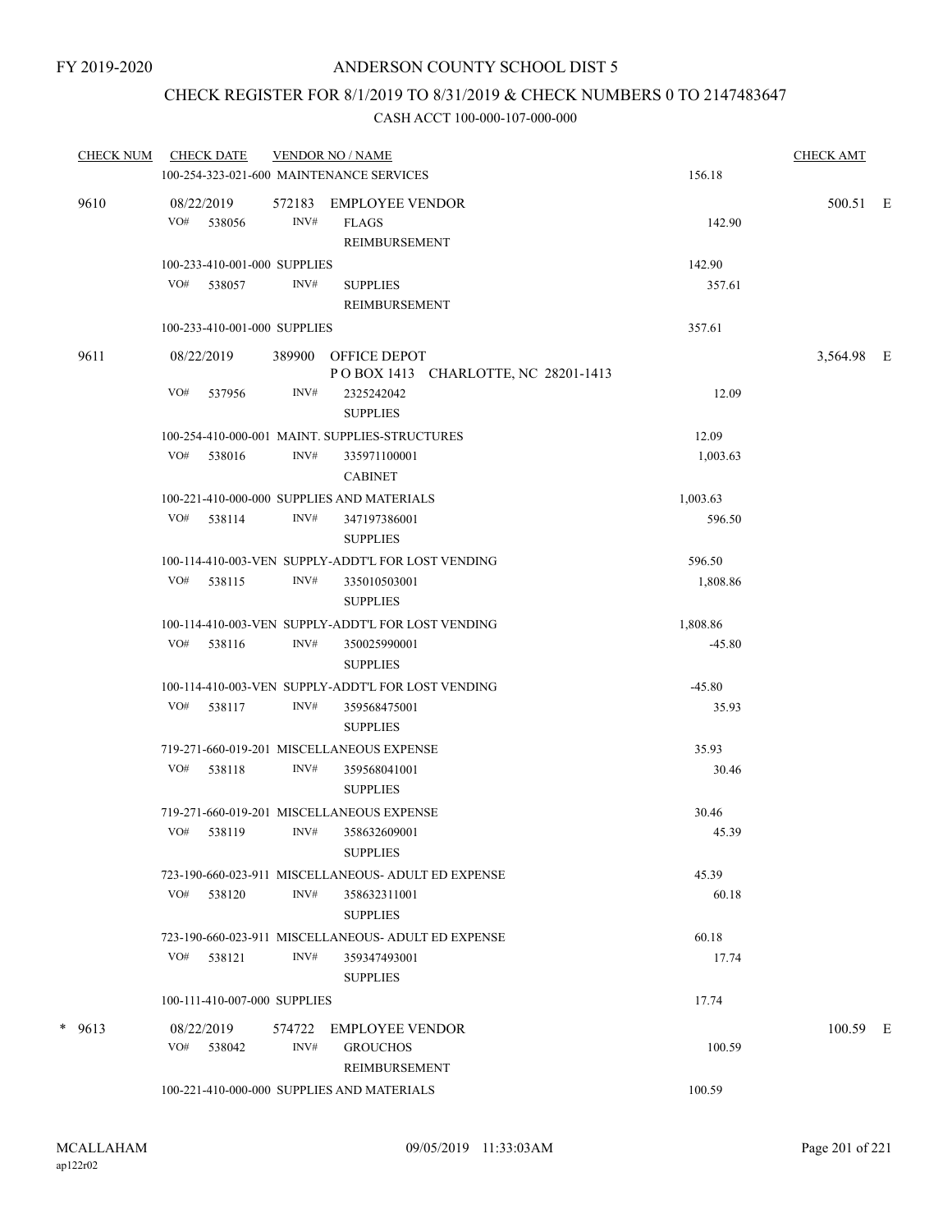### CHECK REGISTER FOR 8/1/2019 TO 8/31/2019 & CHECK NUMBERS 0 TO 2147483647

| <b>CHECK NUM</b> | <b>CHECK DATE</b><br><b>VENDOR NO / NAME</b>                             |          | <b>CHECK AMT</b> |  |
|------------------|--------------------------------------------------------------------------|----------|------------------|--|
|                  | 100-254-323-021-600 MAINTENANCE SERVICES                                 | 156.18   |                  |  |
| 9610             | 572183 EMPLOYEE VENDOR<br>08/22/2019                                     |          | 500.51 E         |  |
|                  | INV#<br>VO# 538056<br><b>FLAGS</b>                                       | 142.90   |                  |  |
|                  | REIMBURSEMENT                                                            |          |                  |  |
|                  | 100-233-410-001-000 SUPPLIES                                             | 142.90   |                  |  |
|                  | VO# 538057<br>INV#<br><b>SUPPLIES</b><br><b>REIMBURSEMENT</b>            | 357.61   |                  |  |
|                  | 100-233-410-001-000 SUPPLIES                                             | 357.61   |                  |  |
|                  |                                                                          |          |                  |  |
| 9611             | 08/22/2019<br>389900 OFFICE DEPOT<br>POBOX 1413 CHARLOTTE, NC 28201-1413 |          | 3,564.98 E       |  |
|                  | VO#<br>537956<br>INV#<br>2325242042                                      | 12.09    |                  |  |
|                  | <b>SUPPLIES</b>                                                          |          |                  |  |
|                  | 100-254-410-000-001 MAINT. SUPPLIES-STRUCTURES                           | 12.09    |                  |  |
|                  | VO# 538016<br>INV#<br>335971100001                                       | 1,003.63 |                  |  |
|                  | <b>CABINET</b>                                                           |          |                  |  |
|                  | 100-221-410-000-000 SUPPLIES AND MATERIALS                               | 1,003.63 |                  |  |
|                  | INV#<br>VO#<br>538114<br>347197386001                                    | 596.50   |                  |  |
|                  | <b>SUPPLIES</b>                                                          |          |                  |  |
|                  | 100-114-410-003-VEN SUPPLY-ADDT'L FOR LOST VENDING                       | 596.50   |                  |  |
|                  | VO#<br>538115<br>INV#<br>335010503001                                    | 1,808.86 |                  |  |
|                  | <b>SUPPLIES</b><br>100-114-410-003-VEN SUPPLY-ADDT'L FOR LOST VENDING    | 1,808.86 |                  |  |
|                  | VO# 538116<br>INV#<br>350025990001                                       | $-45.80$ |                  |  |
|                  | <b>SUPPLIES</b>                                                          |          |                  |  |
|                  | 100-114-410-003-VEN SUPPLY-ADDT'L FOR LOST VENDING                       | $-45.80$ |                  |  |
|                  | INV#<br>VO#<br>538117<br>359568475001                                    | 35.93    |                  |  |
|                  | <b>SUPPLIES</b>                                                          |          |                  |  |
|                  | 719-271-660-019-201 MISCELLANEOUS EXPENSE                                | 35.93    |                  |  |
|                  | VO#<br>538118<br>INV#<br>359568041001                                    | 30.46    |                  |  |
|                  | <b>SUPPLIES</b>                                                          |          |                  |  |
|                  | 719-271-660-019-201 MISCELLANEOUS EXPENSE                                | 30.46    |                  |  |
|                  | VO#<br>538119<br>INV#<br>358632609001                                    | 45.39    |                  |  |
|                  | <b>SUPPLIES</b><br>723-190-660-023-911 MISCELLANEOUS- ADULT ED EXPENSE   | 45.39    |                  |  |
|                  | VO# 538120<br>INV#<br>358632311001                                       | 60.18    |                  |  |
|                  | <b>SUPPLIES</b>                                                          |          |                  |  |
|                  | 723-190-660-023-911 MISCELLANEOUS- ADULT ED EXPENSE                      | 60.18    |                  |  |
|                  | VO#<br>538121<br>INV#<br>359347493001                                    | 17.74    |                  |  |
|                  | <b>SUPPLIES</b>                                                          |          |                  |  |
|                  | 100-111-410-007-000 SUPPLIES                                             | 17.74    |                  |  |
| $* 9613$         | 08/22/2019<br>574722<br><b>EMPLOYEE VENDOR</b>                           |          | 100.59 E         |  |
|                  | INV#<br>VO#<br>538042<br><b>GROUCHOS</b>                                 | 100.59   |                  |  |
|                  | REIMBURSEMENT                                                            |          |                  |  |
|                  | 100-221-410-000-000 SUPPLIES AND MATERIALS                               | 100.59   |                  |  |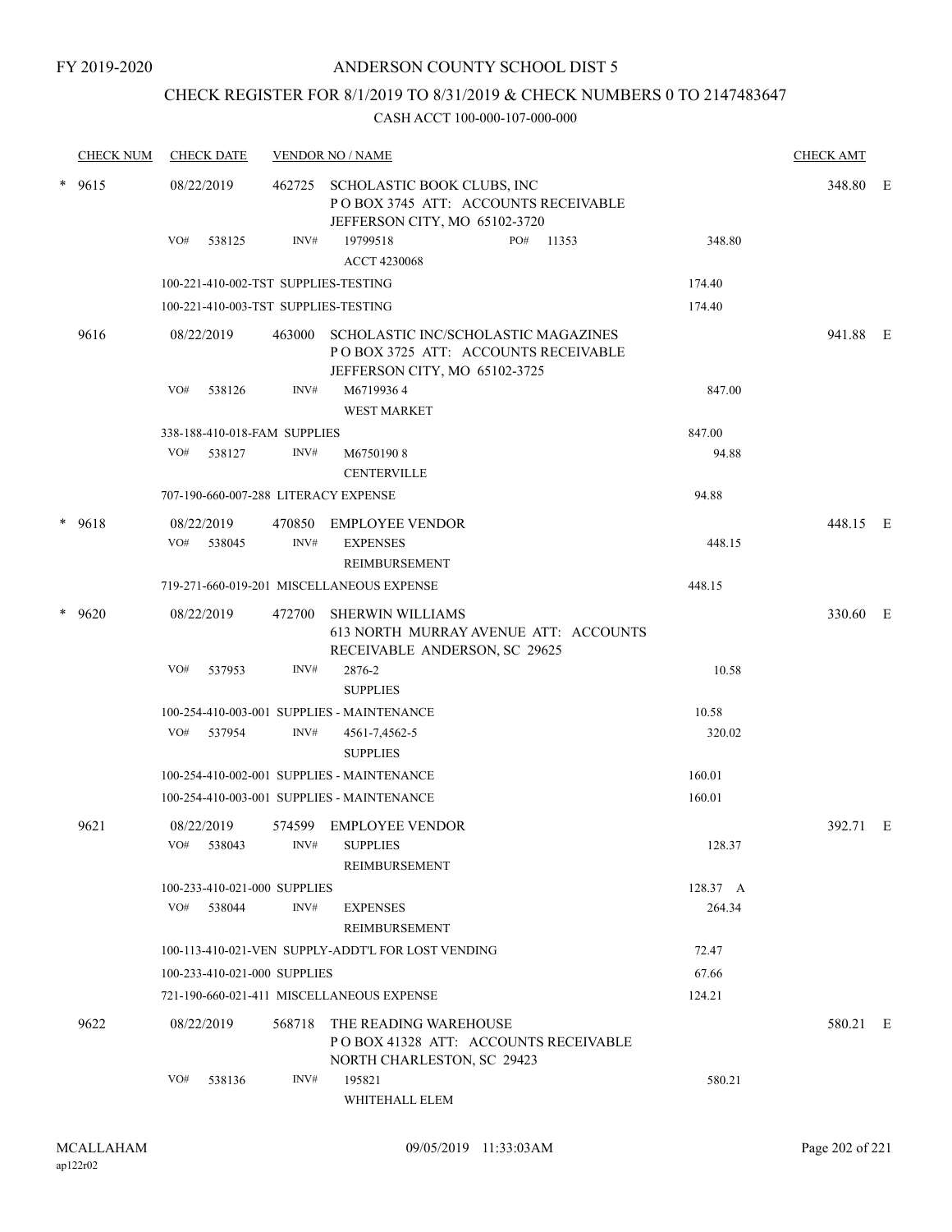## CHECK REGISTER FOR 8/1/2019 TO 8/31/2019 & CHECK NUMBERS 0 TO 2147483647

|        | <b>CHECK NUM</b> | <b>CHECK DATE</b>                    |        | <b>VENDOR NO / NAME</b>                                                                                     |          | <b>CHECK AMT</b> |  |
|--------|------------------|--------------------------------------|--------|-------------------------------------------------------------------------------------------------------------|----------|------------------|--|
| $\ast$ | 9615             | 08/22/2019                           | 462725 | SCHOLASTIC BOOK CLUBS, INC<br>POBOX 3745 ATT: ACCOUNTS RECEIVABLE<br>JEFFERSON CITY, MO 65102-3720          |          | 348.80 E         |  |
|        |                  | VO#<br>538125                        | INV#   | 19799518<br>PO#<br>11353<br><b>ACCT 4230068</b>                                                             | 348.80   |                  |  |
|        |                  | 100-221-410-002-TST SUPPLIES-TESTING |        |                                                                                                             | 174.40   |                  |  |
|        |                  | 100-221-410-003-TST SUPPLIES-TESTING |        |                                                                                                             | 174.40   |                  |  |
|        | 9616             | 08/22/2019                           | 463000 | SCHOLASTIC INC/SCHOLASTIC MAGAZINES<br>POBOX 3725 ATT: ACCOUNTS RECEIVABLE<br>JEFFERSON CITY, MO 65102-3725 |          | 941.88 E         |  |
|        |                  | VO#<br>538126                        | INV#   | M67199364<br><b>WEST MARKET</b>                                                                             | 847.00   |                  |  |
|        |                  | 338-188-410-018-FAM SUPPLIES         |        |                                                                                                             | 847.00   |                  |  |
|        |                  | VO# 538127                           | INV#   | M67501908<br><b>CENTERVILLE</b>                                                                             | 94.88    |                  |  |
|        |                  | 707-190-660-007-288 LITERACY EXPENSE |        |                                                                                                             | 94.88    |                  |  |
|        | $* 9618$         | 08/22/2019<br>VO#<br>538045          | INV#   | 470850 EMPLOYEE VENDOR<br><b>EXPENSES</b><br><b>REIMBURSEMENT</b>                                           | 448.15   | 448.15 E         |  |
|        |                  |                                      |        | 719-271-660-019-201 MISCELLANEOUS EXPENSE                                                                   | 448.15   |                  |  |
|        | $*$ 9620         | 08/22/2019                           | 472700 | <b>SHERWIN WILLIAMS</b><br>613 NORTH MURRAY AVENUE ATT: ACCOUNTS<br>RECEIVABLE ANDERSON, SC 29625           |          | 330.60 E         |  |
|        |                  | VO#<br>537953                        | INV#   | 2876-2<br><b>SUPPLIES</b>                                                                                   | 10.58    |                  |  |
|        |                  |                                      |        | 100-254-410-003-001 SUPPLIES - MAINTENANCE                                                                  | 10.58    |                  |  |
|        |                  | VO# 537954                           | INV#   | 4561-7,4562-5<br><b>SUPPLIES</b>                                                                            | 320.02   |                  |  |
|        |                  |                                      |        | 100-254-410-002-001 SUPPLIES - MAINTENANCE                                                                  | 160.01   |                  |  |
|        |                  |                                      |        | 100-254-410-003-001 SUPPLIES - MAINTENANCE                                                                  | 160.01   |                  |  |
|        | 9621             | 08/22/2019<br>VO# 538043             |        | 574599 EMPLOYEE VENDOR<br>INV# SUPPLIES<br>REIMBURSEMENT                                                    | 128.37   | 392.71 E         |  |
|        |                  | 100-233-410-021-000 SUPPLIES         |        |                                                                                                             | 128.37 A |                  |  |
|        |                  | VO#<br>538044                        | INV#   | <b>EXPENSES</b><br><b>REIMBURSEMENT</b>                                                                     | 264.34   |                  |  |
|        |                  |                                      |        | 100-113-410-021-VEN SUPPLY-ADDT'L FOR LOST VENDING                                                          | 72.47    |                  |  |
|        |                  | 100-233-410-021-000 SUPPLIES         |        |                                                                                                             | 67.66    |                  |  |
|        |                  |                                      |        | 721-190-660-021-411 MISCELLANEOUS EXPENSE                                                                   | 124.21   |                  |  |
|        | 9622             | 08/22/2019                           | 568718 | THE READING WAREHOUSE<br>POBOX 41328 ATT: ACCOUNTS RECEIVABLE<br>NORTH CHARLESTON, SC 29423                 |          | 580.21 E         |  |
|        |                  | VO#<br>538136                        | INV#   | 195821<br>WHITEHALL ELEM                                                                                    | 580.21   |                  |  |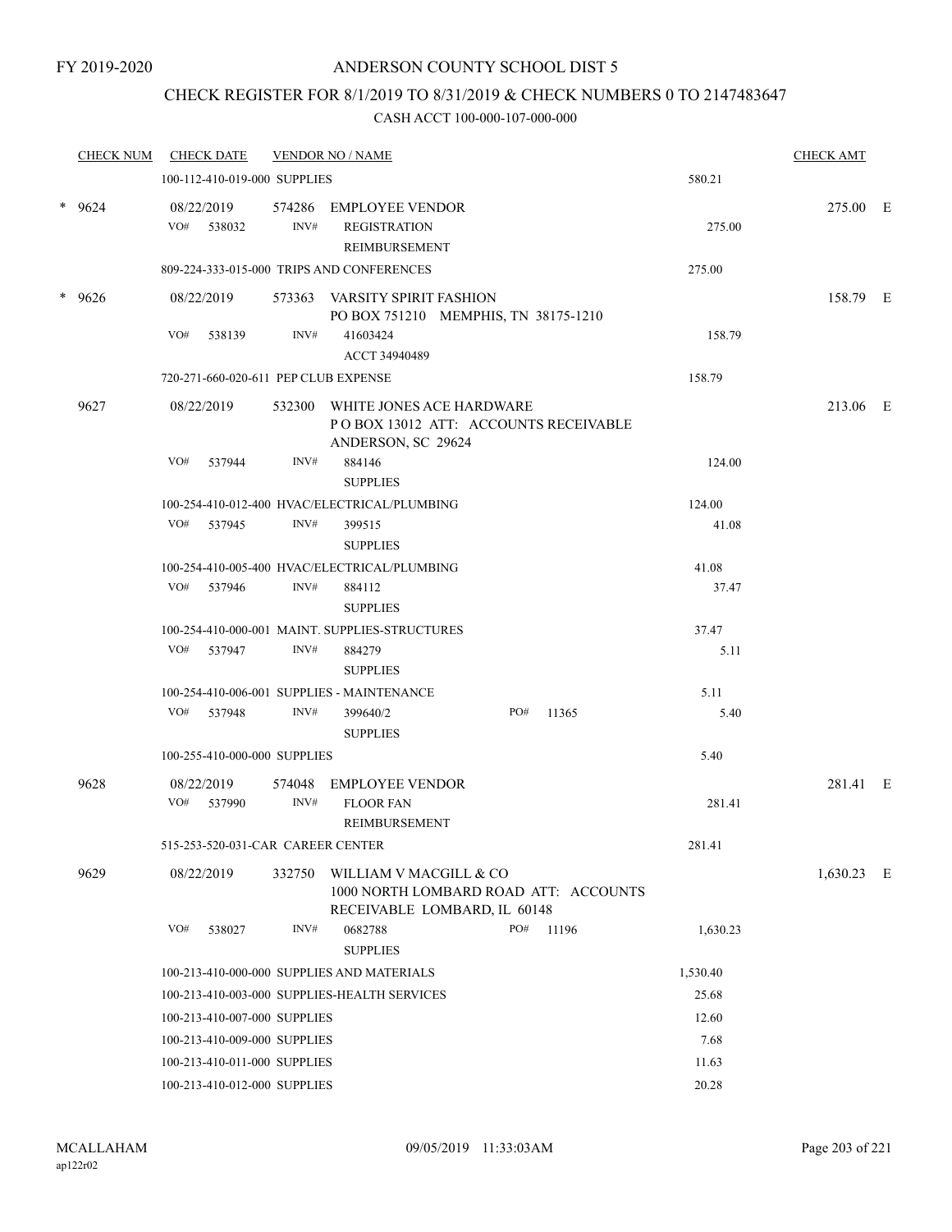## CHECK REGISTER FOR 8/1/2019 TO 8/31/2019 & CHECK NUMBERS 0 TO 2147483647

| <b>CHECK NUM</b> |     | <b>CHECK DATE</b>                 |        | <b>VENDOR NO / NAME</b>                                                                         |     |       |          | <b>CHECK AMT</b> |  |
|------------------|-----|-----------------------------------|--------|-------------------------------------------------------------------------------------------------|-----|-------|----------|------------------|--|
|                  |     | 100-112-410-019-000 SUPPLIES      |        |                                                                                                 |     |       | 580.21   |                  |  |
| $*$ 9624         |     | 08/22/2019<br>VO# 538032          | INV#   | 574286 EMPLOYEE VENDOR<br><b>REGISTRATION</b><br>REIMBURSEMENT                                  |     |       | 275.00   | 275.00 E         |  |
|                  |     |                                   |        | 809-224-333-015-000 TRIPS AND CONFERENCES                                                       |     |       | 275.00   |                  |  |
| * 9626           |     | 08/22/2019                        |        | 573363 VARSITY SPIRIT FASHION<br>PO BOX 751210 MEMPHIS, TN 38175-1210                           |     |       |          | 158.79 E         |  |
|                  | VO# | 538139                            | INV#   | 41603424<br>ACCT 34940489                                                                       |     |       | 158.79   |                  |  |
|                  |     |                                   |        | 720-271-660-020-611 PEP CLUB EXPENSE                                                            |     |       | 158.79   |                  |  |
| 9627             |     | 08/22/2019                        |        | 532300 WHITE JONES ACE HARDWARE<br>PO BOX 13012 ATT: ACCOUNTS RECEIVABLE<br>ANDERSON, SC 29624  |     |       |          | 213.06 E         |  |
|                  | VO# | 537944                            | INV#   | 884146<br><b>SUPPLIES</b>                                                                       |     |       | 124.00   |                  |  |
|                  |     |                                   |        | 100-254-410-012-400 HVAC/ELECTRICAL/PLUMBING                                                    |     |       | 124.00   |                  |  |
|                  |     | VO# 537945                        | INV#   | 399515<br><b>SUPPLIES</b>                                                                       |     |       | 41.08    |                  |  |
|                  |     |                                   |        | 100-254-410-005-400 HVAC/ELECTRICAL/PLUMBING                                                    |     |       | 41.08    |                  |  |
|                  |     | VO# 537946                        | INV#   | 884112<br><b>SUPPLIES</b>                                                                       |     |       | 37.47    |                  |  |
|                  |     |                                   |        | 100-254-410-000-001 MAINT. SUPPLIES-STRUCTURES                                                  |     |       | 37.47    |                  |  |
|                  |     | VO# 537947                        | INV#   | 884279<br><b>SUPPLIES</b>                                                                       |     |       | 5.11     |                  |  |
|                  |     |                                   |        | 100-254-410-006-001 SUPPLIES - MAINTENANCE                                                      |     |       | 5.11     |                  |  |
|                  |     | VO# 537948                        | INV#   | 399640/2<br><b>SUPPLIES</b>                                                                     | PO# | 11365 | 5.40     |                  |  |
|                  |     | 100-255-410-000-000 SUPPLIES      |        |                                                                                                 |     |       | 5.40     |                  |  |
| 9628             |     | 08/22/2019<br>VO# 537990          | INV#   | 574048 EMPLOYEE VENDOR<br><b>FLOOR FAN</b>                                                      |     |       | 281.41   | 281.41 E         |  |
|                  |     |                                   |        | REIMBURSEMENT                                                                                   |     |       |          |                  |  |
|                  |     | 515-253-520-031-CAR CAREER CENTER |        |                                                                                                 |     |       | 281.41   |                  |  |
| 9629             |     | 08/22/2019                        | 332750 | WILLIAM V MACGILL & CO<br>1000 NORTH LOMBARD ROAD ATT: ACCOUNTS<br>RECEIVABLE LOMBARD, IL 60148 |     |       |          | $1,630.23$ E     |  |
|                  | VO# | 538027                            | INV#   | 0682788<br><b>SUPPLIES</b>                                                                      | PO# | 11196 | 1,630.23 |                  |  |
|                  |     |                                   |        | 100-213-410-000-000 SUPPLIES AND MATERIALS                                                      |     |       | 1,530.40 |                  |  |
|                  |     |                                   |        | 100-213-410-003-000 SUPPLIES-HEALTH SERVICES                                                    |     |       | 25.68    |                  |  |
|                  |     | 100-213-410-007-000 SUPPLIES      |        |                                                                                                 |     |       | 12.60    |                  |  |
|                  |     | 100-213-410-009-000 SUPPLIES      |        |                                                                                                 |     |       | 7.68     |                  |  |
|                  |     | 100-213-410-011-000 SUPPLIES      |        |                                                                                                 |     |       | 11.63    |                  |  |
|                  |     | 100-213-410-012-000 SUPPLIES      |        |                                                                                                 |     |       | 20.28    |                  |  |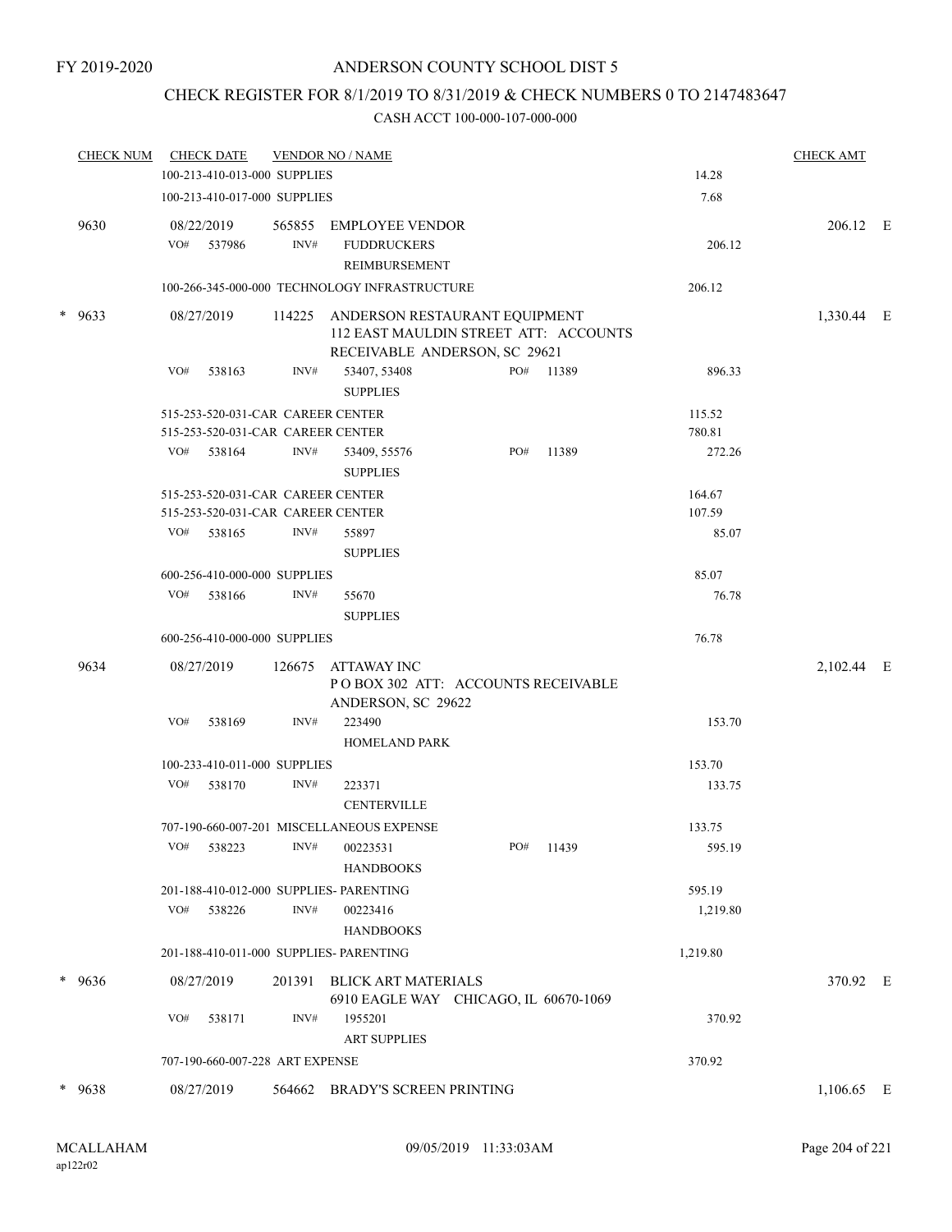## CHECK REGISTER FOR 8/1/2019 TO 8/31/2019 & CHECK NUMBERS 0 TO 2147483647

| <b>CHECK NUM</b> |     | <b>CHECK DATE</b>                                                      |                | <b>VENDOR NO / NAME</b>                                                       |     |           |                  | <b>CHECK AMT</b> |  |
|------------------|-----|------------------------------------------------------------------------|----------------|-------------------------------------------------------------------------------|-----|-----------|------------------|------------------|--|
|                  |     | 100-213-410-013-000 SUPPLIES                                           |                |                                                                               |     |           | 14.28            |                  |  |
|                  |     | 100-213-410-017-000 SUPPLIES                                           |                |                                                                               |     |           | 7.68             |                  |  |
| 9630             |     | 08/22/2019<br>VO# 537986                                               | 565855<br>INV# | EMPLOYEE VENDOR<br><b>FUDDRUCKERS</b><br>REIMBURSEMENT                        |     |           | 206.12           | 206.12 E         |  |
|                  |     |                                                                        |                | 100-266-345-000-000 TECHNOLOGY INFRASTRUCTURE                                 |     |           | 206.12           |                  |  |
| $*$ 9633         |     | 08/27/2019                                                             |                | 114225 ANDERSON RESTAURANT EQUIPMENT<br>112 EAST MAULDIN STREET ATT: ACCOUNTS |     |           |                  | 1,330.44 E       |  |
|                  | VO# | 538163                                                                 | INV#           | RECEIVABLE ANDERSON, SC 29621<br>53407, 53408<br><b>SUPPLIES</b>              |     | PO# 11389 | 896.33           |                  |  |
|                  |     | 515-253-520-031-CAR CAREER CENTER<br>515-253-520-031-CAR CAREER CENTER |                | 115.52<br>780.81                                                              |     |           |                  |                  |  |
|                  |     | VO# 538164                                                             | INV#           | 53409, 55576<br><b>SUPPLIES</b>                                               | PO# | 11389     | 272.26           |                  |  |
|                  |     | 515-253-520-031-CAR CAREER CENTER<br>515-253-520-031-CAR CAREER CENTER |                |                                                                               |     |           | 164.67<br>107.59 |                  |  |
|                  | VO# | 538165                                                                 | INV#           | 55897<br><b>SUPPLIES</b>                                                      |     |           | 85.07            |                  |  |
|                  |     | 600-256-410-000-000 SUPPLIES                                           |                |                                                                               |     |           | 85.07            |                  |  |
|                  |     | VO# 538166                                                             | INV#           | 55670<br><b>SUPPLIES</b>                                                      |     |           | 76.78            |                  |  |
|                  |     | 600-256-410-000-000 SUPPLIES                                           |                |                                                                               |     |           | 76.78            |                  |  |
| 9634             |     | 08/27/2019                                                             | 126675         | ATTAWAY INC<br>POBOX 302 ATT: ACCOUNTS RECEIVABLE<br>ANDERSON, SC 29622       |     |           |                  | 2,102.44 E       |  |
|                  | VO# | 538169                                                                 | INV#           | 223490<br><b>HOMELAND PARK</b>                                                |     |           | 153.70           |                  |  |
|                  |     | 100-233-410-011-000 SUPPLIES                                           |                |                                                                               |     |           | 153.70           |                  |  |
|                  |     | VO# 538170                                                             | INV#           | 223371<br><b>CENTERVILLE</b>                                                  |     |           | 133.75           |                  |  |
|                  |     |                                                                        |                | 707-190-660-007-201 MISCELLANEOUS EXPENSE                                     |     |           | 133.75           |                  |  |
|                  | VO# | 538223                                                                 | INV#           | 00223531<br><b>HANDBOOKS</b>                                                  | PO# | 11439     | 595.19           |                  |  |
|                  |     |                                                                        |                | 201-188-410-012-000 SUPPLIES- PARENTING                                       |     |           | 595.19           |                  |  |
|                  |     | VO# 538226                                                             | INV#           | 00223416<br><b>HANDBOOKS</b>                                                  |     |           | 1,219.80         |                  |  |
|                  |     |                                                                        |                | 201-188-410-011-000 SUPPLIES- PARENTING                                       |     |           | 1,219.80         |                  |  |
| * 9636           |     | 08/27/2019                                                             | 201391         | BLICK ART MATERIALS<br>6910 EAGLE WAY CHICAGO, IL 60670-1069                  |     |           |                  | 370.92 E         |  |
|                  | VO# | 538171                                                                 | INV#           | 1955201<br><b>ART SUPPLIES</b>                                                |     |           | 370.92           |                  |  |
|                  |     | 707-190-660-007-228 ART EXPENSE                                        |                |                                                                               |     |           | 370.92           |                  |  |
| $*$ 9638         |     | 08/27/2019                                                             |                | 564662 BRADY'S SCREEN PRINTING                                                |     |           |                  | 1,106.65 E       |  |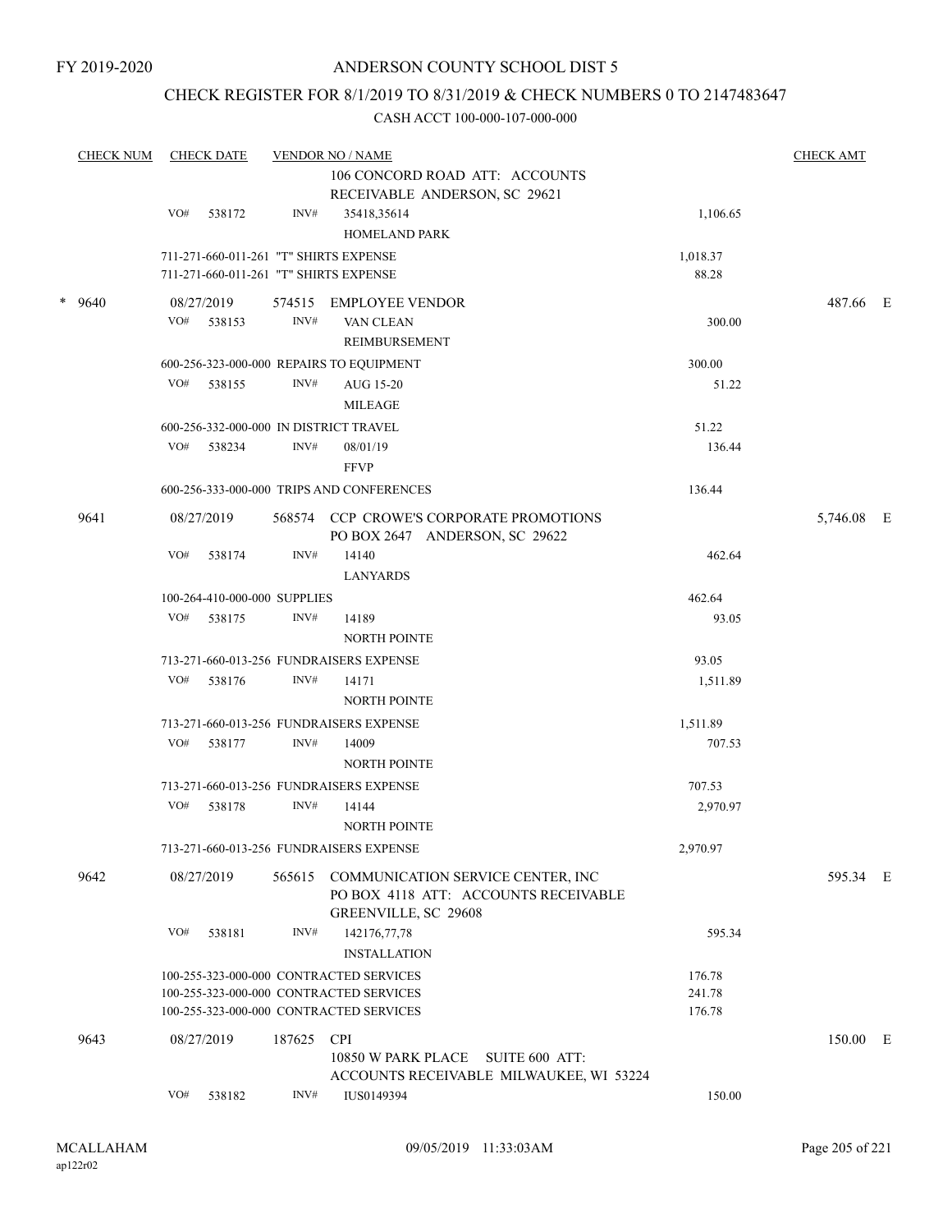### CHECK REGISTER FOR 8/1/2019 TO 8/31/2019 & CHECK NUMBERS 0 TO 2147483647

| <b>CHECK NUM</b> |     | <b>CHECK DATE</b> |                              | <b>VENDOR NO / NAME</b><br>106 CONCORD ROAD ATT: ACCOUNTS                 |          | <b>CHECK AMT</b> |  |
|------------------|-----|-------------------|------------------------------|---------------------------------------------------------------------------|----------|------------------|--|
|                  |     |                   |                              | RECEIVABLE ANDERSON, SC 29621                                             |          |                  |  |
|                  | VO# | 538172            | INV#                         | 35418,35614                                                               | 1,106.65 |                  |  |
|                  |     |                   |                              | <b>HOMELAND PARK</b>                                                      |          |                  |  |
|                  |     |                   |                              | 711-271-660-011-261 "T" SHIRTS EXPENSE                                    | 1,018.37 |                  |  |
|                  |     |                   |                              | 711-271-660-011-261 "T" SHIRTS EXPENSE                                    | 88.28    |                  |  |
| * 9640           |     | 08/27/2019        |                              | 574515 EMPLOYEE VENDOR                                                    |          | 487.66 E         |  |
|                  | VO# | 538153            | INV#                         | VAN CLEAN                                                                 | 300.00   |                  |  |
|                  |     |                   |                              | <b>REIMBURSEMENT</b>                                                      |          |                  |  |
|                  |     |                   |                              | 600-256-323-000-000 REPAIRS TO EQUIPMENT                                  | 300.00   |                  |  |
|                  |     | VO# 538155        | INV#                         | AUG 15-20                                                                 | 51.22    |                  |  |
|                  |     |                   |                              | <b>MILEAGE</b>                                                            |          |                  |  |
|                  |     |                   |                              | 600-256-332-000-000 IN DISTRICT TRAVEL                                    | 51.22    |                  |  |
|                  | VO# | 538234            | INV#                         | 08/01/19                                                                  | 136.44   |                  |  |
|                  |     |                   |                              | <b>FFVP</b>                                                               |          |                  |  |
|                  |     |                   |                              | 600-256-333-000-000 TRIPS AND CONFERENCES                                 | 136.44   |                  |  |
|                  |     |                   |                              |                                                                           |          |                  |  |
| 9641             |     | 08/27/2019        |                              | 568574 CCP CROWE'S CORPORATE PROMOTIONS<br>PO BOX 2647 ANDERSON, SC 29622 |          | 5,746.08 E       |  |
|                  | VO# | 538174            | INV#                         | 14140                                                                     | 462.64   |                  |  |
|                  |     |                   |                              | <b>LANYARDS</b>                                                           |          |                  |  |
|                  |     |                   | 100-264-410-000-000 SUPPLIES |                                                                           | 462.64   |                  |  |
|                  | VO# | 538175            | INV#                         | 14189                                                                     | 93.05    |                  |  |
|                  |     |                   |                              | <b>NORTH POINTE</b>                                                       |          |                  |  |
|                  |     |                   |                              | 713-271-660-013-256 FUNDRAISERS EXPENSE                                   | 93.05    |                  |  |
|                  | VO# | 538176            | INV#                         | 14171                                                                     | 1,511.89 |                  |  |
|                  |     |                   |                              | <b>NORTH POINTE</b>                                                       |          |                  |  |
|                  |     |                   |                              | 713-271-660-013-256 FUNDRAISERS EXPENSE                                   | 1,511.89 |                  |  |
|                  | VO# | 538177            | INV#                         | 14009                                                                     | 707.53   |                  |  |
|                  |     |                   |                              | <b>NORTH POINTE</b>                                                       |          |                  |  |
|                  |     |                   |                              | 713-271-660-013-256 FUNDRAISERS EXPENSE                                   | 707.53   |                  |  |
|                  | VO# | 538178            | INV#                         | 14144                                                                     | 2,970.97 |                  |  |
|                  |     |                   |                              | <b>NORTH POINTE</b>                                                       |          |                  |  |
|                  |     |                   |                              | 713-271-660-013-256 FUNDRAISERS EXPENSE                                   | 2,970.97 |                  |  |
| 9642             |     | 08/27/2019        | 565615                       | COMMUNICATION SERVICE CENTER, INC                                         |          | 595.34 E         |  |
|                  |     |                   |                              | PO BOX 4118 ATT: ACCOUNTS RECEIVABLE                                      |          |                  |  |
|                  |     |                   |                              | <b>GREENVILLE, SC 29608</b>                                               |          |                  |  |
|                  | VO# | 538181            | INV#                         | 142176,77,78                                                              | 595.34   |                  |  |
|                  |     |                   |                              | <b>INSTALLATION</b>                                                       |          |                  |  |
|                  |     |                   |                              | 100-255-323-000-000 CONTRACTED SERVICES                                   | 176.78   |                  |  |
|                  |     |                   |                              | 100-255-323-000-000 CONTRACTED SERVICES                                   | 241.78   |                  |  |
|                  |     |                   |                              | 100-255-323-000-000 CONTRACTED SERVICES                                   | 176.78   |                  |  |
| 9643             |     | 08/27/2019        | 187625                       | <b>CPI</b>                                                                |          | 150.00 E         |  |
|                  |     |                   |                              | 10850 W PARK PLACE SUITE 600 ATT:                                         |          |                  |  |
|                  |     |                   |                              | ACCOUNTS RECEIVABLE MILWAUKEE, WI 53224                                   |          |                  |  |
|                  | VO# | 538182            | INV#                         | IUS0149394                                                                | 150.00   |                  |  |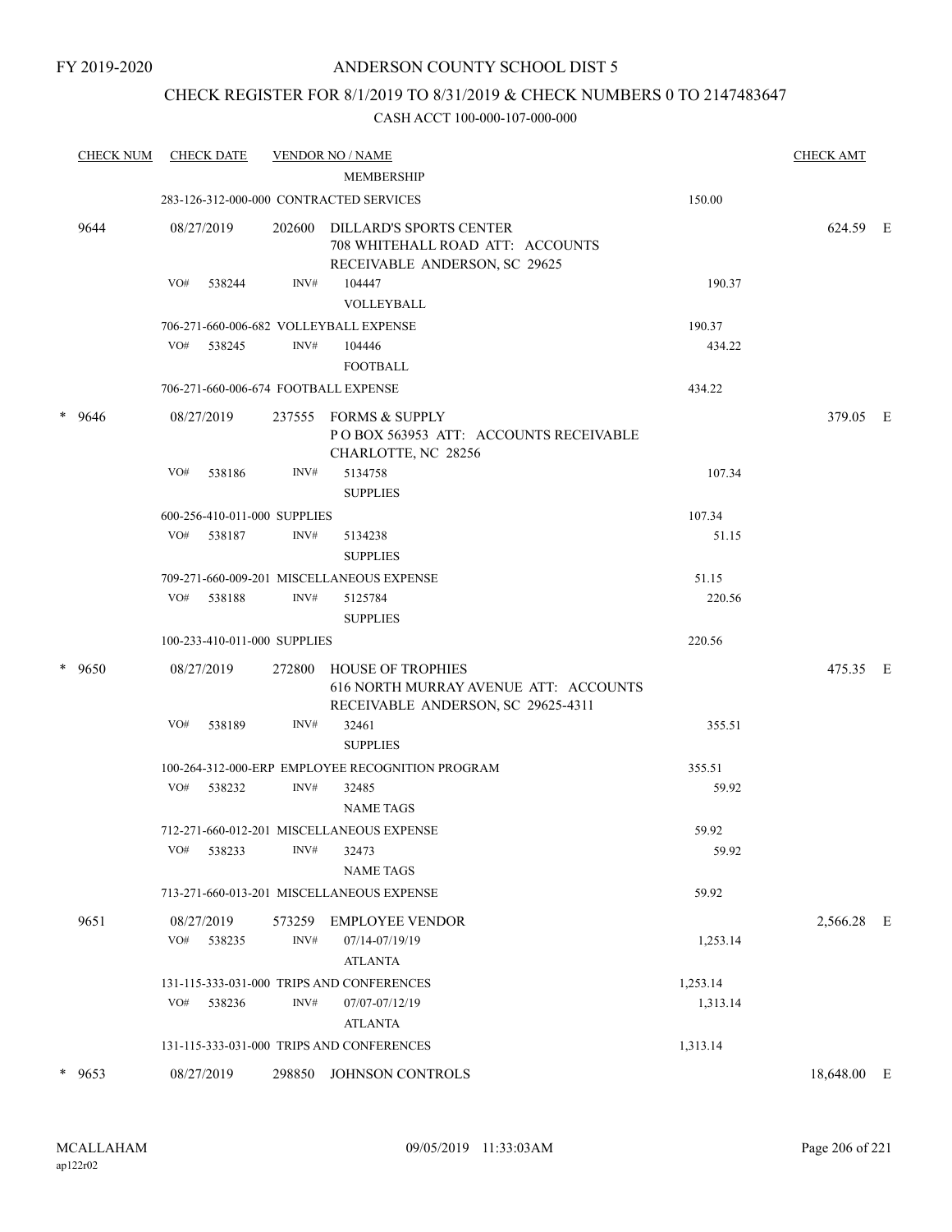### CHECK REGISTER FOR 8/1/2019 TO 8/31/2019 & CHECK NUMBERS 0 TO 2147483647

|   | <b>CHECK NUM</b> | <b>CHECK DATE</b> |                              |                | <b>VENDOR NO / NAME</b><br><b>MEMBERSHIP</b>                                                            |          | <b>CHECK AMT</b> |  |
|---|------------------|-------------------|------------------------------|----------------|---------------------------------------------------------------------------------------------------------|----------|------------------|--|
|   |                  |                   |                              |                | 283-126-312-000-000 CONTRACTED SERVICES                                                                 | 150.00   |                  |  |
|   | 9644             | 08/27/2019        |                              | 202600         | <b>DILLARD'S SPORTS CENTER</b><br>708 WHITEHALL ROAD ATT: ACCOUNTS<br>RECEIVABLE ANDERSON, SC 29625     |          | 624.59 E         |  |
|   |                  | VO#               | 538244                       | INV#           | 104447<br>VOLLEYBALL                                                                                    | 190.37   |                  |  |
|   |                  |                   |                              |                | 706-271-660-006-682 VOLLEYBALL EXPENSE                                                                  | 190.37   |                  |  |
|   |                  | VO#               | 538245                       | INV#           | 104446<br><b>FOOTBALL</b>                                                                               | 434.22   |                  |  |
|   |                  |                   |                              |                | 706-271-660-006-674 FOOTBALL EXPENSE                                                                    | 434.22   |                  |  |
|   | $* 9646$         | 08/27/2019        |                              | 237555         | FORMS & SUPPLY<br>POBOX 563953 ATT: ACCOUNTS RECEIVABLE<br>CHARLOTTE, NC 28256                          |          | 379.05 E         |  |
|   |                  | VO#               | 538186                       | INV#           | 5134758<br><b>SUPPLIES</b>                                                                              | 107.34   |                  |  |
|   |                  |                   | 600-256-410-011-000 SUPPLIES |                |                                                                                                         | 107.34   |                  |  |
|   |                  | VO#               | 538187                       | INV#           | 5134238<br><b>SUPPLIES</b>                                                                              | 51.15    |                  |  |
|   |                  |                   |                              |                | 709-271-660-009-201 MISCELLANEOUS EXPENSE                                                               | 51.15    |                  |  |
|   |                  | VO#               | 538188                       | INV#           | 5125784<br><b>SUPPLIES</b>                                                                              | 220.56   |                  |  |
|   |                  |                   | 100-233-410-011-000 SUPPLIES |                |                                                                                                         | 220.56   |                  |  |
|   | * 9650           | 08/27/2019        |                              | 272800         | <b>HOUSE OF TROPHIES</b><br>616 NORTH MURRAY AVENUE ATT: ACCOUNTS<br>RECEIVABLE ANDERSON, SC 29625-4311 |          | 475.35 E         |  |
|   |                  | VO#               | 538189                       | INV#           | 32461<br><b>SUPPLIES</b>                                                                                | 355.51   |                  |  |
|   |                  |                   |                              |                | 100-264-312-000-ERP EMPLOYEE RECOGNITION PROGRAM                                                        | 355.51   |                  |  |
|   |                  | VO#               | 538232                       | INV#           | 32485<br><b>NAME TAGS</b>                                                                               | 59.92    |                  |  |
|   |                  |                   |                              |                | 712-271-660-012-201 MISCELLANEOUS EXPENSE                                                               | 59.92    |                  |  |
|   |                  | $\rm VO\#$        | 538233                       | $\text{INV}\#$ | 32473<br><b>NAME TAGS</b>                                                                               | 59.92    |                  |  |
|   |                  |                   |                              |                | 713-271-660-013-201 MISCELLANEOUS EXPENSE                                                               | 59.92    |                  |  |
|   | 9651             | 08/27/2019        |                              | 573259         | <b>EMPLOYEE VENDOR</b>                                                                                  |          | 2,566.28 E       |  |
|   |                  | VO#               | 538235                       | INV#           | 07/14-07/19/19<br><b>ATLANTA</b>                                                                        | 1,253.14 |                  |  |
|   |                  |                   |                              |                | 131-115-333-031-000 TRIPS AND CONFERENCES                                                               | 1,253.14 |                  |  |
|   |                  | VO#               | 538236                       | INV#           | 07/07-07/12/19<br><b>ATLANTA</b>                                                                        | 1,313.14 |                  |  |
|   |                  |                   |                              |                | 131-115-333-031-000 TRIPS AND CONFERENCES                                                               | 1,313.14 |                  |  |
| * | 9653             | 08/27/2019        |                              | 298850         | JOHNSON CONTROLS                                                                                        |          | 18,648.00 E      |  |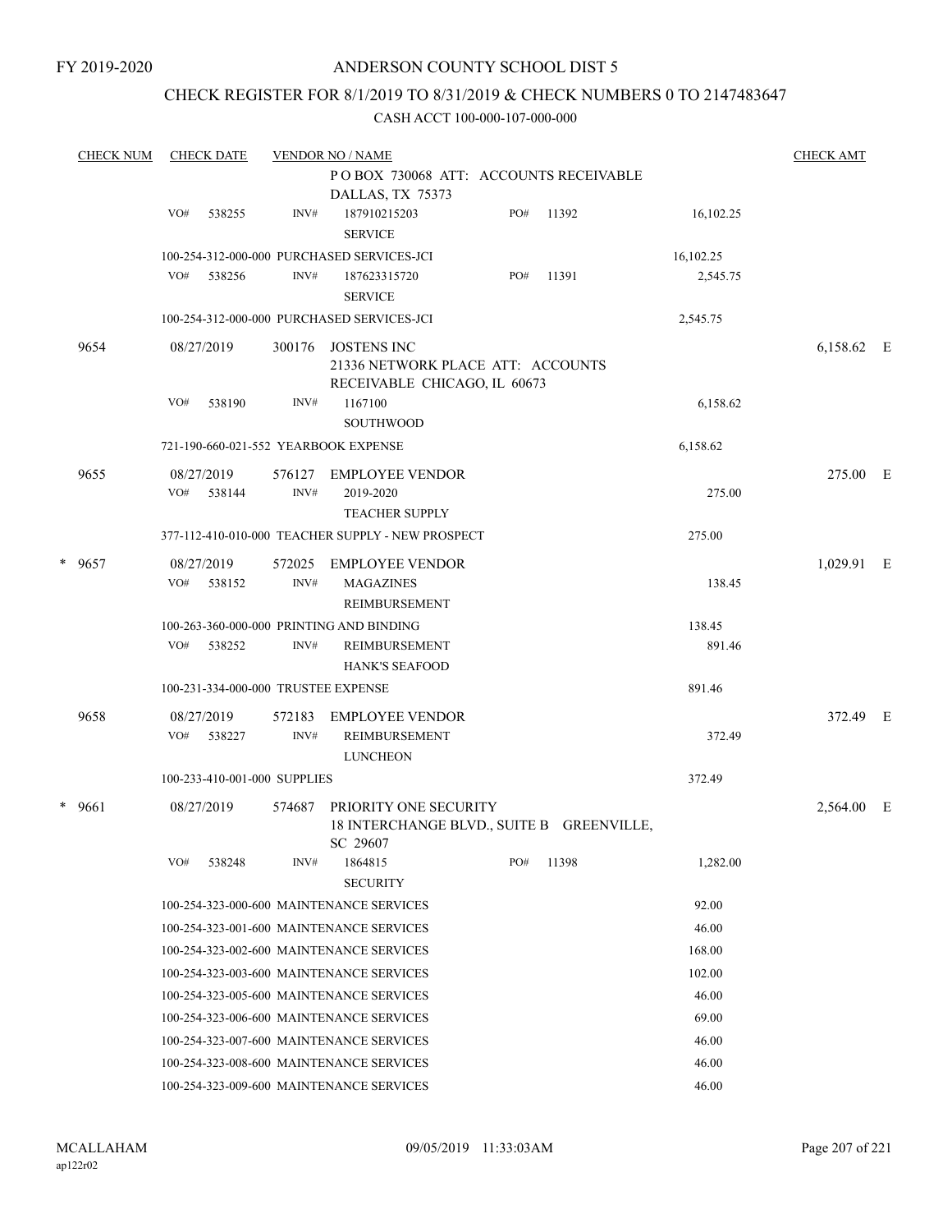### CHECK REGISTER FOR 8/1/2019 TO 8/31/2019 & CHECK NUMBERS 0 TO 2147483647

| <b>CHECK NUM</b> | <b>CHECK DATE</b><br><b>VENDOR NO / NAME</b> |                      |                              |                                                                                         |     |       | <b>CHECK AMT</b> |            |   |
|------------------|----------------------------------------------|----------------------|------------------------------|-----------------------------------------------------------------------------------------|-----|-------|------------------|------------|---|
|                  |                                              |                      |                              | POBOX 730068 ATT: ACCOUNTS RECEIVABLE<br>DALLAS, TX 75373                               |     |       |                  |            |   |
|                  | VO#                                          | 538255               | INV#                         | 187910215203<br><b>SERVICE</b>                                                          | PO# | 11392 | 16,102.25        |            |   |
|                  |                                              |                      |                              | 100-254-312-000-000 PURCHASED SERVICES-JCI                                              |     |       | 16,102.25        |            |   |
|                  | VO#                                          | 538256               | INV#                         | 187623315720<br><b>SERVICE</b>                                                          | PO# | 11391 | 2,545.75         |            |   |
|                  |                                              |                      |                              | 100-254-312-000-000 PURCHASED SERVICES-JCI                                              |     |       | 2,545.75         |            |   |
| 9654             |                                              | 08/27/2019           | 300176                       | <b>JOSTENS INC</b><br>21336 NETWORK PLACE ATT: ACCOUNTS<br>RECEIVABLE CHICAGO, IL 60673 |     |       |                  | 6,158.62 E |   |
|                  | VO#                                          | 538190               | INV#                         | 1167100<br><b>SOUTHWOOD</b>                                                             |     |       | 6,158.62         |            |   |
|                  |                                              |                      |                              | 721-190-660-021-552 YEARBOOK EXPENSE                                                    |     |       | 6,158.62         |            |   |
| 9655             | VO#                                          | 08/27/2019<br>538144 | 576127<br>INV#               | EMPLOYEE VENDOR<br>2019-2020<br><b>TEACHER SUPPLY</b>                                   |     |       | 275.00           | 275.00 E   |   |
|                  |                                              |                      |                              | 377-112-410-010-000 TEACHER SUPPLY - NEW PROSPECT                                       |     |       | 275.00           |            |   |
| * 9657           | VO#                                          | 08/27/2019<br>538152 | 572025<br>INV#               | EMPLOYEE VENDOR<br><b>MAGAZINES</b><br>REIMBURSEMENT                                    |     |       | 138.45           | 1,029.91 E |   |
|                  |                                              |                      |                              | 100-263-360-000-000 PRINTING AND BINDING                                                |     |       | 138.45           |            |   |
|                  | VO#                                          | 538252               | INV#                         | REIMBURSEMENT<br><b>HANK'S SEAFOOD</b>                                                  |     |       | 891.46           |            |   |
|                  |                                              |                      |                              | 100-231-334-000-000 TRUSTEE EXPENSE                                                     |     |       | 891.46           |            |   |
| 9658             | VO#                                          | 08/27/2019<br>538227 | 572183<br>INV#               | <b>EMPLOYEE VENDOR</b><br>REIMBURSEMENT<br><b>LUNCHEON</b>                              |     |       | 372.49           | 372.49 E   |   |
|                  |                                              |                      | 100-233-410-001-000 SUPPLIES |                                                                                         |     |       | 372.49           |            |   |
| $* 9661$         |                                              | 08/27/2019           | 574687                       | PRIORITY ONE SECURITY<br>18 INTERCHANGE BLVD., SUITE B GREENVILLE,<br>SC 29607          |     |       |                  | 2,564.00   | E |
|                  | VO#                                          | 538248               | INV#                         | 1864815<br><b>SECURITY</b>                                                              | PO# | 11398 | 1,282.00         |            |   |
|                  |                                              |                      |                              | 100-254-323-000-600 MAINTENANCE SERVICES                                                |     |       | 92.00            |            |   |
|                  |                                              |                      |                              | 100-254-323-001-600 MAINTENANCE SERVICES                                                |     |       | 46.00            |            |   |
|                  |                                              |                      |                              | 100-254-323-002-600 MAINTENANCE SERVICES                                                |     |       | 168.00           |            |   |
|                  |                                              |                      |                              | 100-254-323-003-600 MAINTENANCE SERVICES                                                |     |       | 102.00           |            |   |
|                  |                                              |                      |                              | 100-254-323-005-600 MAINTENANCE SERVICES                                                |     |       | 46.00            |            |   |
|                  |                                              |                      |                              | 100-254-323-006-600 MAINTENANCE SERVICES                                                |     |       | 69.00            |            |   |
|                  |                                              |                      |                              | 100-254-323-007-600 MAINTENANCE SERVICES                                                |     |       | 46.00            |            |   |
|                  |                                              |                      |                              | 100-254-323-008-600 MAINTENANCE SERVICES                                                |     |       | 46.00            |            |   |
|                  |                                              |                      |                              | 100-254-323-009-600 MAINTENANCE SERVICES                                                |     |       | 46.00            |            |   |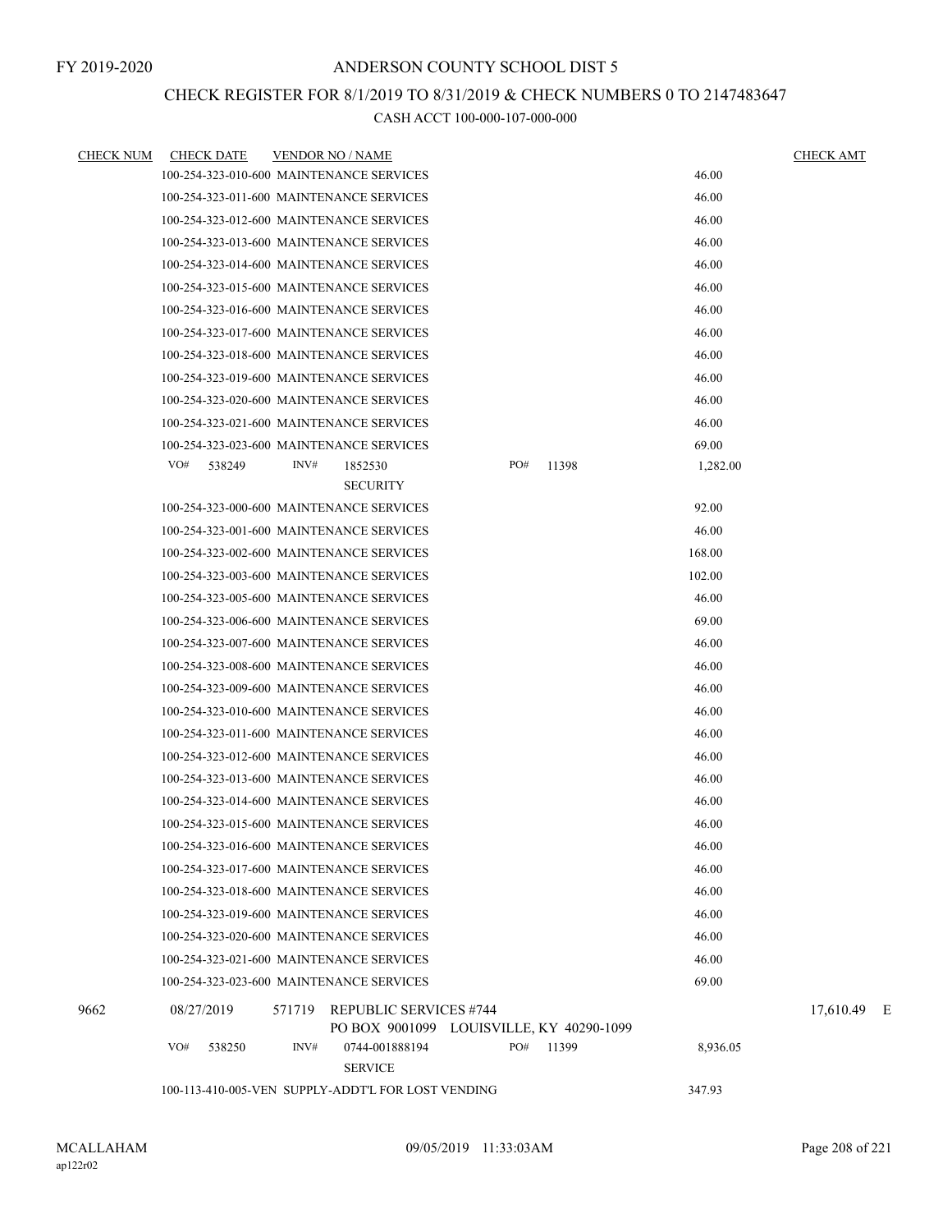### CHECK REGISTER FOR 8/1/2019 TO 8/31/2019 & CHECK NUMBERS 0 TO 2147483647

| <b>CHECK NUM</b> | <b>CHECK DATE</b>                                  | <b>VENDOR NO / NAME</b> |                                                                           |     |       |          | <b>CHECK AMT</b> |  |
|------------------|----------------------------------------------------|-------------------------|---------------------------------------------------------------------------|-----|-------|----------|------------------|--|
|                  | 100-254-323-010-600 MAINTENANCE SERVICES           |                         |                                                                           |     |       | 46.00    |                  |  |
|                  | 100-254-323-011-600 MAINTENANCE SERVICES           |                         |                                                                           |     |       | 46.00    |                  |  |
|                  | 100-254-323-012-600 MAINTENANCE SERVICES           |                         |                                                                           |     |       | 46.00    |                  |  |
|                  | 100-254-323-013-600 MAINTENANCE SERVICES           |                         |                                                                           |     |       | 46.00    |                  |  |
|                  | 100-254-323-014-600 MAINTENANCE SERVICES           |                         |                                                                           |     |       | 46.00    |                  |  |
|                  | 100-254-323-015-600 MAINTENANCE SERVICES           |                         |                                                                           |     |       | 46.00    |                  |  |
|                  | 100-254-323-016-600 MAINTENANCE SERVICES           |                         |                                                                           |     |       | 46.00    |                  |  |
|                  | 100-254-323-017-600 MAINTENANCE SERVICES           |                         |                                                                           |     |       | 46.00    |                  |  |
|                  | 100-254-323-018-600 MAINTENANCE SERVICES           |                         |                                                                           |     |       | 46.00    |                  |  |
|                  | 100-254-323-019-600 MAINTENANCE SERVICES           |                         |                                                                           |     |       | 46.00    |                  |  |
|                  | 100-254-323-020-600 MAINTENANCE SERVICES           |                         |                                                                           |     |       | 46.00    |                  |  |
|                  | 100-254-323-021-600 MAINTENANCE SERVICES           |                         |                                                                           |     |       | 46.00    |                  |  |
|                  | 100-254-323-023-600 MAINTENANCE SERVICES           |                         |                                                                           |     |       | 69.00    |                  |  |
|                  | VO#<br>538249                                      | INV#                    | 1852530<br><b>SECURITY</b>                                                | PO# | 11398 | 1,282.00 |                  |  |
|                  | 100-254-323-000-600 MAINTENANCE SERVICES           |                         |                                                                           |     |       | 92.00    |                  |  |
|                  | 100-254-323-001-600 MAINTENANCE SERVICES           |                         |                                                                           |     |       | 46.00    |                  |  |
|                  | 100-254-323-002-600 MAINTENANCE SERVICES           |                         |                                                                           |     |       | 168.00   |                  |  |
|                  | 100-254-323-003-600 MAINTENANCE SERVICES           |                         |                                                                           |     |       | 102.00   |                  |  |
|                  | 100-254-323-005-600 MAINTENANCE SERVICES           |                         |                                                                           |     |       | 46.00    |                  |  |
|                  | 100-254-323-006-600 MAINTENANCE SERVICES           |                         |                                                                           |     |       | 69.00    |                  |  |
|                  | 100-254-323-007-600 MAINTENANCE SERVICES           |                         |                                                                           |     |       | 46.00    |                  |  |
|                  | 100-254-323-008-600 MAINTENANCE SERVICES           |                         |                                                                           |     |       | 46.00    |                  |  |
|                  | 100-254-323-009-600 MAINTENANCE SERVICES           |                         |                                                                           |     |       | 46.00    |                  |  |
|                  | 100-254-323-010-600 MAINTENANCE SERVICES           |                         |                                                                           |     |       | 46.00    |                  |  |
|                  | 100-254-323-011-600 MAINTENANCE SERVICES           |                         |                                                                           |     |       | 46.00    |                  |  |
|                  | 100-254-323-012-600 MAINTENANCE SERVICES           |                         |                                                                           |     |       | 46.00    |                  |  |
|                  | 100-254-323-013-600 MAINTENANCE SERVICES           |                         |                                                                           |     |       | 46.00    |                  |  |
|                  | 100-254-323-014-600 MAINTENANCE SERVICES           |                         |                                                                           |     |       | 46.00    |                  |  |
|                  | 100-254-323-015-600 MAINTENANCE SERVICES           |                         |                                                                           |     |       | 46.00    |                  |  |
|                  | 100-254-323-016-600 MAINTENANCE SERVICES           |                         |                                                                           |     |       | 46.00    |                  |  |
|                  | 100-254-323-017-600 MAINTENANCE SERVICES           |                         |                                                                           |     |       | 46.00    |                  |  |
|                  | 100-254-323-018-600 MAINTENANCE SERVICES           |                         |                                                                           |     |       | 46.00    |                  |  |
|                  | 100-254-323-019-600 MAINTENANCE SERVICES           |                         |                                                                           |     |       | 46.00    |                  |  |
|                  | 100-254-323-020-600 MAINTENANCE SERVICES           |                         |                                                                           |     |       | 46.00    |                  |  |
|                  | 100-254-323-021-600 MAINTENANCE SERVICES           |                         |                                                                           |     |       | 46.00    |                  |  |
|                  | 100-254-323-023-600 MAINTENANCE SERVICES           |                         |                                                                           |     |       | 69.00    |                  |  |
| 9662             | 08/27/2019                                         |                         | 571719 REPUBLIC SERVICES #744<br>PO BOX 9001099 LOUISVILLE, KY 40290-1099 |     |       |          | 17,610.49 E      |  |
|                  | VO#<br>538250                                      | INV#                    | 0744-001888194<br><b>SERVICE</b>                                          | PO# | 11399 | 8,936.05 |                  |  |
|                  | 100-113-410-005-VEN SUPPLY-ADDT'L FOR LOST VENDING |                         |                                                                           |     |       | 347.93   |                  |  |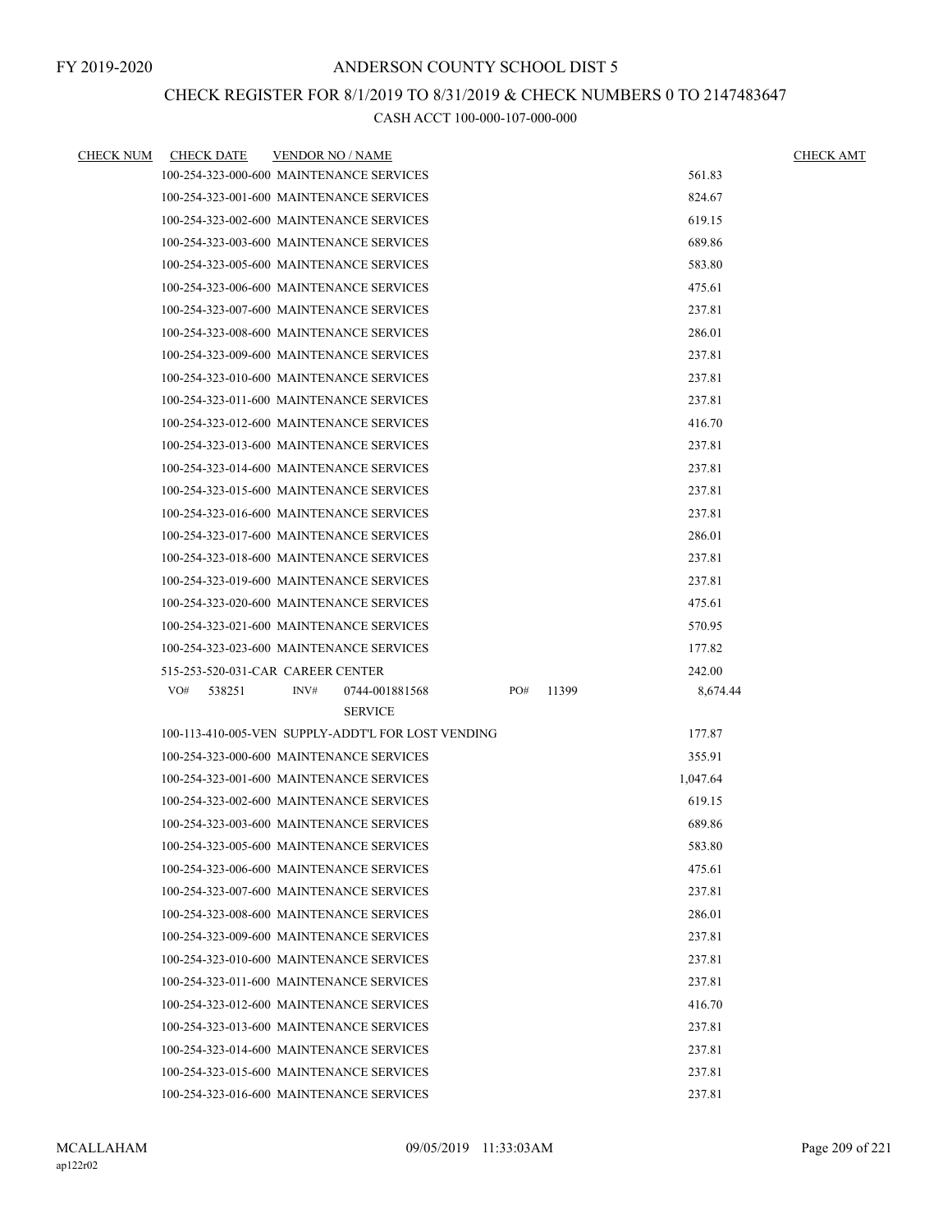### CHECK REGISTER FOR 8/1/2019 TO 8/31/2019 & CHECK NUMBERS 0 TO 2147483647

| <b>CHECK NUM</b> | <b>CHECK DATE</b>                        | <b>VENDOR NO / NAME</b> |                                                    |     |       |          | <b>CHECK AMT</b> |
|------------------|------------------------------------------|-------------------------|----------------------------------------------------|-----|-------|----------|------------------|
|                  | 100-254-323-000-600 MAINTENANCE SERVICES |                         |                                                    |     |       | 561.83   |                  |
|                  | 100-254-323-001-600 MAINTENANCE SERVICES |                         |                                                    |     |       | 824.67   |                  |
|                  | 100-254-323-002-600 MAINTENANCE SERVICES |                         |                                                    |     |       | 619.15   |                  |
|                  | 100-254-323-003-600 MAINTENANCE SERVICES |                         |                                                    |     |       | 689.86   |                  |
|                  | 100-254-323-005-600 MAINTENANCE SERVICES |                         |                                                    |     |       | 583.80   |                  |
|                  | 100-254-323-006-600 MAINTENANCE SERVICES |                         |                                                    |     |       | 475.61   |                  |
|                  | 100-254-323-007-600 MAINTENANCE SERVICES |                         |                                                    |     |       | 237.81   |                  |
|                  | 100-254-323-008-600 MAINTENANCE SERVICES |                         |                                                    |     |       | 286.01   |                  |
|                  | 100-254-323-009-600 MAINTENANCE SERVICES |                         |                                                    |     |       | 237.81   |                  |
|                  | 100-254-323-010-600 MAINTENANCE SERVICES |                         |                                                    |     |       | 237.81   |                  |
|                  | 100-254-323-011-600 MAINTENANCE SERVICES |                         |                                                    |     |       | 237.81   |                  |
|                  | 100-254-323-012-600 MAINTENANCE SERVICES |                         |                                                    |     |       | 416.70   |                  |
|                  | 100-254-323-013-600 MAINTENANCE SERVICES |                         |                                                    |     |       | 237.81   |                  |
|                  | 100-254-323-014-600 MAINTENANCE SERVICES |                         |                                                    |     |       | 237.81   |                  |
|                  | 100-254-323-015-600 MAINTENANCE SERVICES |                         |                                                    |     |       | 237.81   |                  |
|                  | 100-254-323-016-600 MAINTENANCE SERVICES |                         |                                                    |     |       | 237.81   |                  |
|                  | 100-254-323-017-600 MAINTENANCE SERVICES |                         |                                                    |     |       | 286.01   |                  |
|                  | 100-254-323-018-600 MAINTENANCE SERVICES |                         |                                                    |     |       | 237.81   |                  |
|                  | 100-254-323-019-600 MAINTENANCE SERVICES |                         |                                                    |     |       | 237.81   |                  |
|                  | 100-254-323-020-600 MAINTENANCE SERVICES |                         |                                                    |     |       | 475.61   |                  |
|                  | 100-254-323-021-600 MAINTENANCE SERVICES |                         |                                                    |     |       | 570.95   |                  |
|                  | 100-254-323-023-600 MAINTENANCE SERVICES |                         |                                                    |     |       | 177.82   |                  |
|                  | 515-253-520-031-CAR CAREER CENTER        |                         |                                                    |     |       | 242.00   |                  |
|                  | VO#<br>538251                            | INV#                    | 0744-001881568                                     | PO# | 11399 | 8,674.44 |                  |
|                  |                                          |                         | <b>SERVICE</b>                                     |     |       |          |                  |
|                  |                                          |                         | 100-113-410-005-VEN SUPPLY-ADDT'L FOR LOST VENDING |     |       | 177.87   |                  |
|                  | 100-254-323-000-600 MAINTENANCE SERVICES |                         |                                                    |     |       | 355.91   |                  |
|                  | 100-254-323-001-600 MAINTENANCE SERVICES |                         |                                                    |     |       | 1,047.64 |                  |
|                  | 100-254-323-002-600 MAINTENANCE SERVICES |                         |                                                    |     |       | 619.15   |                  |
|                  | 100-254-323-003-600 MAINTENANCE SERVICES |                         |                                                    |     |       | 689.86   |                  |
|                  | 100-254-323-005-600 MAINTENANCE SERVICES |                         |                                                    |     |       | 583.80   |                  |
|                  | 100-254-323-006-600 MAINTENANCE SERVICES |                         |                                                    |     |       | 475.61   |                  |
|                  | 100-254-323-007-600 MAINTENANCE SERVICES |                         |                                                    |     |       | 237.81   |                  |
|                  | 100-254-323-008-600 MAINTENANCE SERVICES |                         |                                                    |     |       | 286.01   |                  |
|                  | 100-254-323-009-600 MAINTENANCE SERVICES |                         |                                                    |     |       | 237.81   |                  |
|                  | 100-254-323-010-600 MAINTENANCE SERVICES |                         |                                                    |     |       | 237.81   |                  |
|                  | 100-254-323-011-600 MAINTENANCE SERVICES |                         |                                                    |     |       | 237.81   |                  |
|                  | 100-254-323-012-600 MAINTENANCE SERVICES |                         |                                                    |     |       | 416.70   |                  |
|                  | 100-254-323-013-600 MAINTENANCE SERVICES |                         |                                                    |     |       | 237.81   |                  |
|                  | 100-254-323-014-600 MAINTENANCE SERVICES |                         |                                                    |     |       | 237.81   |                  |
|                  | 100-254-323-015-600 MAINTENANCE SERVICES |                         |                                                    |     |       | 237.81   |                  |
|                  | 100-254-323-016-600 MAINTENANCE SERVICES |                         |                                                    |     |       | 237.81   |                  |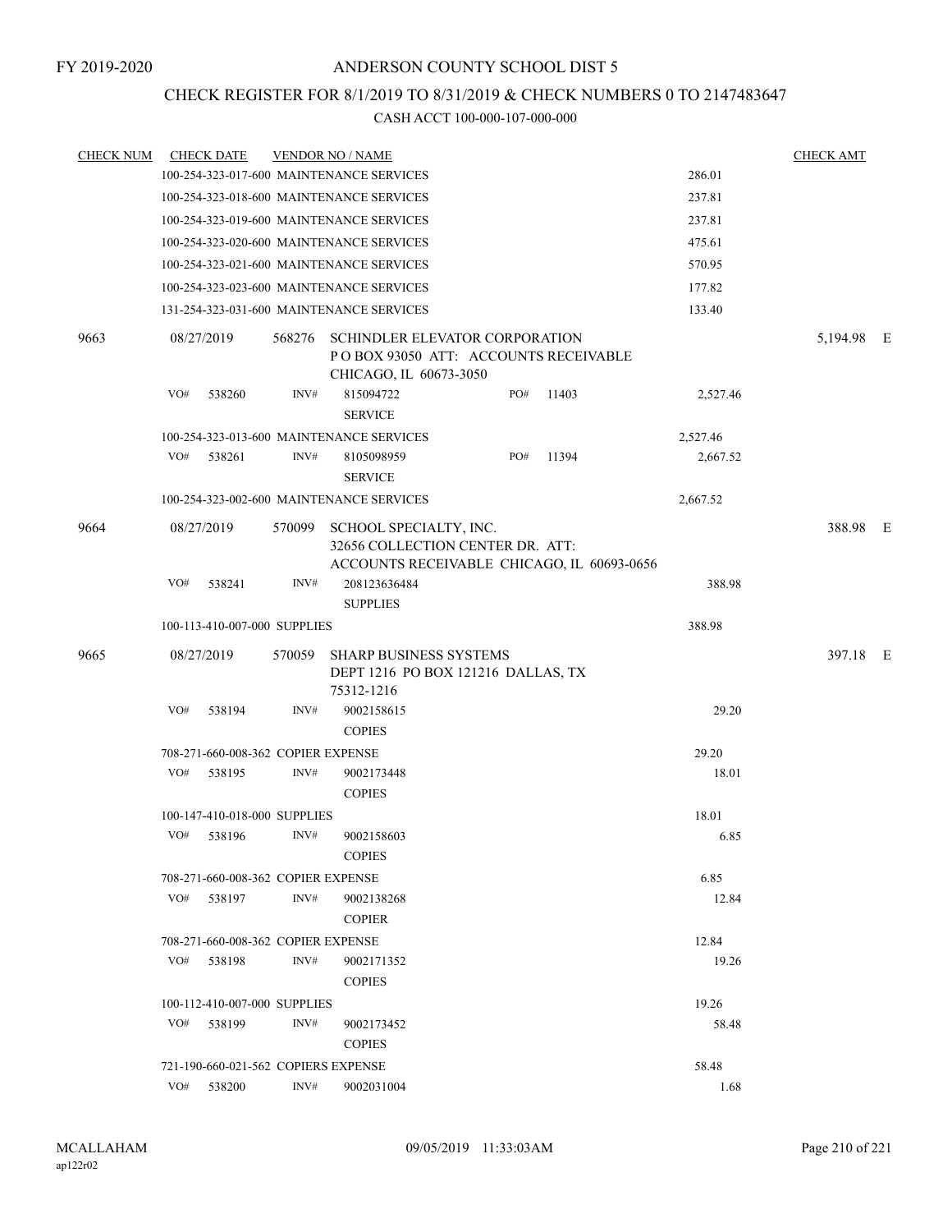### CHECK REGISTER FOR 8/1/2019 TO 8/31/2019 & CHECK NUMBERS 0 TO 2147483647

| <b>CHECK NUM</b> |     | <b>CHECK DATE</b>                   |        | <b>VENDOR NO / NAME</b>                                                                          |     |                                            |          | <b>CHECK AMT</b> |  |
|------------------|-----|-------------------------------------|--------|--------------------------------------------------------------------------------------------------|-----|--------------------------------------------|----------|------------------|--|
|                  |     |                                     |        | 100-254-323-017-600 MAINTENANCE SERVICES                                                         |     |                                            | 286.01   |                  |  |
|                  |     |                                     |        | 100-254-323-018-600 MAINTENANCE SERVICES                                                         |     |                                            | 237.81   |                  |  |
|                  |     |                                     |        | 100-254-323-019-600 MAINTENANCE SERVICES                                                         |     |                                            | 237.81   |                  |  |
|                  |     |                                     |        | 100-254-323-020-600 MAINTENANCE SERVICES                                                         |     |                                            | 475.61   |                  |  |
|                  |     |                                     |        | 100-254-323-021-600 MAINTENANCE SERVICES                                                         |     |                                            | 570.95   |                  |  |
|                  |     |                                     |        | 100-254-323-023-600 MAINTENANCE SERVICES                                                         |     |                                            | 177.82   |                  |  |
|                  |     |                                     |        | 131-254-323-031-600 MAINTENANCE SERVICES                                                         |     |                                            | 133.40   |                  |  |
| 9663             |     | 08/27/2019                          | 568276 | SCHINDLER ELEVATOR CORPORATION<br>POBOX 93050 ATT: ACCOUNTS RECEIVABLE<br>CHICAGO, IL 60673-3050 |     |                                            |          | 5,194.98 E       |  |
|                  | VO# | 538260                              | INV#   | 815094722<br><b>SERVICE</b>                                                                      | PO# | 11403                                      | 2,527.46 |                  |  |
|                  |     |                                     |        | 100-254-323-013-600 MAINTENANCE SERVICES                                                         |     |                                            | 2,527.46 |                  |  |
|                  | VO# | 538261                              | INV#   | 8105098959<br><b>SERVICE</b>                                                                     | PO# | 11394                                      | 2,667.52 |                  |  |
|                  |     |                                     |        | 100-254-323-002-600 MAINTENANCE SERVICES                                                         |     |                                            | 2,667.52 |                  |  |
| 9664             |     | 08/27/2019                          |        | 570099 SCHOOL SPECIALTY, INC.<br>32656 COLLECTION CENTER DR. ATT:                                |     | ACCOUNTS RECEIVABLE CHICAGO, IL 60693-0656 |          | 388.98 E         |  |
|                  | VO# | 538241                              | INV#   | 208123636484<br><b>SUPPLIES</b>                                                                  |     |                                            | 388.98   |                  |  |
|                  |     | 100-113-410-007-000 SUPPLIES        |        |                                                                                                  |     |                                            | 388.98   |                  |  |
| 9665             |     | 08/27/2019                          | 570059 | <b>SHARP BUSINESS SYSTEMS</b><br>DEPT 1216 PO BOX 121216 DALLAS, TX<br>75312-1216                |     |                                            |          | 397.18 E         |  |
|                  | VO# | 538194                              | INV#   | 9002158615<br><b>COPIES</b>                                                                      |     |                                            | 29.20    |                  |  |
|                  |     | 708-271-660-008-362 COPIER EXPENSE  |        |                                                                                                  |     |                                            | 29.20    |                  |  |
|                  | VO# | 538195                              | INV#   | 9002173448<br><b>COPIES</b>                                                                      |     |                                            | 18.01    |                  |  |
|                  |     | 100-147-410-018-000 SUPPLIES        |        |                                                                                                  |     |                                            | 18.01    |                  |  |
|                  | VO# | 538196                              | INV#   | 9002158603<br><b>COPIES</b>                                                                      |     |                                            | 6.85     |                  |  |
|                  |     | 708-271-660-008-362 COPIER EXPENSE  |        |                                                                                                  |     |                                            | 6.85     |                  |  |
|                  | VO# | 538197                              | INV#   | 9002138268<br><b>COPIER</b>                                                                      |     |                                            | 12.84    |                  |  |
|                  |     | 708-271-660-008-362 COPIER EXPENSE  |        |                                                                                                  |     |                                            | 12.84    |                  |  |
|                  | VO# | 538198                              | INV#   | 9002171352<br><b>COPIES</b>                                                                      |     |                                            | 19.26    |                  |  |
|                  |     | 100-112-410-007-000 SUPPLIES        |        |                                                                                                  |     |                                            | 19.26    |                  |  |
|                  |     | VO# 538199                          | INV#   | 9002173452<br><b>COPIES</b>                                                                      |     |                                            | 58.48    |                  |  |
|                  |     | 721-190-660-021-562 COPIERS EXPENSE |        |                                                                                                  |     |                                            | 58.48    |                  |  |
|                  | VO# | 538200                              | INV#   | 9002031004                                                                                       |     |                                            | 1.68     |                  |  |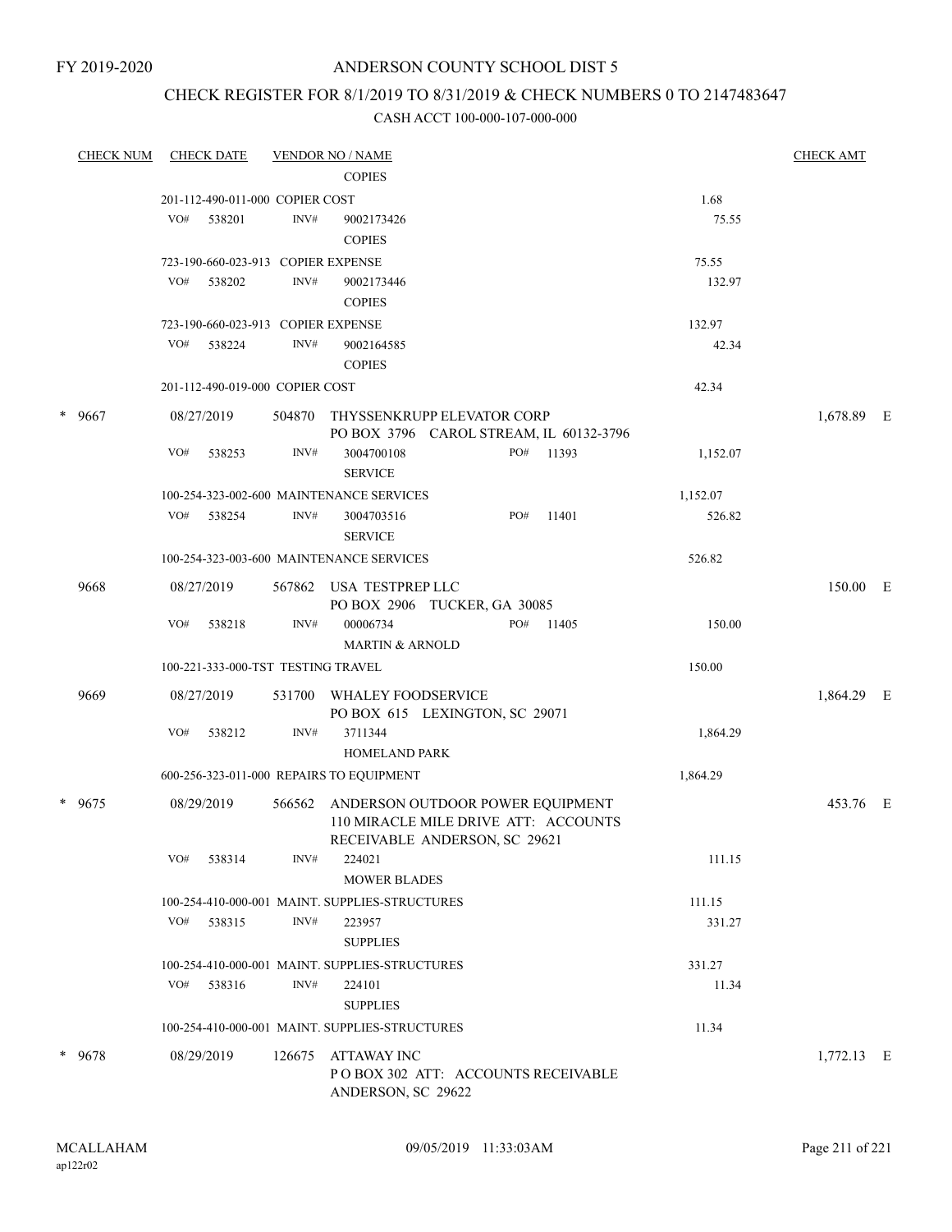### CHECK REGISTER FOR 8/1/2019 TO 8/31/2019 & CHECK NUMBERS 0 TO 2147483647

| <b>CHECK NUM</b> | <b>CHECK DATE</b>                                |                | <b>VENDOR NO / NAME</b><br><b>COPIES</b>                                                                         |     |           |               | <b>CHECK AMT</b> |  |
|------------------|--------------------------------------------------|----------------|------------------------------------------------------------------------------------------------------------------|-----|-----------|---------------|------------------|--|
|                  |                                                  |                |                                                                                                                  |     |           |               |                  |  |
|                  | 201-112-490-011-000 COPIER COST<br>VO#<br>538201 | $\text{INV}\#$ | 9002173426<br><b>COPIES</b>                                                                                      |     |           | 1.68<br>75.55 |                  |  |
|                  | 723-190-660-023-913 COPIER EXPENSE               |                |                                                                                                                  |     |           | 75.55         |                  |  |
|                  | VO#<br>538202                                    | INV#           | 9002173446<br><b>COPIES</b>                                                                                      |     |           | 132.97        |                  |  |
|                  | 723-190-660-023-913 COPIER EXPENSE               |                |                                                                                                                  |     |           | 132.97        |                  |  |
|                  | VO#<br>538224                                    | INV#           | 9002164585<br><b>COPIES</b>                                                                                      |     |           | 42.34         |                  |  |
|                  | 201-112-490-019-000 COPIER COST                  |                |                                                                                                                  |     |           | 42.34         |                  |  |
| * 9667           | 08/27/2019                                       | 504870         | THYSSENKRUPP ELEVATOR CORP<br>PO BOX 3796 CAROL STREAM, IL 60132-3796                                            |     |           |               | 1,678.89 E       |  |
|                  | VO#<br>538253                                    | INV#           | 3004700108<br><b>SERVICE</b>                                                                                     |     | PO# 11393 | 1,152.07      |                  |  |
|                  |                                                  |                | 100-254-323-002-600 MAINTENANCE SERVICES                                                                         |     |           | 1,152.07      |                  |  |
|                  | VO#<br>538254                                    | INV#           | 3004703516<br><b>SERVICE</b>                                                                                     | PO# | 11401     | 526.82        |                  |  |
|                  |                                                  |                | 100-254-323-003-600 MAINTENANCE SERVICES                                                                         |     |           | 526.82        |                  |  |
| 9668             | 08/27/2019                                       |                | 567862 USA TESTPREP LLC<br>PO BOX 2906 TUCKER, GA 30085                                                          |     |           |               | 150.00 E         |  |
|                  | VO#<br>538218                                    | INV#           | 00006734<br><b>MARTIN &amp; ARNOLD</b>                                                                           | PO# | 11405     | 150.00        |                  |  |
|                  | 100-221-333-000-TST TESTING TRAVEL               |                |                                                                                                                  |     |           | 150.00        |                  |  |
| 9669             | 08/27/2019                                       | 531700         | WHALEY FOODSERVICE<br>PO BOX 615 LEXINGTON, SC 29071                                                             |     |           |               | 1,864.29 E       |  |
|                  | VO#<br>538212                                    | INV#           | 3711344                                                                                                          |     |           | 1,864.29      |                  |  |
|                  |                                                  |                | <b>HOMELAND PARK</b>                                                                                             |     |           |               |                  |  |
|                  |                                                  |                | 600-256-323-011-000 REPAIRS TO EQUIPMENT                                                                         |     |           | 1,864.29      |                  |  |
| * 9675           | 08/29/2019                                       |                | 566562 ANDERSON OUTDOOR POWER EQUIPMENT<br>110 MIRACLE MILE DRIVE ATT: ACCOUNTS<br>RECEIVABLE ANDERSON, SC 29621 |     |           |               | 453.76 E         |  |
|                  | VO#<br>538314                                    | INV#           | 224021<br><b>MOWER BLADES</b>                                                                                    |     |           | 111.15        |                  |  |
|                  |                                                  |                | 100-254-410-000-001 MAINT. SUPPLIES-STRUCTURES                                                                   |     |           | 111.15        |                  |  |
|                  | VO#<br>538315                                    | INV#           | 223957<br><b>SUPPLIES</b>                                                                                        |     |           | 331.27        |                  |  |
|                  |                                                  |                | 100-254-410-000-001 MAINT. SUPPLIES-STRUCTURES                                                                   |     |           | 331.27        |                  |  |
|                  | VO# 538316                                       | INV#           | 224101<br><b>SUPPLIES</b>                                                                                        |     |           | 11.34         |                  |  |
|                  |                                                  |                | 100-254-410-000-001 MAINT. SUPPLIES-STRUCTURES                                                                   |     |           | 11.34         |                  |  |
| * 9678           | 08/29/2019                                       | 126675         | ATTAWAY INC<br>POBOX 302 ATT: ACCOUNTS RECEIVABLE<br>ANDERSON, SC 29622                                          |     |           |               | $1,772.13$ E     |  |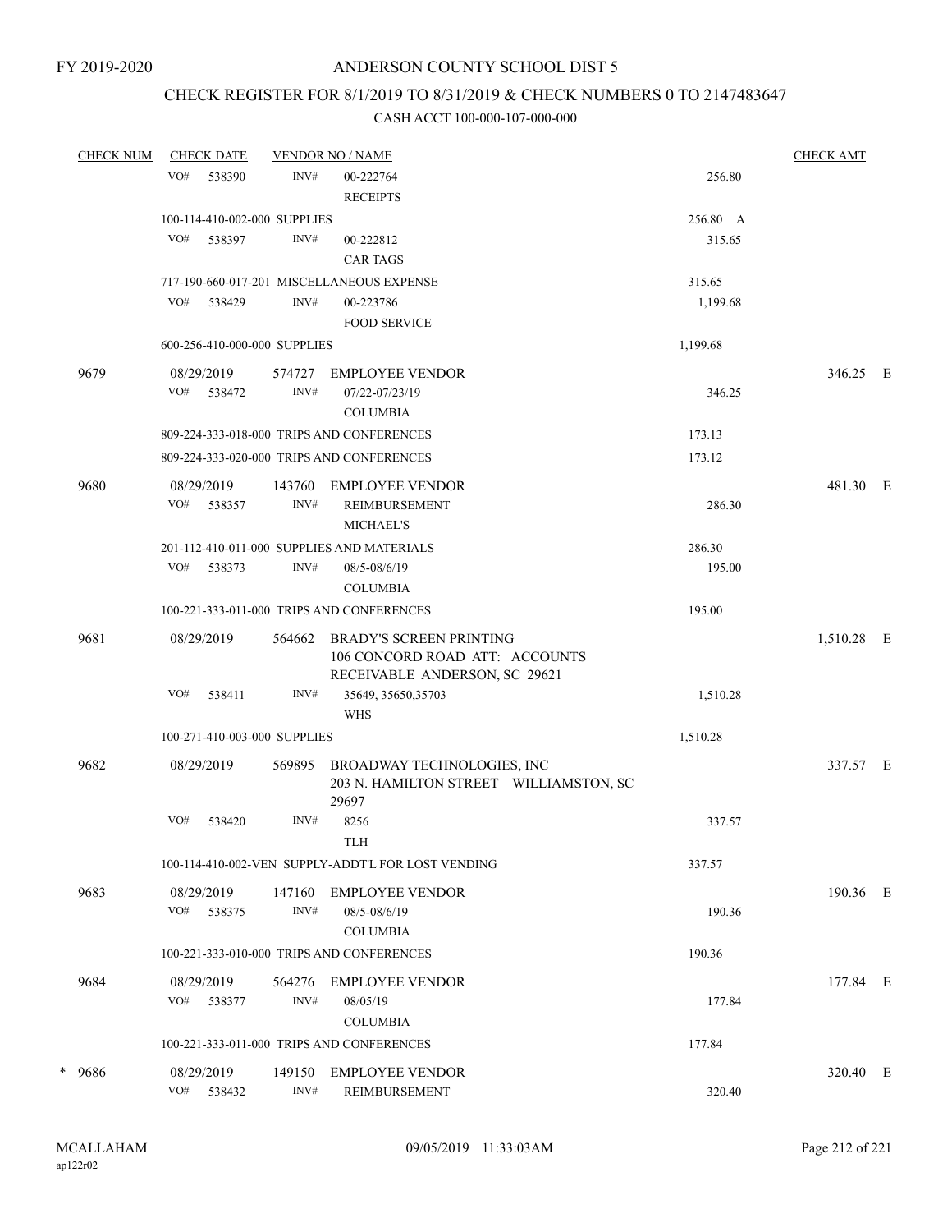### CHECK REGISTER FOR 8/1/2019 TO 8/31/2019 & CHECK NUMBERS 0 TO 2147483647

| <b>CHECK NUM</b> | <b>CHECK DATE</b>            |                | <b>VENDOR NO / NAME</b>                                                                           |          | <b>CHECK AMT</b> |  |
|------------------|------------------------------|----------------|---------------------------------------------------------------------------------------------------|----------|------------------|--|
|                  | VO#<br>538390                | INV#           | 00-222764<br><b>RECEIPTS</b>                                                                      | 256.80   |                  |  |
|                  | 100-114-410-002-000 SUPPLIES |                |                                                                                                   | 256.80 A |                  |  |
|                  | VO#<br>538397                | INV#           | 00-222812<br><b>CAR TAGS</b>                                                                      | 315.65   |                  |  |
|                  |                              |                | 717-190-660-017-201 MISCELLANEOUS EXPENSE                                                         | 315.65   |                  |  |
|                  | VO#<br>538429                | INV#           | 00-223786<br><b>FOOD SERVICE</b>                                                                  | 1,199.68 |                  |  |
|                  | 600-256-410-000-000 SUPPLIES |                |                                                                                                   | 1,199.68 |                  |  |
| 9679             | 08/29/2019                   | 574727         | <b>EMPLOYEE VENDOR</b>                                                                            |          | 346.25 E         |  |
|                  | VO#<br>538472                | INV#           | 07/22-07/23/19<br><b>COLUMBIA</b>                                                                 | 346.25   |                  |  |
|                  |                              |                | 809-224-333-018-000 TRIPS AND CONFERENCES                                                         | 173.13   |                  |  |
|                  |                              |                | 809-224-333-020-000 TRIPS AND CONFERENCES                                                         | 173.12   |                  |  |
| 9680             | 08/29/2019<br>VO#<br>538357  | 143760<br>INV# | <b>EMPLOYEE VENDOR</b><br><b>REIMBURSEMENT</b>                                                    | 286.30   | 481.30 E         |  |
|                  |                              |                | <b>MICHAEL'S</b>                                                                                  |          |                  |  |
|                  |                              |                | 201-112-410-011-000 SUPPLIES AND MATERIALS                                                        | 286.30   |                  |  |
|                  | VO#<br>538373                | INV#           | 08/5-08/6/19<br><b>COLUMBIA</b>                                                                   | 195.00   |                  |  |
|                  |                              |                | 100-221-333-011-000 TRIPS AND CONFERENCES                                                         | 195.00   |                  |  |
| 9681             | 08/29/2019                   | 564662         | <b>BRADY'S SCREEN PRINTING</b><br>106 CONCORD ROAD ATT: ACCOUNTS<br>RECEIVABLE ANDERSON, SC 29621 |          | 1,510.28 E       |  |
|                  | VO#<br>538411                | INV#           | 35649, 35650, 35703<br><b>WHS</b>                                                                 | 1,510.28 |                  |  |
|                  | 100-271-410-003-000 SUPPLIES |                |                                                                                                   | 1,510.28 |                  |  |
| 9682             | 08/29/2019                   | 569895         | BROADWAY TECHNOLOGIES, INC<br>203 N. HAMILTON STREET WILLIAMSTON, SC<br>29697                     |          | 337.57 E         |  |
|                  | VO#<br>538420                | INV#           | 8256<br><b>TLH</b>                                                                                | 337.57   |                  |  |
|                  |                              |                | 100-114-410-002-VEN SUPPLY-ADDT'L FOR LOST VENDING                                                | 337.57   |                  |  |
| 9683             | 08/29/2019                   | 147160         | <b>EMPLOYEE VENDOR</b>                                                                            |          | 190.36 E         |  |
|                  | VO#<br>538375                | INV#           | 08/5-08/6/19<br><b>COLUMBIA</b>                                                                   | 190.36   |                  |  |
|                  |                              |                | 100-221-333-010-000 TRIPS AND CONFERENCES                                                         | 190.36   |                  |  |
| 9684             | 08/29/2019                   | 564276         | <b>EMPLOYEE VENDOR</b>                                                                            |          | 177.84 E         |  |
|                  | VO#<br>538377                | INV#           | 08/05/19<br><b>COLUMBIA</b>                                                                       | 177.84   |                  |  |
|                  |                              |                | 100-221-333-011-000 TRIPS AND CONFERENCES                                                         | 177.84   |                  |  |
| * 9686           | 08/29/2019<br>VO#<br>538432  | 149150<br>INV# | <b>EMPLOYEE VENDOR</b><br><b>REIMBURSEMENT</b>                                                    | 320.40   | 320.40 E         |  |
|                  |                              |                |                                                                                                   |          |                  |  |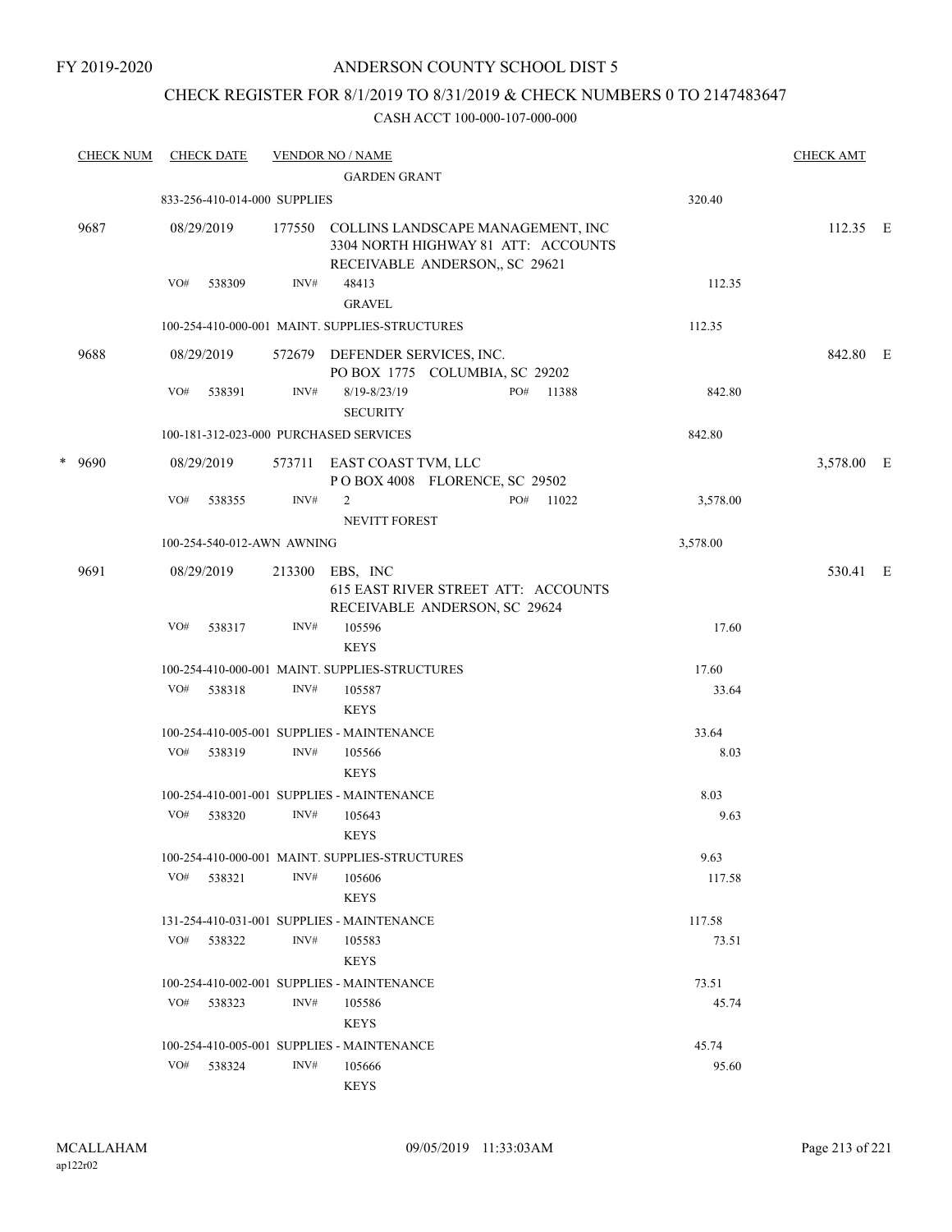#### FY 2019-2020

### ANDERSON COUNTY SCHOOL DIST 5

### CHECK REGISTER FOR 8/1/2019 TO 8/31/2019 & CHECK NUMBERS 0 TO 2147483647

|   | <b>CHECK NUM</b> |     | <b>CHECK DATE</b>            |        | <b>VENDOR NO / NAME</b>                        |                                                                           |                                     |          | <b>CHECK AMT</b> |  |
|---|------------------|-----|------------------------------|--------|------------------------------------------------|---------------------------------------------------------------------------|-------------------------------------|----------|------------------|--|
|   |                  |     |                              |        | <b>GARDEN GRANT</b>                            |                                                                           |                                     |          |                  |  |
|   |                  |     | 833-256-410-014-000 SUPPLIES |        |                                                |                                                                           |                                     | 320.40   |                  |  |
|   | 9687             |     | 08/29/2019                   |        |                                                | 177550 COLLINS LANDSCAPE MANAGEMENT, INC<br>RECEIVABLE ANDERSON, SC 29621 | 3304 NORTH HIGHWAY 81 ATT: ACCOUNTS |          | $112.35$ E       |  |
|   |                  | VO# | 538309                       | INV#   | 48413                                          |                                                                           |                                     | 112.35   |                  |  |
|   |                  |     |                              |        | <b>GRAVEL</b>                                  |                                                                           |                                     |          |                  |  |
|   |                  |     |                              |        | 100-254-410-000-001 MAINT. SUPPLIES-STRUCTURES |                                                                           |                                     | 112.35   |                  |  |
|   | 9688             |     | 08/29/2019                   |        | 572679 DEFENDER SERVICES, INC.                 | PO BOX 1775 COLUMBIA, SC 29202                                            |                                     |          | 842.80 E         |  |
|   |                  | VO# | 538391                       | INV#   | $8/19 - 8/23/19$<br><b>SECURITY</b>            |                                                                           | PO#<br>11388                        | 842.80   |                  |  |
|   |                  |     |                              |        | 100-181-312-023-000 PURCHASED SERVICES         |                                                                           |                                     | 842.80   |                  |  |
| * | 9690             |     | 08/29/2019                   | 573711 | EAST COAST TVM, LLC                            | POBOX 4008 FLORENCE, SC 29502                                             |                                     |          | 3,578.00 E       |  |
|   |                  | VO# | 538355                       | INV#   | 2                                              |                                                                           | PO#<br>11022                        | 3,578.00 |                  |  |
|   |                  |     |                              |        | NEVITT FOREST                                  |                                                                           |                                     |          |                  |  |
|   |                  |     | 100-254-540-012-AWN AWNING   |        |                                                |                                                                           |                                     | 3,578.00 |                  |  |
|   | 9691             |     | 08/29/2019                   | 213300 | EBS, INC                                       | 615 EAST RIVER STREET ATT: ACCOUNTS<br>RECEIVABLE ANDERSON, SC 29624      |                                     |          | 530.41 E         |  |
|   |                  | VO# | 538317                       | INV#   | 105596<br><b>KEYS</b>                          |                                                                           |                                     | 17.60    |                  |  |
|   |                  |     |                              |        | 100-254-410-000-001 MAINT. SUPPLIES-STRUCTURES |                                                                           |                                     | 17.60    |                  |  |
|   |                  | VO# | 538318                       | INV#   | 105587<br><b>KEYS</b>                          |                                                                           |                                     | 33.64    |                  |  |
|   |                  |     |                              |        | 100-254-410-005-001 SUPPLIES - MAINTENANCE     |                                                                           |                                     | 33.64    |                  |  |
|   |                  |     | VO# 538319                   | INV#   | 105566<br><b>KEYS</b>                          |                                                                           |                                     | 8.03     |                  |  |
|   |                  |     |                              |        | 100-254-410-001-001 SUPPLIES - MAINTENANCE     |                                                                           |                                     | 8.03     |                  |  |
|   |                  | VO# | 538320                       | INV#   | 105643                                         |                                                                           |                                     | 9.63     |                  |  |
|   |                  |     |                              |        | <b>KEYS</b>                                    |                                                                           |                                     |          |                  |  |
|   |                  |     |                              |        | 100-254-410-000-001 MAINT. SUPPLIES-STRUCTURES |                                                                           |                                     | 9.63     |                  |  |
|   |                  |     | VO# 538321                   | INV#   | 105606<br><b>KEYS</b>                          |                                                                           |                                     | 117.58   |                  |  |
|   |                  |     |                              |        | 131-254-410-031-001 SUPPLIES - MAINTENANCE     |                                                                           |                                     | 117.58   |                  |  |
|   |                  | VO# | 538322                       | INV#   | 105583<br><b>KEYS</b>                          |                                                                           |                                     | 73.51    |                  |  |
|   |                  |     |                              |        | 100-254-410-002-001 SUPPLIES - MAINTENANCE     |                                                                           |                                     | 73.51    |                  |  |
|   |                  |     | VO# 538323                   | INV#   | 105586<br><b>KEYS</b>                          |                                                                           |                                     | 45.74    |                  |  |
|   |                  |     |                              |        | 100-254-410-005-001 SUPPLIES - MAINTENANCE     |                                                                           |                                     | 45.74    |                  |  |
|   |                  | VO# | 538324                       | INV#   | 105666                                         |                                                                           |                                     | 95.60    |                  |  |
|   |                  |     |                              |        | <b>KEYS</b>                                    |                                                                           |                                     |          |                  |  |
|   |                  |     |                              |        |                                                |                                                                           |                                     |          |                  |  |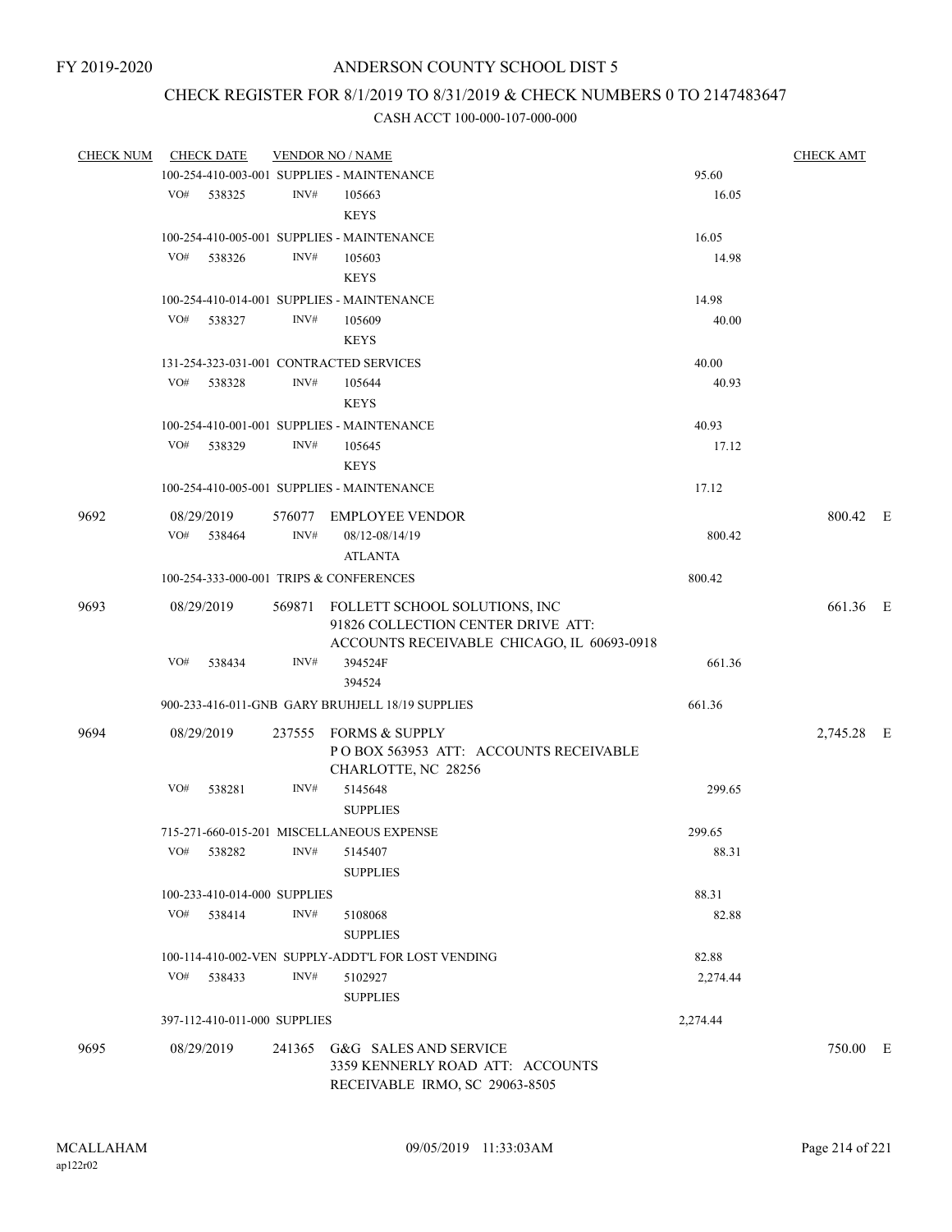### CHECK REGISTER FOR 8/1/2019 TO 8/31/2019 & CHECK NUMBERS 0 TO 2147483647

| <b>CHECK NUM</b> | <b>CHECK DATE</b>                       |        | <b>VENDOR NO / NAME</b>                            |          | <b>CHECK AMT</b> |  |
|------------------|-----------------------------------------|--------|----------------------------------------------------|----------|------------------|--|
|                  |                                         |        | 100-254-410-003-001 SUPPLIES - MAINTENANCE         | 95.60    |                  |  |
|                  | VO# 538325                              | INV#   | 105663                                             | 16.05    |                  |  |
|                  |                                         |        | <b>KEYS</b>                                        |          |                  |  |
|                  |                                         |        | 100-254-410-005-001 SUPPLIES - MAINTENANCE         | 16.05    |                  |  |
|                  | VO#<br>538326                           | INV#   | 105603                                             | 14.98    |                  |  |
|                  |                                         |        | <b>KEYS</b>                                        |          |                  |  |
|                  |                                         |        | 100-254-410-014-001 SUPPLIES - MAINTENANCE         | 14.98    |                  |  |
|                  | VO# 538327                              | INV#   | 105609                                             | 40.00    |                  |  |
|                  |                                         |        | <b>KEYS</b>                                        |          |                  |  |
|                  | 131-254-323-031-001 CONTRACTED SERVICES |        |                                                    | 40.00    |                  |  |
|                  | VO#<br>538328                           | INV#   | 105644                                             | 40.93    |                  |  |
|                  |                                         |        | <b>KEYS</b>                                        |          |                  |  |
|                  |                                         |        | 100-254-410-001-001 SUPPLIES - MAINTENANCE         | 40.93    |                  |  |
|                  | VO#<br>538329                           | INV#   | 105645                                             | 17.12    |                  |  |
|                  |                                         |        | <b>KEYS</b>                                        |          |                  |  |
|                  |                                         |        | 100-254-410-005-001 SUPPLIES - MAINTENANCE         | 17.12    |                  |  |
| 9692             | 08/29/2019                              |        | 576077 EMPLOYEE VENDOR                             |          | 800.42 E         |  |
|                  | VO# 538464                              | INV#   | 08/12-08/14/19                                     | 800.42   |                  |  |
|                  |                                         |        | <b>ATLANTA</b>                                     |          |                  |  |
|                  | 100-254-333-000-001 TRIPS & CONFERENCES |        |                                                    | 800.42   |                  |  |
| 9693             | 08/29/2019                              |        | 569871 FOLLETT SCHOOL SOLUTIONS, INC               |          | 661.36 E         |  |
|                  |                                         |        | 91826 COLLECTION CENTER DRIVE ATT:                 |          |                  |  |
|                  |                                         |        | ACCOUNTS RECEIVABLE CHICAGO, IL 60693-0918         |          |                  |  |
|                  | VO#<br>538434                           | INV#   | 394524F                                            | 661.36   |                  |  |
|                  |                                         |        | 394524                                             |          |                  |  |
|                  |                                         |        | 900-233-416-011-GNB GARY BRUHJELL 18/19 SUPPLIES   | 661.36   |                  |  |
| 9694             | 08/29/2019                              |        | 237555 FORMS & SUPPLY                              |          | 2,745.28 E       |  |
|                  |                                         |        | PO BOX 563953 ATT: ACCOUNTS RECEIVABLE             |          |                  |  |
|                  |                                         |        | CHARLOTTE, NC 28256                                |          |                  |  |
|                  | VO#<br>538281                           | INV#   | 5145648                                            | 299.65   |                  |  |
|                  |                                         |        | <b>SUPPLIES</b>                                    |          |                  |  |
|                  |                                         |        | 715-271-660-015-201 MISCELLANEOUS EXPENSE          | 299.65   |                  |  |
|                  | VO#<br>538282                           | INV#   | 5145407                                            | 88.31    |                  |  |
|                  |                                         |        | <b>SUPPLIES</b>                                    |          |                  |  |
|                  | 100-233-410-014-000 SUPPLIES            |        |                                                    | 88.31    |                  |  |
|                  | VO# 538414                              | INV#   | 5108068                                            | 82.88    |                  |  |
|                  |                                         |        | <b>SUPPLIES</b>                                    |          |                  |  |
|                  |                                         |        | 100-114-410-002-VEN SUPPLY-ADDT'L FOR LOST VENDING | 82.88    |                  |  |
|                  | VO#<br>538433                           | INV#   | 5102927                                            | 2,274.44 |                  |  |
|                  |                                         |        | <b>SUPPLIES</b>                                    |          |                  |  |
|                  | 397-112-410-011-000 SUPPLIES            |        |                                                    | 2,274.44 |                  |  |
| 9695             | 08/29/2019                              | 241365 | G&G SALES AND SERVICE                              |          | 750.00 E         |  |
|                  |                                         |        | 3359 KENNERLY ROAD ATT: ACCOUNTS                   |          |                  |  |
|                  |                                         |        | RECEIVABLE IRMO, SC 29063-8505                     |          |                  |  |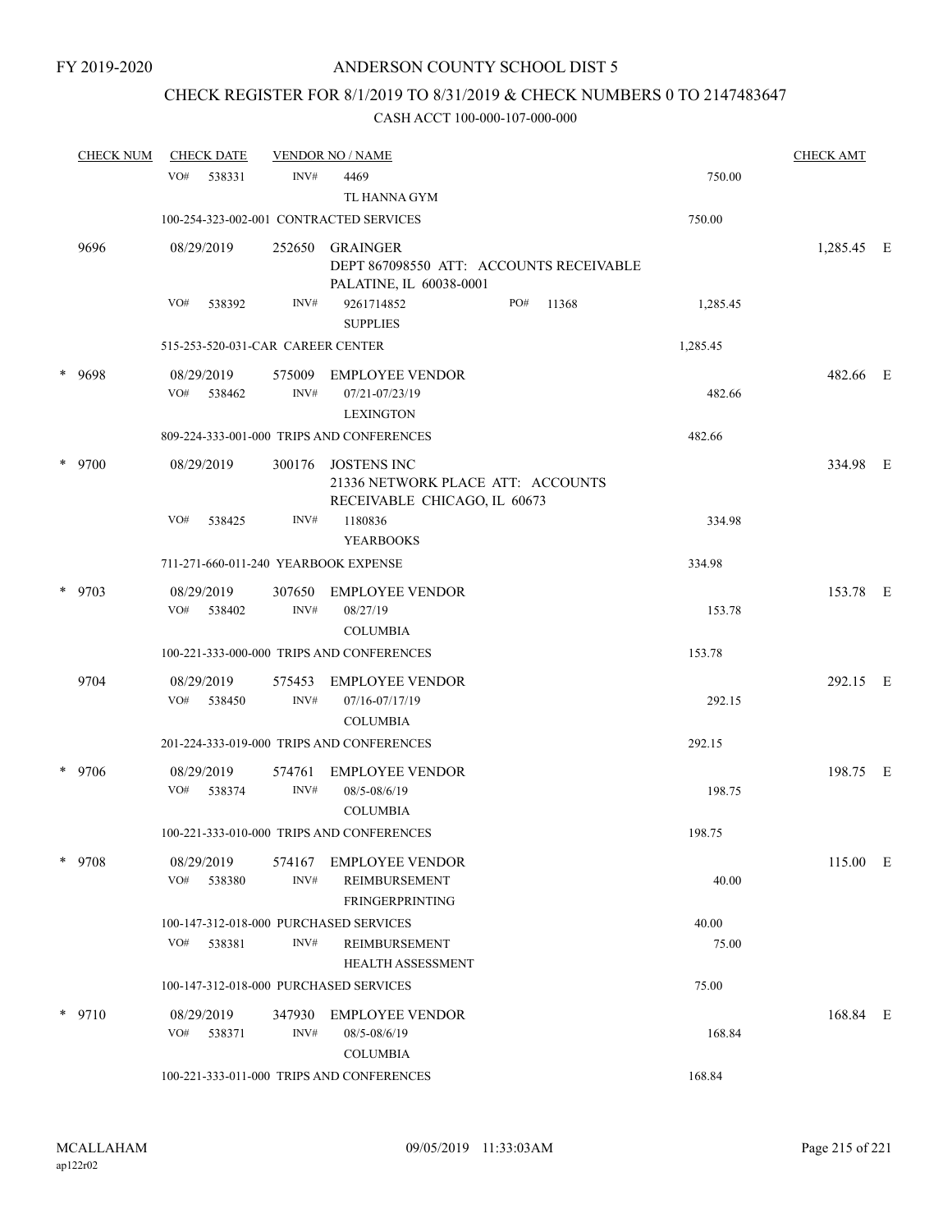# CHECK REGISTER FOR 8/1/2019 TO 8/31/2019 & CHECK NUMBERS 0 TO 2147483647

| <b>CHECK NUM</b> | <b>CHECK DATE</b>                      |                | <b>VENDOR NO / NAME</b>                                                                 |              |          | <b>CHECK AMT</b> |  |
|------------------|----------------------------------------|----------------|-----------------------------------------------------------------------------------------|--------------|----------|------------------|--|
|                  | VO#<br>538331                          | INV#           | 4469<br>TL HANNA GYM                                                                    |              | 750.00   |                  |  |
|                  |                                        |                | 100-254-323-002-001 CONTRACTED SERVICES                                                 |              | 750.00   |                  |  |
| 9696             | 08/29/2019                             | 252650         | <b>GRAINGER</b><br>DEPT 867098550 ATT: ACCOUNTS RECEIVABLE                              |              |          | 1,285.45 E       |  |
|                  | VO#<br>538392                          | INV#           | PALATINE, IL 60038-0001<br>9261714852<br><b>SUPPLIES</b>                                | PO#<br>11368 | 1,285.45 |                  |  |
|                  | 515-253-520-031-CAR CAREER CENTER      |                |                                                                                         |              | 1,285.45 |                  |  |
| * 9698           | 08/29/2019                             | 575009         | <b>EMPLOYEE VENDOR</b>                                                                  |              |          | 482.66 E         |  |
|                  | VO#<br>538462                          | INV#           | 07/21-07/23/19<br><b>LEXINGTON</b>                                                      |              | 482.66   |                  |  |
|                  |                                        |                | 809-224-333-001-000 TRIPS AND CONFERENCES                                               |              | 482.66   |                  |  |
| * 9700           | 08/29/2019                             | 300176         | <b>JOSTENS INC</b><br>21336 NETWORK PLACE ATT: ACCOUNTS<br>RECEIVABLE CHICAGO, IL 60673 |              |          | 334.98 E         |  |
|                  | VO#<br>538425                          | INV#           | 1180836<br><b>YEARBOOKS</b>                                                             |              | 334.98   |                  |  |
|                  | 711-271-660-011-240 YEARBOOK EXPENSE   |                |                                                                                         |              | 334.98   |                  |  |
| $*$ 9703         | 08/29/2019<br>VO#<br>538402            | 307650<br>INV# | <b>EMPLOYEE VENDOR</b><br>08/27/19                                                      |              | 153.78   | 153.78 E         |  |
|                  |                                        |                | <b>COLUMBIA</b>                                                                         |              |          |                  |  |
|                  |                                        |                | 100-221-333-000-000 TRIPS AND CONFERENCES                                               |              | 153.78   |                  |  |
| 9704             | 08/29/2019<br>VO#<br>538450            | 575453<br>INV# | <b>EMPLOYEE VENDOR</b><br>07/16-07/17/19<br><b>COLUMBIA</b>                             |              | 292.15   | 292.15 E         |  |
|                  |                                        |                | 201-224-333-019-000 TRIPS AND CONFERENCES                                               |              | 292.15   |                  |  |
| * 9706           | 08/29/2019                             | 574761         | <b>EMPLOYEE VENDOR</b>                                                                  |              |          | 198.75 E         |  |
|                  | VO# 538374                             | INV#           | 08/5-08/6/19<br><b>COLUMBIA</b>                                                         |              | 198.75   |                  |  |
|                  |                                        |                | 100-221-333-010-000 TRIPS AND CONFERENCES                                               |              | 198.75   |                  |  |
| * 9708           | 08/29/2019<br>VO# 538380               | 574167<br>INV# | <b>EMPLOYEE VENDOR</b><br>REIMBURSEMENT<br>FRINGERPRINTING                              |              | 40.00    | 115.00 E         |  |
|                  | 100-147-312-018-000 PURCHASED SERVICES |                |                                                                                         |              | 40.00    |                  |  |
|                  | 538381<br>VO#                          | INV#           | REIMBURSEMENT<br><b>HEALTH ASSESSMENT</b>                                               |              | 75.00    |                  |  |
|                  | 100-147-312-018-000 PURCHASED SERVICES |                |                                                                                         |              | 75.00    |                  |  |
| $*$ 9710         | 08/29/2019<br>VO# 538371               | 347930<br>INV# | EMPLOYEE VENDOR<br>08/5-08/6/19<br><b>COLUMBIA</b>                                      |              | 168.84   | 168.84 E         |  |
|                  |                                        |                | 100-221-333-011-000 TRIPS AND CONFERENCES                                               |              | 168.84   |                  |  |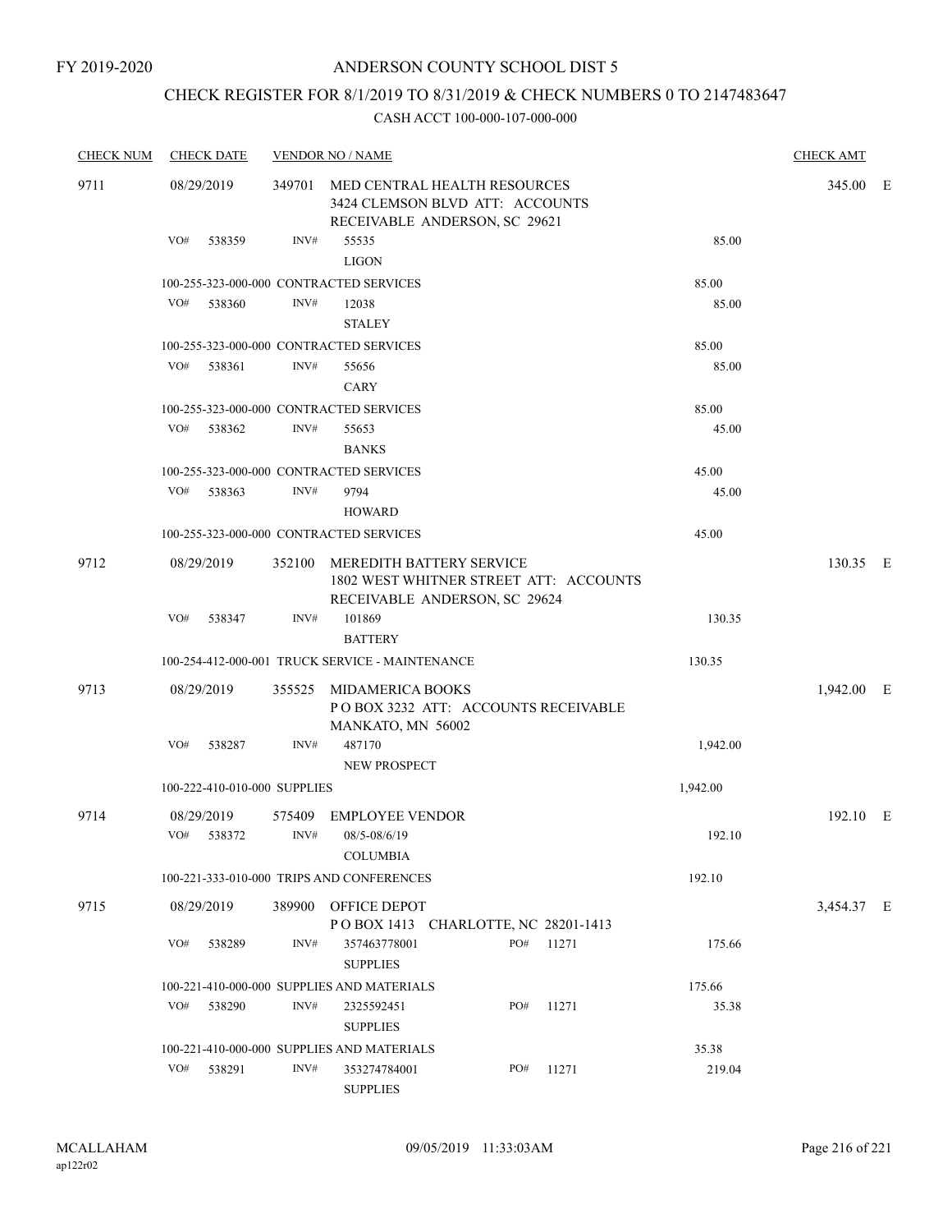# CHECK REGISTER FOR 8/1/2019 TO 8/31/2019 & CHECK NUMBERS 0 TO 2147483647

| <b>CHECK NUM</b> | <b>CHECK DATE</b>            |                | <b>VENDOR NO / NAME</b>                                                                                 |                                                                                                            |       |          | <b>CHECK AMT</b> |  |
|------------------|------------------------------|----------------|---------------------------------------------------------------------------------------------------------|------------------------------------------------------------------------------------------------------------|-------|----------|------------------|--|
| 9711             | 08/29/2019                   |                | 349701 MED CENTRAL HEALTH RESOURCES<br>3424 CLEMSON BLVD ATT: ACCOUNTS<br>RECEIVABLE ANDERSON, SC 29621 | 345.00 E                                                                                                   |       |          |                  |  |
|                  | VO#<br>538359                | INV#           | 55535<br><b>LIGON</b>                                                                                   |                                                                                                            |       | 85.00    |                  |  |
|                  |                              |                | 100-255-323-000-000 CONTRACTED SERVICES                                                                 |                                                                                                            |       | 85.00    |                  |  |
|                  | VO#<br>538360                | INV#           | 12038<br><b>STALEY</b>                                                                                  |                                                                                                            |       | 85.00    |                  |  |
|                  |                              |                | 100-255-323-000-000 CONTRACTED SERVICES                                                                 |                                                                                                            |       | 85.00    |                  |  |
|                  | VO#<br>538361                | INV#           | 55656<br><b>CARY</b>                                                                                    |                                                                                                            |       | 85.00    |                  |  |
|                  |                              |                | 100-255-323-000-000 CONTRACTED SERVICES                                                                 |                                                                                                            |       | 85.00    |                  |  |
|                  | VO#<br>538362                | INV#           | 55653<br><b>BANKS</b>                                                                                   |                                                                                                            |       | 45.00    |                  |  |
|                  |                              |                | 100-255-323-000-000 CONTRACTED SERVICES                                                                 |                                                                                                            |       | 45.00    |                  |  |
|                  | VO#<br>538363                | INV#           | 9794<br><b>HOWARD</b>                                                                                   |                                                                                                            |       | 45.00    |                  |  |
|                  |                              |                | 100-255-323-000-000 CONTRACTED SERVICES                                                                 |                                                                                                            |       | 45.00    |                  |  |
| 9712             | 08/29/2019                   |                |                                                                                                         | 352100 MEREDITH BATTERY SERVICE<br>1802 WEST WHITNER STREET ATT: ACCOUNTS<br>RECEIVABLE ANDERSON, SC 29624 |       |          | 130.35 E         |  |
|                  | VO#<br>538347                | INV#           | 101869<br><b>BATTERY</b>                                                                                |                                                                                                            |       | 130.35   |                  |  |
|                  |                              |                | 100-254-412-000-001 TRUCK SERVICE - MAINTENANCE                                                         |                                                                                                            |       | 130.35   |                  |  |
| 9713             | 08/29/2019                   |                | 355525 MIDAMERICA BOOKS<br>MANKATO, MN 56002                                                            | POBOX 3232 ATT: ACCOUNTS RECEIVABLE                                                                        |       |          | 1,942.00 E       |  |
|                  | VO#<br>538287                | INV#           | 487170<br>NEW PROSPECT                                                                                  |                                                                                                            |       | 1,942.00 |                  |  |
|                  | 100-222-410-010-000 SUPPLIES |                |                                                                                                         |                                                                                                            |       | 1,942.00 |                  |  |
| 9714             | 08/29/2019<br>VO#<br>538372  | 575409<br>INV# | <b>EMPLOYEE VENDOR</b><br>08/5-08/6/19<br><b>COLUMBIA</b>                                               |                                                                                                            |       | 192.10   | 192.10 E         |  |
|                  |                              |                | 100-221-333-010-000 TRIPS AND CONFERENCES                                                               |                                                                                                            |       | 192.10   |                  |  |
| 9715             | 08/29/2019                   | 389900         | OFFICE DEPOT                                                                                            | POBOX 1413 CHARLOTTE, NC 28201-1413                                                                        |       |          | 3,454.37 E       |  |
|                  | VO#<br>538289                | INV#           | 357463778001<br><b>SUPPLIES</b>                                                                         | PO#                                                                                                        | 11271 | 175.66   |                  |  |
|                  |                              |                | 100-221-410-000-000 SUPPLIES AND MATERIALS                                                              |                                                                                                            |       | 175.66   |                  |  |
|                  | VO#<br>538290                | INV#           | 2325592451<br><b>SUPPLIES</b>                                                                           | PO#                                                                                                        | 11271 | 35.38    |                  |  |
|                  |                              |                | 100-221-410-000-000 SUPPLIES AND MATERIALS                                                              |                                                                                                            |       | 35.38    |                  |  |
|                  | VO#<br>538291                | INV#           | 353274784001<br><b>SUPPLIES</b>                                                                         | PO#                                                                                                        | 11271 | 219.04   |                  |  |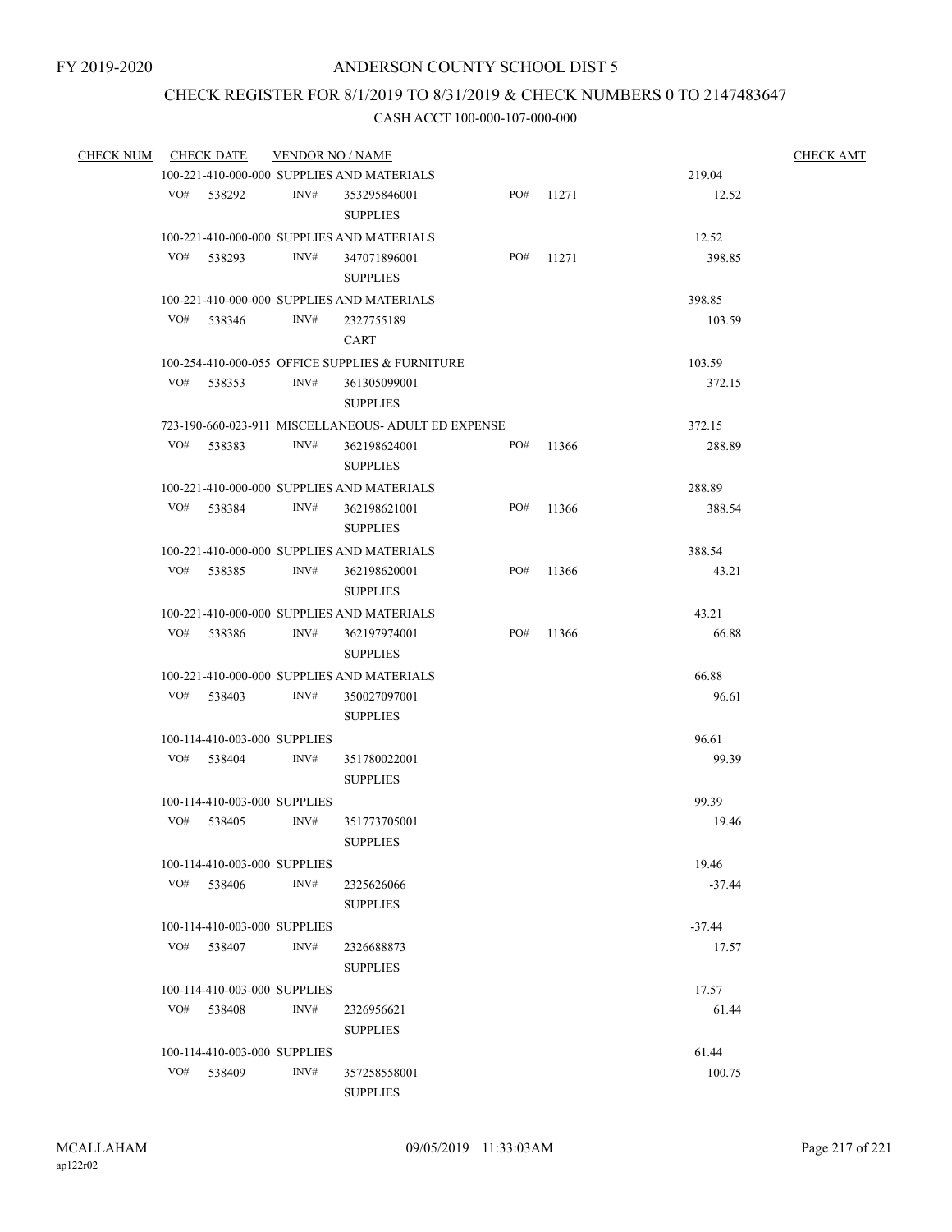# CHECK REGISTER FOR 8/1/2019 TO 8/31/2019 & CHECK NUMBERS 0 TO 2147483647

| <b>CHECK NUM</b> |     | <b>CHECK DATE</b>            | <b>VENDOR NO / NAME</b> |                                                     |           |       |          | <b>CHECK AMT</b> |
|------------------|-----|------------------------------|-------------------------|-----------------------------------------------------|-----------|-------|----------|------------------|
|                  |     |                              |                         | 100-221-410-000-000 SUPPLIES AND MATERIALS          |           |       | 219.04   |                  |
|                  |     | VO# 538292                   | INV#                    | 353295846001<br><b>SUPPLIES</b>                     | PO# 11271 |       | 12.52    |                  |
|                  |     |                              |                         | 100-221-410-000-000 SUPPLIES AND MATERIALS          |           |       | 12.52    |                  |
|                  | VO# | 538293                       | INV#                    | 347071896001<br><b>SUPPLIES</b>                     | PO#       | 11271 | 398.85   |                  |
|                  |     |                              |                         | 100-221-410-000-000 SUPPLIES AND MATERIALS          |           |       | 398.85   |                  |
|                  | VO# | 538346                       | INV#                    | 2327755189<br>CART                                  |           |       | 103.59   |                  |
|                  |     |                              |                         | 100-254-410-000-055 OFFICE SUPPLIES & FURNITURE     |           |       | 103.59   |                  |
|                  |     | VO# 538353                   | INV#                    | 361305099001<br><b>SUPPLIES</b>                     |           |       | 372.15   |                  |
|                  |     |                              |                         | 723-190-660-023-911 MISCELLANEOUS- ADULT ED EXPENSE |           |       | 372.15   |                  |
|                  | VO# | 538383                       | INV#                    | 362198624001<br><b>SUPPLIES</b>                     | PO#       | 11366 | 288.89   |                  |
|                  |     |                              |                         | 100-221-410-000-000 SUPPLIES AND MATERIALS          |           |       | 288.89   |                  |
|                  | VO# | 538384                       | INV#                    | 362198621001<br><b>SUPPLIES</b>                     | PO#       | 11366 | 388.54   |                  |
|                  |     |                              |                         | 100-221-410-000-000 SUPPLIES AND MATERIALS          |           |       | 388.54   |                  |
|                  | VO# | 538385                       | INV#                    | 362198620001<br><b>SUPPLIES</b>                     | PO#       | 11366 | 43.21    |                  |
|                  |     |                              |                         | 100-221-410-000-000 SUPPLIES AND MATERIALS          |           |       | 43.21    |                  |
|                  | VO# | 538386                       | INV#                    | 362197974001<br><b>SUPPLIES</b>                     | PO#       | 11366 | 66.88    |                  |
|                  |     |                              |                         | 100-221-410-000-000 SUPPLIES AND MATERIALS          |           |       | 66.88    |                  |
|                  | VO# | 538403                       | INV#                    | 350027097001<br><b>SUPPLIES</b>                     |           |       | 96.61    |                  |
|                  |     | 100-114-410-003-000 SUPPLIES |                         |                                                     |           |       | 96.61    |                  |
|                  |     | VO# 538404                   | INV#                    | 351780022001<br><b>SUPPLIES</b>                     |           |       | 99.39    |                  |
|                  |     | 100-114-410-003-000 SUPPLIES |                         |                                                     |           |       | 99.39    |                  |
|                  | VO# | 538405                       | INV#                    | 351773705001<br><b>SUPPLIES</b>                     |           |       | 19.46    |                  |
|                  |     | 100-114-410-003-000 SUPPLIES |                         |                                                     |           |       | 19.46    |                  |
|                  | VO# | 538406                       | INV#                    | 2325626066<br><b>SUPPLIES</b>                       |           |       | $-37.44$ |                  |
|                  |     | 100-114-410-003-000 SUPPLIES |                         |                                                     |           |       | $-37.44$ |                  |
|                  | VO# | 538407                       | INV#                    | 2326688873<br><b>SUPPLIES</b>                       |           |       | 17.57    |                  |
|                  |     | 100-114-410-003-000 SUPPLIES |                         |                                                     |           |       | 17.57    |                  |
|                  | VO# | 538408                       | INV#                    | 2326956621<br><b>SUPPLIES</b>                       |           |       | 61.44    |                  |
|                  |     | 100-114-410-003-000 SUPPLIES |                         |                                                     |           |       | 61.44    |                  |
|                  | VO# | 538409                       | INV#                    | 357258558001<br><b>SUPPLIES</b>                     |           |       | 100.75   |                  |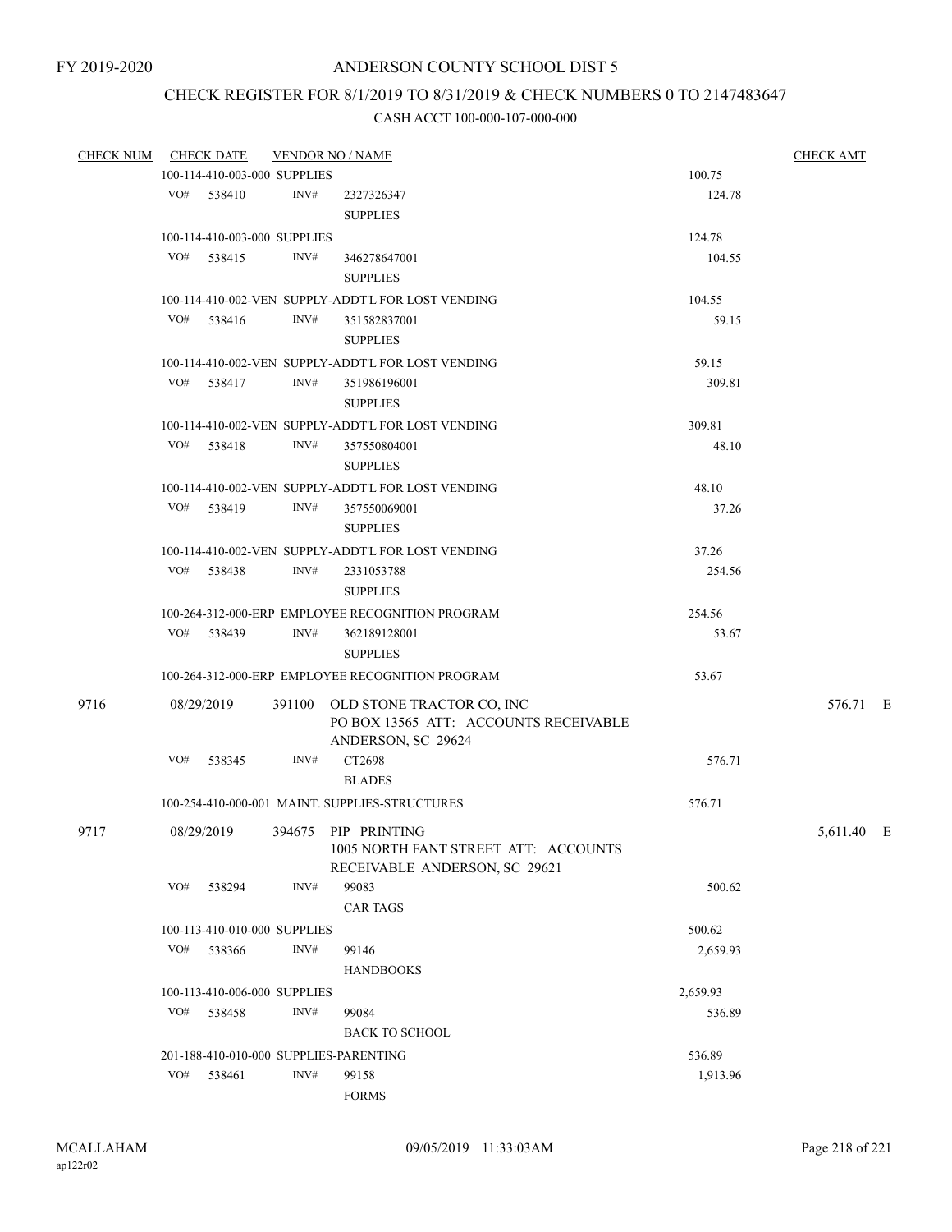# CHECK REGISTER FOR 8/1/2019 TO 8/31/2019 & CHECK NUMBERS 0 TO 2147483647

| <b>CHECK NUM</b> |     | <b>CHECK DATE</b>                              | <b>VENDOR NO / NAME</b> | <b>CHECK AMT</b>                                                                                |          |            |  |
|------------------|-----|------------------------------------------------|-------------------------|-------------------------------------------------------------------------------------------------|----------|------------|--|
|                  |     | 100-114-410-003-000 SUPPLIES                   |                         | 100.75                                                                                          |          |            |  |
|                  |     | VO# 538410                                     | INV#                    | 2327326347<br><b>SUPPLIES</b>                                                                   | 124.78   |            |  |
|                  |     |                                                |                         |                                                                                                 |          |            |  |
|                  |     | 100-114-410-003-000 SUPPLIES<br>VO# 538415     | INV#                    |                                                                                                 | 124.78   |            |  |
|                  |     |                                                |                         | 346278647001<br><b>SUPPLIES</b>                                                                 | 104.55   |            |  |
|                  |     |                                                |                         | 100-114-410-002-VEN SUPPLY-ADDT'L FOR LOST VENDING                                              | 104.55   |            |  |
|                  |     | VO# 538416                                     | INV#                    | 351582837001<br><b>SUPPLIES</b>                                                                 | 59.15    |            |  |
|                  |     |                                                |                         | 100-114-410-002-VEN SUPPLY-ADDT'L FOR LOST VENDING                                              | 59.15    |            |  |
|                  |     | VO# 538417                                     | INV#                    | 351986196001<br><b>SUPPLIES</b>                                                                 | 309.81   |            |  |
|                  |     |                                                |                         | 100-114-410-002-VEN SUPPLY-ADDT'L FOR LOST VENDING                                              | 309.81   |            |  |
|                  |     | VO# 538418                                     | INV#                    | 357550804001                                                                                    | 48.10    |            |  |
|                  |     |                                                |                         | <b>SUPPLIES</b>                                                                                 |          |            |  |
|                  |     |                                                |                         | 100-114-410-002-VEN SUPPLY-ADDT'L FOR LOST VENDING                                              | 48.10    |            |  |
|                  |     | VO# 538419                                     | INV#                    | 357550069001<br><b>SUPPLIES</b>                                                                 | 37.26    |            |  |
|                  |     |                                                |                         | 100-114-410-002-VEN SUPPLY-ADDT'L FOR LOST VENDING                                              | 37.26    |            |  |
|                  |     | VO# 538438                                     | INV#                    | 2331053788                                                                                      | 254.56   |            |  |
|                  |     |                                                |                         | <b>SUPPLIES</b>                                                                                 |          |            |  |
|                  |     |                                                |                         | 100-264-312-000-ERP EMPLOYEE RECOGNITION PROGRAM                                                | 254.56   |            |  |
|                  |     | VO# 538439                                     | INV#                    | 362189128001<br><b>SUPPLIES</b>                                                                 | 53.67    |            |  |
|                  |     |                                                |                         | 100-264-312-000-ERP EMPLOYEE RECOGNITION PROGRAM                                                | 53.67    |            |  |
| 9716             |     | 08/29/2019                                     |                         | 391100 OLD STONE TRACTOR CO, INC<br>PO BOX 13565 ATT: ACCOUNTS RECEIVABLE<br>ANDERSON, SC 29624 |          | 576.71 E   |  |
|                  |     | VO# 538345                                     | INV#                    | CT2698<br><b>BLADES</b>                                                                         | 576.71   |            |  |
|                  |     | 100-254-410-000-001 MAINT, SUPPLIES-STRUCTURES |                         | 576.71                                                                                          |          |            |  |
| 9717             |     | 08/29/2019                                     |                         | 394675 PIP PRINTING<br>1005 NORTH FANT STREET ATT: ACCOUNTS<br>RECEIVABLE ANDERSON, SC 29621    |          | 5,611.40 E |  |
|                  | VO# | 538294                                         | INV#                    | 99083<br><b>CAR TAGS</b>                                                                        | 500.62   |            |  |
|                  |     | 100-113-410-010-000 SUPPLIES                   |                         | 500.62                                                                                          |          |            |  |
|                  | VO# | 538366                                         | INV#                    | 99146                                                                                           | 2,659.93 |            |  |
|                  |     |                                                |                         | <b>HANDBOOKS</b>                                                                                |          |            |  |
|                  |     | 100-113-410-006-000 SUPPLIES                   |                         | 2,659.93                                                                                        |          |            |  |
|                  | VO# | 538458                                         | INV#                    | 99084                                                                                           | 536.89   |            |  |
|                  |     |                                                |                         | <b>BACK TO SCHOOL</b>                                                                           |          |            |  |
|                  |     |                                                |                         | 201-188-410-010-000 SUPPLIES-PARENTING                                                          | 536.89   |            |  |
|                  | VO# | 538461                                         | INV#                    | 99158                                                                                           | 1,913.96 |            |  |
|                  |     |                                                |                         | <b>FORMS</b>                                                                                    |          |            |  |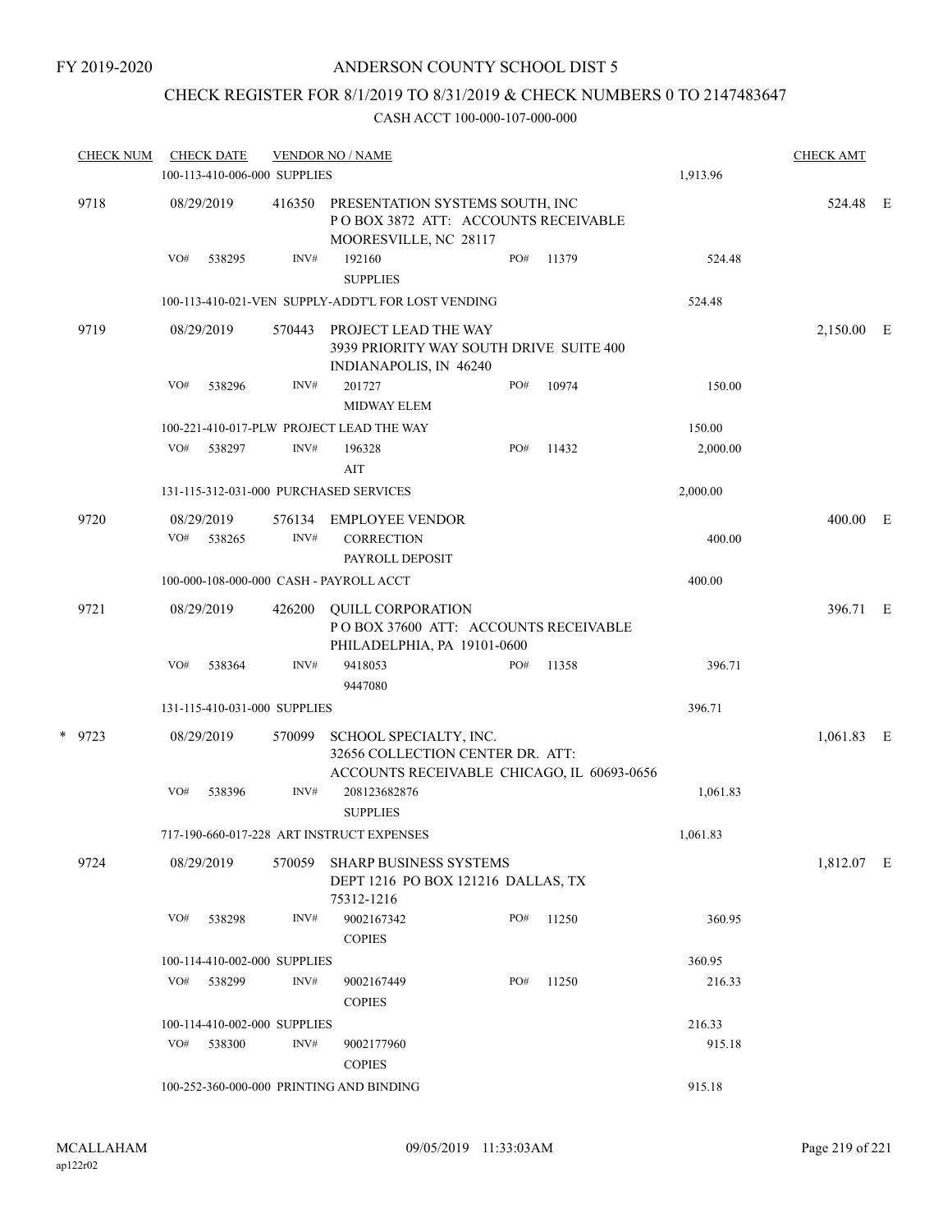## CHECK REGISTER FOR 8/1/2019 TO 8/31/2019 & CHECK NUMBERS 0 TO 2147483647

|          | <b>CHECK NUM</b>                          |            | <b>CHECK DATE</b>    | 100-113-410-006-000 SUPPLIES                                                                             | <b>VENDOR NO / NAME</b>                                                                         |     |        | 1,913.96   | <b>CHECK AMT</b> |  |
|----------|-------------------------------------------|------------|----------------------|----------------------------------------------------------------------------------------------------------|-------------------------------------------------------------------------------------------------|-----|--------|------------|------------------|--|
|          |                                           |            |                      |                                                                                                          |                                                                                                 |     |        |            |                  |  |
| 9718     |                                           | 08/29/2019 | 416350               | PRESENTATION SYSTEMS SOUTH, INC<br>POBOX 3872 ATT: ACCOUNTS RECEIVABLE<br>MOORESVILLE, NC 28117          |                                                                                                 |     |        | 524.48 E   |                  |  |
|          |                                           | VO#        | 538295               | INV#                                                                                                     | 192160<br><b>SUPPLIES</b>                                                                       | PO# | 11379  | 524.48     |                  |  |
|          |                                           |            |                      |                                                                                                          | 100-113-410-021-VEN SUPPLY-ADDT'L FOR LOST VENDING                                              |     |        | 524.48     |                  |  |
|          | 9719                                      |            | 08/29/2019           | 570443                                                                                                   | PROJECT LEAD THE WAY<br>3939 PRIORITY WAY SOUTH DRIVE SUITE 400<br>INDIANAPOLIS, IN 46240       |     |        |            | 2,150.00 E       |  |
|          |                                           | VO#        | 538296               | INV#                                                                                                     | 201727<br><b>MIDWAY ELEM</b>                                                                    | PO# | 10974  | 150.00     |                  |  |
|          |                                           |            |                      |                                                                                                          | 100-221-410-017-PLW PROJECT LEAD THE WAY                                                        |     |        | 150.00     |                  |  |
|          |                                           | VO#        | 538297               | INV#                                                                                                     | 196328<br>AIT                                                                                   | PO# | 11432  | 2,000.00   |                  |  |
|          |                                           |            |                      |                                                                                                          | 131-115-312-031-000 PURCHASED SERVICES                                                          |     |        | 2,000.00   |                  |  |
|          | 9720                                      | VO#        | 08/29/2019<br>538265 | 576134<br>INV#                                                                                           | <b>EMPLOYEE VENDOR</b><br><b>CORRECTION</b><br>PAYROLL DEPOSIT                                  |     |        | 400.00     | 400.00 E         |  |
|          |                                           |            |                      | 100-000-108-000-000 CASH - PAYROLL ACCT                                                                  | 400.00                                                                                          |     |        |            |                  |  |
|          | 9721                                      |            | 08/29/2019           | 426200                                                                                                   | <b>QUILL CORPORATION</b><br>POBOX 37600 ATT: ACCOUNTS RECEIVABLE<br>PHILADELPHIA, PA 19101-0600 |     |        |            | 396.71 E         |  |
|          |                                           | VO#        | 538364               | INV#                                                                                                     | 9418053<br>9447080                                                                              | PO# | 11358  | 396.71     |                  |  |
|          |                                           |            |                      | 131-115-410-031-000 SUPPLIES                                                                             |                                                                                                 |     |        | 396.71     |                  |  |
| $*$ 9723 |                                           | 08/29/2019 | 570099               | SCHOOL SPECIALTY, INC.<br>32656 COLLECTION CENTER DR. ATT:<br>ACCOUNTS RECEIVABLE CHICAGO, IL 60693-0656 |                                                                                                 |     |        | 1,061.83 E |                  |  |
|          |                                           | VO#        | 538396               | INV#                                                                                                     | 208123682876<br><b>SUPPLIES</b>                                                                 |     |        | 1,061.83   |                  |  |
|          | 717-190-660-017-228 ART INSTRUCT EXPENSES | 1,061.83   |                      |                                                                                                          |                                                                                                 |     |        |            |                  |  |
|          | 9724                                      |            | 08/29/2019           | 570059                                                                                                   | <b>SHARP BUSINESS SYSTEMS</b><br>DEPT 1216 PO BOX 121216 DALLAS, TX<br>75312-1216               |     |        |            | 1,812.07 E       |  |
|          |                                           | VO#        | 538298               | INV#                                                                                                     | 9002167342<br><b>COPIES</b>                                                                     | PO# | 11250  | 360.95     |                  |  |
|          | 100-114-410-002-000 SUPPLIES              |            |                      |                                                                                                          |                                                                                                 |     |        |            |                  |  |
|          |                                           | VO#        | 538299               | INV#                                                                                                     | 9002167449<br><b>COPIES</b>                                                                     | PO# | 11250  | 216.33     |                  |  |
|          |                                           |            |                      | 100-114-410-002-000 SUPPLIES                                                                             |                                                                                                 |     |        | 216.33     |                  |  |
|          |                                           | VO#        | 538300               | INV#                                                                                                     | 9002177960<br><b>COPIES</b>                                                                     |     |        | 915.18     |                  |  |
|          |                                           |            |                      | 100-252-360-000-000 PRINTING AND BINDING                                                                 |                                                                                                 |     | 915.18 |            |                  |  |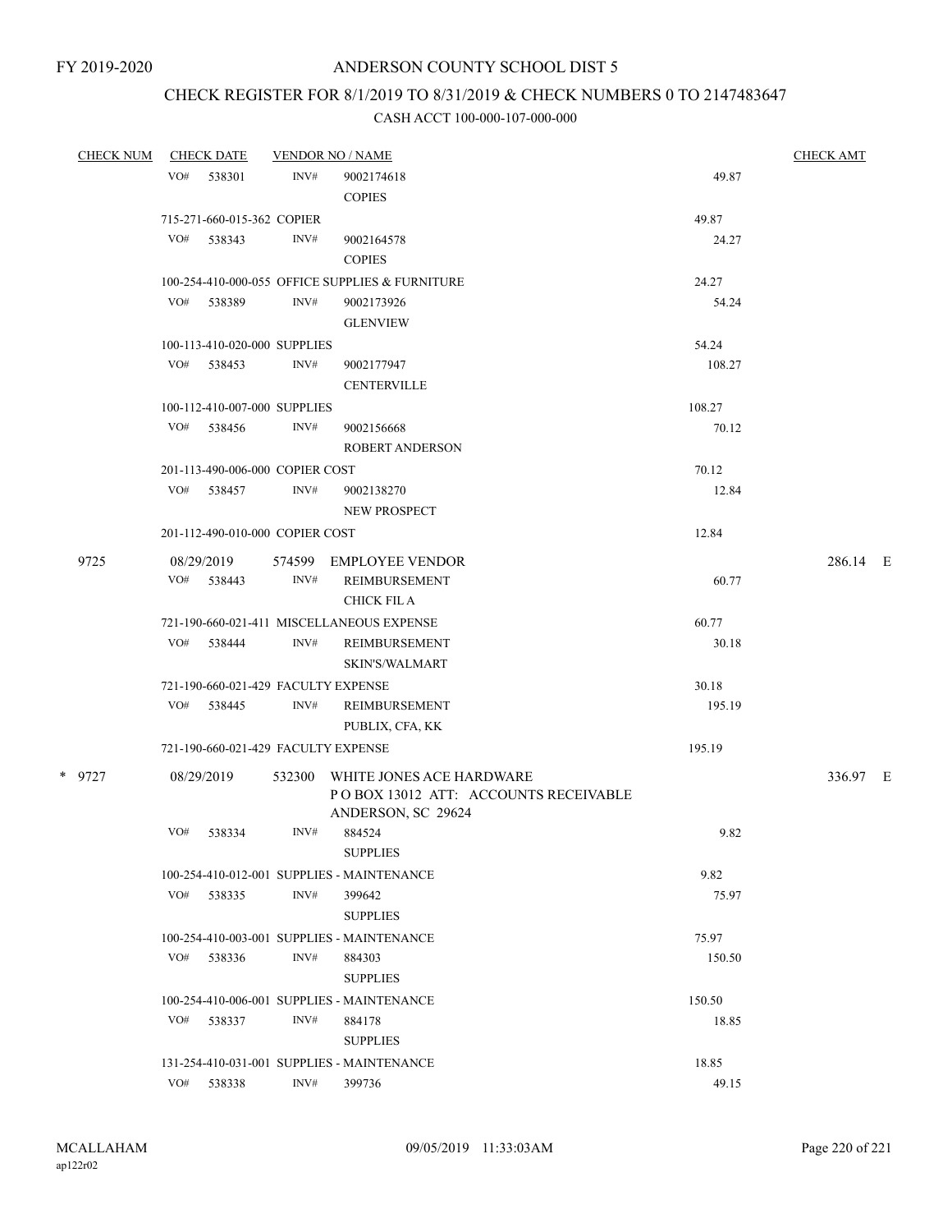# CHECK REGISTER FOR 8/1/2019 TO 8/31/2019 & CHECK NUMBERS 0 TO 2147483647

| <b>CHECK NUM</b> |     | <b>CHECK DATE</b>               |      | <b>VENDOR NO / NAME</b>                                    |                | <b>CHECK AMT</b> |
|------------------|-----|---------------------------------|------|------------------------------------------------------------|----------------|------------------|
|                  | VO# | 538301                          | INV# | 9002174618                                                 | 49.87          |                  |
|                  |     |                                 |      | <b>COPIES</b>                                              |                |                  |
|                  |     | 715-271-660-015-362 COPIER      |      |                                                            | 49.87          |                  |
|                  | VO# | 538343                          | INV# | 9002164578                                                 | 24.27          |                  |
|                  |     |                                 |      | <b>COPIES</b>                                              |                |                  |
|                  |     |                                 |      | 100-254-410-000-055 OFFICE SUPPLIES & FURNITURE            | 24.27          |                  |
|                  |     | VO# 538389                      | INV# | 9002173926                                                 | 54.24          |                  |
|                  |     |                                 |      | <b>GLENVIEW</b>                                            |                |                  |
|                  |     | 100-113-410-020-000 SUPPLIES    |      |                                                            | 54.24          |                  |
|                  |     | VO# 538453                      | INV# | 9002177947                                                 | 108.27         |                  |
|                  |     |                                 |      | <b>CENTERVILLE</b>                                         |                |                  |
|                  |     | 100-112-410-007-000 SUPPLIES    |      |                                                            | 108.27         |                  |
|                  |     | VO# 538456                      | INV# | 9002156668                                                 | 70.12          |                  |
|                  |     |                                 |      | <b>ROBERT ANDERSON</b>                                     |                |                  |
|                  |     | 201-113-490-006-000 COPIER COST |      |                                                            | 70.12          |                  |
|                  |     | VO# 538457                      | INV# | 9002138270                                                 | 12.84          |                  |
|                  |     |                                 |      | NEW PROSPECT                                               |                |                  |
|                  |     | 201-112-490-010-000 COPIER COST |      |                                                            | 12.84          |                  |
|                  |     |                                 |      |                                                            |                |                  |
| 9725             |     | 08/29/2019<br>VO# 538443        | INV# | 574599 EMPLOYEE VENDOR<br>REIMBURSEMENT                    | 60.77          | 286.14 E         |
|                  |     |                                 |      | <b>CHICK FIL A</b>                                         |                |                  |
|                  |     |                                 |      |                                                            |                |                  |
|                  | VO# | 538444                          | INV# | 721-190-660-021-411 MISCELLANEOUS EXPENSE<br>REIMBURSEMENT | 60.77<br>30.18 |                  |
|                  |     |                                 |      | <b>SKIN'S/WALMART</b>                                      |                |                  |
|                  |     |                                 |      | 721-190-660-021-429 FACULTY EXPENSE                        | 30.18          |                  |
|                  | VO# | 538445                          | INV# | REIMBURSEMENT                                              | 195.19         |                  |
|                  |     |                                 |      | PUBLIX, CFA, KK                                            |                |                  |
|                  |     |                                 |      | 721-190-660-021-429 FACULTY EXPENSE                        | 195.19         |                  |
| * 9727           |     | 08/29/2019                      |      | 532300 WHITE JONES ACE HARDWARE                            |                | 336.97 E         |
|                  |     |                                 |      | POBOX 13012 ATT: ACCOUNTS RECEIVABLE                       |                |                  |
|                  |     |                                 |      | ANDERSON, SC 29624                                         |                |                  |
|                  | VO# | 538334                          | INV# | 884524                                                     | 9.82           |                  |
|                  |     |                                 |      | <b>SUPPLIES</b>                                            |                |                  |
|                  |     |                                 |      | 100-254-410-012-001 SUPPLIES - MAINTENANCE                 | 9.82           |                  |
|                  | VO# | 538335                          | INV# | 399642                                                     | 75.97          |                  |
|                  |     |                                 |      | <b>SUPPLIES</b>                                            |                |                  |
|                  |     |                                 |      | 100-254-410-003-001 SUPPLIES - MAINTENANCE                 | 75.97          |                  |
|                  | VO# | 538336                          | INV# | 884303                                                     | 150.50         |                  |
|                  |     |                                 |      | <b>SUPPLIES</b>                                            |                |                  |
|                  |     |                                 |      | 100-254-410-006-001 SUPPLIES - MAINTENANCE                 | 150.50         |                  |
|                  | VO# | 538337                          | INV# | 884178                                                     | 18.85          |                  |
|                  |     |                                 |      | <b>SUPPLIES</b>                                            |                |                  |
|                  |     |                                 |      | 131-254-410-031-001 SUPPLIES - MAINTENANCE                 | 18.85          |                  |
|                  | VO# | 538338                          | INV# | 399736                                                     | 49.15          |                  |